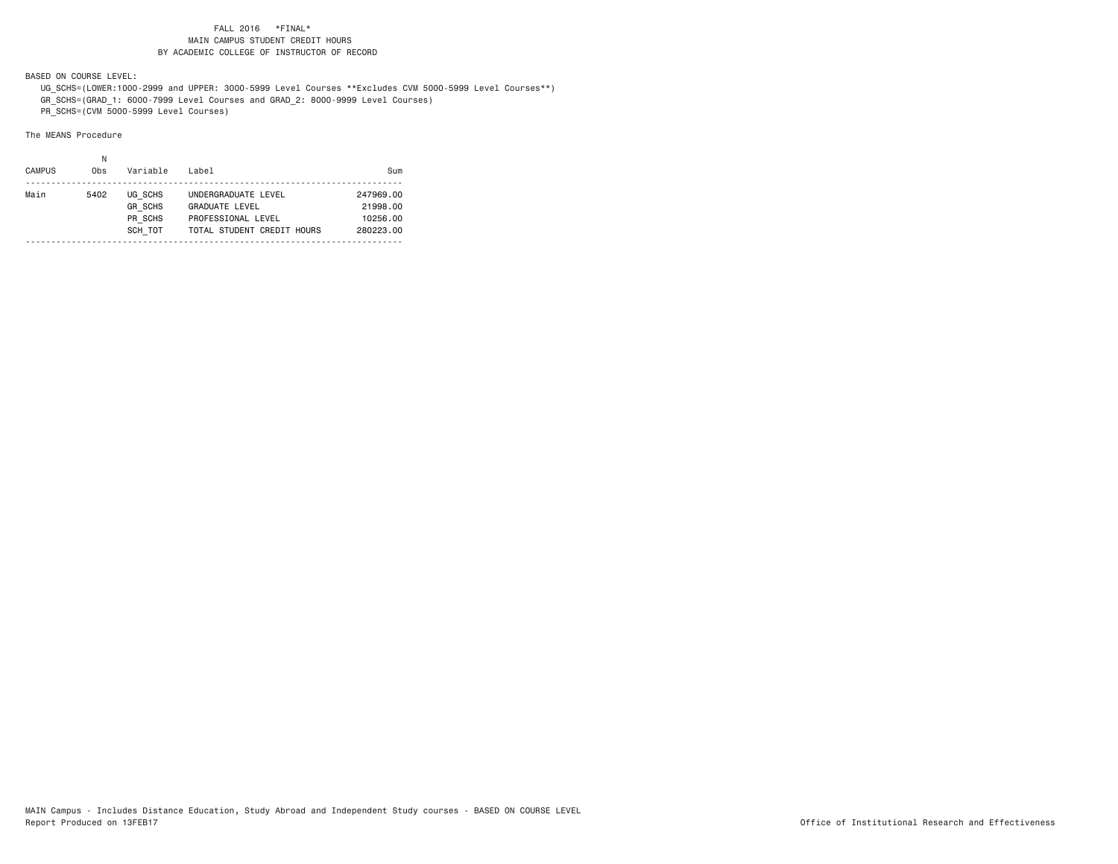BASED ON COURSE LEVEL:

 UG\_SCHS=(LOWER:1000-2999 and UPPER: 3000-5999 Level Courses \*\*Excludes CVM 5000-5999 Level Courses\*\*) GR\_SCHS=(GRAD\_1: 6000-7999 Level Courses and GRAD\_2: 8000-9999 Level Courses)

PR\_SCHS=(CVM 5000-5999 Level Courses)

| <b>CAMPUS</b> | Obs  | Variable       | Label                      | Sum       |
|---------------|------|----------------|----------------------------|-----------|
| Main          | 5402 | UG SCHS        | UNDERGRADUATE LEVEL        | 247969.00 |
|               |      | <b>GR SCHS</b> | <b>GRADUATE LEVEL</b>      | 21998.00  |
|               |      | PR SCHS        | PROFESSIONAL LEVEL         | 10256.00  |
|               |      | SCH TOT        | TOTAL STUDENT CREDIT HOURS | 280223.00 |
|               |      |                |                            |           |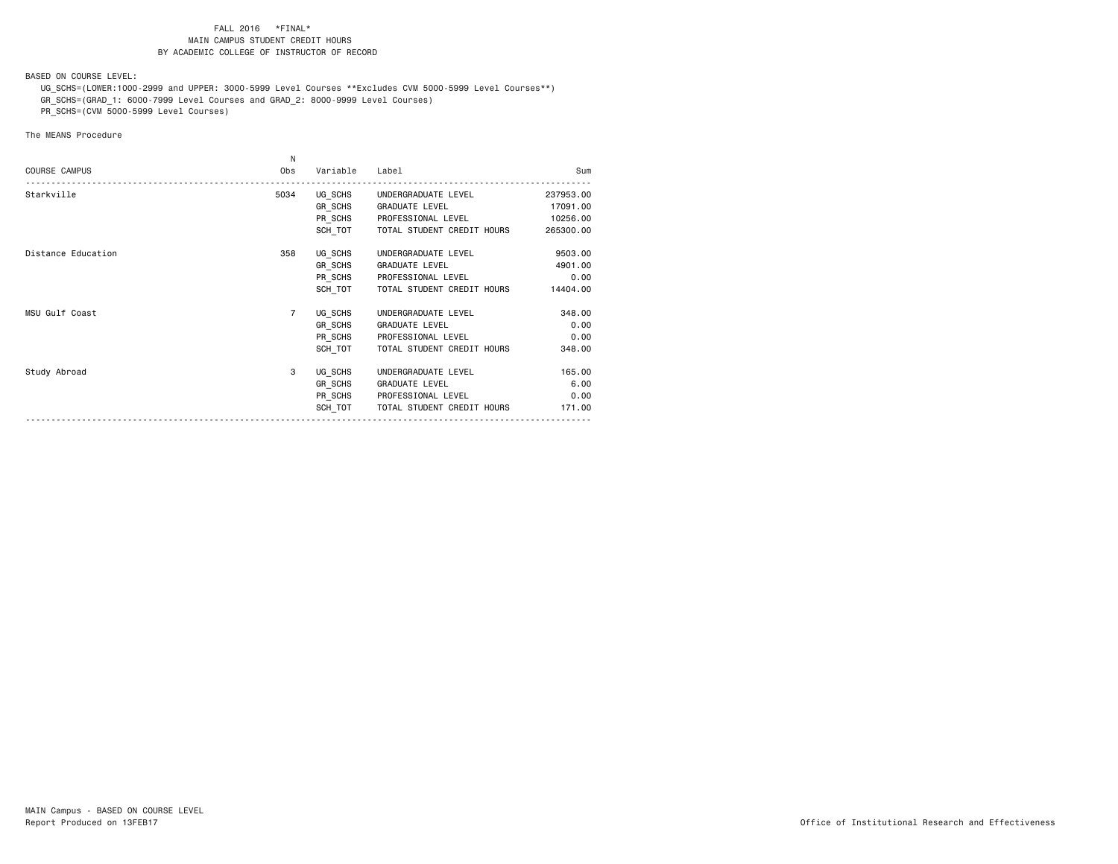BASED ON COURSE LEVEL:

 UG\_SCHS=(LOWER:1000-2999 and UPPER: 3000-5999 Level Courses \*\*Excludes CVM 5000-5999 Level Courses\*\*) GR\_SCHS=(GRAD\_1: 6000-7999 Level Courses and GRAD\_2: 8000-9999 Level Courses)

PR\_SCHS=(CVM 5000-5999 Level Courses)

|                      | N              |                |                             |           |
|----------------------|----------------|----------------|-----------------------------|-----------|
| <b>COURSE CAMPUS</b> | Obs            | Variable Label |                             | Sum       |
| Starkville           | 5034           |                | UG SCHS UNDERGRADUATE LEVEL | 237953.00 |
|                      |                |                | GR SCHS GRADUATE LEVEL      | 17091.00  |
|                      |                |                | PR SCHS PROFESSIONAL LEVEL  | 10256.00  |
|                      |                | SCH TOT        | TOTAL STUDENT CREDIT HOURS  | 265300.00 |
| Distance Education   | 358            |                | UG SCHS UNDERGRADUATE LEVEL | 9503.00   |
|                      |                |                | GR SCHS GRADUATE LEVEL      | 4901.00   |
|                      |                |                | PR SCHS PROFESSIONAL LEVEL  | 0.00      |
|                      |                | SCH TOT        | TOTAL STUDENT CREDIT HOURS  | 14404.00  |
| MSU Gulf Coast       | $\overline{7}$ |                | UG SCHS UNDERGRADUATE LEVEL | 348.00    |
|                      |                |                | GR SCHS GRADUATE LEVEL      | 0.00      |
|                      |                | PR SCHS        | PROFESSIONAL LEVEL          | 0.00      |
|                      |                | SCH TOT        | TOTAL STUDENT CREDIT HOURS  | 348.00    |
| Study Abroad         | 3              |                | UG SCHS UNDERGRADUATE LEVEL | 165,00    |
|                      |                |                | GR SCHS GRADUATE LEVEL      | 6.00      |
|                      |                |                | PR SCHS PROFESSIONAL LEVEL  | 0.00      |
|                      |                | SCH TOT        | TOTAL STUDENT CREDIT HOURS  | 171.00    |
|                      |                |                |                             |           |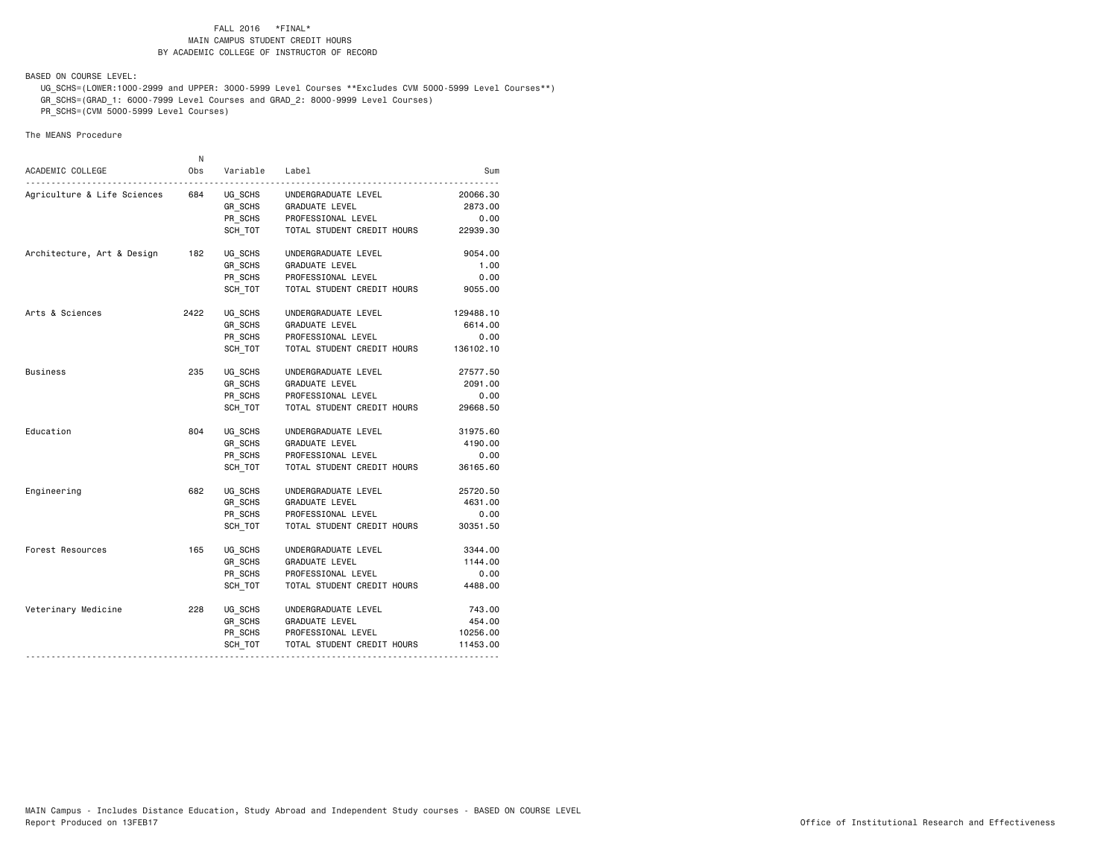BASED ON COURSE LEVEL:

 UG\_SCHS=(LOWER:1000-2999 and UPPER: 3000-5999 Level Courses \*\*Excludes CVM 5000-5999 Level Courses\*\*) GR\_SCHS=(GRAD\_1: 6000-7999 Level Courses and GRAD\_2: 8000-9999 Level Courses)

PR\_SCHS=(CVM 5000-5999 Level Courses)

|                             | N    |                    |                            |           |
|-----------------------------|------|--------------------|----------------------------|-----------|
| ACADEMIC COLLEGE            | Obs  | Variable           | Label                      | Sum       |
| Agriculture & Life Sciences | 684  | UG SCHS            | UNDERGRADUATE LEVEL        | 20066.30  |
|                             |      | GR SCHS            | GRADUATE LEVEL             | 2873.00   |
|                             |      | PR_SCHS            | PROFESSIONAL LEVEL         | 0.00      |
|                             |      | SCH TOT            | TOTAL STUDENT CREDIT HOURS | 22939.30  |
| Architecture, Art & Design  | 182  | UG_SCHS            | UNDERGRADUATE LEVEL        | 9054.00   |
|                             |      | GR SCHS            | GRADUATE LEVEL             | 1.00      |
|                             |      | PR_SCHS            | PROFESSIONAL LEVEL         | 0.00      |
|                             |      | SCH TOT            | TOTAL STUDENT CREDIT HOURS | 9055.00   |
| Arts & Sciences             | 2422 | UG SCHS            | UNDERGRADUATE LEVEL        | 129488.10 |
|                             |      | GR_SCHS<br>PR_SCHS | GRADUATE LEVEL             | 6614.00   |
|                             |      |                    | PROFESSIONAL LEVEL         | 0.00      |
|                             |      | SCH TOT            | TOTAL STUDENT CREDIT HOURS | 136102.10 |
| Business                    | 235  | UG SCHS            | UNDERGRADUATE LEVEL        | 27577.50  |
|                             |      | GR SCHS            | GRADUATE LEVEL             | 2091.00   |
|                             |      | PR_SCHS            | PROFESSIONAL LEVEL         | 0.00      |
|                             |      | SCH TOT            | TOTAL STUDENT CREDIT HOURS | 29668.50  |
| Education                   | 804  | UG SCHS            | UNDERGRADUATE LEVEL        | 31975.60  |
|                             |      | GR_SCHS            | GRADUATE LEVEL             | 4190.00   |
|                             |      | PR_SCHS            | PROFESSIONAL LEVEL         | 0.00      |
|                             |      | SCH TOT            | TOTAL STUDENT CREDIT HOURS | 36165.60  |
| Engineering                 | 682  | UG SCHS            | UNDERGRADUATE LEVEL        | 25720.50  |
|                             |      | GR_SCHS            | GRADUATE LEVEL             | 4631.00   |
|                             |      | PR SCHS            | PROFESSIONAL LEVEL         | 0.00      |
|                             |      | SCH TOT            | TOTAL STUDENT CREDIT HOURS | 30351.50  |
| Forest Resources            | 165  | UG SCHS            | UNDERGRADUATE LEVEL        | 3344.00   |
|                             |      | GR_SCHS            | GRADUATE LEVEL             | 1144.00   |
|                             |      | PR_SCHS            | PROFESSIONAL LEVEL         | 0.00      |
|                             |      | SCH TOT            | TOTAL STUDENT CREDIT HOURS | 4488.00   |
| Veterinary Medicine         | 228  | UG SCHS            | UNDERGRADUATE LEVEL        | 743.00    |
|                             |      | GR_SCHS            | <b>GRADUATE LEVEL</b>      | 454.00    |
|                             |      |                    | PR_SCHS PROFESSIONAL LEVEL | 10256.00  |
|                             |      | SCH TOT            | TOTAL STUDENT CREDIT HOURS | 11453.00  |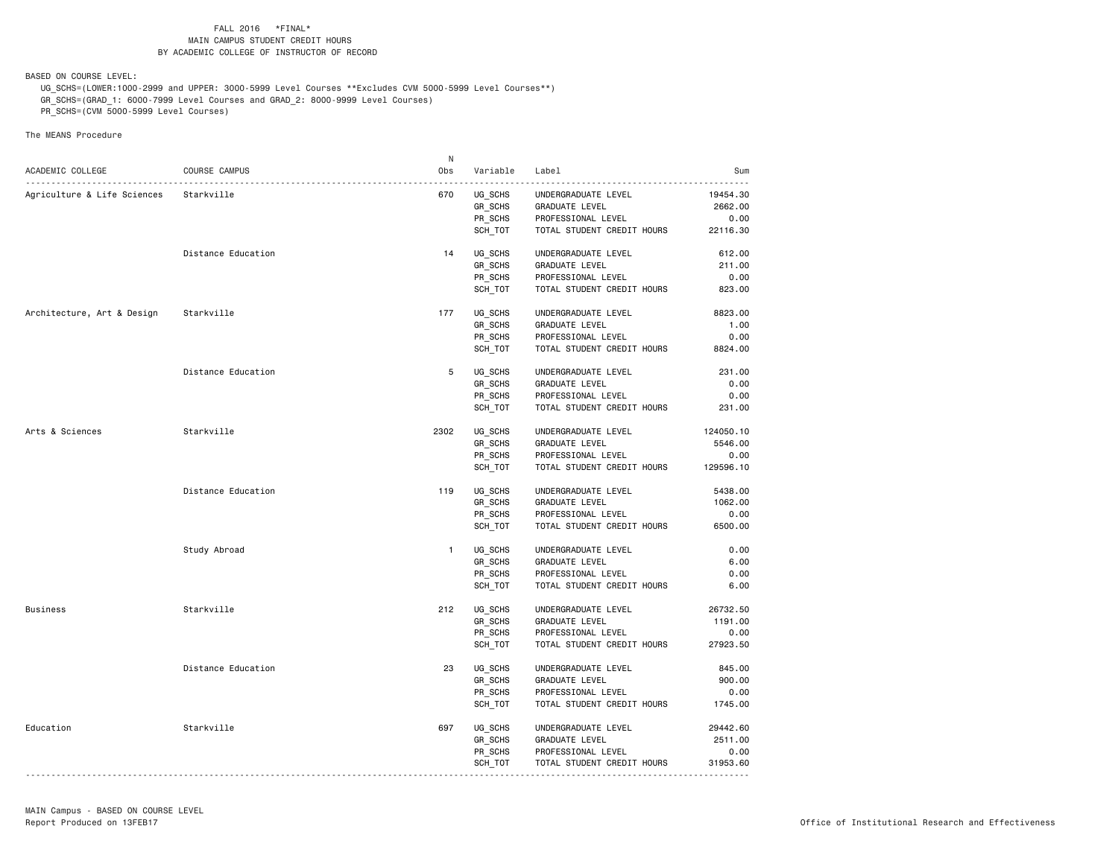BASED ON COURSE LEVEL:

 UG\_SCHS=(LOWER:1000-2999 and UPPER: 3000-5999 Level Courses \*\*Excludes CVM 5000-5999 Level Courses\*\*) GR\_SCHS=(GRAD\_1: 6000-7999 Level Courses and GRAD\_2: 8000-9999 Level Courses)

PR\_SCHS=(CVM 5000-5999 Level Courses)

|                             |                    | N            |          |                            |           |
|-----------------------------|--------------------|--------------|----------|----------------------------|-----------|
| ACADEMIC COLLEGE            | COURSE CAMPUS      | Obs          | Variable | Label                      | Sum       |
| Agriculture & Life Sciences | Starkville         | 670          | UG_SCHS  | UNDERGRADUATE LEVEL        | 19454.30  |
|                             |                    |              | GR SCHS  | <b>GRADUATE LEVEL</b>      | 2662.00   |
|                             |                    |              | PR_SCHS  | PROFESSIONAL LEVEL         | 0.00      |
|                             |                    |              | SCH TOT  | TOTAL STUDENT CREDIT HOURS | 22116.30  |
|                             |                    |              |          |                            |           |
|                             | Distance Education | 14           | UG_SCHS  | UNDERGRADUATE LEVEL        | 612.00    |
|                             |                    |              | GR_SCHS  | <b>GRADUATE LEVEL</b>      | 211.00    |
|                             |                    |              | PR_SCHS  | PROFESSIONAL LEVEL         | 0.00      |
|                             |                    |              | SCH TOT  | TOTAL STUDENT CREDIT HOURS | 823.00    |
| Architecture, Art & Design  | Starkville         | 177          | UG SCHS  | UNDERGRADUATE LEVEL        | 8823.00   |
|                             |                    |              | GR_SCHS  | GRADUATE LEVEL             | 1.00      |
|                             |                    |              | PR SCHS  | PROFESSIONAL LEVEL         | 0.00      |
|                             |                    |              | SCH TOT  | TOTAL STUDENT CREDIT HOURS | 8824.00   |
|                             | Distance Education | 5            | UG SCHS  | UNDERGRADUATE LEVEL        | 231.00    |
|                             |                    |              | GR_SCHS  | GRADUATE LEVEL             | 0.00      |
|                             |                    |              | PR_SCHS  | PROFESSIONAL LEVEL         | 0.00      |
|                             |                    |              | SCH_TOT  | TOTAL STUDENT CREDIT HOURS | 231.00    |
|                             |                    |              |          |                            |           |
| Arts & Sciences             | Starkville         | 2302         | UG_SCHS  | UNDERGRADUATE LEVEL        | 124050.10 |
|                             |                    |              | GR_SCHS  | <b>GRADUATE LEVEL</b>      | 5546.00   |
|                             |                    |              | PR SCHS  | PROFESSIONAL LEVEL         | 0.00      |
|                             |                    |              | SCH TOT  | TOTAL STUDENT CREDIT HOURS | 129596.10 |
|                             | Distance Education | 119          | UG_SCHS  | UNDERGRADUATE LEVEL        | 5438.00   |
|                             |                    |              | GR SCHS  | <b>GRADUATE LEVEL</b>      | 1062.00   |
|                             |                    |              | PR SCHS  | PROFESSIONAL LEVEL         | 0.00      |
|                             |                    |              | SCH_TOT  | TOTAL STUDENT CREDIT HOURS | 6500.00   |
|                             | Study Abroad       | $\mathbf{1}$ | UG SCHS  | UNDERGRADUATE LEVEL        | 0.00      |
|                             |                    |              | GR_SCHS  | <b>GRADUATE LEVEL</b>      | 6.00      |
|                             |                    |              | PR SCHS  | PROFESSIONAL LEVEL         | 0.00      |
|                             |                    |              | SCH_TOT  | TOTAL STUDENT CREDIT HOURS | 6.00      |
| <b>Business</b>             | Starkville         | 212          | UG_SCHS  | UNDERGRADUATE LEVEL        | 26732.50  |
|                             |                    |              | GR SCHS  | <b>GRADUATE LEVEL</b>      | 1191.00   |
|                             |                    |              | PR_SCHS  | PROFESSIONAL LEVEL         | 0.00      |
|                             |                    |              | SCH TOT  | TOTAL STUDENT CREDIT HOURS | 27923.50  |
|                             |                    |              |          |                            |           |
|                             | Distance Education | 23           | UG_SCHS  | UNDERGRADUATE LEVEL        | 845.00    |
|                             |                    |              | GR_SCHS  | <b>GRADUATE LEVEL</b>      | 900.00    |
|                             |                    |              | PR_SCHS  | PROFESSIONAL LEVEL         | 0.00      |
|                             |                    |              | SCH TOT  | TOTAL STUDENT CREDIT HOURS | 1745.00   |
| Education                   | Starkville         | 697          | UG SCHS  | UNDERGRADUATE LEVEL        | 29442.60  |
|                             |                    |              | GR_SCHS  | GRADUATE LEVEL             | 2511.00   |
|                             |                    |              | PR SCHS  | PROFESSIONAL LEVEL         | 0.00      |
|                             |                    |              |          |                            |           |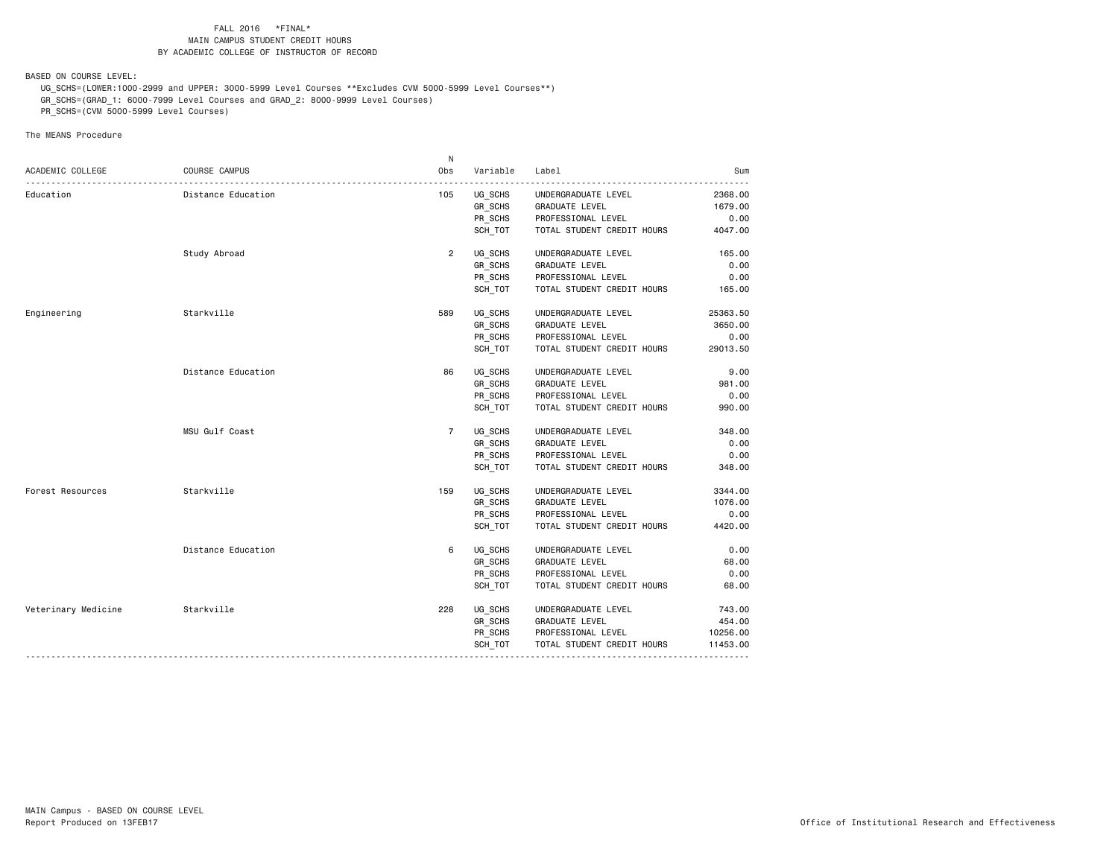BASED ON COURSE LEVEL:

 UG\_SCHS=(LOWER:1000-2999 and UPPER: 3000-5999 Level Courses \*\*Excludes CVM 5000-5999 Level Courses\*\*) GR\_SCHS=(GRAD\_1: 6000-7999 Level Courses and GRAD\_2: 8000-9999 Level Courses)

PR\_SCHS=(CVM 5000-5999 Level Courses)

|                     |                    | N               |          |                            |          |
|---------------------|--------------------|-----------------|----------|----------------------------|----------|
| ACADEMIC COLLEGE    | COURSE CAMPUS      | 0 <sub>bs</sub> | Variable | Label                      | Sum      |
| Education           | Distance Education | 105             | UG SCHS  | UNDERGRADUATE LEVEL        | 2368.00  |
|                     |                    |                 | GR_SCHS  | GRADUATE LEVEL             | 1679.00  |
|                     |                    |                 | PR SCHS  | PROFESSIONAL LEVEL         | 0.00     |
|                     |                    |                 | SCH TOT  | TOTAL STUDENT CREDIT HOURS | 4047.00  |
|                     | Study Abroad       | $\overline{2}$  | UG_SCHS  | UNDERGRADUATE LEVEL        | 165.00   |
|                     |                    |                 | GR SCHS  | GRADUATE LEVEL             | 0.00     |
|                     |                    |                 | PR_SCHS  | PROFESSIONAL LEVEL         | 0.00     |
|                     |                    |                 | SCH TOT  | TOTAL STUDENT CREDIT HOURS | 165.00   |
| Engineering         | Starkville         | 589             | UG SCHS  | UNDERGRADUATE LEVEL        | 25363.50 |
|                     |                    |                 | GR SCHS  | GRADUATE LEVEL             | 3650.00  |
|                     |                    |                 | PR_SCHS  | PROFESSIONAL LEVEL         | 0.00     |
|                     |                    |                 | SCH_TOT  | TOTAL STUDENT CREDIT HOURS | 29013.50 |
|                     | Distance Education | 86              | UG SCHS  | UNDERGRADUATE LEVEL        | 9.00     |
|                     |                    |                 | GR SCHS  | GRADUATE LEVEL             | 981.00   |
|                     |                    |                 | PR SCHS  | PROFESSIONAL LEVEL         | 0.00     |
|                     |                    |                 | SCH TOT  | TOTAL STUDENT CREDIT HOURS | 990.00   |
|                     | MSU Gulf Coast     | $\overline{7}$  | UG_SCHS  | UNDERGRADUATE LEVEL        | 348.00   |
|                     |                    |                 | GR_SCHS  | <b>GRADUATE LEVEL</b>      | 0.00     |
|                     |                    |                 | PR SCHS  | PROFESSIONAL LEVEL         | 0.00     |
|                     |                    |                 | SCH TOT  | TOTAL STUDENT CREDIT HOURS | 348.00   |
| Forest Resources    | Starkville         | 159             | UG SCHS  | UNDERGRADUATE LEVEL        | 3344.00  |
|                     |                    |                 | GR_SCHS  | GRADUATE LEVEL             | 1076.00  |
|                     |                    |                 | PR SCHS  | PROFESSIONAL LEVEL         | 0.00     |
|                     |                    |                 | SCH TOT  | TOTAL STUDENT CREDIT HOURS | 4420.00  |
|                     | Distance Education | 6               | UG SCHS  | UNDERGRADUATE LEVEL        | 0.00     |
|                     |                    |                 | GR_SCHS  | GRADUATE LEVEL             | 68.00    |
|                     |                    |                 | PR_SCHS  | PROFESSIONAL LEVEL         | 0.00     |
|                     |                    |                 | SCH TOT  | TOTAL STUDENT CREDIT HOURS | 68.00    |
| Veterinary Medicine | Starkville         | 228             | UG SCHS  | UNDERGRADUATE LEVEL        | 743.00   |
|                     |                    |                 | GR SCHS  | GRADUATE LEVEL             | 454.00   |
|                     |                    |                 | PR_SCHS  | PROFESSIONAL LEVEL         | 10256.00 |
|                     |                    |                 | SCH_TOT  | TOTAL STUDENT CREDIT HOURS | 11453.00 |
|                     |                    |                 |          |                            |          |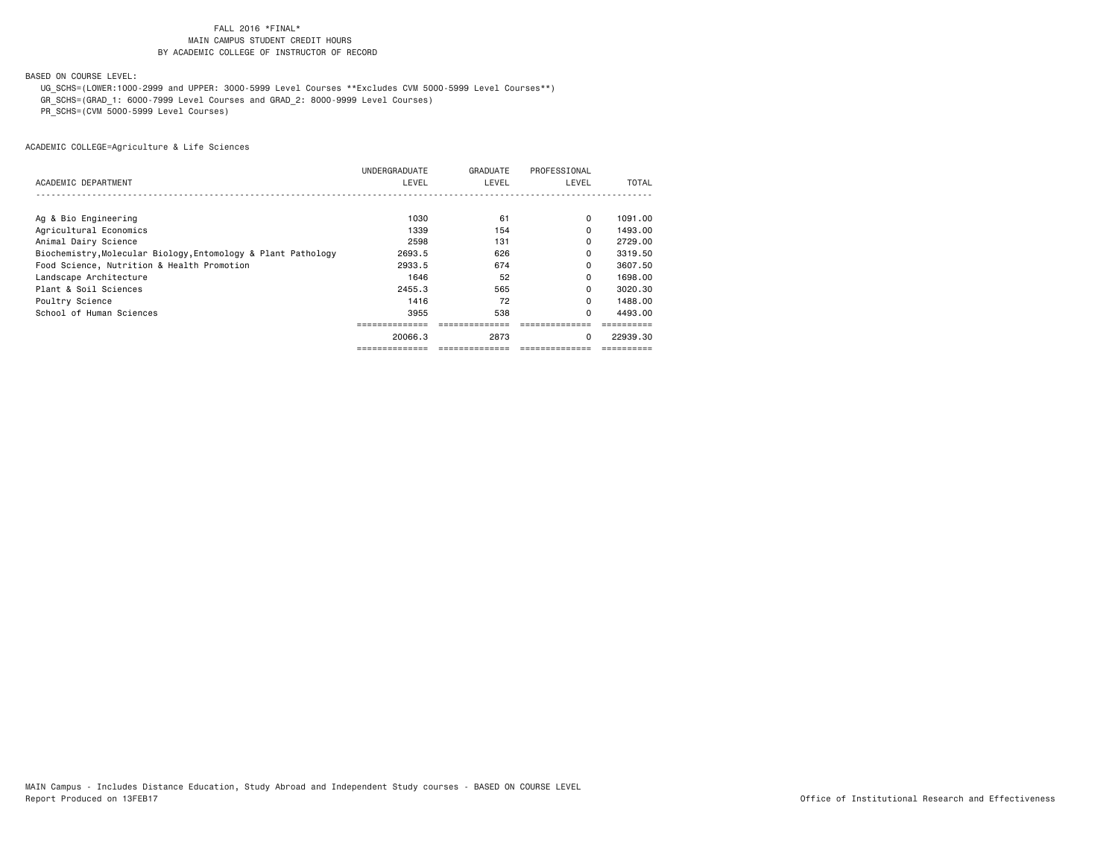BASED ON COURSE LEVEL:

UG\_SCHS=(LOWER:1000-2999 and UPPER: 3000-5999 Level Courses \*\*Excludes CVM 5000-5999 Level Courses\*\*)

GR\_SCHS=(GRAD\_1: 6000-7999 Level Courses and GRAD\_2: 8000-9999 Level Courses)

PR\_SCHS=(CVM 5000-5999 Level Courses)

|                                                               | UNDERGRADUATE | GRADUATE | PROFESSIONAL |          |
|---------------------------------------------------------------|---------------|----------|--------------|----------|
| ACADEMIC DEPARTMENT                                           | LEVEL         | LEVEL    | LEVEL        | TOTAL    |
|                                                               |               |          |              |          |
| Ag & Bio Engineering                                          | 1030          | 61       | $\Omega$     | 1091.00  |
| Agricultural Economics                                        | 1339          | 154      | $\Omega$     | 1493.00  |
| Animal Dairy Science                                          | 2598          | 131      | 0            | 2729.00  |
| Biochemistry, Molecular Biology, Entomology & Plant Pathology | 2693.5        | 626      | 0            | 3319.50  |
| Food Science, Nutrition & Health Promotion                    | 2933.5        | 674      | 0            | 3607.50  |
| Landscape Architecture                                        | 1646          | 52       | 0            | 1698.00  |
| Plant & Soil Sciences                                         | 2455.3        | 565      | 0            | 3020.30  |
| Poultry Science                                               | 1416          | 72       | $\Omega$     | 1488.00  |
| School of Human Sciences                                      | 3955          | 538      | $\Omega$     | 4493.00  |
|                                                               |               |          |              |          |
|                                                               | 20066.3       | 2873     | 0            | 22939.30 |
|                                                               |               |          |              |          |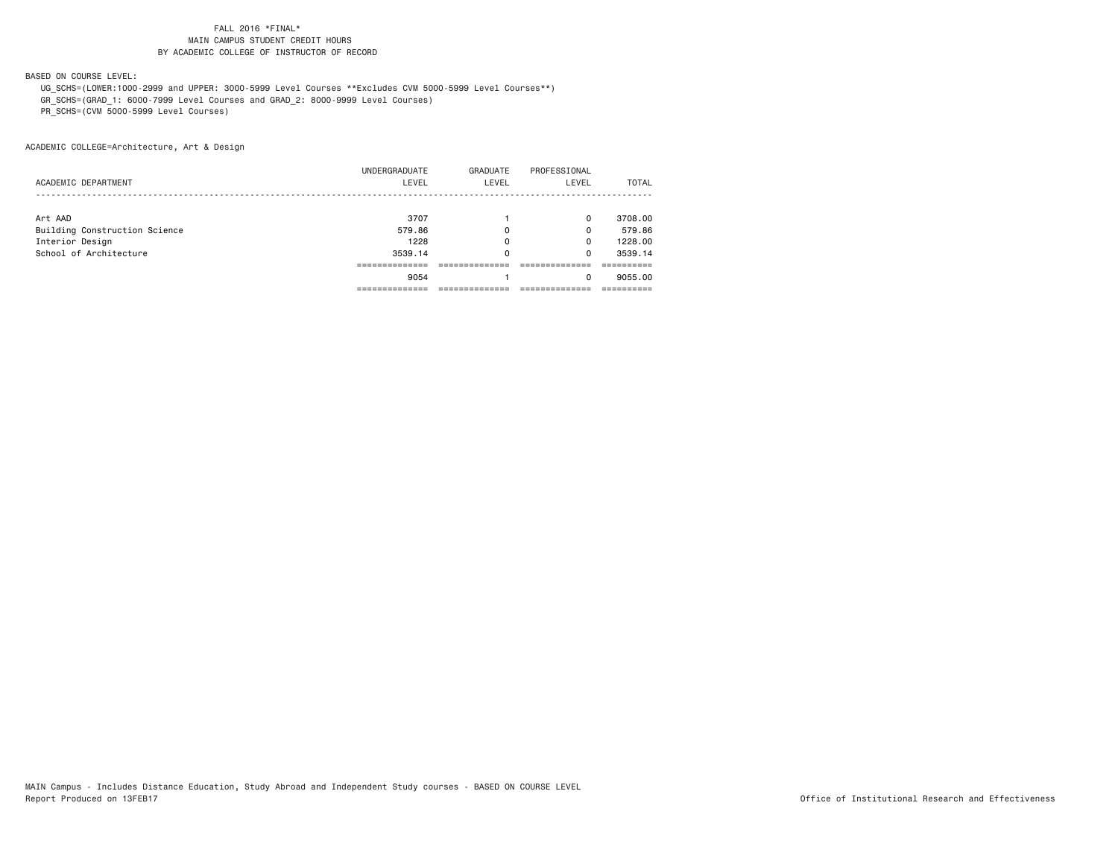BASED ON COURSE LEVEL:

 UG\_SCHS=(LOWER:1000-2999 and UPPER: 3000-5999 Level Courses \*\*Excludes CVM 5000-5999 Level Courses\*\*) GR\_SCHS=(GRAD\_1: 6000-7999 Level Courses and GRAD\_2: 8000-9999 Level Courses)

PR\_SCHS=(CVM 5000-5999 Level Courses)

ACADEMIC COLLEGE=Architecture, Art & Design

|                               | -----------         |          |              |         |
|-------------------------------|---------------------|----------|--------------|---------|
|                               | 9054                |          | 0            | 9055.00 |
|                               |                     |          |              |         |
| School of Architecture        | 3539.14             | 0        | 0            | 3539.14 |
| Interior Design               | 1228                | 0        | $\mathbf 0$  | 1228.00 |
| Building Construction Science | 579.86              | 0        | $\Omega$     | 579.86  |
| Art AAD                       | 3707                |          | $\Omega$     | 3708.00 |
|                               |                     |          |              |         |
|                               |                     |          |              | TOTAL   |
|                               | UNDERGRADUATE       | GRADUATE | PROFESSIONAL |         |
|                               | ACADEMIC DEPARTMENT | LEVEL    | LEVEL        | LEVEL   |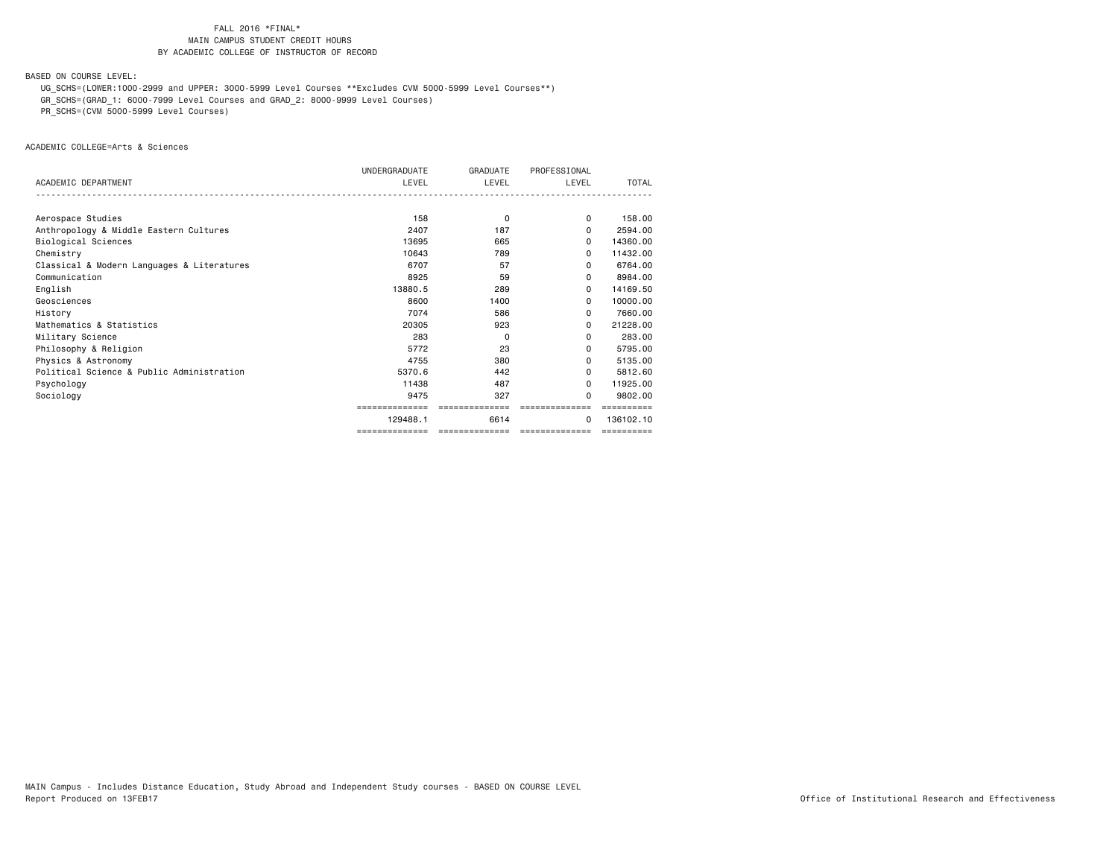BASED ON COURSE LEVEL:

UG\_SCHS=(LOWER:1000-2999 and UPPER: 3000-5999 Level Courses \*\*Excludes CVM 5000-5999 Level Courses\*\*)

GR\_SCHS=(GRAD\_1: 6000-7999 Level Courses and GRAD\_2: 8000-9999 Level Courses)

PR\_SCHS=(CVM 5000-5999 Level Courses)

ACADEMIC COLLEGE=Arts & Sciences

|                                            | UNDERGRADUATE  | <b>GRADUATE</b> | PROFESSIONAL   |            |
|--------------------------------------------|----------------|-----------------|----------------|------------|
| ACADEMIC DEPARTMENT                        | LEVEL          | LEVEL           | LEVEL          | TOTAL      |
|                                            |                |                 |                |            |
| Aerospace Studies                          | 158            | $\Omega$        | $\Omega$       | 158,00     |
| Anthropology & Middle Eastern Cultures     | 2407           | 187             | $\Omega$       | 2594.00    |
| Biological Sciences                        | 13695          | 665             | <sup>o</sup>   | 14360.00   |
| Chemistry                                  | 10643          | 789             | 0              | 11432.00   |
| Classical & Modern Languages & Literatures | 6707           | 57              | 0              | 6764.00    |
| Communication                              | 8925           | 59              | 0              | 8984.00    |
| English                                    | 13880.5        | 289             | $\Omega$       | 14169.50   |
| Geosciences                                | 8600           | 1400            | <sup>o</sup>   | 10000.00   |
| History                                    | 7074           | 586             | 0              | 7660.00    |
| Mathematics & Statistics                   | 20305          | 923             | 0              | 21228.00   |
| Military Science                           | 283            | 0               | 0              | 283.00     |
| Philosophy & Religion                      | 5772           | 23              | 0              | 5795.00    |
| Physics & Astronomy                        | 4755           | 380             | 0              | 5135.00    |
| Political Science & Public Administration  | 5370.6         | 442             | <sup>o</sup>   | 5812.60    |
| Psychology                                 | 11438          | 487             | $\Omega$       | 11925.00   |
| Sociology                                  | 9475           | 327             | 0              | 9802.00    |
|                                            |                |                 |                |            |
|                                            | 129488.1       | 6614            | 0              | 136102.10  |
|                                            | ============== | ==============  | ============== | ========== |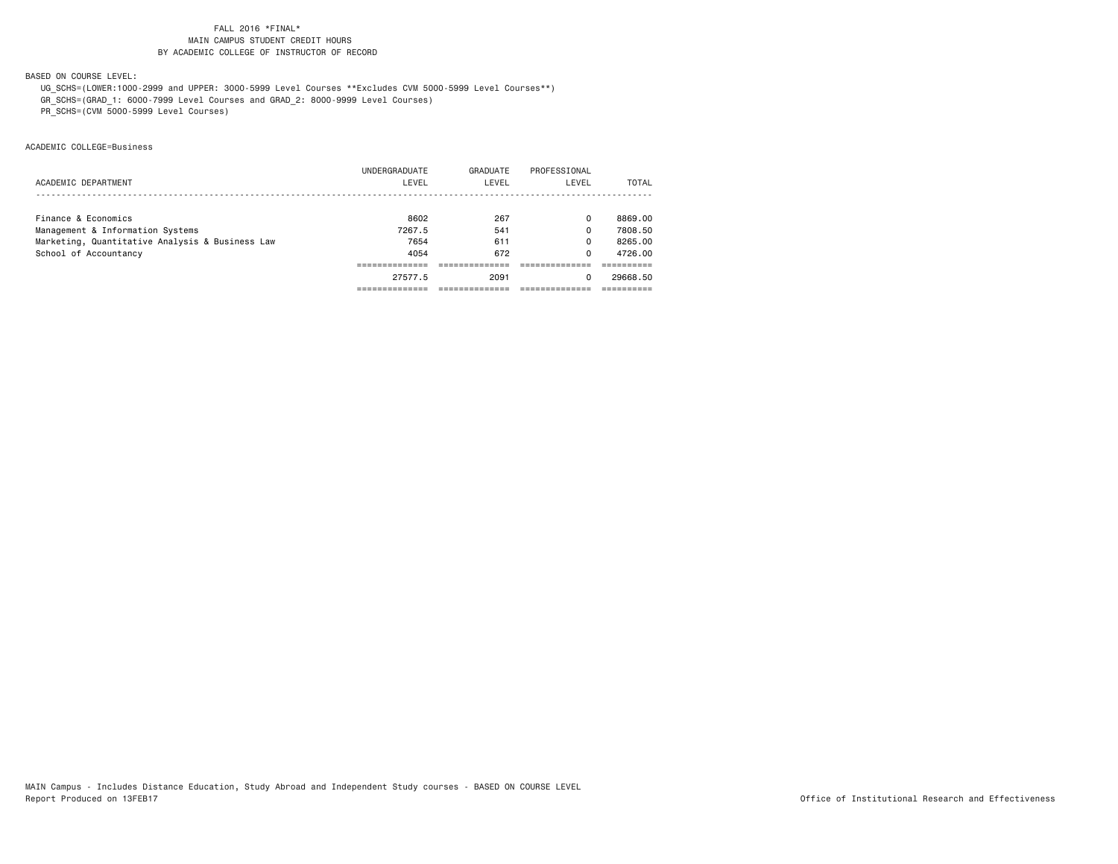BASED ON COURSE LEVEL:

UG\_SCHS=(LOWER:1000-2999 and UPPER: 3000-5999 Level Courses \*\*Excludes CVM 5000-5999 Level Courses\*\*)

GR\_SCHS=(GRAD\_1: 6000-7999 Level Courses and GRAD\_2: 8000-9999 Level Courses)

PR\_SCHS=(CVM 5000-5999 Level Courses)

ACADEMIC COLLEGE=Business

|                                                 | 27577.5       | 2091     | O            | 29668.50 |
|-------------------------------------------------|---------------|----------|--------------|----------|
|                                                 |               |          |              |          |
| School of Accountancy                           | 4054          | 672      | 0            | 4726.00  |
| Marketing, Quantitative Analysis & Business Law | 7654          | 611      | 0            | 8265.00  |
| Management & Information Systems                | 7267.5        | 541      | 0            | 7808.50  |
| Finance & Economics                             | 8602          | 267      | 0            | 8869.00  |
|                                                 |               |          |              |          |
| ACADEMIC DEPARTMENT                             | LEVEL         | LEVEL    | LEVEL        | TOTAL    |
|                                                 | UNDERGRADUATE | GRADUATE | PROFESSIONAL |          |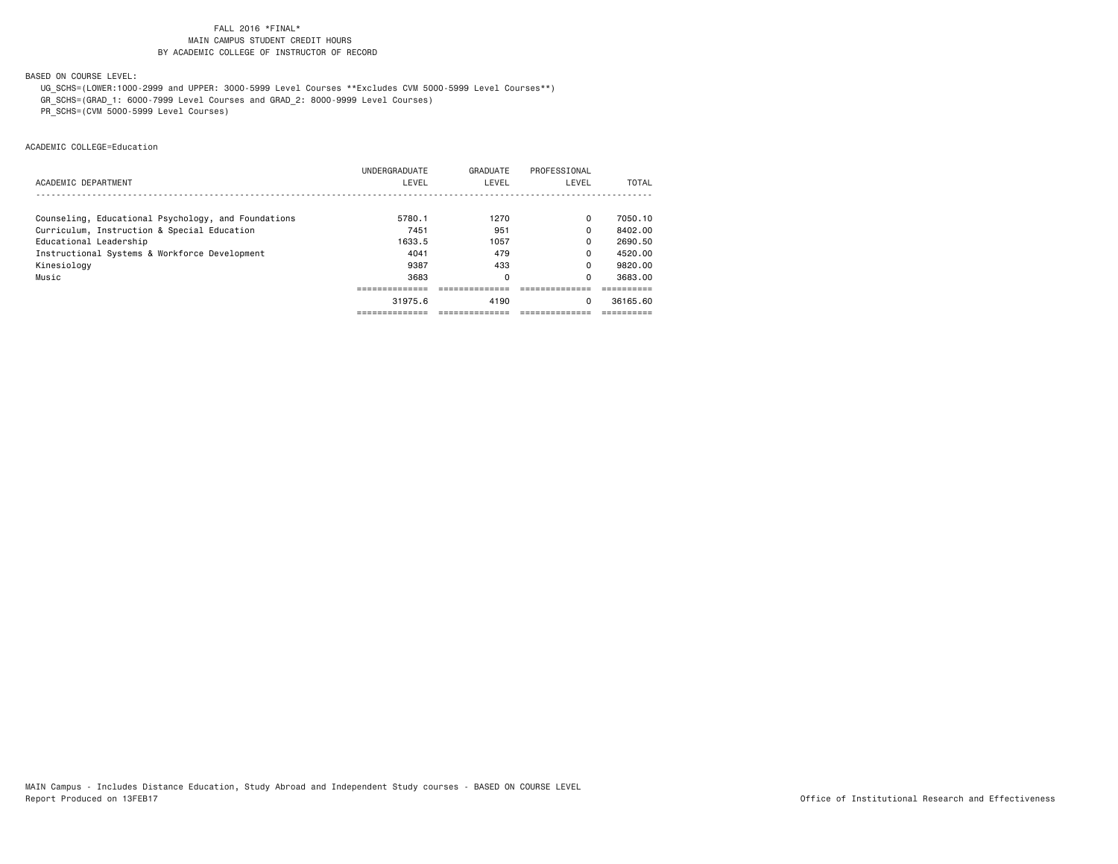BASED ON COURSE LEVEL:

UG\_SCHS=(LOWER:1000-2999 and UPPER: 3000-5999 Level Courses \*\*Excludes CVM 5000-5999 Level Courses\*\*)

GR\_SCHS=(GRAD\_1: 6000-7999 Level Courses and GRAD\_2: 8000-9999 Level Courses)

PR\_SCHS=(CVM 5000-5999 Level Courses)

ACADEMIC COLLEGE=Education

|                                                     | <b>UNDERGRADUATE</b> | GRADUATE | PROFESSIONAL |          |
|-----------------------------------------------------|----------------------|----------|--------------|----------|
| ACADEMIC DEPARTMENT                                 | LEVEL                | LEVEL    | LEVEL        | TOTAL    |
|                                                     |                      |          |              |          |
| Counseling, Educational Psychology, and Foundations | 5780.1               | 1270     | 0            | 7050.10  |
| Curriculum, Instruction & Special Education         | 7451                 | 951      | 0            | 8402.00  |
| Educational Leadership                              | 1633.5               | 1057     | 0            | 2690.50  |
| Instructional Systems & Workforce Development       | 4041                 | 479      | 0            | 4520.00  |
| Kinesiology                                         | 9387                 | 433      | 0            | 9820.00  |
| Music                                               | 3683                 | 0        | 0            | 3683.00  |
|                                                     |                      |          |              |          |
|                                                     | 31975.6              | 4190     | 0            | 36165.60 |
|                                                     |                      |          |              |          |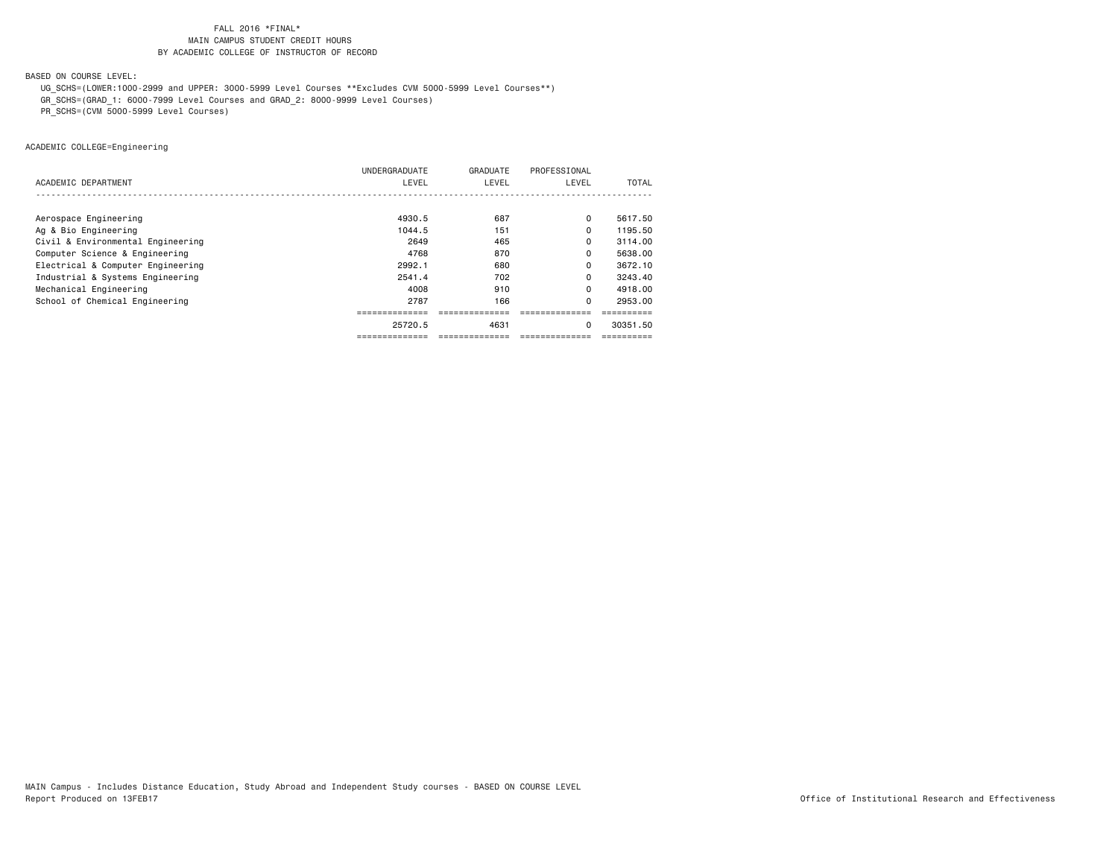BASED ON COURSE LEVEL:

UG\_SCHS=(LOWER:1000-2999 and UPPER: 3000-5999 Level Courses \*\*Excludes CVM 5000-5999 Level Courses\*\*)

GR\_SCHS=(GRAD\_1: 6000-7999 Level Courses and GRAD\_2: 8000-9999 Level Courses)

PR\_SCHS=(CVM 5000-5999 Level Courses)

ACADEMIC COLLEGE=Engineering

|                                   | UNDERGRADUATE | GRADUATE | PROFESSIONAL |          |
|-----------------------------------|---------------|----------|--------------|----------|
| ACADEMIC DEPARTMENT               | LEVEL         | LEVEL    | LEVEL        | TOTAL    |
|                                   |               |          |              |          |
| Aerospace Engineering             | 4930.5        | 687      | 0            | 5617.50  |
| Ag & Bio Engineering              | 1044.5        | 151      | $\Omega$     | 1195.50  |
| Civil & Environmental Engineering | 2649          | 465      | 0            | 3114.00  |
| Computer Science & Engineering    | 4768          | 870      | 0            | 5638,00  |
| Electrical & Computer Engineering | 2992.1        | 680      | 0            | 3672.10  |
| Industrial & Systems Engineering  | 2541.4        | 702      | 0            | 3243.40  |
| Mechanical Engineering            | 4008          | 910      | 0            | 4918.00  |
| School of Chemical Engineering    | 2787          | 166      | $\Omega$     | 2953.00  |
|                                   |               |          |              |          |
|                                   | 25720.5       | 4631     | 0            | 30351.50 |
|                                   | ------------- |          |              |          |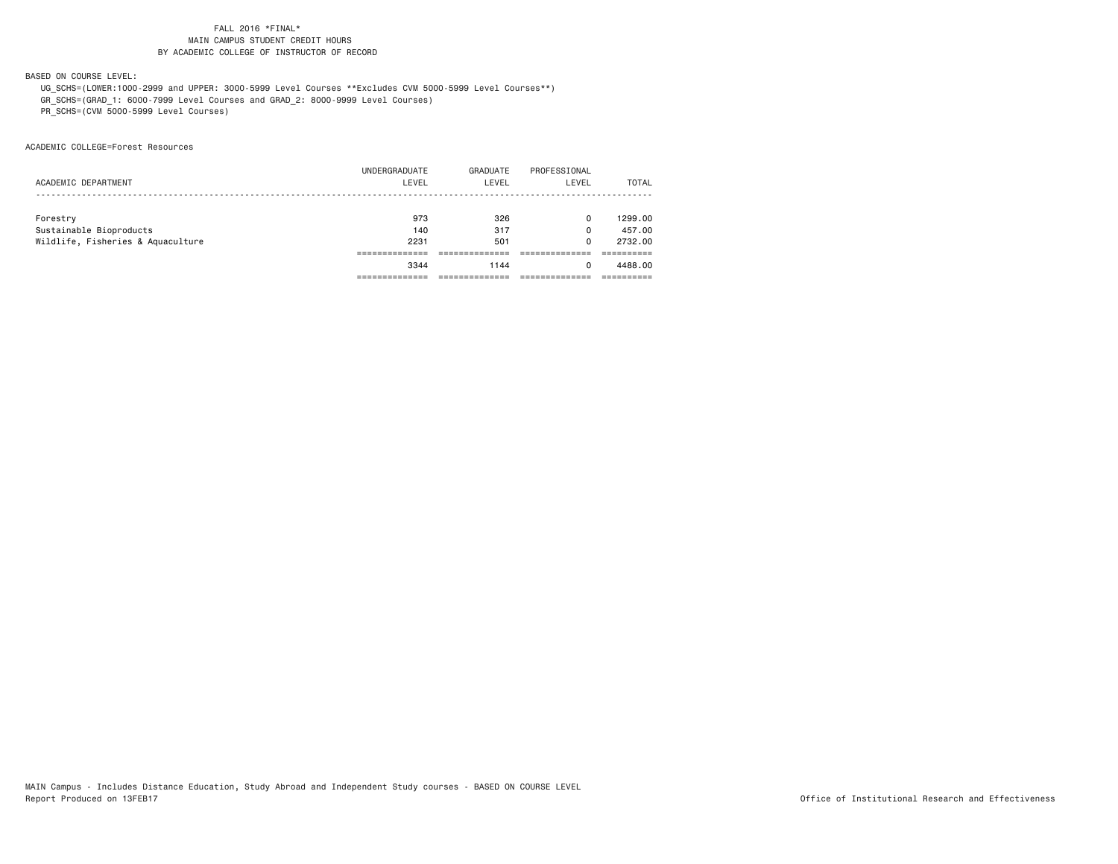BASED ON COURSE LEVEL:

 UG\_SCHS=(LOWER:1000-2999 and UPPER: 3000-5999 Level Courses \*\*Excludes CVM 5000-5999 Level Courses\*\*) GR\_SCHS=(GRAD\_1: 6000-7999 Level Courses and GRAD\_2: 8000-9999 Level Courses)

PR\_SCHS=(CVM 5000-5999 Level Courses)

ACADEMIC COLLEGE=Forest Resources

|                                   | 3344          | 1144     | <sup>0</sup> | 4488.00 |
|-----------------------------------|---------------|----------|--------------|---------|
|                                   |               |          |              |         |
| Wildlife, Fisheries & Aquaculture | 2231          | 501      | 0            | 2732.00 |
| Sustainable Bioproducts           | 140           | 317      | 0            | 457,00  |
| Forestry                          | 973           | 326      | 0            | 1299.00 |
|                                   |               |          |              |         |
| ACADEMIC DEPARTMENT               | LEVEL         | LEVEL    | LEVEL        | TOTAL   |
|                                   | UNDERGRADUATE | GRADUATE | PROFESSIONAL |         |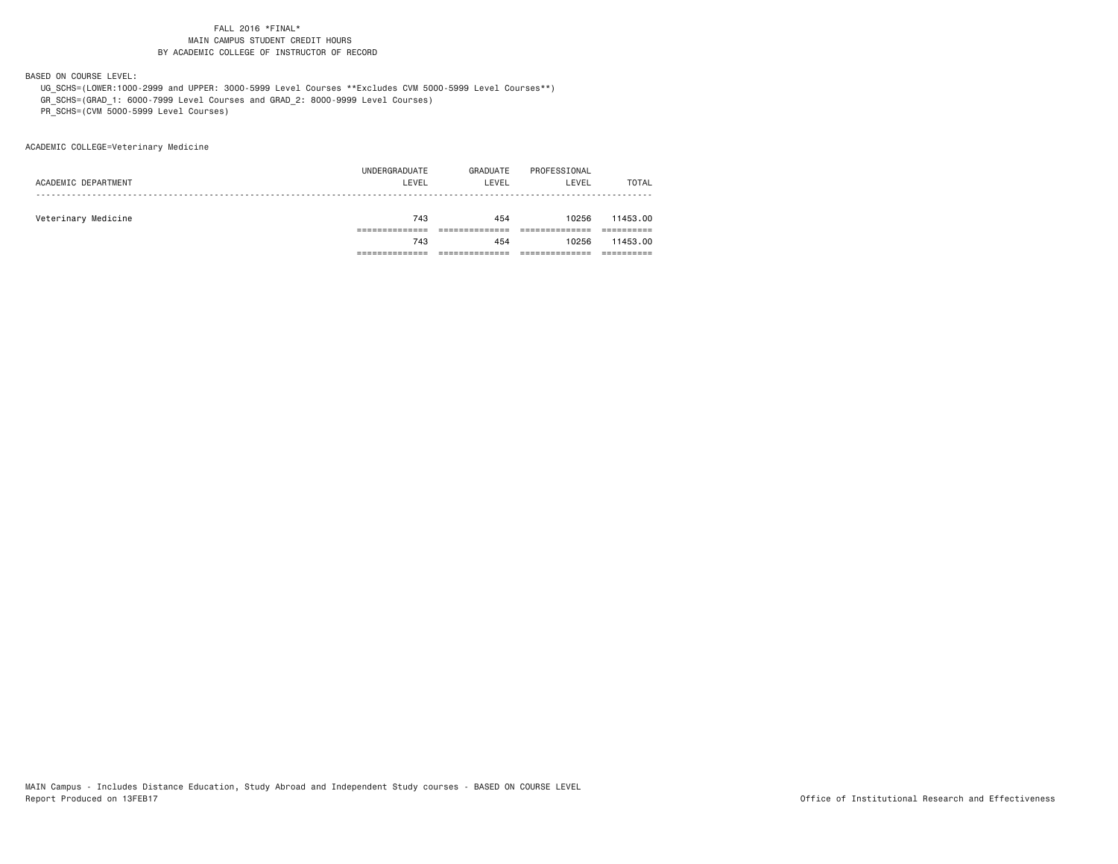BASED ON COURSE LEVEL:

 UG\_SCHS=(LOWER:1000-2999 and UPPER: 3000-5999 Level Courses \*\*Excludes CVM 5000-5999 Level Courses\*\*) GR\_SCHS=(GRAD\_1: 6000-7999 Level Courses and GRAD\_2: 8000-9999 Level Courses)

PR\_SCHS=(CVM 5000-5999 Level Courses)

ACADEMIC COLLEGE=Veterinary Medicine

|                     | 743           | 454      | 10256        | 11453.00     |
|---------------------|---------------|----------|--------------|--------------|
|                     |               |          |              |              |
| Veterinary Medicine | 743           | 454      | 10256        | 11453.00     |
|                     |               |          |              |              |
| ACADEMIC DEPARTMENT | LEVEL         | LEVEL    | LEVEL        | <b>TOTAL</b> |
|                     | UNDERGRADUATE | GRADUATE | PROFESSIONAL |              |
|                     |               |          |              |              |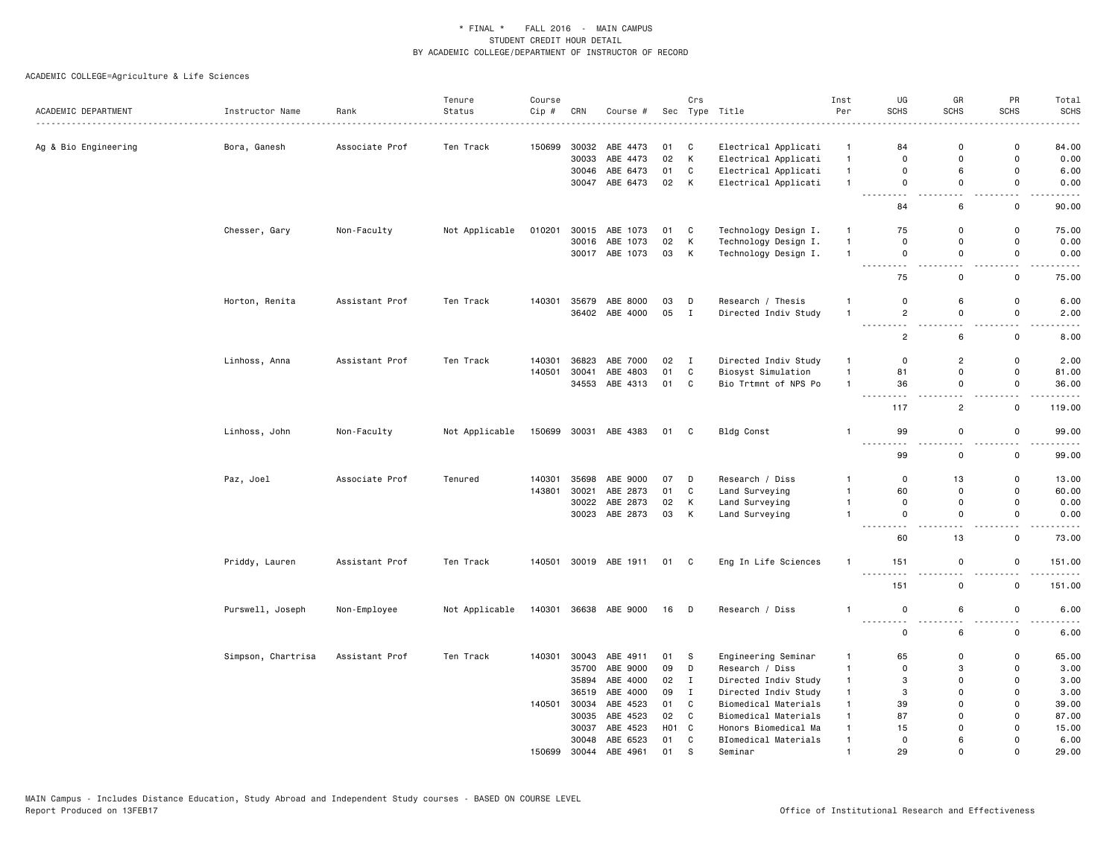| ACADEMIC DEPARTMENT  | Instructor Name    | Rank           | Tenure<br>Status | Course<br>Cip # | CRN   | Course #              |                 | Crs          | Sec Type Title       | Inst<br>Per  | UG<br><b>SCHS</b>                          | GR<br>SCHS                              | PR<br><b>SCHS</b>                       | Total<br><b>SCHS</b> |
|----------------------|--------------------|----------------|------------------|-----------------|-------|-----------------------|-----------------|--------------|----------------------|--------------|--------------------------------------------|-----------------------------------------|-----------------------------------------|----------------------|
| Ag & Bio Engineering | Bora, Ganesh       | Associate Prof | Ten Track        | 150699          |       | 30032 ABE 4473        | 01              | C            | Electrical Applicati | $\mathbf{1}$ | 84                                         | 0                                       | $\mathbf 0$                             | 84.00                |
|                      |                    |                |                  |                 | 30033 | ABE 4473              | 02              | К            | Electrical Applicati | $\mathbf{1}$ | 0                                          | $\mathbf 0$                             | $\mathbf 0$                             | 0.00                 |
|                      |                    |                |                  |                 |       | 30046 ABE 6473        | 01              | C            | Electrical Applicati | $\mathbf{1}$ | 0                                          | 6                                       | $\mathbf 0$                             | 6.00                 |
|                      |                    |                |                  |                 |       | 30047 ABE 6473        | 02              | K            | Electrical Applicati | $\mathbf{1}$ | $\mathsf 0$                                | $\mathbf 0$                             | $\mathsf 0$                             | 0.00                 |
|                      |                    |                |                  |                 |       |                       |                 |              |                      |              | $\sim$ $\sim$<br>$\sim$<br>84              | ò,<br>6                                 | . .<br>$\mathbf 0$                      | 90.00                |
|                      | Chesser, Gary      | Non-Faculty    | Not Applicable   | 010201          |       | 30015 ABE 1073        | 01              | C            | Technology Design I. | $\mathbf{1}$ | 75                                         | $\mathbf 0$                             | $\mathsf 0$                             | 75.00                |
|                      |                    |                |                  |                 | 30016 | ABE 1073              | 02              | Κ            | Technology Design I. | $\mathbf{1}$ | $\mathbf 0$                                | $\mathbf 0$                             | 0                                       | 0.00                 |
|                      |                    |                |                  |                 |       | 30017 ABE 1073        | 03              | К            | Technology Design I. | $\mathbf{1}$ | 0<br>$\sim$ $\sim$<br>$\sim$ $\sim$        | $\mathsf 0$<br>$\overline{\phantom{a}}$ | $\mathsf 0$<br>$\sim$                   | 0.00                 |
|                      |                    |                |                  |                 |       |                       |                 |              |                      |              | 75                                         | $\mathsf 0$                             | $\mathsf 0$                             | 75.00                |
|                      | Horton, Renita     | Assistant Prof | Ten Track        | 140301          |       | 35679 ABE 8000        | 03              | D            | Research / Thesis    | $\mathbf{1}$ | 0                                          | 6                                       | $\mathsf 0$                             | 6.00                 |
|                      |                    |                |                  |                 |       | 36402 ABE 4000        | 05 I            |              | Directed Indiv Study | $\mathbf{1}$ | $\overline{c}$<br>$\sim$ $\sim$            | 0                                       | $\mathbf 0$                             | 2.00                 |
|                      |                    |                |                  |                 |       |                       |                 |              |                      |              | $\overline{2}$                             | 6                                       | $\mathbf 0$                             | 8.00                 |
|                      | Linhoss, Anna      | Assistant Prof | Ten Track        | 140301          | 36823 | ABE 7000              | 02              | $\mathbf{I}$ | Directed Indiv Study | $\mathbf{1}$ | 0                                          | $\overline{2}$                          | $\mathbf 0$                             | 2.00                 |
|                      |                    |                |                  | 140501          | 30041 | ABE 4803              | 01              | $\mathtt{C}$ | Biosyst Simulation   | $\mathbf{1}$ | 81                                         | $\mathbf 0$                             | $\mathbf 0$                             | 81.00                |
|                      |                    |                |                  |                 |       | 34553 ABE 4313        | 01              | C            | Bio Trtmnt of NPS Po | $\mathbf{1}$ | 36                                         | 0<br>. .                                | 0<br>. .                                | 36.00                |
|                      |                    |                |                  |                 |       |                       |                 |              |                      |              | 117                                        | $\overline{2}$                          | $\mathbf 0$                             | 119.00               |
|                      | Linhoss, John      | Non-Faculty    | Not Applicable   | 150699          |       | 30031 ABE 4383        | 01 C            |              | Bldg Const           | $\mathbf{1}$ | 99<br>$\sim$ $\sim$ $\sim$                 | $\mathsf{o}$                            | $\mathsf 0$<br>$\overline{\phantom{a}}$ | 99.00                |
|                      |                    |                |                  |                 |       |                       |                 |              |                      |              | 99                                         | 0                                       | $\mathsf 0$                             | 99.00                |
|                      | Paz, Joel          | Associate Prof | Tenured          | 140301          | 35698 | ABE 9000              | 07              | D            | Research / Diss      | $\mathbf{1}$ | 0                                          | 13                                      | $\mathsf 0$                             | 13.00                |
|                      |                    |                |                  | 143801          | 30021 | ABE 2873              | 01              | $\mathtt{C}$ | Land Surveying       | $\mathbf{1}$ | 60                                         | 0                                       | $\mathbf 0$                             | 60.00                |
|                      |                    |                |                  |                 |       | 30022 ABE 2873        | 02              | Κ            | Land Surveying       | $\mathbf{1}$ | 0                                          | 0                                       | $\mathsf 0$                             | 0.00                 |
|                      |                    |                |                  |                 |       | 30023 ABE 2873        | 03              | К            | Land Surveying       | $\mathbf{1}$ | 0<br>- - -                                 | $\mathbf 0$<br>$\sim$                   | $\mathbf 0$<br>$\sim$ $\sim$            | 0.00                 |
|                      |                    |                |                  |                 |       |                       |                 |              |                      |              | 60                                         | 13                                      | $\mathsf 0$                             | 73.00                |
|                      | Priddy, Lauren     | Assistant Prof | Ten Track        |                 |       | 140501 30019 ABE 1911 | 01 C            |              | Eng In Life Sciences | $\mathbf{1}$ | 151                                        | $\mathbf 0$                             | $\mathbf 0$                             | 151.00               |
|                      |                    |                |                  |                 |       |                       |                 |              |                      |              | 151                                        | $\mathsf 0$                             | $\mathbf 0$                             | 151.00               |
|                      | Purswell, Joseph   | Non-Employee   | Not Applicable   | 140301          |       | 36638 ABE 9000        | 16 D            |              | Research / Diss      | 1            | $\mathbf 0$<br>$\sim$ $\sim$ $\sim$ $\sim$ | 6                                       | $\mathsf 0$<br>. .                      | 6.00                 |
|                      |                    |                |                  |                 |       |                       |                 |              |                      |              | 0                                          | 6                                       | $\mathsf 0$                             | 6.00                 |
|                      | Simpson, Chartrisa | Assistant Prof | Ten Track        | 140301          |       | 30043 ABE 4911        | 01              | -S           | Engineering Seminar  | $\mathbf{1}$ | 65                                         | 0                                       | $\mathsf 0$                             | 65.00                |
|                      |                    |                |                  |                 | 35700 | ABE 9000              | 09              | D            | Research / Diss      | $\mathbf{1}$ | $\Omega$                                   | 3                                       | $\mathbf 0$                             | 3.00                 |
|                      |                    |                |                  |                 | 35894 | ABE 4000              | 02              | I            | Directed Indiv Study | $\mathbf{1}$ | 3                                          | 0                                       | $\mathbf 0$                             | 3.00                 |
|                      |                    |                |                  |                 | 36519 | ABE 4000              | 09              | $\mathbf{I}$ | Directed Indiv Study | $\mathbf{1}$ | 3                                          | $\Omega$                                | $\Omega$                                | 3.00                 |
|                      |                    |                |                  | 140501          | 30034 | ABE 4523              | 01              | C            | Biomedical Materials | $\mathbf{1}$ | 39                                         | $\Omega$                                | $\mathbf 0$                             | 39.00                |
|                      |                    |                |                  |                 |       | 30035 ABE 4523        | 02              | C            | Biomedical Materials | $\mathbf{1}$ | 87                                         | $\Omega$                                | $\mathbf 0$                             | 87.00                |
|                      |                    |                |                  |                 | 30037 | ABE 4523              | HO <sub>1</sub> | $\mathbf{C}$ | Honors Biomedical Ma | $\mathbf{1}$ | 15                                         | $\Omega$                                | $\Omega$                                | 15.00                |
|                      |                    |                |                  |                 | 30048 | ABE 6523              | 01              | C            | BIomedical Materials | $\mathbf{1}$ | $\mathbf 0$                                | 6                                       | $\overline{0}$                          | 6.00                 |
|                      |                    |                |                  | 150699          | 30044 | ABE 4961              | 01              | S            | Seminar              | $\mathbf{1}$ | 29                                         | $\Omega$                                | $\Omega$                                | 29.00                |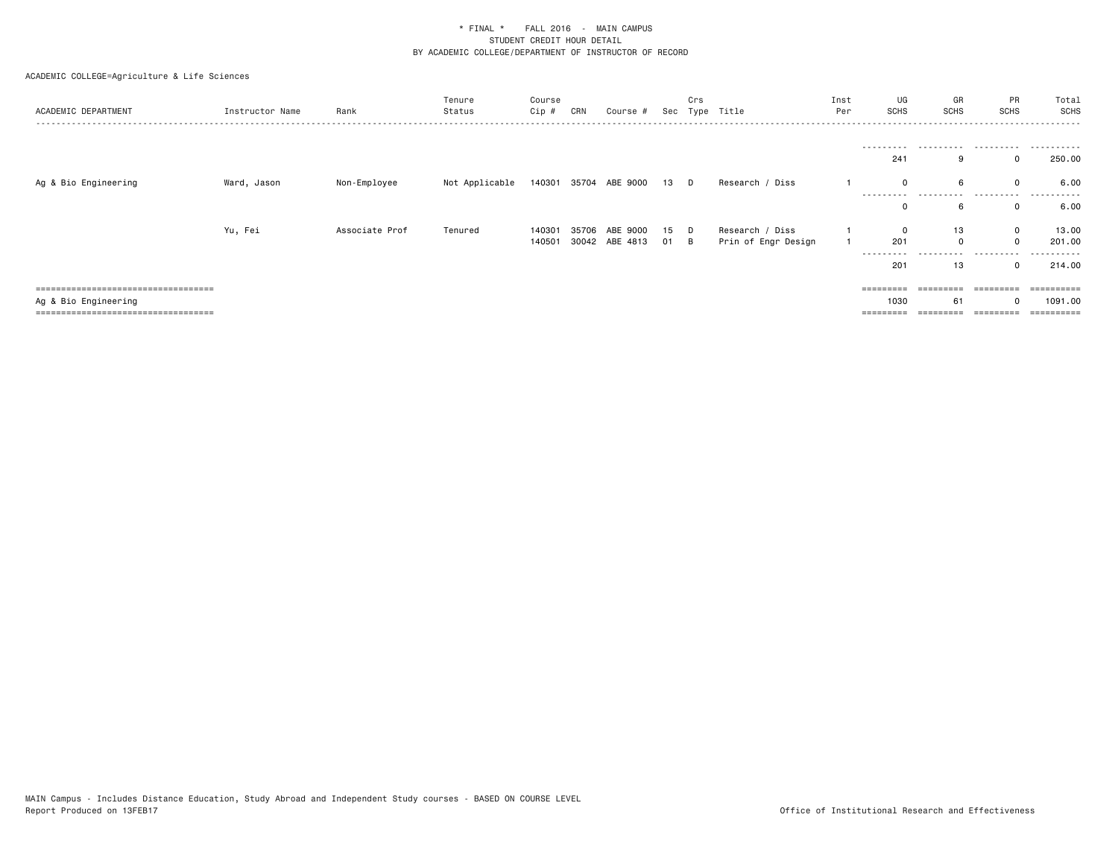| ACADEMIC DEPARTMENT                  | Instructor Name | Rank           | Tenure<br>Status | Course<br>Cip # | CRN | Course #              | Sec  | Crs | Type Title          | Inst<br>Per | UG<br>SCHS          | GR<br>SCHS    | PR<br><b>SCHS</b> | Total<br>SCHS<br>. <u>.</u> . |
|--------------------------------------|-----------------|----------------|------------------|-----------------|-----|-----------------------|------|-----|---------------------|-------------|---------------------|---------------|-------------------|-------------------------------|
|                                      |                 |                |                  |                 |     |                       |      |     |                     |             | ----------          |               |                   |                               |
|                                      |                 |                |                  |                 |     |                       |      |     |                     |             | 241                 |               |                   | 250.00                        |
| Ag & Bio Engineering                 | Ward, Jason     | Non-Employee   | Not Applicable   |                 |     | 140301 35704 ABE 9000 | 13 D |     | Research / Diss     |             |                     |               |                   | 6.00                          |
|                                      |                 |                |                  |                 |     |                       |      |     |                     |             | ----------<br>0     | .             | .<br>$\Omega$     | 6.00                          |
|                                      | Yu, Fei         | Associate Prof | Tenured          | 140301          |     | 35706 ABE 9000        | 15   | - D | Research / Diss     |             |                     | 13            | 0                 | 13.00                         |
|                                      |                 |                |                  | 140501          |     | 30042 ABE 4813        | 01 B |     | Prin of Engr Design |             | 201                 | $\Omega$<br>. | $\Omega$          | 201.00                        |
|                                      |                 |                |                  |                 |     |                       |      |     |                     |             | ---------<br>201    | 13            | .<br>$\Omega$     | . <b>.</b> .<br>214.00        |
| ===================================  |                 |                |                  |                 |     |                       |      |     |                     |             | $=$ = = = = = = = = |               | =========         | ==========                    |
| Ag & Bio Engineering                 |                 |                |                  |                 |     |                       |      |     |                     |             | 1030                | 61            |                   | 1091.00                       |
| ==================================== |                 |                |                  |                 |     |                       |      |     |                     |             | ========            |               | =========         | ==========                    |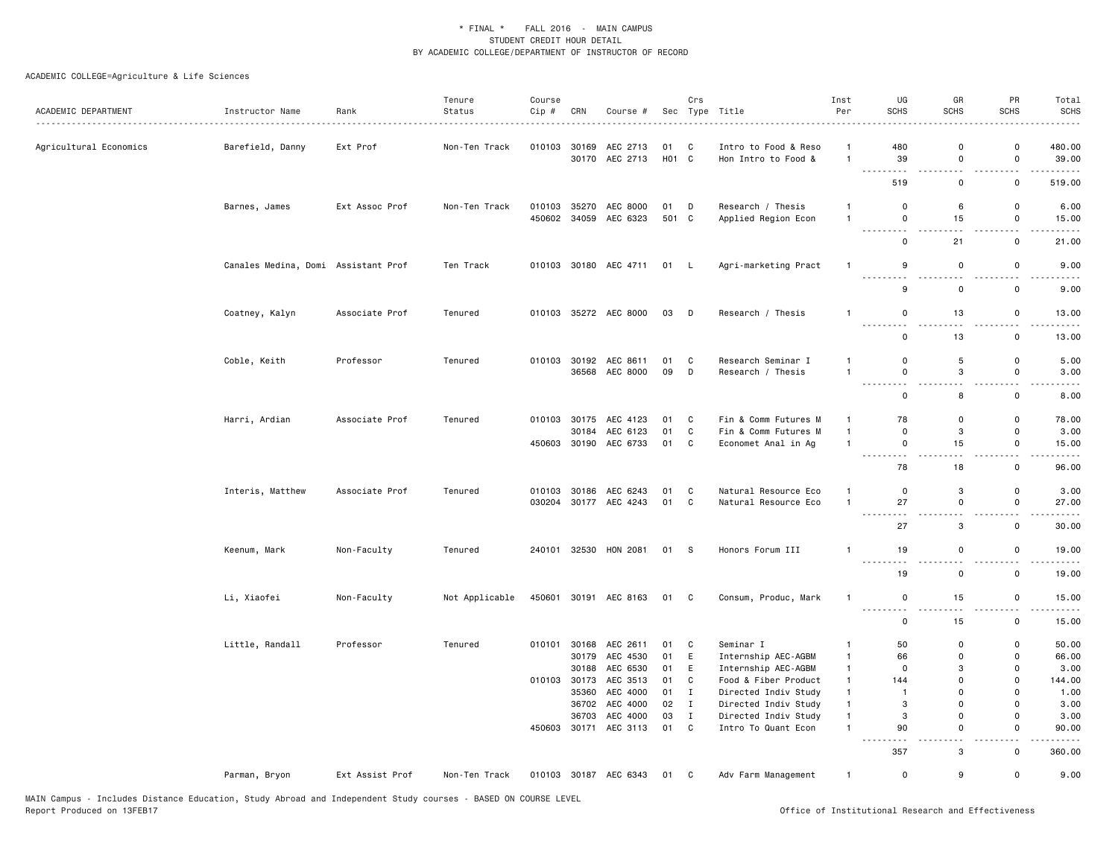| ACADEMIC DEPARTMENT    | Instructor Name                     | Rank<br>.       | Tenure<br>Status | Course<br>Cip # | CRN          | Course #                   |             | Crs          | Sec Type Title                              | Inst<br>Per                    | UG<br><b>SCHS</b>                | GR<br><b>SCHS</b>            | PR<br><b>SCHS</b>             | Total<br><b>SCHS</b>                                                                                                                                 |
|------------------------|-------------------------------------|-----------------|------------------|-----------------|--------------|----------------------------|-------------|--------------|---------------------------------------------|--------------------------------|----------------------------------|------------------------------|-------------------------------|------------------------------------------------------------------------------------------------------------------------------------------------------|
| Agricultural Economics | Barefield, Danny                    | Ext Prof        | Non-Ten Track    | 010103          | 30169        | AEC 2713<br>30170 AEC 2713 | 01<br>H01 C | C            | Intro to Food & Reso<br>Hon Intro to Food & | $\mathbf{1}$<br>$\overline{1}$ | 480<br>39                        | $\mathbf 0$<br>$\mathbf 0$   | $\mathsf 0$<br>$\mathsf{o}$   | 480.00<br>39.00                                                                                                                                      |
|                        |                                     |                 |                  |                 |              |                            |             |              |                                             |                                | $\sim$ $\sim$ $\sim$<br>.<br>519 | $\sim$ $\sim$<br>$\mathbf 0$ | $\sim$ $\sim$<br>$\mathsf{o}$ | .<br>519.00                                                                                                                                          |
|                        | Barnes, James                       | Ext Assoc Prof  | Non-Ten Track    | 010103          |              | 35270 AEC 8000             | 01 D        |              | Research / Thesis                           | $\mathbf{1}$                   | $\mathsf 0$                      | 6                            | $\mathsf{o}$                  | 6.00                                                                                                                                                 |
|                        |                                     |                 |                  |                 |              | 450602 34059 AEC 6323      | 501 C       |              | Applied Region Econ                         | $\mathbf{1}$                   | $\mathsf 0$                      | 15                           | $\mathsf 0$                   | 15.00                                                                                                                                                |
|                        |                                     |                 |                  |                 |              |                            |             |              |                                             |                                | .<br>$\mathsf 0$                 | $\sim$ $\sim$<br>21          | $\sim$ $\sim$<br>$\mathsf 0$  | $- - - -$<br>21.00                                                                                                                                   |
|                        | Canales Medina, Domi Assistant Prof |                 | Ten Track        |                 |              | 010103 30180 AEC 4711      | 01 L        |              | Agri-marketing Pract                        | $\overline{1}$                 | 9                                | $\mathbf 0$                  | 0                             | 9.00                                                                                                                                                 |
|                        |                                     |                 |                  |                 |              |                            |             |              |                                             |                                | . <b>.</b><br>9                  | $\sim$<br>$\mathbf 0$        | 44<br>0                       | 9.00                                                                                                                                                 |
|                        | Coatney, Kalyn                      | Associate Prof  | Tenured          |                 |              | 010103 35272 AEC 8000      | 03 D        |              | Research / Thesis                           | $\mathbf{1}$                   | $\mathbf 0$                      | 13                           | $\mathbf 0$                   | 13.00                                                                                                                                                |
|                        |                                     |                 |                  |                 |              |                            |             |              |                                             |                                | ---------<br>$\mathbf 0$         | الداماء<br>13                | $\sim$ $\sim$<br>$\mathbf 0$  | $- - - -$<br>13.00                                                                                                                                   |
|                        |                                     |                 |                  |                 |              |                            |             |              |                                             |                                |                                  |                              |                               |                                                                                                                                                      |
|                        | Coble, Keith                        | Professor       | Tenured          | 010103          | 30192        | AEC 8611                   | 01          | C            | Research Seminar I                          | $\mathbf{1}$                   | $\mathbf 0$                      | 5                            | $\mathsf 0$                   | 5.00                                                                                                                                                 |
|                        |                                     |                 |                  |                 |              | 36568 AEC 8000             | 09          | D            | Research / Thesis                           | $\overline{1}$                 | $\mathbf 0$                      | 3                            | $\mathsf 0$                   | 3.00                                                                                                                                                 |
|                        |                                     |                 |                  |                 |              |                            |             |              |                                             |                                | .<br>$\mathbf 0$                 | 44<br>8                      | 0                             | 8.00                                                                                                                                                 |
|                        | Harri, Ardian                       | Associate Prof  | Tenured          |                 |              | 010103 30175 AEC 4123      | 01          | C            | Fin & Comm Futures M                        | $\overline{1}$                 | 78                               | $\mathbf 0$                  | 0                             | 78.00                                                                                                                                                |
|                        |                                     |                 |                  |                 | 30184        | AEC 6123                   | 01          | $\mathbf{C}$ | Fin & Comm Futures M                        | $\mathbf{1}$                   | $\mathbf 0$                      | 3                            | $\mathsf 0$                   | 3.00                                                                                                                                                 |
|                        |                                     |                 |                  |                 |              | 450603 30190 AEC 6733      | 01          | C            | Economet Anal in Ag                         | $\mathbf{1}$                   | $\mathbf 0$                      | 15                           | 0                             | 15.00                                                                                                                                                |
|                        |                                     |                 |                  |                 |              |                            |             |              |                                             |                                | .                                | .                            | $\sim$ $\sim$                 | $\frac{1}{2} \left( \frac{1}{2} \right) \left( \frac{1}{2} \right) \left( \frac{1}{2} \right) \left( \frac{1}{2} \right) \left( \frac{1}{2} \right)$ |
|                        |                                     |                 |                  |                 |              |                            |             |              |                                             |                                | 78                               | 18                           | $\mathsf 0$                   | 96.00                                                                                                                                                |
|                        | Interis, Matthew                    | Associate Prof  | Tenured          | 010103          |              | 30186 AEC 6243             | 01          | C            | Natural Resource Eco                        | $\overline{1}$                 | $\mathbf 0$                      | 3                            | $\mathsf 0$                   | 3.00                                                                                                                                                 |
|                        |                                     |                 |                  | 030204          |              | 30177 AEC 4243             | 01          | $\mathbf{C}$ | Natural Resource Eco                        | $\overline{1}$                 | 27                               | $\mathbf 0$                  | $\mathsf 0$                   | 27.00                                                                                                                                                |
|                        |                                     |                 |                  |                 |              |                            |             |              |                                             |                                | .<br>27                          | 3                            | $\mathsf 0$                   | 30.00                                                                                                                                                |
|                        | Keenum, Mark                        | Non-Faculty     | Tenured          |                 |              | 240101 32530 HON 2081      | 01 S        |              | Honors Forum III                            | $\overline{1}$                 | 19                               | $\mathbf 0$                  | $\mathsf 0$                   | 19.00                                                                                                                                                |
|                        |                                     |                 |                  |                 |              |                            |             |              |                                             |                                | .<br>19                          | . .<br>$\pmb{0}$             | . .<br>$\mathsf 0$            | $\frac{1}{2} \left( \frac{1}{2} \right) \left( \frac{1}{2} \right) \left( \frac{1}{2} \right) \left( \frac{1}{2} \right)$<br>19.00                   |
|                        | Li, Xiaofei                         | Non-Faculty     | Not Applicable   | 450601          |              | 30191 AEC 8163             | 01 C        |              | Consum, Produc, Mark                        | $\overline{1}$                 | $\mathbf 0$                      | 15                           | $\mathsf 0$                   | 15.00                                                                                                                                                |
|                        |                                     |                 |                  |                 |              |                            |             |              |                                             |                                | .<br>.<br>$\mathsf 0$            | 15                           | . .<br>$\mathsf 0$            | 15.00                                                                                                                                                |
|                        | Little, Randall                     | Professor       | Tenured          |                 |              | 010101 30168 AEC 2611      | 01 C        |              | Seminar I                                   | -1                             | 50                               | $\mathbf 0$                  | $\mathsf{o}$                  | 50.00                                                                                                                                                |
|                        |                                     |                 |                  |                 | 30179        | AEC 4530                   | 01          | E            | Internship AEC-AGBM                         | $\overline{1}$                 | 66                               | $\Omega$                     | $\mathsf 0$                   | 66.00                                                                                                                                                |
|                        |                                     |                 |                  |                 | 30188        | AEC 6530                   | 01          | E            | Internship AEC-AGBM                         | $\mathbf{1}$                   | $\mathbf 0$                      | 3                            | $\mathsf 0$                   | 3.00                                                                                                                                                 |
|                        |                                     |                 |                  |                 | 010103 30173 | AEC 3513                   | 01          | C            | Food & Fiber Product                        | $\mathbf{1}$                   | 144                              | $\Omega$                     | $\mathsf{o}$                  | 144.00                                                                                                                                               |
|                        |                                     |                 |                  |                 | 35360        | AEC 4000                   | 01 I        |              | Directed Indiv Study                        | $\mathbf{1}$                   | $\overline{1}$                   | $\Omega$                     | $\mathsf 0$                   | 1.00                                                                                                                                                 |
|                        |                                     |                 |                  |                 | 36702        | AEC 4000                   | 02          | $\mathbf{I}$ | Directed Indiv Study                        | $\mathbf{1}$                   | 3                                | $\mathbf 0$                  | $\mathsf 0$                   | 3.00                                                                                                                                                 |
|                        |                                     |                 |                  |                 | 36703        | AEC 4000                   | 03          | $\mathbf{I}$ | Directed Indiv Study                        | $\mathbf{1}$                   | 3                                | $\mathbf 0$                  | $\mathsf 0$                   | 3.00                                                                                                                                                 |
|                        |                                     |                 |                  |                 |              | 450603 30171 AEC 3113      | 01 C        |              | Intro To Quant Econ                         | $\overline{1}$                 | 90                               | $\mathsf 0$                  | $\mathsf 0$                   | 90.00                                                                                                                                                |
|                        |                                     |                 |                  |                 |              |                            |             |              |                                             |                                | 357                              | a.<br>3                      | .<br>$\mathsf 0$              | 360.00                                                                                                                                               |
|                        | Parman, Bryon                       | Ext Assist Prof | Non-Ten Track    |                 |              | 010103 30187 AEC 6343      | 01 C        |              | Adv Farm Management                         | $\mathbf{1}$                   | 0                                | 9                            | $\mathsf 0$                   | 9.00                                                                                                                                                 |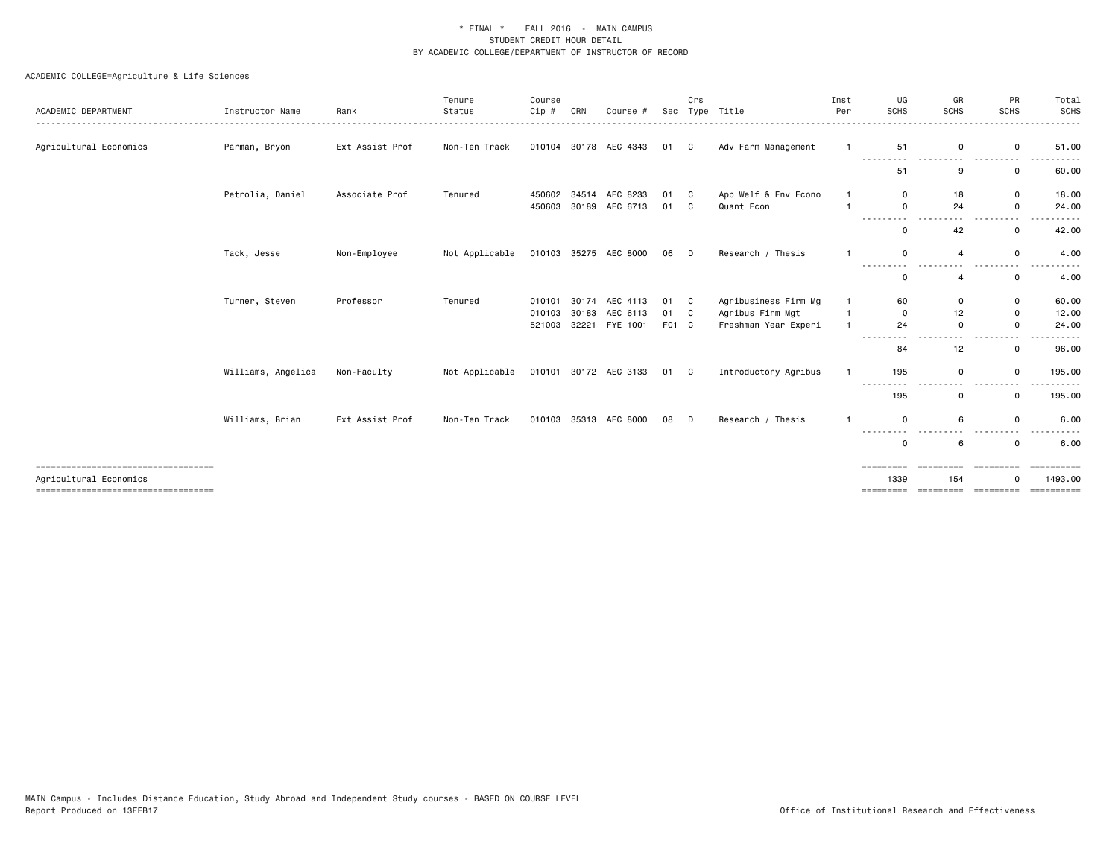| ACADEMIC DEPARTMENT                                          | Instructor Name    | Rank            | Tenure<br>Status | Course<br>Cip # | CRN   | Course #              | Sec   | Crs | Type Title           | Inst<br>Per  | UG<br><b>SCHS</b>             | GR<br><b>SCHS</b> | PR<br><b>SCHS</b>      | Total<br><b>SCHS</b>  |
|--------------------------------------------------------------|--------------------|-----------------|------------------|-----------------|-------|-----------------------|-------|-----|----------------------|--------------|-------------------------------|-------------------|------------------------|-----------------------|
| Agricultural Economics                                       | Parman, Bryon      | Ext Assist Prof | Non-Ten Track    |                 |       | 010104 30178 AEC 4343 | 01 C  |     | Adv Farm Management  |              | 51<br>------                  | 0                 | 0                      | 51.00                 |
|                                                              |                    |                 |                  |                 |       |                       |       |     |                      |              | 51                            | 9                 | 0                      | 60.00                 |
|                                                              | Petrolia, Daniel   | Associate Prof  | Tenured          | 450602          |       | 34514 AEC 8233        | 01    | C   | App Welf & Env Econo | -1           | $\Omega$                      | 18                | 0                      | 18.00                 |
|                                                              |                    |                 |                  | 450603          |       | 30189 AEC 6713        | 01    | C   | Quant Econ           |              | $\Omega$                      | 24                | $\mathbf 0$            | 24.00                 |
|                                                              |                    |                 |                  |                 |       |                       |       |     |                      |              | $\Omega$                      | 42                | 0                      | 42.00                 |
|                                                              | Tack, Jesse        | Non-Employee    | Not Applicable   |                 |       | 010103 35275 AEC 8000 | 06 D  |     | Research / Thesis    |              | $\Omega$                      | $\overline{4}$    | 0                      | 4.00                  |
|                                                              |                    |                 |                  |                 |       |                       |       |     |                      |              | -------- <i>-</i><br>$\Omega$ | $\overline{a}$    | $\mathbf 0$            | 4.00                  |
|                                                              | Turner, Steven     | Professor       | Tenured          | 010101          |       | 30174 AEC 4113        | 01 C  |     | Agribusiness Firm Mg | $\mathbf{1}$ | 60                            | $\mathbf 0$       | $\mathbf 0$            | 60.00                 |
|                                                              |                    |                 |                  | 010103          | 30183 | AEC 6113              | 01 C  |     | Agribus Firm Mgt     | $\mathbf{1}$ | $\Omega$                      | 12                | $\mathbf 0$            | 12.00                 |
|                                                              |                    |                 |                  | 521003          |       | 32221 FYE 1001        | F01 C |     | Freshman Year Experi | $\mathbf{1}$ | 24                            | $\Omega$          | $\Omega$               | 24.00<br>. <b>.</b> . |
|                                                              |                    |                 |                  |                 |       |                       |       |     |                      |              | 84                            | 12                | $\Omega$               | 96.00                 |
|                                                              | Williams, Angelica | Non-Faculty     | Not Applicable   |                 |       | 010101 30172 AEC 3133 | 01 C  |     | Introductory Agribus |              | 195                           | 0                 | $\Omega$               | 195,00                |
|                                                              |                    |                 |                  |                 |       |                       |       |     |                      |              | 195                           | 0                 | $\mathbf 0$            | 195.00                |
|                                                              | Williams, Brian    | Ext Assist Prof | Non-Ten Track    | 010103          |       | 35313 AEC 8000        | 08    | D   | Research / Thesis    |              | $\Omega$                      | 6                 | $\mathbf 0$            | 6.00                  |
|                                                              |                    |                 |                  |                 |       |                       |       |     |                      |              | ---------<br>0                | 6                 | 0                      | 6.00                  |
| ----------------------------------<br>Agricultural Economics |                    |                 |                  |                 |       |                       |       |     |                      |              | =========<br>1339             | =========<br>154  | ----------<br>$\Omega$ | ==========<br>1493.00 |
| ----------------------------------                           |                    |                 |                  |                 |       |                       |       |     |                      |              | =========                     | =========         | =========              | ==========            |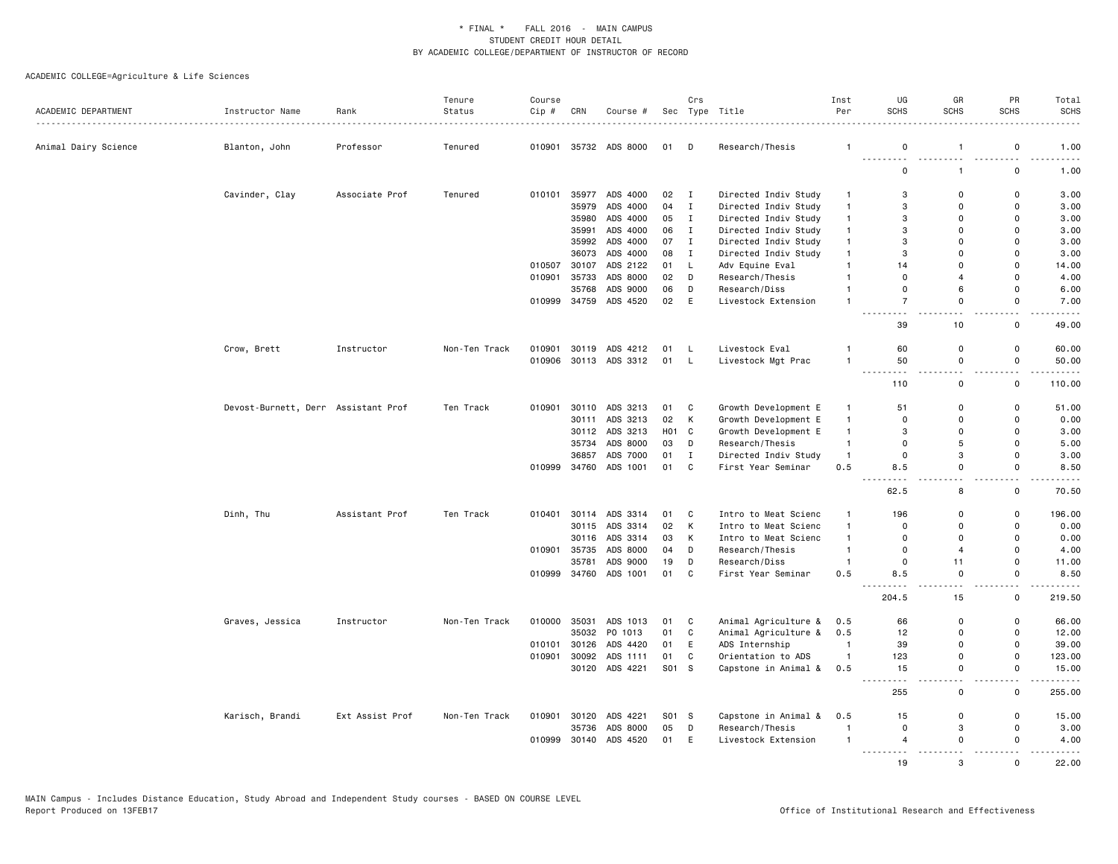| ACADEMIC DEPARTMENT  | Instructor Name                     | Rank            | Tenure<br>Status | Course<br>Cip# | CRN   | Course #              |                   | Crs          | Sec Type Title       | Inst<br>Per    | UG<br><b>SCHS</b>         | GR<br><b>SCHS</b>            | PR<br><b>SCHS</b>            | Total<br><b>SCHS</b> |
|----------------------|-------------------------------------|-----------------|------------------|----------------|-------|-----------------------|-------------------|--------------|----------------------|----------------|---------------------------|------------------------------|------------------------------|----------------------|
| Animal Dairy Science | Blanton, John                       | .<br>Professor  | Tenured          | 010901         |       | 35732 ADS 8000        | 01                | D            | Research/Thesis      | $\mathbf{1}$   | $\mathbf 0$               | $\mathbf{1}$                 | 0                            | 1.00                 |
|                      |                                     |                 |                  |                |       |                       |                   |              |                      |                | $\mathbf 0$               | $\mathbf{1}$                 | $\mathsf 0$                  | 1.00                 |
|                      | Cavinder, Clay                      | Associate Prof  | Tenured          | 010101         |       | 35977 ADS 4000        | 02                | $\mathbf{I}$ | Directed Indiv Study | $\mathbf{1}$   | 3                         | $\mathbf 0$                  | $\mathbf 0$                  | 3.00                 |
|                      |                                     |                 |                  |                | 35979 | ADS 4000              | 04                | $\mathbf{I}$ | Directed Indiv Study | $\mathbf{1}$   | 3                         | $\Omega$                     | $\Omega$                     | 3.00                 |
|                      |                                     |                 |                  |                | 35980 | ADS 4000              | 05                | $\mathbf{I}$ | Directed Indiv Study | $\mathbf{1}$   | 3                         | $\Omega$                     | $\Omega$                     | 3.00                 |
|                      |                                     |                 |                  |                | 35991 | ADS 4000              | 06                | $\mathbf{I}$ | Directed Indiv Study | $\mathbf{1}$   | 3                         | $\mathbf 0$                  | $\mathsf 0$                  | 3.00                 |
|                      |                                     |                 |                  |                |       | 35992 ADS 4000        | 07                | $\mathbf{I}$ | Directed Indiv Study | $\overline{1}$ | 3                         | $\Omega$                     | $\Omega$                     | 3.00                 |
|                      |                                     |                 |                  |                | 36073 | ADS 4000              | 08                | $\mathbf{I}$ | Directed Indiv Study | $\overline{1}$ | 3                         | $\Omega$                     | $\Omega$                     | 3,00                 |
|                      |                                     |                 |                  | 010507         | 30107 | ADS 2122              | 01                | L,           | Adv Equine Eval      | $\mathbf{1}$   | 14                        | $\Omega$                     | 0                            | 14.00                |
|                      |                                     |                 |                  | 010901         | 35733 | ADS 8000              | 02                | D            | Research/Thesis      | $\overline{1}$ | $\mathbf 0$               | $\overline{a}$               | $\mathbf 0$                  | 4.00                 |
|                      |                                     |                 |                  |                | 35768 | ADS 9000              | 06                | D            | Research/Diss        | $\overline{1}$ | $\mathbf 0$               | 6                            | $\mathbf 0$                  | 6.00                 |
|                      |                                     |                 |                  | 010999         |       | 34759 ADS 4520        | 02                | E            | Livestock Extension  | $\overline{1}$ | $\overline{7}$            | $\mathbf 0$                  | 0                            | 7.00                 |
|                      |                                     |                 |                  |                |       |                       |                   |              |                      |                | $\sim$ $\sim$<br>39       | $-$<br>10                    | $ -$<br>$\mathbf 0$          | 49.00                |
|                      | Crow, Brett                         | Instructor      | Non-Ten Track    | 010901         |       | 30119 ADS 4212        | 01 L              |              | Livestock Eval       | 1              | 60                        | $\mathbf 0$                  | $\mathsf 0$                  | 60.00                |
|                      |                                     |                 |                  | 010906         |       | 30113 ADS 3312        | 01                | $\mathsf{L}$ | Livestock Mgt Prac   | $\mathbf{1}$   | 50                        | $\mathbf 0$                  | $\mathsf{o}$                 | 50.00                |
|                      |                                     |                 |                  |                |       |                       |                   |              |                      |                | .<br>$\sim$ $\sim$<br>110 | ٠.<br>$\mathbf 0$            | ٠.<br>$\mathbf 0$            | 110.00               |
|                      | Devost-Burnett, Derr Assistant Prof |                 | Ten Track        | 010901         |       | 30110 ADS 3213        | 01                | $\mathbf{C}$ | Growth Development E | $\mathbf{1}$   | 51                        | $\mathbf 0$                  | $\mathsf 0$                  | 51.00                |
|                      |                                     |                 |                  |                | 30111 | ADS 3213              | 02                | K            | Growth Development E | $\overline{1}$ | $\mathbf 0$               | $\mathbf 0$                  | $\mathsf 0$                  | 0.00                 |
|                      |                                     |                 |                  |                |       | 30112 ADS 3213        | H <sub>01</sub> C |              | Growth Development E | $\overline{1}$ | 3                         | $\mathbf 0$                  | $\mathbf 0$                  | 3.00                 |
|                      |                                     |                 |                  |                | 35734 | ADS 8000              | 03                | D            | Research/Thesis      | $\overline{1}$ | $\overline{0}$            | 5                            | $\mathbf 0$                  | 5.00                 |
|                      |                                     |                 |                  |                | 36857 | ADS 7000              | 01                | $\mathbf I$  | Directed Indiv Study | $\overline{1}$ | 0                         | 3                            | 0                            | 3.00                 |
|                      |                                     |                 |                  | 010999         | 34760 | ADS 1001              | 01                | C            | First Year Seminar   | 0.5            | 8.5                       | $\mathbf 0$                  | $\mathsf 0$                  | 8.50                 |
|                      |                                     |                 |                  |                |       |                       |                   |              |                      |                | 62.5                      | $\sim$<br>8                  | 22<br>$\mathbf 0$            | 70.50                |
|                      | Dinh, Thu                           | Assistant Prof  | Ten Track        | 010401         | 30114 | ADS 3314              | 01                | C            | Intro to Meat Scienc | $\mathbf{1}$   | 196                       | $\mathbf 0$                  | 0                            | 196.00               |
|                      |                                     |                 |                  |                |       | 30115 ADS 3314        | 02                | K            | Intro to Meat Scienc | $\mathbf{1}$   | $\Omega$                  | $\Omega$                     | $\mathsf{o}$                 | 0.00                 |
|                      |                                     |                 |                  |                | 30116 | ADS 3314              | 03                | K            | Intro to Meat Scienc | $\mathbf{1}$   | $\mathbf 0$               | $\Omega$                     | $\mathbf 0$                  | 0.00                 |
|                      |                                     |                 |                  | 010901         | 35735 | ADS 8000              | 04                | D            | Research/Thesis      | $\overline{1}$ | $\mathbf 0$               | $\overline{4}$               | $\mathbf 0$                  | 4.00                 |
|                      |                                     |                 |                  |                | 35781 | ADS 9000              | 19                | D            | Research/Diss        | $\overline{1}$ | $\Omega$                  | 11                           | 0                            | 11.00                |
|                      |                                     |                 |                  |                |       | 010999 34760 ADS 1001 | 01                | C            | First Year Seminar   | 0.5            | 8.5                       | $\Omega$<br>$\sim$ $\sim$    | $\mathbf 0$                  | 8.50<br>.            |
|                      |                                     |                 |                  |                |       |                       |                   |              |                      |                | 204.5                     | 15                           | $\sim$ $\sim$<br>$\mathbf 0$ | 219.50               |
|                      | Graves, Jessica                     | Instructor      | Non-Ten Track    | 010000         | 35031 | ADS 1013              | 01                | C            | Animal Agriculture & | 0.5            | 66                        | $\mathbf 0$                  | $\mathsf 0$                  | 66.00                |
|                      |                                     |                 |                  |                |       | 35032 PO 1013         | 01                | C            | Animal Agriculture & | 0.5            | 12                        | $\mathbf 0$                  | 0                            | 12.00                |
|                      |                                     |                 |                  | 010101         | 30126 | ADS 4420              | 01                | E            | ADS Internship       | $\overline{1}$ | 39                        | $\mathbf 0$                  | $\mathsf 0$                  | 39.00                |
|                      |                                     |                 |                  | 010901         | 30092 | ADS 1111              | 01                | C            | Orientation to ADS   | $\overline{1}$ | 123                       | $\Omega$                     | $\mathbf 0$                  | 123.00               |
|                      |                                     |                 |                  |                |       | 30120 ADS 4221        | S01 S             |              | Capstone in Animal & | 0.5            | 15<br>$  -$               | 0                            | 0                            | 15.00                |
|                      |                                     |                 |                  |                |       |                       |                   |              |                      |                | 255                       | $\mathbf 0$                  | 0                            | 255.00               |
|                      | Karisch, Brandi                     | Ext Assist Prof | Non-Ten Track    | 010901         |       | 30120 ADS 4221        | S01 S             |              | Capstone in Animal & | 0.5            | 15                        | $\mathbf 0$                  | 0                            | 15.00                |
|                      |                                     |                 |                  |                | 35736 | ADS 8000              | 05                | D            | Research/Thesis      | $\overline{1}$ | $\overline{0}$            | 3                            | $\mathbf 0$                  | 3.00                 |
|                      |                                     |                 |                  | 010999         | 30140 | ADS 4520              | 01                | E            | Livestock Extension  | $\overline{1}$ | $\overline{4}$<br>.       | $\mathbf 0$<br>$\sim$ $\sim$ | 0<br>$\omega_{\rm c}$        | 4.00                 |
|                      |                                     |                 |                  |                |       |                       |                   |              |                      |                | 19                        | 3                            | $\Omega$                     | 22.00                |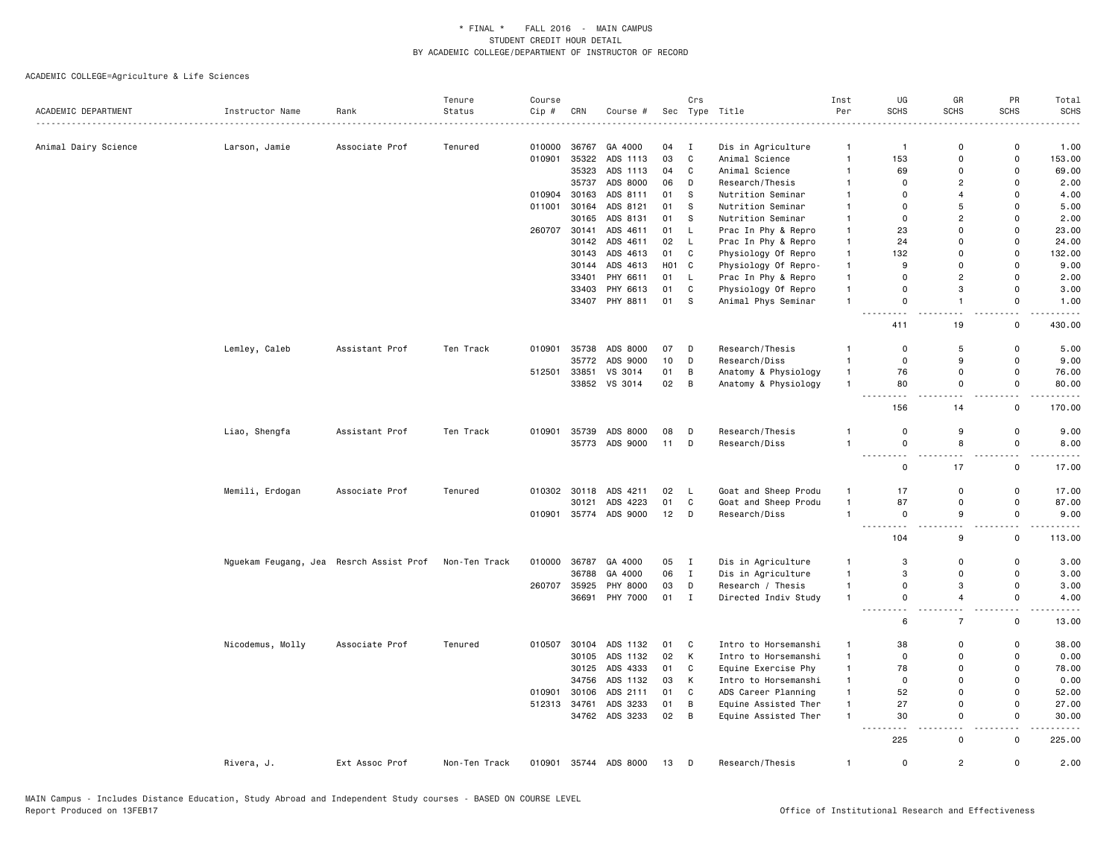|                      |                                         |                | Tenure        | Course |              |                       |          | Crs               |                                      | Inst                         | UG                                                                                                                                                                    | GR                               | PR                                      | Total                                      |
|----------------------|-----------------------------------------|----------------|---------------|--------|--------------|-----------------------|----------|-------------------|--------------------------------------|------------------------------|-----------------------------------------------------------------------------------------------------------------------------------------------------------------------|----------------------------------|-----------------------------------------|--------------------------------------------|
| ACADEMIC DEPARTMENT  | Instructor Name                         | Rank           | Status        | Cip #  | CRN          | Course #              |          |                   | Sec Type Title                       | Per                          | <b>SCHS</b>                                                                                                                                                           | <b>SCHS</b>                      | <b>SCHS</b>                             | <b>SCHS</b><br>$\sim$ $\sim$ $\sim$ $\sim$ |
|                      |                                         |                |               | 010000 | 36767        | GA 4000               |          |                   |                                      |                              |                                                                                                                                                                       | $\mathbf 0$                      | $\mathsf 0$                             | 1.00                                       |
| Animal Dairy Science | Larson, Jamie                           | Associate Prof | Tenured       | 010901 | 35322        | ADS 1113              | 04<br>03 | $\mathbf{I}$<br>C | Dis in Agriculture<br>Animal Science | $\mathbf{1}$<br>$\mathbf{1}$ | $\mathbf{1}$<br>153                                                                                                                                                   | $\mathbf 0$                      | $\mathsf 0$                             | 153.00                                     |
|                      |                                         |                |               |        | 35323        | ADS 1113              | 04       | C                 | Animal Science                       | $\overline{1}$               | 69                                                                                                                                                                    | $\Omega$                         | $\mathbf 0$                             | 69.00                                      |
|                      |                                         |                |               |        | 35737        | ADS 8000              | 06       | D                 | Research/Thesis                      | $\overline{1}$               | $\overline{0}$                                                                                                                                                        | $\overline{2}$                   | $\mathbf 0$                             | 2.00                                       |
|                      |                                         |                |               |        |              |                       |          |                   |                                      |                              |                                                                                                                                                                       | $\overline{4}$                   | $\mathbf 0$                             |                                            |
|                      |                                         |                |               | 010904 | 30163        | ADS 8111              | 01       | ${\tt S}$         | Nutrition Seminar                    | $\mathbf{1}$                 | $\mathbf 0$<br>$\Omega$                                                                                                                                               | 5                                | $\mathbf 0$                             | 4.00                                       |
|                      |                                         |                |               | 011001 | 30164        | ADS 8121              | 01       | s                 | Nutrition Seminar                    | $\mathbf{1}$                 |                                                                                                                                                                       |                                  |                                         | 5.00                                       |
|                      |                                         |                |               |        | 30165        | ADS 8131              | 01       | - S               | Nutrition Seminar                    | $\mathbf{1}$                 | $\Omega$                                                                                                                                                              | $\overline{2}$                   | $\mathbf 0$                             | 2.00                                       |
|                      |                                         |                |               | 260707 | 30141        | ADS 4611              | 01       | L.                | Prac In Phy & Repro                  | $\overline{1}$               | 23                                                                                                                                                                    | $\Omega$                         | $\Omega$                                | 23.00                                      |
|                      |                                         |                |               |        |              | 30142 ADS 4611        | 02 L     |                   | Prac In Phy & Repro                  | $\mathbf{1}$                 | 24                                                                                                                                                                    | $\Omega$                         | $\mathbf 0$                             | 24.00                                      |
|                      |                                         |                |               |        | 30143        | ADS 4613              | 01       | C                 | Physiology Of Repro                  | $\mathbf{1}$                 | 132                                                                                                                                                                   | $\Omega$                         | $\mathbf 0$                             | 132.00                                     |
|                      |                                         |                |               |        |              | 30144 ADS 4613        | H01 C    |                   | Physiology Of Repro-                 | $\mathbf{1}$                 | 9                                                                                                                                                                     | $\Omega$                         | $\mathsf 0$                             | 9.00                                       |
|                      |                                         |                |               |        | 33401        | PHY 6611              | 01       | - L               | Prac In Phy & Repro                  | $\overline{1}$               | $\Omega$                                                                                                                                                              | $\overline{2}$                   | $\mathbf 0$                             | 2.00                                       |
|                      |                                         |                |               |        | 33403        | PHY 6613              | 01       | C                 | Physiology Of Repro                  | $\mathbf{1}$                 | $\mathbf 0$                                                                                                                                                           | 3                                | $\mathbf 0$                             | 3.00                                       |
|                      |                                         |                |               |        |              | 33407 PHY 8811        | 01       | S.                | Animal Phys Seminar                  | $\overline{1}$               | $\mathbf 0$<br>. .                                                                                                                                                    | $\overline{1}$                   | $\mathbf 0$<br>i a                      | 1.00                                       |
|                      |                                         |                |               |        |              |                       |          |                   |                                      |                              | 411                                                                                                                                                                   | 19                               | $\mathsf 0$                             | 430.00                                     |
|                      | Lemley, Caleb                           | Assistant Prof | Ten Track     | 010901 | 35738        | ADS 8000              | 07       | D                 | Research/Thesis                      | $\mathbf{1}$                 | 0                                                                                                                                                                     | 5                                | $\mathsf 0$                             | 5.00                                       |
|                      |                                         |                |               |        | 35772        | ADS 9000              | 10       | D                 | Research/Diss                        | $\overline{1}$               | $\mathbf 0$                                                                                                                                                           | 9                                | $\mathbf 0$                             | 9.00                                       |
|                      |                                         |                |               | 512501 | 33851        | VS 3014               | 01       | В                 | Anatomy & Physiology                 | $\mathbf{1}$                 | 76                                                                                                                                                                    | $\mathbf 0$                      | 0                                       | 76.00                                      |
|                      |                                         |                |               |        |              | 33852 VS 3014         | 02       | B                 | Anatomy & Physiology                 | $\overline{1}$               | 80                                                                                                                                                                    | $\mathbf 0$                      | $\mathsf 0$                             | 80.00                                      |
|                      |                                         |                |               |        |              |                       |          |                   |                                      |                              | - - -<br>156                                                                                                                                                          | 14                               | $\mathsf{o}$                            | 170.00                                     |
|                      | Liao, Shengfa                           | Assistant Prof | Ten Track     | 010901 | 35739        | ADS 8000              | 08       | D                 | Research/Thesis                      | $\mathbf{1}$                 | $\mathbf 0$                                                                                                                                                           | 9                                | $\mathsf 0$                             | 9.00                                       |
|                      |                                         |                |               |        |              | 35773 ADS 9000        | 11       | D                 | Research/Diss                        | $\overline{1}$               | $\mathbf 0$                                                                                                                                                           | 8                                | $\mathsf 0$                             | 8.00                                       |
|                      |                                         |                |               |        |              |                       |          |                   |                                      |                              | $\sim$ $\sim$<br>$\frac{1}{2} \left( \frac{1}{2} \right) \left( \frac{1}{2} \right) \left( \frac{1}{2} \right) \left( \frac{1}{2} \right) \left( \frac{1}{2} \right)$ | $\overline{\phantom{a}}$         | . .                                     |                                            |
|                      |                                         |                |               |        |              |                       |          |                   |                                      |                              | $\mathbf 0$                                                                                                                                                           | 17                               | $\mathsf 0$                             | 17.00                                      |
|                      | Memili, Erdogan                         | Associate Prof | Tenured       | 010302 | 30118        | ADS 4211              | 02       | - L               | Goat and Sheep Produ                 | $\overline{1}$               | 17                                                                                                                                                                    | $\mathbf 0$                      | $\mathsf 0$                             | 17.00                                      |
|                      |                                         |                |               |        | 30121        | ADS 4223              | 01       | C                 | Goat and Sheep Produ                 | $\overline{1}$               | 87                                                                                                                                                                    | $\mathbf 0$                      | $\mathsf{o}$                            | 87.00                                      |
|                      |                                         |                |               |        |              | 010901 35774 ADS 9000 | 12       | D                 | Research/Diss                        | $\overline{1}$               | $\mathbf 0$                                                                                                                                                           | 9                                | $\mathbf 0$                             | 9.00                                       |
|                      |                                         |                |               |        |              |                       |          |                   |                                      |                              | $  -$<br>- - -<br>104                                                                                                                                                 | $\overline{a}$<br>9              | $\overline{\phantom{a}}$<br>$\mathsf 0$ | 113.00                                     |
|                      | Nguekam Feugang, Jea Resrch Assist Prof |                | Non-Ten Track | 010000 | 36787        | GA 4000               | 05       | $\mathbf{I}$      | Dis in Agriculture                   | $\mathbf{1}$                 | 3                                                                                                                                                                     | $\mathbf 0$                      | 0                                       | 3.00                                       |
|                      |                                         |                |               |        | 36788        | GA 4000               | 06       | $\mathbf{I}$      | Dis in Agriculture                   | $\overline{1}$               | 3                                                                                                                                                                     | $\mathbf 0$                      | 0                                       | 3.00                                       |
|                      |                                         |                |               | 260707 | 35925        | PHY 8000              | 03       | D                 | Research / Thesis                    | $\mathbf{1}$                 | $\mathbf 0$                                                                                                                                                           | 3                                | $\mathsf{o}$                            | 3.00                                       |
|                      |                                         |                |               |        | 36691        | PHY 7000              | 01       | $\mathbf{I}$      | Directed Indiv Study                 | $\overline{1}$               | 0                                                                                                                                                                     | $\overline{4}$                   | $\mathsf 0$                             | 4.00                                       |
|                      |                                         |                |               |        |              |                       |          |                   |                                      |                              | $\sim$ $\sim$<br>-----<br>6                                                                                                                                           | $\overline{a}$<br>$\overline{7}$ | . .<br>0                                | 13.00                                      |
|                      | Nicodemus, Molly                        | Associate Prof | Tenured       | 010507 | 30104        | ADS 1132              | 01       | C                 | Intro to Horsemanshi                 | $\mathbf{1}$                 | 38                                                                                                                                                                    | $\mathbf 0$                      | $\mathsf 0$                             | 38.00                                      |
|                      |                                         |                |               |        | 30105        | ADS 1132              | 02       | K                 | Intro to Horsemanshi                 | $\mathbf{1}$                 | $\mathbf 0$                                                                                                                                                           | $\mathbf 0$                      | $\mathsf 0$                             | 0.00                                       |
|                      |                                         |                |               |        |              | 30125 ADS 4333        | 01       | C                 | Equine Exercise Phy                  | $\mathbf{1}$                 | 78                                                                                                                                                                    | $\Omega$                         | $\mathbf 0$                             | 78.00                                      |
|                      |                                         |                |               |        | 34756        | ADS 1132              | 03       | K                 | Intro to Horsemanshi                 | $\overline{1}$               | $\mathbf 0$                                                                                                                                                           | $\Omega$                         | 0                                       | 0.00                                       |
|                      |                                         |                |               | 010901 | 30106        | ADS 2111              | 01       | C                 | ADS Career Planning                  | $\mathbf{1}$                 | 52                                                                                                                                                                    | $\Omega$                         | $\mathbf 0$                             | 52.00                                      |
|                      |                                         |                |               |        | 512313 34761 | ADS 3233              | 01       | B                 | Equine Assisted Ther                 | $\mathbf{1}$                 | 27                                                                                                                                                                    | $\mathbf 0$                      | $\mathsf 0$                             | 27.00                                      |
|                      |                                         |                |               |        |              | 34762 ADS 3233        | 02       | $\overline{B}$    | Equine Assisted Ther                 | $\overline{1}$               | 30                                                                                                                                                                    | $\Omega$                         | $\mathbf 0$                             | 30.00                                      |
|                      |                                         |                |               |        |              |                       |          |                   |                                      |                              | ----                                                                                                                                                                  | и.                               | 22                                      | $\omega$ is a $\omega$                     |
|                      |                                         |                |               |        |              |                       |          |                   |                                      |                              | 225                                                                                                                                                                   | $\Omega$                         | 0                                       | 225.00                                     |
|                      | Rivera, J.                              | Ext Assoc Prof | Non-Ten Track | 010901 |              | 35744 ADS 8000        | 13       | D                 | Research/Thesis                      | $\mathbf{1}$                 | $\mathbf 0$                                                                                                                                                           | $\overline{c}$                   | 0                                       | 2.00                                       |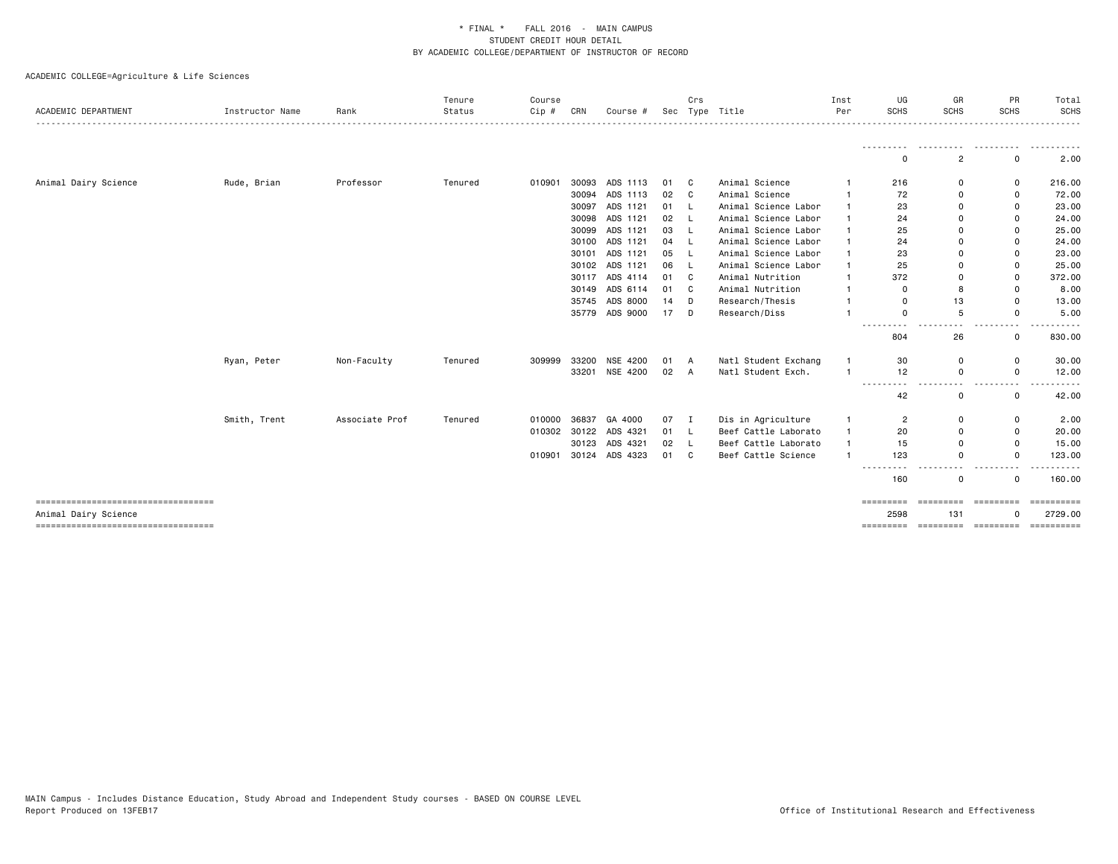| ACADEMIC DEPARTMENT                                           | Instructor Name | Rank           | Tenure<br>Status | Course<br>$Cip$ # | CRN   | Course #       | Sec    | Crs      | Type Title           | Inst<br>Per  | UG<br><b>SCHS</b>                    | GR<br><b>SCHS</b>                                       | PR<br><b>SCHS</b>                             | Total<br><b>SCHS</b>   |
|---------------------------------------------------------------|-----------------|----------------|------------------|-------------------|-------|----------------|--------|----------|----------------------|--------------|--------------------------------------|---------------------------------------------------------|-----------------------------------------------|------------------------|
|                                                               |                 |                |                  |                   |       |                |        |          |                      |              | $\Omega$                             | 2                                                       | 0                                             | 2.00                   |
| Animal Dairy Science                                          | Rude, Brian     | Professor      | Tenured          | 010901            | 30093 | ADS 1113       | 01     | C.       | Animal Science       |              | 216                                  | $\mathbf 0$                                             | 0                                             | 216.00                 |
|                                                               |                 |                |                  |                   |       | 30094 ADS 1113 | 02     | C        | Animal Science       |              | 72                                   | 0                                                       | 0                                             | 72.00                  |
|                                                               |                 |                |                  |                   | 30097 | ADS 1121       | 01     | -L       | Animal Science Labor | $\mathbf{1}$ | 23                                   | $\mathbf 0$                                             | 0                                             | 23.00                  |
|                                                               |                 |                |                  |                   | 30098 | ADS 1121       | 02     | L.       | Animal Science Labor |              | 24                                   | $\mathbf 0$                                             | 0                                             | 24.00                  |
|                                                               |                 |                |                  |                   | 30099 | ADS 1121       | 03     | - L      | Animal Science Labor |              | 25                                   | 0                                                       | 0                                             | 25.00                  |
|                                                               |                 |                |                  |                   | 30100 | ADS 1121       | 04     | <b>L</b> | Animal Science Labor | $\mathbf{1}$ | 24                                   | $\mathbf 0$                                             | 0                                             | 24.00                  |
|                                                               |                 |                |                  |                   |       | 30101 ADS 1121 | 05     | <b>L</b> | Animal Science Labor | $\mathbf{1}$ | 23                                   | $\mathbf 0$                                             | 0                                             | 23.00                  |
|                                                               |                 |                |                  |                   |       | 30102 ADS 1121 | 06     | L.       | Animal Science Labor | $\mathbf{1}$ | 25                                   | $\Omega$                                                | 0                                             | 25.00                  |
|                                                               |                 |                |                  |                   |       | 30117 ADS 4114 | 01     | C        | Animal Nutrition     | $\mathbf{1}$ | 372                                  | $\Omega$                                                | 0                                             | 372.00                 |
|                                                               |                 |                |                  |                   | 30149 | ADS 6114       | 01     | C        | Animal Nutrition     | $\mathbf{1}$ | 0                                    | 8                                                       | $\mathbf 0$                                   | 8.00                   |
|                                                               |                 |                |                  |                   |       | 35745 ADS 8000 | 14     | D        | Research/Thesis      | $\mathbf{1}$ | 0                                    | 13                                                      | $\mathbf 0$                                   | 13.00                  |
|                                                               |                 |                |                  |                   |       | 35779 ADS 9000 | $17$ D |          | Research/Diss        | $\mathbf{1}$ | $\Omega$                             | 5                                                       | 0                                             | 5.00                   |
|                                                               |                 |                |                  |                   |       |                |        |          |                      |              | -----<br>.<br>804                    | 26                                                      | 0                                             | 830.00                 |
|                                                               | Ryan, Peter     | Non-Faculty    | Tenured          | 309999            | 33200 | NSE 4200       | 01     | A        | Natl Student Exchang | $\mathbf{1}$ | 30                                   | 0                                                       | 0                                             | 30.00                  |
|                                                               |                 |                |                  |                   |       | 33201 NSE 4200 | 02     | A        | Natl Student Exch.   | $\mathbf{1}$ | 12                                   | $\mathbf 0$                                             | 0                                             | 12.00                  |
|                                                               |                 |                |                  |                   |       |                |        |          |                      |              | -----<br>$ -$<br>42                  | $\frac{1}{2} \left( \frac{1}{2} \right)$<br>$\mathbf 0$ | $\frac{1}{2} \left( \frac{1}{2} \right)$<br>0 | 42.00                  |
|                                                               | Smith, Trent    | Associate Prof | Tenured          | 010000            | 36837 | GA 4000        | 07     | Ι.       | Dis in Agriculture   | $\mathbf{1}$ | $\overline{c}$                       | $\mathbf 0$                                             | 0                                             | 2.00                   |
|                                                               |                 |                |                  | 010302            |       | 30122 ADS 4321 | 01     | -L       | Beef Cattle Laborato | $\mathbf{1}$ | 20                                   | 0                                                       | 0                                             | 20.00                  |
|                                                               |                 |                |                  |                   |       | 30123 ADS 4321 | 02     | L        | Beef Cattle Laborato | $\mathbf{1}$ | 15                                   | $\mathbf 0$                                             | 0                                             | 15.00                  |
|                                                               |                 |                |                  | 010901            |       | 30124 ADS 4323 | 01 C   |          | Beef Cattle Science  | $\mathbf{1}$ | 123                                  | $\mathbf 0$                                             | 0                                             | 123.00                 |
|                                                               |                 |                |                  |                   |       |                |        |          |                      |              | 160                                  | $\mathbf 0$                                             | 0                                             | 160.00                 |
| -----------------------------------                           |                 |                |                  |                   |       |                |        |          |                      |              | =========                            | =========                                               | =========                                     |                        |
| Animal Dairy Science<br>===================================== |                 |                |                  |                   |       |                |        |          |                      |              | 2598<br>--------- --------- -------- | 131                                                     | 0                                             | 2729.00<br>----------- |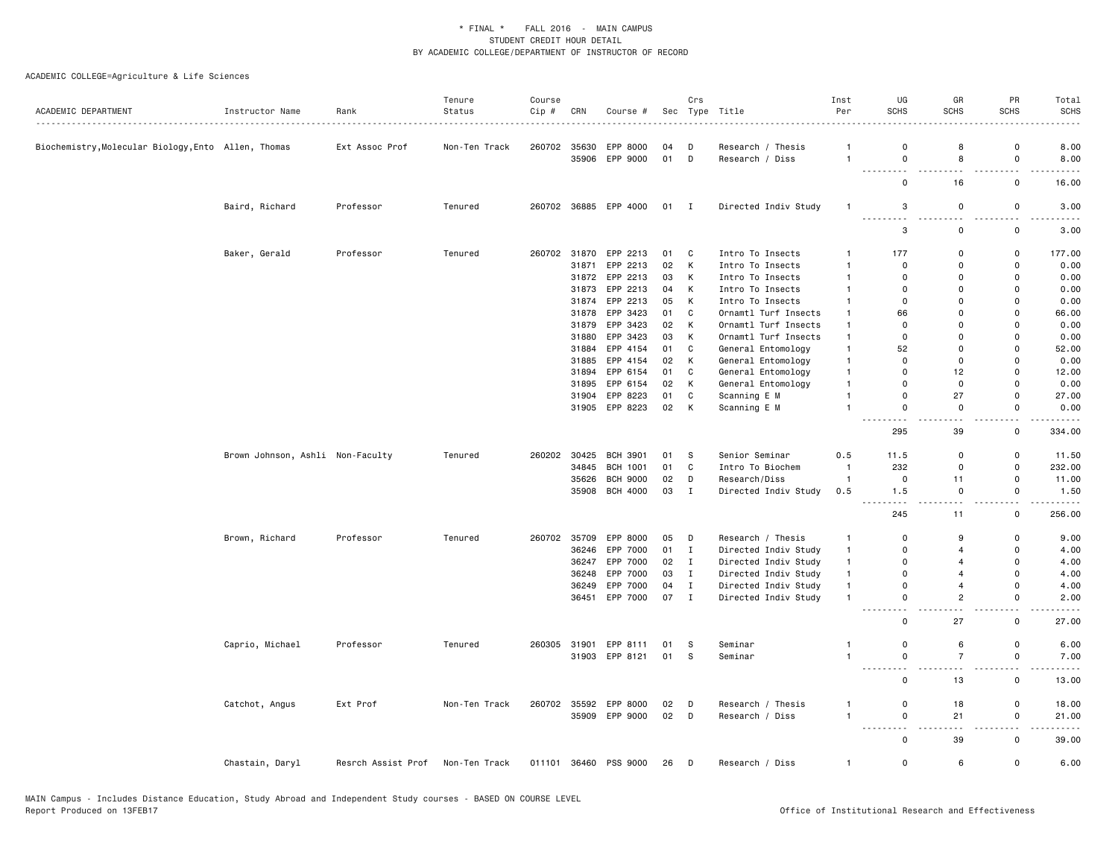| ACADEMIC DEPARTMENT                                 | Instructor Name                  | Rank               | Tenure<br>Status | Course<br>Cip # | CRN          | Course #              |      | Crs          | Sec Type Title       | Inst<br>Per    | UG<br><b>SCHS</b>                       | GR<br><b>SCHS</b>                          | PR<br><b>SCHS</b>                       | Total<br><b>SCHS</b>                |
|-----------------------------------------------------|----------------------------------|--------------------|------------------|-----------------|--------------|-----------------------|------|--------------|----------------------|----------------|-----------------------------------------|--------------------------------------------|-----------------------------------------|-------------------------------------|
|                                                     |                                  |                    |                  |                 |              |                       |      |              |                      |                |                                         |                                            |                                         |                                     |
| Biochemistry, Molecular Biology, Ento Allen, Thomas |                                  | Ext Assoc Prof     | Non-Ten Track    |                 | 260702 35630 | EPP 8000              | 04   | D            | Research / Thesis    | -1             | 0                                       | 8                                          | $\mathsf{o}$                            | 8.00                                |
|                                                     |                                  |                    |                  |                 | 35906        | EPP 9000              | 01   | D            | Research / Diss      | $\overline{1}$ | $\mathsf 0$                             | 8                                          | $\mathsf 0$                             | 8.00                                |
|                                                     |                                  |                    |                  |                 |              |                       |      |              |                      |                | $\mathsf 0$                             | 16                                         | $\mathsf 0$                             | 16.00                               |
|                                                     | Baird, Richard                   | Professor          | Tenured          |                 |              | 260702 36885 EPP 4000 | 01 I |              | Directed Indiv Study | $\mathbf{1}$   | 3<br>.                                  | $\mathbf 0$<br>$ -$                        | $\mathbf 0$<br>$\overline{\phantom{a}}$ | 3.00                                |
|                                                     |                                  |                    |                  |                 |              |                       |      |              |                      |                | 3                                       | $\mathsf 0$                                | $\mathsf 0$                             | 3.00                                |
|                                                     | Baker, Gerald                    | Professor          | Tenured          |                 | 260702 31870 | EPP 2213              | 01   | C            | Intro To Insects     | $\overline{1}$ | 177                                     | $\mathbf 0$                                | $\mathsf 0$                             | 177.00                              |
|                                                     |                                  |                    |                  |                 | 31871        | EPP 2213              | 02   | K            | Intro To Insects     | $\mathbf{1}$   | 0                                       | $\Omega$                                   | 0                                       | 0.00                                |
|                                                     |                                  |                    |                  |                 | 31872        | EPP 2213              | 03   | K            | Intro To Insects     | $\mathbf{1}$   | 0                                       | $\mathbf 0$                                | $\mathsf 0$                             | 0.00                                |
|                                                     |                                  |                    |                  |                 | 31873        | EPP 2213              | 04   | K            | Intro To Insects     | $\overline{1}$ | $\Omega$                                | $\Omega$                                   | $\mathbf 0$                             | 0.00                                |
|                                                     |                                  |                    |                  |                 | 31874        | EPP 2213              | 05   | к            | Intro To Insects     | $\mathbf{1}$   | 0                                       | $\mathbf 0$                                | 0                                       | 0.00                                |
|                                                     |                                  |                    |                  |                 | 31878        | EPP 3423              | 01   | $\mathbf{C}$ | Ornamtl Turf Insects | $\overline{1}$ | 66                                      | $\Omega$                                   | $\mathbf 0$                             | 66.00                               |
|                                                     |                                  |                    |                  |                 | 31879        | EPP 3423              | 02   | K            | Ornamtl Turf Insects | $\overline{1}$ | $\overline{0}$                          | $\Omega$                                   | $\mathbf 0$                             | 0.00                                |
|                                                     |                                  |                    |                  |                 | 31880        | EPP 3423              | 03   | К            | Ornamtl Turf Insects | $\mathbf{1}$   | $\mathbf 0$                             | $\mathbf 0$                                | 0                                       | 0.00                                |
|                                                     |                                  |                    |                  |                 | 31884        | EPP 4154              | 01   | $\mathbf c$  | General Entomology   | $\overline{1}$ | 52                                      | $\Omega$                                   | $\mathbf 0$                             | 52.00                               |
|                                                     |                                  |                    |                  |                 | 31885        | EPP 4154              | 02   | K            | General Entomology   | $\overline{1}$ | 0                                       | $\mathbf 0$                                | 0                                       | 0.00                                |
|                                                     |                                  |                    |                  |                 | 31894        | EPP 6154              | 01   | C            | General Entomology   | $\overline{1}$ | $\mathbf 0$                             | 12                                         | 0                                       | 12.00                               |
|                                                     |                                  |                    |                  |                 | 31895        | EPP 6154              | 02   | K            | General Entomology   | $\overline{1}$ | $\overline{0}$                          | $\mathbf 0$                                | $\mathbf 0$                             | 0.00                                |
|                                                     |                                  |                    |                  |                 | 31904        | EPP 8223              | 01   | C            | Scanning E M         | $\overline{1}$ | $\mathbf 0$                             | 27                                         | $\mathsf 0$                             | 27.00                               |
|                                                     |                                  |                    |                  |                 |              | 31905 EPP 8223        | 02   | K            | Scanning E M         | $\overline{1}$ | $\mathbf 0$<br>$\sim$ $\sim$ $\sim$     | $\mathbf 0$<br>$\sim$ $\sim$               | $\mathbf 0$<br>$\omega_{\rm c}$         | 0.00<br>$\sim$ $\sim$ $\sim$ $\sim$ |
|                                                     |                                  |                    |                  |                 |              |                       |      |              |                      |                | 295                                     | 39                                         | $\mathbf 0$                             | 334.00                              |
|                                                     | Brown Johnson, Ashli Non-Faculty |                    | Tenured          | 260202          | 30425        | <b>BCH 3901</b>       | 01   | S.           | Senior Seminar       | 0.5            | 11.5                                    | $\mathbf 0$                                | $\mathsf 0$                             | 11.50                               |
|                                                     |                                  |                    |                  |                 | 34845        | <b>BCH 1001</b>       | 01   | C            | Intro To Biochem     | $\overline{1}$ | 232                                     | $\mathbf 0$                                | $\mathsf 0$                             | 232.00                              |
|                                                     |                                  |                    |                  |                 | 35626        | <b>BCH 9000</b>       | 02   | D            | Research/Diss        | $\overline{1}$ | $\mathbf 0$                             | 11                                         | $\mathsf 0$                             | 11.00                               |
|                                                     |                                  |                    |                  |                 |              | 35908 BCH 4000        | 03   | $\mathbf{I}$ | Directed Indiv Study | 0.5            | 1.5<br>$\frac{1}{2}$                    | $\mathbf 0$<br>$\sim$ $\sim$               | 0<br>$\overline{\phantom{a}}$           | 1.50<br>----                        |
|                                                     |                                  |                    |                  |                 |              |                       |      |              |                      |                | 245                                     | 11                                         | $\mathbf 0$                             | 256.00                              |
|                                                     | Brown, Richard                   | Professor          | Tenured          | 260702          | 35709        | EPP 8000              | 05   | D            | Research / Thesis    | $\overline{1}$ | $\mathbf 0$                             | 9                                          | 0                                       | 9.00                                |
|                                                     |                                  |                    |                  |                 | 36246        | EPP 7000              | 01   | $\mathbf{I}$ | Directed Indiv Study | $\mathbf{1}$   | $\mathbf 0$                             | $\overline{4}$                             | 0                                       | 4.00                                |
|                                                     |                                  |                    |                  |                 | 36247        | EPP 7000              | 02   | $\mathbf{I}$ | Directed Indiv Study | $\mathbf{1}$   | $\mathbf 0$                             | $\overline{\mathbf{4}}$                    | $\mathbf 0$                             | 4.00                                |
|                                                     |                                  |                    |                  |                 | 36248        | EPP 7000              | 03   | $\mathbf{I}$ | Directed Indiv Study | $\mathbf{1}$   | $\mathbf 0$                             | $\overline{4}$                             | 0                                       | 4.00                                |
|                                                     |                                  |                    |                  |                 | 36249        | EPP 7000              | 04   | $\mathbf I$  | Directed Indiv Study | $\overline{1}$ | $\mathbf 0$                             | $\overline{4}$                             | 0                                       | 4.00                                |
|                                                     |                                  |                    |                  |                 |              | 36451 EPP 7000        | 07 I |              | Directed Indiv Study | $\mathbf{1}$   | $\mathbf 0$<br>$\overline{\phantom{a}}$ | $\overline{c}$<br>$\overline{\phantom{a}}$ | $\mathbf 0$<br>. .                      | 2.00                                |
|                                                     |                                  |                    |                  |                 |              |                       |      |              |                      |                | $\mathbf 0$                             | 27                                         | 0                                       | 27.00                               |
|                                                     | Caprio, Michael                  | Professor          | Tenured          | 260305          | 31901        | EPP 8111              | 01   | - S          | Seminar              | $\mathbf{1}$   | $\mathsf 0$                             | 6                                          | $\mathsf 0$                             | 6.00                                |
|                                                     |                                  |                    |                  |                 |              | 31903 EPP 8121        | 01   | - S          | Seminar              | $\mathbf{1}$   | $\mathbf 0$                             | $\overline{7}$                             | $\mathsf 0$                             | 7.00                                |
|                                                     |                                  |                    |                  |                 |              |                       |      |              |                      |                | $\sim$                                  | $\sim$                                     | 22                                      |                                     |
|                                                     |                                  |                    |                  |                 |              |                       |      |              |                      |                | $\mathbf 0$                             | 13                                         | 0                                       | 13.00                               |
|                                                     | Catchot, Angus                   | Ext Prof           | Non-Ten Track    |                 |              | 260702 35592 EPP 8000 | 02   | D            | Research / Thesis    | 1              | $\mathsf 0$                             | 18                                         | $\mathsf 0$                             | 18.00                               |
|                                                     |                                  |                    |                  |                 |              | 35909 EPP 9000        | 02   | D            | Research / Diss      | $\mathbf{1}$   | $\mathbf 0$                             | 21                                         | $\mathsf 0$<br>. .                      | 21.00                               |
|                                                     |                                  |                    |                  |                 |              |                       |      |              |                      |                | $\mathbf 0$                             | 39                                         | 0                                       | 39.00                               |
|                                                     | Chastain, Daryl                  | Resrch Assist Prof | Non-Ten Track    |                 |              | 011101 36460 PSS 9000 | 26   | $\Box$       | Research / Diss      | $\mathbf{1}$   | $\mathsf 0$                             | 6                                          | $\mathsf 0$                             | 6.00                                |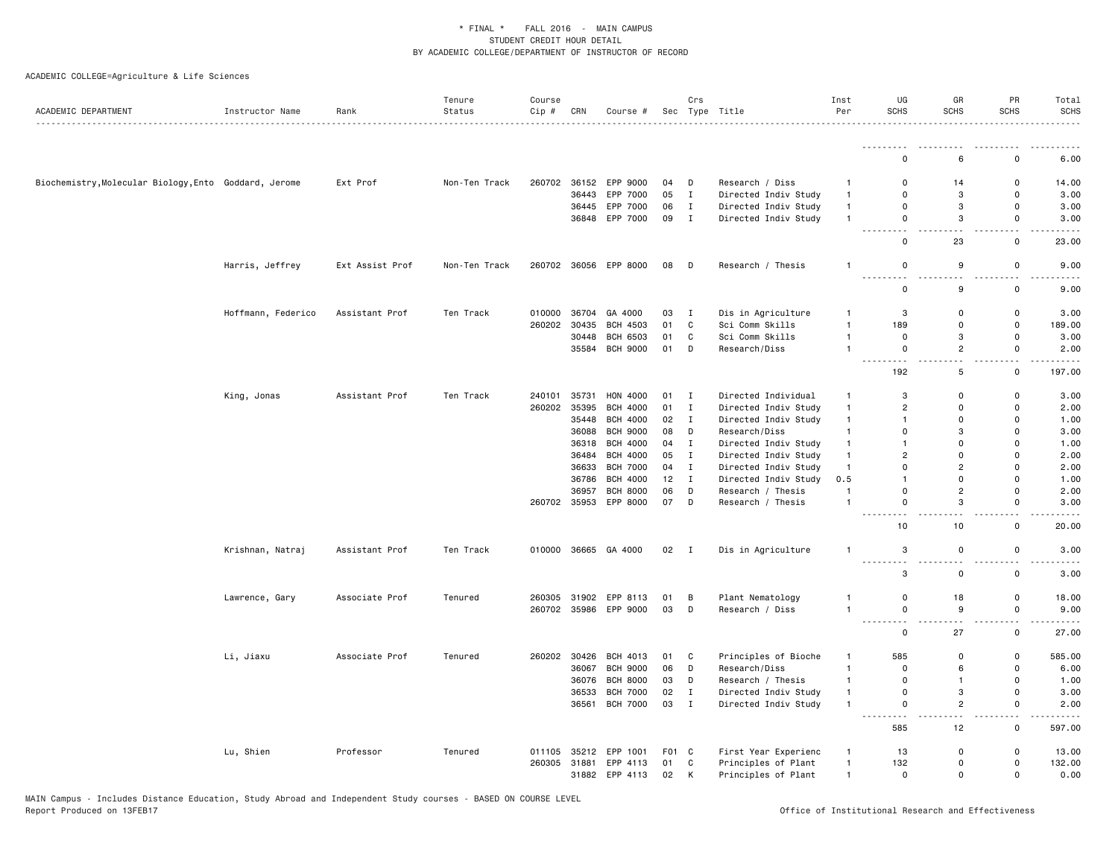| ACADEMIC DEPARTMENT                                   | Instructor Name    | Rank            | Tenure<br>Status | Course<br>Cip # | CRN          | Course #              |       | Crs            | Sec Type Title       | Inst<br>Per    | UG<br><b>SCHS</b>        | GR<br><b>SCHS</b>  | PR<br><b>SCHS</b>  | Total<br><b>SCHS</b>                |
|-------------------------------------------------------|--------------------|-----------------|------------------|-----------------|--------------|-----------------------|-------|----------------|----------------------|----------------|--------------------------|--------------------|--------------------|-------------------------------------|
|                                                       |                    | .               |                  |                 |              |                       |       |                | .                    |                |                          |                    |                    | . <b>.</b>                          |
|                                                       |                    |                 |                  |                 |              |                       |       |                |                      |                | .<br>$\Omega$            | 6                  | $\Omega$           | .<br>6.00                           |
|                                                       |                    |                 |                  |                 |              |                       |       |                |                      |                |                          |                    |                    |                                     |
| Biochemistry, Molecular Biology, Ento Goddard, Jerome |                    | Ext Prof        | Non-Ten Track    | 260702          |              | 36152 EPP 9000        | 04    | D              | Research / Diss      | $\mathbf{1}$   | 0                        | 14                 | 0                  | 14.00                               |
|                                                       |                    |                 |                  |                 | 36443        | EPP 7000              | 05    | $\mathbf{I}$   | Directed Indiv Study | $\mathbf{1}$   | $\mathbf 0$              | 3                  | $\mathbf 0$        | 3.00                                |
|                                                       |                    |                 |                  |                 |              | 36445 EPP 7000        | 06    | $\mathbf I$    | Directed Indiv Study | $\mathbf{1}$   | $\mathbf 0$              | 3                  | $\mathsf{o}$       | 3.00                                |
|                                                       |                    |                 |                  |                 |              | 36848 EPP 7000        | 09    | $\mathbf{I}$   | Directed Indiv Study | $\overline{1}$ | $\mathbf 0$              | 3                  | 0                  | 3.00                                |
|                                                       |                    |                 |                  |                 |              |                       |       |                |                      |                | <u>.</u><br>$\mathbf 0$  | <u>.</u><br>23     | $\sim$ $\sim$<br>0 | .<br>23.00                          |
|                                                       | Harris, Jeffrey    | Ext Assist Prof | Non-Ten Track    | 260702          |              | 36056 EPP 8000        | 08    | $\Box$         | Research / Thesis    | $\mathbf{1}$   | $\mathbf 0$              | 9                  | 0                  | 9.00                                |
|                                                       |                    |                 |                  |                 |              |                       |       |                |                      |                | $\mathbf 0$              | 9                  | 0                  | 9.00                                |
|                                                       | Hoffmann, Federico | Assistant Prof  | Ten Track        | 010000          | 36704        | GA 4000               | 03    | $\mathbf{I}$   | Dis in Agriculture   | -1             | 3                        | $\mathbf 0$        | $\mathbf 0$        | 3.00                                |
|                                                       |                    |                 |                  | 260202          | 30435        | <b>BCH 4503</b>       | 01    | $\mathbf c$    | Sci Comm Skills      | $\mathbf{1}$   | 189                      | $\mathbf 0$        | $\mathsf 0$        | 189.00                              |
|                                                       |                    |                 |                  |                 | 30448        | BCH 6503              | 01    | $\mathtt{C}$   | Sci Comm Skills      | $\overline{1}$ | $\mathbf 0$              | 3                  | $\mathsf 0$        | 3.00                                |
|                                                       |                    |                 |                  |                 | 35584        | <b>BCH 9000</b>       | 01    | D              | Research/Diss        | $\mathbf{1}$   | $\mathbf 0$              | $\overline{c}$     | 0                  | 2.00                                |
|                                                       |                    |                 |                  |                 |              |                       |       |                |                      |                | $\sim$<br>192            | 5                  | $\mathbf 0$        | 197.00                              |
|                                                       | King, Jonas        | Assistant Prof  | Ten Track        | 240101          | 35731        | HON 4000              | 01 I  |                | Directed Individual  | $\mathbf{1}$   | 3                        | $\mathbf 0$        | $\mathsf{o}$       | 3.00                                |
|                                                       |                    |                 |                  | 260202          | 35395        | <b>BCH 4000</b>       | 01    | $\mathbf{I}$   | Directed Indiv Study | $\mathbf{1}$   | $\overline{2}$           | 0                  | 0                  | 2.00                                |
|                                                       |                    |                 |                  |                 | 35448        | <b>BCH 4000</b>       | 02    | $\mathbf{I}$   | Directed Indiv Study | $\mathbf{1}$   | $\mathbf{1}$             | $\Omega$           | $\Omega$           | 1.00                                |
|                                                       |                    |                 |                  |                 |              | 36088 BCH 9000        | 08    | D              | Research/Diss        | $\mathbf{1}$   | $\mathbf 0$              | 3                  | $\Omega$           | 3.00                                |
|                                                       |                    |                 |                  |                 | 36318        | <b>BCH 4000</b>       | 04    | $\mathbf{I}$   | Directed Indiv Study | $\mathbf{1}$   | $\overline{1}$           | $\Omega$           | $\Omega$           | 1.00                                |
|                                                       |                    |                 |                  |                 | 36484        | <b>BCH 4000</b>       | 05    | $\mathbf{I}$   | Directed Indiv Study | $\mathbf{1}$   | $\overline{2}$           | $\Omega$           | $\Omega$           | 2.00                                |
|                                                       |                    |                 |                  |                 | 36633        | <b>BCH 7000</b>       | 04    | $\mathbf{I}$   |                      | $\mathbf{1}$   | $\mathbf 0$              | $\overline{2}$     | $\Omega$           | 2.00                                |
|                                                       |                    |                 |                  |                 |              | <b>BCH 4000</b>       | 12    | $\;$ I         | Directed Indiv Study |                | $\overline{1}$           | $\mathbf{0}$       | $\Omega$           | 1.00                                |
|                                                       |                    |                 |                  |                 | 36786        |                       |       |                | Directed Indiv Study | 0.5            |                          |                    |                    |                                     |
|                                                       |                    |                 |                  |                 | 36957        | <b>BCH 8000</b>       | 06    | D              | Research / Thesis    | $\overline{1}$ | $\mathbf 0$              | $\overline{c}$     | $\mathbf 0$        | 2.00                                |
|                                                       |                    |                 |                  |                 |              | 260702 35953 EPP 8000 | 07    | D              | Research / Thesis    | $\overline{1}$ | $\mathbf 0$<br>$\sim$    | 3                  | $\Omega$           | 3.00<br>$\sim$ $\sim$ $\sim$ $\sim$ |
|                                                       |                    |                 |                  |                 |              |                       |       |                |                      |                | 10                       | 10                 | 0                  | 20.00                               |
|                                                       | Krishnan, Natraj   | Assistant Prof  | Ten Track        | 010000          |              | 36665 GA 4000         | 02    | $\blacksquare$ | Dis in Agriculture   | $\overline{1}$ | 3<br><u>.</u>            | 0<br>- -           | 0                  | 3.00<br>.                           |
|                                                       |                    |                 |                  |                 |              |                       |       |                |                      |                | 3                        | 0                  | 0                  | 3.00                                |
|                                                       | Lawrence, Gary     | Associate Prof  | Tenured          | 260305          |              | 31902 EPP 8113        | 01    | B              | Plant Nematology     | $\mathbf{1}$   | $\mathbf 0$              | 18                 | $\mathsf{o}$       | 18.00                               |
|                                                       |                    |                 |                  | 260702          |              | 35986 EPP 9000        | 03    | $\Box$         | Research / Diss      | $\mathbf{1}$   | $\mathsf 0$<br>--------- | 9<br>$\sim$ $\sim$ | $\mathsf 0$<br>$-$ | 9.00<br>$\cdots$                    |
|                                                       |                    |                 |                  |                 |              |                       |       |                |                      |                | $\mathbf 0$              | 27                 | $\mathbf 0$        | 27.00                               |
|                                                       | Li, Jiaxu          | Associate Prof  | Tenured          |                 |              | 260202 30426 BCH 4013 | 01    | C              | Principles of Bioche | $\overline{1}$ | 585                      | 0                  | 0                  | 585.00                              |
|                                                       |                    |                 |                  |                 | 36067        | <b>BCH 9000</b>       | 06    | D              | Research/Diss        | $\mathbf{1}$   | $\mathbf 0$              | 6                  | $\mathsf{o}$       | 6.00                                |
|                                                       |                    |                 |                  |                 | 36076        | <b>BCH 8000</b>       | 03    | D              | Research / Thesis    | $\mathbf{1}$   | $\mathbf 0$              | $\mathbf{1}$       | $\mathsf{o}$       | 1.00                                |
|                                                       |                    |                 |                  |                 | 36533        | <b>BCH 7000</b>       | 02    | $\;$ I         | Directed Indiv Study | $\mathbf{1}$   | $\mathsf 0$              | 3                  | $\mathsf 0$        | 3.00                                |
|                                                       |                    |                 |                  |                 |              | 36561 BCH 7000        | 03    | $\mathbf{I}$   | Directed Indiv Study | $\mathbf{1}$   | $\mathbf 0$              | $\overline{c}$     | $\mathbf 0$        | 2.00                                |
|                                                       |                    |                 |                  |                 |              |                       |       |                |                      |                | 585                      | 12                 | $\sim$ $\sim$<br>0 | $\sim$ $\sim$ $\sim$<br>597.00      |
|                                                       | Lu, Shien          | Professor       | Tenured          | 011105          | 35212        | EPP 1001              | F01 C |                | First Year Experienc | $\mathbf{1}$   | 13                       | $\Omega$           | 0                  | 13.00                               |
|                                                       |                    |                 |                  |                 | 260305 31881 | EPP 4113              | 01    | C              | Principles of Plant  | $\mathbf{1}$   | 132                      | $\mathbf{0}$       | $\mathbf 0$        | 132.00                              |
|                                                       |                    |                 |                  |                 |              | 31882 EPP 4113        | 02    | K              | Principles of Plant  | $\overline{1}$ | $\Omega$                 | $\mathbf{0}$       | $\Omega$           | 0.00                                |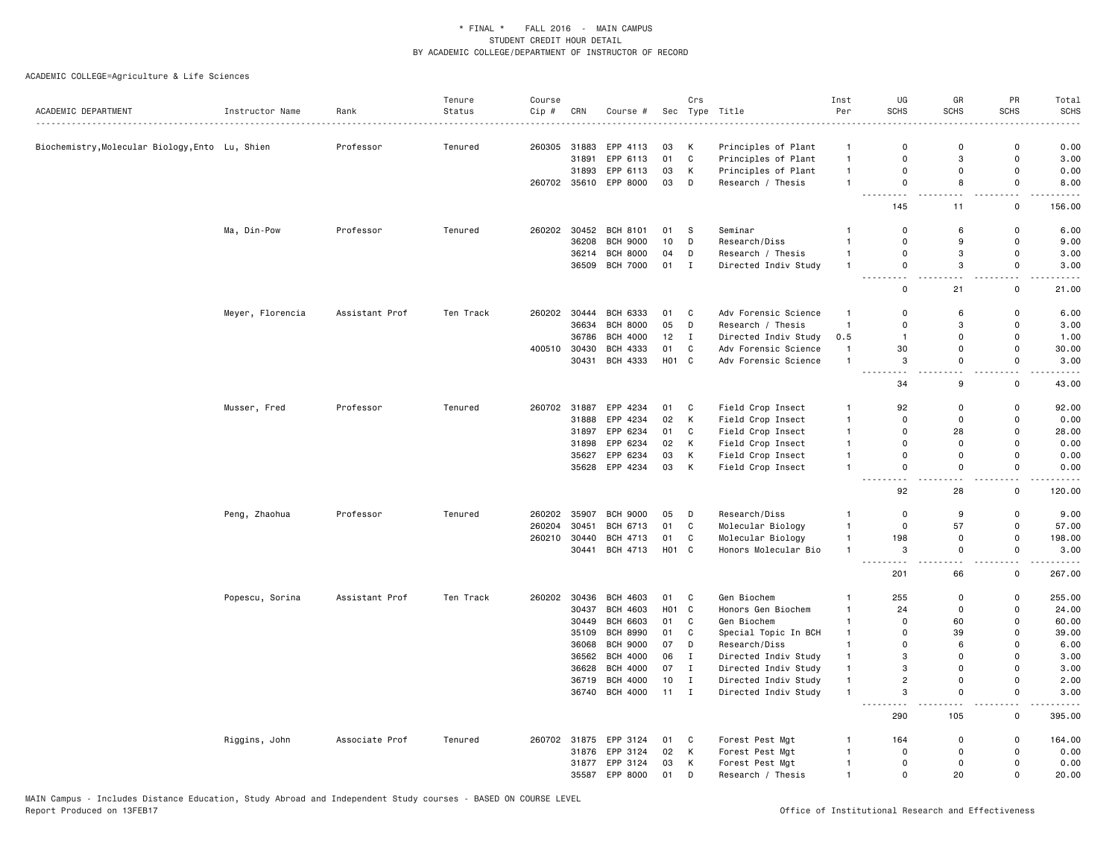| ACADEMIC DEPARTMENT                             | Instructor Name  | Rank           | Tenure<br>Status | Course<br>Cip# | CRN            | Course #                           |                  | Crs                          | Sec Type Title                               | Inst<br>Per                    | UG<br><b>SCHS</b>                                                                                                                                      | GR<br><b>SCHS</b>         | PR<br><b>SCHS</b>          | Total<br><b>SCHS</b> |
|-------------------------------------------------|------------------|----------------|------------------|----------------|----------------|------------------------------------|------------------|------------------------------|----------------------------------------------|--------------------------------|--------------------------------------------------------------------------------------------------------------------------------------------------------|---------------------------|----------------------------|----------------------|
| Biochemistry, Molecular Biology, Ento Lu, Shien |                  | Professor      | Tenured          | 260305         | 31883          | EPP 4113                           | 03               | Κ                            | Principles of Plant                          | $\mathbf{1}$                   | $\Omega$                                                                                                                                               | $\mathbf 0$               | $\mathbf 0$                | 0.00                 |
|                                                 |                  |                |                  |                | 31891          | EPP 6113                           | 01               | C                            | Principles of Plant                          | $\mathbf{1}$                   | 0                                                                                                                                                      | 3                         | $\mathbf 0$                | 3.00                 |
|                                                 |                  |                |                  |                | 31893          | EPP 6113                           | 03               | Κ                            | Principles of Plant                          | $\mathbf{1}$                   | 0                                                                                                                                                      | 0                         | $\mathbf 0$                | 0.00                 |
|                                                 |                  |                |                  | 260702         |                | 35610 EPP 8000                     | 03               | D                            | Research / Thesis                            | $\mathbf{1}$                   | $\mathsf 0$                                                                                                                                            | 8                         | $\mathsf 0$                | 8.00                 |
|                                                 |                  |                |                  |                |                |                                    |                  |                              |                                              |                                | .<br>145                                                                                                                                               | L.<br>11                  | . .<br>$\mathbf 0$         | 156.00               |
|                                                 | Ma, Din-Pow      | Professor      | Tenured          | 260202         |                | 30452 BCH 8101                     | 01               | s.                           | Seminar                                      | 1                              | $\Omega$                                                                                                                                               | 6                         | $\mathbf 0$                | 6.00                 |
|                                                 |                  |                |                  |                | 36208          | <b>BCH 9000</b>                    | 10               | D                            | Research/Diss                                | $\mathbf{1}$                   | 0                                                                                                                                                      | 9                         | $\mathbf 0$                | 9.00                 |
|                                                 |                  |                |                  |                | 36214          | BCH 8000                           | 04               | D                            | Research / Thesis                            | $\mathbf{1}$                   | 0                                                                                                                                                      | 3                         | $\mathbf 0$                | 3.00                 |
|                                                 |                  |                |                  |                |                | 36509 BCH 7000                     | 01               | $\mathbf{I}$                 | Directed Indiv Study                         | $\mathbf{1}$                   | 0                                                                                                                                                      | 3<br>a a                  | $\mathsf 0$<br>a an        | 3.00                 |
|                                                 |                  |                |                  |                |                |                                    |                  |                              |                                              |                                | $\Omega$                                                                                                                                               | 21                        | $\mathbf 0$                | 21.00                |
|                                                 | Meyer, Florencia | Assistant Prof | Ten Track        |                |                | 260202 30444 BCH 6333              | 01               | C                            | Adv Forensic Science                         | $\mathbf{1}$                   | $\Omega$                                                                                                                                               | 6                         | $\mathbf 0$                | 6.00                 |
|                                                 |                  |                |                  |                | 36634          | <b>BCH 8000</b>                    | 05               | D                            | Research / Thesis                            | $\mathbf{1}$                   | 0                                                                                                                                                      | 3                         | $\mathbf 0$                | 3.00                 |
|                                                 |                  |                |                  |                | 36786          | <b>BCH 4000</b>                    | 12               | $\mathbf{I}$                 | Directed Indiv Study                         | 0.5                            | $\overline{1}$                                                                                                                                         | 0                         | $\mathbf 0$                | 1.00                 |
|                                                 |                  |                |                  | 400510         | 30430<br>30431 | BCH 4333<br>BCH 4333               | 01<br>HO1 C      | $\mathtt{C}$                 | Adv Forensic Science<br>Adv Forensic Science | $\mathbf{1}$<br>$\overline{1}$ | 30<br>3                                                                                                                                                | 0<br>$\mathsf{o}$         | $\mathsf 0$<br>$\mathbf 0$ | 30.00<br>3.00        |
|                                                 |                  |                |                  |                |                |                                    |                  |                              |                                              |                                | $\sim$ $\sim$                                                                                                                                          | $\sim$                    | $\overline{\phantom{0}}$   |                      |
|                                                 |                  |                |                  |                |                |                                    |                  |                              |                                              |                                | 34                                                                                                                                                     | 9                         | $\mathbf 0$                | 43.00                |
|                                                 | Musser, Fred     | Professor      | Tenured          |                | 260702 31887   | EPP 4234                           | 01               | C                            | Field Crop Insect                            | $\mathbf{1}$                   | 92                                                                                                                                                     | $\mathbf 0$               | $\mathbf 0$                | 92.00                |
|                                                 |                  |                |                  |                | 31888          | EPP 4234                           | 02               | К                            | Field Crop Insect                            | $\mathbf{1}$                   | $\Omega$                                                                                                                                               | 0                         | $\mathbf 0$                | 0.00                 |
|                                                 |                  |                |                  |                | 31897          | EPP 6234                           | 01               | C                            | Field Crop Insect                            | $\mathbf{1}$                   | 0                                                                                                                                                      | 28                        | $\mathbf 0$                | 28.00                |
|                                                 |                  |                |                  |                | 31898          | EPP 6234                           | 02               | Κ                            | Field Crop Insect                            | $\mathbf{1}$                   | 0                                                                                                                                                      | 0                         | $\Omega$                   | 0.00                 |
|                                                 |                  |                |                  |                | 35627          | EPP 6234                           | 03               | К                            | Field Crop Insect                            | $\mathbf{1}$                   | 0                                                                                                                                                      | $\mathbf 0$               | $\mathbf 0$                | 0.00                 |
|                                                 |                  |                |                  |                |                | 35628 EPP 4234                     | 03               | К                            | Field Crop Insect                            | $\mathbf{1}$                   | $\Omega$<br>$\sim$ $\sim$<br>$\frac{1}{2} \left( \frac{1}{2} \right) \left( \frac{1}{2} \right) \left( \frac{1}{2} \right) \left( \frac{1}{2} \right)$ | $\Omega$<br>$\sim$        | $\Omega$<br>$\sim$         | 0.00                 |
|                                                 |                  |                |                  |                |                |                                    |                  |                              |                                              |                                | 92                                                                                                                                                     | 28                        | $\mathsf 0$                | 120.00               |
|                                                 | Peng, Zhaohua    | Professor      | Tenured          | 260202         | 35907          | <b>BCH 9000</b>                    | 05               | D                            | Research/Diss                                | $\mathbf{1}$                   | $\mathsf 0$                                                                                                                                            | 9                         | $\mathsf 0$                | 9.00                 |
|                                                 |                  |                |                  | 260204         | 30451          | <b>BCH 6713</b>                    | 01               | $\mathbf C$                  | Molecular Biology                            | $\mathbf{1}$                   | 0                                                                                                                                                      | 57                        | $\mathbf 0$                | 57.00                |
|                                                 |                  |                |                  | 260210         | 30440          | BCH 4713                           | 01               | $\mathtt{C}$                 | Molecular Biology                            | $\mathbf{1}$                   | 198                                                                                                                                                    | $\mathbf 0$               | $\mathsf 0$                | 198.00               |
|                                                 |                  |                |                  |                | 30441          | BCH 4713                           | HO1 C            |                              | Honors Molecular Bio                         | $\mathbf{1}$                   | 3<br>$\sim$ $\sim$ $\sim$<br>$\sim$ $\sim$                                                                                                             | $\Omega$<br>$\sim$ $\sim$ | $\Omega$<br>$\sim$ $\sim$  | 3.00<br>.            |
|                                                 |                  |                |                  |                |                |                                    |                  |                              |                                              |                                | 201                                                                                                                                                    | 66                        | 0                          | 267.00               |
|                                                 | Popescu, Sorina  | Assistant Prof | Ten Track        | 260202         | 30436          | <b>BCH 4603</b>                    | 01               | C                            | Gen Biochem                                  | $\mathbf{1}$                   | 255                                                                                                                                                    | $\mathsf{o}$              | $\mathsf 0$                | 255.00               |
|                                                 |                  |                |                  |                | 30437          | <b>BCH 4603</b>                    | H <sub>0</sub> 1 | $\mathbf{C}$                 | Honors Gen Biochem                           | $\mathbf{1}$                   | 24                                                                                                                                                     | $\mathbf 0$               | $\mathbf 0$                | 24.00                |
|                                                 |                  |                |                  |                | 30449<br>35109 | <b>BCH 6603</b><br><b>BCH 8990</b> | 01               | $\mathtt{C}$<br>$\mathbb{C}$ | Gen Biochem                                  | $\mathbf{1}$<br>$\mathbf{1}$   | $\Omega$<br>$\Omega$                                                                                                                                   | 60<br>39                  | $\mathbf 0$<br>$\Omega$    | 60.00<br>39.00       |
|                                                 |                  |                |                  |                | 36068          | <b>BCH 9000</b>                    | 01<br>07         | D                            | Special Topic In BCH<br>Research/Diss        | $\mathbf{1}$                   | $\Omega$                                                                                                                                               | 6                         | $\Omega$                   | 6.00                 |
|                                                 |                  |                |                  |                | 36562          | <b>BCH 4000</b>                    | 06               | $\mathbf{I}$                 | Directed Indiv Study                         | $\mathbf{1}$                   | 3                                                                                                                                                      | $\Omega$                  | $\Omega$                   | 3.00                 |
|                                                 |                  |                |                  |                | 36628          | BCH 4000                           | 07               | $\mathbf{I}$                 | Directed Indiv Study                         | $\mathbf{1}$                   | 3                                                                                                                                                      | $\mathbf 0$               | $\overline{0}$             | 3.00                 |
|                                                 |                  |                |                  |                | 36719          | <b>BCH 4000</b>                    | 10               | $\mathbf{I}$                 | Directed Indiv Study                         | $\mathbf{1}$                   | $\overline{c}$                                                                                                                                         | 0                         | $\mathbf 0$                | 2.00                 |
|                                                 |                  |                |                  |                |                | 36740 BCH 4000                     | $11 \quad I$     |                              | Directed Indiv Study                         | $\mathbf{1}$                   | 3                                                                                                                                                      | 0                         | $\mathbf 0$                | 3.00                 |
|                                                 |                  |                |                  |                |                |                                    |                  |                              |                                              |                                | $\sim$ $\sim$<br>290                                                                                                                                   | 105                       | . .<br>$\mathsf 0$         | 395.00               |
|                                                 | Riggins, John    | Associate Prof | Tenured          |                | 260702 31875   | EPP 3124                           | 01               | C                            | Forest Pest Mgt                              | $\mathbf{1}$                   | 164                                                                                                                                                    | $\Omega$                  | $\mathbf 0$                | 164.00               |
|                                                 |                  |                |                  |                | 31876          | EPP 3124                           | 02               | К                            | Forest Pest Mgt                              | $\mathbf{1}$                   | $\Omega$                                                                                                                                               | $\Omega$                  | $\overline{0}$             | 0.00                 |
|                                                 |                  |                |                  |                | 31877          | EPP 3124                           | 03               | Κ                            | Forest Pest Mgt                              | $\mathbf{1}$                   | $\mathbf 0$                                                                                                                                            | 0                         | $\mathbf 0$                | 0.00                 |
|                                                 |                  |                |                  |                | 35587          | EPP 8000                           | 01               | D                            | Research / Thesis                            | $\mathbf{1}$                   | $\Omega$                                                                                                                                               | 20                        | $\mathbf 0$                | 20.00                |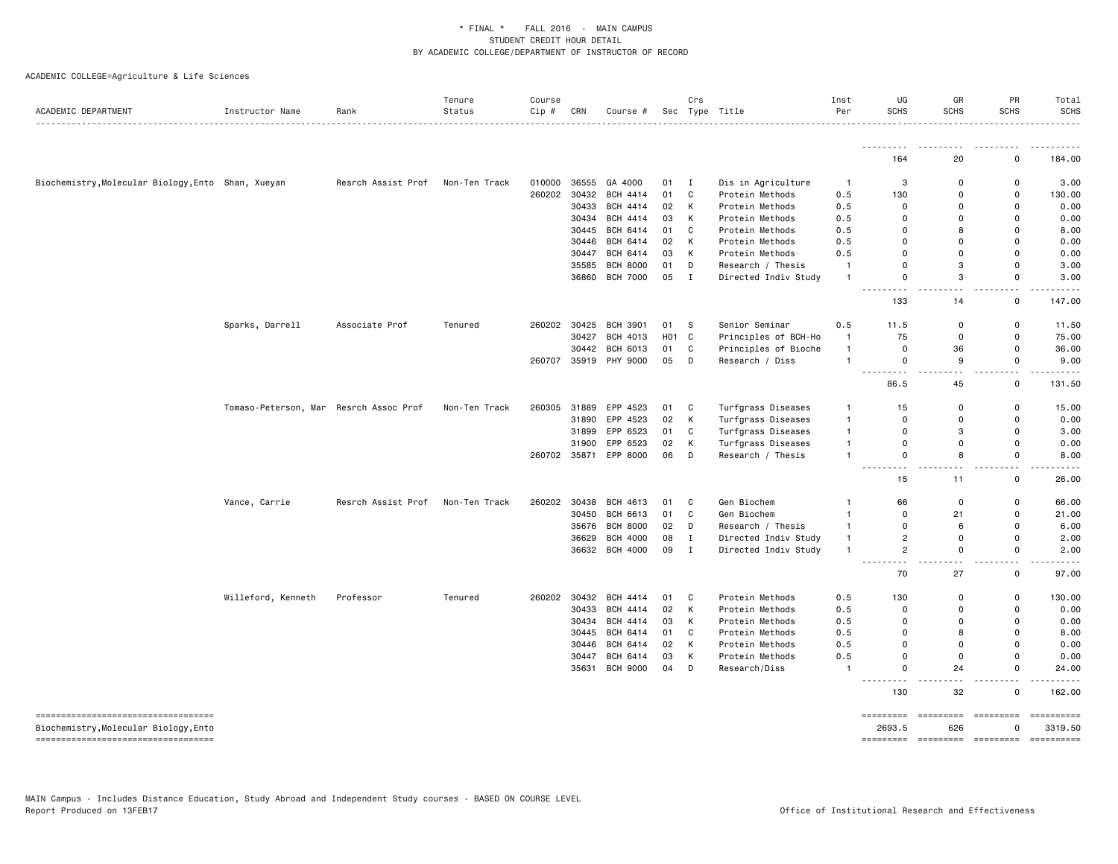| ACADEMIC DEPARTMENT                                | Instructor Name                        | Rank               | Tenure<br>Status | Course<br>Cip # | CRN   | Course #              |                  | Crs         | Sec Type Title       | Inst<br>Per    | UG<br><b>SCHS</b>           | GR<br><b>SCHS</b>   | PR<br><b>SCHS</b>             | Total<br><b>SCHS</b><br>.                                                                                                                                                                                                                                                                                                                                                                                     |
|----------------------------------------------------|----------------------------------------|--------------------|------------------|-----------------|-------|-----------------------|------------------|-------------|----------------------|----------------|-----------------------------|---------------------|-------------------------------|---------------------------------------------------------------------------------------------------------------------------------------------------------------------------------------------------------------------------------------------------------------------------------------------------------------------------------------------------------------------------------------------------------------|
|                                                    |                                        |                    |                  |                 |       |                       |                  |             |                      |                | .                           |                     |                               |                                                                                                                                                                                                                                                                                                                                                                                                               |
|                                                    |                                        |                    |                  |                 |       |                       |                  |             |                      |                | 164                         | 20                  | 0                             | 184.00                                                                                                                                                                                                                                                                                                                                                                                                        |
| Biochemistry, Molecular Biology, Ento Shan, Xueyan |                                        | Resrch Assist Prof | Non-Ten Track    | 010000          | 36555 | GA 4000               | 01               | I           | Dis in Agriculture   | $\overline{1}$ | 3                           | $\mathbf 0$         | 0                             | 3.00                                                                                                                                                                                                                                                                                                                                                                                                          |
|                                                    |                                        |                    |                  | 260202          | 30432 | <b>BCH 4414</b>       | 01               | C           | Protein Methods      | 0.5            | 130                         | $\Omega$            | $\Omega$                      | 130.00                                                                                                                                                                                                                                                                                                                                                                                                        |
|                                                    |                                        |                    |                  |                 | 30433 | <b>BCH 4414</b>       | 02               | К           | Protein Methods      | 0.5            | 0                           | 0                   | 0                             | 0.00                                                                                                                                                                                                                                                                                                                                                                                                          |
|                                                    |                                        |                    |                  |                 | 30434 | BCH 4414              | 03               | К           | Protein Methods      | 0.5            | $\Omega$                    | $\Omega$            | 0                             | 0.00                                                                                                                                                                                                                                                                                                                                                                                                          |
|                                                    |                                        |                    |                  |                 | 30445 | BCH 6414              | 01               | C           | Protein Methods      | 0.5            | $\Omega$                    | 8                   | $\Omega$                      | 8.00                                                                                                                                                                                                                                                                                                                                                                                                          |
|                                                    |                                        |                    |                  |                 | 30446 | BCH 6414              | 02               | К           | Protein Methods      | 0.5            | 0                           | $\mathbf 0$         | 0                             | 0.00                                                                                                                                                                                                                                                                                                                                                                                                          |
|                                                    |                                        |                    |                  |                 | 30447 | BCH 6414              | 03               | К           | Protein Methods      | 0.5            | $\Omega$                    | $\Omega$            | $\Omega$                      | 0.00                                                                                                                                                                                                                                                                                                                                                                                                          |
|                                                    |                                        |                    |                  |                 | 35585 | <b>BCH 8000</b>       | 01               | D           | Research / Thesis    | $\mathbf{1}$   | 0                           | 3                   | 0                             | 3.00                                                                                                                                                                                                                                                                                                                                                                                                          |
|                                                    |                                        |                    |                  |                 |       | 36860 BCH 7000        | 05               | $\mathbf I$ | Directed Indiv Study | $\mathbf{1}$   | 0                           | 3                   | 0                             | 3.00                                                                                                                                                                                                                                                                                                                                                                                                          |
|                                                    |                                        |                    |                  |                 |       |                       |                  |             |                      |                | 133                         | 14                  | $\mathsf{o}$                  | 147.00                                                                                                                                                                                                                                                                                                                                                                                                        |
|                                                    | Sparks, Darrell                        | Associate Prof     | Tenured          | 260202          | 30425 | <b>BCH 3901</b>       | 01               | s           | Senior Seminar       | 0.5            | 11.5                        | $\Omega$            | $\mathsf{o}$                  | 11.50                                                                                                                                                                                                                                                                                                                                                                                                         |
|                                                    |                                        |                    |                  |                 | 30427 | BCH 4013              | H <sub>0</sub> 1 | C           | Principles of BCH-Ho | $\overline{1}$ | 75                          | $\mathbf 0$         | $\mathbf 0$                   | 75.00                                                                                                                                                                                                                                                                                                                                                                                                         |
|                                                    |                                        |                    |                  |                 | 30442 | BCH 6013              | 01               | C           | Principles of Bioche | $\mathbf{1}$   | 0                           | 36                  | 0                             | 36.00                                                                                                                                                                                                                                                                                                                                                                                                         |
|                                                    |                                        |                    |                  | 260707          |       | 35919 PHY 9000        | 05               | D           | Research / Diss      | $\mathbf{1}$   | 0                           | 9                   | 0                             | 9.00                                                                                                                                                                                                                                                                                                                                                                                                          |
|                                                    |                                        |                    |                  |                 |       |                       |                  |             |                      |                | <u>.</u><br>86.5            | $\sim$ $\sim$<br>45 | $\sim$ $\sim$<br>0            | 131.50                                                                                                                                                                                                                                                                                                                                                                                                        |
|                                                    | Tomaso-Peterson, Mar Resrch Assoc Prof |                    | Non-Ten Track    | 260305          | 31889 | EPP 4523              | 01               | C           | Turfgrass Diseases   | $\mathbf{1}$   | 15                          | 0                   | 0                             | 15.00                                                                                                                                                                                                                                                                                                                                                                                                         |
|                                                    |                                        |                    |                  |                 | 31890 | EPP 4523              | 02               | К           | Turfgrass Diseases   | $\mathbf{1}$   | 0                           | 0                   | 0                             | 0.00                                                                                                                                                                                                                                                                                                                                                                                                          |
|                                                    |                                        |                    |                  |                 | 31899 | EPP 6523              | 01               | C           | Turfgrass Diseases   | $\mathbf{1}$   | $\mathbf 0$                 | 3                   | 0                             | 3.00                                                                                                                                                                                                                                                                                                                                                                                                          |
|                                                    |                                        |                    |                  |                 | 31900 | EPP 6523              | 02               | K           | Turfgrass Diseases   | $\mathbf{1}$   | 0                           | 0                   | 0                             | 0.00                                                                                                                                                                                                                                                                                                                                                                                                          |
|                                                    |                                        |                    |                  | 260702          |       | 35871 EPP 8000        | 06               | D           | Research / Thesis    | $\mathbf{1}$   | 0                           | 8                   | 0                             | 8.00                                                                                                                                                                                                                                                                                                                                                                                                          |
|                                                    |                                        |                    |                  |                 |       |                       |                  |             |                      |                | $\sim$ $\sim$<br>15         | $\sim$ $\sim$<br>11 | $\sim$ $\sim$<br>$\mathsf{o}$ | 26.00                                                                                                                                                                                                                                                                                                                                                                                                         |
|                                                    | Vance, Carrie                          | Resrch Assist Prof | Non-Ten Track    | 260202          | 30438 | BCH 4613              | 01               | C           | Gen Biochem          | -1             | 66                          | $\mathbf 0$         | $\mathsf{o}$                  | 66.00                                                                                                                                                                                                                                                                                                                                                                                                         |
|                                                    |                                        |                    |                  |                 | 30450 | BCH 6613              | 01               | C           | Gen Biochem          | $\mathbf{1}$   | 0                           | 21                  | 0                             | 21.00                                                                                                                                                                                                                                                                                                                                                                                                         |
|                                                    |                                        |                    |                  |                 |       | 35676 BCH 8000        | 02               | D           | Research / Thesis    | $\mathbf{1}$   | $\Omega$                    | 6                   | 0                             | 6.00                                                                                                                                                                                                                                                                                                                                                                                                          |
|                                                    |                                        |                    |                  |                 | 36629 | <b>BCH 4000</b>       | 08               | Ι.          | Directed Indiv Study | $\mathbf{1}$   | $\overline{c}$              | $\mathbf 0$         | $\mathsf{o}$                  | 2.00                                                                                                                                                                                                                                                                                                                                                                                                          |
|                                                    |                                        |                    |                  |                 |       | 36632 BCH 4000        | 09               | $\mathbf I$ | Directed Indiv Study | $\mathbf{1}$   | $\overline{2}$              | $\mathbf 0$         | $\mathsf{o}$                  | 2.00                                                                                                                                                                                                                                                                                                                                                                                                          |
|                                                    |                                        |                    |                  |                 |       |                       |                  |             |                      |                | $- - -$<br>.<br>70          | $\sim$ $\sim$<br>27 | $ -$<br>$\mathsf 0$           | 97.00                                                                                                                                                                                                                                                                                                                                                                                                         |
|                                                    | Willeford, Kenneth                     | Professor          | Tenured          |                 |       | 260202 30432 BCH 4414 | 01               | C           | Protein Methods      | 0.5            | 130                         | 0                   | 0                             | 130.00                                                                                                                                                                                                                                                                                                                                                                                                        |
|                                                    |                                        |                    |                  |                 | 30433 | <b>BCH 4414</b>       | 02               | К           | Protein Methods      | 0.5            | 0                           | $\Omega$            | $\mathbf 0$                   | 0.00                                                                                                                                                                                                                                                                                                                                                                                                          |
|                                                    |                                        |                    |                  |                 | 30434 | BCH 4414              | 03               | К           | Protein Methods      | 0.5            | 0                           | $\mathbf 0$         | $\Omega$                      | 0.00                                                                                                                                                                                                                                                                                                                                                                                                          |
|                                                    |                                        |                    |                  |                 | 30445 | BCH 6414              | 01               | C           | Protein Methods      | 0.5            | $\Omega$                    | 8                   | $\Omega$                      | 8.00                                                                                                                                                                                                                                                                                                                                                                                                          |
|                                                    |                                        |                    |                  |                 | 30446 | BCH 6414              | 02               | К           | Protein Methods      | 0.5            | $\Omega$                    | $\Omega$            | $\Omega$                      | 0.00                                                                                                                                                                                                                                                                                                                                                                                                          |
|                                                    |                                        |                    |                  |                 |       | 30447 BCH 6414        | 03               | К           | Protein Methods      | 0.5            | $\Omega$                    | $\mathbf 0$         | 0                             | 0.00                                                                                                                                                                                                                                                                                                                                                                                                          |
|                                                    |                                        |                    |                  |                 | 35631 | <b>BCH 9000</b>       | 04               | D           | Research/Diss        | $\mathbf{1}$   | 0                           | 24                  | 0                             | 24.00                                                                                                                                                                                                                                                                                                                                                                                                         |
|                                                    |                                        |                    |                  |                 |       |                       |                  |             |                      |                | $\sim$ $\sim$ $\sim$<br>130 | .<br>32             | $\sim$<br>$\mathsf{o}$        | 162.00                                                                                                                                                                                                                                                                                                                                                                                                        |
| ----------------------------------                 |                                        |                    |                  |                 |       |                       |                  |             |                      |                | =========                   | $=$ ========        | =========                     | ==========                                                                                                                                                                                                                                                                                                                                                                                                    |
| Biochemistry, Molecular Biology, Ento              |                                        |                    |                  |                 |       |                       |                  |             |                      |                | 2693.5                      | 626                 | $\Omega$                      | 3319.50                                                                                                                                                                                                                                                                                                                                                                                                       |
| -----------------------------------                |                                        |                    |                  |                 |       |                       |                  |             |                      |                | <b>EBEREERS</b>             | =========           | - =========                   | $\begin{minipage}{0.9\linewidth} \hspace*{-0.2cm} \textbf{if} \hspace*{0.2cm} \textbf{if} \hspace*{0.2cm} \textbf{if} \hspace*{0.2cm} \textbf{if} \hspace*{0.2cm} \textbf{if} \hspace*{0.2cm} \textbf{if} \hspace*{0.2cm} \textbf{if} \hspace*{0.2cm} \textbf{if} \hspace*{0.2cm} \textbf{if} \hspace*{0.2cm} \textbf{if} \hspace*{0.2cm} \textbf{if} \hspace*{0.2cm} \textbf{if} \hspace*{0.2cm} \textbf{if$ |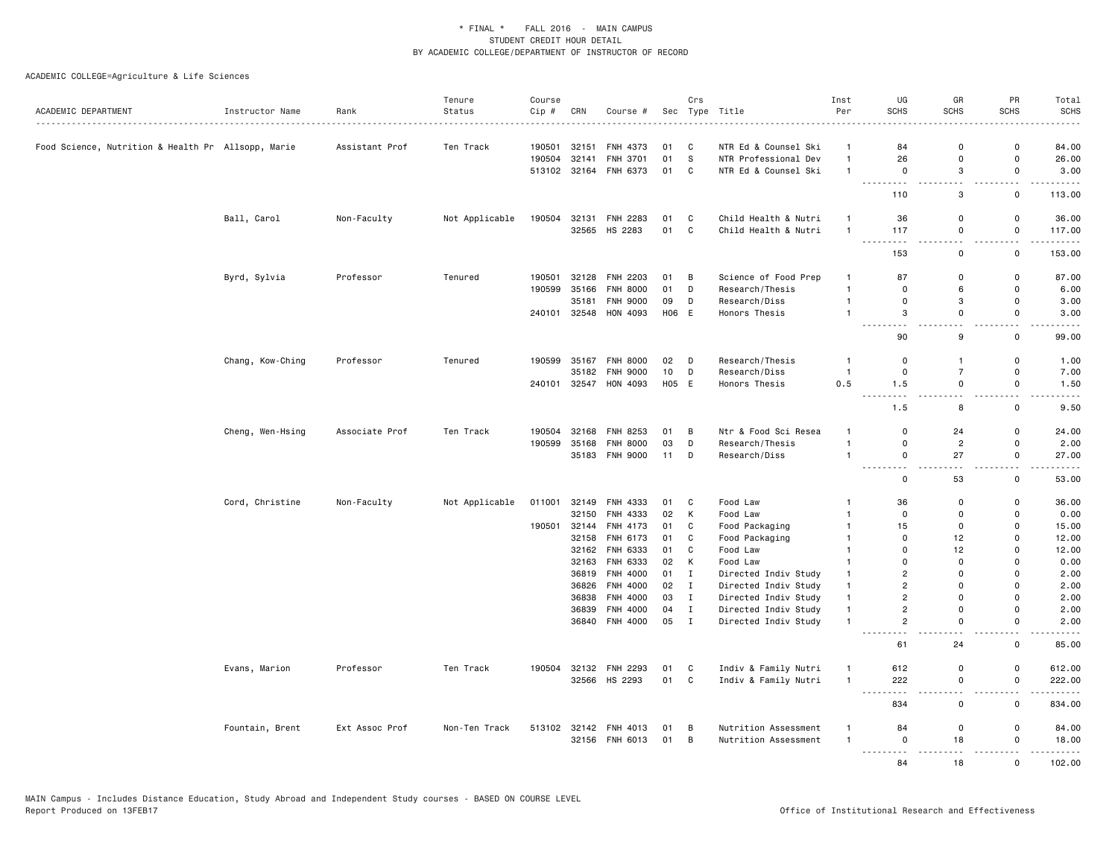|                                                    |                  |                | Tenure         | Course |       |                       |       | Crs          |                      | Inst           | UG                                                                                                                                              | GR                                         | PR                                      | Total                                                                                                                                                               |
|----------------------------------------------------|------------------|----------------|----------------|--------|-------|-----------------------|-------|--------------|----------------------|----------------|-------------------------------------------------------------------------------------------------------------------------------------------------|--------------------------------------------|-----------------------------------------|---------------------------------------------------------------------------------------------------------------------------------------------------------------------|
| ACADEMIC DEPARTMENT                                | Instructor Name  | Rank           | Status         | Cip #  | CRN   | Course #              |       |              | Sec Type Title<br>.  | Per            | <b>SCHS</b>                                                                                                                                     | <b>SCHS</b>                                | <b>SCHS</b>                             | <b>SCHS</b><br>$\frac{1}{2} \left( \frac{1}{2} \right) \left( \frac{1}{2} \right) \left( \frac{1}{2} \right) \left( \frac{1}{2} \right) \left( \frac{1}{2} \right)$ |
| Food Science, Nutrition & Health Pr Allsopp, Marie |                  | Assistant Prof | Ten Track      | 190501 | 32151 | FNH 4373              | 01    | C            | NTR Ed & Counsel Ski | $\mathbf{1}$   | 84                                                                                                                                              | $\mathbf 0$                                | 0                                       | 84.00                                                                                                                                                               |
|                                                    |                  |                |                | 190504 | 32141 | FNH 3701              | 01    | s            | NTR Professional Dev | $\mathbf{1}$   | 26                                                                                                                                              | $\mathbf 0$                                | $\mathsf 0$                             | 26.00                                                                                                                                                               |
|                                                    |                  |                |                | 513102 |       | 32164 FNH 6373        | 01    | C            | NTR Ed & Counsel Ski | $\overline{1}$ | $\mathbf 0$                                                                                                                                     | 3                                          | 0                                       | 3.00                                                                                                                                                                |
|                                                    |                  |                |                |        |       |                       |       |              |                      |                | .                                                                                                                                               | $\sim$ $\sim$                              | $\sim$ $\sim$                           | .                                                                                                                                                                   |
|                                                    |                  |                |                |        |       |                       |       |              |                      |                | 110                                                                                                                                             | 3                                          | 0                                       | 113.00                                                                                                                                                              |
|                                                    | Ball, Carol      | Non-Faculty    | Not Applicable | 190504 | 32131 | <b>FNH 2283</b>       | 01    | C            | Child Health & Nutri | $\overline{1}$ | 36                                                                                                                                              | $\mathbf 0$                                | 0                                       | 36.00                                                                                                                                                               |
|                                                    |                  |                |                |        | 32565 | HS 2283               | 01 C  |              | Child Health & Nutri | $\overline{1}$ | 117<br>.                                                                                                                                        | $\mathbf 0$<br>$-$                         | $\mathsf 0$<br>$-$                      | 117.00<br>.                                                                                                                                                         |
|                                                    |                  |                |                |        |       |                       |       |              |                      |                | 153                                                                                                                                             | $\mathsf 0$                                | 0                                       | 153.00                                                                                                                                                              |
|                                                    | Byrd, Sylvia     | Professor      | Tenured        | 190501 | 32128 | <b>FNH 2203</b>       | 01    | B            | Science of Food Prep | $\overline{1}$ | 87                                                                                                                                              | $\mathbf 0$                                | 0                                       | 87.00                                                                                                                                                               |
|                                                    |                  |                |                | 190599 | 35166 | <b>FNH 8000</b>       | 01    | D            | Research/Thesis      | $\overline{1}$ | $\mathbf 0$                                                                                                                                     | 6                                          | 0                                       | 6.00                                                                                                                                                                |
|                                                    |                  |                |                |        | 35181 | <b>FNH 9000</b>       | 09    | D            | Research/Diss        | $\overline{1}$ | $\mathbf 0$                                                                                                                                     | 3                                          | $\mathsf 0$                             | 3.00                                                                                                                                                                |
|                                                    |                  |                |                |        |       | 240101 32548 HON 4093 | H06 E |              | Honors Thesis        | $\overline{1}$ | 3<br>$\sim$ $\sim$<br>$\frac{1}{2} \left( \frac{1}{2} \right) \left( \frac{1}{2} \right) \left( \frac{1}{2} \right) \left( \frac{1}{2} \right)$ | $\mathbf 0$<br>и.                          | $\mathbf 0$<br>$\overline{\phantom{0}}$ | 3.00                                                                                                                                                                |
|                                                    |                  |                |                |        |       |                       |       |              |                      |                | 90                                                                                                                                              | 9                                          | $\mathbf 0$                             | 99.00                                                                                                                                                               |
|                                                    | Chang, Kow-Ching | Professor      | Tenured        | 190599 |       | 35167 FNH 8000        | 02    | $\Box$       | Research/Thesis      | $\overline{1}$ | $\mathbf 0$                                                                                                                                     | $\overline{1}$                             | 0                                       | 1.00                                                                                                                                                                |
|                                                    |                  |                |                |        | 35182 | <b>FNH 9000</b>       | 10    | D            | Research/Diss        | $\overline{1}$ | $\mathbf 0$                                                                                                                                     | $\overline{7}$                             | 0                                       | 7.00                                                                                                                                                                |
|                                                    |                  |                |                |        |       | 240101 32547 HON 4093 | H05 E |              | Honors Thesis        | 0.5            | 1.5<br>$\sim$ $\sim$ $\sim$<br>$\frac{1}{2}$                                                                                                    | $\mathbf 0$<br>$\sim$ $\sim$               | $\mathsf 0$<br>$ -$                     | 1.50<br>.                                                                                                                                                           |
|                                                    |                  |                |                |        |       |                       |       |              |                      |                | 1.5                                                                                                                                             | 8                                          | 0                                       | 9.50                                                                                                                                                                |
|                                                    | Cheng, Wen-Hsing | Associate Prof | Ten Track      | 190504 | 32168 | <b>FNH 8253</b>       | 01    | B            | Ntr & Food Sci Resea | $\mathbf{1}$   | $\mathbf 0$                                                                                                                                     | 24                                         | $\mathsf 0$                             | 24.00                                                                                                                                                               |
|                                                    |                  |                |                | 190599 | 35168 | <b>FNH 8000</b>       | 03    | D            | Research/Thesis      | $\overline{1}$ | $\mathsf{O}$                                                                                                                                    | $\overline{c}$                             | $\mathsf{o}$                            | 2.00                                                                                                                                                                |
|                                                    |                  |                |                |        |       | 35183 FNH 9000        | 11    | D            | Research/Diss        | $\overline{1}$ | $\mathsf 0$<br>$\sim$                                                                                                                           | 27                                         | $\mathsf 0$<br>$\overline{\phantom{0}}$ | 27.00                                                                                                                                                               |
|                                                    |                  |                |                |        |       |                       |       |              |                      |                | $\mathbf 0$                                                                                                                                     | 53                                         | 0                                       | 53.00                                                                                                                                                               |
|                                                    | Cord, Christine  | Non-Faculty    | Not Applicable | 011001 |       | 32149 FNH 4333        | 01    | C            | Food Law             | $\mathbf{1}$   | 36                                                                                                                                              | $\mathbf 0$                                | 0                                       | 36.00                                                                                                                                                               |
|                                                    |                  |                |                |        | 32150 | FNH 4333              | 02    | K            | Food Law             | $\mathbf{1}$   | $\mathbf 0$                                                                                                                                     | $\mathbf 0$                                | $\mathsf 0$                             | 0.00                                                                                                                                                                |
|                                                    |                  |                |                | 190501 |       | 32144 FNH 4173        | 01    | C            | Food Packaging       | $\mathbf{1}$   | 15                                                                                                                                              | $\Omega$                                   | $\Omega$                                | 15.00                                                                                                                                                               |
|                                                    |                  |                |                |        | 32158 | FNH 6173              | 01    | C            | Food Packaging       | $\mathbf{1}$   | $\mathbf 0$                                                                                                                                     | 12                                         | 0                                       | 12.00                                                                                                                                                               |
|                                                    |                  |                |                |        |       | 32162 FNH 6333        | 01    | $\mathbf{C}$ | Food Law             | $\mathbf{1}$   | $\Omega$                                                                                                                                        | 12                                         | $\mathbf 0$                             | 12.00                                                                                                                                                               |
|                                                    |                  |                |                |        | 32163 | FNH 6333              | 02    | к            | Food Law             | $\mathbf{1}$   | $\Omega$                                                                                                                                        | $\mathbf 0$                                | $\mathbf 0$                             | 0.00                                                                                                                                                                |
|                                                    |                  |                |                |        |       | 36819 FNH 4000        | 01    | $\mathbf{I}$ | Directed Indiv Study | $\mathbf{1}$   | $\overline{2}$                                                                                                                                  | $\Omega$                                   | $\Omega$                                | 2.00                                                                                                                                                                |
|                                                    |                  |                |                |        |       | 36826 FNH 4000        | 02    | $\mathbf{I}$ | Directed Indiv Study | $\mathbf{1}$   | $\overline{2}$                                                                                                                                  | $\Omega$                                   | $\Omega$                                | 2.00                                                                                                                                                                |
|                                                    |                  |                |                |        | 36838 | <b>FNH 4000</b>       | 03    | $\mathbf{I}$ | Directed Indiv Study | $\mathbf{1}$   | $\overline{c}$                                                                                                                                  | $\Omega$                                   | 0                                       | 2.00                                                                                                                                                                |
|                                                    |                  |                |                |        | 36839 | <b>FNH 4000</b>       | 04    | $\mathbf I$  | Directed Indiv Study | $\overline{1}$ | $\overline{2}$                                                                                                                                  | $\mathbf 0$                                | $\mathsf 0$                             | 2.00                                                                                                                                                                |
|                                                    |                  |                |                |        |       | 36840 FNH 4000        | 05 I  |              | Directed Indiv Study | $\overline{1}$ | $\overline{2}$<br>$\sim$ $\sim$<br>- - -                                                                                                        | $\overline{0}$<br>$\overline{\phantom{a}}$ | $\mathbf 0$<br>. .                      | 2.00                                                                                                                                                                |
|                                                    |                  |                |                |        |       |                       |       |              |                      |                | 61                                                                                                                                              | 24                                         | $\mathsf 0$                             | 85.00                                                                                                                                                               |
|                                                    | Evans, Marion    | Professor      | Ten Track      | 190504 |       | 32132 FNH 2293        | 01    | C            | Indiv & Family Nutri | $\overline{1}$ | 612                                                                                                                                             | $\mathbf 0$                                | $\mathsf 0$                             | 612.00                                                                                                                                                              |
|                                                    |                  |                |                |        |       | 32566 HS 2293         | 01 C  |              | Indiv & Family Nutri | $\overline{1}$ | 222<br>$- - -$                                                                                                                                  | $\mathsf 0$<br>. .                         | 0<br>i.                                 | 222.00                                                                                                                                                              |
|                                                    |                  |                |                |        |       |                       |       |              |                      |                | 834                                                                                                                                             | $\mathbf 0$                                | $\mathsf 0$                             | 834.00                                                                                                                                                              |
|                                                    | Fountain, Brent  | Ext Assoc Prof | Non-Ten Track  |        |       | 513102 32142 FNH 4013 | 01    | B            | Nutrition Assessment | $\mathbf{1}$   | 84                                                                                                                                              | $\mathbf 0$                                | $\mathsf{o}$                            | 84.00                                                                                                                                                               |
|                                                    |                  |                |                |        |       | 32156 FNH 6013        | 01 B  |              | Nutrition Assessment | $\overline{1}$ | $\overline{0}$<br>.<br>$- - -$                                                                                                                  | 18<br>$ -$                                 | $\mathbf 0$<br>$\sim$ $\sim$            | 18.00<br>. <u>.</u> .                                                                                                                                               |
|                                                    |                  |                |                |        |       |                       |       |              |                      |                | 84                                                                                                                                              | 18                                         | $\mathbf 0$                             | 102.00                                                                                                                                                              |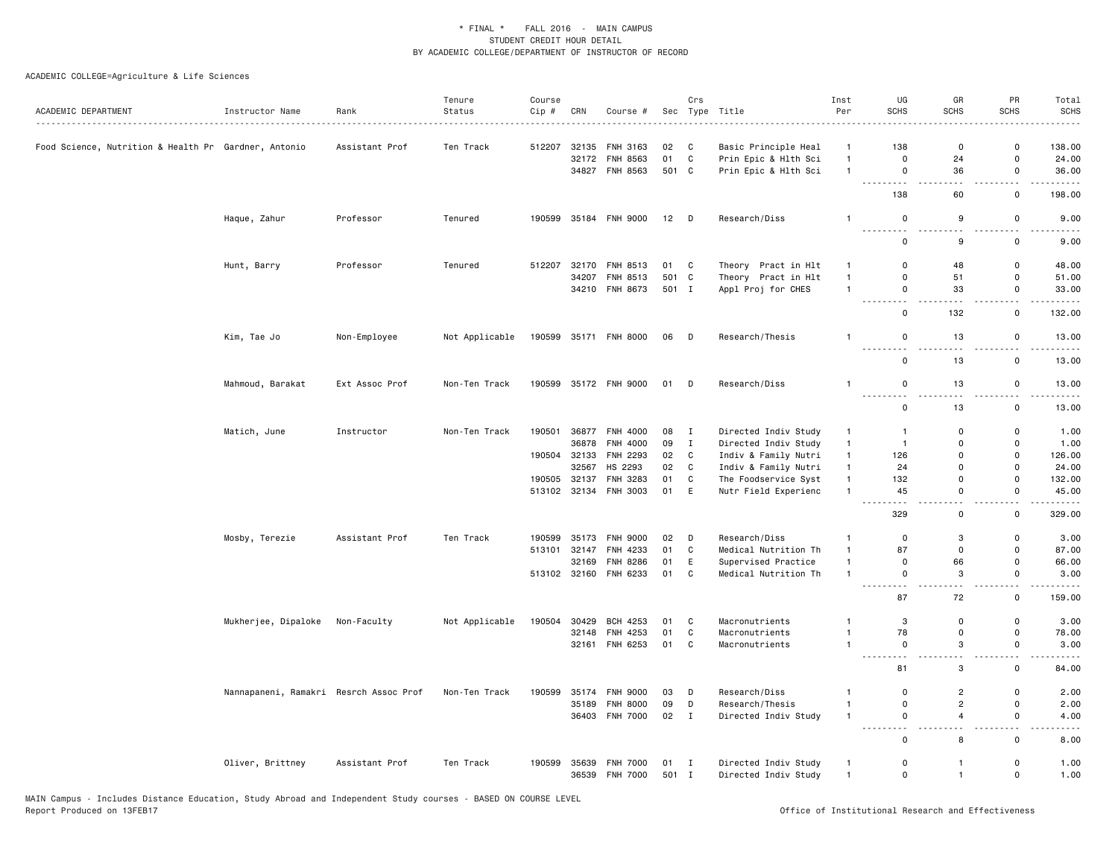| ACADEMIC DEPARTMENT                                  | Instructor Name                        | Rank           | Tenure<br>Status | Course<br>Cip # | CRN          | Course #              |        | Crs          | Sec Type Title       | Inst<br>Per    | UG<br><b>SCHS</b>                            | GR<br><b>SCHS</b>       | PR<br><b>SCHS</b>             | Total<br><b>SCHS</b> |
|------------------------------------------------------|----------------------------------------|----------------|------------------|-----------------|--------------|-----------------------|--------|--------------|----------------------|----------------|----------------------------------------------|-------------------------|-------------------------------|----------------------|
| Food Science, Nutrition & Health Pr Gardner, Antonio |                                        | Assistant Prof | Ten Track        | 512207          | 32135        | FNH 3163              | 02     | C            | Basic Principle Heal | $\mathbf{1}$   | 138                                          | $\mathbf 0$             | 0                             | 138.00               |
|                                                      |                                        |                |                  |                 | 32172        | <b>FNH 8563</b>       | 01     | C            | Prin Epic & Hlth Sci | $\mathbf{1}$   | 0                                            | 24                      | 0                             | 24.00                |
|                                                      |                                        |                |                  |                 |              | 34827 FNH 8563        | 501 C  |              | Prin Epic & Hlth Sci | $\mathbf{1}$   | $\mathbf 0$<br>.<br>$\sim$ $\sim$            | 36<br>$\sim$ $\sim$     | 0<br>$\sim$ $\sim$            | 36.00                |
|                                                      |                                        |                |                  |                 |              |                       |        |              |                      |                | 138                                          | 60                      | 0                             | 198.00               |
|                                                      | Haque, Zahur                           | Professor      | Tenured          | 190599          |              | 35184 FNH 9000        | $12$ D |              | Research/Diss        | $\overline{1}$ | 0<br>$\sim$ $\sim$                           | 9<br>$\sim$ $\sim$      | 0<br>$\overline{\phantom{a}}$ | 9.00                 |
|                                                      |                                        |                |                  |                 |              |                       |        |              |                      |                | 0                                            | 9                       | 0                             | 9.00                 |
|                                                      | Hunt, Barry                            | Professor      | Tenured          | 512207          | 32170        | FNH 8513              | 01     | C            | Theory Pract in Hlt  | $\mathbf{1}$   | 0                                            | 48                      | $\mathsf{o}\,$                | 48.00                |
|                                                      |                                        |                |                  |                 | 34207        | FNH 8513              | 501 C  |              | Theory Pract in Hlt  | $\overline{1}$ | 0                                            | 51                      | 0                             | 51.00                |
|                                                      |                                        |                |                  |                 |              | 34210 FNH 8673        | 501 I  |              | Appl Proj for CHES   | $\overline{1}$ | 0<br>۵.<br>$\sim$ $\sim$                     | 33                      | 0<br>$\overline{\phantom{a}}$ | 33.00                |
|                                                      |                                        |                |                  |                 |              |                       |        |              |                      |                | 0                                            | 132                     | 0                             | 132.00               |
|                                                      | Kim, Tae Jo                            | Non-Employee   | Not Applicable   | 190599          |              | 35171 FNH 8000        | 06 D   |              | Research/Thesis      | $\overline{1}$ | 0<br>.                                       | 13<br>.                 | 0<br>$\sim$ $\sim$            | 13.00                |
|                                                      |                                        |                |                  |                 |              |                       |        |              |                      |                | 0                                            | 13                      | 0                             | 13.00                |
|                                                      | Mahmoud, Barakat                       | Ext Assoc Prof | Non-Ten Track    |                 |              | 190599 35172 FNH 9000 | 01 D   |              | Research/Diss        | $\overline{1}$ | 0<br>$\sim$                                  | 13<br>$\sim$ $\sim$     | 0<br>$\sim$ $\sim$            | 13.00                |
|                                                      |                                        |                |                  |                 |              |                       |        |              |                      |                | 0                                            | 13                      | 0                             | 13.00                |
|                                                      | Matich, June                           | Instructor     | Non-Ten Track    | 190501          | 36877        | FNH 4000              | 08     | $\mathbf{I}$ | Directed Indiv Study | $\mathbf{1}$   | $\overline{1}$                               | $\mathsf 0$             | $\mathsf 0$                   | 1.00                 |
|                                                      |                                        |                |                  |                 | 36878        | FNH 4000              | 09     | $\mathbf I$  | Directed Indiv Study | $\mathbf{1}$   | $\overline{1}$                               | $\Omega$                | $\Omega$                      | 1.00                 |
|                                                      |                                        |                |                  | 190504          | 32133        | <b>FNH 2293</b>       | 02     | C            | Indiv & Family Nutri | $\mathbf{1}$   | 126                                          | $\mathbf 0$             | 0                             | 126.00               |
|                                                      |                                        |                |                  |                 | 32567        | HS 2293               | 02     | $\mathbb{C}$ | Indiv & Family Nutri | $\overline{1}$ | 24                                           | $\Omega$                | $\Omega$                      | 24.00                |
|                                                      |                                        |                |                  | 190505          | 32137        | FNH 3283              | 01     | $\mathtt{C}$ | The Foodservice Syst | $\mathbf{1}$   | 132                                          | 0                       | 0                             | 132.00               |
|                                                      |                                        |                |                  |                 |              | 513102 32134 FNH 3003 | 01     | E            | Nutr Field Experienc | $\overline{1}$ | 45<br>$\sim$ $\sim$                          | 0                       | 0<br>٠.                       | 45.00                |
|                                                      |                                        |                |                  |                 |              |                       |        |              |                      |                | 329                                          | 0                       | 0                             | 329.00               |
|                                                      | Mosby, Terezie                         | Assistant Prof | Ten Track        | 190599          | 35173        | <b>FNH 9000</b>       | 02     | D            | Research/Diss        | $\overline{1}$ | $\Omega$                                     | 3                       | $\mathbf 0$                   | 3.00                 |
|                                                      |                                        |                |                  | 513101          | 32147        | FNH 4233              | 01     | $\mathbf C$  | Medical Nutrition Th | $\overline{1}$ | 87                                           | 0                       | $\Omega$                      | 87.00                |
|                                                      |                                        |                |                  |                 | 32169        | <b>FNH 8286</b>       | 01     | E            | Supervised Practice  | $\mathbf{1}$   | $\mathbf 0$                                  | 66                      | 0                             | 66.00                |
|                                                      |                                        |                |                  |                 | 513102 32160 | FNH 6233              | 01     | $\mathtt{C}$ | Medical Nutrition Th | $\overline{1}$ | 0<br>$\sim$ $\sim$<br>.                      | 3                       | 0                             | 3.00                 |
|                                                      |                                        |                |                  |                 |              |                       |        |              |                      |                | 87                                           | 72                      | 0                             | 159.00               |
|                                                      | Mukherjee, Dipaloke                    | Non-Faculty    | Not Applicable   | 190504          | 30429        | BCH 4253              | 01     | C            | Macronutrients       | $\overline{1}$ | 3                                            | $\mathbf 0$             | 0                             | 3.00                 |
|                                                      |                                        |                |                  |                 | 32148        | FNH 4253              | 01     | C            | Macronutrients       | $\overline{1}$ | 78                                           | 0                       | 0                             | 78.00                |
|                                                      |                                        |                |                  |                 | 32161        | FNH 6253              | 01     | $\mathbf C$  | Macronutrients       | $\mathbf{1}$   | 0<br>-----<br>$- - -$                        | 3<br>$\sim$ $\sim$      | $\mathsf 0$<br>$-$            | 3.00<br>.            |
|                                                      |                                        |                |                  |                 |              |                       |        |              |                      |                | 81                                           | 3                       | 0                             | 84.00                |
|                                                      | Nannapaneni, Ramakri Resrch Assoc Prof |                | Non-Ten Track    | 190599          | 35174        | <b>FNH 9000</b>       | 03     | D            | Research/Diss        | $\mathbf{1}$   | 0                                            | $\overline{2}$          | 0                             | 2.00                 |
|                                                      |                                        |                |                  |                 | 35189        | <b>FNH 8000</b>       | 09     | D            | Research/Thesis      | $\mathbf{1}$   | $\mathbf 0$                                  | $\overline{c}$          | 0                             | 2.00                 |
|                                                      |                                        |                |                  |                 |              | 36403 FNH 7000        | 02 I   |              | Directed Indiv Study | $\overline{1}$ | 0<br>$\sim$ $\sim$ $\sim$ .<br>$\sim$ $\sim$ | $\overline{4}$<br>i a a | 0<br>$\sim$ $\sim$            | 4.00<br>.            |
|                                                      |                                        |                |                  |                 |              |                       |        |              |                      |                | 0                                            | 8                       | $\mathbf 0$                   | 8.00                 |
|                                                      | Oliver, Brittney                       | Assistant Prof | Ten Track        | 190599          | 35639        | <b>FNH 7000</b>       | 01     | $\mathbf{I}$ | Directed Indiv Study | $\mathbf{1}$   | 0                                            | $\mathbf{1}$            | 0                             | 1.00                 |
|                                                      |                                        |                |                  |                 | 36539        | <b>FNH 7000</b>       | 501 I  |              | Directed Indiv Study | $\overline{1}$ | 0                                            | $\mathbf{1}$            | 0                             | 1.00                 |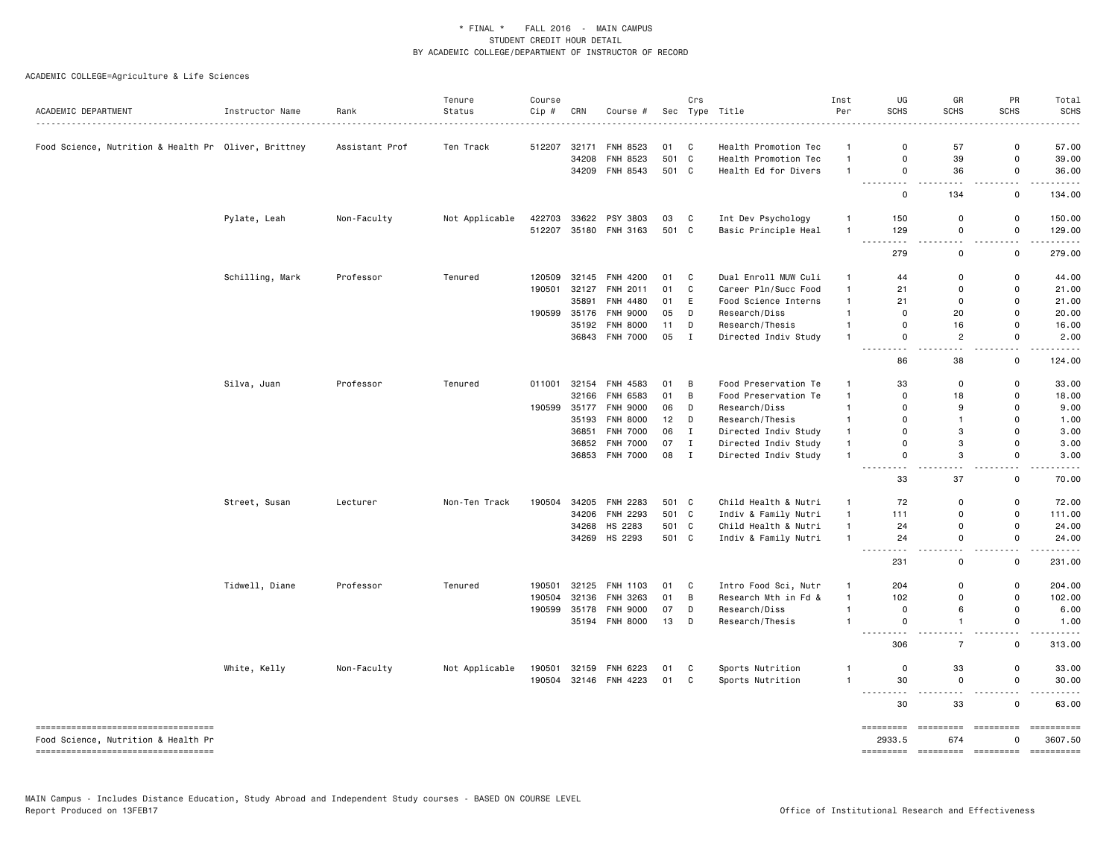| ACADEMIC DEPARTMENT                                                         | Instructor Name<br>. | Rank           | Tenure<br>Status | Course<br>Cip # | CRN   | Course #        |       | Crs          | Sec Type Title       | Inst<br>Per  | UG<br><b>SCHS</b>                                                                                                                         | GR<br><b>SCHS</b>               | PR<br><b>SCHS</b>            | Total<br><b>SCHS</b>                                                                                                                                                                                                                                                                                                                                                                                          |
|-----------------------------------------------------------------------------|----------------------|----------------|------------------|-----------------|-------|-----------------|-------|--------------|----------------------|--------------|-------------------------------------------------------------------------------------------------------------------------------------------|---------------------------------|------------------------------|---------------------------------------------------------------------------------------------------------------------------------------------------------------------------------------------------------------------------------------------------------------------------------------------------------------------------------------------------------------------------------------------------------------|
|                                                                             |                      |                |                  |                 |       |                 |       |              |                      |              |                                                                                                                                           |                                 |                              |                                                                                                                                                                                                                                                                                                                                                                                                               |
| Food Science, Nutrition & Health Pr Oliver, Brittney                        |                      | Assistant Prof | Ten Track        | 512207          | 32171 | FNH 8523        | 01    | C            | Health Promotion Tec | $\mathbf{1}$ | $\Omega$                                                                                                                                  | 57                              | 0                            | 57.00                                                                                                                                                                                                                                                                                                                                                                                                         |
|                                                                             |                      |                |                  |                 | 34208 | FNH 8523        | 501 C |              | Health Promotion Tec | $\mathbf{1}$ | 0                                                                                                                                         | 39                              | $\mathsf 0$                  | 39.00                                                                                                                                                                                                                                                                                                                                                                                                         |
|                                                                             |                      |                |                  |                 |       | 34209 FNH 8543  | 501 C |              | Health Ed for Divers | $\mathbf{1}$ | 0<br>.                                                                                                                                    | 36                              | 0<br>$\sim$ $\sim$           | 36.00                                                                                                                                                                                                                                                                                                                                                                                                         |
|                                                                             |                      |                |                  |                 |       |                 |       |              |                      |              | 0                                                                                                                                         | 134                             | 0                            | 134.00                                                                                                                                                                                                                                                                                                                                                                                                        |
|                                                                             | Pylate, Leah         | Non-Faculty    | Not Applicable   | 422703          | 33622 | PSY 3803        | 03    | C            | Int Dev Psychology   | $\mathbf{1}$ | 150                                                                                                                                       | $\mathbf 0$                     | $\Omega$                     | 150.00                                                                                                                                                                                                                                                                                                                                                                                                        |
|                                                                             |                      |                |                  | 512207          |       | 35180 FNH 3163  | 501 C |              | Basic Principle Heal | $\mathbf{1}$ | 129<br>$\sim$ $\sim$<br>$\sim$ $\sim$ $\sim$                                                                                              | 0<br>$\sim$ $\sim$              | $\mathbf 0$<br>$\sim$ $\sim$ | 129.00<br>.                                                                                                                                                                                                                                                                                                                                                                                                   |
|                                                                             |                      |                |                  |                 |       |                 |       |              |                      |              | 279                                                                                                                                       | $\mathbf 0$                     | 0                            | 279.00                                                                                                                                                                                                                                                                                                                                                                                                        |
|                                                                             | Schilling, Mark      | Professor      | Tenured          | 120509          | 32145 | <b>FNH 4200</b> | 01    | C            | Dual Enroll MUW Culi | $\mathbf{1}$ | 44                                                                                                                                        | 0                               | 0                            | 44.00                                                                                                                                                                                                                                                                                                                                                                                                         |
|                                                                             |                      |                |                  | 190501          | 32127 | FNH 2011        | 01    | $\mathtt{C}$ | Career Pln/Succ Food | $\mathbf{1}$ | 21                                                                                                                                        | $\mathbf 0$                     | $\mathbf 0$                  | 21.00                                                                                                                                                                                                                                                                                                                                                                                                         |
|                                                                             |                      |                |                  |                 | 35891 | FNH 4480        | 01    | E            | Food Science Interns | $\mathbf{1}$ | 21                                                                                                                                        | $\mathbf 0$                     | $\Omega$                     | 21.00                                                                                                                                                                                                                                                                                                                                                                                                         |
|                                                                             |                      |                |                  | 190599          | 35176 | <b>FNH 9000</b> | 05    | D            | Research/Diss        | $\mathbf{1}$ | 0                                                                                                                                         | 20                              | 0                            | 20.00                                                                                                                                                                                                                                                                                                                                                                                                         |
|                                                                             |                      |                |                  |                 | 35192 | <b>FNH 8000</b> | 11    | D            | Research/Thesis      | $\mathbf{1}$ | 0                                                                                                                                         | 16                              | 0                            | 16.00                                                                                                                                                                                                                                                                                                                                                                                                         |
|                                                                             |                      |                |                  |                 |       | 36843 FNH 7000  | 05    | $\mathbf I$  | Directed Indiv Study | $\mathbf{1}$ | 0<br>$\cdot$                                                                                                                              | $\overline{2}$                  | 0                            | 2.00                                                                                                                                                                                                                                                                                                                                                                                                          |
|                                                                             |                      |                |                  |                 |       |                 |       |              |                      |              | 86                                                                                                                                        | $\sim$ $\sim$<br>38             | $\sim$ $\sim$<br>0           | 124.00                                                                                                                                                                                                                                                                                                                                                                                                        |
|                                                                             | Silva, Juan          | Professor      | Tenured          | 011001          | 32154 | FNH 4583        | 01    | В            | Food Preservation Te | $\mathbf{1}$ | 33                                                                                                                                        | $\mathbf 0$                     | $\mathsf{o}$                 | 33.00                                                                                                                                                                                                                                                                                                                                                                                                         |
|                                                                             |                      |                |                  |                 | 32166 | <b>FNH 6583</b> | 01    | B            | Food Preservation Te | $\mathbf{1}$ | $\mathbf 0$                                                                                                                               | 18                              | 0                            | 18.00                                                                                                                                                                                                                                                                                                                                                                                                         |
|                                                                             |                      |                |                  | 190599          | 35177 | <b>FNH 9000</b> | 06    | D            | Research/Diss        | $\mathbf{1}$ | 0                                                                                                                                         | 9                               | 0                            | 9.00                                                                                                                                                                                                                                                                                                                                                                                                          |
|                                                                             |                      |                |                  |                 | 35193 | <b>FNH 8000</b> | 12    | D            | Research/Thesis      | $\mathbf{1}$ | $\Omega$                                                                                                                                  | $\mathbf{1}$                    | 0                            | 1.00                                                                                                                                                                                                                                                                                                                                                                                                          |
|                                                                             |                      |                |                  |                 | 36851 | <b>FNH 7000</b> | 06    | $\mathbf I$  | Directed Indiv Study | $\mathbf{1}$ | $\Omega$                                                                                                                                  | 3                               | $\Omega$                     | 3.00                                                                                                                                                                                                                                                                                                                                                                                                          |
|                                                                             |                      |                |                  |                 | 36852 | <b>FNH 7000</b> | 07    | $\mathbf I$  | Directed Indiv Study | $\mathbf{1}$ | $\mathbf 0$                                                                                                                               | 3                               | 0                            | 3.00                                                                                                                                                                                                                                                                                                                                                                                                          |
|                                                                             |                      |                |                  |                 |       | 36853 FNH 7000  | 08    | $\mathbf I$  | Directed Indiv Study | $\mathbf{1}$ | 0                                                                                                                                         | 3                               | 0                            | 3.00                                                                                                                                                                                                                                                                                                                                                                                                          |
|                                                                             |                      |                |                  |                 |       |                 |       |              |                      |              | .<br>$\frac{1}{2}$<br>33                                                                                                                  | $\sim$ $\sim$<br>37             | $\sim$<br>0                  | 70.00                                                                                                                                                                                                                                                                                                                                                                                                         |
|                                                                             | Street, Susan        | Lecturer       | Non-Ten Track    | 190504          | 34205 | <b>FNH 2283</b> | 501 C |              | Child Health & Nutri | $\mathbf{1}$ | 72                                                                                                                                        | $\Omega$                        | $\Omega$                     | 72.00                                                                                                                                                                                                                                                                                                                                                                                                         |
|                                                                             |                      |                |                  |                 | 34206 | <b>FNH 2293</b> | 501 C |              | Indiv & Family Nutri | $\mathbf{1}$ | 111                                                                                                                                       | $\mathbf 0$                     | 0                            | 111.00                                                                                                                                                                                                                                                                                                                                                                                                        |
|                                                                             |                      |                |                  |                 |       | 34268 HS 2283   | 501   | C            | Child Health & Nutri | $\mathbf{1}$ | 24                                                                                                                                        | $\mathbf 0$                     | 0                            | 24.00                                                                                                                                                                                                                                                                                                                                                                                                         |
|                                                                             |                      |                |                  |                 |       | 34269 HS 2293   | 501 C |              | Indiv & Family Nutri | $\mathbf{1}$ | 24                                                                                                                                        | $\mathbf 0$                     | 0                            | 24.00                                                                                                                                                                                                                                                                                                                                                                                                         |
|                                                                             |                      |                |                  |                 |       |                 |       |              |                      |              | $\frac{1}{2} \left( \frac{1}{2} \right) \left( \frac{1}{2} \right) \left( \frac{1}{2} \right) \left( \frac{1}{2} \right)$<br>- - -<br>231 | $\sim$ $\sim$<br>0              | $ -$<br>0                    | 231.00                                                                                                                                                                                                                                                                                                                                                                                                        |
|                                                                             | Tidwell, Diane       | Professor      | Tenured          | 190501          | 32125 | FNH 1103        | 01    | C            | Intro Food Sci, Nutr | $\mathbf{1}$ | 204                                                                                                                                       | $\Omega$                        | $\Omega$                     | 204.00                                                                                                                                                                                                                                                                                                                                                                                                        |
|                                                                             |                      |                |                  | 190504          | 32136 | FNH 3263        | 01    | B            | Research Mth in Fd & | $\mathbf{1}$ | 102                                                                                                                                       | $\Omega$                        | $\mathbf 0$                  | 102.00                                                                                                                                                                                                                                                                                                                                                                                                        |
|                                                                             |                      |                |                  | 190599          | 35178 | <b>FNH 9000</b> | 07    | D            | Research/Diss        | $\mathbf{1}$ | 0                                                                                                                                         | 6                               | 0                            | 6.00                                                                                                                                                                                                                                                                                                                                                                                                          |
|                                                                             |                      |                |                  |                 |       | 35194 FNH 8000  | 13    | D            | Research/Thesis      | $\mathbf{1}$ | 0                                                                                                                                         | $\mathbf{1}$                    | 0                            | 1.00                                                                                                                                                                                                                                                                                                                                                                                                          |
|                                                                             |                      |                |                  |                 |       |                 |       |              |                      |              | $\frac{1}{2} \left( \frac{1}{2} \right)$<br>$\cdots$<br>306                                                                               | $\sim$ $\sim$<br>$\overline{7}$ | $\overline{a}$<br>0          | 313.00                                                                                                                                                                                                                                                                                                                                                                                                        |
|                                                                             | White, Kelly         | Non-Faculty    | Not Applicable   | 190501          | 32159 | FNH 6223        | 01    | C            | Sports Nutrition     |              | $\mathbf 0$                                                                                                                               | 33                              | 0                            | 33.00                                                                                                                                                                                                                                                                                                                                                                                                         |
|                                                                             |                      |                |                  | 190504          |       | 32146 FNH 4223  | 01    | C            | Sports Nutrition     | $\mathbf{1}$ | 30                                                                                                                                        | 0                               | 0                            | 30.00                                                                                                                                                                                                                                                                                                                                                                                                         |
|                                                                             |                      |                |                  |                 |       |                 |       |              |                      |              | $\frac{1}{2}$<br>30                                                                                                                       | .<br>33                         | $\sim$ $\sim$<br>0           | 63.00                                                                                                                                                                                                                                                                                                                                                                                                         |
| ====================================<br>Food Science, Nutrition & Health Pr |                      |                |                  |                 |       |                 |       |              |                      |              | =========<br>2933.5                                                                                                                       | =========<br>674                | =========                    | -----------<br>3607.50                                                                                                                                                                                                                                                                                                                                                                                        |
| ----------------------------------                                          |                      |                |                  |                 |       |                 |       |              |                      |              | ========= ========                                                                                                                        |                                 | - =========                  | $\begin{minipage}{0.9\linewidth} \hspace*{-0.2cm} \textbf{if} \hspace*{0.2cm} \textbf{if} \hspace*{0.2cm} \textbf{if} \hspace*{0.2cm} \textbf{if} \hspace*{0.2cm} \textbf{if} \hspace*{0.2cm} \textbf{if} \hspace*{0.2cm} \textbf{if} \hspace*{0.2cm} \textbf{if} \hspace*{0.2cm} \textbf{if} \hspace*{0.2cm} \textbf{if} \hspace*{0.2cm} \textbf{if} \hspace*{0.2cm} \textbf{if} \hspace*{0.2cm} \textbf{if$ |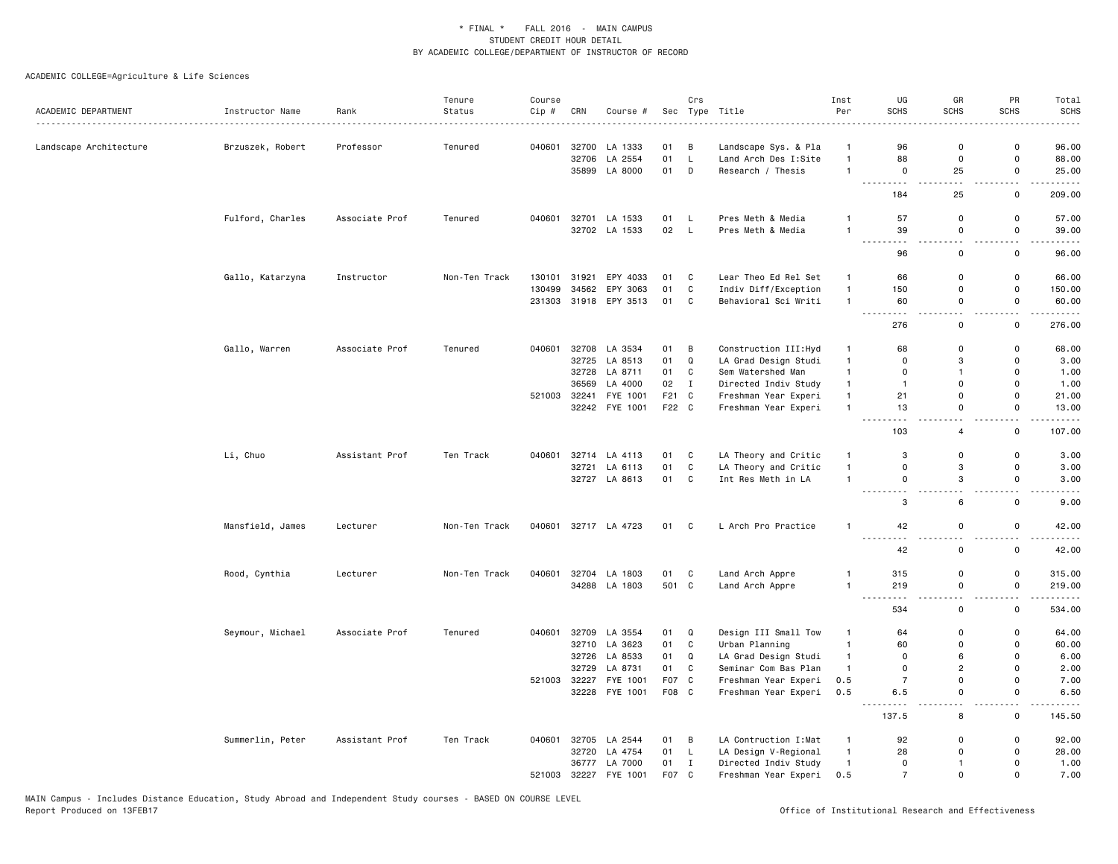| ACADEMIC DEPARTMENT    | Instructor Name  | Rank           | Tenure<br>Status | Course<br>Cip # | CRN   | Course #       |       | Crs          | Sec Type Title        | Inst<br>Per    | UG<br><b>SCHS</b>                           | GR<br><b>SCHS</b>   | PR<br><b>SCHS</b>             | Total<br><b>SCHS</b>                                                                                                                                                                                                                                                                                                                                                                                                                                                                 |
|------------------------|------------------|----------------|------------------|-----------------|-------|----------------|-------|--------------|-----------------------|----------------|---------------------------------------------|---------------------|-------------------------------|--------------------------------------------------------------------------------------------------------------------------------------------------------------------------------------------------------------------------------------------------------------------------------------------------------------------------------------------------------------------------------------------------------------------------------------------------------------------------------------|
|                        |                  |                |                  |                 |       |                |       |              |                       |                |                                             |                     |                               |                                                                                                                                                                                                                                                                                                                                                                                                                                                                                      |
| Landscape Architecture | Brzuszek, Robert | Professor      | Tenured          | 040601          | 32700 | LA 1333        | 01    | В            | Landscape Sys. & Pla  | $\mathbf{1}$   | 96                                          | $\mathbf 0$         | 0                             | 96.00                                                                                                                                                                                                                                                                                                                                                                                                                                                                                |
|                        |                  |                |                  |                 | 32706 | LA 2554        | 01    | $\mathsf L$  | Land Arch Des I:Site  | $\mathbf{1}$   | 88                                          | 0                   | $\mathbf 0$                   | 88.00                                                                                                                                                                                                                                                                                                                                                                                                                                                                                |
|                        |                  |                |                  |                 |       | 35899 LA 8000  | 01    | D            | Research / Thesis     | $\overline{1}$ | $\mathbf 0$<br>- - -<br>$  -$               | 25<br>$\sim$ $\sim$ | 0<br>$\sim$                   | 25.00<br>.                                                                                                                                                                                                                                                                                                                                                                                                                                                                           |
|                        |                  |                |                  |                 |       |                |       |              |                       |                | 184                                         | 25                  | 0                             | 209.00                                                                                                                                                                                                                                                                                                                                                                                                                                                                               |
|                        | Fulford, Charles | Associate Prof | Tenured          | 040601          |       | 32701 LA 1533  | 01    | L.           | Pres Meth & Media     | $\overline{1}$ | 57                                          | 0                   | 0                             | 57.00                                                                                                                                                                                                                                                                                                                                                                                                                                                                                |
|                        |                  |                |                  |                 |       | 32702 LA 1533  | 02    | $\mathsf{L}$ | Pres Meth & Media     | $\overline{1}$ | 39<br>$\sim$ $\sim$ $\sim$<br>$\sim$ $\sim$ | 0                   | 0<br>. .                      | 39.00                                                                                                                                                                                                                                                                                                                                                                                                                                                                                |
|                        |                  |                |                  |                 |       |                |       |              |                       |                | 96                                          | $\mathsf{o}\,$      | 0                             | 96.00                                                                                                                                                                                                                                                                                                                                                                                                                                                                                |
|                        | Gallo, Katarzyna | Instructor     | Non-Ten Track    | 130101          | 31921 | EPY 4033       | 01    | C            | Lear Theo Ed Rel Set  | $\mathbf{1}$   | 66                                          | 0                   | 0                             | 66.00                                                                                                                                                                                                                                                                                                                                                                                                                                                                                |
|                        |                  |                |                  | 130499          | 34562 | EPY 3063       | 01    | $\mathbb{C}$ | Indiv Diff/Exception  | $\mathbf{1}$   | 150                                         | 0                   | 0                             | 150.00                                                                                                                                                                                                                                                                                                                                                                                                                                                                               |
|                        |                  |                |                  | 231303          |       | 31918 EPY 3513 | 01    | C            | Behavioral Sci Writi  | $\overline{1}$ | 60<br>-----<br>$- - - -$                    | 0<br>$\sim$ $\sim$  | 0<br>$\sim$ $\sim$            | 60.00<br>.                                                                                                                                                                                                                                                                                                                                                                                                                                                                           |
|                        |                  |                |                  |                 |       |                |       |              |                       |                | 276                                         | 0                   | 0                             | 276.00                                                                                                                                                                                                                                                                                                                                                                                                                                                                               |
|                        | Gallo, Warren    | Associate Prof | Tenured          | 040601          | 32708 | LA 3534        | 01    | В            | Construction III: Hyd | $\overline{1}$ | 68                                          | 0                   | $\mathsf 0$                   | 68.00                                                                                                                                                                                                                                                                                                                                                                                                                                                                                |
|                        |                  |                |                  |                 |       | 32725 LA 8513  | 01    | $\mathsf Q$  | LA Grad Design Studi  | $\mathbf{1}$   | $\Omega$                                    | 3                   | 0                             | 3.00                                                                                                                                                                                                                                                                                                                                                                                                                                                                                 |
|                        |                  |                |                  |                 |       | 32728 LA 8711  | 01    | $\mathtt{C}$ | Sem Watershed Man     | $\mathbf{1}$   | 0                                           | $\mathbf{1}$        | 0                             | 1.00                                                                                                                                                                                                                                                                                                                                                                                                                                                                                 |
|                        |                  |                |                  |                 | 36569 | LA 4000        | 02    | $\mathbf I$  | Directed Indiv Study  | $\mathbf{1}$   | $\overline{1}$                              | $\Omega$            | $\Omega$                      | 1.00                                                                                                                                                                                                                                                                                                                                                                                                                                                                                 |
|                        |                  |                |                  | 521003          | 32241 | FYE 1001       | F21   | C            | Freshman Year Experi  | $\mathbf{1}$   | 21                                          | 0                   | 0                             | 21.00                                                                                                                                                                                                                                                                                                                                                                                                                                                                                |
|                        |                  |                |                  |                 |       | 32242 FYE 1001 | F22 C |              | Freshman Year Experi  | $\mathbf{1}$   | 13<br>$  -$<br>.                            | $\Omega$<br>$ -$    | $\Omega$<br>$ -$              | 13.00                                                                                                                                                                                                                                                                                                                                                                                                                                                                                |
|                        |                  |                |                  |                 |       |                |       |              |                       |                | 103                                         | $\overline{4}$      | $\mathsf 0$                   | 107.00                                                                                                                                                                                                                                                                                                                                                                                                                                                                               |
|                        | Li, Chuo         | Assistant Prof | Ten Track        | 040601          |       | 32714 LA 4113  | 01    | C            | LA Theory and Critic  | $\overline{1}$ | 3                                           | 0                   | 0                             | 3.00                                                                                                                                                                                                                                                                                                                                                                                                                                                                                 |
|                        |                  |                |                  |                 |       | 32721 LA 6113  | 01    | $\mathbf C$  | LA Theory and Critic  | $\overline{1}$ | $\mathbf 0$                                 | 3                   | 0                             | 3.00                                                                                                                                                                                                                                                                                                                                                                                                                                                                                 |
|                        |                  |                |                  |                 |       | 32727 LA 8613  | 01    | C            | Int Res Meth in LA    | $\mathbf{1}$   | 0<br>-----<br>.                             | 3<br>$\sim$ $\sim$  | 0<br>$\overline{\phantom{a}}$ | 3.00                                                                                                                                                                                                                                                                                                                                                                                                                                                                                 |
|                        |                  |                |                  |                 |       |                |       |              |                       |                | 3                                           | 6                   | 0                             | 9.00                                                                                                                                                                                                                                                                                                                                                                                                                                                                                 |
|                        | Mansfield, James | Lecturer       | Non-Ten Track    | 040601          |       | 32717 LA 4723  | 01    | $\mathbf{C}$ | L Arch Pro Practice   | $\overline{1}$ | 42                                          | 0                   | $\mathsf 0$                   | 42.00                                                                                                                                                                                                                                                                                                                                                                                                                                                                                |
|                        |                  |                |                  |                 |       |                |       |              |                       |                | 42                                          | 0                   | 0                             | 42.00                                                                                                                                                                                                                                                                                                                                                                                                                                                                                |
|                        | Rood, Cynthia    | Lecturer       | Non-Ten Track    | 040601          |       | 32704 LA 1803  | 01    | C            | Land Arch Appre       | -1             | 315                                         | 0                   | 0                             | 315.00                                                                                                                                                                                                                                                                                                                                                                                                                                                                               |
|                        |                  |                |                  |                 |       | 34288 LA 1803  | 501 C |              | Land Arch Appre       | $\overline{1}$ | 219                                         | 0                   | 0                             | 219.00                                                                                                                                                                                                                                                                                                                                                                                                                                                                               |
|                        |                  |                |                  |                 |       |                |       |              |                       |                | $  -$<br>534                                | - -<br>0            | $\sim$ $\sim$<br>$\mathsf 0$  | $\frac{1}{2} \left( \frac{1}{2} \right) \left( \frac{1}{2} \right) \left( \frac{1}{2} \right) \left( \frac{1}{2} \right) \left( \frac{1}{2} \right) \left( \frac{1}{2} \right) \left( \frac{1}{2} \right) \left( \frac{1}{2} \right) \left( \frac{1}{2} \right) \left( \frac{1}{2} \right) \left( \frac{1}{2} \right) \left( \frac{1}{2} \right) \left( \frac{1}{2} \right) \left( \frac{1}{2} \right) \left( \frac{1}{2} \right) \left( \frac{1}{2} \right) \left( \frac$<br>534.00 |
|                        | Seymour, Michael | Associate Prof | Tenured          | 040601          |       | 32709 LA 3554  | 01    | Q            | Design III Small Tow  | $\mathbf{1}$   | 64                                          | 0                   | 0                             | 64.00                                                                                                                                                                                                                                                                                                                                                                                                                                                                                |
|                        |                  |                |                  |                 |       | 32710 LA 3623  | 01    | C            | Urban Planning        | $\mathbf{1}$   | 60                                          | 0                   | 0                             | 60.00                                                                                                                                                                                                                                                                                                                                                                                                                                                                                |
|                        |                  |                |                  |                 | 32726 | LA 8533        | 01    | Q            | LA Grad Design Studi  | $\overline{1}$ | 0                                           | 6                   | 0                             | 6.00                                                                                                                                                                                                                                                                                                                                                                                                                                                                                 |
|                        |                  |                |                  |                 | 32729 | LA 8731        | 01    | C            | Seminar Com Bas Plan  | $\overline{1}$ | 0                                           | $\overline{c}$      | $\Omega$                      | 2.00                                                                                                                                                                                                                                                                                                                                                                                                                                                                                 |
|                        |                  |                |                  | 521003          | 32227 | FYE 1001       | F07   | C            | Freshman Year Experi  | 0.5            | $\overline{7}$                              | $\Omega$            | 0                             | 7.00                                                                                                                                                                                                                                                                                                                                                                                                                                                                                 |
|                        |                  |                |                  |                 |       | 32228 FYE 1001 | F08 C |              | Freshman Year Experi  | 0.5            | 6.5<br>$  -$                                | 0<br>. .            | 0<br>$\overline{\phantom{a}}$ | 6.50                                                                                                                                                                                                                                                                                                                                                                                                                                                                                 |
|                        |                  |                |                  |                 |       |                |       |              |                       |                | 137.5                                       | 8                   | $\mathsf 0$                   | 145.50                                                                                                                                                                                                                                                                                                                                                                                                                                                                               |
|                        | Summerlin, Peter | Assistant Prof | Ten Track        | 040601          |       | 32705 LA 2544  | 01    | В            | LA Contruction I:Mat  | $\mathbf{1}$   | 92                                          | $\Omega$            | 0                             | 92.00                                                                                                                                                                                                                                                                                                                                                                                                                                                                                |
|                        |                  |                |                  |                 |       | 32720 LA 4754  | 01    | L            | LA Design V-Regional  | $\mathbf{1}$   | 28                                          | 0                   | 0                             | 28.00                                                                                                                                                                                                                                                                                                                                                                                                                                                                                |
|                        |                  |                |                  |                 |       | 36777 LA 7000  | 01    | $\mathbf I$  | Directed Indiv Study  | $\mathbf{1}$   | $\mathbf 0$                                 | $\mathbf{1}$        | $\Omega$                      | 1.00                                                                                                                                                                                                                                                                                                                                                                                                                                                                                 |
|                        |                  |                |                  | 521003          |       | 32227 FYE 1001 | F07 C |              | Freshman Year Experi  | 0.5            | $\overline{7}$                              | 0                   | $\Omega$                      | 7.00                                                                                                                                                                                                                                                                                                                                                                                                                                                                                 |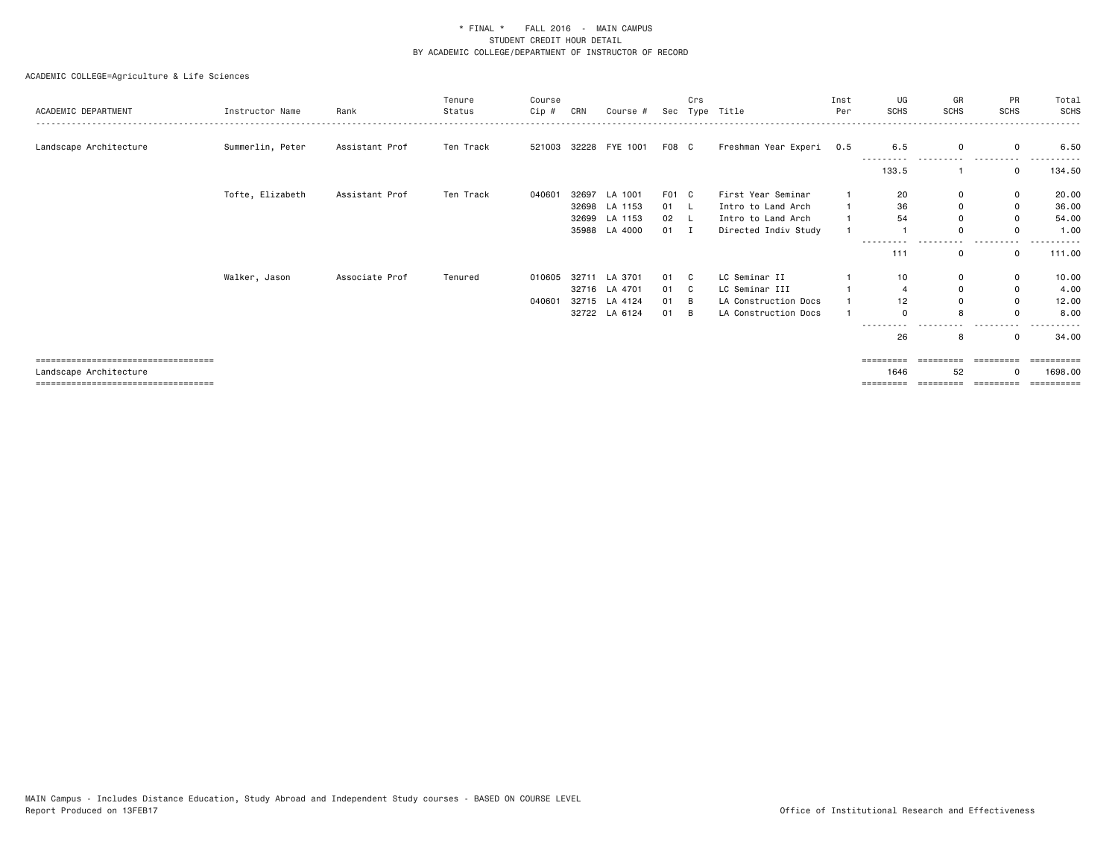| ACADEMIC DEPARTMENT                   | Instructor Name  | Rank           | Tenure<br>Status | Course<br>Cip # | CRN   | Course #              | Sec   | Crs<br>Type | Title                | Inst<br>Per | UG<br><b>SCHS</b>   | GR<br>SCHS  | PR<br>SCHS            | Total<br>SCHS |
|---------------------------------------|------------------|----------------|------------------|-----------------|-------|-----------------------|-------|-------------|----------------------|-------------|---------------------|-------------|-----------------------|---------------|
| Landscape Architecture                | Summerlin, Peter | Assistant Prof | Ten Track        |                 |       | 521003 32228 FYE 1001 | F08 C |             | Freshman Year Experi | 0.5         | 6.5                 | $\Omega$    | $\mathbf 0$           | 6.50          |
|                                       |                  |                |                  |                 |       |                       |       |             |                      |             | -------<br>133.5    |             | ------<br>$\mathbf 0$ | 134.50        |
|                                       | Tofte, Elizabeth | Assistant Prof | Ten Track        | 040601          | 32697 | LA 1001               | F01 C |             | First Year Seminar   |             | 20                  | $\mathbf 0$ | $\mathbf 0$           | 20.00         |
|                                       |                  |                |                  |                 | 32698 | LA 1153               | 01    | L.          | Intro to Land Arch   |             | 36                  | $\mathbf 0$ | 0                     | 36.00         |
|                                       |                  |                |                  |                 |       | 32699 LA 1153         | 02    |             | Intro to Land Arch   |             | 54                  | $\Omega$    | $\mathbf 0$           | 54.00         |
|                                       |                  |                |                  |                 | 35988 | LA 4000               | 01    | <b>I</b>    | Directed Indiv Study |             |                     | $\Omega$    | $\Omega$              | 1.00          |
|                                       |                  |                |                  |                 |       |                       |       |             |                      |             | ---------<br>111    | 0           | 0                     | 111.00        |
|                                       | Walker, Jason    | Associate Prof | Tenured          | 010605          |       | 32711 LA 3701         | 01 C  |             | LC Seminar II        |             | 10                  | $\mathbf 0$ | $\mathbf 0$           | 10.00         |
|                                       |                  |                |                  |                 |       | 32716 LA 4701         | 01 C  |             | LC Seminar III       |             |                     | $\Omega$    | $\mathbf 0$           | 4.00          |
|                                       |                  |                |                  | 040601          |       | 32715 LA 4124         | 01    | B           | LA Construction Docs |             | 12                  | $\Omega$    | $\mathbf 0$           | 12.00         |
|                                       |                  |                |                  |                 |       | 32722 LA 6124         | 01    | B           | LA Construction Docs |             | $\Omega$            | 8           | $\Omega$              | 8.00          |
|                                       |                  |                |                  |                 |       |                       |       |             |                      |             | ----<br>26          | 8           | $\mathbf 0$           | 34.00         |
| ===================================== |                  |                |                  |                 |       |                       |       |             |                      |             | =========           |             |                       |               |
| Landscape Architecture                |                  |                |                  |                 |       |                       |       |             |                      |             | 1646                | 52          |                       | 1698,00       |
| ===================================== |                  |                |                  |                 |       |                       |       |             |                      |             | $=$ = = = = = = = = | =========   | - cooperate           |               |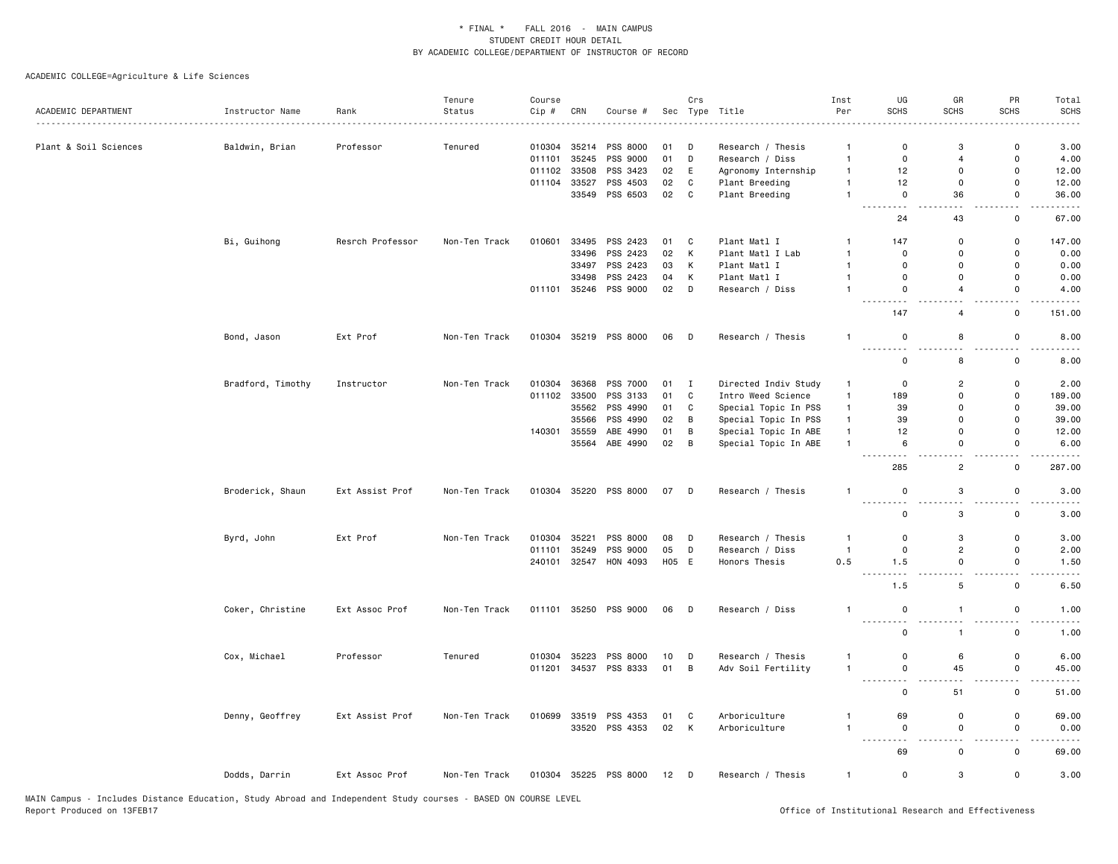|                       |                   |                  | Tenure        | Course |              |                       |        | Crs            |                      | Inst           | UG                                          | GR                              | PR                                      | Total                 |
|-----------------------|-------------------|------------------|---------------|--------|--------------|-----------------------|--------|----------------|----------------------|----------------|---------------------------------------------|---------------------------------|-----------------------------------------|-----------------------|
| ACADEMIC DEPARTMENT   | Instructor Name   | Rank             | Status        | Cip #  | CRN          | Course #              | Sec    |                | Type Title           | Per            | <b>SCHS</b>                                 | SCHS                            | <b>SCHS</b>                             | <b>SCHS</b>           |
| Plant & Soil Sciences | Baldwin, Brian    | Professor        | Tenured       | 010304 | 35214        | PSS 8000              | 01     | D              | Research / Thesis    | $\overline{1}$ | 0                                           | 3                               | 0                                       | 3.00                  |
|                       |                   |                  |               | 011101 | 35245        | PSS 9000              | 01     | D              | Research / Diss      | $\overline{1}$ | $\mathbf 0$                                 | $\overline{4}$                  | $\mathsf 0$                             | 4.00                  |
|                       |                   |                  |               | 011102 | 33508        | PSS 3423              | 02     | E              | Agronomy Internship  | $\overline{1}$ | 12                                          | $\Omega$                        | $\mathbf 0$                             | 12.00                 |
|                       |                   |                  |               | 011104 | 33527        | PSS 4503              | 02     | C              | Plant Breeding       | $\overline{1}$ | 12                                          | $\Omega$                        | $\mathbf 0$                             | 12.00                 |
|                       |                   |                  |               |        |              | 33549 PSS 6503        | 02 C   |                | Plant Breeding       | $\overline{1}$ | $\mathsf 0$                                 | 36                              | $\mathsf 0$                             | 36.00                 |
|                       |                   |                  |               |        |              |                       |        |                |                      |                | $\sim$ $-$<br>24                            | 43                              | i.<br>$\mathsf 0$                       | 67.00                 |
|                       | Bi, Guihong       | Resrch Professor | Non-Ten Track | 010601 | 33495        | PSS 2423              | 01     | C              | Plant Matl I         | -1             | 147                                         | $\mathbf 0$                     | 0                                       | 147.00                |
|                       |                   |                  |               |        | 33496        | PSS 2423              | 02     | K              | Plant Matl I Lab     | $\mathbf{1}$   | $\mathbf 0$                                 | $\mathbf 0$                     | $\mathsf 0$                             | 0.00                  |
|                       |                   |                  |               |        | 33497        | PSS 2423              | 03     | K              | Plant Matl I         | $\overline{1}$ | $\overline{0}$                              | $\mathbf 0$                     | $\mathbf 0$                             | 0.00                  |
|                       |                   |                  |               |        | 33498        | PSS 2423              | 04     | К              | Plant Matl I         | $\overline{1}$ | $\mathbf 0$                                 | $\mathbf 0$                     | 0                                       | 0.00                  |
|                       |                   |                  |               |        |              | 011101 35246 PSS 9000 | 02     | D              | Research / Diss      | $\overline{1}$ | $\mathbf 0$                                 | $\overline{4}$                  | $\mathbf 0$                             | 4.00                  |
|                       |                   |                  |               |        |              |                       |        |                |                      |                | .<br>147                                    | $\sim$ $\sim$<br>$\overline{4}$ | $\mathsf{o}$                            | 151.00                |
|                       | Bond, Jason       | Ext Prof         | Non-Ten Track |        |              | 010304 35219 PSS 8000 | 06     | $\Box$         | Research / Thesis    | $\overline{1}$ | 0                                           | 8                               | $\mathsf 0$                             | 8.00                  |
|                       |                   |                  |               |        |              |                       |        |                |                      |                | . <b>.</b><br>$\mathbf 0$                   | $\overline{a}$<br>8             | . .<br>0                                | 8.00                  |
|                       |                   |                  |               |        |              |                       |        |                |                      |                |                                             |                                 |                                         |                       |
|                       | Bradford, Timothy | Instructor       | Non-Ten Track | 010304 | 36368        | <b>PSS 7000</b>       | 01 I   |                | Directed Indiv Study | $\mathbf{1}$   | $\mathbf 0$                                 | $\overline{2}$                  | $\mathsf 0$                             | 2.00                  |
|                       |                   |                  |               |        | 011102 33500 | PSS 3133              | 01     | $\mathbf{C}$   | Intro Weed Science   | $\mathbf{1}$   | 189                                         | $\mathbf 0$                     | $\mathbf 0$                             | 189.00                |
|                       |                   |                  |               |        | 35562        | PSS 4990              | 01     | $\mathbf{C}$   | Special Topic In PSS | $\mathbf{1}$   | 39                                          | $\mathbf 0$                     | $\mathsf 0$                             | 39.00                 |
|                       |                   |                  |               |        | 35566        | PSS 4990              | 02     | B              | Special Topic In PSS | $\mathbf{1}$   | 39                                          | $\mathbf 0$                     | $\mathsf 0$                             | 39.00                 |
|                       |                   |                  |               | 140301 | 35559        | ABE 4990              | 01     | B              | Special Topic In ABE | $\mathbf{1}$   | 12                                          | $\mathbf 0$                     | 0                                       | 12.00                 |
|                       |                   |                  |               |        | 35564        | ABE 4990              | 02     | $\overline{B}$ | Special Topic In ABE | $\overline{1}$ | 6<br>$\sim$ $\sim$                          | $\mathbf 0$<br>$\sim$ $\sim$    | $\mathsf 0$<br>$\sim$ $\sim$            | 6.00<br>$\frac{1}{2}$ |
|                       |                   |                  |               |        |              |                       |        |                |                      |                | 285                                         | $\overline{2}$                  | $\mathsf 0$                             | 287.00                |
|                       | Broderick, Shaun  | Ext Assist Prof  | Non-Ten Track | 010304 |              | 35220 PSS 8000        | 07 D   |                | Research / Thesis    | $\overline{1}$ | $\mathbf 0$<br><u>.</u>                     | 3<br>22                         | $\mathsf 0$<br>. .                      | 3.00                  |
|                       |                   |                  |               |        |              |                       |        |                |                      |                | $\Omega$                                    | 3                               | 0                                       | 3.00                  |
|                       | Byrd, John        | Ext Prof         | Non-Ten Track | 010304 | 35221        | PSS 8000              | 08     | D              | Research / Thesis    | $\overline{1}$ | $\mathbf 0$                                 | 3                               | $\mathsf{o}$                            | 3.00                  |
|                       |                   |                  |               | 011101 | 35249        | PSS 9000              | 05     | D              | Research / Diss      | $\overline{1}$ | $\mathbf 0$                                 | $\overline{c}$                  | 0                                       | 2.00                  |
|                       |                   |                  |               | 240101 | 32547        | HON 4093              | H05 E  |                | Honors Thesis        | 0.5            | 1.5                                         | $\mathbf 0$                     | $\mathsf{o}$                            | 1.50                  |
|                       |                   |                  |               |        |              |                       |        |                |                      |                | $\sim$ $\sim$ $\sim$ $\sim$<br>$  -$<br>1.5 | $\sim$ $\sim$<br>5              | $\overline{\phantom{a}}$<br>$\mathsf 0$ | .<br>6.50             |
|                       | Coker, Christine  | Ext Assoc Prof   | Non-Ten Track |        |              | 011101 35250 PSS 9000 | 06     | $\overline{D}$ | Research / Diss      | $\mathbf{1}$   | $\mathbf 0$                                 | $\overline{1}$                  | $\mathsf{o}$                            | 1.00                  |
|                       |                   |                  |               |        |              |                       |        |                |                      |                | $\sim$ $\sim$<br>$\mathsf 0$                | $\overline{1}$                  | . .<br>$\mathsf 0$                      | 1.00                  |
|                       | Cox, Michael      | Professor        | Tenured       | 010304 | 35223        | PSS 8000              | 10     | D              | Research / Thesis    | $\mathbf{1}$   | $\mathbf 0$                                 | 6                               | 0                                       | 6.00                  |
|                       |                   |                  |               | 011201 | 34537        | PSS 8333              | 01     | $\overline{B}$ | Adv Soil Fertility   | $\overline{1}$ | $\mathbf 0$                                 | 45                              | $\mathsf 0$                             | 45.00                 |
|                       |                   |                  |               |        |              |                       |        |                |                      |                | .<br>------<br>$\mathbf 0$                  | $\sim$<br>51                    | $\overline{a}$<br>0                     | 51.00                 |
|                       | Denny, Geoffrey   | Ext Assist Prof  | Non-Ten Track | 010699 | 33519        | PSS 4353              | 01     | C              | Arboriculture        | $\overline{1}$ | 69                                          | $\pmb{0}$                       | $\mathsf{o}$                            | 69.00                 |
|                       |                   |                  |               |        | 33520        | PSS 4353              | 02     | K              | Arboriculture        | $\overline{1}$ | $\mathsf 0$                                 | $\mathsf 0$                     | $\mathsf 0$                             | 0.00                  |
|                       |                   |                  |               |        |              |                       |        |                |                      |                | .<br>.                                      |                                 |                                         |                       |
|                       |                   |                  |               |        |              |                       |        |                |                      |                | 69                                          | $\mathsf 0$                     | $\mathsf 0$                             | 69.00                 |
|                       | Dodds, Darrin     | Ext Assoc Prof   | Non-Ten Track |        |              | 010304 35225 PSS 8000 | $12$ D |                | Research / Thesis    | $\overline{1}$ | $\mathbf 0$                                 | 3                               | $\mathsf 0$                             | 3.00                  |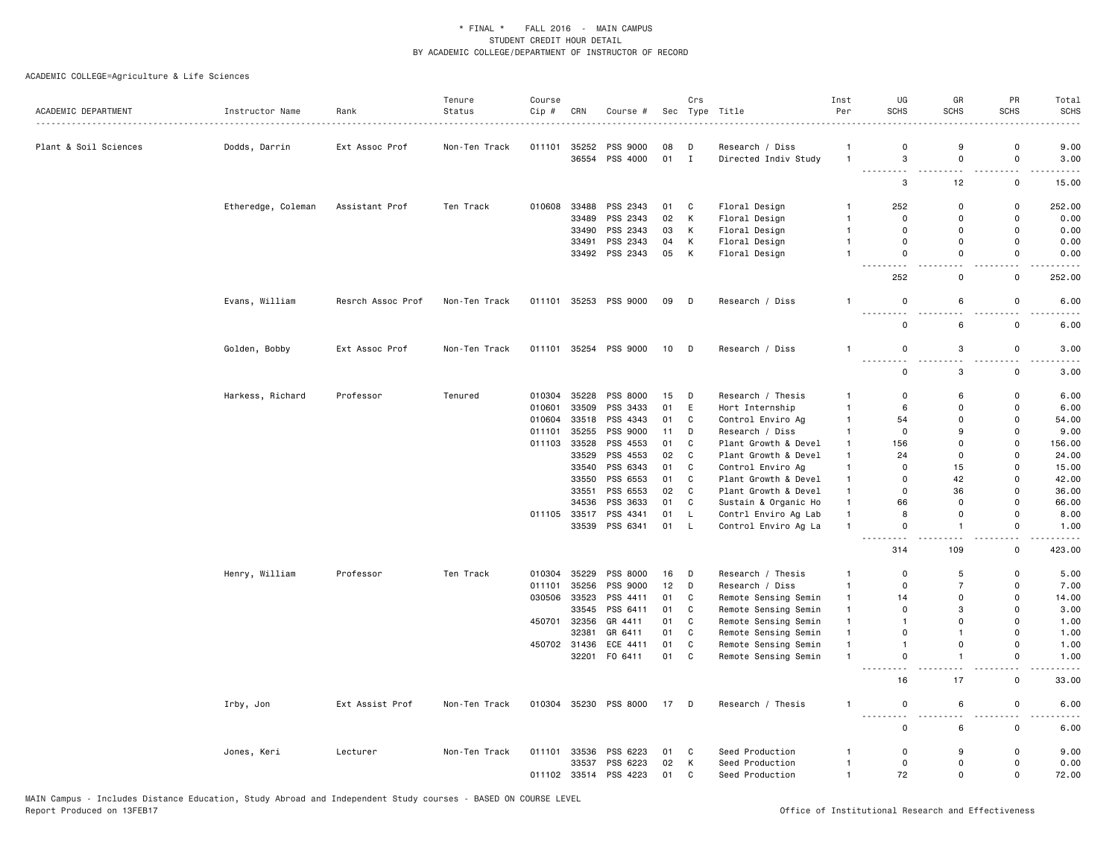|                       |                    |                   | Tenure        | Course |              |                       |      | Crs          |                      | Inst           | UG                           | GR                            | PR                           | Total                                                                                                                                                         |
|-----------------------|--------------------|-------------------|---------------|--------|--------------|-----------------------|------|--------------|----------------------|----------------|------------------------------|-------------------------------|------------------------------|---------------------------------------------------------------------------------------------------------------------------------------------------------------|
| ACADEMIC DEPARTMENT   | Instructor Name    | Rank              | Status        | Cip #  | CRN          | Course #              |      |              | Sec Type Title       | Per            | <b>SCHS</b>                  | <b>SCHS</b>                   | SCHS                         | <b>SCHS</b>                                                                                                                                                   |
| Plant & Soil Sciences | Dodds, Darrin      | Ext Assoc Prof    | Non-Ten Track | 011101 | 35252        | PSS 9000              | 08   | D            | Research / Diss      | $\overline{1}$ | $\mathbf 0$                  | 9                             | 0                            | 9.00                                                                                                                                                          |
|                       |                    |                   |               |        |              | 36554 PSS 4000        | 01   | $\mathbf{I}$ | Directed Indiv Study | $\overline{1}$ | 3                            | 0                             | $\mathsf 0$                  | 3.00                                                                                                                                                          |
|                       |                    |                   |               |        |              |                       |      |              |                      |                | $\sim$ $\sim$<br>3           | $\sim$ $\sim$<br>12           | . .<br>$\mathsf 0$           | $\frac{1}{2} \left( \frac{1}{2} \right) \left( \frac{1}{2} \right) \left( \frac{1}{2} \right) \left( \frac{1}{2} \right) \left( \frac{1}{2} \right)$<br>15.00 |
|                       |                    |                   |               |        |              |                       |      |              |                      |                |                              |                               |                              |                                                                                                                                                               |
|                       | Etheredge, Coleman | Assistant Prof    | Ten Track     | 010608 | 33488        | PSS 2343              | 01   | C            | Floral Design        | $\mathbf{1}$   | 252                          | 0                             | 0                            | 252.00                                                                                                                                                        |
|                       |                    |                   |               |        | 33489        | PSS 2343              | 02   | К            | Floral Design        | $\mathbf{1}$   | $\mathbf 0$                  | 0                             | 0                            | 0.00                                                                                                                                                          |
|                       |                    |                   |               |        | 33490        | PSS 2343              | 03   | К            | Floral Design        | $\overline{1}$ | 0                            | 0                             | $\mathsf 0$                  | 0.00                                                                                                                                                          |
|                       |                    |                   |               |        |              | 33491 PSS 2343        | 04   | К            | Floral Design        | $\overline{1}$ | $\Omega$                     | $\mathbf 0$                   | 0                            | 0.00                                                                                                                                                          |
|                       |                    |                   |               |        |              | 33492 PSS 2343        | 05   | K            | Floral Design        | $\mathbf{1}$   | $\mathbf 0$<br>$\sim$ $\sim$ | $\mathbf 0$<br>. .            | $\mathbf 0$<br>$\sim$ $\sim$ | 0.00<br>. <b>.</b> .                                                                                                                                          |
|                       |                    |                   |               |        |              |                       |      |              |                      |                | 252                          | 0                             | 0                            | 252.00                                                                                                                                                        |
|                       | Evans, William     | Resrch Assoc Prof | Non-Ten Track | 011101 |              | 35253 PSS 9000        | 09   | $\mathsf{D}$ | Research / Diss      | 1              | $\mathbf 0$<br>.             | 6<br>$\overline{\phantom{a}}$ | $\mathbf 0$                  | 6.00                                                                                                                                                          |
|                       |                    |                   |               |        |              |                       |      |              |                      |                | $\mathbf 0$                  | 6                             | 0                            | 6.00                                                                                                                                                          |
|                       | Golden, Bobby      | Ext Assoc Prof    | Non-Ten Track | 011101 |              | 35254 PSS 9000        | 10   | D            | Research / Diss      | $\mathbf{1}$   | $\mathbf 0$<br>$\sim$        | 3<br>. .                      | $\mathsf 0$<br>. .           | 3.00                                                                                                                                                          |
|                       |                    |                   |               |        |              |                       |      |              |                      |                | $\mathbf 0$                  | 3                             | 0                            | 3.00                                                                                                                                                          |
|                       | Harkess, Richard   | Professor         | Tenured       | 010304 | 35228        | PSS 8000              | 15   | D            | Research / Thesis    | $\mathbf{1}$   | $\Omega$                     | 6                             | 0                            | 6.00                                                                                                                                                          |
|                       |                    |                   |               | 010601 | 33509        | PSS 3433              | 01   | E            | Hort Internship      | $\mathbf{1}$   | 6                            | 0                             | 0                            | 6.00                                                                                                                                                          |
|                       |                    |                   |               | 010604 | 33518        | PSS 4343              | 01   | C            | Control Enviro Ag    | $\mathbf{1}$   | 54                           | $\mathbf 0$                   | $\mathbf 0$                  | 54.00                                                                                                                                                         |
|                       |                    |                   |               | 011101 | 35255        | PSS 9000              | 11   | D            | Research / Diss      | $\overline{1}$ | $\mathbf 0$                  | 9                             | 0                            | 9.00                                                                                                                                                          |
|                       |                    |                   |               | 011103 | 33528        | PSS 4553              | 01   | C            | Plant Growth & Devel | $\mathbf{1}$   | 156                          | $\mathbf 0$                   | $\mathbf 0$                  | 156.00                                                                                                                                                        |
|                       |                    |                   |               |        | 33529        | PSS 4553              | 02   | C            | Plant Growth & Devel | $\mathbf{1}$   | 24                           | $\mathbf 0$                   | $\mathbf 0$                  | 24.00                                                                                                                                                         |
|                       |                    |                   |               |        |              | 33540 PSS 6343        | 01   | C            | Control Enviro Ag    | $\overline{1}$ | $\Omega$                     | 15                            | $\mathbf 0$                  | 15.00                                                                                                                                                         |
|                       |                    |                   |               |        |              | 33550 PSS 6553        | 01   | C            | Plant Growth & Devel | $\overline{1}$ | $\Omega$                     | 42                            | $\mathbf 0$                  | 42.00                                                                                                                                                         |
|                       |                    |                   |               |        | 33551        | PSS 6553              | 02   | $\mathtt{C}$ | Plant Growth & Devel | $\mathbf{1}$   | 0                            | 36                            | $\mathsf 0$                  | 36.00                                                                                                                                                         |
|                       |                    |                   |               |        | 34536        | PSS 3633              | 01   | $\mathtt{C}$ | Sustain & Organic Ho | $\mathbf{1}$   | 66                           | $\Omega$                      | $\mathbf{0}$                 | 66.00                                                                                                                                                         |
|                       |                    |                   |               | 011105 | 33517        | PSS 4341              | 01   | L.           | Contrl Enviro Ag Lab | $\overline{1}$ | 8                            | 0                             | $\mathbf 0$                  | 8.00                                                                                                                                                          |
|                       |                    |                   |               |        |              | 33539 PSS 6341        | 01   | L            | Control Enviro Ag La | $\mathbf{1}$   | $\mathsf 0$                  | $\overline{1}$                | 0                            | 1.00                                                                                                                                                          |
|                       |                    |                   |               |        |              |                       |      |              |                      |                | 314                          | 109                           | $\mathsf 0$                  | 423.00                                                                                                                                                        |
|                       | Henry, William     | Professor         | Ten Track     | 010304 | 35229        | PSS 8000              | 16   | D            | Research / Thesis    | 1              | $\mathbf 0$                  | 5                             | 0                            | 5.00                                                                                                                                                          |
|                       |                    |                   |               | 011101 | 35256        | PSS 9000              | 12   | D            | Research / Diss      | $\mathbf{1}$   | $\mathbf 0$                  | $\overline{7}$                | 0                            | 7.00                                                                                                                                                          |
|                       |                    |                   |               | 030506 | 33523        | PSS 4411              | 01   | C            | Remote Sensing Semin | $\mathbf{1}$   | 14                           | $\mathbf 0$                   | 0                            | 14.00                                                                                                                                                         |
|                       |                    |                   |               |        | 33545        | PSS 6411              | 01   | C            | Remote Sensing Semin | $\overline{1}$ | $\Omega$                     | 3                             | $\Omega$                     | 3.00                                                                                                                                                          |
|                       |                    |                   |               | 450701 | 32356        | GR 4411               | 01   | C            | Remote Sensing Semin | $\overline{1}$ | $\overline{1}$               | $\mathbf 0$                   | $\Omega$                     | 1.00                                                                                                                                                          |
|                       |                    |                   |               |        | 32381        | GR 6411               | 01   | C            | Remote Sensing Semin | $\overline{1}$ | $\mathbf 0$                  | $\overline{1}$                | $\Omega$                     | 1.00                                                                                                                                                          |
|                       |                    |                   |               |        | 450702 31436 | ECE 4411              | 01   | C            | Remote Sensing Semin | $\mathbf{1}$   | $\overline{1}$               | $\mathsf 0$                   | $\mathbf 0$                  | 1.00                                                                                                                                                          |
|                       |                    |                   |               |        | 32201        | F0 6411               | 01   | $\mathbf{C}$ | Remote Sensing Semin | $\overline{1}$ | $\mathsf 0$<br>٠.            | $\overline{1}$                | $\mathbf 0$                  | 1.00                                                                                                                                                          |
|                       |                    |                   |               |        |              |                       |      |              |                      |                | 16                           | 17                            | 0                            | 33.00                                                                                                                                                         |
|                       | Irby, Jon          | Ext Assist Prof   | Non-Ten Track |        |              | 010304 35230 PSS 8000 | 17 D |              | Research / Thesis    | $\mathbf{1}$   | $\mathsf 0$<br>$\sim$ $\sim$ | 6<br>. .                      | $\mathbf 0$<br>. .           | 6.00<br>.                                                                                                                                                     |
|                       |                    |                   |               |        |              |                       |      |              |                      |                | $\mathsf 0$                  | 6                             | 0                            | 6.00                                                                                                                                                          |
|                       | Jones, Keri        | Lecturer          | Non-Ten Track | 011101 |              | 33536 PSS 6223        | 01   | C            | Seed Production      | 1              | $\mathbf 0$                  | 9                             | 0                            | 9.00                                                                                                                                                          |
|                       |                    |                   |               |        | 33537        | PSS 6223              | 02   | K            | Seed Production      | $\mathbf{1}$   | $\mathbf 0$                  | $\mathbf 0$                   | 0                            | 0.00                                                                                                                                                          |
|                       |                    |                   |               | 011102 |              | 33514 PSS 4223        | 01   | C            | Seed Production      | $\overline{1}$ | 72                           | $\mathbf 0$                   | 0                            | 72.00                                                                                                                                                         |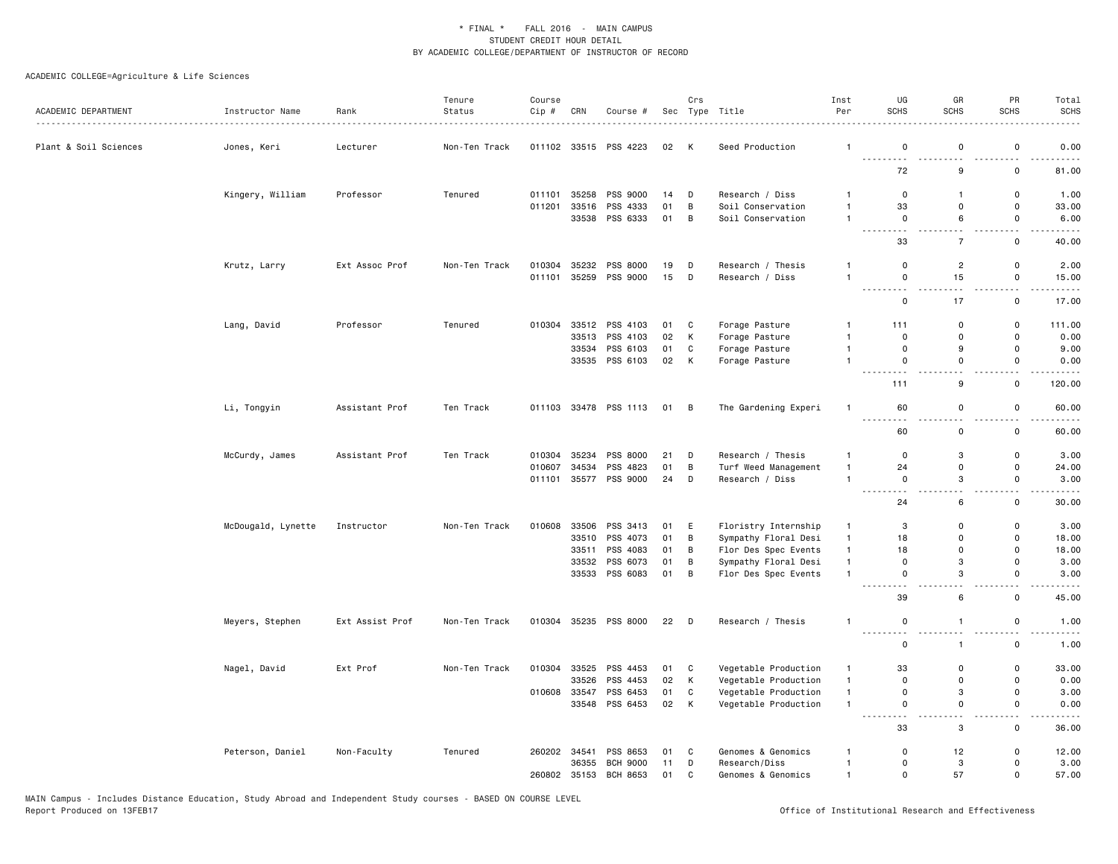|                       |                    |                  | Tenure        | Course |              |                                  |          | Crs                     |                                  | Inst                           | UG                                                   | GR                           | PR                           | Total                                                                                                                              |
|-----------------------|--------------------|------------------|---------------|--------|--------------|----------------------------------|----------|-------------------------|----------------------------------|--------------------------------|------------------------------------------------------|------------------------------|------------------------------|------------------------------------------------------------------------------------------------------------------------------------|
| ACADEMIC DEPARTMENT   | Instructor Name    | Rank<br><u>.</u> | Status        | Cip #  | CRN          | Course #                         |          |                         | Sec Type Title                   | Per                            | <b>SCHS</b>                                          | <b>SCHS</b>                  | <b>SCHS</b>                  | <b>SCHS</b>                                                                                                                        |
| Plant & Soil Sciences | Jones, Keri        | Lecturer         | Non-Ten Track |        |              | 011102 33515 PSS 4223            | 02       | K                       | Seed Production                  | $\mathbf{1}$                   | 0<br>$\sim$ $\sim$ $\sim$<br>.                       | 0                            | 0                            | 0.00                                                                                                                               |
|                       |                    |                  |               |        |              |                                  |          |                         |                                  |                                | 72                                                   | 9                            | $\mathsf 0$                  | 81.00                                                                                                                              |
|                       | Kingery, William   | Professor        | Tenured       | 011101 | 35258        | <b>PSS 9000</b>                  | 14       | D                       | Research / Diss                  | $\mathbf{1}$                   | 0                                                    | $\mathbf{1}$                 | 0                            | 1.00                                                                                                                               |
|                       |                    |                  |               | 011201 | 33516        | PSS 4333                         | 01       | B                       | Soil Conservation                | $\mathbf{1}$                   | 33                                                   | 0                            | 0                            | 33.00                                                                                                                              |
|                       |                    |                  |               |        |              | 33538 PSS 6333                   | 01       | B                       | Soil Conservation                | $\mathbf{1}$                   | $\mathbf 0$<br><u>.</u> .                            | 6<br>.                       | $\mathbf 0$<br>$\sim$ $\sim$ | 6.00<br>$\frac{1}{2} \left( \frac{1}{2} \right) \left( \frac{1}{2} \right) \left( \frac{1}{2} \right) \left( \frac{1}{2} \right)$  |
|                       |                    |                  |               |        |              |                                  |          |                         |                                  |                                | 33                                                   | $\overline{7}$               | $\mathsf 0$                  | 40.00                                                                                                                              |
|                       | Krutz, Larry       | Ext Assoc Prof   | Non-Ten Track | 010304 | 35232        | PSS 8000                         | 19       | D                       | Research / Thesis                | $\mathbf{1}$                   | $\mathbf 0$                                          | $\overline{c}$               | $\mathsf 0$                  | 2.00                                                                                                                               |
|                       |                    |                  |               | 011101 |              | 35259 PSS 9000                   | 15       | D                       | Research / Diss                  | $\mathbf{1}$                   | $\mathsf 0$                                          | 15                           | $\mathsf 0$                  | 15.00                                                                                                                              |
|                       |                    |                  |               |        |              |                                  |          |                         |                                  |                                | $\omega \sim \omega$<br>$\mathbf 0$                  | 17                           | 0                            | 17.00                                                                                                                              |
|                       |                    |                  |               |        |              |                                  |          |                         |                                  |                                |                                                      |                              |                              |                                                                                                                                    |
|                       | Lang, David        | Professor        | Tenured       | 010304 |              | 33512 PSS 4103<br>33513 PSS 4103 | 01<br>02 | C<br>K                  | Forage Pasture                   | $\mathbf{1}$<br>$\overline{1}$ | 111<br>$\mathbf 0$                                   | 0<br>0                       | $\mathbf 0$<br>0             | 111.00<br>0.00                                                                                                                     |
|                       |                    |                  |               |        | 33534        | PSS 6103                         | 01       | $\mathtt{C}$            | Forage Pasture<br>Forage Pasture | $\mathbf{1}$                   | 0                                                    | 9                            | $\mathsf 0$                  | 9.00                                                                                                                               |
|                       |                    |                  |               |        |              | 33535 PSS 6103                   | 02       | K                       | Forage Pasture                   | $\overline{1}$                 | $\mathbf 0$                                          | 0                            | $\mathsf 0$                  | 0.00                                                                                                                               |
|                       |                    |                  |               |        |              |                                  |          |                         |                                  |                                | $\sim$<br>111                                        | 9                            | 0                            |                                                                                                                                    |
|                       |                    |                  |               |        |              |                                  |          |                         |                                  |                                |                                                      |                              |                              | 120.00                                                                                                                             |
|                       | Li, Tongyin        | Assistant Prof   | Ten Track     |        |              | 011103 33478 PSS 1113            | 01 B     |                         | The Gardening Experi             | $\mathbf{1}$                   | 60<br><u>.</u>                                       | $\mathsf 0$<br>$\sim$ $\sim$ | $\mathsf 0$                  | 60.00<br>$\frac{1}{2} \left( \frac{1}{2} \right) \left( \frac{1}{2} \right) \left( \frac{1}{2} \right) \left( \frac{1}{2} \right)$ |
|                       |                    |                  |               |        |              |                                  |          |                         |                                  |                                | 60                                                   | 0                            | 0                            | 60.00                                                                                                                              |
|                       | McCurdy, James     | Assistant Prof   | Ten Track     | 010304 | 35234        | PSS 8000                         | 21       | D                       | Research / Thesis                | $\mathbf{1}$                   | 0                                                    | 3                            | 0                            | 3.00                                                                                                                               |
|                       |                    |                  |               | 010607 | 34534        | PSS 4823                         | 01       | B                       | Turf Weed Management             | $\overline{1}$                 | 24                                                   | 0                            | $\mathsf 0$                  | 24.00                                                                                                                              |
|                       |                    |                  |               | 011101 |              | 35577 PSS 9000                   | 24       | D                       | Research / Diss                  | $\overline{1}$                 | $\mathbf 0$<br>$\sim$ $\sim$ $\sim$ $\sim$<br>$\sim$ | 3                            | $\mathbf 0$                  | 3.00                                                                                                                               |
|                       |                    |                  |               |        |              |                                  |          |                         |                                  |                                | 24                                                   | 6                            | $\mathsf 0$                  | 30.00                                                                                                                              |
|                       | McDougald, Lynette | Instructor       | Non-Ten Track | 010608 |              | 33506 PSS 3413                   | 01       | E                       | Floristry Internship             | $\mathbf{1}$                   | 3                                                    | $\Omega$                     | 0                            | 3.00                                                                                                                               |
|                       |                    |                  |               |        |              | 33510 PSS 4073                   | 01       | В                       | Sympathy Floral Desi             | $\mathbf{1}$                   | 18                                                   | 0                            | $\mathsf 0$                  | 18.00                                                                                                                              |
|                       |                    |                  |               |        | 33511        | PSS 4083                         | 01       | B                       | Flor Des Spec Events             | $\mathbf{1}$                   | 18                                                   | $\mathbf 0$                  | $\mathbf 0$                  | 18.00                                                                                                                              |
|                       |                    |                  |               |        |              | 33532 PSS 6073                   | 01       | B                       | Sympathy Floral Desi             | $\mathbf{1}$                   | $\mathbf 0$                                          | 3                            | $\mathbf 0$                  | 3.00                                                                                                                               |
|                       |                    |                  |               |        |              | 33533 PSS 6083                   | 01       | B                       | Flor Des Spec Events             | $\mathbf{1}$                   | $\mathbf 0$<br>$\sim$ $\sim$<br>$\sim$ $\sim$ $\sim$ | 3                            | 0                            | 3.00                                                                                                                               |
|                       |                    |                  |               |        |              |                                  |          |                         |                                  |                                | 39                                                   | 6                            | 0                            | 45.00                                                                                                                              |
|                       | Meyers, Stephen    | Ext Assist Prof  | Non-Ten Track |        |              | 010304 35235 PSS 8000            | $22$ D   |                         | Research / Thesis                | $\overline{1}$                 | $\mathbf 0$                                          | $\mathbf{1}$                 | $\mathsf{o}$                 | 1.00                                                                                                                               |
|                       |                    |                  |               |        |              |                                  |          |                         |                                  |                                | $\sim$ $\sim$ $\sim$<br>$\mathbf 0$                  | $\mathbf{1}$                 | 0                            | .<br>1.00                                                                                                                          |
|                       | Nagel, David       | Ext Prof         | Non-Ten Track | 010304 | 33525        | PSS 4453                         | 01       | $\overline{\mathbf{C}}$ | Vegetable Production             | $\mathbf{1}$                   | 33                                                   | 0                            | 0                            | 33.00                                                                                                                              |
|                       |                    |                  |               |        | 33526        | PSS 4453                         | 02       | K                       | Vegetable Production             | $\mathbf{1}$                   | $\mathbf 0$                                          | $\mathbf 0$                  | $\mathsf{o}$                 | 0.00                                                                                                                               |
|                       |                    |                  |               |        |              | 010608 33547 PSS 6453            | 01       | C                       | Vegetable Production             | $\mathbf{1}$                   | $\mathbf 0$                                          | 3                            | $\mathsf 0$                  | 3.00                                                                                                                               |
|                       |                    |                  |               |        |              | 33548 PSS 6453                   | 02 K     |                         | Vegetable Production             | $\mathbf{1}$                   | $\mathbf 0$<br>$\overline{\phantom{0}}$<br>$  -$     | $\mathbf 0$                  | $\mathsf{o}$                 | 0.00                                                                                                                               |
|                       |                    |                  |               |        |              |                                  |          |                         |                                  |                                | 33                                                   | 3                            | 0                            | 36.00                                                                                                                              |
|                       | Peterson, Daniel   | Non-Faculty      | Tenured       |        | 260202 34541 | PSS 8653                         | 01       | $\mathbf{C}$            | Genomes & Genomics               | $\mathbf{1}$                   | $\mathbf 0$                                          | 12                           | 0                            | 12.00                                                                                                                              |
|                       |                    |                  |               |        | 36355        | <b>BCH 9000</b>                  | 11       | D                       | Research/Diss                    | $\mathbf{1}$                   | $\mathbf 0$                                          | 3                            | $\mathsf{o}$                 | 3.00                                                                                                                               |
|                       |                    |                  |               | 260802 | 35153        | <b>BCH 8653</b>                  | 01       | C                       | Genomes & Genomics               | $\mathbf{1}$                   | $\mathbf 0$                                          | 57                           | $\mathbf 0$                  | 57.00                                                                                                                              |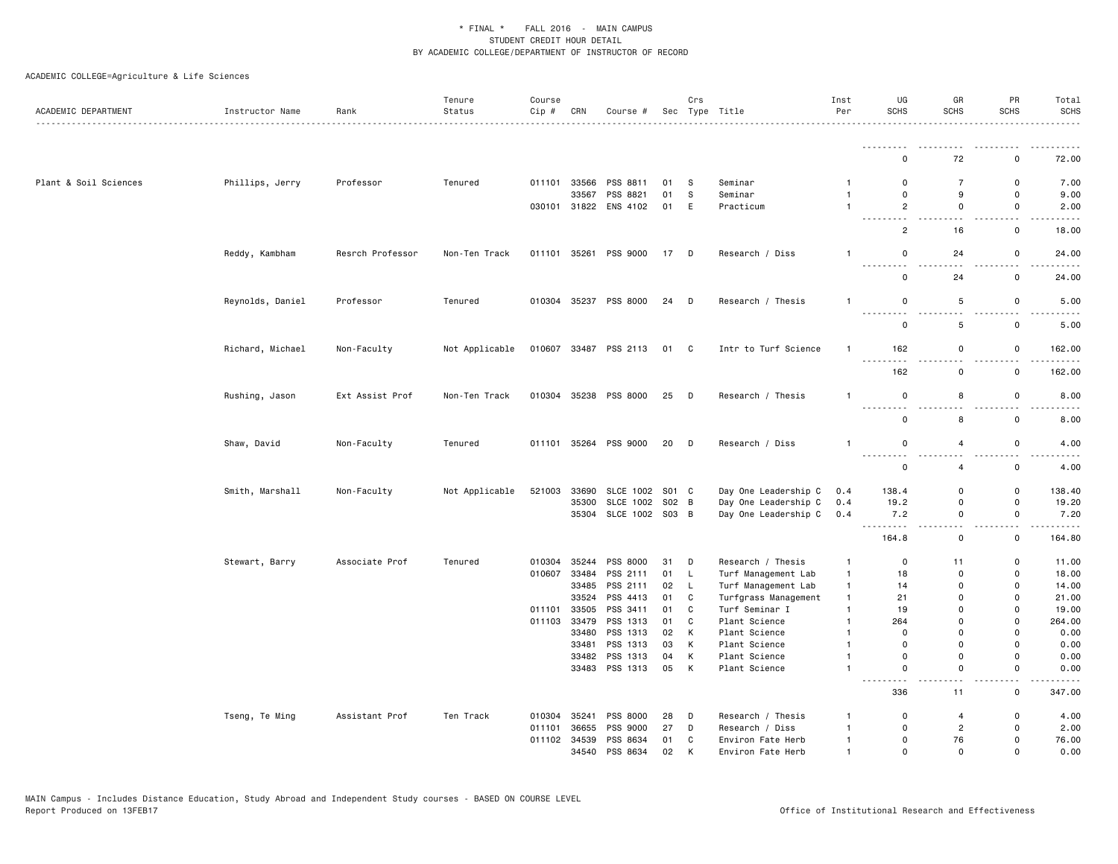| ACADEMIC DEPARTMENT   | Instructor Name  | Rank             | Tenure<br>Status | Course<br>Cip # | CRN          | Course #                   |          | Crs               | Sec Type Title                 | Inst<br>Per                    | UG<br><b>SCHS</b>                       | GR<br><b>SCHS</b>          | PR<br><b>SCHS</b>          | Total<br><b>SCHS</b> |
|-----------------------|------------------|------------------|------------------|-----------------|--------------|----------------------------|----------|-------------------|--------------------------------|--------------------------------|-----------------------------------------|----------------------------|----------------------------|----------------------|
|                       |                  |                  |                  |                 |              |                            |          |                   |                                |                                |                                         |                            |                            |                      |
|                       |                  |                  |                  |                 |              |                            |          |                   |                                |                                | $\Omega$                                | 72                         | 0                          | 72.00                |
| Plant & Soil Sciences | Phillips, Jerry  | Professor        | Tenured          |                 | 011101 33566 | PSS 8811                   | 01       | - S               | Seminar                        | -1                             | 0                                       | $\overline{7}$             | 0                          | 7.00                 |
|                       |                  |                  |                  |                 | 33567        | PSS 8821                   | 01       | s                 | Seminar                        | $\overline{1}$                 | $\mathbf 0$                             | 9                          | $\Omega$                   | 9.00                 |
|                       |                  |                  |                  |                 |              | 030101 31822 ENS 4102      | 01 E     |                   | Practicum                      | $\overline{1}$                 | $\overline{2}$<br>$\sim$ $\sim$<br>$ -$ | $\mathsf{o}$               | 0                          | 2.00                 |
|                       |                  |                  |                  |                 |              |                            |          |                   |                                |                                | $\overline{2}$                          | 16                         | $\mathsf{o}\,$             | 18.00                |
|                       | Reddy, Kambham   | Resrch Professor | Non-Ten Track    |                 |              | 011101 35261 PSS 9000      | 17 D     |                   | Research / Diss                | $\overline{1}$                 | 0<br>$\sim$ $\sim$ $\sim$ $\sim$        | 24                         | 0                          | 24.00                |
|                       |                  |                  |                  |                 |              |                            |          |                   |                                |                                | 0                                       | 24                         | 0                          | 24.00                |
|                       | Reynolds, Daniel | Professor        | Tenured          |                 |              | 010304 35237 PSS 8000      | 24 D     |                   | Research / Thesis              | $\mathbf{1}$                   | 0                                       | 5                          | 0                          | 5.00                 |
|                       |                  |                  |                  |                 |              |                            |          |                   |                                |                                | <u>.</u><br>0                           | $\sim$ $\sim$<br>5         | $\sim$ $\sim$<br>0         | .<br>5.00            |
|                       | Richard, Michael | Non-Faculty      | Not Applicable   |                 |              | 010607 33487 PSS 2113      | 01 C     |                   | Intr to Turf Science           | $\mathbf{1}$                   | 162                                     | 0                          | 0                          | 162.00               |
|                       |                  |                  |                  |                 |              |                            |          |                   |                                |                                | 162                                     | 0                          | $\mathsf{o}$               | 162.00               |
|                       | Rushing, Jason   | Ext Assist Prof  | Non-Ten Track    | 010304          |              | 35238 PSS 8000             | 25 D     |                   | Research / Thesis              | $\mathbf{1}$                   | 0                                       | 8                          | $\mathsf 0$                | 8.00                 |
|                       |                  |                  |                  |                 |              |                            |          |                   |                                |                                | <u>.</u><br>$\mathsf 0$                 | 8                          | $ -$<br>$\mathsf 0$        | ----<br>8.00         |
|                       | Shaw, David      | Non-Faculty      | Tenured          |                 |              | 011101 35264 PSS 9000      | 20 D     |                   | Research / Diss                | $\overline{1}$                 | 0                                       | $\overline{4}$             | $\mathsf 0$                | 4.00                 |
|                       |                  |                  |                  |                 |              |                            |          |                   |                                |                                | <u>.</u><br>$\Omega$                    | $\overline{4}$             | $\mathsf 0$                | 4.00                 |
|                       | Smith, Marshall  | Non-Faculty      | Not Applicable   | 521003          | 33690        | SLCE 1002 S01 C            |          |                   | Day One Leadership C           | 0.4                            | 138.4                                   | $\mathbf 0$                | 0                          | 138.40               |
|                       |                  |                  |                  |                 | 35300        | SLCE 1002 S02 B            |          |                   | Day One Leadership C           | 0.4                            | 19.2                                    | 0                          | $\mathsf 0$                | 19.20                |
|                       |                  |                  |                  |                 |              | 35304 SLCE 1002 S03 B      |          |                   | Day One Leadership C           | 0.4                            | 7.2<br>$\sim$ $\sim$ $\sim$             | 0                          | $\mathsf 0$                | 7.20                 |
|                       |                  |                  |                  |                 |              |                            |          |                   |                                |                                | 164.8                                   | 0                          | 0                          | 164.80               |
|                       | Stewart, Barry   | Associate Prof   | Tenured          | 010304          | 35244        | PSS 8000                   | 31       | D                 | Research / Thesis              | $\mathbf{1}$                   | $\mathbf 0$                             | 11                         | 0                          | 11.00                |
|                       |                  |                  |                  | 010607          | 33484        | PSS 2111                   | 01 L     |                   | Turf Management Lab            | $\mathbf{1}$                   | 18                                      | 0                          | $\mathsf 0$                | 18.00                |
|                       |                  |                  |                  |                 | 33485        | PSS 2111                   | 02       | $\mathsf{L}$      | Turf Management Lab            | $\mathbf{1}$                   | 14                                      | 0                          | $\mathsf 0$                | 14.00                |
|                       |                  |                  |                  |                 | 33524        | PSS 4413                   | 01       | C                 | Turfgrass Management           | $\mathbf{1}$                   | 21                                      | 0                          | $\mathsf 0$                | 21.00                |
|                       |                  |                  |                  |                 | 011101 33505 | PSS 3411                   | 01       | C                 | Turf Seminar I                 | $\mathbf{1}$                   | 19                                      | $\mathsf{o}$               | $\mathsf 0$                | 19.00                |
|                       |                  |                  |                  | 011103          | 33479        | PSS 1313                   | 01       | $\mathtt{C}$      | Plant Science                  | $\overline{1}$                 | 264                                     | 0                          | $\mathsf 0$                | 264.00               |
|                       |                  |                  |                  |                 | 33480        | PSS 1313                   | 02       | K                 | Plant Science                  | $\overline{1}$                 | $\mathbf 0$                             | 0                          | $\mathsf 0$                | 0.00                 |
|                       |                  |                  |                  |                 | 33481        | PSS 1313                   | 03       | K                 | Plant Science                  | $\mathbf{1}$                   | $\mathbf 0$                             | $\mathsf{o}$               | $\mathbf 0$                | 0.00                 |
|                       |                  |                  |                  |                 | 33482        | PSS 1313<br>33483 PSS 1313 | 04<br>05 | К<br>$\mathsf{K}$ | Plant Science<br>Plant Science | $\overline{1}$<br>$\mathbf{1}$ | 0<br>$\mathsf 0$                        | $\mathsf 0$<br>$\mathsf 0$ | $\mathsf 0$<br>$\mathsf 0$ | 0.00<br>0.00         |
|                       |                  |                  |                  |                 |              |                            |          |                   |                                |                                | - - -                                   |                            |                            | .                    |
|                       |                  |                  |                  |                 |              |                            |          |                   |                                |                                | 336                                     | 11                         | $\mathsf{o}\,$             | 347.00               |
|                       | Tseng, Te Ming   | Assistant Prof   | Ten Track        | 010304          | 35241        | PSS 8000                   | 28       | D                 | Research / Thesis              | -1                             | 0                                       | $\overline{4}$             | 0                          | 4.00                 |
|                       |                  |                  |                  | 011101          | 36655        | PSS 9000                   | 27       | D                 | Research / Diss                | $\mathbf{1}$                   | $\mathbf 0$                             | $\overline{2}$             | $\mathbf 0$                | 2.00                 |
|                       |                  |                  |                  |                 | 011102 34539 | PSS 8634                   | 01       | C                 | Environ Fate Herb              | $\mathbf{1}$                   | 0                                       | 76                         | 0                          | 76.00                |
|                       |                  |                  |                  |                 | 34540        | PSS 8634                   | 02       | K                 | Environ Fate Herb              | $\mathbf{1}$                   | $\Omega$                                | $\Omega$                   | $\Omega$                   | 0.00                 |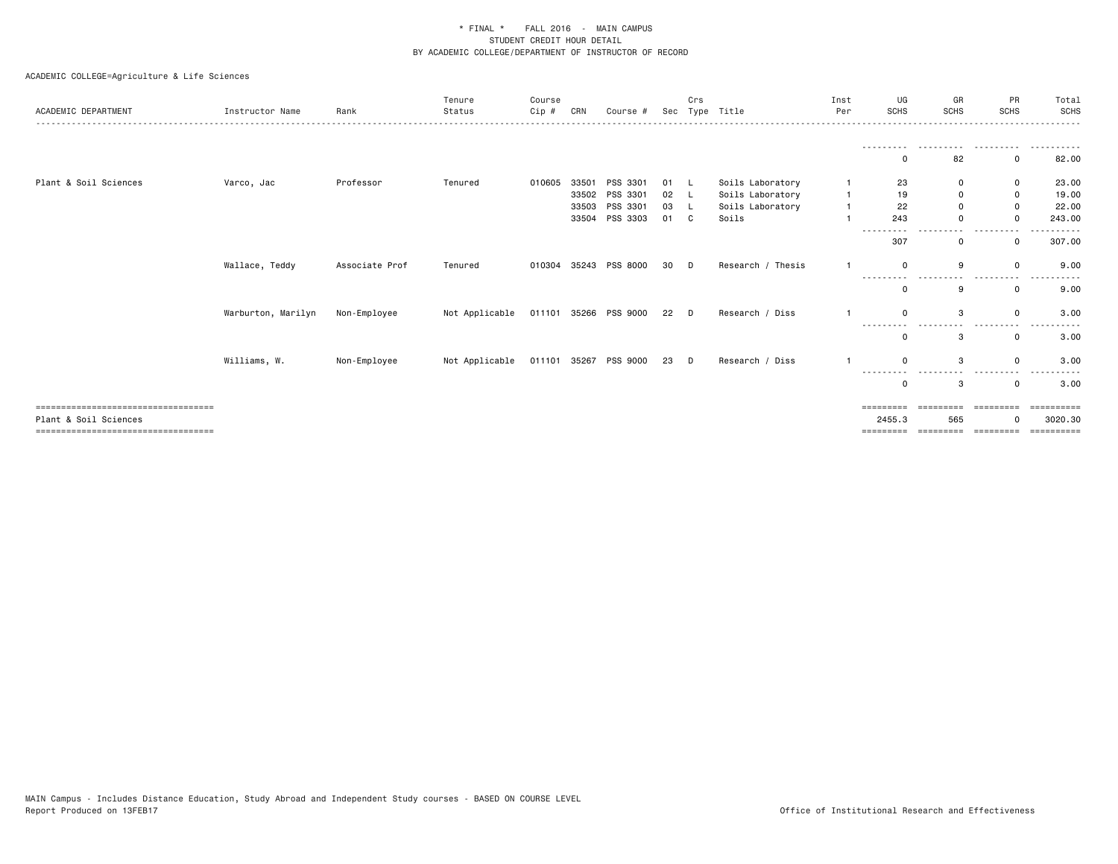| ACADEMIC DEPARTMENT                   | Instructor Name    | Rank           | Tenure<br>Status | Course<br>Cip# | CRN   | Course #              |      | Crs    | Sec Type Title    | Inst<br>Per | UG<br><b>SCHS</b> | GR<br><b>SCHS</b> | PR<br><b>SCHS</b> | Total<br>SCHS |
|---------------------------------------|--------------------|----------------|------------------|----------------|-------|-----------------------|------|--------|-------------------|-------------|-------------------|-------------------|-------------------|---------------|
|                                       |                    |                |                  |                |       |                       |      |        |                   |             |                   |                   |                   |               |
|                                       |                    |                |                  |                |       |                       |      |        |                   |             |                   |                   |                   |               |
|                                       |                    |                |                  |                |       |                       |      |        |                   |             |                   | 82                | 0                 | 82.00         |
| Plant & Soil Sciences                 | Varco, Jac         | Professor      | Tenured          | 010605         |       | 33501 PSS 3301        | 01   |        | Soils Laboratory  |             | 23                |                   | 0                 | 23.00         |
|                                       |                    |                |                  |                | 33502 | PSS 3301              | 02   |        | Soils Laboratory  |             | 19                | 0                 | 0                 | 19.00         |
|                                       |                    |                |                  |                |       | 33503 PSS 3301        | 03 L |        | Soils Laboratory  |             | 22                |                   | $\Omega$          | 22.00         |
|                                       |                    |                |                  |                |       | 33504 PSS 3303        | 01 C |        | Soils             |             | 243               |                   | $\Omega$          | 243.00        |
|                                       |                    |                |                  |                |       |                       |      |        |                   |             | ---------<br>307  |                   | $\Omega$          | .<br>307.00   |
|                                       | Wallace, Teddy     | Associate Prof | Tenured          | 010304         |       | 35243 PSS 8000        | 30   | $\Box$ | Research / Thesis |             |                   | 9                 | $\Omega$          | 9.00          |
|                                       |                    |                |                  |                |       |                       |      |        |                   |             |                   | 9                 | $\mathbf 0$       | 9.00          |
|                                       | Warburton, Marilyn | Non-Employee   | Not Applicable   |                |       | 011101 35266 PSS 9000 | 22 D |        | Research / Diss   |             |                   | 3                 | $\Omega$          | 3.00          |
|                                       |                    |                |                  |                |       |                       |      |        |                   |             |                   |                   |                   |               |
|                                       |                    |                |                  |                |       |                       |      |        |                   |             |                   | з                 | 0                 | 3.00          |
|                                       | Williams, W.       | Non-Employee   | Not Applicable   |                |       | 011101 35267 PSS 9000 | 23 D |        | Research / Diss   |             | ----              | 3                 | $\Omega$          | 3.00          |
|                                       |                    |                |                  |                |       |                       |      |        |                   |             |                   | 3                 | $^{\circ}$        | 3.00          |
| ;=============================        |                    |                |                  |                |       |                       |      |        |                   |             |                   |                   |                   | eeeeeeee      |
| Plant & Soil Sciences                 |                    |                |                  |                |       |                       |      |        |                   |             | 2455.3            | 565               |                   | 3020.30       |
| ===================================== |                    |                |                  |                |       |                       |      |        |                   |             | =========         | ----------        | ----------        | -----------   |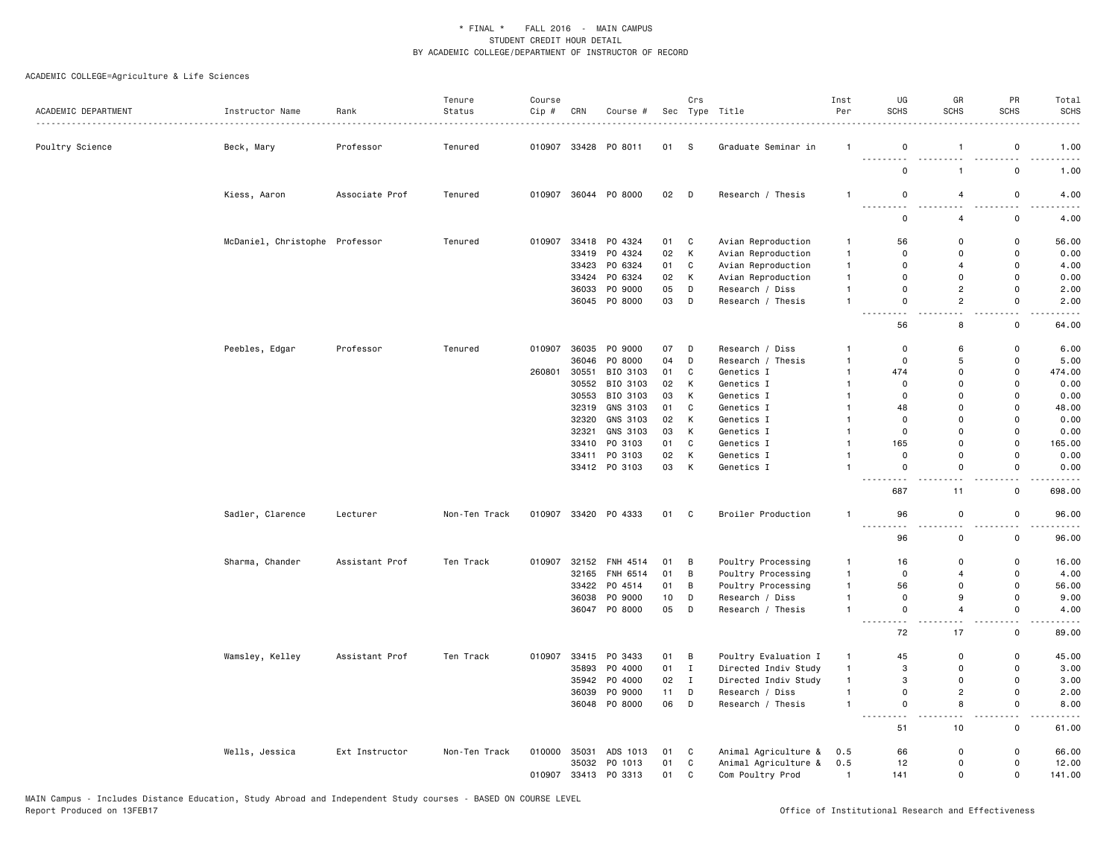| ACADEMIC DEPARTMENT | Instructor Name                | Rank<br>.      | Tenure<br>Status | Course<br>Cip # | CRN   | Course #       |      | Crs                        | Sec Type Title       | Inst<br>Per    | UG<br><b>SCHS</b>                       | GR<br><b>SCHS</b>                       | PR<br><b>SCHS</b>             | Total<br><b>SCHS</b>         |
|---------------------|--------------------------------|----------------|------------------|-----------------|-------|----------------|------|----------------------------|----------------------|----------------|-----------------------------------------|-----------------------------------------|-------------------------------|------------------------------|
| Poultry Science     | Beck, Mary                     | Professor      | Tenured          | 010907          |       | 33428 PO 8011  | 01   | - S                        | Graduate Seminar in  | $\mathbf{1}$   | 0                                       | -1                                      | 0                             | 1.00                         |
|                     |                                |                |                  |                 |       |                |      |                            |                      |                | .<br>$\mathbf 0$                        | $\mathbf{1}$                            | 0                             | 1.00                         |
|                     | Kiess, Aaron                   | Associate Prof | Tenured          | 010907          |       | 36044 PO 8000  | 02 D |                            | Research / Thesis    | $\mathbf{1}$   | 0<br>$ -$                               | 4                                       | 0                             | 4.00                         |
|                     |                                |                |                  |                 |       |                |      |                            |                      |                | $\mathbf 0$                             | $\overline{4}$                          | $\mathbf 0$                   | 4.00                         |
|                     | McDaniel, Christophe Professor |                | Tenured          | 010907          |       | 33418 PO 4324  | 01   | C                          | Avian Reproduction   | $\overline{1}$ | 56                                      | $\Omega$                                | $\Omega$                      | 56.00                        |
|                     |                                |                |                  |                 |       | 33419 PO 4324  | 02   | К                          | Avian Reproduction   | $\mathbf{1}$   | $\mathbf 0$                             | $\Omega$                                | $\mathsf{o}$                  | 0.00                         |
|                     |                                |                |                  |                 |       | 33423 PO 6324  | 01   | C                          | Avian Reproduction   | $\overline{1}$ | $\mathbf 0$                             | $\overline{4}$                          | $\mathsf{o}$                  | 4.00                         |
|                     |                                |                |                  |                 |       | 33424 PO 6324  | 02   | К                          | Avian Reproduction   | $\overline{1}$ | $\mathbf 0$                             | $\Omega$                                | $\mathsf{o}$                  | 0.00                         |
|                     |                                |                |                  |                 | 36033 | PO 9000        | 05   | D                          | Research / Diss      | $\mathbf{1}$   | $\mathbf 0$                             | $\overline{c}$                          | $\mathsf 0$                   | 2.00                         |
|                     |                                |                |                  |                 |       | 36045 PO 8000  | 03   | D                          | Research / Thesis    | $\overline{1}$ | $\mathbf 0$<br>$\sim$                   | $\overline{c}$                          | $\mathbf 0$<br>$\sim$ $\sim$  | 2.00<br>$\sim$ $\sim$ $\sim$ |
|                     |                                |                |                  |                 |       |                |      |                            |                      |                | 56                                      | 8                                       | 0                             | 64.00                        |
|                     | Peebles, Edgar                 | Professor      | Tenured          | 010907          |       | 36035 PO 9000  | 07   | D                          | Research / Diss      | $\mathbf{1}$   | $\mathsf 0$                             | 6                                       | 0                             | 6.00                         |
|                     |                                |                |                  |                 |       | 36046 PO 8000  | 04   | D                          | Research / Thesis    | $\overline{1}$ | $\mathbf 0$                             | 5                                       | $\mathsf{o}$                  | 5.00                         |
|                     |                                |                |                  | 260801          | 30551 | BIO 3103       | 01   | $\mathtt{C}$               | Genetics I           | $\overline{1}$ | 474                                     | $\mathbf 0$                             | $\mathsf 0$                   | 474.00                       |
|                     |                                |                |                  |                 |       | 30552 BIO 3103 | 02   | К                          | Genetics I           | $\overline{1}$ | $\mathbf 0$                             | $\Omega$                                | $\mathbf 0$                   | 0.00                         |
|                     |                                |                |                  |                 | 30553 | BIO 3103       | 03   | К                          | Genetics I           | $\overline{1}$ | $\mathbf 0$                             | $\Omega$                                | 0                             | 0.00                         |
|                     |                                |                |                  |                 | 32319 | GNS 3103       | 01   | C                          | Genetics I           | $\mathbf{1}$   | 48                                      | $\Omega$                                | $\Omega$                      | 48.00                        |
|                     |                                |                |                  |                 |       | 32320 GNS 3103 | 02   | K                          | Genetics I           | $\mathbf{1}$   | 0                                       | 0                                       | $\mathbf 0$                   | 0.00                         |
|                     |                                |                |                  |                 | 32321 | GNS 3103       | 03   | K                          | Genetics I           | $\overline{1}$ | $\mathbf 0$                             | $\Omega$                                | $\Omega$                      | 0.00                         |
|                     |                                |                |                  |                 |       | 33410 PO 3103  | 01   | C                          | Genetics I           | $\mathbf{1}$   | 165                                     | $\Omega$                                | $\mathsf{o}$                  | 165.00                       |
|                     |                                |                |                  |                 |       | 33411 PO 3103  | 02   | К                          | Genetics I           | $\overline{1}$ | 0                                       | 0                                       | 0                             | 0.00                         |
|                     |                                |                |                  |                 |       | 33412 PO 3103  | 03   | K                          | Genetics I           | $\mathbf{1}$   | $\mathbf 0$<br>$- - -$<br>.             | $\mathbf 0$                             | $\mathsf{o}$<br>$-$           | 0.00<br>$\cdots$             |
|                     |                                |                |                  |                 |       |                |      |                            |                      |                | 687                                     | 11                                      | 0                             | 698.00                       |
|                     | Sadler, Clarence               | Lecturer       | Non-Ten Track    | 010907          |       | 33420 PO 4333  | 01   | $\overline{\phantom{a}}$ C | Broiler Production   | $\overline{1}$ | 96<br><b>.</b><br>$\sim$ $\sim$ $\sim$  | $\mathbf 0$                             | 0<br>$\overline{\phantom{a}}$ | 96.00<br>.                   |
|                     |                                |                |                  |                 |       |                |      |                            |                      |                | 96                                      | $\overline{\phantom{a}}$<br>$\mathbf 0$ | $\mathsf{o}$                  | 96.00                        |
|                     | Sharma, Chander                | Assistant Prof | Ten Track        | 010907          |       | 32152 FNH 4514 | 01   | B                          | Poultry Processing   | $\mathbf{1}$   | 16                                      | $\mathbf 0$                             | 0                             | 16.00                        |
|                     |                                |                |                  |                 |       | 32165 FNH 6514 | 01   | B                          | Poultry Processing   | $\mathbf{1}$   | $\mathbf 0$                             | $\overline{4}$                          | 0                             | 4.00                         |
|                     |                                |                |                  |                 |       | 33422 PO 4514  | 01   | B                          | Poultry Processing   | $\mathbf{1}$   | 56                                      | 0                                       | $\mathsf 0$                   | 56.00                        |
|                     |                                |                |                  |                 |       | 36038 PO 9000  | 10   | D                          | Research / Diss      | $\overline{1}$ | $\mathbf 0$                             | 9                                       | 0                             | 9.00                         |
|                     |                                |                |                  |                 |       | 36047 PO 8000  | 05   | D                          | Research / Thesis    | $\overline{1}$ | $\mathsf 0$<br>$\overline{\phantom{0}}$ | 4                                       | $\mathsf 0$                   | 4.00                         |
|                     |                                |                |                  |                 |       |                |      |                            |                      |                | 72                                      | 17                                      | $\mathbf 0$                   | 89.00                        |
|                     | Wamsley, Kelley                | Assistant Prof | Ten Track        | 010907          |       | 33415 PO 3433  | 01   | B                          | Poultry Evaluation I | $\mathbf{1}$   | 45                                      | $\mathbf 0$                             | $\mathsf{o}$                  | 45.00                        |
|                     |                                |                |                  |                 | 35893 | PO 4000        | 01   | $\mathbf{I}$               | Directed Indiv Study | $\mathbf{1}$   | 3                                       | $\mathbf 0$                             | $\mathsf 0$                   | 3.00                         |
|                     |                                |                |                  |                 |       | 35942 PO 4000  | 02   | $\mathbf{I}$               | Directed Indiv Study | $\mathbf{1}$   | 3                                       | $\Omega$                                | $\mathbf 0$                   | 3.00                         |
|                     |                                |                |                  |                 | 36039 | PO 9000        | 11   | D                          | Research / Diss      | $\mathbf{1}$   | $\mathbf 0$                             | $\overline{c}$                          | 0                             | 2.00                         |
|                     |                                |                |                  |                 |       | 36048 PO 8000  | 06   | D                          | Research / Thesis    | $\overline{1}$ | $\mathsf 0$<br>$\sim$ $\sim$ $\sim$     | 8                                       | $\mathsf 0$                   | 8.00                         |
|                     |                                |                |                  |                 |       |                |      |                            |                      |                | 51                                      | 10                                      | 0                             | 61.00                        |
|                     | Wells, Jessica                 | Ext Instructor | Non-Ten Track    | 010000          | 35031 | ADS 1013       | 01   | C                          | Animal Agriculture & | 0.5            | 66                                      | 0                                       | 0                             | 66.00                        |
|                     |                                |                |                  |                 |       | 35032 PO 1013  | 01   | $\mathtt{C}$               | Animal Agriculture & | 0.5            | 12                                      | $\mathbf{0}$                            | $\mathsf 0$                   | 12.00                        |
|                     |                                |                |                  | 010907          |       | 33413 PO 3313  | 01   | $\mathbb C$                | Com Poultry Prod     | $\mathbf{1}$   | 141                                     | $\mathbf 0$                             | $\mathsf 0$                   | 141.00                       |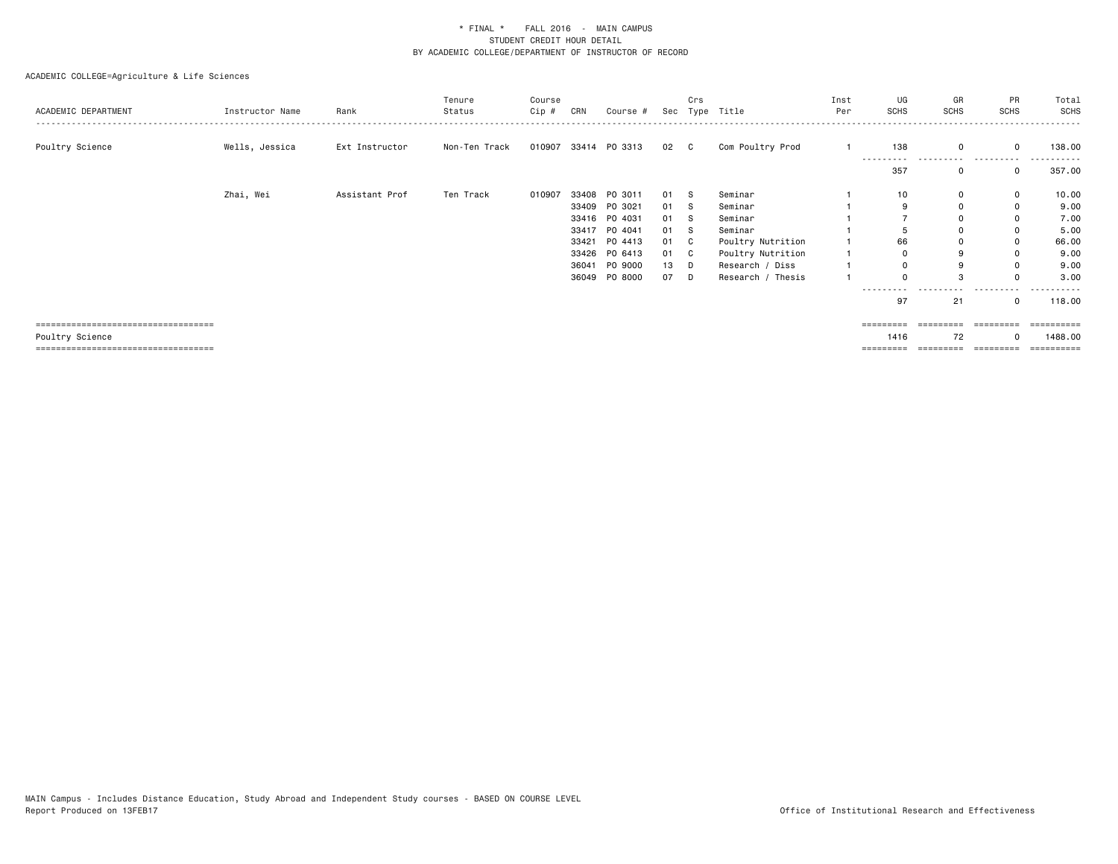| ACADEMIC DEPARTMENT                   | Instructor Name | Rank           | Tenure<br>Status | Course<br>Cip # | CRN   | Course #             |      | Crs | Sec Type Title    | Inst<br>Per | UG<br>SCHS | GR<br><b>SCHS</b> | PR<br><b>SCHS</b>   | Total<br>SCHS |
|---------------------------------------|-----------------|----------------|------------------|-----------------|-------|----------------------|------|-----|-------------------|-------------|------------|-------------------|---------------------|---------------|
| Poultry Science                       | Wells, Jessica  | Ext Instructor | Non-Ten Track    |                 |       | 010907 33414 PO 3313 | 02 C |     | Com Poultry Prod  |             | 138        | $\Omega$          | 0                   | 138.00        |
|                                       |                 |                |                  |                 |       |                      |      |     |                   |             | 357        | 0                 | $\mathbf{0}$        | 357.00        |
|                                       | Zhai, Wei       | Assistant Prof | Ten Track        | 010907          |       | 33408 PO 3011        | 01 S |     | Seminar           |             | 10         | 0                 | 0                   | 10.00         |
|                                       |                 |                |                  |                 |       | 33409 PO 3021        | 01 S |     | Seminar           |             | 9          | 0                 | 0                   | 9.00          |
|                                       |                 |                |                  |                 |       | 33416 PO 4031        | 01 S |     | Seminar           |             |            |                   | 0                   | 7.00          |
|                                       |                 |                |                  |                 |       | 33417 PO 4041        | 01 S |     | Seminar           |             |            | $\Omega$          | 0                   | 5.00          |
|                                       |                 |                |                  |                 | 33421 | PO 4413              | 01 C |     | Poultry Nutrition |             | 66         | 0                 | 0                   | 66.00         |
|                                       |                 |                |                  |                 |       | 33426 PO 6413        | 01 C |     | Poultry Nutrition |             | $\Omega$   | 9                 | $\Omega$            | 9.00          |
|                                       |                 |                |                  |                 | 36041 | PO 9000              | 13 D |     | Research / Diss   |             |            | 9                 | 0                   | 9.00          |
|                                       |                 |                |                  |                 |       | 36049 PO 8000        | 07   | D   | Research / Thesis |             |            |                   |                     | 3.00          |
|                                       |                 |                |                  |                 |       |                      |      |     |                   |             | 97         | 21                | 0                   | 118.00        |
| ====================================  |                 |                |                  |                 |       |                      |      |     |                   |             | =========  | =========         | ----------          | ==========    |
| Poultry Science                       |                 |                |                  |                 |       |                      |      |     |                   |             | 1416       | 72                | $\Omega$            | 1488.00       |
| ===================================== |                 |                |                  |                 |       |                      |      |     |                   |             | =========  |                   | =================== | ==========    |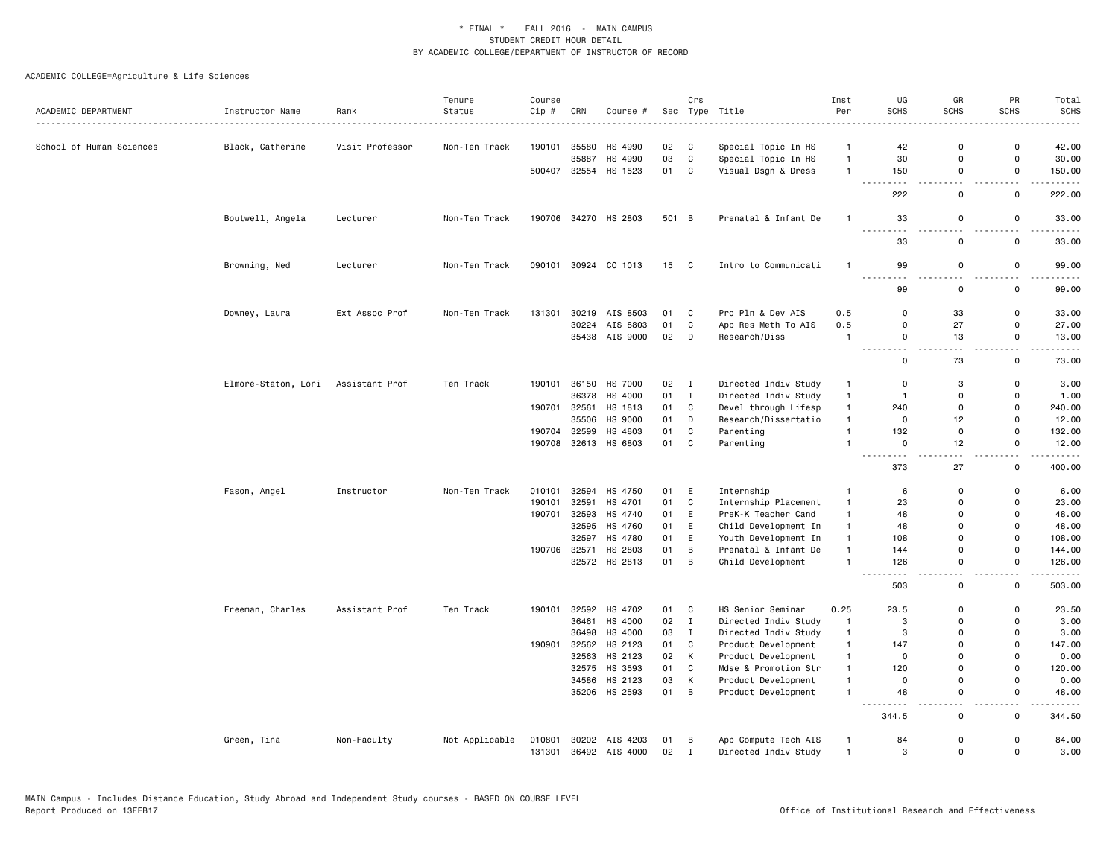| ACADEMIC DEPARTMENT      | Instructor Name     | Rank            | Tenure<br>Status | Course<br>Cip # | CRN          | Course #             | Sec   | Crs          | Type Title           | Inst<br>Per    | UG<br><b>SCHS</b>                                                                                                                         | GR<br><b>SCHS</b>             | PR<br><b>SCHS</b>            | Total<br><b>SCHS</b>  |
|--------------------------|---------------------|-----------------|------------------|-----------------|--------------|----------------------|-------|--------------|----------------------|----------------|-------------------------------------------------------------------------------------------------------------------------------------------|-------------------------------|------------------------------|-----------------------|
|                          |                     | . <b>.</b> .    |                  |                 |              |                      |       |              |                      |                |                                                                                                                                           |                               |                              |                       |
| School of Human Sciences | Black, Catherine    | Visit Professor | Non-Ten Track    | 190101          | 35580        | HS 4990              | 02    | C            | Special Topic In HS  | $\mathbf{1}$   | 42                                                                                                                                        | $\mathbf 0$                   | $\mathsf 0$                  | 42.00                 |
|                          |                     |                 |                  |                 | 35887        | HS 4990              | 03    | $\mathbf{C}$ | Special Topic In HS  | $\mathbf{1}$   | 30                                                                                                                                        | $\mathbf 0$                   | $\mathbf 0$                  | 30.00                 |
|                          |                     |                 |                  |                 | 500407 32554 | HS 1523              | 01    | C            | Visual Dsgn & Dress  | $\mathbf{1}$   | 150<br>$\frac{1}{2} \left( \frac{1}{2} \right) \left( \frac{1}{2} \right) \left( \frac{1}{2} \right) \left( \frac{1}{2} \right)$<br>- - - | $\mathbf 0$<br>$\overline{a}$ | $\mathbf 0$<br>$\sim$ $\sim$ | 150.00<br>$- - - -$   |
|                          |                     |                 |                  |                 |              |                      |       |              |                      |                | 222                                                                                                                                       | 0                             | $\mathbf 0$                  | 222.00                |
|                          | Boutwell, Angela    | Lecturer        | Non-Ten Track    |                 |              | 190706 34270 HS 2803 | 501 B |              | Prenatal & Infant De | $\mathbf{1}$   | 33<br>$  -$                                                                                                                               | $\mathsf 0$                   | $\mathsf 0$                  | 33.00                 |
|                          |                     |                 |                  |                 |              |                      |       |              |                      |                | 33                                                                                                                                        | $\mathbf 0$                   | $\mathsf 0$                  | 33.00                 |
|                          | Browning, Ned       | Lecturer        | Non-Ten Track    |                 |              | 090101 30924 CO 1013 | 15 C  |              | Intro to Communicati | $\mathbf{1}$   | 99                                                                                                                                        | $\Omega$<br>- -               | $\mathsf 0$<br>- -           | 99.00                 |
|                          |                     |                 |                  |                 |              |                      |       |              |                      |                | 99                                                                                                                                        | 0                             | $\mathsf 0$                  | 99.00                 |
|                          | Downey, Laura       | Ext Assoc Prof  | Non-Ten Track    | 131301          | 30219        | AIS 8503             | 01    | C            | Pro Pln & Dev AIS    | 0.5            | 0                                                                                                                                         | 33                            | 0                            | 33.00                 |
|                          |                     |                 |                  |                 | 30224        | AIS 8803             | 01    | $\mathbb{C}$ | App Res Meth To AIS  | 0.5            | 0                                                                                                                                         | 27                            | $\mathbf 0$                  | 27.00                 |
|                          |                     |                 |                  |                 |              | 35438 AIS 9000       | 02    | D            | Research/Diss        | $\mathbf{1}$   | 0<br>.<br>.                                                                                                                               | 13<br>المنابذة                | $\mathbf 0$<br>ا عام ا       | 13.00<br>. <b>.</b> . |
|                          |                     |                 |                  |                 |              |                      |       |              |                      |                | 0                                                                                                                                         | 73                            | $\mathsf{o}$                 | 73.00                 |
|                          | Elmore-Staton, Lori | Assistant Prof  | Ten Track        | 190101          | 36150        | HS 7000              | 02    | $\mathbf{I}$ | Directed Indiv Study | $\mathbf{1}$   | $\mathbf 0$                                                                                                                               | 3                             | $\mathsf 0$                  | 3.00                  |
|                          |                     |                 |                  |                 | 36378        | HS 4000              | 01    | $\;$ I       | Directed Indiv Study | $\mathbf{1}$   | $\overline{1}$                                                                                                                            | $\mathbf 0$                   | $\mathbf 0$                  | 1.00                  |
|                          |                     |                 |                  | 190701          | 32561        | HS 1813              | 01    | $\mathbb{C}$ | Devel through Lifesp | $\mathbf{1}$   | 240                                                                                                                                       | $\mathbf 0$                   | $\mathbf 0$                  | 240.00                |
|                          |                     |                 |                  |                 | 35506        | HS 9000              | 01    | D            | Research/Dissertatio | $\mathbf{1}$   | $\mathbf 0$                                                                                                                               | 12                            | $\mathbf 0$                  | 12.00                 |
|                          |                     |                 |                  | 190704          | 32599        | HS 4803              | 01    | C            | Parenting            | $\mathbf{1}$   | 132                                                                                                                                       | $\mathsf 0$                   | $\mathsf{o}$                 | 132.00                |
|                          |                     |                 |                  | 190708          |              | 32613 HS 6803        | 01    | $\mathbb{C}$ | Parenting            | $\mathbf{1}$   | $\Omega$<br>$\sim$ $\sim$<br>.                                                                                                            | 12<br>$\overline{a}$          | 0<br>$\sim$ $\sim$           | 12.00                 |
|                          |                     |                 |                  |                 |              |                      |       |              |                      |                | 373                                                                                                                                       | 27                            | $\mathsf 0$                  | 400.00                |
|                          | Fason, Angel        | Instructor      | Non-Ten Track    | 010101          | 32594        | HS 4750              | 01    | Е            | Internship           | $\mathbf{1}$   | 6                                                                                                                                         | $\mathbf 0$                   | $\mathsf 0$                  | 6.00                  |
|                          |                     |                 |                  | 190101          | 32591        | HS 4701              | 01    | $\mathtt{C}$ | Internship Placement | $\mathbf{1}$   | 23                                                                                                                                        | 0                             | $\mathbf 0$                  | 23.00                 |
|                          |                     |                 |                  | 190701          |              | 32593 HS 4740        | 01    | E            | PreK-K Teacher Cand  | $\mathbf{1}$   | 48                                                                                                                                        | $\Omega$                      | $\overline{0}$               | 48.00                 |
|                          |                     |                 |                  |                 | 32595        | HS 4760              | 01    | E            | Child Development In | $\mathbf{1}$   | 48                                                                                                                                        | $\mathbf 0$                   | $\mathbf 0$                  | 48.00                 |
|                          |                     |                 |                  |                 | 32597        | HS 4780              | 01    | E            | Youth Development In | $\mathbf{1}$   | 108                                                                                                                                       | $\Omega$                      | $\mathbf 0$                  | 108.00                |
|                          |                     |                 |                  |                 | 190706 32571 | HS 2803              | 01    | В            | Prenatal & Infant De | $\mathbf{1}$   | 144                                                                                                                                       | 0                             | $\mathbf 0$                  | 144.00                |
|                          |                     |                 |                  |                 |              | 32572 HS 2813        | 01    | B            | Child Development    | $\mathbf{1}$   | 126                                                                                                                                       | $\mathsf{o}$<br>$\sim$        | 0<br>$\sim$                  | 126.00<br>.           |
|                          |                     |                 |                  |                 |              |                      |       |              |                      |                | 503                                                                                                                                       | 0                             | $\mathbf 0$                  | 503.00                |
|                          | Freeman, Charles    | Assistant Prof  | Ten Track        | 190101          | 32592        | HS 4702              | 01    | C            | HS Senior Seminar    | 0.25           | 23.5                                                                                                                                      | 0                             | $\mathbf 0$                  | 23.50                 |
|                          |                     |                 |                  |                 | 36461        | HS 4000              | 02    | $\mathbf{I}$ | Directed Indiv Study | $\mathbf{1}$   | 3                                                                                                                                         | 0                             | $\mathbf 0$                  | 3.00                  |
|                          |                     |                 |                  |                 | 36498        | HS 4000              | 03    | $\mathbf{I}$ | Directed Indiv Study | $\mathbf{1}$   | 3                                                                                                                                         | $\mathbf 0$                   | $\mathbf 0$                  | 3.00                  |
|                          |                     |                 |                  | 190901          | 32562        | HS 2123              | 01    | $\mathtt{C}$ | Product Development  | $\mathbf{1}$   | 147                                                                                                                                       | $\mathbf 0$                   | $\mathsf{o}$                 | 147.00                |
|                          |                     |                 |                  |                 |              | 32563 HS 2123        | 02    | К            | Product Development  | $\mathbf{1}$   | 0                                                                                                                                         | $\Omega$                      | $\mathbf 0$                  | 0.00                  |
|                          |                     |                 |                  |                 | 32575        | HS 3593              | 01    | ${\bf C}$    | Mdse & Promotion Str | $\mathbf{1}$   | 120                                                                                                                                       | $\mathbf 0$                   | $\mathbf 0$                  | 120.00                |
|                          |                     |                 |                  |                 | 34586        | HS 2123              | 03    | Κ            | Product Development  | $\mathbf{1}$   | 0                                                                                                                                         | $\mathbf 0$                   | $\mathbf 0$                  | 0.00                  |
|                          |                     |                 |                  |                 |              | 35206 HS 2593        | 01    | B            | Product Development  | $\mathbf{1}$   | 48                                                                                                                                        | $\Omega$<br>$\sim$ $\sim$     | $\mathbf 0$<br>$\sim$ $\sim$ | 48.00<br>.            |
|                          |                     |                 |                  |                 |              |                      |       |              |                      |                | 344.5                                                                                                                                     | $\mathbf 0$                   | $\mathsf 0$                  | 344.50                |
|                          | Green, Tina         | Non-Faculty     | Not Applicable   | 010801          |              | 30202 AIS 4203       | 01    | В            | App Compute Tech AIS | $\mathbf{1}$   | 84                                                                                                                                        | $\mathbf 0$                   | $\mathsf 0$                  | 84.00                 |
|                          |                     |                 |                  | 131301          |              | 36492 AIS 4000       | 02    | $\mathbf{I}$ | Directed Indiv Study | $\overline{1}$ | 3                                                                                                                                         | $\mathsf{o}$                  | $\mathbf 0$                  | 3.00                  |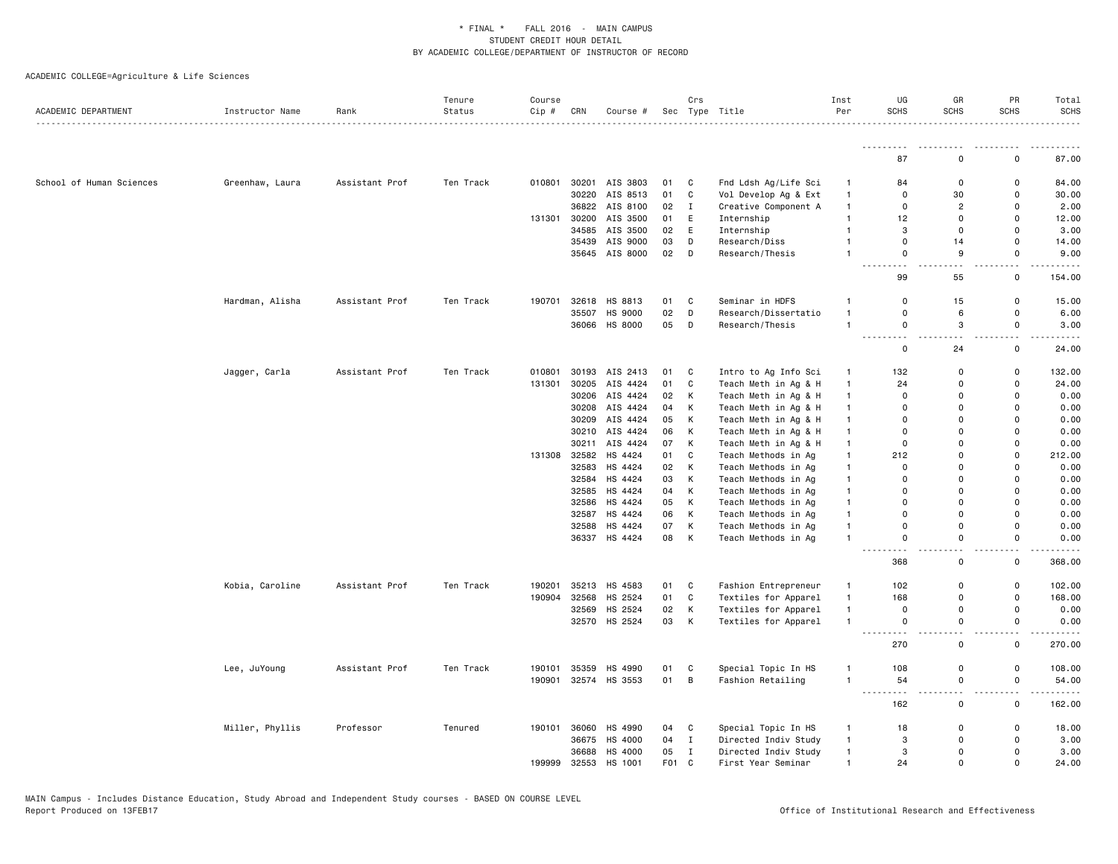| ACADEMIC DEPARTMENT      | Instructor Name | Rank<br>.      | Tenure<br>Status | Course<br>Cip #  | CRN            | Course #                 |          | Crs          | Sec Type Title                               | Inst<br>Per                  | UG<br><b>SCHS</b>            | GR<br><b>SCHS</b>                       | PR<br><b>SCHS</b>             | Total<br><b>SCHS</b> |
|--------------------------|-----------------|----------------|------------------|------------------|----------------|--------------------------|----------|--------------|----------------------------------------------|------------------------------|------------------------------|-----------------------------------------|-------------------------------|----------------------|
|                          |                 |                |                  |                  |                |                          |          |              |                                              |                              |                              |                                         |                               |                      |
|                          |                 |                |                  |                  |                |                          |          |              |                                              |                              | 87                           | $\Omega$                                | 0                             | 87.00                |
| School of Human Sciences | Greenhaw, Laura | Assistant Prof | Ten Track        | 010801           |                | 30201 AIS 3803           | 01       | C            | Fnd Ldsh Ag/Life Sci                         | $\mathbf{1}$                 | 84                           | $\mathbf 0$                             | 0                             | 84.00                |
|                          |                 |                |                  |                  | 30220          | AIS 8513                 | 01       | $\mathtt{C}$ | Vol Develop Ag & Ext                         | $\mathbf{1}$                 | $\mathbf 0$                  | 30                                      | $\Omega$                      | 30.00                |
|                          |                 |                |                  |                  |                | 36822 AIS 8100           | 02       | Ι.           | Creative Component A                         | $\mathbf{1}$                 | 0                            | $\overline{c}$                          | $\Omega$                      | 2.00                 |
|                          |                 |                |                  | 131301           |                | 30200 AIS 3500           | 01       | E            | Internship                                   | $\mathbf{1}$                 | 12                           | $\mathbf 0$                             | $\mathbf 0$                   | 12.00                |
|                          |                 |                |                  |                  | 34585          | AIS 3500                 | 02       | E            | Internship                                   | $\mathbf{1}$                 | 3                            | $\mathbf 0$                             | $\Omega$                      | 3.00                 |
|                          |                 |                |                  |                  |                | 35439 AIS 9000           | 03       | D            | Research/Diss                                | $\mathbf{1}$                 | 0                            | 14                                      | 0                             | 14.00                |
|                          |                 |                |                  |                  |                | 35645 AIS 8000           | 02       | D            | Research/Thesis                              | $\mathbf{1}$                 | 0                            | 9                                       | $\mathsf 0$                   | 9.00                 |
|                          |                 |                |                  |                  |                |                          |          |              |                                              |                              | .<br>- - -                   | $\sim$ $\sim$                           | $\overline{\phantom{a}}$      |                      |
|                          |                 |                |                  |                  |                |                          |          |              |                                              |                              | 99                           | 55                                      | $\mathsf 0$                   | 154.00               |
|                          | Hardman, Alisha | Assistant Prof | Ten Track        | 190701           | 32618          | HS 8813                  | 01       | C            | Seminar in HDFS                              | $\mathbf{1}$                 | $\Omega$                     | 15                                      | 0                             | 15.00                |
|                          |                 |                |                  |                  | 35507          | HS 9000                  | 02       | D            | Research/Dissertatio                         | $\mathbf{1}$                 | $\mathbf 0$                  | 6                                       | 0                             | 6.00                 |
|                          |                 |                |                  |                  | 36066          | HS 8000                  | 05       | D            | Research/Thesis                              | $\mathbf{1}$                 | 0                            | 3                                       | $\mathsf 0$                   | 3.00                 |
|                          |                 |                |                  |                  |                |                          |          |              |                                              |                              | $\sim$ $\sim$<br>$\mathbf 0$ | $\sim$ $\sim$<br>24                     | $\overline{\phantom{a}}$<br>0 | 24.00                |
|                          |                 | Assistant Prof | Ten Track        | 010801           | 30193          | AIS 2413                 | 01       | C            |                                              |                              | 132                          | 0                                       | 0                             | 132.00               |
|                          | Jagger, Carla   |                |                  |                  |                |                          |          |              | Intro to Ag Info Sci                         | $\mathbf{1}$<br>$\mathbf{1}$ |                              |                                         | 0                             |                      |
|                          |                 |                |                  | 131301           | 30205<br>30206 | AIS 4424<br>AIS 4424     | 01<br>02 | C<br>К       | Teach Meth in Ag & H                         | $\mathbf{1}$                 | 24<br>$\mathbf 0$            | 0<br>$\Omega$                           | 0                             | 24.00<br>0.00        |
|                          |                 |                |                  |                  |                |                          |          |              | Teach Meth in Ag & H                         |                              |                              | $\Omega$                                |                               |                      |
|                          |                 |                |                  |                  |                | 30208 AIS 4424           | 04       | К            | Teach Meth in Ag & H                         | $\mathbf{1}$                 | 0                            | $\Omega$                                | 0<br>$\mathbf 0$              | 0.00                 |
|                          |                 |                |                  |                  | 30209          | AIS 4424                 | 05       | К            | Teach Meth in Ag & H                         | $\mathbf{1}$                 | 0                            |                                         |                               | 0.00                 |
|                          |                 |                |                  |                  |                | 30210 AIS 4424           | 06       | К            | Teach Meth in Ag & H                         | $\mathbf{1}$                 | 0                            | 0<br>$\Omega$                           | 0                             | 0.00                 |
|                          |                 |                |                  |                  | 30211<br>32582 | AIS 4424                 | 07       | К            | Teach Meth in Ag & H                         | $\mathbf{1}$                 | 0                            | $\Omega$                                | 0<br>$\Omega$                 | 0.00                 |
|                          |                 |                |                  | 131308           | 32583          | HS 4424<br>HS 4424       | 01       | C<br>К       | Teach Methods in Ag                          | $\mathbf{1}$                 | 212<br>$\mathbf 0$           | $\Omega$                                | $\Omega$                      | 212.00               |
|                          |                 |                |                  |                  |                |                          | 02       |              | Teach Methods in Ag                          | $\mathbf{1}$                 | 0                            | $\Omega$                                | $\Omega$                      | 0.00                 |
|                          |                 |                |                  |                  |                | 32584 HS 4424            | 03       | К            | Teach Methods in Ag                          | $\mathbf{1}$                 |                              |                                         |                               | 0.00                 |
|                          |                 |                |                  |                  | 32585          | HS 4424                  | 04       | К            | Teach Methods in Ag                          | $\mathbf{1}$                 | $\Omega$<br>$\Omega$         | $\Omega$<br>$\Omega$                    | $\Omega$<br>$\Omega$          | 0.00<br>0.00         |
|                          |                 |                |                  |                  | 32586          | HS 4424                  | 05       | К            | Teach Methods in Ag                          | $\mathbf{1}$                 | $\Omega$                     | $\Omega$                                | $\Omega$                      |                      |
|                          |                 |                |                  |                  | 32587          | HS 4424                  | 06       | К            | Teach Methods in Ag                          | $\mathbf{1}$                 |                              |                                         |                               | 0.00                 |
|                          |                 |                |                  |                  | 32588          | HS 4424<br>36337 HS 4424 | 07<br>08 | К<br>К       | Teach Methods in Ag<br>Teach Methods in Ag   | $\mathbf{1}$<br>$\mathbf{1}$ | 0<br>0                       | $\mathbf 0$<br>0                        | 0<br>0                        | 0.00<br>0.00         |
|                          |                 |                |                  |                  |                |                          |          |              |                                              |                              | 368                          | 0                                       | $\overline{\phantom{a}}$<br>0 | 368.00               |
|                          |                 |                |                  |                  | 35213          | HS 4583                  |          | C            |                                              | $\mathbf{1}$                 | 102                          | 0                                       | 0                             |                      |
|                          | Kobia, Caroline | Assistant Prof | Ten Track        | 190201<br>190904 | 32568          | HS 2524                  | 01<br>01 | $\mathbb{C}$ | Fashion Entrepreneur<br>Textiles for Apparel | $\mathbf{1}$                 | 168                          | $\Omega$                                | 0                             | 102.00<br>168.00     |
|                          |                 |                |                  |                  | 32569          | HS 2524                  | 02       | К            | Textiles for Apparel                         | $\mathbf{1}$                 | 0                            | 0                                       | $\mathbf 0$                   | 0.00                 |
|                          |                 |                |                  |                  |                | 32570 HS 2524            | 03       | К            | Textiles for Apparel                         | $\mathbf{1}$                 | 0                            | $\mathbf 0$                             | $\mathsf{o}\,$                | 0.00                 |
|                          |                 |                |                  |                  |                |                          |          |              |                                              |                              | .<br>270                     | $\overline{\phantom{a}}$<br>$\mathbf 0$ | $\sim$ $\sim$<br>$\mathsf 0$  | 270.00               |
|                          |                 |                |                  |                  |                |                          |          |              |                                              |                              |                              |                                         |                               |                      |
|                          | Lee, JuYoung    | Assistant Prof | Ten Track        | 190101           | 35359          | HS 4990                  | 01       | C            | Special Topic In HS                          | $\mathbf{1}$                 | 108                          | 0                                       | $\mathsf 0$                   | 108.00               |
|                          |                 |                |                  | 190901           |                | 32574 HS 3553            | 01       | $\, {\bf B}$ | Fashion Retailing                            | $\mathbf{1}$                 | 54<br>.<br>$\sim$ $\sim$     | $\mathsf{o}$<br>$\overline{a}$          | 0<br>٠.                       | 54.00                |
|                          |                 |                |                  |                  |                |                          |          |              |                                              |                              | 162                          | 0                                       | 0                             | 162.00               |
|                          | Miller, Phyllis | Professor      | Tenured          | 190101           | 36060          | HS 4990                  | 04       | C            | Special Topic In HS                          | $\mathbf{1}$                 | 18                           | 0                                       | 0                             | 18.00                |
|                          |                 |                |                  |                  |                | 36675 HS 4000            | 04       | $\mathbf I$  | Directed Indiv Study                         | $\mathbf{1}$                 | 3                            | $\mathbf 0$                             | 0                             | 3.00                 |
|                          |                 |                |                  |                  | 36688          | HS 4000                  | 05       | Ι.           | Directed Indiv Study                         | $\mathbf{1}$                 | 3                            | 0                                       | 0                             | 3.00                 |
|                          |                 |                |                  | 199999           | 32553          | HS 1001                  | F01 C    |              | First Year Seminar                           | $\mathbf{1}$                 | 24                           | $\mathbf 0$                             | 0                             | 24.00                |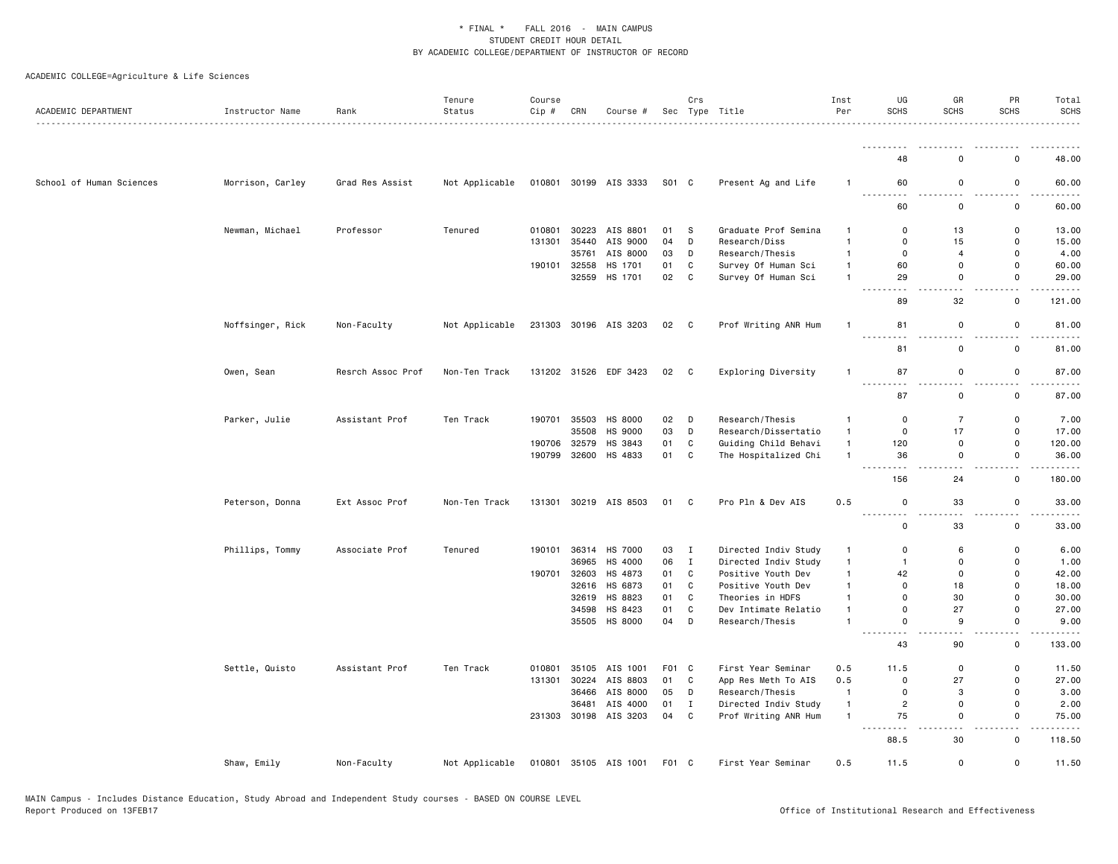| ACADEMIC DEPARTMENT      | Instructor Name<br>. | Rank              | Tenure<br>Status | Course<br>$Cip$ # | CRN   | Course #              |       | Crs          | Sec Type Title       | Inst<br>Per    | UG<br><b>SCHS</b>                                                                                                                    | GR<br><b>SCHS</b>            | PR<br><b>SCHS</b>                       | Total<br><b>SCHS</b>                                                                                                                                          |
|--------------------------|----------------------|-------------------|------------------|-------------------|-------|-----------------------|-------|--------------|----------------------|----------------|--------------------------------------------------------------------------------------------------------------------------------------|------------------------------|-----------------------------------------|---------------------------------------------------------------------------------------------------------------------------------------------------------------|
|                          |                      |                   |                  |                   |       |                       |       |              |                      |                |                                                                                                                                      |                              |                                         |                                                                                                                                                               |
|                          |                      |                   |                  |                   |       |                       |       |              |                      |                | 48                                                                                                                                   | $\Omega$                     | 0                                       | 48.00                                                                                                                                                         |
| School of Human Sciences | Morrison, Carley     | Grad Res Assist   | Not Applicable   |                   |       | 010801 30199 AIS 3333 | S01 C |              | Present Ag and Life  | $\mathbf{1}$   | 60<br>22222<br>د د د                                                                                                                 | $\mathsf 0$<br>$\sim$ $\sim$ | $\mathsf 0$<br>$\overline{\phantom{a}}$ | 60.00                                                                                                                                                         |
|                          |                      |                   |                  |                   |       |                       |       |              |                      |                | 60                                                                                                                                   | 0                            | $\mathsf{o}\,$                          | 60.00                                                                                                                                                         |
|                          | Newman, Michael      | Professor         | Tenured          | 010801            | 30223 | AIS 8801              | 01    | S            | Graduate Prof Semina | $\mathbf{1}$   | 0                                                                                                                                    | 13                           | 0                                       | 13.00                                                                                                                                                         |
|                          |                      |                   |                  | 131301            |       | 35440 AIS 9000        | 04    | D            | Research/Diss        | $\overline{1}$ | $\mathbf 0$                                                                                                                          | 15                           | 0                                       | 15.00                                                                                                                                                         |
|                          |                      |                   |                  |                   | 35761 | AIS 8000              | 03    | D            | Research/Thesis      | $\mathbf{1}$   | 0                                                                                                                                    | $\overline{4}$               | 0                                       | 4.00                                                                                                                                                          |
|                          |                      |                   |                  | 190101            | 32558 | HS 1701               | 01    | $\mathtt{C}$ | Survey Of Human Sci  | $\mathbf{1}$   | 60                                                                                                                                   | $\Omega$                     | $\Omega$                                | 60.00                                                                                                                                                         |
|                          |                      |                   |                  |                   |       | 32559 HS 1701         | 02    | C            | Survey Of Human Sci  | $\overline{1}$ | 29<br>$\sim$ $\sim$ $\sim$<br>.                                                                                                      | 0<br>$\sim$ $\sim$           | 0<br>$\sim$ $\sim$                      | 29.00                                                                                                                                                         |
|                          |                      |                   |                  |                   |       |                       |       |              |                      |                | 89                                                                                                                                   | 32                           | $\mathsf 0$                             | 121.00                                                                                                                                                        |
|                          | Noffsinger, Rick     | Non-Faculty       | Not Applicable   | 231303            |       | 30196 AIS 3203        | 02    | C            | Prof Writing ANR Hum | $\mathbf{1}$   | 81<br>$\sim$ $\sim$ $\sim$                                                                                                           | 0<br>$\sim$                  | 0<br>$\sim$ $\sim$                      | 81.00<br>$\frac{1}{2} \left( \frac{1}{2} \right) \left( \frac{1}{2} \right) \left( \frac{1}{2} \right) \left( \frac{1}{2} \right) \left( \frac{1}{2} \right)$ |
|                          |                      |                   |                  |                   |       |                       |       |              |                      |                | 81                                                                                                                                   | $\mathsf 0$                  | $\mathsf 0$                             | 81.00                                                                                                                                                         |
|                          | Owen, Sean           | Resrch Assoc Prof | Non-Ten Track    | 131202            |       | 31526 EDF 3423        | 02    | C            | Exploring Diversity  | $\overline{1}$ | 87                                                                                                                                   | 0                            | 0                                       | 87.00                                                                                                                                                         |
|                          |                      |                   |                  |                   |       |                       |       |              |                      |                | 87                                                                                                                                   | $\mathbf 0$                  | $\mathsf 0$                             | 87.00                                                                                                                                                         |
|                          | Parker, Julie        | Assistant Prof    | Ten Track        | 190701            |       | 35503 HS 8000         | 02    | D            | Research/Thesis      | $\mathbf{1}$   | 0                                                                                                                                    | $\overline{7}$               | 0                                       | 7.00                                                                                                                                                          |
|                          |                      |                   |                  |                   | 35508 | HS 9000               | 03    | D            | Research/Dissertatio | $\mathbf{1}$   | $\mathsf 0$                                                                                                                          | 17                           | $\mathsf 0$                             | 17.00                                                                                                                                                         |
|                          |                      |                   |                  | 190706            | 32579 | HS 3843               | 01    | $\mathtt{C}$ | Guiding Child Behavi | $\mathbf{1}$   | 120                                                                                                                                  | $\mathsf 0$                  | 0                                       | 120.00                                                                                                                                                        |
|                          |                      |                   |                  | 190799            | 32600 | HS 4833               | 01    | C            | The Hospitalized Chi | $\mathbf{1}$   | 36<br>.<br>$\frac{1}{2} \left( \frac{1}{2} \right) \left( \frac{1}{2} \right) \left( \frac{1}{2} \right) \left( \frac{1}{2} \right)$ | 0<br>$\sim$ $\sim$           | 0<br>$\overline{\phantom{a}}$           | 36.00                                                                                                                                                         |
|                          |                      |                   |                  |                   |       |                       |       |              |                      |                | 156                                                                                                                                  | 24                           | 0                                       | 180.00                                                                                                                                                        |
|                          | Peterson, Donna      | Ext Assoc Prof    | Non-Ten Track    | 131301            |       | 30219 AIS 8503        | 01    | C            | Pro Pln & Dev AIS    | 0.5            | $\mathsf 0$                                                                                                                          | 33                           | $\mathsf 0$                             | 33.00                                                                                                                                                         |
|                          |                      |                   |                  |                   |       |                       |       |              |                      |                | 0                                                                                                                                    | 33                           | 0                                       | 33.00                                                                                                                                                         |
|                          | Phillips, Tommy      | Associate Prof    | Tenured          | 190101            |       | 36314 HS 7000         | 03    | $\mathbf{I}$ | Directed Indiv Study | $\mathbf{1}$   | $\mathbf 0$                                                                                                                          | 6                            | $\mathbf 0$                             | 6.00                                                                                                                                                          |
|                          |                      |                   |                  |                   | 36965 | HS 4000               | 06    | $\mathbf{I}$ | Directed Indiv Study | $\overline{1}$ | $\mathbf{1}$                                                                                                                         | $\mathbf 0$                  | $\mathbf 0$                             | 1.00                                                                                                                                                          |
|                          |                      |                   |                  | 190701            | 32603 | HS 4873               | 01    | C            | Positive Youth Dev   | $\mathbf{1}$   | 42                                                                                                                                   | 0                            | 0                                       | 42.00                                                                                                                                                         |
|                          |                      |                   |                  |                   | 32616 | HS 6873               | 01    | $\mathbb{C}$ | Positive Youth Dev   | $\mathbf{1}$   | $\mathsf 0$                                                                                                                          | 18                           | 0                                       | 18.00                                                                                                                                                         |
|                          |                      |                   |                  |                   |       | 32619 HS 8823         | 01    | $\mathbb{C}$ | Theories in HDFS     | $\mathbf{1}$   | $\mathbf 0$                                                                                                                          | 30                           | 0                                       | 30.00                                                                                                                                                         |
|                          |                      |                   |                  |                   | 34598 | HS 8423               | 01    | $\mathbb{C}$ | Dev Intimate Relatio | $\overline{1}$ | $\mathbf 0$                                                                                                                          | 27                           | 0                                       | 27.00                                                                                                                                                         |
|                          |                      |                   |                  |                   |       | 35505 HS 8000         | 04    | D            | Research/Thesis      | $\mathbf{1}$   | 0<br>.<br>$  -$                                                                                                                      | 9<br>$\sim$ $\sim$           | 0<br>$\sim$                             | 9.00                                                                                                                                                          |
|                          |                      |                   |                  |                   |       |                       |       |              |                      |                | 43                                                                                                                                   | 90                           | $\mathsf 0$                             | 133.00                                                                                                                                                        |
|                          | Settle, Quisto       | Assistant Prof    | Ten Track        | 010801            |       | 35105 AIS 1001        | F01   | C            | First Year Seminar   | 0.5            | 11.5                                                                                                                                 | 0                            | 0                                       | 11.50                                                                                                                                                         |
|                          |                      |                   |                  | 131301            |       | 30224 AIS 8803        | 01    | C            | App Res Meth To AIS  | 0.5            | $\mathbf 0$                                                                                                                          | 27                           | 0                                       | 27.00                                                                                                                                                         |
|                          |                      |                   |                  |                   |       | 36466 AIS 8000        | 05    | D            | Research/Thesis      | $\overline{1}$ | $\mathbf 0$                                                                                                                          | 3                            | 0                                       | 3.00                                                                                                                                                          |
|                          |                      |                   |                  |                   | 36481 | AIS 4000              | 01    | $\mathbf{I}$ | Directed Indiv Study | $\mathbf{1}$   | $\overline{c}$                                                                                                                       | 0                            | 0                                       | 2.00                                                                                                                                                          |
|                          |                      |                   |                  | 231303            |       | 30198 AIS 3203        | 04    | $\mathtt{C}$ | Prof Writing ANR Hum | $\overline{1}$ | 75<br>$\sim$ $\sim$                                                                                                                  | $\mathsf 0$                  | $\mathsf 0$                             | 75.00                                                                                                                                                         |
|                          |                      |                   |                  |                   |       |                       |       |              |                      |                | 88.5                                                                                                                                 | 30                           | 0                                       | 118.50                                                                                                                                                        |
|                          | Shaw, Emily          | Non-Faculty       | Not Applicable   |                   |       | 010801 35105 AIS 1001 | F01 C |              | First Year Seminar   | 0.5            | 11.5                                                                                                                                 | 0                            | $\mathsf 0$                             | 11.50                                                                                                                                                         |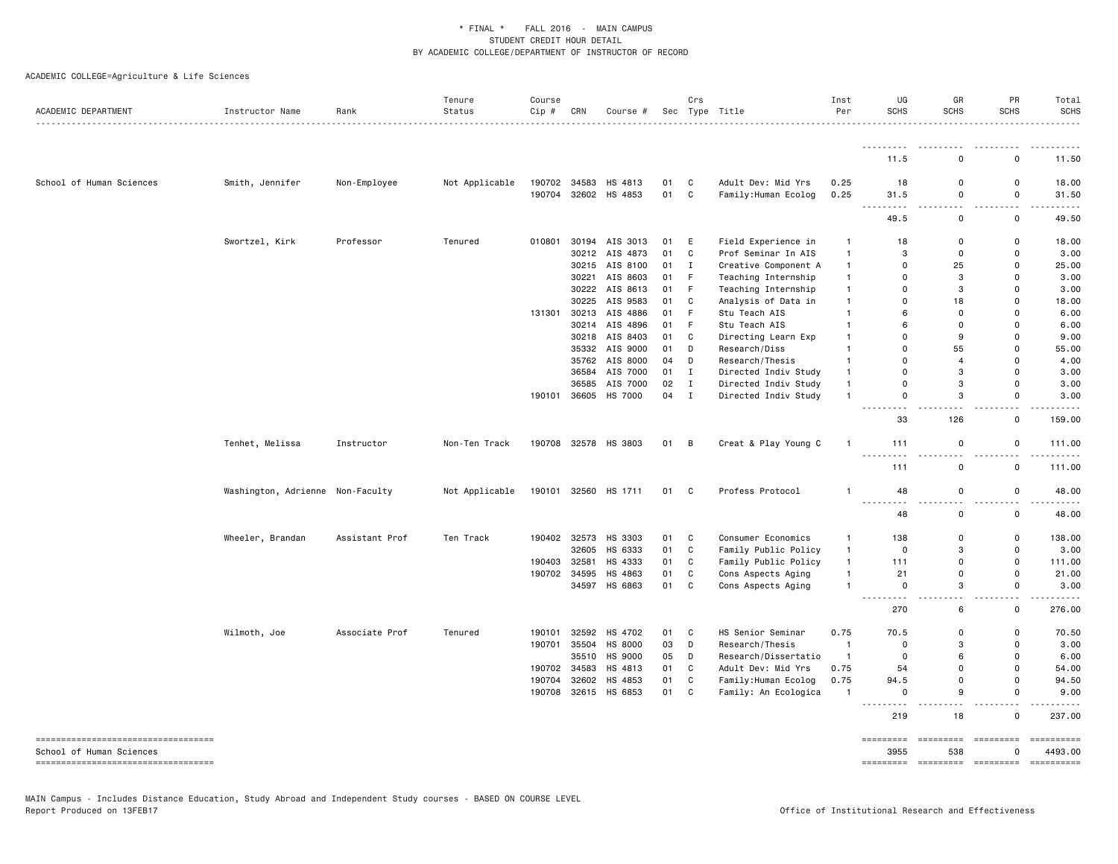| ACADEMIC DEPARTMENT                                            | Instructor Name                  | Rank           | Tenure<br>Status | Course<br>Cip # | CRN          | Course #       |    | Crs            | Sec Type Title       | Inst<br>Per  | UG<br>SCHS              | GR<br><b>SCHS</b>  | PR<br><b>SCHS</b>                                                                                                                                                                                                                                                                                                                                                                                                                                                                                                                                      | Total<br><b>SCHS</b>  |
|----------------------------------------------------------------|----------------------------------|----------------|------------------|-----------------|--------------|----------------|----|----------------|----------------------|--------------|-------------------------|--------------------|--------------------------------------------------------------------------------------------------------------------------------------------------------------------------------------------------------------------------------------------------------------------------------------------------------------------------------------------------------------------------------------------------------------------------------------------------------------------------------------------------------------------------------------------------------|-----------------------|
|                                                                |                                  |                |                  |                 |              |                |    |                |                      |              | <u>.</u>                |                    |                                                                                                                                                                                                                                                                                                                                                                                                                                                                                                                                                        |                       |
|                                                                |                                  |                |                  |                 |              |                |    |                |                      |              | 11.5                    | $\mathbf 0$        | 0                                                                                                                                                                                                                                                                                                                                                                                                                                                                                                                                                      | 11.50                 |
| School of Human Sciences                                       | Smith, Jennifer                  | Non-Employee   | Not Applicable   | 190702          | 34583        | HS 4813        | 01 | C              | Adult Dev: Mid Yrs   | 0.25         | 18                      | $\mathbf 0$        | 0                                                                                                                                                                                                                                                                                                                                                                                                                                                                                                                                                      | 18.00                 |
|                                                                |                                  |                |                  | 190704          |              | 32602 HS 4853  | 01 | $\mathbf{C}$   | Family: Human Ecolog | 0.25         | 31.5<br>$\overline{a}$  | 0<br>$\sim$ $\sim$ | 0<br>$\sim$ $\sim$                                                                                                                                                                                                                                                                                                                                                                                                                                                                                                                                     | 31.50<br>. <b>.</b>   |
|                                                                |                                  |                |                  |                 |              |                |    |                |                      |              | 49.5                    | 0                  | 0                                                                                                                                                                                                                                                                                                                                                                                                                                                                                                                                                      | 49.50                 |
|                                                                | Swortzel, Kirk                   | Professor      | Tenured          | 010801          | 30194        | AIS 3013       | 01 | Ε              | Field Experience in  | $\mathbf{1}$ | 18                      | $\mathbf 0$        | 0                                                                                                                                                                                                                                                                                                                                                                                                                                                                                                                                                      | 18.00                 |
|                                                                |                                  |                |                  |                 |              | 30212 AIS 4873 | 01 | $\mathtt{C}$   | Prof Seminar In AIS  | $\mathbf{1}$ | 3                       | $\mathbf 0$        | $\Omega$                                                                                                                                                                                                                                                                                                                                                                                                                                                                                                                                               | 3.00                  |
|                                                                |                                  |                |                  |                 |              | 30215 AIS 8100 | 01 | Ι.             | Creative Component A | $\mathbf{1}$ | 0                       | 25                 | $\mathbf 0$                                                                                                                                                                                                                                                                                                                                                                                                                                                                                                                                            | 25.00                 |
|                                                                |                                  |                |                  |                 | 30221        | AIS 8603       | 01 | $\mathsf F$    | Teaching Internship  | $\mathbf{1}$ | $\Omega$                | 3                  | 0                                                                                                                                                                                                                                                                                                                                                                                                                                                                                                                                                      | 3.00                  |
|                                                                |                                  |                |                  |                 | 30222        | AIS 8613       | 01 | F              | Teaching Internship  | $\mathbf{1}$ | 0                       | 3                  | 0                                                                                                                                                                                                                                                                                                                                                                                                                                                                                                                                                      | 3.00                  |
|                                                                |                                  |                |                  |                 | 30225        | AIS 9583       | 01 | C              | Analysis of Data in  | $\mathbf{1}$ | $\Omega$                | 18                 | $\Omega$                                                                                                                                                                                                                                                                                                                                                                                                                                                                                                                                               | 18.00                 |
|                                                                |                                  |                |                  | 131301          |              | 30213 AIS 4886 | 01 | F              | Stu Teach AIS        | $\mathbf{1}$ | 6                       | $\mathbf 0$        | $\Omega$                                                                                                                                                                                                                                                                                                                                                                                                                                                                                                                                               | 6.00                  |
|                                                                |                                  |                |                  |                 |              | 30214 AIS 4896 | 01 | $\mathsf F$    | Stu Teach AIS        | $\mathbf{1}$ | 6                       | $\mathbf 0$        | $\Omega$                                                                                                                                                                                                                                                                                                                                                                                                                                                                                                                                               | 6.00                  |
|                                                                |                                  |                |                  |                 |              | 30218 AIS 8403 | 01 | C              | Directing Learn Exp  | $\mathbf{1}$ | 0                       | 9                  | $\Omega$                                                                                                                                                                                                                                                                                                                                                                                                                                                                                                                                               | 9.00                  |
|                                                                |                                  |                |                  |                 |              | 35332 AIS 9000 | 01 | D              | Research/Diss        | $\mathbf{1}$ | $\Omega$                | 55                 | $\Omega$                                                                                                                                                                                                                                                                                                                                                                                                                                                                                                                                               | 55.00                 |
|                                                                |                                  |                |                  |                 |              | 35762 AIS 8000 | 04 | D              | Research/Thesis      | $\mathbf{1}$ | $\Omega$                | $\overline{4}$     | $\Omega$                                                                                                                                                                                                                                                                                                                                                                                                                                                                                                                                               | 4.00                  |
|                                                                |                                  |                |                  |                 | 36584        | AIS 7000       | 01 | $\mathbf I$    | Directed Indiv Study | $\mathbf{1}$ | $\Omega$                | 3                  | $\Omega$                                                                                                                                                                                                                                                                                                                                                                                                                                                                                                                                               | 3.00                  |
|                                                                |                                  |                |                  |                 | 36585        | AIS 7000       | 02 | $\mathbf I$    | Directed Indiv Study | $\mathbf{1}$ | 0                       | 3                  | 0                                                                                                                                                                                                                                                                                                                                                                                                                                                                                                                                                      | 3.00                  |
|                                                                |                                  |                |                  | 190101          | 36605        | HS 7000        | 04 | $\mathbf I$    | Directed Indiv Study | $\mathbf{1}$ | 0<br>.                  | 3<br>$\sim$ $\sim$ | 0<br>$\overline{a}$                                                                                                                                                                                                                                                                                                                                                                                                                                                                                                                                    | 3.00                  |
|                                                                |                                  |                |                  |                 |              |                |    |                |                      |              | 33                      | 126                | $\mathbf 0$                                                                                                                                                                                                                                                                                                                                                                                                                                                                                                                                            | 159.00                |
|                                                                | Tenhet, Melissa                  | Instructor     | Non-Ten Track    | 190708          | 32578        | HS 3803        | 01 | $\overline{B}$ | Creat & Play Young C | $\mathbf{1}$ | 111<br>.                | 0                  | 0                                                                                                                                                                                                                                                                                                                                                                                                                                                                                                                                                      | 111.00                |
|                                                                |                                  |                |                  |                 |              |                |    |                |                      |              | 111                     | 0                  | 0                                                                                                                                                                                                                                                                                                                                                                                                                                                                                                                                                      | 111.00                |
|                                                                | Washington, Adrienne Non-Faculty |                | Not Applicable   | 190101          | 32560        | HS 1711        | 01 | C              | Profess Protocol     | $\mathbf{1}$ | 48<br>----              | 0                  | 0                                                                                                                                                                                                                                                                                                                                                                                                                                                                                                                                                      | 48.00                 |
|                                                                |                                  |                |                  |                 |              |                |    |                |                      |              | 48                      | 0                  | 0                                                                                                                                                                                                                                                                                                                                                                                                                                                                                                                                                      | 48.00                 |
|                                                                | Wheeler, Brandan                 | Assistant Prof | Ten Track        |                 | 190402 32573 | HS 3303        | 01 | C              | Consumer Economics   | $\mathbf{1}$ | 138                     | 0                  | 0                                                                                                                                                                                                                                                                                                                                                                                                                                                                                                                                                      | 138.00                |
|                                                                |                                  |                |                  |                 | 32605        | HS 6333        | 01 | $\mathbb{C}$   | Family Public Policy | $\mathbf{1}$ | 0                       | 3                  | $\mathsf{o}$                                                                                                                                                                                                                                                                                                                                                                                                                                                                                                                                           | 3.00                  |
|                                                                |                                  |                |                  | 190403          | 32581        | HS 4333        | 01 | C              | Family Public Policy | $\mathbf{1}$ | 111                     | $\mathbf 0$        | 0                                                                                                                                                                                                                                                                                                                                                                                                                                                                                                                                                      | 111.00                |
|                                                                |                                  |                |                  | 190702          | 34595        | HS 4863        | 01 | $\mathbb{C}$   | Cons Aspects Aging   | $\mathbf{1}$ | 21                      | $\mathbf 0$        | $\Omega$                                                                                                                                                                                                                                                                                                                                                                                                                                                                                                                                               | 21.00                 |
|                                                                |                                  |                |                  |                 |              | 34597 HS 6863  | 01 | C              | Cons Aspects Aging   | $\mathbf{1}$ | $\mathbf 0$<br><u>.</u> | 3<br>$-$           | 0<br>$ -$                                                                                                                                                                                                                                                                                                                                                                                                                                                                                                                                              | 3.00<br>.             |
|                                                                |                                  |                |                  |                 |              |                |    |                |                      |              | 270                     | 6                  | 0                                                                                                                                                                                                                                                                                                                                                                                                                                                                                                                                                      | 276.00                |
|                                                                | Wilmoth, Joe                     | Associate Prof | Tenured          | 190101          |              | 32592 HS 4702  | 01 | C              | HS Senior Seminar    | 0.75         | 70.5                    | $\mathbf 0$        | 0                                                                                                                                                                                                                                                                                                                                                                                                                                                                                                                                                      | 70.50                 |
|                                                                |                                  |                |                  | 190701          | 35504        | HS 8000        | 03 | D              | Research/Thesis      | $\mathbf{1}$ | 0                       | 3                  | 0                                                                                                                                                                                                                                                                                                                                                                                                                                                                                                                                                      | 3.00                  |
|                                                                |                                  |                |                  |                 | 35510        | HS 9000        | 05 | D              | Research/Dissertatio | $\mathbf{1}$ | 0                       | 6                  | 0                                                                                                                                                                                                                                                                                                                                                                                                                                                                                                                                                      | 6.00                  |
|                                                                |                                  |                |                  | 190702          | 34583        | HS 4813        | 01 | $\mathbb{C}$   | Adult Dev: Mid Yrs   | 0.75         | 54                      | $\Omega$           | $\Omega$                                                                                                                                                                                                                                                                                                                                                                                                                                                                                                                                               | 54.00                 |
|                                                                |                                  |                |                  | 190704          | 32602        | HS 4853        | 01 | C              | Family: Human Ecolog | 0.75         | 94.5                    | $\mathbf 0$        | 0                                                                                                                                                                                                                                                                                                                                                                                                                                                                                                                                                      | 94.50                 |
|                                                                |                                  |                |                  | 190708          |              | 32615 HS 6853  | 01 | C              | Family: An Ecologica | $\mathbf{1}$ | 0<br>.<br><u>.</u>      | 9<br>$\sim$ $\sim$ | 0<br>$ -$                                                                                                                                                                                                                                                                                                                                                                                                                                                                                                                                              | 9.00                  |
|                                                                |                                  |                |                  |                 |              |                |    |                |                      |              | 219                     | 18                 | 0                                                                                                                                                                                                                                                                                                                                                                                                                                                                                                                                                      | 237.00                |
| ----------------------------------<br>School of Human Sciences |                                  |                |                  |                 |              |                |    |                |                      |              | =========<br>3955       | =========<br>538   | $\begin{array}{cccccccccc} \multicolumn{3}{c}{{\color{red}\boldsymbol{1}}} & \multicolumn{3}{c}{{\color{red}\boldsymbol{2}}} & \multicolumn{3}{c}{{\color{red}\boldsymbol{3}}} & \multicolumn{3}{c}{{\color{red}\boldsymbol{4}}} & \multicolumn{3}{c}{{\color{red}\boldsymbol{5}}} & \multicolumn{3}{c}{{\color{red}\boldsymbol{5}}} & \multicolumn{3}{c}{{\color{red}\boldsymbol{6}}} & \multicolumn{3}{c}{{\color{red}\boldsymbol{6}}} & \multicolumn{3}{c}{{\color{red}\boldsymbol{6}}} & \multicolumn{3}{c}{{\color{red}\boldsymbol{6}}} & \$<br>O | ==========<br>4493.00 |
| -------------------------------------                          |                                  |                |                  |                 |              |                |    |                |                      |              | $=$ ========            | =========          | <b>ESSESSES</b>                                                                                                                                                                                                                                                                                                                                                                                                                                                                                                                                        | ==========            |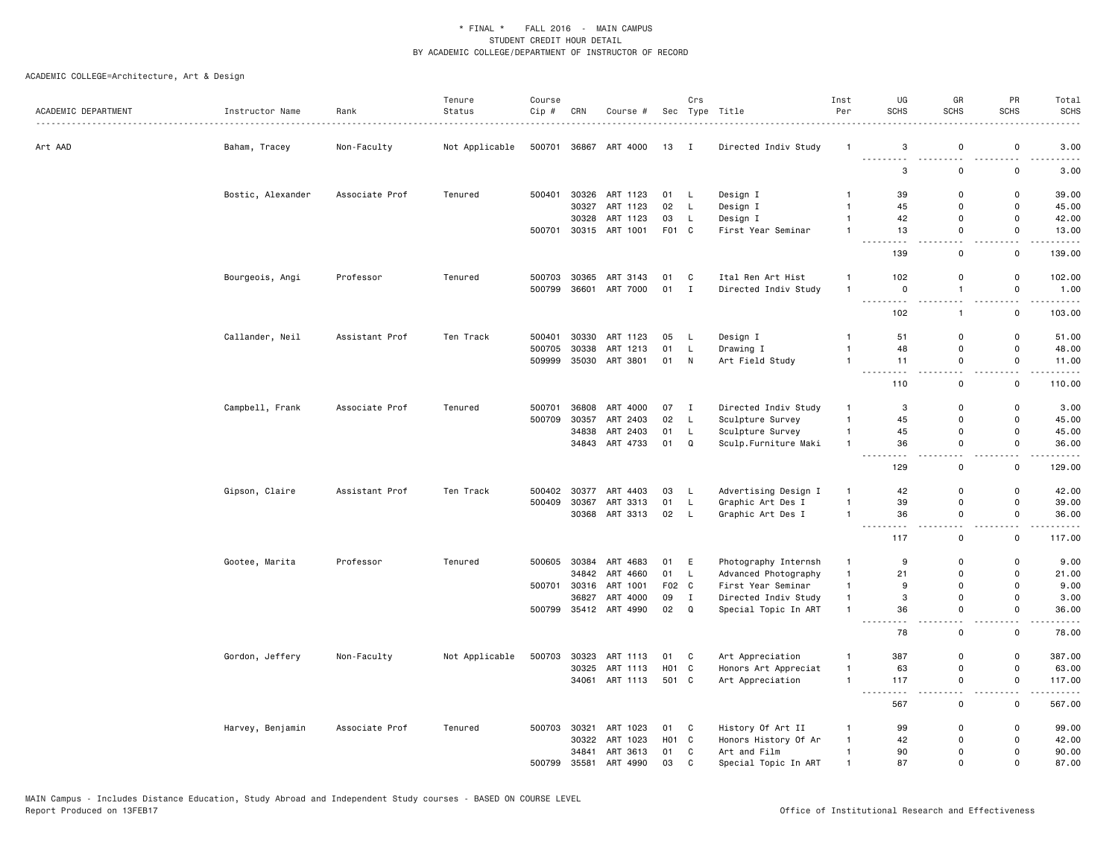| ACADEMIC DEPARTMENT | Instructor Name   | Rank<br>.      | Tenure<br>Status | Course<br>Cip # | CRN   | Course #       |                  | Crs          | Sec Type Title       | Inst<br>Per  | UG<br><b>SCHS</b> | GR<br><b>SCHS</b>     | PR<br><b>SCHS</b>  | Total<br><b>SCHS</b><br>$\frac{1}{2} \left( \frac{1}{2} \right) \left( \frac{1}{2} \right) \left( \frac{1}{2} \right) \left( \frac{1}{2} \right)$ |
|---------------------|-------------------|----------------|------------------|-----------------|-------|----------------|------------------|--------------|----------------------|--------------|-------------------|-----------------------|--------------------|---------------------------------------------------------------------------------------------------------------------------------------------------|
| Art AAD             | Baham, Tracey     | Non-Faculty    | Not Applicable   | 500701          | 36867 | ART 4000       | 13 I             |              | Directed Indiv Study | $\mathbf{1}$ | 3                 | 0                     | 0                  | 3.00                                                                                                                                              |
|                     |                   |                |                  |                 |       |                |                  |              |                      |              | .<br>3            | . <b>.</b><br>0       | 0                  | 3.00                                                                                                                                              |
|                     | Bostic, Alexander | Associate Prof | Tenured          | 500401          | 30326 | ART 1123       | 01               | L.           | Design I             | -1           | 39                | 0                     | 0                  | 39.00                                                                                                                                             |
|                     |                   |                |                  |                 | 30327 | ART 1123       | 02               | L            | Design I             | $\mathbf{1}$ | 45                | 0                     | 0                  | 45.00                                                                                                                                             |
|                     |                   |                |                  |                 | 30328 | ART 1123       | 03               | L            | Design I             | $\mathbf{1}$ | 42                | 0                     | 0                  | 42.00                                                                                                                                             |
|                     |                   |                |                  | 500701          |       | 30315 ART 1001 | F01 C            |              | First Year Seminar   | $\mathbf{1}$ | 13                | $\mathsf 0$<br>$\sim$ | 0<br>$-$           | 13.00<br>$    -$                                                                                                                                  |
|                     |                   |                |                  |                 |       |                |                  |              |                      |              | 139               | $\mathbf 0$           | 0                  | 139.00                                                                                                                                            |
|                     | Bourgeois, Angi   | Professor      | Tenured          | 500703          | 30365 | ART 3143       | 01               | C            | Ital Ren Art Hist    | $\mathbf{1}$ | 102               | 0                     | 0                  | 102.00                                                                                                                                            |
|                     |                   |                |                  | 500799          | 36601 | ART 7000       | 01               | $\mathbf{I}$ | Directed Indiv Study | $\mathbf{1}$ | $\mathbf 0$       | $\mathbf{1}$          | 0                  | 1.00                                                                                                                                              |
|                     |                   |                |                  |                 |       |                |                  |              |                      |              | 102               | $\mathbf{1}$          | 0                  | 103.00                                                                                                                                            |
|                     | Callander, Neil   | Assistant Prof | Ten Track        | 500401          | 30330 | ART 1123       | 05               | L            | Design I             | -1           | 51                | $\mathbf 0$           | $\mathsf{o}$       | 51.00                                                                                                                                             |
|                     |                   |                |                  | 500705          | 30338 | ART 1213       | 01               | L            | Drawing I            | $\mathbf{1}$ | 48                | $\mathsf 0$           | 0                  | 48.00                                                                                                                                             |
|                     |                   |                |                  | 509999          | 35030 | ART 3801       | 01               | N            | Art Field Study      | $\mathbf{1}$ | 11                | 0<br>$\sim$ $\sim$    | 0<br>$ -$          | 11.00<br>.                                                                                                                                        |
|                     |                   |                |                  |                 |       |                |                  |              |                      |              | 110               | $\mathsf 0$           | $\mathsf 0$        | 110.00                                                                                                                                            |
|                     | Campbell, Frank   | Associate Prof | Tenured          | 500701          | 36808 | ART 4000       | 07 I             |              | Directed Indiv Study | $\mathbf{1}$ | 3                 | $\mathbf 0$           | 0                  | 3.00                                                                                                                                              |
|                     |                   |                |                  | 500709          | 30357 | ART 2403       | 02               | L            | Sculpture Survey     | $\mathbf{1}$ | 45                | 0                     | $\mathsf{o}\,$     | 45.00                                                                                                                                             |
|                     |                   |                |                  |                 | 34838 | ART 2403       | 01               | L            | Sculpture Survey     | $\mathbf{1}$ | 45                | $\mathsf 0$           | 0                  | 45.00                                                                                                                                             |
|                     |                   |                |                  |                 |       | 34843 ART 4733 | 01               | Q            | Sculp.Furniture Maki | $\mathbf{1}$ | 36                | 0                     | 0                  | 36.00                                                                                                                                             |
|                     |                   |                |                  |                 |       |                |                  |              |                      |              | 129               | 0                     | 0                  | 129.00                                                                                                                                            |
|                     | Gipson, Claire    | Assistant Prof | Ten Track        | 500402          | 30377 | ART 4403       | 03               | L,           | Advertising Design I | $\mathbf{1}$ | 42                | 0                     | 0                  | 42.00                                                                                                                                             |
|                     |                   |                |                  | 500409          | 30367 | ART 3313       | 01               | L            | Graphic Art Des I    | $\mathbf{1}$ | 39                | $\mathbf 0$           | 0                  | 39.00                                                                                                                                             |
|                     |                   |                |                  |                 | 30368 | ART 3313       | 02               | L            | Graphic Art Des I    | $\mathbf{1}$ | 36                | $\mathbf 0$           | 0<br>$\sim$ $\sim$ | 36.00<br>$    -$                                                                                                                                  |
|                     |                   |                |                  |                 |       |                |                  |              |                      |              | 117               | $\mathbf 0$           | 0                  | 117.00                                                                                                                                            |
|                     | Gootee, Marita    | Professor      | Tenured          | 500605          | 30384 | ART 4683       | 01               | E            | Photography Internsh | -1           | 9                 | 0                     | 0                  | 9.00                                                                                                                                              |
|                     |                   |                |                  |                 | 34842 | ART 4660       | 01               | L            | Advanced Photography | $\mathbf{1}$ | 21                | $\mathsf 0$           | 0                  | 21.00                                                                                                                                             |
|                     |                   |                |                  | 500701          | 30316 | ART 1001       | F02 C            |              | First Year Seminar   | $\mathbf{1}$ | 9                 | $\mathbf 0$           | 0                  | 9.00                                                                                                                                              |
|                     |                   |                |                  |                 | 36827 | ART 4000       | 09               | I            | Directed Indiv Study | $\mathbf{1}$ | 3                 | 0                     | 0                  | 3.00                                                                                                                                              |
|                     |                   |                |                  | 500799          |       | 35412 ART 4990 | 02               | Q            | Special Topic In ART | $\mathbf{1}$ | 36                | 0<br>- -              | 0<br>$\sim$ $\sim$ | 36.00<br>$- - - - -$                                                                                                                              |
|                     |                   |                |                  |                 |       |                |                  |              |                      |              | 78                | 0                     | 0                  | 78.00                                                                                                                                             |
|                     | Gordon, Jeffery   | Non-Faculty    | Not Applicable   | 500703          | 30323 | ART 1113       | 01               | C            | Art Appreciation     | -1           | 387               | $\mathbf 0$           | 0                  | 387.00                                                                                                                                            |
|                     |                   |                |                  |                 | 30325 | ART 1113       | H <sub>0</sub> 1 | C            | Honors Art Appreciat | $\mathbf{1}$ | 63                | $\mathsf 0$           | $\mathsf 0$        | 63.00                                                                                                                                             |
|                     |                   |                |                  |                 |       | 34061 ART 1113 | 501 C            |              | Art Appreciation     | $\mathbf{1}$ | 117               | $\mathsf 0$           | $\mathsf 0$        | 117.00<br>-----                                                                                                                                   |
|                     |                   |                |                  |                 |       |                |                  |              |                      |              | 567               | $\mathsf 0$           | 0                  | 567.00                                                                                                                                            |
|                     | Harvey, Benjamin  | Associate Prof | Tenured          | 500703          | 30321 | ART 1023       | 01               | C            | History Of Art II    | $\mathbf{1}$ | 99                | 0                     | 0                  | 99.00                                                                                                                                             |
|                     |                   |                |                  |                 | 30322 | ART 1023       | H01 C            |              | Honors History Of Ar | $\mathbf{1}$ | 42                | 0                     | 0                  | 42.00                                                                                                                                             |
|                     |                   |                |                  |                 | 34841 | ART 3613       | 01               | C            | Art and Film         | $\mathbf{1}$ | 90                | $\mathbf 0$           | 0                  | 90.00                                                                                                                                             |
|                     |                   |                |                  | 500799          | 35581 | ART 4990       | 03               | $\mathbf{C}$ | Special Topic In ART | $\mathbf{1}$ | 87                | $\mathbf{0}$          | $\Omega$           | 87.00                                                                                                                                             |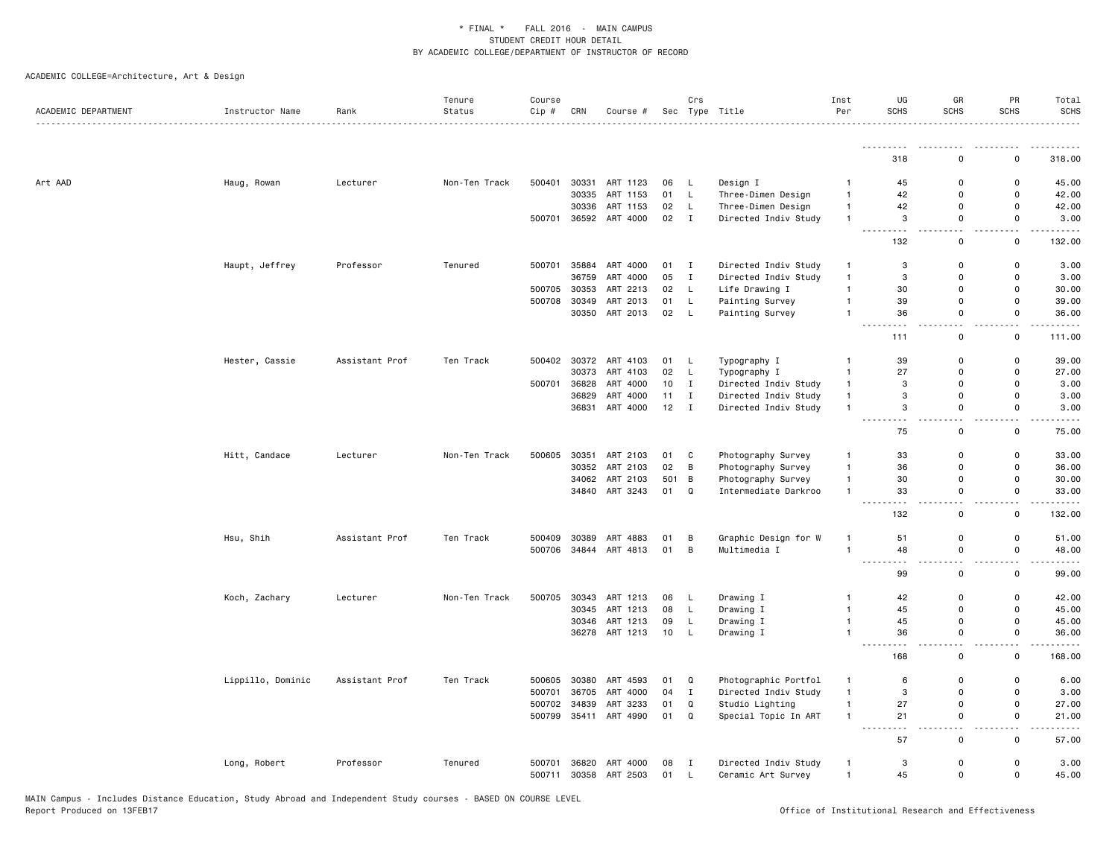| ACADEMIC DEPARTMENT | Instructor Name   | Rank           | Tenure<br>Status | Course<br>Cip# | CRN   | Course #       |                 | Crs          | Sec Type Title       | Inst<br>Per    | UG<br><b>SCHS</b>                                    | GR<br><b>SCHS</b>            | PR<br>SCHS                              | Total<br><b>SCHS</b> |
|---------------------|-------------------|----------------|------------------|----------------|-------|----------------|-----------------|--------------|----------------------|----------------|------------------------------------------------------|------------------------------|-----------------------------------------|----------------------|
|                     |                   |                |                  |                |       |                |                 |              |                      |                | <u>.</u>                                             |                              |                                         |                      |
|                     |                   |                |                  |                |       |                |                 |              |                      |                | 318                                                  | $\Omega$                     | 0                                       | 318.00               |
| Art AAD             | Haug, Rowan       | Lecturer       | Non-Ten Track    | 500401         | 30331 | ART 1123       | 06              | L            | Design I             | $\mathbf{1}$   | 45                                                   | 0                            | $\mathsf 0$                             | 45.00                |
|                     |                   |                |                  |                | 30335 | ART 1153       | 01              | L            | Three-Dimen Design   | $\mathbf{1}$   | 42                                                   | $\Omega$                     | 0                                       | 42.00                |
|                     |                   |                |                  |                | 30336 | ART 1153       | 02              | L            | Three-Dimen Design   | $\mathbf{1}$   | 42                                                   | 0                            | 0                                       | 42.00                |
|                     |                   |                |                  | 500701         |       | 36592 ART 4000 | 02              | $\mathbf I$  | Directed Indiv Study | $\mathbf{1}$   | 3<br>.                                               | 0<br>$\sim$ $\sim$           | 0<br>$\sim$ $\sim$                      | 3.00<br>.            |
|                     |                   |                |                  |                |       |                |                 |              |                      |                | 132                                                  | $\mathsf 0$                  | $\mathsf 0$                             | 132.00               |
|                     | Haupt, Jeffrey    | Professor      | Tenured          | 500701         | 35884 | ART 4000       | 01              | $\mathbf{I}$ | Directed Indiv Study | $\overline{1}$ | $\ensuremath{\mathsf{3}}$                            | $\mathsf 0$                  | $\mathsf 0$                             | 3.00                 |
|                     |                   |                |                  |                | 36759 | ART 4000       | 05              | $\mathbf I$  | Directed Indiv Study | $\overline{1}$ | 3                                                    | $\Omega$                     | $\mathbf 0$                             | 3.00                 |
|                     |                   |                |                  | 500705         | 30353 | ART 2213       | 02              | L            | Life Drawing I       | $\mathbf{1}$   | 30                                                   | 0                            | $\mathbf 0$                             | 30.00                |
|                     |                   |                |                  | 500708         | 30349 | ART 2013       | 01              | L            | Painting Survey      | $\mathbf{1}$   | 39                                                   | $\mathbf 0$                  | $\Omega$                                | 39.00                |
|                     |                   |                |                  |                |       | 30350 ART 2013 | 02              | $\mathsf{L}$ | Painting Survey      | $\mathbf{1}$   | 36                                                   | $\mathbf 0$                  | $\Omega$                                | 36.00                |
|                     |                   |                |                  |                |       |                |                 |              |                      |                | .<br>$\frac{1}{2} \left( \frac{1}{2} \right)$<br>111 | $\sim$ $\sim$<br>$\mathbf 0$ | $\overline{\phantom{a}}$<br>$\mathbf 0$ | 111.00               |
|                     | Hester, Cassie    | Assistant Prof | Ten Track        | 500402         |       | 30372 ART 4103 | 01              | L            | Typography I         | -1             | 39                                                   | $\mathbf 0$                  | 0                                       | 39.00                |
|                     |                   |                |                  |                | 30373 | ART 4103       | 02              | L            | Typography I         | $\mathbf{1}$   | 27                                                   | 0                            | 0                                       | 27.00                |
|                     |                   |                |                  | 500701         | 36828 | ART 4000       | 10              | $\mathbf{I}$ | Directed Indiv Study | $\mathbf{1}$   | 3                                                    | 0                            | $\mathbf 0$                             | 3.00                 |
|                     |                   |                |                  |                | 36829 | ART 4000       | 11              | I            | Directed Indiv Study | $\mathbf{1}$   | 3                                                    | 0                            | $\mathsf 0$                             | 3.00                 |
|                     |                   |                |                  |                |       | 36831 ART 4000 | 12              | $\mathbf{I}$ | Directed Indiv Study | $\overline{1}$ | 3                                                    | $\mathsf 0$                  | $\mathsf 0$                             | 3.00                 |
|                     |                   |                |                  |                |       |                |                 |              |                      |                | .<br>75                                              | $\mathsf 0$                  | $\mathsf 0$                             | 75.00                |
|                     | Hitt, Candace     | Lecturer       | Non-Ten Track    | 500605         |       | 30351 ART 2103 | 01              | C            | Photography Survey   | $\mathbf{1}$   | 33                                                   | $\mathbf 0$                  | $\mathbf 0$                             | 33.00                |
|                     |                   |                |                  |                |       | 30352 ART 2103 | 02              | B            | Photography Survey   | $\overline{1}$ | 36                                                   | $\mathbf 0$                  | $\mathbf 0$                             | 36.00                |
|                     |                   |                |                  |                | 34062 | ART 2103       | 501             | В            | Photography Survey   | $\mathbf{1}$   | 30                                                   | 0                            | 0                                       | 30.00                |
|                     |                   |                |                  |                |       | 34840 ART 3243 | 01              | Q            | Intermediate Darkroo | $\mathbf{1}$   | 33<br>$\sim$ $\sim$                                  | $\mathbf 0$<br>ц.            | $\mathbf 0$<br>$\overline{\phantom{a}}$ | 33.00                |
|                     |                   |                |                  |                |       |                |                 |              |                      |                | 132                                                  | 0                            | 0                                       | 132.00               |
|                     | Hsu, Shih         | Assistant Prof | Ten Track        | 500409         | 30389 | ART 4883       | 01              | B            | Graphic Design for W | $\overline{1}$ | 51                                                   | $\mathbf 0$                  | 0                                       | 51.00                |
|                     |                   |                |                  | 500706         |       | 34844 ART 4813 | 01              | B            | Multimedia I         | $\mathbf{1}$   | 48                                                   | 0                            | 0                                       | 48.00                |
|                     |                   |                |                  |                |       |                |                 |              |                      |                | .<br>---                                             | $\sim$ $\sim$                | $-$                                     | $\frac{1}{2}$        |
|                     |                   |                |                  |                |       |                |                 |              |                      |                | 99                                                   | $\mathsf 0$                  | $\mathsf 0$                             | 99.00                |
|                     | Koch, Zachary     | Lecturer       | Non-Ten Track    | 500705         | 30343 | ART 1213       | 06              | L            | Drawing I            | $\mathbf{1}$   | 42                                                   | $\mathbf 0$                  | $\mathbf 0$                             | 42.00                |
|                     |                   |                |                  |                | 30345 | ART 1213       | 08              | $\mathsf{L}$ | Drawing I            | $\mathbf{1}$   | 45                                                   | $\Omega$                     | $\Omega$                                | 45.00                |
|                     |                   |                |                  |                |       | 30346 ART 1213 | 09              | L            | Drawing I            | $\overline{1}$ | 45                                                   | $\mathbf 0$                  | $\Omega$                                | 45.00                |
|                     |                   |                |                  |                |       | 36278 ART 1213 | 10 <sup>1</sup> | L.           | Drawing I            | $\mathbf{1}$   | 36<br>-----<br>.                                     | $\mathbf 0$<br>$\sim$ $\sim$ | $\mathbf 0$<br>$\sim$ $\sim$            | 36.00                |
|                     |                   |                |                  |                |       |                |                 |              |                      |                | 168                                                  | $\mathbf 0$                  | $\mathsf 0$                             | 168.00               |
|                     | Lippillo, Dominic | Assistant Prof | Ten Track        | 500605         |       | 30380 ART 4593 | 01              | Q            | Photographic Portfol | $\overline{1}$ | 6                                                    | 0                            | $\mathsf 0$                             | 6.00                 |
|                     |                   |                |                  | 500701         | 36705 | ART 4000       | 04              | $\mathbf I$  | Directed Indiv Study | $\mathbf{1}$   | 3                                                    | 0                            | 0                                       | 3.00                 |
|                     |                   |                |                  | 500702         | 34839 | ART 3233       | 01              | Q            | Studio Lighting      | $\mathbf{1}$   | 27                                                   | 0                            | 0                                       | 27.00                |
|                     |                   |                |                  | 500799         |       | 35411 ART 4990 | 01              | Q            | Special Topic In ART | $\mathbf{1}$   | 21<br>$\sim$ $\sim$                                  | 0<br>$ -$                    | 0<br>$-$                                | 21.00                |
|                     |                   |                |                  |                |       |                |                 |              |                      |                | 57                                                   | $\mathsf 0$                  | $\mathsf 0$                             | 57.00                |
|                     | Long, Robert      | Professor      | Tenured          | 500701         |       | 36820 ART 4000 | 08              | Ι            | Directed Indiv Study | $\overline{1}$ | 3                                                    | $\mathsf 0$                  | $\mathsf 0$                             | 3.00                 |
|                     |                   |                |                  | 500711         | 30358 | ART 2503       | 01              | L            | Ceramic Art Survey   | $\mathbf{1}$   | 45                                                   | $\mathbf 0$                  | $\mathbf 0$                             | 45.00                |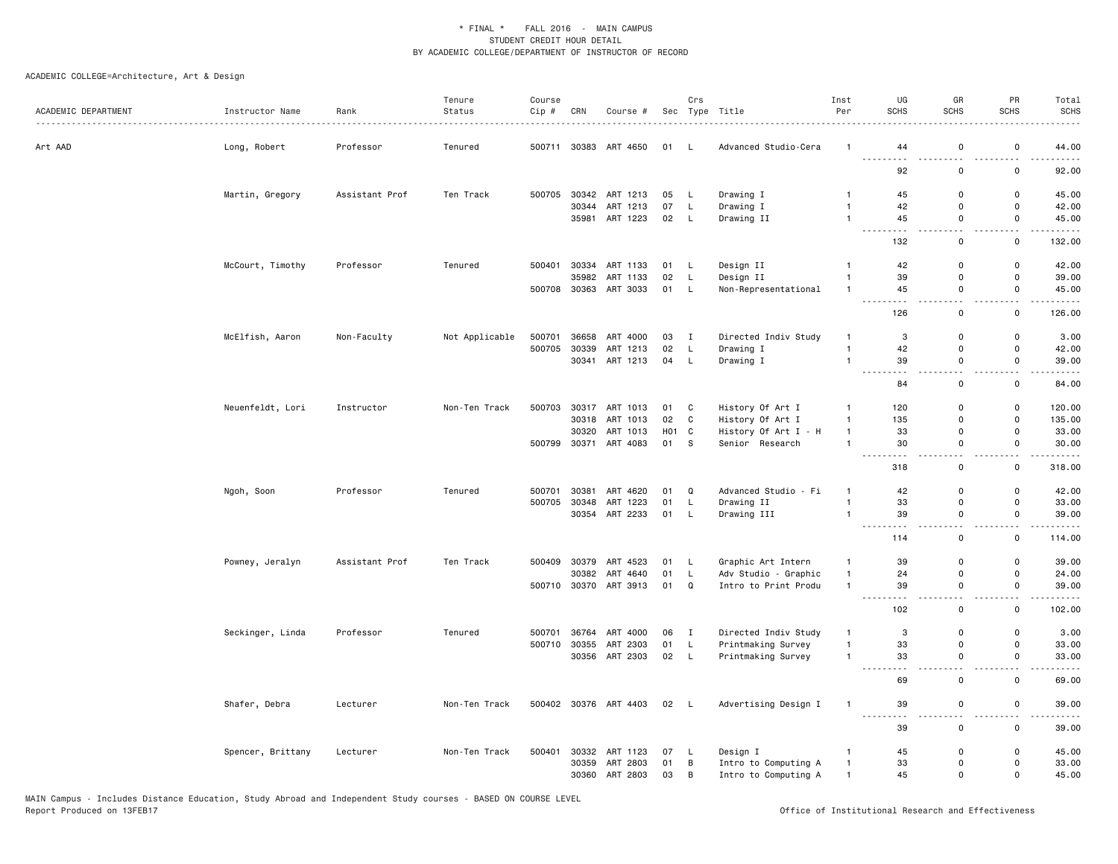| ACADEMIC DEPARTMENT | Instructor Name   | Rank           | Tenure<br>Status | Course<br>Cip # | CRN            | Course #              |                  | Crs            | Sec Type Title          | Inst<br>Per                  | UG<br><b>SCHS</b>    | GR<br><b>SCHS</b>        | PR<br><b>SCHS</b>            | Total<br><b>SCHS</b> |
|---------------------|-------------------|----------------|------------------|-----------------|----------------|-----------------------|------------------|----------------|-------------------------|------------------------------|----------------------|--------------------------|------------------------------|----------------------|
| Art AAD             | Long, Robert      | Professor      | Tenured          |                 |                | 500711 30383 ART 4650 | 01 L             |                | Advanced Studio-Cera    | -1                           | 44                   | $\mathbf 0$              | $\mathsf 0$                  | 44.00                |
|                     |                   |                |                  |                 |                |                       |                  |                |                         |                              | -----<br>د د د<br>92 | $\sim$ $\sim$<br>0       | 0                            | 92.00                |
|                     | Martin, Gregory   | Assistant Prof | Ten Track        | 500705          |                | 30342 ART 1213        | 05               | L              | Drawing I               | $\mathbf{1}$                 | 45                   | $\Omega$                 | $\mathbf 0$                  | 45.00                |
|                     |                   |                |                  |                 | 30344<br>35981 | ART 1213<br>ART 1223  | 07<br>02         | L<br>L         | Drawing I<br>Drawing II | $\mathbf{1}$<br>$\mathbf{1}$ | 42<br>45             | $\mathbf 0$<br>0         | 0<br>0                       | 42.00<br>45.00       |
|                     |                   |                |                  |                 |                |                       |                  |                |                         |                              | .<br>132             | $-1$<br>$\mathbf 0$      | $\sim$ $\sim$<br>$\mathsf 0$ | .<br>132.00          |
|                     |                   |                |                  |                 | 30334          |                       |                  |                |                         | $\mathbf{1}$                 |                      | 0                        | $\mathsf 0$                  |                      |
|                     | McCourt, Timothy  | Professor      | Tenured          | 500401          | 35982          | ART 1133<br>ART 1133  | 01<br>02         | L<br>L         | Design II<br>Design II  | $\mathbf{1}$                 | 42<br>39             | 0                        | $\mathsf 0$                  | 42.00<br>39.00       |
|                     |                   |                |                  |                 |                | 500708 30363 ART 3033 | 01 L             |                |                         | $\mathbf{1}$                 | 45                   | 0                        | $\mathsf 0$                  | 45.00                |
|                     |                   |                |                  |                 |                |                       |                  |                | Non-Representational    |                              |                      | $\overline{\phantom{0}}$ | 22                           |                      |
|                     |                   |                |                  |                 |                |                       |                  |                |                         |                              | 126                  | $\mathsf 0$              | $\mathsf{o}$                 | 126.00               |
|                     | McElfish, Aaron   | Non-Faculty    | Not Applicable   | 500701          | 36658          | ART 4000              | 03               | $\mathbf{I}$   | Directed Indiv Study    | $\mathbf{1}$                 | 3                    | 0                        | $\mathbf 0$                  | 3.00                 |
|                     |                   |                |                  | 500705          | 30339          | ART 1213              | 02               | L              | Drawing I               | $\mathbf{1}$                 | 42                   | 0                        | $\mathsf 0$                  | 42.00                |
|                     |                   |                |                  |                 |                | 30341 ART 1213        | 04               | L              | Drawing I               | $\mathbf{1}$                 | 39                   | 0                        | 0                            | 39.00                |
|                     |                   |                |                  |                 |                |                       |                  |                |                         |                              | 84                   | $\mathsf 0$              | $\mathsf 0$                  | 84.00                |
|                     | Neuenfeldt, Lori  | Instructor     | Non-Ten Track    | 500703          |                | 30317 ART 1013        | 01               | C              | History Of Art I        | $\mathbf{1}$                 | 120                  | 0                        | $\mathbf 0$                  | 120.00               |
|                     |                   |                |                  |                 |                | 30318 ART 1013        | 02               | C              | History Of Art I        | $\mathbf{1}$                 | 135                  | 0                        | 0                            | 135.00               |
|                     |                   |                |                  |                 | 30320          | ART 1013              | H <sub>0</sub> 1 | C              | History Of Art I - H    | $\mathbf{1}$                 | 33                   | 0                        | $\mathsf 0$                  | 33.00                |
|                     |                   |                |                  | 500799          | 30371          | ART 4083              | 01               | S.             | Senior Research         | $\mathbf{1}$                 | 30<br>$\sim$ $\sim$  | 0<br>$\sim$ $\sim$       | $\mathsf 0$<br>. .           | 30.00                |
|                     |                   |                |                  |                 |                |                       |                  |                |                         |                              | 318                  | 0                        | $\mathbf 0$                  | 318.00               |
|                     | Ngoh, Soon        | Professor      | Tenured          | 500701          | 30381          | ART 4620              | 01               | Q              | Advanced Studio - Fi    | $\mathbf{1}$                 | 42                   | $\mathsf{o}$             | $\mathbf 0$                  | 42.00                |
|                     |                   |                |                  | 500705          | 30348          | ART 1223              | 01               | L              | Drawing II              | $\overline{1}$               | 33                   | $\mathsf{o}$             | $\mathsf 0$                  | 33.00                |
|                     |                   |                |                  |                 |                | 30354 ART 2233        | 01               | L              | Drawing III             | $\mathbf{1}$                 | 39<br>- - -          | 0<br>$\sim$ $\sim$       | $\mathsf 0$<br>22            | 39.00<br>-----       |
|                     |                   |                |                  |                 |                |                       |                  |                |                         |                              | 114                  | $\mathsf 0$              | $\mathsf 0$                  | 114.00               |
|                     | Powney, Jeralyn   | Assistant Prof | Ten Track        | 500409          | 30379          | ART 4523              | 01               | L              | Graphic Art Intern      | $\mathbf{1}$                 | 39                   | $\mathbf 0$              | 0                            | 39.00                |
|                     |                   |                |                  |                 | 30382          | ART 4640              | 01               | L              | Adv Studio - Graphic    | $\mathbf{1}$                 | 24                   | 0                        | $\mathbf 0$                  | 24.00                |
|                     |                   |                |                  |                 |                | 500710 30370 ART 3913 | 01 Q             |                | Intro to Print Produ    | $\mathbf{1}$                 | 39<br>$- - -$<br>.   | 0<br>$\sim$ $\sim$       | $\mathsf 0$<br>$\sim$ $\sim$ | 39.00<br>.           |
|                     |                   |                |                  |                 |                |                       |                  |                |                         |                              | 102                  | $\mathsf 0$              | $\mathsf{o}$                 | 102.00               |
|                     | Seckinger, Linda  | Professor      | Tenured          | 500701          | 36764          | ART 4000              | 06               | $\blacksquare$ | Directed Indiv Study    | $\mathbf{1}$                 | 3                    | 0                        | $\mathsf 0$                  | 3.00                 |
|                     |                   |                |                  | 500710          | 30355          | ART 2303              | 01               | L              | Printmaking Survey      | $\mathbf{1}$                 | 33                   | 0                        | 0                            | 33.00                |
|                     |                   |                |                  |                 |                | 30356 ART 2303        | 02 L             |                | Printmaking Survey      | $\mathbf{1}$                 | 33<br>$ -$<br>.      | 0<br>$\sim$ $\sim$       | 0<br>- -                     | 33.00<br>.           |
|                     |                   |                |                  |                 |                |                       |                  |                |                         |                              | 69                   | $\mathbf 0$              | $\mathsf 0$                  | 69.00                |
|                     | Shafer, Debra     | Lecturer       | Non-Ten Track    |                 |                | 500402 30376 ART 4403 | 02 L             |                | Advertising Design I    | $\mathbf{1}$                 | 39<br>$- - -$<br>.   | $\mathbf 0$<br>. .       | $\mathsf 0$<br>. .           | 39.00                |
|                     |                   |                |                  |                 |                |                       |                  |                |                         |                              | 39                   | 0                        | $\mathbf 0$                  | 39.00                |
|                     | Spencer, Brittany | Lecturer       | Non-Ten Track    | 500401          |                | 30332 ART 1123        | 07               | L.             | Design I                | $\mathbf{1}$                 | 45                   | 0                        | 0                            | 45.00                |
|                     |                   |                |                  |                 |                | 30359 ART 2803        | 01               | В              | Intro to Computing A    | $\mathbf{1}$                 | 33                   | $\Omega$                 | $\mathbf 0$                  | 33.00                |
|                     |                   |                |                  |                 |                | 30360 ART 2803        | 03               | B              | Intro to Computing A    | $\mathbf{1}$                 | 45                   | $\mathbf 0$              | $\mathsf 0$                  | 45.00                |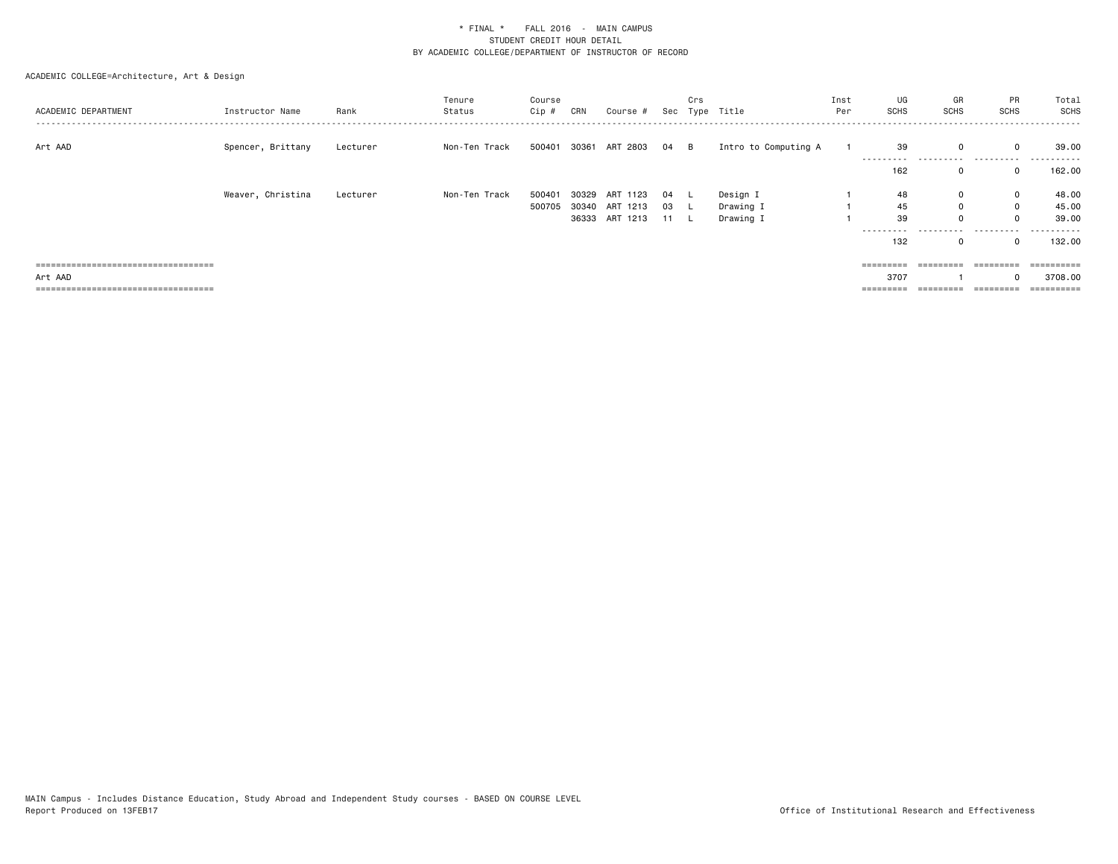| ACADEMIC DEPARTMENT                   | Instructor Name   | Rank     | Tenure<br>Status | Course<br>Cip # | CRN | Course #       |      | Crs | Sec Type Title       | Inst<br>Per | UG<br>SCHS          | GR<br><b>SCHS</b> | <b>PR</b><br>SCHS   | Total<br>SCHS        |
|---------------------------------------|-------------------|----------|------------------|-----------------|-----|----------------|------|-----|----------------------|-------------|---------------------|-------------------|---------------------|----------------------|
| Art AAD                               | Spencer, Brittany | Lecturer | Non-Ten Track    | 500401          |     | 30361 ART 2803 | 04 B |     | Intro to Computing A |             | 39<br>----------    |                   | $\mathbf{0}$<br>    | 39.00                |
|                                       |                   |          |                  |                 |     |                |      |     |                      |             | 162                 |                   | $\Omega$            | 162.00               |
|                                       | Weaver, Christina | Lecturer | Non-Ten Track    | 500401          |     | 30329 ART 1123 | 04   |     | Design I             |             | 48                  | 0                 | $\mathbf{0}$        | 48.00                |
|                                       |                   |          |                  | 500705          |     | 30340 ART 1213 | 03   |     | Drawing I            |             | 45                  | $\Omega$          | $\mathbf 0$         | 45.00                |
|                                       |                   |          |                  |                 |     | 36333 ART 1213 | 11 L |     | Drawing I            |             | 39                  |                   | $\Omega$            | 39.00                |
|                                       |                   |          |                  |                 |     |                |      |     |                      |             | ----------<br>132   | .                 | .<br>$\Omega$       | . <b>.</b><br>132.00 |
| ===================================== |                   |          |                  |                 |     |                |      |     |                      |             | $=$ = = = = = = = = | =========         | =========           |                      |
| Art AAD                               |                   |          |                  |                 |     |                |      |     |                      |             | 3707                |                   |                     | 3708.00              |
| ====================================  |                   |          |                  |                 |     |                |      |     |                      |             | =========           | =========         | $=$ = = = = = = = = | ==========           |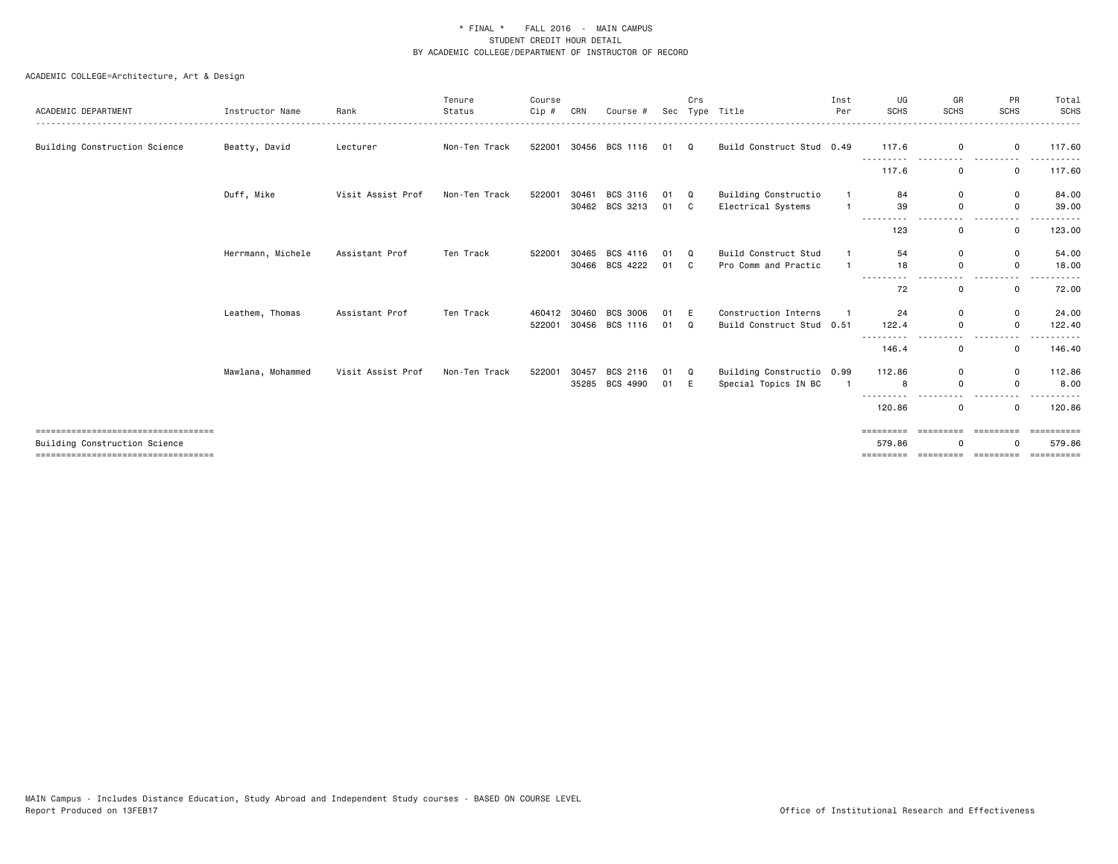| ACADEMIC DEPARTMENT                                                    | Instructor Name   | Rank              | Tenure<br>Status | Course<br>Cip # | CRN   | Course #        | Sec  | Crs      | Type Title                | Inst<br>Per  | UG<br><b>SCHS</b>   | GR<br>SCHS       | PR<br><b>SCHS</b>            | Total<br><b>SCHS</b><br>------ |
|------------------------------------------------------------------------|-------------------|-------------------|------------------|-----------------|-------|-----------------|------|----------|---------------------------|--------------|---------------------|------------------|------------------------------|--------------------------------|
| Building Construction Science                                          | Beatty, David     | Lecturer          | Non-Ten Track    | 522001          | 30456 | BCS 1116        | 01   | $\Omega$ | Build Construct Stud 0.49 |              | 117.6               | 0                | 0                            | 117.60                         |
|                                                                        |                   |                   |                  |                 |       |                 |      |          |                           |              | 117.6               | 0                | 0                            | 117.60                         |
|                                                                        | Duff, Mike        | Visit Assist Prof | Non-Ten Track    | 522001          | 30461 | BCS 3116        | 01   | Q        | Building Constructio      | $\mathbf{1}$ | 84                  | $\mathbf 0$      | $\mathbf 0$                  | 84.00                          |
|                                                                        |                   |                   |                  |                 |       | 30462 BCS 3213  | 01 C |          | Electrical Systems        |              | 39<br>----<br>.     | 0                | $\mathsf{o}$<br>$ -$         | 39.00                          |
|                                                                        |                   |                   |                  |                 |       |                 |      |          |                           |              | 123                 | $\mathbf 0$      | $\mathsf{o}$                 | 123.00                         |
|                                                                        | Herrmann, Michele | Assistant Prof    | Ten Track        | 522001          | 30465 | BCS 4116        | 01   | $\Omega$ | Build Construct Stud      |              | 54                  | $\mathbf 0$      | 0                            | 54.00                          |
|                                                                        |                   |                   |                  |                 |       | 30466 BCS 4222  | 01 C |          | Pro Comm and Practic      |              | 18<br>---------     | $\Omega$<br>$ -$ | $\mathbf 0$<br>-----<br>$ -$ | 18.00                          |
|                                                                        |                   |                   |                  |                 |       |                 |      |          |                           |              | 72                  | 0                | $\mathbf 0$                  | 72.00                          |
|                                                                        | Leathem, Thomas   | Assistant Prof    | Ten Track        | 460412          | 30460 | <b>BCS 3006</b> | 01   | E        | Construction Interns      |              | 24                  | $\mathbf 0$      | 0                            | 24.00                          |
|                                                                        |                   |                   |                  | 522001          |       | 30456 BCS 1116  | 01   | Q        | Build Construct Stud 0.51 |              | 122.4               | 0                | $\mathbf 0$                  | 122.40                         |
|                                                                        |                   |                   |                  |                 |       |                 |      |          |                           |              | 146.4               | $\mathbf 0$      | $\mathbf 0$                  | 146.40                         |
|                                                                        | Mawlana, Mohammed | Visit Assist Prof | Non-Ten Track    | 522001          | 30457 | BCS 2116        | 01   | Q        | Building Constructio 0.99 |              | 112.86              | $\mathbf 0$      | 0                            | 112.86                         |
|                                                                        |                   |                   |                  |                 | 35285 | BCS 4990        | 01 E |          | Special Topics IN BC      |              | 8                   | 0                | $\mathsf{o}$                 | 8.00                           |
|                                                                        |                   |                   |                  |                 |       |                 |      |          |                           |              | 120.86              | $\mathbf 0$      | $\mathbf 0$                  | 120.86                         |
| =====================================<br>Building Construction Science |                   |                   |                  |                 |       |                 |      |          |                           |              | =========<br>579.86 | <b>BEBBEEBEE</b> | <b>CODOCODO</b><br>$\Omega$  | ==========<br>579.86           |
| ====================================                                   |                   |                   |                  |                 |       |                 |      |          |                           |              | =========           | =========        | - =========                  | essessess                      |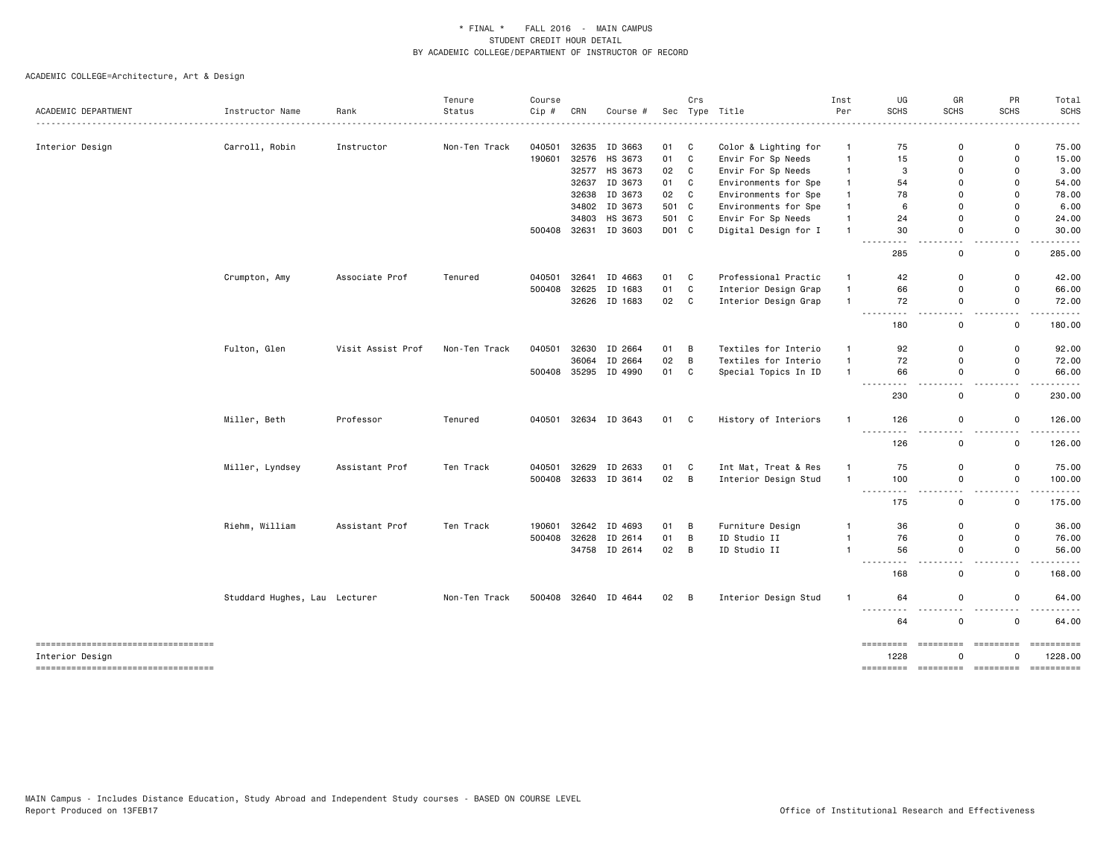|                                                        |                               |                   | Tenure        | Course |       |               |       | Crs          |                      | Inst           | UG<br><b>SCHS</b>                                                                                                                                                                                                      | GR<br><b>SCHS</b>   | PR<br><b>SCHS</b>                        | Total<br><b>SCHS</b>  |
|--------------------------------------------------------|-------------------------------|-------------------|---------------|--------|-------|---------------|-------|--------------|----------------------|----------------|------------------------------------------------------------------------------------------------------------------------------------------------------------------------------------------------------------------------|---------------------|------------------------------------------|-----------------------|
| ACADEMIC DEPARTMENT                                    | Instructor Name               | Rank              | Status        | Cip #  | CRN   | Course #      |       |              | Sec Type Title       | Per            |                                                                                                                                                                                                                        |                     |                                          |                       |
| Interior Design                                        | Carroll, Robin                | Instructor        | Non-Ten Track | 040501 | 32635 | ID 3663       | 01    | C            | Color & Lighting for | $\overline{1}$ | 75                                                                                                                                                                                                                     | $\Omega$            | 0                                        | 75.00                 |
|                                                        |                               |                   |               | 190601 |       | 32576 HS 3673 | 01    | $\mathtt{C}$ | Envir For Sp Needs   | $\mathbf{1}$   | 15                                                                                                                                                                                                                     | $\Omega$            | $\Omega$                                 | 15.00                 |
|                                                        |                               |                   |               |        |       | 32577 HS 3673 | 02    | $\mathbb{C}$ | Envir For Sp Needs   | $\mathbf{1}$   | 3                                                                                                                                                                                                                      | $\Omega$            | 0                                        | 3.00                  |
|                                                        |                               |                   |               |        | 32637 | ID 3673       | 01    | $\mathtt{C}$ | Environments for Spe | $\mathbf{1}$   | 54                                                                                                                                                                                                                     | $\Omega$            | 0                                        | 54.00                 |
|                                                        |                               |                   |               |        | 32638 | ID 3673       | 02    | C            | Environments for Spe | $\mathbf{1}$   | 78                                                                                                                                                                                                                     | $\Omega$            | $\Omega$                                 | 78.00                 |
|                                                        |                               |                   |               |        |       | 34802 ID 3673 | 501 C |              | Environments for Spe | $\mathbf{1}$   | 6                                                                                                                                                                                                                      | $\Omega$            | 0                                        | 6.00                  |
|                                                        |                               |                   |               |        | 34803 | HS 3673       | 501 C |              | Envir For Sp Needs   | $\mathbf{1}$   | 24                                                                                                                                                                                                                     | 0                   | 0                                        | 24.00                 |
|                                                        |                               |                   |               | 500408 |       | 32631 ID 3603 | D01 C |              | Digital Design for I | $\mathbf{1}$   | 30                                                                                                                                                                                                                     | 0                   | 0                                        | 30.00                 |
|                                                        |                               |                   |               |        |       |               |       |              |                      |                | $\frac{1}{2} \left( \frac{1}{2} \right) \left( \frac{1}{2} \right) \left( \frac{1}{2} \right) \left( \frac{1}{2} \right) \left( \frac{1}{2} \right) \left( \frac{1}{2} \right) \left( \frac{1}{2} \right)$<br>.<br>285 | $\sim$ $\sim$<br>0  | $\overline{\phantom{a}}$<br>0            | 285.00                |
|                                                        | Crumpton, Amy                 | Associate Prof    | Tenured       | 040501 | 32641 | ID 4663       | 01    | C.           | Professional Practic | $\overline{1}$ | 42                                                                                                                                                                                                                     | $\Omega$            | $\Omega$                                 | 42.00                 |
|                                                        |                               |                   |               | 500408 | 32625 | ID 1683       | 01    | $\mathbb{C}$ | Interior Design Grap | $\overline{1}$ | 66                                                                                                                                                                                                                     | $\Omega$            | $\Omega$                                 | 66.00                 |
|                                                        |                               |                   |               |        |       | 32626 ID 1683 | 02    | C            | Interior Design Grap | $\mathbf{1}$   | 72                                                                                                                                                                                                                     | $\mathbf 0$         | 0                                        | 72.00                 |
|                                                        |                               |                   |               |        |       |               |       |              |                      |                | $ -$<br>.<br>180                                                                                                                                                                                                       | $\sim$ $\sim$<br>0  | - -<br>0                                 | .<br>180.00           |
|                                                        | Fulton, Glen                  | Visit Assist Prof | Non-Ten Track | 040501 | 32630 | ID 2664       | 01    | В            | Textiles for Interio | $\mathbf{1}$   | 92                                                                                                                                                                                                                     | $\Omega$            | 0                                        | 92.00                 |
|                                                        |                               |                   |               |        |       | 36064 ID 2664 | 02    | B            | Textiles for Interio | $\mathbf{1}$   | 72                                                                                                                                                                                                                     | 0                   | 0                                        | 72.00                 |
|                                                        |                               |                   |               | 500408 |       | 35295 ID 4990 | 01    | $\mathbb{C}$ | Special Topics In ID | $\overline{1}$ | 66<br>$\frac{1}{2} \left( \frac{1}{2} \right) \left( \frac{1}{2} \right) \left( \frac{1}{2} \right) \left( \frac{1}{2} \right) \left( \frac{1}{2} \right)$<br>.                                                        | 0<br>$\overline{a}$ | $\mathsf{O}$<br>$\overline{\phantom{a}}$ | 66.00<br>$\cdots$     |
|                                                        |                               |                   |               |        |       |               |       |              |                      |                | 230                                                                                                                                                                                                                    | 0                   | 0                                        | 230.00                |
|                                                        | Miller, Beth                  | Professor         | Tenured       | 040501 |       | 32634 ID 3643 | 01 C  |              | History of Interiors | -1             | 126                                                                                                                                                                                                                    | 0                   | 0                                        | 126.00                |
|                                                        |                               |                   |               |        |       |               |       |              |                      |                | -----<br>126                                                                                                                                                                                                           | . .<br>0            | . .<br>0                                 | 126.00                |
|                                                        | Miller, Lyndsey               | Assistant Prof    | Ten Track     | 040501 | 32629 | ID 2633       | 01    | C            | Int Mat, Treat & Res | $\mathbf{1}$   | 75                                                                                                                                                                                                                     | $\Omega$            | $\Omega$                                 | 75.00                 |
|                                                        |                               |                   |               | 500408 |       | 32633 ID 3614 | 02    | B            | Interior Design Stud | $\overline{1}$ | 100                                                                                                                                                                                                                    | 0                   | 0                                        | 100.00                |
|                                                        |                               |                   |               |        |       |               |       |              |                      |                | $\sim$ $\sim$ $\sim$<br>.<br>175                                                                                                                                                                                       | $-$<br>$\mathbf 0$  | $\overline{\phantom{a}}$<br>0            | 175.00                |
|                                                        | Riehm, William                | Assistant Prof    | Ten Track     | 190601 | 32642 | ID 4693       | 01    | В            | Furniture Design     | $\mathbf{1}$   | 36                                                                                                                                                                                                                     | 0                   | 0                                        | 36.00                 |
|                                                        |                               |                   |               | 500408 | 32628 | ID 2614       | 01    | В            | ID Studio II         | $\mathbf{1}$   | 76                                                                                                                                                                                                                     | 0                   | $\mathsf 0$                              | 76.00                 |
|                                                        |                               |                   |               |        |       | 34758 ID 2614 | 02    | В            | ID Studio II         | $\overline{1}$ | 56                                                                                                                                                                                                                     | 0<br>$\sim$ $\sim$  | 0<br>$\overline{\phantom{a}}$            | 56.00                 |
|                                                        |                               |                   |               |        |       |               |       |              |                      |                | $  -$<br>168                                                                                                                                                                                                           | 0                   | 0                                        | 168.00                |
|                                                        | Studdard Hughes, Lau Lecturer |                   | Non-Ten Track | 500408 |       | 32640 ID 4644 | 02    | B            | Interior Design Stud | $\overline{1}$ | 64                                                                                                                                                                                                                     | 0                   | 0                                        | 64.00                 |
|                                                        |                               |                   |               |        |       |               |       |              |                      |                | ---------<br>64                                                                                                                                                                                                        | $\sim$ $\sim$<br>0  | $\sim$ $\sim$<br>0                       | 64.00                 |
| -----------------------------------<br>Interior Design |                               |                   |               |        |       |               |       |              |                      |                | =========<br>1228                                                                                                                                                                                                      | =========<br>O      | =========<br>O                           | ==========<br>1228.00 |
| -----------------------------------                    |                               |                   |               |        |       |               |       |              |                      |                | =========                                                                                                                                                                                                              | =========           | =========                                |                       |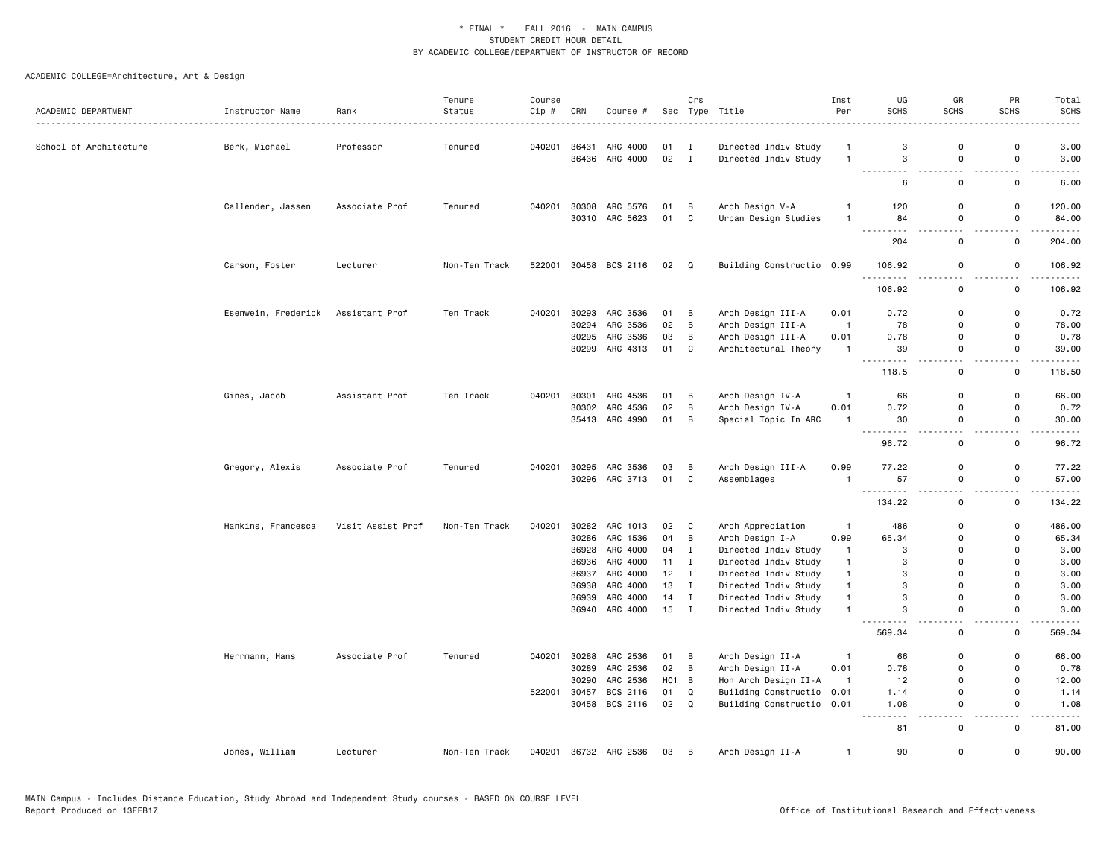| ACADEMIC DEPARTMENT    | Instructor Name     | Rank<br>.         | Tenure<br>Status | Course<br>Cip# | CRN   | Course #                   |                  | Crs            | Sec Type Title                          | Inst<br>Per                  | UG<br><b>SCHS</b> | GR<br>SCHS                   | PR<br>SCHS         | Total<br><b>SCHS</b> |
|------------------------|---------------------|-------------------|------------------|----------------|-------|----------------------------|------------------|----------------|-----------------------------------------|------------------------------|-------------------|------------------------------|--------------------|----------------------|
| School of Architecture | Berk, Michael       | Professor         | Tenured          | 040201         |       | 36431 ARC 4000             | 01               | Ι.             | Directed Indiv Study                    | $\mathbf{1}$                 | 3                 | $\mathbf 0$                  | $\mathbf 0$        | 3.00                 |
|                        |                     |                   |                  |                |       | 36436 ARC 4000             | 02               | $\mathbf{I}$   | Directed Indiv Study                    | $\mathbf{1}$                 | 3                 | 0                            | 0                  | 3.00                 |
|                        |                     |                   |                  |                |       |                            |                  |                |                                         |                              | $\sim$<br>6       | $\sim$ $\sim$<br>$\mathbf 0$ | $\sim$<br>0        | 6.00                 |
|                        |                     |                   |                  |                |       |                            |                  |                |                                         |                              |                   |                              |                    |                      |
|                        | Callender, Jassen   | Associate Prof    | Tenured          | 040201         | 30308 | ARC 5576<br>30310 ARC 5623 | 01<br>01         | В<br>C         | Arch Design V-A<br>Urban Design Studies | $\mathbf{1}$<br>$\mathbf{1}$ | 120<br>84         | 0<br>0                       | 0<br>0             | 120.00<br>84.00      |
|                        |                     |                   |                  |                |       |                            |                  |                |                                         |                              | .<br>204          | .<br>0                       | $\sim$ $\sim$<br>0 | .<br>204.00          |
|                        | Carson, Foster      | Lecturer          | Non-Ten Track    | 522001         |       | 30458 BCS 2116             | 02 Q             |                | Building Constructio 0.99               |                              | 106.92            | 0                            | 0                  | 106.92               |
|                        |                     |                   |                  |                |       |                            |                  |                |                                         |                              | 106.92            | . .<br>$\mathbf 0$           | $\sim$ $\sim$<br>0 | .<br>106.92          |
|                        |                     |                   |                  |                |       |                            |                  |                |                                         |                              |                   |                              |                    |                      |
|                        | Esenwein, Frederick | Assistant Prof    | Ten Track        | 040201         | 30293 | ARC 3536                   | 01               | B              | Arch Design III-A                       | 0.01                         | 0.72              | 0                            | $\mathbf 0$        | 0.72                 |
|                        |                     |                   |                  |                | 30294 | ARC 3536                   | 02               | B              | Arch Design III-A                       | $\overline{1}$               | 78                | 0                            | 0                  | 78.00                |
|                        |                     |                   |                  |                |       | 30295 ARC 3536             | 03               | B              | Arch Design III-A                       | 0.01                         | 0.78              | 0                            | 0                  | 0.78                 |
|                        |                     |                   |                  |                | 30299 | ARC 4313                   | 01               | C              | Architectural Theory                    | $\mathbf{1}$                 | 39<br><u>.</u>    | $\mathbf 0$<br>$ -$          | 0<br>$ -$          | 39.00<br>. <u>.</u>  |
|                        |                     |                   |                  |                |       |                            |                  |                |                                         |                              | 118.5             | 0                            | 0                  | 118.50               |
|                        | Gines, Jacob        | Assistant Prof    | Ten Track        | 040201         |       | 30301 ARC 4536             | 01               | B              | Arch Design IV-A                        | $\mathbf{1}$                 | 66                | $\mathbf 0$                  | 0                  | 66.00                |
|                        |                     |                   |                  |                | 30302 | ARC 4536                   | 02               | В              | Arch Design IV-A                        | 0.01                         | 0.72              | $\mathsf{o}$                 | 0                  | 0.72                 |
|                        |                     |                   |                  |                |       | 35413 ARC 4990             | 01               | B              | Special Topic In ARC                    | $\mathbf{1}$                 | 30<br>.           | 0<br>$\sim$ $\sim$           | 0<br>$\sim$ $\sim$ | 30.00<br>.           |
|                        |                     |                   |                  |                |       |                            |                  |                |                                         |                              | 96.72             | $\mathsf 0$                  | $\mathsf 0$        | 96.72                |
|                        | Gregory, Alexis     | Associate Prof    | Tenured          | 040201         |       | 30295 ARC 3536             | 03               | В              | Arch Design III-A                       | 0.99                         | 77.22             | 0                            | 0                  | 77.22                |
|                        |                     |                   |                  |                |       | 30296 ARC 3713             | 01               | $\mathbf{C}$   | Assemblages                             | $\mathbf{1}$                 | 57                | $\mathsf{o}$                 | 0                  | 57.00                |
|                        |                     |                   |                  |                |       |                            |                  |                |                                         |                              | $\overline{a}$    | $\sim$ $\sim$                | $\sim$             |                      |
|                        |                     |                   |                  |                |       |                            |                  |                |                                         |                              | 134.22            | $\mathbf 0$                  | 0                  | 134.22               |
|                        | Hankins, Francesca  | Visit Assist Prof | Non-Ten Track    | 040201         | 30282 | ARC 1013                   | 02               | C              | Arch Appreciation                       | $\mathbf{1}$                 | 486               | 0                            | 0                  | 486.00               |
|                        |                     |                   |                  |                | 30286 | ARC 1536                   | 04               | В              | Arch Design I-A                         | 0.99                         | 65.34             | 0                            | 0                  | 65.34                |
|                        |                     |                   |                  |                | 36928 | ARC 4000                   | 04               | $\mathbf I$    | Directed Indiv Study                    | $\mathbf{1}$                 | 3                 | $\Omega$                     | $\mathbf 0$        | 3.00                 |
|                        |                     |                   |                  |                | 36936 | ARC 4000                   | 11               | I              | Directed Indiv Study                    | $\mathbf{1}$                 | 3                 | $\mathbf 0$                  | 0                  | 3.00                 |
|                        |                     |                   |                  |                | 36937 | ARC 4000                   | 12               | Ι.             | Directed Indiv Study                    | $\mathbf{1}$                 | 3                 | $\Omega$                     | 0                  | 3.00                 |
|                        |                     |                   |                  |                | 36938 | ARC 4000                   | 13               | $\mathbf I$    | Directed Indiv Study                    | $\mathbf{1}$                 | 3                 | $\Omega$                     | $\Omega$           | 3.00                 |
|                        |                     |                   |                  |                |       | 36939 ARC 4000             | 14               | $\mathbf I$    | Directed Indiv Study                    | $\mathbf{1}$                 | 3                 | $\mathbf 0$                  | 0                  | 3.00                 |
|                        |                     |                   |                  |                |       | 36940 ARC 4000             | 15               | $\mathbf I$    | Directed Indiv Study                    | $\mathbf{1}$                 | 3                 | 0                            | 0                  | 3.00                 |
|                        |                     |                   |                  |                |       |                            |                  |                |                                         |                              | 569.34            | 0                            | 0                  | 569.34               |
|                        | Herrmann, Hans      | Associate Prof    | Tenured          | 040201         | 30288 | ARC 2536                   | 01               | В              | Arch Design II-A                        | $\mathbf{1}$                 | 66                | $\mathbf 0$                  | 0                  | 66.00                |
|                        |                     |                   |                  |                | 30289 | ARC 2536                   | 02               | $\overline{B}$ | Arch Design II-A                        | 0.01                         | 0.78              | $\mathbf 0$                  | 0                  | 0.78                 |
|                        |                     |                   |                  |                | 30290 | ARC 2536                   | H <sub>0</sub> 1 | В              | Hon Arch Design II-A                    | $\mathbf{1}$                 | 12                | $\mathbf 0$                  | 0                  | 12.00                |
|                        |                     |                   |                  | 522001         | 30457 | BCS 2116                   | 01               | Q              | Building Constructio 0.01               |                              | 1.14              | 0                            | 0                  | 1.14                 |
|                        |                     |                   |                  |                |       | 30458 BCS 2116             | 02 Q             |                | Building Constructio 0.01               |                              | 1.08<br>.         | $\mathbf 0$<br>$\sim$ $\sim$ | 0<br>$\sim$ $\sim$ | 1.08                 |
|                        |                     |                   |                  |                |       |                            |                  |                |                                         |                              | 81                | $\mathbf 0$                  | $\mathbf 0$        | 81.00                |
|                        | Jones, William      | Lecturer          | Non-Ten Track    | 040201         |       | 36732 ARC 2536             | 03               | $\overline{B}$ | Arch Design II-A                        | $\mathbf{1}$                 | 90                | $\mathsf{o}$                 | $\mathbf 0$        | 90.00                |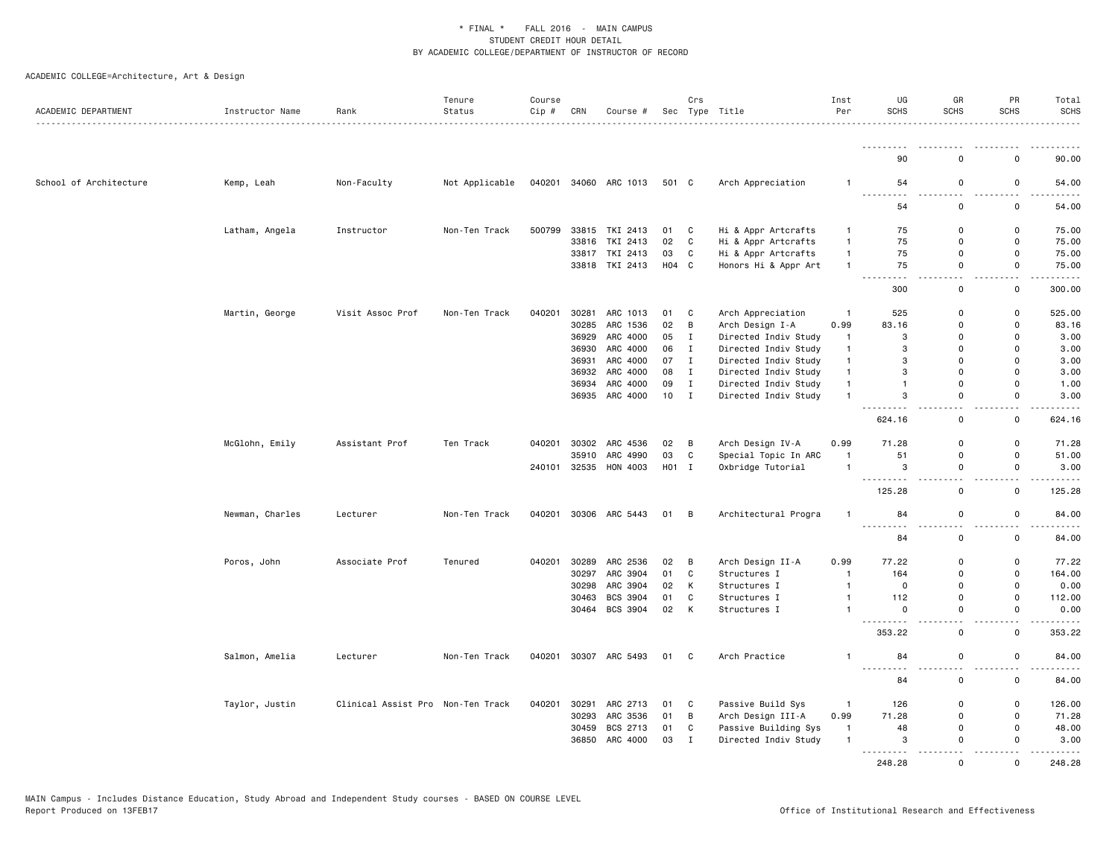| ACADEMIC DEPARTMENT    | Instructor Name | Rank                              | Tenure<br>Status | Course<br>Cip # | CRN          | Course #              |       | Crs          | Sec Type Title       | Inst<br>Per    | UG<br>SCHS                                                                                                                                                                            | GR<br><b>SCHS</b> | PR<br><b>SCHS</b> | Total<br><b>SCHS</b>             |
|------------------------|-----------------|-----------------------------------|------------------|-----------------|--------------|-----------------------|-------|--------------|----------------------|----------------|---------------------------------------------------------------------------------------------------------------------------------------------------------------------------------------|-------------------|-------------------|----------------------------------|
|                        |                 |                                   |                  |                 |              |                       |       |              |                      |                |                                                                                                                                                                                       |                   |                   | .                                |
|                        |                 |                                   |                  |                 |              |                       |       |              |                      |                | 90                                                                                                                                                                                    | $\Omega$          | $\Omega$          | 90.00                            |
| School of Architecture | Kemp, Leah      | Non-Faculty                       | Not Applicable   |                 |              | 040201 34060 ARC 1013 | 501 C |              | Arch Appreciation    | 1              | 54                                                                                                                                                                                    | 0                 | 0                 | 54.00                            |
|                        |                 |                                   |                  |                 |              |                       |       |              |                      |                | .<br>.                                                                                                                                                                                |                   | $\mathbf 0$       |                                  |
|                        |                 |                                   |                  |                 |              |                       |       |              |                      |                | 54                                                                                                                                                                                    | 0                 |                   | 54.00                            |
|                        | Latham, Angela  | Instructor                        | Non-Ten Track    | 500799          |              | 33815 TKI 2413        | 01    | C            | Hi & Appr Artcrafts  | 1              | 75                                                                                                                                                                                    | 0                 | $\Omega$          | 75.00                            |
|                        |                 |                                   |                  |                 | 33816        | TKI 2413              | 02    | C            | Hi & Appr Artcrafts  | $\mathbf{1}$   | 75                                                                                                                                                                                    | 0                 | $\mathbf 0$       | 75.00                            |
|                        |                 |                                   |                  |                 |              | 33817 TKI 2413        | 03    | C            | Hi & Appr Artcrafts  | $\mathbf{1}$   | 75                                                                                                                                                                                    | $\Omega$          | $\mathbf 0$       | 75.00                            |
|                        |                 |                                   |                  |                 |              | 33818 TKI 2413        | H04 C |              | Honors Hi & Appr Art | $\mathbf{1}$   | 75                                                                                                                                                                                    | 0                 | $\mathbf 0$       | 75.00<br>$    -$                 |
|                        |                 |                                   |                  |                 |              |                       |       |              |                      |                | 300                                                                                                                                                                                   | 0                 | $\mathsf{o}$      | 300.00                           |
|                        | Martin, George  | Visit Assoc Prof                  | Non-Ten Track    | 040201          | 30281        | ARC 1013              | 01    | C            | Arch Appreciation    | $\overline{1}$ | 525                                                                                                                                                                                   | $\Omega$          | $\mathsf 0$       | 525.00                           |
|                        |                 |                                   |                  |                 | 30285        | ARC 1536              | 02    | B            | Arch Design I-A      | 0.99           | 83.16                                                                                                                                                                                 | 0                 | $\mathbf 0$       | 83.16                            |
|                        |                 |                                   |                  |                 | 36929        | ARC 4000              | 05    | I            | Directed Indiv Study | $\mathbf{1}$   | 3                                                                                                                                                                                     | 0                 | $\Omega$          | 3.00                             |
|                        |                 |                                   |                  |                 | 36930        | ARC 4000              | 06    | $\mathbf{I}$ | Directed Indiv Study | $\mathbf{1}$   | 3                                                                                                                                                                                     | $\Omega$          | $\Omega$          | 3.00                             |
|                        |                 |                                   |                  |                 | 36931        | ARC 4000              | 07    | $\mathbf{I}$ | Directed Indiv Study | $\mathbf{1}$   | 3                                                                                                                                                                                     | 0                 | $\mathbf 0$       | 3.00                             |
|                        |                 |                                   |                  |                 | 36932        | ARC 4000              | 08    | $\mathbf{I}$ | Directed Indiv Study | $\mathbf{1}$   | 3                                                                                                                                                                                     | $\Omega$          | $\Omega$          | 3.00                             |
|                        |                 |                                   |                  |                 | 36934        | ARC 4000              | 09    | Ι.           | Directed Indiv Study | 1              | $\mathbf{1}$                                                                                                                                                                          | 0                 | 0                 | 1.00                             |
|                        |                 |                                   |                  |                 | 36935        | ARC 4000              | 10    | $\mathbf{I}$ | Directed Indiv Study | $\mathbf{1}$   | 3                                                                                                                                                                                     | 0                 | $\mathbf 0$       | 3.00<br>.                        |
|                        |                 |                                   |                  |                 |              |                       |       |              |                      |                | 624.16                                                                                                                                                                                | 0                 | $\mathsf 0$       | 624.16                           |
|                        | McGlohn, Emily  | Assistant Prof                    | Ten Track        | 040201          | 30302        | ARC 4536              | 02    | B            | Arch Design IV-A     | 0.99           | 71.28                                                                                                                                                                                 | $\Omega$          | $\mathbf 0$       | 71.28                            |
|                        |                 |                                   |                  |                 | 35910        | ARC 4990              | 03    | C            | Special Topic In ARC | $\mathbf{1}$   | 51                                                                                                                                                                                    | 0                 | 0                 | 51.00                            |
|                        |                 |                                   |                  |                 | 240101 32535 | HON 4003              | H01 I |              | Oxbridge Tutorial    | $\mathbf{1}$   | 3<br>-----                                                                                                                                                                            | $\Omega$          | 0                 | 3.00<br>.                        |
|                        |                 |                                   |                  |                 |              |                       |       |              |                      |                | 125.28                                                                                                                                                                                | 0                 | $\mathsf 0$       | 125.28                           |
|                        | Newman, Charles | Lecturer                          | Non-Ten Track    | 040201          |              | 30306 ARC 5443        | 01    | B            | Architectural Progra | $\mathbf{1}$   | 84                                                                                                                                                                                    | 0                 | 0                 | 84.00                            |
|                        |                 |                                   |                  |                 |              |                       |       |              |                      |                | 84                                                                                                                                                                                    | $\Omega$          | $\Omega$          | 84.00                            |
|                        | Poros, John     | Associate Prof                    | Tenured          | 040201          | 30289        | ARC 2536              | 02    | B            | Arch Design II-A     | 0.99           | 77.22                                                                                                                                                                                 | 0                 | $\mathbf 0$       | 77.22                            |
|                        |                 |                                   |                  |                 | 30297        | ARC 3904              | 01    | C            | Structures I         | $\mathbf{1}$   | 164                                                                                                                                                                                   | 0                 | $\mathbf 0$       | 164.00                           |
|                        |                 |                                   |                  |                 | 30298        | ARC 3904              | 02    | К            | Structures I         | $\mathbf{1}$   | 0                                                                                                                                                                                     | $\Omega$          | $\mathbf 0$       | 0.00                             |
|                        |                 |                                   |                  |                 | 30463        | BCS 3904              | 01    | C            | Structures I         | $\mathbf{1}$   | 112                                                                                                                                                                                   | 0                 | 0                 | 112.00                           |
|                        |                 |                                   |                  |                 |              | 30464 BCS 3904        | 02    | K            | Structures I         | $\mathbf{1}$   | $\mathsf 0$<br>$\sim$                                                                                                                                                                 | $\mathsf{O}$      | $\mathsf 0$       | 0.00                             |
|                        |                 |                                   |                  |                 |              |                       |       |              |                      |                | 353.22                                                                                                                                                                                | $\Omega$          | $\mathbf 0$       | 353.22                           |
|                        | Salmon, Amelia  | Lecturer                          | Non-Ten Track    | 040201          |              | 30307 ARC 5493        | 01    | $\mathbf{C}$ | Arch Practice        | 1              | 84                                                                                                                                                                                    | 0                 | 0                 | 84.00                            |
|                        |                 |                                   |                  |                 |              |                       |       |              |                      |                | $\frac{1}{2} \left( \frac{1}{2} \right) \left( \frac{1}{2} \right) \left( \frac{1}{2} \right) \left( \frac{1}{2} \right) \left( \frac{1}{2} \right) \left( \frac{1}{2} \right)$<br>84 | 0                 | $\Omega$          | $\omega$ is $\omega$ in<br>84.00 |
|                        | Taylor, Justin  | Clinical Assist Pro Non-Ten Track |                  | 040201          | 30291        | ARC 2713              | 01    | C            | Passive Build Sys    | $\mathbf{1}$   | 126                                                                                                                                                                                   | 0                 | 0                 | 126.00                           |
|                        |                 |                                   |                  |                 | 30293        | ARC 3536              | 01    | В            | Arch Design III-A    | 0.99           | 71.28                                                                                                                                                                                 | 0                 | $\mathbf 0$       | 71.28                            |
|                        |                 |                                   |                  |                 | 30459        | BCS 2713              | 01    | C            | Passive Building Sys | $\mathbf{1}$   | 48                                                                                                                                                                                    | $\Omega$          | $\mathbf 0$       | 48.00                            |
|                        |                 |                                   |                  |                 | 36850        | ARC 4000              | 03    | I            | Directed Indiv Study | $\mathbf{1}$   | 3<br><u>.</u>                                                                                                                                                                         | 0                 | 0                 | 3.00<br>$\frac{1}{2}$            |
|                        |                 |                                   |                  |                 |              |                       |       |              |                      |                | 248.28                                                                                                                                                                                | $\Omega$          | $\Omega$          | 248.28                           |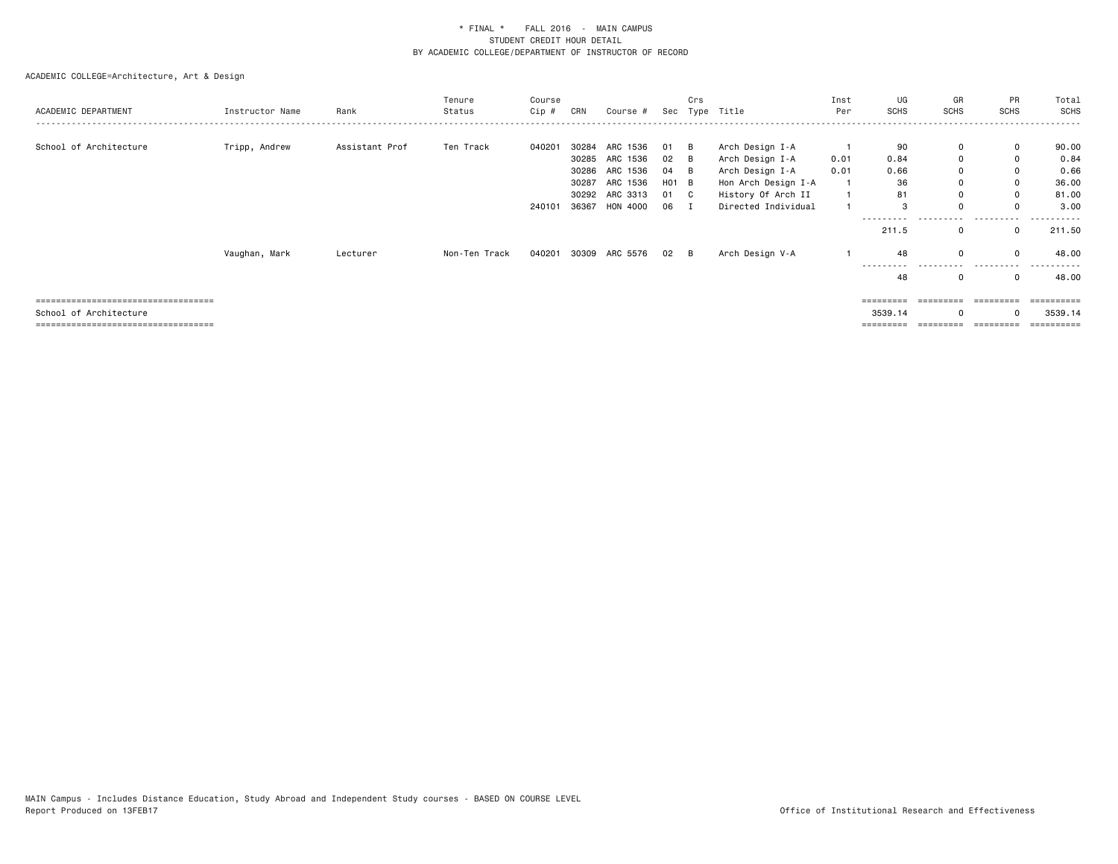| ACADEMIC DEPARTMENT                                           | Instructor Name | Rank           | Tenure<br>Status | Course<br>Cip # | CRN            | Course #                                                 |                                 | Crs | Sec Type Title                                                               | Inst<br>Per  | UG<br><b>SCHS</b>        | GR<br><b>SCHS</b>          | PR<br>SCHS                                      | Total<br><b>SCHS</b>           |
|---------------------------------------------------------------|-----------------|----------------|------------------|-----------------|----------------|----------------------------------------------------------|---------------------------------|-----|------------------------------------------------------------------------------|--------------|--------------------------|----------------------------|-------------------------------------------------|--------------------------------|
| School of Architecture                                        | Tripp, Andrew   | Assistant Prof | Ten Track        | 040201          | 30284<br>30287 | ARC 1536<br>30285 ARC 1536<br>30286 ARC 1536<br>ARC 1536 | 01 B<br>02 B<br>04 B<br>$H01$ B |     | Arch Design I-A<br>Arch Design I-A<br>Arch Design I-A<br>Hon Arch Design I-A | 0.01<br>0.01 | 90<br>0.84<br>0.66<br>36 | 0<br>0<br>$\mathbf 0$<br>0 | $\mathbf{0}$<br>$\mathbf 0$<br>$\mathbf 0$<br>0 | 90.00<br>0.84<br>0.66<br>36.00 |
|                                                               |                 |                |                  | 240101          | 36367          | 30292 ARC 3313<br>HON 4000                               | 01 C<br>06 I                    |     | History Of Arch II<br>Directed Individual                                    | $\mathbf{1}$ | 81<br>3                  | 0<br>$\Omega$              | 0<br>$\Omega$                                   | 81.00<br>3.00                  |
|                                                               | Vaughan, Mark   | Lecturer       | Non-Ten Track    |                 |                | 040201 30309 ARC 5576                                    | 02 B                            |     | Arch Design V-A                                                              |              | 211.5<br>48              | $\mathbf 0$<br>$\Omega$    | $\mathbf 0$<br>$\Omega$                         | 211.50<br>48.00                |
|                                                               |                 |                |                  |                 |                |                                                          |                                 |     |                                                                              |              | -----<br>48              | $\Omega$                   | $\Omega$                                        | 48.00                          |
| :==================================<br>School of Architecture |                 |                |                  |                 |                |                                                          |                                 |     |                                                                              |              | 3539.14                  | $\Omega$                   |                                                 | 3539.14                        |
| ;====================================                         |                 |                |                  |                 |                |                                                          |                                 |     |                                                                              |              |                          |                            |                                                 | ==========                     |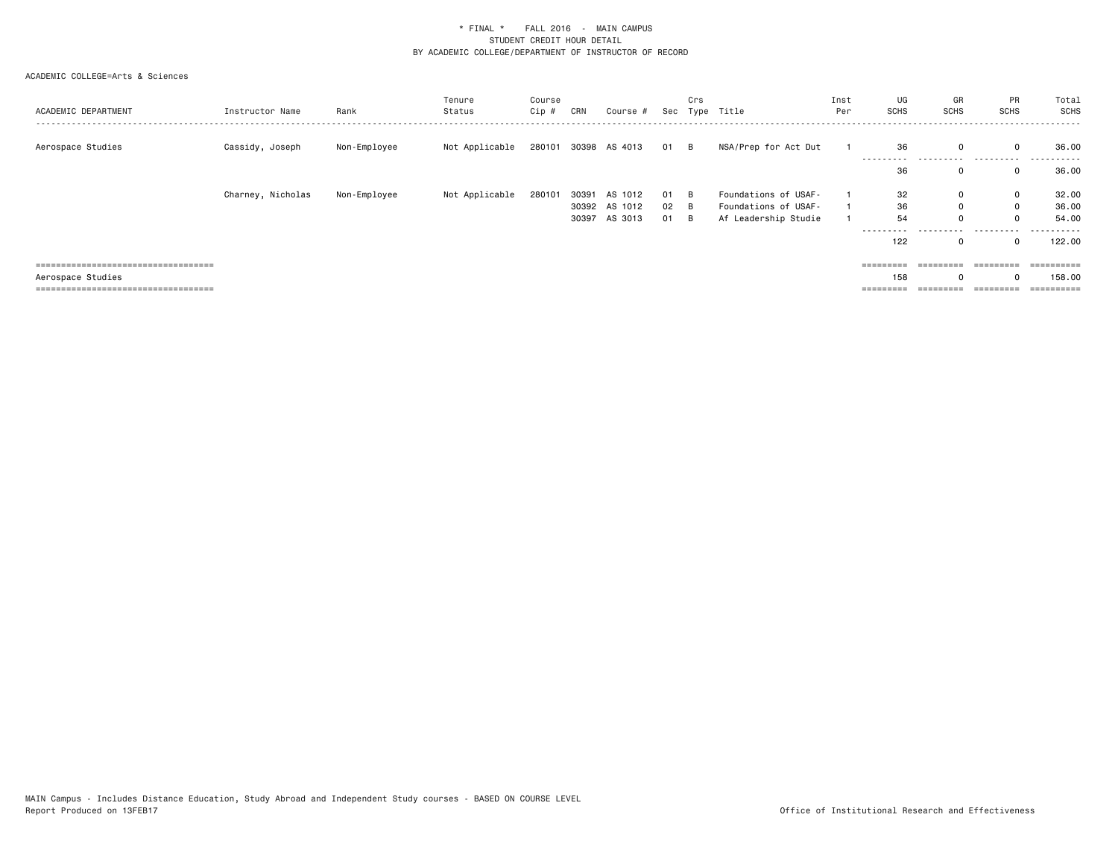| ACADEMIC DEPARTMENT                   | Instructor Name   | Rank         | Tenure<br>Status | Course<br>Cip # | CRN   | Course #             | Sec  | Crs | Type Title           | Inst<br>Per | UG<br>SCHS      | GR<br><b>SCHS</b> | PR<br>SCHS   | Total<br><b>SCHS</b>  |
|---------------------------------------|-------------------|--------------|------------------|-----------------|-------|----------------------|------|-----|----------------------|-------------|-----------------|-------------------|--------------|-----------------------|
| Aerospace Studies                     | Cassidy, Joseph   | Non-Employee | Not Applicable   |                 |       | 280101 30398 AS 4013 | 01 B |     | NSA/Prep for Act Dut |             | 36<br>--------- | 0                 | .            | 36.00<br>. <b>.</b> . |
|                                       |                   |              |                  |                 |       |                      |      |     |                      |             | 36              | 0                 |              | 36.00                 |
|                                       | Charney, Nicholas | Non-Employee | Not Applicable   | 280101          | 30391 | AS 1012              | 01   | - B | Foundations of USAF- |             | 32              | 0                 | 0            | 32.00                 |
|                                       |                   |              |                  |                 |       | 30392 AS 1012        | 02   | - B | Foundations of USAF- |             | 36              | 0                 | $\mathbf{0}$ | 36.00                 |
|                                       |                   |              |                  |                 | 30397 | AS 3013              | 01   | - B | Af Leadership Studie |             | 54              | 0                 | 0            | 54.00                 |
|                                       |                   |              |                  |                 |       |                      |      |     |                      |             | ----------      |                   | .            | .                     |
|                                       |                   |              |                  |                 |       |                      |      |     |                      |             | 122             | 0                 |              | 122.00                |
| ===================================   |                   |              |                  |                 |       |                      |      |     |                      |             | =========       | =========         | ----------   | ==========            |
| Aerospace Studies                     |                   |              |                  |                 |       |                      |      |     |                      |             | 158             |                   |              | 158.00                |
| ===================================== |                   |              |                  |                 |       |                      |      |     |                      |             | =========       | ----------        | ----------   | ==========            |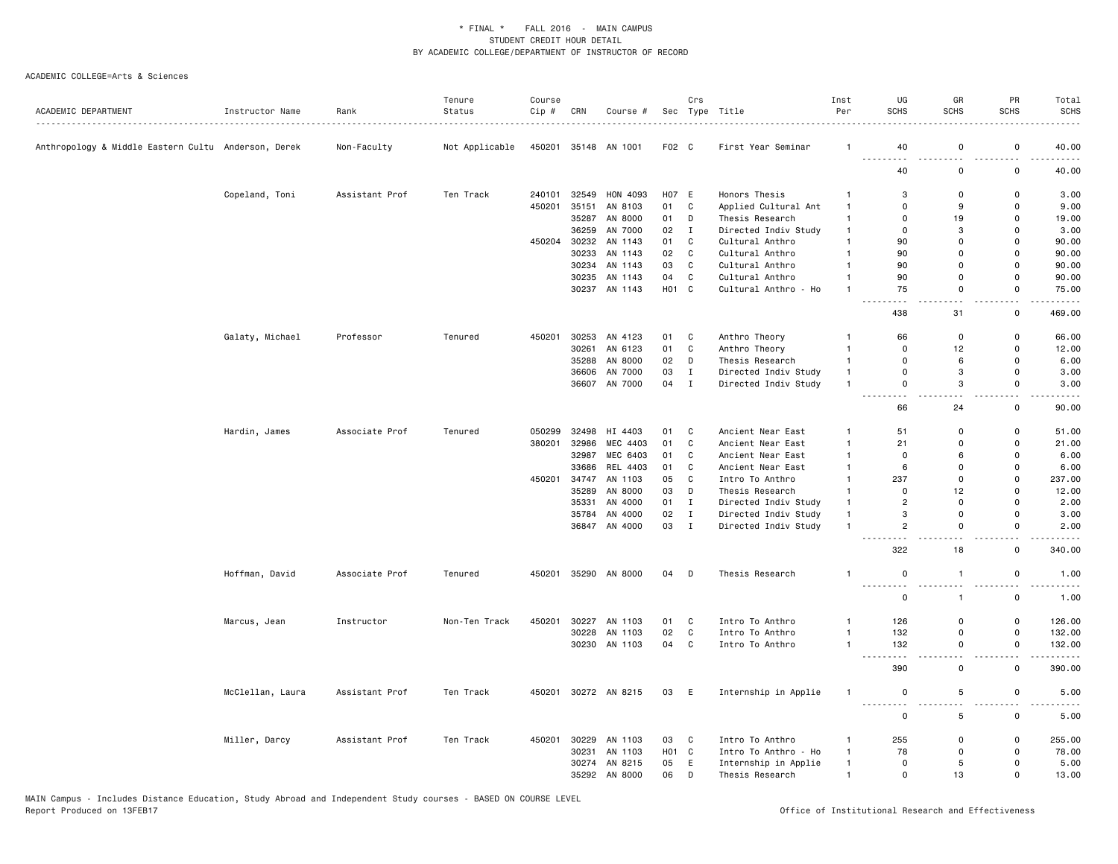|                                                     |                  |                | Tenure         | Course |       |                          |                   | Crs                     |                                              | Inst                           | UG                                  | GR                | PR                           | Total                                                                                                                             |
|-----------------------------------------------------|------------------|----------------|----------------|--------|-------|--------------------------|-------------------|-------------------------|----------------------------------------------|--------------------------------|-------------------------------------|-------------------|------------------------------|-----------------------------------------------------------------------------------------------------------------------------------|
| ACADEMIC DEPARTMENT                                 | Instructor Name  | Rank           | Status         | Cip #  | CRN   | Course #                 |                   |                         | Sec Type Title                               | Per                            | <b>SCHS</b>                         | <b>SCHS</b>       | <b>SCHS</b>                  | <b>SCHS</b>                                                                                                                       |
| Anthropology & Middle Eastern Cultu Anderson, Derek |                  | Non-Faculty    | Not Applicable | 450201 |       | 35148 AN 1001            | F02 C             |                         | First Year Seminar                           | -1                             | 40                                  | $\mathbf 0$       | 0                            | 40.00                                                                                                                             |
|                                                     |                  |                |                |        |       |                          |                   |                         |                                              |                                | $\sim$ $\sim$<br>40                 | ٠.<br>$\mathbf 0$ | ٠.<br>0                      | 40.00                                                                                                                             |
|                                                     | Copeland, Toni   | Assistant Prof | Ten Track      | 240101 | 32549 | HON 4093                 | H07 E             |                         | Honors Thesis                                | $\mathbf{1}$                   | 3                                   | $\mathbf 0$       | 0                            | 3.00                                                                                                                              |
|                                                     |                  |                |                | 450201 | 35151 | AN 8103                  | 01                | C                       | Applied Cultural Ant                         | $\overline{1}$                 | $\mathbf 0$                         | 9                 | 0                            | 9.00                                                                                                                              |
|                                                     |                  |                |                |        |       | 35287 AN 8000            | 01                | D                       | Thesis Research                              | $\overline{1}$                 | $\mathbf 0$                         | 19                | $\mathsf 0$                  | 19.00                                                                                                                             |
|                                                     |                  |                |                |        | 36259 | AN 7000                  | 02                | $\mathbf{I}$            | Directed Indiv Study                         | $\overline{1}$                 | $\overline{0}$                      | 3                 | $\mathbf 0$                  | 3.00                                                                                                                              |
|                                                     |                  |                |                | 450204 |       | 30232 AN 1143            | 01                | C                       | Cultural Anthro                              | $\overline{1}$                 | 90                                  | $\Omega$          | $\mathbf 0$                  | 90.00                                                                                                                             |
|                                                     |                  |                |                |        | 30233 | AN 1143                  | 02                | C                       | Cultural Anthro                              | $\mathbf{1}$                   | 90                                  | $\overline{0}$    | $\mathbf 0$                  | 90.00                                                                                                                             |
|                                                     |                  |                |                |        |       | 30234 AN 1143            | 03                | C                       | Cultural Anthro                              | $\mathbf{1}$                   | 90                                  | $\mathbf 0$       | 0                            | 90.00                                                                                                                             |
|                                                     |                  |                |                |        |       | 30235 AN 1143            | 04                | C                       | Cultural Anthro                              | $\overline{1}$                 | 90                                  | $\mathbf 0$       | $\mathbf 0$                  | 90.00                                                                                                                             |
|                                                     |                  |                |                |        |       | 30237 AN 1143            | H01 C             |                         | Cultural Anthro - Ho                         | $\overline{1}$                 | 75                                  | $\mathbf 0$<br>ù, | $\mathsf 0$<br>. .           | 75.00                                                                                                                             |
|                                                     |                  |                |                |        |       |                          |                   |                         |                                              |                                | 438                                 | 31                | 0                            | 469.00                                                                                                                            |
|                                                     | Galaty, Michael  | Professor      | Tenured        | 450201 |       | 30253 AN 4123            | 01                | C                       | Anthro Theory                                | $\mathbf{1}$                   | 66                                  | $\mathbf 0$       | 0                            | 66.00                                                                                                                             |
|                                                     |                  |                |                |        | 30261 | AN 6123                  | 01                | C                       | Anthro Theory                                | $\mathbf{1}$                   | $\mathbf 0$                         | 12                | 0                            | 12.00                                                                                                                             |
|                                                     |                  |                |                |        |       | 35288 AN 8000            | 02                | D                       | Thesis Research                              | $\overline{1}$                 | $\mathbf 0$                         | 6                 | 0                            | 6.00                                                                                                                              |
|                                                     |                  |                |                |        |       | 36606 AN 7000            | 03                | $\mathbf I$             | Directed Indiv Study                         | $\mathbf{1}$                   | $\Omega$                            | 3                 | $\mathbf 0$                  | 3,00                                                                                                                              |
|                                                     |                  |                |                |        |       | 36607 AN 7000            | 04                | $\mathbf{I}$            | Directed Indiv Study                         | $\overline{1}$                 | $\mathbf 0$<br>. <b>.</b>           | 3<br>i a a        | $\mathbf 0$<br>$\sim$ $\sim$ | 3.00<br>$\frac{1}{2} \left( \frac{1}{2} \right) \left( \frac{1}{2} \right) \left( \frac{1}{2} \right) \left( \frac{1}{2} \right)$ |
|                                                     |                  |                |                |        |       |                          |                   |                         |                                              |                                | 66                                  | 24                | $\mathbf 0$                  | 90.00                                                                                                                             |
|                                                     | Hardin, James    | Associate Prof | Tenured        | 050299 | 32498 | HI 4403                  | 01                | C                       | Ancient Near East                            | $\overline{1}$                 | 51                                  | $\mathbf 0$       | 0                            | 51.00                                                                                                                             |
|                                                     |                  |                |                | 380201 | 32986 | MEC 4403                 | 01                | C                       | Ancient Near East                            | $\overline{1}$                 | 21                                  | $\mathbf 0$       | 0                            | 21.00                                                                                                                             |
|                                                     |                  |                |                |        | 32987 | MEC 6403                 | 01                | C                       | Ancient Near East                            | $\overline{1}$                 | 0                                   | 6                 | 0                            | 6.00                                                                                                                              |
|                                                     |                  |                |                |        | 33686 | REL 4403                 | 01                | $\mathbf{C}$            | Ancient Near East                            | $\mathbf{1}$                   | 6                                   | $\Omega$          | $\mathsf 0$                  | 6.00                                                                                                                              |
|                                                     |                  |                |                | 450201 | 34747 | AN 1103                  | 05                | C                       | Intro To Anthro                              | $\overline{1}$                 | 237                                 | $\mathbf 0$       | $\mathbf 0$                  | 237.00                                                                                                                            |
|                                                     |                  |                |                |        | 35289 | AN 8000                  | 03                | D                       | Thesis Research                              | $\mathbf{1}$                   | $\mathbf 0$<br>$\overline{2}$       | 12<br>$\mathbf 0$ | $\mathsf 0$<br>$\mathbf 0$   | 12.00                                                                                                                             |
|                                                     |                  |                |                |        | 35331 | AN 4000<br>35784 AN 4000 | 01<br>02          | $\mathbf{I}$<br>$\bf I$ | Directed Indiv Study                         | $\overline{1}$<br>$\mathbf{1}$ | 3                                   | $\mathbf 0$       | $\mathbf 0$                  | 2.00<br>3.00                                                                                                                      |
|                                                     |                  |                |                |        |       | 36847 AN 4000            | 03                | $\mathbf{I}$            | Directed Indiv Study<br>Directed Indiv Study | $\overline{1}$                 | $\overline{2}$                      | $\Omega$          | $\mathbf 0$                  | 2.00                                                                                                                              |
|                                                     |                  |                |                |        |       |                          |                   |                         |                                              |                                | $\sim$ $\sim$<br>322                | 18                | $\mathsf{o}$                 | 340.00                                                                                                                            |
|                                                     | Hoffman, David   | Associate Prof | Tenured        | 450201 |       | 35290 AN 8000            | 04                | $\Box$                  | Thesis Research                              | $\mathbf{1}$                   | $\mathsf 0$                         | $\overline{1}$    | $\mathsf 0$                  | 1.00                                                                                                                              |
|                                                     |                  |                |                |        |       |                          |                   |                         |                                              |                                | $\sim$ $\sim$ $\sim$<br>$\mathbf 0$ | $\mathbf{1}$      | 0                            | 1.00                                                                                                                              |
|                                                     | Marcus, Jean     | Instructor     | Non-Ten Track  | 450201 |       | 30227 AN 1103            | 01                | C                       | Intro To Anthro                              | $\mathbf{1}$                   | 126                                 | $\mathbf 0$       | $\mathsf 0$                  | 126.00                                                                                                                            |
|                                                     |                  |                |                |        | 30228 | AN 1103                  | 02                | C                       | Intro To Anthro                              | $\overline{1}$                 | 132                                 | $\mathbf 0$       | $\mathsf{o}$                 | 132.00                                                                                                                            |
|                                                     |                  |                |                |        |       | 30230 AN 1103            | 04                | C                       | Intro To Anthro                              | $\overline{1}$                 | 132                                 | $\mathsf 0$       | $\mathsf 0$                  | 132.00                                                                                                                            |
|                                                     |                  |                |                |        |       |                          |                   |                         |                                              |                                | $\sim$ $\sim$ $\sim$                | $\sim$ $\sim$     | $\overline{a}$               |                                                                                                                                   |
|                                                     |                  |                |                |        |       |                          |                   |                         |                                              |                                | 390                                 | $\mathbf 0$       | $\mathsf 0$                  | 390.00                                                                                                                            |
|                                                     | McClellan, Laura | Assistant Prof | Ten Track      | 450201 |       | 30272 AN 8215            | 03                | E                       | Internship in Applie                         | $\overline{1}$                 | $\mathbf 0$<br>$\sim$ $\sim$        | 5<br>. .          | $\mathsf 0$<br>. .           | 5.00                                                                                                                              |
|                                                     |                  |                |                |        |       |                          |                   |                         |                                              |                                | $\mathsf 0$                         | 5                 | $\mathsf 0$                  | 5.00                                                                                                                              |
|                                                     | Miller, Darcy    | Assistant Prof | Ten Track      | 450201 |       | 30229 AN 1103            | 03                | C                       | Intro To Anthro                              | $\mathbf{1}$                   | 255                                 | $\mathbf 0$       | 0                            | 255.00                                                                                                                            |
|                                                     |                  |                |                |        | 30231 | AN 1103                  | H <sub>01</sub> C |                         | Intro To Anthro - Ho                         | $\overline{1}$                 | 78                                  | $\mathbf 0$       | $\mathsf 0$                  | 78.00                                                                                                                             |
|                                                     |                  |                |                |        |       | 30274 AN 8215            | 05                | E                       | Internship in Applie                         | $\mathbf{1}$                   | $\mathbf 0$                         | 5                 | $\mathbf 0$                  | 5.00                                                                                                                              |
|                                                     |                  |                |                |        |       | 35292 AN 8000            | 06                | D                       | Thesis Research                              | $\overline{1}$                 | $\mathbf 0$                         | 13                | $\mathbf 0$                  | 13.00                                                                                                                             |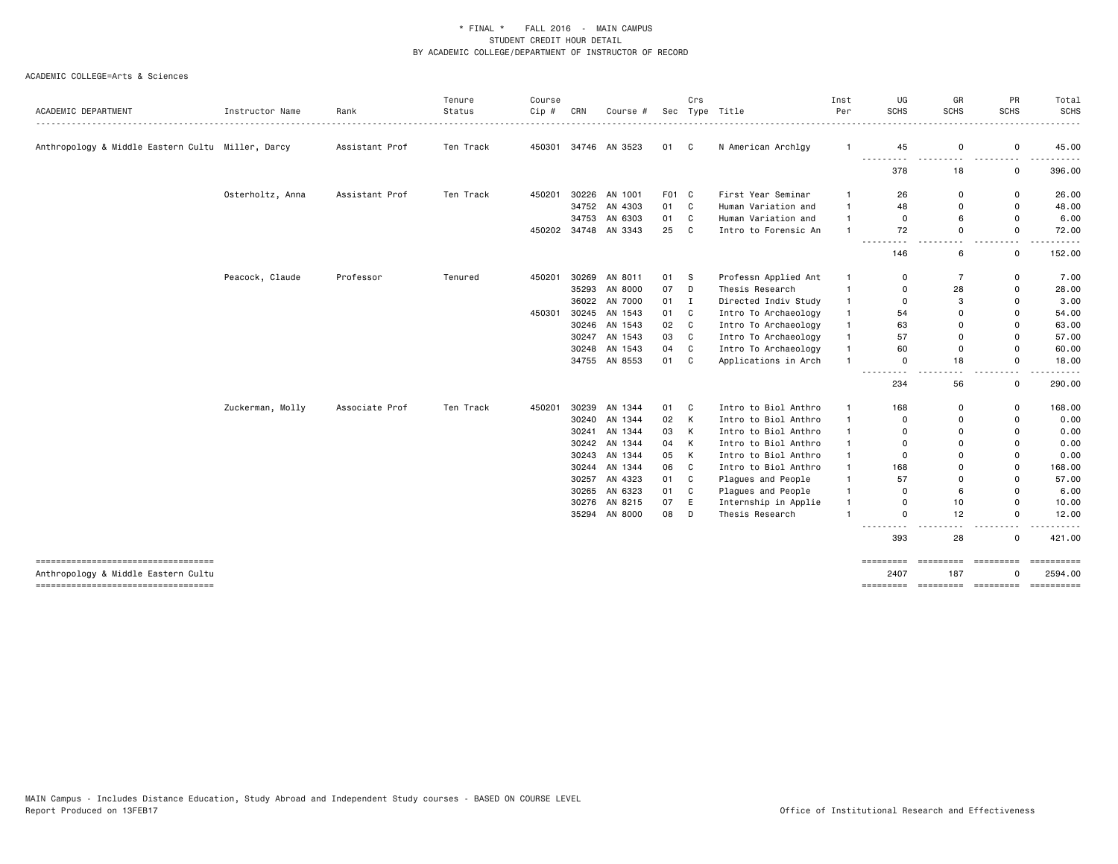| ACADEMIC DEPARTMENT                                                          | Instructor Name  | Rank           | Tenure<br>Status | Course<br>Cip # | CRN   | Course #             |       | Crs          | Sec Type Title       | Inst<br>Per    | UG<br><b>SCHS</b>     | GR<br><b>SCHS</b>         | PR<br><b>SCHS</b>                       | Total<br><b>SCHS</b>  |
|------------------------------------------------------------------------------|------------------|----------------|------------------|-----------------|-------|----------------------|-------|--------------|----------------------|----------------|-----------------------|---------------------------|-----------------------------------------|-----------------------|
| Anthropology & Middle Eastern Cultu Miller, Darcy                            |                  | Assistant Prof | Ten Track        |                 |       | 450301 34746 AN 3523 | 01    | C            | N American Archlgy   | $\mathbf{1}$   | 45                    | 0                         | $\mathsf 0$                             | 45.00                 |
|                                                                              |                  |                |                  |                 |       |                      |       |              |                      |                | ---------<br>378      | ---------<br>18           | ---------<br>0                          | .<br>396.00           |
|                                                                              | Osterholtz, Anna | Assistant Prof | Ten Track        | 450201          |       | 30226 AN 1001        | F01 C |              | First Year Seminar   | $\mathbf{1}$   | 26                    | 0                         | 0                                       | 26.00                 |
|                                                                              |                  |                |                  |                 |       | 34752 AN 4303        | 01    | C            | Human Variation and  | $\mathbf{1}$   | 48                    | 0                         | 0                                       | 48.00                 |
|                                                                              |                  |                |                  |                 |       | 34753 AN 6303        | 01    | C            | Human Variation and  | $\mathbf{1}$   | 0                     | 6                         | $\mathbf 0$                             | 6.00                  |
|                                                                              |                  |                |                  |                 |       | 450202 34748 AN 3343 | 25    | C            | Intro to Forensic An | $\mathbf{1}$   | 72                    | $\mathbf 0$               | $\mathbf 0$                             | 72.00                 |
|                                                                              |                  |                |                  |                 |       |                      |       |              |                      |                | 146                   | 6                         | $\overline{\phantom{0}}$<br>$\mathbf 0$ | 152.00                |
|                                                                              | Peacock, Claude  | Professor      | Tenured          | 450201          |       | 30269 AN 8011        | 01    | s            | Professn Applied Ant | $\mathbf{1}$   | 0                     | $\overline{7}$            | 0                                       | 7.00                  |
|                                                                              |                  |                |                  |                 |       | 35293 AN 8000        | 07    | D            | Thesis Research      | $\mathbf{1}$   | 0                     | 28                        | $\mathbf 0$                             | 28.00                 |
|                                                                              |                  |                |                  |                 |       | 36022 AN 7000        | 01    | I            | Directed Indiv Study | $\mathbf{1}$   | 0                     | 3                         | $\mathbf 0$                             | 3.00                  |
|                                                                              |                  |                |                  | 450301          |       | 30245 AN 1543        | 01    | C            | Intro To Archaeology | $\mathbf{1}$   | 54                    | $\Omega$                  | $\mathbf 0$                             | 54.00                 |
|                                                                              |                  |                |                  |                 |       | 30246 AN 1543        | 02    | C            | Intro To Archaeology | $\mathbf{1}$   | 63                    | $\Omega$                  | $\mathbf 0$                             | 63.00                 |
|                                                                              |                  |                |                  |                 |       | 30247 AN 1543        | 03    | C            | Intro To Archaeology | $\mathbf{1}$   | 57                    | $\Omega$                  | $\overline{0}$                          | 57.00                 |
|                                                                              |                  |                |                  |                 |       | 30248 AN 1543        | 04    | C            | Intro To Archaeology | $\mathbf{1}$   | 60                    | 0                         | 0                                       | 60.00                 |
|                                                                              |                  |                |                  |                 |       | 34755 AN 8553        | 01    | C            | Applications in Arch | $\mathbf{1}$   | 0                     | 18                        | 0                                       | 18.00                 |
|                                                                              |                  |                |                  |                 |       |                      |       |              |                      |                | ---------<br>234      | - -<br>56                 | $\sim$ $\sim$<br>0                      | ------<br>290.00      |
|                                                                              | Zuckerman, Molly | Associate Prof | Ten Track        | 450201          |       | 30239 AN 1344        | 01    | C            | Intro to Biol Anthro | $\mathbf{1}$   | 168                   | 0                         | $\mathsf 0$                             | 168.00                |
|                                                                              |                  |                |                  |                 |       | 30240 AN 1344        | 02    | К            | Intro to Biol Anthro | $\mathbf{1}$   | $\Omega$              | $\Omega$                  | $\mathbf 0$                             | 0.00                  |
|                                                                              |                  |                |                  |                 | 30241 | AN 1344              | 03    | К            | Intro to Biol Anthro | $\mathbf{1}$   | $\Omega$              | $\Omega$                  | $\mathbf 0$                             | 0.00                  |
|                                                                              |                  |                |                  |                 |       | 30242 AN 1344        | 04    | К            | Intro to Biol Anthro | $\mathbf{1}$   | $\Omega$              | $\Omega$                  | $\Omega$                                | 0.00                  |
|                                                                              |                  |                |                  |                 |       | 30243 AN 1344        | 05    | К            | Intro to Biol Anthro | $\mathbf{1}$   | 0                     | $\Omega$                  | $\mathbf 0$                             | 0.00                  |
|                                                                              |                  |                |                  |                 |       | 30244 AN 1344        | 06    | $\mathtt{C}$ | Intro to Biol Anthro | $\mathbf{1}$   | 168                   | 0                         | $\mathbf 0$                             | 168.00                |
|                                                                              |                  |                |                  |                 |       | 30257 AN 4323        | 01    | C            | Plagues and People   | $\mathbf{1}$   | 57                    | $\mathbf 0$               | $\mathbf 0$                             | 57.00                 |
|                                                                              |                  |                |                  |                 |       | 30265 AN 6323        | 01    | C            | Plagues and People   | $\mathbf{1}$   | $\Omega$              | 6                         | $\mathbf 0$                             | 6.00                  |
|                                                                              |                  |                |                  |                 |       | 30276 AN 8215        | 07    | E            | Internship in Applie | $\mathbf{1}$   | 0                     | 10                        | $\mathbf 0$                             | 10.00                 |
|                                                                              |                  |                |                  |                 |       | 35294 AN 8000        | 08    | D            | Thesis Research      | $\overline{1}$ | $\Omega$<br>--------- | 12                        | 0<br>$ -$                               | 12.00                 |
|                                                                              |                  |                |                  |                 |       |                      |       |              |                      |                | 393                   | 28                        | $\mathbf 0$                             | 421.00                |
| -------------------------------------<br>Anthropology & Middle Eastern Cultu |                  |                |                  |                 |       |                      |       |              |                      |                | =========<br>2407     | accesses concerned<br>187 | $\Omega$                                | ==========<br>2594.00 |
| ----------------------------------                                           |                  |                |                  |                 |       |                      |       |              |                      |                |                       |                           |                                         |                       |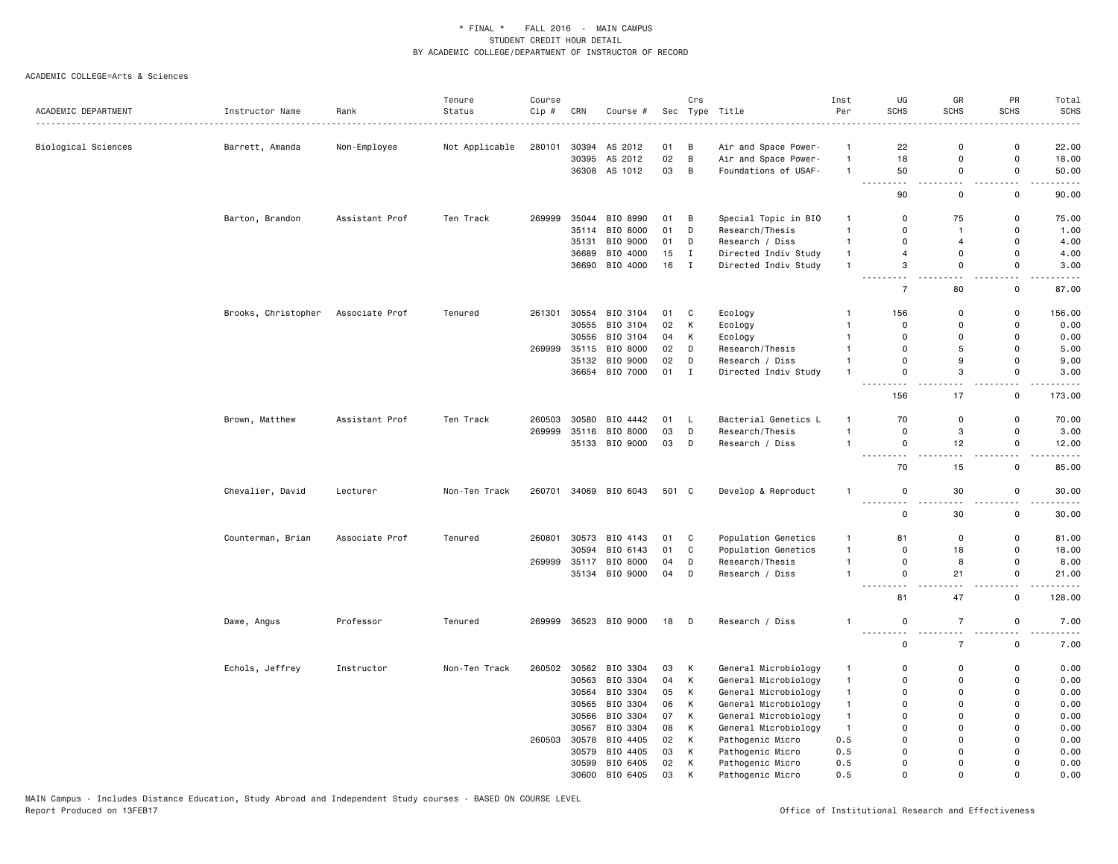|                     |                     |                | Tenure         | Course |                |                       |          | Crs            |                                              | Inst                             | UG                                                                                                                               | GR                      | PR                         | Total                                                                                                                              |
|---------------------|---------------------|----------------|----------------|--------|----------------|-----------------------|----------|----------------|----------------------------------------------|----------------------------------|----------------------------------------------------------------------------------------------------------------------------------|-------------------------|----------------------------|------------------------------------------------------------------------------------------------------------------------------------|
| ACADEMIC DEPARTMENT | Instructor Name     | Rank           | Status         | Cip #  | CRN            | Course #              |          |                | Sec Type Title                               | Per                              | SCHS                                                                                                                             | SCHS                    | <b>SCHS</b>                | <b>SCHS</b>                                                                                                                        |
|                     |                     |                |                |        |                |                       |          |                |                                              |                                  |                                                                                                                                  |                         |                            |                                                                                                                                    |
| Biological Sciences | Barrett, Amanda     | Non-Employee   | Not Applicable | 280101 | 30394<br>30395 | AS 2012<br>AS 2012    | 01<br>02 | В<br>B         | Air and Space Power-<br>Air and Space Power- | $\mathbf{1}$<br>$\mathbf{1}$     | 22<br>18                                                                                                                         | $\Omega$<br>$\mathbf 0$ | $\mathbf 0$<br>$\mathbf 0$ | 22.00<br>18.00                                                                                                                     |
|                     |                     |                |                |        |                | 36308 AS 1012         | 03       | B              | Foundations of USAF-                         | $\overline{1}$                   | 50                                                                                                                               | 0                       | 0                          | 50.00                                                                                                                              |
|                     |                     |                |                |        |                |                       |          |                |                                              |                                  | $\begin{array}{cccccccccccccc} \bullet & \bullet & \bullet & \bullet & \bullet & \bullet & \bullet \end{array}$<br>$\sim$ $\sim$ | $ -$                    | $ -$                       | $\cdots$                                                                                                                           |
|                     |                     |                |                |        |                |                       |          |                |                                              |                                  | 90                                                                                                                               | $\mathbf 0$             | $\mathsf 0$                | 90.00                                                                                                                              |
|                     | Barton, Brandon     | Assistant Prof | Ten Track      | 269999 | 35044          | BIO 8990              | 01       | $\overline{B}$ | Special Topic in BIO                         | $\overline{1}$                   | 0                                                                                                                                | 75                      | 0                          | 75.00                                                                                                                              |
|                     |                     |                |                |        | 35114          | BIO 8000              | 01       | D              | Research/Thesis                              | $\mathbf{1}$                     | $\mathbf 0$                                                                                                                      | $\mathbf{1}$            | $\Omega$                   | 1.00                                                                                                                               |
|                     |                     |                |                |        | 35131          | BIO 9000              | 01       | D              | Research / Diss                              | $\overline{1}$                   | $\mathbf 0$                                                                                                                      | $\overline{4}$          | $\mathsf{o}$               | 4.00                                                                                                                               |
|                     |                     |                |                |        |                | 36689 BIO 4000        | 15       | $\mathbf{I}$   | Directed Indiv Study                         | $\mathbf{1}$                     | $\overline{4}$<br>3                                                                                                              | 0<br>0                  | $\mathsf{o}$<br>0          | 4.00                                                                                                                               |
|                     |                     |                |                |        | 36690          | BIO 4000              | 16       | $\mathbf{I}$   | Directed Indiv Study                         | $\mathbf{1}$                     | $\sim$ $\sim$                                                                                                                    | $\sim$ $\sim$           | $ -$                       | 3.00<br>-----                                                                                                                      |
|                     |                     |                |                |        |                |                       |          |                |                                              |                                  | $\overline{7}$                                                                                                                   | 80                      | 0                          | 87.00                                                                                                                              |
|                     | Brooks, Christopher | Associate Prof | Tenured        | 261301 | 30554          | BIO 3104              | 01       | C              | Ecology                                      | $\mathbf{1}$                     | 156                                                                                                                              | 0                       | 0                          | 156.00                                                                                                                             |
|                     |                     |                |                |        | 30555          | BIO 3104              | 02       | К              | Ecology                                      | $\overline{1}$                   | $\mathbf 0$                                                                                                                      | 0                       | $\mathbf 0$                | 0.00                                                                                                                               |
|                     |                     |                |                |        |                | 30556 BIO 3104        | 04       | K              | Ecology                                      | $\overline{1}$                   | $\Omega$                                                                                                                         | $\Omega$                | $\mathsf{o}$               | 0.00                                                                                                                               |
|                     |                     |                |                | 269999 | 35115          | BIO 8000              | 02       | D              | Research/Thesis                              | $\overline{1}$                   | $\mathbf 0$                                                                                                                      | 5                       | 0                          | 5.00                                                                                                                               |
|                     |                     |                |                |        |                | 35132 BIO 9000        | 02       | D              | Research / Diss                              | $\overline{1}$<br>$\overline{1}$ | $\mathbf 0$<br>$\mathbf 0$                                                                                                       | 9<br>3                  | $\mathsf 0$<br>$\mathbf 0$ | 9.00                                                                                                                               |
|                     |                     |                |                |        |                | 36654 BIO 7000        | $01$ I   |                | Directed Indiv Study                         |                                  |                                                                                                                                  |                         |                            | 3.00                                                                                                                               |
|                     |                     |                |                |        |                |                       |          |                |                                              |                                  | 156                                                                                                                              | 17                      | 0                          | 173.00                                                                                                                             |
|                     | Brown, Matthew      | Assistant Prof | Ten Track      | 260503 | 30580          | BIO 4442              | 01       | L,             | Bacterial Genetics L                         | $\mathbf{1}$                     | 70                                                                                                                               | $\mathbf 0$             | $\mathsf 0$                | 70.00                                                                                                                              |
|                     |                     |                |                | 269999 | 35116          | BIO 8000              | 03       | D              | Research/Thesis                              | $\overline{1}$                   | $\mathsf 0$                                                                                                                      | 3                       | $\mathsf 0$                | 3.00                                                                                                                               |
|                     |                     |                |                |        |                | 35133 BIO 9000        | 03       | D              | Research / Diss                              | $\overline{1}$                   | $\mathsf 0$<br>$\sim$ $\sim$ $\sim$<br>- - -                                                                                     | 12                      | $\mathsf 0$                | 12.00                                                                                                                              |
|                     |                     |                |                |        |                |                       |          |                |                                              |                                  | 70                                                                                                                               | 15                      | $\mathsf 0$                | 85.00                                                                                                                              |
|                     | Chevalier, David    | Lecturer       | Non-Ten Track  | 260701 |                | 34069 BIO 6043        | 501 C    |                | Develop & Reproduct                          | $\mathbf{1}$                     | $\mathbf 0$<br>$\overline{a}$                                                                                                    | 30                      | 0                          | 30.00<br>$\frac{1}{2} \left( \frac{1}{2} \right) \left( \frac{1}{2} \right) \left( \frac{1}{2} \right) \left( \frac{1}{2} \right)$ |
|                     |                     |                |                |        |                |                       |          |                |                                              |                                  | $\mathbf 0$                                                                                                                      | 30                      | $\mathsf 0$                | 30.00                                                                                                                              |
|                     | Counterman, Brian   | Associate Prof | Tenured        | 260801 | 30573          | BIO 4143              | 01       | C              | Population Genetics                          | $\overline{1}$                   | 81                                                                                                                               | 0                       | 0                          | 81.00                                                                                                                              |
|                     |                     |                |                |        | 30594          | BIO 6143              | 01       | C              | Population Genetics                          | $\mathbf{1}$                     | $\mathbf 0$                                                                                                                      | 18                      | 0                          | 18.00                                                                                                                              |
|                     |                     |                |                | 269999 | 35117          | BIO 8000              | 04       | D              | Research/Thesis                              | $\mathbf{1}$                     | $\mathsf 0$                                                                                                                      | 8                       | $\mathsf 0$                | 8.00                                                                                                                               |
|                     |                     |                |                |        | 35134          | BIO 9000              | 04       | D              | Research / Diss                              | $\mathbf{1}$                     | $\mathsf 0$<br>$\sim$ $\sim$ .<br>a a                                                                                            | 21                      | $\mathsf 0$                | 21.00                                                                                                                              |
|                     |                     |                |                |        |                |                       |          |                |                                              |                                  | 81                                                                                                                               | 47                      | 0                          | 128.00                                                                                                                             |
|                     | Dawe, Angus         | Professor      | Tenured        |        |                | 269999 36523 BIO 9000 | 18 D     |                | Research / Diss                              | $\overline{1}$                   | $\mathsf 0$                                                                                                                      | $\overline{7}$          | $\mathsf 0$                | 7.00                                                                                                                               |
|                     |                     |                |                |        |                |                       |          |                |                                              |                                  | $\mathbf 0$                                                                                                                      | $\overline{7}$          | 0                          | $- - - -$<br>7.00                                                                                                                  |
|                     | Echols, Jeffrey     | Instructor     | Non-Ten Track  | 260502 | 30562          | BIO 3304              | 03       | К              | General Microbiology                         | $\mathbf{1}$                     | $\mathbf 0$                                                                                                                      | $\Omega$                | $\Omega$                   | 0.00                                                                                                                               |
|                     |                     |                |                |        | 30563          | BIO 3304              | 04       | K              | General Microbiology                         | $\mathbf{1}$                     | $\mathbf 0$                                                                                                                      | $\Omega$                | $\Omega$                   | 0.00                                                                                                                               |
|                     |                     |                |                |        |                | 30564 BIO 3304        | 05       | К              | General Microbiology                         | $\mathbf{1}$                     | $\mathbf 0$                                                                                                                      | $\mathbf 0$             | $\Omega$                   | 0.00                                                                                                                               |
|                     |                     |                |                |        |                | 30565 BIO 3304        | 06       | К              | General Microbiology                         | $\mathbf{1}$                     | $\mathbf 0$                                                                                                                      | $\mathbf 0$             | $\mathsf{o}$               | 0.00                                                                                                                               |
|                     |                     |                |                |        | 30566          | BIO 3304              | 07       | К              | General Microbiology                         | $\mathbf{1}$                     | $\mathbf 0$                                                                                                                      | $\Omega$                | $\mathsf{o}$               | 0.00                                                                                                                               |
|                     |                     |                |                |        | 30567          | BIO 3304              | 08       | К              | General Microbiology                         | $\overline{1}$                   | $\Omega$                                                                                                                         | $\Omega$                | $\Omega$                   | 0.00                                                                                                                               |
|                     |                     |                |                | 260503 | 30578          | BIO 4405              | 02       | K              | Pathogenic Micro                             | 0.5                              | $\mathbf 0$                                                                                                                      | $\Omega$                | $\Omega$                   | 0.00                                                                                                                               |
|                     |                     |                |                |        |                | 30579 BIO 4405        | 03       | К              | Pathogenic Micro                             | 0.5                              | $\mathbf 0$                                                                                                                      | $\Omega$                | 0                          | 0.00                                                                                                                               |
|                     |                     |                |                |        |                | 30599 BIO 6405        | 02       | К              | Pathogenic Micro                             | 0.5                              | $\Omega$                                                                                                                         | $\mathbf{0}$            | $\Omega$                   | 0.00                                                                                                                               |
|                     |                     |                |                |        | 30600          | BIO 6405              | 03       | K              | Pathogenic Micro                             | 0.5                              | $\mathbf{0}$                                                                                                                     | $\mathbf{0}$            | $\Omega$                   | 0.00                                                                                                                               |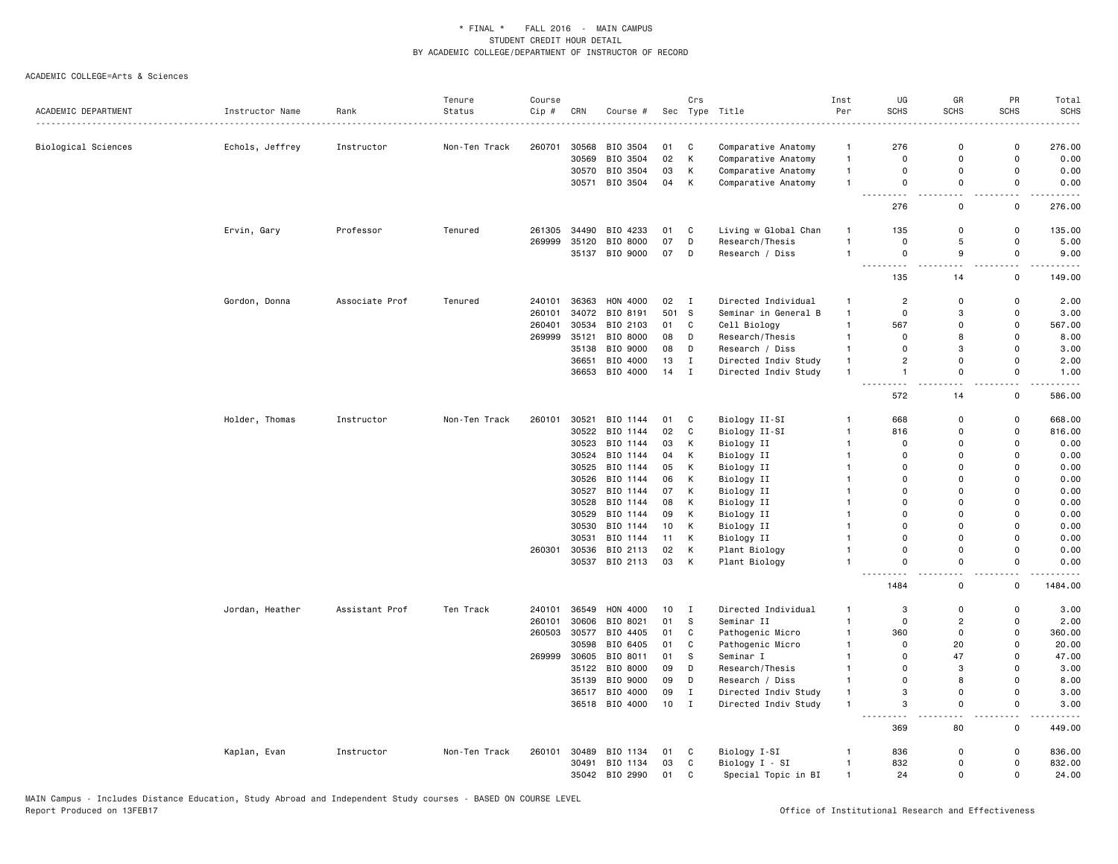|                     |                 |                | Tenure        | Course |       |                |      | Crs          |                      | Inst           | UG                       | GR                        | PR                           | Total       |
|---------------------|-----------------|----------------|---------------|--------|-------|----------------|------|--------------|----------------------|----------------|--------------------------|---------------------------|------------------------------|-------------|
| ACADEMIC DEPARTMENT | Instructor Name | Rank           | Status        | Cip #  | CRN   | Course #       |      |              | Sec Type Title       | Per            | <b>SCHS</b>              | <b>SCHS</b>               | <b>SCHS</b>                  | <b>SCHS</b> |
|                     |                 |                |               |        |       |                |      |              |                      |                |                          |                           |                              |             |
| Biological Sciences | Echols, Jeffrey | Instructor     | Non-Ten Track | 260701 | 30568 | BIO 3504       | 01   | C            | Comparative Anatomy  | $\overline{1}$ | 276                      | $\mathbf 0$               | $\mathsf 0$                  | 276.00      |
|                     |                 |                |               |        | 30569 | BIO 3504       | 02   | К            | Comparative Anatomy  | $\mathbf{1}$   | $\mathbf 0$              | $\mathbf 0$               | $\mathsf 0$                  | 0.00        |
|                     |                 |                |               |        |       | 30570 BIO 3504 | 03   | К            | Comparative Anatomy  | $\overline{1}$ | $\mathbf 0$              | $\mathbf 0$               | 0                            | 0.00        |
|                     |                 |                |               |        | 30571 | BIO 3504       | 04   | К            | Comparative Anatomy  | $\overline{1}$ | $\mathbf 0$<br>--------- | $\Omega$<br>$\sim$ $\sim$ | $\mathbf 0$<br>$\sim$ $\sim$ | 0.00        |
|                     |                 |                |               |        |       |                |      |              |                      |                | 276                      | 0                         | $\mathsf 0$                  | 276.00      |
|                     | Ervin, Gary     | Professor      | Tenured       | 261305 | 34490 | BIO 4233       | 01   | C            | Living w Global Chan | $\overline{1}$ | 135                      | $\Omega$                  | $\mathsf 0$                  | 135.00      |
|                     |                 |                |               | 269999 | 35120 | BIO 8000       | 07   | D            | Research/Thesis      | $\overline{1}$ | $\mathbf 0$              | 5                         | $\mathsf 0$                  | 5.00        |
|                     |                 |                |               |        |       | 35137 BIO 9000 | 07   | D            | Research / Diss      | $\overline{1}$ | $\mathbf 0$              | 9                         | $\mathbf 0$                  | 9.00        |
|                     |                 |                |               |        |       |                |      |              |                      |                | . .<br>135               | $\overline{a}$<br>14      | - -<br>$\mathsf 0$           | 149.00      |
|                     | Gordon, Donna   | Associate Prof | Tenured       | 240101 | 36363 | HON 4000       | 02 I |              | Directed Individual  | $\mathbf{1}$   | $\overline{c}$           | $\mathbf 0$               | $\mathsf 0$                  | 2.00        |
|                     |                 |                |               | 260101 | 34072 | BIO 8191       | 501  | s.           | Seminar in General B | $\overline{1}$ | $\mathbf 0$              | 3                         | 0                            | 3.00        |
|                     |                 |                |               | 260401 | 30534 | BIO 2103       | 01   | C            | Cell Biology         | $\overline{1}$ | 567                      | $\mathbf 0$               | 0                            | 567.00      |
|                     |                 |                |               | 269999 | 35121 | BIO 8000       | 08   | D            | Research/Thesis      | $\overline{1}$ | $\Omega$                 | 8                         | $\mathbf 0$                  | 8.00        |
|                     |                 |                |               |        | 35138 | BIO 9000       | 08   | D            | Research / Diss      | $\mathbf{1}$   | $\mathbf 0$              | 3                         | $\mathbf 0$                  | 3.00        |
|                     |                 |                |               |        | 36651 | BIO 4000       | 13   | $\mathbf I$  | Directed Indiv Study | $\overline{1}$ | $\overline{2}$           | $\overline{0}$            | $\mathbf 0$                  | 2.00        |
|                     |                 |                |               |        |       | 36653 BIO 4000 | 14   | $\mathbf{I}$ | Directed Indiv Study | $\mathbf{1}$   | $\overline{1}$           | $\mathbf 0$               | $\mathsf 0$                  | 1.00        |
|                     |                 |                |               |        |       |                |      |              |                      |                | $\overline{a}$<br>572    | . L<br>14                 | .<br>$\mathsf 0$             | 586.00      |
|                     | Holder, Thomas  | Instructor     | Non-Ten Track | 260101 | 30521 | BIO 1144       | 01   | C            | Biology II-SI        | $\mathbf{1}$   | 668                      | $\mathbf 0$               | 0                            | 668.00      |
|                     |                 |                |               |        | 30522 | BIO 1144       | 02   | C            | Biology II-SI        | $\mathbf{1}$   | 816                      | $\mathbf 0$               | $\mathsf 0$                  | 816.00      |
|                     |                 |                |               |        | 30523 | BIO 1144       | 03   | К            | Biology II           | $\mathbf{1}$   | $\mathbf 0$              | $\Omega$                  | $\mathbf 0$                  | 0.00        |
|                     |                 |                |               |        | 30524 | BIO 1144       | 04   | К            | Biology II           | $\mathbf{1}$   | $\mathbf 0$              | $\mathbf 0$               | $\mathsf 0$                  | 0.00        |
|                     |                 |                |               |        |       | BIO 1144       |      |              |                      | $\overline{1}$ | $\Omega$                 | $\Omega$                  | $\Omega$                     | 0.00        |
|                     |                 |                |               |        | 30525 |                | 05   | К            | Biology II           |                |                          |                           |                              |             |
|                     |                 |                |               |        | 30526 | BIO 1144       | 06   | Κ            | Biology II           | -1             | $\mathbf 0$              | $\mathbf 0$               | $\mathbf 0$<br>$\Omega$      | 0.00        |
|                     |                 |                |               |        | 30527 | BIO 1144       | 07   | К            | Biology II           | $\mathbf{1}$   | $\Omega$                 | $\Omega$                  |                              | 0.00        |
|                     |                 |                |               |        | 30528 | BIO 1144       | 08   | К            | Biology II           | $\overline{1}$ | $\Omega$                 | $\Omega$                  | $\Omega$                     | 0.00        |
|                     |                 |                |               |        | 30529 | BIO 1144       | 09   | Κ            | Biology II           | $\mathbf{1}$   | $\mathbf 0$              | $\Omega$                  | $\mathbf 0$                  | 0.00        |
|                     |                 |                |               |        | 30530 | BIO 1144       | 10   | К            | Biology II           | $\mathbf{1}$   | $\mathbf 0$              | $\Omega$                  | $\mathsf 0$                  | 0.00        |
|                     |                 |                |               |        | 30531 | BIO 1144       | 11   | К            | Biology II           | $\mathbf{1}$   | $\Omega$                 | $\Omega$                  | $\mathsf 0$                  | 0.00        |
|                     |                 |                |               | 260301 | 30536 | BIO 2113       | 02   | Κ            | Plant Biology        | $\overline{1}$ | $\Omega$                 | $\Omega$                  | $\Omega$                     | 0.00        |
|                     |                 |                |               |        |       | 30537 BIO 2113 | 03   | к            | Plant Biology        | $\mathbf{1}$   | $\Omega$                 | $\Omega$                  | $\mathbf 0$                  | 0.00        |
|                     |                 |                |               |        |       |                |      |              |                      |                | 1484                     | $\mathbf 0$               | 0                            | 1484.00     |
|                     | Jordan, Heather | Assistant Prof | Ten Track     | 240101 | 36549 | HON 4000       | 10   | Ι            | Directed Individual  | $\mathbf{1}$   | 3                        | $\mathbf 0$               | 0                            | 3.00        |
|                     |                 |                |               | 260101 | 30606 | BIO 8021       | 01   | <sub>S</sub> | Seminar II           | $\mathbf{1}$   | 0                        | $\overline{2}$            | 0                            | 2.00        |
|                     |                 |                |               | 260503 | 30577 | BIO 4405       | 01   | С            | Pathogenic Micro     | $\mathbf{1}$   | 360                      | $\mathbf 0$               | $\mathbf 0$                  | 360.00      |
|                     |                 |                |               |        | 30598 | BIO 6405       | 01   | $\mathtt{C}$ | Pathogenic Micro     | $\mathbf{1}$   | $\Omega$                 | 20                        | $\Omega$                     | 20.00       |
|                     |                 |                |               | 269999 | 30605 | BIO 8011       | 01   | <sub>S</sub> | Seminar I            | $\mathbf{1}$   | $\mathbf 0$              | 47                        | 0                            | 47.00       |
|                     |                 |                |               |        | 35122 | BIO 8000       | 09   | D            | Research/Thesis      | $\overline{1}$ | $\Omega$                 | 3                         | $\mathbf 0$                  | 3.00        |
|                     |                 |                |               |        | 35139 | BIO 9000       | 09   | D            | Research / Diss      | $\mathbf{1}$   | $\mathbf 0$              | 8                         | 0                            | 8.00        |
|                     |                 |                |               |        |       | 36517 BIO 4000 | 09   | $\;$ I       | Directed Indiv Study | $\overline{1}$ | 3                        | $\Omega$                  | $\mathsf 0$                  | 3.00        |
|                     |                 |                |               |        |       | 36518 BIO 4000 | 10   | $\mathbf{I}$ | Directed Indiv Study | $\overline{1}$ | 3                        | $\Omega$                  | $\mathbf 0$                  | 3.00        |
|                     |                 |                |               |        |       |                |      |              |                      |                | 369                      | 80                        | . .<br>0                     | 449.00      |
|                     | Kaplan, Evan    | Instructor     | Non-Ten Track | 260101 | 30489 | BIO 1134       | 01   | C            | Biology I-SI         | -1             | 836                      | $\mathbf 0$               | $\mathsf 0$                  | 836.00      |
|                     |                 |                |               |        | 30491 | BIO 1134       | 03   | $\mathbf c$  | Biology I - SI       | $\overline{1}$ | 832                      | $\mathbf 0$               | $\mathsf 0$                  | 832.00      |
|                     |                 |                |               |        |       | 35042 BIO 2990 | 01   | $\mathtt{C}$ | Special Topic in BI  | $\overline{1}$ | 24                       | $\Omega$                  | $\mathbf 0$                  | 24.00       |
|                     |                 |                |               |        |       |                |      |              |                      |                |                          |                           |                              |             |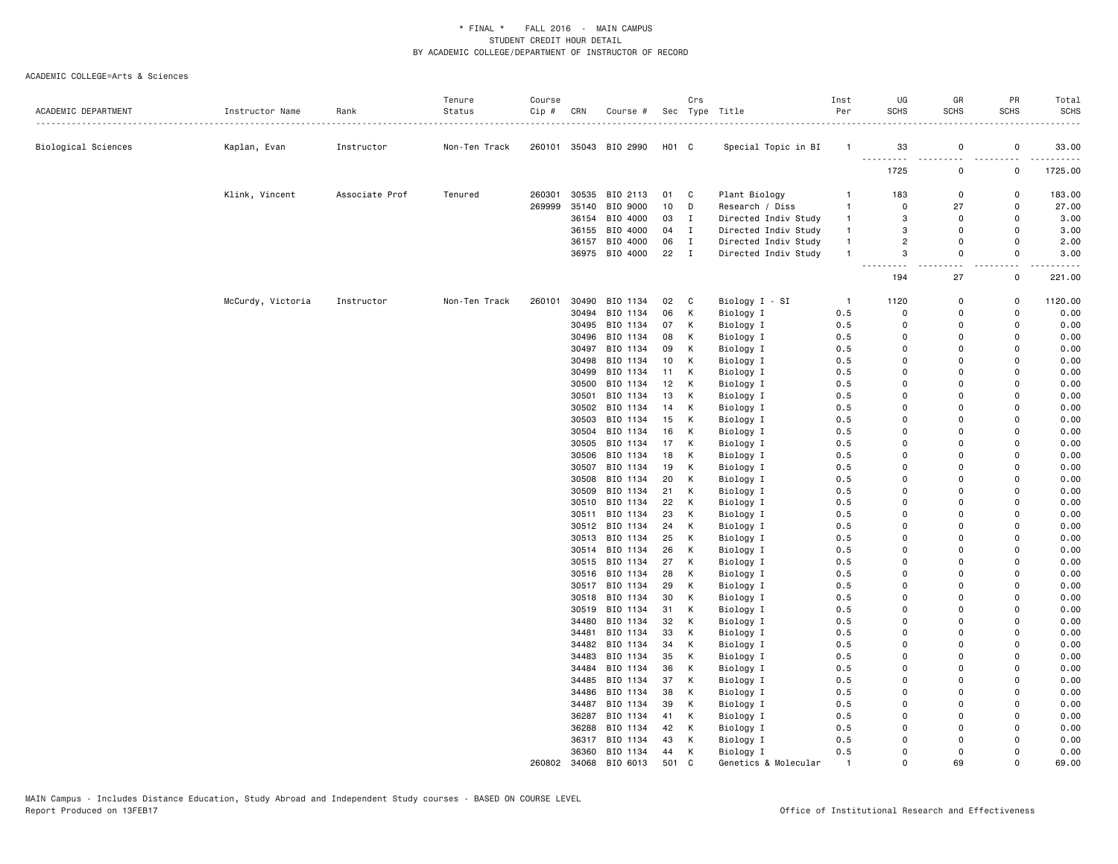|                     |                   |                | Tenure        | Course |                |                       |                   | Crs          |                        | Inst           | UG                   | GR                   | PR                   | Total        |
|---------------------|-------------------|----------------|---------------|--------|----------------|-----------------------|-------------------|--------------|------------------------|----------------|----------------------|----------------------|----------------------|--------------|
| ACADEMIC DEPARTMENT | Instructor Name   | Rank           | Status        | Cip#   | CRN            | Course #              |                   |              | Sec Type Title         | Per            | <b>SCHS</b>          | SCHS                 | SCHS                 | <b>SCHS</b>  |
| Biological Sciences | Kaplan, Evan      | Instructor     | Non-Ten Track |        |                | 260101 35043 BIO 2990 | H <sub>01</sub> C |              | Special Topic in BI    | -1             | 33                   | $\mathsf 0$          | $\mathsf 0$          | 33.00        |
|                     |                   |                |               |        |                |                       |                   |              |                        |                | 1725                 | 0                    | 0                    | 1725.00      |
|                     | Klink, Vincent    | Associate Prof | Tenured       | 260301 | 30535          | BIO 2113              | 01                | C            | Plant Biology          | -1             | 183                  | 0                    | 0                    | 183.00       |
|                     |                   |                |               | 269999 | 35140          | BIO 9000              | 10                | D            | Research / Diss        | $\mathbf{1}$   | 0                    | 27                   | 0                    | 27.00        |
|                     |                   |                |               |        |                | 36154 BIO 4000        | 03                | $\mathbf{I}$ | Directed Indiv Study   | $\mathbf{1}$   | 3                    | 0                    | $\Omega$             | 3.00         |
|                     |                   |                |               |        |                | 36155 BIO 4000        | 04                | $\mathbf{I}$ | Directed Indiv Study   | $\mathbf{1}$   | 3                    | 0                    | 0                    | 3.00         |
|                     |                   |                |               |        |                | 36157 BIO 4000        | 06                | $\mathbf{I}$ | Directed Indiv Study   | $\mathbf{1}$   | $\overline{2}$       | $\mathbf 0$          | $\Omega$             | 2.00         |
|                     |                   |                |               |        |                | 36975 BIO 4000        | 22                | $\mathbf{I}$ | Directed Indiv Study   | $\mathbf{1}$   | 3                    | 0                    | 0                    | 3.00         |
|                     |                   |                |               |        |                |                       |                   |              |                        |                | 194                  | 27                   | $\mathbf 0$          | 221.00       |
|                     | McCurdy, Victoria | Instructor     | Non-Ten Track | 260101 | 30490          | BIO 1134              | 02                | C            | Biology I - SI         | $\overline{1}$ | 1120                 | $\Omega$             | 0                    | 1120.00      |
|                     |                   |                |               |        | 30494          | BIO 1134              | 06                | Κ            | Biology I              | 0.5            | $\Omega$             | 0                    | $\Omega$             | 0.00         |
|                     |                   |                |               |        | 30495          | BIO 1134              | 07                | Κ            | Biology I              | 0.5            | 0                    | $\Omega$             | 0                    | 0.00         |
|                     |                   |                |               |        |                | 30496 BIO 1134        | 08                | Κ            | Biology I              | 0.5            | 0                    | $\Omega$             | $\Omega$             | 0.00         |
|                     |                   |                |               |        | 30497          | BIO 1134              | 09                | Κ            | Biology I              | 0.5            | $\Omega$             | $\Omega$             | $\Omega$             | 0.00         |
|                     |                   |                |               |        | 30498          | BIO 1134              | 10                | Κ            | Biology I              | 0.5            | $\Omega$             | $\Omega$             | $\Omega$             | 0.00         |
|                     |                   |                |               |        |                | 30499 BIO 1134        | 11                | K            | Biology I              | 0.5            | $\Omega$             | $\Omega$             | $\Omega$             | 0.00         |
|                     |                   |                |               |        | 30500          | BIO 1134              | 12                | Κ            | Biology I              | 0.5            | 0                    | 0                    | 0                    | 0.00         |
|                     |                   |                |               |        | 30501          | BIO 1134              | 13                | Κ            | Biology I              | 0.5            | $\Omega$             | $\Omega$             | $\Omega$             | 0.00         |
|                     |                   |                |               |        |                | 30502 BIO 1134        | 14                | Κ            | Biology I              | 0.5            | $\Omega$             | $\Omega$             | $\Omega$             | 0.00         |
|                     |                   |                |               |        |                | 30503 BIO 1134        | 15                | Κ            | Biology I              | 0.5            | 0                    | $\Omega$             | 0                    | 0.00         |
|                     |                   |                |               |        |                | 30504 BIO 1134        | 16                | К            | Biology I              | 0.5            | $\Omega$             | $\Omega$             | $\Omega$             | 0.00         |
|                     |                   |                |               |        |                | 30505 BIO 1134        | 17                | Κ            | Biology I              | 0.5            | $\Omega$             | $\Omega$             | $\Omega$             | 0.00         |
|                     |                   |                |               |        |                | 30506 BIO 1134        | 18                | Κ            | Biology I              | 0.5            | $\Omega$             | $\Omega$<br>$\Omega$ | 0                    | 0.00         |
|                     |                   |                |               |        |                | 30507 BIO 1134        | 19                | K            | Biology I              | 0.5            | $\Omega$<br>$\Omega$ | $\Omega$             | $\Omega$<br>$\Omega$ | 0.00         |
|                     |                   |                |               |        | 30508<br>30509 | BIO 1134<br>BIO 1134  | 20<br>21          | К<br>К       | Biology I              | 0.5<br>0.5     | $\Omega$             | $\Omega$             | $\Omega$             | 0.00<br>0.00 |
|                     |                   |                |               |        |                | 30510 BIO 1134        | 22                | Κ            | Biology I<br>Biology I | 0.5            | $\Omega$             | $\Omega$             | $\Omega$             | 0.00         |
|                     |                   |                |               |        | 30511          | BIO 1134              | 23                | Κ            | Biology I              | 0.5            | 0                    | $\Omega$             | 0                    | 0.00         |
|                     |                   |                |               |        |                | 30512 BIO 1134        | 24                | К            | Biology I              | 0.5            | $\Omega$             | $\Omega$             | $\Omega$             | 0.00         |
|                     |                   |                |               |        |                | 30513 BIO 1134        | 25                | Κ            | Biology I              | 0.5            | $\Omega$             | $\Omega$             | $\Omega$             | 0.00         |
|                     |                   |                |               |        |                | 30514 BIO 1134        | 26                | Κ            | Biology I              | 0.5            | $\Omega$             | $\Omega$             | $\Omega$             | 0.00         |
|                     |                   |                |               |        |                | 30515 BIO 1134        | 27                | K            | Biology I              | 0.5            | $\Omega$             | $\Omega$             | $\Omega$             | 0.00         |
|                     |                   |                |               |        |                | 30516 BIO 1134        | 28                | K            | Biology I              | 0.5            | $\Omega$             | $\Omega$             | 0                    | 0.00         |
|                     |                   |                |               |        |                | 30517 BIO 1134        | 29                | Κ            | Biology I              | 0.5            | $\Omega$             | $\Omega$             | $\Omega$             | 0.00         |
|                     |                   |                |               |        |                | 30518 BIO 1134        | 30                | К            | Biology I              | 0.5            | $\Omega$             | $\Omega$             | $\Omega$             | 0.00         |
|                     |                   |                |               |        |                | 30519 BIO 1134        | 31                | Κ            | Biology I              | 0.5            | 0                    | 0                    | $\Omega$             | 0.00         |
|                     |                   |                |               |        | 34480          | BIO 1134              | 32                | Κ            | Biology I              | 0.5            | $\Omega$             | $\Omega$             | $\Omega$             | 0.00         |
|                     |                   |                |               |        | 34481          | BIO 1134              | 33                | Κ            | Biology I              | 0.5            | $\Omega$             | $\Omega$             | $\Omega$             | 0.00         |
|                     |                   |                |               |        |                | 34482 BIO 1134        | 34                | Κ            | Biology I              | 0.5            | 0                    | $\Omega$             | 0                    | 0.00         |
|                     |                   |                |               |        | 34483          | BIO 1134              | 35                | К            | Biology I              | 0.5            | $\Omega$             | $\Omega$             | $\Omega$             | 0.00         |
|                     |                   |                |               |        | 34484          | BIO 1134              | 36                | Κ            | Biology I              | 0.5            | $\Omega$             | $\Omega$             | $\Omega$             | 0.00         |
|                     |                   |                |               |        |                | 34485 BIO 1134        | 37                | Κ            | Biology I              | 0.5            | $\Omega$             | $\Omega$             | $\Omega$             | 0.00         |
|                     |                   |                |               |        |                | 34486 BIO 1134        | 38                | Κ            | Biology I              | 0.5            | $\Omega$             | $\Omega$             | $\Omega$             | 0.00         |
|                     |                   |                |               |        | 34487          | BIO 1134              | 39                | К            | Biology I              | 0.5            | $\Omega$             | $\Omega$             | 0                    | 0.00         |
|                     |                   |                |               |        |                | 36287 BIO 1134        | 41                | Κ            | Biology I              | 0.5            | $\Omega$             | $\Omega$             | $\Omega$             | 0.00         |
|                     |                   |                |               |        |                | 36288 BIO 1134        | 42                | К            | Biology I              | 0.5            | $\Omega$             | $\Omega$             | $\Omega$             | 0.00         |
|                     |                   |                |               |        |                | 36317 BIO 1134        | 43                | Κ            | Biology I              | 0.5            | $\Omega$             | $\Omega$             | 0                    | 0.00         |
|                     |                   |                |               |        |                | 36360 BIO 1134        | 44                | К            | Biology I              | 0.5            | $\Omega$             | $\Omega$             | $\Omega$             | 0.00         |
|                     |                   |                |               | 260802 | 34068          | BIO 6013              | 501               | C            | Genetics & Molecular   |                | $\Omega$             | 69                   | $\Omega$             | 69.00        |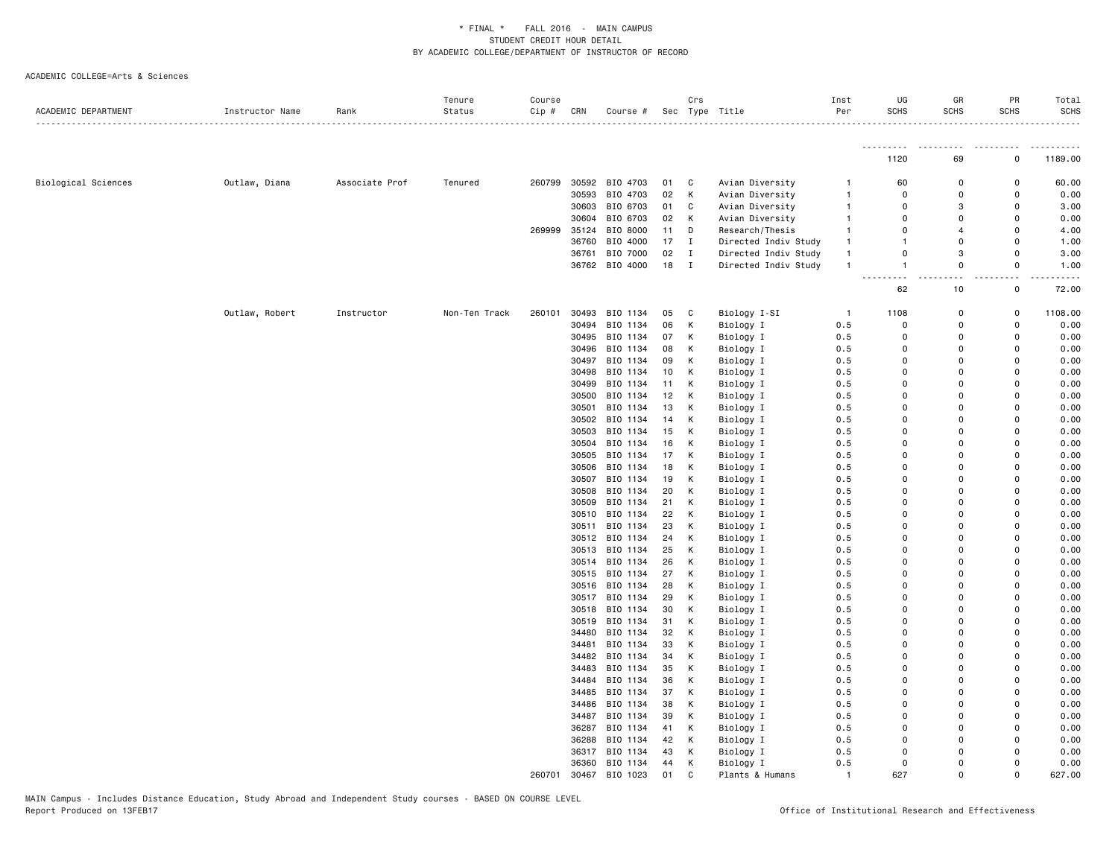| ACADEMIC DEPARTMENT | Instructor Name | Rank           | Tenure<br>Status | Course<br>Cip # | CRN   | Course #       |    | Crs          | Sec Type Title       | Inst<br>Per    | UG<br><b>SCHS</b> | GR<br><b>SCHS</b> | PR<br><b>SCHS</b> | Total<br><b>SCHS</b> |
|---------------------|-----------------|----------------|------------------|-----------------|-------|----------------|----|--------------|----------------------|----------------|-------------------|-------------------|-------------------|----------------------|
|                     |                 |                |                  |                 |       |                |    |              |                      |                | <u>.</u>          |                   |                   |                      |
|                     |                 |                |                  |                 |       |                |    |              |                      |                | 1120              | 69                | 0                 | 1189.00              |
| Biological Sciences | Outlaw, Diana   | Associate Prof | Tenured          | 260799          | 30592 | BIO 4703       | 01 | C            | Avian Diversity      | -1             | 60                | $\mathbf 0$       | 0                 | 60.00                |
|                     |                 |                |                  |                 | 30593 | BIO 4703       | 02 | К            | Avian Diversity      | $\mathbf{1}$   | $\mathbf 0$       | $\mathbf 0$       | 0                 | 0.00                 |
|                     |                 |                |                  |                 | 30603 | BIO 6703       | 01 | C            | Avian Diversity      | $\overline{1}$ | $\Omega$          | 3                 | $\Omega$          | 3.00                 |
|                     |                 |                |                  |                 | 30604 | BIO 6703       | 02 | Κ            | Avian Diversity      | $\mathbf{1}$   | $\Omega$          | $\Omega$          | $\Omega$          | 0.00                 |
|                     |                 |                |                  | 269999          | 35124 | BIO 8000       | 11 | D            | Research/Thesis      | $\mathbf{1}$   | 0                 | $\overline{4}$    | $\Omega$          | 4.00                 |
|                     |                 |                |                  |                 | 36760 | BIO 4000       | 17 | I            | Directed Indiv Study | $\mathbf{1}$   | $\mathbf{1}$      | $\mathbf 0$       | 0                 | 1.00                 |
|                     |                 |                |                  |                 |       | 36761 BIO 7000 | 02 | $\mathbf I$  | Directed Indiv Study | $\mathbf{1}$   | 0                 | 3                 | 0                 | 3.00                 |
|                     |                 |                |                  |                 |       | 36762 BIO 4000 | 18 | $\mathbf{I}$ | Directed Indiv Study | $\overline{1}$ | $\mathbf{1}$      | $\Omega$          | $\Omega$          | 1.00                 |
|                     |                 |                |                  |                 |       |                |    |              |                      |                | 62                | 10                | 0                 | 72.00                |
|                     | Outlaw, Robert  | Instructor     | Non-Ten Track    | 260101          |       | 30493 BIO 1134 | 05 | С            | Biology I-SI         | -1             | 1108              | 0                 | $\Omega$          | 1108.00              |
|                     |                 |                |                  |                 | 30494 | BIO 1134       | 06 | Κ            | Biology I            | 0.5            | 0                 | $\Omega$          | 0                 | 0.00                 |
|                     |                 |                |                  |                 |       | 30495 BIO 1134 | 07 | К            | Biology I            | 0.5            | $\mathbf 0$       | $\Omega$          | $\Omega$          | 0.00                 |
|                     |                 |                |                  |                 | 30496 | BIO 1134       | 08 | К            | Biology I            | 0.5            | $\Omega$          | $\Omega$          | $\Omega$          | 0.00                 |
|                     |                 |                |                  |                 | 30497 | BIO 1134       | 09 | Κ            | Biology I            | 0.5            | 0                 | $\Omega$          | $\Omega$          | 0.00                 |
|                     |                 |                |                  |                 | 30498 | BIO 1134       | 10 | К            | Biology I            | 0.5            | 0                 | $\Omega$          | $\Omega$          | 0.00                 |
|                     |                 |                |                  |                 | 30499 | BIO 1134       | 11 | К            | Biology I            | 0.5            | 0                 | $\Omega$          | $\Omega$          | 0.00                 |
|                     |                 |                |                  |                 | 30500 | BIO 1134       | 12 | К            | Biology I            | 0.5            | 0                 | $\Omega$          | $\Omega$          | 0.00                 |
|                     |                 |                |                  |                 | 30501 | BIO 1134       | 13 | К            | Biology I            | 0.5            | 0                 | $\mathbf 0$       | $\Omega$          | 0.00                 |
|                     |                 |                |                  |                 |       | 30502 BIO 1134 | 14 | Κ            | Biology I            | 0.5            | 0                 | $\Omega$          | $\Omega$          | 0.00                 |
|                     |                 |                |                  |                 |       | 30503 BIO 1134 | 15 | К            | Biology I            | 0.5            | $\Omega$          | $\Omega$          | $\Omega$          | 0.00                 |
|                     |                 |                |                  |                 |       | 30504 BIO 1134 | 16 | К            | Biology I            | 0.5            | $\Omega$          | $\Omega$          | $\Omega$          | 0.00                 |
|                     |                 |                |                  |                 |       | 30505 BIO 1134 | 17 | К            | Biology I            | 0.5            | 0                 | $\Omega$          | $\Omega$          | 0.00                 |
|                     |                 |                |                  |                 | 30506 | BIO 1134       | 18 | К            | Biology I            | 0.5            | 0                 | 0                 | 0                 | 0.00                 |
|                     |                 |                |                  |                 |       | 30507 BIO 1134 | 19 | К            | Biology I            | 0.5            | $\Omega$          | 0                 | $\Omega$          | 0.00                 |
|                     |                 |                |                  |                 |       | 30508 BIO 1134 | 20 | Κ            | Biology I            | 0.5            | $\Omega$          | $\Omega$          | $\Omega$          | 0.00                 |
|                     |                 |                |                  |                 | 30509 | BIO 1134       | 21 | Κ            | Biology I            | 0.5            | $\Omega$          | $\Omega$          | $\Omega$          | 0.00                 |
|                     |                 |                |                  |                 |       | 30510 BIO 1134 | 22 | К            | Biology I            | 0.5            | $\Omega$          | $\Omega$          | $\Omega$          | 0.00                 |
|                     |                 |                |                  |                 |       | 30511 BIO 1134 | 23 | Κ            | Biology I            | 0.5            | 0                 | $\Omega$          | 0                 | 0.00                 |
|                     |                 |                |                  |                 |       | 30512 BIO 1134 | 24 | К            | Biology I            | 0.5            | 0                 | $\Omega$          | $\Omega$          | 0.00                 |
|                     |                 |                |                  |                 | 30513 | BIO 1134       | 25 | Κ            | Biology I            | 0.5            | $\Omega$          | $\Omega$          | $\Omega$          | 0.00                 |
|                     |                 |                |                  |                 |       | 30514 BIO 1134 | 26 | К            | Biology I            | 0.5            | 0                 | $\Omega$          | $\Omega$          | 0.00                 |
|                     |                 |                |                  |                 |       | 30515 BIO 1134 | 27 | Κ            | Biology I            | 0.5            | 0                 | $\mathbf 0$       | $\Omega$          | 0.00                 |
|                     |                 |                |                  |                 | 30516 | BIO 1134       | 28 | К            | Biology I            | 0.5            | 0                 | $\Omega$          | $\Omega$          | 0.00                 |
|                     |                 |                |                  |                 |       | 30517 BIO 1134 | 29 | К            | Biology I            | 0.5            | $\Omega$          | $\Omega$          | $\Omega$          | 0.00                 |
|                     |                 |                |                  |                 |       | 30518 BIO 1134 | 30 | К            | Biology I            | 0.5            | 0                 | $\Omega$          | $\Omega$          | 0.00                 |
|                     |                 |                |                  |                 | 30519 | BIO 1134       | 31 | К            | Biology I            | 0.5            | 0                 | $\Omega$          | $\Omega$          | 0.00                 |
|                     |                 |                |                  |                 | 34480 | BIO 1134       | 32 | К            | Biology I            | 0.5            | 0                 | 0                 | 0                 | 0.00                 |
|                     |                 |                |                  |                 |       | 34481 BIO 1134 | 33 | К            | Biology I            | 0.5            | $\Omega$          | $\Omega$          | $\Omega$          | 0.00                 |
|                     |                 |                |                  |                 |       | 34482 BIO 1134 | 34 | К            | Biology I            | 0.5            | $\Omega$          | $\Omega$          | $\Omega$          | 0.00                 |
|                     |                 |                |                  |                 | 34483 | BIO 1134       | 35 | Κ            | Biology I            | 0.5            | $\Omega$          | $\Omega$          | $\Omega$          | 0.00                 |
|                     |                 |                |                  |                 | 34484 | BIO 1134       | 36 | К            | Biology I            | 0.5            | 0                 | $\Omega$          | $\Omega$          | 0.00                 |
|                     |                 |                |                  |                 | 34485 | BIO 1134       | 37 | Κ            | Biology I            | 0.5            | 0                 | 0                 | 0                 | 0.00                 |
|                     |                 |                |                  |                 | 34486 | BIO 1134       | 38 | К            | Biology I            | 0.5            | $\Omega$          | $\Omega$          | $\Omega$          | 0.00                 |
|                     |                 |                |                  |                 | 34487 | BIO 1134       | 39 | К            | Biology I            | 0.5            | $\Omega$          | $\Omega$          | $\Omega$          | 0.00                 |
|                     |                 |                |                  |                 |       | 36287 BIO 1134 | 41 | Κ            | Biology I            | 0.5            | $\Omega$          | $\Omega$          | $\Omega$          | 0.00                 |
|                     |                 |                |                  |                 | 36288 | BIO 1134       | 42 | Κ            | Biology I            | 0.5            | $\Omega$          | $\Omega$          | $\Omega$          | 0.00                 |
|                     |                 |                |                  |                 |       | 36317 BIO 1134 | 43 | Κ            | Biology I            | 0.5            | $\mathbf 0$       | $\Omega$          | $\Omega$          | 0.00                 |
|                     |                 |                |                  |                 | 36360 | BIO 1134       | 44 | К            | Biology I            | 0.5            | $\mathsf{o}$      | $\Omega$          | $\Omega$          | 0.00                 |
|                     |                 |                |                  | 260701          | 30467 | BIO 1023       | 01 | $\mathsf{C}$ | Plants & Humans      | $\overline{1}$ | 627               | $\Omega$          | $\Omega$          | 627.00               |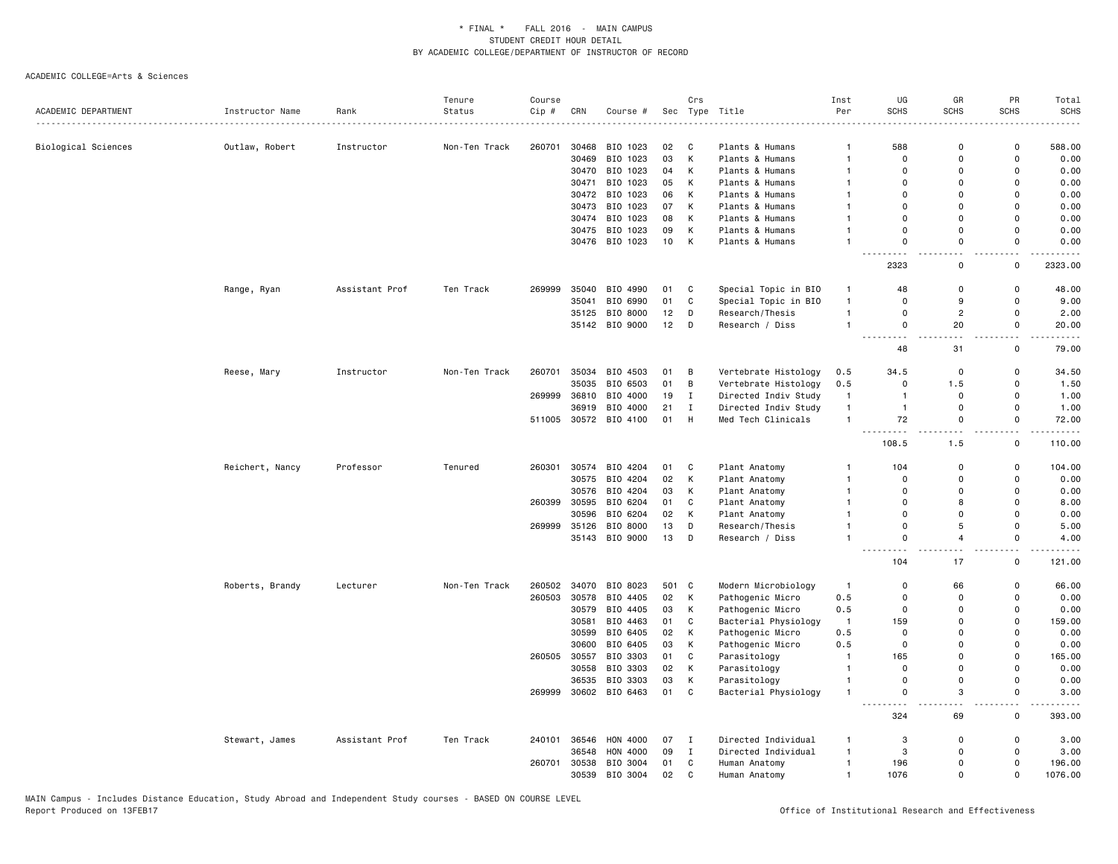|                     |                 |                | Tenure        | Course |       |                       |       | Crs          |                      | Inst           | UG                               | GR                    | PR                                      | Total                                                                                                                                                         |
|---------------------|-----------------|----------------|---------------|--------|-------|-----------------------|-------|--------------|----------------------|----------------|----------------------------------|-----------------------|-----------------------------------------|---------------------------------------------------------------------------------------------------------------------------------------------------------------|
| ACADEMIC DEPARTMENT | Instructor Name | Rank           | Status        | Cip #  | CRN   | Course #              |       |              | Sec Type Title       | Per            | <b>SCHS</b>                      | <b>SCHS</b>           | SCHS                                    | <b>SCHS</b>                                                                                                                                                   |
|                     |                 |                |               |        |       |                       |       |              |                      |                |                                  |                       |                                         |                                                                                                                                                               |
| Biological Sciences | Outlaw, Robert  | Instructor     | Non-Ten Track | 260701 | 30468 | BIO 1023              | 02    | C            | Plants & Humans      | $\mathbf{1}$   | 588                              | 0                     | 0                                       | 588.00                                                                                                                                                        |
|                     |                 |                |               |        | 30469 | BIO 1023              | 03    | К            | Plants & Humans      | 1              | $\mathbf 0$                      | 0                     | 0                                       | 0.00                                                                                                                                                          |
|                     |                 |                |               |        |       | 30470 BIO 1023        | 04    | K            | Plants & Humans      | $\mathbf{1}$   | $\Omega$                         | $\mathbf 0$           | $\Omega$                                | 0.00                                                                                                                                                          |
|                     |                 |                |               |        |       | 30471 BIO 1023        | 05    | K            | Plants & Humans      | $\mathbf{1}$   | $\Omega$                         | $\Omega$              | $\Omega$                                | 0.00                                                                                                                                                          |
|                     |                 |                |               |        |       | 30472 BIO 1023        | 06    | К            | Plants & Humans      | $\mathbf{1}$   | $\Omega$                         | $\mathbf 0$           | $\Omega$                                | 0.00                                                                                                                                                          |
|                     |                 |                |               |        |       | 30473 BIO 1023        | 07    | Κ            | Plants & Humans      | $\mathbf{1}$   | $\mathbf 0$                      | $\mathbf 0$           | $\mathbf 0$                             | 0.00                                                                                                                                                          |
|                     |                 |                |               |        | 30474 | BIO 1023              | 08    | К            | Plants & Humans      | $\mathbf{1}$   | $\Omega$                         | $\Omega$              | $\Omega$                                | 0.00                                                                                                                                                          |
|                     |                 |                |               |        |       | 30475 BIO 1023        | 09    | K            | Plants & Humans      | $\mathbf{1}$   | $\Omega$                         | $\mathbf 0$           | $\mathbf 0$                             | 0.00                                                                                                                                                          |
|                     |                 |                |               |        |       | 30476 BIO 1023        | 10    | К            | Plants & Humans      | $\mathbf{1}$   | $\mathbf 0$<br>. .               | $\mathsf 0$           | $\mathbf 0$                             | 0.00                                                                                                                                                          |
|                     |                 |                |               |        |       |                       |       |              |                      |                | 2323                             | $\mathsf 0$           | $\mathsf 0$                             | 2323.00                                                                                                                                                       |
|                     | Range, Ryan     | Assistant Prof | Ten Track     | 269999 | 35040 | BIO 4990              | 01    | C            | Special Topic in BIO | $\mathbf{1}$   | 48                               | 0                     | 0                                       | 48.00                                                                                                                                                         |
|                     |                 |                |               |        | 35041 | BIO 6990              | 01    | $\mathtt{C}$ | Special Topic in BIO | $\mathbf{1}$   | $\Omega$                         | 9                     | $\mathsf 0$                             | 9.00                                                                                                                                                          |
|                     |                 |                |               |        | 35125 | BIO 8000              | 12    | D            | Research/Thesis      | $\mathbf{1}$   | $\Omega$                         | $\overline{c}$        | $\mathbf 0$                             | 2.00                                                                                                                                                          |
|                     |                 |                |               |        |       | 35142 BIO 9000        | 12    | D            | Research / Diss      | $\mathbf{1}$   | $\mathbf 0$<br>.                 | 20                    | $\mathbf 0$<br>$\overline{\phantom{a}}$ | 20.00<br>$\frac{1}{2} \left( \frac{1}{2} \right) \left( \frac{1}{2} \right) \left( \frac{1}{2} \right) \left( \frac{1}{2} \right) \left( \frac{1}{2} \right)$ |
|                     |                 |                |               |        |       |                       |       |              |                      |                | $\frac{1}{2}$<br>48              | 31                    | $\mathsf 0$                             | 79.00                                                                                                                                                         |
|                     | Reese, Mary     | Instructor     | Non-Ten Track | 260701 | 35034 | BIO 4503              | 01    | B            | Vertebrate Histology | 0.5            | 34.5                             | 0                     | 0                                       | 34.50                                                                                                                                                         |
|                     |                 |                |               |        | 35035 | BIO 6503              | 01    | В            | Vertebrate Histology | 0.5            | $\mathbf 0$                      | 1.5                   | $\mathbf 0$                             | 1.50                                                                                                                                                          |
|                     |                 |                |               | 269999 |       | 36810 BIO 4000        | 19    | $\mathbf{I}$ | Directed Indiv Study | $\overline{1}$ | $\overline{1}$                   | $\mathbf 0$           | $\mathbf 0$                             | 1.00                                                                                                                                                          |
|                     |                 |                |               |        | 36919 | BIO 4000              | 21    | $\mathbf{I}$ | Directed Indiv Study | $\overline{1}$ | $\overline{1}$                   | 0                     | $\mathsf 0$                             | 1.00                                                                                                                                                          |
|                     |                 |                |               |        |       | 511005 30572 BIO 4100 | 01    | H            | Med Tech Clinicals   | $\overline{1}$ | 72                               | $\mathbf 0$           | $\mathbf 0$                             | 72.00<br>.                                                                                                                                                    |
|                     |                 |                |               |        |       |                       |       |              |                      |                | .<br>108.5                       | $\frac{1}{2}$<br>1.5  | $\sim$ $\sim$<br>$\mathbf 0$            | 110.00                                                                                                                                                        |
|                     | Reichert, Nancy | Professor      | Tenured       | 260301 | 30574 | BIO 4204              | 01    | C            | Plant Anatomy        | $\overline{1}$ | 104                              | $\mathbf 0$           | $\mathbf 0$                             | 104.00                                                                                                                                                        |
|                     |                 |                |               |        | 30575 | BIO 4204              | 02    | Κ            | Plant Anatomy        | $\mathbf{1}$   | $\Omega$                         | $\mathbf 0$           | $\mathbf 0$                             | 0.00                                                                                                                                                          |
|                     |                 |                |               |        | 30576 | BIO 4204              | 03    | Κ            | Plant Anatomy        | $\overline{1}$ | $\mathbf 0$                      | $\mathbf 0$           | $\mathbf 0$                             | 0.00                                                                                                                                                          |
|                     |                 |                |               | 260399 | 30595 | BIO 6204              | 01    | C            | Plant Anatomy        | $\overline{1}$ | $\Omega$                         | 8                     | $\mathbf{0}$                            | 8.00                                                                                                                                                          |
|                     |                 |                |               |        | 30596 | BIO 6204              | 02    | κ            | Plant Anatomy        | $\mathbf{1}$   | $\mathbf 0$                      | 0                     | $\Omega$                                | 0.00                                                                                                                                                          |
|                     |                 |                |               | 269999 | 35126 | BIO 8000              | 13    | D            | Research/Thesis      | $\mathbf{1}$   | $\mathbf 0$                      | $\sqrt{5}$            | $\mathbf 0$                             | 5.00                                                                                                                                                          |
|                     |                 |                |               |        |       | 35143 BIO 9000        | 13    | D            | Research / Diss      | 1              | $\Omega$<br>$\sim$ $\sim$ $\sim$ | $\overline{4}$<br>i a | $\mathbf 0$<br>$\overline{\phantom{a}}$ | 4.00                                                                                                                                                          |
|                     |                 |                |               |        |       |                       |       |              |                      |                | 104                              | 17                    | 0                                       | 121.00                                                                                                                                                        |
|                     | Roberts, Brandy | Lecturer       | Non-Ten Track | 260502 | 34070 | BIO 8023              | 501 C |              | Modern Microbiology  | $\overline{1}$ | $\mathbf 0$                      | 66                    | $\mathbf 0$                             | 66.00                                                                                                                                                         |
|                     |                 |                |               | 260503 | 30578 | BIO 4405              | 02    | К            | Pathogenic Micro     | 0.5            | 0                                | 0                     | 0                                       | 0.00                                                                                                                                                          |
|                     |                 |                |               |        | 30579 | BIO 4405              | 03    | Κ            | Pathogenic Micro     | 0.5            | $\mathbf 0$                      | 0                     | $\mathbf 0$                             | 0.00                                                                                                                                                          |
|                     |                 |                |               |        | 30581 | BIO 4463              | 01    | $\mathtt{C}$ | Bacterial Physiology | $\mathbf{1}$   | 159                              | $\Omega$              | $\Omega$                                | 159.00                                                                                                                                                        |
|                     |                 |                |               |        | 30599 | BIO 6405              | 02    | Κ            | Pathogenic Micro     | 0.5            | $\mathbf 0$                      | $\mathbf 0$           | $\Omega$                                | 0.00                                                                                                                                                          |
|                     |                 |                |               |        | 30600 | BIO 6405              | 03    | К            | Pathogenic Micro     | 0.5            | $\mathsf 0$                      | $\mathbf 0$           | $\mathbf 0$                             | 0.00                                                                                                                                                          |
|                     |                 |                |               | 260505 | 30557 | BIO 3303              | 01    | C            | Parasitology         | $\mathbf{1}$   | 165                              | 0                     | 0                                       | 165.00                                                                                                                                                        |
|                     |                 |                |               |        | 30558 | BIO 3303              | 02    | К            | Parasitology         | $\overline{1}$ | $\Omega$                         | $\Omega$              | $\Omega$                                | 0.00                                                                                                                                                          |
|                     |                 |                |               |        | 36535 | BIO 3303              | 03    | K            | Parasitology         | $\overline{1}$ | $\Omega$                         | $\mathbf 0$           | $\Omega$                                | 0.00                                                                                                                                                          |
|                     |                 |                |               | 269999 |       | 30602 BIO 6463        | 01    | C            | Bacterial Physiology | $\mathbf{1}$   | $\mathbf 0$<br>$\sim$ $\sim$     | 3<br>$ -$             | $\mathbf 0$<br>$\overline{\phantom{a}}$ | 3.00                                                                                                                                                          |
|                     |                 |                |               |        |       |                       |       |              |                      |                | 324                              | 69                    | $\mathsf 0$                             | 393.00                                                                                                                                                        |
|                     | Stewart, James  | Assistant Prof | Ten Track     | 240101 | 36546 | HON 4000              | 07    | I            | Directed Individual  | $\mathbf{1}$   | 3                                | 0                     | 0                                       | 3.00                                                                                                                                                          |
|                     |                 |                |               |        | 36548 | HON 4000              | 09    | $\bf{I}$     | Directed Individual  | $\mathbf{1}$   | 3                                | $\mathbf 0$           | $\mathbf 0$                             | 3.00                                                                                                                                                          |
|                     |                 |                |               | 260701 |       | 30538 BIO 3004        | 01    | $\mathsf{C}$ | Human Anatomy        | $\overline{1}$ | 196                              | $\Omega$              | $\mathbf{0}$                            | 196.00                                                                                                                                                        |
|                     |                 |                |               |        | 30539 | BIO 3004              | 02    | C            | Human Anatomy        | $\overline{1}$ | 1076                             | $\Omega$              | $\mathbf{0}$                            | 1076.00                                                                                                                                                       |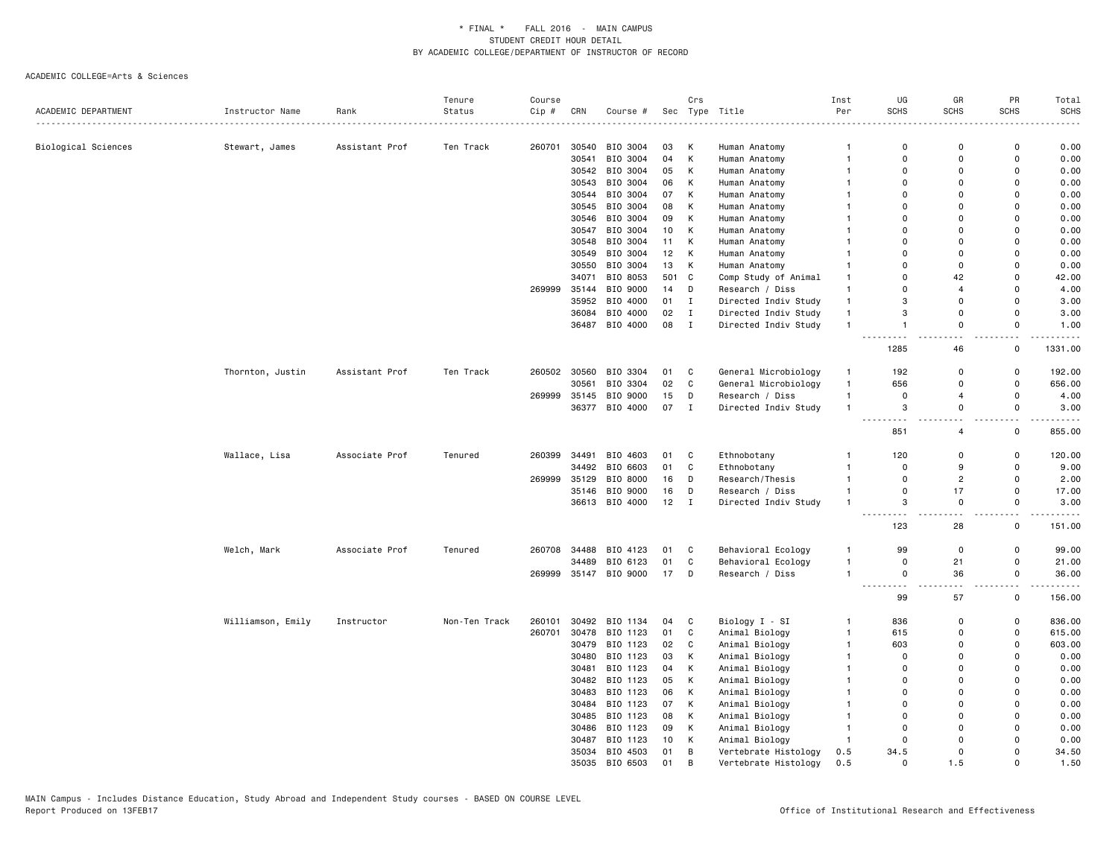|                     |                   |                | Tenure        | Course |       |                |                 | Crs          |                      | Inst           | UG                                            | GR                        | PR                 | Total                 |
|---------------------|-------------------|----------------|---------------|--------|-------|----------------|-----------------|--------------|----------------------|----------------|-----------------------------------------------|---------------------------|--------------------|-----------------------|
| ACADEMIC DEPARTMENT | Instructor Name   | Rank           | Status        | Cip #  | CRN   | Course #       |                 |              | Sec Type Title       | Per            | <b>SCHS</b>                                   | <b>SCHS</b>               | <b>SCHS</b>        | <b>SCHS</b>           |
|                     |                   |                |               |        |       |                |                 |              |                      |                |                                               |                           |                    |                       |
| Biological Sciences | Stewart, James    | Assistant Prof | Ten Track     | 260701 |       | 30540 BIO 3004 | 03              | К            | Human Anatomy        | $\mathbf{1}$   | $\mathbf 0$                                   | $\Omega$                  | $\Omega$           | 0.00                  |
|                     |                   |                |               |        | 30541 | BIO 3004       | 04              | К            | Human Anatomy        | $\overline{1}$ | $\mathsf 0$                                   | $\Omega$                  | $\Omega$           | 0.00                  |
|                     |                   |                |               |        |       | 30542 BIO 3004 | 05              | К            | Human Anatomy        | $\mathbf{1}$   | $\mathbf 0$                                   | $\Omega$                  | $\Omega$           | 0.00                  |
|                     |                   |                |               |        | 30543 | BIO 3004       | 06              | К            | Human Anatomy        | $\mathbf{1}$   | $\mathbf 0$                                   | $\Omega$                  | $\Omega$           | 0.00                  |
|                     |                   |                |               |        | 30544 | BIO 3004       | 07              | К            | Human Anatomy        | $\mathbf{1}$   | $\mathbf 0$                                   | $\Omega$                  | $\Omega$           | 0.00                  |
|                     |                   |                |               |        |       | 30545 BIO 3004 | 08              | К            | Human Anatomy        |                | $\mathbf 0$                                   | $\Omega$                  | $\Omega$           | 0.00                  |
|                     |                   |                |               |        |       | 30546 BIO 3004 | 09              | К            | Human Anatomy        |                | $\Omega$                                      | $\Omega$                  | $\Omega$           | 0.00                  |
|                     |                   |                |               |        |       | 30547 BIO 3004 | 10              | К            | Human Anatomy        | $\mathbf{1}$   | 0                                             | $\Omega$                  | $\Omega$           | 0.00                  |
|                     |                   |                |               |        |       | 30548 BIO 3004 | 11              | K            | Human Anatomy        | $\mathbf{1}$   | $\mathbf 0$                                   | $\Omega$                  | $\Omega$           | 0.00                  |
|                     |                   |                |               |        | 30549 | BIO 3004       | 12 <sub>2</sub> | К            | Human Anatomy        |                | $\Omega$                                      | $\Omega$                  | $\Omega$           | 0.00                  |
|                     |                   |                |               |        | 30550 | BIO 3004       | 13              | К            | Human Anatomy        | $\mathbf{1}$   | $\mathbf 0$                                   | $\mathbf 0$               | $\mathbf 0$        | 0.00                  |
|                     |                   |                |               |        | 34071 | BIO 8053       | 501 C           |              | Comp Study of Animal | $\mathbf{1}$   | $\mathbf 0$                                   | 42                        | $\Omega$           | 42.00                 |
|                     |                   |                |               | 269999 | 35144 | BIO 9000       | 14              | D            | Research / Diss      | $\mathbf{1}$   | $\Omega$                                      | $\overline{4}$            | $\Omega$           | 4.00                  |
|                     |                   |                |               |        |       | 35952 BIO 4000 | 01              | $\mathbf I$  | Directed Indiv Study | $\mathbf{1}$   | 3                                             | $\Omega$                  | $\mathbf 0$        | 3.00                  |
|                     |                   |                |               |        |       | 36084 BIO 4000 | 02              | $\mathbf I$  | Directed Indiv Study | $\mathbf{1}$   | 3                                             | $\Omega$                  | $\Omega$           | 3.00                  |
|                     |                   |                |               |        |       | 36487 BIO 4000 | 08              | $\mathbf I$  | Directed Indiv Study | $\overline{1}$ | $\overline{1}$<br>.                           | $\Omega$<br>$\sim$ $\sim$ | 0<br>$\sim$ $\sim$ | 1.00<br>$\frac{1}{2}$ |
|                     |                   |                |               |        |       |                |                 |              |                      |                | 1285                                          | 46                        | 0                  | 1331.00               |
|                     | Thornton, Justin  | Assistant Prof | Ten Track     | 260502 |       | 30560 BIO 3304 | 01              | C            | General Microbiology | $\mathbf{1}$   | 192                                           | $\Omega$                  | 0                  | 192.00                |
|                     |                   |                |               |        | 30561 | BIO 3304       | 02              | $\mathbb C$  | General Microbiology | $\mathbf{1}$   | 656                                           | $\Omega$                  | $\mathbf 0$        | 656.00                |
|                     |                   |                |               | 269999 | 35145 | BIO 9000       | 15              | D            | Research / Diss      | $\overline{1}$ | $\Omega$                                      | $\overline{4}$            | $\Omega$           | 4.00                  |
|                     |                   |                |               |        |       | 36377 BIO 4000 | 07              | $\mathbf{I}$ | Directed Indiv Study | $\mathbf{1}$   | 3                                             | $\mathbf 0$               | $\Omega$           | 3.00                  |
|                     |                   |                |               |        |       |                |                 |              |                      |                | 851                                           | 4                         | 0                  | 855.00                |
|                     | Wallace, Lisa     | Associate Prof | Tenured       | 260399 | 34491 | BIO 4603       | 01              | C            | Ethnobotany          | $\mathbf{1}$   | 120                                           | $\mathbf 0$               | $\mathbf 0$        | 120.00                |
|                     |                   |                |               |        | 34492 | BIO 6603       | 01              | C            | Ethnobotany          | $\overline{1}$ | $\mathbf 0$                                   | $\mathbf{Q}$              | $\mathbf 0$        | 9.00                  |
|                     |                   |                |               | 269999 | 35129 | BIO 8000       | 16              | D            | Research/Thesis      | $\overline{1}$ | $\mathbf 0$                                   | $\overline{2}$            | $\mathbf 0$        | 2.00                  |
|                     |                   |                |               |        | 35146 | BIO 9000       | 16              | D            | Research / Diss      | $\overline{1}$ | $\Omega$                                      | 17                        | $\Omega$           | 17.00                 |
|                     |                   |                |               |        |       | 36613 BIO 4000 | 12              | $\mathbf{I}$ | Directed Indiv Study | $\overline{1}$ | 3                                             | $\Omega$                  | 0                  | 3.00                  |
|                     |                   |                |               |        |       |                |                 |              |                      |                | 123                                           | 28                        | $\sim$ $\sim$<br>0 | .<br>151.00           |
|                     | Welch, Mark       | Associate Prof | Tenured       | 260708 | 34488 | BIO 4123       | 01              | C            | Behavioral Ecology   | $\overline{1}$ | 99                                            | $\mathbf 0$               | 0                  | 99.00                 |
|                     |                   |                |               |        | 34489 | BIO 6123       | 01              | C            | Behavioral Ecology   | $\mathbf{1}$   | $\mathbf 0$                                   | 21                        | 0                  | 21.00                 |
|                     |                   |                |               | 269999 |       | 35147 BIO 9000 | 17              | D            | Research / Diss      | $\overline{1}$ | $\mathbf 0$<br>$\sim$ $\sim$<br>$\sim$ $\sim$ | 36                        | 0                  | 36.00<br>.            |
|                     |                   |                |               |        |       |                |                 |              |                      |                | 99                                            | 57                        | $\mathsf{o}$       | 156.00                |
|                     | Williamson, Emily | Instructor     | Non-Ten Track | 260101 |       | 30492 BIO 1134 | 04              | C            | Biology I - SI       | $\mathbf{1}$   | 836                                           | $\Omega$                  | $\mathbf 0$        | 836.00                |
|                     |                   |                |               | 260701 | 30478 | BIO 1123       | 01              | C            | Animal Biology       | $\mathbf{1}$   | 615                                           | $\Omega$                  | $\Omega$           | 615.00                |
|                     |                   |                |               |        |       | 30479 BIO 1123 | 02              | C            | Animal Biology       | $\mathbf{1}$   | 603                                           | $\Omega$                  | $\mathsf 0$        | 603.00                |
|                     |                   |                |               |        |       | 30480 BIO 1123 | 03              | K            | Animal Biology       | -1             | $\mathbf 0$                                   | $\Omega$                  | $\Omega$           | 0.00                  |
|                     |                   |                |               |        | 30481 | BIO 1123       | 04              | К            | Animal Biology       | $\mathbf{1}$   | $\mathbf 0$                                   | $\Omega$                  | $\Omega$           | 0.00                  |
|                     |                   |                |               |        |       | 30482 BIO 1123 | 05              | К            | Animal Biology       | $\mathbf{1}$   | $\Omega$                                      | $\Omega$                  | $\Omega$           | 0.00                  |
|                     |                   |                |               |        |       | 30483 BIO 1123 | 06              | K            | Animal Biology       | $\mathbf{1}$   | $\Omega$                                      | $\Omega$                  | $\Omega$           | 0.00                  |
|                     |                   |                |               |        | 30484 | BIO 1123       | 07              | К            | Animal Biology       | $\mathbf{1}$   | $\mathbf 0$                                   | $\Omega$                  | $\mathbf 0$        | 0.00                  |
|                     |                   |                |               |        |       | 30485 BIO 1123 | 08              | К            | Animal Biology       | $\mathbf{1}$   | $\Omega$                                      | $\Omega$                  | $\Omega$           | 0.00                  |
|                     |                   |                |               |        |       | 30486 BIO 1123 | 09              | К            | Animal Biology       | $\overline{1}$ | $\mathbf 0$                                   | $\Omega$                  | $\Omega$           | 0.00                  |
|                     |                   |                |               |        | 30487 | BIO 1123       | 10              | К            | Animal Biology       | $\overline{1}$ | $\mathbf 0$                                   | $\Omega$                  | $\Omega$           | 0.00                  |
|                     |                   |                |               |        |       | 35034 BIO 4503 | 01              | B            | Vertebrate Histology | 0.5            | 34.5                                          | $\Omega$                  | $\Omega$           | 34.50                 |
|                     |                   |                |               |        |       | 35035 BIO 6503 | 01              | B            | Vertebrate Histology | 0.5            | $\Omega$                                      | 1.5                       | $\Omega$           | 1.50                  |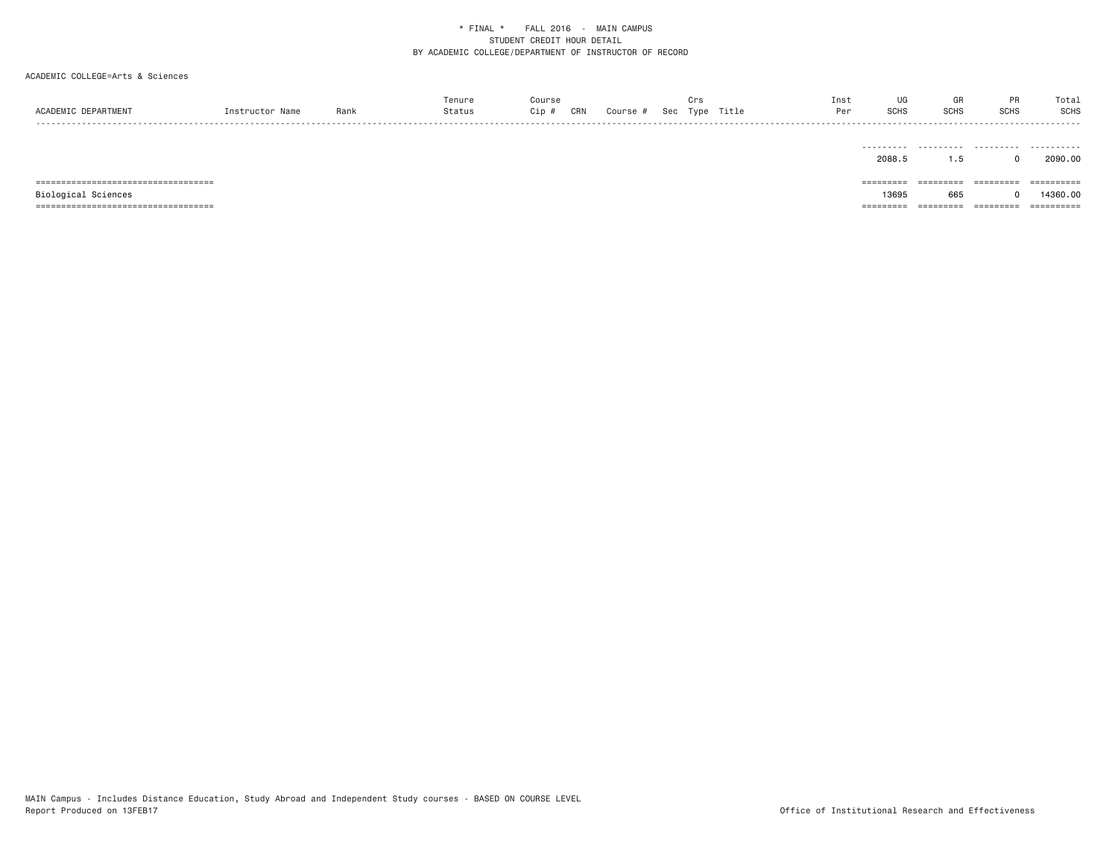| ACADEMIC DEPARTMENT                                          | Instructor Name | Rank | Tenure<br>Status | Course<br>Cip # | CRN | Course # | Crs | Sec Type Title | Inst<br>Per | UG<br><b>SCHS</b>                         | GR<br><b>SCHS</b>             | PR<br><b>SCHS</b>                | Total<br><b>SCHS</b><br>- - - - -    |
|--------------------------------------------------------------|-----------------|------|------------------|-----------------|-----|----------|-----|----------------|-------------|-------------------------------------------|-------------------------------|----------------------------------|--------------------------------------|
|                                                              |                 |      |                  |                 |     |          |     |                |             | 2088.5                                    | 1.5                           |                                  | 2090.00                              |
| =====================================<br>Biological Sciences |                 |      |                  |                 |     |          |     |                |             | $=$ = = = = = = = =<br>13695<br>========= | =========<br>665<br>========= | $=$ = = = = = = = =<br>========= | ==========<br>14360.00<br>========== |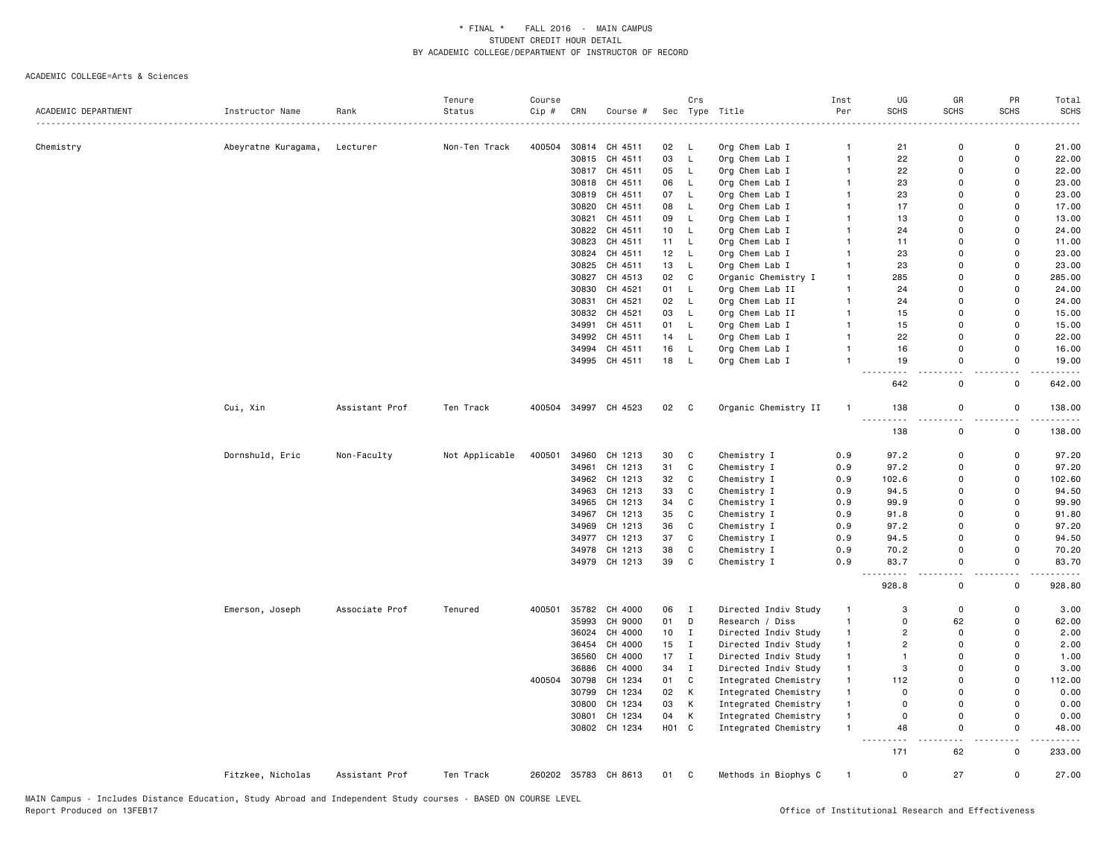|                     |                     |                | Tenure         | Course |       |                      |       | Crs          |                      | Inst           | UG                                | GR          | PR                            | Total       |
|---------------------|---------------------|----------------|----------------|--------|-------|----------------------|-------|--------------|----------------------|----------------|-----------------------------------|-------------|-------------------------------|-------------|
| ACADEMIC DEPARTMENT | Instructor Name     | Rank           | Status         | Cip #  | CRN   | Course #             |       |              | Sec Type Title       | Per            | <b>SCHS</b>                       | <b>SCHS</b> | <b>SCHS</b>                   | <b>SCHS</b> |
|                     |                     |                |                |        |       |                      |       |              |                      |                |                                   |             |                               |             |
| Chemistry           | Abeyratne Kuragama, | Lecturer       | Non-Ten Track  | 400504 |       | 30814 CH 4511        | 02    | - L          | Org Chem Lab I       | $\mathbf{1}$   | 21                                | $\mathbf 0$ | 0                             | 21.00       |
|                     |                     |                |                |        | 30815 | CH 4511              | 03    | L            | Org Chem Lab I       | $\mathbf{1}$   | 22                                | $\mathbf 0$ | $\mathsf 0$                   | 22.00       |
|                     |                     |                |                |        |       | 30817 CH 4511        | 05    | L.           | Org Chem Lab I       | $\overline{1}$ | 22                                | $\mathbf 0$ | $\mathbf 0$                   | 22.00       |
|                     |                     |                |                |        |       | 30818 CH 4511        | 06    | L.           | Org Chem Lab I       | $\mathbf{1}$   | 23                                | $\mathbf 0$ | $\mathbf 0$                   | 23.00       |
|                     |                     |                |                |        |       | 30819 CH 4511        | 07    | L,           | Org Chem Lab I       | $\mathbf{1}$   | 23                                | $\Omega$    | $\mathbf 0$                   | 23.00       |
|                     |                     |                |                |        | 30820 | CH 4511              | 08    | L.           | Org Chem Lab I       | $\mathbf{1}$   | 17                                | $\mathbf 0$ | 0                             | 17.00       |
|                     |                     |                |                |        | 30821 | CH 4511              | 09    | L.           | Org Chem Lab I       | $\mathbf{1}$   | 13                                | $\Omega$    | $\Omega$                      | 13.00       |
|                     |                     |                |                |        |       | 30822 CH 4511        | 10    | $\mathsf{L}$ | Org Chem Lab I       | $\mathbf{1}$   | 24                                | $\mathbf 0$ | $\mathsf 0$                   | 24.00       |
|                     |                     |                |                |        | 30823 | CH 4511              | 11    | L            | Org Chem Lab I       | $\mathbf{1}$   | 11                                | $\Omega$    | $\mathsf 0$                   | 11.00       |
|                     |                     |                |                |        |       | 30824 CH 4511        | 12    | L            | Org Chem Lab I       | $\mathbf{1}$   | 23                                | $\Omega$    | $\mathsf 0$                   | 23.00       |
|                     |                     |                |                |        | 30825 | CH 4511              | 13    | L            | Org Chem Lab I       | $\mathbf{1}$   | 23                                | $\Omega$    | $\mathbf 0$                   | 23.00       |
|                     |                     |                |                |        | 30827 | CH 4513              | 02    | C            | Organic Chemistry I  | $\overline{1}$ | 285                               | $\Omega$    | $\mathbf 0$                   | 285.00      |
|                     |                     |                |                |        | 30830 | CH 4521              | 01    | L.           | Org Chem Lab II      | $\overline{1}$ | 24                                | $\Omega$    | $\Omega$                      | 24.00       |
|                     |                     |                |                |        | 30831 | CH 4521              | 02    | L.           | Org Chem Lab II      | $\overline{1}$ | 24                                | $\Omega$    | $\mathbf 0$                   | 24.00       |
|                     |                     |                |                |        |       | 30832 CH 4521        | 03    | L            | Org Chem Lab II      | $\overline{1}$ | 15                                | $\Omega$    | $\mathbf 0$                   | 15.00       |
|                     |                     |                |                |        | 34991 | CH 4511              | 01    | L            | Org Chem Lab I       | $\mathbf{1}$   | 15                                | $\Omega$    | $\mathbf 0$                   | 15.00       |
|                     |                     |                |                |        |       | 34992 CH 4511        | 14    | $\mathsf{L}$ | Org Chem Lab I       | $\mathbf{1}$   | 22                                | $\mathbf 0$ | 0                             | 22.00       |
|                     |                     |                |                |        |       | 34994 CH 4511        | 16    | L            | Org Chem Lab I       | $\overline{1}$ | 16                                | $\Omega$    | $\mathbf 0$                   | 16.00       |
|                     |                     |                |                |        |       | 34995 CH 4511        | 18    | L            | Org Chem Lab I       | $\mathbf{1}$   | 19                                | $\mathbf 0$ | 0                             | 19.00       |
|                     |                     |                |                |        |       |                      |       |              |                      |                |                                   |             | i.                            |             |
|                     |                     |                |                |        |       |                      |       |              |                      |                | 642                               | $\mathbf 0$ | 0                             | 642.00      |
|                     | Cui, Xin            | Assistant Prof | Ten Track      |        |       | 400504 34997 CH 4523 | 02 C  |              | Organic Chemistry II | $\mathbf{1}$   | 138<br>.                          | $\mathbf 0$ | 0                             | 138.00      |
|                     |                     |                |                |        |       |                      |       |              |                      |                | 138                               | . .<br>0    | $\mathsf 0$                   | 138.00      |
|                     | Dornshuld, Eric     | Non-Faculty    | Not Applicable | 400501 | 34960 | CH 1213              | 30    | C            | Chemistry I          | 0.9            | 97.2                              | $\Omega$    | $\mathsf 0$                   | 97.20       |
|                     |                     |                |                |        | 34961 | CH 1213              | 31    | $\mathbf{C}$ | Chemistry I          | 0.9            | 97.2                              | $\mathbf 0$ | $\mathsf{o}$                  | 97.20       |
|                     |                     |                |                |        |       | 34962 CH 1213        | 32    | $\mathbf{C}$ | Chemistry I          | 0.9            | 102.6                             | $\Omega$    | $\mathbf 0$                   | 102.60      |
|                     |                     |                |                |        | 34963 | CH 1213              | 33    | C            | Chemistry I          | 0.9            | 94.5                              | $\Omega$    | $\mathbf 0$                   | 94.50       |
|                     |                     |                |                |        | 34965 | CH 1213              | 34    | C            | Chemistry I          | 0.9            | 99.9                              | $\Omega$    | $\mathbf 0$                   | 99.90       |
|                     |                     |                |                |        |       | 34967 CH 1213        | 35    | C            | Chemistry I          | 0.9            | 91.8                              | $\Omega$    | $\mathbf 0$                   | 91.80       |
|                     |                     |                |                |        | 34969 | CH 1213              | 36    | $\mathtt{C}$ | Chemistry I          | 0.9            | 97.2                              | $\Omega$    | $\mathbf 0$                   | 97.20       |
|                     |                     |                |                |        |       | 34977 CH 1213        | 37    | $\mathbf c$  | Chemistry I          | 0.9            | 94.5                              | $\Omega$    | $\mathbf 0$                   | 94.50       |
|                     |                     |                |                |        |       | 34978 CH 1213        | 38    | $\mathbf c$  | Chemistry I          | 0.9            | 70.2                              | $\mathbf 0$ | $\mathsf 0$                   | 70.20       |
|                     |                     |                |                |        |       | 34979 CH 1213        | 39    | C            | Chemistry I          | 0.9            | 83.7                              | $\Omega$    | $\mathbf 0$                   | 83.70       |
|                     |                     |                |                |        |       |                      |       |              |                      |                | $\overline{\phantom{a}}$<br>----- | и.          | $\sim$ $\sim$                 | .           |
|                     |                     |                |                |        |       |                      |       |              |                      |                | 928.8                             | $\mathbf 0$ | 0                             | 928.80      |
|                     | Emerson, Joseph     | Associate Prof | Tenured        | 400501 | 35782 | CH 4000              | 06    | $\mathbf{I}$ | Directed Indiv Study | $\overline{1}$ | 3                                 | $\mathbf 0$ | 0                             | 3.00        |
|                     |                     |                |                |        | 35993 | CH 9000              | 01    | D            | Research / Diss      | $\mathbf{1}$   | $\mathbf 0$                       | 62          | 0                             | 62.00       |
|                     |                     |                |                |        |       | 36024 CH 4000        | 10    | $\mathbf{I}$ | Directed Indiv Study | $\mathbf{1}$   | $\overline{c}$                    | 0           | $\mathsf 0$                   | 2.00        |
|                     |                     |                |                |        |       | 36454 CH 4000        | 15    | $\mathbf{I}$ | Directed Indiv Study | $\mathbf{1}$   | $\overline{2}$                    | $\mathbf 0$ | $\mathbf 0$                   | 2.00        |
|                     |                     |                |                |        | 36560 | CH 4000              | 17    | $\mathbf{I}$ | Directed Indiv Study | $\mathbf{1}$   | $\overline{1}$                    | $\mathbf 0$ | $\mathsf 0$                   | 1.00        |
|                     |                     |                |                |        | 36886 | CH 4000              | 34    | $\mathbf{I}$ | Directed Indiv Study | $\mathbf{1}$   | 3                                 | $\mathbf 0$ | $\mathsf 0$                   | 3.00        |
|                     |                     |                |                | 400504 | 30798 | CH 1234              | 01    | C            | Integrated Chemistry | $\overline{1}$ | 112                               | $\Omega$    | $\mathbf 0$                   | 112.00      |
|                     |                     |                |                |        | 30799 | CH 1234              | 02    | K            | Integrated Chemistry | $\overline{1}$ | $\mathbf 0$                       | $\Omega$    | $\mathbf 0$                   | 0.00        |
|                     |                     |                |                |        | 30800 | CH 1234              | 03    | К            | Integrated Chemistry | $\mathbf{1}$   | $\Omega$                          | $\Omega$    | $\mathbf 0$                   | 0.00        |
|                     |                     |                |                |        | 30801 | CH 1234              | 04    | K            | Integrated Chemistry | $\overline{1}$ | $\mathbf 0$                       | $\Omega$    | $\mathsf 0$                   | 0.00        |
|                     |                     |                |                |        |       | 30802 CH 1234        | H01 C |              | Integrated Chemistry | $\overline{1}$ | 48                                | $\Omega$    | $\mathbf 0$                   | 48.00       |
|                     |                     |                |                |        |       |                      |       |              |                      |                | 171                               | . .<br>62   | $\overline{\phantom{a}}$<br>0 | 233.00      |
|                     | Fitzkee, Nicholas   | Assistant Prof | Ten Track      |        |       | 260202 35783 CH 8613 | 01 C  |              | Methods in Biophys C | $\overline{1}$ | $\mathbf 0$                       | 27          | $\mathsf 0$                   | 27.00       |
|                     |                     |                |                |        |       |                      |       |              |                      |                |                                   |             |                               |             |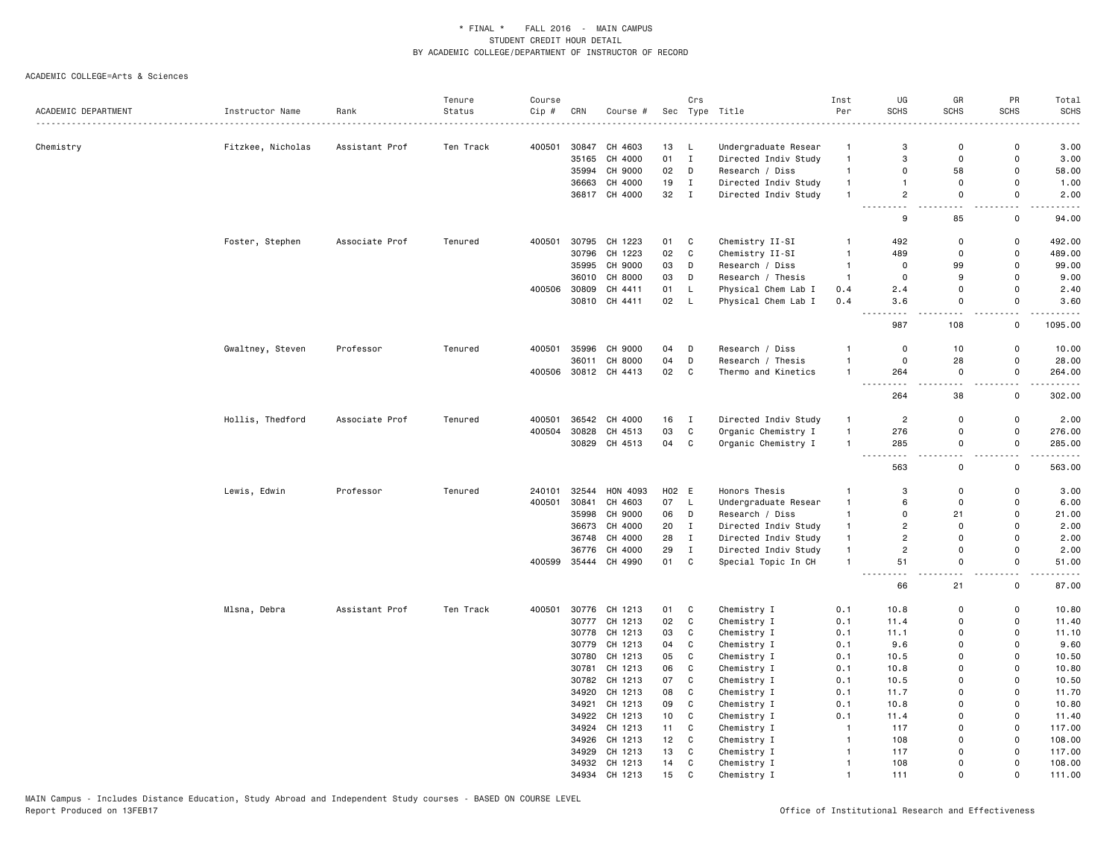|                     |                   |                | Tenure    | Course |       |                                |                 | Crs          |                      | Inst                           | UG                   | GR             | PR                           | Total                                                                                                                                                           |
|---------------------|-------------------|----------------|-----------|--------|-------|--------------------------------|-----------------|--------------|----------------------|--------------------------------|----------------------|----------------|------------------------------|-----------------------------------------------------------------------------------------------------------------------------------------------------------------|
| ACADEMIC DEPARTMENT | Instructor Name   | Rank           | Status    | Cip#   | CRN   | Course #                       |                 |              | Sec Type Title       | Per                            | <b>SCHS</b>          | <b>SCHS</b>    | <b>SCHS</b>                  | <b>SCHS</b>                                                                                                                                                     |
|                     |                   |                |           |        |       |                                |                 |              |                      |                                |                      |                |                              |                                                                                                                                                                 |
| Chemistry           | Fitzkee, Nicholas | Assistant Prof | Ten Track | 400501 | 30847 | CH 4603                        | 13              | L.           | Undergraduate Resear | $\overline{1}$                 | 3                    | $\Omega$       | $\Omega$                     | 3.00                                                                                                                                                            |
|                     |                   |                |           |        | 35165 | CH 4000                        | 01              | $\mathbf{I}$ | Directed Indiv Study | $\mathbf{1}$                   | 3                    | 0              | $\Omega$                     | 3.00                                                                                                                                                            |
|                     |                   |                |           |        |       | 35994 CH 9000                  | 02              | D            | Research / Diss      | $\mathbf{1}$                   | $\mathbf 0$          | 58             | $\Omega$                     | 58.00                                                                                                                                                           |
|                     |                   |                |           |        | 36663 | CH 4000                        | 19              | $\mathbf{I}$ | Directed Indiv Study | $\mathbf{1}$                   | $\mathbf{1}$         | $\mathbf 0$    | $\mathsf{o}$                 | 1.00                                                                                                                                                            |
|                     |                   |                |           |        |       | 36817 CH 4000                  | 32              | $\mathbf{I}$ | Directed Indiv Study | $\mathbf{1}$                   | $\overline{c}$       | $\mathbf 0$    | $\mathsf{o}$                 | 2.00                                                                                                                                                            |
|                     |                   |                |           |        |       |                                |                 |              |                      |                                | 9                    | 85             | 0                            | 94.00                                                                                                                                                           |
|                     | Foster, Stephen   | Associate Prof | Tenured   | 400501 |       | 30795 CH 1223                  | 01              | C            | Chemistry II-SI      | $\mathbf{1}$                   | 492                  | 0              | 0                            | 492.00                                                                                                                                                          |
|                     |                   |                |           |        |       | 30796 CH 1223                  | 02              | $\mathbf c$  | Chemistry II-SI      | $\overline{1}$                 | 489                  | $\mathbf 0$    | $\mathbf 0$                  | 489.00                                                                                                                                                          |
|                     |                   |                |           |        | 35995 | CH 9000                        | 03              | D            | Research / Diss      | $\mathbf{1}$                   | 0                    | 99             | $\mathbf 0$                  | 99.00                                                                                                                                                           |
|                     |                   |                |           |        | 36010 | CH 8000                        | 03              | D            | Research / Thesis    | $\mathbf{1}$                   | $\mathbf 0$          | 9              | $\Omega$                     | 9.00                                                                                                                                                            |
|                     |                   |                |           | 400506 | 30809 | CH 4411                        | 01              | L            | Physical Chem Lab I  | 0.4                            | 2.4                  | $\Omega$       | $\Omega$                     | 2.40                                                                                                                                                            |
|                     |                   |                |           |        |       | 30810 CH 4411                  | 02              | L            | Physical Chem Lab I  | 0.4                            | 3.6                  | $\mathbf 0$    | $\Omega$                     | 3.60                                                                                                                                                            |
|                     |                   |                |           |        |       |                                |                 |              |                      |                                | ---<br>.<br>987      | $  -$<br>108   | $\sim$ $\sim$<br>$\mathsf 0$ | $\frac{1}{2} \left( \frac{1}{2} \right) \left( \frac{1}{2} \right) \left( \frac{1}{2} \right) \left( \frac{1}{2} \right) \left( \frac{1}{2} \right)$<br>1095.00 |
|                     |                   |                |           |        | 35996 |                                |                 |              |                      | $\mathbf{1}$                   | $\mathbf 0$          |                | $\mathbf 0$                  |                                                                                                                                                                 |
|                     | Gwaltney, Steven  | Professor      | Tenured   | 400501 |       | CH 9000                        | 04              | D            | Research / Diss      | $\mathbf{1}$                   | $\mathbf 0$          | 10             | $\mathbf 0$                  | 10.00                                                                                                                                                           |
|                     |                   |                |           |        | 36011 | CH 8000                        | 04              | D            | Research / Thesis    | $\overline{1}$                 |                      | 28<br>$\Omega$ | $\Omega$                     | 28.00                                                                                                                                                           |
|                     |                   |                |           |        |       | 400506 30812 CH 4413           | 02              | $\mathbf C$  | Thermo and Kinetics  |                                | 264<br>- - -         |                | $\sim$ $\sim$                | 264.00<br>.                                                                                                                                                     |
|                     |                   |                |           |        |       |                                |                 |              |                      |                                | 264                  | 38             | $\mathsf{o}$                 | 302.00                                                                                                                                                          |
|                     | Hollis, Thedford  | Associate Prof | Tenured   | 400501 |       | 36542 CH 4000                  | 16 I            |              | Directed Indiv Study | $\mathbf{1}$                   | $\overline{c}$       | $\Omega$       | $\mathsf 0$                  | 2.00                                                                                                                                                            |
|                     |                   |                |           | 400504 |       | 30828 CH 4513                  | 03              | $\mathbb{C}$ | Organic Chemistry I  | $\mathbf{1}$                   | 276                  | $\mathbf 0$    | $\Omega$                     | 276.00                                                                                                                                                          |
|                     |                   |                |           |        |       | 30829 CH 4513                  | 04              | C            | Organic Chemistry I  | $\mathbf{1}$                   | 285                  | 0              | $\mathsf 0$                  | 285.00                                                                                                                                                          |
|                     |                   |                |           |        |       |                                |                 |              |                      |                                | $\sim$ $\sim$<br>563 | $\mathsf 0$    | $\mathsf 0$                  | 563.00                                                                                                                                                          |
|                     | Lewis, Edwin      | Professor      | Tenured   | 240101 | 32544 | HON 4093                       | H02 E           |              | Honors Thesis        | $\mathbf{1}$                   | 3                    | $\Omega$       | $\mathbf 0$                  | 3.00                                                                                                                                                            |
|                     |                   |                |           | 400501 | 30841 | CH 4603                        | 07              | L.           | Undergraduate Resear | $\mathbf{1}$                   | 6                    | $\Omega$       | $\mathbf 0$                  | 6.00                                                                                                                                                            |
|                     |                   |                |           |        |       | 35998 CH 9000                  | 06              | D            | Research / Diss      | $\mathbf{1}$                   | $\Omega$             | 21             | $\Omega$                     | 21.00                                                                                                                                                           |
|                     |                   |                |           |        |       | 36673 CH 4000                  | 20              | $\mathbf{I}$ | Directed Indiv Study | $\mathbf{1}$                   | $\overline{c}$       | $\Omega$       | $\Omega$                     | 2.00                                                                                                                                                            |
|                     |                   |                |           |        |       | 36748 CH 4000                  | 28              | $\mathbf I$  | Directed Indiv Study | $\mathbf{1}$                   | $\overline{2}$       | $\Omega$       | $\mathsf{o}$                 | 2.00                                                                                                                                                            |
|                     |                   |                |           |        | 36776 | CH 4000                        | 29              | $\mathbf{I}$ | Directed Indiv Study | $\mathbf{1}$                   | $\overline{c}$       | $\Omega$       | 0                            | 2.00                                                                                                                                                            |
|                     |                   |                |           | 400599 |       | 35444 CH 4990                  | 01              | $\mathtt{C}$ | Special Topic In CH  | $\mathbf{1}$                   | 51                   | 0              | $\mathbf 0$                  | 51.00                                                                                                                                                           |
|                     |                   |                |           |        |       |                                |                 |              |                      |                                | 66                   | 21             | 0                            | 87.00                                                                                                                                                           |
|                     | Mlsna, Debra      | Assistant Prof | Ten Track | 400501 |       | 30776 CH 1213                  | 01              | C            | Chemistry I          | 0.1                            | 10.8                 | $\mathbf 0$    | 0                            | 10.80                                                                                                                                                           |
|                     |                   |                |           |        |       | 30777 CH 1213                  | 02              | $\mathbf c$  | Chemistry I          | 0.1                            | 11.4                 | $\Omega$       | $\mathsf{o}$                 | 11.40                                                                                                                                                           |
|                     |                   |                |           |        |       | 30778 CH 1213                  | 03              | C            | Chemistry I          | 0.1                            | 11.1                 | $\Omega$       | 0                            | 11.10                                                                                                                                                           |
|                     |                   |                |           |        |       | 30779 CH 1213                  | 04              | C            | Chemistry I          | 0.1                            | 9.6                  | $\Omega$       | $\mathbf 0$                  | 9.60                                                                                                                                                            |
|                     |                   |                |           |        |       | 30780 CH 1213                  | 05              | C            | Chemistry I          | 0.1                            | 10.5                 | $\Omega$       | $\mathbf 0$                  | 10.50                                                                                                                                                           |
|                     |                   |                |           |        | 30781 | CH 1213                        | 06              | ${\bf C}$    | Chemistry I          | 0.1                            | 10.8                 | $\Omega$       | $\mathsf{o}$                 | 10.80                                                                                                                                                           |
|                     |                   |                |           |        |       | 30782 CH 1213                  | 07              | C            | Chemistry I          | 0.1                            | 10.5                 | $\Omega$       | 0                            | 10.50                                                                                                                                                           |
|                     |                   |                |           |        |       | 34920 CH 1213                  | 08              | C            | Chemistry I          | 0.1                            | 11.7                 | $\Omega$       | 0                            | 11.70                                                                                                                                                           |
|                     |                   |                |           |        |       | CH 1213                        | 09              | C            |                      | 0.1                            |                      | $\Omega$       | $\mathbf 0$                  |                                                                                                                                                                 |
|                     |                   |                |           |        | 34921 | 34922 CH 1213                  | 10 <sub>1</sub> | C            | Chemistry I          | 0.1                            | 10.8<br>11.4         | $\Omega$       | 0                            | 10.80<br>11.40                                                                                                                                                  |
|                     |                   |                |           |        |       |                                |                 |              | Chemistry I          |                                |                      | $\Omega$       | $\mathsf 0$                  |                                                                                                                                                                 |
|                     |                   |                |           |        |       | 34924 CH 1213                  | 11              | C            | Chemistry I          | $\overline{1}$                 | 117                  | $\Omega$       | $\mathsf{o}$                 | 117.00                                                                                                                                                          |
|                     |                   |                |           |        |       | 34926 CH 1213<br>34929 CH 1213 | 12<br>13        | C<br>C       | Chemistry I          | $\overline{1}$<br>$\mathbf{1}$ | 108                  | $\Omega$       | $\mathbf 0$                  | 108.00<br>117.00                                                                                                                                                |
|                     |                   |                |           |        |       | 34932 CH 1213                  | 14              | $\mathtt{C}$ | Chemistry I          | $\mathbf{1}$                   | 117<br>108           | $\mathbf{0}$   | $\mathsf{o}$                 | 108.00                                                                                                                                                          |
|                     |                   |                |           |        |       | 34934 CH 1213                  | 15              | $\mathbf{C}$ | Chemistry I          | $\overline{1}$                 | 111                  | $\Omega$       | $\Omega$                     | 111.00                                                                                                                                                          |
|                     |                   |                |           |        |       |                                |                 |              | Chemistry I          |                                |                      |                |                              |                                                                                                                                                                 |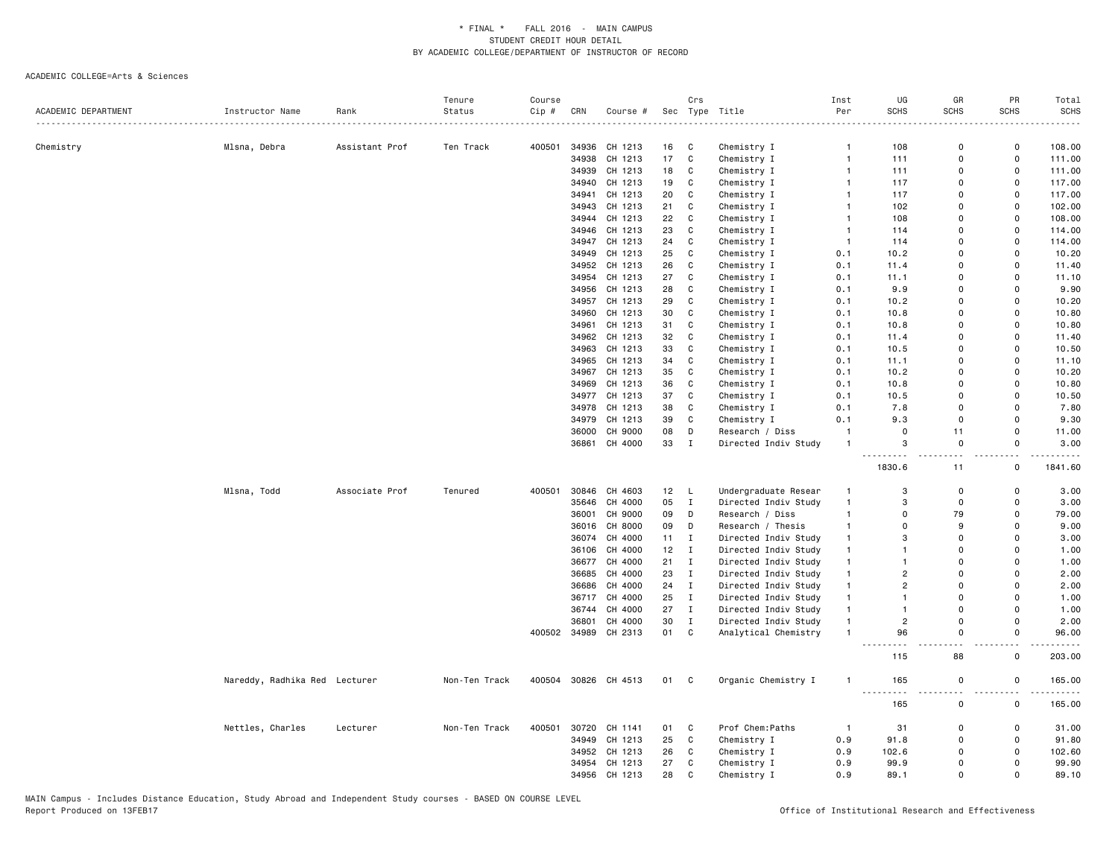|                     |                               |                | Tenure        | Course |       |                      |                 | Crs          |                      | Inst           | UG             | GR          | PR           | Total       |
|---------------------|-------------------------------|----------------|---------------|--------|-------|----------------------|-----------------|--------------|----------------------|----------------|----------------|-------------|--------------|-------------|
| ACADEMIC DEPARTMENT | Instructor Name               | Rank           | Status        | Cip #  | CRN   | Course #             |                 |              | Sec Type Title       | Per            | <b>SCHS</b>    | <b>SCHS</b> | <b>SCHS</b>  | <b>SCHS</b> |
|                     |                               |                |               |        |       |                      |                 |              |                      |                |                |             |              |             |
| Chemistry           | Mlsna, Debra                  | Assistant Prof | Ten Track     | 400501 | 34936 | CH 1213              | 16              | C            | Chemistry I          | $\mathbf{1}$   | 108            | $\mathbf 0$ | 0            | 108.00      |
|                     |                               |                |               |        | 34938 | CH 1213              | 17              | $\mathtt{C}$ | Chemistry I          | $\mathbf{1}$   | 111            | $\Omega$    | $\mathsf 0$  | 111.00      |
|                     |                               |                |               |        |       | 34939 CH 1213        | 18              | C            | Chemistry I          | $\overline{1}$ | 111            | $\Omega$    | $\mathsf 0$  | 111.00      |
|                     |                               |                |               |        | 34940 | CH 1213              | 19              | C            | Chemistry I          | $\overline{1}$ | 117            | $\mathbf 0$ | 0            | 117.00      |
|                     |                               |                |               |        | 34941 | CH 1213              | 20              | C            | Chemistry I          | 1              | 117            | $\mathbf 0$ | 0            | 117.00      |
|                     |                               |                |               |        |       | 34943 CH 1213        | 21              | $\mathbf c$  | Chemistry I          | $\mathbf{1}$   | 102            | $\mathbf 0$ | $\mathsf 0$  | 102.00      |
|                     |                               |                |               |        |       | 34944 CH 1213        | 22              | $\mathbf c$  |                      | $\mathbf{1}$   | 108            | $\Omega$    | $\mathbf 0$  | 108.00      |
|                     |                               |                |               |        |       |                      |                 |              | Chemistry I          |                |                |             |              |             |
|                     |                               |                |               |        |       | 34946 CH 1213        | 23              | C            | Chemistry I          | $\overline{1}$ | 114            | $\mathbf 0$ | 0            | 114.00      |
|                     |                               |                |               |        |       | 34947 CH 1213        | 24              | $\mathtt{C}$ | Chemistry I          | $\overline{1}$ | 114            | $\Omega$    | $\mathsf{o}$ | 114.00      |
|                     |                               |                |               |        |       | 34949 CH 1213        | 25              | $\mathbf c$  | Chemistry I          | 0.1            | 10.2           | $\Omega$    | $\mathbf 0$  | 10.20       |
|                     |                               |                |               |        | 34952 | CH 1213              | 26              | C            | Chemistry I          | 0.1            | 11.4           | $\mathbf 0$ | 0            | 11.40       |
|                     |                               |                |               |        |       | 34954 CH 1213        | 27              | $\mathtt{C}$ | Chemistry I          | 0.1            | 11.1           | $\Omega$    | $\mathsf 0$  | 11.10       |
|                     |                               |                |               |        |       | 34956 CH 1213        | 28              | $\mathbf c$  | Chemistry I          | 0.1            | 9.9            | $\mathbf 0$ | $\mathbf 0$  | 9.90        |
|                     |                               |                |               |        |       | 34957 CH 1213        | 29              | C            | Chemistry I          | 0.1            | 10.2           | $\mathbf 0$ | $\mathbf 0$  | 10.20       |
|                     |                               |                |               |        | 34960 | CH 1213              | 30              | C            | Chemistry I          | 0.1            | 10.8           | $\Omega$    | $\Omega$     | 10.80       |
|                     |                               |                |               |        | 34961 | CH 1213              | 31              | ${\bf C}$    | Chemistry I          | 0.1            | 10.8           | $\Omega$    | $\mathbf 0$  | 10.80       |
|                     |                               |                |               |        |       | 34962 CH 1213        | 32              | C            | Chemistry I          | 0.1            | 11.4           | $\Omega$    | $\mathbf 0$  | 11.40       |
|                     |                               |                |               |        | 34963 | CH 1213              | 33              | C            | Chemistry I          | 0.1            | 10.5           | $\mathbf 0$ | 0            | 10.50       |
|                     |                               |                |               |        |       | 34965 CH 1213        | 34              | $\mathtt{C}$ | Chemistry I          | 0.1            | 11.1           | $\Omega$    | $\mathsf 0$  | 11.10       |
|                     |                               |                |               |        |       | 34967 CH 1213        | 35              | $\mathbf c$  | Chemistry I          | 0.1            | 10.2           | $\Omega$    | $\Omega$     | 10.20       |
|                     |                               |                |               |        | 34969 | CH 1213              | 36              | C            | Chemistry I          | 0.1            | 10.8           | $\Omega$    | $\mathbf 0$  | 10.80       |
|                     |                               |                |               |        |       | 34977 CH 1213        | 37              | C            | Chemistry I          | 0.1            | 10.5           | $\mathbf 0$ | $\mathbf 0$  | 10.50       |
|                     |                               |                |               |        |       | 34978 CH 1213        | 38              | $\mathbf c$  | Chemistry I          | 0.1            | 7.8            | $\mathbf 0$ | $\mathsf 0$  | 7.80        |
|                     |                               |                |               |        |       | 34979 CH 1213        | 39              | $\mathbf c$  | Chemistry I          | 0.1            | 9.3            | $\Omega$    | $\mathbf 0$  | 9.30        |
|                     |                               |                |               |        |       | 36000 CH 9000        | 08              | D            | Research / Diss      | $\overline{1}$ | $\mathbf 0$    | 11          | 0            | 11.00       |
|                     |                               |                |               |        |       | 36861 CH 4000        | 33              | $\mathbf{I}$ | Directed Indiv Study | $\overline{1}$ | 3              | $\mathbf 0$ | $\mathbf 0$  | 3.00        |
|                     |                               |                |               |        |       |                      |                 |              |                      |                |                |             |              |             |
|                     |                               |                |               |        |       |                      |                 |              |                      |                | 1830.6         | 11          | $\mathsf{o}$ | 1841.60     |
|                     | Mlsna, Todd                   | Associate Prof | Tenured       | 400501 |       | 30846 CH 4603        | 12 <sub>2</sub> | L            | Undergraduate Resear | $\mathbf{1}$   | 3              | $\mathbf 0$ | $\mathbf 0$  | 3.00        |
|                     |                               |                |               |        |       | 35646 CH 4000        | 05              | $\mathbf{I}$ | Directed Indiv Study | $\overline{1}$ | 3              | $\mathbf 0$ | $\mathbf 0$  | 3.00        |
|                     |                               |                |               |        | 36001 | CH 9000              | 09              | D            | Research / Diss      | $\mathbf{1}$   | $\mathbf 0$    | 79          | $\mathbf 0$  | 79.00       |
|                     |                               |                |               |        |       | 36016 CH 8000        | 09              | D            | Research / Thesis    | $\mathbf{1}$   | $\Omega$       | 9           | $\Omega$     | 9.00        |
|                     |                               |                |               |        |       | 36074 CH 4000        | 11              | $\mathbf{I}$ | Directed Indiv Study | $\mathbf{1}$   | 3              | $\Omega$    | $\Omega$     | 3.00        |
|                     |                               |                |               |        | 36106 | CH 4000              | 12              | $\mathbf{I}$ | Directed Indiv Study | $\mathbf{1}$   | $\mathbf{1}$   | $\mathbf 0$ | $\mathbf 0$  | 1.00        |
|                     |                               |                |               |        |       | 36677 CH 4000        | 21              | $\mathbf{I}$ | Directed Indiv Study | $\mathbf{1}$   | 1              | $\Omega$    | $\Omega$     | 1.00        |
|                     |                               |                |               |        | 36685 | CH 4000              | 23              | $\mathbf{I}$ | Directed Indiv Study | $\mathbf{1}$   | $\overline{2}$ | $\mathbf 0$ | $\mathbf 0$  | 2.00        |
|                     |                               |                |               |        | 36686 | CH 4000              | 24              | $\mathbf{I}$ | Directed Indiv Study | $\mathbf{1}$   | $\overline{2}$ | $\Omega$    | $\mathbf 0$  | 2.00        |
|                     |                               |                |               |        |       | 36717 CH 4000        | 25              | $\mathbf{I}$ |                      | $\mathbf{1}$   | $\mathbf{1}$   | $\Omega$    | $\mathbf 0$  | 1.00        |
|                     |                               |                |               |        |       | CH 4000              | 27              | $\mathbf{I}$ | Directed Indiv Study | $\mathbf{1}$   | $\mathbf{1}$   | $\mathbf 0$ | $\mathsf 0$  |             |
|                     |                               |                |               |        | 36744 |                      | 30              | $\mathbf{I}$ | Directed Indiv Study | $\overline{1}$ | $\overline{2}$ | $\Omega$    | $\mathbf 0$  | 1.00        |
|                     |                               |                |               |        | 36801 | CH 4000              |                 |              | Directed Indiv Study |                |                |             |              | 2.00        |
|                     |                               |                |               |        |       | 400502 34989 CH 2313 | 01              | C            | Analytical Chemistry | $\overline{1}$ | 96             | $\mathbf 0$ | 0            | 96.00       |
|                     |                               |                |               |        |       |                      |                 |              |                      |                | 115            | 88          | $\Omega$     | 203.00      |
|                     | Nareddy, Radhika Red Lecturer |                | Non-Ten Track | 400504 |       | 30826 CH 4513        | 01 C            |              | Organic Chemistry I  | $\mathbf{1}$   | 165<br>$- - -$ | $\mathbf 0$ | $\mathsf{o}$ | 165.00      |
|                     |                               |                |               |        |       |                      |                 |              |                      |                | 165            | $\mathbf 0$ | 0            | 165.00      |
|                     | Nettles, Charles              | Lecturer       | Non-Ten Track | 400501 |       | 30720 CH 1141        | 01              | C            | Prof Chem: Paths     | $\overline{1}$ | 31             | $\mathbf 0$ | $\mathsf{o}$ | 31.00       |
|                     |                               |                |               |        |       | 34949 CH 1213        | 25              | $\mathbf{C}$ | Chemistry I          | 0.9            | 91.8           | $\Omega$    | $\mathbf 0$  | 91.80       |
|                     |                               |                |               |        | 34952 | CH 1213              | 26              | C            | Chemistry I          | 0.9            | 102.6          | $\mathbf 0$ | $\mathsf 0$  | 102.60      |
|                     |                               |                |               |        |       | 34954 CH 1213        | 27              | $\mathtt{C}$ | Chemistry I          | 0.9            | 99.9           | $\mathbf 0$ | $\mathsf 0$  | 99.90       |
|                     |                               |                |               |        |       | 34956 CH 1213        | 28              | $\mathsf{C}$ |                      | 0.9            | 89.1           | $\Omega$    | $\mathbf 0$  | 89.10       |
|                     |                               |                |               |        |       |                      |                 |              | Chemistry I          |                |                |             |              |             |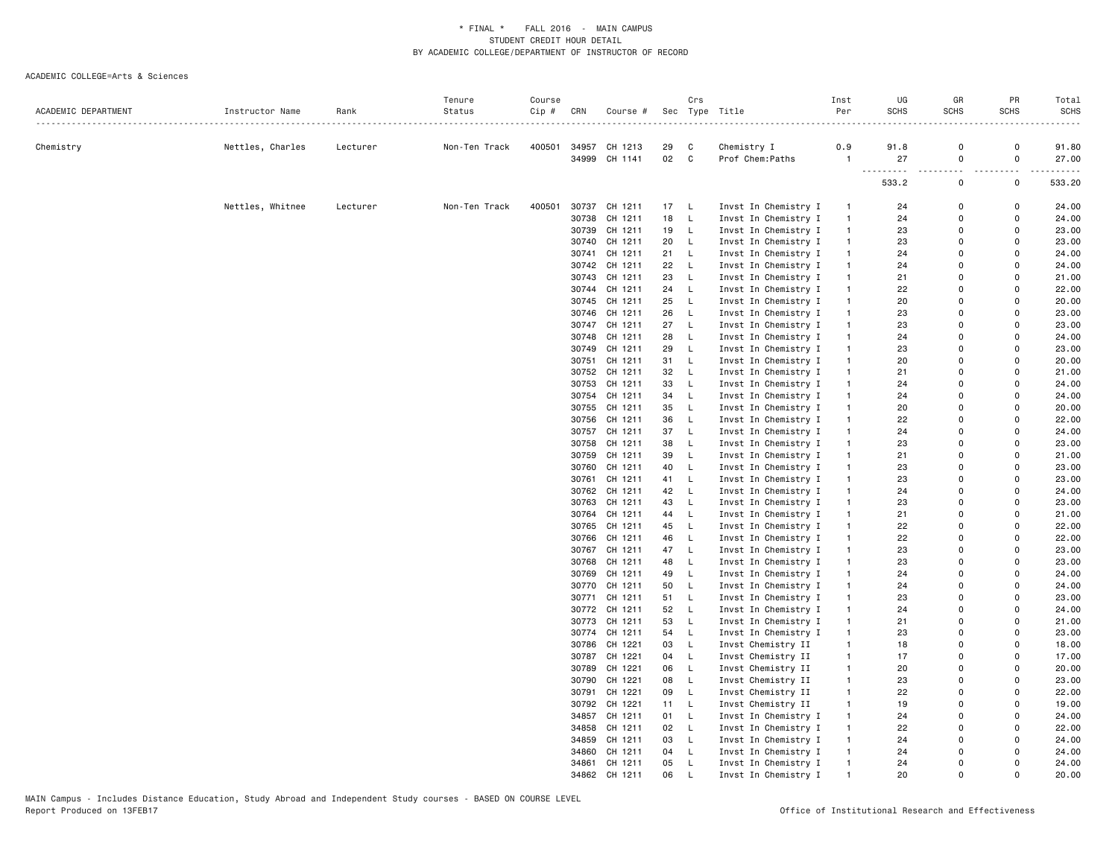|                     |                  |                      | Tenure        | Course |       |                          |          | Crs              |                                              | Inst                         | UG                                                                                                                                                                                           | GR            | PR                           | Total               |
|---------------------|------------------|----------------------|---------------|--------|-------|--------------------------|----------|------------------|----------------------------------------------|------------------------------|----------------------------------------------------------------------------------------------------------------------------------------------------------------------------------------------|---------------|------------------------------|---------------------|
| ACADEMIC DEPARTMENT | Instructor Name  | Rank<br>. <u>.</u> . | Status        | Cip #  | CRN   | Course #                 |          |                  | Sec Type Title<br>.                          | Per                          | <b>SCHS</b>                                                                                                                                                                                  | <b>SCHS</b>   | <b>SCHS</b>                  | <b>SCHS</b>         |
|                     |                  |                      |               |        |       |                          |          |                  |                                              |                              |                                                                                                                                                                                              |               |                              |                     |
| Chemistry           | Nettles, Charles | Lecturer             | Non-Ten Track | 400501 |       | 34957 CH 1213            | 29       | C                | Chemistry I                                  | 0.9                          | 91.8                                                                                                                                                                                         | 0             | 0                            | 91.80               |
|                     |                  |                      |               |        | 34999 | CH 1141                  | 02       | $\mathtt{C}$     | Prof Chem: Paths                             | -1                           | 27<br>$-$<br>$\frac{1}{2} \left( \frac{1}{2} \right) \left( \frac{1}{2} \right) \left( \frac{1}{2} \right) \left( \frac{1}{2} \right) \left( \frac{1}{2} \right) \left( \frac{1}{2} \right)$ | 0<br>.<br>.   | $\mathsf 0$<br>$\sim$ $\sim$ | 27.00<br>. <u>.</u> |
|                     |                  |                      |               |        |       |                          |          |                  |                                              |                              | 533.2                                                                                                                                                                                        | 0             | $\mathsf 0$                  | 533.20              |
|                     | Nettles, Whitnee | Lecturer             | Non-Ten Track | 400501 |       | 30737 CH 1211            | 17       | L                | Invst In Chemistry I                         | $\mathbf{1}$                 | 24                                                                                                                                                                                           | 0             | $\mathsf 0$                  | 24.00               |
|                     |                  |                      |               |        |       | 30738 CH 1211            | 18       | $\mathsf L$      | Invst In Chemistry I                         | $\mathbf{1}$                 | 24                                                                                                                                                                                           | $\Omega$      | $\Omega$                     | 24.00               |
|                     |                  |                      |               |        |       | 30739 CH 1211            | 19       | L                | Invst In Chemistry I                         | $\mathbf{1}$                 | 23                                                                                                                                                                                           | $\Omega$      | $\Omega$                     | 23.00               |
|                     |                  |                      |               |        |       | 30740 CH 1211            | 20       | L                | Invst In Chemistry I                         | $\mathbf{1}$                 | 23                                                                                                                                                                                           | 0             | 0                            | 23.00               |
|                     |                  |                      |               |        |       | 30741 CH 1211            | 21       | $\mathsf L$      | Invst In Chemistry I                         | $\mathbf{1}$                 | 24                                                                                                                                                                                           | $\Omega$      | $\Omega$                     | 24.00               |
|                     |                  |                      |               |        |       | 30742 CH 1211            | 22       | L                | Invst In Chemistry I                         | $\mathbf{1}$                 | 24                                                                                                                                                                                           | $\Omega$      | $\Omega$                     | 24.00               |
|                     |                  |                      |               |        |       | 30743 CH 1211            | 23       | L                | Invst In Chemistry I                         | $\mathbf{1}$                 | 21                                                                                                                                                                                           | 0             | 0                            | 21.00               |
|                     |                  |                      |               |        |       | 30744 CH 1211            | 24       | L                | Invst In Chemistry I                         | $\mathbf{1}$                 | 22                                                                                                                                                                                           | 0             | 0                            | 22.00               |
|                     |                  |                      |               |        |       | 30745 CH 1211            | 25       | L                | Invst In Chemistry I                         | $\mathbf{1}$                 | 20                                                                                                                                                                                           | $\Omega$      | $\Omega$                     | 20.00               |
|                     |                  |                      |               |        |       | 30746 CH 1211            | 26       | L                | Invst In Chemistry I                         | $\mathbf{1}$                 | 23                                                                                                                                                                                           | $\Omega$      | $\Omega$                     | 23.00               |
|                     |                  |                      |               |        |       | 30747 CH 1211            | 27       | L                | Invst In Chemistry I                         | $\mathbf{1}$                 | 23                                                                                                                                                                                           | 0             | 0                            | 23.00               |
|                     |                  |                      |               |        |       | 30748 CH 1211            | 28       | $\mathsf L$      | Invst In Chemistry I                         | $\mathbf{1}$                 | 24                                                                                                                                                                                           | $\Omega$      | $\Omega$                     | 24.00               |
|                     |                  |                      |               |        | 30749 | CH 1211                  | 29       | L                | Invst In Chemistry I                         | $\mathbf{1}$                 | 23                                                                                                                                                                                           | $\Omega$      | $\Omega$                     | 23.00               |
|                     |                  |                      |               |        |       | 30751 CH 1211            | 31       | L                | Invst In Chemistry I                         | $\mathbf{1}$                 | 20                                                                                                                                                                                           | $\Omega$      | 0                            | 20.00               |
|                     |                  |                      |               |        |       | 30752 CH 1211            | 32       | L                | Invst In Chemistry I                         | $\mathbf{1}$                 | 21                                                                                                                                                                                           | 0             | $\Omega$                     | 21.00               |
|                     |                  |                      |               |        |       | 30753 CH 1211            | 33       | L                | Invst In Chemistry I                         | $\mathbf{1}$                 | 24                                                                                                                                                                                           | $\Omega$      | $\Omega$                     | 24.00               |
|                     |                  |                      |               |        |       | 30754 CH 1211            | 34       | L                | Invst In Chemistry I                         | $\mathbf{1}$                 | 24                                                                                                                                                                                           | $\Omega$      | $\Omega$                     | 24.00               |
|                     |                  |                      |               |        |       | 30755 CH 1211            | 35       | L                | Invst In Chemistry I                         | $\mathbf{1}$                 | 20                                                                                                                                                                                           | 0             | 0                            | 20.00               |
|                     |                  |                      |               |        |       | 30756 CH 1211            | 36       | L                | Invst In Chemistry I                         | $\mathbf{1}$                 | 22                                                                                                                                                                                           | 0             | 0                            | 22.00               |
|                     |                  |                      |               |        |       | 30757 CH 1211            | 37       | L                | Invst In Chemistry I                         | $\mathbf{1}$                 | 24                                                                                                                                                                                           | $\Omega$      | $\Omega$                     | 24.00               |
|                     |                  |                      |               |        |       | 30758 CH 1211            | 38       | L                | Invst In Chemistry I                         | $\mathbf{1}$                 | 23                                                                                                                                                                                           | $\Omega$      | $\Omega$                     | 23.00               |
|                     |                  |                      |               |        |       | 30759 CH 1211            | 39       | L                | Invst In Chemistry I                         | $\mathbf{1}$                 | 21                                                                                                                                                                                           | 0             | $\Omega$                     | 21.00               |
|                     |                  |                      |               |        | 30760 | CH 1211                  | 40       | L                | Invst In Chemistry I                         | $\mathbf{1}$                 | 23                                                                                                                                                                                           | $\Omega$      | 0                            | 23.00               |
|                     |                  |                      |               |        |       | 30761 CH 1211            | 41       | $\mathsf L$      | Invst In Chemistry I                         | $\mathbf{1}$                 | 23                                                                                                                                                                                           | $\Omega$      | $\Omega$                     | 23.00               |
|                     |                  |                      |               |        |       | 30762 CH 1211            | 42       | L                | Invst In Chemistry I                         | $\mathbf{1}$                 | 24                                                                                                                                                                                           | 0             | $\Omega$                     | 24.00               |
|                     |                  |                      |               |        |       | 30763 CH 1211            | 43       | L                | Invst In Chemistry I                         | $\mathbf{1}$                 | 23                                                                                                                                                                                           | $\mathbf 0$   | 0                            | 23.00               |
|                     |                  |                      |               |        |       | 30764 CH 1211            | 44       | L                | Invst In Chemistry I                         | $\mathbf{1}$                 | 21                                                                                                                                                                                           | $\Omega$      | $\Omega$                     | 21.00               |
|                     |                  |                      |               |        |       | 30765 CH 1211            | 45       | L                | Invst In Chemistry I                         | $\mathbf{1}$                 | 22                                                                                                                                                                                           | $\Omega$      | $\Omega$                     | 22.00               |
|                     |                  |                      |               |        |       | 30766 CH 1211            | 46       | L                | Invst In Chemistry I                         | $\mathbf{1}$                 | 22                                                                                                                                                                                           | 0             | $\Omega$                     | 22.00               |
|                     |                  |                      |               |        | 30767 | CH 1211                  | 47       | $\mathsf L$      | Invst In Chemistry I                         | $\mathbf{1}$                 | 23                                                                                                                                                                                           | $\Omega$      | 0                            | 23.00               |
|                     |                  |                      |               |        |       | 30768 CH 1211            | 48       | $\mathsf L$      | Invst In Chemistry I                         | $\mathbf{1}$                 | 23                                                                                                                                                                                           | $\Omega$      | $\Omega$                     | 23.00               |
|                     |                  |                      |               |        |       | 30769 CH 1211            | 49       | L                | Invst In Chemistry I                         | $\mathbf{1}$                 | 24                                                                                                                                                                                           | 0             | $\Omega$                     | 24.00               |
|                     |                  |                      |               |        | 30770 | CH 1211                  | 50       | L                | Invst In Chemistry I                         | $\mathbf{1}$                 | 24                                                                                                                                                                                           | $\Omega$      | $\Omega$                     | 24.00               |
|                     |                  |                      |               |        |       | 30771 CH 1211            | 51       | L                | Invst In Chemistry I                         | $\mathbf{1}$                 | 23                                                                                                                                                                                           | $\Omega$      | $\Omega$                     | 23.00               |
|                     |                  |                      |               |        |       | 30772 CH 1211            | 52       | L                | Invst In Chemistry I                         | $\mathbf{1}$                 | 24                                                                                                                                                                                           | 0             | $\Omega$                     | 24.00               |
|                     |                  |                      |               |        | 30773 | CH 1211                  | 53       | L                | Invst In Chemistry I                         | $\mathbf{1}$                 | 21                                                                                                                                                                                           | $\Omega$      | $\Omega$                     | 21.00               |
|                     |                  |                      |               |        | 30774 | CH 1211                  | 54       | L                | Invst In Chemistry I                         | $\mathbf{1}$                 | 23                                                                                                                                                                                           | 0             | 0                            | 23.00               |
|                     |                  |                      |               |        | 30786 | CH 1221                  | 03       | $\mathsf L$      | Invst Chemistry II                           | $\mathbf{1}$                 | 18                                                                                                                                                                                           | $\Omega$      | $\Omega$                     | 18.00               |
|                     |                  |                      |               |        |       | 30787 CH 1221            | 04       | L                | Invst Chemistry II                           | $\mathbf{1}$                 | 17                                                                                                                                                                                           | $\Omega$      | $\Omega$                     | 17.00               |
|                     |                  |                      |               |        | 30789 | CH 1221                  | 06       | L                | Invst Chemistry II                           | $\mathbf{1}$                 | 20                                                                                                                                                                                           | 0             | 0                            | 20.00               |
|                     |                  |                      |               |        | 30790 | CH 1221                  | 08       | $\mathsf L$      | Invst Chemistry II                           | $\mathbf{1}$<br>$\mathbf{1}$ | 23                                                                                                                                                                                           | $\Omega$      | $\Omega$<br>$\Omega$         | 23.00<br>22.00      |
|                     |                  |                      |               |        | 30791 | CH 1221                  | 09       | L                | Invst Chemistry II                           |                              | 22                                                                                                                                                                                           | 0<br>$\Omega$ | $\Omega$                     |                     |
|                     |                  |                      |               |        |       | 30792 CH 1221<br>CH 1211 | 11       | L                | Invst Chemistry II                           | $\mathbf{1}$<br>$\mathbf{1}$ | 19                                                                                                                                                                                           | 0             | 0                            | 19.00<br>24.00      |
|                     |                  |                      |               |        | 34857 | 34858 CH 1211            | 01       | L<br>$\mathsf L$ | Invst In Chemistry I                         | $\mathbf{1}$                 | 24                                                                                                                                                                                           | $\Omega$      | $\Omega$                     | 22.00               |
|                     |                  |                      |               |        |       | 34859 CH 1211            | 02<br>03 | L                | Invst In Chemistry I<br>Invst In Chemistry I | $\mathbf{1}$                 | 22<br>24                                                                                                                                                                                     | $\Omega$      | $\Omega$                     | 24.00               |
|                     |                  |                      |               |        | 34860 | CH 1211                  | 04       | L                | Invst In Chemistry I                         | $\mathbf{1}$                 | 24                                                                                                                                                                                           | 0             | 0                            | 24.00               |
|                     |                  |                      |               |        |       | 34861 CH 1211            | 05       | $\mathsf L$      | Invst In Chemistry I                         | $\mathbf{1}$                 | 24                                                                                                                                                                                           | 0             | 0                            | 24.00               |
|                     |                  |                      |               |        |       | 34862 CH 1211            | 06       | $\mathsf{L}$     | Invst In Chemistry I                         |                              | 20                                                                                                                                                                                           | $\Omega$      | $\Omega$                     | 20.00               |
|                     |                  |                      |               |        |       |                          |          |                  |                                              |                              |                                                                                                                                                                                              |               |                              |                     |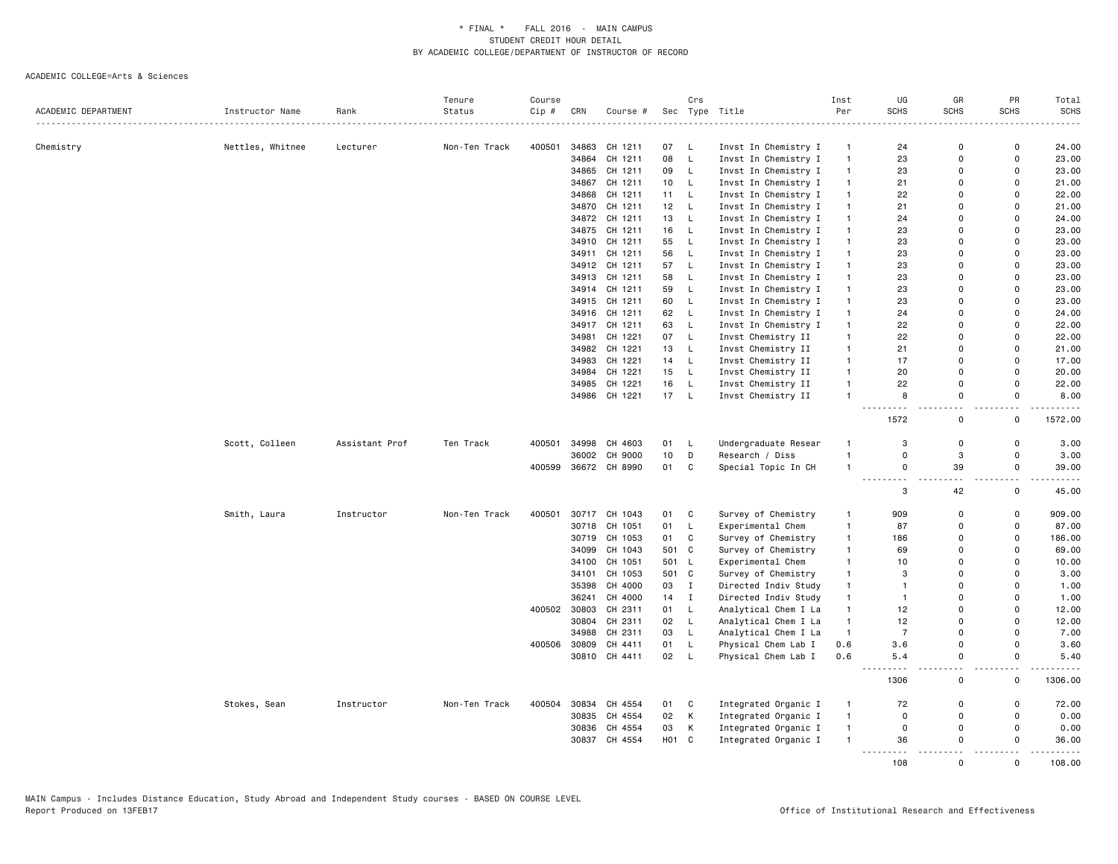|                     |                  |                | Tenure        | Course |       |               |       | Crs          |                      | Inst           | UG                                                                                | GR                        | PR                        | Total                                                                                                                             |
|---------------------|------------------|----------------|---------------|--------|-------|---------------|-------|--------------|----------------------|----------------|-----------------------------------------------------------------------------------|---------------------------|---------------------------|-----------------------------------------------------------------------------------------------------------------------------------|
| ACADEMIC DEPARTMENT | Instructor Name  | Rank           | Status        | Cip #  | CRN   | Course #      | Sec   |              | Type Title           | Per            | <b>SCHS</b>                                                                       | <b>SCHS</b>               | <b>SCHS</b>               | <b>SCHS</b>                                                                                                                       |
|                     |                  |                |               |        |       |               |       |              |                      |                |                                                                                   |                           |                           |                                                                                                                                   |
| Chemistry           | Nettles, Whitnee | Lecturer       | Non-Ten Track | 400501 | 34863 | CH 1211       | 07    | - L          | Invst In Chemistry I | $\overline{1}$ | 24                                                                                | $\Omega$                  | $\mathbf 0$               | 24.00                                                                                                                             |
|                     |                  |                |               |        | 34864 | CH 1211       | 08    | L            | Invst In Chemistry I | $\overline{1}$ | 23                                                                                | $\Omega$                  | $\mathsf 0$               | 23.00                                                                                                                             |
|                     |                  |                |               |        | 34865 | CH 1211       | 09    | L            | Invst In Chemistry I | $\mathbf{1}$   | 23                                                                                | $\Omega$                  | $\Omega$                  | 23.00                                                                                                                             |
|                     |                  |                |               |        | 34867 | CH 1211       | 10    | L            | Invst In Chemistry I | $\mathbf{1}$   | 21                                                                                | 0                         | $\mathbf 0$               | 21.00                                                                                                                             |
|                     |                  |                |               |        | 34868 | CH 1211       | 11    | L            | Invst In Chemistry I | $\mathbf{1}$   | 22                                                                                | $\mathbf 0$               | $\mathbf 0$               | 22.00                                                                                                                             |
|                     |                  |                |               |        |       | 34870 CH 1211 | 12 L  |              | Invst In Chemistry I | $\overline{1}$ | 21                                                                                | $\Omega$                  | $\Omega$                  | 21.00                                                                                                                             |
|                     |                  |                |               |        | 34872 | CH 1211       | 13    | L.           | Invst In Chemistry I | $\overline{1}$ | 24                                                                                | $\Omega$                  | $\Omega$                  | 24.00                                                                                                                             |
|                     |                  |                |               |        | 34875 | CH 1211       | 16    | L            | Invst In Chemistry I | $\mathbf{1}$   | 23                                                                                | $\Omega$                  | $\mathbf 0$               | 23.00                                                                                                                             |
|                     |                  |                |               |        |       | 34910 CH 1211 | 55    | L.           | Invst In Chemistry I | $\mathbf{1}$   | 23                                                                                | $\Omega$                  | $\Omega$                  | 23.00                                                                                                                             |
|                     |                  |                |               |        | 34911 | CH 1211       | 56    | L.           | Invst In Chemistry I | $\overline{1}$ | 23                                                                                | $\Omega$                  | $\Omega$                  | 23.00                                                                                                                             |
|                     |                  |                |               |        |       | 34912 CH 1211 | 57    | L            | Invst In Chemistry I | $\mathbf{1}$   | 23                                                                                | $\mathbf 0$               | $\mathbf 0$               | 23.00                                                                                                                             |
|                     |                  |                |               |        |       | 34913 CH 1211 | 58    | L.           | Invst In Chemistry I | $\mathbf{1}$   | 23                                                                                | $\Omega$                  | $\Omega$                  | 23.00                                                                                                                             |
|                     |                  |                |               |        | 34914 | CH 1211       | 59    | L.           | Invst In Chemistry I | $\overline{1}$ | 23                                                                                | $\Omega$                  | $\Omega$                  | 23.00                                                                                                                             |
|                     |                  |                |               |        |       | 34915 CH 1211 | 60    | <b>L</b>     | Invst In Chemistry I | $\mathbf{1}$   | 23                                                                                | $\Omega$                  | $\Omega$                  | 23.00                                                                                                                             |
|                     |                  |                |               |        |       | 34916 CH 1211 | 62    | L.           | Invst In Chemistry I | $\mathbf{1}$   | 24                                                                                | $\Omega$                  | $\Omega$                  | 24.00                                                                                                                             |
|                     |                  |                |               |        | 34917 | CH 1211       | 63    | L.           | Invst In Chemistry I | $\mathbf{1}$   | 22                                                                                | $\Omega$                  | $\Omega$                  | 22.00                                                                                                                             |
|                     |                  |                |               |        | 34981 | CH 1221       | 07    | $\mathsf{L}$ | Invst Chemistry II   | $\overline{1}$ | 22                                                                                | $\Omega$                  | $\Omega$                  | 22.00                                                                                                                             |
|                     |                  |                |               |        |       | 34982 CH 1221 | 13    | L            | Invst Chemistry II   | $\mathbf{1}$   | 21                                                                                | $\mathbf 0$               | $\mathsf 0$               | 21.00                                                                                                                             |
|                     |                  |                |               |        | 34983 | CH 1221       | 14    | L,           | Invst Chemistry II   | $\mathbf{1}$   | 17                                                                                | $\Omega$                  | $\Omega$                  | 17.00                                                                                                                             |
|                     |                  |                |               |        |       | 34984 CH 1221 | 15    | $\mathsf{L}$ | Invst Chemistry II   | $\overline{1}$ | 20                                                                                | $\Omega$                  | $\mathbf 0$               | 20.00                                                                                                                             |
|                     |                  |                |               |        | 34985 | CH 1221       | 16    | L            | Invst Chemistry II   | $\overline{1}$ | 22                                                                                | $\Omega$                  | $\mathbf 0$               | 22.00                                                                                                                             |
|                     |                  |                |               |        |       | 34986 CH 1221 | 17    | L,           | Invst Chemistry II   | $\overline{1}$ | 8                                                                                 | $\mathbf 0$               | $\mathbf 0$               | 8.00<br>$\frac{1}{2} \left( \frac{1}{2} \right) \left( \frac{1}{2} \right) \left( \frac{1}{2} \right) \left( \frac{1}{2} \right)$ |
|                     |                  |                |               |        |       |               |       |              |                      |                | .<br>1572                                                                         | $\mathsf{o}$              | $\mathsf 0$               | 1572.00                                                                                                                           |
|                     | Scott, Colleen   | Assistant Prof | Ten Track     | 400501 | 34998 | CH 4603       | 01    | L            | Undergraduate Resear | $\overline{1}$ | 3                                                                                 | $\mathbf 0$               | $\mathbf 0$               | 3.00                                                                                                                              |
|                     |                  |                |               |        | 36002 | CH 9000       | 10    | D            | Research / Diss      | $\overline{1}$ | $\Omega$                                                                          | $\ensuremath{\mathsf{3}}$ | $\mathsf 0$               | 3.00                                                                                                                              |
|                     |                  |                |               | 400599 |       | 36672 CH 8990 | 01    | $\mathbf{C}$ | Special Topic In CH  | $\overline{1}$ | $\Omega$<br>.                                                                     | 39                        | $\mathbf 0$               | 39.00<br>$\sim 100$ and $\sim 100$                                                                                                |
|                     |                  |                |               |        |       |               |       |              |                      |                | 3                                                                                 | 42                        | 0                         | 45.00                                                                                                                             |
|                     | Smith, Laura     | Instructor     | Non-Ten Track | 400501 | 30717 | CH 1043       | 01    | C            | Survey of Chemistry  | $\mathbf{1}$   | 909                                                                               | $\Omega$                  | $\mathsf 0$               | 909.00                                                                                                                            |
|                     |                  |                |               |        | 30718 | CH 1051       | 01    | L,           | Experimental Chem    | $\overline{1}$ | 87                                                                                | $\mathbf 0$               | $\pmb{0}$                 | 87.00                                                                                                                             |
|                     |                  |                |               |        | 30719 | CH 1053       | 01    | C            | Survey of Chemistry  | $\mathbf{1}$   | 186                                                                               | $\Omega$                  | $\mathsf 0$               | 186.00                                                                                                                            |
|                     |                  |                |               |        | 34099 | CH 1043       | 501   | C            | Survey of Chemistry  | $\overline{1}$ | 69                                                                                | $\Omega$                  | $\mathbf 0$               | 69.00                                                                                                                             |
|                     |                  |                |               |        | 34100 | CH 1051       | 501 L |              | Experimental Chem    | $\overline{1}$ | 10                                                                                | $\mathbf 0$               | $\mathbf 0$               | 10.00                                                                                                                             |
|                     |                  |                |               |        |       | 34101 CH 1053 | 501 C |              | Survey of Chemistry  | $\mathbf{1}$   | 3                                                                                 | $\Omega$                  | $\Omega$                  | 3.00                                                                                                                              |
|                     |                  |                |               |        | 35398 | CH 4000       | 03    | I            | Directed Indiv Study | $\mathbf{1}$   | $\mathbf{1}$                                                                      | $\Omega$                  | $\Omega$                  | 1.00                                                                                                                              |
|                     |                  |                |               |        | 36241 | CH 4000       | 14    | $\mathbf I$  | Directed Indiv Study | $\mathbf{1}$   | $\mathbf{1}$                                                                      | $\Omega$                  | $\Omega$                  | 1.00                                                                                                                              |
|                     |                  |                |               | 400502 | 30803 | CH 2311       | 01    | L            | Analytical Chem I La | $\mathbf{1}$   | 12                                                                                | $\Omega$                  | $\Omega$                  | 12.00                                                                                                                             |
|                     |                  |                |               |        | 30804 | CH 2311       | 02    | L            | Analytical Chem I La | $\mathbf{1}$   | 12                                                                                | $\Omega$                  | $\mathsf 0$               | 12.00                                                                                                                             |
|                     |                  |                |               |        | 34988 | CH 2311       | 03    | L            | Analytical Chem I La | $\overline{1}$ | $\overline{7}$                                                                    | $\Omega$                  | $\mathbf 0$               | 7.00                                                                                                                              |
|                     |                  |                |               | 400506 | 30809 | CH 4411       | 01    | L            | Physical Chem Lab I  | 0.6            | 3.6                                                                               | $\mathbf 0$               | $\mathsf 0$               | 3.60                                                                                                                              |
|                     |                  |                |               |        |       | 30810 CH 4411 | 02    | - L          | Physical Chem Lab I  | 0.6            | 5.4                                                                               | $\Omega$                  | $\Omega$                  | 5.40                                                                                                                              |
|                     |                  |                |               |        |       |               |       |              |                      |                | $\frac{1}{2} \frac{1}{2} \frac{1}{2} \frac{1}{2} \frac{1}{2} \frac{1}{2}$<br>1306 | $\Omega$                  | $\sim$ $\sim$<br>$\Omega$ | .<br>1306.00                                                                                                                      |
|                     | Stokes, Sean     | Instructor     | Non-Ten Track | 400504 | 30834 | CH 4554       | 01    | C            | Integrated Organic I | $\overline{1}$ | 72                                                                                | $\Omega$                  | $\mathbf 0$               | 72.00                                                                                                                             |
|                     |                  |                |               |        |       | 30835 CH 4554 | 02    | К            | Integrated Organic I | $\mathbf{1}$   | $\Omega$                                                                          | $\mathbf 0$               | 0                         | 0.00                                                                                                                              |
|                     |                  |                |               |        |       | 30836 CH 4554 | 03    | К            | Integrated Organic I | $\mathbf{1}$   | $\mathbf 0$                                                                       | $\mathbf 0$               | $\mathbf 0$               | 0.00                                                                                                                              |
|                     |                  |                |               |        | 30837 | CH 4554       | H01 C |              | Integrated Organic I | $\overline{1}$ | 36<br>.                                                                           | $\Omega$                  | $\Omega$                  | 36.00                                                                                                                             |
|                     |                  |                |               |        |       |               |       |              |                      |                | 108                                                                               | $\Omega$                  | $\Omega$                  | 108.00                                                                                                                            |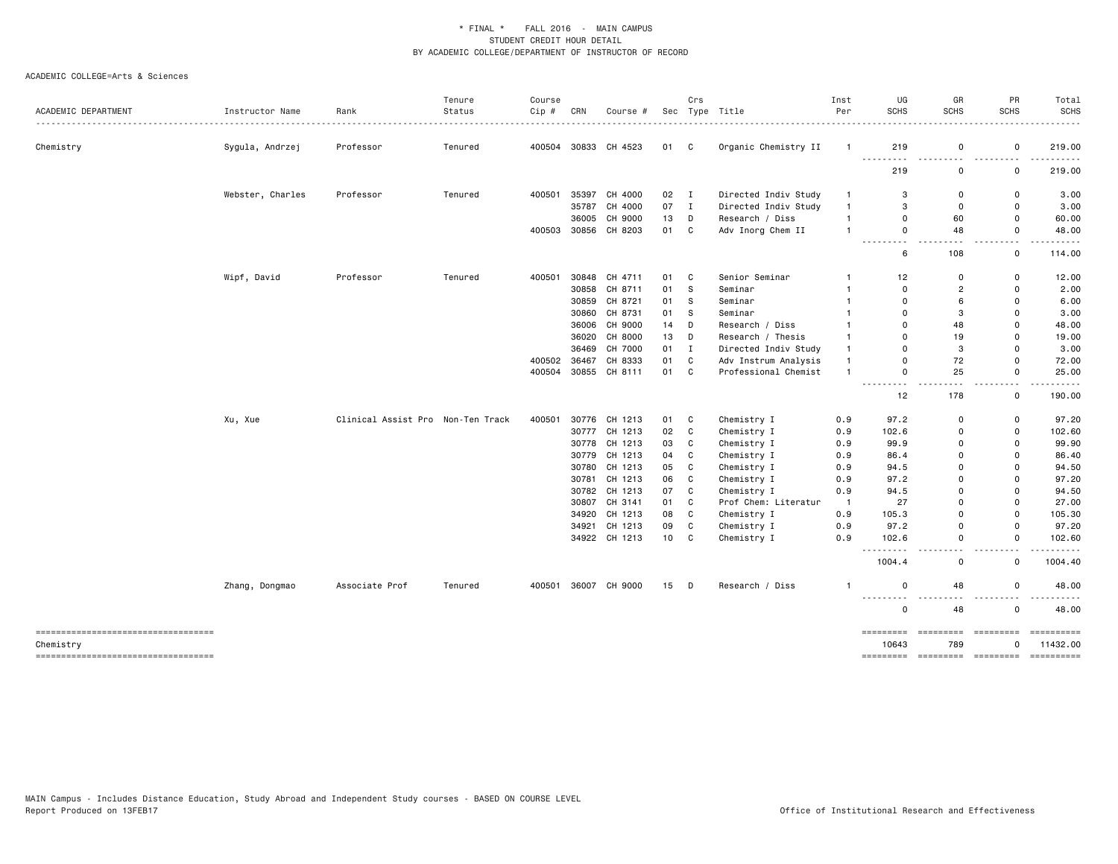|                                     |                  |                                   | Tenure  | Course |       |                                |          | Crs          |                                     | Inst                  | UG                                                                                                                                                             | GR                            | PR                                                                                                                                                                                                                                                                                                                                                                                                                                | Total            |
|-------------------------------------|------------------|-----------------------------------|---------|--------|-------|--------------------------------|----------|--------------|-------------------------------------|-----------------------|----------------------------------------------------------------------------------------------------------------------------------------------------------------|-------------------------------|-----------------------------------------------------------------------------------------------------------------------------------------------------------------------------------------------------------------------------------------------------------------------------------------------------------------------------------------------------------------------------------------------------------------------------------|------------------|
| ACADEMIC DEPARTMENT                 | Instructor Name  | Rank                              | Status  | Cip #  | CRN   | Course #                       |          |              | Sec Type Title                      | Per                   | <b>SCHS</b>                                                                                                                                                    | <b>SCHS</b>                   | <b>SCHS</b>                                                                                                                                                                                                                                                                                                                                                                                                                       | <b>SCHS</b><br>. |
| Chemistry                           | Sygula, Andrzej  | Professor                         | Tenured |        |       | 400504 30833 CH 4523           | 01 C     |              | Organic Chemistry II                | $\overline{1}$        | 219                                                                                                                                                            | 0                             | $\mathbf 0$                                                                                                                                                                                                                                                                                                                                                                                                                       | 219.00           |
|                                     |                  |                                   |         |        |       |                                |          |              |                                     |                       |                                                                                                                                                                |                               |                                                                                                                                                                                                                                                                                                                                                                                                                                   | .                |
|                                     |                  |                                   |         |        |       |                                |          |              |                                     |                       | 219                                                                                                                                                            | 0                             | $\mathbf 0$                                                                                                                                                                                                                                                                                                                                                                                                                       | 219.00           |
|                                     | Webster, Charles | Professor                         | Tenured | 400501 | 35397 | CH 4000                        | 02 I     |              | Directed Indiv Study                | $\mathbf{1}$          | 3                                                                                                                                                              | $\Omega$                      | $\mathbf 0$                                                                                                                                                                                                                                                                                                                                                                                                                       | 3.00             |
|                                     |                  |                                   |         |        | 35787 | CH 4000                        | 07       | $\mathbf{I}$ | Directed Indiv Study                | $\mathbf{1}$          | 3                                                                                                                                                              | $\Omega$                      | $\mathbf 0$                                                                                                                                                                                                                                                                                                                                                                                                                       | 3.00             |
|                                     |                  |                                   |         |        | 36005 | CH 9000                        | 13       | D            | Research / Diss                     | $\mathbf{1}$          | $\Omega$                                                                                                                                                       | 60                            | $\overline{0}$                                                                                                                                                                                                                                                                                                                                                                                                                    | 60.00            |
|                                     |                  |                                   |         | 400503 |       | 30856 CH 8203                  | 01       | C            | Adv Inorg Chem II                   | $\mathbf{1}$          | 0<br>$\frac{1}{2} \left( \frac{1}{2} \right) \left( \frac{1}{2} \right) \left( \frac{1}{2} \right) \left( \frac{1}{2} \right) \left( \frac{1}{2} \right)$<br>. | 48                            | $\mathbf 0$<br>. .                                                                                                                                                                                                                                                                                                                                                                                                                | 48.00            |
|                                     |                  |                                   |         |        |       |                                |          |              |                                     |                       | 6                                                                                                                                                              | 108                           | 0                                                                                                                                                                                                                                                                                                                                                                                                                                 | 114.00           |
|                                     | Wipf, David      | Professor                         | Tenured | 400501 |       | 30848 CH 4711                  | 01       | C            | Senior Seminar                      | 1                     | 12                                                                                                                                                             | 0                             | $\mathbf 0$                                                                                                                                                                                                                                                                                                                                                                                                                       | 12.00            |
|                                     |                  |                                   |         |        | 30858 | CH 8711                        | 01       | s            | Seminar                             | 1                     | $\Omega$                                                                                                                                                       | $\overline{2}$                | $\overline{0}$                                                                                                                                                                                                                                                                                                                                                                                                                    | 2.00             |
|                                     |                  |                                   |         |        |       | 30859 CH 8721                  | 01       | s            | Seminar                             | $\mathbf{1}$          | $\Omega$                                                                                                                                                       | 6                             | $\mathbf 0$                                                                                                                                                                                                                                                                                                                                                                                                                       | 6.00             |
|                                     |                  |                                   |         |        |       | 30860 CH 8731                  | 01       | S            | Seminar                             | $\mathbf{1}$          | $\Omega$                                                                                                                                                       | 3                             | $\mathbf 0$                                                                                                                                                                                                                                                                                                                                                                                                                       | 3.00             |
|                                     |                  |                                   |         |        |       | 36006 CH 9000                  | 14       | D            | Research / Diss                     | $\mathbf{1}$          | $\Omega$                                                                                                                                                       | 48                            | $\overline{0}$                                                                                                                                                                                                                                                                                                                                                                                                                    | 48.00            |
|                                     |                  |                                   |         |        |       | 36020 CH 8000                  | 13       | D            | Research / Thesis                   | $\mathbf{1}$          | $\Omega$                                                                                                                                                       | 19                            | 0                                                                                                                                                                                                                                                                                                                                                                                                                                 | 19.00            |
|                                     |                  |                                   |         |        | 36469 | CH 7000                        | 01       | $\mathbf{I}$ | Directed Indiv Study                | $\mathbf{1}$          | $\Omega$                                                                                                                                                       | 3                             | $\overline{0}$                                                                                                                                                                                                                                                                                                                                                                                                                    | 3.00             |
|                                     |                  |                                   |         | 400502 | 36467 | CH 8333                        | 01       | C            | Adv Instrum Analysis                | $\mathbf{1}$          | 0                                                                                                                                                              | 72                            | $\mathbf 0$                                                                                                                                                                                                                                                                                                                                                                                                                       | 72.00            |
|                                     |                  |                                   |         | 400504 |       | 30855 CH 8111                  | 01       | C            | Professional Chemist                | $\mathbf{1}$          | 0<br>بالماء                                                                                                                                                    | 25                            | $\mathsf 0$<br>$\overline{\phantom{a}}$                                                                                                                                                                                                                                                                                                                                                                                           | 25.00            |
|                                     |                  |                                   |         |        |       |                                |          |              |                                     |                       | 12                                                                                                                                                             | 178                           | $\mathbf 0$                                                                                                                                                                                                                                                                                                                                                                                                                       | 190.00           |
|                                     | Xu, Xue          | Clinical Assist Pro Non-Ten Track |         | 400501 |       | 30776 CH 1213                  | 01       | C            | Chemistry I                         | 0.9                   | 97.2                                                                                                                                                           | $\Omega$                      | $\mathbf 0$                                                                                                                                                                                                                                                                                                                                                                                                                       | 97.20            |
|                                     |                  |                                   |         |        |       | 30777 CH 1213                  | 02       | C            | Chemistry I                         | 0.9                   | 102.6                                                                                                                                                          | $\Omega$                      | $\mathbf 0$                                                                                                                                                                                                                                                                                                                                                                                                                       | 102.60           |
|                                     |                  |                                   |         |        |       | 30778 CH 1213                  | 03       | C            | Chemistry I                         | 0.9                   | 99.9                                                                                                                                                           | $\Omega$                      | $\mathbf 0$                                                                                                                                                                                                                                                                                                                                                                                                                       | 99.90            |
|                                     |                  |                                   |         |        | 30779 | CH 1213                        | 04       | C            | Chemistry I                         | 0.9                   | 86.4                                                                                                                                                           | 0                             | $\mathbf 0$                                                                                                                                                                                                                                                                                                                                                                                                                       | 86.40            |
|                                     |                  |                                   |         |        |       | 30780 CH 1213                  | 05       | C            | Chemistry I                         | 0.9                   | 94.5                                                                                                                                                           | $\Omega$                      | $\mathbf 0$                                                                                                                                                                                                                                                                                                                                                                                                                       | 94.50            |
|                                     |                  |                                   |         |        | 30781 | CH 1213                        | 06       | C            | Chemistry I                         | 0.9                   | 97.2                                                                                                                                                           | $\Omega$                      | $\overline{0}$                                                                                                                                                                                                                                                                                                                                                                                                                    | 97.20            |
|                                     |                  |                                   |         |        |       | 30782 CH 1213                  | 07       | C            | Chemistry I                         | 0.9                   | 94.5                                                                                                                                                           | 0<br>$\Omega$                 | $\Omega$<br>$\mathbf 0$                                                                                                                                                                                                                                                                                                                                                                                                           | 94.50            |
|                                     |                  |                                   |         |        |       | 30807 CH 3141<br>34920 CH 1213 | 01<br>08 | C<br>C       | Prof Chem: Literatur<br>Chemistry I | $\overline{1}$<br>0.9 | 27<br>105.3                                                                                                                                                    | 0                             | $\mathbf 0$                                                                                                                                                                                                                                                                                                                                                                                                                       | 27.00<br>105.30  |
|                                     |                  |                                   |         |        |       | 34921 CH 1213                  | 09       | C            | Chemistry I                         | 0.9                   | 97.2                                                                                                                                                           | 0                             | $\mathsf 0$                                                                                                                                                                                                                                                                                                                                                                                                                       | 97.20            |
|                                     |                  |                                   |         |        |       | 34922 CH 1213                  | 10       | C            | Chemistry I                         | 0.9                   | 102.6                                                                                                                                                          | 0                             | $\mathbf 0$                                                                                                                                                                                                                                                                                                                                                                                                                       | 102.60           |
|                                     |                  |                                   |         |        |       |                                |          |              |                                     |                       | $\frac{1}{2} \left( \frac{1}{2} \right)$<br>1004.4                                                                                                             | $\overline{\phantom{a}}$<br>0 | $\sim$ $\sim$<br>$\mathsf 0$                                                                                                                                                                                                                                                                                                                                                                                                      | .<br>1004.40     |
|                                     | Zhang, Dongmao   | Associate Prof                    | Tenured | 400501 |       | 36007 CH 9000                  | $15$ D   |              | Research / Diss                     | -1                    | 0                                                                                                                                                              | 48                            | $\mathbf 0$                                                                                                                                                                                                                                                                                                                                                                                                                       | 48.00            |
|                                     |                  |                                   |         |        |       |                                |          |              |                                     |                       | <u>.</u><br>0                                                                                                                                                  | $\sim$ $\sim$<br>48           | $\sim$ $\sim$<br>$\mathbf 0$                                                                                                                                                                                                                                                                                                                                                                                                      | .<br>48.00       |
| ----------------------------------  |                  |                                   |         |        |       |                                |          |              |                                     |                       | =========                                                                                                                                                      | =========                     | $\begin{minipage}{0.9\linewidth} \hspace*{-0.2cm} \textbf{1} & \textbf{2} & \textbf{3} & \textbf{5} & \textbf{6} & \textbf{7} & \textbf{8} \\ \textbf{1} & \textbf{2} & \textbf{3} & \textbf{5} & \textbf{6} & \textbf{7} & \textbf{8} & \textbf{8} & \textbf{9} \\ \textbf{2} & \textbf{3} & \textbf{5} & \textbf{5} & \textbf{5} & \textbf{7} & \textbf{8} & \textbf{9} & \textbf{10} & \textbf{10} \\ \textbf{3} & \textbf{6}$ |                  |
| Chemistry                           |                  |                                   |         |        |       |                                |          |              |                                     |                       | 10643                                                                                                                                                          | 789                           | $\Omega$                                                                                                                                                                                                                                                                                                                                                                                                                          | 11432.00         |
| ----------------------------------- |                  |                                   |         |        |       |                                |          |              |                                     |                       | =========                                                                                                                                                      | =========                     | =========                                                                                                                                                                                                                                                                                                                                                                                                                         | ==========       |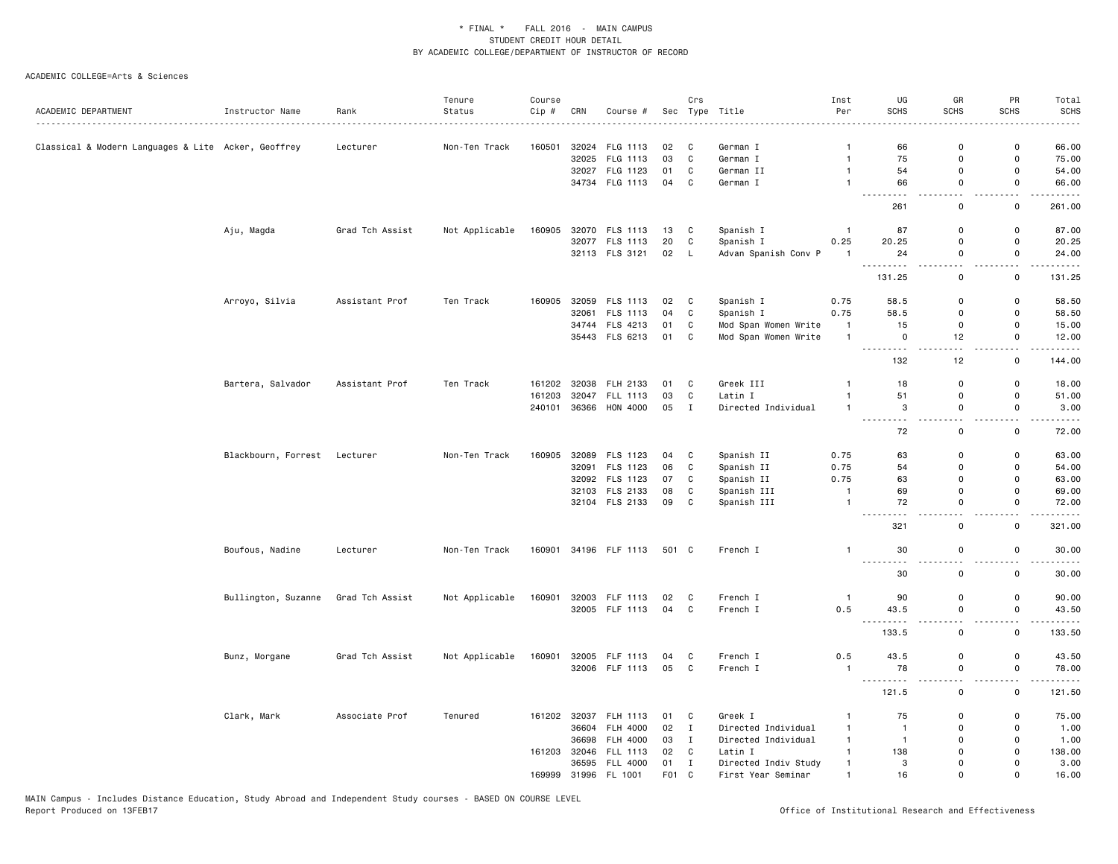|                                                     |                              |                 | Tenure         | Course |       |                 |       | Crs          |                      | Inst           | UG                                                                                                                                                          | GR                                       | PR                                      | Total                                                                                                                                                         |
|-----------------------------------------------------|------------------------------|-----------------|----------------|--------|-------|-----------------|-------|--------------|----------------------|----------------|-------------------------------------------------------------------------------------------------------------------------------------------------------------|------------------------------------------|-----------------------------------------|---------------------------------------------------------------------------------------------------------------------------------------------------------------|
| ACADEMIC DEPARTMENT                                 | Instructor Name              | Rank            | Status         | Cip #  | CRN   | Course #        |       |              | Sec Type Title       | Per            | <b>SCHS</b>                                                                                                                                                 | <b>SCHS</b>                              | <b>SCHS</b>                             | <b>SCHS</b>                                                                                                                                                   |
|                                                     |                              |                 |                |        |       |                 |       |              |                      |                |                                                                                                                                                             |                                          |                                         |                                                                                                                                                               |
| Classical & Modern Languages & Lite Acker, Geoffrey |                              | Lecturer        | Non-Ten Track  | 160501 | 32024 | FLG 1113        | 02    | C            | German I             | 1              | 66                                                                                                                                                          | 0                                        | 0                                       | 66.00                                                                                                                                                         |
|                                                     |                              |                 |                |        | 32025 | FLG 1113        | 03    | C            | German I             | $\mathbf{1}$   | 75                                                                                                                                                          | 0                                        | 0                                       | 75.00                                                                                                                                                         |
|                                                     |                              |                 |                |        |       | 32027 FLG 1123  | 01    | C            | German II            | $\overline{1}$ | 54                                                                                                                                                          | 0                                        | 0                                       | 54.00                                                                                                                                                         |
|                                                     |                              |                 |                |        |       | 34734 FLG 1113  | 04    | C            | German I             | $\mathbf{1}$   | 66<br>$\sim$ $\sim$ $\sim$<br>.                                                                                                                             | $\mathsf{o}$<br>$\sim$ $\sim$            | $\mathsf 0$<br>$\sim$ $\sim$            | 66.00<br>.                                                                                                                                                    |
|                                                     |                              |                 |                |        |       |                 |       |              |                      |                | 261                                                                                                                                                         | $\mathsf 0$                              | 0                                       | 261.00                                                                                                                                                        |
|                                                     | Aju, Magda                   | Grad Tch Assist | Not Applicable | 160905 |       | 32070 FLS 1113  | 13    | C            | Spanish I            | $\overline{1}$ | 87                                                                                                                                                          | $\mathsf 0$                              | 0                                       | 87.00                                                                                                                                                         |
|                                                     |                              |                 |                |        |       | 32077 FLS 1113  | 20    | C            | Spanish I            | 0.25           | 20.25                                                                                                                                                       | 0                                        | $\mathsf 0$                             | 20.25                                                                                                                                                         |
|                                                     |                              |                 |                |        |       | 32113 FLS 3121  | 02 L  |              | Advan Spanish Conv P | $\mathbf{1}$   | 24<br><u>.</u>                                                                                                                                              | $\mathbf 0$<br>$\sim$                    | $\mathbf 0$<br>i a a                    | 24.00<br>.                                                                                                                                                    |
|                                                     |                              |                 |                |        |       |                 |       |              |                      |                | 131.25                                                                                                                                                      | 0                                        | 0                                       | 131.25                                                                                                                                                        |
|                                                     | Arroyo, Silvia               | Assistant Prof  | Ten Track      | 160905 |       | 32059 FLS 1113  | 02 C  |              | Spanish I            | 0.75           | 58.5                                                                                                                                                        | $\mathbf 0$                              | $\mathbf 0$                             | 58.50                                                                                                                                                         |
|                                                     |                              |                 |                |        |       | 32061 FLS 1113  | 04    | C            | Spanish I            | 0.75           | 58.5                                                                                                                                                        | $\mathbf 0$                              | $\mathbf 0$                             | 58.50                                                                                                                                                         |
|                                                     |                              |                 |                |        |       | 34744 FLS 4213  | 01    | C            | Mod Span Women Write | $\overline{1}$ | 15                                                                                                                                                          | 0                                        | 0                                       | 15.00                                                                                                                                                         |
|                                                     |                              |                 |                |        |       | 35443 FLS 6213  | 01    | $\mathbf c$  | Mod Span Women Write | $\overline{1}$ | $\mathbf 0$                                                                                                                                                 | 12                                       | $\mathbf{0}$                            | 12.00                                                                                                                                                         |
|                                                     |                              |                 |                |        |       |                 |       |              |                      |                | $\frac{1}{2} \left( \frac{1}{2} \right) \left( \frac{1}{2} \right) \left( \frac{1}{2} \right) \left( \frac{1}{2} \right) \left( \frac{1}{2} \right)$<br>132 | $\sim$ $\sim$<br>12                      | $\sim$ $\sim$<br>0                      | .<br>144.00                                                                                                                                                   |
|                                                     | Bartera, Salvador            | Assistant Prof  | Ten Track      | 161202 |       | 32038 FLH 2133  | 01    | C            | Greek III            | $\overline{1}$ | 18                                                                                                                                                          | 0                                        | 0                                       | 18.00                                                                                                                                                         |
|                                                     |                              |                 |                | 161203 |       | 32047 FLL 1113  | 03    | C            | Latin I              | $\overline{1}$ | 51                                                                                                                                                          | 0                                        | 0                                       | 51.00                                                                                                                                                         |
|                                                     |                              |                 |                | 240101 |       | 36366 HON 4000  | 05    | $\mathbf{I}$ | Directed Individual  | $\overline{1}$ | 3                                                                                                                                                           | $\mathsf 0$                              | $\mathsf 0$                             | 3.00                                                                                                                                                          |
|                                                     |                              |                 |                |        |       |                 |       |              |                      |                | - - -<br>72                                                                                                                                                 | $\overline{\phantom{a}}$<br>$\mathsf{o}$ | $\overline{\phantom{a}}$<br>$\mathsf 0$ | $\frac{1}{2} \left( \frac{1}{2} \right) \left( \frac{1}{2} \right) \left( \frac{1}{2} \right) \left( \frac{1}{2} \right) \left( \frac{1}{2} \right)$<br>72.00 |
|                                                     | Blackbourn, Forrest Lecturer |                 | Non-Ten Track  | 160905 |       | 32089 FLS 1123  | 04    | C            | Spanish II           | 0.75           | 63                                                                                                                                                          | 0                                        | 0                                       | 63.00                                                                                                                                                         |
|                                                     |                              |                 |                |        |       | 32091 FLS 1123  | 06    | C            | Spanish II           | 0.75           | 54                                                                                                                                                          | 0                                        | 0                                       | 54.00                                                                                                                                                         |
|                                                     |                              |                 |                |        |       | 32092 FLS 1123  | 07    | C            | Spanish II           | 0.75           | 63                                                                                                                                                          | 0                                        | 0                                       | 63.00                                                                                                                                                         |
|                                                     |                              |                 |                |        |       | 32103 FLS 2133  | 08    | $\mathtt{C}$ | Spanish III          | $\overline{1}$ | 69                                                                                                                                                          | $\mathsf{o}$                             | $\mathsf 0$                             | 69.00                                                                                                                                                         |
|                                                     |                              |                 |                |        |       | 32104 FLS 2133  | 09    | C            | Spanish III          | $\overline{1}$ | 72                                                                                                                                                          | $\mathbf 0$                              | $\mathbf 0$                             | 72.00                                                                                                                                                         |
|                                                     |                              |                 |                |        |       |                 |       |              |                      |                | 321                                                                                                                                                         | $\sim$<br>0                              | $\sim$ $\sim$<br>0                      | .<br>321.00                                                                                                                                                   |
|                                                     |                              |                 |                |        |       |                 |       |              |                      |                |                                                                                                                                                             |                                          |                                         |                                                                                                                                                               |
|                                                     | Boufous, Nadine              | Lecturer        | Non-Ten Track  | 160901 |       | 34196 FLF 1113  | 501 C |              | French I             | $\overline{1}$ | 30<br>---------                                                                                                                                             | $\mathsf 0$<br>$\sim$ $\sim$             | $\mathsf 0$<br>$\overline{a}$           | 30.00<br>.                                                                                                                                                    |
|                                                     |                              |                 |                |        |       |                 |       |              |                      |                | 30                                                                                                                                                          | $\mathsf 0$                              | $\mathsf 0$                             | 30.00                                                                                                                                                         |
|                                                     | Bullington, Suzanne          | Grad Tch Assist | Not Applicable | 160901 |       | 32003 FLF 1113  | 02    | C            | French I             | $\overline{1}$ | 90                                                                                                                                                          | $\mathsf 0$                              | $\mathbf 0$                             | 90.00                                                                                                                                                         |
|                                                     |                              |                 |                |        |       | 32005 FLF 1113  | 04    | $\mathbf{C}$ | French I             | 0.5            | 43.5                                                                                                                                                        | $\mathsf 0$                              | $\mathsf 0$                             | 43.50                                                                                                                                                         |
|                                                     |                              |                 |                |        |       |                 |       |              |                      |                | $\sim$ $\sim$ .<br>133.5                                                                                                                                    | 0                                        | $\mathsf 0$                             | 133.50                                                                                                                                                        |
|                                                     | Bunz, Morgane                | Grad Tch Assist | Not Applicable | 160901 |       | 32005 FLF 1113  | 04    | C            | French I             | 0.5            | 43.5                                                                                                                                                        | 0                                        | $\mathsf 0$                             | 43.50                                                                                                                                                         |
|                                                     |                              |                 |                |        |       | 32006 FLF 1113  | 05    | $\mathbf{C}$ | French I             | $\overline{1}$ | 78                                                                                                                                                          | $\mathsf 0$                              | $\mathsf 0$                             | 78.00                                                                                                                                                         |
|                                                     |                              |                 |                |        |       |                 |       |              |                      |                | . <b>.</b>                                                                                                                                                  | $\overline{\phantom{a}}$                 | $\sim$ $\sim$                           | .                                                                                                                                                             |
|                                                     |                              |                 |                |        |       |                 |       |              |                      |                | 121.5                                                                                                                                                       | 0                                        | 0                                       | 121.50                                                                                                                                                        |
|                                                     | Clark, Mark                  | Associate Prof  | Tenured        | 161202 |       | 32037 FLH 1113  | 01    | C            | Greek I              | $\overline{1}$ | 75                                                                                                                                                          | $\mathsf{o}$                             | 0                                       | 75.00                                                                                                                                                         |
|                                                     |                              |                 |                |        | 36604 | <b>FLH 4000</b> | 02    | $\mathbf{I}$ | Directed Individual  | $\overline{1}$ | $\overline{1}$                                                                                                                                              | 0                                        | 0                                       | 1.00                                                                                                                                                          |
|                                                     |                              |                 |                |        | 36698 | <b>FLH 4000</b> | 03    | $\mathbf{I}$ | Directed Individual  | $\overline{1}$ | $\mathbf{1}$                                                                                                                                                | 0                                        | 0                                       | 1.00                                                                                                                                                          |
|                                                     |                              |                 |                | 161203 | 32046 | FLL 1113        | 02    | C            | Latin I              | $\mathbf{1}$   | 138                                                                                                                                                         | $\mathbf 0$                              | $\mathbf 0$                             | 138.00                                                                                                                                                        |
|                                                     |                              |                 |                |        |       | 36595 FLL 4000  | 01    | $\mathbf{I}$ | Directed Indiv Study | $\overline{1}$ | 3                                                                                                                                                           | $\mathbf 0$                              | $\mathbf 0$                             | 3.00                                                                                                                                                          |
|                                                     |                              |                 |                | 169999 |       | 31996 FL 1001   | F01 C |              | First Year Seminar   | $\overline{1}$ | 16                                                                                                                                                          | $\mathbf 0$                              | $\mathbf 0$                             | 16.00                                                                                                                                                         |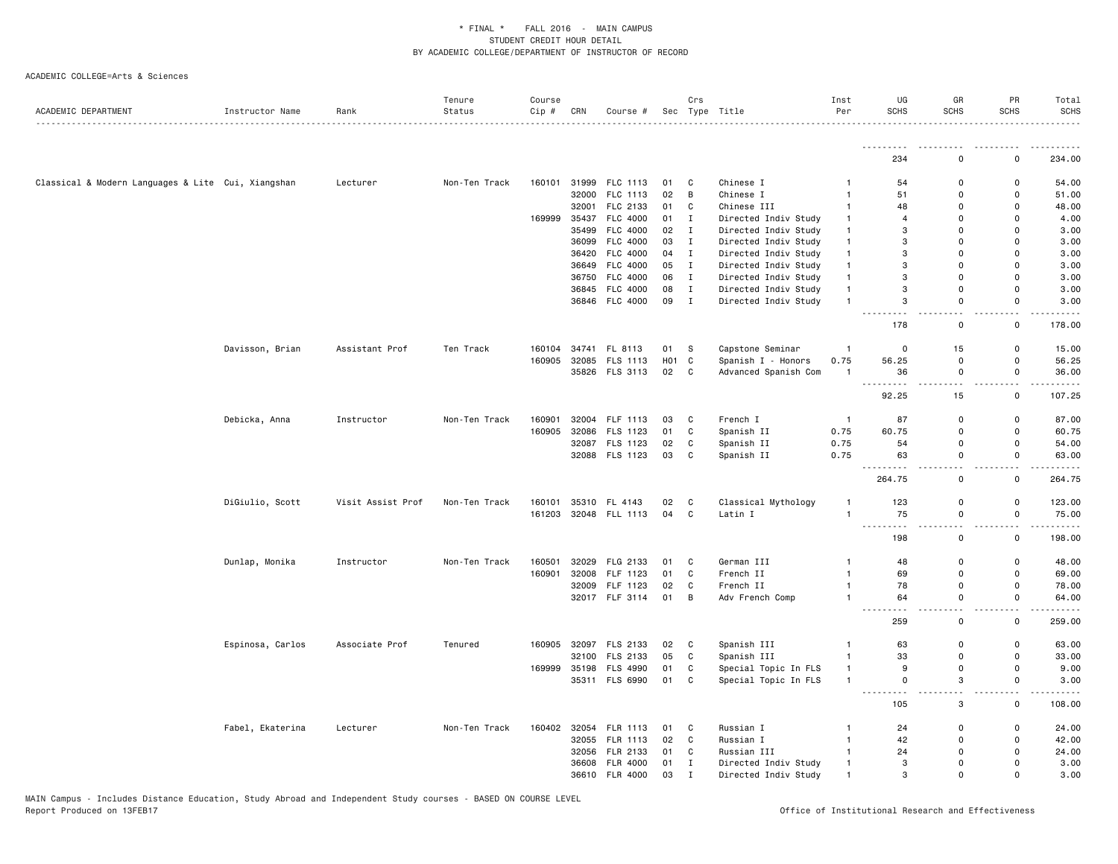|                                                    |                  |                   | Tenure        | Course |       |                 |                   | Crs            |                      | Inst           | UG                                                                                                                | GR                            | PR                                  | Total                               |
|----------------------------------------------------|------------------|-------------------|---------------|--------|-------|-----------------|-------------------|----------------|----------------------|----------------|-------------------------------------------------------------------------------------------------------------------|-------------------------------|-------------------------------------|-------------------------------------|
| ACADEMIC DEPARTMENT                                | Instructor Name  | Rank              | Status        | Cip #  | CRN   | Course #        |                   |                | Sec Type Title       | Per            | <b>SCHS</b>                                                                                                       | <b>SCHS</b>                   | <b>SCHS</b>                         | <b>SCHS</b>                         |
|                                                    |                  |                   |               |        |       |                 |                   |                |                      |                |                                                                                                                   |                               |                                     |                                     |
|                                                    |                  |                   |               |        |       |                 |                   |                |                      |                | 234                                                                                                               | $\Omega$                      | 0                                   | 234.00                              |
| Classical & Modern Languages & Lite Cui, Xiangshan |                  | Lecturer          | Non-Ten Track | 160101 |       | 31999 FLC 1113  | 01 C              |                | Chinese I            | $\overline{1}$ | 54                                                                                                                | $\mathbf 0$                   | $\mathsf{o}$                        | 54.00                               |
|                                                    |                  |                   |               |        |       | 32000 FLC 1113  | 02                | $\overline{B}$ | Chinese I            | $\mathbf{1}$   | 51                                                                                                                | $\Omega$                      | 0                                   | 51.00                               |
|                                                    |                  |                   |               |        | 32001 | FLC 2133        | 01                | $\mathbb{C}$   | Chinese III          | $\mathbf{1}$   | 48                                                                                                                | $\mathbf 0$                   | 0                                   | 48.00                               |
|                                                    |                  |                   |               | 169999 | 35437 | FLC 4000        | 01                | $\mathbf{I}$   | Directed Indiv Study | $\mathbf{1}$   | $\overline{4}$                                                                                                    | $\Omega$                      | $\Omega$                            | 4.00                                |
|                                                    |                  |                   |               |        | 35499 | <b>FLC 4000</b> | 02                | $\mathbf I$    | Directed Indiv Study | $\mathbf{1}$   | 3                                                                                                                 | $\Omega$                      | $\Omega$                            | 3.00                                |
|                                                    |                  |                   |               |        |       | 36099 FLC 4000  | 03                | I              | Directed Indiv Study | $\mathbf{1}$   | 3                                                                                                                 | $\Omega$                      | $\Omega$                            | 3.00                                |
|                                                    |                  |                   |               |        |       | 36420 FLC 4000  | 04                | $\mathbf{I}$   | Directed Indiv Study | $\overline{1}$ | 3                                                                                                                 | $\mathbf 0$                   | $\mathbf 0$                         | 3.00                                |
|                                                    |                  |                   |               |        |       | 36649 FLC 4000  | 05                | $\mathbf{I}$   | Directed Indiv Study | $\mathbf{1}$   | 3                                                                                                                 | $\Omega$                      | $\Omega$                            | 3.00                                |
|                                                    |                  |                   |               |        |       | 36750 FLC 4000  | 06                | $\mathbf{I}$   | Directed Indiv Study | $\overline{1}$ | 3                                                                                                                 | $\Omega$                      | $\Omega$                            | 3.00                                |
|                                                    |                  |                   |               |        |       | 36845 FLC 4000  | 08                | $\mathbf I$    | Directed Indiv Study | $\mathbf{1}$   | 3                                                                                                                 | $\mathbf 0$                   | $\mathsf 0$                         | 3.00                                |
|                                                    |                  |                   |               |        |       | 36846 FLC 4000  | 09                | $\mathbf{I}$   | Directed Indiv Study | $\overline{1}$ | 3                                                                                                                 | $\mathbf{0}$                  | $\mathbf 0$<br>$\sim$ $\sim$        | 3.00<br>$\sim$ $\sim$ $\sim$ $\sim$ |
|                                                    |                  |                   |               |        |       |                 |                   |                |                      |                | 178                                                                                                               | 0                             | 0                                   | 178.00                              |
|                                                    | Davisson, Brian  | Assistant Prof    | Ten Track     | 160104 |       | 34741 FL 8113   | 01                | - S            | Capstone Seminar     | $\mathbf{1}$   | 0                                                                                                                 | 15                            | 0                                   | 15.00                               |
|                                                    |                  |                   |               | 160905 |       | 32085 FLS 1113  | H <sub>01</sub> C |                | Spanish I - Honors   | 0.75           | 56.25                                                                                                             | 0                             | 0                                   | 56.25                               |
|                                                    |                  |                   |               |        |       | 35826 FLS 3113  | 02                | $\mathbf{C}$   | Advanced Spanish Com | $\overline{1}$ | 36                                                                                                                | $\mathsf 0$                   | $\mathsf 0$                         | 36.00                               |
|                                                    |                  |                   |               |        |       |                 |                   |                |                      |                | $\sim$ $\sim$ $\sim$<br>. <b>.</b><br>92.25                                                                       | $-$<br>15                     | $-$<br>0                            | .<br>107.25                         |
|                                                    | Debicka, Anna    | Instructor        | Non-Ten Track | 160901 |       | 32004 FLF 1113  | 03                | C              | French I             | $\overline{1}$ | 87                                                                                                                | $\Omega$                      | $\mathbf 0$                         | 87.00                               |
|                                                    |                  |                   |               | 160905 | 32086 | FLS 1123        | 01                | C              | Spanish II           | 0.75           | 60.75                                                                                                             | $\mathbf 0$                   | 0                                   | 60.75                               |
|                                                    |                  |                   |               |        |       | 32087 FLS 1123  | 02                | C              | Spanish II           | 0.75           | 54                                                                                                                | $\mathbf 0$                   | $\mathsf{o}$                        | 54.00                               |
|                                                    |                  |                   |               |        |       | 32088 FLS 1123  | 03                | C              | Spanish II           | 0.75           | 63                                                                                                                | 0                             | 0                                   | 63.00                               |
|                                                    |                  |                   |               |        |       |                 |                   |                |                      |                | $\sim$ $\sim$ $\sim$<br>264.75                                                                                    | - -<br>$\mathbf 0$            | $\sim$ $\sim$<br>$\mathsf 0$        | .<br>264.75                         |
|                                                    | DiGiulio, Scott  | Visit Assist Prof | Non-Ten Track | 160101 |       | 35310 FL 4143   | 02                | C              | Classical Mythology  |                | 123                                                                                                               | 0                             | 0                                   | 123.00                              |
|                                                    |                  |                   |               | 161203 |       | 32048 FLL 1113  | 04                | C              | Latin I              | $\mathbf{1}$   | 75                                                                                                                | 0                             | 0                                   | 75.00                               |
|                                                    |                  |                   |               |        |       |                 |                   |                |                      |                | .<br>$- - -$<br>198                                                                                               | $\overline{\phantom{a}}$<br>0 | $\overline{\phantom{a}}$<br>0       | .<br>198.00                         |
|                                                    | Dunlap, Monika   | Instructor        | Non-Ten Track | 160501 | 32029 | FLG 2133        | 01                | C              | German III           | $\overline{1}$ | 48                                                                                                                | 0                             | $\mathsf 0$                         | 48.00                               |
|                                                    |                  |                   |               | 160901 | 32008 | FLF 1123        | 01                | $\mathtt{C}$   | French II            | $\overline{1}$ | 69                                                                                                                | $\mathbf 0$                   | $\mathsf{o}$                        | 69.00                               |
|                                                    |                  |                   |               |        |       | 32009 FLF 1123  | 02                | $\mathtt{C}$   | French II            | $\mathbf{1}$   | 78                                                                                                                | $\mathbf 0$                   | $\mathbf 0$                         | 78.00                               |
|                                                    |                  |                   |               |        |       | 32017 FLF 3114  | 01                | B              | Adv French Comp      | $\mathbf{1}$   | 64<br>$\begin{array}{cccccccccc} \bullet & \bullet & \bullet & \bullet & \bullet & \bullet & \bullet \end{array}$ | $\mathbf 0$                   | $\mathsf{o}$<br>$\omega_{\rm{eff}}$ | 64.00<br>.                          |
|                                                    |                  |                   |               |        |       |                 |                   |                |                      |                | 259                                                                                                               | $\mathbf 0$                   | 0                                   | 259.00                              |
|                                                    | Espinosa, Carlos | Associate Prof    | Tenured       | 160905 |       | 32097 FLS 2133  | 02                | C              | Spanish III          | $\overline{1}$ | 63                                                                                                                | 0                             | $\mathbf 0$                         | 63.00                               |
|                                                    |                  |                   |               |        |       | 32100 FLS 2133  | 05                | C              | Spanish III          | $\overline{1}$ | 33                                                                                                                | $\mathbf 0$                   | 0                                   | 33.00                               |
|                                                    |                  |                   |               | 169999 |       | 35198 FLS 4990  | 01                | $\mathtt{C}$   | Special Topic In FLS | $\mathbf{1}$   | 9                                                                                                                 | 0                             | $\mathsf 0$                         | 9.00                                |
|                                                    |                  |                   |               |        |       | 35311 FLS 6990  | 01                | $\mathtt{C}$   | Special Topic In FLS | $\overline{1}$ | $\mathbf 0$                                                                                                       | 3                             | $\mathsf{o}$<br>$\sim$ $\sim$       | 3.00<br>$\sim$ $\sim$ $\sim$ $\sim$ |
|                                                    |                  |                   |               |        |       |                 |                   |                |                      |                | 105                                                                                                               | 3                             | 0                                   | 108.00                              |
|                                                    | Fabel, Ekaterina | Lecturer          | Non-Ten Track | 160402 |       | 32054 FLR 1113  | 01                | C              | Russian I            | $\mathbf{1}$   | 24                                                                                                                | 0                             | 0                                   | 24.00                               |
|                                                    |                  |                   |               |        |       | 32055 FLR 1113  | 02                | C              | Russian I            | $\mathbf{1}$   | 42                                                                                                                | $\mathbf 0$                   | $\mathsf{o}$                        | 42.00                               |
|                                                    |                  |                   |               |        |       | 32056 FLR 2133  | 01                | C              | Russian III          | $\mathbf{1}$   | 24                                                                                                                | 0                             | 0                                   | 24.00                               |
|                                                    |                  |                   |               |        |       | 36608 FLR 4000  | 01                | $\mathbf I$    | Directed Indiv Study | $\mathbf{1}$   | 3                                                                                                                 | $\mathbf 0$                   | $\mathbf 0$                         | 3.00                                |
|                                                    |                  |                   |               |        |       | 36610 FLR 4000  | 03                | $\mathbf{I}$   | Directed Indiv Study | $\mathbf{1}$   | 3                                                                                                                 | $\mathbf 0$                   | 0                                   | 3.00                                |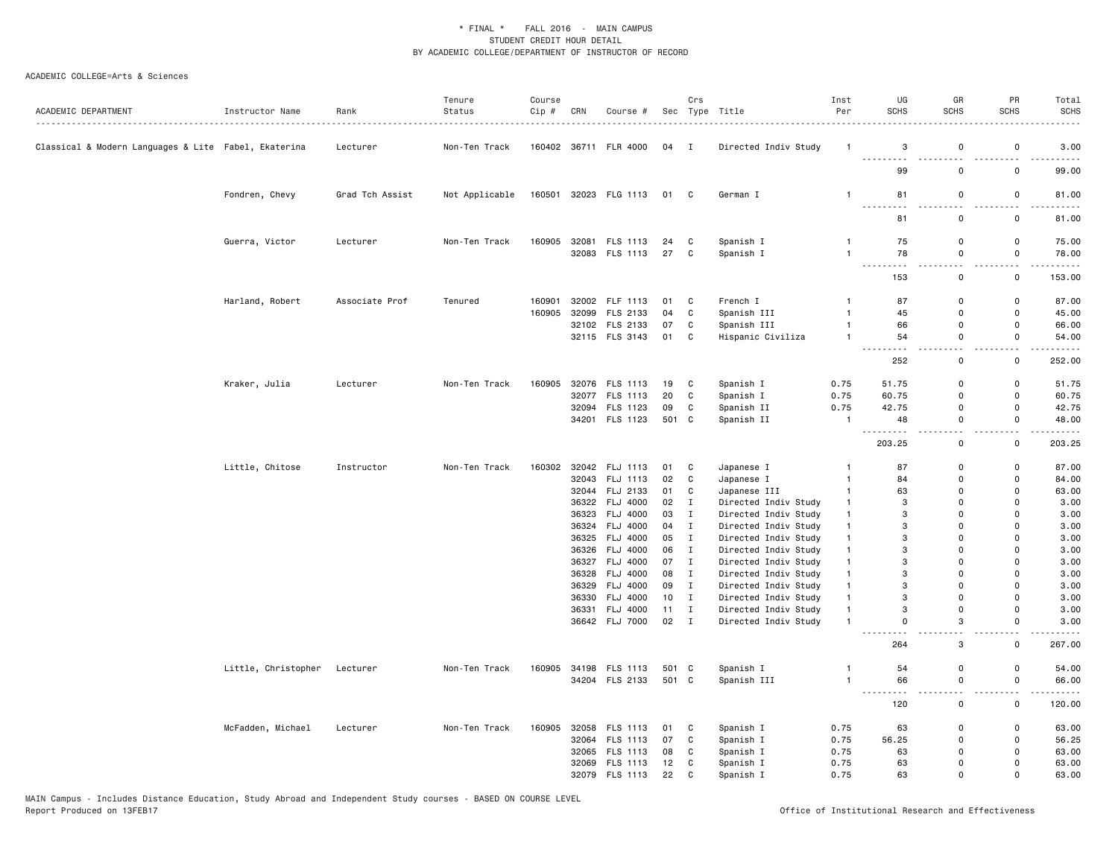| ACADEMIC DEPARTMENT                                  | Instructor Name     | Rank<br>.       | Tenure<br>Status | Course<br>Cip # | CRN | Course #                         |                | Crs                          | Sec Type Title                               | Inst<br>Per                  | UG<br><b>SCHS</b>                                                                                                                          | GR<br><b>SCHS</b>             | PR<br><b>SCHS</b>            | Total<br><b>SCHS</b> |
|------------------------------------------------------|---------------------|-----------------|------------------|-----------------|-----|----------------------------------|----------------|------------------------------|----------------------------------------------|------------------------------|--------------------------------------------------------------------------------------------------------------------------------------------|-------------------------------|------------------------------|----------------------|
| Classical & Modern Languages & Lite Fabel, Ekaterina |                     | Lecturer        | Non-Ten Track    |                 |     | 160402 36711 FLR 4000            | 04 I           |                              | Directed Indiv Study                         | -1                           | 3<br>.                                                                                                                                     | 0                             | $\mathsf 0$                  | 3.00                 |
|                                                      |                     |                 |                  |                 |     |                                  |                |                              |                                              |                              | 99                                                                                                                                         | $\mathsf 0$                   | $\mathsf 0$                  | 99.00                |
|                                                      | Fondren, Chevy      | Grad Tch Assist | Not Applicable   |                 |     | 160501 32023 FLG 1113            | 01             | $\mathbf{C}$                 | German I                                     | $\mathbf{1}$                 | 81                                                                                                                                         | 0                             | 0                            | 81.00                |
|                                                      |                     |                 |                  |                 |     |                                  |                |                              |                                              |                              | 81                                                                                                                                         | $\mathbf 0$                   | $\mathsf 0$                  | 81.00                |
|                                                      | Guerra, Victor      | Lecturer        | Non-Ten Track    | 160905          |     | 32081 FLS 1113<br>32083 FLS 1113 | 24<br>27       | C<br>$\mathbf{C}$            | Spanish I                                    | $\mathbf{1}$<br>$\mathbf{1}$ | 75<br>78                                                                                                                                   | $\mathsf 0$<br>0              | $\mathbf 0$<br>$\mathsf 0$   | 75.00                |
|                                                      |                     |                 |                  |                 |     |                                  |                |                              | Spanish I                                    |                              | .                                                                                                                                          | $\sim$                        | $\sim$                       | 78.00                |
|                                                      |                     |                 |                  |                 |     |                                  |                |                              |                                              |                              | 153                                                                                                                                        | 0                             | $\mathsf 0$                  | 153.00               |
|                                                      | Harland, Robert     | Associate Prof  | Tenured          | 160901          |     | 32002 FLF 1113                   | 01             | C                            | French I                                     | $\mathbf{1}$                 | 87                                                                                                                                         | $\mathbf 0$                   | $\mathsf 0$                  | 87.00                |
|                                                      |                     |                 |                  | 160905          |     | 32099 FLS 2133                   | 04             | $\mathtt{C}$                 | Spanish III                                  | $\mathbf{1}$                 | 45                                                                                                                                         | $\mathbf 0$                   | 0                            | 45.00                |
|                                                      |                     |                 |                  |                 |     | 32102 FLS 2133                   | 07             | C                            | Spanish III                                  | $\mathbf{1}$                 | 66                                                                                                                                         | $\mathsf 0$                   | $\mathbf 0$                  | 66.00                |
|                                                      |                     |                 |                  |                 |     | 32115 FLS 3143                   | 01             | C                            | Hispanic Civiliza                            | $\mathbf{1}$                 | 54<br>.                                                                                                                                    | 0<br>$\sim$ $\sim$            | 0<br>$\sim$ $\sim$           | 54.00<br>.           |
|                                                      |                     |                 |                  |                 |     |                                  |                |                              |                                              |                              | 252                                                                                                                                        | 0                             | $\mathsf 0$                  | 252.00               |
|                                                      | Kraker, Julia       | Lecturer        | Non-Ten Track    | 160905          |     | 32076 FLS 1113                   | 19             | C                            | Spanish I                                    | 0.75                         | 51.75                                                                                                                                      | $\mathbf 0$                   | 0                            | 51.75                |
|                                                      |                     |                 |                  |                 |     | 32077 FLS 1113                   | 20             | C                            | Spanish I                                    | 0.75                         | 60.75                                                                                                                                      | 0                             | 0                            | 60.75                |
|                                                      |                     |                 |                  |                 |     | 32094 FLS 1123                   | 09             | $\mathtt{C}$                 | Spanish II                                   | 0.75                         | 42.75                                                                                                                                      | 0                             | $\mathbf 0$                  | 42.75                |
|                                                      |                     |                 |                  |                 |     | 34201 FLS 1123                   | 501 C          |                              | Spanish II                                   | $\mathbf{1}$                 | 48                                                                                                                                         | 0<br>$\sim$                   | $\mathbf 0$<br>$\sim$ $\sim$ | 48.00<br>.           |
|                                                      |                     |                 |                  |                 |     |                                  |                |                              |                                              |                              | 203.25                                                                                                                                     | 0                             | $\mathbf 0$                  | 203.25               |
|                                                      | Little, Chitose     | Instructor      | Non-Ten Track    | 160302          |     | 32042 FLJ 1113                   | 01             | C                            | Japanese I                                   | $\mathbf{1}$                 | 87                                                                                                                                         | 0                             | $\mathsf 0$                  | 87.00                |
|                                                      |                     |                 |                  |                 |     | 32043 FLJ 1113                   | 02             | C                            | Japanese I                                   | $\mathbf{1}$                 | 84                                                                                                                                         | $\Omega$                      | $\mathbf 0$                  | 84.00                |
|                                                      |                     |                 |                  |                 |     | 32044 FLJ 2133                   | 01             | C                            | Japanese III                                 | $\mathbf{1}$                 | 63                                                                                                                                         | $\mathbf 0$                   | $\mathbf 0$                  | 63.00                |
|                                                      |                     |                 |                  |                 |     | 36322 FLJ 4000                   | 02             | $\mathbf{I}$                 | Directed Indiv Study                         | $\mathbf{1}$                 | 3                                                                                                                                          | $\Omega$                      | $\Omega$                     | 3.00                 |
|                                                      |                     |                 |                  |                 |     | 36323 FLJ 4000                   | 03             | $\mathbf I$                  | Directed Indiv Study                         | $\mathbf{1}$                 | 3                                                                                                                                          | 0                             | $\mathbf 0$                  | 3.00                 |
|                                                      |                     |                 |                  |                 |     | 36324 FLJ 4000                   | 04             | $\mathbf{I}$                 | Directed Indiv Study                         | $\mathbf{1}$                 | 3                                                                                                                                          | $\Omega$                      | $\mathbf 0$                  | 3.00                 |
|                                                      |                     |                 |                  |                 |     | 36325 FLJ 4000                   | 05             | $\mathbf{I}$                 | Directed Indiv Study                         | $\mathbf{1}$                 | 3                                                                                                                                          | $\Omega$                      | $\Omega$                     | 3.00                 |
|                                                      |                     |                 |                  |                 |     | 36326 FLJ 4000                   | 06             | $\mathbf{I}$                 | Directed Indiv Study                         | $\mathbf{1}$                 | 3                                                                                                                                          | $\Omega$                      | $\Omega$                     | 3.00                 |
|                                                      |                     |                 |                  |                 |     | 36327 FLJ 4000                   | 07             | $\mathbf{I}$                 | Directed Indiv Study                         | $\mathbf{1}$                 | 3                                                                                                                                          | $\Omega$                      | $\Omega$                     | 3.00                 |
|                                                      |                     |                 |                  |                 |     | 36328 FLJ 4000                   | 08<br>09       | $\mathbf{I}$<br>$\mathbf{I}$ | Directed Indiv Study                         | $\mathbf{1}$<br>$\mathbf{1}$ | 3<br>3                                                                                                                                     | $\mathbf 0$<br>$\Omega$       | $\mathbf 0$<br>$\Omega$      | 3.00                 |
|                                                      |                     |                 |                  |                 |     | 36329 FLJ 4000<br>36330 FLJ 4000 | 10             | $\mathbf I$                  | Directed Indiv Study<br>Directed Indiv Study | $\mathbf{1}$                 | 3                                                                                                                                          | 0                             | $\mathbf 0$                  | 3.00<br>3.00         |
|                                                      |                     |                 |                  |                 |     | 36331 FLJ 4000                   | 11             | $\mathbf{I}$                 | Directed Indiv Study                         | $\mathbf{1}$                 | 3                                                                                                                                          | $\Omega$                      | $\Omega$                     | 3.00                 |
|                                                      |                     |                 |                  |                 |     | 36642 FLJ 7000                   | 02 I           |                              | Directed Indiv Study                         | $\mathbf{1}$                 | $\Omega$                                                                                                                                   | 3                             | $\mathbf 0$                  | 3.00                 |
|                                                      |                     |                 |                  |                 |     |                                  |                |                              |                                              |                              | $ -$<br>264                                                                                                                                | $\overline{\phantom{a}}$<br>3 | . .<br>$\mathsf 0$           | 267.00               |
|                                                      |                     |                 |                  |                 |     |                                  |                |                              |                                              |                              |                                                                                                                                            |                               | $\mathsf 0$                  |                      |
|                                                      | Little, Christopher | Lecturer        | Non-Ten Track    | 160905          |     | 34198 FLS 1113<br>34204 FLS 2133 | 501 C<br>501 C |                              | Spanish I<br>Spanish III                     | $\mathbf{1}$<br>1            | 54<br>66                                                                                                                                   | 0<br>0                        | 0                            | 54.00<br>66.00       |
|                                                      |                     |                 |                  |                 |     |                                  |                |                              |                                              |                              | $\frac{1}{2} \left( \frac{1}{2} \right) \left( \frac{1}{2} \right) \left( \frac{1}{2} \right) \left( \frac{1}{2} \right)$<br>$\sim$ $\sim$ | $\overline{\phantom{0}}$      | 22                           |                      |
|                                                      |                     |                 |                  |                 |     |                                  |                |                              |                                              |                              | 120                                                                                                                                        | 0                             | $\mathbf 0$                  | 120.00               |
|                                                      | McFadden, Michael   | Lecturer        | Non-Ten Track    | 160905          |     | 32058 FLS 1113                   | 01             | C                            | Spanish I                                    | 0.75                         | 63                                                                                                                                         | $\mathsf 0$                   | $\mathsf 0$                  | 63.00                |
|                                                      |                     |                 |                  |                 |     | 32064 FLS 1113                   | 07             | $\mathtt{C}$                 | Spanish I                                    | 0.75                         | 56.25                                                                                                                                      | $\mathbf 0$                   | $\mathbf 0$                  | 56.25                |
|                                                      |                     |                 |                  |                 |     | 32065 FLS 1113                   | 08             | $\mathbb{C}$                 | Spanish I                                    | 0.75                         | 63                                                                                                                                         | $\Omega$                      | $\mathbf 0$                  | 63.00                |
|                                                      |                     |                 |                  |                 |     | 32069 FLS 1113                   | 12             | C                            | Spanish I                                    | 0.75                         | 63                                                                                                                                         | $\Omega$                      | $\mathbf 0$                  | 63.00                |
|                                                      |                     |                 |                  |                 |     | 32079 FLS 1113                   | 22             | $\mathbb{C}$                 | Spanish I                                    | 0.75                         | 63                                                                                                                                         | $\Omega$                      | $\Omega$                     | 63.00                |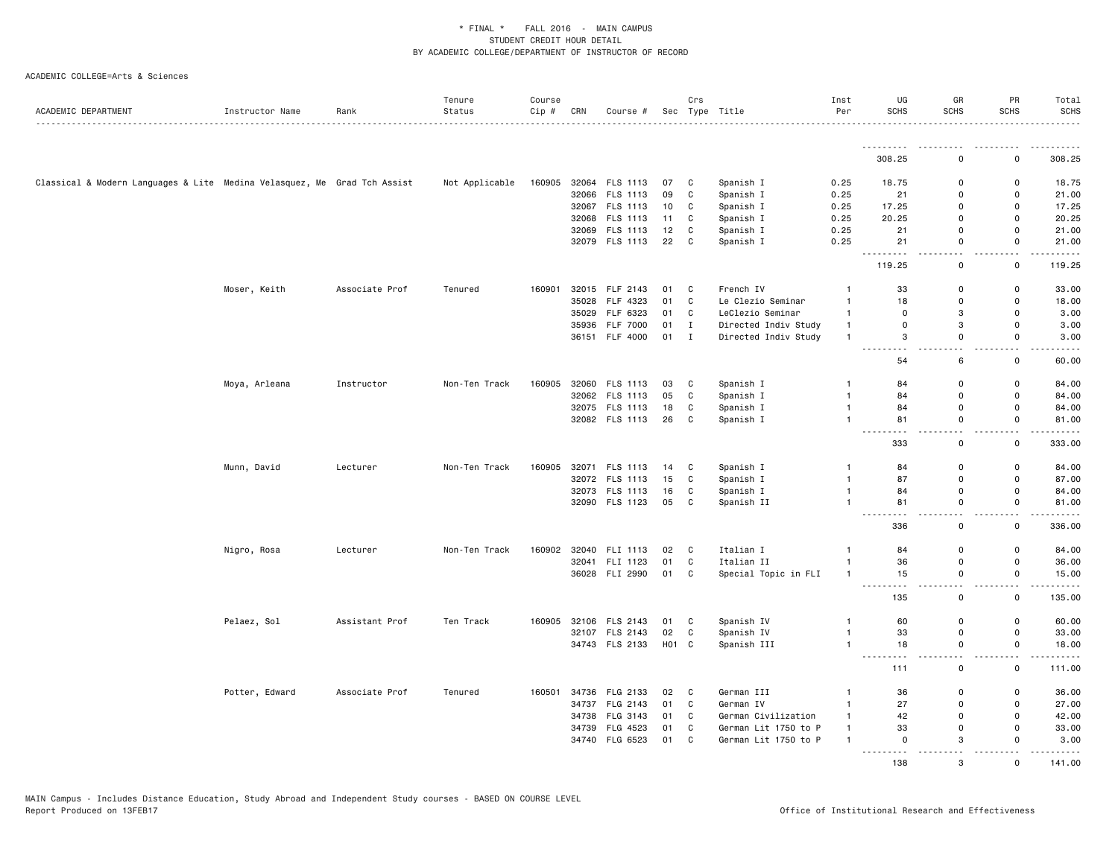| ACADEMIC DEPARTMENT                                                      | Instructor Name | Rank           | Tenure<br>Status | Course<br>Cip # | CRN | Course #       |                   | Crs          | Sec Type Title       | Inst<br>Per    | UG<br><b>SCHS</b>                                                                                                                                                                   | GR<br><b>SCHS</b>             | PR<br><b>SCHS</b>             | Total<br><b>SCHS</b> |
|--------------------------------------------------------------------------|-----------------|----------------|------------------|-----------------|-----|----------------|-------------------|--------------|----------------------|----------------|-------------------------------------------------------------------------------------------------------------------------------------------------------------------------------------|-------------------------------|-------------------------------|----------------------|
|                                                                          |                 |                |                  |                 |     |                |                   |              |                      |                | <u>.</u><br>308.25                                                                                                                                                                  | $\mathbf 0$                   | $\mathbf 0$                   | 308.25               |
|                                                                          |                 |                |                  |                 |     |                |                   |              |                      |                |                                                                                                                                                                                     |                               |                               |                      |
| Classical & Modern Languages & Lite Medina Velasquez, Me Grad Tch Assist |                 |                | Not Applicable   | 160905          |     | 32064 FLS 1113 | 07                | C            | Spanish I            | 0.25           | 18.75                                                                                                                                                                               | 0                             | $\mathbf 0$                   | 18.75                |
|                                                                          |                 |                |                  |                 |     | 32066 FLS 1113 | 09                | $\mathbf c$  | Spanish I            | 0.25           | 21                                                                                                                                                                                  | $\mathsf{o}$                  | $\mathsf 0$                   | 21.00                |
|                                                                          |                 |                |                  |                 |     | 32067 FLS 1113 | 10                | C            | Spanish I            | 0.25           | 17.25                                                                                                                                                                               | 0                             | $\mathsf 0$                   | 17.25                |
|                                                                          |                 |                |                  |                 |     | 32068 FLS 1113 | 11                | C            | Spanish I            | 0.25           | 20.25                                                                                                                                                                               | 0                             | $\mathsf 0$                   | 20.25                |
|                                                                          |                 |                |                  |                 |     | 32069 FLS 1113 | 12                | $\mathbb{C}$ | Spanish I            | 0.25           | 21                                                                                                                                                                                  | 0                             | $\mathbf 0$                   | 21.00                |
|                                                                          |                 |                |                  |                 |     | 32079 FLS 1113 | 22                | C            | Spanish I            | 0.25           | 21<br>.                                                                                                                                                                             | 0<br>$\sim$ $\sim$            | 0<br>$\sim$ $\sim$            | 21.00<br>.           |
|                                                                          |                 |                |                  |                 |     |                |                   |              |                      |                | 119.25                                                                                                                                                                              | 0                             | $\mathbf 0$                   | 119.25               |
|                                                                          | Moser, Keith    | Associate Prof | Tenured          | 160901          |     | 32015 FLF 2143 | 01                | C            | French IV            | $\mathbf{1}$   | 33                                                                                                                                                                                  | 0                             | $\mathsf 0$                   | 33.00                |
|                                                                          |                 |                |                  |                 |     | 35028 FLF 4323 | 01                | C            | Le Clezio Seminar    | $\mathbf{1}$   | 18                                                                                                                                                                                  | $\mathsf 0$                   | $\mathsf 0$                   | 18.00                |
|                                                                          |                 |                |                  |                 |     | 35029 FLF 6323 | 01                | C            | LeClezio Seminar     | $\mathbf{1}$   | $\mathbf 0$                                                                                                                                                                         | 3                             | $\mathbf 0$                   | 3.00                 |
|                                                                          |                 |                |                  |                 |     | 35936 FLF 7000 | 01                | $\mathbf{I}$ | Directed Indiv Study | $\mathbf{1}$   | $\mathbf 0$                                                                                                                                                                         | 3                             | $\mathbf 0$                   | 3.00                 |
|                                                                          |                 |                |                  |                 |     | 36151 FLF 4000 | 01 I              |              | Directed Indiv Study | $\mathbf{1}$   | 3<br>$\sim$                                                                                                                                                                         | 0<br>$\sim$                   | 0<br>$-$                      | 3.00<br>.            |
|                                                                          |                 |                |                  |                 |     |                |                   |              |                      |                | 54                                                                                                                                                                                  | 6                             | $\mathbf 0$                   | 60.00                |
|                                                                          | Moya, Arleana   | Instructor     | Non-Ten Track    | 160905          |     | 32060 FLS 1113 | 03                | C            | Spanish I            | $\mathbf{1}$   | 84                                                                                                                                                                                  | 0                             | $\mathsf 0$                   | 84.00                |
|                                                                          |                 |                |                  |                 |     | 32062 FLS 1113 | 05                | C            | Spanish I            | $\mathbf{1}$   | 84                                                                                                                                                                                  | $\mathsf 0$                   | $\mathsf 0$                   | 84.00                |
|                                                                          |                 |                |                  |                 |     | 32075 FLS 1113 | 18                | C            | Spanish I            | $\mathbf{1}$   | 84                                                                                                                                                                                  | 0                             | $\mathbf 0$                   | 84.00                |
|                                                                          |                 |                |                  |                 |     | 32082 FLS 1113 | 26                | C            | Spanish I            | $\mathbf{1}$   | 81                                                                                                                                                                                  | $\mathbf 0$                   | $\mathbf 0$                   | 81.00                |
|                                                                          |                 |                |                  |                 |     |                |                   |              |                      |                | $\frac{1}{2} \left( \frac{1}{2} \right) \left( \frac{1}{2} \right) \left( \frac{1}{2} \right) \left( \frac{1}{2} \right) \left( \frac{1}{2} \right)$<br>$\sim$ $\sim$ $\sim$<br>333 | $\sim$ $\sim$<br>$\mathsf 0$  | $\sim$ $\sim$<br>$\mathsf{o}$ | .<br>333.00          |
|                                                                          | Munn, David     | Lecturer       | Non-Ten Track    | 160905          |     | 32071 FLS 1113 | 14                | C            | Spanish I            | $\mathbf{1}$   | 84                                                                                                                                                                                  | 0                             | 0                             | 84.00                |
|                                                                          |                 |                |                  |                 |     | 32072 FLS 1113 | 15                | $\mathbf c$  | Spanish I            | $\mathbf{1}$   | 87                                                                                                                                                                                  | 0                             | $\mathsf 0$                   | 87.00                |
|                                                                          |                 |                |                  |                 |     | 32073 FLS 1113 | 16                | C            | Spanish I            | $\mathbf{1}$   | 84                                                                                                                                                                                  | 0                             | $\mathsf 0$                   | 84.00                |
|                                                                          |                 |                |                  |                 |     | 32090 FLS 1123 | 05                | C            | Spanish II           | $\mathbf{1}$   | 81<br>$\sim$ $\sim$ $\sim$                                                                                                                                                          | 0<br>$\overline{a}$           | $\mathsf 0$<br>$\overline{a}$ | 81.00<br>.           |
|                                                                          |                 |                |                  |                 |     |                |                   |              |                      |                | 336                                                                                                                                                                                 | $\mathsf 0$                   | $\mathsf 0$                   | 336.00               |
|                                                                          | Nigro, Rosa     | Lecturer       | Non-Ten Track    | 160902          |     | 32040 FLI 1113 | 02                | C            | Italian I            | $\mathbf{1}$   | 84                                                                                                                                                                                  | $\mathbf 0$                   | 0                             | 84.00                |
|                                                                          |                 |                |                  |                 |     | 32041 FLI 1123 | 01                | C            | Italian II           | $\mathbf{1}$   | 36                                                                                                                                                                                  | 0                             | $\mathbf 0$                   | 36.00                |
|                                                                          |                 |                |                  |                 |     | 36028 FLI 2990 | 01 C              |              | Special Topic in FLI | $\mathbf{1}$   | 15<br>.                                                                                                                                                                             | $\mathbf 0$<br>$\sim$ $\sim$  | $\mathbf 0$<br>$\sim$ $\sim$  | 15.00<br>.           |
|                                                                          |                 |                |                  |                 |     |                |                   |              |                      |                | 135                                                                                                                                                                                 | 0                             | $\mathbf 0$                   | 135.00               |
|                                                                          | Pelaez, Sol     | Assistant Prof | Ten Track        | 160905          |     | 32106 FLS 2143 | 01                | C            | Spanish IV           | $\mathbf{1}$   | 60                                                                                                                                                                                  | $\mathbf 0$                   | $\mathsf 0$                   | 60.00                |
|                                                                          |                 |                |                  |                 |     | 32107 FLS 2143 | 02                | C            | Spanish IV           | $\overline{1}$ | 33                                                                                                                                                                                  | $\mathsf 0$                   | $\mathsf 0$                   | 33.00                |
|                                                                          |                 |                |                  |                 |     | 34743 FLS 2133 | H <sub>01</sub> C |              | Spanish III          | $\mathbf{1}$   | 18                                                                                                                                                                                  | 0<br>$\overline{\phantom{a}}$ | $\mathbf 0$<br>$\sim$         | 18.00<br>.           |
|                                                                          |                 |                |                  |                 |     |                |                   |              |                      |                | 111                                                                                                                                                                                 | $\mathsf{o}$                  | $\mathsf{o}$                  | 111.00               |
|                                                                          | Potter, Edward  | Associate Prof | Tenured          | 160501          |     | 34736 FLG 2133 | 02                | C            | German III           | $\mathbf{1}$   | 36                                                                                                                                                                                  | 0                             | $\mathsf 0$                   | 36.00                |
|                                                                          |                 |                |                  |                 |     | 34737 FLG 2143 | 01                | C            | German IV            | $\mathbf{1}$   | 27                                                                                                                                                                                  | $\Omega$                      | 0                             | 27.00                |
|                                                                          |                 |                |                  |                 |     | 34738 FLG 3143 | 01                | C            | German Civilization  | $\mathbf{1}$   | 42                                                                                                                                                                                  | 0                             | $\mathbf 0$                   | 42.00                |
|                                                                          |                 |                |                  |                 |     | 34739 FLG 4523 | 01                | $\mathtt{C}$ | German Lit 1750 to P | $\mathbf{1}$   | 33                                                                                                                                                                                  | $\mathbf 0$                   | $\mathbf 0$                   | 33.00                |
|                                                                          |                 |                |                  |                 |     | 34740 FLG 6523 | 01                | C            | German Lit 1750 to P | $\mathbf{1}$   | 0<br>.                                                                                                                                                                              | 3<br>لأداب                    | 0<br>$\sim$ $\sim$            | 3.00                 |
|                                                                          |                 |                |                  |                 |     |                |                   |              |                      |                | 138                                                                                                                                                                                 | 3                             | $\Omega$                      | 141.00               |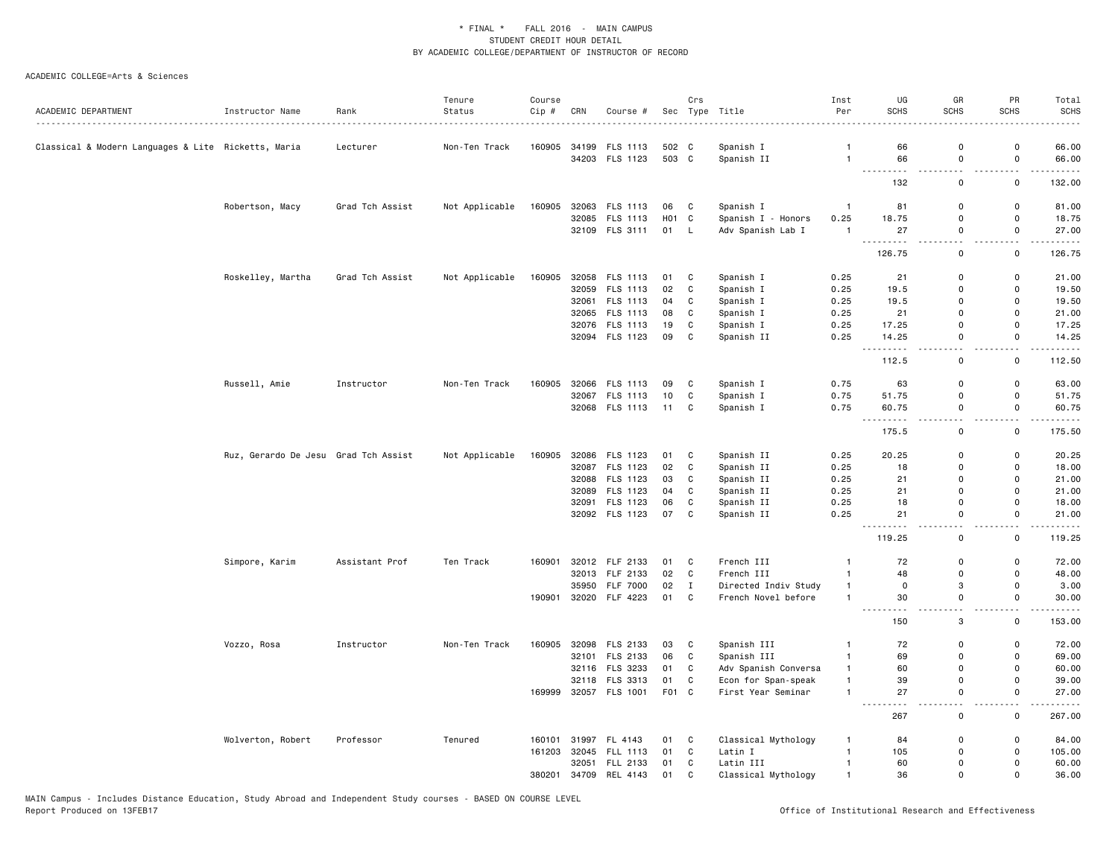|                                                     |                                      |                 | Tenure         | Course |       |                       |                   | Crs          |                      | Inst           | UG                                                                                                                                       | GR                            | PR                            | Total       |
|-----------------------------------------------------|--------------------------------------|-----------------|----------------|--------|-------|-----------------------|-------------------|--------------|----------------------|----------------|------------------------------------------------------------------------------------------------------------------------------------------|-------------------------------|-------------------------------|-------------|
| ACADEMIC DEPARTMENT                                 | Instructor Name                      | Rank            | Status         | Cip #  | CRN   | Course #              |                   |              | Sec Type Title       | Per            | <b>SCHS</b>                                                                                                                              | <b>SCHS</b>                   | <b>SCHS</b>                   | <b>SCHS</b> |
| Classical & Modern Languages & Lite Ricketts, Maria |                                      | Lecturer        | Non-Ten Track  | 160905 | 34199 | FLS 1113              | 502 C             |              | Spanish I            | $\mathbf{1}$   | 66                                                                                                                                       | 0                             | 0                             | 66.00       |
|                                                     |                                      |                 |                |        |       | 34203 FLS 1123        | 503 C             |              | Spanish II           | $\mathbf{1}$   | 66                                                                                                                                       | $\mathsf 0$                   | $\mathsf 0$                   | 66.00       |
|                                                     |                                      |                 |                |        |       |                       |                   |              |                      |                | $\frac{1}{2} \left( \frac{1}{2} \right) \left( \frac{1}{2} \right) \left( \frac{1}{2} \right) \left( \frac{1}{2} \right)$<br>----<br>132 | $\overline{a}$<br>$\mathsf 0$ | . .<br>0                      | .<br>132.00 |
|                                                     |                                      |                 |                |        |       |                       |                   |              |                      |                |                                                                                                                                          |                               |                               |             |
|                                                     | Robertson, Macy                      | Grad Tch Assist | Not Applicable | 160905 |       | 32063 FLS 1113        | 06                | C            | Spanish I            | $\overline{1}$ | 81                                                                                                                                       | 0                             | 0                             | 81.00       |
|                                                     |                                      |                 |                |        |       | 32085 FLS 1113        | H <sub>01</sub> C |              | Spanish I - Honors   | 0.25           | 18.75                                                                                                                                    | $\mathsf 0$                   | $\mathsf 0$                   | 18.75       |
|                                                     |                                      |                 |                |        |       | 32109 FLS 3111        | 01 L              |              | Adv Spanish Lab I    | $\overline{1}$ | 27                                                                                                                                       | 0                             | 0<br>$\overline{\phantom{a}}$ | 27.00       |
|                                                     |                                      |                 |                |        |       |                       |                   |              |                      |                | 126.75                                                                                                                                   | $\mathbf 0$                   | $\mathbf 0$                   | 126.75      |
|                                                     | Roskelley, Martha                    | Grad Tch Assist | Not Applicable | 160905 |       | 32058 FLS 1113        | 01                | C            | Spanish I            | 0.25           | 21                                                                                                                                       | 0                             | 0                             | 21.00       |
|                                                     |                                      |                 |                |        |       | 32059 FLS 1113        | 02                | C            | Spanish I            | 0.25           | 19.5                                                                                                                                     | 0                             | 0                             | 19.50       |
|                                                     |                                      |                 |                |        |       | 32061 FLS 1113        | 04                | C            | Spanish I            | 0.25           | 19.5                                                                                                                                     | $\mathbf 0$                   | $\mathbf 0$                   | 19.50       |
|                                                     |                                      |                 |                |        |       | 32065 FLS 1113        | 08                | C            | Spanish I            | 0.25           | 21                                                                                                                                       | $\mathbf 0$                   | $\mathbf 0$                   | 21.00       |
|                                                     |                                      |                 |                |        |       | 32076 FLS 1113        | 19                | C            | Spanish I            | 0.25           | 17.25                                                                                                                                    | 0                             | $\mathbf 0$                   | 17.25       |
|                                                     |                                      |                 |                |        |       | 32094 FLS 1123        | 09                | C            | Spanish II           | 0.25           | 14.25<br>$\sim$ $\sim$ $\sim$<br>.                                                                                                       | $\mathbf 0$<br>$ -$           | $\mathbf 0$<br>$\sim$ $\sim$  | 14.25<br>.  |
|                                                     |                                      |                 |                |        |       |                       |                   |              |                      |                | 112.5                                                                                                                                    | $\mathbf 0$                   | $\mathsf 0$                   | 112.50      |
|                                                     | Russell, Amie                        | Instructor      | Non-Ten Track  | 160905 |       | 32066 FLS 1113        | 09                | C            | Spanish I            | 0.75           | 63                                                                                                                                       | 0                             | 0                             | 63.00       |
|                                                     |                                      |                 |                |        |       | 32067 FLS 1113        | 10                | C            | Spanish I            | 0.75           | 51.75                                                                                                                                    | 0                             | 0                             | 51.75       |
|                                                     |                                      |                 |                |        |       | 32068 FLS 1113        | 11                | C            | Spanish I            | 0.75           | 60.75                                                                                                                                    | $\mathsf{o}$                  | $\mathsf 0$                   | 60.75       |
|                                                     |                                      |                 |                |        |       |                       |                   |              |                      |                | <b></b><br>175.5                                                                                                                         | $\sim$ $\sim$<br>$\mathsf 0$  | $ -$<br>0                     | .<br>175.50 |
|                                                     | Ruz, Gerardo De Jesu Grad Tch Assist |                 | Not Applicable | 160905 |       | 32086 FLS 1123        | 01                | C            | Spanish II           | 0.25           | 20.25                                                                                                                                    | 0                             | 0                             | 20.25       |
|                                                     |                                      |                 |                |        |       | 32087 FLS 1123        | 02                | $\mathtt{C}$ | Spanish II           | 0.25           | 18                                                                                                                                       | 0                             | $\mathsf 0$                   | 18.00       |
|                                                     |                                      |                 |                |        |       | 32088 FLS 1123        | 03                | C            | Spanish II           | 0.25           | 21                                                                                                                                       | $\mathbf 0$                   | $\mathbf 0$                   | 21.00       |
|                                                     |                                      |                 |                |        |       | 32089 FLS 1123        | 04                | C            | Spanish II           | 0.25           | 21                                                                                                                                       | 0                             | $\mathsf 0$                   | 21.00       |
|                                                     |                                      |                 |                |        |       | 32091 FLS 1123        | 06                | C            | Spanish II           | 0.25           | 18                                                                                                                                       | $\mathbf 0$                   | $\mathbf 0$                   | 18.00       |
|                                                     |                                      |                 |                |        |       | 32092 FLS 1123        | 07                | C            | Spanish II           | 0.25           | 21                                                                                                                                       | $\mathsf 0$                   | 0                             | 21.00       |
|                                                     |                                      |                 |                |        |       |                       |                   |              |                      |                | 119.25                                                                                                                                   | i a<br>$\mathsf 0$            | . .<br>0                      | 119.25      |
|                                                     | Simpore, Karim                       | Assistant Prof  | Ten Track      | 160901 |       | 32012 FLF 2133        | 01                | C            | French III           | $\overline{1}$ | 72                                                                                                                                       | 0                             | $\mathbf 0$                   | 72.00       |
|                                                     |                                      |                 |                |        |       | 32013 FLF 2133        | 02                | $\mathtt{C}$ | French III           | $\overline{1}$ | 48                                                                                                                                       | $\mathsf{o}$                  | $\mathsf 0$                   | 48.00       |
|                                                     |                                      |                 |                |        | 35950 | <b>FLF 7000</b>       | 02                | $\mathbf{I}$ | Directed Indiv Study | $\overline{1}$ | $\mathsf 0$                                                                                                                              | 3                             | $\mathbf{0}$                  | 3.00        |
|                                                     |                                      |                 |                | 190901 |       | 32020 FLF 4223        | 01                | C            | French Novel before  | $\overline{1}$ | 30                                                                                                                                       | 0                             | 0                             | 30.00       |
|                                                     |                                      |                 |                |        |       |                       |                   |              |                      |                | 150                                                                                                                                      | 3                             | 0                             | 153.00      |
|                                                     | Vozzo, Rosa                          | Instructor      | Non-Ten Track  | 160905 |       | 32098 FLS 2133        | 03                | C            | Spanish III          | $\overline{1}$ | 72                                                                                                                                       | 0                             | 0                             | 72.00       |
|                                                     |                                      |                 |                |        |       | 32101 FLS 2133        | 06                | C            | Spanish III          | $\overline{1}$ | 69                                                                                                                                       | 0                             | 0                             | 69.00       |
|                                                     |                                      |                 |                |        |       | 32116 FLS 3233        | 01                | C            | Adv Spanish Conversa | $\overline{1}$ | 60                                                                                                                                       | 0                             | $\mathbf 0$                   | 60.00       |
|                                                     |                                      |                 |                |        | 32118 | FLS 3313              | 01                | C            | Econ for Span-speak  | $\overline{1}$ | 39                                                                                                                                       | 0                             | 0                             | 39.00       |
|                                                     |                                      |                 |                |        |       | 169999 32057 FLS 1001 | F01 C             |              | First Year Seminar   | $\overline{1}$ | 27                                                                                                                                       | $\mathbf 0$                   | $\mathbf 0$                   | 27.00       |
|                                                     |                                      |                 |                |        |       |                       |                   |              |                      |                | $\sim$ $\sim$<br>$\cdots$<br>267                                                                                                         | $\overline{a}$<br>0           | 0                             | .<br>267.00 |
|                                                     | Wolverton, Robert                    | Professor       | Tenured        | 160101 |       | 31997 FL 4143         | 01                | C            | Classical Mythology  | $\mathbf{1}$   | 84                                                                                                                                       | 0                             | $\mathsf 0$                   | 84.00       |
|                                                     |                                      |                 |                | 161203 |       | 32045 FLL 1113        | 01                | $\mathbf{C}$ | Latin I              | $\overline{1}$ | 105                                                                                                                                      | $\mathbf 0$                   | $\mathbf 0$                   | 105.00      |
|                                                     |                                      |                 |                |        | 32051 | FLL 2133              | 01                | C            | Latin III            | $\overline{1}$ | 60                                                                                                                                       | $\mathbf 0$                   | $\mathbf 0$                   | 60.00       |
|                                                     |                                      |                 |                | 380201 |       | 34709 REL 4143        | 01                | C            | Classical Mythology  | $\mathbf{1}$   | 36                                                                                                                                       | $\mathbf 0$                   | $\mathbf 0$                   | 36.00       |
|                                                     |                                      |                 |                |        |       |                       |                   |              |                      |                |                                                                                                                                          |                               |                               |             |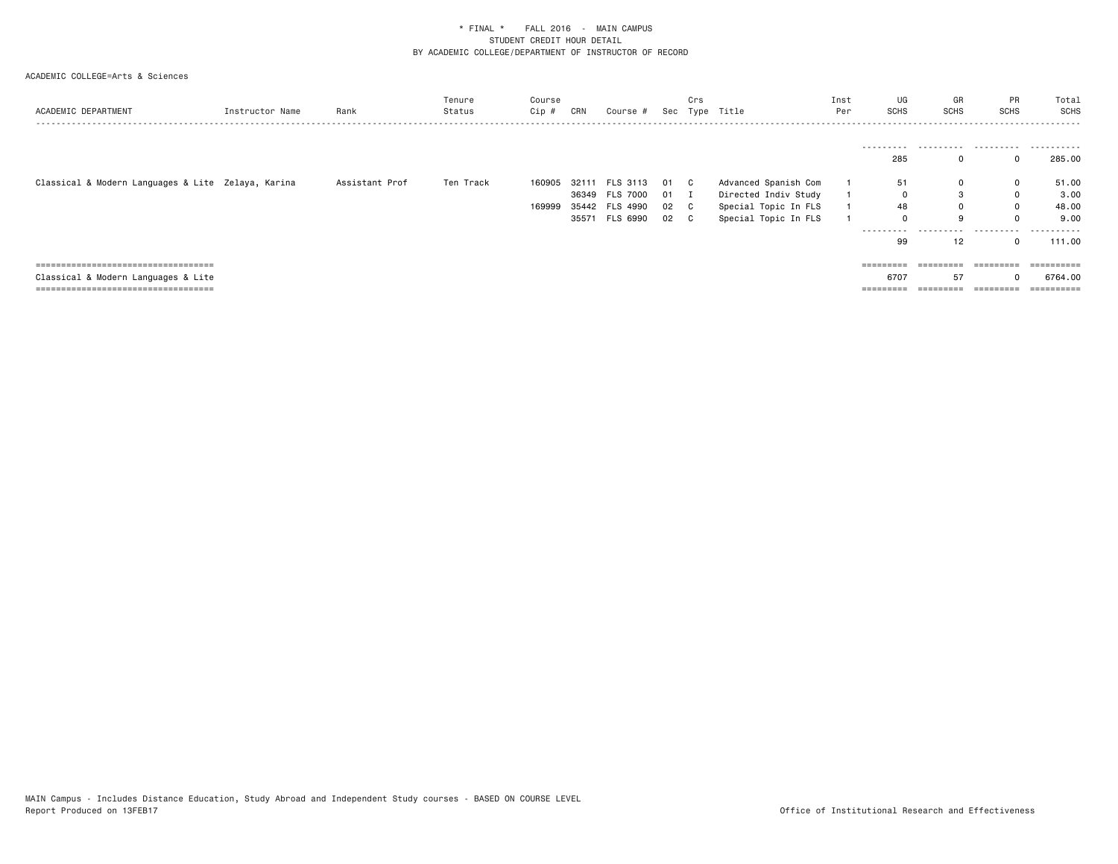| ACADEMIC DEPARTMENT                                | Instructor Name | Rank           | Tenure<br>Status | Course<br>Cip # | CRN   | Course #       |        | Crs | Sec Type Title       | Inst<br>Per | UG<br>SCHS          | GR<br><b>SCHS</b> | <b>PR</b><br><b>SCHS</b> | Total<br>SCHS |
|----------------------------------------------------|-----------------|----------------|------------------|-----------------|-------|----------------|--------|-----|----------------------|-------------|---------------------|-------------------|--------------------------|---------------|
|                                                    |                 |                |                  |                 |       |                |        |     |                      |             |                     |                   |                          |               |
|                                                    |                 |                |                  |                 |       |                |        |     |                      |             | ----------<br>285   |                   |                          | 285.00        |
| Classical & Modern Languages & Lite Zelaya, Karina |                 | Assistant Prof | Ten Track        | 160905 32111    |       | FLS 3113       | 01 C   |     | Advanced Spanish Com |             | 51                  |                   | $\mathbf 0$              | 51.00         |
|                                                    |                 |                |                  |                 |       | 36349 FLS 7000 | $01$ I |     | Directed Indiv Study |             | 0                   |                   | $\mathbf 0$              | 3.00          |
|                                                    |                 |                |                  | 169999          |       | 35442 FLS 4990 | 02 C   |     | Special Topic In FLS |             | 48                  | 0                 | $\mathbf 0$              | 48.00         |
|                                                    |                 |                |                  |                 | 35571 | FLS 6990       | 02 C   |     | Special Topic In FLS |             | 0                   |                   |                          | 9.00          |
|                                                    |                 |                |                  |                 |       |                |        |     |                      |             | ----------          | .                 | .                        | .             |
|                                                    |                 |                |                  |                 |       |                |        |     |                      |             | 99                  | 12                |                          | 111.00        |
|                                                    |                 |                |                  |                 |       |                |        |     |                      |             |                     |                   |                          |               |
| =====================================              |                 |                |                  |                 |       |                |        |     |                      |             | $=$ = = = = = = = = | =========         | =========                | ----------    |
| Classical & Modern Languages & Lite                |                 |                |                  |                 |       |                |        |     |                      |             | 6707                | 57                |                          | 6764.00       |
| ====================================               |                 |                |                  |                 |       |                |        |     |                      |             | =========           | =========         | ----------               | -----------   |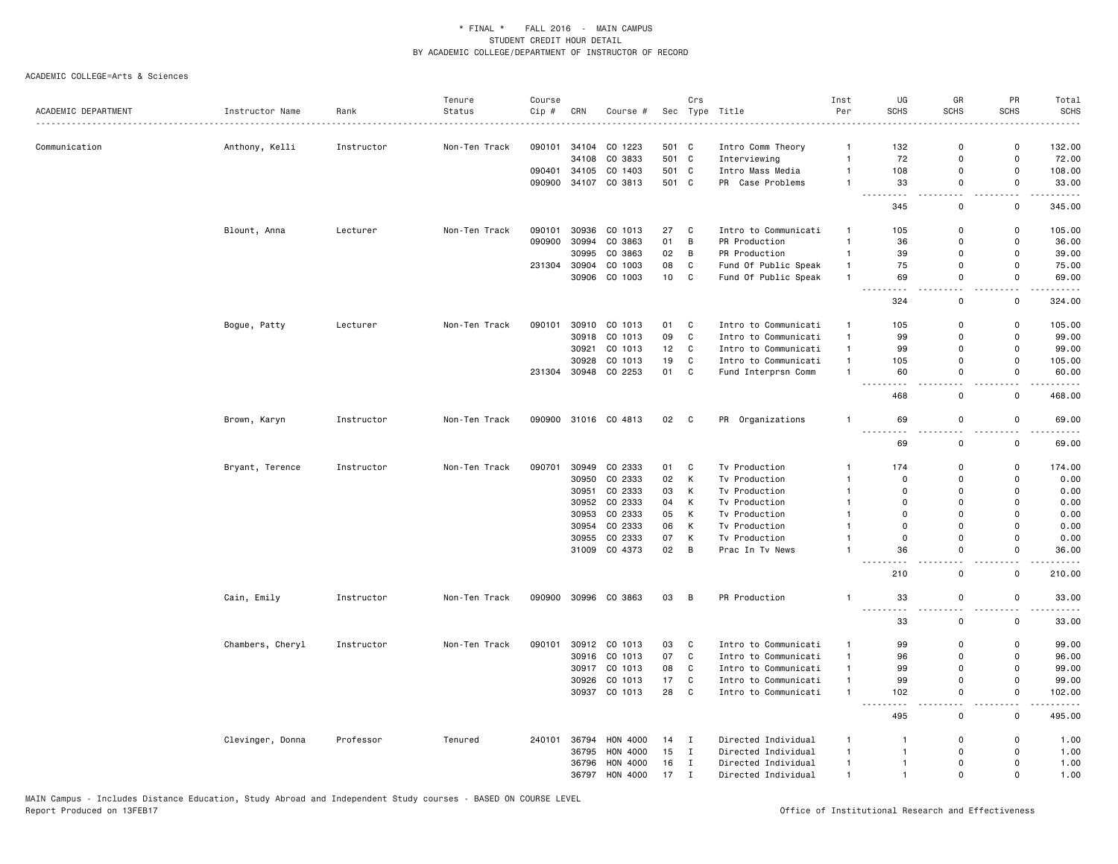|                     |                  |            | Tenure        | Course |                |                          |                | Crs         |                                  | Inst                           | UG                         | GR                                      | PR                                      | Total                                                                                                                     |
|---------------------|------------------|------------|---------------|--------|----------------|--------------------------|----------------|-------------|----------------------------------|--------------------------------|----------------------------|-----------------------------------------|-----------------------------------------|---------------------------------------------------------------------------------------------------------------------------|
| ACADEMIC DEPARTMENT | Instructor Name  | Rank       | Status        | Cip #  | CRN            | Course #                 |                |             | Sec Type Title                   | Per                            | <b>SCHS</b>                | <b>SCHS</b>                             | <b>SCHS</b>                             | <b>SCHS</b>                                                                                                               |
|                     |                  |            |               |        |                |                          |                |             |                                  |                                |                            |                                         |                                         |                                                                                                                           |
| Communication       | Anthony, Kelli   | Instructor | Non-Ten Track | 090101 | 34104<br>34108 | CO 1223                  | 501 C<br>501 C |             | Intro Comm Theory                | $\mathbf{1}$<br>$\overline{1}$ | 132                        | $\mathbf 0$<br>$\Omega$                 | 0<br>$\mathsf{o}$                       | 132.00                                                                                                                    |
|                     |                  |            |               | 090401 |                | CO 3833<br>34105 CO 1403 | 501            | C           | Interviewing<br>Intro Mass Media | $\overline{1}$                 | 72<br>108                  | $\Omega$                                | $\mathsf{o}$                            | 72.00                                                                                                                     |
|                     |                  |            |               | 090900 | 34107          | CO 3813                  | 501 C          |             | PR Case Problems                 | $\overline{1}$                 | 33                         | 0                                       | $\mathsf{o}$                            | 108.00<br>33.00                                                                                                           |
|                     |                  |            |               |        |                |                          |                |             |                                  |                                | .                          | $ -$                                    | $ -$                                    | $\frac{1}{2} \left( \frac{1}{2} \right) \left( \frac{1}{2} \right) \left( \frac{1}{2} \right) \left( \frac{1}{2} \right)$ |
|                     |                  |            |               |        |                |                          |                |             |                                  |                                | 345                        | 0                                       | 0                                       | 345.00                                                                                                                    |
|                     | Blount, Anna     | Lecturer   | Non-Ten Track | 090101 | 30936          | CO 1013                  | 27             | C           | Intro to Communicati             | $\mathbf{1}$                   | 105                        | $\mathbf 0$                             | 0                                       | 105.00                                                                                                                    |
|                     |                  |            |               | 090900 | 30994          | CO 3863                  | 01             | B           | PR Production                    | $\overline{1}$                 | 36                         | $\Omega$                                | 0                                       | 36.00                                                                                                                     |
|                     |                  |            |               |        | 30995          | CO 3863                  | 02             | B           | PR Production                    | $\mathbf{1}$                   | 39                         | $\Omega$                                | $\mathsf{o}$                            | 39.00                                                                                                                     |
|                     |                  |            |               | 231304 | 30904          | CO 1003                  | 08             | C           | Fund Of Public Speak             | $\mathbf{1}$                   | 75                         | 0                                       | 0                                       | 75.00                                                                                                                     |
|                     |                  |            |               |        |                | 30906 CO 1003            | 10             | C           | Fund Of Public Speak             | $\mathbf{1}$                   | 69<br>$\sim$ $\sim$ $\sim$ | 0                                       | 0                                       | 69.00                                                                                                                     |
|                     |                  |            |               |        |                |                          |                |             |                                  |                                | 324                        | 0                                       | 0                                       | 324.00                                                                                                                    |
|                     | Bogue, Patty     | Lecturer   | Non-Ten Track | 090101 |                | 30910 CO 1013            | 01             | C           | Intro to Communicati             | $\overline{1}$                 | 105                        | $\Omega$                                | 0                                       | 105.00                                                                                                                    |
|                     |                  |            |               |        |                | 30918 CO 1013            | 09             | C           | Intro to Communicati             | $\mathbf{1}$                   | 99                         | 0                                       | $\mathsf{o}$                            | 99.00                                                                                                                     |
|                     |                  |            |               |        | 30921          | CO 1013                  | 12             | C           | Intro to Communicati             | $\mathbf{1}$                   | 99                         | $\mathbf 0$                             | 0                                       | 99.00                                                                                                                     |
|                     |                  |            |               |        | 30928          | CO 1013                  | 19             | C           | Intro to Communicati             | $\mathbf{1}$                   | 105                        | $\mathbf 0$                             | 0                                       | 105.00                                                                                                                    |
|                     |                  |            |               | 231304 |                | 30948 CO 2253            | 01             | C           | Fund Interprsn Comm              | $\overline{1}$                 | 60                         | 0                                       | 0                                       | 60.00                                                                                                                     |
|                     |                  |            |               |        |                |                          |                |             |                                  |                                | $\sim$ $\sim$<br>468       | $\mathbf 0$                             | $\mathbf 0$                             | 468.00                                                                                                                    |
|                     | Brown, Karyn     | Instructor | Non-Ten Track |        |                | 090900 31016 CO 4813     | 02 C           |             | PR Organizations                 | $\overline{1}$                 | 69                         | $\mathbf 0$                             | $\mathsf{o}$                            | 69.00                                                                                                                     |
|                     |                  |            |               |        |                |                          |                |             |                                  |                                | 69                         | 0                                       | $ -$<br>0                               | .<br>69.00                                                                                                                |
|                     | Bryant, Terence  | Instructor | Non-Ten Track | 090701 |                | 30949 CO 2333            | 01             | C           | Tv Production                    | $\mathbf{1}$                   | 174                        | 0                                       | 0                                       | 174.00                                                                                                                    |
|                     |                  |            |               |        | 30950          | CO 2333                  | 02             | К           | Tv Production                    | $\mathbf{1}$                   | $\mathbf 0$                | $\Omega$                                | $\Omega$                                | 0.00                                                                                                                      |
|                     |                  |            |               |        | 30951          | CO 2333                  | 03             | K           | Tv Production                    | $\overline{1}$                 | $\mathbf 0$                | $\Omega$                                | $\Omega$                                | 0.00                                                                                                                      |
|                     |                  |            |               |        |                | 30952 CO 2333            | 04             | К           | Tv Production                    | $\overline{1}$                 | $\mathbf 0$                | $\Omega$                                | $\Omega$                                | 0.00                                                                                                                      |
|                     |                  |            |               |        | 30953          | CO 2333                  | 05             | К           | Tv Production                    | $\overline{1}$                 | $\mathbf 0$                | $\Omega$                                | $\Omega$                                | 0.00                                                                                                                      |
|                     |                  |            |               |        | 30954          | CO 2333                  | 06             | К           | Tv Production                    | $\mathbf{1}$                   | $\mathbf 0$                | $\mathbf 0$                             | $\mathbf 0$                             | 0.00                                                                                                                      |
|                     |                  |            |               |        | 30955          | CO 2333                  | 07             | К           | Tv Production                    | $\mathbf{1}$                   | $\mathsf 0$                | 0                                       | 0                                       | 0.00                                                                                                                      |
|                     |                  |            |               |        |                | 31009 CO 4373            | 02             | B           | Prac In Tv News                  |                                | 36                         | $\mathbf 0$                             | $\mathsf 0$                             | 36.00                                                                                                                     |
|                     |                  |            |               |        |                |                          |                |             |                                  |                                | 210                        | $\mathbf 0$                             | $\sim$ $\sim$<br>0                      | $\sim$ $\sim$ $\sim$ $\sim$<br>210.00                                                                                     |
|                     | Cain, Emily      | Instructor | Non-Ten Track | 090900 |                | 30996 CO 3863            | 03             | B           | PR Production                    | $\mathbf{1}$                   | 33                         | 0                                       | 0                                       | 33.00                                                                                                                     |
|                     |                  |            |               |        |                |                          |                |             |                                  |                                | ---------<br>33            | $\overline{\phantom{0}}$<br>$\mathsf 0$ | $\overline{\phantom{a}}$<br>$\mathsf 0$ | .<br>33.00                                                                                                                |
|                     | Chambers, Cheryl | Instructor | Non-Ten Track | 090101 |                | 30912 CO 1013            | 03             | C           | Intro to Communicati             | $\mathbf{1}$                   | 99                         | 0                                       | 0                                       | 99.00                                                                                                                     |
|                     |                  |            |               |        |                | 30916 CO 1013            | 07             | $\mathbb C$ | Intro to Communicati             | $\mathbf{1}$                   | 96                         | $\Omega$                                | $\mathbf 0$                             | 96.00                                                                                                                     |
|                     |                  |            |               |        |                | 30917 CO 1013            | 08             | C           | Intro to Communicati             | $\mathbf{1}$                   | 99                         | $\mathbf 0$                             | $\mathbf 0$                             | 99.00                                                                                                                     |
|                     |                  |            |               |        | 30926          | CO 1013                  | 17             | C           | Intro to Communicati             | $\overline{1}$                 | 99                         | $\mathbf 0$                             | $\mathsf{o}$                            | 99.00                                                                                                                     |
|                     |                  |            |               |        |                | 30937 CO 1013            | 28             | C           | Intro to Communicati             | $\overline{1}$                 | 102                        | $\mathbf 0$                             | 0                                       | 102.00                                                                                                                    |
|                     |                  |            |               |        |                |                          |                |             |                                  |                                | 495                        | $\mathbf 0$                             | $\mathbf 0$                             | 495.00                                                                                                                    |
|                     | Clevinger, Donna | Professor  | Tenured       | 240101 | 36794          | <b>HON 4000</b>          | 14             | I           | Directed Individual              | $\mathbf{1}$                   | $\mathbf{1}$               | $\Omega$                                | 0                                       | 1.00                                                                                                                      |
|                     |                  |            |               |        | 36795          | HON 4000                 | 15             | I           | Directed Individual              | $\mathbf{1}$                   | $\mathbf{1}$               | 0                                       | 0                                       | 1.00                                                                                                                      |
|                     |                  |            |               |        | 36796          | HON 4000                 | 16             | $\mathbf I$ | Directed Individual              | $\overline{1}$                 | $\mathbf{1}$               | $\Omega$                                | $\Omega$                                | 1.00                                                                                                                      |
|                     |                  |            |               |        | 36797          | HON 4000                 | 17             | I           | Directed Individual              | $\mathbf{1}$                   | $\mathbf{1}$               | $\mathbf 0$                             | $\mathsf{o}$                            | 1.00                                                                                                                      |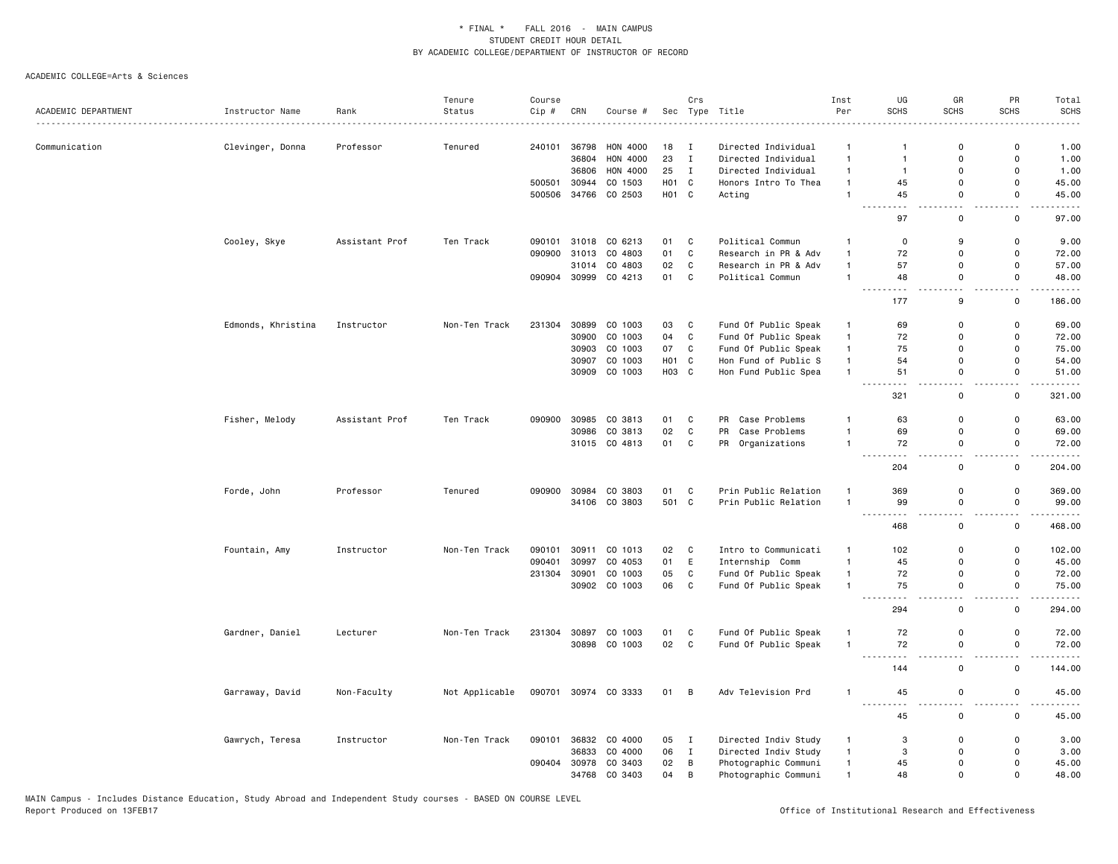|                     |                    |                | Tenure         | Course |       |               |                   | Crs          |                      | Inst           | UG                          | GR                           | PR                           | Total                                                                                                                               |
|---------------------|--------------------|----------------|----------------|--------|-------|---------------|-------------------|--------------|----------------------|----------------|-----------------------------|------------------------------|------------------------------|-------------------------------------------------------------------------------------------------------------------------------------|
| ACADEMIC DEPARTMENT | Instructor Name    | Rank           | Status         | Cip #  | CRN   | Course #      | Sec               |              | Type Title           | Per            | <b>SCHS</b>                 | <b>SCHS</b>                  | <b>SCHS</b>                  | <b>SCHS</b>                                                                                                                         |
|                     |                    |                |                |        |       |               |                   |              |                      |                |                             |                              |                              |                                                                                                                                     |
| Communication       | Clevinger, Donna   | Professor      | Tenured        | 240101 | 36798 | HON 4000      | 18                | $\mathbf I$  | Directed Individual  | $\mathbf{1}$   |                             | 0                            | 0                            | 1.00                                                                                                                                |
|                     |                    |                |                |        | 36804 | HON 4000      | 23                | $\mathbf I$  | Directed Individual  | $\mathbf{1}$   | $\mathbf{1}$                | $\mathbf 0$                  | $\mathsf 0$                  | 1.00                                                                                                                                |
|                     |                    |                |                |        | 36806 | HON 4000      | 25                | $\mathbf I$  | Directed Individual  | $\mathbf{1}$   | $\mathbf{1}$                | $\mathbf 0$                  | 0                            | 1.00                                                                                                                                |
|                     |                    |                |                | 500501 | 30944 | CO 1503       | H01 C             |              | Honors Intro To Thea | $\mathbf{1}$   | 45                          | 0                            | 0                            | 45.00                                                                                                                               |
|                     |                    |                |                | 500506 | 34766 | CO 2503       | H <sub>01</sub> C |              | Acting               | $\overline{1}$ | 45<br>$\sim$ $\sim$ $\sim$  | $\mathbf 0$                  | $\mathbf 0$                  | 45.00<br>$\frac{1}{2}$                                                                                                              |
|                     |                    |                |                |        |       |               |                   |              |                      |                | 97                          | 0                            | 0                            | 97.00                                                                                                                               |
|                     | Cooley, Skye       | Assistant Prof | Ten Track      | 090101 | 31018 | CO 6213       | 01                | C            | Political Commun     | $\mathbf{1}$   | $\Omega$                    | 9                            | 0                            | 9.00                                                                                                                                |
|                     |                    |                |                | 090900 | 31013 | CO 4803       | 01                | C            | Research in PR & Adv | $\mathbf{1}$   | 72                          | $\mathbf 0$                  | $\mathsf 0$                  | 72.00                                                                                                                               |
|                     |                    |                |                |        | 31014 | CO 4803       | 02                | C            | Research in PR & Adv | $\mathbf{1}$   | 57                          | 0                            | $\mathsf 0$                  | 57.00                                                                                                                               |
|                     |                    |                |                | 090904 |       | 30999 CO 4213 | 01                | C            | Political Commun     | $\mathbf{1}$   | 48                          | 0                            | 0                            | 48.00                                                                                                                               |
|                     |                    |                |                |        |       |               |                   |              |                      |                | ----<br>-----<br>177        | 9                            | $\mathsf 0$                  | $\frac{1}{2} \left( \frac{1}{2} \right) \left( \frac{1}{2} \right) \left( \frac{1}{2} \right) \left( \frac{1}{2} \right)$<br>186.00 |
|                     | Edmonds, Khristina | Instructor     | Non-Ten Track  | 231304 | 30899 | CO 1003       | 03                | C            | Fund Of Public Speak | $\mathbf{1}$   | 69                          | $\Omega$                     | 0                            | 69.00                                                                                                                               |
|                     |                    |                |                |        | 30900 | CO 1003       | 04                | C            | Fund Of Public Speak | $\mathbf{1}$   | 72                          | $\mathbf 0$                  | 0                            | 72.00                                                                                                                               |
|                     |                    |                |                |        | 30903 | CO 1003       | 07                | C            | Fund Of Public Speak | $\mathbf{1}$   | 75                          | 0                            | $\mathsf 0$                  | 75.00                                                                                                                               |
|                     |                    |                |                |        | 30907 | CO 1003       | H01 C             |              | Hon Fund of Public S | $\mathbf{1}$   | 54                          | $\mathbf 0$                  | $\mathbf 0$                  | 54.00                                                                                                                               |
|                     |                    |                |                |        |       | 30909 CO 1003 | H03 C             |              | Hon Fund Public Spea | $\overline{1}$ | 51                          | $\mathbf 0$                  | $\mathsf 0$                  | 51.00                                                                                                                               |
|                     |                    |                |                |        |       |               |                   |              |                      |                | 321                         | 0                            | 0                            | 321.00                                                                                                                              |
|                     | Fisher, Melody     | Assistant Prof | Ten Track      | 090900 |       | 30985 CO 3813 | 01                | C            | Case Problems<br>PR  | $\overline{1}$ | 63                          | $\mathbf 0$                  | $\mathbf 0$                  | 63.00                                                                                                                               |
|                     |                    |                |                |        | 30986 | CO 3813       | 02                | $\mathtt{C}$ | PR<br>Case Problems  | $\overline{1}$ | 69                          | $\mathsf 0$                  | $\mathsf 0$                  | 69.00                                                                                                                               |
|                     |                    |                |                |        |       | 31015 CO 4813 | 01                | C            | PR<br>Organizations  | $\overline{1}$ | 72                          | $\mathsf 0$                  | $\mathsf 0$                  | 72.00                                                                                                                               |
|                     |                    |                |                |        |       |               |                   |              |                      |                | $\sim$ $\sim$ $\sim$<br>204 | 0                            | $\mathsf 0$                  | 204.00                                                                                                                              |
|                     | Forde, John        | Professor      | Tenured        | 090900 | 30984 | CO 3803       | 01                | C            | Prin Public Relation | $\overline{1}$ | 369                         | 0                            | 0                            | 369.00                                                                                                                              |
|                     |                    |                |                |        |       | 34106 CO 3803 | 501 C             |              | Prin Public Relation | $\overline{1}$ | 99<br><u>.</u>              | 0                            | $\mathsf 0$<br>$\sim$ $\sim$ | 99.00<br>.                                                                                                                          |
|                     |                    |                |                |        |       |               |                   |              |                      |                | 468                         | $\mathbf 0$                  | $\mathbf 0$                  | 468.00                                                                                                                              |
|                     | Fountain, Amy      | Instructor     | Non-Ten Track  | 090101 | 30911 | CO 1013       | 02                | C            | Intro to Communicati | $\mathbf{1}$   | 102                         | 0                            | $\mathsf 0$                  | 102.00                                                                                                                              |
|                     |                    |                |                | 090401 | 30997 | CO 4053       | 01                | E            | Internship Comm      | $\mathbf{1}$   | 45                          | $\mathbf 0$                  | 0                            | 45.00                                                                                                                               |
|                     |                    |                |                | 231304 | 30901 | CO 1003       | 05                | $\mathtt{C}$ | Fund Of Public Speak | $\mathbf{1}$   | 72                          | 0                            | $\mathsf 0$                  | 72.00                                                                                                                               |
|                     |                    |                |                |        |       | 30902 CO 1003 | 06                | C            | Fund Of Public Speak | $\overline{1}$ | 75<br>$- - -$               | $\mathbf 0$<br>$\sim$ $\sim$ | $\mathbf 0$<br>$\sim$ $\sim$ | 75.00<br>.                                                                                                                          |
|                     |                    |                |                |        |       |               |                   |              |                      |                | 294                         | 0                            | 0                            | 294.00                                                                                                                              |
|                     | Gardner, Daniel    | Lecturer       | Non-Ten Track  | 231304 | 30897 | CO 1003       | 01                | C            | Fund Of Public Speak | $\mathbf{1}$   | 72                          | $\mathbf 0$                  | $\mathsf 0$                  | 72.00                                                                                                                               |
|                     |                    |                |                |        |       | 30898 CO 1003 | 02                | C            | Fund Of Public Speak | $\overline{1}$ | 72                          | 0                            | $\mathsf 0$                  | 72.00                                                                                                                               |
|                     |                    |                |                |        |       |               |                   |              |                      |                | ---------<br>144            | 0                            | 0                            | 144.00                                                                                                                              |
|                     | Garraway, David    | Non-Faculty    | Not Applicable | 090701 |       | 30974 CO 3333 | 01                | B            | Adv Television Prd   | $\overline{1}$ | 45                          | $\mathbf 0$                  | $\mathsf 0$                  | 45.00<br>$\omega$ is $\omega$ in .                                                                                                  |
|                     |                    |                |                |        |       |               |                   |              |                      |                | 45                          | 0                            | 0                            | 45.00                                                                                                                               |
|                     | Gawrych, Teresa    | Instructor     | Non-Ten Track  | 090101 | 36832 | CO 4000       | 05                | Ι            | Directed Indiv Study | $\mathbf{1}$   | 3                           | 0                            | $\mathsf 0$                  | 3.00                                                                                                                                |
|                     |                    |                |                |        | 36833 | CO 4000       | 06                | $\mathbf I$  | Directed Indiv Study | $\mathbf{1}$   | 3                           | $\mathbf 0$                  | $\mathbf 0$                  | 3.00                                                                                                                                |
|                     |                    |                |                | 090404 | 30978 | CO 3403       | 02                | B            | Photographic Communi | $\mathbf{1}$   | 45                          | $\mathbf 0$                  | $\mathbf 0$                  | 45.00                                                                                                                               |
|                     |                    |                |                |        | 34768 | CO 3403       | 04                | B            | Photographic Communi | $\mathbf{1}$   | 48                          | $\mathbf 0$                  | $\Omega$                     | 48.00                                                                                                                               |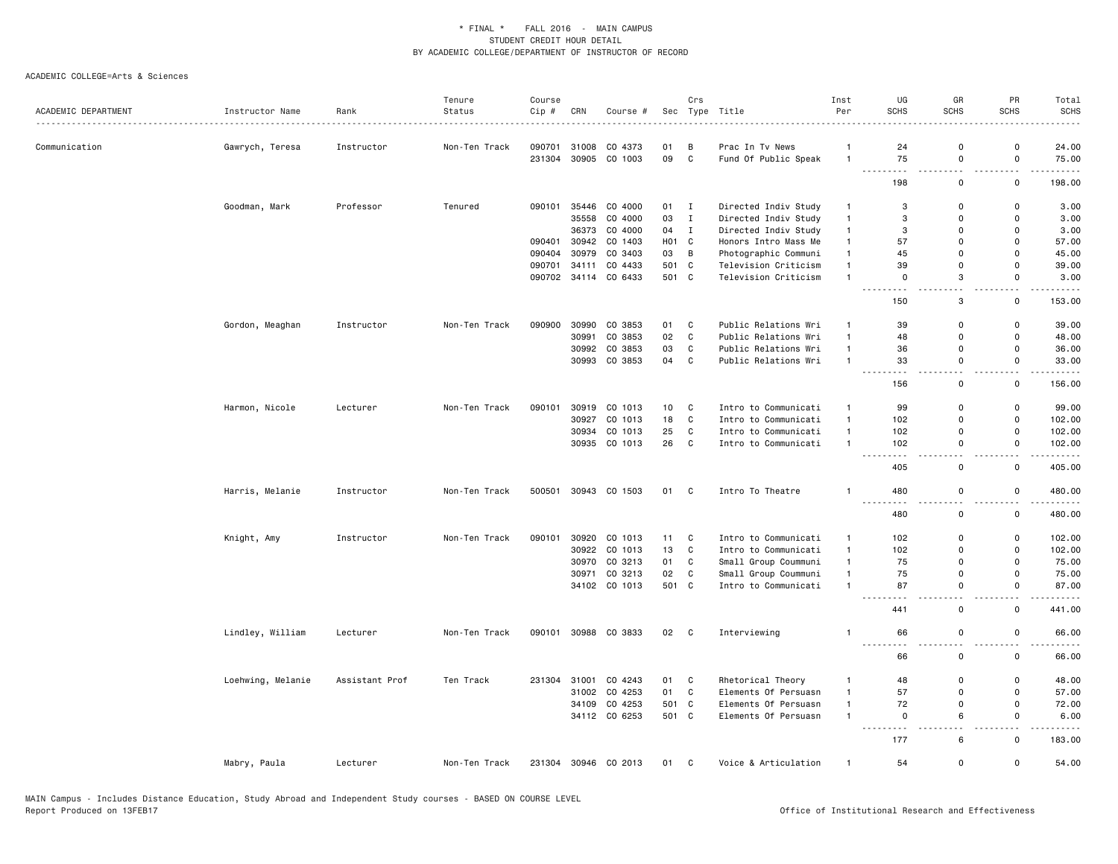|                     |                   |                | Tenure        | Course           |                |                      |                   | Crs               |                                         | Inst                 | UG                           | GR                                   | PR                                      | Total               |
|---------------------|-------------------|----------------|---------------|------------------|----------------|----------------------|-------------------|-------------------|-----------------------------------------|----------------------|------------------------------|--------------------------------------|-----------------------------------------|---------------------|
| ACADEMIC DEPARTMENT | Instructor Name   | Rank           | Status        | Cip#             | CRN            | Course #             |                   |                   | Sec Type Title                          | Per                  | <b>SCHS</b>                  | <b>SCHS</b>                          | <b>SCHS</b>                             | <b>SCHS</b>         |
|                     |                   |                |               |                  |                |                      |                   |                   |                                         |                      |                              |                                      |                                         |                     |
| Communication       | Gawrych, Teresa   | Instructor     | Non-Ten Track | 090701<br>231304 | 31008<br>30905 | CO 4373<br>CO 1003   | 01<br>09          | B<br>$\mathbf{C}$ | Prac In Tv News<br>Fund Of Public Speak | -1<br>$\overline{1}$ | 24<br>75                     | $\mathbf 0$<br>$\mathbf 0$           | 0<br>$\mathsf{o}$                       | 24.00<br>75.00      |
|                     |                   |                |               |                  |                |                      |                   |                   |                                         |                      | $ -$<br>٠.                   | $\overline{\phantom{a}}$             | $\overline{\phantom{0}}$                | $\cdots$            |
|                     |                   |                |               |                  |                |                      |                   |                   |                                         |                      | 198                          | 0                                    | $\mathbf 0$                             | 198.00              |
|                     | Goodman, Mark     | Professor      | Tenured       | 090101           | 35446          | CO 4000              | 01 I              |                   | Directed Indiv Study                    | $\mathbf{1}$         | 3                            | $\mathbf 0$                          | $\mathsf{o}$                            | 3.00                |
|                     |                   |                |               |                  | 35558          | CO 4000              | 03                | $\mathbf{I}$      | Directed Indiv Study                    | $\mathbf{1}$         | 3                            | $\mathbf 0$                          | $\mathsf 0$                             | 3.00                |
|                     |                   |                |               |                  |                | 36373 CO 4000        | 04                | $\mathbf{I}$      | Directed Indiv Study                    | $\mathbf{1}$         | 3                            | $\mathbf 0$                          | 0                                       | 3.00                |
|                     |                   |                |               | 090401           | 30942          | CO 1403              | H <sub>01</sub> C |                   | Honors Intro Mass Me                    | $\overline{1}$       | 57                           | $\Omega$                             | $\mathbf 0$                             | 57.00               |
|                     |                   |                |               | 090404           | 30979          | CO 3403              | 03                | B                 | Photographic Communi                    | $\mathbf{1}$         | 45                           | $\Omega$                             | $\mathbf 0$                             | 45.00               |
|                     |                   |                |               | 090701           | 34111          | CO 4433              | 501 C             |                   | Television Criticism                    | $\mathbf{1}$         | 39                           | $\mathbf 0$                          | $\mathsf 0$                             | 39.00               |
|                     |                   |                |               | 090702           |                | 34114 CO 6433        | 501 C             |                   | Television Criticism                    | $\overline{1}$       | $\mathbf 0$<br>.             | 3<br>и.                              | $\mathbf 0$<br>$\overline{\phantom{0}}$ | 3.00                |
|                     |                   |                |               |                  |                |                      |                   |                   |                                         |                      | 150                          | 3                                    | $\mathsf 0$                             | 153.00              |
|                     | Gordon, Meaghan   | Instructor     | Non-Ten Track | 090900           | 30990          | CO 3853              | 01                | C                 | Public Relations Wri                    | $\overline{1}$       | 39                           | $\mathbf 0$                          | $\mathsf 0$                             | 39.00               |
|                     |                   |                |               |                  | 30991          | CO 3853              | 02                | C                 | Public Relations Wri                    | $\overline{1}$       | 48                           | $\Omega$                             | 0                                       | 48.00               |
|                     |                   |                |               |                  |                | 30992 CO 3853        | 03                | $\mathtt{C}$      | Public Relations Wri                    | $\mathbf{1}$         | 36                           | $\mathbf 0$                          | $\mathsf{o}$                            | 36.00               |
|                     |                   |                |               |                  |                | 30993 CO 3853        | 04                | C                 | Public Relations Wri                    | $\overline{1}$       | 33<br>- - -                  | $\mathbf 0$<br>44                    | $\mathbf 0$<br>44                       | 33.00<br>وبالمستريث |
|                     |                   |                |               |                  |                |                      |                   |                   |                                         |                      | 156                          | 0                                    | 0                                       | 156.00              |
|                     | Harmon, Nicole    | Lecturer       | Non-Ten Track | 090101           | 30919          | CO 1013              | 10                | C                 | Intro to Communicati                    | $\mathbf{1}$         | 99                           | $\mathbf 0$                          | $\mathsf 0$                             | 99.00               |
|                     |                   |                |               |                  | 30927          | CO 1013              | 18                | C                 | Intro to Communicati                    | $\mathbf{1}$         | 102                          | $\mathbf 0$                          | $\mathsf{o}$                            | 102.00              |
|                     |                   |                |               |                  |                | 30934 CO 1013        | 25                | C                 | Intro to Communicati                    | $\mathbf{1}$         | 102                          | $\mathbf 0$                          | 0                                       | 102.00              |
|                     |                   |                |               |                  |                | 30935 CO 1013        | 26                | C                 | Intro to Communicati                    | $\overline{1}$       | 102<br>.                     | $\mathbf 0$<br>$\overline{a}$        | $\mathsf 0$<br>$\sim$ $\sim$            | 102.00<br>.         |
|                     |                   |                |               |                  |                |                      |                   |                   |                                         |                      | 405                          | $\mathsf 0$                          | $\mathsf 0$                             | 405.00              |
|                     | Harris, Melanie   | Instructor     | Non-Ten Track | 500501           |                | 30943 CO 1503        | 01 C              |                   | Intro To Theatre                        | $\mathbf{1}$         | 480<br><b></b>               | $\mathsf 0$                          | $\mathsf 0$                             | 480.00              |
|                     |                   |                |               |                  |                |                      |                   |                   |                                         |                      | 480                          | $\mathsf 0$                          | $\mathsf 0$                             | 480.00              |
|                     | Knight, Amy       | Instructor     | Non-Ten Track | 090101           |                | 30920 CO 1013        | 11                | C                 | Intro to Communicati                    | $\mathbf{1}$         | 102                          | $\mathbf 0$                          | $\mathsf{o}$                            | 102.00              |
|                     |                   |                |               |                  |                | 30922 CO 1013        | 13                | C                 | Intro to Communicati                    | $\overline{1}$       | 102                          | $\Omega$                             | $\mathsf 0$                             | 102.00              |
|                     |                   |                |               |                  | 30970          | CO 3213              | 01                | C                 | Small Group Coummuni                    | $\mathbf{1}$         | 75                           | $\mathbf 0$                          | 0                                       | 75.00               |
|                     |                   |                |               |                  | 30971          | CO 3213              | 02                | C                 | Small Group Coummuni                    | $\overline{1}$       | 75                           | $\mathbf 0$                          | $\mathsf 0$                             | 75.00               |
|                     |                   |                |               |                  |                | 34102 CO 1013        | 501 C             |                   | Intro to Communicati                    | $\overline{1}$       | 87<br><u>---------</u>       | $\Omega$<br>$\overline{\phantom{a}}$ | 0<br>$\sim$ $\sim$                      | 87.00<br>.          |
|                     |                   |                |               |                  |                |                      |                   |                   |                                         |                      | 441                          | $\mathbf 0$                          | $\mathbf 0$                             | 441.00              |
|                     | Lindley, William  | Lecturer       | Non-Ten Track | 090101           |                | 30988 CO 3833        | 02                | $\mathbf{C}$      | Interviewing                            | $\overline{1}$       | 66<br>---------              | $\mathbf 0$<br>$\sim$ $\sim$         | $\mathsf 0$<br>$\sim$ $\sim$            | 66.00<br>.          |
|                     |                   |                |               |                  |                |                      |                   |                   |                                         |                      | 66                           | $\mathsf 0$                          | $\mathsf 0$                             | 66.00               |
|                     | Loehwing, Melanie | Assistant Prof | Ten Track     | 231304           | 31001          | CO 4243              | 01                | C                 | Rhetorical Theory                       | $\overline{1}$       | 48                           | $\Omega$                             | $\mathbf 0$                             | 48.00               |
|                     |                   |                |               |                  |                | 31002 CO 4253        | 01                | C                 | Elements Of Persuasn                    | $\mathbf{1}$         | 57                           | $\Omega$                             | 0                                       | 57.00               |
|                     |                   |                |               |                  | 34109          | CO 4253              | 501 C             |                   | Elements Of Persuasn                    | $\mathbf{1}$         | 72                           | $\mathbf 0$                          | $\mathsf 0$                             | 72.00               |
|                     |                   |                |               |                  |                | 34112 CO 6253        | 501 C             |                   | Elements Of Persuasn                    | $\overline{1}$       | $\mathsf 0$<br>$\sim$ $\sim$ | 6                                    | $\mathsf 0$<br>. .                      | 6.00                |
|                     |                   |                |               |                  |                |                      |                   |                   |                                         |                      | 177                          | 6                                    | $\mathsf 0$                             | 183.00              |
|                     | Mabry, Paula      | Lecturer       | Non-Ten Track |                  |                | 231304 30946 CO 2013 | 01                | $\mathbf{C}$      | Voice & Articulation                    | $\overline{1}$       | 54                           | $\Omega$                             | $\mathbf 0$                             | 54.00               |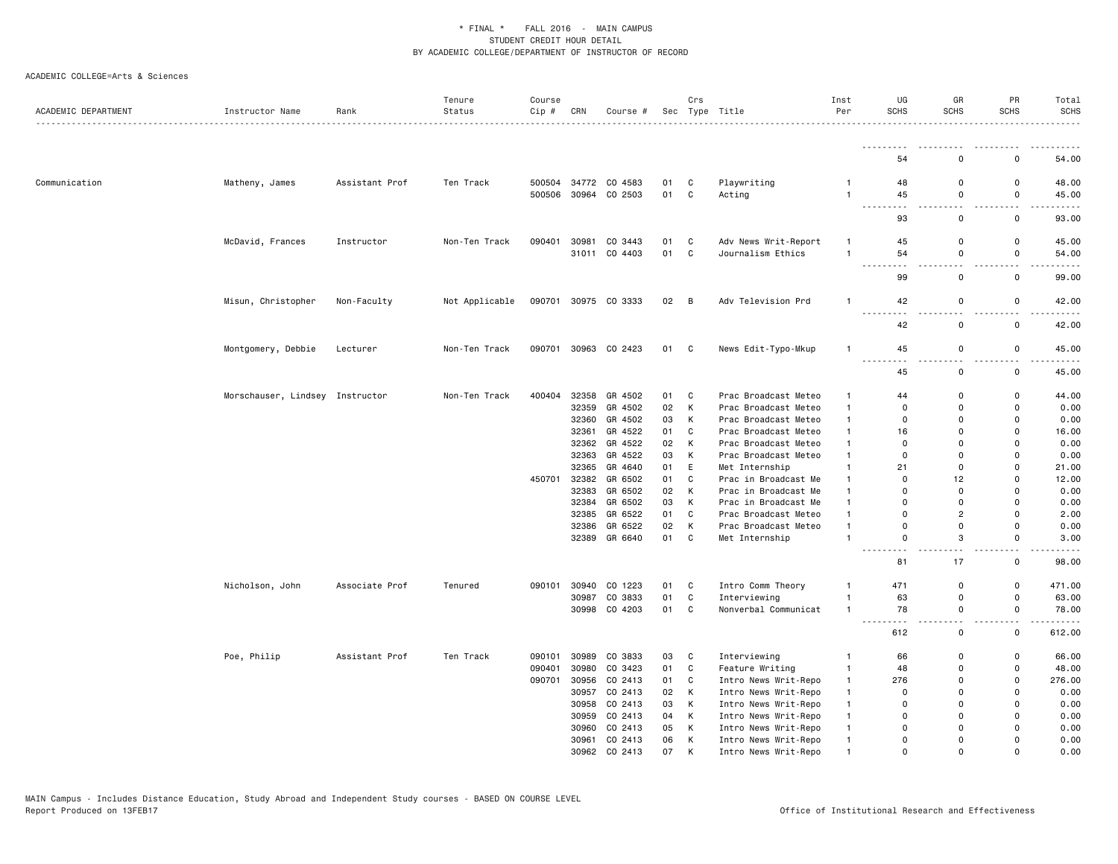| ACADEMIC DEPARTMENT | Instructor Name                 | Rank           | Tenure<br>Status | Course<br>Cip # | CRN   | Course #      |      | Crs          | Sec Type Title       | Inst<br>Per  | UG<br><b>SCHS</b>          | GR<br><b>SCHS</b> | PR<br><b>SCHS</b> | Total<br><b>SCHS</b><br>.                                                                                                                                     |
|---------------------|---------------------------------|----------------|------------------|-----------------|-------|---------------|------|--------------|----------------------|--------------|----------------------------|-------------------|-------------------|---------------------------------------------------------------------------------------------------------------------------------------------------------------|
|                     |                                 |                |                  |                 |       |               |      |              |                      |              | .                          |                   |                   |                                                                                                                                                               |
|                     |                                 |                |                  |                 |       |               |      |              |                      |              | 54                         | 0                 | $\mathbf 0$       | 54.00                                                                                                                                                         |
| Communication       | Matheny, James                  | Assistant Prof | Ten Track        | 500504          |       | 34772 CO 4583 | 01   | C            | Playwriting          | $\mathbf{1}$ | 48                         | $\mathbf 0$       | $\mathbf 0$       | 48.00                                                                                                                                                         |
|                     |                                 |                |                  | 500506          | 30964 | CO 2503       | 01   | C            | Acting               | $\mathbf{1}$ | 45                         | 0                 | $\mathbf 0$       | 45.00                                                                                                                                                         |
|                     |                                 |                |                  |                 |       |               |      |              |                      |              | <u>.</u><br>93             | .<br>$\mathbf 0$  | ---------         | $\omega$ is a set                                                                                                                                             |
|                     |                                 |                |                  |                 |       |               |      |              |                      |              |                            |                   | $\mathbf 0$       | 93.00                                                                                                                                                         |
|                     | McDavid, Frances                | Instructor     | Non-Ten Track    | 090401          | 30981 | CO 3443       | 01   | $\mathbf{C}$ | Adv News Writ-Report | -1           | 45                         | $\Omega$          | $\mathbf 0$       | 45.00                                                                                                                                                         |
|                     |                                 |                |                  |                 |       | 31011 CO 4403 | 01   | $\mathbf{C}$ | Journalism Ethics    | $\mathbf{1}$ | 54                         | 0                 | $\mathbf 0$       | 54.00                                                                                                                                                         |
|                     |                                 |                |                  |                 |       |               |      |              |                      |              | $\sim$ $\sim$ $\sim$<br>99 | $\Omega$          | $\mathbf 0$       | $\frac{1}{2} \left( \frac{1}{2} \right) \left( \frac{1}{2} \right) \left( \frac{1}{2} \right) \left( \frac{1}{2} \right) \left( \frac{1}{2} \right)$<br>99.00 |
|                     |                                 |                |                  |                 |       |               |      |              |                      |              |                            |                   |                   |                                                                                                                                                               |
|                     | Misun, Christopher              | Non-Faculty    | Not Applicable   | 090701          |       | 30975 CO 3333 | 02 B |              | Adv Television Prd   | $\mathbf{1}$ | 42                         | 0                 | $\mathbf 0$       | 42.00                                                                                                                                                         |
|                     |                                 |                |                  |                 |       |               |      |              |                      |              | د د د                      |                   |                   | $- - - - -$                                                                                                                                                   |
|                     |                                 |                |                  |                 |       |               |      |              |                      |              | 42                         | $\mathbf 0$       | $\mathbf 0$       | 42.00                                                                                                                                                         |
|                     | Montgomery, Debbie              | Lecturer       | Non-Ten Track    | 090701          |       | 30963 CO 2423 | 01 C |              | News Edit-Typo-Mkup  | $\mathbf{1}$ | 45                         | 0                 | $\mathbf 0$       | 45.00                                                                                                                                                         |
|                     |                                 |                |                  |                 |       |               |      |              |                      |              |                            |                   |                   | $\frac{1}{2} \left( \frac{1}{2} \right) \left( \frac{1}{2} \right) \left( \frac{1}{2} \right) \left( \frac{1}{2} \right) \left( \frac{1}{2} \right)$          |
|                     |                                 |                |                  |                 |       |               |      |              |                      |              | 45                         | $\mathbf 0$       | $\mathbf 0$       | 45.00                                                                                                                                                         |
|                     | Morschauser, Lindsey Instructor |                | Non-Ten Track    | 400404          | 32358 | GR 4502       | 01   | $\mathbf{C}$ | Prac Broadcast Meteo | $\mathbf{1}$ | 44                         | $\mathbf 0$       | $\mathbf 0$       | 44.00                                                                                                                                                         |
|                     |                                 |                |                  |                 | 32359 | GR 4502       | 02   | K            | Prac Broadcast Meteo | $\mathbf{1}$ | $\Omega$                   | $\Omega$          | $\mathbf 0$       | 0.00                                                                                                                                                          |
|                     |                                 |                |                  |                 | 32360 | GR 4502       | 03   | К            | Prac Broadcast Meteo | $\mathbf{1}$ | 0                          | $\Omega$          | $\mathbf 0$       | 0.00                                                                                                                                                          |
|                     |                                 |                |                  |                 | 32361 | GR 4522       | 01   | C            | Prac Broadcast Meteo | $\mathbf{1}$ | 16                         | $\Omega$          | $\mathbf 0$       | 16.00                                                                                                                                                         |
|                     |                                 |                |                  |                 | 32362 | GR 4522       | 02   | К            | Prac Broadcast Meteo | $\mathbf{1}$ | $\Omega$                   | $\Omega$          | $\mathbf 0$       | 0.00                                                                                                                                                          |
|                     |                                 |                |                  |                 | 32363 | GR 4522       | 03   | К            | Prac Broadcast Meteo | $\mathbf{1}$ | $\mathbf 0$                | $\Omega$          | $\Omega$          | 0.00                                                                                                                                                          |
|                     |                                 |                |                  |                 | 32365 | GR 4640       | 01   | E            | Met Internship       | 1            | 21                         | $\Omega$          | $\mathbf 0$       | 21.00                                                                                                                                                         |
|                     |                                 |                |                  | 450701          | 32382 | GR 6502       | 01   | C            | Prac in Broadcast Me | $\mathbf{1}$ | $\Omega$                   | 12                | $\mathbf 0$       | 12.00                                                                                                                                                         |
|                     |                                 |                |                  |                 | 32383 | GR 6502       | 02   | К            | Prac in Broadcast Me | $\mathbf{1}$ | $\Omega$                   | $\Omega$          | $\Omega$          | 0.00                                                                                                                                                          |
|                     |                                 |                |                  |                 | 32384 | GR 6502       | 03   | К            | Prac in Broadcast Me | $\mathbf{1}$ | $\Omega$                   | $\Omega$          | $\mathbf 0$       | 0.00                                                                                                                                                          |
|                     |                                 |                |                  |                 | 32385 | GR 6522       | 01   | C            | Prac Broadcast Meteo | $\mathbf{1}$ | $\Omega$                   | $\overline{2}$    | $\mathbf 0$       | 2.00                                                                                                                                                          |
|                     |                                 |                |                  |                 | 32386 | GR 6522       | 02   | К            | Prac Broadcast Meteo | $\mathbf{1}$ | $\mathbf 0$                | $\Omega$          | $\Omega$          | 0.00                                                                                                                                                          |
|                     |                                 |                |                  |                 |       | 32389 GR 6640 | 01   | C.           | Met Internship       | 1            | $\mathsf{o}$               | 3                 | $\mathbf 0$       | 3.00                                                                                                                                                          |
|                     |                                 |                |                  |                 |       |               |      |              |                      |              | $- - -$<br>81              | 17                | 0                 | .<br>98.00                                                                                                                                                    |
|                     |                                 |                |                  |                 |       |               |      |              |                      |              |                            |                   |                   |                                                                                                                                                               |
|                     | Nicholson, John                 | Associate Prof | Tenured          | 090101          | 30940 | CO 1223       | 01   | $\mathbf{C}$ | Intro Comm Theory    | $\mathbf{1}$ | 471                        | $\mathbf 0$       | 0                 | 471.00                                                                                                                                                        |
|                     |                                 |                |                  |                 | 30987 | CO 3833       | 01   | $\mathbf{C}$ | Interviewing         | $\mathbf{1}$ | 63                         | $\mathbf 0$       | $\mathbf 0$       | 63.00                                                                                                                                                         |
|                     |                                 |                |                  |                 |       | 30998 CO 4203 | 01   | $\mathbf{C}$ | Nonverbal Communicat | $\mathbf{1}$ | 78<br>$\sim$ $\sim$ $\sim$ | 0                 | $\mathbf 0$       | 78.00<br>.                                                                                                                                                    |
|                     |                                 |                |                  |                 |       |               |      |              |                      |              | 612                        | $\mathbf 0$       | 0                 | 612.00                                                                                                                                                        |
|                     | Poe, Philip                     | Assistant Prof | Ten Track        | 090101          | 30989 | CO 3833       | 03   | $\mathbf{C}$ | Interviewing         | $\mathbf{1}$ | 66                         | $\mathbf 0$       | $\mathbf 0$       | 66.00                                                                                                                                                         |
|                     |                                 |                |                  | 090401          | 30980 | CO 3423       | 01   | $\mathbf c$  | Feature Writing      | $\mathbf{1}$ | 48                         | $\Omega$          | $\mathbf 0$       | 48.00                                                                                                                                                         |
|                     |                                 |                |                  | 090701          | 30956 | CO 2413       | 01   | C            | Intro News Writ-Repo | $\mathbf{1}$ | 276                        | $\Omega$          | $\mathbf 0$       | 276.00                                                                                                                                                        |
|                     |                                 |                |                  |                 | 30957 | CO 2413       | 02   | K            | Intro News Writ-Repo | $\mathbf{1}$ | $\Omega$                   | $\Omega$          | $\mathbf 0$       | 0.00                                                                                                                                                          |
|                     |                                 |                |                  |                 | 30958 | CO 2413       | 03   | К            | Intro News Writ-Repo | $\mathbf{1}$ | $\mathbf 0$                | $\Omega$          | $\Omega$          | 0.00                                                                                                                                                          |
|                     |                                 |                |                  |                 | 30959 | CO 2413       | 04   | К            | Intro News Writ-Repo | $\mathbf{1}$ | $\Omega$                   | $\Omega$          | 0                 | 0.00                                                                                                                                                          |
|                     |                                 |                |                  |                 | 30960 | CO 2413       | 05   | K            | Intro News Writ-Repo | $\mathbf{1}$ | $\Omega$                   | $\Omega$          | $\Omega$          | 0.00                                                                                                                                                          |
|                     |                                 |                |                  |                 |       | 30961 CO 2413 | 06   | К            | Intro News Writ-Repo | $\mathbf{1}$ | $\Omega$                   | $\Omega$          | $\Omega$          | 0.00                                                                                                                                                          |
|                     |                                 |                |                  |                 | 30962 | CO 2413       | 07   | K            | Intro News Writ-Repo | 1            | $\Omega$                   | $\Omega$          | $\Omega$          | 0.00                                                                                                                                                          |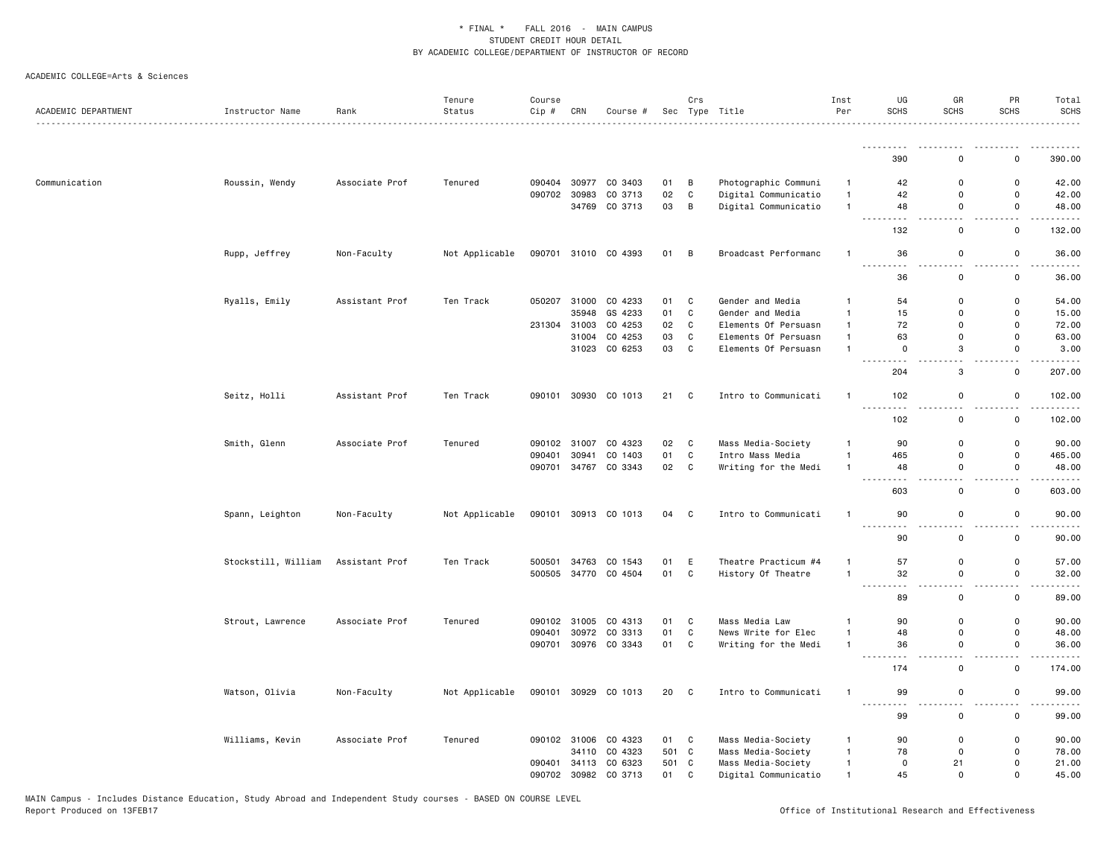|                     |                     |                | Tenure         | Course |              |                      |       | Crs                        |                      | Inst           | UG                                                                                                                                                                          | GR           | PR                 | Total                                                                                                                                                                                                                                                                                                                                                                                                 |
|---------------------|---------------------|----------------|----------------|--------|--------------|----------------------|-------|----------------------------|----------------------|----------------|-----------------------------------------------------------------------------------------------------------------------------------------------------------------------------|--------------|--------------------|-------------------------------------------------------------------------------------------------------------------------------------------------------------------------------------------------------------------------------------------------------------------------------------------------------------------------------------------------------------------------------------------------------|
| ACADEMIC DEPARTMENT | Instructor Name     | Rank           | Status         | Cip #  | CRN          | Course #             |       |                            | Sec Type Title<br>.  | Per            | <b>SCHS</b>                                                                                                                                                                 | <b>SCHS</b>  | <b>SCHS</b>        | <b>SCHS</b><br>. <b>.</b> .                                                                                                                                                                                                                                                                                                                                                                           |
|                     |                     |                |                |        |              |                      |       |                            |                      |                | .                                                                                                                                                                           |              |                    | .                                                                                                                                                                                                                                                                                                                                                                                                     |
|                     |                     |                |                |        |              |                      |       |                            |                      |                | 390                                                                                                                                                                         | $\Omega$     | $\mathbf 0$        | 390.00                                                                                                                                                                                                                                                                                                                                                                                                |
| Communication       | Roussin, Wendy      | Associate Prof | Tenured        | 090404 | 30977        | CO 3403              | 01    | B                          | Photographic Communi | $\mathbf{1}$   | 42                                                                                                                                                                          | 0            | 0                  | 42.00                                                                                                                                                                                                                                                                                                                                                                                                 |
|                     |                     |                |                | 090702 | 30983        | CO 3713              | 02    | $\mathtt{C}$               | Digital Communicatio | $\mathbf{1}$   | 42                                                                                                                                                                          | $\mathbf 0$  | $\mathbf 0$        | 42.00                                                                                                                                                                                                                                                                                                                                                                                                 |
|                     |                     |                |                |        |              | 34769 CO 3713        | 03    | B                          | Digital Communicatio | $\mathbf{1}$   | 48                                                                                                                                                                          | 0            | $\mathsf{o}$       | 48.00                                                                                                                                                                                                                                                                                                                                                                                                 |
|                     |                     |                |                |        |              |                      |       |                            |                      |                | 132                                                                                                                                                                         | $\mathsf 0$  | 0                  | 132.00                                                                                                                                                                                                                                                                                                                                                                                                |
|                     | Rupp, Jeffrey       | Non-Faculty    | Not Applicable |        |              | 090701 31010 CO 4393 | 01 B  |                            | Broadcast Performanc | $\mathbf{1}$   | 36                                                                                                                                                                          | 0            | $\mathsf 0$        | 36.00                                                                                                                                                                                                                                                                                                                                                                                                 |
|                     |                     |                |                |        |              |                      |       |                            |                      |                | $\sim$ $\sim$ $\sim$<br>36                                                                                                                                                  | 0            | $\sim$ $\sim$<br>0 | .<br>36.00                                                                                                                                                                                                                                                                                                                                                                                            |
|                     | Ryalls, Emily       | Assistant Prof | Ten Track      | 050207 | 31000        | CO 4233              | 01    | C                          | Gender and Media     | $\mathbf{1}$   | 54                                                                                                                                                                          | 0            | 0                  | 54.00                                                                                                                                                                                                                                                                                                                                                                                                 |
|                     |                     |                |                |        | 35948        | GS 4233              | 01    | C                          | Gender and Media     | $\mathbf{1}$   | 15                                                                                                                                                                          | $\mathbf{0}$ | $\mathsf{o}$       | 15.00                                                                                                                                                                                                                                                                                                                                                                                                 |
|                     |                     |                |                |        | 231304 31003 | CO 4253              | 02    | C                          | Elements Of Persuasn | $\mathbf{1}$   | 72                                                                                                                                                                          | 0            | $\mathsf 0$        | 72.00                                                                                                                                                                                                                                                                                                                                                                                                 |
|                     |                     |                |                |        | 31004        | CO 4253              | 03    | $\mathbb{C}$               | Elements Of Persuasn | $\mathbf{1}$   | 63                                                                                                                                                                          | 0            | 0                  | 63.00                                                                                                                                                                                                                                                                                                                                                                                                 |
|                     |                     |                |                |        |              | 31023 CO 6253        | 03    | C                          | Elements Of Persuasn | $\mathbf{1}$   | $\mathbf 0$                                                                                                                                                                 | 3            | 0                  | 3.00                                                                                                                                                                                                                                                                                                                                                                                                  |
|                     |                     |                |                |        |              |                      |       |                            |                      |                | 204                                                                                                                                                                         | 3            | $\mathbf 0$        | 207.00                                                                                                                                                                                                                                                                                                                                                                                                |
|                     | Seitz, Holli        | Assistant Prof | Ten Track      |        |              | 090101 30930 CO 1013 | 21 C  |                            | Intro to Communicati | $\mathbf{1}$   | 102                                                                                                                                                                         | 0            | $\mathbf 0$        | 102.00                                                                                                                                                                                                                                                                                                                                                                                                |
|                     |                     |                |                |        |              |                      |       |                            |                      |                | 102                                                                                                                                                                         | 0            | $\mathbf 0$        | 102.00                                                                                                                                                                                                                                                                                                                                                                                                |
|                     | Smith, Glenn        | Associate Prof | Tenured        | 090102 | 31007        | CO 4323              | 02    | C                          | Mass Media-Society   | $\mathbf{1}$   | 90                                                                                                                                                                          | 0            | 0                  | 90.00                                                                                                                                                                                                                                                                                                                                                                                                 |
|                     |                     |                |                | 090401 | 30941        | CO 1403              | 01    | C                          | Intro Mass Media     | $\mathbf{1}$   | 465                                                                                                                                                                         | 0            | 0                  | 465.00                                                                                                                                                                                                                                                                                                                                                                                                |
|                     |                     |                |                | 090701 |              | 34767 CO 3343        | 02    | C                          | Writing for the Medi | $\mathbf{1}$   | 48                                                                                                                                                                          | 0            | $\mathbf 0$        | 48.00                                                                                                                                                                                                                                                                                                                                                                                                 |
|                     |                     |                |                |        |              |                      |       |                            |                      |                | .<br>$- - -$<br>603                                                                                                                                                         | $ -$<br>0    | $ -$<br>0          | .<br>603.00                                                                                                                                                                                                                                                                                                                                                                                           |
|                     | Spann, Leighton     | Non-Faculty    | Not Applicable | 090101 |              | 30913 CO 1013        | 04    | $\overline{\phantom{a}}$ C | Intro to Communicati | $\mathbf{1}$   | 90                                                                                                                                                                          | 0            | 0                  | 90.00                                                                                                                                                                                                                                                                                                                                                                                                 |
|                     |                     |                |                |        |              |                      |       |                            |                      |                | .<br>90                                                                                                                                                                     | $\mathbf 0$  | $\mathbf 0$        | 90.00                                                                                                                                                                                                                                                                                                                                                                                                 |
|                     | Stockstill, William | Assistant Prof | Ten Track      | 500501 |              | 34763 CO 1543        | 01    | E                          | Theatre Practicum #4 | $\mathbf{1}$   | 57                                                                                                                                                                          | 0            | 0                  | 57.00                                                                                                                                                                                                                                                                                                                                                                                                 |
|                     |                     |                |                | 500505 |              | 34770 CO 4504        | 01    | C                          | History Of Theatre   | $\overline{1}$ | 32                                                                                                                                                                          | 0            | $\mathsf 0$        | 32.00                                                                                                                                                                                                                                                                                                                                                                                                 |
|                     |                     |                |                |        |              |                      |       |                            |                      |                | $\frac{1}{2} \left( \frac{1}{2} \right) \left( \frac{1}{2} \right) \left( \frac{1}{2} \right) \left( \frac{1}{2} \right) \left( \frac{1}{2} \right)$<br>$\sim$ $\sim$<br>89 | $\mathbf 0$  | $\mathbf 0$        | $\frac{1}{2} \frac{1}{2} \frac{1}{2} \frac{1}{2} \frac{1}{2} \frac{1}{2} \frac{1}{2} \frac{1}{2} \frac{1}{2} \frac{1}{2} \frac{1}{2} \frac{1}{2} \frac{1}{2} \frac{1}{2} \frac{1}{2} \frac{1}{2} \frac{1}{2} \frac{1}{2} \frac{1}{2} \frac{1}{2} \frac{1}{2} \frac{1}{2} \frac{1}{2} \frac{1}{2} \frac{1}{2} \frac{1}{2} \frac{1}{2} \frac{1}{2} \frac{1}{2} \frac{1}{2} \frac{1}{2} \frac{$<br>89.00 |
|                     | Strout, Lawrence    | Associate Prof | Tenured        |        |              | 090102 31005 CO 4313 | 01    | C                          | Mass Media Law       | $\overline{1}$ | 90                                                                                                                                                                          | 0            | 0                  | 90.00                                                                                                                                                                                                                                                                                                                                                                                                 |
|                     |                     |                |                | 090401 |              | 30972 CO 3313        | 01    | C                          | News Write for Elec  | $\mathbf{1}$   | 48                                                                                                                                                                          | 0            | $\mathbf 0$        | 48.00                                                                                                                                                                                                                                                                                                                                                                                                 |
|                     |                     |                |                | 090701 |              | 30976 CO 3343        | 01    | $\mathbf C$                | Writing for the Medi | $\mathbf{1}$   | 36                                                                                                                                                                          | $\mathbf 0$  | $\mathbf 0$        | 36.00                                                                                                                                                                                                                                                                                                                                                                                                 |
|                     |                     |                |                |        |              |                      |       |                            |                      |                | $\sim$ $\sim$ $\sim$<br>174                                                                                                                                                 | 0            | 0                  | 174.00                                                                                                                                                                                                                                                                                                                                                                                                |
|                     | Watson, Olivia      | Non-Faculty    | Not Applicable |        |              | 090101 30929 CO 1013 | 20    | $\overline{C}$             | Intro to Communicati | $\mathbf{1}$   | 99                                                                                                                                                                          | $\mathsf 0$  | $\mathsf 0$        | 99.00                                                                                                                                                                                                                                                                                                                                                                                                 |
|                     |                     |                |                |        |              |                      |       |                            |                      |                | $\sim$ $\sim$<br>99                                                                                                                                                         | $\mathsf 0$  | $\mathsf 0$        | 99.00                                                                                                                                                                                                                                                                                                                                                                                                 |
|                     | Williams, Kevin     | Associate Prof | Tenured        |        |              | 090102 31006 CO 4323 | 01 C  |                            | Mass Media-Society   | $\mathbf{1}$   | 90                                                                                                                                                                          | $\mathbf 0$  | 0                  | 90.00                                                                                                                                                                                                                                                                                                                                                                                                 |
|                     |                     |                |                |        |              | 34110 CO 4323        | 501 C |                            | Mass Media-Society   | $\mathbf{1}$   | 78                                                                                                                                                                          | $\Omega$     | $\Omega$           | 78.00                                                                                                                                                                                                                                                                                                                                                                                                 |
|                     |                     |                |                |        |              | 090401 34113 CO 6323 | 501 C |                            | Mass Media-Society   | $\mathbf{1}$   | $\mathbf 0$                                                                                                                                                                 | 21           | $\mathsf{o}$       | 21.00                                                                                                                                                                                                                                                                                                                                                                                                 |
|                     |                     |                |                | 090702 | 30982        | CO 3713              | 01    | C                          | Digital Communicatio | $\overline{1}$ | 45                                                                                                                                                                          | $\Omega$     | $\Omega$           | 45.00                                                                                                                                                                                                                                                                                                                                                                                                 |
|                     |                     |                |                |        |              |                      |       |                            |                      |                |                                                                                                                                                                             |              |                    |                                                                                                                                                                                                                                                                                                                                                                                                       |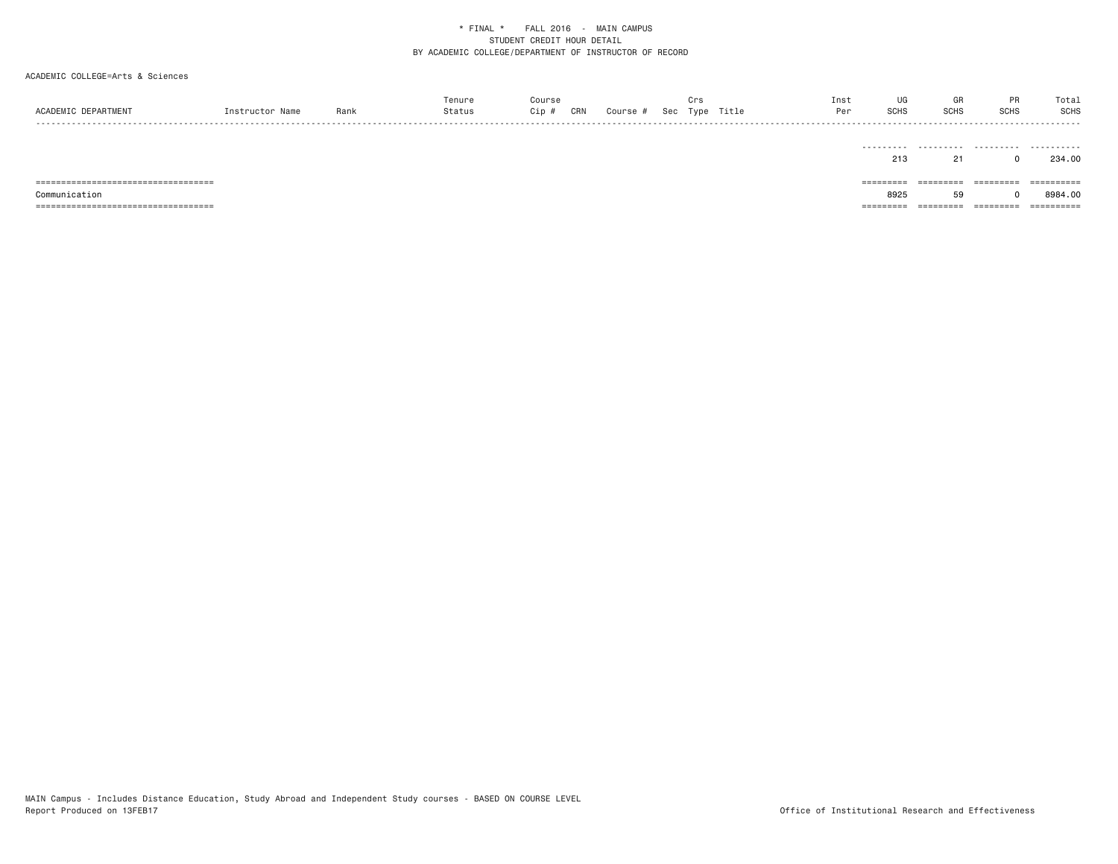| ACADEMIC DEPARTMENT                   | Instructor Name | Rank | Tenure<br>Status | Course<br>$Cip$ # | CRN | Course # Sec Type Title | Crs | Inst<br>Per | UG<br>SCHS          | GR<br>SCHS          | <b>PR</b><br>SCHS | Total<br>SCHS |
|---------------------------------------|-----------------|------|------------------|-------------------|-----|-------------------------|-----|-------------|---------------------|---------------------|-------------------|---------------|
|                                       |                 |      |                  |                   |     |                         |     |             | ----------<br>213   | 21                  | $^{\circ}$        | 234.00        |
| ===================================== |                 |      |                  |                   |     |                         |     |             | $=$ = = = = = = = = | $=$ = = = = = = = = | =========         | ==========    |
| Communication                         |                 |      |                  |                   |     |                         |     |             | 8925                | 59                  |                   | 8984.00       |
| ===================================== |                 |      |                  |                   |     |                         |     |             | =========           | ========            | =========         |               |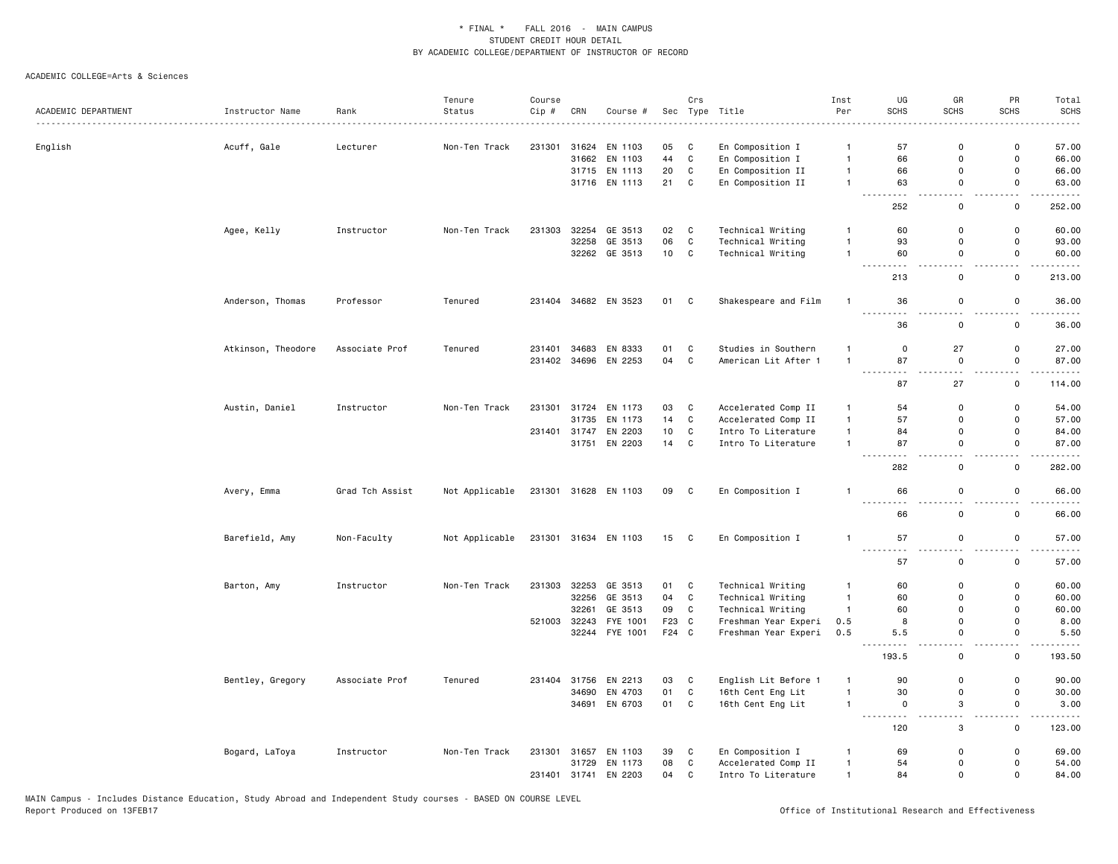|                     |                    |                 | Tenure         | Course |       |                      |       | Crs          |                      | Inst           | UG                                                   | GR                                      | PR                            | Total                           |
|---------------------|--------------------|-----------------|----------------|--------|-------|----------------------|-------|--------------|----------------------|----------------|------------------------------------------------------|-----------------------------------------|-------------------------------|---------------------------------|
| ACADEMIC DEPARTMENT | Instructor Name    | Rank            | Status         | Cip #  | CRN   | Course #             |       |              | Sec Type Title       | Per            | SCHS                                                 | <b>SCHS</b>                             | <b>SCHS</b>                   | <b>SCHS</b>                     |
|                     |                    |                 |                |        |       |                      |       |              |                      |                |                                                      |                                         |                               |                                 |
| English             | Acuff, Gale        | Lecturer        | Non-Ten Track  | 231301 |       | 31624 EN 1103        | 05    | C            | En Composition I     | $\mathbf{1}$   | 57                                                   | 0                                       | 0                             | 57.00                           |
|                     |                    |                 |                |        |       | 31662 EN 1103        | 44    | C            | En Composition I     | $\mathbf{1}$   | 66                                                   | 0                                       | 0                             | 66.00                           |
|                     |                    |                 |                |        |       | 31715 EN 1113        | 20    | $\mathbb{C}$ | En Composition II    | $\mathbf{1}$   | 66                                                   | 0                                       | 0                             | 66.00                           |
|                     |                    |                 |                |        |       | 31716 EN 1113        | 21    | $\mathtt{C}$ | En Composition II    | $\mathbf{1}$   | 63                                                   | $\mathbf 0$<br>$\overline{\phantom{a}}$ | $\mathbf 0$<br>Ш.             | 63.00<br>$\omega$ is a $\omega$ |
|                     |                    |                 |                |        |       |                      |       |              |                      |                | 252                                                  | 0                                       | 0                             | 252.00                          |
|                     | Agee, Kelly        | Instructor      | Non-Ten Track  | 231303 | 32254 | GE 3513              | 02    | C            | Technical Writing    | $\mathbf{1}$   | 60                                                   | 0                                       | $\mathbf 0$                   | 60.00                           |
|                     |                    |                 |                |        | 32258 | GE 3513              | 06    | $\mathbb{C}$ | Technical Writing    | $\overline{1}$ | 93                                                   | $\mathbf 0$                             | $\mathsf 0$                   | 93.00                           |
|                     |                    |                 |                |        |       | 32262 GE 3513        | 10    | $\mathbf c$  | Technical Writing    | $\mathbf{1}$   | 60                                                   | $\mathbf 0$                             | $\mathsf 0$                   | 60.00                           |
|                     |                    |                 |                |        |       |                      |       |              |                      |                | 213                                                  | 0                                       | 0                             | 213.00                          |
|                     | Anderson, Thomas   | Professor       | Tenured        |        |       | 231404 34682 EN 3523 | 01 C  |              | Shakespeare and Film | $\overline{1}$ | 36<br><u>.</u>                                       | $\mathsf 0$                             | $\mathsf 0$<br>$\sim$ $\sim$  | 36.00<br>.                      |
|                     |                    |                 |                |        |       |                      |       |              |                      |                | 36                                                   | 0                                       | 0                             | 36.00                           |
|                     | Atkinson, Theodore | Associate Prof  | Tenured        | 231401 |       | 34683 EN 8333        | 01    | C            | Studies in Southern  | $\mathbf{1}$   | $\mathsf 0$                                          | 27                                      | $\mathsf 0$                   | 27.00                           |
|                     |                    |                 |                |        |       | 231402 34696 EN 2253 | 04    | $\mathbf c$  | American Lit After 1 | $\overline{1}$ | 87<br>$- - - -$                                      | 0                                       | 0<br>$ -$                     | 87.00                           |
|                     |                    |                 |                |        |       |                      |       |              |                      |                | 87                                                   | 27                                      | 0                             | 114.00                          |
|                     | Austin, Daniel     | Instructor      | Non-Ten Track  | 231301 |       | 31724 EN 1173        | 03    | C            | Accelerated Comp II  | $\mathbf{1}$   | 54                                                   | 0                                       | 0                             | 54.00                           |
|                     |                    |                 |                |        | 31735 | EN 1173              | 14    | $\mathbb{C}$ | Accelerated Comp II  | $\mathbf{1}$   | 57                                                   | 0                                       | $\mathsf 0$                   | 57.00                           |
|                     |                    |                 |                |        |       | 231401 31747 EN 2203 | 10    | C            | Intro To Literature  | $\mathbf{1}$   | 84                                                   | 0                                       | $\mathsf{o}$                  | 84.00                           |
|                     |                    |                 |                |        |       | 31751 EN 2203        | 14    | C            | Intro To Literature  | $\overline{1}$ | 87<br>$- - -$                                        | 0                                       | $\mathsf{o}$                  | 87.00                           |
|                     |                    |                 |                |        |       |                      |       |              |                      |                | 282                                                  | $\mathbf 0$                             | $\mathsf 0$                   | 282.00                          |
|                     | Avery, Emma        | Grad Tch Assist | Not Applicable |        |       | 231301 31628 EN 1103 | 09    | $\mathbf{C}$ | En Composition I     | $\mathbf{1}$   | 66                                                   | 0                                       | 0                             | 66.00                           |
|                     |                    |                 |                |        |       |                      |       |              |                      |                | 66                                                   | $\mathsf 0$                             | 0                             | 66.00                           |
|                     | Barefield, Amy     | Non-Faculty     | Not Applicable |        |       | 231301 31634 EN 1103 | 15    | $\mathbf{C}$ | En Composition I     | $\mathbf{1}$   | 57<br>$\frac{1}{2}$<br>$\sim$ $\sim$                 | $\mathsf 0$                             | $\mathsf 0$                   | 57.00                           |
|                     |                    |                 |                |        |       |                      |       |              |                      |                | 57                                                   | 0                                       | 0                             | 57.00                           |
|                     | Barton, Amy        | Instructor      | Non-Ten Track  | 231303 |       | 32253 GE 3513        | 01    | C            | Technical Writing    | $\overline{1}$ | 60                                                   | $\Omega$                                | 0                             | 60.00                           |
|                     |                    |                 |                |        | 32256 | GE 3513              | 04    | C            | Technical Writing    | $\mathbf{1}$   | 60                                                   | $\Omega$                                | 0                             | 60.00                           |
|                     |                    |                 |                |        | 32261 | GE 3513              | 09    | C            | Technical Writing    | $\mathbf{1}$   | 60                                                   | 0                                       | 0                             | 60.00                           |
|                     |                    |                 |                | 521003 | 32243 | FYE 1001             | F23   | $\mathbf{C}$ | Freshman Year Experi | 0.5            | 8                                                    | $\mathsf 0$                             | $\mathsf 0$                   | 8.00                            |
|                     |                    |                 |                |        |       | 32244 FYE 1001       | F24 C |              | Freshman Year Experi | 0.5            | 5.5<br>$\sim$ $\sim$ $\sim$ $\sim$                   | $\mathbf 0$                             | $\mathbf 0$<br>$\overline{a}$ | 5.50<br>$\omega$ and $\omega$   |
|                     |                    |                 |                |        |       |                      |       |              |                      |                | 193.5                                                | 0                                       | 0                             | 193.50                          |
|                     | Bentley, Gregory   | Associate Prof  | Tenured        |        |       | 231404 31756 EN 2213 | 03    | C            | English Lit Before 1 | $\mathbf{1}$   | 90                                                   | 0                                       | $\mathsf 0$                   | 90.00                           |
|                     |                    |                 |                |        |       | 34690 EN 4703        | 01    | $\mathbf c$  | 16th Cent Eng Lit    | $\overline{1}$ | 30                                                   | $\mathsf 0$                             | $\mathsf 0$                   | 30.00                           |
|                     |                    |                 |                |        |       | 34691 EN 6703        | 01    | C            | 16th Cent Eng Lit    | $\mathbf{1}$   | $\mathsf 0$<br>$\sim$ $\sim$ $\sim$<br>$\sim$ $\sim$ | 3                                       | $\mathsf 0$                   | 3.00<br>.                       |
|                     |                    |                 |                |        |       |                      |       |              |                      |                | 120                                                  | 3                                       | 0                             | 123.00                          |
|                     | Bogard, LaToya     | Instructor      | Non-Ten Track  | 231301 |       | 31657 EN 1103        | 39    | C            | En Composition I     | $\overline{1}$ | 69                                                   | 0                                       | $\mathsf{o}$                  | 69.00                           |
|                     |                    |                 |                |        |       | 31729 EN 1173        | 08    | C            | Accelerated Comp II  | $\mathbf{1}$   | 54                                                   | 0                                       | 0                             | 54.00                           |
|                     |                    |                 |                |        |       | 231401 31741 EN 2203 | 04    | C            | Intro To Literature  | $\mathbf{1}$   | 84                                                   | 0                                       | $\mathsf{o}$                  | 84.00                           |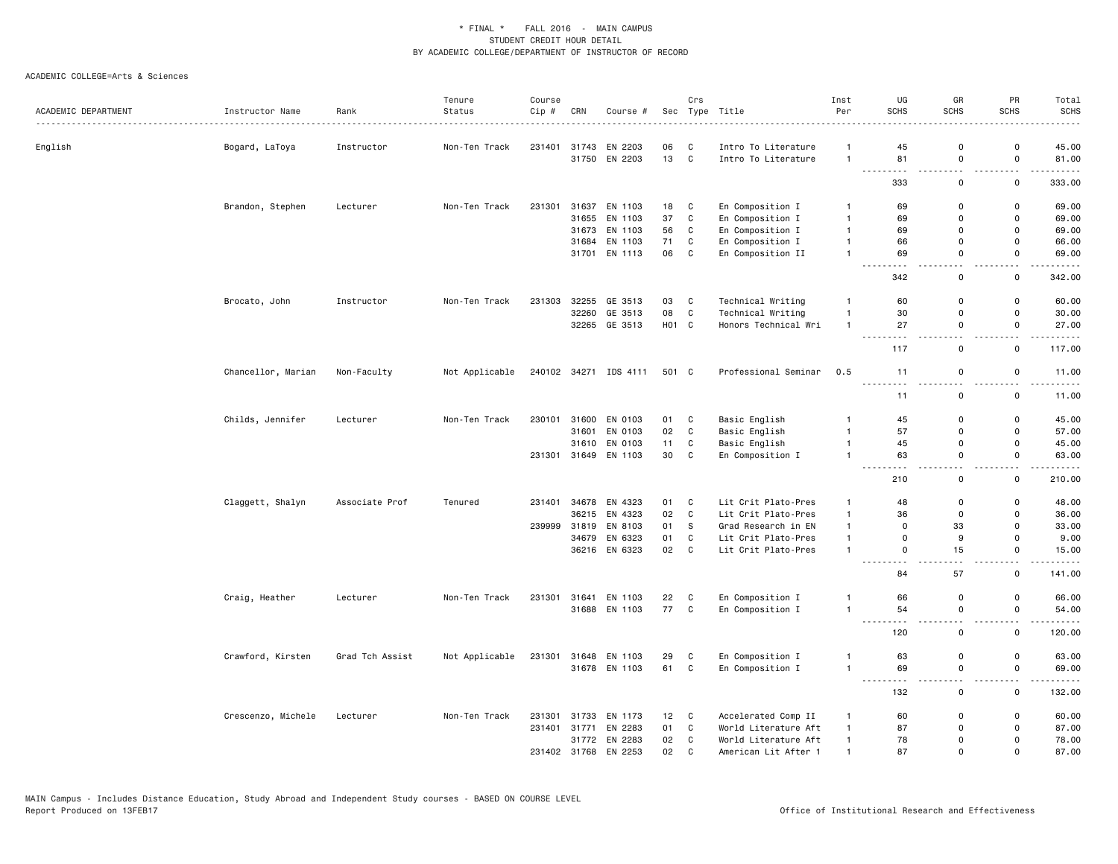|                     |                    |                    | Tenure         | Course |       |                       |                   | Crs          |                      | Inst           | UG                                                                                                                                                                | GR                                      | PR                                      | Total                                                                                                                              |
|---------------------|--------------------|--------------------|----------------|--------|-------|-----------------------|-------------------|--------------|----------------------|----------------|-------------------------------------------------------------------------------------------------------------------------------------------------------------------|-----------------------------------------|-----------------------------------------|------------------------------------------------------------------------------------------------------------------------------------|
| ACADEMIC DEPARTMENT | Instructor Name    | Rank<br>. <b>.</b> | Status         | Cip #  | CRN   | Course #              |                   |              | Sec Type Title<br>.  | Per            | <b>SCHS</b>                                                                                                                                                       | <b>SCHS</b>                             | <b>SCHS</b>                             | <b>SCHS</b>                                                                                                                        |
| English             | Bogard, LaToya     | Instructor         | Non-Ten Track  | 231401 |       | 31743 EN 2203         | 06                | C            | Intro To Literature  | $\mathbf{1}$   | 45                                                                                                                                                                | 0                                       | 0                                       | 45.00                                                                                                                              |
|                     |                    |                    |                |        |       | 31750 EN 2203         | 13                | $\mathbf c$  | Intro To Literature  | $\mathbf{1}$   | 81                                                                                                                                                                | $\mathsf 0$                             | $\mathsf 0$                             | 81.00                                                                                                                              |
|                     |                    |                    |                |        |       |                       |                   |              |                      |                | .<br>333                                                                                                                                                          | $\sim$ $\sim$<br>$\mathsf 0$            | $\sim$ $\sim$<br>$\mathsf 0$            | .<br>333.00                                                                                                                        |
|                     | Brandon, Stephen   | Lecturer           | Non-Ten Track  | 231301 | 31637 | EN 1103               | 18                | C            | En Composition I     | $\overline{1}$ | 69                                                                                                                                                                | 0                                       | $\mathsf 0$                             | 69.00                                                                                                                              |
|                     |                    |                    |                |        |       | 31655 EN 1103         | 37                | $\mathtt{C}$ | En Composition I     | $\mathbf{1}$   | 69                                                                                                                                                                | 0                                       | $\mathsf 0$                             | 69.00                                                                                                                              |
|                     |                    |                    |                |        |       | 31673 EN 1103         | 56                | $\mathtt{C}$ | En Composition I     | $\overline{1}$ | 69                                                                                                                                                                | 0                                       | $\mathbf 0$                             | 69.00                                                                                                                              |
|                     |                    |                    |                |        |       | 31684 EN 1103         | 71                | C            | En Composition I     | $\overline{1}$ | 66                                                                                                                                                                | 0                                       | $\mathsf 0$                             | 66.00                                                                                                                              |
|                     |                    |                    |                |        |       | 31701 EN 1113         | 06                | C            | En Composition II    | $\overline{1}$ | 69                                                                                                                                                                | $\mathbf 0$                             | $\mathbf 0$                             | 69.00                                                                                                                              |
|                     |                    |                    |                |        |       |                       |                   |              |                      |                | $\sim$ $\sim$ $\sim$<br>.                                                                                                                                         | $ -$                                    | $-$                                     | $\frac{1}{2} \left( \frac{1}{2} \right) \left( \frac{1}{2} \right) \left( \frac{1}{2} \right) \left( \frac{1}{2} \right)$          |
|                     |                    |                    |                |        |       |                       |                   |              |                      |                | 342                                                                                                                                                               | $\mathsf 0$                             | 0                                       | 342.00                                                                                                                             |
|                     | Brocato, John      | Instructor         | Non-Ten Track  | 231303 |       | 32255 GE 3513         | 03                | C            | Technical Writing    | $\mathbf{1}$   | 60                                                                                                                                                                | 0                                       | 0                                       | 60.00                                                                                                                              |
|                     |                    |                    |                |        | 32260 | GE 3513               | 08                | $\mathtt{C}$ | Technical Writing    | $\mathbf{1}$   | 30                                                                                                                                                                | 0                                       | $\mathsf 0$                             | 30.00                                                                                                                              |
|                     |                    |                    |                |        |       | 32265 GE 3513         | H <sub>01</sub> C |              | Honors Technical Wri | $\overline{1}$ | 27<br>$\sim$ $\sim$ $\sim$<br>.                                                                                                                                   | $\mathsf 0$<br>$\overline{\phantom{a}}$ | $\mathsf 0$<br>. .                      | 27.00<br>$\frac{1}{2} \left( \frac{1}{2} \right) \left( \frac{1}{2} \right) \left( \frac{1}{2} \right) \left( \frac{1}{2} \right)$ |
|                     |                    |                    |                |        |       |                       |                   |              |                      |                | 117                                                                                                                                                               | $\mathsf 0$                             | $\mathsf 0$                             | 117.00                                                                                                                             |
|                     | Chancellor, Marian | Non-Faculty        | Not Applicable |        |       | 240102 34271 IDS 4111 | 501 C             |              | Professional Seminar | 0.5            | 11                                                                                                                                                                | $\mathsf 0$                             | 0                                       | 11.00                                                                                                                              |
|                     |                    |                    |                |        |       |                       |                   |              |                      |                | <u>.</u><br>11                                                                                                                                                    | $\sim$ $\sim$<br>$\mathsf{o}$           | $\overline{a}$<br>$\mathsf 0$           | .<br>11.00                                                                                                                         |
|                     | Childs, Jennifer   | Lecturer           | Non-Ten Track  | 230101 |       | 31600 EN 0103         | 01                | C            | Basic English        | $\mathbf{1}$   | 45                                                                                                                                                                | $\mathbf 0$                             | $\mathbf 0$                             | 45.00                                                                                                                              |
|                     |                    |                    |                |        | 31601 | EN 0103               | 02                | C            | Basic English        | $\mathbf{1}$   | 57                                                                                                                                                                | $\mathbf 0$                             | $\mathbf 0$                             | 57.00                                                                                                                              |
|                     |                    |                    |                |        | 31610 | EN 0103               | 11                | C            | Basic English        | $\mathbf{1}$   | 45                                                                                                                                                                | $\mathbf 0$                             | $\mathbf 0$                             | 45.00                                                                                                                              |
|                     |                    |                    |                |        |       | 231301 31649 EN 1103  | 30                | C            | En Composition I     | $\overline{1}$ | 63                                                                                                                                                                | 0                                       | $\mathbf 0$<br>$-$                      | 63.00                                                                                                                              |
|                     |                    |                    |                |        |       |                       |                   |              |                      |                | 210                                                                                                                                                               | 0                                       | 0                                       | 210.00                                                                                                                             |
|                     | Claggett, Shalyn   | Associate Prof     | Tenured        | 231401 |       | 34678 EN 4323         | 01                | C            | Lit Crit Plato-Pres  | $\mathbf{1}$   | 48                                                                                                                                                                | 0                                       | $\mathsf 0$                             | 48.00                                                                                                                              |
|                     |                    |                    |                |        |       | 36215 EN 4323         | 02                | $\mathtt{C}$ | Lit Crit Plato-Pres  | $\overline{1}$ | 36                                                                                                                                                                | 0                                       | $\mathsf 0$                             | 36.00                                                                                                                              |
|                     |                    |                    |                |        |       | 239999 31819 EN 8103  | 01                | S            | Grad Research in EN  | $\overline{1}$ | $\mathbf 0$                                                                                                                                                       | 33                                      | $\mathsf 0$                             | 33.00                                                                                                                              |
|                     |                    |                    |                |        | 34679 | EN 6323               | 01                | C            | Lit Crit Plato-Pres  | $\mathbf{1}$   | $\mathsf 0$                                                                                                                                                       | 9                                       | $\mathsf 0$                             | 9.00                                                                                                                               |
|                     |                    |                    |                |        |       | 36216 EN 6323         | 02                | C            | Lit Crit Plato-Pres  | $\mathbf{1}$   | $\mathbf 0$<br>.<br>-----                                                                                                                                         | 15                                      | $\mathsf 0$<br>$\overline{\phantom{a}}$ | 15.00<br>-----                                                                                                                     |
|                     |                    |                    |                |        |       |                       |                   |              |                      |                | 84                                                                                                                                                                | 57                                      | 0                                       | 141.00                                                                                                                             |
|                     | Craig, Heather     | Lecturer           | Non-Ten Track  | 231301 |       | 31641 EN 1103         | 22                | C            | En Composition I     | 1              | 66                                                                                                                                                                | 0                                       | 0                                       | 66.00                                                                                                                              |
|                     |                    |                    |                |        |       | 31688 EN 1103         | 77                | C            | En Composition I     | $\mathbf{1}$   | 54<br>$\frac{1}{2} \left( \frac{1}{2} \right) \left( \frac{1}{2} \right) \left( \frac{1}{2} \right) \left( \frac{1}{2} \right) \left( \frac{1}{2} \right)$<br>--- | 0<br>$-$                                | $\mathbf 0$<br>$\sim$ $\sim$            | 54.00<br>.                                                                                                                         |
|                     |                    |                    |                |        |       |                       |                   |              |                      |                | 120                                                                                                                                                               | $\mathsf 0$                             | 0                                       | 120.00                                                                                                                             |
|                     | Crawford, Kirsten  | Grad Tch Assist    | Not Applicable | 231301 |       | 31648 EN 1103         | 29                | C            | En Composition I     | $\overline{1}$ | 63                                                                                                                                                                | $\mathsf 0$                             | $\mathsf 0$                             | 63.00                                                                                                                              |
|                     |                    |                    |                |        |       | 31678 EN 1103         | 61                | $\mathbf c$  | En Composition I     | $\overline{1}$ | 69<br>$- - -$<br>$\cdots$                                                                                                                                         | $\mathsf{o}$<br>$ -$                    | $\mathsf 0$<br>$ -$                     | 69.00<br>.                                                                                                                         |
|                     |                    |                    |                |        |       |                       |                   |              |                      |                | 132                                                                                                                                                               | $\mathsf 0$                             | $\mathsf 0$                             | 132.00                                                                                                                             |
|                     | Crescenzo, Michele | Lecturer           | Non-Ten Track  |        |       | 231301 31733 EN 1173  | 12                | C            | Accelerated Comp II  | $\overline{1}$ | 60                                                                                                                                                                | 0                                       | 0                                       | 60.00                                                                                                                              |
|                     |                    |                    |                | 231401 |       | 31771 EN 2283         | 01                | $\mathtt{C}$ | World Literature Aft | $\overline{1}$ | 87                                                                                                                                                                | 0                                       | $\mathbf 0$                             | 87.00                                                                                                                              |
|                     |                    |                    |                |        |       | 31772 EN 2283         | 02                | C            | World Literature Aft | $\overline{1}$ | 78                                                                                                                                                                | 0                                       | 0                                       | 78.00                                                                                                                              |
|                     |                    |                    |                |        |       | 231402 31768 EN 2253  | 02 <sub>2</sub>   | C            | American Lit After 1 | $\overline{1}$ | 87                                                                                                                                                                | $\Omega$                                | $\Omega$                                | 87.00                                                                                                                              |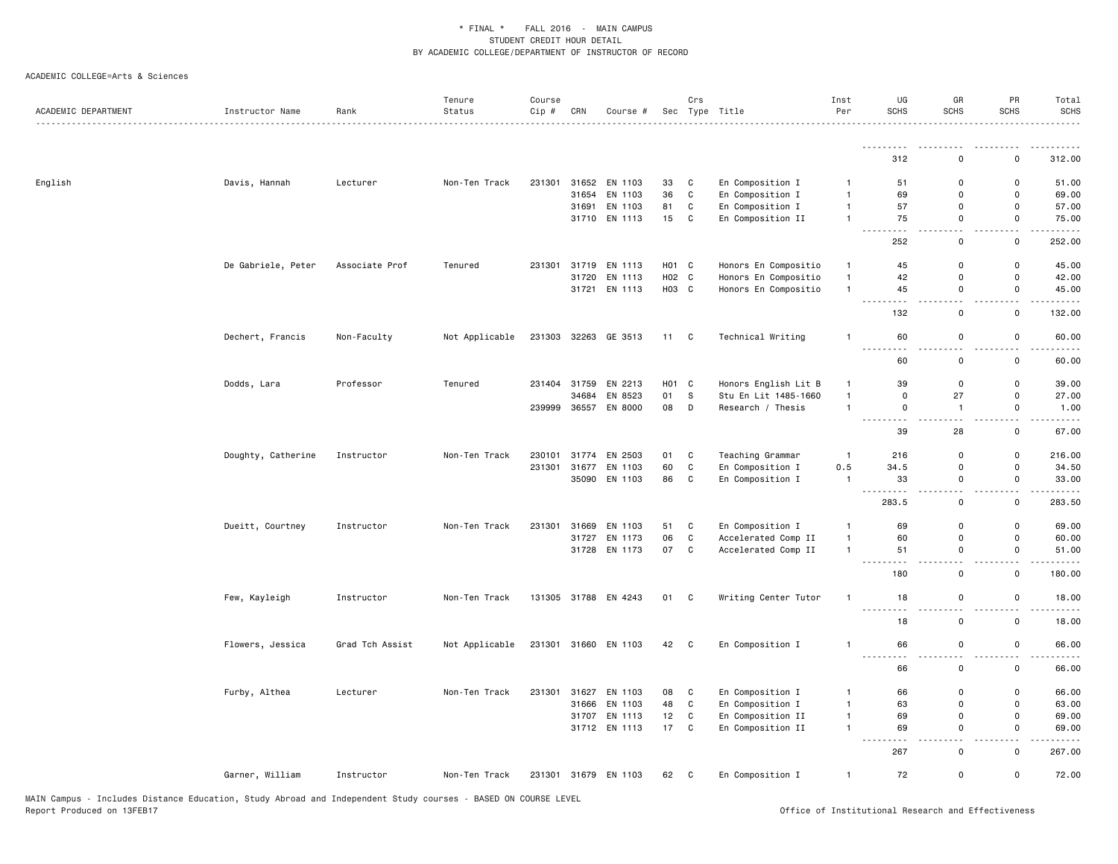| ACADEMIC DEPARTMENT | Instructor Name    | Rank            | Tenure<br>Status | Course<br>Cip # | CRN   | Course #             |                   | Crs          | Sec Type Title       | Inst<br>Per    | UG<br><b>SCHS</b>                           | GR<br><b>SCHS</b>                       | PR<br><b>SCHS</b>     | Total<br><b>SCHS</b><br>$\frac{1}{2} \left( \frac{1}{2} \right) \left( \frac{1}{2} \right) \left( \frac{1}{2} \right) \left( \frac{1}{2} \right) \left( \frac{1}{2} \right)$ |
|---------------------|--------------------|-----------------|------------------|-----------------|-------|----------------------|-------------------|--------------|----------------------|----------------|---------------------------------------------|-----------------------------------------|-----------------------|------------------------------------------------------------------------------------------------------------------------------------------------------------------------------|
|                     |                    |                 |                  |                 |       |                      |                   |              |                      |                | .                                           |                                         |                       | $- - - - - -$                                                                                                                                                                |
|                     |                    |                 |                  |                 |       |                      |                   |              |                      |                | 312                                         | $\Omega$                                | 0                     | 312.00                                                                                                                                                                       |
| English             | Davis, Hannah      | Lecturer        | Non-Ten Track    | 231301          |       | 31652 EN 1103        | 33                | C            | En Composition I     | $\mathbf{1}$   | 51                                          | $\mathbf 0$                             | 0                     | 51.00                                                                                                                                                                        |
|                     |                    |                 |                  |                 | 31654 | EN 1103              | 36                | $\mathtt{C}$ | En Composition I     | $\mathbf{1}$   | 69                                          | $\mathbf 0$                             | $\mathsf{o}$          | 69.00                                                                                                                                                                        |
|                     |                    |                 |                  |                 | 31691 | EN 1103              | 81                | $\mathtt{C}$ | En Composition I     | $\mathbf{1}$   | 57                                          | 0                                       | $\mathsf 0$           | 57.00                                                                                                                                                                        |
|                     |                    |                 |                  |                 |       | 31710 EN 1113        | 15                | $\mathtt{C}$ | En Composition II    | $\overline{1}$ | 75                                          | $\mathsf 0$<br>$\overline{\phantom{a}}$ | $\mathsf 0$<br>$\sim$ | 75.00                                                                                                                                                                        |
|                     |                    |                 |                  |                 |       |                      |                   |              |                      |                | 252                                         | $\mathsf 0$                             | $\mathsf 0$           | $\sim$ $\sim$ $\sim$ $\sim$<br>252.00                                                                                                                                        |
|                     | De Gabriele, Peter | Associate Prof  | Tenured          | 231301          | 31719 | EN 1113              | H <sub>01</sub> C |              | Honors En Compositio | $\mathbf{1}$   | 45                                          | 0                                       | 0                     | 45.00                                                                                                                                                                        |
|                     |                    |                 |                  |                 |       | 31720 EN 1113        | H02 C             |              | Honors En Compositio | $\mathbf{1}$   | 42                                          | 0                                       | 0                     | 42.00                                                                                                                                                                        |
|                     |                    |                 |                  |                 |       | 31721 EN 1113        | H03 C             |              | Honors En Compositio | $\mathbf{1}$   | 45<br>- - -<br>$ -$                         | 0<br>- -                                | 0<br>$ -$             | 45.00<br>.                                                                                                                                                                   |
|                     |                    |                 |                  |                 |       |                      |                   |              |                      |                | 132                                         | $\mathsf 0$                             | $\mathsf 0$           | 132.00                                                                                                                                                                       |
|                     | Dechert, Francis   | Non-Faculty     | Not Applicable   | 231303          |       | 32263 GE 3513        | 11 C              |              | Technical Writing    | $\overline{1}$ | 60<br>$\frac{1}{2}$<br>$\sim$ $\sim$ $\sim$ | $\mathsf 0$                             | $\mathsf 0$           | 60.00<br>----                                                                                                                                                                |
|                     |                    |                 |                  |                 |       |                      |                   |              |                      |                | 60                                          | $\mathsf 0$                             | $\mathsf 0$           | 60.00                                                                                                                                                                        |
|                     | Dodds, Lara        | Professor       | Tenured          |                 |       | 231404 31759 EN 2213 | H01 C             |              | Honors English Lit B | $\mathbf{1}$   | 39                                          | 0                                       | $\mathbf 0$           | 39.00                                                                                                                                                                        |
|                     |                    |                 |                  |                 | 34684 | EN 8523              | 01                | S            | Stu En Lit 1485-1660 | $\mathbf{1}$   | $\mathsf 0$                                 | 27                                      | $\mathsf 0$           | 27.00                                                                                                                                                                        |
|                     |                    |                 |                  | 239999          |       | 36557 EN 8000        | 08                | D            | Research / Thesis    | $\mathbf{1}$   | 0                                           | $\mathbf{1}$                            | 0                     | 1.00                                                                                                                                                                         |
|                     |                    |                 |                  |                 |       |                      |                   |              |                      |                | $\omega$ $\omega$ $\omega$<br>$  -$<br>39   | 28                                      | н.<br>$\mathsf 0$     | 67.00                                                                                                                                                                        |
|                     | Doughty, Catherine | Instructor      | Non-Ten Track    | 230101          |       | 31774 EN 2503        | 01                | C            | Teaching Grammar     | $\overline{1}$ | 216                                         | 0                                       | $\mathsf 0$           | 216.00                                                                                                                                                                       |
|                     |                    |                 |                  | 231301          | 31677 | EN 1103              | 60                | C            | En Composition I     | 0.5            | 34.5                                        | $\mathsf 0$                             | $\mathsf 0$           | 34.50                                                                                                                                                                        |
|                     |                    |                 |                  |                 |       | 35090 EN 1103        | 86                | $\mathbf c$  | En Composition I     | $\overline{1}$ | 33<br>$  -$<br>.                            | $\mathbf 0$<br>$\sim$ $\sim$            | $\mathbf 0$<br>$\sim$ | 33.00<br>.                                                                                                                                                                   |
|                     |                    |                 |                  |                 |       |                      |                   |              |                      |                | 283.5                                       | $\mathsf 0$                             | $\mathsf 0$           | 283.50                                                                                                                                                                       |
|                     | Dueitt, Courtney   | Instructor      | Non-Ten Track    | 231301          | 31669 | EN 1103              | 51                | C            | En Composition I     | $\mathbf{1}$   | 69                                          | $\mathsf 0$                             | $\mathsf 0$           | 69.00                                                                                                                                                                        |
|                     |                    |                 |                  |                 | 31727 | EN 1173              | 06                | C            | Accelerated Comp II  | $\mathbf{1}$   | 60                                          | 0                                       | 0                     | 60.00                                                                                                                                                                        |
|                     |                    |                 |                  |                 |       | 31728 EN 1173        | 07                | C            | Accelerated Comp II  | $\mathbf{1}$   | 51                                          | 0                                       | 0                     | 51.00                                                                                                                                                                        |
|                     |                    |                 |                  |                 |       |                      |                   |              |                      |                | 180                                         | 0                                       | $\mathbf 0$           | $\frac{1}{2} \left( \frac{1}{2} \right) \left( \frac{1}{2} \right) \left( \frac{1}{2} \right) \left( \frac{1}{2} \right)$<br>180.00                                          |
|                     | Few, Kayleigh      | Instructor      | Non-Ten Track    |                 |       | 131305 31788 EN 4243 | 01 C              |              | Writing Center Tutor | $\overline{1}$ | 18<br><u>.</u>                              | 0                                       | $\mathbf 0$           | 18.00<br>$- - - -$                                                                                                                                                           |
|                     |                    |                 |                  |                 |       |                      |                   |              |                      |                | 18                                          | $\mathsf 0$                             | $\mathsf 0$           | 18.00                                                                                                                                                                        |
|                     | Flowers, Jessica   | Grad Tch Assist | Not Applicable   |                 |       | 231301 31660 EN 1103 | 42 C              |              | En Composition I     | $\overline{1}$ | 66<br>$- - -$<br>$\sim$ $\sim$              | 0                                       | $\mathsf 0$           | 66.00<br>$- - - -$                                                                                                                                                           |
|                     |                    |                 |                  |                 |       |                      |                   |              |                      |                | 66                                          | $\mathsf 0$                             | $\mathsf 0$           | 66.00                                                                                                                                                                        |
|                     | Furby, Althea      | Lecturer        | Non-Ten Track    | 231301          |       | 31627 EN 1103        | 08                | C            | En Composition I     | $\mathbf{1}$   | 66                                          | $\mathbf 0$                             | 0                     | 66.00                                                                                                                                                                        |
|                     |                    |                 |                  |                 |       | 31666 EN 1103        | 48                | C            | En Composition I     | $\mathbf{1}$   | 63                                          | $\mathbf 0$                             | $\mathsf{o}$          | 63.00                                                                                                                                                                        |
|                     |                    |                 |                  |                 |       | 31707 EN 1113        | 12                | C            | En Composition II    | $\overline{1}$ | 69                                          | $\mathbf 0$                             | $\mathsf{o}$          | 69.00                                                                                                                                                                        |
|                     |                    |                 |                  |                 |       | 31712 EN 1113        | 17 C              |              | En Composition II    | $\mathbf{1}$   | 69<br>$\sim$ $\sim$<br>.                    | $\mathsf 0$<br>. .                      | $\mathsf 0$           | 69.00<br>$    -$                                                                                                                                                             |
|                     |                    |                 |                  |                 |       |                      |                   |              |                      |                | 267                                         | $\mathsf 0$                             | $\mathsf 0$           | 267.00                                                                                                                                                                       |
|                     | Garner, William    | Instructor      | Non-Ten Track    |                 |       | 231301 31679 EN 1103 | 62 C              |              | En Composition I     | $\overline{1}$ | 72                                          | $\mathbf 0$                             | $\mathsf 0$           | 72.00                                                                                                                                                                        |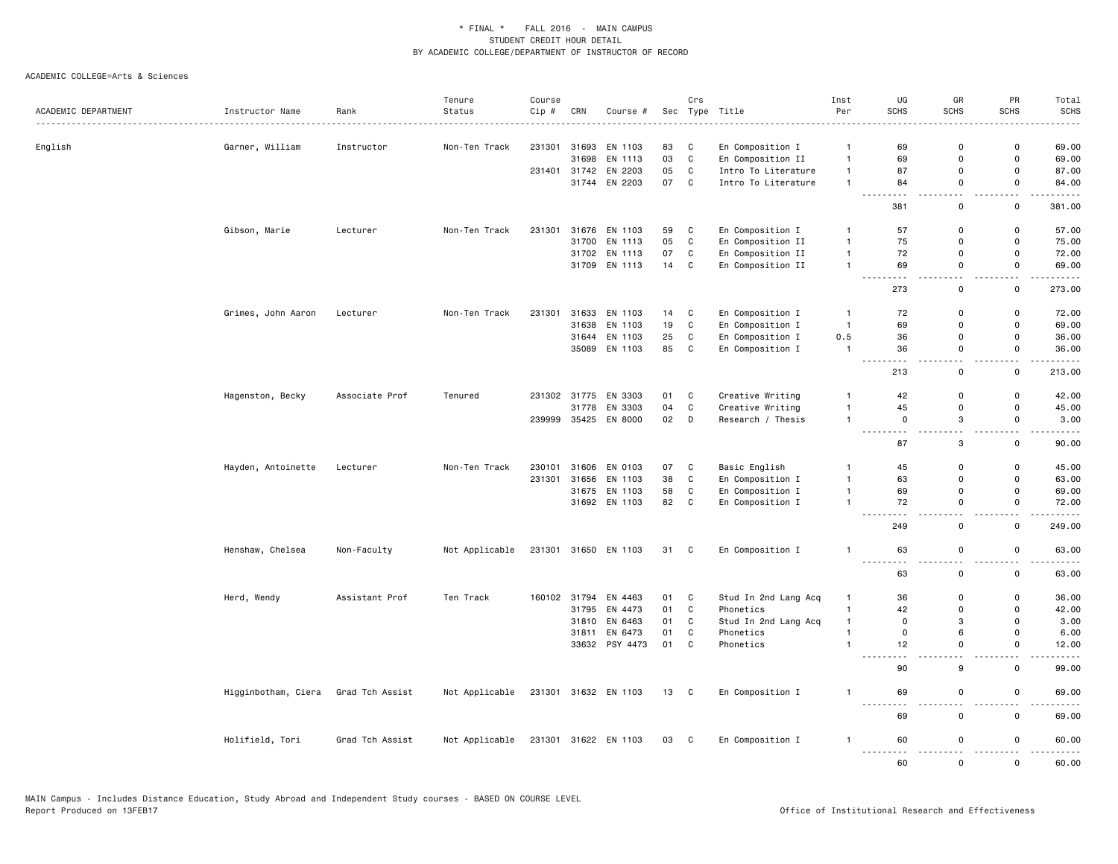|                     |                     |                 | Tenure         | Course |              |                      |      | Crs          |                      | Inst           | UG                                   | GR                            | PR                                      | Total                  |
|---------------------|---------------------|-----------------|----------------|--------|--------------|----------------------|------|--------------|----------------------|----------------|--------------------------------------|-------------------------------|-----------------------------------------|------------------------|
| ACADEMIC DEPARTMENT | Instructor Name     | Rank            | Status         | Cip #  | CRN          | Course #             |      |              | Sec Type Title       | Per            | <b>SCHS</b>                          | <b>SCHS</b>                   | <b>SCHS</b>                             | <b>SCHS</b>            |
|                     |                     |                 |                |        |              |                      |      |              |                      |                |                                      |                               |                                         |                        |
| English             | Garner, William     | Instructor      | Non-Ten Track  | 231301 | 31693        | EN 1103              | 83   | C            | En Composition I     | $\overline{1}$ | 69                                   | $\mathbf 0$                   | 0                                       | 69.00                  |
|                     |                     |                 |                |        | 31698        | EN 1113              | 03   | $\mathtt{C}$ | En Composition II    | $\overline{1}$ | 69                                   | $\mathbf 0$                   | $\mathsf{o}$                            | 69.00                  |
|                     |                     |                 |                |        | 231401 31742 | EN 2203              | 05   | $\mathtt{C}$ | Intro To Literature  | $\mathbf{1}$   | 87                                   | $\Omega$                      | 0                                       | 87.00                  |
|                     |                     |                 |                |        | 31744        | EN 2203              | 07   | $\mathbf{C}$ | Intro To Literature  | $\mathbf{1}$   | 84<br>$\sim$ $\sim$<br>- -           | $\mathsf 0$<br>22             | $\mathsf 0$<br>Ц.                       | 84.00                  |
|                     |                     |                 |                |        |              |                      |      |              |                      |                | 381                                  | $\mathsf 0$                   | $\mathbf 0$                             | 381.00                 |
|                     | Gibson, Marie       | Lecturer        | Non-Ten Track  | 231301 | 31676        | EN 1103              | 59   | C            | En Composition I     | $\overline{1}$ | 57                                   | $\mathbf 0$                   | 0                                       | 57.00                  |
|                     |                     |                 |                |        | 31700        | EN 1113              | 05   | C            | En Composition II    | $\overline{1}$ | 75                                   | $\Omega$                      | 0                                       | 75.00                  |
|                     |                     |                 |                |        | 31702        | EN 1113              | 07   | $\mathtt{C}$ | En Composition II    | $\mathbf{1}$   | 72                                   | $\mathbf 0$                   | $\mathsf{o}$                            | 72.00                  |
|                     |                     |                 |                |        |              | 31709 EN 1113        | 14   | C            | En Composition II    | $\overline{1}$ | 69                                   | $\mathsf 0$                   | $\mathsf 0$                             | 69.00                  |
|                     |                     |                 |                |        |              |                      |      |              |                      |                | 273                                  | $\mathbf 0$                   | $\mathbf 0$                             | 273.00                 |
|                     | Grimes, John Aaron  | Lecturer        | Non-Ten Track  | 231301 | 31633        | EN 1103              | 14   | C            | En Composition I     | $\overline{1}$ | 72                                   | $\mathbf 0$                   | 0                                       | 72.00                  |
|                     |                     |                 |                |        | 31638        | EN 1103              | 19   | $\mathtt{C}$ | En Composition I     | $\overline{1}$ | 69                                   | $\mathbf 0$                   | $\mathsf 0$                             | 69.00                  |
|                     |                     |                 |                |        |              | 31644 EN 1103        | 25   | C            | En Composition I     | 0.5            | 36                                   | $\mathbf 0$                   | 0                                       | 36.00                  |
|                     |                     |                 |                |        |              | 35089 EN 1103        | 85   | C            | En Composition I     | $\overline{1}$ | 36<br>$\sim$ $\sim$                  | $\mathsf 0$<br>٠.             | $\mathsf 0$<br>i.                       | 36.00<br>.             |
|                     |                     |                 |                |        |              |                      |      |              |                      |                | $\sim$ $\sim$ $\sim$<br>213          | $\mathsf 0$                   | $\mathsf 0$                             | 213.00                 |
|                     | Hagenston, Becky    | Associate Prof  | Tenured        |        |              | 231302 31775 EN 3303 | 01   | C            | Creative Writing     | $\mathbf{1}$   | 42                                   | $\mathbf 0$                   | $\mathsf 0$                             | 42.00                  |
|                     |                     |                 |                |        | 31778        | EN 3303              | 04   | $\mathbf c$  | Creative Writing     | $\mathbf{1}$   | 45                                   | $\mathbf 0$                   | $\mathsf 0$                             | 45.00                  |
|                     |                     |                 |                | 239999 |              | 35425 EN 8000        | 02   | D            | Research / Thesis    | $\overline{1}$ | $\mathsf 0$                          | 3                             | $\mathsf 0$                             | 3.00                   |
|                     |                     |                 |                |        |              |                      |      |              |                      |                | $\frac{1}{2}$<br>.<br>87             | $-$<br>3                      | . .<br>$\mathsf 0$                      | .<br>90.00             |
|                     | Hayden, Antoinette  | Lecturer        | Non-Ten Track  | 230101 |              | 31606 EN 0103        | 07   | C            | Basic English        | $\mathbf{1}$   | 45                                   | $\mathbf 0$                   | $\mathsf 0$                             | 45.00                  |
|                     |                     |                 |                | 231301 | 31656        | EN 1103              | 38   | $\mathtt{C}$ | En Composition I     | $\overline{1}$ | 63                                   | $\mathbf 0$                   | $\mathsf{o}$                            | 63.00                  |
|                     |                     |                 |                |        |              | 31675 EN 1103        | 58   | $\mathbf c$  | En Composition I     | $\overline{1}$ | 69                                   | $\mathbf 0$                   | $\mathsf 0$                             | 69.00                  |
|                     |                     |                 |                |        |              | 31692 EN 1103        | 82   | C            | En Composition I     | $\overline{1}$ | 72                                   | $\Omega$<br>и.                | $\mathbf 0$<br>44                       | 72.00                  |
|                     |                     |                 |                |        |              |                      |      |              |                      |                | 249                                  | $\mathsf 0$                   | $\mathsf 0$                             | 249.00                 |
|                     | Henshaw, Chelsea    | Non-Faculty     | Not Applicable |        |              | 231301 31650 EN 1103 | 31 C |              | En Composition I     | $\overline{1}$ | 63<br>.                              | $\mathbf 0$                   | $\mathsf 0$<br>$\overline{\phantom{a}}$ | 63.00<br>.             |
|                     |                     |                 |                |        |              |                      |      |              |                      |                | -----<br>63                          | $\overline{a}$<br>$\mathsf 0$ | $\mathsf 0$                             | 63.00                  |
|                     | Herd, Wendy         | Assistant Prof  | Ten Track      | 160102 | 31794        | EN 4463              | 01   | C            | Stud In 2nd Lang Acq | $\overline{1}$ | 36                                   | $\mathbf 0$                   | 0                                       | 36.00                  |
|                     |                     |                 |                |        | 31795        | EN 4473              | 01   | C            | Phonetics            | $\mathbf{1}$   | 42                                   | $\mathbf 0$                   | $\mathsf 0$                             | 42.00                  |
|                     |                     |                 |                |        | 31810        | EN 6463              | 01   | C            | Stud In 2nd Lang Acq | $\mathbf{1}$   | $\mathbf 0$                          | 3                             | $\mathsf 0$                             | 3.00                   |
|                     |                     |                 |                |        | 31811        | EN 6473              | 01   | C            | Phonetics            | $\overline{1}$ | $\mathbf 0$                          | 6                             | 0                                       | 6.00                   |
|                     |                     |                 |                |        |              | 33632 PSY 4473       | 01   | $\mathbf{C}$ | Phonetics            | $\overline{1}$ | 12                                   | $\mathbf 0$                   | $\mathsf 0$                             | 12.00                  |
|                     |                     |                 |                |        |              |                      |      |              |                      |                | $\sim$ $\sim$<br>$\sim$ $\sim$<br>90 | $-$<br>9                      | - -<br>$\mathsf 0$                      | -----<br>99.00         |
|                     | Higginbotham, Ciera | Grad Tch Assist | Not Applicable |        |              | 231301 31632 EN 1103 | 13 C |              | En Composition I     | $\mathbf{1}$   | 69                                   | $\mathbf 0$                   | $\mathbf 0$                             | 69.00                  |
|                     |                     |                 |                |        |              |                      |      |              |                      |                | $\frac{1}{2}$<br>.<br>69             | $\sim$<br>$\mathsf 0$         | $\overline{\phantom{0}}$<br>$\mathsf 0$ | $\frac{1}{2}$<br>69.00 |
|                     | Holifield, Tori     | Grad Tch Assist | Not Applicable |        |              | 231301 31622 EN 1103 | 03   | C            | En Composition I     | $\mathbf{1}$   | 60<br><u>.</u>                       | $\mathbf 0$<br>$\sim$ $\sim$  | $\mathsf{o}$<br>$\sim$ $\sim$           | 60.00<br>$\frac{1}{2}$ |
|                     |                     |                 |                |        |              |                      |      |              |                      |                | 60                                   | $\Omega$                      | $\mathbf 0$                             | 60.00                  |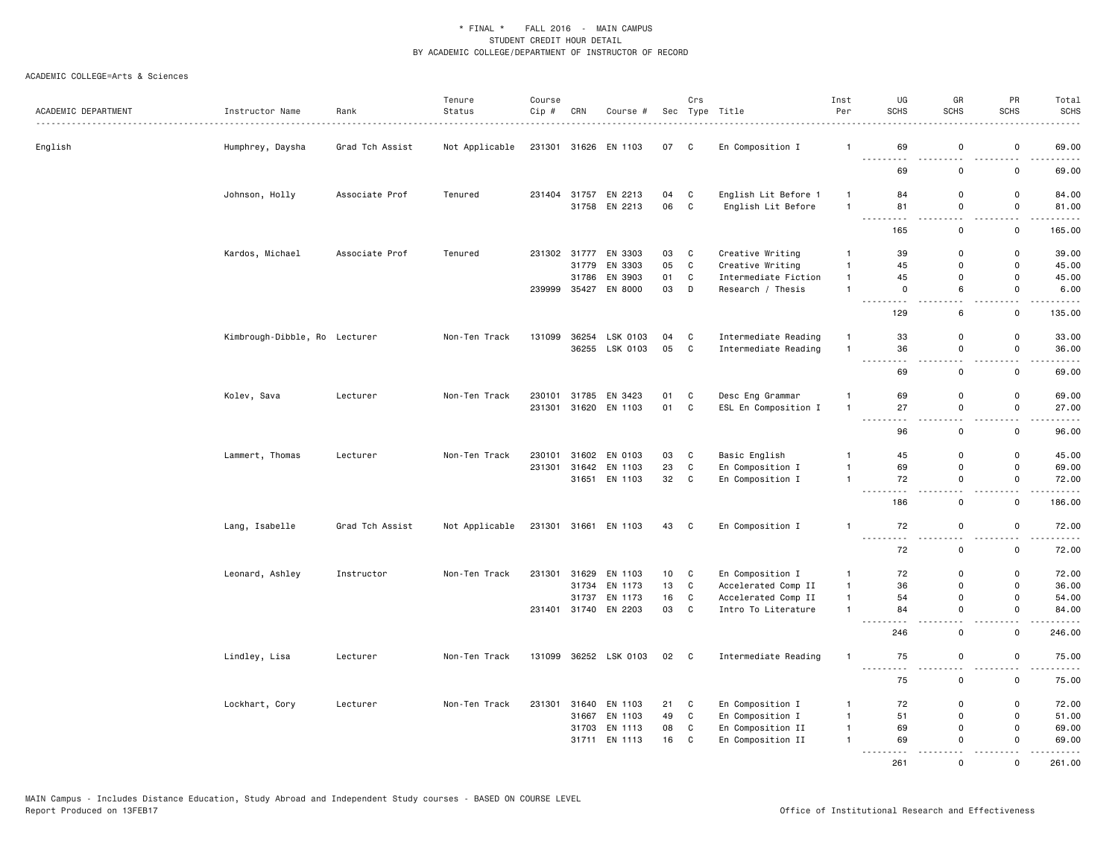| ACADEMIC DEPARTMENT | Instructor Name               | Rank            | Tenure<br>Status | Course<br>Cip # | CRN                   | Course #             |          | Crs               | Sec Type Title                            | Inst<br>Per                    | UG<br><b>SCHS</b>                                                                                                                                          | GR<br><b>SCHS</b> | PR<br><b>SCHS</b>               | Total<br><b>SCHS</b>                                                                                                               |
|---------------------|-------------------------------|-----------------|------------------|-----------------|-----------------------|----------------------|----------|-------------------|-------------------------------------------|--------------------------------|------------------------------------------------------------------------------------------------------------------------------------------------------------|-------------------|---------------------------------|------------------------------------------------------------------------------------------------------------------------------------|
|                     |                               | <u>.</u>        |                  |                 |                       |                      |          |                   |                                           |                                |                                                                                                                                                            |                   |                                 |                                                                                                                                    |
| English             | Humphrey, Daysha              | Grad Tch Assist | Not Applicable   |                 |                       | 231301 31626 EN 1103 | 07       | $\mathbf{C}$      | En Composition I                          | $\mathbf{1}$                   | 69<br>$- - - -$                                                                                                                                            | $\mathsf 0$       | $\mathsf 0$                     | 69.00                                                                                                                              |
|                     |                               |                 |                  |                 |                       |                      |          |                   |                                           |                                | 69                                                                                                                                                         | $\mathsf 0$       | 0                               | 69.00                                                                                                                              |
|                     | Johnson, Holly                | Associate Prof  | Tenured          |                 | 231404 31757          | EN 2213              | 04       | C                 | English Lit Before 1                      | $\overline{1}$                 | 84                                                                                                                                                         | 0                 | $\mathsf 0$                     | 84.00                                                                                                                              |
|                     |                               |                 |                  |                 |                       | 31758 EN 2213        | 06       | $\mathbf{C}$      | English Lit Before                        | $\overline{1}$                 | 81<br>. <b>.</b>                                                                                                                                           | $\mathbf 0$       | $\mathsf 0$<br>$\sim$ $\sim$    | 81.00<br>.                                                                                                                         |
|                     |                               |                 |                  |                 |                       |                      |          |                   |                                           |                                | 165                                                                                                                                                        | $\mathbf 0$       | $\mathsf 0$                     | 165.00                                                                                                                             |
|                     | Kardos, Michael               | Associate Prof  | Tenured          |                 | 231302 31777<br>31779 | EN 3303<br>EN 3303   | 03<br>05 | C<br>$\mathtt{C}$ | Creative Writing                          | $\mathbf{1}$<br>$\mathbf{1}$   | 39<br>45                                                                                                                                                   | 0<br>$\Omega$     | 0<br>$\mathbf 0$                | 39.00<br>45.00                                                                                                                     |
|                     |                               |                 |                  |                 |                       |                      |          |                   | Creative Writing                          |                                |                                                                                                                                                            |                   |                                 |                                                                                                                                    |
|                     |                               |                 |                  | 239999          | 31786<br>35427        | EN 3903<br>EN 8000   | 01<br>03 | C<br>D            | Intermediate Fiction<br>Research / Thesis | $\mathbf{1}$<br>$\overline{1}$ | 45<br>0                                                                                                                                                    | 0<br>6            | 0<br>$\mathsf 0$                | 45.00<br>6.00                                                                                                                      |
|                     |                               |                 |                  |                 |                       |                      |          |                   |                                           |                                | .<br>129                                                                                                                                                   | $\sim$<br>6       | ÷.<br>0                         | ----<br>135.00                                                                                                                     |
|                     | Kimbrough-Dibble, Ro Lecturer |                 | Non-Ten Track    | 131099          |                       | 36254 LSK 0103       | 04       | C                 | Intermediate Reading                      | $\overline{1}$                 | 33                                                                                                                                                         | $\mathsf{o}$      | 0                               | 33.00                                                                                                                              |
|                     |                               |                 |                  |                 |                       | 36255 LSK 0103       | 05 C     |                   | Intermediate Reading                      | $\overline{1}$                 | 36                                                                                                                                                         | $\mathsf 0$       | $\mathsf 0$                     | 36.00                                                                                                                              |
|                     |                               |                 |                  |                 |                       |                      |          |                   |                                           |                                | $\frac{1}{2} \left( \frac{1}{2} \right) \left( \frac{1}{2} \right) \left( \frac{1}{2} \right) \left( \frac{1}{2} \right) \left( \frac{1}{2} \right)$<br>69 | 0                 | $\mathsf{o}\,$                  | $\frac{1}{2} \left( \frac{1}{2} \right) \left( \frac{1}{2} \right) \left( \frac{1}{2} \right) \left( \frac{1}{2} \right)$<br>69.00 |
|                     | Kolev, Sava                   | Lecturer        | Non-Ten Track    | 230101          |                       | 31785 EN 3423        | 01       | C                 | Desc Eng Grammar                          | $\overline{1}$                 | 69                                                                                                                                                         | 0                 | 0                               | 69.00                                                                                                                              |
|                     |                               |                 |                  |                 |                       | 231301 31620 EN 1103 | 01       | C                 | ESL En Composition I                      | $\mathbf{1}$                   | 27<br>$\frac{1}{2} \left( \frac{1}{2} \right) \left( \frac{1}{2} \right) \left( \frac{1}{2} \right) \left( \frac{1}{2} \right) \left( \frac{1}{2} \right)$ | 0                 | 0                               | 27.00<br>.                                                                                                                         |
|                     |                               |                 |                  |                 |                       |                      |          |                   |                                           |                                | 96                                                                                                                                                         | 0                 | 0                               | 96.00                                                                                                                              |
|                     | Lammert, Thomas               | Lecturer        | Non-Ten Track    | 230101          | 31602                 | EN 0103              | 03       | C                 | Basic English                             | $\mathbf{1}$                   | 45                                                                                                                                                         | $\mathbf 0$       | $\mathsf 0$                     | 45.00                                                                                                                              |
|                     |                               |                 |                  |                 |                       | 231301 31642 EN 1103 | 23       | $\mathbf C$       | En Composition I                          | $\mathbf{1}$                   | 69                                                                                                                                                         | 0                 | $\mathsf 0$                     | 69.00                                                                                                                              |
|                     |                               |                 |                  |                 | 31651                 | EN 1103              | 32       | C                 | En Composition I                          | $\mathbf{1}$                   | 72<br>$\sim$ $\sim$ $\sim$                                                                                                                                 | $\mathsf 0$       | $\mathsf 0$                     | 72.00                                                                                                                              |
|                     |                               |                 |                  |                 |                       |                      |          |                   |                                           |                                | 186                                                                                                                                                        | $\mathbf 0$       | 0                               | 186.00                                                                                                                             |
|                     | Lang, Isabelle                | Grad Tch Assist | Not Applicable   |                 |                       | 231301 31661 EN 1103 | 43       | $\mathbf{C}$      | En Composition I                          | $\mathbf{1}$                   | 72<br>. <b>.</b>                                                                                                                                           | $\mathsf 0$       | $\mathsf 0$                     | 72.00                                                                                                                              |
|                     |                               |                 |                  |                 |                       |                      |          |                   |                                           |                                | 72                                                                                                                                                         | 0                 | 0                               | 72.00                                                                                                                              |
|                     | Leonard, Ashley               | Instructor      | Non-Ten Track    |                 | 231301 31629          | EN 1103              | 10       | C                 | En Composition I                          | $\mathbf{1}$                   | 72                                                                                                                                                         | 0                 | $\mathsf 0$                     | 72.00                                                                                                                              |
|                     |                               |                 |                  |                 | 31734                 | EN 1173              | 13       | C                 | Accelerated Comp II                       | $\mathbf{1}$                   | 36                                                                                                                                                         | 0                 | $\mathsf 0$                     | 36.00                                                                                                                              |
|                     |                               |                 |                  |                 | 31737                 | EN 1173              | 16       | C                 | Accelerated Comp II                       | $\mathbf{1}$                   | 54                                                                                                                                                         | $\mathsf{o}$      | 0                               | 54.00                                                                                                                              |
|                     |                               |                 |                  |                 |                       | 231401 31740 EN 2203 | 03       | C                 | Intro To Literature                       | $\mathbf{1}$                   | 84                                                                                                                                                         | $\mathsf 0$       | $\mathsf 0$<br>$\overline{a}$   | 84.00<br>.                                                                                                                         |
|                     |                               |                 |                  |                 |                       |                      |          |                   |                                           |                                | 246                                                                                                                                                        | $\mathsf 0$       | $\mathsf 0$                     | 246.00                                                                                                                             |
|                     | Lindley, Lisa                 | Lecturer        | Non-Ten Track    | 131099          |                       | 36252 LSK 0103       | 02 C     |                   | Intermediate Reading                      | $\overline{1}$                 | 75<br>.                                                                                                                                                    | 0                 | $\mathsf{o}\,$<br>$\sim$ $\sim$ | 75.00<br>.                                                                                                                         |
|                     |                               |                 |                  |                 |                       |                      |          |                   |                                           |                                | 75                                                                                                                                                         | 0                 | 0                               | 75.00                                                                                                                              |
|                     | Lockhart, Cory                | Lecturer        | Non-Ten Track    | 231301          | 31640                 | EN 1103              | 21       | C                 | En Composition I                          | $\mathbf{1}$                   | 72                                                                                                                                                         | 0                 | 0                               | 72.00                                                                                                                              |
|                     |                               |                 |                  |                 | 31667                 | EN 1103              | 49       | $\mathbf{C}$      | En Composition I                          | $\mathbf{1}$                   | 51                                                                                                                                                         | 0                 | $\mathsf 0$                     | 51.00                                                                                                                              |
|                     |                               |                 |                  |                 | 31703                 | EN 1113              | 08       | $\mathtt{C}$      | En Composition II                         | $\mathbf{1}$                   | 69                                                                                                                                                         | $\mathsf{o}$      | $\mathbf 0$                     | 69.00                                                                                                                              |
|                     |                               |                 |                  |                 | 31711                 | EN 1113              | 16       | C                 | En Composition II                         | $\mathbf{1}$                   | 69<br><u>.</u>                                                                                                                                             | 0<br>.            | $\Omega$<br>.                   | 69.00<br>.                                                                                                                         |
|                     |                               |                 |                  |                 |                       |                      |          |                   |                                           |                                | 261                                                                                                                                                        | $\mathsf{o}$      | 0                               | 261.00                                                                                                                             |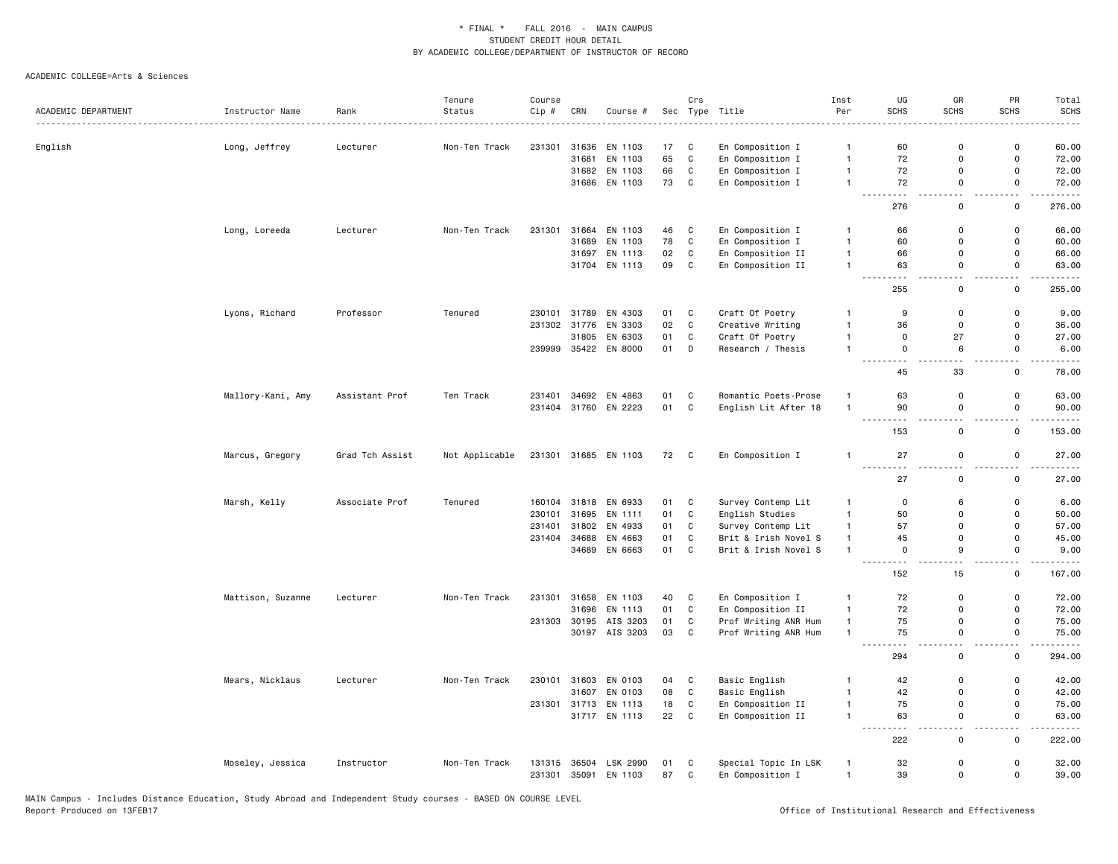| ACADEMIC DEPARTMENT | Instructor Name   | Rank            | Tenure<br>Status | Course<br>Cip # | CRN          | Course #             |      | Crs          | Sec Type Title       | Inst<br>Per    | UG<br><b>SCHS</b>        | GR<br><b>SCHS</b>                  | PR<br><b>SCHS</b>                       | Total<br>SCHS         |
|---------------------|-------------------|-----------------|------------------|-----------------|--------------|----------------------|------|--------------|----------------------|----------------|--------------------------|------------------------------------|-----------------------------------------|-----------------------|
|                     |                   |                 |                  |                 |              |                      |      |              |                      |                |                          |                                    |                                         |                       |
| English             | Long, Jeffrey     | Lecturer        | Non-Ten Track    | 231301          | 31636        | EN 1103              | 17   | C            | En Composition I     | $\mathbf{1}$   | 60                       | $\mathbf 0$                        | $\mathsf{o}$                            | 60.00                 |
|                     |                   |                 |                  |                 | 31681        | EN 1103              | 65   | C            | En Composition I     | $\overline{1}$ | 72                       | $\mathbf 0$                        | $\mathsf 0$                             | 72.00                 |
|                     |                   |                 |                  |                 |              | 31682 EN 1103        | 66   | C            | En Composition I     | $\overline{1}$ | 72                       | $\Omega$                           | $\mathsf 0$                             | 72.00                 |
|                     |                   |                 |                  |                 |              | 31686 EN 1103        | 73   | C            | En Composition I     | $\overline{1}$ | 72<br>-----<br>$  -$     | $\mathbf 0$<br>$\sim$ $\sim$       | 0<br>$\sim$ $\sim$                      | 72.00<br>.            |
|                     |                   |                 |                  |                 |              |                      |      |              |                      |                | 276                      | $\mathsf 0$                        | $\mathbf 0$                             | 276.00                |
|                     | Long, Loreeda     | Lecturer        | Non-Ten Track    | 231301          | 31664        | EN 1103              | 46   | C            | En Composition I     | $\overline{1}$ | 66                       | $\mathbf 0$                        | $\mathsf 0$                             | 66.00                 |
|                     |                   |                 |                  |                 | 31689        | EN 1103              | 78   | $\mathbf c$  | En Composition I     | $\overline{1}$ | 60                       | $\mathbf 0$                        | $\mathsf 0$                             | 60.00                 |
|                     |                   |                 |                  |                 |              | 31697 EN 1113        | 02   | C            | En Composition II    | $\overline{1}$ | 66                       | $\Omega$                           | $\mathbf 0$                             | 66.00                 |
|                     |                   |                 |                  |                 |              | 31704 EN 1113        | 09   | C            | En Composition II    | $\overline{1}$ | 63<br><u>.</u>           | $\mathbf 0$<br>$\sim$              | 0<br>$\sim$ $\sim$                      | 63.00<br>.            |
|                     |                   |                 |                  |                 |              |                      |      |              |                      |                | 255                      | $\mathsf 0$                        | $\mathsf 0$                             | 255.00                |
|                     | Lyons, Richard    | Professor       | Tenured          | 230101          | 31789        | EN 4303              | 01   | C            | Craft Of Poetry      | $\mathbf{1}$   | 9                        | $\mathbf 0$                        | $\mathsf 0$                             | 9.00                  |
|                     |                   |                 |                  | 231302          | 31776        | EN 3303              | 02   | $\mathbf c$  | Creative Writing     | $\mathbf{1}$   | 36                       | $\mathbf 0$                        | $\mathsf 0$                             | 36.00                 |
|                     |                   |                 |                  |                 | 31805        | EN 6303              | 01   | C            | Craft Of Poetry      | $\overline{1}$ | $\mathbf 0$              | 27                                 | 0                                       | 27.00                 |
|                     |                   |                 |                  | 239999          | 35422        | EN 8000              | 01   | D            | Research / Thesis    | $\overline{1}$ | $\mathbf 0$<br>--------- | 6<br>$\sim$                        | 0<br>$\sim$ $\sim$                      | 6.00<br>$\frac{1}{2}$ |
|                     |                   |                 |                  |                 |              |                      |      |              |                      |                | 45                       | 33                                 | $\mathsf 0$                             | 78.00                 |
|                     | Mallory-Kani, Amy | Assistant Prof  | Ten Track        | 231401          | 34692        | EN 4863              | 01   | C            | Romantic Poets-Prose | $\mathbf{1}$   | 63                       | $\mathbf 0$                        | $\mathsf 0$                             | 63.00                 |
|                     |                   |                 |                  |                 |              | 231404 31760 EN 2223 | 01   | $\mathbf{C}$ | English Lit After 18 | $\overline{1}$ | 90                       | $\mathbf 0$                        | $\mathsf{o}$                            | 90.00                 |
|                     |                   |                 |                  |                 |              |                      |      |              |                      |                | . <b>.</b><br>153        | ٠.<br>$\mathbf 0$                  | $\mathsf{o}$                            | 153.00                |
|                     | Marcus, Gregory   | Grad Tch Assist | Not Applicable   |                 |              | 231301 31685 EN 1103 | 72 C |              | En Composition I     | $\overline{1}$ | 27                       | $\mathbf 0$                        | $\mathsf 0$                             | 27.00                 |
|                     |                   |                 |                  |                 |              |                      |      |              |                      |                | $\sim$ $\sim$<br>27      | ٠.<br>$\mathsf 0$                  | $\overline{\phantom{a}}$<br>$\mathsf 0$ | $\cdots$<br>27.00     |
|                     | Marsh, Kelly      | Associate Prof  | Tenured          | 160104          | 31818        | EN 6933              | 01   | C            | Survey Contemp Lit   | $\mathbf{1}$   | $\mathbf 0$              | 6                                  | $\mathsf 0$                             | 6.00                  |
|                     |                   |                 |                  | 230101          | 31695        | EN 1111              | 01   | C            | English Studies      | $\mathbf{1}$   | 50                       | $\Omega$                           | $\mathsf 0$                             | 50.00                 |
|                     |                   |                 |                  | 231401          | 31802        | EN 4933              | 01   | $\mathbf c$  | Survey Contemp Lit   | $\mathbf{1}$   | 57                       | $\Omega$                           | $\mathbf 0$                             | 57.00                 |
|                     |                   |                 |                  | 231404          | 34688        | EN 4663              | 01   | $\mathtt{C}$ | Brit & Irish Novel S | $\mathbf{1}$   | 45                       | $\mathbf 0$                        | $\mathsf 0$                             | 45.00                 |
|                     |                   |                 |                  |                 |              | 34689 EN 6663        | 01   | C            | Brit & Irish Novel S | $\overline{1}$ | $\mathbf 0$              | 9                                  | $\mathsf 0$                             | 9.00                  |
|                     |                   |                 |                  |                 |              |                      |      |              |                      |                | .<br>152                 | $\sim$ $\sim$<br>15                | $\sim$ $\sim$<br>$\mathsf 0$            | $\cdots$<br>167.00    |
|                     | Mattison, Suzanne | Lecturer        | Non-Ten Track    | 231301          | 31658        | EN 1103              | 40   | C            | En Composition I     | $\overline{1}$ | 72                       | $\mathbf 0$                        | 0                                       | 72.00                 |
|                     |                   |                 |                  |                 | 31696        | EN 1113              | 01   | $\mathbf{C}$ | En Composition II    | $\mathbf{1}$   | 72                       | $\mathbf 0$                        | $\mathsf 0$                             | 72.00                 |
|                     |                   |                 |                  |                 | 231303 30195 | AIS 3203             | 01   | C            | Prof Writing ANR Hum | $\mathbf{1}$   | 75                       | $\mathbf 0$                        | $\mathsf{o}$                            | 75.00                 |
|                     |                   |                 |                  |                 |              | 30197 AIS 3203       | 03   | C            | Prof Writing ANR Hum | $\overline{1}$ | 75                       | 0                                  | $\mathsf 0$                             | 75.00                 |
|                     |                   |                 |                  |                 |              |                      |      |              |                      |                | .<br>294                 | $\sim$<br>$\mathsf 0$              | $\sim$ $\sim$<br>$\mathsf 0$            | .<br>294.00           |
|                     | Mears, Nicklaus   | Lecturer        | Non-Ten Track    | 230101          | 31603        | EN 0103              | 04   | C            | Basic English        | $\overline{1}$ | 42                       | $\mathbf 0$                        | $\mathsf 0$                             | 42.00                 |
|                     |                   |                 |                  |                 | 31607        | EN 0103              | 08   | C            | Basic English        | $\overline{1}$ | 42                       | $\Omega$                           | 0                                       | 42.00                 |
|                     |                   |                 |                  |                 | 231301 31713 | EN 1113              | 18   | C            | En Composition II    | $\overline{1}$ | 75                       | $\mathbf 0$                        | $\mathsf 0$                             | 75.00                 |
|                     |                   |                 |                  |                 |              | 31717 EN 1113        | 22   | $\mathtt{C}$ | En Composition II    | $\overline{1}$ | 63<br>.                  | $\mathsf 0$<br>$\omega_{\rm{eff}}$ | $\mathsf 0$<br>$\omega_{\rm{eff}}$      | 63.00<br>$    -$      |
|                     |                   |                 |                  |                 |              |                      |      |              |                      |                | 222                      | $\mathsf 0$                        | $\mathsf 0$                             | 222.00                |
|                     | Moseley, Jessica  | Instructor      | Non-Ten Track    | 131315          |              | 36504 LSK 2990       | 01   | C            | Special Topic In LSK | $\overline{1}$ | 32                       | $\mathbf 0$                        | 0                                       | 32.00                 |
|                     |                   |                 |                  | 231301          |              | 35091 EN 1103        | 87   | C            | En Composition I     | $\overline{1}$ | 39                       | $\mathbf 0$                        | 0                                       | 39.00                 |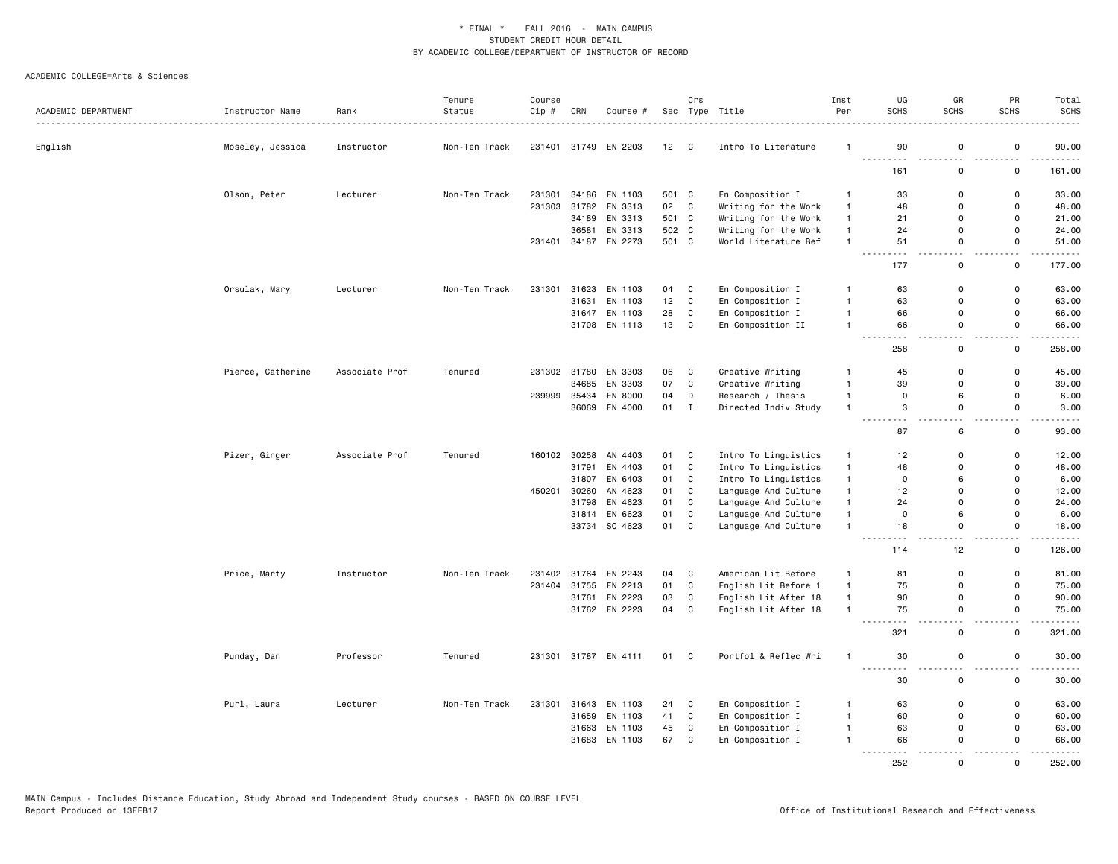|                     |                   |                | Tenure        | Course |              |                      |       | Crs          |                      | Inst         | UG                | GR                 | PR                 | Total                                                                                                                                                         |
|---------------------|-------------------|----------------|---------------|--------|--------------|----------------------|-------|--------------|----------------------|--------------|-------------------|--------------------|--------------------|---------------------------------------------------------------------------------------------------------------------------------------------------------------|
| ACADEMIC DEPARTMENT | Instructor Name   | Rank           | Status        | Cip #  | CRN          | Course #             |       |              | Sec Type Title       | Per          | <b>SCHS</b>       | <b>SCHS</b>        | <b>SCHS</b>        | <b>SCHS</b>                                                                                                                                                   |
| English             | Moseley, Jessica  | Instructor     | Non-Ten Track |        |              | 231401 31749 EN 2203 | 12 C  |              | Intro To Literature  | -1           | 90                | 0                  | 0                  | 90.00                                                                                                                                                         |
|                     |                   |                |               |        |              |                      |       |              |                      |              | 161               | $\mathsf 0$        | 0                  | 161.00                                                                                                                                                        |
|                     | Olson, Peter      | Lecturer       | Non-Ten Track | 231301 | 34186        | EN 1103              | 501 C |              | En Composition I     | $\mathbf{1}$ | 33                | 0                  | 0                  | 33.00                                                                                                                                                         |
|                     |                   |                |               | 231303 |              | 31782 EN 3313        | 02 C  |              | Writing for the Work | $\mathbf{1}$ | 48                | $\mathbf 0$        | 0                  | 48.00                                                                                                                                                         |
|                     |                   |                |               |        | 34189        | EN 3313              | 501 C |              | Writing for the Work | $\mathbf{1}$ | 21                | $\mathsf 0$        | $\mathsf{o}\,$     | 21.00                                                                                                                                                         |
|                     |                   |                |               |        | 36581        | EN 3313              | 502 C |              | Writing for the Work | $\mathbf{1}$ | 24                | $\Omega$           | $\mathsf{o}$       | 24.00                                                                                                                                                         |
|                     |                   |                |               |        |              | 231401 34187 EN 2273 | 501 C |              | World Literature Bef | $\mathbf{1}$ | 51                | $\mathbf 0$        | $\mathsf{o}$       | 51.00                                                                                                                                                         |
|                     |                   |                |               |        |              |                      |       |              |                      |              | . <b>.</b><br>177 | $\sim$ $\sim$<br>0 | - - -<br>0         | .<br>177.00                                                                                                                                                   |
|                     | Orsulak, Mary     | Lecturer       | Non-Ten Track | 231301 | 31623        | EN 1103              | 04    | C            | En Composition I     | $\mathbf{1}$ | 63                | $\mathsf 0$        | 0                  | 63.00                                                                                                                                                         |
|                     |                   |                |               |        | 31631        | EN 1103              | 12    | $\mathbf C$  | En Composition I     | $\mathbf{1}$ | 63                | $\mathsf 0$        | $\mathsf 0$        | 63.00                                                                                                                                                         |
|                     |                   |                |               |        |              | 31647 EN 1103        | 28    | $\mathsf{C}$ | En Composition I     | $\mathbf{1}$ | 66                | $\mathbf 0$        | $\mathsf{o}$       | 66.00                                                                                                                                                         |
|                     |                   |                |               |        | 31708        | EN 1113              | 13    | C            | En Composition II    | $\mathbf{1}$ | 66                | 0<br>$ -$          | 0<br>$\sim$ $\sim$ | 66.00<br>$    -$                                                                                                                                              |
|                     |                   |                |               |        |              |                      |       |              |                      |              | 258               | $\mathsf 0$        | $\mathsf 0$        | 258.00                                                                                                                                                        |
|                     | Pierce, Catherine | Associate Prof | Tenured       |        | 231302 31780 | EN 3303              | 06    | C            | Creative Writing     | -1           | 45                | 0                  | 0                  | 45.00                                                                                                                                                         |
|                     |                   |                |               |        | 34685        | EN 3303              | 07    | $\mathtt{C}$ | Creative Writing     | $\mathbf{1}$ | 39                | $\mathsf 0$        | $\mathsf 0$        | 39.00                                                                                                                                                         |
|                     |                   |                |               | 239999 | 35434        | EN 8000              | 04    | D            | Research / Thesis    | $\mathbf{1}$ | $\mathbf 0$       | 6                  | $\mathsf 0$        | 6.00                                                                                                                                                          |
|                     |                   |                |               |        |              | 36069 EN 4000        | 01 I  |              | Directed Indiv Study | $\mathbf{1}$ | 3                 | 0                  | 0                  | 3.00                                                                                                                                                          |
|                     |                   |                |               |        |              |                      |       |              |                      |              | $- - -$<br>87     | 6                  | $\mathsf 0$        | $\frac{1}{2} \left( \frac{1}{2} \right) \left( \frac{1}{2} \right) \left( \frac{1}{2} \right) \left( \frac{1}{2} \right) \left( \frac{1}{2} \right)$<br>93.00 |
|                     | Pizer, Ginger     | Associate Prof | Tenured       | 160102 | 30258        | AN 4403              | 01    | C            | Intro To Linguistics | $\mathbf{1}$ | 12                | 0                  | 0                  | 12.00                                                                                                                                                         |
|                     |                   |                |               |        | 31791        | EN 4403              | 01    | $\mathbb{C}$ | Intro To Linguistics | $\mathbf{1}$ | 48                | $\mathbf 0$        | $\mathsf 0$        | 48.00                                                                                                                                                         |
|                     |                   |                |               |        | 31807        | EN 6403              | 01    | C            | Intro To Linguistics | $\mathbf{1}$ | $\mathsf 0$       | 6                  | $\mathsf 0$        | 6.00                                                                                                                                                          |
|                     |                   |                |               | 450201 | 30260        | AN 4623              | 01    | C            | Language And Culture | $\mathbf{1}$ | 12                | 0                  | 0                  | 12.00                                                                                                                                                         |
|                     |                   |                |               |        | 31798        | EN 4623              | 01    | $\mathbf C$  | Language And Culture | $\mathbf{1}$ | 24                | $\mathbf 0$        | $\mathsf{o}$       | 24.00                                                                                                                                                         |
|                     |                   |                |               |        | 31814        | EN 6623              | 01    | $\mathbb{C}$ | Language And Culture | $\mathbf{1}$ | $\mathsf 0$       | 6                  | $\mathsf 0$        | 6.00                                                                                                                                                          |
|                     |                   |                |               |        |              | 33734 SO 4623        | 01    | C            | Language And Culture | $\mathbf{1}$ | 18                | $\mathbf 0$        | 0                  | 18.00                                                                                                                                                         |
|                     |                   |                |               |        |              |                      |       |              |                      |              | 114               | 12                 | $\mathsf 0$        | .<br>126.00                                                                                                                                                   |
|                     | Price, Marty      | Instructor     | Non-Ten Track |        | 231402 31764 | EN 2243              | 04    | C            | American Lit Before  | $\mathbf{1}$ | 81                | 0                  | 0                  | 81.00                                                                                                                                                         |
|                     |                   |                |               | 231404 | 31755        | EN 2213              | 01    | $\mathtt{C}$ | English Lit Before 1 | $\mathbf{1}$ | 75                | $\mathsf 0$        | $\mathsf 0$        | 75.00                                                                                                                                                         |
|                     |                   |                |               |        |              | 31761 EN 2223        | 03    | $\mathbb{C}$ | English Lit After 18 | $\mathbf{1}$ | 90                | $\mathbf 0$        | $\mathsf{o}$       | 90.00                                                                                                                                                         |
|                     |                   |                |               |        |              | 31762 EN 2223        | 04    | C            | English Lit After 18 | $\mathbf{1}$ | 75                | $\mathsf 0$        | 0                  | 75.00                                                                                                                                                         |
|                     |                   |                |               |        |              |                      |       |              |                      |              | 321               | $\mathbf 0$        | $\mathsf 0$        | $\sim$ $\sim$ $\sim$ $\sim$<br>321.00                                                                                                                         |
|                     | Punday, Dan       | Professor      | Tenured       | 231301 |              | 31787 EN 4111        | 01    | $\mathbf{C}$ | Portfol & Reflec Wri | $\mathbf{1}$ | 30                | 0                  | 0                  | 30.00                                                                                                                                                         |
|                     |                   |                |               |        |              |                      |       |              |                      |              | 30                | 0                  | $ -$<br>0          | .<br>30.00                                                                                                                                                    |
|                     | Purl, Laura       | Lecturer       | Non-Ten Track | 231301 | 31643        | EN 1103              | 24    | C            | En Composition I     | $\mathbf{1}$ | 63                | 0                  | 0                  | 63.00                                                                                                                                                         |
|                     |                   |                |               |        | 31659        | EN 1103              | 41    | $\mathtt{C}$ | En Composition I     | $\mathbf{1}$ | 60                | $\mathsf 0$        | $\mathsf 0$        | 60.00                                                                                                                                                         |
|                     |                   |                |               |        | 31663        | EN 1103              | 45    | $\mathbf C$  | En Composition I     | $\mathbf{1}$ | 63                | $\mathsf 0$        | 0                  | 63.00                                                                                                                                                         |
|                     |                   |                |               |        | 31683        | EN 1103              | 67    | C            | En Composition I     |              | 66<br>.           | $\mathbf 0$        | 0                  | 66.00                                                                                                                                                         |
|                     |                   |                |               |        |              |                      |       |              |                      |              | 252               | $\Omega$           | $\Omega$           | 252.00                                                                                                                                                        |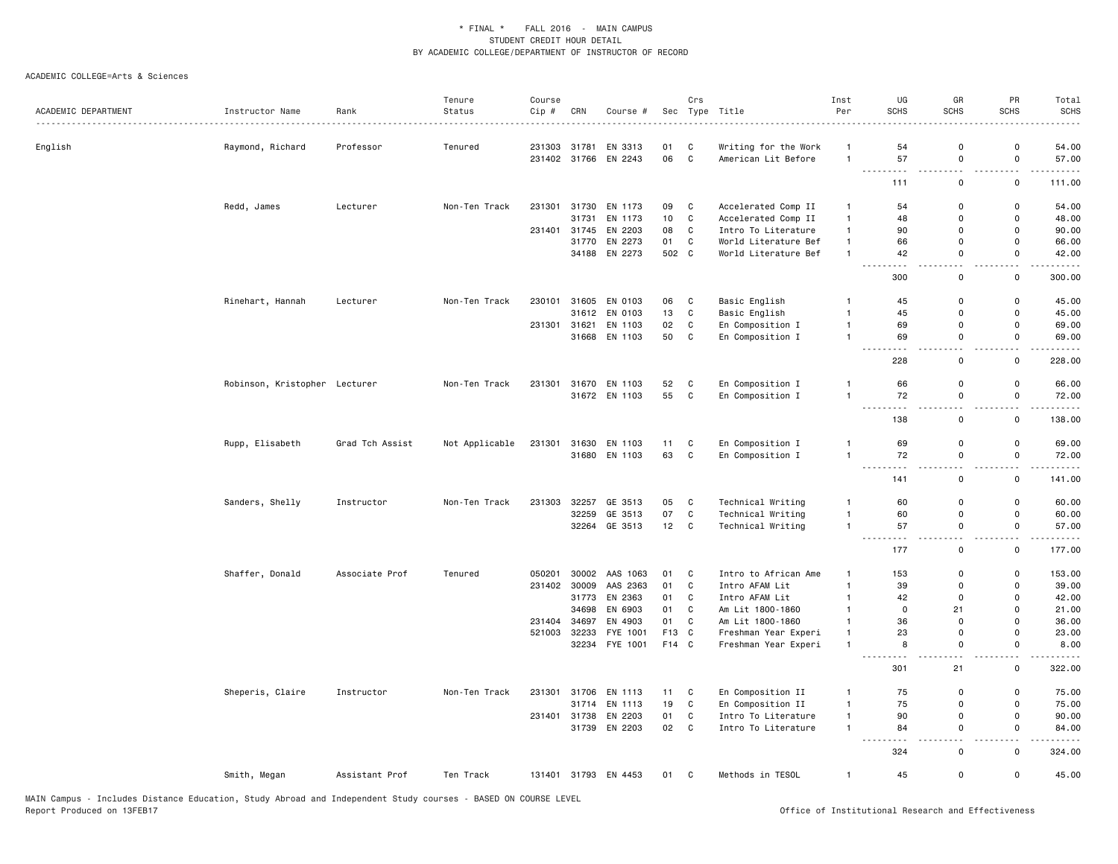|                     |                               |                 | Tenure         | Course |              |                                 |          | Crs               |                                             | Inst                             | UG                               | GR                                      | PR                                      | Total                  |
|---------------------|-------------------------------|-----------------|----------------|--------|--------------|---------------------------------|----------|-------------------|---------------------------------------------|----------------------------------|----------------------------------|-----------------------------------------|-----------------------------------------|------------------------|
| ACADEMIC DEPARTMENT | Instructor Name               | Rank            | Status         | Cip #  | CRN          | Course #                        |          |                   | Sec Type Title                              | Per                              | <b>SCHS</b>                      | <b>SCHS</b>                             | <b>SCHS</b>                             | <b>SCHS</b>            |
|                     |                               |                 |                |        |              |                                 |          |                   |                                             |                                  |                                  |                                         |                                         |                        |
| English             | Raymond, Richard              | Professor       | Tenured        |        | 231303 31781 | EN 3313<br>231402 31766 EN 2243 | 01<br>06 | C<br>$\mathbf{C}$ | Writing for the Work<br>American Lit Before | $\overline{1}$<br>$\overline{1}$ | 54<br>57                         | $\mathbf 0$<br>$\mathsf 0$              | 0<br>$\mathsf 0$                        | 54.00<br>57.00         |
|                     |                               |                 |                |        |              |                                 |          |                   |                                             |                                  |                                  |                                         | ٠.                                      |                        |
|                     |                               |                 |                |        |              |                                 |          |                   |                                             |                                  | 111                              | $\mathsf 0$                             | $\mathsf 0$                             | 111.00                 |
|                     | Redd, James                   | Lecturer        | Non-Ten Track  |        | 231301 31730 | EN 1173                         | 09       | C                 | Accelerated Comp II                         | $\overline{1}$                   | 54                               | $\mathbf 0$                             | 0                                       | 54.00                  |
|                     |                               |                 |                |        | 31731        | EN 1173                         | 10       | $\mathbf c$       | Accelerated Comp II                         | $\mathbf{1}$                     | 48                               | $\mathbf 0$                             | 0                                       | 48.00                  |
|                     |                               |                 |                |        | 231401 31745 | EN 2203                         | 08       | C                 | Intro To Literature                         | $\mathbf{1}$                     | 90                               | $\Omega$                                | $\mathbf 0$                             | 90.00                  |
|                     |                               |                 |                |        | 31770        | EN 2273                         | 01       | C                 | World Literature Bef                        | $\overline{1}$                   | 66                               | $\Omega$                                | $\mathbf 0$                             | 66.00                  |
|                     |                               |                 |                |        |              | 34188 EN 2273                   | 502 C    |                   | World Literature Bef                        | $\overline{1}$                   | 42<br>- - -<br>$ -$              | $\mathbf 0$<br>$\overline{\phantom{a}}$ | 0<br>$\overline{\phantom{0}}$           | 42.00<br>.             |
|                     |                               |                 |                |        |              |                                 |          |                   |                                             |                                  | 300                              | $\mathsf 0$                             | $\mathbf 0$                             | 300.00                 |
|                     | Rinehart, Hannah              | Lecturer        | Non-Ten Track  | 230101 | 31605        | EN 0103                         | 06       | C                 | Basic English                               | 1                                | 45                               | $\mathbf 0$                             | 0                                       | 45.00                  |
|                     |                               |                 |                |        | 31612        | EN 0103                         | 13       | C                 | Basic English                               | $\overline{1}$                   | 45                               | $\mathbf 0$                             | $\mathsf 0$                             | 45.00                  |
|                     |                               |                 |                | 231301 | 31621        | EN 1103                         | 02       | C                 | En Composition I                            | $\overline{1}$                   | 69                               | $\mathbf 0$                             | 0                                       | 69.00                  |
|                     |                               |                 |                |        |              | 31668 EN 1103                   | 50       | C                 | En Composition I                            | $\overline{1}$                   | 69                               | $\mathbf 0$                             | $\mathsf 0$                             | 69.00                  |
|                     |                               |                 |                |        |              |                                 |          |                   |                                             |                                  | $\sim$ $\sim$ $\sim$<br>.<br>228 | $\sim$<br>$\mathbf 0$                   | $\overline{\phantom{0}}$<br>0           | والمستمرين<br>228.00   |
|                     |                               |                 |                |        |              |                                 |          |                   |                                             |                                  |                                  |                                         |                                         |                        |
|                     | Robinson, Kristopher Lecturer |                 | Non-Ten Track  | 231301 |              | 31670 EN 1103                   | 52       | C                 | En Composition I                            | $\mathbf{1}$<br>$\overline{1}$   | 66                               | $\mathbf 0$                             | $\mathsf 0$                             | 66.00                  |
|                     |                               |                 |                |        |              | 31672 EN 1103                   | 55       | $\mathbf{C}$      | En Composition I                            |                                  | 72<br>$\frac{1}{2}$<br>.         | 0<br>$\sim$                             | $\mathsf 0$<br>$\overline{\phantom{a}}$ | 72.00<br>$    -$       |
|                     |                               |                 |                |        |              |                                 |          |                   |                                             |                                  | 138                              | $\mathsf{o}$                            | $\mathsf 0$                             | 138.00                 |
|                     | Rupp, Elisabeth               | Grad Tch Assist | Not Applicable | 231301 |              | 31630 EN 1103                   | 11       | C                 | En Composition I                            | $\overline{1}$                   | 69                               | $\mathbf 0$                             | $\mathsf 0$                             | 69.00                  |
|                     |                               |                 |                |        |              | 31680 EN 1103                   | 63       | C                 | En Composition I                            | $\overline{1}$                   | 72                               | 0                                       | 0                                       | 72.00                  |
|                     |                               |                 |                |        |              |                                 |          |                   |                                             |                                  | $\sim$ $\sim$<br>$ -$<br>141     | $\overline{\phantom{a}}$<br>0           | . .<br>0                                | 141.00                 |
|                     |                               |                 |                |        |              |                                 |          |                   |                                             |                                  |                                  |                                         |                                         |                        |
|                     | Sanders, Shelly               | Instructor      | Non-Ten Track  | 231303 | 32257        | GE 3513                         | 05       | C                 | Technical Writing                           | $\mathbf{1}$                     | 60                               | $\mathbf 0$                             | 0                                       | 60.00                  |
|                     |                               |                 |                |        | 32259        | GE 3513                         | 07       | C                 | Technical Writing                           | $\overline{1}$                   | 60                               | $\mathbf 0$                             | $\mathsf 0$                             | 60.00                  |
|                     |                               |                 |                |        |              | 32264 GE 3513                   | 12       | C                 | Technical Writing                           | $\overline{1}$                   | 57<br>. <b>.</b>                 | $\mathsf 0$<br>$\sim$ $\sim$            | $\mathsf 0$<br>$\sim$ $\sim$            | 57.00<br>.             |
|                     |                               |                 |                |        |              |                                 |          |                   |                                             |                                  | 177                              | 0                                       | 0                                       | 177.00                 |
|                     | Shaffer, Donald               | Associate Prof  | Tenured        | 050201 |              | 30002 AAS 1063                  | 01       | C                 | Intro to African Ame                        | $\overline{1}$                   | 153                              | $\mathbf 0$                             | $\mathsf 0$                             | 153.00                 |
|                     |                               |                 |                | 231402 | 30009        | AAS 2363                        | 01       | C                 | Intro AFAM Lit                              | $\overline{1}$                   | 39                               | $\Omega$                                | 0                                       | 39.00                  |
|                     |                               |                 |                |        |              | 31773 EN 2363                   | 01       | C                 | Intro AFAM Lit                              | $\overline{1}$                   | 42                               | $\mathbf 0$                             | 0                                       | 42.00                  |
|                     |                               |                 |                |        | 34698        | EN 6903                         | 01       | C                 | Am Lit 1800-1860                            | $\overline{1}$                   | $\mathbf 0$                      | 21                                      | $\mathbf 0$                             | 21.00                  |
|                     |                               |                 |                | 231404 | 34697        | EN 4903                         | 01       | C                 | Am Lit 1800-1860                            | $\overline{1}$                   | 36                               | $\mathbf 0$                             | 0                                       | 36.00                  |
|                     |                               |                 |                | 521003 | 32233        | FYE 1001                        | F13      | $\mathbf{C}$      | Freshman Year Experi                        | $\overline{1}$                   | 23                               | $\mathbf 0$                             | $\mathbf 0$                             | 23.00                  |
|                     |                               |                 |                |        |              | 32234 FYE 1001                  | F14 C    |                   | Freshman Year Experi                        | $\mathbf{1}$                     | 8<br>$\sim$ $\sim$               | $\mathsf{o}$<br>$\sim$                  | $\mathsf 0$<br>$\overline{\phantom{a}}$ | 8.00<br>.              |
|                     |                               |                 |                |        |              |                                 |          |                   |                                             |                                  | 301                              | 21                                      | 0                                       | 322.00                 |
|                     | Sheperis, Claire              | Instructor      | Non-Ten Track  |        | 231301 31706 | EN 1113                         | 11       | C                 | En Composition II                           | $\mathbf{1}$                     | 75                               | $\mathbf 0$                             | 0                                       | 75.00                  |
|                     |                               |                 |                |        | 31714        | EN 1113                         | 19       | $\mathtt{C}$      | En Composition II                           | $\overline{1}$                   | 75                               | $\mathbf 0$                             | $\mathsf 0$                             | 75.00                  |
|                     |                               |                 |                |        | 231401 31738 | EN 2203                         | 01       | $\mathbf{C}$      | Intro To Literature                         | $\mathbf{1}$                     | 90                               | $\mathbf 0$                             | $\mathsf 0$                             | 90.00                  |
|                     |                               |                 |                |        | 31739        | EN 2203                         | 02       | $\mathbf{C}$      | Intro To Literature                         | $\overline{1}$                   | 84<br>$\sim$ $\sim$ $\sim$<br>.  | $\mathsf 0$<br>. .                      | $\mathsf 0$<br>. .                      | 84.00<br>$\frac{1}{2}$ |
|                     |                               |                 |                |        |              |                                 |          |                   |                                             |                                  | 324                              | $\mathsf 0$                             | $\mathsf 0$                             | 324.00                 |
|                     | Smith, Megan                  | Assistant Prof  | Ten Track      |        |              | 131401 31793 EN 4453            | 01 C     |                   | Methods in TESOL                            | $\mathbf{1}$                     | 45                               | $\mathbf 0$                             | $\mathsf 0$                             | 45.00                  |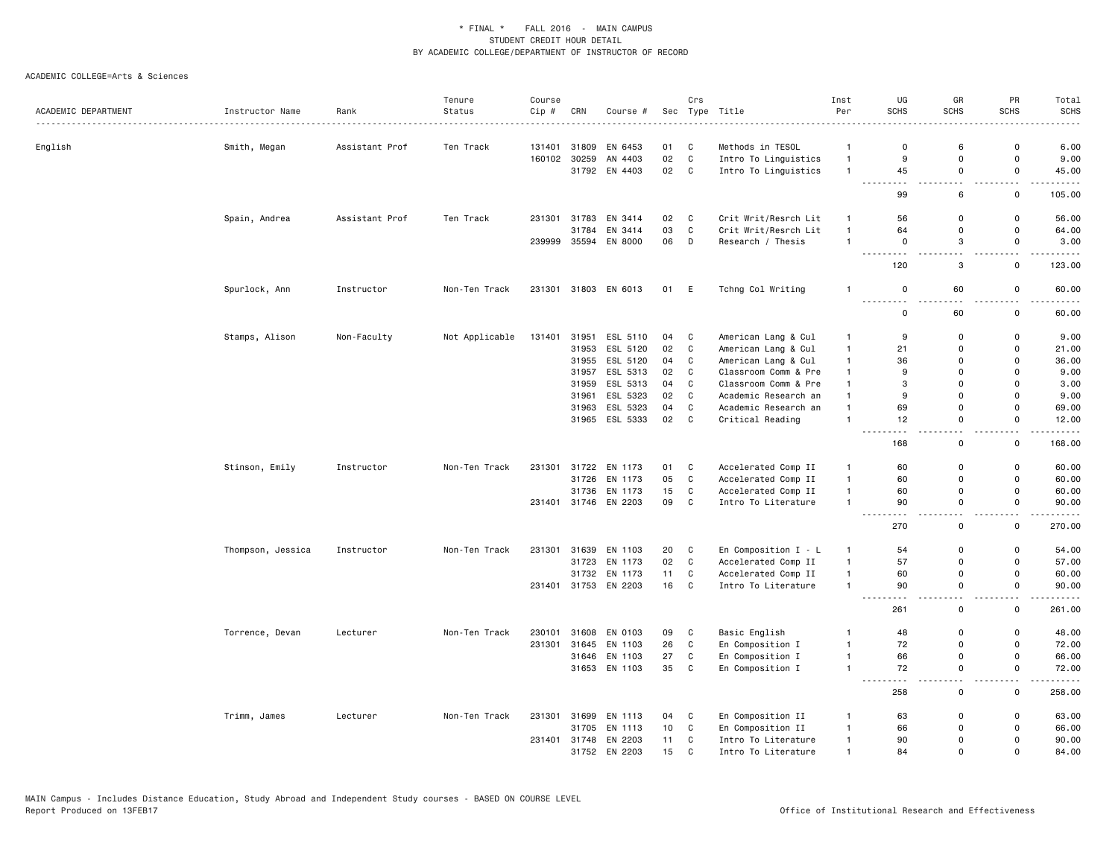|                     |                   |                | Tenure         | Course |       |                      |    | Crs         |                      | Inst         | UG                         | GR          | PR             | Total                                                                                                                                                         |
|---------------------|-------------------|----------------|----------------|--------|-------|----------------------|----|-------------|----------------------|--------------|----------------------------|-------------|----------------|---------------------------------------------------------------------------------------------------------------------------------------------------------------|
| ACADEMIC DEPARTMENT | Instructor Name   | Rank           | Status         | Cip #  | CRN   | Course #             |    |             | Sec Type Title       | Per          | SCHS                       | SCHS        | SCHS           | <b>SCHS</b>                                                                                                                                                   |
| English             | Smith, Megan      | Assistant Prof | Ten Track      | 131401 | 31809 | EN 6453              | 01 | C           | Methods in TESOL     | $\mathbf{1}$ | $\mathbf 0$                | 6           | 0              | 6.00                                                                                                                                                          |
|                     |                   |                |                | 160102 | 30259 | AN 4403              | 02 | C           | Intro To Linguistics | $\mathbf{1}$ | 9                          | $\mathsf 0$ | $\mathsf 0$    | 9.00                                                                                                                                                          |
|                     |                   |                |                |        |       | 31792 EN 4403        | 02 | C           | Intro To Linguistics | $\mathbf{1}$ | 45                         | 0           | $\mathsf{o}\,$ | 45.00                                                                                                                                                         |
|                     |                   |                |                |        |       |                      |    |             |                      |              | 99                         | 6           | 0              | $    -$<br>105.00                                                                                                                                             |
|                     | Spain, Andrea     | Assistant Prof | Ten Track      | 231301 | 31783 | EN 3414              | 02 | C           | Crit Writ/Resrch Lit | $\mathbf{1}$ | 56                         | 0           | 0              | 56.00                                                                                                                                                         |
|                     |                   |                |                |        | 31784 | EN 3414              | 03 | $\mathbf C$ | Crit Writ/Resrch Lit | $\mathbf{1}$ | 64                         | 0           | 0              | 64.00                                                                                                                                                         |
|                     |                   |                |                | 239999 | 35594 | EN 8000              | 06 | D           | Research / Thesis    | $\mathbf{1}$ | $\mathbf 0$                | 3           | 0              | 3.00                                                                                                                                                          |
|                     |                   |                |                |        |       |                      |    |             |                      |              | 120                        | 3           | 0              | 123.00                                                                                                                                                        |
|                     | Spurlock, Ann     | Instructor     | Non-Ten Track  | 231301 |       | 31803 EN 6013        | 01 | E           | Tchng Col Writing    | $\mathbf{1}$ | $\mathsf 0$<br>. <b>.</b>  | 60          | 0              | 60.00<br>وعاديات                                                                                                                                              |
|                     |                   |                |                |        |       |                      |    |             |                      |              | $\mathbf 0$                | 60          | 0              | 60.00                                                                                                                                                         |
|                     | Stamps, Alison    | Non-Faculty    | Not Applicable | 131401 | 31951 | ESL 5110             | 04 | C           | American Lang & Cul  | $\mathbf{1}$ | 9                          | 0           | 0              | 9.00                                                                                                                                                          |
|                     |                   |                |                |        | 31953 | ESL 5120             | 02 | C           | American Lang & Cul  | $\mathbf{1}$ | 21                         | $\Omega$    | 0              | 21.00                                                                                                                                                         |
|                     |                   |                |                |        | 31955 | ESL 5120             | 04 | C           | American Lang & Cul  | $\mathbf{1}$ | 36                         | 0           | 0              | 36.00                                                                                                                                                         |
|                     |                   |                |                |        | 31957 | ESL 5313             | 02 | C           | Classroom Comm & Pre | $\mathbf{1}$ | 9                          | 0           | 0              | 9.00                                                                                                                                                          |
|                     |                   |                |                |        | 31959 | ESL 5313             | 04 | C           | Classroom Comm & Pre | $\mathbf{1}$ | 3                          | 0           | 0              | 3.00                                                                                                                                                          |
|                     |                   |                |                |        | 31961 | ESL 5323             | 02 | C           | Academic Research an | $\mathbf{1}$ | 9                          | 0           | 0              | 9.00                                                                                                                                                          |
|                     |                   |                |                |        | 31963 | ESL 5323             | 04 | $\mathbf C$ | Academic Research an | $\mathbf{1}$ | 69                         | $\mathbf 0$ | $\mathsf 0$    | 69.00                                                                                                                                                         |
|                     |                   |                |                |        |       | 31965 ESL 5333       | 02 | C           | Critical Reading     | $\mathbf{1}$ | 12                         | 0           | 0              | 12.00<br>.                                                                                                                                                    |
|                     |                   |                |                |        |       |                      |    |             |                      |              | 168                        | 0           | 0              | 168.00                                                                                                                                                        |
|                     | Stinson, Emily    | Instructor     | Non-Ten Track  | 231301 | 31722 | EN 1173              | 01 | C           | Accelerated Comp II  | $\mathbf{1}$ | 60                         | 0           | 0              | 60.00                                                                                                                                                         |
|                     |                   |                |                |        | 31726 | EN 1173              | 05 | C           | Accelerated Comp II  | $\mathbf{1}$ | 60                         | $\Omega$    | 0              | 60.00                                                                                                                                                         |
|                     |                   |                |                |        | 31736 | EN 1173              | 15 | C           | Accelerated Comp II  | $\mathbf{1}$ | 60                         | 0           | 0              | 60.00                                                                                                                                                         |
|                     |                   |                |                | 231401 |       | 31746 EN 2203        | 09 | C           | Intro To Literature  | $\mathbf{1}$ | 90<br>$\sim$ $\sim$ $\sim$ | $\mathbf 0$ | 0              | 90.00<br>$\frac{1}{2} \left( \frac{1}{2} \right) \left( \frac{1}{2} \right) \left( \frac{1}{2} \right) \left( \frac{1}{2} \right) \left( \frac{1}{2} \right)$ |
|                     |                   |                |                |        |       |                      |    |             |                      |              | 270                        | 0           | 0              | 270.00                                                                                                                                                        |
|                     | Thompson, Jessica | Instructor     | Non-Ten Track  | 231301 | 31639 | EN 1103              | 20 | C           | En Composition I - L | $\mathbf{1}$ | 54                         | 0           | 0              | 54.00                                                                                                                                                         |
|                     |                   |                |                |        | 31723 | EN 1173              | 02 | C           | Accelerated Comp II  | $\mathbf{1}$ | 57                         | $\mathsf 0$ | $\mathsf 0$    | 57.00                                                                                                                                                         |
|                     |                   |                |                |        | 31732 | EN 1173              | 11 | C           | Accelerated Comp II  | $\mathbf{1}$ | 60                         | 0           | 0              | 60.00                                                                                                                                                         |
|                     |                   |                |                | 231401 |       | 31753 EN 2203        | 16 | $\mathbf C$ | Intro To Literature  | $\mathbf{1}$ | 90                         | 0           | $\mathsf{o}\,$ | 90.00<br>.                                                                                                                                                    |
|                     |                   |                |                |        |       |                      |    |             |                      |              | 261                        | 0           | 0              | 261.00                                                                                                                                                        |
|                     | Torrence, Devan   | Lecturer       | Non-Ten Track  | 230101 | 31608 | EN 0103              | 09 | C           | Basic English        | -1           | 48                         | $\mathbf 0$ | 0              | 48.00                                                                                                                                                         |
|                     |                   |                |                | 231301 |       | 31645 EN 1103        | 26 | C           | En Composition I     | $\mathbf{1}$ | 72                         | $\mathbf 0$ | 0              | 72.00                                                                                                                                                         |
|                     |                   |                |                |        | 31646 | EN 1103              | 27 | C           | En Composition I     | $\mathbf{1}$ | 66                         | 0           | 0              | 66.00                                                                                                                                                         |
|                     |                   |                |                |        |       | 31653 EN 1103        | 35 | C           | En Composition I     | $\mathbf{1}$ | 72                         | 0           | 0              | 72.00<br>.                                                                                                                                                    |
|                     |                   |                |                |        |       |                      |    |             |                      |              | 258                        | $\mathsf 0$ | $\mathsf 0$    | 258.00                                                                                                                                                        |
|                     | Trimm, James      | Lecturer       | Non-Ten Track  | 231301 | 31699 | EN 1113              | 04 | C           | En Composition II    | $\mathbf{1}$ | 63                         | 0           | 0              | 63.00                                                                                                                                                         |
|                     |                   |                |                |        | 31705 | EN 1113              | 10 | C           | En Composition II    | $\mathbf{1}$ | 66                         | 0           | 0              | 66.00                                                                                                                                                         |
|                     |                   |                |                |        |       | 231401 31748 EN 2203 | 11 | C           | Intro To Literature  | $\mathbf{1}$ | 90                         | 0           | 0              | 90.00                                                                                                                                                         |
|                     |                   |                |                |        | 31752 | EN 2203              | 15 | C           | Intro To Literature  | -1           | 84                         | $\Omega$    | $\Omega$       | 84.00                                                                                                                                                         |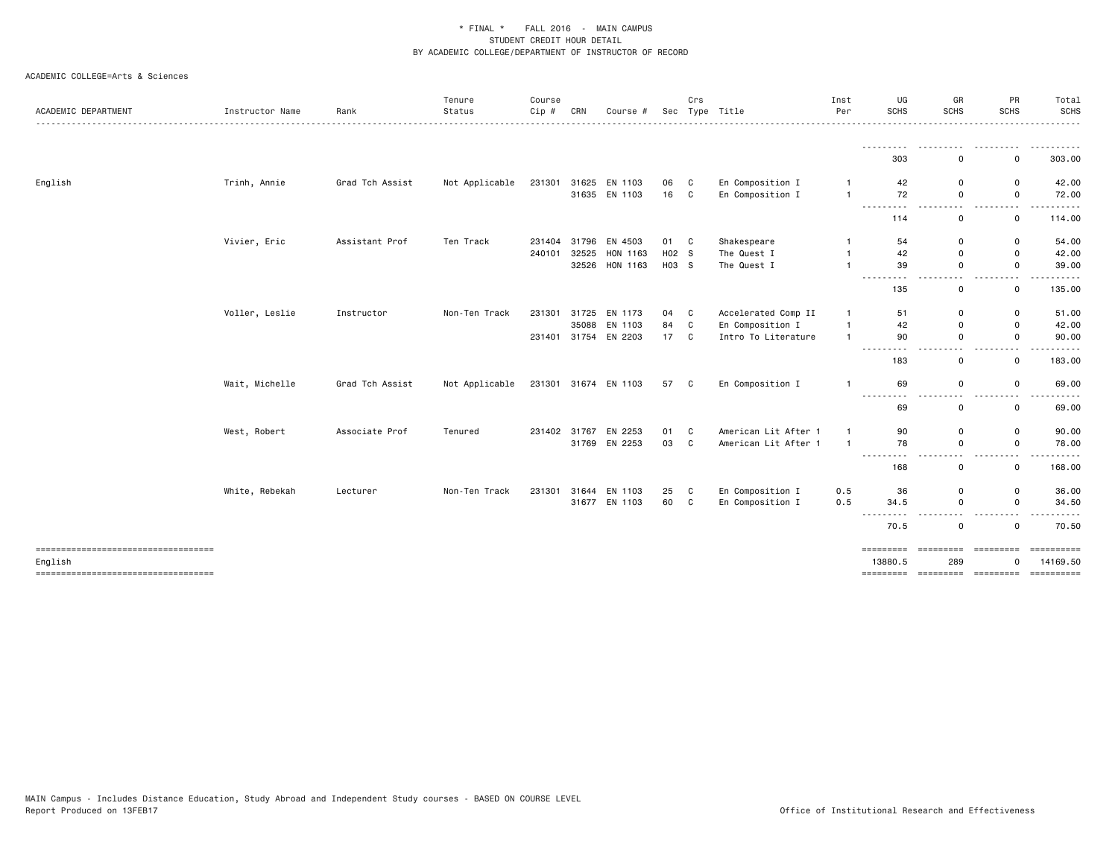| ACADEMIC DEPARTMENT                           | Instructor Name | Rank            | Tenure<br>Status<br>---------------------------- | Course<br>$Cip$ # | CRN          | Course #             | Sec   | Crs | Type Title           | Inst<br>Per    | UG<br><b>SCHS</b>                                                                                                                    | GR<br><b>SCHS</b>                       | PR<br>SCHS                              | Total<br><b>SCHS</b><br>-------- |
|-----------------------------------------------|-----------------|-----------------|--------------------------------------------------|-------------------|--------------|----------------------|-------|-----|----------------------|----------------|--------------------------------------------------------------------------------------------------------------------------------------|-----------------------------------------|-----------------------------------------|----------------------------------|
|                                               |                 |                 |                                                  |                   |              |                      |       |     |                      |                | --------- <i>-</i><br>303                                                                                                            | ---------<br>0                          | - - - - - - - - - -<br>0                | .<br>303.00                      |
| English                                       | Trinh, Annie    | Grad Tch Assist | Not Applicable                                   | 231301            |              | 31625 EN 1103        | 06    | C   | En Composition I     | $\mathbf{1}$   | 42                                                                                                                                   | 0                                       | $\mathsf 0$                             | 42.00                            |
|                                               |                 |                 |                                                  |                   |              | 31635 EN 1103        | 16    | C.  | En Composition I     | $\overline{1}$ | 72<br>---------                                                                                                                      | $\mathbf 0$<br>$\overline{\phantom{a}}$ | $\mathbf 0$<br>$\overline{\phantom{0}}$ | 72.00                            |
|                                               |                 |                 |                                                  |                   |              |                      |       |     |                      |                | 114                                                                                                                                  | 0                                       | $\mathbf 0$                             | 114.00                           |
|                                               | Vivier, Eric    | Assistant Prof  | Ten Track                                        | 231404            |              | 31796 EN 4503        | 01 C  |     | Shakespeare          | $\mathbf{1}$   | 54                                                                                                                                   | 0                                       | $\mathsf 0$                             | 54.00                            |
|                                               |                 |                 |                                                  | 240101            |              | 32525 HON 1163       | H02 S |     | The Quest I          | $\mathbf{1}$   | 42                                                                                                                                   | 0                                       | $\mathsf 0$                             | 42.00                            |
|                                               |                 |                 |                                                  |                   |              | 32526 HON 1163       | H03 S |     | The Quest I          | $\overline{1}$ | 39<br>---------                                                                                                                      | 0<br>$\sim$ $\sim$                      | $\mathbf 0$<br>$\sim$ $\sim$<br>.       | 39.00<br>------                  |
|                                               |                 |                 |                                                  |                   |              |                      |       |     |                      |                | 135                                                                                                                                  | 0                                       | $\mathbf 0$                             | 135.00                           |
|                                               | Voller, Leslie  | Instructor      | Non-Ten Track                                    | 231301            |              | 31725 EN 1173        | 04    | C   | Accelerated Comp II  | $\mathbf{1}$   | 51                                                                                                                                   | 0                                       | $\mathsf 0$                             | 51.00                            |
|                                               |                 |                 |                                                  |                   | 35088        | EN 1103              | 84    | C   | En Composition I     | $\mathbf{1}$   | 42                                                                                                                                   | 0                                       | $\mathsf 0$                             | 42.00                            |
|                                               |                 |                 |                                                  |                   |              | 231401 31754 EN 2203 | 17    | C   | Intro To Literature  | $\mathbf{1}$   | 90<br>---------                                                                                                                      | $\mathbf 0$<br>.                        | $\mathsf 0$<br>$\sim$ $\sim$            | 90.00<br>. <b>.</b> .            |
|                                               |                 |                 |                                                  |                   |              |                      |       |     |                      |                | 183                                                                                                                                  | 0                                       | $\mathbf 0$                             | 183.00                           |
|                                               | Wait, Michelle  | Grad Tch Assist | Not Applicable                                   |                   |              | 231301 31674 EN 1103 | 57 C  |     | En Composition I     | $\mathbf{1}$   | 69                                                                                                                                   | 0                                       | $\mathsf 0$                             | 69.00                            |
|                                               |                 |                 |                                                  |                   |              |                      |       |     |                      |                | 69                                                                                                                                   | 0                                       | $\mathbf 0$                             | 69.00                            |
|                                               | West, Robert    | Associate Prof  | Tenured                                          |                   | 231402 31767 | EN 2253              | 01    | C   | American Lit After 1 | $\mathbf{1}$   | 90                                                                                                                                   | 0                                       | 0                                       | 90.00                            |
|                                               |                 |                 |                                                  |                   |              | 31769 EN 2253        | 03    | C   | American Lit After 1 | $\overline{1}$ | 78<br>$\begin{array}{cccccccccccccc} \bullet & \bullet & \bullet & \bullet & \bullet & \bullet & \bullet & \bullet \end{array}$<br>. | $\mathsf 0$                             | $\mathsf 0$                             | 78.00                            |
|                                               |                 |                 |                                                  |                   |              |                      |       |     |                      |                | 168                                                                                                                                  | $ -$<br>0                               | $\sim$ $\sim$<br>$\mathbf 0$            | 168.00                           |
|                                               | White, Rebekah  | Lecturer        | Non-Ten Track                                    | 231301            |              | 31644 EN 1103        | 25    | C   | En Composition I     | 0.5            | 36                                                                                                                                   | 0                                       | $\mathsf 0$                             | 36.00                            |
|                                               |                 |                 |                                                  |                   |              | 31677 EN 1103        | 60    | C   | En Composition I     | 0.5            | 34.5<br>------                                                                                                                       | 0<br>$ -$                               | $\mathbf 0$<br>- - - -                  | 34.50<br>. <b>.</b> .            |
|                                               |                 |                 |                                                  |                   |              |                      |       |     |                      |                | 70.5                                                                                                                                 | 0                                       | $\mathbf 0$                             | 70.50                            |
| ----------------------------------<br>English |                 |                 |                                                  |                   |              |                      |       |     |                      |                | =========<br>13880.5                                                                                                                 | =========<br>289                        | =========<br>$\Omega$                   | 14169.50                         |
| =====================================         |                 |                 |                                                  |                   |              |                      |       |     |                      |                |                                                                                                                                      |                                         |                                         |                                  |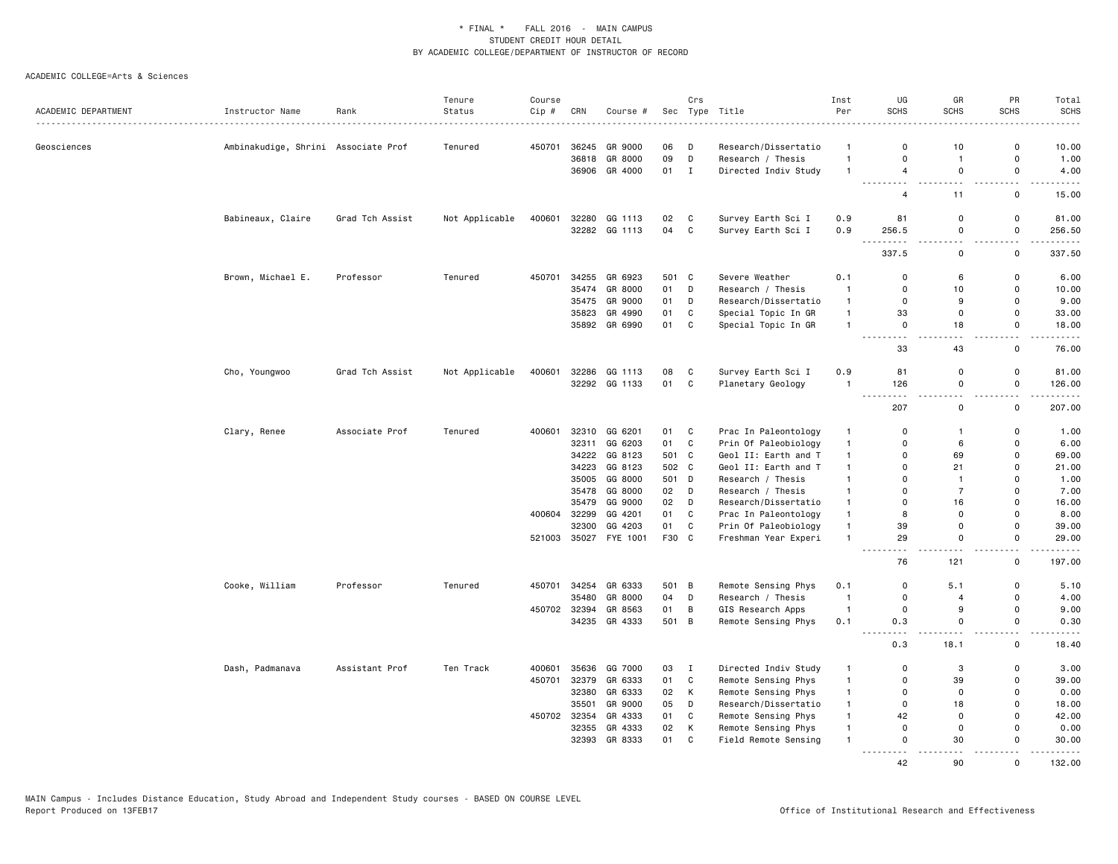|                     |                                     |                 | Tenure         | Course       |                |                    |          | Crs          |                                             | Inst                         | UG                          | GR                | PR                         | Total                                                                                                                                                         |
|---------------------|-------------------------------------|-----------------|----------------|--------------|----------------|--------------------|----------|--------------|---------------------------------------------|------------------------------|-----------------------------|-------------------|----------------------------|---------------------------------------------------------------------------------------------------------------------------------------------------------------|
| ACADEMIC DEPARTMENT | Instructor Name                     | Rank<br>.       | Status         | Cip #        | CRN            | Course #           |          |              | Sec Type Title                              | Per                          | <b>SCHS</b>                 | <b>SCHS</b>       | <b>SCHS</b>                | <b>SCHS</b><br>$- - - - -$                                                                                                                                    |
| Geosciences         | Ambinakudige, Shrini Associate Prof |                 | Tenured        | 450701       | 36245          | GR 9000            | 06       | D            | Research/Dissertatio                        | -1                           | $\Omega$                    | 10                | $\mathbf 0$                | 10.00                                                                                                                                                         |
|                     |                                     |                 |                |              | 36818          | GR 8000            | 09       | D            | Research / Thesis                           | $\mathbf{1}$                 | $\Omega$                    | $\overline{1}$    | $\mathbf 0$                | 1.00                                                                                                                                                          |
|                     |                                     |                 |                |              |                | 36906 GR 4000      | 01       | I            | Directed Indiv Study                        | $\mathbf{1}$                 | $\overline{4}$              | $\mathbf 0$       | $\mathbf 0$                | 4.00                                                                                                                                                          |
|                     |                                     |                 |                |              |                |                    |          |              |                                             |                              | .<br>$\overline{4}$         | .<br>11           | .<br>$\mathbf 0$           | $\cdots \cdots$<br>15.00                                                                                                                                      |
|                     | Babineaux, Claire                   | Grad Tch Assist | Not Applicable | 400601       | 32280          | GG 1113            | 02 C     |              | Survey Earth Sci I                          | 0.9                          | 81                          | $\mathbf 0$       | $\mathbf 0$                | 81.00                                                                                                                                                         |
|                     |                                     |                 |                |              |                | 32282 GG 1113      | 04       | $\mathbf{C}$ | Survey Earth Sci I                          | 0.9                          | 256.5                       | $\Omega$          | $\mathbf 0$                | 256.50                                                                                                                                                        |
|                     |                                     |                 |                |              |                |                    |          |              |                                             |                              | <u>.</u><br>337.5           | 0                 | $\mathbf 0$                | .<br>337.50                                                                                                                                                   |
|                     | Brown, Michael E.                   | Professor       | Tenured        | 450701       | 34255          | GR 6923            | 501 C    |              | Severe Weather                              | 0.1                          | $\mathbf 0$                 | 6                 | 0                          | 6.00                                                                                                                                                          |
|                     |                                     |                 |                |              | 35474          | GR 8000            | 01 D     |              | Research / Thesis                           | $\overline{1}$               | $\mathbf 0$                 | 10                | $\mathbf 0$                | 10.00                                                                                                                                                         |
|                     |                                     |                 |                |              |                | 35475 GR 9000      | 01       | D            | Research/Dissertatio                        | $\mathbf{1}$                 | 0                           | 9                 | $\mathbf 0$                | 9.00                                                                                                                                                          |
|                     |                                     |                 |                |              | 35823          | GR 4990            | 01       | C            | Special Topic In GR                         | $\mathbf{1}$                 | 33                          | $\mathbf 0$       | $\mathbf 0$                | 33.00                                                                                                                                                         |
|                     |                                     |                 |                |              |                | 35892 GR 6990      | 01       | C            | Special Topic In GR                         | $\mathbf{1}$                 | 0                           | 18                | $\mathbf 0$                | 18.00                                                                                                                                                         |
|                     |                                     |                 |                |              |                |                    |          |              |                                             |                              | .<br>33                     | $  -$<br>43       | <u>.</u><br>$\mathbf 0$    | $\sim$ $\sim$ $\sim$ $\sim$ $\sim$<br>76.00                                                                                                                   |
|                     | Cho, Youngwoo                       | Grad Tch Assist | Not Applicable | 400601       | 32286          | GG 1113            | 08       | $\mathbf{C}$ | Survey Earth Sci I                          | 0.9                          | 81                          | $\Omega$          | $\mathbf 0$                | 81.00                                                                                                                                                         |
|                     |                                     |                 |                |              |                | 32292 GG 1133      | 01       | $\mathbf{C}$ | Planetary Geology                           | $\mathbf{1}$                 | 126                         | $\mathsf 0$       | $\mathbf 0$                | 126.00                                                                                                                                                        |
|                     |                                     |                 |                |              |                |                    |          |              |                                             |                              | $\sim$ $\sim$ $\sim$<br>207 | 0                 | $\mathbf 0$                | .<br>207.00                                                                                                                                                   |
|                     | Clary, Renee                        | Associate Prof  | Tenured        | 400601       |                | 32310 GG 6201      | 01 C     |              | Prac In Paleontology                        | -1                           | 0                           | -1                | 0                          | 1.00                                                                                                                                                          |
|                     |                                     |                 |                |              | 32311          | GG 6203            | 01       | C            | Prin Of Paleobiology                        | $\mathbf{1}$                 | $\mathbf 0$                 | 6                 | $\mathbf 0$                | 6.00                                                                                                                                                          |
|                     |                                     |                 |                |              | 34222          | GG 8123            | 501 C    |              | Geol II: Earth and T                        | $\mathbf{1}$                 | $\Omega$                    | 69                | $\mathbf 0$                | 69.00                                                                                                                                                         |
|                     |                                     |                 |                |              | 34223          | GG 8123            | 502 C    |              | Geol II: Earth and T                        | $\mathbf{1}$                 | $\Omega$                    | 21                | $\Omega$                   | 21.00                                                                                                                                                         |
|                     |                                     |                 |                |              | 35005          | GG 8000            | 501 D    |              | Research / Thesis                           | $\mathbf{1}$                 | $\mathbf 0$                 | $\overline{1}$    | $\mathbf 0$                | 1.00                                                                                                                                                          |
|                     |                                     |                 |                |              | 35478          | GG 8000            | 02       | D            | Research / Thesis                           | $\mathbf{1}$                 | $\Omega$                    | $\overline{7}$    | $\mathbf 0$                | 7.00                                                                                                                                                          |
|                     |                                     |                 |                |              | 35479          | GG 9000            | 02       | D            | Research/Dissertatio                        | $\mathbf{1}$                 | 0                           | 16                | $\mathbf 0$                | 16.00                                                                                                                                                         |
|                     |                                     |                 |                | 400604 32299 |                | GG 4201            | 01       | $\mathbf{C}$ | Prac In Paleontology                        | $\mathbf{1}$                 | 8                           | $\Omega$          | $\mathbf 0$                | 8.00                                                                                                                                                          |
|                     |                                     |                 |                |              | 32300          | GG 4203            | 01       | $\mathtt{C}$ | Prin Of Paleobiology                        | $\mathbf{1}$                 | 39                          | $\Omega$          | $\mathbf{0}$               | 39.00                                                                                                                                                         |
|                     |                                     |                 |                | 521003       |                | 35027 FYE 1001     | F30 C    |              | Freshman Year Experi                        | $\mathbf{1}$                 | 29<br>$\sim$ $\sim$         | $\mathbf 0$       | $\mathbf 0$                | 29.00<br>$\frac{1}{2} \left( \frac{1}{2} \right) \left( \frac{1}{2} \right) \left( \frac{1}{2} \right) \left( \frac{1}{2} \right) \left( \frac{1}{2} \right)$ |
|                     |                                     |                 |                |              |                |                    |          |              |                                             |                              | 76                          | 121               | $\mathbf 0$                | 197.00                                                                                                                                                        |
|                     | Cooke, William                      | Professor       | Tenured        | 450701       | 34254          | GR 6333            | 501 B    |              | Remote Sensing Phys                         | 0.1                          | 0                           | 5.1               | $\mathbf 0$                | 5.10                                                                                                                                                          |
|                     |                                     |                 |                |              | 35480          | GR 8000            | 04       | D            | Research / Thesis                           | $\overline{\mathbf{1}}$      | $\mathbf 0$                 | $\overline{4}$    | $\mathbf 0$                | 4.00                                                                                                                                                          |
|                     |                                     |                 |                |              | 450702 32394   | GR 8563            | 01       | B            | GIS Research Apps                           | $\overline{1}$               | $\mathbf 0$                 | 9                 | $\mathbf 0$                | 9.00                                                                                                                                                          |
|                     |                                     |                 |                |              |                | 34235 GR 4333      | 501 B    |              | Remote Sensing Phys                         | 0.1                          | 0.3<br>.                    | $\Omega$<br>.     | $\mathbf{0}$<br><u>.</u>   | 0.30<br>$\frac{1}{2} \left( \frac{1}{2} \right) \left( \frac{1}{2} \right) \left( \frac{1}{2} \right) \left( \frac{1}{2} \right) \left( \frac{1}{2} \right)$  |
|                     |                                     |                 |                |              |                |                    |          |              |                                             |                              | 0.3                         | 18.1              | $\mathbf 0$                | 18.40                                                                                                                                                         |
|                     | Dash, Padmanava                     | Assistant Prof  | Ten Track      | 400601       | 35636          | GG 7000            | 03       | $\mathbf{I}$ | Directed Indiv Study                        | $\mathbf{1}$                 | 0                           | 3                 | 0                          | 3.00                                                                                                                                                          |
|                     |                                     |                 |                | 450701       | 32379          | GR 6333            | 01       | C            | Remote Sensing Phys                         | $\mathbf{1}$                 | 0                           | 39                | 0                          | 39.00                                                                                                                                                         |
|                     |                                     |                 |                |              | 32380          | GR 6333            | 02       | К            | Remote Sensing Phys                         | $\mathbf{1}$                 | $\mathsf{o}$                | $\mathbf 0$       | $\mathbf 0$                | 0.00                                                                                                                                                          |
|                     |                                     |                 |                |              | 35501          | GR 9000            | 05       | D            | Research/Dissertatio                        | $\mathbf{1}$                 | 0                           | 18                | $\mathbf 0$                | 18.00                                                                                                                                                         |
|                     |                                     |                 |                | 450702 32354 |                | GR 4333            | 01       | C            | Remote Sensing Phys                         | $\mathbf{1}$                 | 42                          | $\mathbf 0$       | $\mathbf 0$                | 42.00                                                                                                                                                         |
|                     |                                     |                 |                |              | 32355<br>32393 | GR 4333<br>GR 8333 | 02<br>01 | K<br>C       | Remote Sensing Phys<br>Field Remote Sensing | $\mathbf{1}$<br>$\mathbf{1}$ | $\mathbf 0$<br>0            | $\mathbf 0$<br>30 | $\mathbf 0$<br>$\mathbf 0$ | 0.00<br>30.00                                                                                                                                                 |
|                     |                                     |                 |                |              |                |                    |          |              |                                             |                              | .                           | .                 |                            | .                                                                                                                                                             |
|                     |                                     |                 |                |              |                |                    |          |              |                                             |                              | 42                          | 90                | $\Omega$                   | 132.00                                                                                                                                                        |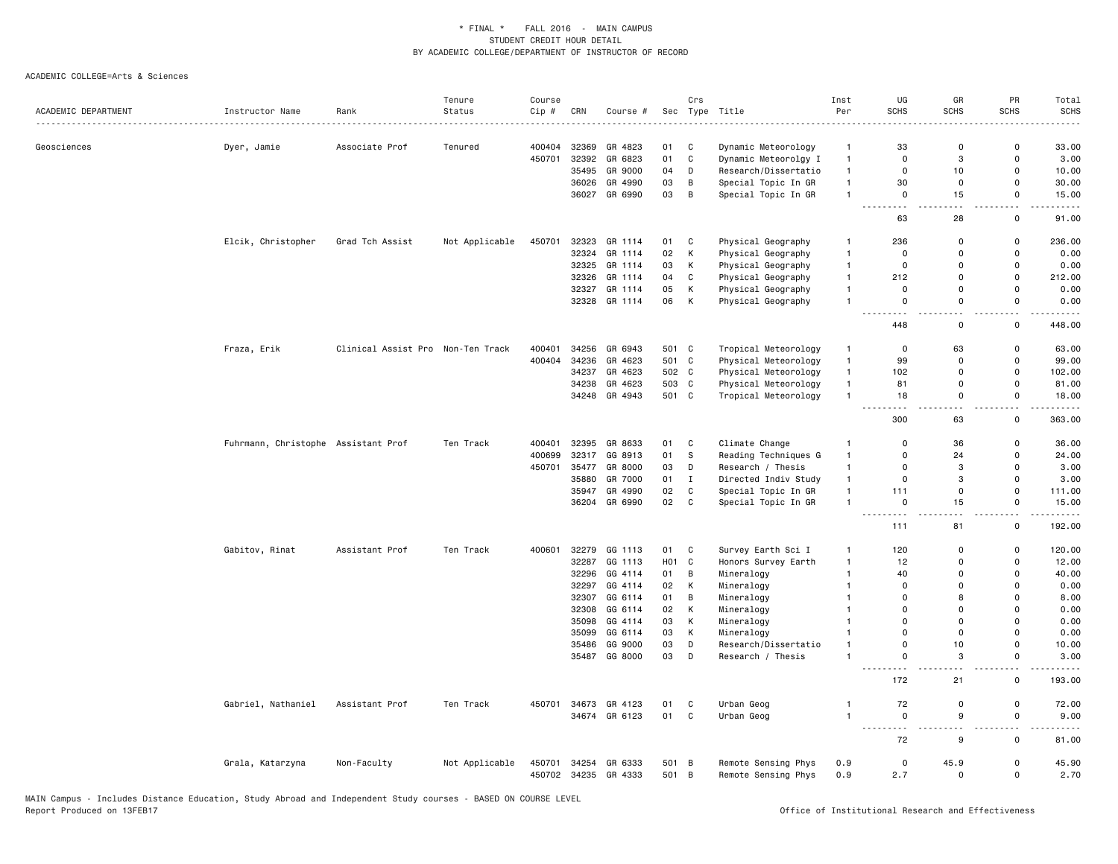| ACADEMIC DEPARTMENT | Instructor Name                     | Rank                              | Tenure<br>Status | Course<br>Cip#   | CRN   | Course #                       | Sec              | Crs            | Type Title                                 | Inst<br>Per    | UG<br><b>SCHS</b>                | GR<br><b>SCHS</b>   | PR<br><b>SCHS</b>                       | Total<br><b>SCHS</b>                |
|---------------------|-------------------------------------|-----------------------------------|------------------|------------------|-------|--------------------------------|------------------|----------------|--------------------------------------------|----------------|----------------------------------|---------------------|-----------------------------------------|-------------------------------------|
|                     |                                     | . <b>.</b> .                      |                  |                  |       |                                |                  |                |                                            |                |                                  |                     |                                         |                                     |
| Geosciences         | Dyer, Jamie                         | Associate Prof                    | Tenured          | 400404           | 32369 | GR 4823                        | 01               | C              | Dynamic Meteorology                        | $\mathbf{1}$   | 33                               | $\mathbf 0$         | $\mathbf 0$                             | 33.00                               |
|                     |                                     |                                   |                  | 450701           | 32392 | GR 6823                        | 01               | C              | Dynamic Meteorolgy I                       | $\mathbf{1}$   | $\mathbf 0$                      | 3                   | 0                                       | 3.00                                |
|                     |                                     |                                   |                  |                  | 35495 | GR 9000                        | 04               | D              | Research/Dissertatio                       | $\mathbf{1}$   | $\mathbf 0$                      | 10                  | 0                                       | 10.00                               |
|                     |                                     |                                   |                  |                  | 36026 | GR 4990                        | 03               | $\, {\bf B}$   | Special Topic In GR                        | $\mathbf{1}$   | 30                               | $\mathbf 0$         | $\mathsf 0$                             | 30.00                               |
|                     |                                     |                                   |                  |                  |       | 36027 GR 6990                  | 03               | $\overline{B}$ | Special Topic In GR                        | $\overline{1}$ | $\mathsf 0$<br>$\sim$ $\sim$     | 15                  | $\mathsf 0$<br>$\overline{\phantom{a}}$ | 15.00                               |
|                     |                                     |                                   |                  |                  |       |                                |                  |                |                                            |                | 63                               | 28                  | $\mathsf 0$                             | 91.00                               |
|                     | Elcik, Christopher                  | Grad Tch Assist                   | Not Applicable   | 450701           | 32323 | GR 1114                        | 01               | C              | Physical Geography                         | $\overline{1}$ | 236                              | $\mathbf 0$         | $\mathbf 0$                             | 236.00                              |
|                     |                                     |                                   |                  |                  |       | 32324 GR 1114                  | 02               | K              | Physical Geography                         | $\overline{1}$ | $\mathbf 0$                      | $\Omega$            | $\mathbf 0$                             | 0.00                                |
|                     |                                     |                                   |                  |                  | 32325 | GR 1114                        | 03               | Κ              | Physical Geography                         | $\mathbf{1}$   | $\mathbf 0$                      | $\mathbf 0$         | 0                                       | 0.00                                |
|                     |                                     |                                   |                  |                  | 32326 | GR 1114                        | 04               | C              | Physical Geography                         | $\overline{1}$ | 212                              | $\Omega$            | $\mathbf 0$                             | 212.00                              |
|                     |                                     |                                   |                  |                  | 32327 | GR 1114                        | 05               | К              | Physical Geography                         | $\mathbf{1}$   | $\mathbf 0$                      | $\mathbf 0$         | $\mathsf 0$                             | 0.00                                |
|                     |                                     |                                   |                  |                  |       | 32328 GR 1114                  | 06               | $\,$ K         | Physical Geography                         | $\overline{1}$ | $\mathbf 0$                      | $\mathbf 0$         | $\mathsf 0$                             | 0.00                                |
|                     |                                     |                                   |                  |                  |       |                                |                  |                |                                            |                | 448                              | и.<br>$\Omega$      | . .<br>$\mathbf 0$                      | 448.00                              |
|                     | Fraza, Erik                         | Clinical Assist Pro Non-Ten Track |                  | 400401           | 34256 | GR 6943                        | 501 C            |                | Tropical Meteorology                       | $\mathbf{1}$   | $\mathbf 0$                      | 63                  | $\mathsf 0$                             | 63.00                               |
|                     |                                     |                                   |                  | 400404           | 34236 | GR 4623                        | 501 C            |                | Physical Meteorology                       | $\mathbf{1}$   | 99                               | $\mathbf 0$         | 0                                       | 99.00                               |
|                     |                                     |                                   |                  |                  | 34237 | GR 4623                        | 502 C            |                | Physical Meteorology                       | $\mathbf{1}$   | 102                              | $\mathbf 0$         | $\mathsf 0$                             | 102.00                              |
|                     |                                     |                                   |                  |                  | 34238 | GR 4623                        | 503              | C              | Physical Meteorology                       | $\mathbf{1}$   | 81                               | $\Omega$            | $\mathsf 0$                             | 81.00                               |
|                     |                                     |                                   |                  |                  |       | 34248 GR 4943                  | 501 C            |                | Tropical Meteorology                       | $\overline{1}$ | 18                               | $\mathbf 0$         | 0                                       | 18.00                               |
|                     |                                     |                                   |                  |                  |       |                                |                  |                |                                            |                | 300                              | 63                  | н.<br>$\mathsf 0$                       | 363.00                              |
|                     | Fuhrmann, Christophe Assistant Prof |                                   | Ten Track        | 400401           | 32395 | GR 8633                        | 01               | C              | Climate Change                             | $\mathbf{1}$   | $\Omega$                         | 36                  | $\mathbf 0$                             | 36.00                               |
|                     |                                     |                                   |                  | 400699           | 32317 | GG 8913                        | 01               | s              | Reading Techniques G                       | $\overline{1}$ | $\mathbf 0$                      | 24                  | $\mathsf 0$                             | 24.00                               |
|                     |                                     |                                   |                  | 450701           | 35477 | GR 8000                        | 03               | D              | Research / Thesis                          | $\mathbf{1}$   | $\Omega$                         | 3                   | $\mathbf 0$                             | 3.00                                |
|                     |                                     |                                   |                  |                  | 35880 | GR 7000                        | 01               | $\mathbf{I}$   | Directed Indiv Study                       | $\mathbf{1}$   | $\mathbf 0$                      | 3                   | $\mathsf 0$                             | 3.00                                |
|                     |                                     |                                   |                  |                  |       | 35947 GR 4990                  | 02               | $\mathbf c$    | Special Topic In GR                        | $\overline{1}$ | 111                              | $\mathbf 0$         | $\mathsf 0$                             | 111.00                              |
|                     |                                     |                                   |                  |                  |       | 36204 GR 6990                  | 02               | $\mathbf c$    | Special Topic In GR                        | $\overline{1}$ | $\mathbf 0$                      | 15                  | 0                                       | 15.00                               |
|                     |                                     |                                   |                  |                  |       |                                |                  |                |                                            |                | 111                              | 81                  | i.<br>0                                 | 192.00                              |
|                     | Gabitov, Rinat                      | Assistant Prof                    | Ten Track        | 400601           |       | 32279 GG 1113                  | 01 C             |                | Survey Earth Sci I                         | $\overline{1}$ | 120                              | $\mathbf 0$         | $\mathsf{o}$                            | 120.00                              |
|                     |                                     |                                   |                  |                  | 32287 | GG 1113                        | H <sub>0</sub> 1 | C              | Honors Survey Earth                        | $\overline{1}$ | 12                               | $\Omega$            | $\mathsf 0$                             | 12.00                               |
|                     |                                     |                                   |                  |                  | 32296 | GG 4114                        | 01               | $\overline{B}$ | Mineralogy                                 | $\mathbf{1}$   | 40                               | $\Omega$            | $\mathbf 0$                             | 40.00                               |
|                     |                                     |                                   |                  |                  | 32297 | GG 4114                        | 02               | Κ              | Mineralogy                                 | $\mathbf{1}$   | $\overline{0}$                   | $\Omega$            | $\mathbf 0$                             | 0.00                                |
|                     |                                     |                                   |                  |                  | 32307 | GG 6114                        | 01               | В              | Mineralogy                                 | $\overline{1}$ | $\Omega$                         | 8                   | $\mathbf 0$                             | 8.00                                |
|                     |                                     |                                   |                  |                  | 32308 | GG 6114                        | 02               | Κ              | Mineralogy                                 | $\mathbf{1}$   | $\Omega$                         | $\Omega$            | $\Omega$                                | 0.00                                |
|                     |                                     |                                   |                  |                  | 35098 | GG 4114                        | 03               | К              | Mineralogy                                 | $\overline{1}$ | $\Omega$                         | $\mathbf 0$         | $\mathbf 0$                             | 0.00                                |
|                     |                                     |                                   |                  |                  | 35099 | GG 6114                        | 03               | К              | Mineralogy                                 | $\overline{1}$ | $\Omega$                         | $\Omega$            | $\mathbf 0$                             | 0.00                                |
|                     |                                     |                                   |                  |                  | 35486 | GG 9000                        | 03               | D              | Research/Dissertatio                       | $\overline{1}$ | $\mathsf 0$                      | 10                  | $\mathsf 0$                             | 10.00                               |
|                     |                                     |                                   |                  |                  |       | 35487 GG 8000                  | 03               | D              | Research / Thesis                          | $\overline{1}$ | $\mathsf 0$<br>$\sim$ $\sim$     | 3                   | $\mathsf 0$<br>. .                      | 3.00                                |
|                     |                                     |                                   |                  |                  |       |                                |                  |                |                                            |                | 172                              | 21                  | $\mathsf 0$                             | 193.00                              |
|                     | Gabriel, Nathaniel                  | Assistant Prof                    | Ten Track        | 450701           | 34673 | GR 4123                        | 01               | C              | Urban Geog                                 | $\overline{1}$ | 72                               | $\mathbf 0$         | 0                                       | 72.00                               |
|                     |                                     |                                   |                  |                  |       | 34674 GR 6123                  | 01 C             |                | Urban Geog                                 | $\mathbf{1}$   | $\overline{0}$<br>$- - - -$<br>. | 9<br>$\sim$ $\sim$  | $\mathbf 0$<br>$\overline{\phantom{a}}$ | 9.00<br>$\sim$ $\sim$ $\sim$ $\sim$ |
|                     |                                     |                                   |                  |                  |       |                                |                  |                |                                            |                | 72                               | 9                   | 0                                       | 81.00                               |
|                     | Grala, Katarzyna                    | Non-Faculty                       | Not Applicable   | 450701<br>450702 |       | 34254 GR 6333<br>34235 GR 4333 | 501 B<br>501 B   |                | Remote Sensing Phys<br>Remote Sensing Phys | 0.9<br>0.9     | $\mathbf 0$<br>2.7               | 45.9<br>$\mathbf 0$ | $\mathsf 0$<br>$\mathbf 0$              | 45.90<br>2.70                       |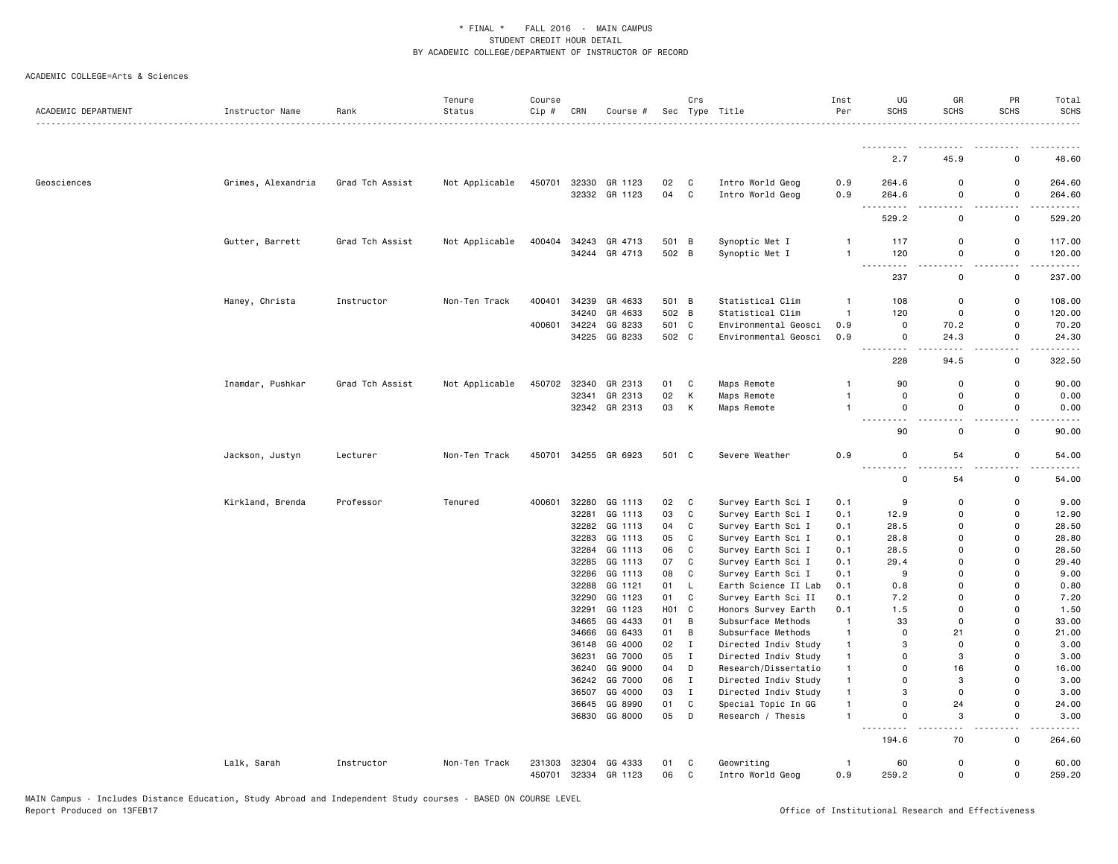| ACADEMIC DEPARTMENT | Instructor Name    | Rank            | Tenure<br>Status | Course<br>Cip #  | CRN            | Course #             |                  | Crs                          | Sec Type Title       | Inst<br>Per    | UG<br><b>SCHS</b>        | GR<br><b>SCHS</b>          | PR<br><b>SCHS</b>                       | Total<br><b>SCHS</b>    |
|---------------------|--------------------|-----------------|------------------|------------------|----------------|----------------------|------------------|------------------------------|----------------------|----------------|--------------------------|----------------------------|-----------------------------------------|-------------------------|
|                     |                    |                 |                  |                  |                |                      |                  |                              |                      |                | .                        |                            | .                                       | .                       |
|                     |                    |                 |                  |                  |                |                      |                  |                              |                      |                | 2.7                      | 45.9                       | $\mathbf 0$                             | 48.60                   |
| Geosciences         | Grimes, Alexandria | Grad Tch Assist | Not Applicable   | 450701           |                | 32330 GR 1123        | 02               | C                            | Intro World Geog     | 0.9            | 264.6                    | $\mathsf 0$                | $\mathsf 0$                             | 264.60                  |
|                     |                    |                 |                  |                  |                | 32332 GR 1123        | 04               | $\mathtt{C}$                 | Intro World Geog     | 0.9            | 264.6<br>$\frac{1}{2}$   | 0                          | $\mathsf 0$                             | 264.60                  |
|                     |                    |                 |                  |                  |                |                      |                  |                              |                      |                | 529.2                    | 0                          | $\mathsf 0$                             | 529.20                  |
|                     | Gutter, Barrett    | Grad Tch Assist | Not Applicable   | 400404           |                | 34243 GR 4713        | 501 B            |                              | Synoptic Met I       | $\mathbf{1}$   | 117                      | $\mathbf 0$                | $\mathbf 0$                             | 117.00                  |
|                     |                    |                 |                  |                  |                | 34244 GR 4713        | 502 B            |                              | Synoptic Met I       | $\mathbf{1}$   | 120                      | 0<br>$\overline{a}$        | $\mathsf 0$<br>$\overline{\phantom{a}}$ | 120.00<br>$- - - - - -$ |
|                     |                    |                 |                  |                  |                |                      |                  |                              |                      |                | 237                      | 0                          | $\mathbf 0$                             | 237.00                  |
|                     | Haney, Christa     | Instructor      | Non-Ten Track    | 400401           | 34239          | GR 4633              | 501 B            |                              | Statistical Clim     | $\mathbf{1}$   | 108                      | $\mathbf 0$                | $\mathsf 0$                             | 108.00                  |
|                     |                    |                 |                  |                  | 34240          | GR 4633              | 502              | B                            | Statistical Clim     | $\mathbf{1}$   | 120                      | $\mathbf 0$                | $\mathsf 0$                             | 120.00                  |
|                     |                    |                 |                  | 400601           | 34224          | GG 8233              | 501              | $\mathbf{C}$                 | Environmental Geosci | 0.9            | 0                        | 70.2                       | $\mathbf 0$                             | 70.20                   |
|                     |                    |                 |                  |                  |                | 34225 GG 8233        | 502 C            |                              | Environmental Geosci | 0.9            | 0<br>. <b>.</b>          | 24.3                       | $\mathsf 0$<br>$\sim$ $\sim$            | 24.30                   |
|                     |                    |                 |                  |                  |                |                      |                  |                              |                      |                | 228                      | 94.5                       | $\mathsf 0$                             | 322.50                  |
|                     | Inamdar, Pushkar   | Grad Tch Assist | Not Applicable   |                  | 450702 32340   | GR 2313              | 01               | C                            | Maps Remote          | $\mathbf{1}$   | 90                       | $\mathbf 0$                | $\mathsf 0$                             | 90.00                   |
|                     |                    |                 |                  |                  | 32341          | GR 2313              | 02               | Κ                            | Maps Remote          | $\mathbf{1}$   | 0                        | 0                          | $\mathsf 0$                             | 0.00                    |
|                     |                    |                 |                  |                  |                | 32342 GR 2313        | 03               | К                            | Maps Remote          | $\overline{1}$ | 0                        | 0                          | $\mathsf 0$                             | 0.00                    |
|                     |                    |                 |                  |                  |                |                      |                  |                              |                      |                | $\sim$ $\sim$<br>.<br>90 | $\mathbf 0$                | 0                                       | 90.00                   |
|                     | Jackson, Justyn    | Lecturer        | Non-Ten Track    |                  |                | 450701 34255 GR 6923 | 501 C            |                              | Severe Weather       | 0.9            | $\Omega$<br>.            | 54<br>. .                  | $\mathbf 0$<br>$\sim$ $\sim$            | 54.00                   |
|                     |                    |                 |                  |                  |                |                      |                  |                              |                      |                | 0                        | 54                         | $\mathsf 0$                             | 54.00                   |
|                     | Kirkland, Brenda   | Professor       | Tenured          | 400601           | 32280          | GG 1113              | 02               | C                            | Survey Earth Sci I   | 0.1            | 9                        | $\mathbf 0$                | $\mathbf 0$                             | 9.00                    |
|                     |                    |                 |                  |                  | 32281          | GG 1113              | 03               | $\mathbb{C}$                 | Survey Earth Sci I   | 0.1            | 12.9                     | $\Omega$                   | $\mathbf 0$                             | 12.90                   |
|                     |                    |                 |                  |                  | 32282          | GG 1113              | 04               | C                            | Survey Earth Sci I   | 0.1            | 28.5                     | $\Omega$                   | $\Omega$                                | 28.50                   |
|                     |                    |                 |                  |                  | 32283          | GG 1113              | 05               | C                            | Survey Earth Sci I   | 0.1            | 28.8                     | $\Omega$                   | $\mathbf 0$                             | 28.80                   |
|                     |                    |                 |                  |                  | 32284          | GG 1113              | 06               | $\mathbb{C}$                 | Survey Earth Sci I   | 0.1            | 28.5                     | $\Omega$                   | $\mathbf 0$                             | 28.50                   |
|                     |                    |                 |                  |                  | 32285          | GG 1113              | 07               | C                            | Survey Earth Sci I   | 0.1            | 29.4                     | $\mathbf 0$                | $\mathbf 0$                             | 29.40                   |
|                     |                    |                 |                  |                  | 32286          | GG 1113              | 08               | C                            | Survey Earth Sci I   | 0.1            | 9                        | $\mathbf 0$                | $\overline{0}$                          | 9.00                    |
|                     |                    |                 |                  |                  | 32288          | GG 1121              | 01               | L                            | Earth Science II Lab | 0.1            | 0.8                      | 0                          | $\mathbf 0$                             | 0.80                    |
|                     |                    |                 |                  |                  | 32290          | GG 1123              | 01               | $\mathbf{C}$                 | Survey Earth Sci II  | 0.1            | 7.2                      | 0                          | $\mathbf 0$                             | 7.20                    |
|                     |                    |                 |                  |                  | 32291          | GG 1123              | H <sub>0</sub> 1 | $\mathbb{C}$                 | Honors Survey Earth  | 0.1            | 1.5                      | 0                          | $\mathbf 0$                             | 1.50                    |
|                     |                    |                 |                  |                  | 34665          | GG 4433              | 01               | В                            | Subsurface Methods   | $\overline{1}$ | 33                       | $\Omega$                   | $\Omega$                                | 33.00                   |
|                     |                    |                 |                  |                  |                | 34666 GG 6433        | 01               | B                            | Subsurface Methods   | $\mathbf{1}$   | $\Omega$                 | 21                         | $\mathbf 0$                             | 21.00                   |
|                     |                    |                 |                  |                  | 36148          | GG 4000              | 02               | $\mathbf{I}$                 | Directed Indiv Study | $\mathbf{1}$   | 3                        | $\Omega$                   | $\Omega$                                | 3.00                    |
|                     |                    |                 |                  |                  | 36231          | GG 7000              | 05               | $\mathbf{I}$                 | Directed Indiv Study | $\mathbf{1}$   | $\Omega$                 | 3                          | $\mathbf 0$                             | 3.00                    |
|                     |                    |                 |                  |                  |                | 36240 GG 9000        | 04               | D                            | Research/Dissertatio | $\mathbf{1}$   | $\Omega$                 | 16                         | $\mathbf 0$                             | 16.00                   |
|                     |                    |                 |                  |                  |                | 36242 GG 7000        | 06               | $\mathbf{I}$                 | Directed Indiv Study | $\mathbf{1}$   | $\Omega$                 | 3                          | $\Omega$                                | 3.00                    |
|                     |                    |                 |                  |                  | 36507          | GG 4000              | 03               | $\mathbf{I}$                 | Directed Indiv Study | $\mathbf{1}$   | 3                        | 0                          | $\mathbf 0$                             | 3.00                    |
|                     |                    |                 |                  |                  | 36645          | GG 8990              | 01               | C                            | Special Topic In GG  | $\mathbf{1}$   | $\Omega$                 | 24                         | $\mathbf 0$                             | 24.00                   |
|                     |                    |                 |                  |                  |                | 36830 GG 8000        | 05               | D                            | Research / Thesis    | $\mathbf{1}$   | 0                        | 3<br>. .                   | 0<br>$\overline{\phantom{a}}$           | 3.00                    |
|                     |                    |                 |                  |                  |                |                      |                  |                              |                      |                | 194.6                    | 70                         | $\mathsf{o}$                            | 264.60                  |
|                     | Lalk, Sarah        | Instructor      | Non-Ten Track    | 231303<br>450701 | 32304<br>32334 | GG 4333<br>GR 1123   | 01<br>06         | $\mathtt{C}$<br>$\mathbb{C}$ | Geowriting           | $\mathbf{1}$   | 60<br>259.2              | $\mathsf 0$<br>$\mathsf 0$ | $\mathsf 0$<br>$\mathsf 0$              | 60.00<br>259.20         |
|                     |                    |                 |                  |                  |                |                      |                  |                              | Intro World Geog     | 0.9            |                          |                            |                                         |                         |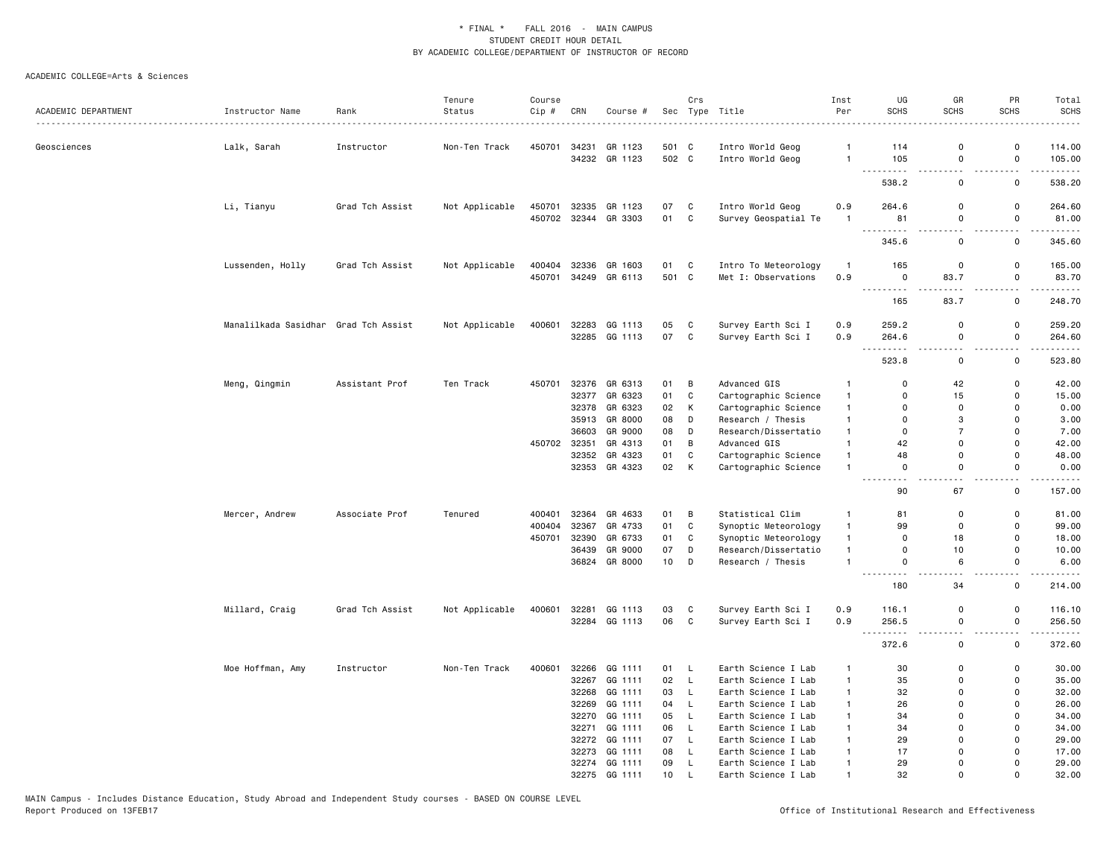| ACADEMIC DEPARTMENT | Instructor Name                      | Rank            | Tenure<br>Status | Course<br>Cip# | CRN   | Course #      | Sec   | Crs          | Type Title           | Inst<br>Per    | UG<br><b>SCHS</b>            | GR<br><b>SCHS</b>                       | PR<br><b>SCHS</b>                   | Total<br><b>SCHS</b> |
|---------------------|--------------------------------------|-----------------|------------------|----------------|-------|---------------|-------|--------------|----------------------|----------------|------------------------------|-----------------------------------------|-------------------------------------|----------------------|
| Geosciences         | Lalk, Sarah                          | Instructor      | Non-Ten Track    | 450701         | 34231 | GR 1123       | 501 C |              | Intro World Geog     | $\overline{1}$ | 114                          | $\mathbf 0$                             | $\Omega$                            | 114.00               |
|                     |                                      |                 |                  |                |       | 34232 GR 1123 | 502 C |              | Intro World Geog     | $\overline{1}$ | 105<br>----                  | 0<br>$\sim$ $\sim$                      | $\mathsf 0$<br>$\sim$ $\sim$        | 105.00<br><u>.</u>   |
|                     |                                      |                 |                  |                |       |               |       |              |                      |                | 538.2                        | $\mathsf 0$                             | $\mathsf 0$                         | 538.20               |
|                     | Li, Tianyu                           | Grad Tch Assist | Not Applicable   | 450701         | 32335 | GR 1123       | 07    | C            | Intro World Geog     | 0.9            | 264.6                        | $\Omega$                                | 0                                   | 264.60               |
|                     |                                      |                 |                  | 450702         | 32344 | GR 3303       | 01    | C            | Survey Geospatial Te | $\mathbf{1}$   | 81                           | 0                                       | $\mathbf 0$                         | 81.00                |
|                     |                                      |                 |                  |                |       |               |       |              |                      |                | .<br>345.6                   | $\overline{\phantom{a}}$<br>$\mathbf 0$ | $ -$<br>0                           | .<br>345.60          |
|                     | Lussenden, Holly                     | Grad Tch Assist | Not Applicable   | 400404         | 32336 | GR 1603       | 01    | C            | Intro To Meteorology | $\overline{1}$ | 165                          | 0                                       | 0                                   | 165.00               |
|                     |                                      |                 |                  | 450701         |       | 34249 GR 6113 | 501 C |              | Met I: Observations  | 0.9            | $\mathbf 0$                  | 83.7                                    | $\mathsf{o}\,$                      | 83.70                |
|                     |                                      |                 |                  |                |       |               |       |              |                      |                | .<br>165                     | 83.7                                    | 0                                   | 248.70               |
|                     | Manalilkada Sasidhar Grad Tch Assist |                 | Not Applicable   | 400601         | 32283 | GG 1113       | 05    | $\mathtt{C}$ | Survey Earth Sci I   | 0.9            | 259.2                        | $\Omega$                                | $\mathsf{o}\,$                      | 259.20               |
|                     |                                      |                 |                  |                |       | 32285 GG 1113 | 07    | $\mathbf c$  | Survey Earth Sci I   | 0.9            | 264.6                        | $\mathbf 0$                             | $\mathsf 0$                         | 264.60               |
|                     |                                      |                 |                  |                |       |               |       |              |                      |                | $\sim$ $\sim$<br>523.8       | 0                                       | $\overline{a}$<br>0                 | .<br>523.80          |
|                     | Meng, Qingmin                        | Assistant Prof  | Ten Track        | 450701         | 32376 | GR 6313       | 01    | B            | Advanced GIS         | $\mathbf{1}$   | $\mathbf 0$                  | 42                                      | $\mathsf{o}$                        | 42.00                |
|                     |                                      |                 |                  |                | 32377 | GR 6323       | 01    | C            | Cartographic Science | $\mathbf{1}$   | $\mathbf 0$                  | 15                                      | 0                                   | 15.00                |
|                     |                                      |                 |                  |                | 32378 | GR 6323       | 02    | К            | Cartographic Science | $\mathbf{1}$   | 0                            | 0                                       | $\mathbf 0$                         | 0.00                 |
|                     |                                      |                 |                  |                | 35913 | GR 8000       | 08    | D            | Research / Thesis    | $\mathbf{1}$   | 0                            | 3                                       | $\Omega$                            | 3.00                 |
|                     |                                      |                 |                  |                | 36603 | GR 9000       | 08    | D            | Research/Dissertatio | $\overline{1}$ | $\mathbf 0$                  | $\overline{7}$                          | $\Omega$                            | 7.00                 |
|                     |                                      |                 |                  | 450702         | 32351 | GR 4313       | 01    | B            | Advanced GIS         | $\mathbf{1}$   | 42                           | $\Omega$                                | $\Omega$                            | 42.00                |
|                     |                                      |                 |                  |                |       | 32352 GR 4323 | 01    | C            | Cartographic Science | $\mathbf{1}$   | 48                           | 0                                       | $\mathsf{o}$                        | 48.00                |
|                     |                                      |                 |                  |                |       | 32353 GR 4323 | 02    | К            | Cartographic Science | $\mathbf{1}$   | $\mathsf 0$<br>$\sim$ $\sim$ | $\mathsf 0$<br>$\sim$ $\sim$            | $\mathsf 0$<br>$\ddot{\phantom{1}}$ | 0.00<br>$- - - -$    |
|                     |                                      |                 |                  |                |       |               |       |              |                      |                | 90                           | 67                                      | 0                                   | 157.00               |
|                     | Mercer, Andrew                       | Associate Prof  | Tenured          | 400401         | 32364 | GR 4633       | 01    | В            | Statistical Clim     | $\mathbf{1}$   | 81                           | $\Omega$                                | $\Omega$                            | 81.00                |
|                     |                                      |                 |                  | 400404         | 32367 | GR 4733       | 01    | $\mathbb{C}$ | Synoptic Meteorology | $\mathbf{1}$   | 99                           | $\mathbf 0$                             | $\mathsf{o}$                        | 99.00                |
|                     |                                      |                 |                  | 450701         | 32390 | GR 6733       | 01    | C            | Synoptic Meteorology | $\mathbf{1}$   | $\mathbf 0$                  | 18                                      | $\mathsf{o}$                        | 18.00                |
|                     |                                      |                 |                  |                | 36439 | GR 9000       | 07    | D            | Research/Dissertatio | $\mathbf{1}$   | $\mathbf 0$                  | 10                                      | 0                                   | 10.00                |
|                     |                                      |                 |                  |                | 36824 | GR 8000       | 10    | D            | Research / Thesis    | $\mathbf{1}$   | $\mathbf 0$                  | 6                                       | 0                                   | 6.00                 |
|                     |                                      |                 |                  |                |       |               |       |              |                      |                | 180                          | 34                                      | 0                                   | 214.00               |
|                     | Millard, Craig                       | Grad Tch Assist | Not Applicable   | 400601         | 32281 | GG 1113       | 03    | C            | Survey Earth Sci I   | 0.9            | 116.1                        | $\mathbf 0$                             | $\mathbf 0$                         | 116.10               |
|                     |                                      |                 |                  |                | 32284 | GG 1113       | 06    | $\mathbf c$  | Survey Earth Sci I   | 0.9            | 256.5                        | $\mathbf 0$                             | $\mathbf 0$                         | 256.50               |
|                     |                                      |                 |                  |                |       |               |       |              |                      |                | $\sim$ $\sim$<br>372.6       | $\sim$ $\sim$<br>0                      | $\sim$ $\sim$<br>0                  | .<br>372.60          |
|                     | Moe Hoffman, Amy                     | Instructor      | Non-Ten Track    | 400601         | 32266 | GG 1111       | 01    | L            | Earth Science I Lab  | $\mathbf{1}$   | 30                           | $\mathbf 0$                             | $\mathsf{o}$                        | 30.00                |
|                     |                                      |                 |                  |                | 32267 | GG 1111       | 02    | L            | Earth Science I Lab  | $\mathbf{1}$   | 35                           | $\mathbf 0$                             | 0                                   | 35.00                |
|                     |                                      |                 |                  |                | 32268 | GG 1111       | 03    | L            | Earth Science I Lab  | $\mathbf{1}$   | 32                           | 0                                       | 0                                   | 32.00                |
|                     |                                      |                 |                  |                | 32269 | GG 1111       | 04    | L            | Earth Science I Lab  | $\mathbf{1}$   | 26                           | $\Omega$                                | $\mathbf 0$                         | 26.00                |
|                     |                                      |                 |                  |                | 32270 | GG 1111       | 05    | L            | Earth Science I Lab  | $\mathbf{1}$   | 34                           | $\Omega$                                | $\Omega$                            | 34.00                |
|                     |                                      |                 |                  |                | 32271 | GG 1111       | 06    | L            | Earth Science I Lab  | $\overline{1}$ | 34                           | $\Omega$                                | $\Omega$                            | 34.00                |
|                     |                                      |                 |                  |                |       | 32272 GG 1111 | 07    | L.           | Earth Science I Lab  | $\overline{1}$ | 29                           | $\Omega$                                | 0                                   | 29.00                |
|                     |                                      |                 |                  |                | 32273 | GG 1111       | 08    | L            | Earth Science I Lab  | $\overline{1}$ | 17                           | $\Omega$                                | $\Omega$                            | 17.00                |
|                     |                                      |                 |                  |                | 32274 | GG 1111       | 09    | L.           | Earth Science I Lab  | $\mathbf{1}$   | 29                           | $\mathbf{0}$                            | $\Omega$                            | 29.00                |
|                     |                                      |                 |                  |                | 32275 | GG 1111       | 10    | $\mathbf{I}$ | Earth Science I Lab  | $\overline{1}$ | 32                           | $\Omega$                                | $\Omega$                            | 32.00                |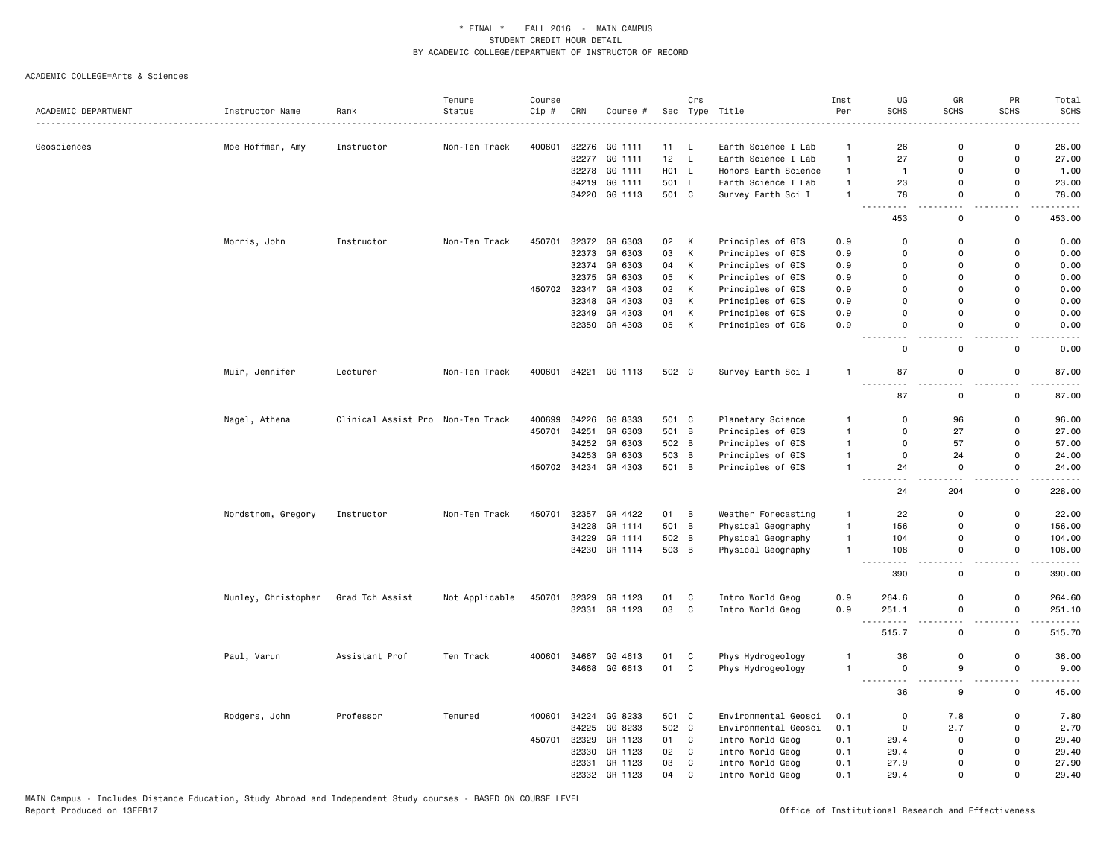|                     |                     |                                   | Tenure         | Course |              |               |       | Crs            |                      | Inst         | UG                                 | GR                    | PR                           | Total                           |
|---------------------|---------------------|-----------------------------------|----------------|--------|--------------|---------------|-------|----------------|----------------------|--------------|------------------------------------|-----------------------|------------------------------|---------------------------------|
| ACADEMIC DEPARTMENT | Instructor Name     | Rank                              | Status         | Cip #  | CRN          | Course #      |       |                | Sec Type Title       | Per          | <b>SCHS</b>                        | SCHS                  | <b>SCHS</b>                  | <b>SCHS</b>                     |
| Geosciences         | Moe Hoffman, Amy    | Instructor                        | Non-Ten Track  | 400601 | 32276        | GG 1111       | 11    | L.             | Earth Science I Lab  | $\mathbf{1}$ | 26                                 | $\mathbf 0$           | 0                            | 26.00                           |
|                     |                     |                                   |                |        | 32277        | GG 1111       | 12 L  |                | Earth Science I Lab  | $\mathbf{1}$ | 27                                 | 0                     | $\mathsf{o}\,$               | 27.00                           |
|                     |                     |                                   |                |        | 32278        | GG 1111       | H01 L |                | Honors Earth Science | $\mathbf{1}$ | $\overline{1}$                     | $\mathsf 0$           | 0                            | 1.00                            |
|                     |                     |                                   |                |        | 34219        | GG 1111       | 501 L |                | Earth Science I Lab  | $\mathbf{1}$ | 23                                 | 0                     | 0                            | 23.00                           |
|                     |                     |                                   |                |        | 34220        | GG 1113       | 501 C |                | Survey Earth Sci I   | $\mathbf{1}$ | 78                                 | $\Omega$              | 0                            | 78.00                           |
|                     |                     |                                   |                |        |              |               |       |                |                      |              |                                    |                       |                              | .                               |
|                     |                     |                                   |                |        |              |               |       |                |                      |              | 453                                | 0                     | 0                            | 453.00                          |
|                     | Morris, John        | Instructor                        | Non-Ten Track  | 450701 | 32372        | GR 6303       | 02    | К              | Principles of GIS    | 0.9          | $\Omega$                           | $\mathsf 0$           | $\mathsf{o}\,$               | 0.00                            |
|                     |                     |                                   |                |        | 32373        | GR 6303       | 03    | К              | Principles of GIS    | 0.9          | $\Omega$                           | $\mathbf 0$           | $\mathsf{o}$                 | 0.00                            |
|                     |                     |                                   |                |        | 32374        | GR 6303       | 04    | Κ              | Principles of GIS    | 0.9          | 0                                  | 0                     | 0                            | 0.00                            |
|                     |                     |                                   |                |        | 32375        | GR 6303       | 05    | К              | Principles of GIS    | 0.9          | 0                                  | 0                     | 0                            | 0.00                            |
|                     |                     |                                   |                |        | 450702 32347 | GR 4303       | 02    | К              | Principles of GIS    | 0.9          | $\mathbf 0$                        | $\mathbf 0$           | $\Omega$                     | 0.00                            |
|                     |                     |                                   |                |        | 32348        | GR 4303       | 03    | K              | Principles of GIS    | 0.9          | $\Omega$                           | $\Omega$              | 0                            | 0.00                            |
|                     |                     |                                   |                |        |              |               |       |                |                      |              | $\mathbf 0$                        | $\mathbf 0$           | $\mathsf{o}$                 |                                 |
|                     |                     |                                   |                |        | 32349        | GR 4303       | 04    | К              | Principles of GIS    | 0.9          |                                    |                       |                              | 0.00                            |
|                     |                     |                                   |                |        |              | 32350 GR 4303 | 05    | К              | Principles of GIS    | 0.9          | $\mathsf 0$                        | $\mathsf 0$           | $\mathsf 0$                  | 0.00                            |
|                     |                     |                                   |                |        |              |               |       |                |                      |              | $\mathbf 0$                        | $\mathbf 0$           | $\mathsf{o}$                 | 0.00                            |
|                     | Muir, Jennifer      | Lecturer                          | Non-Ten Track  | 400601 |              | 34221 GG 1113 | 502 C |                | Survey Earth Sci I   | $\mathbf{1}$ | 87<br>$\frac{1}{2}$                | $\mathsf 0$           | $\mathsf 0$<br>$\sim$ $\sim$ | 87.00<br>المتمام المنا          |
|                     |                     |                                   |                |        |              |               |       |                |                      |              | 87                                 | $\mathsf 0$           | $\mathsf{o}\,$               | 87.00                           |
|                     | Nagel, Athena       | Clinical Assist Pro Non-Ten Track |                | 400699 | 34226        | GG 8333       | 501 C |                | Planetary Science    | $\mathbf{1}$ | $\mathbf 0$                        | 96                    | 0                            | 96.00                           |
|                     |                     |                                   |                | 450701 | 34251        | GR 6303       | 501 B |                | Principles of GIS    | $\mathbf{1}$ | $\mathbf 0$                        | 27                    | 0                            | 27.00                           |
|                     |                     |                                   |                |        | 34252        | GR 6303       | 502 B |                | Principles of GIS    | $\mathbf{1}$ | $\mathbf 0$                        | 57                    | 0                            | 57.00                           |
|                     |                     |                                   |                |        | 34253        | GR 6303       | 503   | $\overline{B}$ | Principles of GIS    | $\mathbf{1}$ | $\mathbf 0$                        | 24                    | $\mathsf{o}$                 | 24.00                           |
|                     |                     |                                   |                |        | 450702 34234 | GR 4303       | 501 B |                | Principles of GIS    | $\mathbf{1}$ | 24                                 | 0                     | $\mathsf{o}\,$               | 24.00                           |
|                     |                     |                                   |                |        |              |               |       |                |                      |              |                                    |                       | $-$                          | $\frac{1}{2}$                   |
|                     |                     |                                   |                |        |              |               |       |                |                      |              | 24                                 | 204                   | 0                            | 228.00                          |
|                     | Nordstrom, Gregory  | Instructor                        | Non-Ten Track  | 450701 | 32357        | GR 4422       | 01    | B              | Weather Forecasting  | $\mathbf{1}$ | 22                                 | $\mathbf 0$           | 0                            | 22.00                           |
|                     |                     |                                   |                |        | 34228        | GR 1114       | 501   | B              | Physical Geography   | $\mathbf{1}$ | 156                                | 0                     | 0                            | 156.00                          |
|                     |                     |                                   |                |        | 34229        | GR 1114       | 502 B |                | Physical Geography   | $\mathbf{1}$ | 104                                | 0                     | 0                            | 104.00                          |
|                     |                     |                                   |                |        | 34230        | GR 1114       | 503 B |                | Physical Geography   | $\mathbf{1}$ | 108                                | $\mathsf 0$           | $\mathsf 0$                  | 108.00                          |
|                     |                     |                                   |                |        |              |               |       |                |                      |              | 390                                | 0                     | 0                            | - - - - -<br>390.00             |
|                     | Nunley, Christopher | Grad Tch Assist                   | Not Applicable | 450701 | 32329        | GR 1123       | 01    | C              | Intro World Geog     | 0.9          | 264.6                              | $\mathsf 0$           | 0                            | 264.60                          |
|                     |                     |                                   |                |        |              | 32331 GR 1123 | 03    | $\mathbf c$    | Intro World Geog     | 0.9          | 251.1<br>$\omega \sim \omega$<br>. | $\mathsf 0$<br>$\sim$ | $\mathsf{o}\,$               | 251.10<br>.                     |
|                     |                     |                                   |                |        |              |               |       |                |                      |              | 515.7                              | $\mathsf 0$           | 0                            | 515.70                          |
|                     | Paul, Varun         | Assistant Prof                    | Ten Track      | 400601 | 34667        | GG 4613       | 01    | C              | Phys Hydrogeology    | -1           | 36                                 | $\mathsf 0$           | 0                            | 36.00                           |
|                     |                     |                                   |                |        | 34668        | GG 6613       | 01    | $\mathtt{C}$   | Phys Hydrogeology    | $\mathbf{1}$ | $\mathsf 0$<br><u>.</u>            | 9                     | $\mathsf 0$<br>$\sim$ $\sim$ | 9.00<br>$\omega$ is $\omega$ in |
|                     |                     |                                   |                |        |              |               |       |                |                      |              | 36                                 | 9                     | 0                            | 45.00                           |
|                     | Rodgers, John       | Professor                         | Tenured        | 400601 | 34224        | GG 8233       | 501 C |                | Environmental Geosci | 0.1          | $\mathbf 0$                        | 7.8                   | 0                            | 7.80                            |
|                     |                     |                                   |                |        | 34225        | GG 8233       | 502 C |                | Environmental Geosci | 0.1          | $\mathbf 0$                        | 2.7                   | 0                            | 2.70                            |
|                     |                     |                                   |                | 450701 | 32329        | GR 1123       | 01    | C              | Intro World Geog     | 0.1          | 29.4                               | 0                     | 0                            | 29.40                           |
|                     |                     |                                   |                |        | 32330        | GR 1123       | 02    | C              | Intro World Geog     | 0.1          | 29.4                               | 0                     | 0                            | 29.40                           |
|                     |                     |                                   |                |        | 32331        | GR 1123       | 03    | $\mathsf{C}$   | Intro World Geog     | 0.1          | 27.9                               | $\mathbf 0$           | $\Omega$                     | 27.90                           |
|                     |                     |                                   |                |        | 32332        | GR 1123       | 04    | $\mathsf{C}$   | Intro World Geog     | 0.1          | 29.4                               | $\mathbf{0}$          | $\Omega$                     | 29.40                           |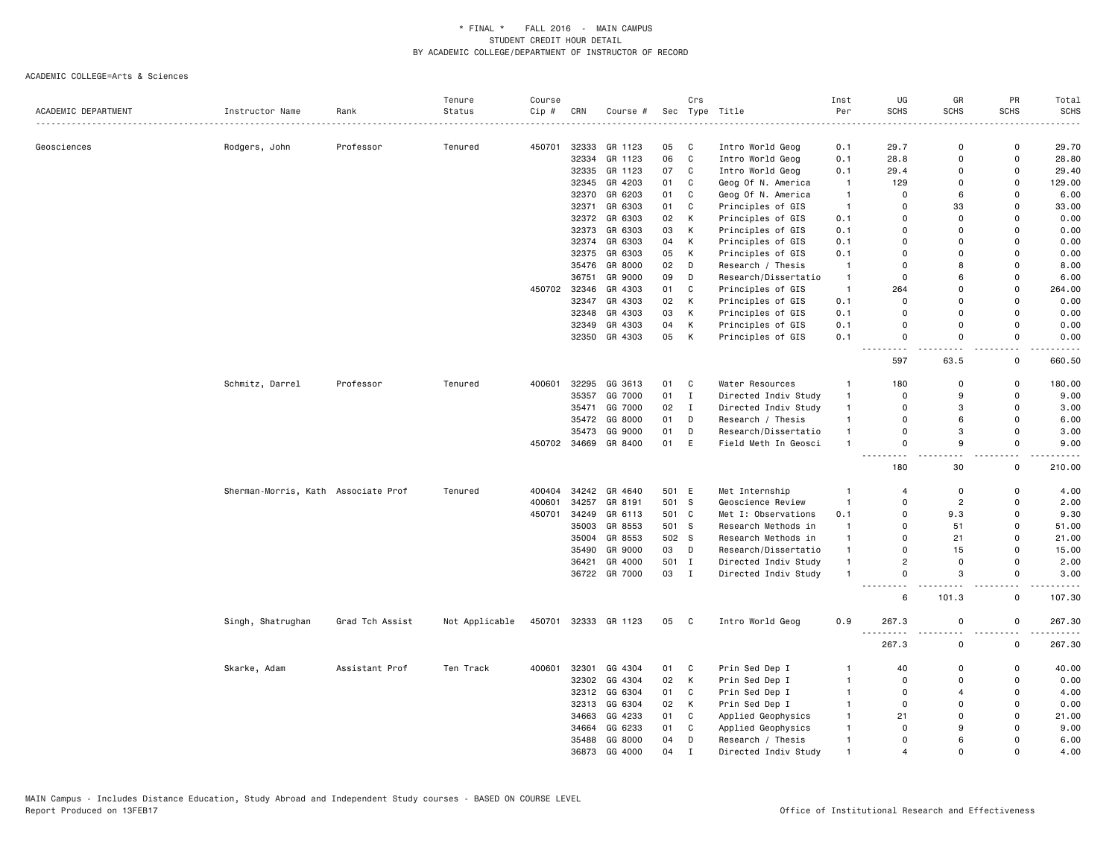|                     |                                     |                 | Tenure         | Course |              |               |       | Crs          |                      | Inst           | UG                      | GR             | PR             | Total       |
|---------------------|-------------------------------------|-----------------|----------------|--------|--------------|---------------|-------|--------------|----------------------|----------------|-------------------------|----------------|----------------|-------------|
| ACADEMIC DEPARTMENT | Instructor Name                     | Rank            | Status         | Cip #  | CRN          | Course #      | Sec   |              | Type Title           | Per            | <b>SCHS</b>             | SCHS           | <b>SCHS</b>    | <b>SCHS</b> |
|                     |                                     |                 |                |        |              |               |       |              |                      |                |                         |                |                |             |
| Geosciences         | Rodgers, John                       | Professor       | Tenured        | 450701 | 32333        | GR 1123       | 05    | C            | Intro World Geog     | 0.1            | 29.7                    | 0              | 0              | 29.70       |
|                     |                                     |                 |                |        | 32334        | GR 1123       | 06    | C            | Intro World Geog     | 0.1            | 28.8                    | 0              | 0              | 28.80       |
|                     |                                     |                 |                |        | 32335        | GR 1123       | 07    | C            | Intro World Geog     | 0.1            | 29.4                    | 0              | 0              | 29.40       |
|                     |                                     |                 |                |        | 32345        | GR 4203       | 01    | C            | Geog Of N. America   | $\mathbf{1}$   | 129                     | $\mathbf 0$    | 0              | 129.00      |
|                     |                                     |                 |                |        | 32370        | GR 6203       | 01    | C            | Geog Of N. America   | $\overline{1}$ | $\mathbf 0$             | 6              | 0              | 6.00        |
|                     |                                     |                 |                |        | 32371        | GR 6303       | 01    | C            | Principles of GIS    | $\overline{1}$ | 0                       | 33             | 0              | 33.00       |
|                     |                                     |                 |                |        | 32372        | GR 6303       | 02    | K            | Principles of GIS    | 0.1            | $\Omega$                | 0              | 0              | 0.00        |
|                     |                                     |                 |                |        | 32373        | GR 6303       | 03    | K            | Principles of GIS    | 0.1            | $\mathbf 0$             | 0              | $\Omega$       | 0.00        |
|                     |                                     |                 |                |        | 32374        | GR 6303       | 04    | K            | Principles of GIS    | 0.1            | 0                       | 0              | 0              | 0.00        |
|                     |                                     |                 |                |        | 32375        | GR 6303       | 05    | K            | Principles of GIS    | 0.1            | $\Omega$                | $\Omega$       | 0              | 0.00        |
|                     |                                     |                 |                |        | 35476        | GR 8000       | 02    | D            | Research / Thesis    | -1             | $\mathbf 0$             | 8              | $\Omega$       | 8.00        |
|                     |                                     |                 |                |        | 36751        | GR 9000       | 09    | D            | Research/Dissertatio | -1             | $\mathsf 0$             | 6              | $\mathsf 0$    | 6.00        |
|                     |                                     |                 |                | 450702 | 32346        | GR 4303       | 01    | $\mathbf{C}$ | Principles of GIS    | $\overline{1}$ | 264                     | 0              | $\mathsf 0$    | 264.00      |
|                     |                                     |                 |                |        | 32347        | GR 4303       | 02    | К            | Principles of GIS    | 0.1            | $\Omega$                | 0              | $\mathsf{o}$   | 0.00        |
|                     |                                     |                 |                |        | 32348        | GR 4303       | 03    | K            | Principles of GIS    | 0.1            | $\Omega$                | 0              | 0              | 0.00        |
|                     |                                     |                 |                |        | 32349        | GR 4303       | 04    | K            | Principles of GIS    | 0.1            | $\Omega$                | $\Omega$       | 0              | 0.00        |
|                     |                                     |                 |                |        |              | 32350 GR 4303 | 05    | К            | Principles of GIS    | 0.1            | $\mathbf 0$             | $\Omega$       | $\mathsf{o}$   | 0.00        |
|                     |                                     |                 |                |        |              |               |       |              |                      |                | 597                     | 63.5           | 0              | .<br>660.50 |
|                     | Schmitz, Darrel                     | Professor       | Tenured        | 400601 | 32295        | GG 3613       | 01    | C            | Water Resources      | $\mathbf{1}$   | 180                     | 0              | 0              | 180.00      |
|                     |                                     |                 |                |        | 35357        | GG 7000       | 01    | $\mathbf{I}$ | Directed Indiv Study | $\mathbf{1}$   | $\Omega$                | 9              | 0              | 9.00        |
|                     |                                     |                 |                |        | 35471        | GG 7000       | 02    | $\mathbf{I}$ | Directed Indiv Study | $\mathbf{1}$   | $\mathsf 0$             | 3              | $\mathsf 0$    | 3.00        |
|                     |                                     |                 |                |        | 35472        | GG 8000       | 01    | D            | Research / Thesis    | $\mathbf{1}$   | $\mathbf 0$             | 6              | 0              | 6.00        |
|                     |                                     |                 |                |        | 35473        | GG 9000       | 01    | D            | Research/Dissertatio | $\mathbf{1}$   | $\mathbf 0$             | 3              | 0              | 3.00        |
|                     |                                     |                 |                |        | 450702 34669 | GR 8400       | 01    | E            | Field Meth In Geosci | $\mathbf{1}$   | $\mathbf 0$             | 9              | $\mathsf{o}\,$ | 9.00        |
|                     |                                     |                 |                |        |              |               |       |              |                      |                | 180                     | 30             | 0              | 210.00      |
|                     | Sherman-Morris, Kath Associate Prof |                 | Tenured        | 400404 | 34242        | GR 4640       | 501 E |              | Met Internship       | $\mathbf{1}$   | $\overline{4}$          | 0              | 0              | 4.00        |
|                     |                                     |                 |                | 400601 | 34257        | GR 8191       | 501 S |              | Geoscience Review    | $\mathbf{1}$   | $\mathbf 0$             | $\overline{c}$ | 0              | 2.00        |
|                     |                                     |                 |                | 450701 | 34249        | GR 6113       | 501 C |              | Met I: Observations  | 0.1            | $\mathbf 0$             | 9.3            | 0              | 9.30        |
|                     |                                     |                 |                |        | 35003        | GR 8553       | 501   | - S          | Research Methods in  | $\mathbf{1}$   | $\Omega$                | 51             | $\Omega$       | 51.00       |
|                     |                                     |                 |                |        | 35004        | GR 8553       | 502 S |              | Research Methods in  | $\mathbf{1}$   | $\mathbf 0$             | 21             | 0              | 21.00       |
|                     |                                     |                 |                |        | 35490        | GR 9000       | 03    | D            | Research/Dissertatio | $\mathbf{1}$   | $\Omega$                | 15             | 0              | 15.00       |
|                     |                                     |                 |                |        | 36421        | GR 4000       | 501 I |              | Directed Indiv Study | $\mathbf{1}$   | $\overline{2}$          | $\mathbf 0$    | 0              | 2.00        |
|                     |                                     |                 |                |        |              | 36722 GR 7000 | 03 I  |              | Directed Indiv Study | $\mathbf{1}$   | $\mathbf 0$             | 3              | 0              | 3.00        |
|                     |                                     |                 |                |        |              |               |       |              |                      |                | 6                       | 101.3          | 0              | 107.30      |
|                     | Singh, Shatrughan                   | Grad Tch Assist | Not Applicable | 450701 |              | 32333 GR 1123 | 05    | C            | Intro World Geog     | 0.9            | 267.3                   | $\mathsf 0$    | 0              | 267.30<br>. |
|                     |                                     |                 |                |        |              |               |       |              |                      |                | 267.3                   | 0              | $\mathsf{o}\,$ | 267.30      |
|                     | Skarke, Adam                        | Assistant Prof  | Ten Track      | 400601 | 32301        | GG 4304       | 01    | C            | Prin Sed Dep I       | -1             | 40                      | $\Omega$       | 0              | 40.00       |
|                     |                                     |                 |                |        | 32302        | GG 4304       | 02    | К            | Prin Sed Dep I       | $\mathbf{1}$   | $\mathbf 0$             | $\mathbf 0$    | 0              | 0.00        |
|                     |                                     |                 |                |        | 32312        | GG 6304       | 01    | C            | Prin Sed Dep I       | $\mathbf{1}$   | $\Omega$                | $\overline{4}$ | 0              | 4.00        |
|                     |                                     |                 |                |        | 32313        | GG 6304       | 02    | K            | Prin Sed Dep I       | -1             | $\mathbf 0$             | $\Omega$       | 0              | 0.00        |
|                     |                                     |                 |                |        | 34663        | GG 4233       | 01    | C            | Applied Geophysics   | $\mathbf{1}$   | 21                      | $\Omega$       | 0              | 21.00       |
|                     |                                     |                 |                |        | 34664        | GG 6233       | 01    | C            | Applied Geophysics   | $\mathbf{1}$   | $\Omega$                | 9              | $\Omega$       | 9.00        |
|                     |                                     |                 |                |        | 35488        | GG 8000       | 04    | D            | Research / Thesis    | $\mathbf{1}$   | $\mathbf 0$             | 6              | $\Omega$       | 6.00        |
|                     |                                     |                 |                |        | 36873        | GG 4000       | 04    | $\mathbf{I}$ | Directed Indiv Study |                | $\overline{\mathbf{A}}$ | $\Omega$       | $\Omega$       | 4.00        |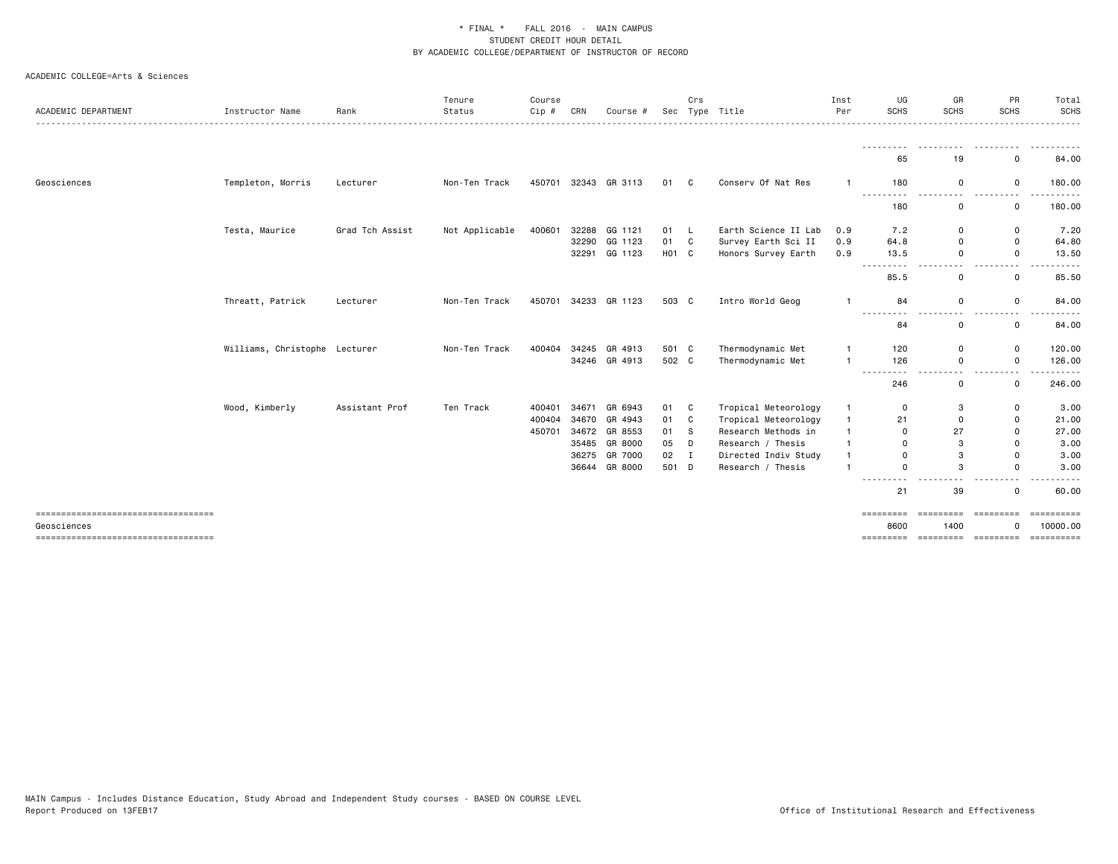| ACADEMIC DEPARTMENT                                  | Instructor Name               | Rank            | Tenure<br>Status | Course<br>$Cip$ # | CRN   | Course #                 | Sec           | Crs      | Type Title                                 | Inst<br>Per                      | UG<br><b>SCHS</b>     | GR<br><b>SCHS</b>                                                                                                                                                                                   | PR<br><b>SCHS</b>                       | Total<br>SCHS<br>.         |
|------------------------------------------------------|-------------------------------|-----------------|------------------|-------------------|-------|--------------------------|---------------|----------|--------------------------------------------|----------------------------------|-----------------------|-----------------------------------------------------------------------------------------------------------------------------------------------------------------------------------------------------|-----------------------------------------|----------------------------|
|                                                      |                               |                 |                  |                   |       |                          |               |          |                                            |                                  | ---------<br>65       | .<br>19                                                                                                                                                                                             | .<br>$\mathbf 0$                        | .<br>84.00                 |
| Geosciences                                          | Templeton, Morris             | Lecturer        | Non-Ten Track    | 450701            |       | 32343 GR 3113            | 01 C          |          | Conserv Of Nat Res                         | $\mathbf{1}$                     | 180                   | $\mathbf 0$                                                                                                                                                                                         | $\mathbf 0$                             | 180.00                     |
|                                                      |                               |                 |                  |                   |       |                          |               |          |                                            |                                  | .<br>180              | $\frac{1}{2} \left( \frac{1}{2} \right) \left( \frac{1}{2} \right) \left( \frac{1}{2} \right) \left( \frac{1}{2} \right) \left( \frac{1}{2} \right) \left( \frac{1}{2} \right)$<br>.<br>$\mathbf 0$ | $\sim$ $\sim$<br>------<br>$\mathsf{o}$ | .<br>180.00                |
|                                                      | Testa, Maurice                | Grad Tch Assist | Not Applicable   | 400601            | 32288 | GG 1121                  | 01            | - L      | Earth Science II Lab                       | 0.9                              | 7.2                   | $\mathbf 0$                                                                                                                                                                                         | 0                                       | 7.20                       |
|                                                      |                               |                 |                  |                   | 32290 | GG 1123<br>32291 GG 1123 | 01 C<br>H01 C |          | Survey Earth Sci II<br>Honors Survey Earth | 0.9<br>0.9                       | 64.8<br>13.5          | $\Omega$<br>$\Omega$                                                                                                                                                                                | $\mathbf 0$<br>$\mathbf 0$              | 64.80<br>13.50             |
|                                                      |                               |                 |                  |                   |       |                          |               |          |                                            |                                  |                       | . .                                                                                                                                                                                                 | $ -$                                    |                            |
|                                                      |                               |                 |                  |                   |       |                          |               |          |                                            |                                  | 85.5                  | $\mathbf 0$                                                                                                                                                                                         | 0                                       | 85.50                      |
|                                                      | Threatt, Patrick              | Lecturer        | Non-Ten Track    | 450701            |       | 34233 GR 1123            | 503 C         |          | Intro World Geog                           | -1                               | 84                    | 0                                                                                                                                                                                                   | 0                                       | 84.00                      |
|                                                      |                               |                 |                  |                   |       |                          |               |          |                                            |                                  | $- - -$<br>$ -$<br>84 | . .<br>0                                                                                                                                                                                            | . .<br>0                                | 84.00                      |
|                                                      | Williams, Christophe Lecturer |                 | Non-Ten Track    | 400404            |       | 34245 GR 4913            | 501 C         |          | Thermodynamic Met                          | -1                               | 120                   | $\mathbf 0$                                                                                                                                                                                         | 0                                       | 120.00                     |
|                                                      |                               |                 |                  |                   |       | 34246 GR 4913            | 502 C         |          | Thermodynamic Met                          | $\overline{1}$                   | 126                   | $\mathbf 0$                                                                                                                                                                                         | $\mathbf 0$                             | 126.00                     |
|                                                      |                               |                 |                  |                   |       |                          |               |          |                                            |                                  | ---------<br>246      | $ -$<br>0                                                                                                                                                                                           | $ -$<br>.<br>$\mathbf 0$                | 246.00                     |
|                                                      | Wood, Kimberly                | Assistant Prof  | Ten Track        | 400401            | 34671 | GR 6943                  | 01 C          |          | Tropical Meteorology                       | $\mathbf{1}$                     | $\mathbf 0$           | 3                                                                                                                                                                                                   | $\mathbf 0$                             | 3.00                       |
|                                                      |                               |                 |                  | 400404            |       | 34670 GR 4943            | 01            | C        | Tropical Meteorology                       | $\mathbf{1}$                     | 21                    | $\mathbf 0$                                                                                                                                                                                         | 0                                       | 21.00                      |
|                                                      |                               |                 |                  | 450701            |       | 34672 GR 8553            | 01            | <b>S</b> | Research Methods in                        | $\overline{1}$                   | $\Omega$              | 27                                                                                                                                                                                                  | $\mathbf 0$                             | 27.00                      |
|                                                      |                               |                 |                  |                   |       | 35485 GR 8000            | 05            | D        | Research / Thesis                          | $\overline{1}$                   | $\Omega$              | 3                                                                                                                                                                                                   | $\mathbf 0$                             | 3.00                       |
|                                                      |                               |                 |                  |                   | 36275 | GR 7000                  | 02            | Ι.       | Directed Indiv Study                       | $\overline{1}$<br>$\overline{1}$ | $\Omega$              | 3<br>3                                                                                                                                                                                              | $\mathbf 0$                             | 3.00                       |
|                                                      |                               |                 |                  |                   |       | 36644 GR 8000            | 501 D         |          | Research / Thesis                          |                                  | $\Omega$<br>----      |                                                                                                                                                                                                     | $\Omega$                                | 3.00                       |
|                                                      |                               |                 |                  |                   |       |                          |               |          |                                            |                                  | 21                    | 39                                                                                                                                                                                                  | 0                                       | 60.00                      |
| =====================================<br>Geosciences |                               |                 |                  |                   |       |                          |               |          |                                            |                                  | =========<br>8600     | ----------<br>1400                                                                                                                                                                                  | ----------<br>0                         | $=$ ==========<br>10000.00 |
| =====================================                |                               |                 |                  |                   |       |                          |               |          |                                            |                                  |                       |                                                                                                                                                                                                     | statestate approaches concertate        | - = = = = = = = = =        |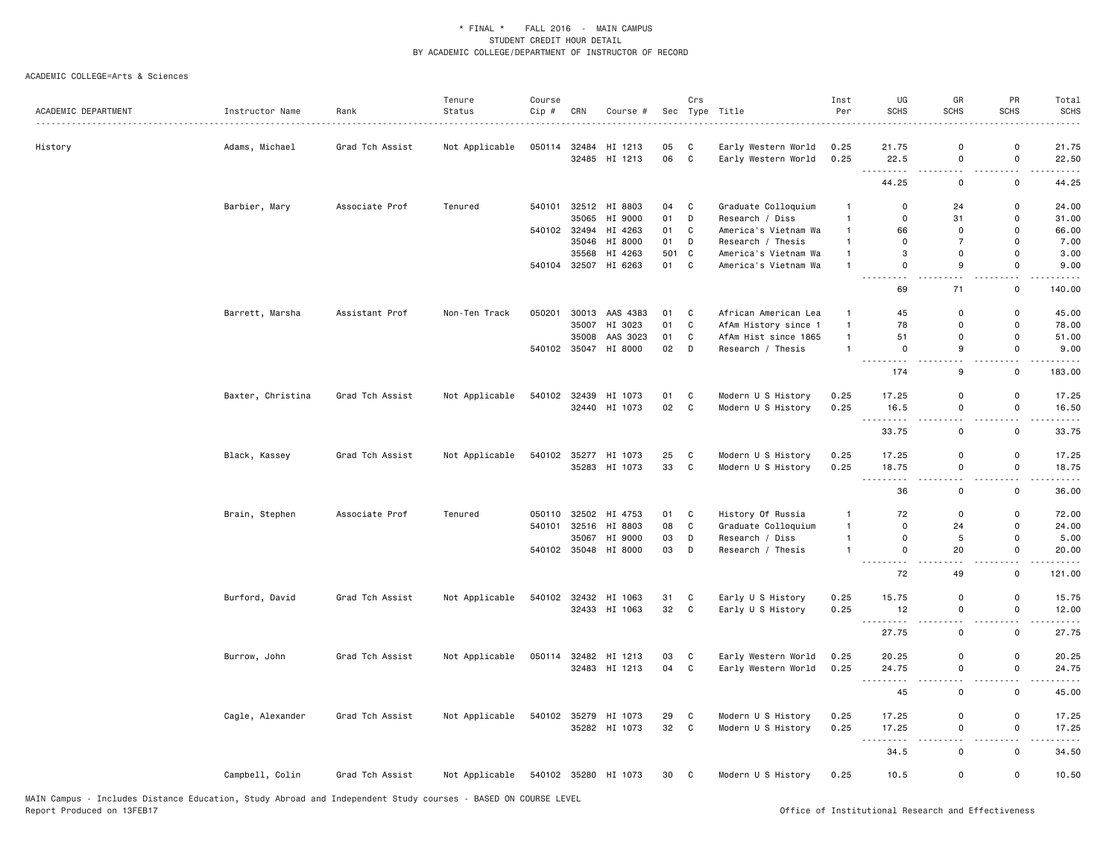|                     |                   |                 | Tenure         | Course |                       |                          |          | Crs          |                                            | Inst                           | UG                                 | GR                                      | PR                                       | Total                                                                                                                              |
|---------------------|-------------------|-----------------|----------------|--------|-----------------------|--------------------------|----------|--------------|--------------------------------------------|--------------------------------|------------------------------------|-----------------------------------------|------------------------------------------|------------------------------------------------------------------------------------------------------------------------------------|
| ACADEMIC DEPARTMENT | Instructor Name   | Rank            | Status         | Cip #  | CRN                   | Course #                 |          |              | Sec Type Title                             | Per                            | <b>SCHS</b>                        | <b>SCHS</b>                             | <b>SCHS</b>                              | <b>SCHS</b>                                                                                                                        |
|                     |                   |                 |                | 050114 | 32484                 | HI 1213                  | 05       | C            |                                            | 0.25                           | 21.75                              | 0                                       | 0                                        | 21.75                                                                                                                              |
| History             | Adams, Michael    | Grad Tch Assist | Not Applicable |        |                       | 32485 HI 1213            | 06       | $\mathbf{C}$ | Early Western World<br>Early Western World | 0.25                           | 22.5                               | $\mathsf 0$                             | $\mathsf 0$                              | 22.50                                                                                                                              |
|                     |                   |                 |                |        |                       |                          |          |              |                                            |                                | $\sim$ $\sim$ $\sim$<br>44.25      | 0                                       | 0                                        | 44.25                                                                                                                              |
|                     |                   |                 |                |        |                       |                          |          |              |                                            |                                |                                    |                                         |                                          |                                                                                                                                    |
|                     | Barbier, Mary     | Associate Prof  | Tenured        | 540101 |                       | 32512 HI 8803            | 04       | C            | Graduate Colloquium                        | $\overline{1}$                 | $\mathbf 0$<br>$\Omega$            | 24                                      | $\mathbf 0$                              | 24.00                                                                                                                              |
|                     |                   |                 |                |        | 35065<br>540102 32494 | HI 9000                  | 01<br>01 | D<br>C       | Research / Diss                            | $\mathbf{1}$<br>$\overline{1}$ | 66                                 | 31<br>$\mathbf 0$                       | $\mathbf 0$<br>$\mathbf 0$               | 31.00                                                                                                                              |
|                     |                   |                 |                |        |                       | HI 4263<br>35046 HI 8000 | 01       | D            | America's Vietnam Wa<br>Research / Thesis  | $\mathbf{1}$                   | $\mathbf 0$                        | $\overline{7}$                          | $\mathbf 0$                              | 66.00<br>7.00                                                                                                                      |
|                     |                   |                 |                |        | 35568                 | HI 4263                  | 501      | $\mathtt{C}$ | America's Vietnam Wa                       | $\overline{1}$                 | 3                                  | $\mathsf{o}$                            | $\mathbf 0$                              | 3.00                                                                                                                               |
|                     |                   |                 |                |        |                       | 540104 32507 HI 6263     | 01       | C            | America's Vietnam Wa                       | $\overline{1}$                 | $\Omega$                           | 9                                       | $\mathbf{0}$                             | 9.00                                                                                                                               |
|                     |                   |                 |                |        |                       |                          |          |              |                                            |                                | $\sim$                             | $-$                                     | $\sim$ $\sim$                            | $\frac{1}{2} \left( \frac{1}{2} \right) \left( \frac{1}{2} \right) \left( \frac{1}{2} \right) \left( \frac{1}{2} \right)$          |
|                     |                   |                 |                |        |                       |                          |          |              |                                            |                                | 69                                 | 71                                      | 0                                        | 140.00                                                                                                                             |
|                     | Barrett, Marsha   | Assistant Prof  | Non-Ten Track  | 050201 |                       | 30013 AAS 4383           | 01       | C            | African American Lea                       | $\overline{1}$                 | 45                                 | $\mathbf 0$                             | 0                                        | 45.00                                                                                                                              |
|                     |                   |                 |                |        | 35007                 | HI 3023                  | 01       | $\mathsf{C}$ | AfAm History since 1                       | $\overline{1}$                 | 78                                 | $\mathbf 0$                             | 0                                        | 78.00                                                                                                                              |
|                     |                   |                 |                |        | 35008                 | AAS 3023                 | 01       | C            | AfAm Hist since 1865                       | $\overline{1}$                 | 51                                 | $\mathbf 0$                             | $\Omega$                                 | 51.00                                                                                                                              |
|                     |                   |                 |                |        |                       | 540102 35047 HI 8000     | 02       | D            | Research / Thesis                          | $\overline{1}$                 | $\mathbf 0$<br>----                | 9<br>$\overline{\phantom{a}}$           | $\mathbf{0}$<br>$\overline{\phantom{a}}$ | 9.00<br>.                                                                                                                          |
|                     |                   |                 |                |        |                       |                          |          |              |                                            |                                | 174                                | 9                                       | $\mathbf 0$                              | 183.00                                                                                                                             |
|                     | Baxter, Christina | Grad Tch Assist | Not Applicable | 540102 |                       | 32439 HI 1073            | 01       | C            | Modern U S History                         | 0.25                           | 17.25                              | $\mathbf 0$                             | $\mathsf 0$                              | 17.25                                                                                                                              |
|                     |                   |                 |                |        |                       | 32440 HI 1073            | 02       | $\mathtt{C}$ | Modern U S History                         | 0.25                           | 16.5                               | $\mathsf{o}$                            | $\mathsf 0$                              | 16.50                                                                                                                              |
|                     |                   |                 |                |        |                       |                          |          |              |                                            |                                | $\sim$ $\sim$ $\sim$<br>.<br>33.75 | $\overline{\phantom{a}}$<br>$\mathsf 0$ | i.<br>$\mathsf 0$                        | $- - - -$<br>33.75                                                                                                                 |
|                     | Black, Kassey     | Grad Tch Assist | Not Applicable | 540102 |                       | 35277 HI 1073            | 25       | C            | Modern U S History                         | 0.25                           | 17.25                              | $\mathbf 0$                             | $\mathbf 0$                              | 17.25                                                                                                                              |
|                     |                   |                 |                |        |                       | 35283 HI 1073            | 33       | $\mathtt{C}$ | Modern U S History                         | 0.25                           | 18.75                              | $\mathsf{o}$                            | $\mathsf 0$                              | 18.75                                                                                                                              |
|                     |                   |                 |                |        |                       |                          |          |              |                                            |                                | .                                  | $\sim$ $\sim$                           | $ -$                                     | .                                                                                                                                  |
|                     |                   |                 |                |        |                       |                          |          |              |                                            |                                | 36                                 | $\mathsf{o}$                            | $\mathsf 0$                              | 36.00                                                                                                                              |
|                     | Brain, Stephen    | Associate Prof  | Tenured        | 050110 |                       | 32502 HI 4753            | 01       | C            | History Of Russia                          | $\mathbf{1}$                   | 72                                 | $\mathsf 0$                             | $\mathbf 0$                              | 72.00                                                                                                                              |
|                     |                   |                 |                | 540101 |                       | 32516 HI 8803            | 08       | $\mathtt{C}$ | Graduate Colloquium                        | $\overline{1}$                 | $\mathsf 0$                        | 24                                      | $\mathsf 0$                              | 24.00                                                                                                                              |
|                     |                   |                 |                |        | 35067                 | HI 9000                  | 03       | D            | Research / Diss                            | $\overline{1}$                 | $\mathbf 0$                        | $\,$ 5                                  | 0                                        | 5.00                                                                                                                               |
|                     |                   |                 |                |        |                       | 540102 35048 HI 8000     | 03       | D            | Research / Thesis                          | $\overline{1}$                 | $\mathsf 0$<br>.                   | 20                                      | $\mathsf 0$                              | 20.00<br>$\frac{1}{2} \left( \frac{1}{2} \right) \left( \frac{1}{2} \right) \left( \frac{1}{2} \right) \left( \frac{1}{2} \right)$ |
|                     |                   |                 |                |        |                       |                          |          |              |                                            |                                | 72                                 | 49                                      | 0                                        | 121.00                                                                                                                             |
|                     | Burford, David    | Grad Tch Assist | Not Applicable | 540102 |                       | 32432 HI 1063            | 31       | C            | Early U S History                          | 0.25                           | 15.75                              | $\mathsf 0$                             | 0                                        | 15.75                                                                                                                              |
|                     |                   |                 |                |        |                       | 32433 HI 1063            | 32       | $\mathbf{C}$ | Early U S History                          | 0.25                           | 12                                 | $\mathsf 0$                             | $\mathsf 0$                              | 12.00                                                                                                                              |
|                     |                   |                 |                |        |                       |                          |          |              |                                            |                                | . <u>.</u><br>27.75                | $ -$<br>$\mathsf 0$                     | $-$<br>$\mathsf 0$                       | .<br>27.75                                                                                                                         |
|                     | Burrow, John      | Grad Tch Assist | Not Applicable | 050114 |                       | 32482 HI 1213            | 03       | C            | Early Western World                        | 0.25                           | 20.25                              | 0                                       | 0                                        | 20.25                                                                                                                              |
|                     |                   |                 |                |        |                       | 32483 HI 1213            | 04       | C            | Early Western World                        | 0.25                           | 24.75                              | 0                                       | $\mathsf 0$                              | 24.75                                                                                                                              |
|                     |                   |                 |                |        |                       |                          |          |              |                                            |                                | .                                  |                                         |                                          |                                                                                                                                    |
|                     |                   |                 |                |        |                       |                          |          |              |                                            |                                | 45                                 | $\mathsf 0$                             | $\mathsf 0$                              | 45.00                                                                                                                              |
|                     | Cagle, Alexander  | Grad Tch Assist | Not Applicable |        |                       | 540102 35279 HI 1073     | 29       | C            | Modern U S History                         | 0.25                           | 17.25                              | $\mathsf{o}$                            | $\mathsf 0$                              | 17.25                                                                                                                              |
|                     |                   |                 |                |        |                       | 35282 HI 1073            | 32       | $\mathbf{C}$ | Modern U S History                         | 0.25                           | 17.25<br><b></b>                   | $\mathsf{o}$<br>$-$                     | $\mathsf 0$<br>$\overline{\phantom{a}}$  | 17.25<br>.                                                                                                                         |
|                     |                   |                 |                |        |                       |                          |          |              |                                            |                                | 34.5                               | $\mathsf{o}$                            | $\mathsf 0$                              | 34.50                                                                                                                              |
|                     | Campbell, Colin   | Grad Tch Assist | Not Applicable |        |                       | 540102 35280 HI 1073     | 30 C     |              | Modern U S History                         | 0.25                           | 10.5                               | 0                                       | $\mathsf 0$                              | 10.50                                                                                                                              |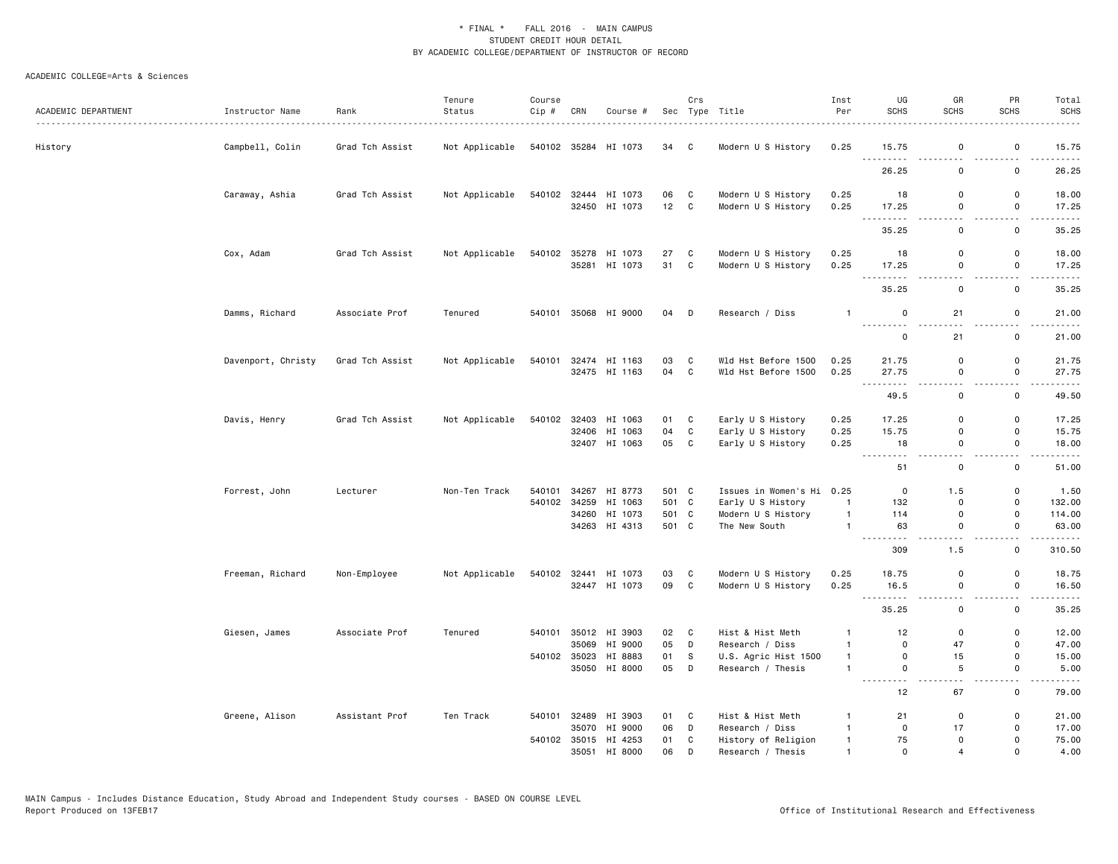| ACADEMIC DEPARTMENT | Instructor Name    | Rank<br>.       | Tenure<br>Status | Course<br>Cip # | CRN | Course #                              |          | Crs              | Sec Type Title                             | Inst<br>Per                      | UG<br><b>SCHS</b>                  | GR<br><b>SCHS</b>                       | PR<br>SCHS                              | Total<br><b>SCHS</b>                                                                                                                                          |
|---------------------|--------------------|-----------------|------------------|-----------------|-----|---------------------------------------|----------|------------------|--------------------------------------------|----------------------------------|------------------------------------|-----------------------------------------|-----------------------------------------|---------------------------------------------------------------------------------------------------------------------------------------------------------------|
| History             | Campbell, Colin    | Grad Tch Assist | Not Applicable   |                 |     | 540102 35284 HI 1073                  | 34 C     |                  | Modern U S History                         | 0.25                             | 15.75                              | 0                                       | 0                                       | 15.75                                                                                                                                                         |
|                     |                    |                 |                  |                 |     |                                       |          |                  |                                            |                                  | .<br>26.25                         | $\sim$ $\sim$<br>0                      | $\sim$ $\sim$<br>0                      | . <b>.</b> .<br>26.25                                                                                                                                         |
|                     | Caraway, Ashia     | Grad Tch Assist | Not Applicable   |                 |     | 540102 32444 HI 1073<br>32450 HI 1073 | 06<br>12 | C<br>C           | Modern U S History<br>Modern U S History   | 0.25<br>0.25                     | 18<br>17.25                        | 0<br>0                                  | $\mathbf 0$<br>0                        | 18.00<br>17.25                                                                                                                                                |
|                     |                    |                 |                  |                 |     |                                       |          |                  |                                            |                                  | <b></b><br>35.25                   | $\overline{\phantom{0}}$<br>$\mathbf 0$ | $\overline{\phantom{a}}$<br>$\mathsf 0$ | 35.25                                                                                                                                                         |
|                     | Cox, Adam          | Grad Tch Assist | Not Applicable   | 540102          |     | 35278 HI 1073                         | 27       | C                | Modern U S History                         | 0.25                             | 18                                 | $\mathsf 0$                             | $\mathsf 0$                             | 18.00                                                                                                                                                         |
|                     |                    |                 |                  |                 |     | 35281 HI 1073                         | 31       | $\mathbf{C}$     | Modern U S History                         | 0.25                             | 17.25<br>$\sim$ $\sim$ $\sim$<br>. | $\mathsf 0$<br>$\sim$ $\sim$            | $\mathsf 0$<br>$\sim$ $-$               | 17.25<br>.                                                                                                                                                    |
|                     |                    |                 |                  |                 |     |                                       |          |                  |                                            |                                  | 35.25                              | 0                                       | $\mathsf 0$                             | 35.25                                                                                                                                                         |
|                     | Damms, Richard     | Associate Prof  | Tenured          | 540101          |     | 35068 HI 9000                         | 04       | D                | Research / Diss                            | $\overline{1}$                   | $\mathbf 0$<br>---------           | 21                                      | 0                                       | 21.00                                                                                                                                                         |
|                     |                    |                 |                  |                 |     |                                       |          |                  |                                            |                                  | $\mathbf 0$                        | 21                                      | 0                                       | 21.00                                                                                                                                                         |
|                     | Davenport, Christy | Grad Tch Assist | Not Applicable   | 540101          |     | 32474 HI 1163<br>32475 HI 1163        | 03<br>04 | C<br>$\mathbf c$ | Wld Hst Before 1500<br>Wld Hst Before 1500 | 0.25<br>0.25                     | 21.75<br>27.75                     | $\mathsf{o}$<br>0                       | 0<br>$\mathsf 0$                        | 21.75<br>27.75                                                                                                                                                |
|                     |                    |                 |                  |                 |     |                                       |          |                  |                                            |                                  | 49.5                               | $ -$<br>$\mathsf{o}$                    | $-$<br>$\mathsf 0$                      | .<br>49.50                                                                                                                                                    |
|                     | Davis, Henry       | Grad Tch Assist | Not Applicable   | 540102          |     | 32403 HI 1063                         | 01       | C                | Early U S History                          | 0.25                             | 17.25                              | $\mathbf 0$                             | $\mathbf 0$                             | 17.25                                                                                                                                                         |
|                     |                    |                 |                  |                 |     | 32406 HI 1063                         | 04       | $\mathtt{C}$     | Early U S History                          | 0.25                             | 15.75                              | $\mathbf 0$                             | $\mathbf 0$                             | 15.75                                                                                                                                                         |
|                     |                    |                 |                  |                 |     | 32407 HI 1063                         | 05       | C                | Early U S History                          | 0.25                             | 18<br>.                            | $\mathbf 0$<br>.                        | $\mathbf 0$<br>$\sim$ $\sim$            | 18.00<br>.                                                                                                                                                    |
|                     |                    |                 |                  |                 |     |                                       |          |                  |                                            |                                  | 51                                 | 0                                       | $\mathbf 0$                             | 51.00                                                                                                                                                         |
|                     | Forrest, John      | Lecturer        | Non-Ten Track    | 540101          |     | 34267 HI 8773                         | 501 C    |                  | Issues in Women's Hi 0.25                  |                                  | 0                                  | 1.5                                     | 0                                       | 1.50                                                                                                                                                          |
|                     |                    |                 |                  | 540102          |     | 34259 HI 1063                         | 501 C    |                  | Early U S History                          | $\mathbf{1}$                     | 132                                | $\mathbf 0$                             | 0                                       | 132.00                                                                                                                                                        |
|                     |                    |                 |                  |                 |     | 34260 HI 1073                         | 501 C    |                  | Modern U S History                         | $\overline{1}$                   | 114                                | 0                                       | 0                                       | 114.00                                                                                                                                                        |
|                     |                    |                 |                  |                 |     | 34263 HI 4313                         | 501 C    |                  | The New South                              | $\overline{1}$                   | 63                                 | 0                                       | 0<br>$\sim$ $\sim$                      | 63.00                                                                                                                                                         |
|                     |                    |                 |                  |                 |     |                                       |          |                  |                                            |                                  | 309                                | 1.5                                     | 0                                       | 310.50                                                                                                                                                        |
|                     | Freeman, Richard   | Non-Employee    | Not Applicable   | 540102          |     | 32441 HI 1073                         | 03       | C                | Modern U S History                         | 0.25                             | 18.75                              | 0                                       | 0                                       | 18.75                                                                                                                                                         |
|                     |                    |                 |                  |                 |     | 32447 HI 1073                         | 09       | $\mathbf{C}$     | Modern U S History                         | 0.25                             | 16.5<br>.<br>$\sim$ $\sim$ $\sim$  | $\mathsf 0$<br>$-$                      | $\mathsf 0$<br>$-$                      | 16.50<br>$\frac{1}{2}$                                                                                                                                        |
|                     |                    |                 |                  |                 |     |                                       |          |                  |                                            |                                  | 35.25                              | $\mathbf 0$                             | $\mathbf 0$                             | 35.25                                                                                                                                                         |
|                     | Giesen, James      | Associate Prof  | Tenured          |                 |     | 540101 35012 HI 3903                  | 02       | C                | Hist & Hist Meth                           | $\mathbf{1}$                     | 12                                 | 0                                       | 0                                       | 12.00                                                                                                                                                         |
|                     |                    |                 |                  |                 |     | 35069 HI 9000                         | 05       | D                | Research / Diss                            | $\overline{1}$                   | $\mathbf 0$                        | 47                                      | $\mathbf 0$                             | 47.00                                                                                                                                                         |
|                     |                    |                 |                  | 540102          |     | 35023 HI 8883<br>35050 HI 8000        | 01<br>05 | s<br>D           | U.S. Agric Hist 1500<br>Research / Thesis  | $\overline{1}$<br>$\overline{1}$ | $\mathbf 0$<br>$\mathbf 0$         | 15<br>$\sqrt{5}$                        | $\mathsf 0$<br>$\mathsf 0$              | 15.00<br>5.00                                                                                                                                                 |
|                     |                    |                 |                  |                 |     |                                       |          |                  |                                            |                                  | .<br>12                            | . .<br>67                               | $\overline{\phantom{a}}$<br>$\mathsf 0$ | $\frac{1}{2} \left( \frac{1}{2} \right) \left( \frac{1}{2} \right) \left( \frac{1}{2} \right) \left( \frac{1}{2} \right) \left( \frac{1}{2} \right)$<br>79.00 |
|                     | Greene, Alison     | Assistant Prof  | Ten Track        | 540101          |     | 32489 HI 3903                         | 01       | C                | Hist & Hist Meth                           | $\mathbf{1}$                     | 21                                 | $\mathsf 0$                             | 0                                       | 21.00                                                                                                                                                         |
|                     |                    |                 |                  |                 |     | 35070 HI 9000                         | 06       | D                | Research / Diss                            | $\overline{1}$                   | $\mathsf{O}$                       | 17                                      | 0                                       | 17.00                                                                                                                                                         |
|                     |                    |                 |                  |                 |     | 540102 35015 HI 4253                  | 01       | С                | History of Religion                        | $\mathbf{1}$                     | 75                                 | 0                                       | $\Omega$                                | 75.00                                                                                                                                                         |
|                     |                    |                 |                  |                 |     | 35051 HI 8000                         | 06       | D                | Research / Thesis                          | $\mathbf{1}$                     | $\Omega$                           | $\overline{a}$                          | $\Omega$                                | 4.00                                                                                                                                                          |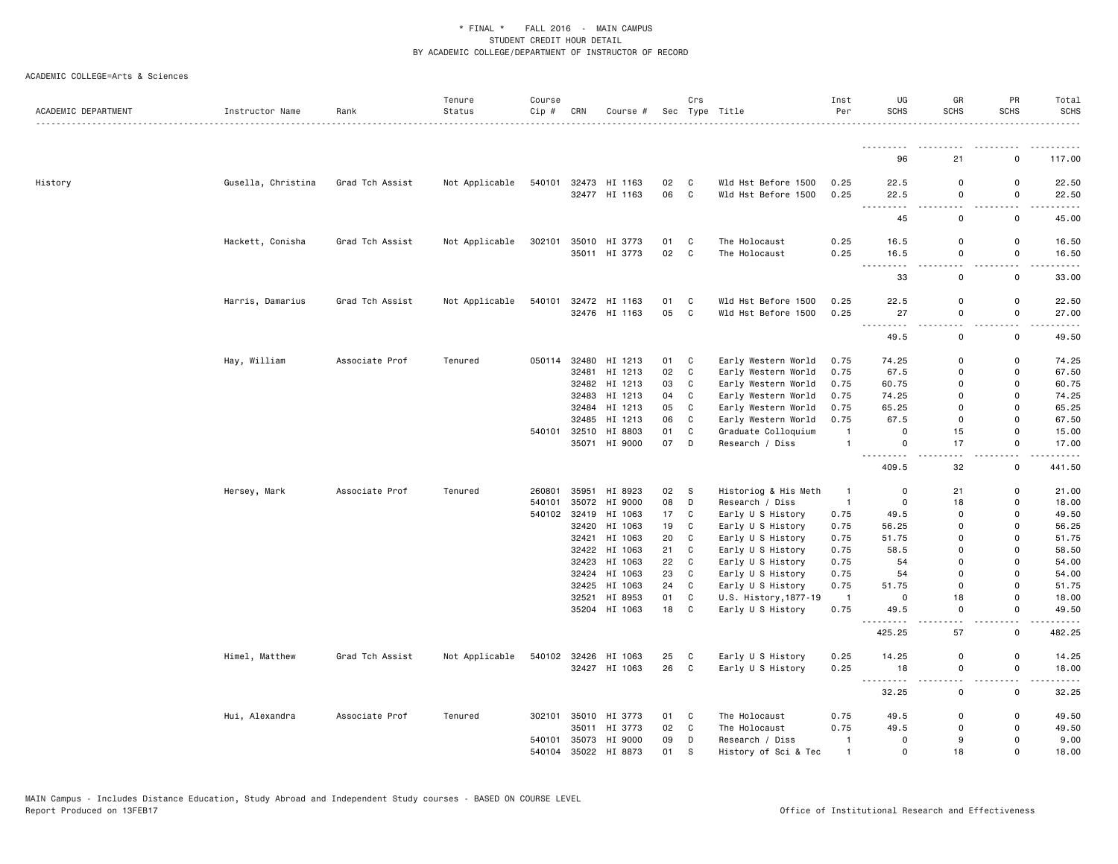| ACADEMIC DEPARTMENT | Instructor Name    | Rank            | Tenure<br>Status | Course<br>Cip # | CRN   | Course #      |    | Crs         | Sec Type Title        | Inst<br>Per    | UG<br><b>SCHS</b>            | GR<br><b>SCHS</b>     | PR<br><b>SCHS</b>      | Total<br><b>SCHS</b><br>.                                                                                                          |
|---------------------|--------------------|-----------------|------------------|-----------------|-------|---------------|----|-------------|-----------------------|----------------|------------------------------|-----------------------|------------------------|------------------------------------------------------------------------------------------------------------------------------------|
|                     |                    |                 |                  |                 |       |               |    |             |                       |                | ---------                    |                       |                        |                                                                                                                                    |
|                     |                    |                 |                  |                 |       |               |    |             |                       |                | 96                           | 21                    | 0                      | 117.00                                                                                                                             |
| History             | Gusella, Christina | Grad Tch Assist | Not Applicable   | 540101          |       | 32473 HI 1163 | 02 | C           | Wld Hst Before 1500   | 0.25           | 22.5                         | 0                     | 0                      | 22.50                                                                                                                              |
|                     |                    |                 |                  |                 |       | 32477 HI 1163 | 06 | C           | Wld Hst Before 1500   | 0.25           | 22.5                         | $\mathsf 0$           | $\mathsf{o}\,$<br>.    | 22.50                                                                                                                              |
|                     |                    |                 |                  |                 |       |               |    |             |                       |                | .<br>45                      | 0                     | 0                      | .<br>45.00                                                                                                                         |
|                     | Hackett, Conisha   | Grad Tch Assist | Not Applicable   | 302101          | 35010 | HI 3773       | 01 | C           | The Holocaust         | 0.25           | 16.5                         | 0                     | 0                      | 16.50                                                                                                                              |
|                     |                    |                 |                  |                 |       | 35011 HI 3773 | 02 | $\mathbf c$ | The Holocaust         | 0.25           | 16.5<br><u>.</u>             | $\mathsf 0$<br>$\sim$ | $\mathsf{o}\,$<br>$-1$ | 16.50                                                                                                                              |
|                     |                    |                 |                  |                 |       |               |    |             |                       |                | 33                           | $\mathsf 0$           | $\mathsf{o}\,$         | $\frac{1}{2} \left( \frac{1}{2} \right) \left( \frac{1}{2} \right) \left( \frac{1}{2} \right) \left( \frac{1}{2} \right)$<br>33.00 |
|                     | Harris, Damarius   | Grad Tch Assist | Not Applicable   | 540101          |       | 32472 HI 1163 | 01 | $\mathbf C$ | Wld Hst Before 1500   | 0.25           | 22.5                         | $\mathsf 0$           | $\mathsf{o}\,$         | 22.50                                                                                                                              |
|                     |                    |                 |                  |                 |       | 32476 HI 1163 | 05 | C           | Wld Hst Before 1500   | 0.25           | 27                           | $\Omega$              | $\mathsf{o}$           | 27.00                                                                                                                              |
|                     |                    |                 |                  |                 |       |               |    |             |                       |                | $\frac{1}{2}$<br>49.5        | $\mathbf 0$           | 0                      | $- - - - -$<br>49.50                                                                                                               |
|                     | Hay, William       | Associate Prof  | Tenured          | 050114          | 32480 | HI 1213       | 01 | C           | Early Western World   | 0.75           | 74.25                        | 0                     | 0                      | 74.25                                                                                                                              |
|                     |                    |                 |                  |                 | 32481 | HI 1213       | 02 | C           | Early Western World   | 0.75           | 67.5                         | $\mathbf 0$           | 0                      | 67.50                                                                                                                              |
|                     |                    |                 |                  |                 |       | 32482 HI 1213 | 03 | C           | Early Western World   | 0.75           | 60.75                        | 0                     | 0                      | 60.75                                                                                                                              |
|                     |                    |                 |                  |                 |       | 32483 HI 1213 | 04 | C           | Early Western World   | 0.75           | 74.25                        | 0                     | 0                      | 74.25                                                                                                                              |
|                     |                    |                 |                  |                 |       | 32484 HI 1213 | 05 | $\mathbf C$ | Early Western World   | 0.75           | 65.25                        | $\mathbf 0$           | 0                      | 65.25                                                                                                                              |
|                     |                    |                 |                  |                 | 32485 | HI 1213       | 06 | C           | Early Western World   | 0.75           | 67.5                         | $\Omega$              | 0                      | 67.50                                                                                                                              |
|                     |                    |                 |                  | 540101          | 32510 | HI 8803       | 01 | C           | Graduate Colloquium   | $\mathbf{1}$   | $\mathbf 0$                  | 15                    | 0                      | 15.00                                                                                                                              |
|                     |                    |                 |                  |                 |       | 35071 HI 9000 | 07 | D           | Research / Diss       | $\mathbf{1}$   | $\mathbf 0$                  | 17                    | $\mathsf{o}$           | 17.00<br>.                                                                                                                         |
|                     |                    |                 |                  |                 |       |               |    |             |                       |                | 409.5                        | 32                    | 0                      | 441.50                                                                                                                             |
|                     | Hersey, Mark       | Associate Prof  | Tenured          | 260801          |       | 35951 HI 8923 | 02 | S           | Historiog & His Meth  | $\mathbf{1}$   | $\mathbf 0$                  | 21                    | 0                      | 21.00                                                                                                                              |
|                     |                    |                 |                  | 540101          | 35072 | HI 9000       | 08 | D           | Research / Diss       | $\overline{1}$ | $\mathsf 0$                  | 18                    | 0                      | 18.00                                                                                                                              |
|                     |                    |                 |                  | 540102          | 32419 | HI 1063       | 17 | $\mathbf C$ | Early U S History     | 0.75           | 49.5                         | 0                     | 0                      | 49.50                                                                                                                              |
|                     |                    |                 |                  |                 | 32420 | HI 1063       | 19 | C           | Early U S History     | 0.75           | 56.25                        | $\Omega$              | 0                      | 56.25                                                                                                                              |
|                     |                    |                 |                  |                 | 32421 | HI 1063       | 20 | C           | Early U S History     | 0.75           | 51.75                        | 0                     | 0                      | 51.75                                                                                                                              |
|                     |                    |                 |                  |                 | 32422 | HI 1063       | 21 | $\mathbf C$ | Early U S History     | 0.75           | 58.5                         | 0                     | 0                      | 58.50                                                                                                                              |
|                     |                    |                 |                  |                 | 32423 | HI 1063       | 22 | C           | Early U S History     | 0.75           | 54                           | $\Omega$              | 0                      | 54.00                                                                                                                              |
|                     |                    |                 |                  |                 | 32424 | HI 1063       | 23 | C           | Early U S History     | 0.75           | 54                           | 0                     | 0                      | 54.00                                                                                                                              |
|                     |                    |                 |                  |                 | 32425 | HI 1063       | 24 | $\mathbf C$ | Early U S History     | 0.75           | 51.75                        | $\mathsf 0$           | 0                      | 51.75                                                                                                                              |
|                     |                    |                 |                  |                 |       | 32521 HI 8953 | 01 | C           | U.S. History, 1877-19 | $\overline{1}$ | $\mathbf 0$                  | 18                    | 0                      | 18.00                                                                                                                              |
|                     |                    |                 |                  |                 |       | 35204 HI 1063 | 18 | $\mathbf C$ | Early U S History     | 0.75           | 49.5<br>$\sim$ $\sim$ $\sim$ | $\mathsf 0$           | $\mathsf{o}\,$         | 49.50<br>$\frac{1}{2} \left( \frac{1}{2} \right) \left( \frac{1}{2} \right) \left( \frac{1}{2} \right) \left( \frac{1}{2} \right)$ |
|                     |                    |                 |                  |                 |       |               |    |             |                       |                | 425.25                       | 57                    | $\mathsf{o}\,$         | 482.25                                                                                                                             |
|                     | Himel, Matthew     | Grad Tch Assist | Not Applicable   | 540102          |       | 32426 HI 1063 | 25 | C           | Early U S History     | 0.25           | 14.25                        | 0                     | 0                      | 14.25                                                                                                                              |
|                     |                    |                 |                  |                 |       | 32427 HI 1063 | 26 | C           | Early U S History     | 0.25           | 18<br>$  -$                  | $\mathsf 0$           | $\mathsf{o}\,$         | 18.00<br>.                                                                                                                         |
|                     |                    |                 |                  |                 |       |               |    |             |                       |                | 32.25                        | 0                     | 0                      | 32.25                                                                                                                              |
|                     | Hui, Alexandra     | Associate Prof  | Tenured          | 302101          |       | 35010 HI 3773 | 01 | C           | The Holocaust         | 0.75           | 49.5                         | 0                     | 0                      | 49.50                                                                                                                              |
|                     |                    |                 |                  |                 |       | 35011 HI 3773 | 02 | C           | The Holocaust         | 0.75           | 49.5                         | $\Omega$              | 0                      | 49.50                                                                                                                              |
|                     |                    |                 |                  | 540101          |       | 35073 HI 9000 | 09 | D           | Research / Diss       | $\mathbf{1}$   | $\mathbf 0$                  | 9                     | 0                      | 9.00                                                                                                                               |
|                     |                    |                 |                  | 540104          | 35022 | HI 8873       | 01 | S           | History of Sci & Tec  | $\mathbf{1}$   | $\Omega$                     | 18                    | $\Omega$               | 18.00                                                                                                                              |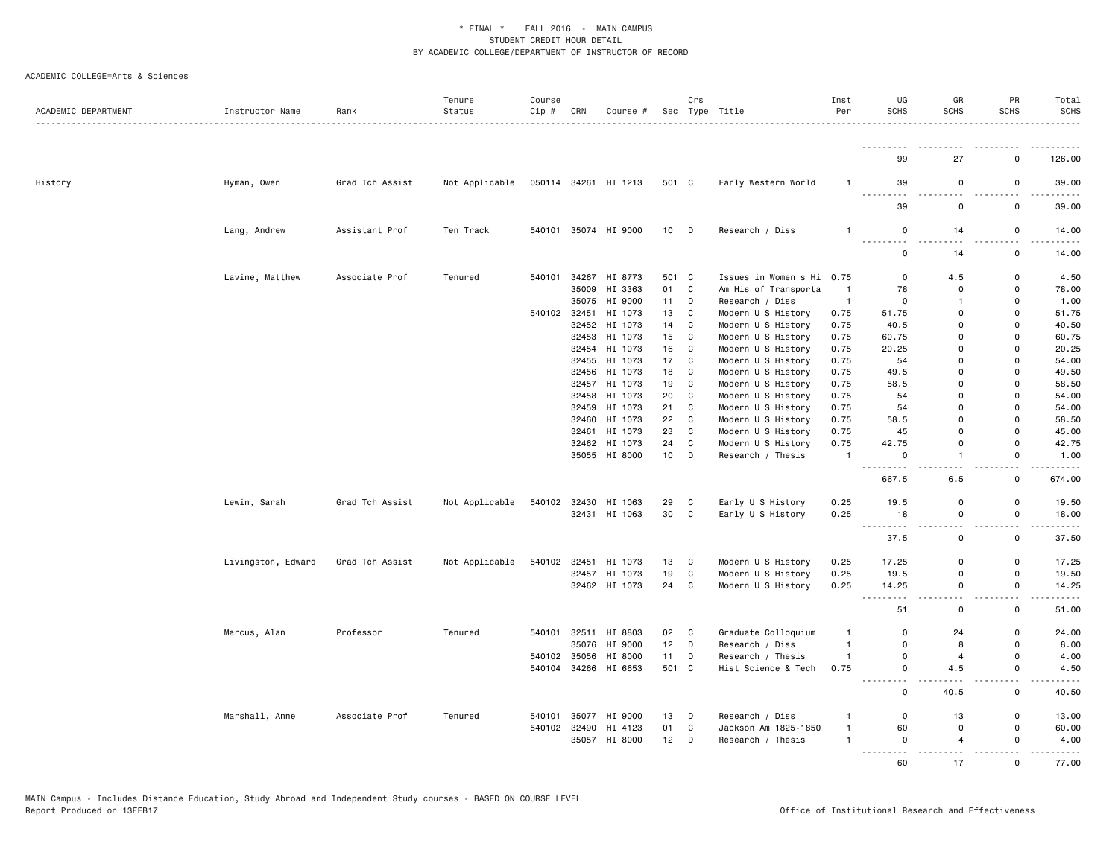| ACADEMIC DEPARTMENT | Instructor Name    | Rank            | Tenure<br>Status | Course<br>Cip # | CRN            | Course #             |             | Crs | Sec Type Title                               | Inst<br>Per            | UG<br><b>SCHS</b>                 | GR<br><b>SCHS</b> | PR<br><b>SCHS</b>       | Total<br><b>SCHS</b><br><u>.</u>                                                                                                                              |
|---------------------|--------------------|-----------------|------------------|-----------------|----------------|----------------------|-------------|-----|----------------------------------------------|------------------------|-----------------------------------|-------------------|-------------------------|---------------------------------------------------------------------------------------------------------------------------------------------------------------|
|                     |                    |                 |                  |                 |                |                      |             |     |                                              |                        | <u>.</u><br>99                    | 27                | O                       | 126.00                                                                                                                                                        |
| History             | Hyman, Owen        | Grad Tch Assist | Not Applicable   |                 |                | 050114 34261 HI 1213 | 501 C       |     | Early Western World                          | -1                     | 39                                | $\mathbf 0$       | $\mathbf 0$             | 39.00                                                                                                                                                         |
|                     |                    |                 |                  |                 |                |                      |             |     |                                              |                        | .<br>39                           | $\mathbf 0$       | 0                       | والمستمرين<br>39.00                                                                                                                                           |
|                     |                    |                 |                  |                 |                |                      |             |     |                                              |                        |                                   |                   |                         |                                                                                                                                                               |
|                     | Lang, Andrew       | Assistant Prof  | Ten Track        |                 |                | 540101 35074 HI 9000 | $10$ D      |     | Research / Diss                              | $\mathbf{1}$           | 0                                 | 14                | 0                       | 14.00<br>$\frac{1}{2} \left( \frac{1}{2} \right) \left( \frac{1}{2} \right) \left( \frac{1}{2} \right) \left( \frac{1}{2} \right) \left( \frac{1}{2} \right)$ |
|                     |                    |                 |                  |                 |                |                      |             |     |                                              |                        | $\Omega$                          | 14                | $\mathbf 0$             | 14.00                                                                                                                                                         |
|                     | Lavine, Matthew    | Associate Prof  | Tenured          | 540101          | 34267<br>35009 | HI 8773<br>HI 3363   | 501 C<br>01 | C   | Issues in Women's Hi<br>Am His of Transporta | 0.75<br>$\overline{1}$ | 0<br>78                           | 4.5<br>$\Omega$   | $\mathbf 0$<br>$\Omega$ | 4.50<br>78.00                                                                                                                                                 |
|                     |                    |                 |                  |                 |                | 35075 HI 9000        | 11          | D   | Research / Diss                              | $\overline{1}$         | $\Omega$                          | 1                 | $\Omega$                | 1.00                                                                                                                                                          |
|                     |                    |                 |                  | 540102 32451    |                | HI 1073              | 13          | C   | Modern U S History                           | 0.75                   | 51.75                             | $\mathbf 0$       | $\Omega$                | 51.75                                                                                                                                                         |
|                     |                    |                 |                  |                 | 32452          | HI 1073              | 14          | C   | Modern U S History                           | 0.75                   | 40.5                              | $\Omega$          | $\Omega$                | 40.50                                                                                                                                                         |
|                     |                    |                 |                  |                 |                | 32453 HI 1073        | 15          | C   | Modern U S History                           | 0.75                   | 60.75                             | $\Omega$          | $\Omega$                | 60.75                                                                                                                                                         |
|                     |                    |                 |                  |                 |                | 32454 HI 1073        | 16          | C   | Modern U S History                           | 0.75                   | 20.25                             | $\Omega$          | $\Omega$                | 20.25                                                                                                                                                         |
|                     |                    |                 |                  |                 | 32455          | HI 1073              | 17          | C   | Modern U S History                           | 0.75                   | 54                                | $\Omega$          | $\Omega$                | 54.00                                                                                                                                                         |
|                     |                    |                 |                  |                 |                | 32456 HI 1073        | 18          | C   | Modern U S History                           | 0.75                   | 49.5                              | $\Omega$          | $\Omega$                | 49.50                                                                                                                                                         |
|                     |                    |                 |                  |                 |                | 32457 HI 1073        | 19          | C   | Modern U S History                           | 0.75                   | 58.5                              | $\Omega$          | $\Omega$                | 58.50                                                                                                                                                         |
|                     |                    |                 |                  |                 | 32458          | HI 1073              | 20          | C   | Modern U S History                           | 0.75                   | 54                                | $\Omega$          | $\Omega$                | 54.00                                                                                                                                                         |
|                     |                    |                 |                  |                 |                |                      |             |     |                                              |                        |                                   | $\Omega$          | $\Omega$                |                                                                                                                                                               |
|                     |                    |                 |                  |                 | 32459          | HI 1073              | 21          | C   | Modern U S History                           | 0.75                   | 54                                | $\Omega$          |                         | 54.00                                                                                                                                                         |
|                     |                    |                 |                  |                 |                | 32460 HI 1073        | 22          | C   | Modern U S History                           | 0.75                   | 58.5                              |                   | 0                       | 58.50                                                                                                                                                         |
|                     |                    |                 |                  |                 | 32461          | HI 1073              | 23          | C   | Modern U S History                           | 0.75                   | 45                                | $\Omega$          | $\Omega$                | 45.00                                                                                                                                                         |
|                     |                    |                 |                  |                 |                | 32462 HI 1073        | 24          | C   | Modern U S History                           | 0.75                   | 42.75                             | $\Omega$          | $\Omega$                | 42.75                                                                                                                                                         |
|                     |                    |                 |                  |                 |                | 35055 HI 8000        | 10          | D   | Research / Thesis                            | $\overline{1}$         | 0<br>$\omega \neq \omega$<br>.    | 1                 | $\mathsf 0$             | 1.00<br>$    -$                                                                                                                                               |
|                     |                    |                 |                  |                 |                |                      |             |     |                                              |                        | 667.5                             | 6.5               | 0                       | 674.00                                                                                                                                                        |
|                     | Lewin, Sarah       | Grad Tch Assist | Not Applicable   |                 |                | 540102 32430 HI 1063 | 29          | C   | Early U S History                            | 0.25                   | 19.5                              | $\mathbf 0$       | $\Omega$                | 19.50                                                                                                                                                         |
|                     |                    |                 |                  |                 |                | 32431 HI 1063        | 30          | C   | Early U S History                            | 0.25                   | 18                                | $\Omega$          | 0                       | 18.00                                                                                                                                                         |
|                     |                    |                 |                  |                 |                |                      |             |     |                                              |                        | $\sim$ $\sim$ $\sim$<br>.<br>37.5 | $\Omega$          | $\mathbf 0$             | .<br>37.50                                                                                                                                                    |
|                     | Livingston, Edward | Grad Tch Assist | Not Applicable   | 540102          | 32451          | HI 1073              | 13          | C   | Modern U S History                           | 0.25                   | 17.25                             | $\Omega$          | 0                       | 17.25                                                                                                                                                         |
|                     |                    |                 |                  |                 |                | 32457 HI 1073        | 19          | C   | Modern U S History                           | 0.25                   | 19.5                              | $\Omega$          | $\Omega$                | 19.50                                                                                                                                                         |
|                     |                    |                 |                  |                 |                | 32462 HI 1073        | 24          | C   | Modern U S History                           | 0.25                   | 14.25                             | $\Omega$          | 0                       | 14.25<br>$\frac{1}{2} \left( \frac{1}{2} \right) \left( \frac{1}{2} \right) \left( \frac{1}{2} \right) \left( \frac{1}{2} \right) \left( \frac{1}{2} \right)$ |
|                     |                    |                 |                  |                 |                |                      |             |     |                                              |                        | 51                                | $\mathbf 0$       | $\mathbf 0$             | 51.00                                                                                                                                                         |
|                     | Marcus, Alan       | Professor       | Tenured          |                 |                | 540101 32511 HI 8803 | 02 C        |     | Graduate Colloquium                          | $\mathbf{1}$           | 0                                 | 24                | 0                       | 24.00                                                                                                                                                         |
|                     |                    |                 |                  |                 | 35076          | HI 9000              | 12          | D   | Research / Diss                              | $\mathbf{1}$           | $\Omega$                          | 8                 | $\Omega$                | 8.00                                                                                                                                                          |
|                     |                    |                 |                  |                 |                | 540102 35056 HI 8000 | 11          | D   | Research / Thesis                            | $\mathbf{1}$           | $\Omega$                          | $\overline{4}$    | $\Omega$                | 4.00                                                                                                                                                          |
|                     |                    |                 |                  | 540104          |                | 34266 HI 6653        | 501 C       |     | Hist Science & Tech                          | 0.75                   | 0                                 | 4.5               | $\mathsf 0$             | 4.50                                                                                                                                                          |
|                     |                    |                 |                  |                 |                |                      |             |     |                                              |                        | 0                                 | 40.5              | 0                       | 40.50                                                                                                                                                         |
|                     | Marshall, Anne     | Associate Prof  | Tenured          | 540101          |                | 35077 HI 9000        | 13          | D   | Research / Diss                              | -1                     | 0                                 | 13                | $\mathbf 0$             | 13.00                                                                                                                                                         |
|                     |                    |                 |                  |                 | 540102 32490   | HI 4123              | 01          | C   | Jackson Am 1825-1850                         | $\mathbf{1}$           | 60                                | $\mathbf 0$       | 0                       | 60.00                                                                                                                                                         |
|                     |                    |                 |                  |                 |                | 35057 HI 8000        | $12$ D      |     | Research / Thesis                            | $\mathbf{1}$           | $\Omega$<br>.                     | $\overline{4}$    | $\Omega$                | 4.00                                                                                                                                                          |
|                     |                    |                 |                  |                 |                |                      |             |     |                                              |                        | 60                                | 17                | $\Omega$                | 77.00                                                                                                                                                         |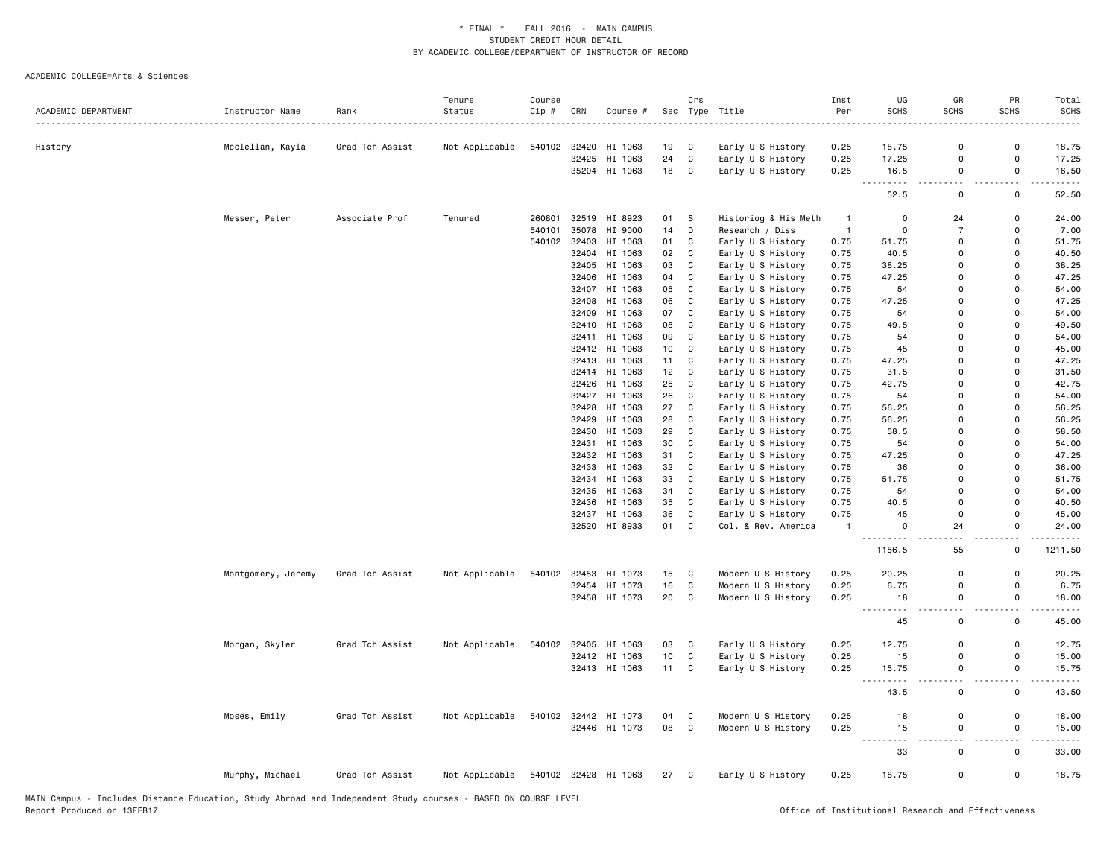|                     |                    |                 | Tenure         | Course |       |                      |      | Crs          |                      | Inst           | UG             | GR                     | PR                               | Total             |
|---------------------|--------------------|-----------------|----------------|--------|-------|----------------------|------|--------------|----------------------|----------------|----------------|------------------------|----------------------------------|-------------------|
| ACADEMIC DEPARTMENT | Instructor Name    | Rank            | Status         | Cip #  | CRN   | Course #             |      |              | Sec Type Title       | Per            | SCHS           | <b>SCHS</b>            | <b>SCHS</b>                      | <b>SCHS</b>       |
|                     |                    |                 |                |        |       |                      |      |              |                      |                |                |                        |                                  |                   |
| History             | Mcclellan, Kayla   | Grad Tch Assist | Not Applicable | 540102 | 32420 | HI 1063              | 19   | C            | Early U S History    | 0.25           | 18.75          | 0                      | 0                                | 18.75             |
|                     |                    |                 |                |        | 32425 | HI 1063              | 24   | $\mathtt{C}$ | Early U S History    | 0.25           | 17.25          | $\mathbf 0$            | 0                                | 17.25             |
|                     |                    |                 |                |        |       | 35204 HI 1063        | 18   | $\mathbf C$  | Early U S History    | 0.25           | 16.5<br>.      | $\mathsf{o}$<br>$\sim$ | $\mathsf{o}\,$<br>$\overline{a}$ | 16.50<br>.        |
|                     |                    |                 |                |        |       |                      |      |              |                      |                | 52.5           | 0                      | 0                                | 52.50             |
|                     | Messer, Peter      | Associate Prof  | Tenured        | 260801 |       | 32519 HI 8923        | 01   | S            | Historiog & His Meth | $\mathbf{1}$   | 0              | 24                     | 0                                | 24.00             |
|                     |                    |                 |                | 540101 |       | 35078 HI 9000        | 14   | D            | Research / Diss      | $\overline{1}$ | 0              | $\overline{7}$         | $\mathbf 0$                      | 7.00              |
|                     |                    |                 |                | 540102 | 32403 | HI 1063              | 01   | C            | Early U S History    | 0.75           | 51.75          | 0                      | 0                                | 51.75             |
|                     |                    |                 |                |        |       | 32404 HI 1063        | 02   | C            | Early U S History    | 0.75           | 40.5           | $\Omega$               | $\Omega$                         | 40.50             |
|                     |                    |                 |                |        |       | 32405 HI 1063        | 03   | C            | Early U S History    | 0.75           | 38.25          | $\mathbf 0$            | 0                                | 38.25             |
|                     |                    |                 |                |        |       | 32406 HI 1063        | 04   | C            | Early U S History    | 0.75           | 47.25          | $\Omega$               | $\Omega$                         | 47.25             |
|                     |                    |                 |                |        | 32407 | HI 1063              | 05   | C            | Early U S History    | 0.75           | 54             | $\Omega$               | $\Omega$                         | 54.00             |
|                     |                    |                 |                |        | 32408 | HI 1063              | 06   | $\mathtt{C}$ | Early U S History    | 0.75           | 47.25          | 0                      | $\mathbf 0$                      | 47.25             |
|                     |                    |                 |                |        |       | 32409 HI 1063        | 07   | C            | Early U S History    | 0.75           | 54             | $\Omega$               | $\Omega$                         | 54.00             |
|                     |                    |                 |                |        | 32410 | HI 1063              | 08   | C            | Early U S History    | 0.75           | 49.5           | $\Omega$               | $\Omega$                         | 49.50             |
|                     |                    |                 |                |        |       | 32411 HI 1063        | 09   | C            | Early U S History    | 0.75           | 54             | $\Omega$               | $\Omega$                         | 54.00             |
|                     |                    |                 |                |        |       | 32412 HI 1063        | 10   | $\mathtt{C}$ | Early U S History    | 0.75           | 45             | $\Omega$               | $\Omega$                         | 45.00             |
|                     |                    |                 |                |        |       | 32413 HI 1063        | 11   | $\mathbb{C}$ | Early U S History    | 0.75           | 47.25          | $\mathbf 0$            | $\Omega$                         | 47.25             |
|                     |                    |                 |                |        |       | 32414 HI 1063        | 12   | C            | Early U S History    | 0.75           | 31.5           | $\mathbf 0$            | 0                                | 31.50             |
|                     |                    |                 |                |        | 32426 | HI 1063              | 25   | C            | Early U S History    | 0.75           | 42.75          | $\mathbf 0$            | 0                                | 42.75             |
|                     |                    |                 |                |        | 32427 | HI 1063              | 26   | C            | Early U S History    | 0.75           | 54             | $\mathbf 0$            | $\Omega$                         | 54.00             |
|                     |                    |                 |                |        | 32428 | HI 1063              | 27   | $\mathtt{C}$ | Early U S History    | 0.75           | 56.25          | $\mathbf 0$            | $\Omega$                         | 56.25             |
|                     |                    |                 |                |        | 32429 | HI 1063              | 28   | C            | Early U S History    | 0.75           | 56.25          | 0                      | 0                                | 56.25             |
|                     |                    |                 |                |        | 32430 | HI 1063              | 29   | $\mathbf C$  | Early U S History    | 0.75           | 58.5           | $\mathbf 0$            | $\mathsf{o}$                     | 58.50             |
|                     |                    |                 |                |        | 32431 | HI 1063              | 30   | C            | Early U S History    | 0.75           | 54             | 0                      | 0                                | 54.00             |
|                     |                    |                 |                |        | 32432 | HI 1063              | 31   | C            | Early U S History    | 0.75           | 47.25          | $\mathbf 0$            | 0                                | 47.25             |
|                     |                    |                 |                |        | 32433 | HI 1063              | 32   | C            | Early U S History    | 0.75           | 36             | $\Omega$               | 0                                | 36.00             |
|                     |                    |                 |                |        |       | 32434 HI 1063        | 33   | $\mathtt{C}$ | Early U S History    | 0.75           | 51.75          | $\Omega$               | 0                                | 51.75             |
|                     |                    |                 |                |        |       | 32435 HI 1063        | 34   | $\mathbb{C}$ | Early U S History    | 0.75           | 54             | 0                      | 0                                | 54.00             |
|                     |                    |                 |                |        | 32436 | HI 1063              | 35   | C            | Early U S History    | 0.75           | 40.5           | $\Omega$               | $\Omega$                         | 40.50             |
|                     |                    |                 |                |        |       | 32437 HI 1063        | 36   | C            | Early U S History    | 0.75           | 45             | 0                      | 0                                | 45.00             |
|                     |                    |                 |                |        |       | 32520 HI 8933        | 01   | C            | Col. & Rev. America  | $\mathbf{1}$   | 0              | 24                     | 0                                | 24.00             |
|                     |                    |                 |                |        |       |                      |      |              |                      |                | 1156.5         | 55                     | $\mathsf{o}\,$                   | 1211.50           |
|                     |                    |                 |                |        |       |                      |      |              |                      |                |                | $\Omega$               | $\Omega$                         |                   |
|                     | Montgomery, Jeremy | Grad Tch Assist | Not Applicable | 540102 |       | 32453 HI 1073        | 15   | C            | Modern U S History   | 0.25           | 20.25          |                        |                                  | 20.25             |
|                     |                    |                 |                |        |       | 32454 HI 1073        | 16   | $\mathbb{C}$ | Modern U S History   | 0.25           | 6.75           | $\mathbf 0$            | 0<br>0                           | 6.75              |
|                     |                    |                 |                |        |       | 32458 HI 1073        | 20   | $\mathtt{C}$ | Modern U S History   | 0.25           | 18<br><u>.</u> | $\mathsf{o}$<br>$ -$   | $-$                              | 18.00<br><u>.</u> |
|                     |                    |                 |                |        |       |                      |      |              |                      |                | 45             | $\mathsf 0$            | $\mathsf 0$                      | 45.00             |
|                     | Morgan, Skyler     | Grad Tch Assist | Not Applicable | 540102 | 32405 | HI 1063              | 03   | C            | Early U S History    | 0.25           | 12.75          | 0                      | 0                                | 12.75             |
|                     |                    |                 |                |        |       | 32412 HI 1063        | 10   | $\mathbb{C}$ | Early U S History    | 0.25           | 15             | 0                      | 0                                | 15.00             |
|                     |                    |                 |                |        |       | 32413 HI 1063        | 11   | $\mathtt{C}$ | Early U S History    | 0.25           | 15.75          | 0                      | 0                                | 15.75             |
|                     |                    |                 |                |        |       |                      |      |              |                      |                | ٠.<br>43.5     | $\sim$ $\sim$<br>0     | . .<br>0                         | 43.50             |
|                     | Moses, Emily       | Grad Tch Assist | Not Applicable | 540102 |       | 32442 HI 1073        | 04   | C            | Modern U S History   | 0.25           | 18             | $\mathbf 0$            | 0                                | 18.00             |
|                     |                    |                 |                |        |       | 32446 HI 1073        | 08   | $\mathtt{C}$ | Modern U S History   | 0.25           | 15             | 0                      | 0                                | 15.00             |
|                     |                    |                 |                |        |       |                      |      |              |                      |                | -----<br>33    | $\sim$ $\sim$<br>0     | $\sim$<br>0                      | 33.00             |
|                     | Murphy, Michael    | Grad Tch Assist | Not Applicable |        |       | 540102 32428 HI 1063 | 27 C |              | Early U S History    | 0.25           | 18.75          | $\mathbf 0$            | $\mathsf{o}$                     | 18.75             |
|                     |                    |                 |                |        |       |                      |      |              |                      |                |                |                        |                                  |                   |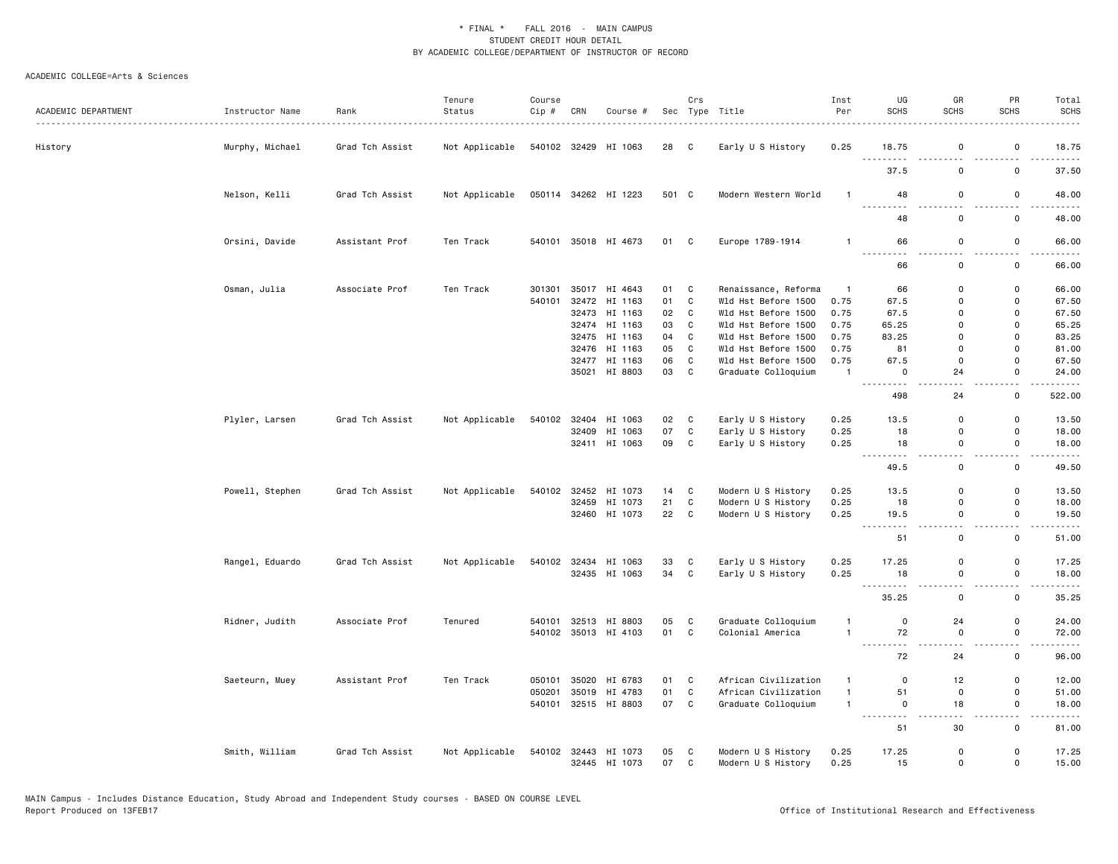| ACADEMIC DEPARTMENT | Instructor Name | Rank                        | Tenure<br>Status | Course<br>Cip # | CRN   | Course #             |       | Crs          | Sec Type Title       | Inst<br>Per    | UG<br><b>SCHS</b>               | GR<br><b>SCHS</b>                       | PR<br><b>SCHS</b>                    | Total<br><b>SCHS</b>   |
|---------------------|-----------------|-----------------------------|------------------|-----------------|-------|----------------------|-------|--------------|----------------------|----------------|---------------------------------|-----------------------------------------|--------------------------------------|------------------------|
| History             | Murphy, Michael | <u>.</u><br>Grad Tch Assist | Not Applicable   |                 |       | 540102 32429 HI 1063 | 28 C  |              | Early U S History    | 0.25           | 18.75                           | $\mathsf 0$                             | 0                                    | 18.75                  |
|                     |                 |                             |                  |                 |       |                      |       |              |                      |                | $\sim$ $\sim$ $\sim$<br>37.5    | 0                                       | 0                                    | 37.50                  |
|                     | Nelson, Kelli   | Grad Tch Assist             | Not Applicable   |                 |       | 050114 34262 HI 1223 | 501 C |              | Modern Western World | $\mathbf{1}$   | 48                              | $\mathbf 0$                             | $\mathsf 0$                          | 48.00                  |
|                     |                 |                             |                  |                 |       |                      |       |              |                      |                | $\sim$ $\sim$<br>48             | 0                                       | $\mathsf 0$                          | 48.00                  |
|                     | Orsini, Davide  | Assistant Prof              | Ten Track        |                 |       | 540101 35018 HI 4673 | 01 C  |              | Europe 1789-1914     | $\overline{1}$ | 66                              | 0                                       | 0                                    | 66.00                  |
|                     |                 |                             |                  |                 |       |                      |       |              |                      |                | <b>.</b><br>.<br>66             | 0                                       | $\sim$ $\sim$<br>0                   | $-$ - - - -<br>66.00   |
|                     | Osman, Julia    | Associate Prof              | Ten Track        | 301301          |       | 35017 HI 4643        | 01    | C            | Renaissance, Reforma | $\overline{1}$ | 66                              | 0                                       | 0                                    | 66.00                  |
|                     |                 |                             |                  | 540101          |       |                      | 01    | $\mathbb{C}$ |                      | 0.75           |                                 | $\Omega$                                |                                      |                        |
|                     |                 |                             |                  |                 |       | 32472 HI 1163        |       |              | Wld Hst Before 1500  |                | 67.5                            |                                         | 0                                    | 67.50                  |
|                     |                 |                             |                  |                 |       | 32473 HI 1163        | 02    | C            | Wld Hst Before 1500  | 0.75           | 67.5                            | $\mathbf 0$                             | $\mathbf 0$                          | 67.50                  |
|                     |                 |                             |                  |                 |       | 32474 HI 1163        | 03    | C            | Wld Hst Before 1500  | 0.75           | 65.25                           | $\Omega$                                | $\Omega$                             | 65.25                  |
|                     |                 |                             |                  |                 |       | 32475 HI 1163        | 04    | C            | Wld Hst Before 1500  | 0.75           | 83.25                           | $\Omega$                                | 0                                    | 83.25                  |
|                     |                 |                             |                  |                 | 32476 | HI 1163              | 05    | C            | Wld Hst Before 1500  | 0.75           | 81                              | $\mathbf 0$                             | 0                                    | 81.00                  |
|                     |                 |                             |                  |                 |       | 32477 HI 1163        | 06    | $\mathtt{C}$ | Wld Hst Before 1500  | 0.75           | 67.5                            | $\mathbf 0$                             | $\Omega$                             | 67.50                  |
|                     |                 |                             |                  |                 |       | 35021 HI 8803        | 03    | C            | Graduate Colloquium  | $\overline{1}$ | $\mathbf 0$<br>$- - -$<br>----- | 24                                      | 0<br>$\sim$ $\sim$                   | 24.00<br>.             |
|                     |                 |                             |                  |                 |       |                      |       |              |                      |                | 498                             | 24                                      | 0                                    | 522.00                 |
|                     | Plyler, Larsen  | Grad Tch Assist             | Not Applicable   | 540102          |       | 32404 HI 1063        | 02    | C            | Early U S History    | 0.25           | 13.5                            | $\Omega$                                | 0                                    | 13.50                  |
|                     |                 |                             |                  |                 |       | 32409 HI 1063        | 07    | C            | Early U S History    | 0.25           | 18                              | $\mathbf 0$                             | 0                                    | 18.00                  |
|                     |                 |                             |                  |                 |       | 32411 HI 1063        | 09    | C            | Early U S History    | 0.25           | 18<br><u>.</u>                  | $\mathbf 0$<br>$\overline{\phantom{a}}$ | $\mathsf{o}$<br>$\ddot{\phantom{1}}$ | 18.00<br>$\frac{1}{2}$ |
|                     |                 |                             |                  |                 |       |                      |       |              |                      |                | 49.5                            | $\mathbf 0$                             | 0                                    | 49.50                  |
|                     | Powell, Stephen | Grad Tch Assist             | Not Applicable   | 540102          |       | 32452 HI 1073        | 14    | C            | Modern U S History   | 0.25           | 13.5                            | $\mathbf 0$                             | $\mathsf{o}\,$                       | 13.50                  |
|                     |                 |                             |                  |                 |       | 32459 HI 1073        | 21    | C            | Modern U S History   | 0.25           | 18                              | 0                                       | $\mathsf 0$                          | 18.00                  |
|                     |                 |                             |                  |                 |       | 32460 HI 1073        | 22    | C            | Modern U S History   | 0.25           | 19.5<br>---------               | $\mathbf 0$<br>$\overline{\phantom{a}}$ | $\mathsf{o}$<br>$ -$                 | 19.50<br>.             |
|                     |                 |                             |                  |                 |       |                      |       |              |                      |                | 51                              | 0                                       | 0                                    | 51.00                  |
|                     | Rangel, Eduardo | Grad Tch Assist             | Not Applicable   | 540102          |       | 32434 HI 1063        | 33    | C            | Early U S History    | 0.25           | 17.25                           | $\mathbf 0$                             | 0                                    | 17.25                  |
|                     |                 |                             |                  |                 |       | 32435 HI 1063        | 34    | C            | Early U S History    | 0.25           | 18                              | 0                                       | $\mathsf 0$                          | 18.00                  |
|                     |                 |                             |                  |                 |       |                      |       |              |                      |                | $  -$<br>.<br>35.25             | $\sim$ $\sim$<br>0                      | $\sim$ $\sim$<br>0                   | . <u>.</u> .<br>35.25  |
|                     | Ridner, Judith  | Associate Prof              | Tenured          | 540101          |       | 32513 HI 8803        | 05    | C            | Graduate Colloquium  | $\mathbf{1}$   | $\mathbf 0$                     | 24                                      | $\Omega$                             | 24.00                  |
|                     |                 |                             |                  | 540102          |       | 35013 HI 4103        | 01    | C            | Colonial America     | $\overline{1}$ | 72                              | 0                                       | $\mathsf 0$                          | 72.00                  |
|                     |                 |                             |                  |                 |       |                      |       |              |                      |                | .<br>72                         | 24                                      | $\overline{\phantom{a}}$<br>0        | $\frac{1}{2}$<br>96.00 |
|                     | Saeteurn, Muey  | Assistant Prof              | Ten Track        | 050101          |       | 35020 HI 6783        | 01    | C            | African Civilization | $\mathbf{1}$   | $\mathbf 0$                     | 12                                      | 0                                    | 12.00                  |
|                     |                 |                             |                  | 050201          |       | 35019 HI 4783        | 01    | C            | African Civilization | $\mathbf{1}$   | 51                              | $\mathsf 0$                             | $\mathbf 0$                          | 51.00                  |
|                     |                 |                             |                  | 540101          |       | 32515 HI 8803        | 07    | C            | Graduate Colloquium  | $\mathbf{1}$   | $\mathbf 0$<br>.                | 18<br>- - -                             | $\mathsf 0$<br>.                     | 18.00<br>.             |
|                     |                 |                             |                  |                 |       |                      |       |              |                      |                | 51                              | 30                                      | 0                                    | 81.00                  |
|                     | Smith, William  | Grad Tch Assist             | Not Applicable   | 540102          |       | 32443 HI 1073        | 05    | C            | Modern U S History   | 0.25           | 17.25                           | 0                                       | 0                                    | 17.25                  |
|                     |                 |                             |                  |                 |       | 32445 HI 1073        | 07    | C            | Modern U S History   | 0.25           | 15                              | $\mathbf 0$                             | $\mathsf{o}$                         | 15.00                  |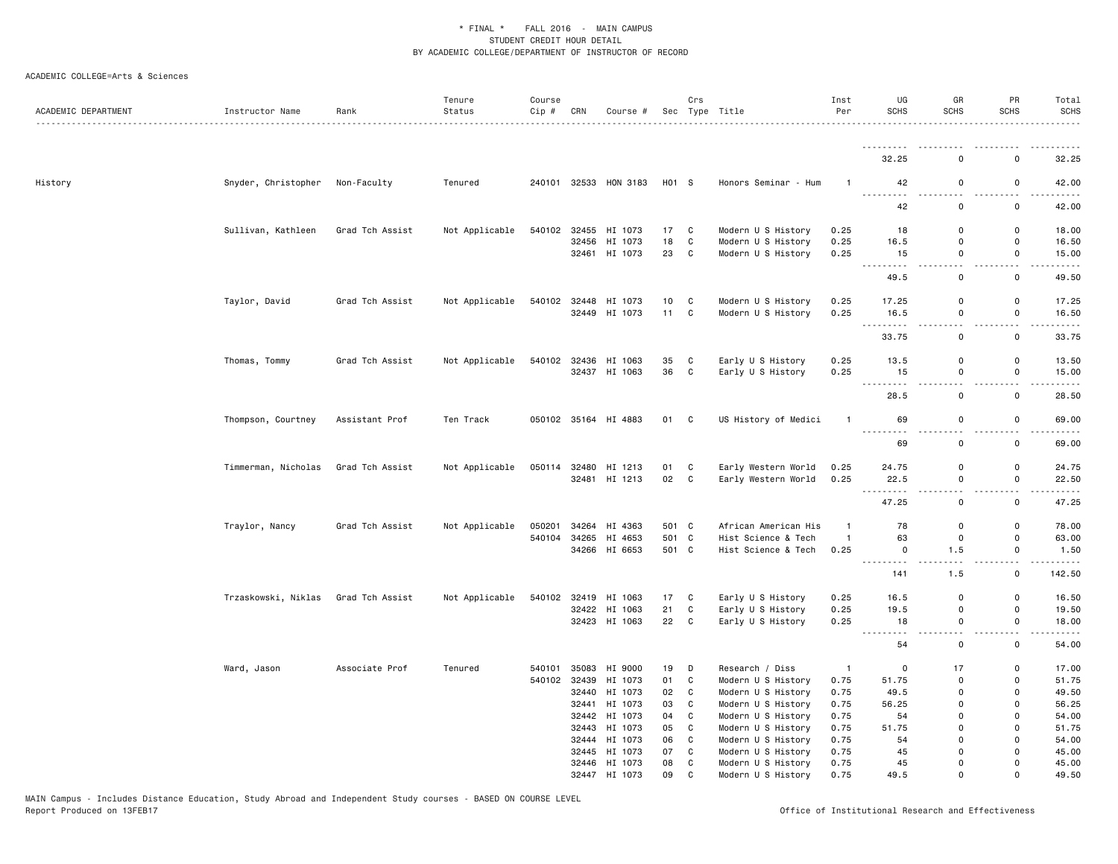| ACADEMIC DEPARTMENT | Instructor Name     | Rank            | Tenure<br>Status | Course<br>Cip # | CRN   | Course #             |                 | Crs          | Sec Type Title       | Inst<br>Per    | UG<br><b>SCHS</b>                                                                                                                                                                                                                                                                                                                                                                                                     | GR<br><b>SCHS</b> | PR<br><b>SCHS</b>            | Total<br><b>SCHS</b><br>. <u>.</u> .        |
|---------------------|---------------------|-----------------|------------------|-----------------|-------|----------------------|-----------------|--------------|----------------------|----------------|-----------------------------------------------------------------------------------------------------------------------------------------------------------------------------------------------------------------------------------------------------------------------------------------------------------------------------------------------------------------------------------------------------------------------|-------------------|------------------------------|---------------------------------------------|
|                     |                     |                 |                  |                 |       |                      |                 |              |                      |                | --------- <i>-</i>                                                                                                                                                                                                                                                                                                                                                                                                    |                   |                              | .                                           |
|                     |                     |                 |                  |                 |       |                      |                 |              |                      |                | 32.25                                                                                                                                                                                                                                                                                                                                                                                                                 | 0                 | 0                            | 32.25                                       |
| History             | Snyder, Christopher | Non-Faculty     | Tenured          | 240101          |       | 32533 HON 3183       | H01 S           |              | Honors Seminar - Hum |                | 42<br>.                                                                                                                                                                                                                                                                                                                                                                                                               | 0                 | 0                            | 42.00                                       |
|                     |                     |                 |                  |                 |       |                      |                 |              |                      |                | 42                                                                                                                                                                                                                                                                                                                                                                                                                    | 0                 | 0                            | 42.00                                       |
|                     | Sullivan, Kathleen  | Grad Tch Assist | Not Applicable   | 540102          | 32455 | HI 1073              | 17              | C            | Modern U S History   | 0.25           | 18                                                                                                                                                                                                                                                                                                                                                                                                                    | 0                 | 0                            | 18.00                                       |
|                     |                     |                 |                  |                 | 32456 | HI 1073              | 18              | $\mathtt{C}$ | Modern U S History   | 0.25           | 16.5                                                                                                                                                                                                                                                                                                                                                                                                                  | $\mathsf 0$       | $\mathsf{o}\,$               | 16.50                                       |
|                     |                     |                 |                  |                 |       | 32461 HI 1073        | 23              | C            | Modern U S History   | 0.25           | 15<br>.                                                                                                                                                                                                                                                                                                                                                                                                               | $\mathbf 0$<br>.  | $\mathsf 0$<br>.             | 15.00<br>.                                  |
|                     |                     |                 |                  |                 |       |                      |                 |              |                      |                | 49.5                                                                                                                                                                                                                                                                                                                                                                                                                  | 0                 | 0                            | 49.50                                       |
|                     | Taylor, David       | Grad Tch Assist | Not Applicable   | 540102          |       | 32448 HI 1073        | 10 <sup>1</sup> | C            | Modern U S History   | 0.25           | 17.25                                                                                                                                                                                                                                                                                                                                                                                                                 | 0                 | 0                            | 17.25                                       |
|                     |                     |                 |                  |                 |       | 32449 HI 1073        | 11              | C            | Modern U S History   | 0.25           | 16.5                                                                                                                                                                                                                                                                                                                                                                                                                  | $\mathsf 0$       | $\mathsf 0$                  | 16.50                                       |
|                     |                     |                 |                  |                 |       |                      |                 |              |                      |                | .<br>33.75                                                                                                                                                                                                                                                                                                                                                                                                            | 0                 | 0                            | $\frac{1}{2}$<br>33.75                      |
|                     | Thomas, Tommy       | Grad Tch Assist | Not Applicable   |                 |       | 540102 32436 HI 1063 | 35              | C            | Early U S History    | 0.25           | 13.5                                                                                                                                                                                                                                                                                                                                                                                                                  | $\Omega$          | 0                            | 13.50                                       |
|                     |                     |                 |                  |                 |       | 32437 HI 1063        | 36              | C            | Early U S History    | 0.25           | 15                                                                                                                                                                                                                                                                                                                                                                                                                    | $\mathsf 0$       | $\mathsf 0$                  | 15.00                                       |
|                     |                     |                 |                  |                 |       |                      |                 |              |                      |                | $\frac{1}{2} \frac{1}{2} \frac{1}{2} \frac{1}{2} \frac{1}{2} \frac{1}{2} \frac{1}{2} \frac{1}{2} \frac{1}{2} \frac{1}{2} \frac{1}{2} \frac{1}{2} \frac{1}{2} \frac{1}{2} \frac{1}{2} \frac{1}{2} \frac{1}{2} \frac{1}{2} \frac{1}{2} \frac{1}{2} \frac{1}{2} \frac{1}{2} \frac{1}{2} \frac{1}{2} \frac{1}{2} \frac{1}{2} \frac{1}{2} \frac{1}{2} \frac{1}{2} \frac{1}{2} \frac{1}{2} \frac{$<br>$\frac{1}{2}$<br>28.5 | $\mathsf 0$       | .<br>$\mathsf 0$             | .<br>28.50                                  |
|                     | Thompson, Courtney  | Assistant Prof  | Ten Track        |                 |       | 050102 35164 HI 4883 | 01              | C            | US History of Medici | $\mathbf{1}$   | 69                                                                                                                                                                                                                                                                                                                                                                                                                    | 0                 | 0                            | 69.00                                       |
|                     |                     |                 |                  |                 |       |                      |                 |              |                      |                | .<br>69                                                                                                                                                                                                                                                                                                                                                                                                               | 0                 | 0                            | $\sim$ $\sim$ $\sim$ $\sim$ $\sim$<br>69.00 |
|                     |                     |                 |                  |                 |       |                      |                 |              |                      |                |                                                                                                                                                                                                                                                                                                                                                                                                                       |                   |                              |                                             |
|                     | Timmerman, Nicholas | Grad Tch Assist | Not Applicable   | 050114          | 32480 | HI 1213              | 01              | C            | Early Western World  | 0.25           | 24.75                                                                                                                                                                                                                                                                                                                                                                                                                 | 0                 | $\mathsf 0$                  | 24.75                                       |
|                     |                     |                 |                  |                 |       | 32481 HI 1213        | 02              | C            | Early Western World  | 0.25           | 22.5<br>.                                                                                                                                                                                                                                                                                                                                                                                                             | 0                 | 0                            | 22.50                                       |
|                     |                     |                 |                  |                 |       |                      |                 |              |                      |                | 47.25                                                                                                                                                                                                                                                                                                                                                                                                                 | $\mathbf 0$       | 0                            | 47.25                                       |
|                     | Traylor, Nancy      | Grad Tch Assist | Not Applicable   | 050201          |       | 34264 HI 4363        | 501 C           |              | African American His | -1             | 78                                                                                                                                                                                                                                                                                                                                                                                                                    | 0                 | 0                            | 78.00                                       |
|                     |                     |                 |                  | 540104          |       | 34265 HI 4653        | 501 C           |              | Hist Science & Tech  | $\mathbf{1}$   | 63                                                                                                                                                                                                                                                                                                                                                                                                                    | 0                 | 0                            | 63.00                                       |
|                     |                     |                 |                  |                 |       | 34266 HI 6653        | 501 C           |              | Hist Science & Tech  | 0.25           | 0                                                                                                                                                                                                                                                                                                                                                                                                                     | 1.5               | $\mathsf 0$<br>$\sim$ $\sim$ | 1.50<br>$\sim$ $\sim$ $\sim$ $\sim$ $\sim$  |
|                     |                     |                 |                  |                 |       |                      |                 |              |                      |                | .<br>141                                                                                                                                                                                                                                                                                                                                                                                                              | 1.5               | 0                            | 142.50                                      |
|                     | Trzaskowski, Niklas | Grad Tch Assist | Not Applicable   |                 |       | 540102 32419 HI 1063 | 17              | C            | Early U S History    | 0.25           | 16.5                                                                                                                                                                                                                                                                                                                                                                                                                  | 0                 | 0                            | 16.50                                       |
|                     |                     |                 |                  |                 | 32422 | HI 1063              | 21              | $\mathtt{C}$ | Early U S History    | 0.25           | 19.5                                                                                                                                                                                                                                                                                                                                                                                                                  | $\mathsf 0$       | $\mathsf{o}\,$               | 19.50                                       |
|                     |                     |                 |                  |                 |       | 32423 HI 1063        | 22              | C            | Early U S History    | 0.25           | 18<br>. <b>.</b>                                                                                                                                                                                                                                                                                                                                                                                                      | $\mathsf 0$<br>.  | $\mathsf 0$<br>.             | 18.00<br>.                                  |
|                     |                     |                 |                  |                 |       |                      |                 |              |                      |                | 54                                                                                                                                                                                                                                                                                                                                                                                                                    | 0                 | 0                            | 54.00                                       |
|                     | Ward, Jason         | Associate Prof  | Tenured          | 540101          | 35083 | HI 9000              | 19              | D            | Research / Diss      | $\overline{1}$ | $\mathbf 0$                                                                                                                                                                                                                                                                                                                                                                                                           | 17                | 0                            | 17.00                                       |
|                     |                     |                 |                  | 540102          | 32439 | HI 1073              | 01              | C            | Modern U S History   | 0.75           | 51.75                                                                                                                                                                                                                                                                                                                                                                                                                 | 0                 | 0                            | 51.75                                       |
|                     |                     |                 |                  |                 | 32440 | HI 1073              | 02              | C            | Modern U S History   | 0.75           | 49.5                                                                                                                                                                                                                                                                                                                                                                                                                  | 0                 | 0                            | 49.50                                       |
|                     |                     |                 |                  |                 |       | 32441 HI 1073        | 03              | $\mathbf c$  | Modern U S History   | 0.75           | 56.25                                                                                                                                                                                                                                                                                                                                                                                                                 | $\mathsf 0$       | $\mathsf 0$                  | 56.25                                       |
|                     |                     |                 |                  |                 |       | 32442 HI 1073        | 04              | C            | Modern U S History   | 0.75           | 54                                                                                                                                                                                                                                                                                                                                                                                                                    | 0                 | 0                            | 54.00                                       |
|                     |                     |                 |                  |                 | 32443 | HI 1073              | 05              | C            | Modern U S History   | 0.75           | 51.75                                                                                                                                                                                                                                                                                                                                                                                                                 | $\Omega$          | 0                            | 51.75                                       |
|                     |                     |                 |                  |                 |       | 32444 HI 1073        | 06              | C            | Modern U S History   | 0.75           | 54                                                                                                                                                                                                                                                                                                                                                                                                                    | 0                 | 0                            | 54.00                                       |
|                     |                     |                 |                  |                 |       | 32445 HI 1073        | 07              | C            | Modern U S History   | 0.75           | 45                                                                                                                                                                                                                                                                                                                                                                                                                    | 0                 | 0                            | 45.00                                       |
|                     |                     |                 |                  |                 |       | 32446 HI 1073        | 08              | $\mathsf{C}$ | Modern U S History   | 0.75           | 45                                                                                                                                                                                                                                                                                                                                                                                                                    | $\mathbf 0$       | $\Omega$                     | 45.00                                       |
|                     |                     |                 |                  |                 |       | 32447 HI 1073        | 09              | $\mathsf{C}$ | Modern U S History   | 0.75           | 49.5                                                                                                                                                                                                                                                                                                                                                                                                                  | $\mathbf{0}$      | $\Omega$                     | 49.50                                       |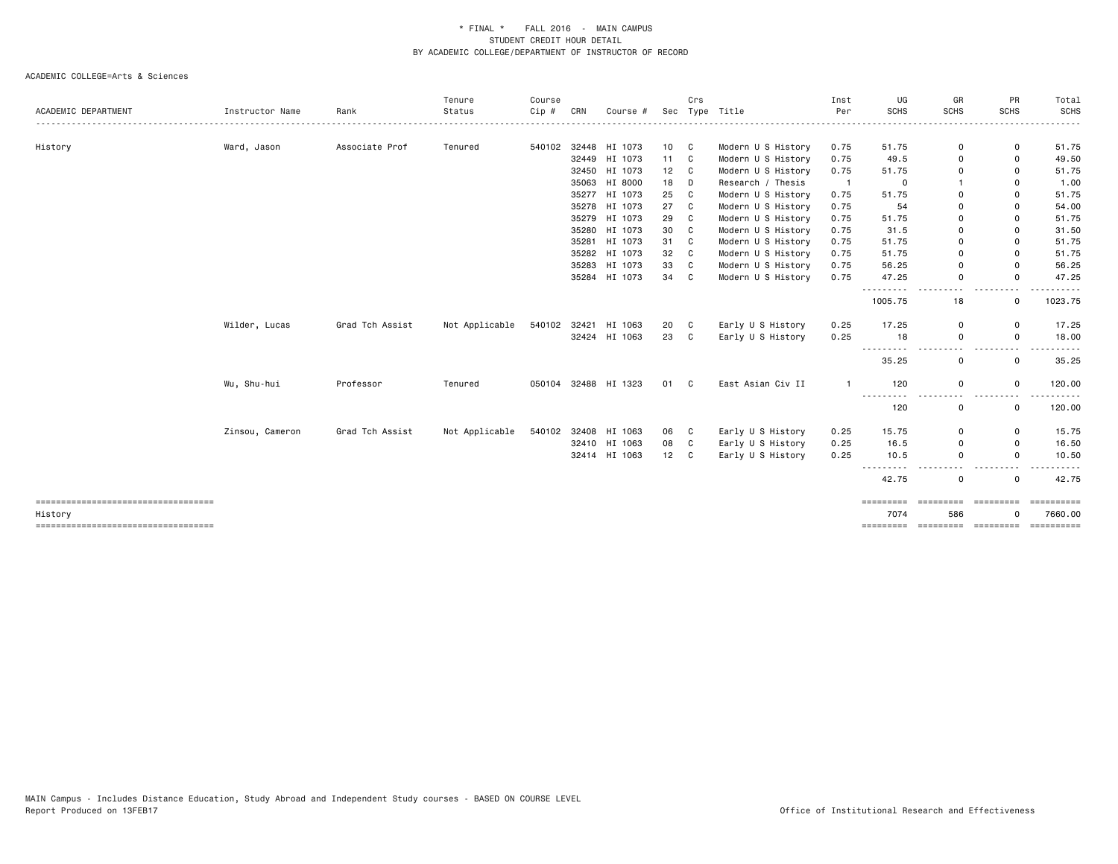|                                                  |                 |                 | Tenure         | Course |     |                      |              | Crs |                    | Inst           | UG                                                                                                                                                                                                                                                                                                                                                                                                    | GR                                                                                                                                                                                                     | PR                                                                                   | Total                 |
|--------------------------------------------------|-----------------|-----------------|----------------|--------|-----|----------------------|--------------|-----|--------------------|----------------|-------------------------------------------------------------------------------------------------------------------------------------------------------------------------------------------------------------------------------------------------------------------------------------------------------------------------------------------------------------------------------------------------------|--------------------------------------------------------------------------------------------------------------------------------------------------------------------------------------------------------|--------------------------------------------------------------------------------------|-----------------------|
| ACADEMIC DEPARTMENT                              | Instructor Name | Rank            | Status         | Cip #  | CRN | Course #             | Sec          |     | Type Title         | Per            | <b>SCHS</b>                                                                                                                                                                                                                                                                                                                                                                                           | <b>SCHS</b>                                                                                                                                                                                            | <b>SCHS</b>                                                                          | <b>SCHS</b><br>.      |
| History                                          | Ward, Jason     | Associate Prof  | Tenured        |        |     | 540102 32448 HI 1073 | 10 C         |     | Modern U S History | 0.75           | 51.75                                                                                                                                                                                                                                                                                                                                                                                                 | 0                                                                                                                                                                                                      | 0                                                                                    | 51.75                 |
|                                                  |                 |                 |                |        |     | 32449 HI 1073        | $11 \quad C$ |     | Modern U S History | 0.75           | 49.5                                                                                                                                                                                                                                                                                                                                                                                                  | 0                                                                                                                                                                                                      | 0                                                                                    | 49.50                 |
|                                                  |                 |                 |                |        |     | 32450 HI 1073        | 12           | C   | Modern U S History | 0.75           | 51.75                                                                                                                                                                                                                                                                                                                                                                                                 | 0                                                                                                                                                                                                      | 0                                                                                    | 51.75                 |
|                                                  |                 |                 |                |        |     | 35063 HI 8000        | 18           | D   | Research / Thesis  | $\overline{1}$ | 0                                                                                                                                                                                                                                                                                                                                                                                                     | -1                                                                                                                                                                                                     | 0                                                                                    | 1.00                  |
|                                                  |                 |                 |                |        |     | 35277 HI 1073        | 25           | C   | Modern U S History | 0.75           | 51.75                                                                                                                                                                                                                                                                                                                                                                                                 | 0                                                                                                                                                                                                      | 0                                                                                    | 51.75                 |
|                                                  |                 |                 |                |        |     | 35278 HI 1073        | 27           | C   | Modern U S History | 0.75           | 54                                                                                                                                                                                                                                                                                                                                                                                                    | $\Omega$                                                                                                                                                                                               | 0                                                                                    | 54.00                 |
|                                                  |                 |                 |                |        |     | 35279 HI 1073        | 29           | C   | Modern U S History | 0.75           | 51.75                                                                                                                                                                                                                                                                                                                                                                                                 | 0                                                                                                                                                                                                      | 0                                                                                    | 51.75                 |
|                                                  |                 |                 |                |        |     | 35280 HI 1073        | 30           | C   | Modern U S History | 0.75           | 31.5                                                                                                                                                                                                                                                                                                                                                                                                  | $\Omega$                                                                                                                                                                                               | 0                                                                                    | 31.50                 |
|                                                  |                 |                 |                |        |     | 35281 HI 1073        | 31           | C   | Modern U S History | 0.75           | 51.75                                                                                                                                                                                                                                                                                                                                                                                                 | 0                                                                                                                                                                                                      | 0                                                                                    | 51.75                 |
|                                                  |                 |                 |                |        |     | 35282 HI 1073        | 32           | C   | Modern U S History | 0.75           | 51.75                                                                                                                                                                                                                                                                                                                                                                                                 | $\Omega$                                                                                                                                                                                               | 0                                                                                    | 51.75                 |
|                                                  |                 |                 |                |        |     | 35283 HI 1073        | 33           | C   | Modern U S History | 0.75           | 56.25                                                                                                                                                                                                                                                                                                                                                                                                 | $\Omega$                                                                                                                                                                                               | 0                                                                                    | 56.25                 |
|                                                  |                 |                 |                |        |     | 35284 HI 1073        | 34           | C   | Modern U S History | 0.75           | 47.25                                                                                                                                                                                                                                                                                                                                                                                                 | $\mathbf 0$                                                                                                                                                                                            | 0                                                                                    | 47.25                 |
|                                                  |                 |                 |                |        |     |                      |              |     |                    |                | ----------<br>1005.75                                                                                                                                                                                                                                                                                                                                                                                 | $\frac{1}{2} \left( \frac{1}{2} \right) \left( \frac{1}{2} \right) \left( \frac{1}{2} \right) \left( \frac{1}{2} \right) \left( \frac{1}{2} \right) \left( \frac{1}{2} \right)$<br>$\sim$ $\sim$<br>18 | $\frac{1}{2} \left( \frac{1}{2} \right) \frac{1}{2} \left( \frac{1}{2} \right)$<br>0 | 1023.75               |
|                                                  | Wilder, Lucas   | Grad Tch Assist | Not Applicable |        |     | 540102 32421 HI 1063 | 20           | C   | Early U S History  | 0.25           | 17.25                                                                                                                                                                                                                                                                                                                                                                                                 | 0                                                                                                                                                                                                      | 0                                                                                    | 17.25                 |
|                                                  |                 |                 |                |        |     | 32424 HI 1063        | 23           | C   | Early U S History  | 0.25           | 18                                                                                                                                                                                                                                                                                                                                                                                                    | 0                                                                                                                                                                                                      | 0                                                                                    | 18.00                 |
|                                                  |                 |                 |                |        |     |                      |              |     |                    |                | $\frac{1}{2} \frac{1}{2} \frac{1}{2} \frac{1}{2} \frac{1}{2} \frac{1}{2} \frac{1}{2} \frac{1}{2} \frac{1}{2} \frac{1}{2} \frac{1}{2} \frac{1}{2} \frac{1}{2} \frac{1}{2} \frac{1}{2} \frac{1}{2} \frac{1}{2} \frac{1}{2} \frac{1}{2} \frac{1}{2} \frac{1}{2} \frac{1}{2} \frac{1}{2} \frac{1}{2} \frac{1}{2} \frac{1}{2} \frac{1}{2} \frac{1}{2} \frac{1}{2} \frac{1}{2} \frac{1}{2} \frac{$<br>35.25 | 0                                                                                                                                                                                                      | 0                                                                                    | 35.25                 |
|                                                  | Wu, Shu-hui     | Professor       | Tenured        |        |     | 050104 32488 HI 1323 | 01 C         |     | East Asian Civ II  | $\mathbf{1}$   | 120                                                                                                                                                                                                                                                                                                                                                                                                   | 0                                                                                                                                                                                                      | 0                                                                                    | 120.00                |
|                                                  |                 |                 |                |        |     |                      |              |     |                    |                | ----------<br>120                                                                                                                                                                                                                                                                                                                                                                                     | .<br>0                                                                                                                                                                                                 | $ -$<br>0                                                                            | 120.00                |
|                                                  | Zinsou, Cameron | Grad Tch Assist | Not Applicable | 540102 |     | 32408 HI 1063        | 06           | C   | Early U S History  | 0.25           | 15.75                                                                                                                                                                                                                                                                                                                                                                                                 | 0                                                                                                                                                                                                      | 0                                                                                    | 15.75                 |
|                                                  |                 |                 |                |        |     | 32410 HI 1063        | 08           | C   | Early U S History  | 0.25           | 16.5                                                                                                                                                                                                                                                                                                                                                                                                  | 0                                                                                                                                                                                                      | 0                                                                                    | 16.50                 |
|                                                  |                 |                 |                |        |     | 32414 HI 1063        | 12           | C   | Early U S History  | 0.25           | 10.5<br>$- - -$<br>.                                                                                                                                                                                                                                                                                                                                                                                  | $\mathbf 0$<br>.                                                                                                                                                                                       | 0<br>$\cdots$                                                                        | 10.50                 |
|                                                  |                 |                 |                |        |     |                      |              |     |                    |                | 42.75                                                                                                                                                                                                                                                                                                                                                                                                 | 0                                                                                                                                                                                                      | 0                                                                                    | 42.75                 |
| =====================================<br>History |                 |                 |                |        |     |                      |              |     |                    |                | =========<br>7074                                                                                                                                                                                                                                                                                                                                                                                     | =========<br>586                                                                                                                                                                                       | ----------                                                                           | ==========<br>7660.00 |
| =====================================            |                 |                 |                |        |     |                      |              |     |                    |                | =========                                                                                                                                                                                                                                                                                                                                                                                             |                                                                                                                                                                                                        | ---------- ---------                                                                 | ==========            |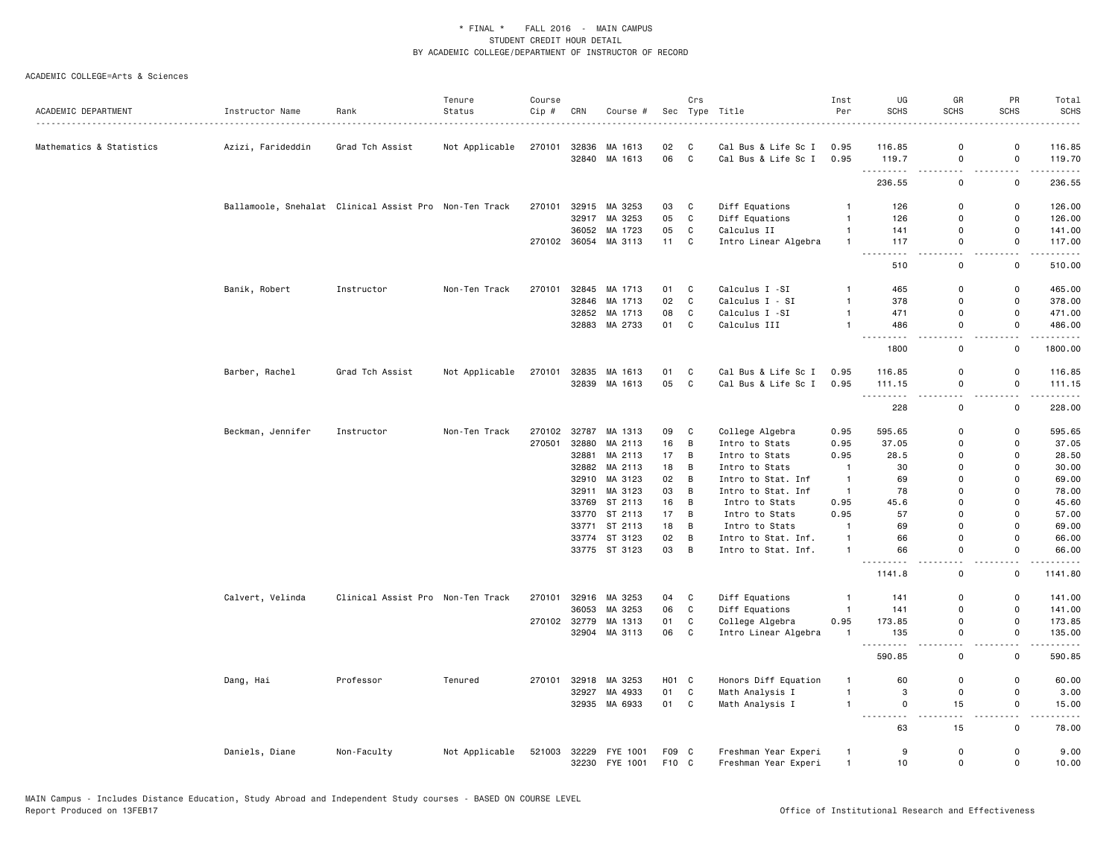|                          |                                                        |                                   | Tenure         | Course |       |                      |                   | Crs            |                      | Inst           | UG                             | GR                           | PR                            | Total                                |
|--------------------------|--------------------------------------------------------|-----------------------------------|----------------|--------|-------|----------------------|-------------------|----------------|----------------------|----------------|--------------------------------|------------------------------|-------------------------------|--------------------------------------|
| ACADEMIC DEPARTMENT      | Instructor Name                                        | Rank                              | Status         | Cip#   | CRN   | Course #             | Sec               |                | Type Title           | Per            | <b>SCHS</b>                    | <b>SCHS</b>                  | <b>SCHS</b>                   | <b>SCHS</b>                          |
| Mathematics & Statistics | Azizi, Farideddin                                      | Grad Tch Assist                   | Not Applicable | 270101 | 32836 | MA 1613              | 02                | C              | Cal Bus & Life Sc I  | 0.95           | 116.85                         | $\Omega$                     | $\mathbf 0$                   | 116.85                               |
|                          |                                                        |                                   |                |        | 32840 | MA 1613              | 06                | C              | Cal Bus & Life Sc I  | 0.95           | 119.7                          | $\mathbf 0$                  | $\mathsf{o}$                  | 119.70                               |
|                          |                                                        |                                   |                |        |       |                      |                   |                |                      |                | .<br>236.55                    | и.<br>0                      | н.<br>0                       | .<br>236.55                          |
|                          |                                                        |                                   |                |        |       |                      |                   |                |                      |                |                                | $\Omega$                     |                               |                                      |
|                          | Ballamoole, Snehalat Clinical Assist Pro Non-Ten Track |                                   |                | 270101 |       | 32915 MA 3253        | 03                | C              | Diff Equations       | $\overline{1}$ | 126                            |                              | $\mathsf 0$                   | 126.00                               |
|                          |                                                        |                                   |                |        | 32917 | MA 3253              | 05                | C              | Diff Equations       | $\overline{1}$ | 126                            | $\mathbf 0$                  | $\mathsf{o}$                  | 126.00                               |
|                          |                                                        |                                   |                |        | 36052 | MA 1723              | 05                | C              | Calculus II          | $\mathbf{1}$   | 141                            | $\mathbf 0$                  | $\mathsf 0$                   | 141.00                               |
|                          |                                                        |                                   |                |        |       | 270102 36054 MA 3113 | 11                | $\mathbf{C}$   | Intro Linear Algebra | $\overline{1}$ | 117<br>. <b>.</b>              | $\Omega$<br>$\sim$ $\sim$    | $\mathbf 0$<br>$\sim$ $\sim$  | 117.00                               |
|                          |                                                        |                                   |                |        |       |                      |                   |                |                      |                | 510                            | $\mathsf 0$                  | $\mathsf 0$                   | 510.00                               |
|                          | Banik, Robert                                          | Instructor                        | Non-Ten Track  | 270101 |       | 32845 MA 1713        | 01                | C              | Calculus I -SI       | $\mathbf{1}$   | 465                            | $\mathbf 0$                  | $\mathsf{o}$                  | 465.00                               |
|                          |                                                        |                                   |                |        |       | 32846 MA 1713        | 02                | $\mathbf c$    | Calculus I - SI      | $\mathbf{1}$   | 378                            | $\Omega$                     | $\mathsf 0$                   | 378.00                               |
|                          |                                                        |                                   |                |        |       | 32852 MA 1713        | 08                | $\mathtt{C}$   | Calculus I -SI       | $\overline{1}$ | 471                            | $\mathbf 0$                  | $\mathsf 0$                   | 471.00                               |
|                          |                                                        |                                   |                |        |       | 32883 MA 2733        | 01                | $\mathbf c$    | Calculus III         | $\overline{1}$ | 486<br>$- - -$<br>.            | $\mathbf 0$<br>$\sim$ $\sim$ | $\mathsf 0$<br>$\sim$ $\sim$  | 486.00<br>.                          |
|                          |                                                        |                                   |                |        |       |                      |                   |                |                      |                | 1800                           | $\mathsf 0$                  | 0                             | 1800.00                              |
|                          | Barber, Rachel                                         | Grad Tch Assist                   | Not Applicable | 270101 |       | 32835 MA 1613        | 01                | C              | Cal Bus & Life Sc I  | 0.95           | 116.85                         | $\mathbf 0$                  | 0                             | 116.85                               |
|                          |                                                        |                                   |                |        |       | 32839 MA 1613        | 05                | $\mathbf{C}$   | Cal Bus & Life Sc I  | 0.95           | 111.15                         | $\mathbf 0$                  | $\mathsf{o}$                  | 111.15                               |
|                          |                                                        |                                   |                |        |       |                      |                   |                |                      |                | .<br>228                       | $-$<br>0                     | - -<br>0                      | .<br>228.00                          |
|                          | Beckman, Jennifer                                      | Instructor                        | Non-Ten Track  | 270102 |       | 32787 MA 1313        | 09                | C              | College Algebra      | 0.95           | 595.65                         | $\Omega$                     | $\mathsf{o}$                  | 595.65                               |
|                          |                                                        |                                   |                | 270501 | 32880 | MA 2113              | 16                | B              | Intro to Stats       | 0.95           | 37.05                          | $\mathbf 0$                  | 0                             | 37.05                                |
|                          |                                                        |                                   |                |        | 32881 | MA 2113              | 17                | B              | Intro to Stats       | 0.95           | 28.5                           | $\Omega$                     | $\mathbf 0$                   | 28.50                                |
|                          |                                                        |                                   |                |        |       | 32882 MA 2113        | 18                | B              | Intro to Stats       | $\overline{1}$ | 30                             | $\Omega$                     | $\Omega$                      | 30.00                                |
|                          |                                                        |                                   |                |        |       | 32910 MA 3123        | 02                | B              | Intro to Stat. Inf   | $\overline{1}$ | 69                             | $\Omega$                     | 0                             | 69.00                                |
|                          |                                                        |                                   |                |        |       | 32911 MA 3123        | 03                | B              | Intro to Stat. Inf   | $\overline{1}$ | 78                             | $\Omega$                     | $\mathbf 0$                   | 78.00                                |
|                          |                                                        |                                   |                |        |       | 33769 ST 2113        | 16                | B              | Intro to Stats       | 0.95           | 45.6                           | $\mathbf 0$                  | 0                             | 45.60                                |
|                          |                                                        |                                   |                |        |       | 33770 ST 2113        | 17                | B              | Intro to Stats       | 0.95           | 57                             | $\Omega$                     | $\mathbf 0$                   | 57.00                                |
|                          |                                                        |                                   |                |        |       | 33771 ST 2113        | 18                | B              | Intro to Stats       | $\mathbf{1}$   | 69                             | $\Omega$                     | 0                             | 69.00                                |
|                          |                                                        |                                   |                |        |       | 33774 ST 3123        | 02                | B              | Intro to Stat. Inf.  | $\overline{1}$ | 66                             | $\mathbf 0$                  | $\mathsf 0$                   | 66.00                                |
|                          |                                                        |                                   |                |        |       | 33775 ST 3123        | 03                | $\overline{B}$ | Intro to Stat. Inf.  | $\overline{1}$ | 66                             | $\Omega$                     | $\mathbf 0$                   | 66.00                                |
|                          |                                                        |                                   |                |        |       |                      |                   |                |                      |                | 1141.8                         | и.<br>0                      | $\overline{\phantom{0}}$<br>0 | $\omega$ is $\omega$ in .<br>1141.80 |
|                          | Calvert, Velinda                                       | Clinical Assist Pro Non-Ten Track |                | 270101 |       | 32916 MA 3253        | 04                | C              | Diff Equations       | $\mathbf{1}$   | 141                            | $\mathbf 0$                  | 0                             | 141.00                               |
|                          |                                                        |                                   |                |        | 36053 | MA 3253              | 06                | $\mathbf c$    | Diff Equations       | $\overline{1}$ | 141                            | $\mathbf 0$                  | $\mathsf 0$                   | 141.00                               |
|                          |                                                        |                                   |                |        |       | 270102 32779 MA 1313 | 01                | C              | College Algebra      | 0.95           | 173.85                         | $\mathbf 0$                  | 0                             | 173.85                               |
|                          |                                                        |                                   |                |        | 32904 | MA 3113              | 06                | C              | Intro Linear Algebra | -1             | 135                            | $\mathbf 0$                  | $\mathsf 0$                   | 135.00                               |
|                          |                                                        |                                   |                |        |       |                      |                   |                |                      |                | $\sim$ $\sim$ $\sim$<br>590.85 | и.<br>0                      | . .<br>0                      | 590.85                               |
|                          | Dang, Hai                                              | Professor                         | Tenured        | 270101 |       | 32918 MA 3253        | H <sub>01</sub> C |                | Honors Diff Equation | $\mathbf{1}$   | 60                             | $\Omega$                     | 0                             | 60.00                                |
|                          |                                                        |                                   |                |        | 32927 | MA 4933              | 01                | C              | Math Analysis I      | $\overline{1}$ | 3                              | $\mathbf 0$                  | $\mathsf 0$                   | 3.00                                 |
|                          |                                                        |                                   |                |        | 32935 | MA 6933              | 01                | C              | Math Analysis I      | $\overline{1}$ | 0                              | 15                           | $\mathsf 0$                   | 15.00                                |
|                          |                                                        |                                   |                |        |       |                      |                   |                |                      |                | <u>.</u><br>63                 | $\sim$ $\sim$<br>15          | $\sim$ $\sim$<br>$\mathsf 0$  | $\frac{1}{2}$<br>78.00               |
|                          | Daniels, Diane                                         | Non-Faculty                       | Not Applicable | 521003 |       | 32229 FYE 1001       | F09 C             |                | Freshman Year Experi | $\mathbf{1}$   | 9                              | $\Omega$                     | 0                             | 9.00                                 |
|                          |                                                        |                                   |                |        |       | 32230 FYE 1001       | F10 C             |                | Freshman Year Experi | $\overline{1}$ | 10                             | $\mathbf 0$                  | $\mathbf 0$                   | 10.00                                |
|                          |                                                        |                                   |                |        |       |                      |                   |                |                      |                |                                |                              |                               |                                      |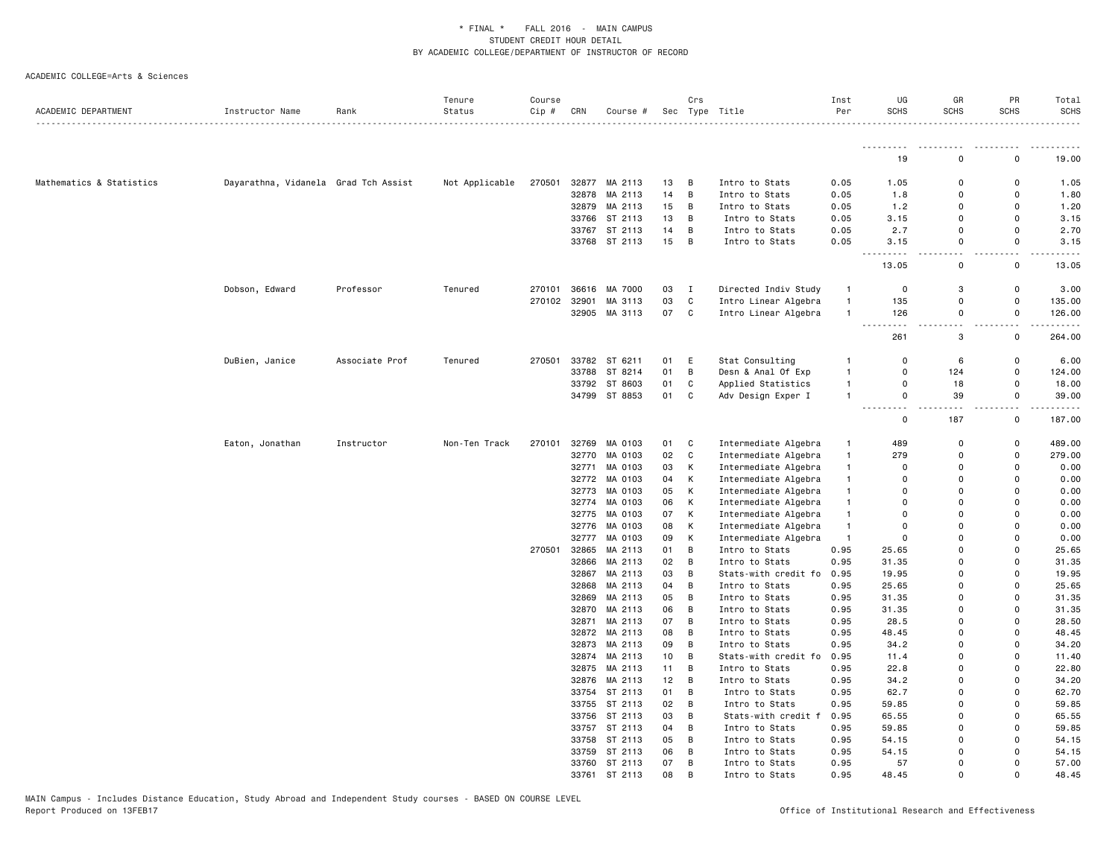| ACADEMIC DEPARTMENT      | Instructor Name                      | Rank           | Tenure<br>Status | Course<br>Cip # | CRN   | Course #      |    | Crs          | Sec Type Title            | Inst<br>Per  | UG<br><b>SCHS</b>      | GR<br><b>SCHS</b> | PR<br><b>SCHS</b>  | Total<br><b>SCHS</b> |
|--------------------------|--------------------------------------|----------------|------------------|-----------------|-------|---------------|----|--------------|---------------------------|--------------|------------------------|-------------------|--------------------|----------------------|
|                          |                                      |                |                  |                 |       |               |    |              |                           |              |                        |                   |                    |                      |
|                          |                                      |                |                  |                 |       |               |    |              |                           |              | <u>.</u><br>19         | $\Omega$          | <u>.</u><br>0      | .<br>19.00           |
| Mathematics & Statistics | Dayarathna, Vidanela Grad Tch Assist |                | Not Applicable   | 270501          |       | 32877 MA 2113 | 13 | B            | Intro to Stats            | 0.05         | 1.05                   | $\Omega$          | $\Omega$           | 1.05                 |
|                          |                                      |                |                  |                 |       | 32878 MA 2113 | 14 | B            | Intro to Stats            | 0.05         | 1.8                    | $\Omega$          | $\Omega$           | 1.80                 |
|                          |                                      |                |                  |                 |       | 32879 MA 2113 | 15 | B            | Intro to Stats            | 0.05         | 1.2                    | $\mathbf 0$       | $\Omega$           | 1.20                 |
|                          |                                      |                |                  |                 |       | 33766 ST 2113 | 13 | B            | Intro to Stats            | 0.05         | 3.15                   | $\Omega$          | $\Omega$           | 3.15                 |
|                          |                                      |                |                  |                 |       | 33767 ST 2113 | 14 | В            | Intro to Stats            | 0.05         | 2.7                    | $\mathbf 0$       | 0                  | 2.70                 |
|                          |                                      |                |                  |                 |       | 33768 ST 2113 | 15 | B            | Intro to Stats            | 0.05         | 3.15                   | 0                 | 0                  | 3.15                 |
|                          |                                      |                |                  |                 |       |               |    |              |                           |              | $\sim$ $\sim$<br>13.05 | $\mathbf 0$       | $\mathsf{o}$       | 13.05                |
|                          | Dobson, Edward                       | Professor      | Tenured          | 270101          |       | 36616 MA 7000 | 03 | $\mathbf{I}$ | Directed Indiv Study      | $\mathbf{1}$ | $\mathbf 0$            | 3                 | 0                  | 3.00                 |
|                          |                                      |                |                  | 270102          | 32901 | MA 3113       | 03 | $\mathtt{C}$ | Intro Linear Algebra      | $\mathbf{1}$ | 135                    | 0                 | 0                  | 135.00               |
|                          |                                      |                |                  |                 |       | 32905 MA 3113 | 07 | C            | Intro Linear Algebra      | $\mathbf{1}$ | 126                    | $\mathbf 0$       | 0                  | 126.00               |
|                          |                                      |                |                  |                 |       |               |    |              |                           |              | $\sim$ $\sim$<br>261   | 3                 | 0                  | 264.00               |
|                          | DuBien, Janice                       | Associate Prof | Tenured          | 270501          |       | 33782 ST 6211 | 01 | E            | Stat Consulting           | -1           | 0                      | 6                 | 0                  | 6.00                 |
|                          |                                      |                |                  |                 |       | 33788 ST 8214 | 01 | B            | Desn & Anal Of Exp        | $\mathbf{1}$ | $\Omega$               | 124               | $\mathbf 0$        | 124.00               |
|                          |                                      |                |                  |                 | 33792 | ST 8603       | 01 | C            | Applied Statistics        | $\mathbf{1}$ | 0                      | 18                | 0                  | 18.00                |
|                          |                                      |                |                  |                 |       | 34799 ST 8853 | 01 | C            | Adv Design Exper I        | $\mathbf{1}$ | $\mathbf 0$            | 39                | 0                  | 39.00                |
|                          |                                      |                |                  |                 |       |               |    |              |                           |              | - - -<br>0             | 187               | $\sim$ $\sim$<br>0 | .<br>187.00          |
|                          | Eaton, Jonathan                      | Instructor     | Non-Ten Track    | 270101          | 32769 | MA 0103       | 01 | C            | Intermediate Algebra      | $\mathbf{1}$ | 489                    | $\mathbf 0$       | $\mathbf 0$        | 489.00               |
|                          |                                      |                |                  |                 |       | 32770 MA 0103 | 02 | $\mathtt{C}$ | Intermediate Algebra      | $\mathbf{1}$ | 279                    | $\Omega$          | $\mathbf 0$        | 279.00               |
|                          |                                      |                |                  |                 |       | 32771 MA 0103 | 03 | К            | Intermediate Algebra      | $\mathbf{1}$ | $\mathbf 0$            | $\Omega$          | 0                  | 0.00                 |
|                          |                                      |                |                  |                 |       | 32772 MA 0103 | 04 | К            | Intermediate Algebra      | $\mathbf{1}$ | $\Omega$               | $\Omega$          | $\Omega$           | 0.00                 |
|                          |                                      |                |                  |                 | 32773 | MA 0103       | 05 | К            | Intermediate Algebra      | $\mathbf{1}$ | $\Omega$               | $\Omega$          | $\Omega$           | 0.00                 |
|                          |                                      |                |                  |                 | 32774 | MA 0103       | 06 | К            | Intermediate Algebra      | $\mathbf{1}$ | $\Omega$               | $\Omega$          | $\Omega$           | 0.00                 |
|                          |                                      |                |                  |                 | 32775 | MA 0103       | 07 | К            | Intermediate Algebra      | $\mathbf{1}$ | $\Omega$               | 0                 | $\Omega$           | 0.00                 |
|                          |                                      |                |                  |                 | 32776 | MA 0103       | 08 | К            | Intermediate Algebra      | $\mathbf{1}$ | $\Omega$               | $\mathbf 0$       | $\Omega$           | 0.00                 |
|                          |                                      |                |                  |                 |       | 32777 MA 0103 | 09 | К            | Intermediate Algebra      | $\mathbf{1}$ | $\Omega$               | $\Omega$          | $\Omega$           | 0.00                 |
|                          |                                      |                |                  | 270501          | 32865 | MA 2113       | 01 | B            | Intro to Stats            | 0.95         | 25.65                  | $\mathbf 0$       | $\Omega$           | 25.65                |
|                          |                                      |                |                  |                 | 32866 | MA 2113       | 02 | B            | Intro to Stats            | 0.95         | 31.35                  | $\mathbf 0$       | $\Omega$           | 31.35                |
|                          |                                      |                |                  |                 |       | 32867 MA 2113 | 03 | В            | Stats-with credit fo 0.95 |              | 19.95                  | $\mathbf 0$       | $\Omega$           | 19.95                |
|                          |                                      |                |                  |                 | 32868 | MA 2113       | 04 | В            | Intro to Stats            | 0.95         | 25.65                  | $\mathbf 0$       | $\Omega$           | 25.65                |
|                          |                                      |                |                  |                 |       | 32869 MA 2113 | 05 | B            | Intro to Stats            | 0.95         | 31.35                  | 0                 | $\Omega$           | 31.35                |
|                          |                                      |                |                  |                 |       | 32870 MA 2113 | 06 | B            | Intro to Stats            | 0.95         | 31.35                  | $\mathbf 0$       | $\Omega$           | 31.35                |
|                          |                                      |                |                  |                 | 32871 | MA 2113       | 07 | B            | Intro to Stats            | 0.95         | 28.5                   | $\Omega$          | $\Omega$           | 28.50                |
|                          |                                      |                |                  |                 |       | 32872 MA 2113 | 08 | B            | Intro to Stats            | 0.95         | 48.45                  | $\mathbf 0$       | $\Omega$           | 48.45                |
|                          |                                      |                |                  |                 |       | 32873 MA 2113 | 09 | В            | Intro to Stats            | 0.95         | 34.2                   | 0                 | $\Omega$           | 34.20                |
|                          |                                      |                |                  |                 |       | 32874 MA 2113 | 10 | B            | Stats-with credit fo 0.95 |              | 11.4                   | $\mathbf 0$       | $\Omega$           | 11.40                |
|                          |                                      |                |                  |                 |       | 32875 MA 2113 | 11 | В            | Intro to Stats            | 0.95         | 22.8                   | $\Omega$          | $\Omega$           | 22.80                |
|                          |                                      |                |                  |                 |       | 32876 MA 2113 | 12 | B            | Intro to Stats            | 0.95         | 34.2                   | $\mathbf 0$       | $\Omega$           | 34.20                |
|                          |                                      |                |                  |                 |       | 33754 ST 2113 | 01 | B            | Intro to Stats            | 0.95         | 62.7                   | $\mathbf 0$       | $\Omega$           | 62.70                |
|                          |                                      |                |                  |                 |       | 33755 ST 2113 | 02 | B            | Intro to Stats            | 0.95         | 59.85                  | $\mathbf 0$       | $\Omega$           | 59.85                |
|                          |                                      |                |                  |                 |       | 33756 ST 2113 | 03 | В            | Stats-with credit f 0.95  |              | 65.55                  | $\mathbf 0$       | $\Omega$           | 65.55                |
|                          |                                      |                |                  |                 |       | 33757 ST 2113 | 04 | B            | Intro to Stats            | 0.95         | 59.85                  | 0                 | 0                  | 59.85                |
|                          |                                      |                |                  |                 |       | 33758 ST 2113 | 05 | B            | Intro to Stats            | 0.95         | 54.15                  | $\Omega$          | $\Omega$           | 54.15                |
|                          |                                      |                |                  |                 |       | 33759 ST 2113 | 06 | В            | Intro to Stats            | 0.95         | 54.15                  | $\Omega$          | $\Omega$           | 54.15                |
|                          |                                      |                |                  |                 |       | 33760 ST 2113 | 07 | B            | Intro to Stats            | 0.95         | 57                     | $\mathbf 0$       | $\Omega$           | 57.00                |
|                          |                                      |                |                  |                 |       | 33761 ST 2113 | 08 | <b>B</b>     | Intro to Stats            | 0.95         | 48.45                  | $\Omega$          | $\Omega$           | 48.45                |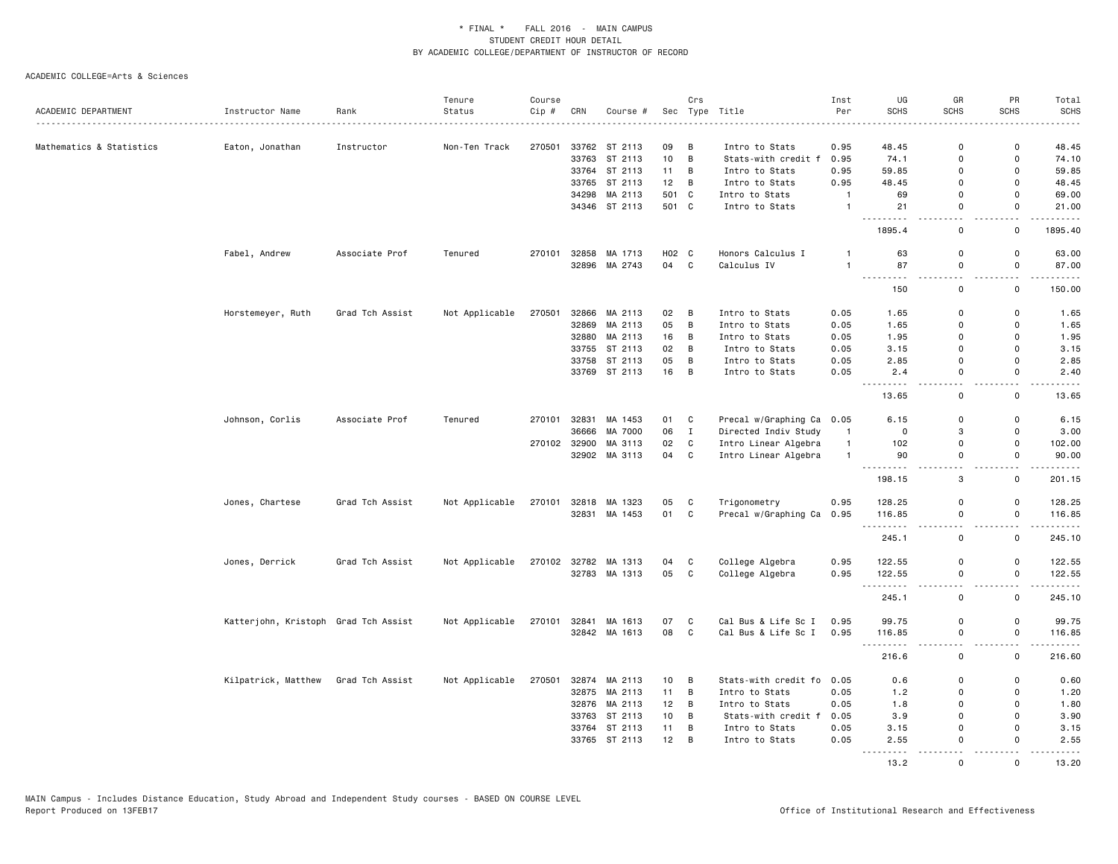|                          |                                      |                 | Tenure         | Course |              |                          |          | Crs          |                                       | Inst         | UG                                                                                                     | GR           | PR                        | Total                                                                                                                                                                                     |
|--------------------------|--------------------------------------|-----------------|----------------|--------|--------------|--------------------------|----------|--------------|---------------------------------------|--------------|--------------------------------------------------------------------------------------------------------|--------------|---------------------------|-------------------------------------------------------------------------------------------------------------------------------------------------------------------------------------------|
| ACADEMIC DEPARTMENT      | Instructor Name                      | Rank            | Status         | Cip #  | CRN          | Course #                 | Sec      |              | Type Title                            | Per          | <b>SCHS</b>                                                                                            | <b>SCHS</b>  | <b>SCHS</b>               | <b>SCHS</b>                                                                                                                                                                               |
|                          |                                      |                 |                |        |              |                          |          |              |                                       |              |                                                                                                        | $\Omega$     | $\Omega$                  |                                                                                                                                                                                           |
| Mathematics & Statistics | Eaton, Jonathan                      | Instructor      | Non-Ten Track  | 270501 | 33763        | 33762 ST 2113<br>ST 2113 | 09<br>10 | В<br>B       | Intro to Stats<br>Stats-with credit f | 0.95<br>0.95 | 48.45<br>74.1                                                                                          | 0            | $\mathbf 0$               | 48.45<br>74.10                                                                                                                                                                            |
|                          |                                      |                 |                |        |              |                          |          |              |                                       |              |                                                                                                        |              | $\Omega$                  |                                                                                                                                                                                           |
|                          |                                      |                 |                |        |              | 33764 ST 2113            | 11       | B            | Intro to Stats                        | 0.95         | 59.85                                                                                                  | $\Omega$     |                           | 59.85                                                                                                                                                                                     |
|                          |                                      |                 |                |        |              | 33765 ST 2113            | 12       | B            | Intro to Stats                        | 0.95         | 48.45                                                                                                  | $\Omega$     | $\mathbf 0$               | 48.45                                                                                                                                                                                     |
|                          |                                      |                 |                |        | 34298        | MA 2113                  | 501      | C            | Intro to Stats                        | $\mathbf{1}$ | 69                                                                                                     | 0            | 0                         | 69.00                                                                                                                                                                                     |
|                          |                                      |                 |                |        |              | 34346 ST 2113            | 501 C    |              | Intro to Stats                        | $\mathbf{1}$ | 21<br>.                                                                                                | 0            | $\mathsf{o}$              | 21.00<br>.                                                                                                                                                                                |
|                          |                                      |                 |                |        |              |                          |          |              |                                       |              | 1895.4                                                                                                 | 0            | $\mathbf 0$               | 1895.40                                                                                                                                                                                   |
|                          | Fabel, Andrew                        | Associate Prof  | Tenured        | 270101 | 32858        | MA 1713                  | H02 C    |              | Honors Calculus I                     | 1            | 63                                                                                                     | 0            | 0                         | 63.00                                                                                                                                                                                     |
|                          |                                      |                 |                |        |              | 32896 MA 2743            | 04       | C            | Calculus IV                           | $\mathbf{1}$ | 87<br>.<br>$\frac{1}{2}$                                                                               | 0            | $\mathbf 0$<br>. <b>.</b> | 87.00<br>.                                                                                                                                                                                |
|                          |                                      |                 |                |        |              |                          |          |              |                                       |              | 150                                                                                                    | 0            | 0                         | 150.00                                                                                                                                                                                    |
|                          | Horstemeyer, Ruth                    | Grad Tch Assist | Not Applicable | 270501 |              | 32866 MA 2113            | 02       | B            | Intro to Stats                        | 0.05         | 1.65                                                                                                   | $\Omega$     | $\mathbf 0$               | 1.65                                                                                                                                                                                      |
|                          |                                      |                 |                |        | 32869        | MA 2113                  | 05       | B            | Intro to Stats                        | 0.05         | 1.65                                                                                                   | 0            | $\mathbf 0$               | 1.65                                                                                                                                                                                      |
|                          |                                      |                 |                |        |              | 32880 MA 2113            | 16       | В            | Intro to Stats                        | 0.05         | 1.95                                                                                                   | 0            | $\mathbf 0$               | 1.95                                                                                                                                                                                      |
|                          |                                      |                 |                |        |              | 33755 ST 2113            | 02       | B            | Intro to Stats                        | 0.05         | 3.15                                                                                                   | $\Omega$     | $\mathbf 0$               | 3.15                                                                                                                                                                                      |
|                          |                                      |                 |                |        | 33758        | ST 2113                  | 05       | В            | Intro to Stats                        | 0.05         | 2.85                                                                                                   | 0            | $\mathbf 0$               | 2.85                                                                                                                                                                                      |
|                          |                                      |                 |                |        |              | 33769 ST 2113            | 16       | B            | Intro to Stats                        | 0.05         | 2.4<br>$\sim$ $\sim$ $\sim$                                                                            | 0            | 0                         | 2.40<br>$\sim$ $\sim$ $\sim$ $\sim$ $\sim$                                                                                                                                                |
|                          |                                      |                 |                |        |              |                          |          |              |                                       |              | 13.65                                                                                                  | $\Omega$     | $\Omega$                  | 13.65                                                                                                                                                                                     |
|                          | Johnson, Corlis                      | Associate Prof  | Tenured        | 270101 | 32831        | MA 1453                  | 01       | C            | Precal w/Graphing Ca                  | 0.05         | 6.15                                                                                                   | 0            | 0                         | 6.15                                                                                                                                                                                      |
|                          |                                      |                 |                |        | 36666        | MA 7000                  | 06       | $\mathbf{I}$ | Directed Indiv Study                  | $\mathbf{1}$ | $\mathbf 0$                                                                                            | 3            | $\mathbf 0$               | 3.00                                                                                                                                                                                      |
|                          |                                      |                 |                |        | 270102 32900 | MA 3113                  | 02       | C            | Intro Linear Algebra                  | $\mathbf{1}$ | 102                                                                                                    | 0            | 0                         | 102.00                                                                                                                                                                                    |
|                          |                                      |                 |                |        | 32902        | MA 3113                  | 04       | C            | Intro Linear Algebra                  | $\mathbf{1}$ | 90                                                                                                     | 0            | 0                         | 90.00                                                                                                                                                                                     |
|                          |                                      |                 |                |        |              |                          |          |              |                                       |              | $\omega$ $\omega$ $\omega$<br>$\sim$ $\sim$ $\sim$<br>198.15                                           | 3            | $\mathbf 0$               | .<br>201.15                                                                                                                                                                               |
|                          | Jones, Chartese                      | Grad Tch Assist | Not Applicable |        |              | 270101 32818 MA 1323     | 05       | C            | Trigonometry                          | 0.95         | 128.25                                                                                                 | 0            | 0                         | 128.25                                                                                                                                                                                    |
|                          |                                      |                 |                |        |              | 32831 MA 1453            | 01       | $\mathtt{C}$ | Precal w/Graphing Ca                  | 0.95         | 116.85                                                                                                 | 0            | $\mathsf 0$               | 116.85<br>.                                                                                                                                                                               |
|                          |                                      |                 |                |        |              |                          |          |              |                                       |              | ---------<br>245.1                                                                                     | $\Omega$     | $\mathsf{o}$              | 245.10                                                                                                                                                                                    |
|                          | Jones, Derrick                       | Grad Tch Assist | Not Applicable | 270102 |              | 32782 MA 1313            | 04       | C            | College Algebra                       | 0.95         | 122.55                                                                                                 | 0            | $\Omega$                  | 122.55                                                                                                                                                                                    |
|                          |                                      |                 |                |        |              | 32783 MA 1313            | 05       | C            | College Algebra                       | 0.95         | 122.55                                                                                                 | $\Omega$     | $\mathbf 0$               | 122.55                                                                                                                                                                                    |
|                          |                                      |                 |                |        |              |                          |          |              |                                       |              | .<br>245.1                                                                                             | 0            | $\mathbf 0$               | $\frac{1}{2} \left( \frac{1}{2} \right) \left( \frac{1}{2} \right) \left( \frac{1}{2} \right) \left( \frac{1}{2} \right) \left( \frac{1}{2} \right) \left( \frac{1}{2} \right)$<br>245.10 |
|                          | Katterjohn, Kristoph Grad Tch Assist |                 | Not Applicable | 270101 | 32841        | MA 1613                  | 07       | C            | Cal Bus & Life Sc I                   | 0.95         | 99.75                                                                                                  | 0            | 0                         | 99.75                                                                                                                                                                                     |
|                          |                                      |                 |                |        |              | 32842 MA 1613            | 08       | C            | Cal Bus & Life Sc I                   | 0.95         | 116.85<br>. <b>.</b>                                                                                   | $\mathsf{O}$ | $\mathbf 0$               | 116.85<br>.                                                                                                                                                                               |
|                          |                                      |                 |                |        |              |                          |          |              |                                       |              | 216.6                                                                                                  | 0            | $\mathbf 0$               | 216.60                                                                                                                                                                                    |
|                          | Kilpatrick, Matthew                  | Grad Tch Assist | Not Applicable | 270501 |              | 32874 MA 2113            | 10       | B            | Stats-with credit fo                  | 0.05         | 0.6                                                                                                    | 0            | $\Omega$                  | 0.60                                                                                                                                                                                      |
|                          |                                      |                 |                |        |              | 32875 MA 2113            | 11       | B            | Intro to Stats                        | 0.05         | 1.2                                                                                                    | 0            | $\mathbf 0$               | 1.20                                                                                                                                                                                      |
|                          |                                      |                 |                |        |              | 32876 MA 2113            | 12       | B            | Intro to Stats                        | 0.05         | 1.8                                                                                                    | $\Omega$     | $\mathbf 0$               | 1.80                                                                                                                                                                                      |
|                          |                                      |                 |                |        |              | 33763 ST 2113            | 10       | B            | Stats-with credit f                   | 0.05         | 3.9                                                                                                    | 0            | 0                         | 3.90                                                                                                                                                                                      |
|                          |                                      |                 |                |        |              | 33764 ST 2113            | 11       | B            | Intro to Stats                        | 0.05         | 3.15                                                                                                   | 0            | $\mathbf 0$               | 3.15                                                                                                                                                                                      |
|                          |                                      |                 |                |        |              | 33765 ST 2113            | 12       | B            | Intro to Stats                        | 0.05         | 2.55<br>$\frac{1}{2} \left( \frac{1}{2} \right) \left( \frac{1}{2} \right) \left( \frac{1}{2} \right)$ | $\Omega$     | $\Omega$                  | 2.55                                                                                                                                                                                      |
|                          |                                      |                 |                |        |              |                          |          |              |                                       |              | 13.2                                                                                                   | $\Omega$     | $\Omega$                  | 13.20                                                                                                                                                                                     |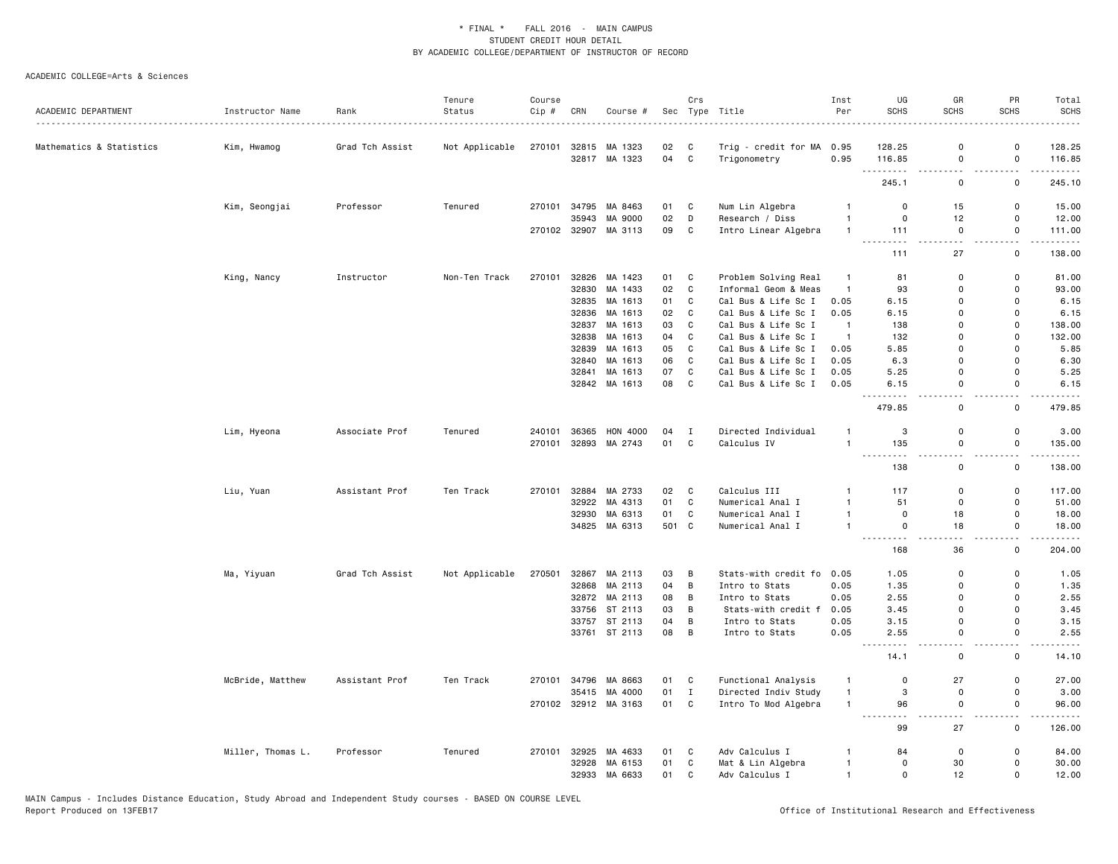|                          |                   |                 | Tenure         | Course |       |                      |       | Crs          |                      | Inst           | UG                          | GR               | PR                 | Total                                                                                                                                                                                                                |
|--------------------------|-------------------|-----------------|----------------|--------|-------|----------------------|-------|--------------|----------------------|----------------|-----------------------------|------------------|--------------------|----------------------------------------------------------------------------------------------------------------------------------------------------------------------------------------------------------------------|
| ACADEMIC DEPARTMENT      | Instructor Name   | Rank            | Status         | Cip #  | CRN   | Course #             |       |              | Sec Type Title       | Per            | SCHS                        | <b>SCHS</b>      | <b>SCHS</b>        | <b>SCHS</b>                                                                                                                                                                                                          |
| Mathematics & Statistics | Kim, Hwamog       | Grad Tch Assist | Not Applicable | 270101 | 32815 | MA 1323              | 02    | C            | Trig - credit for MA | 0.95           | 128.25                      | 0                | 0                  | 128.25                                                                                                                                                                                                               |
|                          |                   |                 |                |        |       | 32817 MA 1323        | 04    | C            | Trigonometry         | 0.95           | 116.85                      | 0                | 0                  | 116.85                                                                                                                                                                                                               |
|                          |                   |                 |                |        |       |                      |       |              |                      |                | .<br>245.1                  | .<br>$\mathsf 0$ | 0                  | $\frac{1}{2} \left( \frac{1}{2} \right) \left( \frac{1}{2} \right) \left( \frac{1}{2} \right) \left( \frac{1}{2} \right) \left( \frac{1}{2} \right) \left( \frac{1}{2} \right) \left( \frac{1}{2} \right)$<br>245.10 |
|                          | Kim, Seongjai     | Professor       | Tenured        | 270101 | 34795 | MA 8463              | 01    | C            | Num Lin Algebra      |                | 0                           | 15               | 0                  | 15.00                                                                                                                                                                                                                |
|                          |                   |                 |                |        | 35943 | MA 9000              | 02    | D            | Research / Diss      | $\mathbf{1}$   | $\mathsf 0$                 | 12               | 0                  | 12.00                                                                                                                                                                                                                |
|                          |                   |                 |                |        |       | 270102 32907 MA 3113 | 09    | $\mathbf C$  | Intro Linear Algebra | $\mathbf{1}$   | 111                         | $\mathsf 0$      | $\mathsf 0$        | 111.00                                                                                                                                                                                                               |
|                          |                   |                 |                |        |       |                      |       |              |                      |                | $\sim$ $\sim$ $\sim$<br>111 | 27               | 0                  | .<br>138.00                                                                                                                                                                                                          |
|                          | King, Nancy       | Instructor      | Non-Ten Track  | 270101 | 32826 | MA 1423              | 01    | C            | Problem Solving Real | -1             | 81                          | 0                | 0                  | 81.00                                                                                                                                                                                                                |
|                          |                   |                 |                |        | 32830 | MA 1433              | 02    | $\mathbf C$  | Informal Geom & Meas | $\mathbf{1}$   | 93                          | $\mathbf 0$      | $\mathsf{o}$       | 93.00                                                                                                                                                                                                                |
|                          |                   |                 |                |        | 32835 | MA 1613              | 01    | C            | Cal Bus & Life Sc I  | 0.05           | 6.15                        | $\Omega$         | 0                  | 6.15                                                                                                                                                                                                                 |
|                          |                   |                 |                |        | 32836 | MA 1613              | 02    | C            | Cal Bus & Life Sc I  | 0.05           | 6.15                        | $\mathbf 0$      | 0                  | 6.15                                                                                                                                                                                                                 |
|                          |                   |                 |                |        | 32837 | MA 1613              | 03    | C            | Cal Bus & Life Sc I  | $\mathbf{1}$   | 138                         | 0                | 0                  | 138.00                                                                                                                                                                                                               |
|                          |                   |                 |                |        | 32838 | MA 1613              | 04    | $\mathsf{C}$ | Cal Bus & Life Sc I  | $\overline{1}$ | 132                         | $\Omega$         | $\mathsf{o}$       | 132.00                                                                                                                                                                                                               |
|                          |                   |                 |                |        | 32839 | MA 1613              | 05    | $\mathtt{C}$ | Cal Bus & Life Sc I  | 0.05           | 5.85                        | $\mathbf 0$      | $\mathsf{o}$       | 5.85                                                                                                                                                                                                                 |
|                          |                   |                 |                |        | 32840 | MA 1613              | 06    | $\mathbf C$  | Cal Bus & Life Sc I  | 0.05           | 6.3                         | $\Omega$         | $\mathsf{o}$       | 6.30                                                                                                                                                                                                                 |
|                          |                   |                 |                |        | 32841 | MA 1613              | 07    | C            | Cal Bus & Life Sc I  | 0.05           | 5.25                        | 0                | 0                  | 5.25                                                                                                                                                                                                                 |
|                          |                   |                 |                |        |       | 32842 MA 1613        | 08    | C            | Cal Bus & Life Sc I  | 0.05           | 6.15                        | 0                | 0                  | 6.15                                                                                                                                                                                                                 |
|                          |                   |                 |                |        |       |                      |       |              |                      |                | 479.85                      | $\mathsf 0$      | $\mathsf 0$        | $\sim 100$<br>479.85                                                                                                                                                                                                 |
|                          | Lim, Hyeona       | Associate Prof  | Tenured        | 240101 | 36365 | HON 4000             | 04    | I            | Directed Individual  | $\mathbf{1}$   | 3                           | 0                | 0                  | 3.00                                                                                                                                                                                                                 |
|                          |                   |                 |                | 270101 |       | 32893 MA 2743        | 01    | $\mathbf{C}$ | Calculus IV          | $\mathbf{1}$   | 135                         | $\mathsf 0$      | $\mathsf{o}\,$     | 135.00                                                                                                                                                                                                               |
|                          |                   |                 |                |        |       |                      |       |              |                      |                | 138                         | 0                | 0                  | 138.00                                                                                                                                                                                                               |
|                          | Liu, Yuan         | Assistant Prof  | Ten Track      | 270101 | 32884 | MA 2733              | 02    | $\mathbf c$  | Calculus III         | -1             | 117                         | $\mathsf 0$      | $\mathsf{o}\,$     | 117.00                                                                                                                                                                                                               |
|                          |                   |                 |                |        | 32922 | MA 4313              | 01    | C            | Numerical Anal I     | $\mathbf{1}$   | 51                          | $\mathsf 0$      | $\mathsf{o}$       | 51.00                                                                                                                                                                                                                |
|                          |                   |                 |                |        | 32930 | MA 6313              | 01    | C            | Numerical Anal I     | $\mathbf{1}$   | $\mathbf 0$                 | 18               | 0                  | 18.00                                                                                                                                                                                                                |
|                          |                   |                 |                |        |       | 34825 MA 6313        | 501 C |              | Numerical Anal I     | $\mathbf{1}$   | $\mathbf 0$                 | 18               | 0                  | 18.00<br>.                                                                                                                                                                                                           |
|                          |                   |                 |                |        |       |                      |       |              |                      |                | 168                         | 36               | $\mathsf{o}\,$     | 204.00                                                                                                                                                                                                               |
|                          | Ma, Yiyuan        | Grad Tch Assist | Not Applicable | 270501 | 32867 | MA 2113              | 03    | B            | Stats-with credit fo | 0.05           | 1.05                        | 0                | 0                  | 1.05                                                                                                                                                                                                                 |
|                          |                   |                 |                |        | 32868 | MA 2113              | 04    | B            | Intro to Stats       | 0.05           | 1.35                        | 0                | 0                  | 1.35                                                                                                                                                                                                                 |
|                          |                   |                 |                |        | 32872 | MA 2113              | 08    | B            | Intro to Stats       | 0.05           | 2.55                        | $\mathbf 0$      | 0                  | 2.55                                                                                                                                                                                                                 |
|                          |                   |                 |                |        | 33756 | ST 2113              | 03    | B            | Stats-with credit f  | 0.05           | 3.45                        | $\Omega$         | 0                  | 3.45                                                                                                                                                                                                                 |
|                          |                   |                 |                |        |       | 33757 ST 2113        | 04    | B            | Intro to Stats       | 0.05           | 3.15                        | $\mathbf 0$      | 0                  | 3.15                                                                                                                                                                                                                 |
|                          |                   |                 |                |        |       | 33761 ST 2113        | 08    | B            | Intro to Stats       | 0.05           | 2.55<br>.<br>$ -$           | 0                | 0<br>$\sim$ $\sim$ | 2.55<br>$\frac{1}{2}$                                                                                                                                                                                                |
|                          |                   |                 |                |        |       |                      |       |              |                      |                | 14.1                        | $\mathsf 0$      | $\mathsf 0$        | 14.10                                                                                                                                                                                                                |
|                          | McBride, Matthew  | Assistant Prof  | Ten Track      | 270101 | 34796 | MA 8663              | 01    | C            | Functional Analysis  | $\mathbf{1}$   | 0                           | 27               | 0                  | 27.00                                                                                                                                                                                                                |
|                          |                   |                 |                |        | 35415 | MA 4000              | 01    | $\mathbf I$  | Directed Indiv Study | $\mathbf{1}$   | 3                           | 0                | 0                  | 3.00                                                                                                                                                                                                                 |
|                          |                   |                 |                |        |       | 270102 32912 MA 3163 | 01    | $\mathbf c$  | Intro To Mod Algebra | $\mathbf{1}$   | 96<br>---------             | $\mathbf 0$      | $\mathsf{o}$<br>.  | 96.00<br>.                                                                                                                                                                                                           |
|                          |                   |                 |                |        |       |                      |       |              |                      |                | 99                          | 27               | 0                  | 126.00                                                                                                                                                                                                               |
|                          | Miller, Thomas L. | Professor       | Tenured        | 270101 | 32925 | MA 4633              | 01    | C            | Adv Calculus I       | -1             | 84                          | $\mathsf 0$      | 0                  | 84.00                                                                                                                                                                                                                |
|                          |                   |                 |                |        | 32928 | MA 6153              | 01    | C            | Mat & Lin Algebra    | $\mathbf{1}$   | $\mathbf 0$                 | 30               | 0                  | 30.00                                                                                                                                                                                                                |
|                          |                   |                 |                |        | 32933 | MA 6633              | 01    | C            | Adv Calculus I       | $\mathbf{1}$   | $\Omega$                    | 12               | 0                  | 12.00                                                                                                                                                                                                                |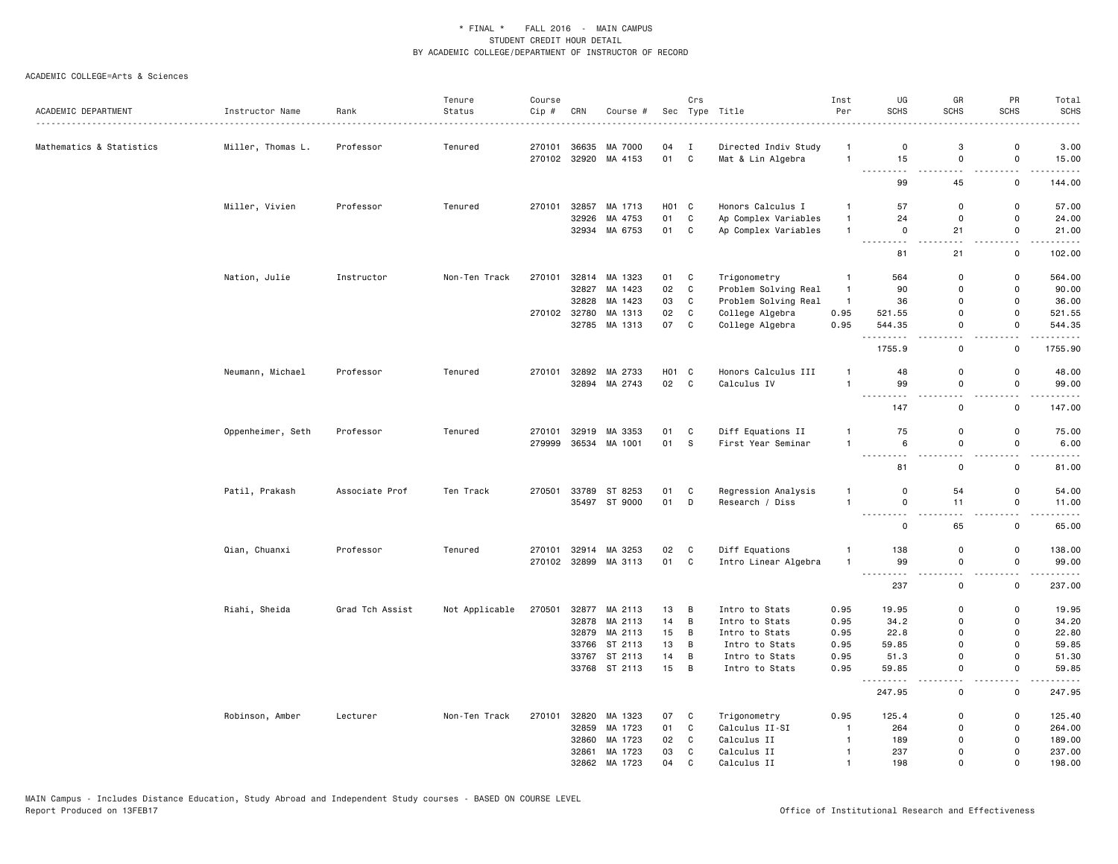|                          |                   |                 | Tenure         | Course |              |                      |       | Crs            |                      | Inst           | UG                                                                                                                               | GR                                      | PR                            | Total                 |
|--------------------------|-------------------|-----------------|----------------|--------|--------------|----------------------|-------|----------------|----------------------|----------------|----------------------------------------------------------------------------------------------------------------------------------|-----------------------------------------|-------------------------------|-----------------------|
| ACADEMIC DEPARTMENT      | Instructor Name   | Rank            | Status         | Cip #  | CRN          | Course #             |       |                | Sec Type Title<br>.  | Per            | <b>SCHS</b>                                                                                                                      | <b>SCHS</b>                             | <b>SCHS</b>                   | <b>SCHS</b>           |
| Mathematics & Statistics | Miller, Thomas L. | Professor       | Tenured        | 270101 |              | 36635 MA 7000        | 04    | $\mathbf{I}$   | Directed Indiv Study | -1             | $\mathbf 0$                                                                                                                      | 3                                       | $\mathsf 0$                   | 3.00                  |
|                          |                   |                 |                | 270102 |              | 32920 MA 4153        | 01    | $\mathbf{C}$   | Mat & Lin Algebra    | $\overline{1}$ | 15                                                                                                                               | $\mathbf 0$                             | $\mathsf{o}$                  | 15.00                 |
|                          |                   |                 |                |        |              |                      |       |                |                      |                | $\sim$ $\sim$<br>99                                                                                                              | $\overline{a}$<br>45                    | $\overline{a}$<br>0           | 144.00                |
|                          | Miller, Vivien    | Professor       | Tenured        | 270101 | 32857        | MA 1713              | H01 C |                | Honors Calculus I    | $\overline{1}$ | 57                                                                                                                               | $\mathbf 0$                             | $\mathsf 0$                   | 57.00                 |
|                          |                   |                 |                |        | 32926        | MA 4753              | 01    | C              | Ap Complex Variables | $\overline{1}$ | 24                                                                                                                               | $\mathbf 0$                             | $\mathbf 0$                   | 24.00                 |
|                          |                   |                 |                |        |              | 32934 MA 6753        | 01    | C              | Ap Complex Variables | $\overline{1}$ | $\mathsf{O}$                                                                                                                     | 21                                      | $\mathsf 0$                   | 21.00                 |
|                          |                   |                 |                |        |              |                      |       |                |                      |                | $\sim$ $\sim$<br>$ -$<br>81                                                                                                      | $\sim$ $\sim$<br>21                     | $\sim$ $\sim$<br>$\mathbf 0$  | .<br>102.00           |
|                          | Nation, Julie     | Instructor      | Non-Ten Track  | 270101 |              | 32814 MA 1323        | 01 C  |                | Trigonometry         | $\mathbf{1}$   | 564                                                                                                                              | $\mathbf 0$                             | $\mathsf 0$                   | 564.00                |
|                          |                   |                 |                |        | 32827        | MA 1423              | 02    | C              | Problem Solving Real | $\overline{1}$ | 90                                                                                                                               | $\mathbf 0$                             | 0                             | 90.00                 |
|                          |                   |                 |                |        | 32828        | MA 1423              | 03    | C              | Problem Solving Real | $\overline{1}$ | 36                                                                                                                               | $\mathbf 0$                             | $\mathsf 0$                   | 36.00                 |
|                          |                   |                 |                |        | 270102 32780 | MA 1313              | 02    | C              | College Algebra      | 0.95           | 521.55                                                                                                                           | $\Omega$                                | $\mathbf 0$                   | 521.55                |
|                          |                   |                 |                |        | 32785        | MA 1313              | 07    | $\mathbf{C}$   | College Algebra      | 0.95           | 544.35                                                                                                                           | $\mathbf 0$                             | 0                             | 544.35                |
|                          |                   |                 |                |        |              |                      |       |                |                      |                | <u>.</u><br>1755.9                                                                                                               | $-$<br>0                                | $\sim$ $\sim$<br>0            | .<br>1755.90          |
|                          | Neumann, Michael  | Professor       | Tenured        | 270101 |              | 32892 MA 2733        | H01 C |                | Honors Calculus III  | $\mathbf{1}$   | 48                                                                                                                               | $\mathbf 0$                             | $\mathsf 0$                   | 48.00                 |
|                          |                   |                 |                |        |              | 32894 MA 2743        | 02 C  |                | Calculus IV          | $\overline{1}$ | 99                                                                                                                               | $\mathsf 0$                             | $\mathsf{o}$                  | 99.00                 |
|                          |                   |                 |                |        |              |                      |       |                |                      |                | $\sim$ $\sim$ $\sim$ $\sim$<br>.<br>147                                                                                          | ٠.<br>0                                 | ٠.<br>0                       | 147.00                |
|                          |                   |                 |                |        |              |                      |       |                |                      |                |                                                                                                                                  |                                         |                               |                       |
|                          | Oppenheimer, Seth | Professor       | Tenured        | 270101 |              | 32919 MA 3353        | 01    | C              | Diff Equations II    | $\overline{1}$ | 75                                                                                                                               | $\mathbf 0$                             | $\mathsf 0$                   | 75.00                 |
|                          |                   |                 |                | 279999 |              | 36534 MA 1001        | 01    | S.             | First Year Seminar   | $\overline{1}$ | 6<br>.<br>$  -$                                                                                                                  | $\mathsf 0$                             | $\mathsf 0$<br>$\overline{a}$ | 6.00                  |
|                          |                   |                 |                |        |              |                      |       |                |                      |                | 81                                                                                                                               | $\mathbf 0$                             | $\mathsf 0$                   | 81.00                 |
|                          | Patil, Prakash    | Associate Prof  | Ten Track      | 270501 | 33789        | ST 8253              | 01    | C              | Regression Analysis  | $\overline{1}$ | $\mathbf 0$                                                                                                                      | 54                                      | $\mathsf 0$                   | 54.00                 |
|                          |                   |                 |                |        |              | 35497 ST 9000        | 01 D  |                | Research / Diss      | $\overline{1}$ | $\mathsf 0$<br>$- - - - -$                                                                                                       | 11<br>$\sim$ $\sim$                     | $\mathsf 0$<br>$\sim$ $\sim$  | 11.00<br>. <u>.</u> . |
|                          |                   |                 |                |        |              |                      |       |                |                      |                | 0                                                                                                                                | 65                                      | $\mathsf 0$                   | 65.00                 |
|                          | Qian, Chuanxi     | Professor       | Tenured        | 270101 |              | 32914 MA 3253        | 02    | C              | Diff Equations       | $\overline{1}$ | 138                                                                                                                              | $\mathbf 0$                             | $\mathsf 0$                   | 138.00                |
|                          |                   |                 |                |        |              | 270102 32899 MA 3113 | 01    | $\mathbf{C}$   | Intro Linear Algebra | $\overline{1}$ | 99                                                                                                                               | $\mathsf 0$                             | $\mathsf 0$                   | 99.00                 |
|                          |                   |                 |                |        |              |                      |       |                |                      |                | $\frac{1}{2} \left( \frac{1}{2} \right) \left( \frac{1}{2} \right) \left( \frac{1}{2} \right) \left( \frac{1}{2} \right)$<br>237 | $\overline{\phantom{a}}$<br>$\mathbf 0$ | . .<br>$\mathbf 0$            | 237.00                |
|                          | Riahi, Sheida     | Grad Tch Assist | Not Applicable | 270501 |              | 32877 MA 2113        | 13    | B              | Intro to Stats       | 0.95           | 19.95                                                                                                                            | $\mathbf 0$                             | $\mathsf 0$                   | 19.95                 |
|                          |                   |                 |                |        |              | 32878 MA 2113        | 14    | B              | Intro to Stats       | 0.95           | 34.2                                                                                                                             | $\mathbf 0$                             | $\mathsf 0$                   | 34.20                 |
|                          |                   |                 |                |        |              | 32879 MA 2113        | 15    | B              | Intro to Stats       | 0.95           | 22.8                                                                                                                             | $\Omega$                                | $\mathbf 0$                   | 22.80                 |
|                          |                   |                 |                |        | 33766        | ST 2113              | 13    | В              | Intro to Stats       | 0.95           | 59.85                                                                                                                            | $\mathbf 0$                             | $\mathsf 0$                   | 59.85                 |
|                          |                   |                 |                |        |              | 33767 ST 2113        | 14    | $\overline{B}$ | Intro to Stats       | 0.95           | 51.3                                                                                                                             | $\Omega$                                | $\mathbf 0$                   | 51.30                 |
|                          |                   |                 |                |        |              | 33768 ST 2113        | 15    | B              | Intro to Stats       | 0.95           | 59.85                                                                                                                            | $\Omega$                                | $\mathbf 0$                   | 59.85                 |
|                          |                   |                 |                |        |              |                      |       |                |                      |                | .<br>247.95                                                                                                                      | $\sim$<br>$\mathsf 0$                   | . .<br>$\mathsf 0$            | 247.95                |
|                          | Robinson, Amber   | Lecturer        | Non-Ten Track  | 270101 |              | 32820 MA 1323        | 07    | C              | Trigonometry         | 0.95           | 125.4                                                                                                                            | $\mathbf 0$                             | 0                             | 125.40                |
|                          |                   |                 |                |        |              | 32859 MA 1723        | 01    | C              | Calculus II-SI       | -1             | 264                                                                                                                              | $\Omega$                                | $\mathsf 0$                   | 264.00                |
|                          |                   |                 |                |        | 32860        | MA 1723              | 02    | C              | Calculus II          | $\overline{1}$ | 189                                                                                                                              | $\mathbf 0$                             | 0                             | 189.00                |
|                          |                   |                 |                |        | 32861        | MA 1723              | 03    | $\mathbf c$    | Calculus II          | $\overline{1}$ | 237                                                                                                                              | $\Omega$                                | $\mathsf 0$                   | 237.00                |
|                          |                   |                 |                |        |              | 32862 MA 1723        | 04    | C              | Calculus II          |                | 198                                                                                                                              | $\Omega$                                | $\Omega$                      | 198,00                |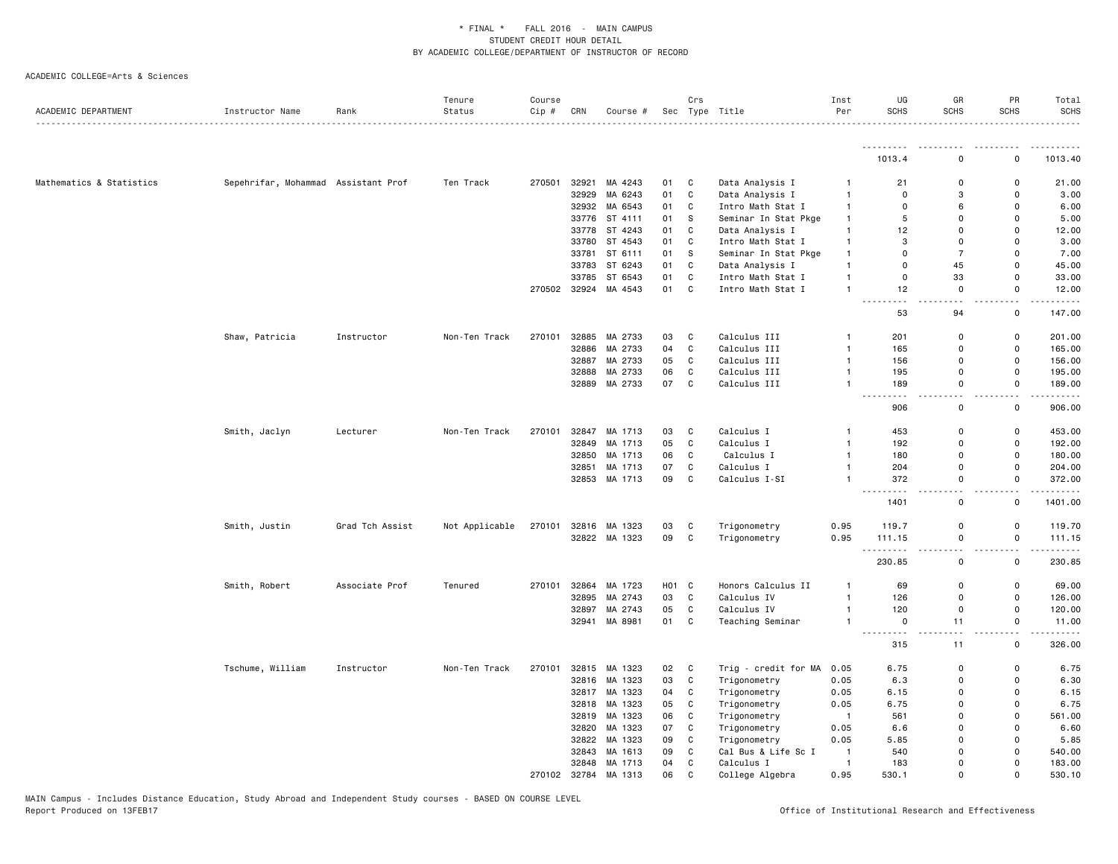| ACADEMIC DEPARTMENT      | Instructor Name                     | Rank            | Tenure<br>Status | Course<br>Cip # | CRN   | Course #             |       | Crs          | Sec Type Title                       | Inst<br>Per    | UG<br><b>SCHS</b>           | GR<br><b>SCHS</b>                       | PR<br><b>SCHS</b>            | Total<br><b>SCHS</b> |
|--------------------------|-------------------------------------|-----------------|------------------|-----------------|-------|----------------------|-------|--------------|--------------------------------------|----------------|-----------------------------|-----------------------------------------|------------------------------|----------------------|
|                          |                                     |                 |                  |                 |       |                      |       |              |                                      |                |                             |                                         |                              |                      |
|                          |                                     |                 |                  |                 |       |                      |       |              |                                      |                | .<br>1013.4                 | $\mathbf 0$                             | $\mathbf 0$                  | .<br>1013.40         |
| Mathematics & Statistics | Sepehrifar, Mohammad Assistant Prof |                 | Ten Track        | 270501          | 32921 | MA 4243              | 01    | C            | Data Analysis I                      | -1             | 21                          | $\mathbf 0$                             | 0                            | 21.00                |
|                          |                                     |                 |                  |                 | 32929 | MA 6243              | 01    | C            | Data Analysis I                      | $\overline{1}$ | $\mathbf 0$                 | 3                                       | 0                            | 3.00                 |
|                          |                                     |                 |                  |                 |       | 32932 MA 6543        | 01    | C            | Intro Math Stat I                    | $\mathbf{1}$   | $\mathbf 0$                 | 6                                       | $\mathbf 0$                  | 6.00                 |
|                          |                                     |                 |                  |                 | 33776 | ST 4111              | 01    | s            | Seminar In Stat Pkge                 | $\mathbf{1}$   | 5                           | $\mathbf 0$                             | 0                            | 5.00                 |
|                          |                                     |                 |                  |                 | 33778 | ST 4243              | 01    | C            | Data Analysis I                      | $\overline{1}$ | 12                          | $\mathbf 0$                             | $\mathsf 0$                  | 12.00                |
|                          |                                     |                 |                  |                 | 33780 | ST 4543              | 01    | C            | Intro Math Stat I                    | $\mathbf{1}$   | 3                           | $\mathbf 0$                             | $\mathbf 0$                  | 3.00                 |
|                          |                                     |                 |                  |                 | 33781 | ST 6111              | 01    | <sub>S</sub> | Seminar In Stat Pkge                 | $\overline{1}$ | $\mathbf 0$                 | $\overline{7}$                          | $\Omega$                     | 7.00                 |
|                          |                                     |                 |                  |                 | 33783 | ST 6243              | 01    | C            |                                      | $\overline{1}$ | $\mathbf 0$                 | 45                                      | $\mathbf 0$                  | 45.00                |
|                          |                                     |                 |                  |                 | 33785 | ST 6543              | 01    | C            | Data Analysis I<br>Intro Math Stat I | $\overline{1}$ | 0                           | 33                                      | 0                            | 33.00                |
|                          |                                     |                 |                  |                 |       | 270502 32924 MA 4543 | 01    | $\mathbf{C}$ |                                      | $\overline{1}$ | 12                          | $\mathbf 0$                             | $\mathbf 0$                  | 12.00                |
|                          |                                     |                 |                  |                 |       |                      |       |              | Intro Math Stat I                    |                | $\sim$ $\sim$               | . .                                     | $\sim$ $\sim$                | $    -$              |
|                          |                                     |                 |                  |                 |       |                      |       |              |                                      |                | 53                          | 94                                      | 0                            | 147.00               |
|                          | Shaw, Patricia                      | Instructor      | Non-Ten Track    | 270101          | 32885 | MA 2733              | 03    | C            | Calculus III                         | $\overline{1}$ | 201                         | $\mathbf 0$                             | 0                            | 201.00               |
|                          |                                     |                 |                  |                 | 32886 | MA 2733              | 04    | C            | Calculus III                         | $\overline{1}$ | 165                         | $\Omega$                                | $\mathbf 0$                  | 165.00               |
|                          |                                     |                 |                  |                 | 32887 | MA 2733              | 05    | C            | Calculus III                         | $\mathbf{1}$   | 156                         | $\mathbf 0$                             | $\mathsf 0$                  | 156.00               |
|                          |                                     |                 |                  |                 |       | 32888 MA 2733        | 06    | $\mathbf c$  | Calculus III                         | $\overline{1}$ | 195                         | $\mathbf 0$                             | $\mathsf 0$                  | 195.00               |
|                          |                                     |                 |                  |                 |       | 32889 MA 2733        | 07    | $\mathtt{C}$ | Calculus III                         | $\mathbf{1}$   | 189                         | $\overline{0}$                          | $\mathsf{o}$                 | 189.00               |
|                          |                                     |                 |                  |                 |       |                      |       |              |                                      |                | $\sim$ $\sim$ $\sim$<br>906 | 22<br>0                                 | н.<br>0                      | 906.00               |
|                          | Smith, Jaclyn                       | Lecturer        | Non-Ten Track    | 270101          | 32847 | MA 1713              | 03    | $\mathtt{C}$ | Calculus I                           | -1             | 453                         | $\mathbf 0$                             | $\mathsf{o}$                 | 453.00               |
|                          |                                     |                 |                  |                 | 32849 | MA 1713              | 05    | C            | Calculus I                           | $\mathbf{1}$   | 192                         | $\mathbf 0$                             | $\mathsf 0$                  | 192.00               |
|                          |                                     |                 |                  |                 | 32850 | MA 1713              | 06    | C            | Calculus I                           | $\overline{1}$ | 180                         | $\Omega$                                | $\mathsf 0$                  | 180.00               |
|                          |                                     |                 |                  |                 | 32851 | MA 1713              | 07    | C            | Calculus I                           | $\overline{1}$ | 204                         | $\mathbf 0$                             | 0                            | 204.00               |
|                          |                                     |                 |                  |                 |       | 32853 MA 1713        | 09    | C            | Calculus I-SI                        | $\overline{1}$ | 372                         | $\Omega$                                | $\mathbf 0$                  | 372.00               |
|                          |                                     |                 |                  |                 |       |                      |       |              |                                      |                | .<br>1401                   | $\sim$ $\sim$<br>$\mathbf 0$            | $\sim$ $\sim$<br>$\mathsf 0$ | .<br>1401.00         |
|                          | Smith, Justin                       | Grad Tch Assist | Not Applicable   | 270101          |       | 32816 MA 1323        | 03    | C            | Trigonometry                         | 0.95           | 119.7                       | 0                                       | $\mathsf{o}$                 | 119.70               |
|                          |                                     |                 |                  |                 |       | 32822 MA 1323        | 09    | C            | Trigonometry                         | 0.95           | 111.15                      | $\mathbf 0$                             | $\mathsf 0$                  | 111.15               |
|                          |                                     |                 |                  |                 |       |                      |       |              |                                      |                | .<br>230.85                 | $\overline{\phantom{a}}$<br>$\mathbf 0$ | $\sim$ $\sim$<br>0           | .<br>230.85          |
|                          | Smith, Robert                       | Associate Prof  | Tenured          | 270101          | 32864 | MA 1723              | H01 C |              | Honors Calculus II                   | $\mathbf{1}$   | 69                          | $\mathbf 0$                             | $\mathsf 0$                  | 69.00                |
|                          |                                     |                 |                  |                 | 32895 | MA 2743              | 03    | C            | Calculus IV                          | $\mathbf{1}$   | 126                         | $\mathbf 0$                             | $\mathsf 0$                  | 126.00               |
|                          |                                     |                 |                  |                 |       | 32897 MA 2743        | 05    | $\mathtt{C}$ | Calculus IV                          | $\overline{1}$ | 120                         | $\mathbf 0$                             | 0                            | 120.00               |
|                          |                                     |                 |                  |                 | 32941 | MA 8981              | 01    | $\mathtt{C}$ | Teaching Seminar                     | -1             | 0<br>.                      | 11<br>$\sim$ $\sim$                     | $\mathsf 0$<br>$\sim$ $\sim$ | 11.00<br>.           |
|                          |                                     |                 |                  |                 |       |                      |       |              |                                      |                | 315                         | 11                                      | $\mathsf 0$                  | 326.00               |
|                          | Tschume, William                    | Instructor      | Non-Ten Track    | 270101          | 32815 | MA 1323              | 02    | C            | Trig - credit for MA                 | 0.05           | 6.75                        | 0                                       | 0                            | 6.75                 |
|                          |                                     |                 |                  |                 |       | 32816 MA 1323        | 03    | $\mathbf c$  | Trigonometry                         | 0.05           | 6.3                         | $\mathbf 0$                             | $\mathbf 0$                  | 6.30                 |
|                          |                                     |                 |                  |                 |       | 32817 MA 1323        | 04    | C            | Trigonometry                         | 0.05           | 6.15                        | $\mathbf 0$                             | 0                            | 6.15                 |
|                          |                                     |                 |                  |                 |       | 32818 MA 1323        | 05    | C            | Trigonometry                         | 0.05           | 6.75                        | $\mathbf 0$                             | 0                            | 6.75                 |
|                          |                                     |                 |                  |                 |       | 32819 MA 1323        | 06    | $\mathtt{C}$ | Trigonometry                         | $\overline{1}$ | 561                         | $\Omega$                                | $\mathsf 0$                  | 561.00               |
|                          |                                     |                 |                  |                 | 32820 | MA 1323              | 07    | C            | Trigonometry                         | 0.05           | 6.6                         | $\Omega$                                | $\mathsf 0$                  | 6.60                 |
|                          |                                     |                 |                  |                 |       | 32822 MA 1323        | 09    | $\mathbf c$  | Trigonometry                         | 0.05           | 5.85                        | $\Omega$                                | $\mathbf 0$                  | 5.85                 |
|                          |                                     |                 |                  |                 | 32843 | MA 1613              | 09    | C            | Cal Bus & Life Sc I                  | $\overline{1}$ | 540                         | $\mathbf 0$                             | 0                            | 540.00               |
|                          |                                     |                 |                  |                 |       | 32848 MA 1713        | 04    | C            | Calculus I                           | $\overline{1}$ | 183                         | $\mathbf 0$                             | $\mathsf 0$                  | 183.00               |
|                          |                                     |                 |                  | 270102          |       | 32784 MA 1313        | 06    | $\mathsf{C}$ | College Algebra                      | 0.95           | 530.1                       | $\Omega$                                | $\Omega$                     | 530.10               |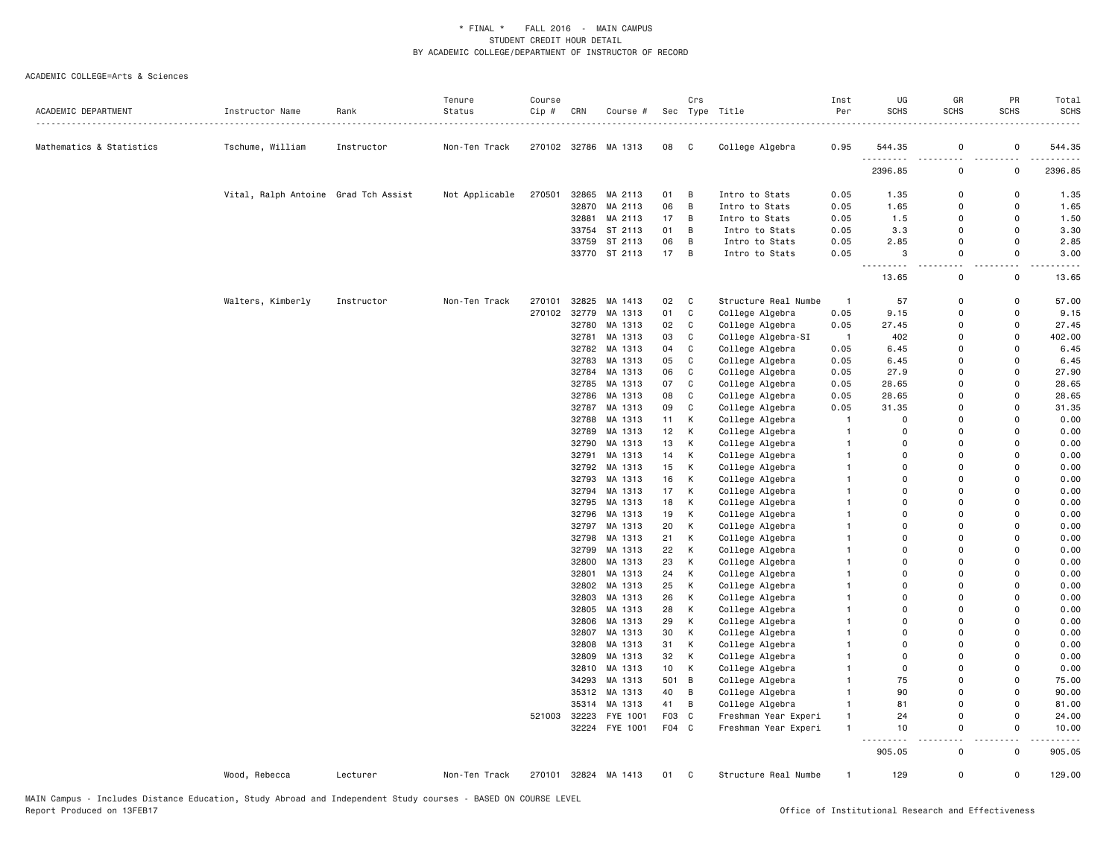| ACADEMIC DEPARTMENT      | Instructor Name                      | Rank       | Tenure<br>Status | Course<br>Cip # | CRN            | Course #           |                  | Crs               | Sec Type Title                     | Inst<br>Per          | UG<br><b>SCHS</b> | GR<br><b>SCHS</b>       | PR<br><b>SCHS</b>    | Total<br>SCHS |
|--------------------------|--------------------------------------|------------|------------------|-----------------|----------------|--------------------|------------------|-------------------|------------------------------------|----------------------|-------------------|-------------------------|----------------------|---------------|
| Mathematics & Statistics | Tschume, William                     | Instructor | Non-Ten Track    | 270102          |                | 32786 MA 1313      | 08               | C                 | College Algebra                    | 0.95                 | 544.35            | 0                       | 0                    | 544.35        |
|                          |                                      |            |                  |                 |                |                    |                  |                   |                                    |                      | 2396.85           | $\mathbf 0$             | $\Omega$             | 2396.85       |
|                          | Vital, Ralph Antoine Grad Tch Assist |            | Not Applicable   | 270501          | 32865          | MA 2113            | 01               | B                 | Intro to Stats                     | 0.05                 | 1.35              | $\Omega$                | $\Omega$             | 1.35          |
|                          |                                      |            |                  |                 | 32870          | MA 2113            | 06               | B                 | Intro to Stats                     | 0.05                 | 1.65              | $\Omega$                | $\Omega$             | 1.65          |
|                          |                                      |            |                  |                 | 32881          | MA 2113            | 17               | B                 | Intro to Stats                     | 0.05                 | 1.5               | $\Omega$                | $\Omega$             | 1.50          |
|                          |                                      |            |                  |                 |                | 33754 ST 2113      | 01               | B                 | Intro to Stats                     | 0.05                 | 3.3               | $\Omega$                | $\Omega$             | 3.30          |
|                          |                                      |            |                  |                 |                | 33759 ST 2113      | 06               | B                 | Intro to Stats                     | 0.05                 | 2.85              | $\mathbf 0$             | $\Omega$             | 2.85          |
|                          |                                      |            |                  |                 |                | 33770 ST 2113      | 17               | B                 | Intro to Stats                     | 0.05                 | 3<br><u>.</u>     | 0<br>$\sim$ $\sim$      | 0<br>$\sim$ $\sim$   | 3.00          |
|                          |                                      |            |                  |                 |                |                    |                  |                   |                                    |                      | 13.65             | 0                       | 0                    | 13.65         |
|                          | Walters, Kimberly                    | Instructor | Non-Ten Track    | 270101          | 32825          | MA 1413            | 02               | C                 | Structure Real Numbe               | $\mathbf{1}$         | 57                | $\Omega$                | 0                    | 57.00         |
|                          |                                      |            |                  | 270102          | 32779          | MA 1313            | 01               | $\mathtt{C}$      | College Algebra                    | 0.05                 | 9.15              | $\Omega$                | $\Omega$             | 9.15          |
|                          |                                      |            |                  |                 | 32780          | MA 1313            | 02               | C                 | College Algebra                    | 0.05                 | 27.45             | $\mathbf 0$             | $\Omega$             | 27.45         |
|                          |                                      |            |                  |                 | 32781          | MA 1313            | 03               | $\mathbf C$       | College Algebra-SI                 | $\overline{1}$       | 402               | $\mathbf 0$             | $\Omega$             | 402.00        |
|                          |                                      |            |                  |                 | 32782          | MA 1313            | 04               | $\mathbb{C}$      | College Algebra                    | 0.05                 | 6.45              | $\Omega$                | $\Omega$             | 6.45          |
|                          |                                      |            |                  |                 | 32783          | MA 1313            | 05               | $\mathbf C$       | College Algebra                    | 0.05                 | 6.45              | $\Omega$                | $\Omega$             | 6.45          |
|                          |                                      |            |                  |                 | 32784          | MA 1313            | 06               | $\mathtt{C}$      | College Algebra                    | 0.05                 | 27.9              | $\Omega$                | $\Omega$             | 27.90         |
|                          |                                      |            |                  |                 | 32785          | MA 1313            | 07               | C                 | College Algebra                    | 0.05                 | 28.65             | $\mathbf 0$             | $\Omega$             | 28.65         |
|                          |                                      |            |                  |                 | 32786          | MA 1313            | 08               | C<br>$\mathtt{C}$ | College Algebra                    | 0.05                 | 28.65             | $\mathbf 0$<br>$\Omega$ | $\Omega$<br>$\Omega$ | 28.65         |
|                          |                                      |            |                  |                 | 32787<br>32788 | MA 1313<br>MA 1313 | 09<br>11         | К                 | College Algebra<br>College Algebra | 0.05<br>$\mathbf{1}$ | 31.35<br>$\Omega$ | $\Omega$                | $\Omega$             | 31.35<br>0.00 |
|                          |                                      |            |                  |                 | 32789          | MA 1313            | 12               | К                 | College Algebra                    | $\mathbf{1}$         | $\Omega$          | $\Omega$                | $\Omega$             | 0.00          |
|                          |                                      |            |                  |                 | 32790          | MA 1313            | 13               | К                 | College Algebra                    | $\mathbf{1}$         | $\Omega$          | $\Omega$                | $\Omega$             | 0.00          |
|                          |                                      |            |                  |                 | 32791          | MA 1313            | 14               | К                 | College Algebra                    | $\mathbf{1}$         | $\Omega$          | $\Omega$                | $\Omega$             | 0.00          |
|                          |                                      |            |                  |                 | 32792          | MA 1313            | 15               | К                 | College Algebra                    | $\mathbf{1}$         | $\Omega$          | $\Omega$                | $\Omega$             | 0.00          |
|                          |                                      |            |                  |                 | 32793          | MA 1313            | 16               | К                 | College Algebra                    | $\mathbf{1}$         | 0                 | $\mathbf 0$             | $\Omega$             | 0.00          |
|                          |                                      |            |                  |                 | 32794          | MA 1313            | 17               | К                 | College Algebra                    | $\mathbf{1}$         | $\Omega$          | $\Omega$                | $\Omega$             | 0.00          |
|                          |                                      |            |                  |                 | 32795          | MA 1313            | 18               | Κ                 | College Algebra                    |                      | $\Omega$          | $\Omega$                | $\Omega$             | 0.00          |
|                          |                                      |            |                  |                 | 32796          | MA 1313            | 19               | К                 | College Algebra                    | $\mathbf{1}$         | $\Omega$          | $\Omega$                | $\Omega$             | 0.00          |
|                          |                                      |            |                  |                 | 32797          | MA 1313            | 20               | К                 | College Algebra                    | $\mathbf{1}$         | $\Omega$          | $\Omega$                | $\Omega$             | 0.00          |
|                          |                                      |            |                  |                 | 32798          | MA 1313            | 21               | К                 | College Algebra                    | $\mathbf{1}$         | $\Omega$          | $\Omega$                | $\Omega$             | 0.00          |
|                          |                                      |            |                  |                 | 32799          | MA 1313            | 22               | К                 | College Algebra                    | $\mathbf{1}$         | $\Omega$          | $\Omega$                | $\Omega$             | 0.00          |
|                          |                                      |            |                  |                 | 32800          | MA 1313            | 23               | К                 | College Algebra                    | $\mathbf{1}$         | $\Omega$          | $\Omega$                | $\Omega$             | 0.00          |
|                          |                                      |            |                  |                 |                | 32801 MA 1313      | 24               | К                 | College Algebra                    | $\mathbf{1}$         | $\Omega$          | $\Omega$                | $\Omega$             | 0.00          |
|                          |                                      |            |                  |                 | 32802          | MA 1313            | 25               | К                 | College Algebra                    | -1                   | $\Omega$          | $\Omega$                | $\Omega$             | 0.00          |
|                          |                                      |            |                  |                 | 32803          | MA 1313            | 26               | К                 | College Algebra                    | -1                   | $\Omega$          | $\Omega$                | $\Omega$             | 0.00          |
|                          |                                      |            |                  |                 | 32805          | MA 1313            | 28               | К                 | College Algebra                    | $\mathbf{1}$         | 0                 | $\Omega$                | $\Omega$             | 0.00          |
|                          |                                      |            |                  |                 | 32806          | MA 1313            | 29               | К                 | College Algebra                    |                      | $\Omega$          | $\Omega$                | $\Omega$             | 0.00<br>0.00  |
|                          |                                      |            |                  |                 | 32807          | MA 1313            | 30               | К<br>К            | College Algebra                    | $\mathbf{1}$         | 0<br>$\Omega$     | $\Omega$<br>$\Omega$    | $\Omega$<br>$\Omega$ |               |
|                          |                                      |            |                  |                 | 32808<br>32809 | MA 1313<br>MA 1313 | 31<br>32         | К                 | College Algebra<br>College Algebra |                      | 0                 | $\mathbf 0$             | $\Omega$             | 0.00<br>0.00  |
|                          |                                      |            |                  |                 | 32810          | MA 1313            | 10               | К                 | College Algebra                    | $\mathbf{1}$         | $\Omega$          | $\Omega$                | $\Omega$             | 0.00          |
|                          |                                      |            |                  |                 | 34293          | MA 1313            | 501              | B                 | College Algebra                    | $\mathbf{1}$         | 75                | $\Omega$                | $\Omega$             | 75.00         |
|                          |                                      |            |                  |                 |                | 35312 MA 1313      | 40               | B                 | College Algebra                    | $\mathbf{1}$         | 90                | $\Omega$                | $\Omega$             | 90.00         |
|                          |                                      |            |                  |                 | 35314          | MA 1313            | 41               | B                 | College Algebra                    | $\mathbf{1}$         | 81                | $\Omega$                | $\Omega$             | 81.00         |
|                          |                                      |            |                  | 521003          | 32223          | FYE 1001           | F <sub>0</sub> 3 | $\mathtt{C}$      | Freshman Year Experi               | $\mathbf{1}$         | 24                | $\Omega$                | $\Omega$             | 24.00         |
|                          |                                      |            |                  |                 | 32224          | FYE 1001           | F <sub>04</sub>  | C                 | Freshman Year Experi               | $\mathbf{1}$         | 10                | $\mathsf 0$             | $\mathsf 0$          | 10.00         |
|                          |                                      |            |                  |                 |                |                    |                  |                   |                                    |                      | 905.05            | $\mathbf 0$             | 0                    | 905.05        |
|                          | Wood, Rebecca                        | Lecturer   | Non-Ten Track    | 270101          |                | 32824 MA 1413      | 01               | C                 | Structure Real Numbe               | $\mathbf{1}$         | 129               | $\mathbf 0$             | 0                    | 129.00        |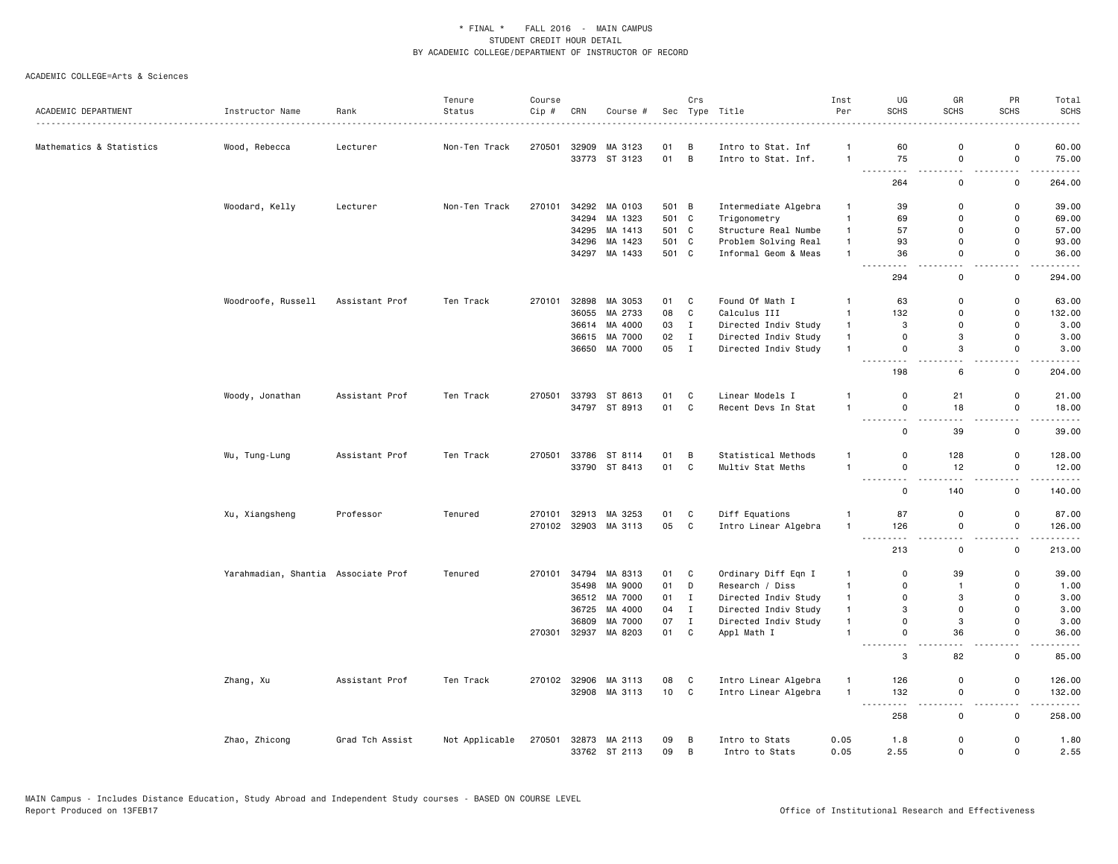|                          |                                     |                      | Tenure         | Course |       |                      |       | Crs          |                      | Inst           | UG                                                                                                                             | GR                            | PR                            | Total                                                                                                                 |
|--------------------------|-------------------------------------|----------------------|----------------|--------|-------|----------------------|-------|--------------|----------------------|----------------|--------------------------------------------------------------------------------------------------------------------------------|-------------------------------|-------------------------------|-----------------------------------------------------------------------------------------------------------------------|
| ACADEMIC DEPARTMENT      | Instructor Name                     | Rank<br>. <u>.</u> . | Status         | Cip #  | CRN   | Course #             | Sec   |              | Type Title<br>.      | Per            | <b>SCHS</b>                                                                                                                    | <b>SCHS</b>                   | <b>SCHS</b>                   | <b>SCHS</b>                                                                                                           |
| Mathematics & Statistics | Wood, Rebecca                       | Lecturer             | Non-Ten Track  | 270501 | 32909 | MA 3123              | 01    | B            | Intro to Stat. Inf   | $\overline{1}$ | 60                                                                                                                             | $\mathbf 0$                   | 0                             | 60.00                                                                                                                 |
|                          |                                     |                      |                |        |       | 33773 ST 3123        | 01 B  |              | Intro to Stat. Inf.  | $\overline{1}$ | 75                                                                                                                             | $\mathbf 0$                   | 0                             | 75.00                                                                                                                 |
|                          |                                     |                      |                |        |       |                      |       |              |                      |                | 264                                                                                                                            | $\sim$ $\sim$<br>$\mathsf{o}$ | $\sim$ $\sim$<br>$\mathsf 0$  | .<br>264.00                                                                                                           |
|                          | Woodard, Kelly                      | Lecturer             | Non-Ten Track  | 270101 |       | 34292 MA 0103        | 501 B |              | Intermediate Algebra | $\overline{1}$ | 39                                                                                                                             | $\mathbf 0$                   | $\mathsf{o}$                  | 39.00                                                                                                                 |
|                          |                                     |                      |                |        |       | 34294 MA 1323        | 501 C |              | Trigonometry         | $\mathbf{1}$   | 69                                                                                                                             | $\Omega$                      | $\mathsf 0$                   | 69.00                                                                                                                 |
|                          |                                     |                      |                |        |       | 34295 MA 1413        | 501 C |              | Structure Real Numbe | $\mathbf{1}$   | 57                                                                                                                             | $\Omega$                      | $\mathbf 0$                   | 57.00                                                                                                                 |
|                          |                                     |                      |                |        |       | 34296 MA 1423        | 501 C |              | Problem Solving Real | $\mathbf{1}$   | 93                                                                                                                             | $\mathbf 0$                   | $\mathsf 0$                   | 93.00                                                                                                                 |
|                          |                                     |                      |                |        |       | 34297 MA 1433        | 501 C |              | Informal Geom & Meas | $\overline{1}$ | 36                                                                                                                             | $\mathbf 0$                   | $\mathsf 0$                   | 36.00                                                                                                                 |
|                          |                                     |                      |                |        |       |                      |       |              |                      |                | 294                                                                                                                            | $\overline{\phantom{a}}$<br>0 | $\mathbf 0$                   | 294.00                                                                                                                |
|                          | Woodroofe, Russell                  | Assistant Prof       | Ten Track      | 270101 |       | 32898 MA 3053        | 01    | C            | Found Of Math I      | $\mathbf{1}$   | 63                                                                                                                             | $\Omega$                      | 0                             | 63.00                                                                                                                 |
|                          |                                     |                      |                |        | 36055 | MA 2733              | 08    | C            | Calculus III         | $\mathbf{1}$   | 132                                                                                                                            | $\Omega$                      | $\mathsf 0$                   | 132.00                                                                                                                |
|                          |                                     |                      |                |        |       | 36614 MA 4000        | 03    | $\mathbf{I}$ | Directed Indiv Study | $\mathbf{1}$   | 3                                                                                                                              | $\Omega$                      | $\mathbf 0$                   | 3.00                                                                                                                  |
|                          |                                     |                      |                |        |       | 36615 MA 7000        | 02    | Ι.           | Directed Indiv Study | $\overline{1}$ | $\overline{0}$                                                                                                                 | 3                             | $\mathbf 0$                   | 3.00                                                                                                                  |
|                          |                                     |                      |                |        |       | 36650 MA 7000        | 05    | $\mathbf{I}$ | Directed Indiv Study | $\overline{1}$ | $\mathsf{O}$                                                                                                                   | 3                             | 0                             | 3.00                                                                                                                  |
|                          |                                     |                      |                |        |       |                      |       |              |                      |                | .<br>.<br>198                                                                                                                  | ٠.<br>6                       | $\overline{\phantom{a}}$<br>0 | 204.00                                                                                                                |
|                          | Woody, Jonathan                     | Assistant Prof       | Ten Track      | 270501 |       | 33793 ST 8613        | 01    | C            | Linear Models I      | $\overline{1}$ | $\mathbf 0$                                                                                                                    | 21                            | $\mathsf 0$                   | 21.00                                                                                                                 |
|                          |                                     |                      |                |        |       | 34797 ST 8913        | 01 C  |              | Recent Devs In Stat  | $\overline{1}$ | $\mathbf 0$                                                                                                                    | 18                            | 0                             | 18.00                                                                                                                 |
|                          |                                     |                      |                |        |       |                      |       |              |                      |                | ---------<br>$\mathbf 0$                                                                                                       | $\sim$ $\sim$<br>39           | $\sim$ $\sim$<br>$\mathbf 0$  | .<br>39.00                                                                                                            |
|                          | Wu, Tung-Lung                       | Assistant Prof       | Ten Track      | 270501 | 33786 | ST 8114              | 01    | $\mathsf B$  | Statistical Methods  | $\overline{1}$ | $\mathsf 0$                                                                                                                    | 128                           | $\mathsf{o}$                  | 128.00                                                                                                                |
|                          |                                     |                      |                |        |       | 33790 ST 8413        | 01    | C            | Multiv Stat Meths    | $\overline{1}$ | $\mathbf 0$                                                                                                                    | 12                            | $\mathsf 0$                   | 12.00                                                                                                                 |
|                          |                                     |                      |                |        |       |                      |       |              |                      |                | .<br>$\frac{1}{2} \left( \frac{1}{2} \right) \left( \frac{1}{2} \right) \left( \frac{1}{2} \right) \left( \frac{1}{2} \right)$ |                               | $\overline{\phantom{a}}$      |                                                                                                                       |
|                          |                                     |                      |                |        |       |                      |       |              |                      |                | $\mathsf 0$                                                                                                                    | 140                           | $\mathsf 0$                   | 140.00                                                                                                                |
|                          | Xu, Xiangsheng                      | Professor            | Tenured        | 270101 |       | 32913 MA 3253        | 01    | C            | Diff Equations       | $\mathbf{1}$   | 87                                                                                                                             | $\mathbf 0$                   | 0                             | 87.00                                                                                                                 |
|                          |                                     |                      |                |        |       | 270102 32903 MA 3113 | 05    | C            | Intro Linear Algebra | $\mathbf{1}$   | 126                                                                                                                            | $\mathbf 0$                   | 0                             | 126.00                                                                                                                |
|                          |                                     |                      |                |        |       |                      |       |              |                      |                | .<br>213                                                                                                                       | a.<br>$\Omega$                | $\overline{\phantom{a}}$<br>0 | 213.00                                                                                                                |
|                          | Yarahmadian, Shantia Associate Prof |                      | Tenured        | 270101 |       | 34794 MA 8313        | 01    | C            | Ordinary Diff Eqn I  | $\overline{1}$ | $\Omega$                                                                                                                       | 39                            | 0                             | 39.00                                                                                                                 |
|                          |                                     |                      |                |        |       | 35498 MA 9000        | 01    | D            | Research / Diss      | $\mathbf{1}$   | $\Omega$                                                                                                                       | $\overline{1}$                | 0                             | 1.00                                                                                                                  |
|                          |                                     |                      |                |        |       | 36512 MA 7000        | 01    | $\mathbf{I}$ | Directed Indiv Study | $\mathbf{1}$   | $\mathbf 0$                                                                                                                    | 3                             | 0                             | 3.00                                                                                                                  |
|                          |                                     |                      |                |        | 36725 | MA 4000              | 04    | $\mathbf{I}$ | Directed Indiv Study | $\mathbf{1}$   | 3                                                                                                                              | $\mathbf 0$                   | $\mathsf 0$                   | 3.00                                                                                                                  |
|                          |                                     |                      |                |        | 36809 | MA 7000              | 07    | $\mathbf{I}$ | Directed Indiv Study | $\mathbf{1}$   | $\mathbf 0$                                                                                                                    | 3                             | $\mathbf 0$                   | 3.00                                                                                                                  |
|                          |                                     |                      |                | 270301 |       | 32937 MA 8203        | 01    | C            | Appl Math I          | $\overline{1}$ | $\mathsf{O}$                                                                                                                   | 36                            | 0                             | 36.00                                                                                                                 |
|                          |                                     |                      |                |        |       |                      |       |              |                      |                | $  -$<br>3                                                                                                                     | 82                            | ٠.<br>0                       | 85.00                                                                                                                 |
|                          | Zhang, Xu                           | Assistant Prof       | Ten Track      | 270102 |       | 32906 MA 3113        | 08    | C            | Intro Linear Algebra | $\overline{1}$ | 126                                                                                                                            | $\mathbf 0$                   | 0                             | 126.00                                                                                                                |
|                          |                                     |                      |                |        |       | 32908 MA 3113        | 10 C  |              | Intro Linear Algebra | $\overline{1}$ | 132                                                                                                                            | $\mathbf 0$                   | $\mathbf 0$                   | 132.00                                                                                                                |
|                          |                                     |                      |                |        |       |                      |       |              |                      |                | .<br>258                                                                                                                       | $\sim$ $\sim$<br>$\mathsf 0$  | $\sim$ $\sim$<br>$\mathsf 0$  | $\begin{array}{cccccccccc} \bullet & \bullet & \bullet & \bullet & \bullet & \bullet & \bullet \end{array}$<br>258.00 |
|                          | Zhao, Zhicong                       | Grad Tch Assist      | Not Applicable | 270501 |       | 32873 MA 2113        | 09    | B            | Intro to Stats       | 0.05           | 1.8                                                                                                                            | $\mathbf 0$                   | $\mathsf 0$                   | 1.80                                                                                                                  |
|                          |                                     |                      |                |        |       | 33762 ST 2113        | 09    | B            | Intro to Stats       | 0.05           | 2.55                                                                                                                           | $\mathbf 0$                   | $\mathbf 0$                   | 2.55                                                                                                                  |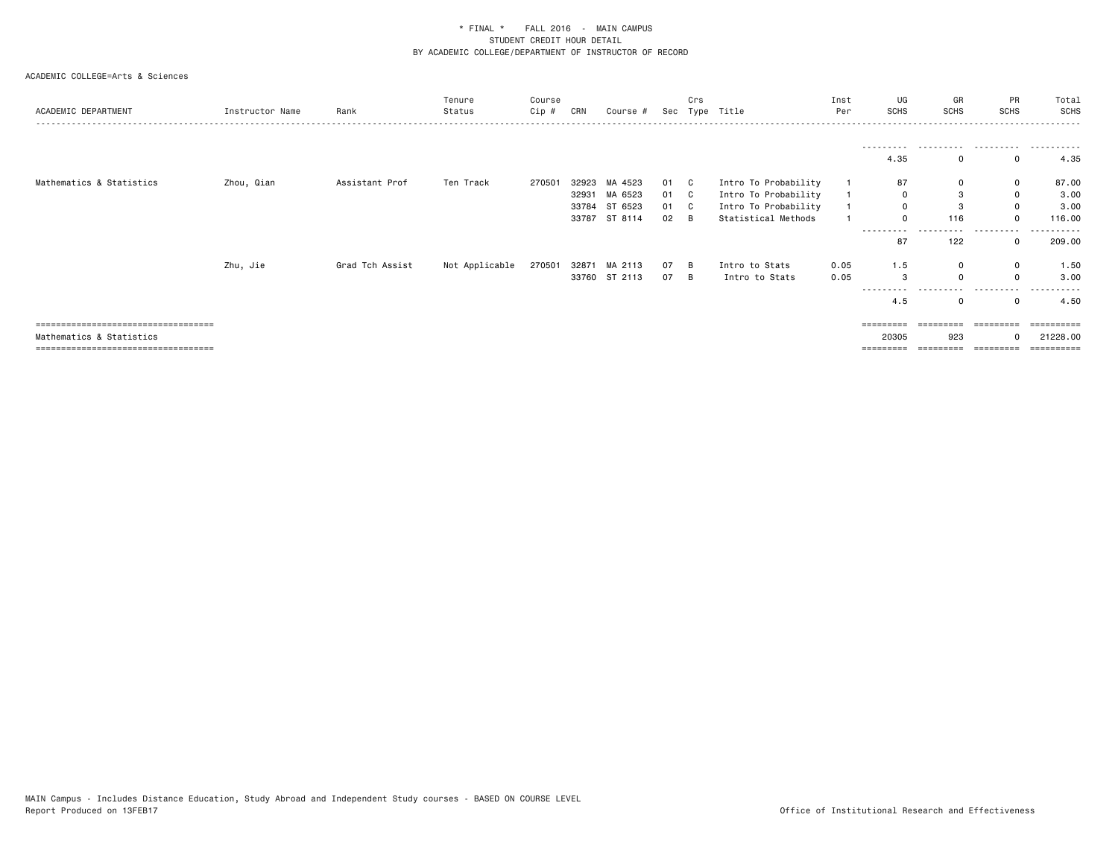| ACADEMIC DEPARTMENT                  | Instructor Name | Rank            | Tenure<br>Status | Course<br>Cip # | CRN   | Course #      |      | Crs      | Sec Type Title       | Inst<br>Per | UG<br>SCHS         | GR<br>SCHS | PR<br><b>SCHS</b> | Total<br><b>SCHS</b>    |
|--------------------------------------|-----------------|-----------------|------------------|-----------------|-------|---------------|------|----------|----------------------|-------------|--------------------|------------|-------------------|-------------------------|
|                                      |                 |                 |                  |                 |       |               |      |          |                      |             | ----------<br>4.35 | .<br>0     | .<br>0            | 4.35                    |
| Mathematics & Statistics             | Zhou, Qian      | Assistant Prof  | Ten Track        | 270501          | 32923 | MA 4523       | 01 C |          | Intro To Probability |             | 87                 | 0          | 0                 | 87.00                   |
|                                      |                 |                 |                  |                 | 32931 | MA 6523       | 01 C |          | Intro To Probability |             | 0                  | 3          | 0                 | 3.00                    |
|                                      |                 |                 |                  |                 | 33784 | ST 6523       | 01 C |          | Intro To Probability |             | 0                  | 3          | 0                 | 3.00                    |
|                                      |                 |                 |                  |                 |       | 33787 ST 8114 | 02   | <b>B</b> | Statistical Methods  |             | $\Omega$           | 116        | $\Omega$          | 116.00                  |
|                                      |                 |                 |                  |                 |       |               |      |          |                      |             | ----------         |            | .                 | -------                 |
|                                      |                 |                 |                  |                 |       |               |      |          |                      |             | 87                 | 122        | $\mathbf{0}$      | 209.00                  |
|                                      | Zhu, Jie        | Grad Tch Assist | Not Applicable   | 270501          |       | 32871 MA 2113 | 07   | B        | Intro to Stats       | 0.05        | 1.5                | 0          | 0                 | 1.50                    |
|                                      |                 |                 |                  |                 |       | 33760 ST 2113 | 07   | B        | Intro to Stats       | 0.05        | 3                  | $\Omega$   | $\Omega$          | 3.00                    |
|                                      |                 |                 |                  |                 |       |               |      |          |                      |             | $- - - -$<br>4.5   | 0          | 0                 | 4.50                    |
| ==================================== |                 |                 |                  |                 |       |               |      |          |                      |             | =========          |            | =========         | ----------              |
| Mathematics & Statistics             |                 |                 |                  |                 |       |               |      |          |                      |             | 20305              | 923        | $\Omega$          | 21228.00                |
| ==================================== |                 |                 |                  |                 |       |               |      |          |                      |             | =======            |            |                   | $=$ = = = = = = = = $=$ |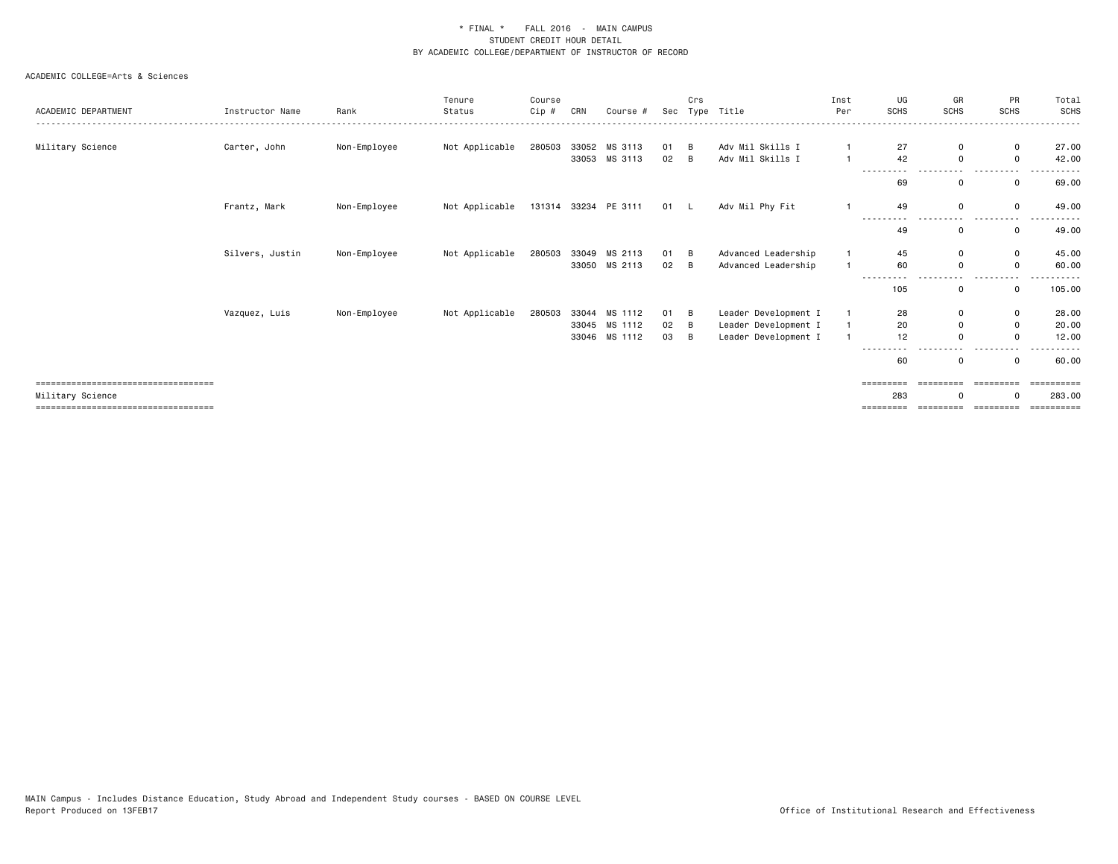| ACADEMIC DEPARTMENT                                       | Instructor Name | Rank         | Tenure<br>Status | Course<br>Cip # | CRN   | Course #             | Sec  | Crs | Type Title           | Inst<br>Per    | UG<br><b>SCHS</b>   | GR<br><b>SCHS</b>     | PR<br><b>SCHS</b>      | Total<br><b>SCHS</b>  |
|-----------------------------------------------------------|-----------------|--------------|------------------|-----------------|-------|----------------------|------|-----|----------------------|----------------|---------------------|-----------------------|------------------------|-----------------------|
| Military Science                                          | Carter, John    | Non-Employee | Not Applicable   | 280503          |       | 33052 MS 3113        | 01   | B   | Adv Mil Skills I     |                | 27                  | 0                     | $\mathbf 0$            | 27.00                 |
|                                                           |                 |              |                  |                 |       | 33053 MS 3113        | 02   | B   | Adv Mil Skills I     | $\overline{1}$ | 42                  | 0                     | $\mathbf 0$            | 42.00                 |
|                                                           |                 |              |                  |                 |       |                      |      |     |                      |                | 69                  | 0                     | $\mathbf 0$            | 69.00                 |
|                                                           | Frantz, Mark    | Non-Employee | Not Applicable   |                 |       | 131314 33234 PE 3111 | 01 L |     | Adv Mil Phy Fit      |                | 49<br>.<br>- - -    | $\mathbf 0$<br>$ -$   | $\mathbf 0$            | 49.00                 |
|                                                           |                 |              |                  |                 |       |                      |      |     |                      |                | 49                  | $\mathbf 0$           | 0                      | 49.00                 |
|                                                           | Silvers, Justin | Non-Employee | Not Applicable   | 280503          | 33049 | MS 2113              | 01   | B   | Advanced Leadership  |                | 45                  | 0                     | $\mathbf 0$            | 45.00                 |
|                                                           |                 |              |                  |                 |       | 33050 MS 2113        | 02   | B   | Advanced Leadership  |                | 60                  | 0                     | 0                      | 60.00                 |
|                                                           |                 |              |                  |                 |       |                      |      |     |                      |                | 105                 | 0                     | $\mathbf 0$            | 105.00                |
|                                                           | Vazquez, Luis   | Non-Employee | Not Applicable   | 280503          |       | 33044 MS 1112        | 01   | В   | Leader Development I | 1              | 28                  | 0                     | $\mathbf 0$            | 28.00                 |
|                                                           |                 |              |                  |                 |       | 33045 MS 1112        | 02   | B   | Leader Development I |                | 20                  | 0                     | $\mathbf 0$            | 20.00                 |
|                                                           |                 |              |                  |                 | 33046 | MS 1112              | 03   | B   | Leader Development I |                | 12                  | $\mathbf 0$           | 0                      | 12.00                 |
|                                                           |                 |              |                  |                 |       |                      |      |     |                      |                | 60                  | 0                     | $\mathbf 0$            | 60.00                 |
| =====================================<br>Military Science |                 |              |                  |                 |       |                      |      |     |                      |                | =========<br>283    | =========<br>$\Omega$ | ----------<br>$\Omega$ | ==========<br>283.00  |
| =====================================                     |                 |              |                  |                 |       |                      |      |     |                      |                | $=$ = = = = = = = = | =========             | ----------             | $=$ = = = = = = = = = |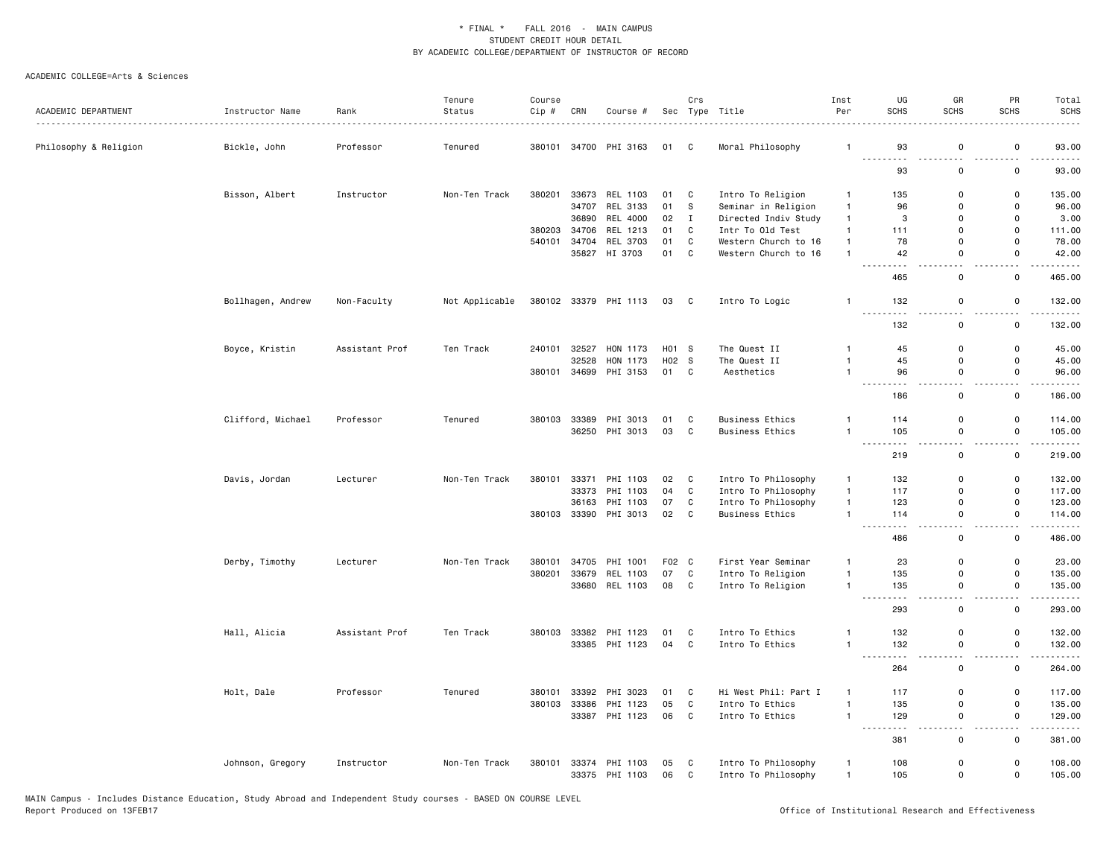|                          |                   |                | Tenure         | Course |       |                                  |          | Crs          |                                            | Inst                         | UG                                                                                                                                                       | GR                           | PR                           | Total              |
|--------------------------|-------------------|----------------|----------------|--------|-------|----------------------------------|----------|--------------|--------------------------------------------|------------------------------|----------------------------------------------------------------------------------------------------------------------------------------------------------|------------------------------|------------------------------|--------------------|
| ACADEMIC DEPARTMENT<br>. | Instructor Name   | Rank           | Status         | Cip #  | CRN   | Course #                         |          |              | Sec Type Title                             | Per                          | SCHS                                                                                                                                                     | <b>SCHS</b>                  | <b>SCHS</b>                  | <b>SCHS</b>        |
| Philosophy & Religion    | Bickle, John      | Professor      | Tenured        | 380101 |       | 34700 PHI 3163                   | 01       | C            | Moral Philosophy                           | $\mathbf{1}$                 | 93                                                                                                                                                       | 0                            | 0                            | 93.00              |
|                          |                   |                |                |        |       |                                  |          |              |                                            |                              | لأداب<br>93                                                                                                                                              | 0                            | $\Omega$                     | 93.00              |
|                          | Bisson, Albert    | Instructor     | Non-Ten Track  | 380201 |       | 33673 REL 1103                   | 01       | C            | Intro To Religion                          | $\mathbf{1}$                 | 135                                                                                                                                                      | 0                            | 0                            | 135.00             |
|                          |                   |                |                |        | 34707 | REL 3133                         | 01       | s            | Seminar in Religion                        | $\mathbf{1}$                 | 96                                                                                                                                                       | 0                            | $\mathbf 0$                  | 96.00              |
|                          |                   |                |                |        | 36890 | REL 4000                         | 02       | $\mathbf{I}$ | Directed Indiv Study                       | $\mathbf{1}$                 | 3                                                                                                                                                        | $\mathbf{0}$                 | $\mathbf 0$                  | 3.00               |
|                          |                   |                |                | 380203 | 34706 | REL 1213                         | 01       | C            | Intr To Old Test                           | $\mathbf{1}$                 | 111                                                                                                                                                      | 0                            | $\mathsf 0$                  | 111.00             |
|                          |                   |                |                | 540101 | 34704 | REL 3703                         | 01       | C            | Western Church to 16                       | $\mathbf{1}$                 | 78                                                                                                                                                       | 0                            | $\mathsf 0$                  | 78.00              |
|                          |                   |                |                |        |       | 35827 HI 3703                    | 01 C     |              | Western Church to 16                       | $\overline{1}$               | 42                                                                                                                                                       | 0                            | $\mathsf{o}$<br>- -          | 42.00<br>.         |
|                          |                   |                |                |        |       |                                  |          |              |                                            |                              | 465                                                                                                                                                      | $\mathsf 0$                  | $\mathsf 0$                  | 465.00             |
|                          | Bollhagen, Andrew | Non-Faculty    | Not Applicable |        |       | 380102 33379 PHI 1113            | 03 C     |              | Intro To Logic                             | $\overline{1}$               | 132                                                                                                                                                      | $\mathbf 0$                  | $\mathsf 0$                  | 132.00             |
|                          |                   |                |                |        |       |                                  |          |              |                                            |                              | .<br>132                                                                                                                                                 | 0                            | $\sim$ $\sim$<br>0           | .<br>132.00        |
|                          | Boyce, Kristin    | Assistant Prof | Ten Track      | 240101 | 32527 | HON 1173                         | H01 S    |              | The Quest II                               | $\overline{1}$               | 45                                                                                                                                                       | 0                            | 0                            | 45.00              |
|                          |                   |                |                |        | 32528 | HON 1173                         | H02 S    |              | The Quest II                               | $\overline{1}$               | 45                                                                                                                                                       | $\mathbf 0$                  | $\mathbf 0$                  | 45.00              |
|                          |                   |                |                | 380101 |       | 34699 PHI 3153                   | 01 C     |              | Aesthetics                                 | $\mathbf{1}$                 | 96<br>$\sim$ $\sim$<br>.                                                                                                                                 | $\mathsf 0$                  | $\mathsf 0$                  | 96.00<br>$- - - -$ |
|                          |                   |                |                |        |       |                                  |          |              |                                            |                              | 186                                                                                                                                                      | ٠.<br>0                      | 0                            | 186.00             |
|                          | Clifford, Michael | Professor      | Tenured        | 380103 |       | 33389 PHI 3013                   | 01       | C            | <b>Business Ethics</b>                     | $\mathbf{1}$                 | 114                                                                                                                                                      | $\mathbf 0$                  | 0                            | 114.00             |
|                          |                   |                |                |        |       | 36250 PHI 3013                   | 03       | C            | <b>Business Ethics</b>                     | $\overline{1}$               | 105                                                                                                                                                      | $\mathsf 0$                  | $\mathsf 0$                  | 105.00             |
|                          |                   |                |                |        |       |                                  |          |              |                                            |                              | $\sim$ $\sim$ $\sim$<br>$\frac{1}{2} \left( \frac{1}{2} \right) \left( \frac{1}{2} \right) \left( \frac{1}{2} \right) \left( \frac{1}{2} \right)$<br>219 | $ -$<br>0                    | $\sim$ $\sim$<br>0           | <u>.</u><br>219.00 |
|                          | Davis, Jordan     | Lecturer       | Non-Ten Track  | 380101 | 33371 | PHI 1103                         | 02       | C            | Intro To Philosophy                        | $\mathbf{1}$                 | 132                                                                                                                                                      | 0                            | 0                            | 132.00             |
|                          |                   |                |                |        | 33373 | PHI 1103                         | 04       | $\mathtt{C}$ | Intro To Philosophy                        | $\mathbf{1}$                 | 117                                                                                                                                                      | $\mathbf 0$                  | $\mathsf{o}\,$               | 117.00             |
|                          |                   |                |                |        |       | 36163 PHI 1103                   | 07       | C            | Intro To Philosophy                        | $\mathbf{1}$                 | 123                                                                                                                                                      | 0                            | 0                            | 123.00             |
|                          |                   |                |                | 380103 |       | 33390 PHI 3013                   | 02       | C            | <b>Business Ethics</b>                     | $\overline{1}$               | 114                                                                                                                                                      | 0                            | $\mathsf{o}$                 | 114.00             |
|                          |                   |                |                |        |       |                                  |          |              |                                            |                              | $\sim$ $\sim$ $\sim$<br>$\cdots$<br>486                                                                                                                  | $\sim$ $\sim$<br>$\mathsf 0$ | $\sim$ $\sim$<br>0           | .<br>486.00        |
|                          | Derby, Timothy    | Lecturer       | Non-Ten Track  | 380101 | 34705 | PHI 1001                         | F02 C    |              | First Year Seminar                         | $\mathbf{1}$                 | 23                                                                                                                                                       | 0                            | 0                            | 23.00              |
|                          |                   |                |                | 380201 | 33679 | REL 1103                         | 07       | C            | Intro To Religion                          | $\mathbf{1}$                 | 135                                                                                                                                                      | $\mathbf 0$                  | $\mathsf{o}\,$               | 135.00             |
|                          |                   |                |                |        |       | 33680 REL 1103                   | 08 C     |              | Intro To Religion                          | $\mathbf{1}$                 | 135                                                                                                                                                      | 0                            | $\mathsf{o}$                 | 135.00<br>.        |
|                          |                   |                |                |        |       |                                  |          |              |                                            |                              | 293                                                                                                                                                      | $\mathsf 0$                  | 0                            | 293.00             |
|                          | Hall, Alicia      | Assistant Prof | Ten Track      | 380103 |       | 33382 PHI 1123                   | 01       | C            | Intro To Ethics                            | $\mathbf{1}$                 | 132                                                                                                                                                      | 0                            | $\mathbf 0$                  | 132.00             |
|                          |                   |                |                |        |       | 33385 PHI 1123                   | 04       | C            | Intro To Ethics                            | $\mathbf{1}$                 | 132                                                                                                                                                      | $\mathsf 0$                  | $\mathsf 0$                  | 132.00             |
|                          |                   |                |                |        |       |                                  |          |              |                                            |                              | 264                                                                                                                                                      | $\mathbf 0$                  | $\mathsf{o}$                 | 264.00             |
|                          | Holt, Dale        | Professor      | Tenured        | 380101 |       | 33392 PHI 3023                   | 01       | C            | Hi West Phil: Part I                       | $\overline{1}$               | 117                                                                                                                                                      | 0                            | 0                            | 117.00             |
|                          |                   |                |                | 380103 | 33386 | PHI 1123                         | 05       | C            | Intro To Ethics                            | $\mathbf{1}$                 | 135                                                                                                                                                      | 0                            | $\mathbf 0$                  | 135.00             |
|                          |                   |                |                |        |       | 33387 PHI 1123                   | 06       | $\mathbf{C}$ | Intro To Ethics                            | $\overline{1}$               | 129                                                                                                                                                      | $\mathsf 0$<br>$\sim$        | $\mathsf 0$<br>$\sim$ $\sim$ | 129.00<br>.        |
|                          |                   |                |                |        |       |                                  |          |              |                                            |                              | 381                                                                                                                                                      | 0                            | 0                            | 381.00             |
|                          | Johnson, Gregory  | Instructor     | Non-Ten Track  | 380101 |       | 33374 PHI 1103<br>33375 PHI 1103 | 05<br>06 | C<br>C       | Intro To Philosophy<br>Intro To Philosophy | $\mathbf{1}$<br>$\mathbf{1}$ | 108<br>105                                                                                                                                               | 0<br>0                       | 0<br>0                       | 108.00<br>105.00   |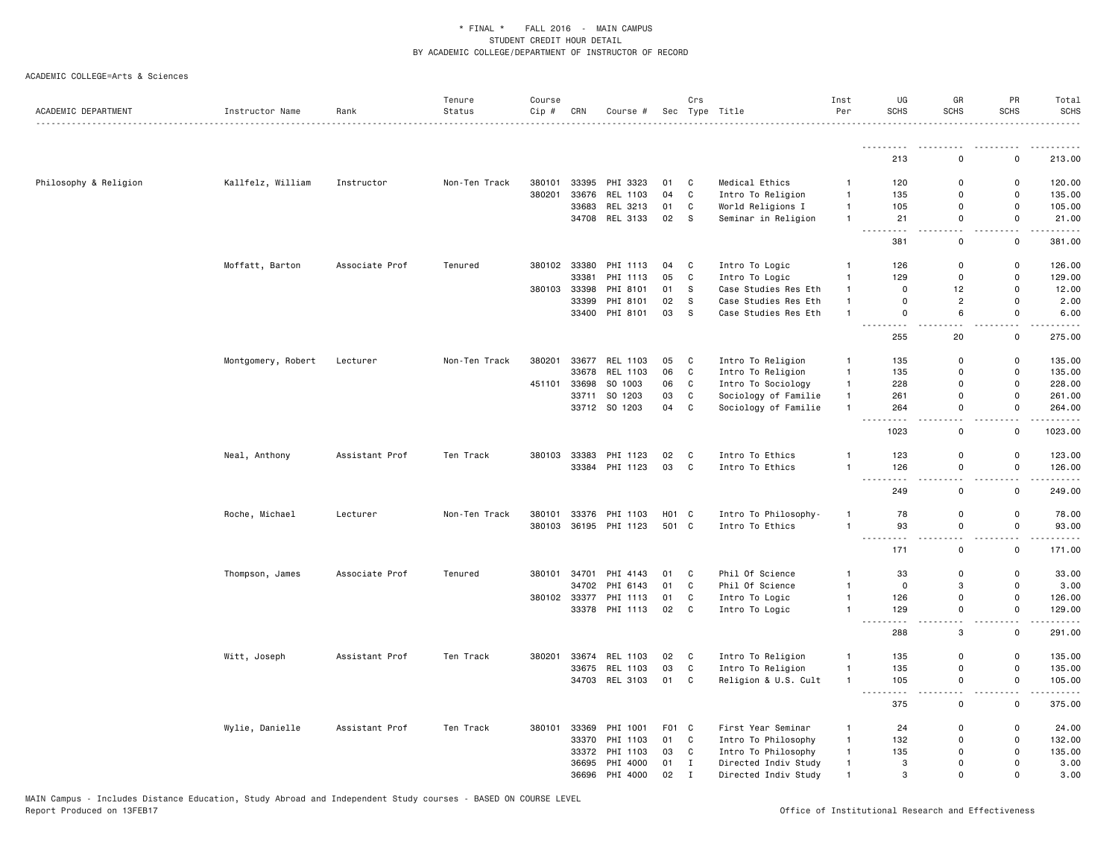| ACADEMIC DEPARTMENT   | Instructor Name    | Rank           | Tenure<br>Status | Course<br>Cip # | CRN   | Course #              |                   | Crs          | Sec Type Title       | Inst<br>Per    | UG<br><b>SCHS</b>                                                                                                                        | GR<br><b>SCHS</b>             | PR<br><b>SCHS</b>   | Total<br><b>SCHS</b><br>.                                                                                                           |
|-----------------------|--------------------|----------------|------------------|-----------------|-------|-----------------------|-------------------|--------------|----------------------|----------------|------------------------------------------------------------------------------------------------------------------------------------------|-------------------------------|---------------------|-------------------------------------------------------------------------------------------------------------------------------------|
|                       |                    |                |                  |                 |       |                       |                   |              |                      |                | ---------                                                                                                                                |                               |                     | .                                                                                                                                   |
|                       |                    |                |                  |                 |       |                       |                   |              |                      |                | 213                                                                                                                                      | $\Omega$                      | $\mathsf 0$         | 213.00                                                                                                                              |
| Philosophy & Religion | Kallfelz, William  | Instructor     | Non-Ten Track    | 380101          |       | 33395 PHI 3323        | 01                | C            | Medical Ethics       | $\overline{1}$ | 120                                                                                                                                      | 0                             | 0                   | 120.00                                                                                                                              |
|                       |                    |                |                  | 380201          |       | 33676 REL 1103        | 04                | $\mathtt{C}$ | Intro To Religion    | 1              | 135                                                                                                                                      | 0                             | $\mathsf 0$         | 135.00                                                                                                                              |
|                       |                    |                |                  |                 |       | 33683 REL 3213        | 01                | C            | World Religions I    | $\mathbf{1}$   | 105                                                                                                                                      | 0                             | 0                   | 105.00                                                                                                                              |
|                       |                    |                |                  |                 |       | 34708 REL 3133        | 02                | s            | Seminar in Religion  | $\mathbf{1}$   | 21<br>$  -$<br>$\frac{1}{2} \left( \frac{1}{2} \right) \left( \frac{1}{2} \right) \left( \frac{1}{2} \right) \left( \frac{1}{2} \right)$ | 0<br>$\sim$ $\sim$            | 0<br>$\sim$ $\sim$  | 21.00<br>.                                                                                                                          |
|                       |                    |                |                  |                 |       |                       |                   |              |                      |                | 381                                                                                                                                      | $\mathsf 0$                   | $\mathsf 0$         | 381.00                                                                                                                              |
|                       | Moffatt, Barton    | Associate Prof | Tenured          | 380102          | 33380 | PHI 1113              | 04                | C            | Intro To Logic       | $\overline{1}$ | 126                                                                                                                                      | $\mathsf 0$                   | $\mathsf 0$         | 126.00                                                                                                                              |
|                       |                    |                |                  |                 | 33381 | PHI 1113              | 05                | $\mathbf{C}$ | Intro To Logic       | $\mathbf{1}$   | 129                                                                                                                                      | 0                             | 0                   | 129.00                                                                                                                              |
|                       |                    |                |                  | 380103          | 33398 | PHI 8101              | 01                | S            | Case Studies Res Eth | $\overline{1}$ | $\mathbf 0$                                                                                                                              | 12                            | 0                   | 12.00                                                                                                                               |
|                       |                    |                |                  |                 | 33399 | PHI 8101              | 02                | S            | Case Studies Res Eth | $\overline{1}$ | $\mathbf 0$                                                                                                                              | $\overline{2}$                | 0                   | 2.00                                                                                                                                |
|                       |                    |                |                  |                 |       | 33400 PHI 8101        | 03                | s            | Case Studies Res Eth | $\overline{1}$ | $\mathbf 0$<br>$\sim$ $\sim$ $\sim$                                                                                                      | 6                             | 0                   | 6.00                                                                                                                                |
|                       |                    |                |                  |                 |       |                       |                   |              |                      |                | 255                                                                                                                                      | 20                            | 0                   | 275.00                                                                                                                              |
|                       | Montgomery, Robert | Lecturer       | Non-Ten Track    | 380201          |       | 33677 REL 1103        | 05                | C            | Intro To Religion    | $\mathbf{1}$   | 135                                                                                                                                      | 0                             | 0                   | 135.00                                                                                                                              |
|                       |                    |                |                  |                 | 33678 | REL 1103              | 06                | $\mathbf{C}$ | Intro To Religion    | $\mathbf{1}$   | 135                                                                                                                                      | 0                             | 0                   | 135.00                                                                                                                              |
|                       |                    |                |                  | 451101          | 33698 | SO 1003               | 06                | C            | Intro To Sociology   | $\overline{1}$ | 228                                                                                                                                      | $\mathbf 0$                   | $\mathbf 0$         | 228.00                                                                                                                              |
|                       |                    |                |                  |                 |       | 33711 SO 1203         | 03                | C            | Sociology of Familie | $\overline{1}$ | 261                                                                                                                                      | 0                             | 0                   | 261.00                                                                                                                              |
|                       |                    |                |                  |                 |       | 33712 SO 1203         | 04                | $\mathbf C$  | Sociology of Familie | $\overline{1}$ | 264<br>$\sim$ $\sim$ $\sim$<br>.                                                                                                         | $\mathbf 0$<br>$\overline{a}$ | $\mathsf 0$<br>$-$  | 264.00<br>$\begin{array}{cccccccccccccc} \bullet & \bullet & \bullet & \bullet & \bullet & \bullet & \bullet & \bullet \end{array}$ |
|                       |                    |                |                  |                 |       |                       |                   |              |                      |                | 1023                                                                                                                                     | $\mathsf 0$                   | 0                   | 1023.00                                                                                                                             |
|                       | Neal, Anthony      | Assistant Prof | Ten Track        | 380103          |       | 33383 PHI 1123        | 02                | C            | Intro To Ethics      | 1              | 123                                                                                                                                      | 0                             | 0                   | 123.00                                                                                                                              |
|                       |                    |                |                  |                 |       | 33384 PHI 1123        | 03                | C            | Intro To Ethics      | 1              | 126<br>$\sim$ $\sim$ $\sim$ $\sim$                                                                                                       | 0<br>н.                       | 0<br>$\overline{a}$ | 126.00<br>.                                                                                                                         |
|                       |                    |                |                  |                 |       |                       |                   |              |                      |                | 249                                                                                                                                      | $\mathbf 0$                   | $\mathsf 0$         | 249.00                                                                                                                              |
|                       | Roche, Michael     | Lecturer       | Non-Ten Track    | 380101          |       | 33376 PHI 1103        | H <sub>01</sub> C |              | Intro To Philosophy- | $\overline{1}$ | 78                                                                                                                                       | $\mathsf 0$                   | $\mathsf 0$         | 78.00                                                                                                                               |
|                       |                    |                |                  |                 |       | 380103 36195 PHI 1123 | 501 C             |              | Intro To Ethics      | $\overline{1}$ | 93                                                                                                                                       | $\mathsf 0$                   | $\mathsf 0$         | 93.00                                                                                                                               |
|                       |                    |                |                  |                 |       |                       |                   |              |                      |                | 171                                                                                                                                      | 0                             | $\mathsf 0$         | 171.00                                                                                                                              |
|                       | Thompson, James    | Associate Prof | Tenured          | 380101          |       | 34701 PHI 4143        | 01                | C            | Phil Of Science      | $\mathbf{1}$   | 33                                                                                                                                       | 0                             | 0                   | 33.00                                                                                                                               |
|                       |                    |                |                  |                 |       | 34702 PHI 6143        | 01                | $\mathbf{C}$ | Phil Of Science      | $\overline{1}$ | $\mathbf 0$                                                                                                                              | 3                             | $\mathbf 0$         | 3.00                                                                                                                                |
|                       |                    |                |                  | 380102          |       | 33377 PHI 1113        | 01                | C            | Intro To Logic       | $\overline{1}$ | 126                                                                                                                                      | 0                             | 0                   | 126.00                                                                                                                              |
|                       |                    |                |                  |                 |       | 33378 PHI 1113        | 02                | $\mathbf{C}$ | Intro To Logic       | $\mathbf{1}$   | 129<br>$\sim$ $\sim$ $\sim$                                                                                                              | $\mathsf 0$                   | $\mathsf 0$         | 129.00                                                                                                                              |
|                       |                    |                |                  |                 |       |                       |                   |              |                      |                | 288                                                                                                                                      | $\ensuremath{\mathsf{3}}$     | $\mathsf 0$         | 291.00                                                                                                                              |
|                       | Witt, Joseph       | Assistant Prof | Ten Track        | 380201          |       | 33674 REL 1103        | 02                | C            | Intro To Religion    | $\mathbf{1}$   | 135                                                                                                                                      | 0                             | 0                   | 135.00                                                                                                                              |
|                       |                    |                |                  |                 |       | 33675 REL 1103        | 03                | $\mathbf{C}$ | Intro To Religion    | $\overline{1}$ | 135                                                                                                                                      | 0                             | $\mathsf 0$         | 135.00                                                                                                                              |
|                       |                    |                |                  |                 |       | 34703 REL 3103        | 01                | C            | Religion & U.S. Cult | $\overline{1}$ | 105<br>---------                                                                                                                         | $\mathsf{o}$<br>$-$           | 0<br>$\sim$ $\sim$  | 105.00<br>.                                                                                                                         |
|                       |                    |                |                  |                 |       |                       |                   |              |                      |                | 375                                                                                                                                      | 0                             | 0                   | 375.00                                                                                                                              |
|                       | Wylie, Danielle    | Assistant Prof | Ten Track        | 380101          | 33369 | PHI 1001              | F01 C             |              | First Year Seminar   | $\overline{1}$ | 24                                                                                                                                       | $\mathbf 0$                   | 0                   | 24.00                                                                                                                               |
|                       |                    |                |                  |                 | 33370 | PHI 1103              | 01                | C            | Intro To Philosophy  | $\mathbf{1}$   | 132                                                                                                                                      | $\mathbf 0$                   | 0                   | 132.00                                                                                                                              |
|                       |                    |                |                  |                 |       | 33372 PHI 1103        | 03                | C            | Intro To Philosophy  | $\mathbf{1}$   | 135                                                                                                                                      | $\mathbf 0$                   | 0                   | 135.00                                                                                                                              |
|                       |                    |                |                  |                 |       | 36695 PHI 4000        | 01                | $\mathbf{I}$ | Directed Indiv Study | $\overline{1}$ | 3                                                                                                                                        | 0                             | 0                   | 3.00                                                                                                                                |
|                       |                    |                |                  |                 |       | 36696 PHI 4000        | 02                | $\mathbf{I}$ | Directed Indiv Study | $\overline{1}$ | 3                                                                                                                                        | $\mathbf 0$                   | $\Omega$            | 3.00                                                                                                                                |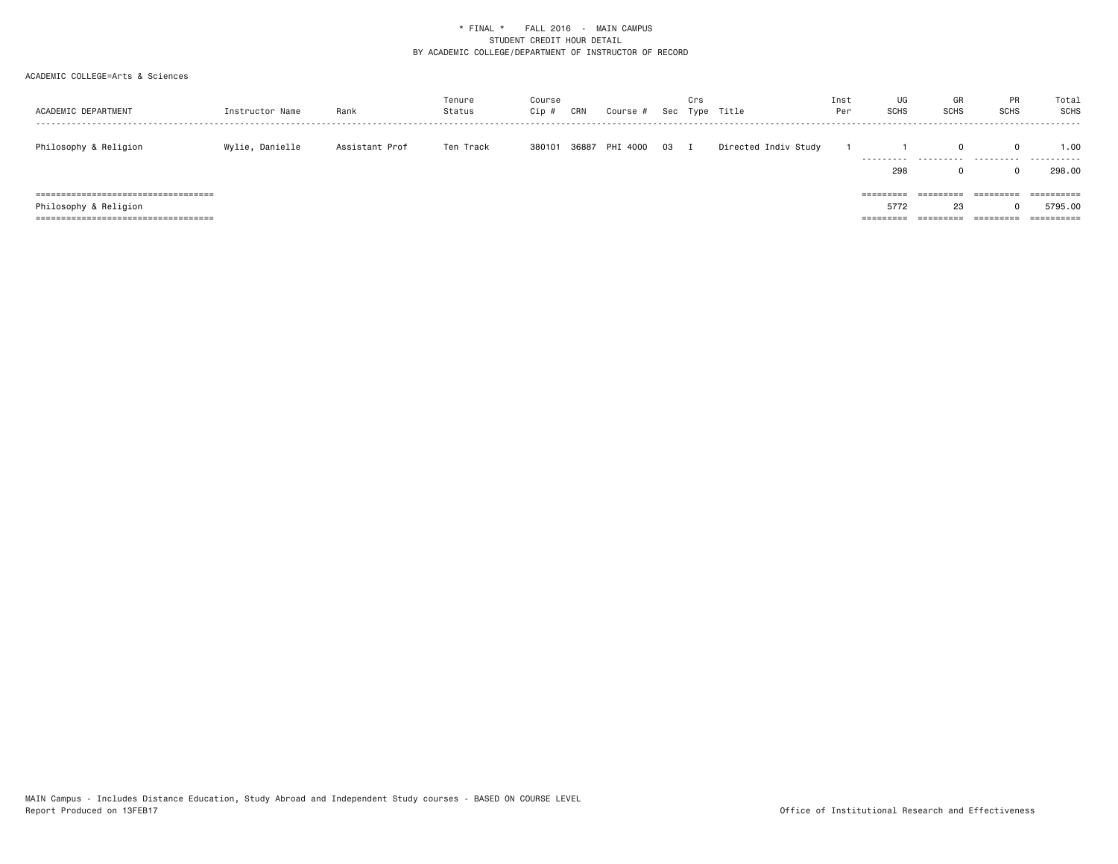| ACADEMIC DEPARTMENT                    | Instructor Name | Rank           | Tenure<br>Status | Course<br>Cip# | CRN   | Course #    |      | Crs | Sec Type Title       | Inst<br>Per | UG<br><b>SCHS</b> | GR<br><b>SCHS</b>      | <b>PR</b><br><b>SCHS</b> | Total<br>SCHS |
|----------------------------------------|-----------------|----------------|------------------|----------------|-------|-------------|------|-----|----------------------|-------------|-------------------|------------------------|--------------------------|---------------|
| Philosophy & Religion                  | Wylie, Danielle | Assistant Prof | Ten Track        | 380101         | 36887 | PHI<br>4000 | 03 I |     | Directed Indiv Study |             | .                 | .                      | 0<br>.                   | 1.00<br>.     |
|                                        |                 |                |                  |                |       |             |      |     |                      |             | 298               |                        |                          | 298,00        |
| ====================================== |                 |                |                  |                |       |             |      |     |                      |             | =========         | =========              | =========                | ==========    |
| Philosophy & Religion                  |                 |                |                  |                |       |             |      |     |                      |             | 5772              | 23                     |                          | 5795.00       |
| =====================================  |                 |                |                  |                |       |             |      |     |                      |             | =========         | ---------<br>--------- | ----------               | ==========    |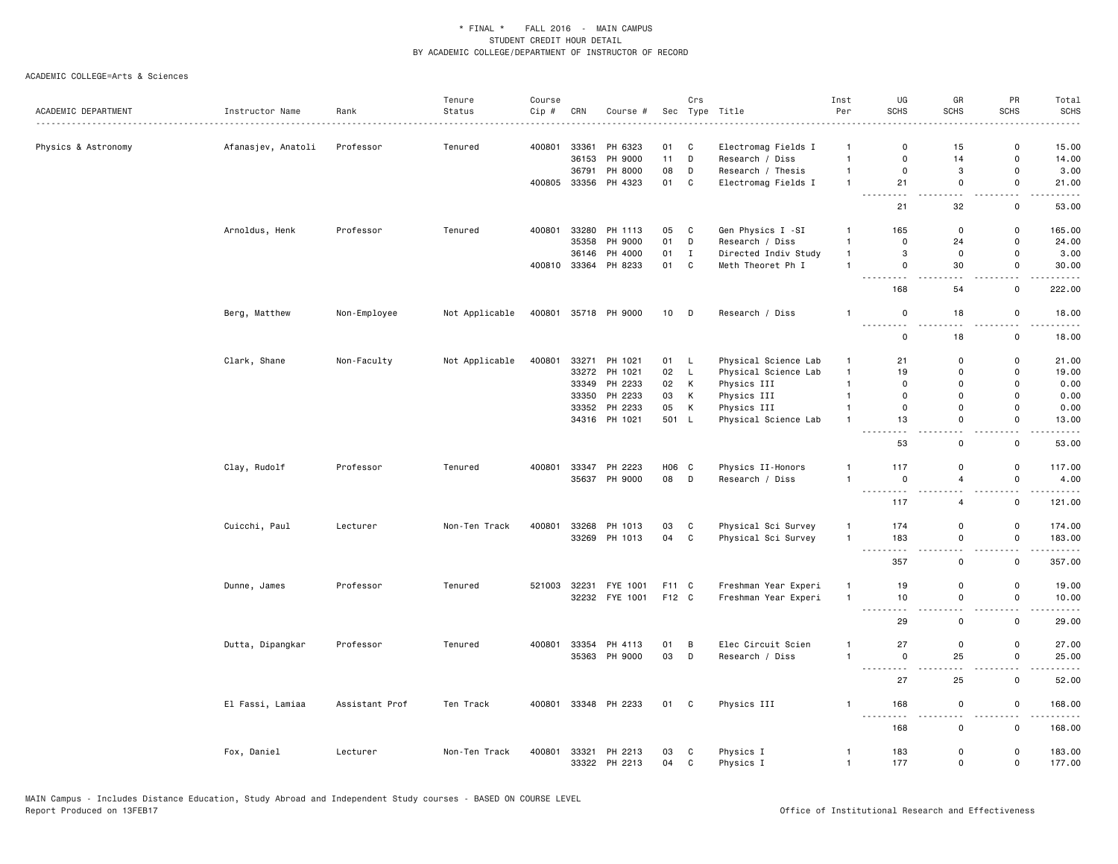|                     |                    |                | Tenure         | Course |                |                      |          | Crs            |                                        | Inst                           | UG                                                 | GR                    | PR                                       | Total                                                                                                                                                         |
|---------------------|--------------------|----------------|----------------|--------|----------------|----------------------|----------|----------------|----------------------------------------|--------------------------------|----------------------------------------------------|-----------------------|------------------------------------------|---------------------------------------------------------------------------------------------------------------------------------------------------------------|
| ACADEMIC DEPARTMENT | Instructor Name    | Rank           | Status         | Cip #  | CRN            | Course #             |          |                | Sec Type Title<br>.                    | Per                            | SCHS                                               | SCHS                  | <b>SCHS</b>                              | <b>SCHS</b>                                                                                                                                                   |
|                     |                    |                |                |        |                |                      |          |                |                                        |                                | $\Omega$                                           |                       |                                          |                                                                                                                                                               |
| Physics & Astronomy | Afanasjev, Anatoli | Professor      | Tenured        | 400801 | 33361<br>36153 | PH 6323<br>PH 9000   | 01<br>11 | C<br>D         | Electromag Fields I<br>Research / Diss | $\mathbf{1}$<br>$\overline{1}$ | $\mathbf 0$                                        | 15<br>14              | 0<br>$\mathsf{o}$                        | 15.00<br>14.00                                                                                                                                                |
|                     |                    |                |                |        | 36791          | PH 8000              | 08       | D              | Research / Thesis                      | $\mathbf{1}$                   | $\mathbf 0$                                        | 3                     | $\mathsf 0$                              | 3.00                                                                                                                                                          |
|                     |                    |                |                | 400805 | 33356          | PH 4323              | 01       | C              | Electromag Fields I                    | $\mathbf{1}$                   | 21                                                 | $\mathbf 0$           | $\mathsf 0$                              | 21.00                                                                                                                                                         |
|                     |                    |                |                |        |                |                      |          |                |                                        |                                | - - -<br>-----                                     | $\sim$ $\sim$         | Ω.                                       |                                                                                                                                                               |
|                     |                    |                |                |        |                |                      |          |                |                                        |                                | 21                                                 | 32                    | $\mathbf 0$                              | 53.00                                                                                                                                                         |
|                     | Arnoldus, Henk     | Professor      | Tenured        | 400801 | 33280          | PH 1113              | 05       | C              | Gen Physics I -SI                      | $\mathbf{1}$                   | 165                                                | $\mathbf 0$           | $\mathsf 0$                              | 165.00                                                                                                                                                        |
|                     |                    |                |                |        | 35358          | PH 9000              | 01       | D              | Research / Diss                        | $\overline{1}$                 | $\mathbf 0$                                        | 24                    | 0                                        | 24.00                                                                                                                                                         |
|                     |                    |                |                |        | 36146          | PH 4000              | 01       | $\mathbf{I}$   | Directed Indiv Study                   | $\overline{1}$                 | 3                                                  | $\mathbf 0$           | $\mathsf 0$                              | 3.00                                                                                                                                                          |
|                     |                    |                |                |        |                | 400810 33364 PH 8233 | 01       | C              | Meth Theoret Ph I                      | $\mathbf{1}$                   | $\mathbf 0$<br>- - -                               | 30                    | $\mathbf 0$<br>$\overline{\phantom{0}}$  | 30.00                                                                                                                                                         |
|                     |                    |                |                |        |                |                      |          |                |                                        |                                | 168                                                | 54                    | $\mathsf{o}$                             | 222.00                                                                                                                                                        |
|                     | Berg, Matthew      | Non-Employee   | Not Applicable | 400801 |                | 35718 PH 9000        | 10 D     |                | Research / Diss                        | $\overline{1}$                 | $\mathsf 0$<br><u>.</u>                            | 18                    | $\mathsf 0$                              | 18.00                                                                                                                                                         |
|                     |                    |                |                |        |                |                      |          |                |                                        |                                | $\mathsf 0$                                        | . .<br>18             | н.<br>$\mathsf 0$                        | .<br>18.00                                                                                                                                                    |
|                     | Clark, Shane       | Non-Faculty    | Not Applicable | 400801 |                | 33271 PH 1021        | 01 L     |                | Physical Science Lab                   | $\mathbf{1}$                   | 21                                                 | $\mathbf 0$           | $\mathsf{o}$                             | 21.00                                                                                                                                                         |
|                     |                    |                |                |        |                | 33272 PH 1021        | 02       | $\mathsf{L}$   | Physical Science Lab                   | $\mathbf{1}$                   | 19                                                 | $\mathbf 0$           | $\mathsf 0$                              | 19.00                                                                                                                                                         |
|                     |                    |                |                |        |                | 33349 PH 2233        | 02       | K              | Physics III                            | $\overline{1}$                 | $\mathbf 0$                                        | $\mathbf 0$           | $\mathsf 0$                              | 0.00                                                                                                                                                          |
|                     |                    |                |                |        |                | 33350 PH 2233        | 03       | K              | Physics III                            | $\overline{1}$                 | $\Omega$                                           | $\Omega$              | $\mathbf 0$                              | 0.00                                                                                                                                                          |
|                     |                    |                |                |        |                | 33352 PH 2233        | 05       | К              | Physics III                            | $\mathbf{1}$                   | $\mathsf{O}$                                       | $\mathbf 0$           | $\mathsf 0$                              | 0.00                                                                                                                                                          |
|                     |                    |                |                |        |                | 34316 PH 1021        | 501 L    |                | Physical Science Lab                   | $\overline{1}$                 | 13<br>.                                            | $\mathsf 0$<br>$\sim$ | $\mathsf 0$<br>. .                       | 13.00<br>$\frac{1}{2} \left( \frac{1}{2} \right) \left( \frac{1}{2} \right) \left( \frac{1}{2} \right) \left( \frac{1}{2} \right) \left( \frac{1}{2} \right)$ |
|                     |                    |                |                |        |                |                      |          |                |                                        |                                | 53                                                 | $\mathbf 0$           | $\mathsf{o}$                             | 53.00                                                                                                                                                         |
|                     | Clay, Rudolf       | Professor      | Tenured        | 400801 |                | 33347 PH 2223        | H06 C    |                | Physics II-Honors                      | 1                              | 117                                                | $\mathbf 0$           | $\mathsf{o}$                             | 117.00                                                                                                                                                        |
|                     |                    |                |                |        |                | 35637 PH 9000        | 08       | D              | Research / Diss                        | $\overline{1}$                 | $\mathbf 0$                                        | $\overline{4}$        | $\mathsf 0$                              | 4.00                                                                                                                                                          |
|                     |                    |                |                |        |                |                      |          |                |                                        |                                | ---------                                          | $\sim$ $\sim$         | $\overline{\phantom{a}}$                 | .                                                                                                                                                             |
|                     |                    |                |                |        |                |                      |          |                |                                        |                                | 117                                                | $\overline{4}$        | $\mathsf 0$                              | 121.00                                                                                                                                                        |
|                     | Cuicchi, Paul      | Lecturer       | Non-Ten Track  | 400801 | 33268          | PH 1013              | 03       | C              | Physical Sci Survey                    | $\overline{1}$                 | 174                                                | $\mathbf 0$           | $\mathsf 0$                              | 174.00                                                                                                                                                        |
|                     |                    |                |                |        |                | 33269 PH 1013        | 04       | $\mathbf{C}$   | Physical Sci Survey                    | $\overline{1}$                 | 183                                                | $\mathbf 0$           | $\mathsf 0$                              | 183.00                                                                                                                                                        |
|                     |                    |                |                |        |                |                      |          |                |                                        |                                | .<br>$\sim$ $\sim$<br>357                          | $-$<br>$\mathsf 0$    | $ -$<br>$\mathsf 0$                      | .<br>357.00                                                                                                                                                   |
|                     |                    |                |                |        |                |                      |          |                |                                        |                                |                                                    |                       |                                          |                                                                                                                                                               |
|                     | Dunne, James       | Professor      | Tenured        | 521003 | 32231          | FYE 1001             | F11 C    |                | Freshman Year Experi                   | $\overline{1}$                 | 19                                                 | $\mathbf 0$           | $\mathsf 0$                              | 19.00                                                                                                                                                         |
|                     |                    |                |                |        |                | 32232 FYE 1001       | F12 C    |                | Freshman Year Experi                   | $\overline{1}$                 | 10<br>والموالي الموالي<br>$  -$                    | $\mathbf 0$<br>$\sim$ | $\mathsf{o}$<br>$\overline{\phantom{a}}$ | 10.00<br>.                                                                                                                                                    |
|                     |                    |                |                |        |                |                      |          |                |                                        |                                | 29                                                 | $\mathsf 0$           | $\mathsf 0$                              | 29.00                                                                                                                                                         |
|                     | Dutta, Dipangkar   | Professor      | Tenured        | 400801 |                | 33354 PH 4113        | 01       | $\overline{B}$ | Elec Circuit Scien                     | $\mathbf{1}$                   | 27                                                 | $\mathbf 0$           | $\mathsf{o}$                             | 27.00                                                                                                                                                         |
|                     |                    |                |                |        |                | 35363 PH 9000        | 03       | D              | Research / Diss                        | $\overline{1}$                 | $\mathsf 0$                                        | 25                    | $\mathsf 0$                              | 25.00                                                                                                                                                         |
|                     |                    |                |                |        |                |                      |          |                |                                        |                                | $\sim$ $\sim$ $\sim$ $\sim$<br>$\sim$ $\sim$<br>27 | 25                    | ٠.<br>$\mathsf 0$                        | 52.00                                                                                                                                                         |
|                     |                    |                |                |        |                |                      |          |                |                                        |                                |                                                    |                       |                                          |                                                                                                                                                               |
|                     | El Fassi, Lamiaa   | Assistant Prof | Ten Track      |        |                | 400801 33348 PH 2233 | 01 C     |                | Physics III                            | $\mathbf{1}$                   | 168                                                | $\mathsf 0$<br>$\sim$ | $\mathsf 0$<br>$\overline{\phantom{0}}$  | 168.00<br>.                                                                                                                                                   |
|                     |                    |                |                |        |                |                      |          |                |                                        |                                | 168                                                | 0                     | $\mathbf 0$                              | 168.00                                                                                                                                                        |
|                     | Fox, Daniel        | Lecturer       | Non-Ten Track  | 400801 | 33321          | PH 2213              | 03       | C              | Physics I                              | $\overline{1}$                 | 183                                                | $\mathbf 0$           | $\mathsf{o}$                             | 183.00                                                                                                                                                        |
|                     |                    |                |                |        |                | 33322 PH 2213        | 04       | $\mathsf{C}$   | Physics I                              | $\overline{1}$                 | 177                                                | $\mathbf 0$           | $\mathsf 0$                              | 177.00                                                                                                                                                        |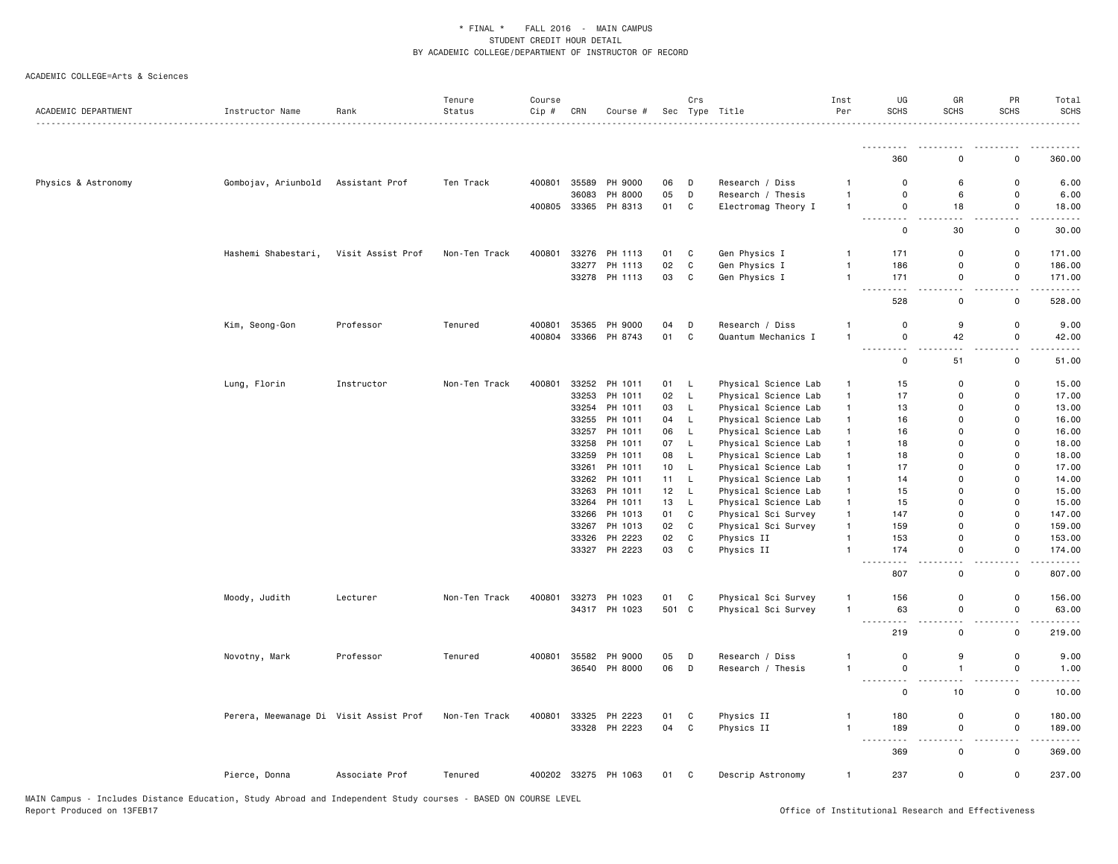| ACADEMIC DEPARTMENT | Instructor Name                        | Rank              | Tenure<br>Status | Course<br>Cip # | CRN   | Course #             |                 | Crs          | Sec Type Title       | Inst<br>Per    | UG<br><b>SCHS</b>                                                                                                                                        | GR<br><b>SCHS</b>             | PR<br><b>SCHS</b>                       | Total<br><b>SCHS</b>                  |
|---------------------|----------------------------------------|-------------------|------------------|-----------------|-------|----------------------|-----------------|--------------|----------------------|----------------|----------------------------------------------------------------------------------------------------------------------------------------------------------|-------------------------------|-----------------------------------------|---------------------------------------|
|                     |                                        |                   |                  |                 |       |                      |                 |              |                      |                |                                                                                                                                                          |                               |                                         |                                       |
|                     |                                        |                   |                  |                 |       |                      |                 |              |                      |                | 360                                                                                                                                                      | $\Omega$                      | $\Omega$                                | 360.00                                |
| Physics & Astronomy | Gombojav, Ariunbold                    | Assistant Prof    | Ten Track        | 400801          |       | 35589 PH 9000        | 06              | D            | Research / Diss      | $\mathbf{1}$   | $\mathsf 0$                                                                                                                                              | 6                             | 0                                       | 6.00                                  |
|                     |                                        |                   |                  |                 | 36083 | PH 8000              | 05              | D            | Research / Thesis    | $\overline{1}$ | $\mathsf 0$                                                                                                                                              | 6                             | $\mathsf 0$                             | 6.00                                  |
|                     |                                        |                   |                  | 400805          |       | 33365 PH 8313        | 01              | C            | Electromag Theory I  | $\mathbf{1}$   | $\mathsf 0$                                                                                                                                              | 18                            | $\mathsf 0$                             | 18.00                                 |
|                     |                                        |                   |                  |                 |       |                      |                 |              |                      |                | $\sim$ $\sim$<br>$  -$<br>$\mathsf 0$                                                                                                                    | 30                            | $\overline{\phantom{a}}$<br>$\mathsf 0$ | .<br>30.00                            |
|                     | Hashemi Shabestari,                    | Visit Assist Prof | Non-Ten Track    | 400801          |       | 33276 PH 1113        | 01              | C            | Gen Physics I        | $\mathbf{1}$   | 171                                                                                                                                                      | 0                             | $\mathsf 0$                             | 171.00                                |
|                     |                                        |                   |                  |                 | 33277 | PH 1113              | 02              | $\mathtt{C}$ | Gen Physics I        | $\mathbf{1}$   | 186                                                                                                                                                      | $\mathsf 0$                   | $\mathsf 0$                             | 186.00                                |
|                     |                                        |                   |                  |                 |       | 33278 PH 1113        | 03              | C            | Gen Physics I        | $\mathbf{1}$   | 171<br>$\sim$ $\sim$ $\sim$<br>$\frac{1}{2} \left( \frac{1}{2} \right) \left( \frac{1}{2} \right) \left( \frac{1}{2} \right) \left( \frac{1}{2} \right)$ | $\mathsf 0$<br>$\sim$ $\sim$  | $\mathsf 0$<br>$\overline{\phantom{a}}$ | 171.00                                |
|                     |                                        |                   |                  |                 |       |                      |                 |              |                      |                | 528                                                                                                                                                      | $\mathsf 0$                   | $\mathsf 0$                             | 528.00                                |
|                     | Kim, Seong-Gon                         | Professor         | Tenured          | 400801          |       | 35365 PH 9000        | 04              | D            | Research / Diss      | -1             | $\mathsf 0$                                                                                                                                              | 9                             | $\mathsf 0$                             | 9.00                                  |
|                     |                                        |                   |                  | 400804          |       | 33366 PH 8743        | 01              | $\mathbf C$  | Quantum Mechanics I  | $\overline{1}$ | $\mathsf 0$<br>٠.                                                                                                                                        | 42                            | $\mathsf 0$                             | 42.00                                 |
|                     |                                        |                   |                  |                 |       |                      |                 |              |                      |                | $\mathsf 0$                                                                                                                                              | 51                            | $\mathsf 0$                             | 51.00                                 |
|                     | Lung, Florin                           | Instructor        | Non-Ten Track    | 400801          |       | 33252 PH 1011        | 01              | L.           | Physical Science Lab | $\mathbf{1}$   | 15                                                                                                                                                       | 0                             | $\mathsf 0$                             | 15.00                                 |
|                     |                                        |                   |                  |                 |       | 33253 PH 1011        | 02              | L.           | Physical Science Lab | $\mathbf{1}$   | 17                                                                                                                                                       | $\mathbf 0$                   | $\mathsf 0$                             | 17.00                                 |
|                     |                                        |                   |                  |                 | 33254 | PH 1011              | 03              | L            | Physical Science Lab | $\mathbf{1}$   | 13                                                                                                                                                       | 0                             | 0                                       | 13.00                                 |
|                     |                                        |                   |                  |                 |       | 33255 PH 1011        | 04              | L            | Physical Science Lab | $\mathbf{1}$   | 16                                                                                                                                                       | $\mathbf 0$                   | $\mathsf 0$                             | 16.00                                 |
|                     |                                        |                   |                  |                 |       | 33257 PH 1011        | 06              | L            | Physical Science Lab | $\mathbf{1}$   | 16                                                                                                                                                       | 0                             | 0                                       | 16.00                                 |
|                     |                                        |                   |                  |                 | 33258 | PH 1011              | 07              | L            | Physical Science Lab | $\mathbf{1}$   | 18                                                                                                                                                       | 0                             | 0                                       | 18.00                                 |
|                     |                                        |                   |                  |                 |       | 33259 PH 1011        | 08              | L            | Physical Science Lab | $\mathbf{1}$   | 18                                                                                                                                                       | $\Omega$                      | $\mathsf{o}\,$                          | 18.00                                 |
|                     |                                        |                   |                  |                 |       | 33261 PH 1011        | 10 <sub>1</sub> | L            | Physical Science Lab | $\mathbf{1}$   | 17                                                                                                                                                       | $\Omega$                      | $\mathbf 0$                             | 17.00                                 |
|                     |                                        |                   |                  |                 |       | 33262 PH 1011        | 11              | L            | Physical Science Lab | $\mathbf{1}$   | 14                                                                                                                                                       | $\Omega$                      | $\mathbf 0$                             | 14.00                                 |
|                     |                                        |                   |                  |                 |       | 33263 PH 1011        | 12              | L.           | Physical Science Lab | $\mathbf{1}$   | 15                                                                                                                                                       | $\mathbf 0$                   | 0                                       | 15.00                                 |
|                     |                                        |                   |                  |                 |       | 33264 PH 1011        | 13              | L            | Physical Science Lab | $\mathbf{1}$   | 15                                                                                                                                                       | $\Omega$                      | 0                                       | 15.00                                 |
|                     |                                        |                   |                  |                 |       | 33266 PH 1013        | 01              | C            | Physical Sci Survey  | $\mathbf{1}$   | 147                                                                                                                                                      | 0                             | $\mathsf 0$                             | 147.00                                |
|                     |                                        |                   |                  |                 | 33267 | PH 1013              | 02              | C            | Physical Sci Survey  | $\mathbf{1}$   | 159                                                                                                                                                      | $\Omega$                      | 0                                       | 159.00                                |
|                     |                                        |                   |                  |                 |       | 33326 PH 2223        | 02              | C            | Physics II           | $\overline{1}$ | 153                                                                                                                                                      | $\mathbf 0$                   | 0                                       | 153.00                                |
|                     |                                        |                   |                  |                 |       | 33327 PH 2223        | 03              | C            | Physics II           | $\overline{1}$ | 174                                                                                                                                                      | 0                             | 0                                       | 174.00                                |
|                     |                                        |                   |                  |                 |       |                      |                 |              |                      |                | $\sim$ $\sim$<br>807                                                                                                                                     | $\sim$<br>0                   | $\sim$<br>0                             | .<br>807.00                           |
|                     | Moody, Judith                          | Lecturer          | Non-Ten Track    | 400801          |       | 33273 PH 1023        | 01              | C            | Physical Sci Survey  | $\mathbf{1}$   | 156                                                                                                                                                      | $\mathbf 0$                   | 0                                       | 156.00                                |
|                     |                                        |                   |                  |                 |       | 34317 PH 1023        | 501 C           |              | Physical Sci Survey  | $\overline{1}$ | 63                                                                                                                                                       | 0                             | 0                                       | 63.00                                 |
|                     |                                        |                   |                  |                 |       |                      |                 |              |                      |                | $- - -$<br>219                                                                                                                                           | $\overline{\phantom{a}}$<br>0 | $\overline{\phantom{0}}$<br>0           | $\sim$ $\sim$ $\sim$ $\sim$<br>219.00 |
|                     | Novotny, Mark                          | Professor         | Tenured          | 400801          |       | 35582 PH 9000        | 05              | D            | Research / Diss      | $\mathbf{1}$   | $\mathsf 0$                                                                                                                                              | 9                             | 0                                       | 9.00                                  |
|                     |                                        |                   |                  |                 |       | 36540 PH 8000        | 06              | D            | Research / Thesis    | $\mathbf{1}$   | $\mathsf 0$                                                                                                                                              | $\mathbf{1}$                  | $\mathsf 0$                             | 1.00                                  |
|                     |                                        |                   |                  |                 |       |                      |                 |              |                      |                | $\sim$ $\sim$<br>$\mathbf 0$                                                                                                                             | 10                            | 0                                       | 10.00                                 |
|                     | Perera, Meewanage Di Visit Assist Prof |                   | Non-Ten Track    | 400801          |       | 33325 PH 2223        | 01              | C            | Physics II           | $\mathbf{1}$   | 180                                                                                                                                                      | 0                             | 0                                       | 180.00                                |
|                     |                                        |                   |                  |                 |       | 33328 PH 2223        | 04 C            |              | Physics II           | $\overline{1}$ | 189                                                                                                                                                      | 0                             | 0                                       | 189.00                                |
|                     |                                        |                   |                  |                 |       |                      |                 |              |                      |                | $\sim$ $\sim$ $\sim$                                                                                                                                     |                               | - -                                     | .                                     |
|                     |                                        |                   |                  |                 |       |                      |                 |              |                      |                | 369                                                                                                                                                      | 0                             | 0                                       | 369.00                                |
|                     | Pierce, Donna                          | Associate Prof    | Tenured          |                 |       | 400202 33275 PH 1063 | 01 C            |              | Descrip Astronomy    | $\mathbf{1}$   | 237                                                                                                                                                      | 0                             | 0                                       | 237.00                                |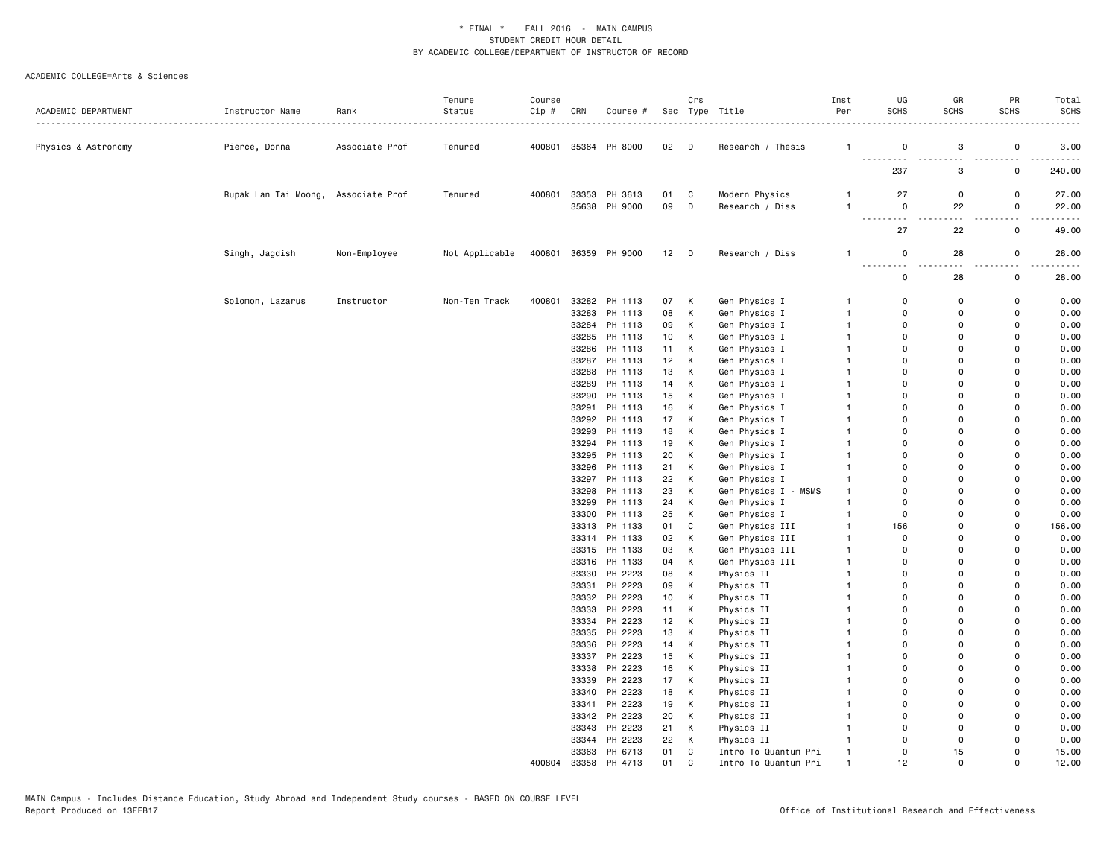| ACADEMIC DEPARTMENT | Instructor Name                     | Rank           | Tenure<br>Status | Course<br>Cip# | CRN   | Course #             |    | Crs          | Sec Type Title       | Inst<br>Per  | UG<br><b>SCHS</b>                                                                                                                             | GR<br><b>SCHS</b> | PR<br><b>SCHS</b>  | Total<br><b>SCHS</b> |
|---------------------|-------------------------------------|----------------|------------------|----------------|-------|----------------------|----|--------------|----------------------|--------------|-----------------------------------------------------------------------------------------------------------------------------------------------|-------------------|--------------------|----------------------|
|                     |                                     |                |                  |                |       |                      |    |              |                      |              |                                                                                                                                               |                   |                    |                      |
| Physics & Astronomy | Pierce, Donna                       | Associate Prof | Tenured          |                |       | 400801 35364 PH 8000 | 02 | D            | Research / Thesis    | $\mathbf{1}$ | 0<br>$\sim$ $\sim$ $\sim$                                                                                                                     | 3                 | $\mathsf 0$        | 3.00                 |
|                     |                                     |                |                  |                |       |                      |    |              |                      |              | 237                                                                                                                                           | 3                 | 0                  | 240.00               |
|                     | Rupak Lan Tai Moong, Associate Prof |                | Tenured          | 400801         |       | 33353 PH 3613        | 01 | C            | Modern Physics       | $\mathbf{1}$ | 27                                                                                                                                            | 0                 | 0                  | 27.00                |
|                     |                                     |                |                  |                |       | 35638 PH 9000        | 09 | D            | Research / Diss      | $\mathbf{1}$ | $\mathbf 0$<br>.<br>$\frac{1}{2} \left( \frac{1}{2} \right) \left( \frac{1}{2} \right) \left( \frac{1}{2} \right) \left( \frac{1}{2} \right)$ | 22<br>$\sim$      | 0<br>$\sim$ $\sim$ | 22.00                |
|                     |                                     |                |                  |                |       |                      |    |              |                      |              | 27                                                                                                                                            | 22                | $\mathsf 0$        | 49.00                |
|                     | Singh, Jagdish                      | Non-Employee   | Not Applicable   | 400801         |       | 36359 PH 9000        | 12 | D            | Research / Diss      | $\mathbf{1}$ | 0<br>$- - -$<br>.                                                                                                                             | 28                | 0                  | 28.00                |
|                     |                                     |                |                  |                |       |                      |    |              |                      |              | 0                                                                                                                                             | 28                | $\mathbf 0$        | 28.00                |
|                     | Solomon, Lazarus                    | Instructor     | Non-Ten Track    | 400801         |       | 33282 PH 1113        | 07 | К            | Gen Physics I        | $\mathbf{1}$ | 0                                                                                                                                             | 0                 | 0                  | 0.00                 |
|                     |                                     |                |                  |                |       | 33283 PH 1113        | 08 | Κ            | Gen Physics I        | -1           | $\Omega$                                                                                                                                      | $\Omega$          | $\Omega$           | 0.00                 |
|                     |                                     |                |                  |                |       | 33284 PH 1113        | 09 | К            | Gen Physics I        | -1           | $\Omega$                                                                                                                                      | $\Omega$          | $\Omega$           | 0.00                 |
|                     |                                     |                |                  |                |       | 33285 PH 1113        | 10 | Κ            | Gen Physics I        | $\mathbf{1}$ | $\Omega$                                                                                                                                      | $\Omega$          | 0                  | 0.00                 |
|                     |                                     |                |                  |                |       | 33286 PH 1113        | 11 | К            | Gen Physics I        | $\mathbf{1}$ | $\Omega$                                                                                                                                      | $\Omega$          | $\Omega$           | 0.00                 |
|                     |                                     |                |                  |                |       | 33287 PH 1113        | 12 | К            | Gen Physics I        | -1           | $\Omega$                                                                                                                                      | $\Omega$          | $\Omega$           | 0.00                 |
|                     |                                     |                |                  |                |       | 33288 PH 1113        | 13 | Κ            | Gen Physics I        | $\mathbf{1}$ | $\Omega$                                                                                                                                      | $\Omega$          | 0                  | 0.00                 |
|                     |                                     |                |                  |                |       | 33289 PH 1113        | 14 | К            | Gen Physics I        | $\mathbf{1}$ | $\Omega$                                                                                                                                      | $\Omega$          | $\Omega$           | 0.00                 |
|                     |                                     |                |                  |                |       | 33290 PH 1113        | 15 | К            | Gen Physics I        | -1           | $\Omega$                                                                                                                                      | $\Omega$          | $\Omega$           | 0.00                 |
|                     |                                     |                |                  |                |       | 33291 PH 1113        | 16 | Κ            | Gen Physics I        | -1           | $\Omega$                                                                                                                                      | $\Omega$          | $\Omega$           | 0.00                 |
|                     |                                     |                |                  |                |       | 33292 PH 1113        | 17 | Κ            | Gen Physics I        | $\mathbf{1}$ | 0                                                                                                                                             | $\Omega$          | 0                  | 0.00                 |
|                     |                                     |                |                  |                |       | 33293 PH 1113        | 18 | К            | Gen Physics I        | $\mathbf{1}$ | $\Omega$                                                                                                                                      | $\Omega$          | $\Omega$           | 0.00                 |
|                     |                                     |                |                  |                |       | 33294 PH 1113        | 19 | Κ            | Gen Physics I        | -1           | $\Omega$                                                                                                                                      | $\Omega$          | $\Omega$           | 0.00                 |
|                     |                                     |                |                  |                |       | 33295 PH 1113        | 20 | Κ            | Gen Physics I        | $\mathbf{1}$ | 0                                                                                                                                             | $\Omega$          | 0                  | 0.00                 |
|                     |                                     |                |                  |                |       | 33296 PH 1113        | 21 | К            | Gen Physics I        | $\mathbf{1}$ | $\Omega$                                                                                                                                      | $\Omega$          | $\Omega$           | 0.00                 |
|                     |                                     |                |                  |                |       | 33297 PH 1113        | 22 | Κ            | Gen Physics I        | $\mathbf{1}$ | $\Omega$                                                                                                                                      | $\Omega$          | $\Omega$           | 0.00                 |
|                     |                                     |                |                  |                |       | 33298 PH 1113        | 23 | К            | Gen Physics I - MSMS | $\mathbf{1}$ | 0                                                                                                                                             | $\Omega$          | $\Omega$           | 0.00                 |
|                     |                                     |                |                  |                |       | 33299 PH 1113        | 24 | К            | Gen Physics I        | $\mathbf{1}$ | $\Omega$                                                                                                                                      | $\Omega$          | $\Omega$           | 0.00                 |
|                     |                                     |                |                  |                |       | 33300 PH 1113        | 25 | К            | Gen Physics I        | $\mathbf{1}$ | $\Omega$                                                                                                                                      | $\Omega$          | 0                  | 0.00                 |
|                     |                                     |                |                  |                |       | 33313 PH 1133        | 01 | $\mathtt{C}$ | Gen Physics III      | $\mathbf{1}$ | 156                                                                                                                                           | $\Omega$          | $\Omega$           | 156.00               |
|                     |                                     |                |                  |                |       | 33314 PH 1133        | 02 | Κ            | Gen Physics III      | $\mathbf{1}$ | $\mathbf 0$                                                                                                                                   | $\Omega$          | $\Omega$           | 0.00                 |
|                     |                                     |                |                  |                |       | 33315 PH 1133        | 03 | К            | Gen Physics III      | $\mathbf{1}$ | $\Omega$                                                                                                                                      | $\Omega$          | $\Omega$           | 0.00                 |
|                     |                                     |                |                  |                |       | 33316 PH 1133        | 04 | К            | Gen Physics III      | $\mathbf{1}$ | $\Omega$                                                                                                                                      | $\Omega$          | $\Omega$           | 0.00                 |
|                     |                                     |                |                  |                |       | 33330 PH 2223        | 08 | Κ            | Physics II           | $\mathbf{1}$ | $\Omega$                                                                                                                                      | $\Omega$          | 0                  | 0.00                 |
|                     |                                     |                |                  |                | 33331 | PH 2223              | 09 | К            | Physics II           | $\mathbf{1}$ | $\Omega$                                                                                                                                      | $\Omega$          | 0                  | 0.00                 |
|                     |                                     |                |                  |                |       | 33332 PH 2223        | 10 | К            | Physics II           | -1           | $\Omega$                                                                                                                                      | $\Omega$          | $\Omega$           | 0.00                 |
|                     |                                     |                |                  |                |       | 33333 PH 2223        | 11 | Κ            | Physics II           | $\mathbf{1}$ | $\Omega$                                                                                                                                      | $\Omega$          | $\Omega$           | 0.00                 |
|                     |                                     |                |                  |                |       | 33334 PH 2223        | 12 | Κ            | Physics II           | -1           | $\Omega$                                                                                                                                      | $\Omega$          | $\Omega$           | 0.00                 |
|                     |                                     |                |                  |                |       | 33335 PH 2223        | 13 | К            | Physics II           | -1           | $\Omega$                                                                                                                                      | $\Omega$          | $\Omega$           | 0.00                 |
|                     |                                     |                |                  |                |       | 33336 PH 2223        | 14 | Κ            | Physics II           | -1           | $\Omega$                                                                                                                                      | $\Omega$          | $\Omega$           | 0.00                 |
|                     |                                     |                |                  |                |       | 33337 PH 2223        | 15 | Κ            | Physics II           | $\mathbf{1}$ | $\Omega$                                                                                                                                      | $\Omega$          | $\Omega$           | 0.00                 |
|                     |                                     |                |                  |                |       | 33338 PH 2223        | 16 | К            | Physics II           | -1           | $\Omega$                                                                                                                                      | $\Omega$          | $\Omega$           | 0.00                 |
|                     |                                     |                |                  |                |       | 33339 PH 2223        | 17 | К            | Physics II           |              | $\Omega$                                                                                                                                      | $\Omega$          | 0                  | 0.00                 |
|                     |                                     |                |                  |                |       | 33340 PH 2223        | 18 | Κ            | Physics II           | -1           | $\Omega$                                                                                                                                      | $\Omega$          | $\Omega$           | 0.00                 |
|                     |                                     |                |                  |                |       | 33341 PH 2223        | 19 | Κ            | Physics II           |              | $\Omega$                                                                                                                                      | $\Omega$          | $\Omega$           | 0.00                 |
|                     |                                     |                |                  |                |       | 33342 PH 2223        | 20 | К            | Physics II           | -1           | $\Omega$                                                                                                                                      | $\Omega$          | 0                  | 0.00                 |
|                     |                                     |                |                  |                |       | 33343 PH 2223        | 21 | К            | Physics II           | $\mathbf{1}$ | $\Omega$                                                                                                                                      | $\Omega$          | $\Omega$           | 0.00                 |
|                     |                                     |                |                  |                |       | 33344 PH 2223        | 22 | К            | Physics II           | $\mathbf{1}$ | $\Omega$                                                                                                                                      | $\Omega$          | $\Omega$           | 0.00                 |
|                     |                                     |                |                  |                |       | 33363 PH 6713        | 01 | $\mathbb{C}$ | Intro To Quantum Pri | $\mathbf{1}$ | $\Omega$                                                                                                                                      | 15                | $\Omega$           | 15.00                |
|                     |                                     |                |                  |                |       | 400804 33358 PH 4713 | 01 | $\mathsf{C}$ | Intro To Quantum Pri |              | 12                                                                                                                                            | $\Omega$          | $\Omega$           | 12.00                |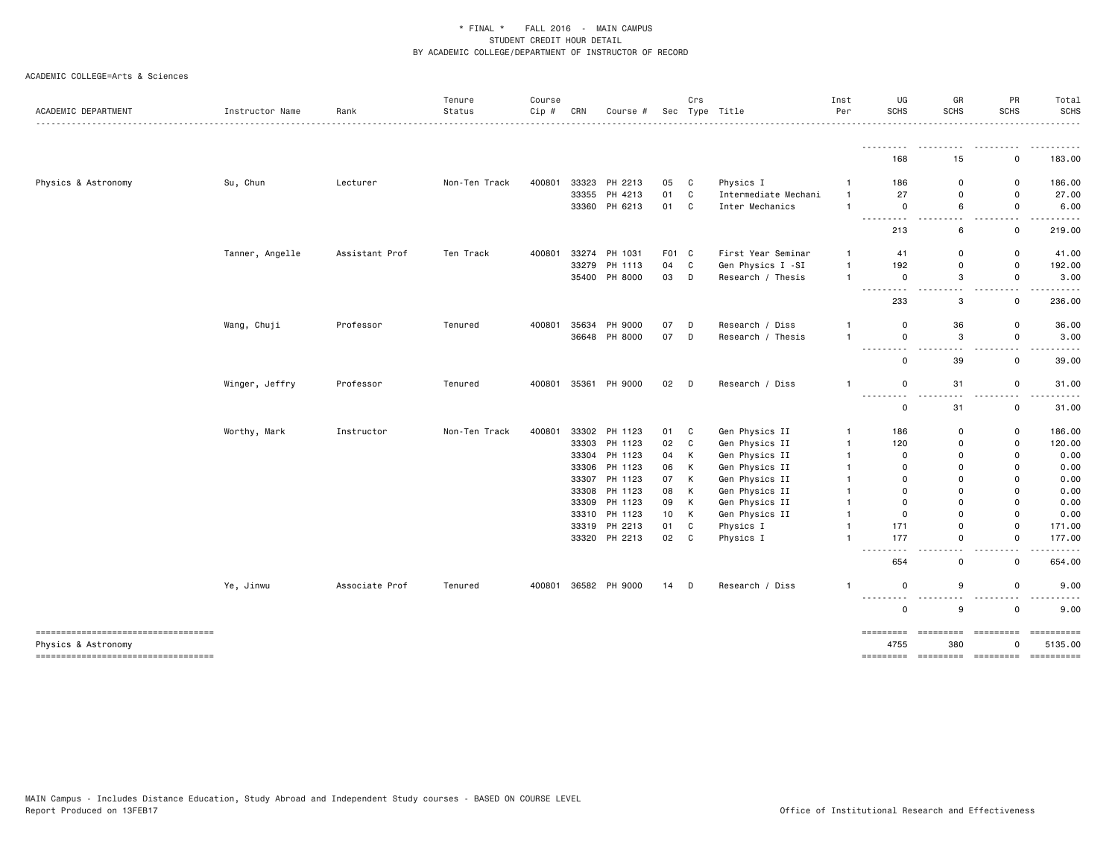| ACADEMIC DEPARTMENT                                        | Instructor Name | Rank           | Tenure<br>Status | Course<br>Cip # | CRN   | Course #      |       | Crs          | Sec Type Title       | Inst<br>Per    | UG<br><b>SCHS</b>                        | GR<br>SCHS                   | PR<br><b>SCHS</b>             | Total<br><b>SCHS</b>                                                                                                                                                                                                                                                                                                                                                                                          |
|------------------------------------------------------------|-----------------|----------------|------------------|-----------------|-------|---------------|-------|--------------|----------------------|----------------|------------------------------------------|------------------------------|-------------------------------|---------------------------------------------------------------------------------------------------------------------------------------------------------------------------------------------------------------------------------------------------------------------------------------------------------------------------------------------------------------------------------------------------------------|
|                                                            |                 |                |                  |                 |       |               |       |              |                      |                |                                          |                              |                               |                                                                                                                                                                                                                                                                                                                                                                                                               |
|                                                            |                 |                |                  |                 |       |               |       |              |                      |                | 168                                      | 15                           | 0                             | 183.00                                                                                                                                                                                                                                                                                                                                                                                                        |
| Physics & Astronomy                                        | Su, Chun        | Lecturer       | Non-Ten Track    | 400801          |       | 33323 PH 2213 | 05    | C            | Physics I            | $\mathbf{1}$   | 186                                      | 0                            | 0                             | 186.00                                                                                                                                                                                                                                                                                                                                                                                                        |
|                                                            |                 |                |                  |                 |       | 33355 PH 4213 | 01    | $\mathtt{C}$ | Intermediate Mechani | $\overline{1}$ | 27                                       | 0                            | 0                             | 27.00                                                                                                                                                                                                                                                                                                                                                                                                         |
|                                                            |                 |                |                  |                 |       | 33360 PH 6213 | 01    | C            | Inter Mechanics      | $\overline{1}$ | $\mathsf{o}$                             | 6                            | 0<br>$\overline{\phantom{a}}$ | 6.00                                                                                                                                                                                                                                                                                                                                                                                                          |
|                                                            |                 |                |                  |                 |       |               |       |              |                      |                | 213                                      | 6                            | 0                             | 219.00                                                                                                                                                                                                                                                                                                                                                                                                        |
|                                                            | Tanner, Angelle | Assistant Prof | Ten Track        | 400801          |       | 33274 PH 1031 | F01 C |              | First Year Seminar   | -1             | 41                                       | 0                            | 0                             | 41.00                                                                                                                                                                                                                                                                                                                                                                                                         |
|                                                            |                 |                |                  |                 |       | 33279 PH 1113 | 04    | $\mathbb{C}$ | Gen Physics I -SI    | $\mathbf{1}$   | 192                                      | 0                            | $\mathsf 0$                   | 192.00                                                                                                                                                                                                                                                                                                                                                                                                        |
|                                                            |                 |                |                  |                 |       | 35400 PH 8000 | 03    | D            | Research / Thesis    | $\mathbf{1}$   | $\mathsf{o}$<br>-----<br>$- - -$         | 3<br>$\sim$ $\sim$           | 0<br>$ -$                     | 3.00                                                                                                                                                                                                                                                                                                                                                                                                          |
|                                                            |                 |                |                  |                 |       |               |       |              |                      |                | 233                                      | 3                            | 0                             | 236.00                                                                                                                                                                                                                                                                                                                                                                                                        |
|                                                            | Wang, Chuji     | Professor      | Tenured          | 400801          | 35634 | PH 9000       | 07    | D            | Research / Diss      | $\mathbf{1}$   | $\mathbf 0$                              | 36                           | 0                             | 36.00                                                                                                                                                                                                                                                                                                                                                                                                         |
|                                                            |                 |                |                  |                 |       | 36648 PH 8000 | 07    | D            | Research / Thesis    | $\mathbf{1}$   | 0                                        | 3                            | $\mathsf 0$                   | 3.00                                                                                                                                                                                                                                                                                                                                                                                                          |
|                                                            |                 |                |                  |                 |       |               |       |              |                      |                | .<br>0                                   | .<br>39                      | $\sim$ $\sim$<br>$\mathsf{o}$ | 39.00                                                                                                                                                                                                                                                                                                                                                                                                         |
|                                                            | Winger, Jeffry  | Professor      | Tenured          | 400801          |       | 35361 PH 9000 | 02    | D            | Research / Diss      | 1              | 0                                        | 31                           | 0                             | 31.00                                                                                                                                                                                                                                                                                                                                                                                                         |
|                                                            |                 |                |                  |                 |       |               |       |              |                      |                | <u>.</u><br>0                            | $\sim$ $-$<br>31             | $\sim$ $\sim$<br>0            | 31.00                                                                                                                                                                                                                                                                                                                                                                                                         |
|                                                            | Worthy, Mark    | Instructor     | Non-Ten Track    | 400801          |       | 33302 PH 1123 | 01    | C            | Gen Physics II       | $\overline{1}$ | 186                                      | 0                            | 0                             | 186.00                                                                                                                                                                                                                                                                                                                                                                                                        |
|                                                            |                 |                |                  |                 |       | 33303 PH 1123 | 02    | $\mathbb{C}$ | Gen Physics II       | $\mathbf{1}$   | 120                                      | 0                            | 0                             | 120.00                                                                                                                                                                                                                                                                                                                                                                                                        |
|                                                            |                 |                |                  |                 |       | 33304 PH 1123 | 04    | К            | Gen Physics II       | $\mathbf{1}$   | 0                                        | $\Omega$                     | 0                             | 0.00                                                                                                                                                                                                                                                                                                                                                                                                          |
|                                                            |                 |                |                  |                 |       | 33306 PH 1123 | 06    | К            | Gen Physics II       | $\mathbf{1}$   | $\mathbf 0$                              | $\mathbf 0$                  | $\Omega$                      | 0.00                                                                                                                                                                                                                                                                                                                                                                                                          |
|                                                            |                 |                |                  |                 |       | 33307 PH 1123 | 07    | К            | Gen Physics II       | -1             | $\Omega$                                 | $\Omega$                     | $\Omega$                      | 0.00                                                                                                                                                                                                                                                                                                                                                                                                          |
|                                                            |                 |                |                  |                 |       | 33308 PH 1123 | 08    | Κ            | Gen Physics II       | $\mathbf{1}$   | $\mathbf 0$                              | $\Omega$                     | $\Omega$                      | 0.00                                                                                                                                                                                                                                                                                                                                                                                                          |
|                                                            |                 |                |                  |                 |       | 33309 PH 1123 | 09    | К            | Gen Physics II       | -1             | $\mathbf 0$                              | 0                            | 0                             | 0.00                                                                                                                                                                                                                                                                                                                                                                                                          |
|                                                            |                 |                |                  |                 |       | 33310 PH 1123 | 10    | К            | Gen Physics II       | $\overline{1}$ | $\mathbf 0$                              | $\Omega$                     | $\mathbf 0$                   | 0.00                                                                                                                                                                                                                                                                                                                                                                                                          |
|                                                            |                 |                |                  |                 |       | 33319 PH 2213 | 01    | $\mathbb{C}$ | Physics I            | $\mathbf{1}$   | 171                                      | 0                            | $\mathbf 0$                   | 171.00                                                                                                                                                                                                                                                                                                                                                                                                        |
|                                                            |                 |                |                  |                 |       | 33320 PH 2213 | 02    | C            | Physics I            | $\mathbf{1}$   | 177<br>$\sim$ $\sim$ $\sim$ .            | $\mathbf 0$<br>$\sim$ $\sim$ | 0<br>$\sim$ $\sim$            | 177.00                                                                                                                                                                                                                                                                                                                                                                                                        |
|                                                            |                 |                |                  |                 |       |               |       |              |                      |                | 654                                      | 0                            | $\mathsf 0$                   | 654.00                                                                                                                                                                                                                                                                                                                                                                                                        |
|                                                            | Ye, Jinwu       | Associate Prof | Tenured          | 400801          |       | 36582 PH 9000 | 14    | D            | Research / Diss      | $\mathbf{1}$   | 0                                        | 9                            | $\mathsf 0$<br>$ -$           | 9.00                                                                                                                                                                                                                                                                                                                                                                                                          |
|                                                            |                 |                |                  |                 |       |               |       |              |                      |                | <u> - - - - - - - - -</u><br>$\mathbf 0$ | .<br>9                       | $\mathsf 0$                   | 9.00                                                                                                                                                                                                                                                                                                                                                                                                          |
| ----------------------------------                         |                 |                |                  |                 |       |               |       |              |                      |                | =========                                | - =========                  | =========                     | $\begin{minipage}{0.9\linewidth} \hspace*{-0.2cm} \textbf{if} \hspace*{0.2cm} \textbf{if} \hspace*{0.2cm} \textbf{if} \hspace*{0.2cm} \textbf{if} \hspace*{0.2cm} \textbf{if} \hspace*{0.2cm} \textbf{if} \hspace*{0.2cm} \textbf{if} \hspace*{0.2cm} \textbf{if} \hspace*{0.2cm} \textbf{if} \hspace*{0.2cm} \textbf{if} \hspace*{0.2cm} \textbf{if} \hspace*{0.2cm} \textbf{if} \hspace*{0.2cm} \textbf{if$ |
| Physics & Astronomy<br>----------------------------------- |                 |                |                  |                 |       |               |       |              |                      |                | 4755<br>=========                        | 380                          | 0                             | 5135.00                                                                                                                                                                                                                                                                                                                                                                                                       |
|                                                            |                 |                |                  |                 |       |               |       |              |                      |                |                                          |                              |                               |                                                                                                                                                                                                                                                                                                                                                                                                               |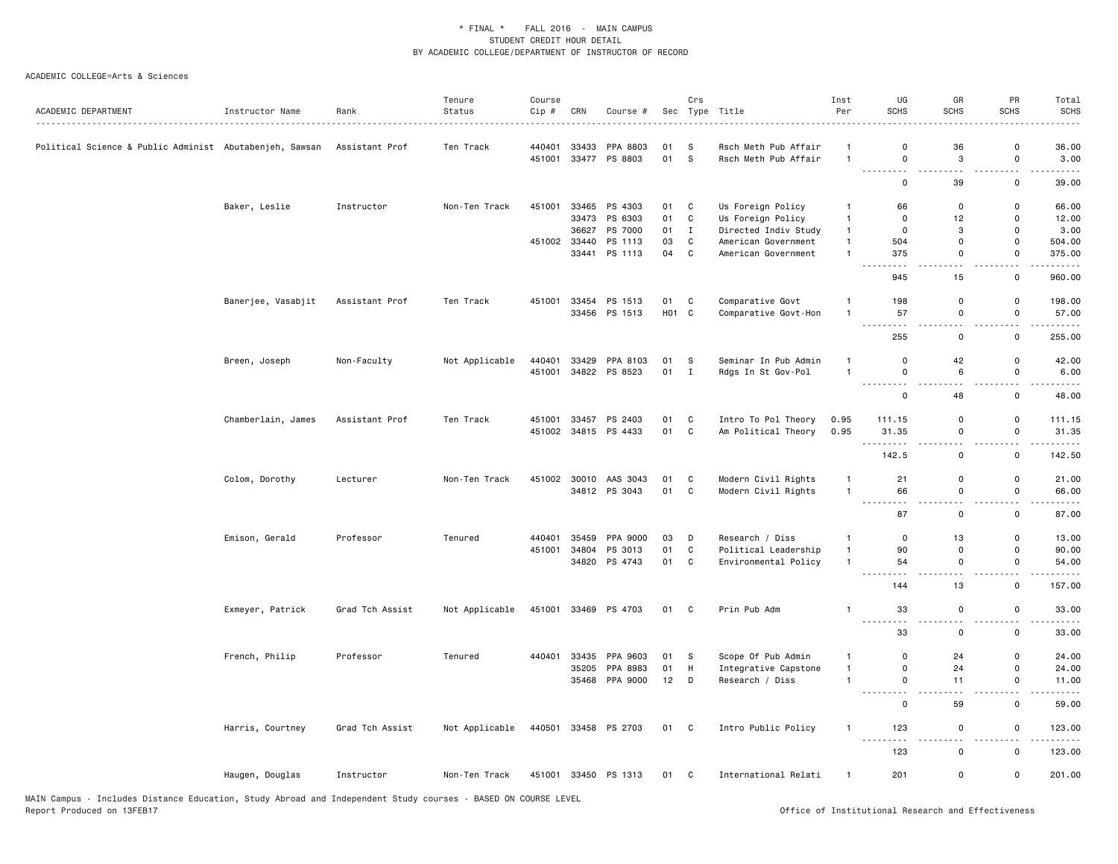| <b>SCHS</b><br><b>SCHS</b><br>ACADEMIC DEPARTMENT<br>Status<br>Cip #<br>CRN<br>Sec Type Title<br>Per<br>Instructor Name<br>Rank<br>Course #<br>440401<br>33433<br>PPA 8803<br>Rsch Meth Pub Affair<br>0<br>36<br>Political Science & Public Administ Abutabenjeh, Sawsan<br>Assistant Prof<br>Ten Track<br>01<br>s<br>$\overline{1}$<br>01<br><b>S</b><br>3<br>451001<br>33477 PS 8803<br>Rsch Meth Pub Affair<br>$\overline{1}$<br>0<br>$\overline{a}$<br>.<br>39<br>0<br>Baker, Leslie<br>Instructor<br>Non-Ten Track<br>451001<br>33465 PS 4303<br>01<br>C<br>Us Foreign Policy<br>66<br>$\Omega$<br>$\mathbf{1}$<br>$\mathtt{C}$<br>33473 PS 6303<br>01<br>Us Foreign Policy<br>$\mathbf{1}$<br>$\mathbf 0$<br>12<br>36627 PS 7000<br>01<br>$\mathbf{I}$<br>Directed Indiv Study<br>$\overline{1}$<br>$\mathbf 0$<br>3<br>33440<br>451002<br>PS 1113<br>03<br>C<br>American Government<br>$\mathbf{1}$<br>504<br>0<br>33441 PS 1113<br>04<br>$\mathtt{C}$<br>$\mathbf{1}$<br>375<br>0<br>American Government<br>$\sim$<br>.<br>945<br>15<br>Banerjee, Vasabjit<br>Assistant Prof<br>451001<br>33454<br>PS 1513<br>C<br>Comparative Govt<br>198<br>Ten Track<br>01<br>$\overline{1}$<br>0<br>HO1 C<br>33456 PS 1513<br>Comparative Govt-Hon<br>$\overline{1}$<br>57<br>$\Omega$<br>د د د .<br>$\omega_{\rm{eff}}$<br>.<br>255<br>0 | <b>SCHS</b><br><b>SCHS</b>                  |
|---------------------------------------------------------------------------------------------------------------------------------------------------------------------------------------------------------------------------------------------------------------------------------------------------------------------------------------------------------------------------------------------------------------------------------------------------------------------------------------------------------------------------------------------------------------------------------------------------------------------------------------------------------------------------------------------------------------------------------------------------------------------------------------------------------------------------------------------------------------------------------------------------------------------------------------------------------------------------------------------------------------------------------------------------------------------------------------------------------------------------------------------------------------------------------------------------------------------------------------------------------------------------------------------------------------------------------------|---------------------------------------------|
|                                                                                                                                                                                                                                                                                                                                                                                                                                                                                                                                                                                                                                                                                                                                                                                                                                                                                                                                                                                                                                                                                                                                                                                                                                                                                                                                       |                                             |
|                                                                                                                                                                                                                                                                                                                                                                                                                                                                                                                                                                                                                                                                                                                                                                                                                                                                                                                                                                                                                                                                                                                                                                                                                                                                                                                                       |                                             |
|                                                                                                                                                                                                                                                                                                                                                                                                                                                                                                                                                                                                                                                                                                                                                                                                                                                                                                                                                                                                                                                                                                                                                                                                                                                                                                                                       | 36.00<br>0                                  |
|                                                                                                                                                                                                                                                                                                                                                                                                                                                                                                                                                                                                                                                                                                                                                                                                                                                                                                                                                                                                                                                                                                                                                                                                                                                                                                                                       | $\mathsf 0$<br>3.00                         |
|                                                                                                                                                                                                                                                                                                                                                                                                                                                                                                                                                                                                                                                                                                                                                                                                                                                                                                                                                                                                                                                                                                                                                                                                                                                                                                                                       | 0<br>39.00                                  |
|                                                                                                                                                                                                                                                                                                                                                                                                                                                                                                                                                                                                                                                                                                                                                                                                                                                                                                                                                                                                                                                                                                                                                                                                                                                                                                                                       | $\Omega$<br>66.00                           |
|                                                                                                                                                                                                                                                                                                                                                                                                                                                                                                                                                                                                                                                                                                                                                                                                                                                                                                                                                                                                                                                                                                                                                                                                                                                                                                                                       | $\Omega$<br>12.00                           |
|                                                                                                                                                                                                                                                                                                                                                                                                                                                                                                                                                                                                                                                                                                                                                                                                                                                                                                                                                                                                                                                                                                                                                                                                                                                                                                                                       | 3.00<br>$\Omega$                            |
|                                                                                                                                                                                                                                                                                                                                                                                                                                                                                                                                                                                                                                                                                                                                                                                                                                                                                                                                                                                                                                                                                                                                                                                                                                                                                                                                       | $\Omega$<br>504.00                          |
|                                                                                                                                                                                                                                                                                                                                                                                                                                                                                                                                                                                                                                                                                                                                                                                                                                                                                                                                                                                                                                                                                                                                                                                                                                                                                                                                       | 375.00<br>$\mathsf{o}$                      |
|                                                                                                                                                                                                                                                                                                                                                                                                                                                                                                                                                                                                                                                                                                                                                                                                                                                                                                                                                                                                                                                                                                                                                                                                                                                                                                                                       | $\sim$<br>.<br>960.00<br>0                  |
|                                                                                                                                                                                                                                                                                                                                                                                                                                                                                                                                                                                                                                                                                                                                                                                                                                                                                                                                                                                                                                                                                                                                                                                                                                                                                                                                       | 198.00<br>0                                 |
|                                                                                                                                                                                                                                                                                                                                                                                                                                                                                                                                                                                                                                                                                                                                                                                                                                                                                                                                                                                                                                                                                                                                                                                                                                                                                                                                       | $\Omega$<br>57.00                           |
|                                                                                                                                                                                                                                                                                                                                                                                                                                                                                                                                                                                                                                                                                                                                                                                                                                                                                                                                                                                                                                                                                                                                                                                                                                                                                                                                       | $\sim$ $\sim$<br>.                          |
|                                                                                                                                                                                                                                                                                                                                                                                                                                                                                                                                                                                                                                                                                                                                                                                                                                                                                                                                                                                                                                                                                                                                                                                                                                                                                                                                       | 0<br>255.00                                 |
| 42<br>Breen, Joseph<br>Non-Faculty<br>Not Applicable<br>440401<br>33429<br>PPA 8103<br>01<br>S<br>Seminar In Pub Admin<br>$\overline{1}$<br>$\mathbf 0$                                                                                                                                                                                                                                                                                                                                                                                                                                                                                                                                                                                                                                                                                                                                                                                                                                                                                                                                                                                                                                                                                                                                                                               | $\mathsf 0$<br>42.00                        |
| 34822 PS 8523<br>$\mathbf{I}$<br>$\overline{1}$<br>6<br>451001<br>01<br>Rdgs In St Gov-Pol<br>$\mathbf 0$                                                                                                                                                                                                                                                                                                                                                                                                                                                                                                                                                                                                                                                                                                                                                                                                                                                                                                                                                                                                                                                                                                                                                                                                                             | 0<br>6.00                                   |
| <u>.</u><br>$\sim$ $\sim$<br>$\mathsf{o}\,$<br>48                                                                                                                                                                                                                                                                                                                                                                                                                                                                                                                                                                                                                                                                                                                                                                                                                                                                                                                                                                                                                                                                                                                                                                                                                                                                                     | $\overline{\phantom{a}}$<br>0<br>48.00      |
| Chamberlain, James<br>451001<br>33457 PS 2403<br>01<br>C<br>Intro To Pol Theory<br>0.95<br>Assistant Prof<br>Ten Track<br>111.15<br>$\Omega$                                                                                                                                                                                                                                                                                                                                                                                                                                                                                                                                                                                                                                                                                                                                                                                                                                                                                                                                                                                                                                                                                                                                                                                          | $\Omega$<br>111.15                          |
| 01 C<br>451002 34815 PS 4433<br>Am Political Theory<br>0.95<br>31.35<br>0                                                                                                                                                                                                                                                                                                                                                                                                                                                                                                                                                                                                                                                                                                                                                                                                                                                                                                                                                                                                                                                                                                                                                                                                                                                             | $\Omega$<br>31.35                           |
| $\sim$ $\sim$                                                                                                                                                                                                                                                                                                                                                                                                                                                                                                                                                                                                                                                                                                                                                                                                                                                                                                                                                                                                                                                                                                                                                                                                                                                                                                                         | $\overline{\phantom{a}}$                    |
| 142.5<br>0                                                                                                                                                                                                                                                                                                                                                                                                                                                                                                                                                                                                                                                                                                                                                                                                                                                                                                                                                                                                                                                                                                                                                                                                                                                                                                                            | 0<br>142.50                                 |
| 451002 30010 AAS 3043<br>$\mathtt{C}$<br>Modern Civil Rights<br>Colom, Dorothy<br>Lecturer<br>Non-Ten Track<br>01<br>$\overline{1}$<br>21<br>0                                                                                                                                                                                                                                                                                                                                                                                                                                                                                                                                                                                                                                                                                                                                                                                                                                                                                                                                                                                                                                                                                                                                                                                        | $\mathbf 0$<br>21.00                        |
| 34812 PS 3043<br>01<br>C<br>Modern Civil Rights<br>66<br>$\overline{1}$<br>0                                                                                                                                                                                                                                                                                                                                                                                                                                                                                                                                                                                                                                                                                                                                                                                                                                                                                                                                                                                                                                                                                                                                                                                                                                                          | $\mathsf 0$<br>66.00                        |
| .<br>.<br>$\sim$ $\sim$<br>87<br>$\mathbf 0$                                                                                                                                                                                                                                                                                                                                                                                                                                                                                                                                                                                                                                                                                                                                                                                                                                                                                                                                                                                                                                                                                                                                                                                                                                                                                          | $ -$<br>.<br>0<br>87.00                     |
| Emison, Gerald<br>Professor<br>35459<br>PPA 9000<br>03<br>D<br>Research / Diss<br>$\mathbf{1}$<br>13<br>Tenured<br>440401<br>0                                                                                                                                                                                                                                                                                                                                                                                                                                                                                                                                                                                                                                                                                                                                                                                                                                                                                                                                                                                                                                                                                                                                                                                                        | $\mathsf{o}\,$<br>13.00                     |
| $\mathbf C$<br>451001<br>34804<br>PS 3013<br>01<br>Political Leadership<br>$\mathbf{1}$<br>90<br>$\Omega$                                                                                                                                                                                                                                                                                                                                                                                                                                                                                                                                                                                                                                                                                                                                                                                                                                                                                                                                                                                                                                                                                                                                                                                                                             | $\Omega$<br>90.00                           |
| 34820 PS 4743<br>01<br>C<br>Environmental Policy<br>$\overline{1}$<br>54<br>0                                                                                                                                                                                                                                                                                                                                                                                                                                                                                                                                                                                                                                                                                                                                                                                                                                                                                                                                                                                                                                                                                                                                                                                                                                                         | 0<br>54.00                                  |
| $\sim$ $\sim$ $\sim$                                                                                                                                                                                                                                                                                                                                                                                                                                                                                                                                                                                                                                                                                                                                                                                                                                                                                                                                                                                                                                                                                                                                                                                                                                                                                                                  | $\overline{\phantom{a}}$                    |
| 13<br>144                                                                                                                                                                                                                                                                                                                                                                                                                                                                                                                                                                                                                                                                                                                                                                                                                                                                                                                                                                                                                                                                                                                                                                                                                                                                                                                             | $\mathsf 0$<br>157.00                       |
| 451001<br>33469 PS 4703<br>33<br>Exmeyer, Patrick<br>Grad Tch Assist<br>Not Applicable<br>01 C<br>Prin Pub Adm<br>0<br>$\mathbf{1}$<br>.<br>$\sim$ $\sim$<br>$\sim$ $\sim$                                                                                                                                                                                                                                                                                                                                                                                                                                                                                                                                                                                                                                                                                                                                                                                                                                                                                                                                                                                                                                                                                                                                                            | $\mathsf 0$<br>33.00<br>$\sim$ $\sim$       |
| 33<br>0                                                                                                                                                                                                                                                                                                                                                                                                                                                                                                                                                                                                                                                                                                                                                                                                                                                                                                                                                                                                                                                                                                                                                                                                                                                                                                                               | . <b>.</b> .<br>$\mathsf 0$<br>33.00        |
| French, Philip<br>Professor<br>440401<br>33435<br>PPA 9603<br>S.<br>Scope Of Pub Admin<br>$\overline{1}$<br>0<br>24<br>Tenured<br>01                                                                                                                                                                                                                                                                                                                                                                                                                                                                                                                                                                                                                                                                                                                                                                                                                                                                                                                                                                                                                                                                                                                                                                                                  | 24.00<br>0                                  |
| 35205 PPA 8983<br>01<br>н<br>Integrative Capstone<br>$\mathbf{1}$<br>0<br>24                                                                                                                                                                                                                                                                                                                                                                                                                                                                                                                                                                                                                                                                                                                                                                                                                                                                                                                                                                                                                                                                                                                                                                                                                                                          | 0<br>24.00                                  |
| 12<br>D<br>35468 PPA 9000<br>Research / Diss<br>$\mathbf{1}$<br>0<br>11                                                                                                                                                                                                                                                                                                                                                                                                                                                                                                                                                                                                                                                                                                                                                                                                                                                                                                                                                                                                                                                                                                                                                                                                                                                               | 0<br>11.00                                  |
| .<br>$\sim$ $\sim$<br>$\mathsf 0$<br>59                                                                                                                                                                                                                                                                                                                                                                                                                                                                                                                                                                                                                                                                                                                                                                                                                                                                                                                                                                                                                                                                                                                                                                                                                                                                                               | $\sim$<br>$\mathsf 0$<br>59.00              |
| 440501<br>33458 PS 2703<br>01 C<br>Intro Public Policy<br>123<br>Harris, Courtney<br>Grad Tch Assist<br>Not Applicable<br>$\mathbf{1}$<br>$\mathsf{o}\,$                                                                                                                                                                                                                                                                                                                                                                                                                                                                                                                                                                                                                                                                                                                                                                                                                                                                                                                                                                                                                                                                                                                                                                              | $\mathsf 0$<br>123.00                       |
| <u>.</u><br>$\sim$ $\sim$<br>123<br>0                                                                                                                                                                                                                                                                                                                                                                                                                                                                                                                                                                                                                                                                                                                                                                                                                                                                                                                                                                                                                                                                                                                                                                                                                                                                                                 | $\sim$ $\sim$<br>.<br>$\mathsf 0$<br>123.00 |
| Haugen, Douglas<br>451001<br>33450 PS 1313<br>01 C<br>International Relati<br>201<br>0<br>Instructor<br>Non-Ten Track<br>$\mathbf{1}$                                                                                                                                                                                                                                                                                                                                                                                                                                                                                                                                                                                                                                                                                                                                                                                                                                                                                                                                                                                                                                                                                                                                                                                                 | 201.00<br>0                                 |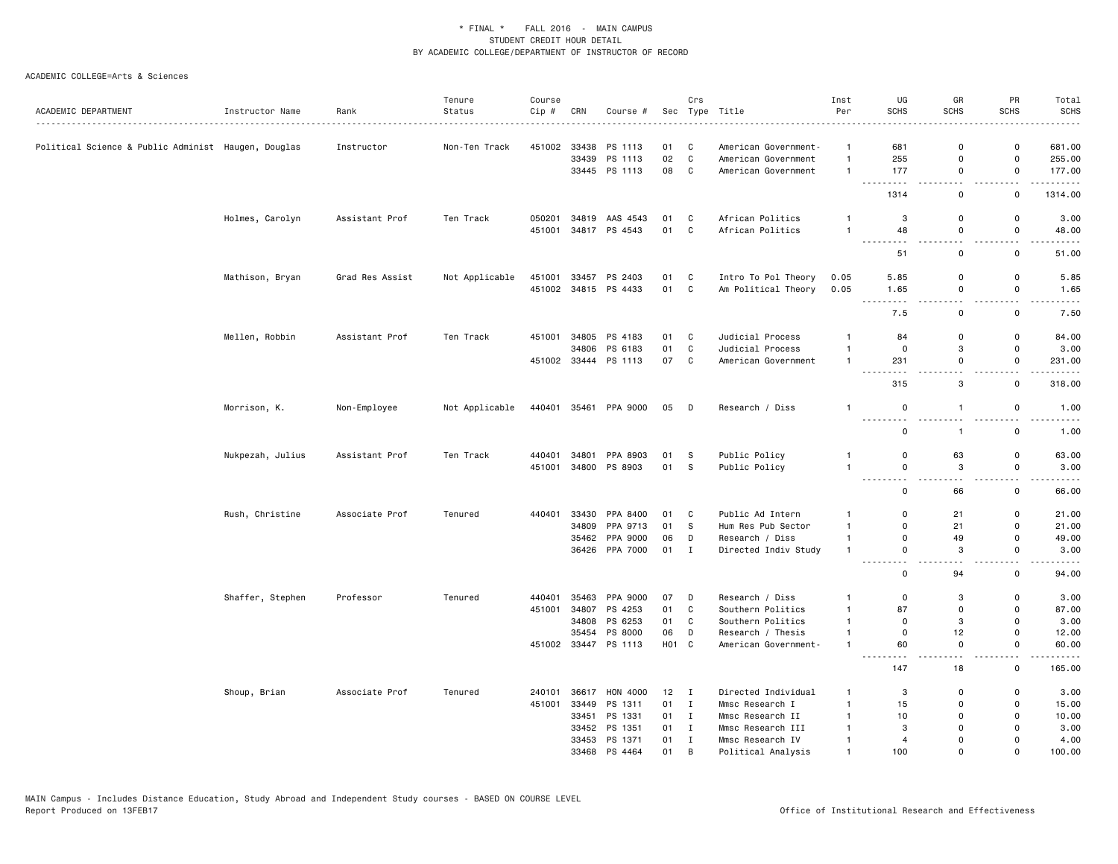|                                                     |                  |                 | Tenure         | Course |       |                       |              | Crs          |                      | Inst           | UG                                             | GR                                       | PR                                      | Total           |
|-----------------------------------------------------|------------------|-----------------|----------------|--------|-------|-----------------------|--------------|--------------|----------------------|----------------|------------------------------------------------|------------------------------------------|-----------------------------------------|-----------------|
| ACADEMIC DEPARTMENT                                 | Instructor Name  | Rank<br>.       | Status         | Cip #  | CRN   | Course #              |              |              | Sec Type Title       | Per            | <b>SCHS</b>                                    | <b>SCHS</b>                              | <b>SCHS</b>                             | <b>SCHS</b>     |
| Political Science & Public Administ Haugen, Douglas |                  | Instructor      | Non-Ten Track  | 451002 |       | 33438 PS 1113         | 01           | C            | American Government- | $\overline{1}$ | 681                                            | $\Omega$                                 | 0                                       | 681.00          |
|                                                     |                  |                 |                |        | 33439 | PS 1113               | 02           | C            | American Government  | $\mathbf{1}$   | 255                                            | $\Omega$                                 | 0                                       | 255.00          |
|                                                     |                  |                 |                |        |       | 33445 PS 1113         | 08           | C            | American Government  | $\mathbf{1}$   | 177                                            | $\mathsf 0$                              | $\mathsf{o}$                            | 177.00          |
|                                                     |                  |                 |                |        |       |                       |              |              |                      |                | 1314                                           | и.<br>$\mathbf 0$                        | $\mathbf 0$                             | 1314.00         |
|                                                     |                  |                 |                |        |       |                       |              |              |                      |                |                                                |                                          |                                         |                 |
|                                                     | Holmes, Carolyn  | Assistant Prof  | Ten Track      | 050201 | 34819 | AAS 4543              | 01           | C            | African Politics     | $\overline{1}$ | 3                                              | $\mathbf 0$                              | 0                                       | 3.00            |
|                                                     |                  |                 |                | 451001 |       | 34817 PS 4543         | 01 C         |              | African Politics     | $\overline{1}$ | 48<br>$  -$                                    | $\mathbf 0$<br>$\sim$ $\sim$             | $\mathsf 0$<br>$\sim$ $\sim$            | 48.00<br>.      |
|                                                     |                  |                 |                |        |       |                       |              |              |                      |                | 51                                             | $\mathsf 0$                              | $\mathbf 0$                             | 51.00           |
|                                                     | Mathison, Bryan  | Grad Res Assist | Not Applicable | 451001 | 33457 | PS 2403               | 01           | C            | Intro To Pol Theory  | 0.05           | 5.85                                           | $\mathbf 0$                              | 0                                       | 5.85            |
|                                                     |                  |                 |                |        |       | 451002 34815 PS 4433  | 01           | C            | Am Political Theory  | 0.05           | 1.65<br><b><i><u><u> ---------</u></u></i></b> | $\mathbf 0$<br>$\sim$ $\sim$             | 0<br>$ -$                               | 1.65<br>.       |
|                                                     |                  |                 |                |        |       |                       |              |              |                      |                | 7.5                                            | 0                                        | 0                                       | 7.50            |
|                                                     | Mellen, Robbin   | Assistant Prof  | Ten Track      |        |       | 451001 34805 PS 4183  | 01 C         |              | Judicial Process     | $\mathbf{1}$   | 84                                             | $\mathbf 0$                              | 0                                       | 84.00           |
|                                                     |                  |                 |                |        | 34806 | PS 6183               | 01           | C            | Judicial Process     | $\mathbf{1}$   | 0                                              | 3                                        | $\mathsf 0$                             | 3.00            |
|                                                     |                  |                 |                |        |       | 451002 33444 PS 1113  | 07           | C            | American Government  | $\overline{1}$ | 231<br>$\omega$ is $\omega$ in .<br>$- - -$    | $\mathbf 0$<br>$\sim$                    | $\mathsf 0$<br>$\overline{\phantom{a}}$ | 231.00<br>$  -$ |
|                                                     |                  |                 |                |        |       |                       |              |              |                      |                | 315                                            | 3                                        | $\mathbf 0$                             | 318.00          |
|                                                     | Morrison, K.     | Non-Employee    | Not Applicable |        |       | 440401 35461 PPA 9000 | 05 D         |              | Research / Diss      | $\mathbf{1}$   | $\mathbf 0$                                    | $\overline{1}$                           | $\mathsf 0$                             | 1.00            |
|                                                     |                  |                 |                |        |       |                       |              |              |                      |                | $\mathbf 0$                                    | $\overline{\phantom{0}}$<br>$\mathbf{1}$ | $\overline{\phantom{0}}$<br>$\mathsf 0$ | .<br>1.00       |
|                                                     | Nukpezah, Julius | Assistant Prof  | Ten Track      | 440401 | 34801 | PPA 8903              | 01           | - S          | Public Policy        | $\mathbf{1}$   | $\mathbf 0$                                    | 63                                       | 0                                       | 63.00           |
|                                                     |                  |                 |                | 451001 |       | 34800 PS 8903         | 01 S         |              | Public Policy        | $\overline{1}$ | $\mathbf 0$                                    | 3                                        | $\mathsf 0$                             | 3.00            |
|                                                     |                  |                 |                |        |       |                       |              |              |                      |                | $\sim$ $\sim$<br>$  -$<br>$\mathsf{o}$         | ٠.<br>66                                 | . .<br>0                                | 66.00           |
|                                                     | Rush, Christine  | Associate Prof  | Tenured        | 440401 | 33430 | PPA 8400              | 01 C         |              | Public Ad Intern     | $\overline{1}$ | $\mathbf 0$                                    | 21                                       | 0                                       | 21.00           |
|                                                     |                  |                 |                |        | 34809 | PPA 9713              | 01           | s.           | Hum Res Pub Sector   | $\mathbf{1}$   | $\Omega$                                       | 21                                       | 0                                       | 21.00           |
|                                                     |                  |                 |                |        | 35462 | PPA 9000              | 06           | D            | Research / Diss      | $\mathbf{1}$   | $\mathbf 0$                                    | 49                                       | 0                                       | 49.00           |
|                                                     |                  |                 |                |        |       | 36426 PPA 7000        | 01           | $\mathbf{I}$ | Directed Indiv Study | $\overline{1}$ | $\mathbf 0$                                    | 3                                        | $\mathbf 0$                             | 3.00            |
|                                                     |                  |                 |                |        |       |                       |              |              |                      |                | <u>.</u><br>$\mathbf 0$                        | .<br>94                                  | $\sim$ $\sim$<br>0                      | .<br>94.00      |
|                                                     | Shaffer, Stephen | Professor       | Tenured        | 440401 | 35463 | PPA 9000              | 07           | D            | Research / Diss      | $\mathbf{1}$   | $\mathbf 0$                                    | 3                                        | 0                                       | 3.00            |
|                                                     |                  |                 |                | 451001 | 34807 | PS 4253               | 01           | C            | Southern Politics    | $\overline{1}$ | 87                                             | $\mathbf 0$                              | 0                                       | 87.00           |
|                                                     |                  |                 |                |        |       | 34808 PS 6253         | 01           | C            | Southern Politics    | $\overline{1}$ | $\overline{0}$                                 | 3                                        | $\mathbf 0$                             | 3.00            |
|                                                     |                  |                 |                |        | 35454 | PS 8000               | 06           | D            | Research / Thesis    | $\overline{1}$ | $\mathbf 0$                                    | 12                                       | $\mathbf 0$                             | 12.00           |
|                                                     |                  |                 |                |        |       | 451002 33447 PS 1113  | H01 C        |              | American Government- | $\overline{1}$ | 60                                             | $\mathbf 0$                              | $\mathbf 0$<br>. .                      | 60.00           |
|                                                     |                  |                 |                |        |       |                       |              |              |                      |                | 147                                            | 18                                       | 0                                       | 165.00          |
|                                                     | Shoup, Brian     | Associate Prof  | Tenured        | 240101 |       | 36617 HON 4000        | $12 \quad I$ |              | Directed Individual  | $\overline{1}$ | 3                                              | $\mathbf 0$                              | 0                                       | 3.00            |
|                                                     |                  |                 |                | 451001 | 33449 | PS 1311               | 01           | $\mathbf{I}$ | Mmsc Research I      | $\overline{1}$ | 15                                             | $\Omega$                                 | 0                                       | 15.00           |
|                                                     |                  |                 |                |        | 33451 | PS 1331               | 01           | $\mathbf{I}$ | Mmsc Research II     | $\mathbf{1}$   | 10                                             | $\mathbf 0$                              | $\mathbf 0$                             | 10.00           |
|                                                     |                  |                 |                |        | 33452 | PS 1351               | 01           | $\mathbf{I}$ | Mmsc Research III    | $\overline{1}$ | 3                                              | $\Omega$                                 | $\mathbf 0$                             | 3.00            |
|                                                     |                  |                 |                |        |       | 33453 PS 1371         | 01           | $\mathbf{I}$ | Mmsc Research IV     | $\overline{1}$ | $\overline{4}$                                 | $\overline{0}$<br>$\Omega$               | $\mathbf 0$                             | 4.00            |
|                                                     |                  |                 |                |        | 33468 | PS 4464               | 01           | B            | Political Analysis   | $\mathbf{1}$   | 100                                            |                                          | $\mathbf 0$                             | 100.00          |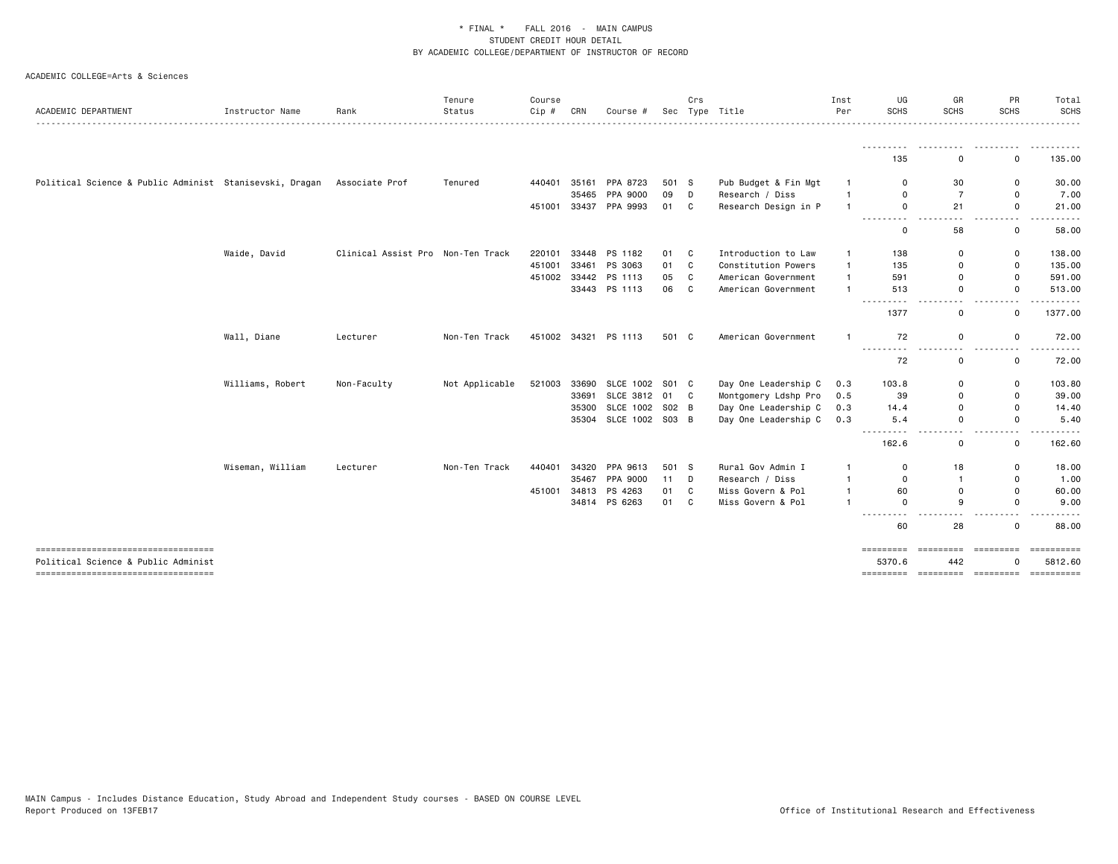| ACADEMIC DEPARTMENT                                                       | Instructor Name  | Rank                              | Tenure<br>Status | Course<br>Cip # | CRN   | Course #              | Sec   | Crs          | Type Title           | Inst<br>Per  | UG<br><b>SCHS</b>                                                                                    | GR<br><b>SCHS</b> | PR<br><b>SCHS</b> | Total<br><b>SCHS</b>  |
|---------------------------------------------------------------------------|------------------|-----------------------------------|------------------|-----------------|-------|-----------------------|-------|--------------|----------------------|--------------|------------------------------------------------------------------------------------------------------|-------------------|-------------------|-----------------------|
|                                                                           |                  |                                   |                  |                 |       |                       |       |              | .                    |              |                                                                                                      |                   |                   |                       |
|                                                                           |                  |                                   |                  |                 |       |                       |       |              |                      |              | 135                                                                                                  | ---------<br>0    | 0                 | .<br>135.00           |
| Political Science & Public Administ Stanisevski, Dragan                   |                  | Associate Prof                    | Tenured          | 440401          | 35161 | PPA 8723              | 501 S |              | Pub Budget & Fin Mgt |              | $\Omega$                                                                                             | 30                | 0                 | 30.00                 |
|                                                                           |                  |                                   |                  |                 | 35465 | PPA 9000              | 09    | D            | Research / Diss      | -1           | $\Omega$                                                                                             | $\overline{7}$    | 0                 | 7.00                  |
|                                                                           |                  |                                   |                  | 451001          |       | 33437 PPA 9993        | 01 C  |              | Research Design in P |              | $\mathsf{o}$                                                                                         | 21                | 0                 | 21.00                 |
|                                                                           |                  |                                   |                  |                 |       |                       |       |              |                      |              | ---------<br>$\mathbf 0$                                                                             | 58                | 0                 | 58.00                 |
|                                                                           | Waide, David     | Clinical Assist Pro Non-Ten Track |                  | 220101          | 33448 | PS 1182               | 01    | C            | Introduction to Law  | $\mathbf{1}$ | 138                                                                                                  | 0                 | 0                 | 138.00                |
|                                                                           |                  |                                   |                  | 451001          | 33461 | PS 3063               | 01    | C            | Constitution Powers  | $\mathbf{1}$ | 135                                                                                                  | 0                 | 0                 | 135.00                |
|                                                                           |                  |                                   |                  | 451002          |       | 33442 PS 1113         | 05    | $\mathbf{C}$ | American Government  | $\mathbf{1}$ | 591                                                                                                  | 0                 | 0                 | 591.00                |
|                                                                           |                  |                                   |                  |                 |       | 33443 PS 1113         | 06    | C            | American Government  | $\mathbf{1}$ | 513                                                                                                  | 0                 | 0                 | 513.00<br>.           |
|                                                                           |                  |                                   |                  |                 |       |                       |       |              |                      |              | 1377                                                                                                 | 0                 | 0                 | 1377.00               |
|                                                                           | Wall, Diane      | Lecturer                          | Non-Ten Track    |                 |       | 451002 34321 PS 1113  | 501 C |              | American Government  |              | 72                                                                                                   | 0                 | 0                 | 72.00                 |
|                                                                           |                  |                                   |                  |                 |       |                       |       |              |                      |              | $\frac{1}{2} \left( \frac{1}{2} \right) \left( \frac{1}{2} \right) \left( \frac{1}{2} \right)$<br>72 | 0                 | 0                 | 72.00                 |
|                                                                           | Williams, Robert | Non-Faculty                       | Not Applicable   | 521003          | 33690 | SLCE 1002 S01 C       |       |              | Day One Leadership C | 0.3          | 103.8                                                                                                | 0                 | 0                 | 103.80                |
|                                                                           |                  |                                   |                  |                 | 33691 | SLCE 3812 01 C        |       |              | Montgomery Ldshp Pro | 0.5          | 39                                                                                                   | 0                 | 0                 | 39.00                 |
|                                                                           |                  |                                   |                  |                 | 35300 | SLCE 1002 S02 B       |       |              | Day One Leadership C | 0.3          | 14.4                                                                                                 | 0                 | 0                 | 14.40                 |
|                                                                           |                  |                                   |                  |                 |       | 35304 SLCE 1002 S03 B |       |              | Day One Leadership C | 0.3          | 5.4<br>$  -$                                                                                         | 0                 | 0                 | 5.40                  |
|                                                                           |                  |                                   |                  |                 |       |                       |       |              |                      |              | 162.6                                                                                                | 0                 | 0                 | 162.60                |
|                                                                           | Wiseman, William | Lecturer                          | Non-Ten Track    | 440401          | 34320 | PPA 9613              | 501 S |              | Rural Gov Admin I    | -1           | 0                                                                                                    | 18                | 0                 | 18.00                 |
|                                                                           |                  |                                   |                  |                 | 35467 | PPA 9000              | 11    | D            | Research / Diss      |              | $\mathbf 0$                                                                                          | $\mathbf{1}$      | 0                 | 1.00                  |
|                                                                           |                  |                                   |                  | 451001          | 34813 | PS 4263               | 01    | C            | Miss Govern & Pol    |              | 60                                                                                                   | 0                 | 0                 | 60.00                 |
|                                                                           |                  |                                   |                  |                 |       | 34814 PS 6263         | 01    | C            | Miss Govern & Pol    |              | $\Omega$                                                                                             | 9                 | 0<br>.            | 9.00<br>.             |
|                                                                           |                  |                                   |                  |                 |       |                       |       |              |                      |              | ---------<br>60                                                                                      | 28                | 0                 | 88.00                 |
| ----------------------------------<br>Political Science & Public Administ |                  |                                   |                  |                 |       |                       |       |              |                      |              | =========<br>5370.6                                                                                  | 442               | <b>ESSESSES</b>   | ==========<br>5812.60 |
| ======================================                                    |                  |                                   |                  |                 |       |                       |       |              |                      |              |                                                                                                      |                   |                   |                       |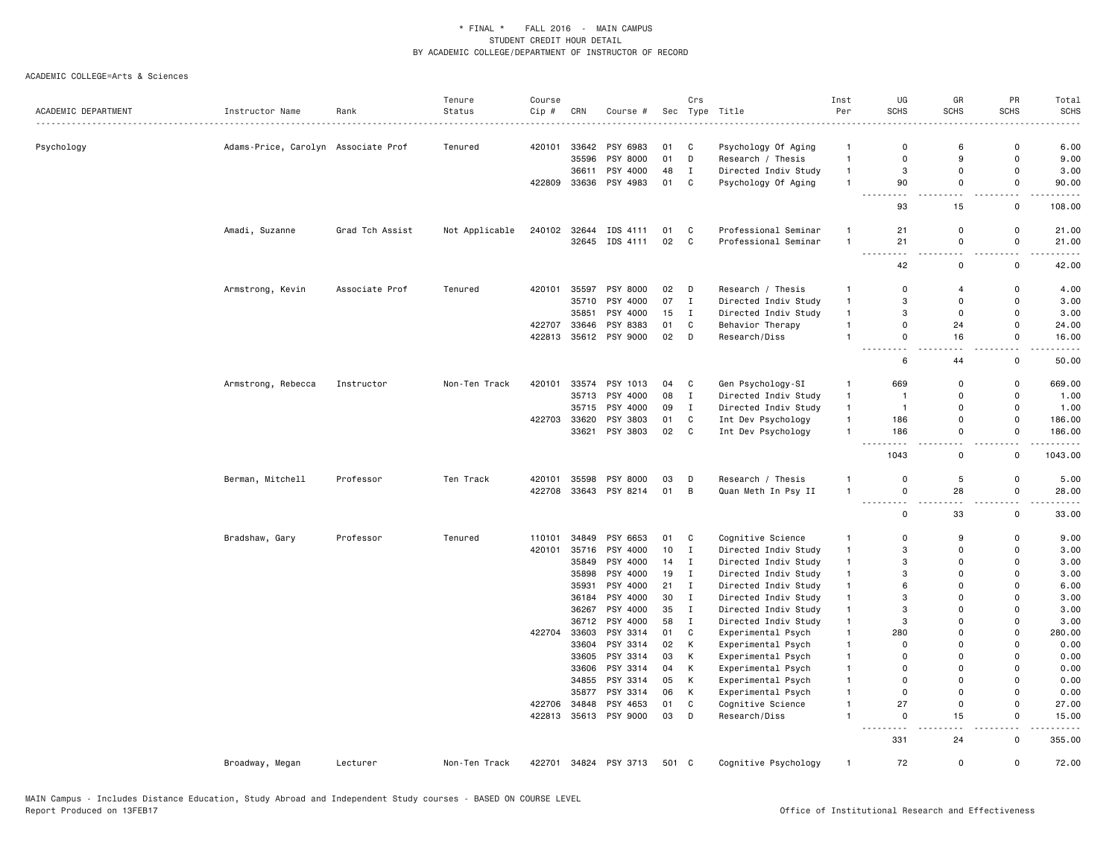|                     |                                     |                 | Tenure         | Course |              |                       |       | Crs          |                      | Inst         | UG                         | GR                             | PR                                      | Total        |
|---------------------|-------------------------------------|-----------------|----------------|--------|--------------|-----------------------|-------|--------------|----------------------|--------------|----------------------------|--------------------------------|-----------------------------------------|--------------|
| ACADEMIC DEPARTMENT | Instructor Name                     | Rank            | Status         | Cip #  | CRN          | Course #              |       |              | Sec Type Title       | Per          | <b>SCHS</b>                | <b>SCHS</b>                    | <b>SCHS</b>                             | <b>SCHS</b>  |
| Psychology          | Adams-Price, Carolyn Associate Prof |                 | Tenured        | 420101 | 33642        | PSY 6983              | 01    | C            | Psychology Of Aging  | $\mathbf{1}$ | 0                          | 6                              | $\mathbf 0$                             | 6.00         |
|                     |                                     |                 |                |        | 35596        | PSY 8000              | 01    | D            | Research / Thesis    | $\mathbf{1}$ | $\Omega$                   | 9                              | $\mathbf 0$                             | 9.00         |
|                     |                                     |                 |                |        | 36611        | PSY 4000              | 48    | $\mathbf I$  | Directed Indiv Study | $\mathbf{1}$ | 3                          | $\mathbf 0$                    | $\mathbf 0$                             | 3.00         |
|                     |                                     |                 |                | 422809 |              | 33636 PSY 4983        | 01    | $\mathbb{C}$ | Psychology Of Aging  | $\mathbf{1}$ | 90                         | 0                              | $\mathsf 0$                             | 90.00        |
|                     |                                     |                 |                |        |              |                       |       |              |                      |              | $\sim$ $\sim$<br>93        | $\overline{\phantom{a}}$<br>15 | 22<br>$\mathsf 0$                       | 108.00       |
|                     | Amadi, Suzanne                      | Grad Tch Assist | Not Applicable | 240102 |              | 32644 IDS 4111        | 01    | C            | Professional Seminar | $\mathbf{1}$ | 21                         | $\mathbf 0$                    | $\mathsf 0$                             | 21.00        |
|                     |                                     |                 |                |        |              | 32645 IDS 4111        | 02    | C            | Professional Seminar | $\mathbf{1}$ | 21                         | $\mathbf 0$                    | $\mathsf 0$                             | 21.00        |
|                     |                                     |                 |                |        |              |                       |       |              |                      |              | $\sim$ $\sim$ $\sim$<br>42 | $\overline{\phantom{a}}$<br>0  | $\overline{\phantom{a}}$<br>$\mathbf 0$ | 42.00        |
|                     | Armstrong, Kevin                    | Associate Prof  | Tenured        | 420101 | 35597        | PSY 8000              | 02    | D            | Research / Thesis    | $\mathbf{1}$ | 0                          | $\overline{4}$                 | 0                                       | 4.00         |
|                     |                                     |                 |                |        | 35710        | PSY 4000              | 07    | $\mathbf{I}$ | Directed Indiv Study | $\mathbf{1}$ | 3                          | $\mathbf 0$                    | $\mathbf 0$                             | 3.00         |
|                     |                                     |                 |                |        | 35851        | PSY 4000              | 15    | $\mathbf{I}$ | Directed Indiv Study | $\mathbf{1}$ | 3                          | $\mathbf 0$                    | $\mathbf 0$                             | 3.00         |
|                     |                                     |                 |                | 422707 | 33646        | PSY 8383              | 01    | $\mathbb{C}$ | Behavior Therapy     | $\mathbf{1}$ | $\Omega$                   | 24                             | $\mathbf 0$                             | 24.00        |
|                     |                                     |                 |                | 422813 |              | 35612 PSY 9000        | 02    | D            | Research/Diss        | $\mathbf{1}$ | 0                          | 16                             | 0                                       | 16.00        |
|                     |                                     |                 |                |        |              |                       |       |              |                      |              | $\sim$ $\sim$<br>6         | 44                             | L.<br>$\mathbf 0$                       | 50.00        |
|                     | Armstrong, Rebecca                  | Instructor      | Non-Ten Track  | 420101 |              | 33574 PSY 1013        | 04    | C            | Gen Psychology-SI    | $\mathbf{1}$ | 669                        | $\mathsf 0$                    | $\mathsf 0$                             | 669.00       |
|                     |                                     |                 |                |        | 35713        | PSY 4000              | 08    | $\mathbf{I}$ | Directed Indiv Study | $\mathbf{1}$ | $\overline{1}$             | $\mathbf 0$                    | $\mathbf 0$                             | 1.00         |
|                     |                                     |                 |                |        |              | 35715 PSY 4000        | 09    | $\mathbf{I}$ | Directed Indiv Study | $\mathbf{1}$ | $\overline{1}$             | 0                              | $\mathbf 0$                             | 1.00         |
|                     |                                     |                 |                | 422703 | 33620        | PSY 3803              | 01    | C            | Int Dev Psychology   | $\mathbf{1}$ | 186                        | $\Omega$                       | $\mathbf 0$                             | 186.00       |
|                     |                                     |                 |                |        |              | 33621 PSY 3803        | 02    | C            | Int Dev Psychology   | $\mathbf{1}$ | 186                        | $\mathsf 0$                    | $\mathsf 0$                             | 186.00       |
|                     |                                     |                 |                |        |              |                       |       |              |                      |              | 1043                       | . .<br>0                       | $\sim$ $\sim$<br>$\mathsf 0$            | .<br>1043.00 |
|                     | Berman, Mitchell                    | Professor       | Ten Track      | 420101 | 35598        | PSY 8000              | 03    | D            | Research / Thesis    | 1            | $\Omega$                   | 5                              | 0                                       | 5.00         |
|                     |                                     |                 |                | 422708 |              | 33643 PSY 8214        | 01    | B            | Quan Meth In Psy II  | $\mathbf{1}$ | 0                          | 28                             | $\mathsf 0$                             | 28.00        |
|                     |                                     |                 |                |        |              |                       |       |              |                      |              | .<br>-----<br>$\Omega$     | $\overline{\phantom{a}}$<br>33 | $\overline{\phantom{a}}$<br>$\mathbf 0$ | 33.00        |
|                     | Bradshaw, Gary                      | Professor       | Tenured        | 110101 | 34849        | PSY 6653              | 01    | C            | Cognitive Science    | $\mathbf{1}$ | $\Omega$                   | 9                              | $\Omega$                                | 9.00         |
|                     |                                     |                 |                | 420101 | 35716        | PSY 4000              | 10    | $\mathbf I$  | Directed Indiv Study | $\mathbf{1}$ | 3                          | $\mathbf 0$                    | $\mathbf 0$                             | 3.00         |
|                     |                                     |                 |                |        | 35849        | PSY 4000              | 14    | $\mathbf I$  | Directed Indiv Study | $\mathbf{1}$ | 3                          | $\Omega$                       | $\Omega$                                | 3.00         |
|                     |                                     |                 |                |        | 35898        | PSY 4000              | 19    | $\mathbf{I}$ | Directed Indiv Study | $\mathbf{1}$ | 3                          | 0                              | $\mathbf 0$                             | 3.00         |
|                     |                                     |                 |                |        | 35931        | PSY 4000              | 21    | $\mathbf{I}$ | Directed Indiv Study | $\mathbf{1}$ | 6                          | $\Omega$                       | $\Omega$                                | 6.00         |
|                     |                                     |                 |                |        |              | 36184 PSY 4000        | 30    | $\mathbf{I}$ | Directed Indiv Study | $\mathbf{1}$ | 3                          | $\Omega$                       | $\Omega$                                | 3.00         |
|                     |                                     |                 |                |        | 36267        | PSY 4000              | 35    | $\mathbf{I}$ | Directed Indiv Study | $\mathbf{1}$ | 3                          | $\Omega$                       | $\Omega$                                | 3.00         |
|                     |                                     |                 |                |        | 36712        | PSY 4000              | 58    | $\mathbf{I}$ | Directed Indiv Study | $\mathbf{1}$ | 3                          | 0                              | $\mathbf 0$                             | 3.00         |
|                     |                                     |                 |                |        | 422704 33603 | PSY 3314              | 01    | C            | Experimental Psych   | $\mathbf{1}$ | 280                        | $\Omega$                       | $\mathbf 0$                             | 280.00       |
|                     |                                     |                 |                |        | 33604        | PSY 3314              | 02    | κ            | Experimental Psych   | $\mathbf{1}$ | 0                          | $\mathbf 0$                    | $\mathbf 0$                             | 0.00         |
|                     |                                     |                 |                |        |              | 33605 PSY 3314        | 03    | Κ            | Experimental Psych   | $\mathbf{1}$ | $\Omega$                   | $\Omega$                       | $\Omega$                                | 0.00         |
|                     |                                     |                 |                |        |              | 33606 PSY 3314        | 04    | κ            | Experimental Psych   | $\mathbf{1}$ | 0                          | 0                              | $\mathbf 0$                             | 0.00         |
|                     |                                     |                 |                |        |              | 34855 PSY 3314        | 05    | κ            | Experimental Psych   | $\mathbf{1}$ | $\Omega$                   | $\Omega$                       | $\Omega$                                | 0.00         |
|                     |                                     |                 |                |        | 35877        | PSY 3314              | 06    | κ            | Experimental Psych   | $\mathbf{1}$ | 0                          | $\Omega$                       | $\Omega$                                | 0.00         |
|                     |                                     |                 |                | 422706 | 34848        | PSY 4653              | 01    | $\mathtt{C}$ | Cognitive Science    | $\mathbf{1}$ | 27                         | $\mathsf 0$                    | $\mathsf 0$                             | 27.00        |
|                     |                                     |                 |                |        |              | 422813 35613 PSY 9000 | 03    | D            | Research/Diss        | $\mathbf{1}$ | 0                          | 15                             | $\mathsf 0$                             | 15.00        |
|                     |                                     |                 |                |        |              |                       |       |              |                      |              | - - -<br>331               | $\overline{\phantom{a}}$<br>24 | $\omega_{\rm{eff}}$<br>0                | 355.00       |
|                     | Broadway, Megan                     | Lecturer        | Non-Ten Track  | 422701 |              | 34824 PSY 3713        | 501 C |              | Cognitive Psychology | $\mathbf{1}$ | 72                         | 0                              | $\mathsf 0$                             | 72.00        |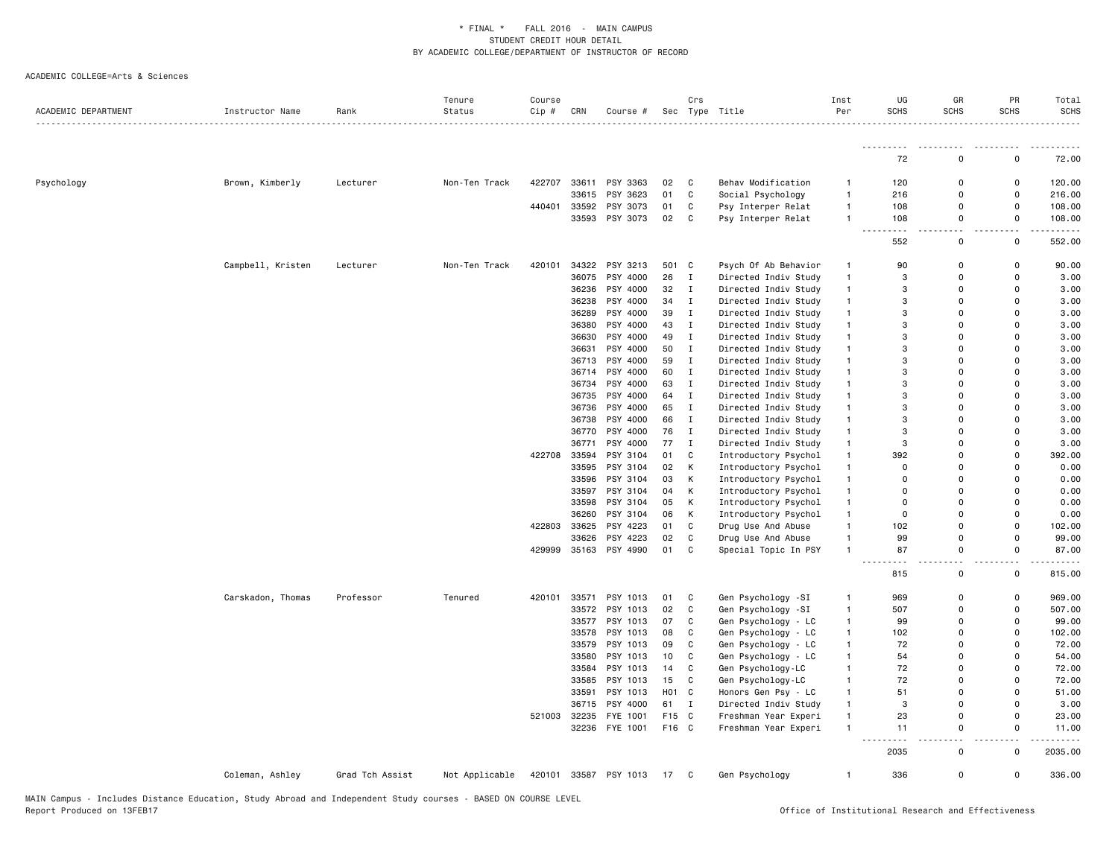|                     |                   |                 | Tenure         | Course |       |                |                  | Crs          |                      | Inst         | UG                  | GR                    | PR                     | Total              |
|---------------------|-------------------|-----------------|----------------|--------|-------|----------------|------------------|--------------|----------------------|--------------|---------------------|-----------------------|------------------------|--------------------|
| ACADEMIC DEPARTMENT | Instructor Name   | Rank            | Status         | Cip #  | CRN   | Course #       |                  |              | Sec Type Title       | Per          | <b>SCHS</b>         | <b>SCHS</b>           | <b>SCHS</b>            | SCHS               |
|                     |                   |                 |                |        |       |                |                  |              |                      |              |                     |                       |                        |                    |
|                     |                   |                 |                |        |       |                |                  |              |                      |              | 72                  | $\Omega$              | $\Omega$               | 72.00              |
| Psychology          | Brown, Kimberly   | Lecturer        | Non-Ten Track  | 422707 |       | 33611 PSY 3363 | 02               | C            | Behav Modification   | $\mathbf{1}$ | 120                 | $\Omega$              | $\mathbf 0$            | 120.00             |
|                     |                   |                 |                |        | 33615 | PSY 3623       | 01               | $\mathtt{C}$ | Social Psychology    | $\mathbf{1}$ | 216                 | $\Omega$              | $\Omega$               | 216.00             |
|                     |                   |                 |                | 440401 | 33592 | PSY 3073       | 01               | $\mathtt{C}$ | Psy Interper Relat   | $\mathbf{1}$ | 108                 | $\mathbf 0$           | $\Omega$               | 108.00             |
|                     |                   |                 |                |        |       | 33593 PSY 3073 | 02               | C            | Psy Interper Relat   | $\mathbf{1}$ | 108                 | $\mathbf 0$<br>$\sim$ | $\mathsf{o}$<br>$\sim$ | 108.00<br><u>.</u> |
|                     |                   |                 |                |        |       |                |                  |              |                      |              | $ -$<br>.<br>552    | $\mathsf 0$           | $\mathsf 0$            | 552.00             |
|                     | Campbell, Kristen | Lecturer        | Non-Ten Track  | 420101 | 34322 | PSY 3213       | 501 C            |              | Psych Of Ab Behavior | $\mathbf{1}$ | 90                  | 0                     | $\mathsf 0$            | 90.00              |
|                     |                   |                 |                |        | 36075 | PSY 4000       | 26               | Ι.           | Directed Indiv Study | $\mathbf{1}$ | 3                   | $\Omega$              | 0                      | 3.00               |
|                     |                   |                 |                |        | 36236 | PSY 4000       | 32               | $\mathbf I$  | Directed Indiv Study | $\mathbf{1}$ | 3                   | $\Omega$              | $\Omega$               | 3.00               |
|                     |                   |                 |                |        | 36238 | PSY 4000       | 34               | Ι.           | Directed Indiv Study | $\mathbf{1}$ | 3                   | $\Omega$              | $\Omega$               | 3.00               |
|                     |                   |                 |                |        | 36289 | PSY 4000       | 39               | $\mathbf I$  | Directed Indiv Study | $\mathbf{1}$ | 3                   | $\Omega$              | $\Omega$               | 3.00               |
|                     |                   |                 |                |        | 36380 | PSY 4000       | 43               | $\mathbf I$  | Directed Indiv Study | $\mathbf{1}$ | 3                   | $\Omega$              | $\Omega$               | 3.00               |
|                     |                   |                 |                |        | 36630 | PSY 4000       | 49               | $\mathbf I$  | Directed Indiv Study | $\mathbf{1}$ | 3                   | $\Omega$              | $\Omega$               | 3.00               |
|                     |                   |                 |                |        | 36631 | PSY 4000       | 50               | $\mathbf I$  | Directed Indiv Study | $\mathbf{1}$ | 3                   | $\Omega$              | $\Omega$               | 3.00               |
|                     |                   |                 |                |        | 36713 | PSY 4000       | 59               | $\mathbf I$  | Directed Indiv Study | $\mathbf{1}$ | 3                   | $\Omega$              | $\Omega$               | 3.00               |
|                     |                   |                 |                |        | 36714 | PSY 4000       | 60               | $\mathbf I$  | Directed Indiv Study | $\mathbf{1}$ | 3                   | $\Omega$              | $\Omega$               | 3.00               |
|                     |                   |                 |                |        | 36734 | PSY 4000       | 63               | $\mathbf I$  | Directed Indiv Study | $\mathbf{1}$ | 3                   | $\Omega$              | $\Omega$               | 3.00               |
|                     |                   |                 |                |        | 36735 | PSY 4000       | 64               | $\;$ I       | Directed Indiv Study | $\mathbf{1}$ | 3                   | $\Omega$              | $\Omega$               | 3.00               |
|                     |                   |                 |                |        | 36736 | PSY 4000       | 65               | Ι.           | Directed Indiv Study | $\mathbf{1}$ | 3                   | $\Omega$              | $\Omega$               | 3.00               |
|                     |                   |                 |                |        | 36738 | PSY 4000       | 66               | $\;$ I       | Directed Indiv Study | $\mathbf{1}$ | 3                   | $\Omega$              | $\Omega$               | 3.00               |
|                     |                   |                 |                |        | 36770 | PSY 4000       | 76               | $\mathbf I$  | Directed Indiv Study | $\mathbf{1}$ | 3                   | $\mathbf 0$           | $\Omega$               | 3.00               |
|                     |                   |                 |                |        | 36771 | PSY 4000       | 77               | $\mathbf I$  | Directed Indiv Study | $\mathbf{1}$ | 3                   | $\Omega$              | $\Omega$               | 3.00               |
|                     |                   |                 |                | 422708 | 33594 | PSY 3104       | 01               | C            | Introductory Psychol | $\mathbf{1}$ | 392                 | $\Omega$              | $\Omega$               | 392.00             |
|                     |                   |                 |                |        | 33595 | PSY 3104       | 02               | К            | Introductory Psychol | $\mathbf{1}$ | $\Omega$            | $\Omega$              | $\Omega$               | 0.00               |
|                     |                   |                 |                |        | 33596 | PSY 3104       | 03               | К            | Introductory Psychol | $\mathbf{1}$ | $\Omega$            | $\Omega$              | $\Omega$               | 0.00               |
|                     |                   |                 |                |        | 33597 | PSY 3104       | 04               | К            | Introductory Psychol | $\mathbf{1}$ | $\Omega$            | $\Omega$              | $\Omega$               | 0.00               |
|                     |                   |                 |                |        | 33598 | PSY 3104       | 05               | к            | Introductory Psychol | $\mathbf{1}$ | $\Omega$            | $\Omega$              | $\Omega$               | 0.00               |
|                     |                   |                 |                |        | 36260 | PSY 3104       | 06               | К            | Introductory Psychol | $\mathbf{1}$ | 0                   | $\Omega$              | $\Omega$               | 0.00               |
|                     |                   |                 |                | 422803 | 33625 | PSY 4223       | 01               | $\mathtt{C}$ | Drug Use And Abuse   | $\mathbf{1}$ | 102                 | $\Omega$              | $\Omega$               | 102.00             |
|                     |                   |                 |                |        | 33626 | PSY 4223       | 02               | $\mathtt{C}$ | Drug Use And Abuse   | $\mathbf{1}$ | 99                  | 0                     | 0                      | 99.00              |
|                     |                   |                 |                | 429999 |       | 35163 PSY 4990 | 01               | $\mathbf{C}$ | Special Topic In PSY | $\mathbf{1}$ | 87                  | 0                     | $\mathsf 0$            | 87.00              |
|                     |                   |                 |                |        |       |                |                  |              |                      |              |                     |                       |                        |                    |
|                     |                   |                 |                |        |       |                |                  |              |                      |              | 815                 | 0                     | 0                      | 815.00             |
|                     | Carskadon, Thomas | Professor       | Tenured        | 420101 | 33571 | PSY 1013       | 01               | C            | Gen Psychology -SI   | $\mathbf{1}$ | 969                 | $\Omega$              | 0                      | 969.00             |
|                     |                   |                 |                |        | 33572 | PSY 1013       | 02               | C            | Gen Psychology -SI   | $\mathbf{1}$ | 507                 | $\Omega$              | $\Omega$               | 507.00             |
|                     |                   |                 |                |        | 33577 | PSY 1013       | 07               | C            | Gen Psychology - LC  | $\mathbf{1}$ | 99                  | $\Omega$              | $\Omega$               | 99.00              |
|                     |                   |                 |                |        | 33578 | PSY 1013       | 08               | C            | Gen Psychology - LC  | $\mathbf{1}$ | 102                 | $\Omega$              | $\Omega$               | 102.00             |
|                     |                   |                 |                |        | 33579 | PSY 1013       | 09               | $\mathtt{C}$ | Gen Psychology - LC  | $\mathbf{1}$ | 72                  | $\Omega$              | $\Omega$               | 72.00              |
|                     |                   |                 |                |        | 33580 | PSY 1013       | 10               | C            | Gen Psychology - LC  | $\mathbf{1}$ | 54                  | $\Omega$              | $\Omega$               | 54.00              |
|                     |                   |                 |                |        | 33584 | PSY 1013       | 14               | $\mathtt{C}$ | Gen Psychology-LC    | $\mathbf{1}$ | 72                  | $\Omega$              | $\Omega$               | 72.00              |
|                     |                   |                 |                |        | 33585 | PSY 1013       | 15               | $\mathtt{C}$ | Gen Psychology-LC    | $\mathbf{1}$ | 72                  | $\mathbf 0$           | $\Omega$               | 72.00              |
|                     |                   |                 |                |        | 33591 | PSY 1013       | H <sub>0</sub> 1 | C            | Honors Gen Psy - LC  | $\mathbf{1}$ | 51                  | $\mathbf 0$           | $\mathbf 0$            | 51.00              |
|                     |                   |                 |                |        | 36715 | PSY 4000       | 61               | $\mathbf I$  | Directed Indiv Study | $\mathbf{1}$ | 3                   | $\Omega$              | $\Omega$               | 3.00               |
|                     |                   |                 |                | 521003 | 32235 | FYE 1001       | F15              | C            | Freshman Year Experi | $\mathbf{1}$ | 23                  | 0                     | 0                      | 23.00              |
|                     |                   |                 |                |        |       | 32236 FYE 1001 | F16 C            |              | Freshman Year Experi | $\mathbf{1}$ | 11<br>$\sim$ $\sim$ | $\mathbf 0$           | 0                      | 11.00              |
|                     |                   |                 |                |        |       |                |                  |              |                      |              | 2035                | 0                     | 0                      | 2035.00            |
|                     | Coleman, Ashley   | Grad Tch Assist | Not Applicable | 420101 |       | 33587 PSY 1013 | 17               | C            | Gen Psychology       | $\mathbf{1}$ | 336                 | $\Omega$              | $\Omega$               | 336.00             |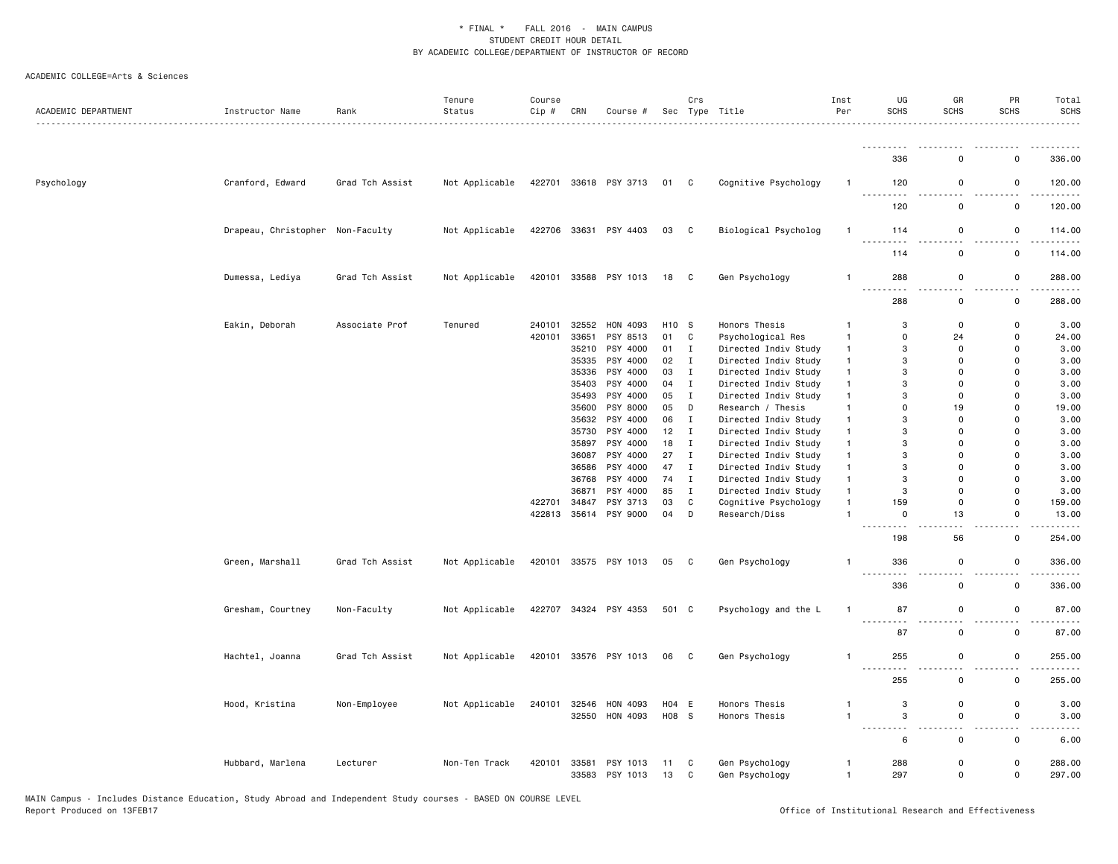| ACADEMIC DEPARTMENT | Instructor Name                  | Rank            | Tenure<br>Status | Course<br>Cip # | CRN   | Course #                   |          | Crs          | Sec Type Title                   | Inst<br>Per                    | UG<br><b>SCHS</b>    | GR<br><b>SCHS</b>                  | PR<br><b>SCHS</b>                       | Total<br><b>SCHS</b>               |
|---------------------|----------------------------------|-----------------|------------------|-----------------|-------|----------------------------|----------|--------------|----------------------------------|--------------------------------|----------------------|------------------------------------|-----------------------------------------|------------------------------------|
|                     |                                  |                 |                  |                 |       |                            |          |              |                                  |                                | <u>.</u>             |                                    |                                         | ------                             |
|                     |                                  |                 |                  |                 |       |                            |          |              |                                  |                                | 336                  | $\Omega$                           | $\Omega$                                | 336.00                             |
| Psychology          | Cranford, Edward                 | Grad Tch Assist | Not Applicable   |                 |       | 422701 33618 PSY 3713      | 01 C     |              | Cognitive Psychology             | $\mathbf{1}$                   | 120                  | $\mathbf 0$                        | $\mathsf 0$<br>$\overline{\phantom{0}}$ | 120.00                             |
|                     |                                  |                 |                  |                 |       |                            |          |              |                                  |                                | 120                  | $\mathbf 0$                        | $\mathsf 0$                             | 120.00                             |
|                     | Drapeau, Christopher Non-Faculty |                 | Not Applicable   |                 |       | 422706 33631 PSY 4403      | 03 C     |              | Biological Psycholog             | $\overline{1}$                 | 114                  | $\mathbf 0$                        | 0                                       | 114.00                             |
|                     |                                  |                 |                  |                 |       |                            |          |              |                                  |                                | 114                  | $\mathbf 0$                        | $\mathsf 0$                             | 114.00                             |
|                     | Dumessa, Lediya                  | Grad Tch Assist | Not Applicable   | 420101          |       | 33588 PSY 1013             | 18       | C            | Gen Psychology                   | $\mathbf{1}$                   | 288<br>.             | $\mathsf 0$                        | $\mathsf 0$                             | 288.00                             |
|                     |                                  |                 |                  |                 |       |                            |          |              |                                  |                                | 288                  | $\mathbf 0$                        | $\mathsf 0$                             | 288.00                             |
|                     | Eakin, Deborah                   | Associate Prof  | Tenured          | 240101          | 32552 | HON 4093                   | H10 S    |              | Honors Thesis                    | $\mathbf{1}$                   | 3                    | $\mathbf 0$                        | $\mathsf{o}$                            | 3.00                               |
|                     |                                  |                 |                  | 420101          | 33651 | PSY 8513                   | 01 C     |              | Psychological Res                | $\overline{1}$                 | $\Omega$             | 24                                 | $\mathbf 0$                             | 24.00                              |
|                     |                                  |                 |                  |                 | 35210 | PSY 4000                   | 01       | $\mathbf{I}$ | Directed Indiv Study             | $\mathbf{1}$                   | 3                    | $\mathbf 0$                        | $\mathsf 0$                             | 3.00                               |
|                     |                                  |                 |                  |                 | 35335 | PSY 4000                   | 02       | $\mathbf{I}$ | Directed Indiv Study             | $\mathbf{1}$                   | 3                    | $\Omega$                           | $\mathbf 0$                             | 3.00                               |
|                     |                                  |                 |                  |                 |       | PSY 4000                   | 03       | Ι.           | Directed Indiv Study             | $\mathbf{1}$                   | 3                    | $\mathbf 0$                        | 0                                       | 3.00                               |
|                     |                                  |                 |                  |                 | 35336 |                            |          |              |                                  |                                |                      |                                    |                                         |                                    |
|                     |                                  |                 |                  |                 | 35403 | PSY 4000                   | 04       | $\mathbf{I}$ | Directed Indiv Study             | $\overline{1}$                 | 3                    | $\mathbf 0$                        | $\mathbf 0$                             | 3.00                               |
|                     |                                  |                 |                  |                 | 35493 | PSY 4000                   | 05       | $\mathbf{I}$ | Directed Indiv Study             | $\mathbf{1}$                   | 3                    | $\Omega$                           | $\Omega$                                | 3.00                               |
|                     |                                  |                 |                  |                 | 35600 | PSY 8000                   | 05       | D            | Research / Thesis                | $\mathbf{1}$                   | $\Omega$             | 19                                 | $\Omega$                                | 19.00                              |
|                     |                                  |                 |                  |                 |       | 35632 PSY 4000             | 06       | $\mathbf{I}$ | Directed Indiv Study             | $\mathbf{1}$                   | 3                    | $\Omega$                           | $\Omega$                                | 3.00                               |
|                     |                                  |                 |                  |                 | 35730 | PSY 4000                   | 12       | $\mathbf{I}$ | Directed Indiv Study             | $\mathbf{1}$                   | 3                    | $\Omega$                           | $\mathbf 0$                             | 3.00                               |
|                     |                                  |                 |                  |                 | 35897 | PSY 4000                   | 18       | $\mathbf I$  | Directed Indiv Study             | $\mathbf{1}$                   | 3                    | $\Omega$                           | $\mathbf 0$                             | 3.00                               |
|                     |                                  |                 |                  |                 | 36087 | PSY 4000                   | 27       | $\mathbf{I}$ | Directed Indiv Study             | $\mathbf{1}$                   | 3                    | $\mathbf 0$                        | 0                                       | 3.00                               |
|                     |                                  |                 |                  |                 | 36586 | PSY 4000                   | 47       | $\mathbf{I}$ | Directed Indiv Study             | $\overline{1}$                 | 3                    | $\mathbf 0$                        | $\mathbf 0$                             | 3.00                               |
|                     |                                  |                 |                  |                 | 36768 | PSY 4000                   | 74       | $\mathbf{I}$ | Directed Indiv Study             | $\mathbf{1}$                   | 3                    | $\Omega$                           | 0                                       | 3.00                               |
|                     |                                  |                 |                  |                 | 36871 | PSY 4000                   | 85       | $\mathbf{I}$ | Directed Indiv Study             | $\mathbf{1}$                   | 3                    | $\Omega$                           | $\mathbf 0$                             | 3.00                               |
|                     |                                  |                 |                  | 422701          | 34847 | PSY 3713                   | 03       | $\mathbf c$  | Cognitive Psychology             | $\mathbf{1}$                   | 159                  | $\overline{0}$                     | $\mathbf 0$                             | 159.00                             |
|                     |                                  |                 |                  | 422813          |       | 35614 PSY 9000             | 04       | D            | Research/Diss                    | $\overline{1}$                 | $\mathbf 0$          | 13                                 | 0                                       | 13.00                              |
|                     |                                  |                 |                  |                 |       |                            |          |              |                                  |                                | $ -$<br>198          | $\sim$<br>56                       | $\overline{\phantom{a}}$<br>$\mathsf 0$ | 254.00                             |
|                     | Green, Marshall                  | Grad Tch Assist | Not Applicable   |                 |       | 420101 33575 PSY 1013      | 05 C     |              | Gen Psychology                   | $\overline{1}$                 | 336                  | $\mathbf 0$                        | $\mathbf 0$                             | 336.00                             |
|                     |                                  |                 |                  |                 |       |                            |          |              |                                  |                                | 336                  | $\mathbf 0$                        | $\mathsf 0$                             | 336.00                             |
|                     | Gresham, Courtney                | Non-Faculty     | Not Applicable   |                 |       | 422707 34324 PSY 4353      | 501 C    |              | Psychology and the L             | $\overline{1}$                 | 87                   | $\mathsf 0$                        | $\mathsf 0$                             | 87.00                              |
|                     |                                  |                 |                  |                 |       |                            |          |              |                                  |                                | ----<br>87           | $\Omega$                           | $\mathsf 0$                             | 87.00                              |
|                     | Hachtel, Joanna                  | Grad Tch Assist | Not Applicable   |                 |       | 420101 33576 PSY 1013      | 06       | $\mathbf{C}$ | Gen Psychology                   | $\overline{1}$                 | 255                  | $\mathbf 0$                        | 0                                       | 255.00                             |
|                     |                                  |                 |                  |                 |       |                            |          |              |                                  |                                | $\sim$ $\sim$<br>255 | . .<br>$\mathbf 0$                 | . .<br>$\mathsf{o}$                     | 255.00                             |
|                     |                                  |                 |                  |                 |       |                            |          |              |                                  |                                |                      |                                    |                                         |                                    |
|                     | Hood, Kristina                   | Non-Employee    | Not Applicable   | 240101          | 32546 | HON 4093                   | H04 E    |              | Honors Thesis                    | 1                              | 3                    | $\mathbf 0$                        | $\mathsf{o}$                            | 3.00                               |
|                     |                                  |                 |                  |                 | 32550 | HON 4093                   | H08 S    |              | Honors Thesis                    | $\overline{1}$                 | 3<br><u>.</u>        | $\mathsf 0$<br>$\omega_{\rm{eff}}$ | $\mathsf 0$<br>22                       | 3.00<br>$\omega$ $\omega$ $\omega$ |
|                     |                                  |                 |                  |                 |       |                            |          |              |                                  |                                | 6                    | $\Omega$                           | $\mathsf{o}$                            | 6.00                               |
|                     | Hubbard, Marlena                 | Lecturer        | Non-Ten Track    | 420101          | 33581 | PSY 1013<br>33583 PSY 1013 | 11<br>13 | C<br>C       | Gen Psychology<br>Gen Psychology | $\mathbf{1}$<br>$\overline{1}$ | 288<br>297           | $\mathbf 0$<br>$\mathbf 0$         | $\mathsf{o}$<br>0                       | 288.00<br>297.00                   |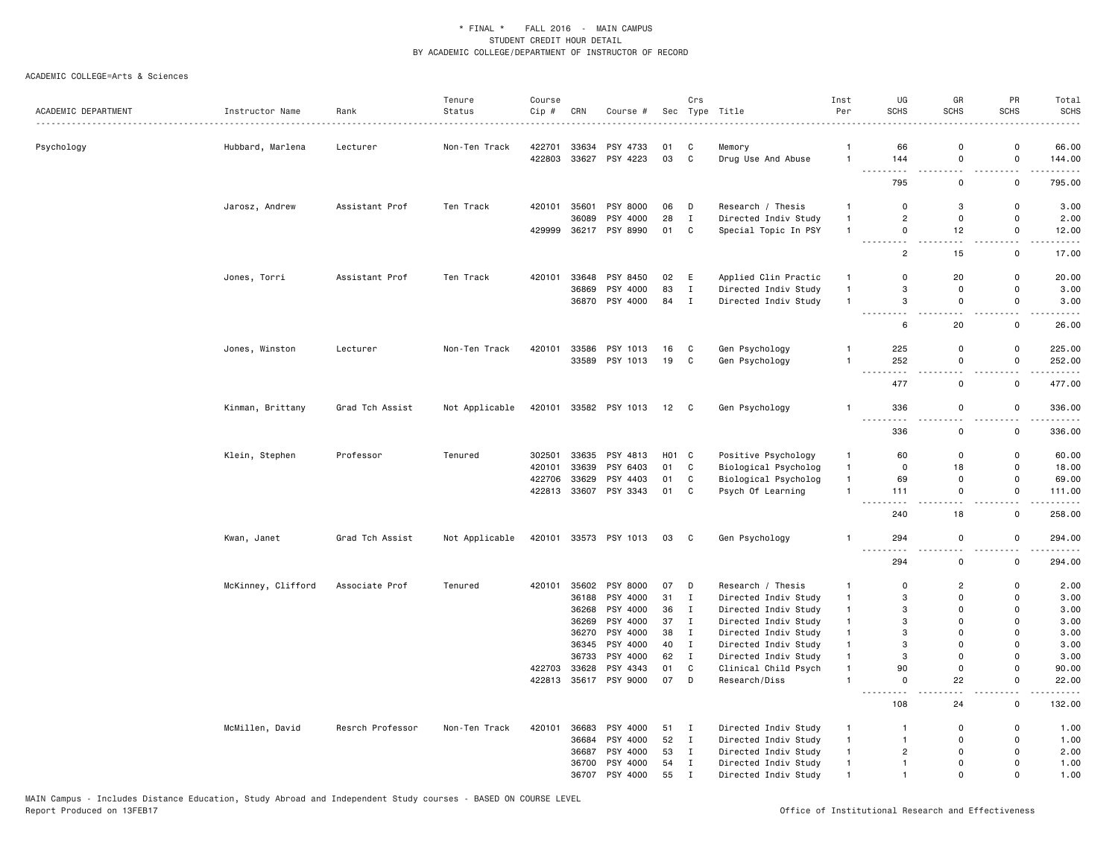|                     |                    |                  | Tenure         | Course |       |                       |                    | Crs          |                      | Inst           | UG                                                                                                                                              | GR                                      | PR                            | Total               |
|---------------------|--------------------|------------------|----------------|--------|-------|-----------------------|--------------------|--------------|----------------------|----------------|-------------------------------------------------------------------------------------------------------------------------------------------------|-----------------------------------------|-------------------------------|---------------------|
| ACADEMIC DEPARTMENT | Instructor Name    | Rank             | Status         | Cip#   | CRN   | Course #              | Sec                |              | Type Title           | Per            | <b>SCHS</b>                                                                                                                                     | SCHS                                    | <b>SCHS</b>                   | <b>SCHS</b>         |
|                     |                    |                  |                |        |       |                       |                    |              |                      |                |                                                                                                                                                 |                                         |                               |                     |
| Psychology          | Hubbard, Marlena   | Lecturer         | Non-Ten Track  | 422701 | 33634 | PSY 4733              | 01                 | C            | Memory               | $\overline{1}$ | 66                                                                                                                                              | $\Omega$                                | $\mathbf 0$                   | 66.00               |
|                     |                    |                  |                | 422803 |       | 33627 PSY 4223        | 03                 | C            | Drug Use And Abuse   | $\overline{1}$ | 144<br>$\sim$ $-$                                                                                                                               | $\mathbf 0$<br>$\overline{a}$           | $\mathsf 0$<br>$\sim$ $\sim$  | 144.00<br>.         |
|                     |                    |                  |                |        |       |                       |                    |              |                      |                | 795                                                                                                                                             | $\mathbf 0$                             | $\mathsf{o}$                  | 795.00              |
|                     | Jarosz, Andrew     | Assistant Prof   | Ten Track      | 420101 | 35601 | PSY 8000              | 06                 | D            | Research / Thesis    | $\mathbf{1}$   | $\mathbf 0$                                                                                                                                     | 3                                       | $\mathsf{o}$                  | 3.00                |
|                     |                    |                  |                |        | 36089 | PSY 4000              | 28                 | $\mathbf{I}$ | Directed Indiv Study | $\overline{1}$ | $\overline{2}$                                                                                                                                  | $\mathbf 0$                             | $\mathsf 0$                   | 2.00                |
|                     |                    |                  |                | 429999 |       | 36217 PSY 8990        | 01                 | C            | Special Topic In PSY | $\mathbf{1}$   | 0<br>$\sim$ $\sim$<br>$\frac{1}{2} \left( \frac{1}{2} \right) \left( \frac{1}{2} \right) \left( \frac{1}{2} \right) \left( \frac{1}{2} \right)$ | 12                                      | 0<br>$\overline{\phantom{0}}$ | 12.00               |
|                     |                    |                  |                |        |       |                       |                    |              |                      |                | $\overline{c}$                                                                                                                                  | 15                                      | $\mathbf 0$                   | 17.00               |
|                     | Jones, Torri       | Assistant Prof   | Ten Track      | 420101 | 33648 | PSY 8450              | 02                 | E            | Applied Clin Practic | $\mathbf{1}$   | $\mathbf 0$                                                                                                                                     | 20                                      | $\mathsf 0$                   | 20.00               |
|                     |                    |                  |                |        | 36869 | PSY 4000              | 83                 | $\mathbf{I}$ | Directed Indiv Study | $\overline{1}$ | 3                                                                                                                                               | $\mathbf 0$                             | 0                             | 3.00                |
|                     |                    |                  |                |        |       | 36870 PSY 4000        | 84                 | $\mathbf{I}$ | Directed Indiv Study | $\overline{1}$ | 3                                                                                                                                               | $\mathbf 0$                             | 0                             | 3.00                |
|                     |                    |                  |                |        |       |                       |                    |              |                      |                | . <b>.</b><br>6                                                                                                                                 | .<br>20                                 | $\sim$ $\sim$<br>$\mathsf 0$  | وبالمستريث<br>26.00 |
|                     | Jones, Winston     | Lecturer         | Non-Ten Track  | 420101 | 33586 | PSY 1013              | 16                 | C            | Gen Psychology       | 1              | 225                                                                                                                                             | $\mathbf 0$                             | $\mathsf 0$                   | 225.00              |
|                     |                    |                  |                |        | 33589 | PSY 1013              | 19                 | C            | Gen Psychology       | $\mathbf{1}$   | 252                                                                                                                                             | $\mathbf 0$                             | $\mathsf 0$                   | 252.00              |
|                     |                    |                  |                |        |       |                       |                    |              |                      |                | 477                                                                                                                                             | $\mathbf 0$                             | $\mathsf{o}$                  | .<br>477.00         |
|                     | Kinman, Brittany   | Grad Tch Assist  | Not Applicable |        |       | 420101 33582 PSY 1013 | $12\quad C$        |              | Gen Psychology       | $\mathbf{1}$   | 336                                                                                                                                             | $\mathbf 0$                             | $\mathsf 0$                   | 336.00              |
|                     |                    |                  |                |        |       |                       |                    |              |                      |                | .<br>336                                                                                                                                        | $\overline{\phantom{a}}$<br>$\mathbf 0$ | . .<br>$\mathsf 0$            | .<br>336.00         |
|                     | Klein, Stephen     | Professor        | Tenured        | 302501 | 33635 | PSY 4813              | H <sub>0</sub> 1 C |              | Positive Psychology  | $\mathbf{1}$   | 60                                                                                                                                              | $\mathbf 0$                             | 0                             | 60.00               |
|                     |                    |                  |                | 420101 | 33639 | PSY 6403              | 01                 | C            | Biological Psycholog | $\overline{1}$ | $\mathbf 0$                                                                                                                                     | 18                                      | 0                             | 18.00               |
|                     |                    |                  |                | 422706 | 33629 | PSY 4403              | 01                 | C            | Biological Psycholog | $\overline{1}$ | 69                                                                                                                                              | $\mathbf 0$                             | 0                             | 69.00               |
|                     |                    |                  |                | 422813 |       | 33607 PSY 3343        | 01 C               |              | Psych Of Learning    | $\mathbf{1}$   | 111                                                                                                                                             | $\mathbf 0$                             | $\mathsf{o}$                  | 111.00              |
|                     |                    |                  |                |        |       |                       |                    |              |                      |                | 240                                                                                                                                             | ٠.<br>18                                | - -<br>$\mathsf 0$            | .<br>258.00         |
|                     | Kwan, Janet        | Grad Tch Assist  | Not Applicable |        |       | 420101 33573 PSY 1013 | 03 C               |              | Gen Psychology       | $\mathbf{1}$   | 294                                                                                                                                             | $\mathbf 0$                             | 0                             | 294.00              |
|                     |                    |                  |                |        |       |                       |                    |              |                      |                | $\frac{1}{2} \left( \frac{1}{2} \right) \left( \frac{1}{2} \right) \left( \frac{1}{2} \right) \left( \frac{1}{2} \right)$<br>294                | . .<br>$\mathsf 0$                      | - -<br>$\mathsf 0$            | 294.00              |
|                     | McKinney, Clifford | Associate Prof   | Tenured        |        |       | 420101 35602 PSY 8000 | 07                 | D            | Research / Thesis    | $\mathbf{1}$   | $\mathbf 0$                                                                                                                                     | $\overline{2}$                          | $\mathsf 0$                   | 2.00                |
|                     |                    |                  |                |        | 36188 | PSY 4000              | 31                 | $\mathbf{I}$ | Directed Indiv Study | $\mathbf{1}$   | 3                                                                                                                                               | $\mathbf 0$                             | 0                             | 3.00                |
|                     |                    |                  |                |        | 36268 | PSY 4000              | 36                 | $\mathbf I$  | Directed Indiv Study | $\mathbf{1}$   | 3                                                                                                                                               | $\mathbf 0$                             | $\mathbf 0$                   | 3.00                |
|                     |                    |                  |                |        | 36269 | PSY 4000              | 37                 | $\mathbf{I}$ | Directed Indiv Study | $\mathbf{1}$   | 3                                                                                                                                               | $\Omega$                                | $\Omega$                      | 3.00                |
|                     |                    |                  |                |        | 36270 | PSY 4000              | 38                 | $\mathbf{I}$ | Directed Indiv Study | $\overline{1}$ | 3                                                                                                                                               | $\Omega$                                | $\Omega$                      | 3.00                |
|                     |                    |                  |                |        | 36345 | PSY 4000              | 40                 | $\mathbf{I}$ | Directed Indiv Study | $\mathbf{1}$   | 3                                                                                                                                               | $\Omega$                                | $\mathbf 0$                   | 3.00                |
|                     |                    |                  |                |        | 36733 | PSY 4000              | 62                 | $\mathbf{I}$ | Directed Indiv Study | $\mathbf{1}$   | 3                                                                                                                                               | $\mathbf 0$                             | 0                             | 3.00                |
|                     |                    |                  |                | 422703 | 33628 | PSY 4343              | 01                 | $\mathtt{C}$ | Clinical Child Psych | $\mathbf{1}$   | 90                                                                                                                                              | $\mathbf 0$                             | $\mathsf 0$                   | 90.00               |
|                     |                    |                  |                | 422813 |       | 35617 PSY 9000        | 07                 | D            | Research/Diss        | $\mathbf{1}$   | $\mathsf{O}$<br>. .                                                                                                                             | 22<br>. L                               | $\mathsf 0$<br>22             | 22.00               |
|                     |                    |                  |                |        |       |                       |                    |              |                      |                | 108                                                                                                                                             | 24                                      | 0                             | 132.00              |
|                     | McMillen, David    | Resrch Professor | Non-Ten Track  | 420101 | 36683 | PSY 4000              | 51 I               |              | Directed Indiv Study | $\mathbf{1}$   | $\mathbf{1}$                                                                                                                                    | $\mathbf 0$                             | 0                             | 1.00                |
|                     |                    |                  |                |        | 36684 | PSY 4000              | 52                 | $\mathbf{I}$ | Directed Indiv Study | $\mathbf{1}$   | $\overline{1}$                                                                                                                                  | $\mathbf 0$                             | $\mathsf{o}$                  | 1.00                |
|                     |                    |                  |                |        | 36687 | PSY 4000              | 53                 | $\mathbf{I}$ | Directed Indiv Study | $\mathbf{1}$   | $\overline{2}$                                                                                                                                  | $\Omega$                                | $\mathbf 0$                   | 2.00                |
|                     |                    |                  |                |        | 36700 | PSY 4000              | 54                 | $\mathbf{I}$ | Directed Indiv Study | $\mathbf{1}$   | $\mathbf{1}$                                                                                                                                    | $\Omega$                                | $\mathbf 0$                   | 1.00                |
|                     |                    |                  |                |        |       | 36707 PSY 4000        | 55                 | $\mathbf I$  | Directed Indiv Study | $\overline{1}$ | $\mathbf{1}$                                                                                                                                    | $\Omega$                                | $\mathbf 0$                   | 1.00                |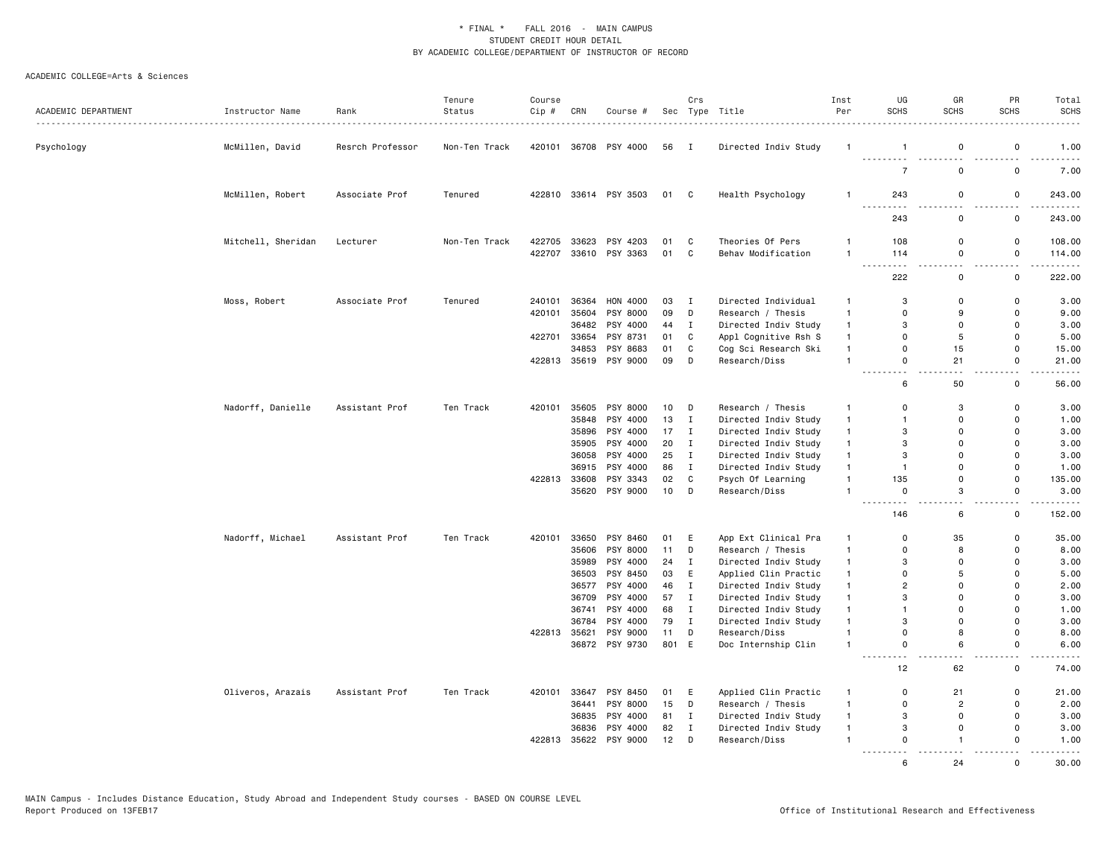| ACADEMIC DEPARTMENT | Instructor Name    | Rank             | Tenure<br>Status | Course<br>Cip # | CRN            | Course #              |          | Crs               | Sec Type Title                        | Inst<br>Per                  | UG<br><b>SCHS</b>                                   | GR<br><b>SCHS</b>             | PR<br><b>SCHS</b>    | Total<br><b>SCHS</b> |
|---------------------|--------------------|------------------|------------------|-----------------|----------------|-----------------------|----------|-------------------|---------------------------------------|------------------------------|-----------------------------------------------------|-------------------------------|----------------------|----------------------|
| Psychology          | McMillen, David    | Resrch Professor | Non-Ten Track    |                 |                | 420101 36708 PSY 4000 | 56       | $\mathbf I$       | Directed Indiv Study                  | -1                           | $\mathbf{1}$                                        | 0                             | 0                    | 1.00                 |
|                     |                    |                  |                  |                 |                |                       |          |                   |                                       |                              | <u>.</u><br>$\overline{7}$                          | 0                             | 0                    | 7.00                 |
|                     | McMillen, Robert   | Associate Prof   | Tenured          |                 |                | 422810 33614 PSY 3503 | 01 C     |                   | Health Psychology                     | $\overline{1}$               | 243                                                 | 0                             | 0                    | 243.00               |
|                     |                    |                  |                  |                 |                |                       |          |                   |                                       |                              | 243                                                 | 0                             | 0                    | $\cdots$<br>243.00   |
|                     | Mitchell, Sheridan | Lecturer         | Non-Ten Track    | 422705          |                | 33623 PSY 4203        | 01       | C                 | Theories Of Pers                      | $\mathbf{1}$                 | 108                                                 | 0                             | $\mathsf 0$          | 108.00               |
|                     |                    |                  |                  | 422707          |                | 33610 PSY 3363        | 01       | C                 | Behav Modification                    | $\mathbf{1}$                 | 114<br>$\sim$ $\sim$ $\sim$<br>$\sim$ $\sim$ $\sim$ | 0<br>$\overline{\phantom{a}}$ | $\mathbf 0$          | 114.00               |
|                     |                    |                  |                  |                 |                |                       |          |                   |                                       |                              | 222                                                 | $\mathbf 0$                   | $\mathbf 0$          | 222.00               |
|                     | Moss, Robert       | Associate Prof   | Tenured          | 240101          | 36364          | HON 4000              | 03       | $\mathbf{I}$      | Directed Individual                   | $\mathbf{1}$                 | 3                                                   | $\Omega$                      | $\mathbf 0$          | 3.00                 |
|                     |                    |                  |                  | 420101          | 35604          | PSY 8000              | 09       | D                 | Research / Thesis                     | $\mathbf{1}$                 | $\mathbf 0$                                         | 9                             | $\mathsf{o}$         | 9.00                 |
|                     |                    |                  |                  |                 | 36482          | PSY 4000              | 44       | $\mathbf{I}$      | Directed Indiv Study                  | $\mathbf{1}$                 | 3                                                   | $\Omega$                      | 0                    | 3.00                 |
|                     |                    |                  |                  | 422701          | 33654          | PSY 8731              | 01       | C                 | Appl Cognitive Rsh S                  | $\mathbf{1}$                 | $\mathbf 0$                                         | 5                             | $\mathsf 0$          | 5.00                 |
|                     |                    |                  |                  |                 | 34853          | PSY 8683              | 01       | $\mathsf{C}$      | Cog Sci Research Ski                  | $\mathbf{1}$                 | $\mathbf 0$                                         | 15                            | $\mathbf 0$          | 15.00                |
|                     |                    |                  |                  | 422813          |                | 35619 PSY 9000        | 09       | D                 | Research/Diss                         | $\overline{1}$               | $\mathbf 0$<br>$\sim$ $\sim$                        | 21                            | $\mathbf 0$<br>- -   | 21.00<br>$- - - -$   |
|                     |                    |                  |                  |                 |                |                       |          |                   |                                       |                              | 6                                                   | 50                            | $\mathsf{o}$         | 56.00                |
|                     | Nadorff, Danielle  | Assistant Prof   | Ten Track        | 420101          |                | 35605 PSY 8000        | 10       | D                 | Research / Thesis                     | $\mathbf{1}$                 | $\Omega$                                            | 3                             | $\Omega$             | 3.00                 |
|                     |                    |                  |                  |                 | 35848          | PSY 4000              | 13       | $\mathbf I$       | Directed Indiv Study                  | $\mathbf{1}$                 | $\overline{1}$                                      | $\Omega$                      | $\mathbf 0$          | 1.00                 |
|                     |                    |                  |                  |                 | 35896          | PSY 4000              | 17       | $\mathbf{I}$      | Directed Indiv Study                  | $\mathbf{1}$                 | 3                                                   | $\Omega$                      | $\Omega$             | 3.00                 |
|                     |                    |                  |                  |                 |                | 35905 PSY 4000        | 20       | $\mathbf I$       | Directed Indiv Study                  | $\overline{1}$               | 3                                                   | $\Omega$                      | $\Omega$             | 3.00                 |
|                     |                    |                  |                  |                 |                | 36058 PSY 4000        | 25       | $\mathbf{I}$      | Directed Indiv Study                  | $\mathbf{1}$                 | 3                                                   | $\Omega$                      | 0                    | 3.00                 |
|                     |                    |                  |                  |                 | 36915          | PSY 4000              | 86       | $\mathbf{I}$      | Directed Indiv Study                  | $\overline{1}$               | $\overline{1}$                                      | $\Omega$                      | $\Omega$             | 1.00                 |
|                     |                    |                  |                  | 422813          |                | 33608 PSY 3343        | 02       | $\mathtt{C}$      | Psych Of Learning                     | $\overline{1}$               | 135                                                 | 0                             | $\Omega$             | 135.00               |
|                     |                    |                  |                  |                 |                | 35620 PSY 9000        | 10       | D                 | Research/Diss                         | $\overline{1}$               | $\mathsf 0$<br>$\sim$ $\sim$<br>$\sim$ $\sim$       | 3<br>a.                       | $\mathsf 0$          | 3.00                 |
|                     |                    |                  |                  |                 |                |                       |          |                   |                                       |                              | 146                                                 | 6                             | 0                    | 152.00               |
|                     | Nadorff, Michael   | Assistant Prof   | Ten Track        | 420101          |                | 33650 PSY 8460        | 01       | E                 | App Ext Clinical Pra                  | $\mathbf{1}$                 | $\mathbf 0$                                         | 35                            | 0                    | 35.00                |
|                     |                    |                  |                  |                 | 35606          | PSY 8000              | 11       | D                 | Research / Thesis                     | $\mathbf{1}$                 | $\Omega$                                            | 8                             | $\Omega$             | 8.00                 |
|                     |                    |                  |                  |                 | 35989          | PSY 4000              | 24       | Ι.                | Directed Indiv Study                  | $\overline{1}$               | 3                                                   | $\Omega$                      | $\Omega$             | 3.00                 |
|                     |                    |                  |                  |                 |                | 36503 PSY 8450        | 03       | E                 | Applied Clin Practic                  | $\overline{1}$               | $\mathbf 0$                                         | 5                             | $\Omega$             | 5.00                 |
|                     |                    |                  |                  |                 | 36577          | PSY 4000              | 46       | $\mathbf{I}$      | Directed Indiv Study                  | $\mathbf{1}$                 | $\overline{c}$                                      | $\Omega$                      | $\Omega$             | 2.00                 |
|                     |                    |                  |                  |                 | 36709          | PSY 4000              | 57       | I                 | Directed Indiv Study                  | $\mathbf{1}$                 | 3                                                   | $\Omega$                      | $\Omega$             | 3.00                 |
|                     |                    |                  |                  |                 |                | 36741 PSY 4000        | 68       | $\mathbf{I}$      | Directed Indiv Study                  | $\mathbf{1}$                 | $\overline{1}$                                      | $\Omega$<br>$\Omega$          | $\Omega$<br>$\Omega$ | 1.00                 |
|                     |                    |                  |                  | 422813          | 36784<br>35621 | PSY 4000<br>PSY 9000  | 79<br>11 | $\mathbf{I}$<br>D | Directed Indiv Study<br>Research/Diss | $\mathbf{1}$<br>$\mathbf{1}$ | 3<br>$\mathbf{0}$                                   | 8                             | $\mathsf{o}$         | 3.00<br>8.00         |
|                     |                    |                  |                  |                 |                | 36872 PSY 9730        | 801 E    |                   | Doc Internship Clin                   | $\overline{1}$               | $\mathbf 0$                                         | 6                             | $\Omega$             | 6.00                 |
|                     |                    |                  |                  |                 |                |                       |          |                   |                                       |                              | $\overline{\phantom{a}}$<br>12                      | 62                            | $\mathsf 0$          | 74.00                |
|                     | Oliveros, Arazais  | Assistant Prof   | Ten Track        | 420101          | 33647          | PSY 8450              | 01       | E                 | Applied Clin Practic                  | $\mathbf{1}$                 | $\mathbf 0$                                         | 21                            | 0                    | 21.00                |
|                     |                    |                  |                  |                 | 36441          | PSY 8000              | 15       | D                 | Research / Thesis                     | $\mathbf{1}$                 | $\mathbf 0$                                         | $\overline{2}$                | 0                    | 2.00                 |
|                     |                    |                  |                  |                 |                | 36835 PSY 4000        | 81       | I                 | Directed Indiv Study                  | $\mathbf{1}$                 | 3                                                   | 0                             | 0                    | 3.00                 |
|                     |                    |                  |                  |                 |                | 36836 PSY 4000        | 82       | $\mathbf I$       | Directed Indiv Study                  | $\mathbf{1}$                 | 3                                                   | $\Omega$                      | $\mathbf 0$          | 3.00                 |
|                     |                    |                  |                  | 422813          |                | 35622 PSY 9000        | 12       | D                 | Research/Diss                         | $\overline{1}$               | $\mathbf 0$<br><u>.</u>                             | $\mathbf{1}$                  | $\Omega$             | 1.00                 |
|                     |                    |                  |                  |                 |                |                       |          |                   |                                       |                              | 6                                                   | 24                            | $\Omega$             | 30.00                |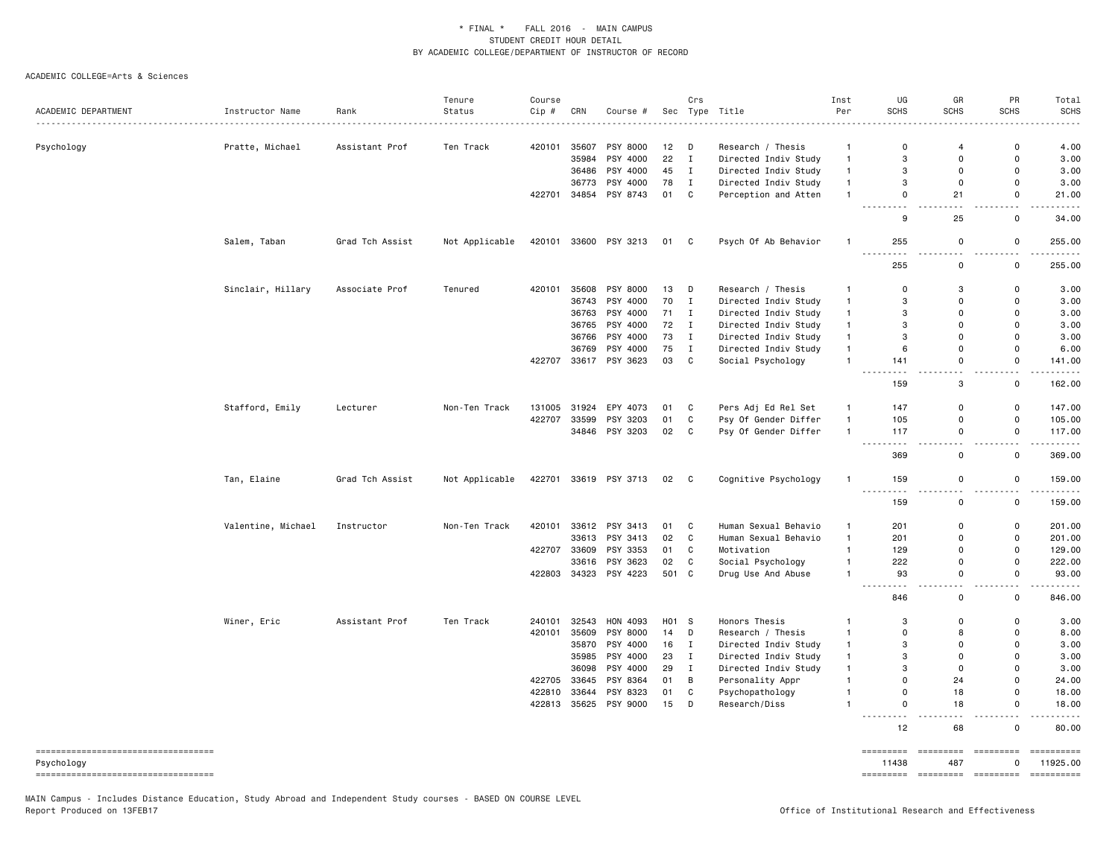### ACADEMIC COLLEGE=Arts & Sciences

|                                      |                    |                 | Tenure         | Course |       |                       |       | Crs          |                      | Inst               | UG                   | GR          | PR                 | Total                   |
|--------------------------------------|--------------------|-----------------|----------------|--------|-------|-----------------------|-------|--------------|----------------------|--------------------|----------------------|-------------|--------------------|-------------------------|
| ACADEMIC DEPARTMENT                  | Instructor Name    | Rank            | Status         | Cip #  | CRN   | Course #              |       |              | Sec Type Title       | Per                | <b>SCHS</b>          | <b>SCHS</b> | <b>SCHS</b>        | <b>SCHS</b>             |
|                                      |                    | Assistant Prof  |                | 420101 | 35607 | PSY 8000              | 12    | D            | Research / Thesis    |                    | $\mathbf 0$          | 4           | $\mathsf 0$        | 4.00                    |
| Psychology                           | Pratte, Michael    |                 | Ten Track      |        | 35984 | PSY 4000              | 22    | $\mathbf{I}$ | Directed Indiv Study | -1<br>$\mathbf{1}$ | 3                    | $\mathbf 0$ | $\mathsf 0$        | 3.00                    |
|                                      |                    |                 |                |        | 36486 | PSY 4000              | 45    | $\mathbf{I}$ | Directed Indiv Study | $\mathbf{1}$       | 3                    | 0           | 0                  | 3.00                    |
|                                      |                    |                 |                |        | 36773 | PSY 4000              | 78    | $\mathbf{I}$ | Directed Indiv Study | $\mathbf{1}$       | 3                    | 0           | 0                  | 3.00                    |
|                                      |                    |                 |                | 422701 |       | 34854 PSY 8743        | 01    | C            | Perception and Atten | $\mathbf{1}$       | $\mathsf{o}$         | 21          | 0                  | 21.00                   |
|                                      |                    |                 |                |        |       |                       |       |              |                      |                    | 9                    | 25          | 0                  |                         |
|                                      |                    |                 |                |        |       |                       |       |              |                      |                    |                      |             |                    | 34.00                   |
|                                      | Salem, Taban       | Grad Tch Assist | Not Applicable | 420101 |       | 33600 PSY 3213        | 01    | C            | Psych Of Ab Behavior | $\mathbf{1}$       | 255                  | 0           | 0                  | 255.00<br>.             |
|                                      |                    |                 |                |        |       |                       |       |              |                      |                    | 255                  | $\mathsf 0$ | 0                  | 255.00                  |
|                                      | Sinclair, Hillary  | Associate Prof  | Tenured        | 420101 | 35608 | PSY 8000              | 13    | D            | Research / Thesis    | -1                 | 0                    | 3           | 0                  | 3.00                    |
|                                      |                    |                 |                |        | 36743 | PSY 4000              | 70    | $\mathbf{I}$ | Directed Indiv Study | $\mathbf{1}$       | 3                    | 0           | 0                  | 3.00                    |
|                                      |                    |                 |                |        | 36763 | PSY 4000              | 71    | $\mathbf{I}$ | Directed Indiv Study | $\mathbf{1}$       | 3                    | $\mathbf 0$ | 0                  | 3.00                    |
|                                      |                    |                 |                |        | 36765 | PSY 4000              | 72    | $\mathbf{I}$ | Directed Indiv Study | $\mathbf{1}$       | 3                    | 0           | 0                  | 3.00                    |
|                                      |                    |                 |                |        | 36766 | PSY 4000              | 73    | $\mathbf{I}$ | Directed Indiv Study | $\mathbf{1}$       | 3                    | $\mathbf 0$ | $\Omega$           | 3.00                    |
|                                      |                    |                 |                |        | 36769 | PSY 4000              | 75    | $\mathbf{I}$ | Directed Indiv Study | $\mathbf{1}$       | 6                    | 0           | 0                  | 6.00                    |
|                                      |                    |                 |                | 422707 |       | 33617 PSY 3623        | 03    | $\mathbf{C}$ | Social Psychology    | $\mathbf{1}$       | 141                  | 0           | 0                  | 141.00                  |
|                                      |                    |                 |                |        |       |                       |       |              |                      |                    | 159                  | $ -$<br>3   | 0                  | $- - - - - -$<br>162.00 |
|                                      | Stafford, Emily    | Lecturer        | Non-Ten Track  | 131005 | 31924 | EPY 4073              | 01    | C            | Pers Adj Ed Rel Set  | $\mathbf{1}$       | 147                  | 0           | 0                  | 147.00                  |
|                                      |                    |                 |                | 422707 | 33599 | PSY 3203              | 01    | C            | Psy Of Gender Differ | $\mathbf{1}$       | 105                  | 0           | 0                  | 105.00                  |
|                                      |                    |                 |                |        |       | 34846 PSY 3203        | 02    | C            | Psy Of Gender Differ | $\mathbf{1}$       | 117                  | $\mathbf 0$ | $\mathsf{o}$       | 117.00                  |
|                                      |                    |                 |                |        |       |                       |       |              |                      |                    | $\sim$ $\sim$ $\sim$ |             |                    |                         |
|                                      |                    |                 |                |        |       |                       |       |              |                      |                    | 369                  | 0           | 0                  | 369.00                  |
|                                      | Tan, Elaine        | Grad Tch Assist | Not Applicable | 422701 |       | 33619 PSY 3713        | 02    | $\mathbf{C}$ | Cognitive Psychology | $\mathbf{1}$       | 159                  | 0           | 0                  | 159.00<br>.             |
|                                      |                    |                 |                |        |       |                       |       |              |                      |                    | 159                  | 0           | 0                  | 159.00                  |
|                                      | Valentine, Michael | Instructor      | Non-Ten Track  | 420101 |       | 33612 PSY 3413        | 01    | C            | Human Sexual Behavio | $\mathbf{1}$       | 201                  | $\mathbf 0$ | 0                  | 201.00                  |
|                                      |                    |                 |                |        | 33613 | PSY 3413              | 02    | C            | Human Sexual Behavio | $\mathbf{1}$       | 201                  | $\mathbf 0$ | 0                  | 201.00                  |
|                                      |                    |                 |                | 422707 | 33609 | PSY 3353              | 01    | C            | Motivation           | $\mathbf{1}$       | 129                  | $\mathbf 0$ | 0                  | 129.00                  |
|                                      |                    |                 |                |        | 33616 | PSY 3623              | 02    | C            | Social Psychology    | $\mathbf{1}$       | 222                  | $\mathbf 0$ | $\mathsf{o}\,$     | 222.00                  |
|                                      |                    |                 |                |        |       | 422803 34323 PSY 4223 | 501 C |              | Drug Use And Abuse   | $\mathbf{1}$       | 93<br>.              | $\mathbf 0$ | 0<br>$\sim$ $\sim$ | 93.00<br>.              |
|                                      |                    |                 |                |        |       |                       |       |              |                      |                    | 846                  | $\mathbf 0$ | 0                  | 846.00                  |
|                                      | Winer, Eric        | Assistant Prof  | Ten Track      | 240101 | 32543 | HON 4093              | H01 S |              | Honors Thesis        | -1                 | 3                    | $\mathbf 0$ | 0                  | 3.00                    |
|                                      |                    |                 |                | 420101 | 35609 | PSY 8000              | 14    | D            | Research / Thesis    | $\mathbf{1}$       | $\mathbf 0$          | 8           | 0                  | 8.00                    |
|                                      |                    |                 |                |        | 35870 | PSY 4000              | 16    | $\mathbf{I}$ | Directed Indiv Study | $\mathbf{1}$       | 3                    | 0           | 0                  | 3.00                    |
|                                      |                    |                 |                |        | 35985 | PSY 4000              | 23    | $\mathbf{I}$ | Directed Indiv Study | $\mathbf{1}$       | 3                    | $\mathbf 0$ | $\mathsf{o}$       | 3.00                    |
|                                      |                    |                 |                |        | 36098 | PSY 4000              | 29    | $\mathbf I$  | Directed Indiv Study | $\mathbf{1}$       | 3                    | $\mathbf 0$ | 0                  | 3.00                    |
|                                      |                    |                 |                | 422705 | 33645 | PSY 8364              | 01    | B            | Personality Appr     | $\mathbf{1}$       | $\mathbf 0$          | 24          | 0                  | 24.00                   |
|                                      |                    |                 |                | 422810 | 33644 | PSY 8323              | 01    | C            | Psychopathology      | $\mathbf{1}$       | $\mathsf{o}$         | 18          | $\mathsf{o}$       | 18.00                   |
|                                      |                    |                 |                | 422813 | 35625 | PSY 9000              | 15    | D            | Research/Diss        | $\mathbf{1}$       | $\mathsf 0$          | 18          | 0                  | 18.00                   |
|                                      |                    |                 |                |        |       |                       |       |              |                      |                    | 12                   | 68          | 0                  | $    -$<br>80.00        |
| ------------------------------------ |                    |                 |                |        |       |                       |       |              |                      |                    | =========            | =========   | =========          |                         |
| Psychology                           |                    |                 |                |        |       |                       |       |              |                      |                    | 11438                | 487         | 0                  | 11925.00                |
| ----------------------------------   |                    |                 |                |        |       |                       |       |              |                      |                    | =========            | =========   | <b>ESSESSES</b>    | ==========              |

MAIN Campus - Includes Distance Education, Study Abroad and Independent Study courses - BASED ON COURSE LEVEL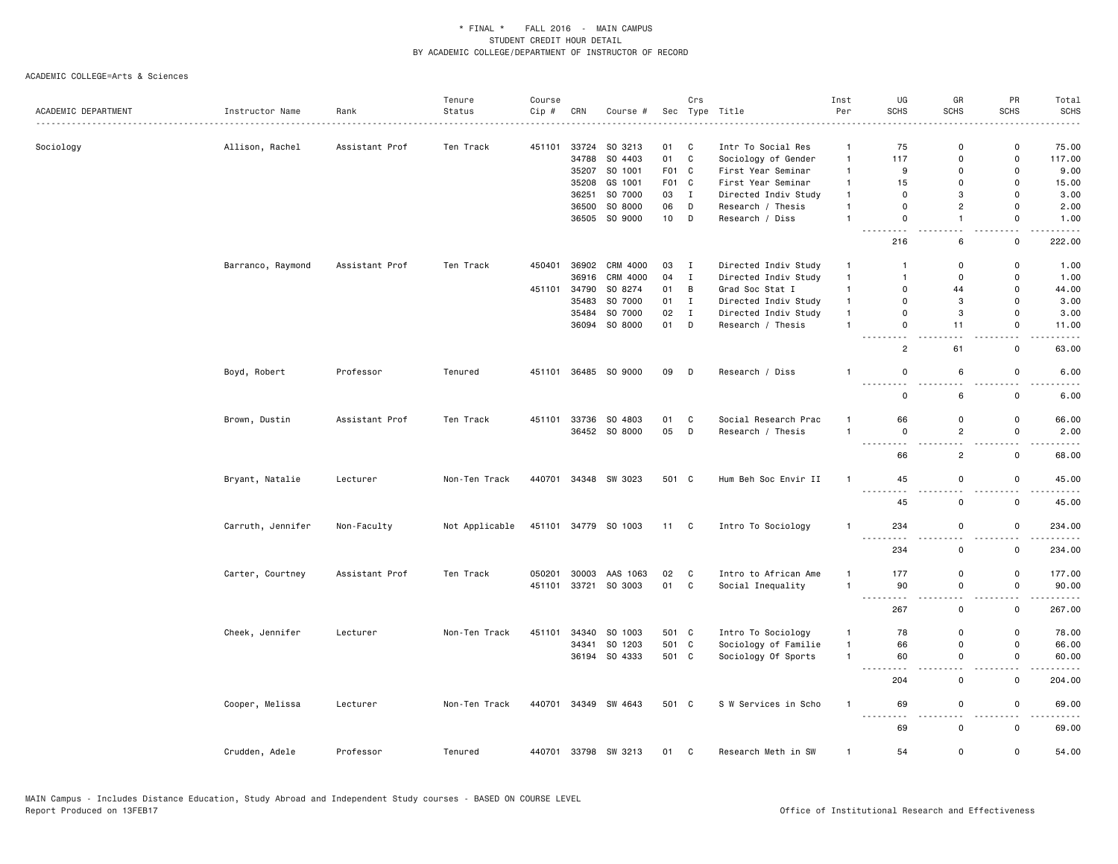|                     |                   |                | Tenure         | Course |       |                      |       | Crs            |                      | Inst           | UG                                                    | GR                            | PR                                                      | Total       |
|---------------------|-------------------|----------------|----------------|--------|-------|----------------------|-------|----------------|----------------------|----------------|-------------------------------------------------------|-------------------------------|---------------------------------------------------------|-------------|
| ACADEMIC DEPARTMENT | Instructor Name   | Rank           | Status         | Cip #  | CRN   | Course #             | Sec   |                | Type Title           | Per            | SCHS                                                  | SCHS                          | <b>SCHS</b>                                             | SCHS        |
| Sociology           | Allison, Rachel   | Assistant Prof | Ten Track      | 451101 |       | 33724 SO 3213        | 01    | C              | Intr To Social Res   | $\mathbf{1}$   | 75                                                    | $\mathbf 0$                   | $\mathsf 0$                                             | 75.00       |
|                     |                   |                |                |        | 34788 | SO 4403              | 01    | $\mathbf{C}$   | Sociology of Gender  | $\mathbf{1}$   | 117                                                   | $\mathbf 0$                   | $\mathsf{o}$                                            | 117.00      |
|                     |                   |                |                |        | 35207 | SO 1001              | F01   | $\mathbf{C}$   | First Year Seminar   | $\mathbf{1}$   | 9                                                     | $\mathbf 0$                   | $\mathsf 0$                                             | 9.00        |
|                     |                   |                |                |        | 35208 | GS 1001              | F01 C |                | First Year Seminar   | $\mathbf{1}$   | 15                                                    | $\Omega$                      | $\mathsf 0$                                             | 15.00       |
|                     |                   |                |                |        | 36251 | SO 7000              | 03    | $\mathbf{I}$   | Directed Indiv Study | $\overline{1}$ | $\Omega$                                              | 3                             | $\mathbf 0$                                             | 3.00        |
|                     |                   |                |                |        | 36500 | SO 8000              | 06    | D              | Research / Thesis    | $\overline{1}$ | 0                                                     | $\overline{2}$                | 0                                                       | 2.00        |
|                     |                   |                |                |        |       | 36505 SO 9000        | 10    | D              | Research / Diss      | $\overline{1}$ | $\mathbf 0$                                           | $\overline{1}$                | 0                                                       | 1.00        |
|                     |                   |                |                |        |       |                      |       |                |                      |                | $\sim$ $\sim$ .<br>$\sim$ $\sim$ $\sim$ $\sim$<br>216 | $\sim$<br>6                   | . .<br>$\mathbf 0$                                      | 222.00      |
|                     | Barranco, Raymond | Assistant Prof | Ten Track      | 450401 |       | 36902 CRM 4000       | 03    | $\mathbf{I}$   | Directed Indiv Study | $\mathbf{1}$   | $\overline{1}$                                        | $\mathbf 0$                   | 0                                                       | 1.00        |
|                     |                   |                |                |        | 36916 | CRM 4000             | 04    | $\mathbf{I}$   | Directed Indiv Study | $\overline{1}$ | $\overline{1}$                                        | $\mathbf 0$                   | $\mathsf 0$                                             | 1.00        |
|                     |                   |                |                | 451101 | 34790 | SO 8274              | 01    | $\overline{B}$ | Grad Soc Stat I      | $\mathbf{1}$   | $\mathbf 0$                                           | 44                            | $\mathsf 0$                                             | 44.00       |
|                     |                   |                |                |        | 35483 | SO 7000              | 01    | $\mathbf{I}$   | Directed Indiv Study | $\mathbf{1}$   | $\mathbf 0$                                           | 3                             | $\mathsf 0$                                             | 3.00        |
|                     |                   |                |                |        |       | 35484 SO 7000        | 02    | $\mathbf{I}$   | Directed Indiv Study | $\blacksquare$ | $\mathsf 0$                                           | 3                             | $\mathsf 0$                                             | 3.00        |
|                     |                   |                |                |        |       | 36094 SO 8000        | 01    | D              | Research / Thesis    | $\overline{1}$ | $\mathsf 0$<br>$\sim$                                 | 11                            | $\mathsf 0$<br>. .                                      | 11.00       |
|                     |                   |                |                |        |       |                      |       |                |                      |                | $\overline{2}$                                        | 61                            | 0                                                       | 63.00       |
|                     | Boyd, Robert      | Professor      | Tenured        |        |       | 451101 36485 SO 9000 | 09    | $\Box$         | Research / Diss      | -1             | $\mathbf 0$                                           | 6                             | $\mathbf 0$                                             | 6.00        |
|                     |                   |                |                |        |       |                      |       |                |                      |                | - -<br>$\mathbf 0$                                    | $ -$<br>6                     | . .<br>$\mathsf 0$                                      | 6.00        |
|                     | Brown, Dustin     | Assistant Prof | Ten Track      | 451101 | 33736 | SO 4803              | 01    | C              | Social Research Prac | $\overline{1}$ | 66                                                    | $\mathbf 0$                   | $\mathsf 0$                                             | 66.00       |
|                     |                   |                |                |        |       | 36452 SO 8000        | 05    | D              | Research / Thesis    | $\overline{1}$ | $\mathsf 0$<br>.                                      | $\overline{c}$<br>. .         | $\mathsf 0$<br>$\overline{\phantom{0}}$                 | 2.00        |
|                     |                   |                |                |        |       |                      |       |                |                      |                | 66                                                    | $\overline{c}$                | $\mathsf{o}$                                            | 68.00       |
|                     | Bryant, Natalie   | Lecturer       | Non-Ten Track  |        |       | 440701 34348 SW 3023 | 501 C |                | Hum Beh Soc Envir II | $\mathbf{1}$   | 45<br>$\cdots$<br>$\sim$ $\sim$                       | $\mathbf 0$<br>$ -$           | $\mathsf 0$<br>$\frac{1}{2} \left( \frac{1}{2} \right)$ | 45.00<br>.  |
|                     |                   |                |                |        |       |                      |       |                |                      |                | 45                                                    | $\mathsf 0$                   | $\mathsf 0$                                             | 45.00       |
|                     | Carruth, Jennifer | Non-Faculty    | Not Applicable |        |       | 451101 34779 SO 1003 | 11 C  |                | Intro To Sociology   | $\overline{1}$ | 234<br>$- - - -$<br>$- - -$                           | $\mathbf 0$<br>٠.             | $\mathbf 0$<br>$\overline{\phantom{a}}$                 | 234.00<br>. |
|                     |                   |                |                |        |       |                      |       |                |                      |                | 234                                                   | $\mathsf 0$                   | 0                                                       | 234.00      |
|                     | Carter, Courtney  | Assistant Prof | Ten Track      | 050201 | 30003 | AAS 1063             | 02    | C              | Intro to African Ame | $\mathbf{1}$   | 177                                                   | $\mathbf 0$                   | $\mathsf 0$                                             | 177.00      |
|                     |                   |                |                | 451101 |       | 33721 SO 3003        | 01 C  |                | Social Inequality    | $\overline{1}$ | 90                                                    | $\mathbf 0$                   | $\mathsf 0$                                             | 90.00       |
|                     |                   |                |                |        |       |                      |       |                |                      |                | $\sim$ $\sim$<br>267                                  | $\sim$<br>$\mathsf 0$         | $\overline{\phantom{a}}$<br>$\mathsf 0$                 | 267.00      |
|                     | Cheek, Jennifer   | Lecturer       | Non-Ten Track  | 451101 | 34340 | SO 1003              | 501 C |                | Intro To Sociology   | $\overline{1}$ | 78                                                    | $\mathbf 0$                   | $\mathsf{o}$                                            | 78.00       |
|                     |                   |                |                |        | 34341 | SO 1203              | 501 C |                | Sociology of Familie | $\overline{1}$ | 66                                                    | $\mathbf 0$                   | 0                                                       | 66.00       |
|                     |                   |                |                |        |       | 36194 SO 4333        | 501 C |                | Sociology Of Sports  | $\overline{1}$ | 60                                                    | $\mathbf 0$<br>$\overline{a}$ | $\mathsf 0$<br>$\sim$ $\sim$                            | 60.00       |
|                     |                   |                |                |        |       |                      |       |                |                      |                | 204                                                   | $\mathsf 0$                   | $\mathsf 0$                                             | 204.00      |
|                     | Cooper, Melissa   | Lecturer       | Non-Ten Track  |        |       | 440701 34349 SW 4643 | 501 C |                | S W Services in Scho | $\overline{1}$ | 69<br><u>.</u>                                        | $\mathbf 0$<br>$\overline{a}$ | $\mathbf 0$<br>$\overline{\phantom{a}}$                 | 69.00<br>.  |
|                     |                   |                |                |        |       |                      |       |                |                      |                | 69                                                    | $\mathbf 0$                   | $\mathsf 0$                                             | 69.00       |
|                     | Crudden, Adele    | Professor      | Tenured        |        |       | 440701 33798 SW 3213 | 01 C  |                | Research Meth in SW  | $\overline{1}$ | 54                                                    | $\mathbf 0$                   | $\mathsf 0$                                             | 54.00       |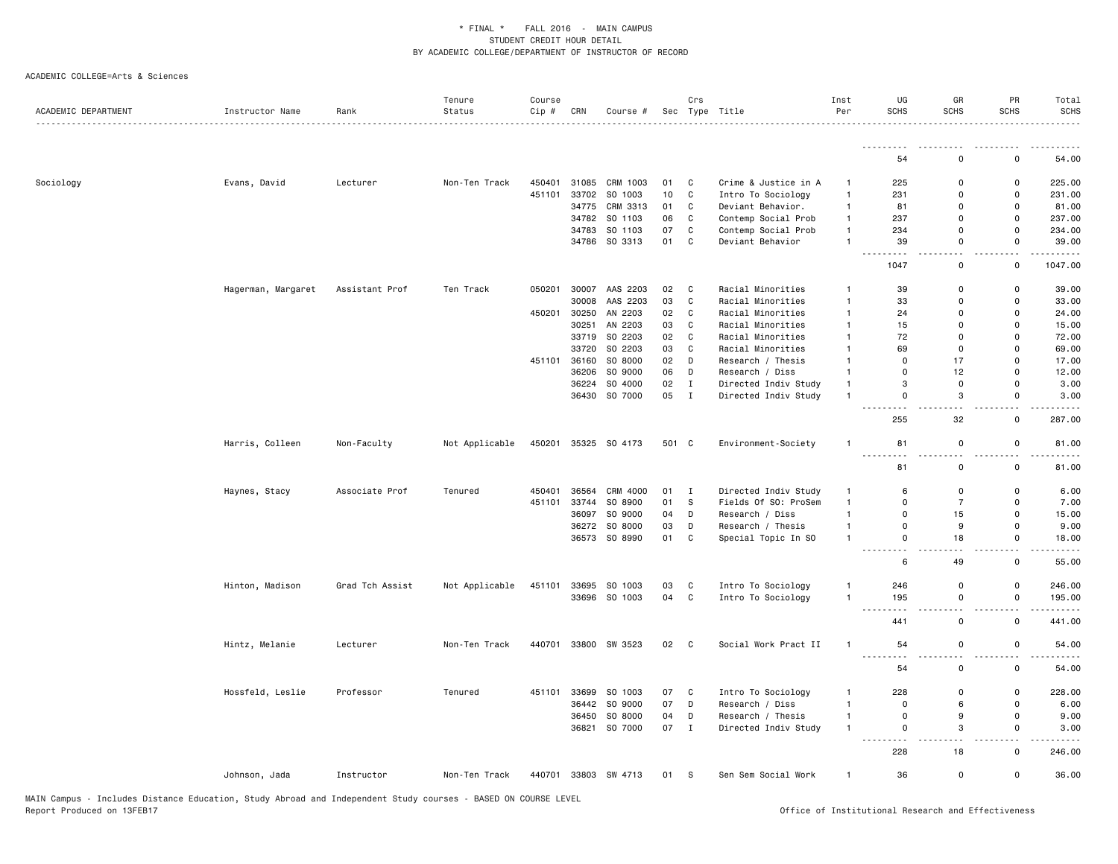|                     |                    |                 | Tenure         | Course |       |                      |       | Crs          |                      | Inst           | UG                              | GR                             | PR                           | Total                                       |
|---------------------|--------------------|-----------------|----------------|--------|-------|----------------------|-------|--------------|----------------------|----------------|---------------------------------|--------------------------------|------------------------------|---------------------------------------------|
| ACADEMIC DEPARTMENT | Instructor Name    | Rank            | Status         | Cip #  | CRN   | Course #             |       |              | Sec Type Title       | Per            | <b>SCHS</b>                     | <b>SCHS</b>                    | <b>SCHS</b>                  | <b>SCHS</b>                                 |
|                     |                    |                 |                |        |       |                      |       |              |                      |                | <u>.</u>                        |                                |                              |                                             |
|                     |                    |                 |                |        |       |                      |       |              |                      |                | 54                              | $\mathbf 0$                    | $\mathbf 0$                  | 54.00                                       |
| Sociology           | Evans, David       | Lecturer        | Non-Ten Track  | 450401 |       | 31085 CRM 1003       | 01    | C            | Crime & Justice in A | $\mathbf{1}$   | 225                             | 0                              | $\mathsf 0$                  | 225.00                                      |
|                     |                    |                 |                | 451101 | 33702 | SO 1003              | 10    | $\mathtt{C}$ | Intro To Sociology   | $\mathbf{1}$   | 231                             | 0                              | $\mathsf 0$                  | 231.00                                      |
|                     |                    |                 |                |        | 34775 | CRM 3313             | 01    | $\mathtt{C}$ | Deviant Behavior.    | $\mathbf{1}$   | 81                              | $\Omega$                       | $\mathbf 0$                  | 81.00                                       |
|                     |                    |                 |                |        | 34782 | SO 1103              | 06    | $\mathtt{C}$ | Contemp Social Prob  | $\mathbf{1}$   | 237                             | $\Omega$                       | $\mathbf 0$                  | 237.00                                      |
|                     |                    |                 |                |        | 34783 | SO 1103              | 07    | ${\bf C}$    | Contemp Social Prob  | $\mathbf{1}$   | 234                             | $\Omega$                       | $\mathbf 0$                  | 234.00                                      |
|                     |                    |                 |                |        |       | 34786 SO 3313        | 01    | $\mathtt{C}$ | Deviant Behavior     | $\mathbf{1}$   | 39                              | 0                              | $\mathbf 0$                  | 39.00                                       |
|                     |                    |                 |                |        |       |                      |       |              |                      |                | 1047                            | . .<br>$\mathbf 0$             | ٠.<br>$\mathsf 0$            | 1047.00                                     |
|                     | Hagerman, Margaret | Assistant Prof  | Ten Track      | 050201 | 30007 | AAS 2203             | 02    | C            | Racial Minorities    | $\mathbf{1}$   | 39                              | $\mathbf 0$                    | $\mathsf 0$                  | 39.00                                       |
|                     |                    |                 |                |        | 30008 | AAS 2203             | 03    | $\mathtt{C}$ | Racial Minorities    | $\mathbf{1}$   | 33                              | $\mathbf 0$                    | $\mathbf 0$                  | 33.00                                       |
|                     |                    |                 |                | 450201 | 30250 | AN 2203              | 02    | $\mathtt{C}$ | Racial Minorities    | $\mathbf{1}$   | 24                              | $\Omega$                       | $\mathbf 0$                  | 24.00                                       |
|                     |                    |                 |                |        | 30251 | AN 2203              | 03    | $\mathtt{C}$ | Racial Minorities    | $\mathbf{1}$   | 15                              | 0                              | $\mathsf 0$                  | 15.00                                       |
|                     |                    |                 |                |        |       | 33719 SO 2203        | 02    | $\mathtt{C}$ | Racial Minorities    | $\mathbf{1}$   | 72                              | $\Omega$                       | $\mathbf 0$                  | 72.00                                       |
|                     |                    |                 |                |        | 33720 | SO 2203              | 03    | $\mathtt{C}$ | Racial Minorities    | $\overline{1}$ | 69                              | $\mathsf{o}$                   | $\mathbf 0$                  | 69.00                                       |
|                     |                    |                 |                | 451101 | 36160 | SO 8000              | 02    | D            | Research / Thesis    | $\mathbf{1}$   | 0                               | 17                             | $\mathbf 0$                  | 17.00                                       |
|                     |                    |                 |                |        | 36206 | SO 9000              | 06    | D            | Research / Diss      | $\mathbf{1}$   | 0                               | 12                             | $\mathsf 0$                  | 12.00                                       |
|                     |                    |                 |                |        | 36224 | SO 4000              | 02    | $\mathbf{I}$ | Directed Indiv Study | $\mathbf{1}$   | 3                               | $\mathsf 0$                    | $\mathbf 0$                  | 3.00                                        |
|                     |                    |                 |                |        |       | 36430 SO 7000        | 05    | $\mathbf{I}$ | Directed Indiv Study | $\mathbf{1}$   | 0                               | 3                              | 0                            | 3.00                                        |
|                     |                    |                 |                |        |       |                      |       |              |                      |                | بالماء<br>255                   | $\overline{\phantom{a}}$<br>32 | . .<br>$\mathbf 0$           | 287.00                                      |
|                     | Harris, Colleen    | Non-Faculty     | Not Applicable |        |       | 450201 35325 SO 4173 | 501 C |              | Environment-Society  | $\mathbf{1}$   | 81                              | 0                              | $\mathsf 0$                  | 81.00                                       |
|                     |                    |                 |                |        |       |                      |       |              |                      |                | .                               | $\overline{a}$                 | $\sim$ $\sim$                |                                             |
|                     |                    |                 |                |        |       |                      |       |              |                      |                | 81                              | $\mathbf 0$                    | $\mathsf 0$                  | 81.00                                       |
|                     | Haynes, Stacy      | Associate Prof  | Tenured        | 450401 | 36564 | CRM 4000             | 01    | $\mathbf{I}$ | Directed Indiv Study | $\mathbf{1}$   | 6                               | $\mathsf 0$                    | $\mathsf 0$                  | 6.00                                        |
|                     |                    |                 |                | 451101 | 33744 | SO 8900              | 01    | $\mathbb S$  | Fields Of SO: ProSem | $\mathbf{1}$   | 0                               | $\overline{7}$                 | $\mathbf 0$                  | 7.00                                        |
|                     |                    |                 |                |        | 36097 | SO 9000              | 04    | D            | Research / Diss      | $\mathbf{1}$   | 0                               | 15                             | $\mathsf{o}$                 | 15.00                                       |
|                     |                    |                 |                |        |       | 36272 SO 8000        | 03    | D            | Research / Thesis    | $\mathbf{1}$   | 0                               | 9                              | 0                            | 9.00                                        |
|                     |                    |                 |                |        |       | 36573 SO 8990        | 01    | $\mathbb{C}$ | Special Topic In SO  | $\mathbf{1}$   | 0<br>.                          | 18<br>$\sim$ $\sim$            | $\mathbf 0$<br>$\sim$ $\sim$ | 18.00<br>$\sim$ $\sim$ $\sim$ $\sim$ $\sim$ |
|                     |                    |                 |                |        |       |                      |       |              |                      |                | 6                               | 49                             | $\mathsf 0$                  | 55.00                                       |
|                     | Hinton, Madison    | Grad Tch Assist | Not Applicable | 451101 |       | 33695 SO 1003        | 03    | C            | Intro To Sociology   | $\mathbf{1}$   | 246                             | $\mathsf 0$                    | $\mathsf 0$                  | 246.00                                      |
|                     |                    |                 |                |        |       | 33696 SO 1003        | 04    | $\mathtt{C}$ | Intro To Sociology   | $\mathbf{1}$   | 195                             | 0                              | $\mathsf 0$                  | 195.00                                      |
|                     |                    |                 |                |        |       |                      |       |              |                      |                | $\frac{1}{2}$<br>441            | $\mathsf 0$                    | . .<br>$\mathsf 0$           | 441.00                                      |
|                     | Hintz, Melanie     | Lecturer        | Non-Ten Track  | 440701 |       | 33800 SW 3523        | 02    | $\mathbf{C}$ | Social Work Pract II | $\mathbf{1}$   | 54                              | 0                              | $\mathsf 0$                  | 54.00                                       |
|                     |                    |                 |                |        |       |                      |       |              |                      |                | .<br>54                         | 0                              | $\mathsf 0$                  | 54.00                                       |
|                     | Hossfeld, Leslie   | Professor       | Tenured        | 451101 | 33699 | SO 1003              | 07    | C            | Intro To Sociology   | $\mathbf{1}$   | 228                             | $\mathbf 0$                    | $\mathbf 0$                  | 228.00                                      |
|                     |                    |                 |                |        |       | 36442 SO 9000        | 07    | D            | Research / Diss      | $\mathbf{1}$   | $\Omega$                        | 6                              | $\mathbf 0$                  | 6.00                                        |
|                     |                    |                 |                |        | 36450 | SO 8000              | 04    | D            | Research / Thesis    | $\mathbf{1}$   | $\Omega$                        | 9                              | $\mathbf 0$                  | 9.00                                        |
|                     |                    |                 |                |        | 36821 | SO 7000              | 07    | $\mathbf{I}$ | Directed Indiv Study | $\mathbf{1}$   | 0                               | 3                              | $\mathsf 0$                  | 3.00                                        |
|                     |                    |                 |                |        |       |                      |       |              |                      |                | $\frac{1}{2}$<br>$- - -$<br>228 | $\sim$ $\sim$<br>18            | ٠.<br>$\mathsf 0$            | 246.00                                      |
|                     | Johnson, Jada      | Instructor      | Non-Ten Track  |        |       | 440701 33803 SW 4713 | 01 S  |              | Sen Sem Social Work  | $\mathbf{1}$   | 36                              | $\mathsf{o}$                   | $\mathbf 0$                  | 36.00                                       |
|                     |                    |                 |                |        |       |                      |       |              |                      |                |                                 |                                |                              |                                             |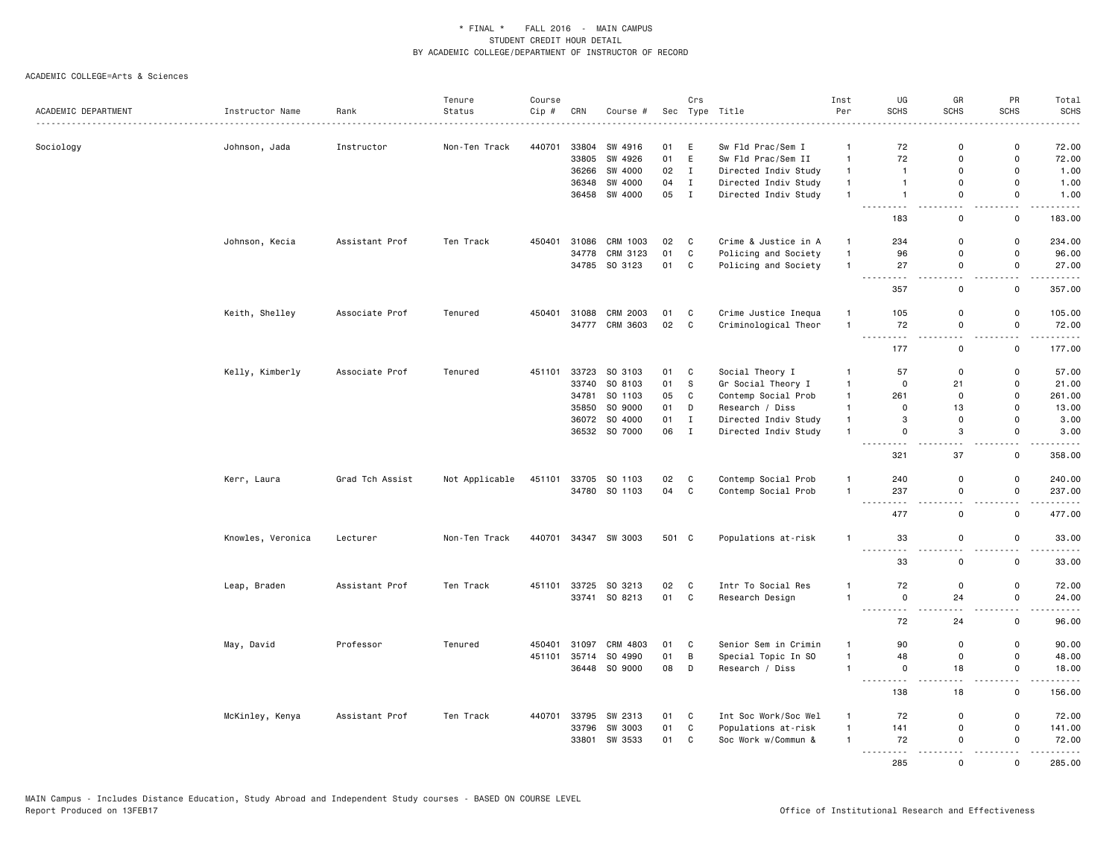|                     |                   |                 | Tenure         | Course |       |                      |       | Crs          |                      | Inst         | UG                                                                                                                                            | GR          | PR                           | Total                                       |
|---------------------|-------------------|-----------------|----------------|--------|-------|----------------------|-------|--------------|----------------------|--------------|-----------------------------------------------------------------------------------------------------------------------------------------------|-------------|------------------------------|---------------------------------------------|
| ACADEMIC DEPARTMENT | Instructor Name   | Rank            | Status         | Cip #  | CRN   | Course #             | Sec   |              | Type Title           | Per          | <b>SCHS</b>                                                                                                                                   | <b>SCHS</b> | <b>SCHS</b>                  | <b>SCHS</b><br>$- - - - -$                  |
| Sociology           | Johnson, Jada     | Instructor      | Non-Ten Track  | 440701 | 33804 | SW 4916              | 01    | E            | Sw Fld Prac/Sem I    | -1           | 72                                                                                                                                            | 0           | $\mathbf 0$                  | 72.00                                       |
|                     |                   |                 |                |        | 33805 | SW 4926              | 01    | E            | Sw Fld Prac/Sem II   | $\mathbf{1}$ | 72                                                                                                                                            | 0           | $\mathsf 0$                  | 72.00                                       |
|                     |                   |                 |                |        | 36266 | SW 4000              | 02    | $\mathbf{I}$ | Directed Indiv Study | $\mathbf{1}$ | $\overline{1}$                                                                                                                                | $\Omega$    | $\mathbf 0$                  | 1.00                                        |
|                     |                   |                 |                |        | 36348 | SW 4000              | 04    | Ι.           | Directed Indiv Study | $\mathbf{1}$ | $\mathbf{1}$                                                                                                                                  | 0           | $\mathbf 0$                  | 1.00                                        |
|                     |                   |                 |                |        |       | 36458 SW 4000        | 05 I  |              | Directed Indiv Study | $\mathbf{1}$ | $\mathbf{1}$                                                                                                                                  | 0           | $\mathbf 0$                  | 1.00<br>.                                   |
|                     |                   |                 |                |        |       |                      |       |              |                      |              | $  -$<br>183                                                                                                                                  | $\mathbf 0$ | $\sim$ $\sim$<br>$\mathbf 0$ | 183.00                                      |
|                     | Johnson, Kecia    | Assistant Prof  | Ten Track      | 450401 | 31086 | CRM 1003             | 02    | $\mathbf{C}$ | Crime & Justice in A | $\mathbf{1}$ | 234                                                                                                                                           | $\Omega$    | $\mathbf 0$                  | 234.00                                      |
|                     |                   |                 |                |        | 34778 | CRM 3123             | 01    | C            | Policing and Society | $\mathbf{1}$ | 96                                                                                                                                            | 0           | $\mathbf 0$                  | 96.00                                       |
|                     |                   |                 |                |        |       | 34785 SO 3123        | 01 C  |              | Policing and Society | $\mathbf{1}$ | 27                                                                                                                                            | 0           | 0                            | 27.00                                       |
|                     |                   |                 |                |        |       |                      |       |              |                      |              | 357                                                                                                                                           | $\mathsf 0$ | $\mathbf 0$                  | .<br>357.00                                 |
|                     | Keith, Shelley    | Associate Prof  | Tenured        | 450401 | 31088 | CRM 2003             | 01    | C            | Crime Justice Inequa | $\mathbf{1}$ | 105                                                                                                                                           | 0           | $\mathbf 0$                  | 105.00                                      |
|                     |                   |                 |                |        | 34777 | CRM 3603             | 02    | $\mathbf{C}$ | Criminological Theor | $\mathbf{1}$ | 72                                                                                                                                            | 0           | $\mathbf 0$                  | 72.00                                       |
|                     |                   |                 |                |        |       |                      |       |              |                      |              | .<br>177                                                                                                                                      | 0           | $\mathbf 0$                  | .<br>177.00                                 |
|                     | Kelly, Kimberly   | Associate Prof  | Tenured        | 451101 | 33723 | SO 3103              | 01    | $\mathbf{C}$ | Social Theory I      | -1           | 57                                                                                                                                            | $\mathbf 0$ | $\Omega$                     | 57.00                                       |
|                     |                   |                 |                |        | 33740 | SO 8103              | 01    | S            | Gr Social Theory I   | $\mathbf{1}$ | $\overline{\mathbf{0}}$                                                                                                                       | 21          | $\mathbf 0$                  | 21.00                                       |
|                     |                   |                 |                |        | 34781 | SO 1103              | 05    | $\mathbf{C}$ | Contemp Social Prob  | $\mathbf{1}$ | 261                                                                                                                                           | $\mathbf 0$ | $\Omega$                     | 261.00                                      |
|                     |                   |                 |                |        | 35850 | SO 9000              | 01    | D            | Research / Diss      | $\mathbf{1}$ | $\mathbf 0$                                                                                                                                   | 13          | $\mathbf 0$                  | 13.00                                       |
|                     |                   |                 |                |        |       | 36072 SO 4000        | 01    | Ι.           | Directed Indiv Study | $\mathbf{1}$ | 3                                                                                                                                             | $\mathsf 0$ | $\mathbf 0$                  | 3.00                                        |
|                     |                   |                 |                |        |       | 36532 SO 7000        | 06    | $\mathbf I$  | Directed Indiv Study | $\mathbf{1}$ | $\mathbf 0$                                                                                                                                   | 3           | $\mathbf 0$                  | 3.00                                        |
|                     |                   |                 |                |        |       |                      |       |              |                      |              | $- - - -$<br>321                                                                                                                              | 37          | $\mathbf 0$                  | .<br>358.00                                 |
|                     | Kerr, Laura       | Grad Tch Assist | Not Applicable | 451101 | 33705 | SO 1103              | 02    | $\mathbf{C}$ | Contemp Social Prob  | $\mathbf{1}$ | 240                                                                                                                                           | 0           | $\mathbf 0$                  | 240.00                                      |
|                     |                   |                 |                |        |       | 34780 SO 1103        | 04 C  |              | Contemp Social Prob  | $\mathbf{1}$ | 237                                                                                                                                           | $\mathsf 0$ | $\mathbf 0$                  | 237.00                                      |
|                     |                   |                 |                |        |       |                      |       |              |                      |              | $\sim$ $\sim$ $\sim$<br>477                                                                                                                   | $\mathsf 0$ | $\mathbf 0$                  | .<br>477.00                                 |
|                     | Knowles, Veronica | Lecturer        | Non-Ten Track  |        |       | 440701 34347 SW 3003 | 501 C |              | Populations at-risk  | $\mathbf{1}$ | 33                                                                                                                                            | $\Omega$    | $\mathbf 0$                  | 33.00                                       |
|                     |                   |                 |                |        |       |                      |       |              |                      |              | <u>.</u><br>33                                                                                                                                | $\mathbf 0$ | $\mathbf 0$                  | .<br>33.00                                  |
|                     | Leap, Braden      | Assistant Prof  | Ten Track      | 451101 | 33725 | SO 3213              | 02    | $\mathbf{C}$ | Intr To Social Res   | $\mathbf{1}$ | 72                                                                                                                                            | $\mathsf 0$ | $\mathbf 0$                  | 72.00                                       |
|                     |                   |                 |                |        |       | 33741 SO 8213        | 01    | $\mathbf{C}$ | Research Design      | $\mathbf{1}$ | $\mathbf 0$<br>$\frac{1}{2} \left( \frac{1}{2} \right) \left( \frac{1}{2} \right) \left( \frac{1}{2} \right) \left( \frac{1}{2} \right)$<br>. | 24          | $\mathbf 0$                  | 24.00<br>$\sim$ $\sim$ $\sim$ $\sim$ $\sim$ |
|                     |                   |                 |                |        |       |                      |       |              |                      |              | 72                                                                                                                                            | 24          | $\mathbf 0$                  | 96.00                                       |
|                     | May, David        | Professor       | Tenured        | 450401 | 31097 | CRM 4803             | 01    | $\mathbf{C}$ | Senior Sem in Crimin | 1            | 90                                                                                                                                            | $\mathbf 0$ | $\mathbf 0$                  | 90.00                                       |
|                     |                   |                 |                | 451101 | 35714 | SO 4990              | 01    | B            | Special Topic In SO  | $\mathbf{1}$ | 48                                                                                                                                            | $\mathbf 0$ | $\mathbf 0$                  | 48.00                                       |
|                     |                   |                 |                |        |       | 36448 SO 9000        | 08    | D            | Research / Diss      | $\mathbf{1}$ | $\mathbf 0$                                                                                                                                   | 18          | $\mathbf 0$                  | 18.00                                       |
|                     |                   |                 |                |        |       |                      |       |              |                      |              | 138                                                                                                                                           | 18          | $\mathbf 0$                  | 156.00                                      |
|                     | McKinley, Kenya   | Assistant Prof  | Ten Track      | 440701 | 33795 | SW 2313              | 01    | $\mathbf{C}$ | Int Soc Work/Soc Wel | $\mathbf{1}$ | 72                                                                                                                                            | $\mathbf 0$ | $\mathbf 0$                  | 72.00                                       |
|                     |                   |                 |                |        | 33796 | SW 3003              | 01    | $\mathbf C$  | Populations at-risk  | $\mathbf{1}$ | 141                                                                                                                                           | $\mathbf 0$ | $\mathbf 0$                  | 141.00                                      |
|                     |                   |                 |                |        | 33801 | SW 3533              | 01    | $\mathbf{C}$ | Soc Work w/Commun &  | $\mathbf{1}$ | 72<br>.                                                                                                                                       | $\Omega$    | $\mathbf 0$                  | 72.00<br>.                                  |
|                     |                   |                 |                |        |       |                      |       |              |                      |              | $\frac{1}{2} \left( \frac{1}{2} \right) \left( \frac{1}{2} \right) \left( \frac{1}{2} \right)$<br>285                                         | $\Omega$    | $\Omega$                     | 285.00                                      |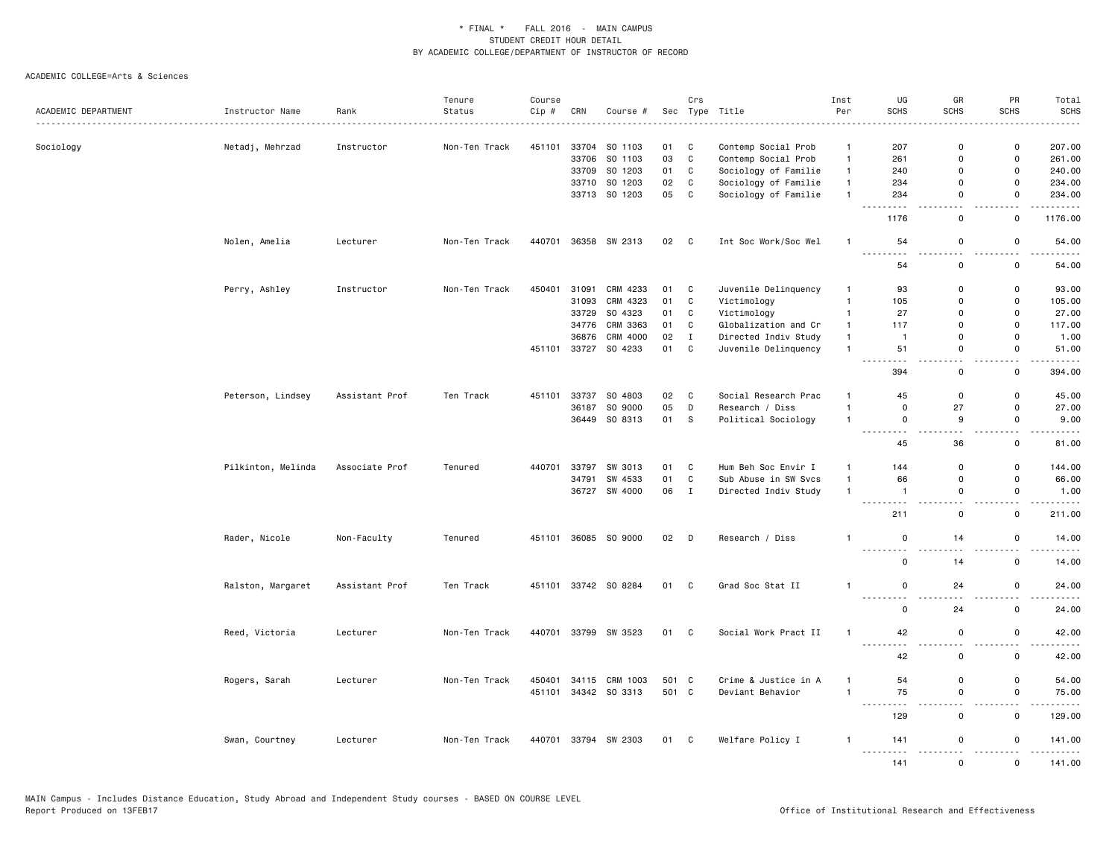|                     |                    |                | Tenure        | Course |       |                      |       | Crs          |                      | Inst           | UG                                | GR            | PR                  | Total                                                                                                                                                                                     |
|---------------------|--------------------|----------------|---------------|--------|-------|----------------------|-------|--------------|----------------------|----------------|-----------------------------------|---------------|---------------------|-------------------------------------------------------------------------------------------------------------------------------------------------------------------------------------------|
| ACADEMIC DEPARTMENT | Instructor Name    | Rank           | Status        | Cip#   | CRN   | Course #             |       |              | Sec Type Title       | Per            | <b>SCHS</b>                       | <b>SCHS</b>   | <b>SCHS</b>         | <b>SCHS</b>                                                                                                                                                                               |
|                     |                    |                |               |        |       |                      |       |              |                      |                |                                   |               |                     |                                                                                                                                                                                           |
| Sociology           | Netadj, Mehrzad    | Instructor     | Non-Ten Track | 451101 | 33704 | SO 1103              | 01    | C            | Contemp Social Prob  | $\mathbf{1}$   | 207                               | 0             | 0                   | 207.00                                                                                                                                                                                    |
|                     |                    |                |               |        | 33706 | SO 1103              | 03    | $\mathtt{C}$ | Contemp Social Prob  | $\mathbf{1}$   | 261                               | $\Omega$      | $\mathsf 0$         | 261.00                                                                                                                                                                                    |
|                     |                    |                |               |        |       | 33709 SO 1203        | 01    | C            | Sociology of Familie | $\mathbf{1}$   | 240                               | $\mathsf{o}$  | $\mathsf 0$         | 240.00                                                                                                                                                                                    |
|                     |                    |                |               |        | 33710 | SO 1203              | 02    | $\mathtt{C}$ | Sociology of Familie | $\mathbf{1}$   | 234                               | $\mathsf 0$   | $\mathsf 0$         | 234.00                                                                                                                                                                                    |
|                     |                    |                |               |        |       | 33713 SO 1203        | 05    | C            | Sociology of Familie | $\mathbf{1}$   | 234                               | $\mathsf{o}$  | $\Omega$            | 234.00                                                                                                                                                                                    |
|                     |                    |                |               |        |       |                      |       |              |                      |                | 1176                              | $\mathsf 0$   | $\mathsf{o}\,$      | .<br>1176.00                                                                                                                                                                              |
|                     | Nolen, Amelia      | Lecturer       | Non-Ten Track | 440701 |       | 36358 SW 2313        | 02 C  |              | Int Soc Work/Soc Wel | $\overline{1}$ | 54                                | 0             | 0                   | 54.00                                                                                                                                                                                     |
|                     |                    |                |               |        |       |                      |       |              |                      |                | <u>.</u><br>54                    | 0             | $ -$<br>0           | .<br>54.00                                                                                                                                                                                |
|                     | Perry, Ashley      | Instructor     | Non-Ten Track | 450401 | 31091 | CRM 4233             | 01    | C            | Juvenile Delinquency | $\mathbf{1}$   | 93                                | $\mathbf 0$   | 0                   | 93.00                                                                                                                                                                                     |
|                     |                    |                |               |        | 31093 | CRM 4323             | 01    | C            | Victimology          | $\mathbf{1}$   | 105                               | 0             | $\mathsf 0$         | 105.00                                                                                                                                                                                    |
|                     |                    |                |               |        | 33729 | SO 4323              | 01    | C            | Victimology          | $\mathbf{1}$   | 27                                | $\mathsf 0$   | $\mathsf 0$         | 27.00                                                                                                                                                                                     |
|                     |                    |                |               |        | 34776 | CRM 3363             | 01    | $\mathtt{C}$ | Globalization and Cr | $\mathbf{1}$   | 117                               | $\mathbf 0$   | $\mathbf 0$         | 117.00                                                                                                                                                                                    |
|                     |                    |                |               |        | 36876 | CRM 4000             | 02    | $\mathbf I$  | Directed Indiv Study | $\mathbf{1}$   | $\overline{1}$                    | 0             | 0                   | 1.00                                                                                                                                                                                      |
|                     |                    |                |               | 451101 |       | 33727 SO 4233        | 01    | C            | Juvenile Delinquency | $\mathbf{1}$   | 51                                | $\mathsf 0$   | $\mathsf 0$         | 51.00                                                                                                                                                                                     |
|                     |                    |                |               |        |       |                      |       |              |                      |                | $\sim$ $\sim$ $\sim$              | $\sim$ $\sim$ | $\sim$              | $\frac{1}{2}$                                                                                                                                                                             |
|                     |                    |                |               |        |       |                      |       |              |                      |                | 394                               | 0             | 0                   | 394.00                                                                                                                                                                                    |
|                     | Peterson, Lindsey  | Assistant Prof | Ten Track     |        |       | 451101 33737 SO 4803 | 02    | C            | Social Research Prac | $\mathbf{1}$   | 45                                | 0             | $\mathbf 0$         | 45.00                                                                                                                                                                                     |
|                     |                    |                |               |        | 36187 | SO 9000              | 05    | D            | Research / Diss      | $\overline{1}$ | $\mathsf 0$                       | 27            | $\mathsf 0$         | 27.00                                                                                                                                                                                     |
|                     |                    |                |               |        |       | 36449 SO 8313        | 01    | s            | Political Sociology  | $\mathbf{1}$   | $\mathsf 0$                       | 9             | $\mathsf 0$         | 9.00                                                                                                                                                                                      |
|                     |                    |                |               |        |       |                      |       |              |                      |                | .<br>$  -$<br>45                  | 36            | $\mathsf{o}\,$      | $\frac{1}{2}$<br>81.00                                                                                                                                                                    |
|                     | Pilkinton, Melinda | Associate Prof | Tenured       | 440701 | 33797 | SW 3013              | 01    | C            | Hum Beh Soc Envir I  | $\mathbf{1}$   | 144                               | $\mathbf 0$   | $\mathbf 0$         | 144.00                                                                                                                                                                                    |
|                     |                    |                |               |        | 34791 | SW 4533              | 01    | C            | Sub Abuse in SW Svcs | $\mathbf{1}$   | 66                                | 0             | $\mathsf 0$         | 66.00                                                                                                                                                                                     |
|                     |                    |                |               |        | 36727 | SW 4000              | 06    | $\mathbf{I}$ | Directed Indiv Study | $\mathbf{1}$   | $\mathbf{1}$                      | $\mathsf 0$   | $\mathsf 0$         | 1.00                                                                                                                                                                                      |
|                     |                    |                |               |        |       |                      |       |              |                      |                | $\sim$ $\sim$ $\sim$              |               |                     |                                                                                                                                                                                           |
|                     |                    |                |               |        |       |                      |       |              |                      |                | 211                               | 0             | 0                   | 211.00                                                                                                                                                                                    |
|                     | Rader, Nicole      | Non-Faculty    | Tenured       |        |       | 451101 36085 SO 9000 | 02    | D            | Research / Diss      | $\mathbf{1}$   | $\mathsf 0$                       | 14            | $\mathsf{o}\,$      | 14.00                                                                                                                                                                                     |
|                     |                    |                |               |        |       |                      |       |              |                      |                | $\mathbf 0$                       | 14            | $\mathsf 0$         | 14.00                                                                                                                                                                                     |
|                     | Ralston, Margaret  | Assistant Prof | Ten Track     |        |       | 451101 33742 SO 8284 | 01    | $\mathbf{C}$ | Grad Soc Stat II     | $\overline{1}$ | 0                                 | 24            | $\mathsf 0$         | 24.00                                                                                                                                                                                     |
|                     |                    |                |               |        |       |                      |       |              |                      |                | .                                 |               | $\sim$ $\sim$       | .                                                                                                                                                                                         |
|                     |                    |                |               |        |       |                      |       |              |                      |                | 0                                 | 24            | 0                   | 24.00                                                                                                                                                                                     |
|                     | Reed, Victoria     | Lecturer       | Non-Ten Track | 440701 |       | 33799 SW 3523        | 01    | C            | Social Work Pract II | $\mathbf{1}$   | 42<br>-----                       | 0             | 0                   | 42.00                                                                                                                                                                                     |
|                     |                    |                |               |        |       |                      |       |              |                      |                | 42                                | $\Omega$      | $\mathbf 0$         | 42.00                                                                                                                                                                                     |
|                     | Rogers, Sarah      | Lecturer       | Non-Ten Track | 450401 |       | 34115 CRM 1003       | 501 C |              | Crime & Justice in A | $\mathbf{1}$   | 54                                | $\mathsf 0$   | $\mathsf 0$         | 54.00                                                                                                                                                                                     |
|                     |                    |                |               |        |       | 451101 34342 SO 3313 | 501 C |              | Deviant Behavior     | $\overline{1}$ | 75<br>$\sim$ $\sim$ $\sim$ $\sim$ | $\mathsf 0$   | $\mathsf 0$<br>$ -$ | 75.00<br>.                                                                                                                                                                                |
|                     |                    |                |               |        |       |                      |       |              |                      |                | 129                               | $\mathbf 0$   | $\mathsf 0$         | 129.00                                                                                                                                                                                    |
|                     | Swan, Courtney     | Lecturer       | Non-Ten Track | 440701 |       | 33794 SW 2303        | 01 C  |              | Welfare Policy I     | $\mathbf{1}$   | 141<br>$\sim$ $\sim$ $\sim$       | 0             | $\Omega$            | 141.00<br>$\frac{1}{2} \left( \frac{1}{2} \right) \left( \frac{1}{2} \right) \left( \frac{1}{2} \right) \left( \frac{1}{2} \right) \left( \frac{1}{2} \right) \left( \frac{1}{2} \right)$ |
|                     |                    |                |               |        |       |                      |       |              |                      |                | 141                               | $\Omega$      | $\mathbf{0}$        | 141.00                                                                                                                                                                                    |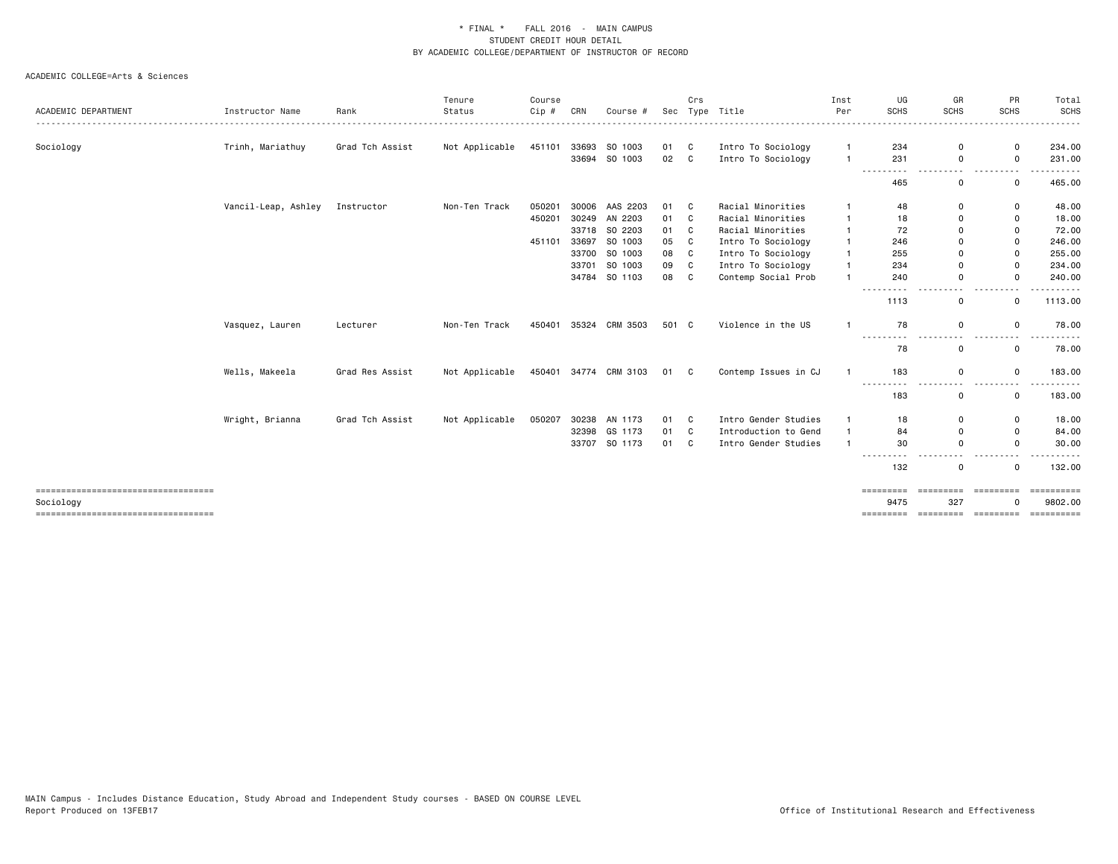|                                                   |                     |                 | Tenure         | Course |       |                       |       | Crs |                      | Inst           | UG                                                                                                    | GR                                                      | PR           | Total                 |
|---------------------------------------------------|---------------------|-----------------|----------------|--------|-------|-----------------------|-------|-----|----------------------|----------------|-------------------------------------------------------------------------------------------------------|---------------------------------------------------------|--------------|-----------------------|
| ACADEMIC DEPARTMENT                               | Instructor Name     | Rank            | Status         | Cip #  | CRN   | Course #              | Sec   |     | Type Title           | Per            | <b>SCHS</b>                                                                                           | <b>SCHS</b>                                             | <b>SCHS</b>  | <b>SCHS</b><br>.      |
| Sociology                                         | Trinh, Mariathuy    | Grad Tch Assist | Not Applicable | 451101 |       | 33693 SO 1003         | 01 C  |     | Intro To Sociology   |                | 234                                                                                                   | 0                                                       | 0            | 234.00                |
|                                                   |                     |                 |                |        |       | 33694 SO 1003         | 02    | C.  | Intro To Sociology   | $\mathbf{1}$   | 231<br>---------                                                                                      | $\mathbf 0$<br>.                                        | 0<br>$- - -$ | 231.00<br>.           |
|                                                   |                     |                 |                |        |       |                       |       |     |                      |                | 465                                                                                                   | 0                                                       | 0            | 465.00                |
|                                                   | Vancil-Leap, Ashley | Instructor      | Non-Ten Track  | 050201 |       | 30006 AAS 2203        | 01 C  |     | Racial Minorities    | -1             | 48                                                                                                    | 0                                                       | 0            | 48.00                 |
|                                                   |                     |                 |                | 450201 |       | 30249 AN 2203         | 01    | C   | Racial Minorities    | $\mathbf{1}$   | 18                                                                                                    | $\mathbf 0$                                             | 0            | 18.00                 |
|                                                   |                     |                 |                |        |       | 33718 SO 2203         | 01    | C.  | Racial Minorities    | $\mathbf{1}$   | 72                                                                                                    | $\mathbf 0$                                             | 0            | 72.00                 |
|                                                   |                     |                 |                | 451101 | 33697 | SO 1003               | 05    | C   | Intro To Sociology   | $\mathbf{1}$   | 246                                                                                                   | $\mathbf 0$                                             | 0            | 246.00                |
|                                                   |                     |                 |                |        | 33700 | SO 1003               | 08    | C   | Intro To Sociology   | $\mathbf{1}$   | 255                                                                                                   | $\mathbf 0$                                             | $\mathbf 0$  | 255.00                |
|                                                   |                     |                 |                |        | 33701 | SO 1003               | 09    | C   | Intro To Sociology   | $\mathbf{1}$   | 234                                                                                                   | $\Omega$                                                | $\Omega$     | 234.00                |
|                                                   |                     |                 |                |        |       | 34784 SO 1103         | 08    | C   | Contemp Social Prob  | $\overline{1}$ | 240                                                                                                   | $\mathbf 0$                                             | $\Omega$     | 240.00                |
|                                                   |                     |                 |                |        |       |                       |       |     |                      |                | 1113                                                                                                  | 0                                                       | 0            | 1113.00               |
|                                                   | Vasquez, Lauren     | Lecturer        | Non-Ten Track  | 450401 |       | 35324 CRM 3503        | 501 C |     | Violence in the US   |                | 78                                                                                                    | $\mathbf 0$                                             | $\Omega$     | 78.00                 |
|                                                   |                     |                 |                |        |       |                       |       |     |                      |                | 78                                                                                                    | $\mathbf 0$                                             | 0            | 78.00                 |
|                                                   | Wells, Makeela      | Grad Res Assist | Not Applicable |        |       | 450401 34774 CRM 3103 | 01 C  |     | Contemp Issues in CJ | $\mathbf{1}$   | 183                                                                                                   | $\mathbf 0$                                             | 0            | 183.00                |
|                                                   |                     |                 |                |        |       |                       |       |     |                      |                | ---------<br>183                                                                                      | $\frac{1}{2} \left( \frac{1}{2} \right)$<br>$\mathbf 0$ | $ -$<br>0    | 183.00                |
|                                                   | Wright, Brianna     | Grad Tch Assist | Not Applicable | 050207 |       | 30238 AN 1173         | 01 C  |     | Intro Gender Studies | $\overline{1}$ | 18                                                                                                    | 0                                                       | 0            | 18.00                 |
|                                                   |                     |                 |                |        | 32398 | GS 1173               | 01    | C   | Introduction to Gend | $\mathbf{1}$   | 84                                                                                                    | 0                                                       | 0            | 84.00                 |
|                                                   |                     |                 |                |        |       | 33707 SO 1173         | 01    | C   | Intro Gender Studies | $\mathbf{1}$   | 30                                                                                                    | $\mathbf 0$                                             | $\mathbf 0$  | 30.00                 |
|                                                   |                     |                 |                |        |       |                       |       |     |                      |                | $\frac{1}{2} \left( \frac{1}{2} \right) \left( \frac{1}{2} \right) \left( \frac{1}{2} \right)$<br>132 | 0                                                       | 0            | 132.00                |
| ====================================<br>Sociology |                     |                 |                |        |       |                       |       |     |                      |                | 9475                                                                                                  | 327                                                     |              | ==========<br>9802.00 |
| =====================================             |                     |                 |                |        |       |                       |       |     |                      |                |                                                                                                       |                                                         |              | ==========            |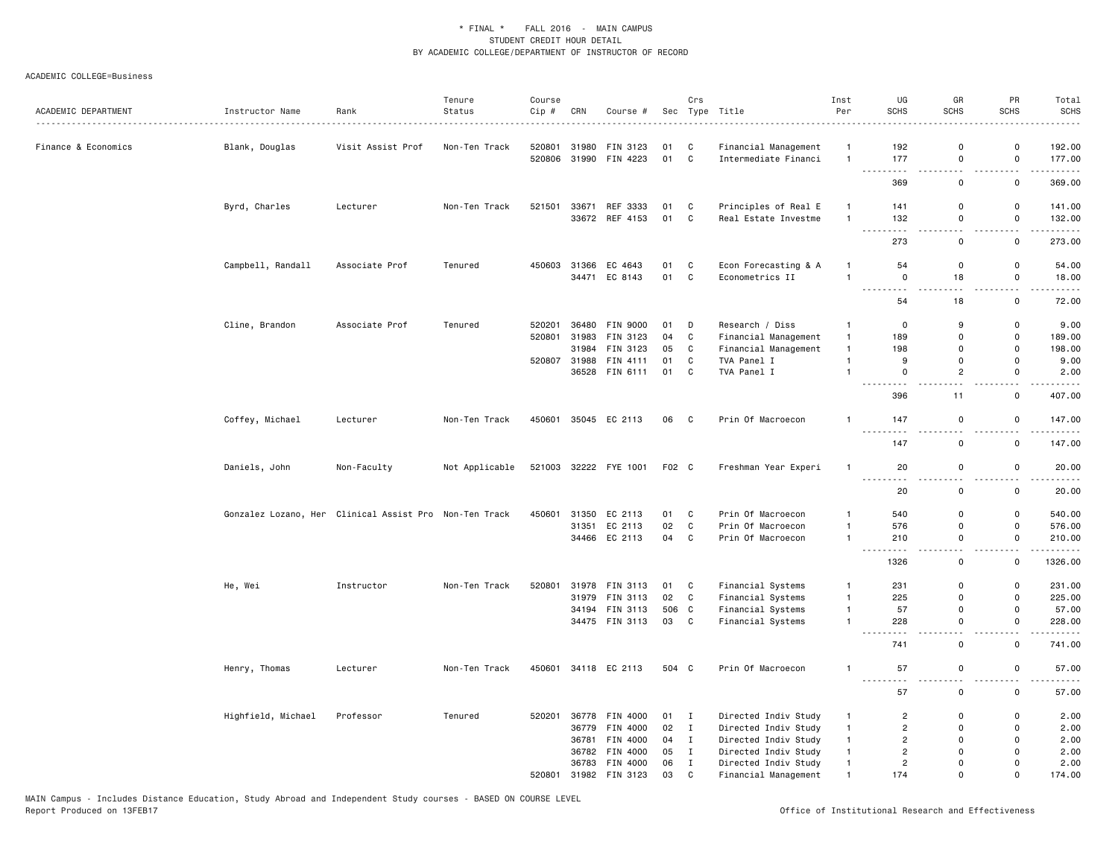| ACADEMIC DEPARTMENT | Instructor Name    | Rank                                                   | Tenure<br>Status | Course<br>Cip # | CRN   | Course #              |        | Crs                        | Sec Type Title       | Inst<br>Per    | UG<br>SCHS                                                                                                                       | GR<br><b>SCHS</b>  | PR<br><b>SCHS</b>            | Total<br><b>SCHS</b>                                                                                                                                          |
|---------------------|--------------------|--------------------------------------------------------|------------------|-----------------|-------|-----------------------|--------|----------------------------|----------------------|----------------|----------------------------------------------------------------------------------------------------------------------------------|--------------------|------------------------------|---------------------------------------------------------------------------------------------------------------------------------------------------------------|
| Finance & Economics | Blank, Douglas     | Visit Assist Prof                                      | Non-Ten Track    | 520801          |       | 31980 FIN 3123        | 01     | C                          | Financial Management | -1             | 192                                                                                                                              | 0                  | 0                            | 192.00                                                                                                                                                        |
|                     |                    |                                                        |                  | 520806          |       | 31990 FIN 4223        | 01     | $\overline{\phantom{a}}$ C | Intermediate Financi | $\mathbf{1}$   | 177                                                                                                                              | $\mathsf 0$        | $\mathsf 0$                  | 177.00<br>$\omega$ is a $\omega$                                                                                                                              |
|                     |                    |                                                        |                  |                 |       |                       |        |                            |                      |                | 369                                                                                                                              | 0                  | 0                            | 369.00                                                                                                                                                        |
|                     | Byrd, Charles      | Lecturer                                               | Non-Ten Track    | 521501          |       | 33671 REF 3333        | 01     | C                          | Principles of Real E | $\overline{1}$ | 141                                                                                                                              | 0                  | $\mathbf 0$                  | 141.00                                                                                                                                                        |
|                     |                    |                                                        |                  |                 |       | 33672 REF 4153        | 01     | C                          | Real Estate Investme | $\overline{1}$ | 132                                                                                                                              | 0                  | $\mathbf 0$                  | 132.00                                                                                                                                                        |
|                     |                    |                                                        |                  |                 |       |                       |        |                            |                      |                | .<br>273                                                                                                                         | $ -$<br>0          | $ -$<br>0                    | $- - - -$<br>273.00                                                                                                                                           |
|                     | Campbell, Randall  | Associate Prof                                         | Tenured          | 450603          |       | 31366 EC 4643         | 01     | C                          | Econ Forecasting & A | $\overline{1}$ | 54                                                                                                                               | 0                  | $\mathsf{o}$                 | 54.00                                                                                                                                                         |
|                     |                    |                                                        |                  |                 |       | 34471 EC 8143         | 01     | C                          | Econometrics II      | $\overline{1}$ | $\mathsf 0$                                                                                                                      | 18                 | 0                            | 18.00                                                                                                                                                         |
|                     |                    |                                                        |                  |                 |       |                       |        |                            |                      |                | $\sim 100$ km s $^{-1}$<br>$\sim$ $\sim$ $\sim$<br>54                                                                            | 18                 | $ -$<br>$\mathbf 0$          | $\frac{1}{2} \left( \frac{1}{2} \right) \left( \frac{1}{2} \right) \left( \frac{1}{2} \right) \left( \frac{1}{2} \right) \left( \frac{1}{2} \right)$<br>72.00 |
|                     | Cline, Brandon     | Associate Prof                                         | Tenured          | 520201          |       | 36480 FIN 9000        | 01     | D                          | Research / Diss      | $\mathbf{1}$   | 0                                                                                                                                | 9                  | 0                            | 9.00                                                                                                                                                          |
|                     |                    |                                                        |                  | 520801          |       | 31983 FIN 3123        | 04     | C                          | Financial Management | $\mathbf{1}$   | 189                                                                                                                              | $\Omega$           | $\mathsf 0$                  | 189.00                                                                                                                                                        |
|                     |                    |                                                        |                  |                 |       | 31984 FIN 3123        | 05     | C                          | Financial Management | $\overline{1}$ | 198                                                                                                                              | 0                  | 0                            | 198.00                                                                                                                                                        |
|                     |                    |                                                        |                  |                 |       | 520807 31988 FIN 4111 | 01     | C                          | TVA Panel I          | $\overline{1}$ | 9                                                                                                                                | 0                  | 0                            | 9.00                                                                                                                                                          |
|                     |                    |                                                        |                  |                 |       | 36528 FIN 6111        | 01     | $\mathbf{C}$               | TVA Panel I          | $\mathbf{1}$   | $\mathbf 0$                                                                                                                      | $\overline{c}$     | $\mathbf 0$                  | 2.00                                                                                                                                                          |
|                     |                    |                                                        |                  |                 |       |                       |        |                            |                      |                | $\sim$ $\sim$ $\sim$<br>$\frac{1}{2}$<br>396                                                                                     | 11                 | $\sim$<br>0                  | .<br>407.00                                                                                                                                                   |
|                     | Coffey, Michael    | Lecturer                                               | Non-Ten Track    | 450601          |       | 35045 EC 2113         | 06     | $\mathbf{C}$               | Prin Of Macroecon    | $\mathbf{1}$   | 147                                                                                                                              | 0                  | 0                            | 147.00                                                                                                                                                        |
|                     |                    |                                                        |                  |                 |       |                       |        |                            |                      |                | $\frac{1}{2} \left( \frac{1}{2} \right) \left( \frac{1}{2} \right) \left( \frac{1}{2} \right) \left( \frac{1}{2} \right)$<br>147 | $ -$<br>0          | $- -$<br>0                   | <u>.</u><br>147.00                                                                                                                                            |
|                     | Daniels, John      | Non-Faculty                                            | Not Applicable   | 521003          |       | 32222 FYE 1001        | F02 C  |                            | Freshman Year Experi | $\overline{1}$ | 20                                                                                                                               | 0                  | 0                            | 20.00                                                                                                                                                         |
|                     |                    |                                                        |                  |                 |       |                       |        |                            |                      |                |                                                                                                                                  |                    |                              |                                                                                                                                                               |
|                     |                    |                                                        |                  |                 |       |                       |        |                            |                      |                | 20                                                                                                                               | $\mathbf 0$        | 0                            | 20.00                                                                                                                                                         |
|                     |                    | Gonzalez Lozano, Her Clinical Assist Pro Non-Ten Track |                  | 450601          |       | 31350 EC 2113         | 01     | C                          | Prin Of Macroecon    | $\mathbf{1}$   | 540                                                                                                                              | 0                  | 0                            | 540.00                                                                                                                                                        |
|                     |                    |                                                        |                  |                 | 31351 | EC 2113               | 02     | C                          | Prin Of Macroecon    | $\overline{1}$ | 576                                                                                                                              | 0                  | $\mathbf 0$                  | 576.00                                                                                                                                                        |
|                     |                    |                                                        |                  |                 |       | 34466 EC 2113         | 04     | $\mathbf{C}$               | Prin Of Macroecon    | $\mathbf{1}$   | 210                                                                                                                              | $\mathbf 0$        | $\mathsf 0$<br>$\sim$ $\sim$ | 210.00<br><u>.</u>                                                                                                                                            |
|                     |                    |                                                        |                  |                 |       |                       |        |                            |                      |                | 1326                                                                                                                             | 0                  | 0                            | 1326.00                                                                                                                                                       |
|                     | He, Wei            | Instructor                                             | Non-Ten Track    | 520801          |       | 31978 FIN 3113        | 01 C   |                            | Financial Systems    | $\mathbf{1}$   | 231                                                                                                                              | 0                  | 0                            | 231.00                                                                                                                                                        |
|                     |                    |                                                        |                  |                 |       | 31979 FIN 3113        | 02     | $\mathbf{C}$               | Financial Systems    | $\overline{1}$ | 225                                                                                                                              | 0                  | 0                            | 225.00                                                                                                                                                        |
|                     |                    |                                                        |                  |                 |       | 34194 FIN 3113        | 506 C  |                            | Financial Systems    | $\mathbf{1}$   | 57                                                                                                                               | 0                  | $\mathsf 0$                  | 57.00                                                                                                                                                         |
|                     |                    |                                                        |                  |                 |       | 34475 FIN 3113        | 03     | $\overline{\phantom{a}}$ C | Financial Systems    | $\overline{1}$ | 228                                                                                                                              | 0<br>$\sim$ $\sim$ | 0<br>$\sim$ $\sim$           | 228.00<br>.                                                                                                                                                   |
|                     |                    |                                                        |                  |                 |       |                       |        |                            |                      |                | 741                                                                                                                              | $\mathsf 0$        | 0                            | 741.00                                                                                                                                                        |
|                     | Henry, Thomas      | Lecturer                                               | Non-Ten Track    | 450601          |       | 34118 EC 2113         | 504 C  |                            | Prin Of Macroecon    | $\mathbf{1}$   | 57<br>$\sim$ $\sim$ $\sim$                                                                                                       | 0<br>٠.            | 0<br>. .                     | 57.00<br>$- - - -$                                                                                                                                            |
|                     |                    |                                                        |                  |                 |       |                       |        |                            |                      |                | .<br>57                                                                                                                          | 0                  | 0                            | 57.00                                                                                                                                                         |
|                     | Highfield, Michael | Professor                                              | Tenured          | 520201          |       | 36778 FIN 4000        | $01$ I |                            | Directed Indiv Study | $\mathbf{1}$   | $\overline{2}$                                                                                                                   | 0                  | $\mathbf 0$                  | 2.00                                                                                                                                                          |
|                     |                    |                                                        |                  |                 |       | 36779 FIN 4000        | 02     | $\mathbf{I}$               | Directed Indiv Study | $\mathbf{1}$   | $\overline{c}$                                                                                                                   | 0                  | 0                            | 2.00                                                                                                                                                          |
|                     |                    |                                                        |                  |                 |       | 36781 FIN 4000        | 04     | $\mathbf{I}$               | Directed Indiv Study | $\mathbf{1}$   | $\overline{c}$                                                                                                                   | 0                  | $\mathbf 0$                  | 2.00                                                                                                                                                          |
|                     |                    |                                                        |                  |                 |       | 36782 FIN 4000        | 05     | $\mathbf{I}$               | Directed Indiv Study | $\mathbf{1}$   | $\overline{c}$                                                                                                                   | 0                  | $\Omega$                     | 2.00                                                                                                                                                          |
|                     |                    |                                                        |                  |                 |       | 36783 FIN 4000        | 06     | $\;$ I                     | Directed Indiv Study | $\mathbf{1}$   | $\overline{c}$                                                                                                                   | $\mathbf{0}$       | $\mathsf{o}$                 | 2.00                                                                                                                                                          |
|                     |                    |                                                        |                  | 520801          |       | 31982 FIN 3123        | 03     | $\mathbf{C}$               | Financial Management | $\overline{1}$ | 174                                                                                                                              | $\mathbf{0}$       | $\Omega$                     | 174.00                                                                                                                                                        |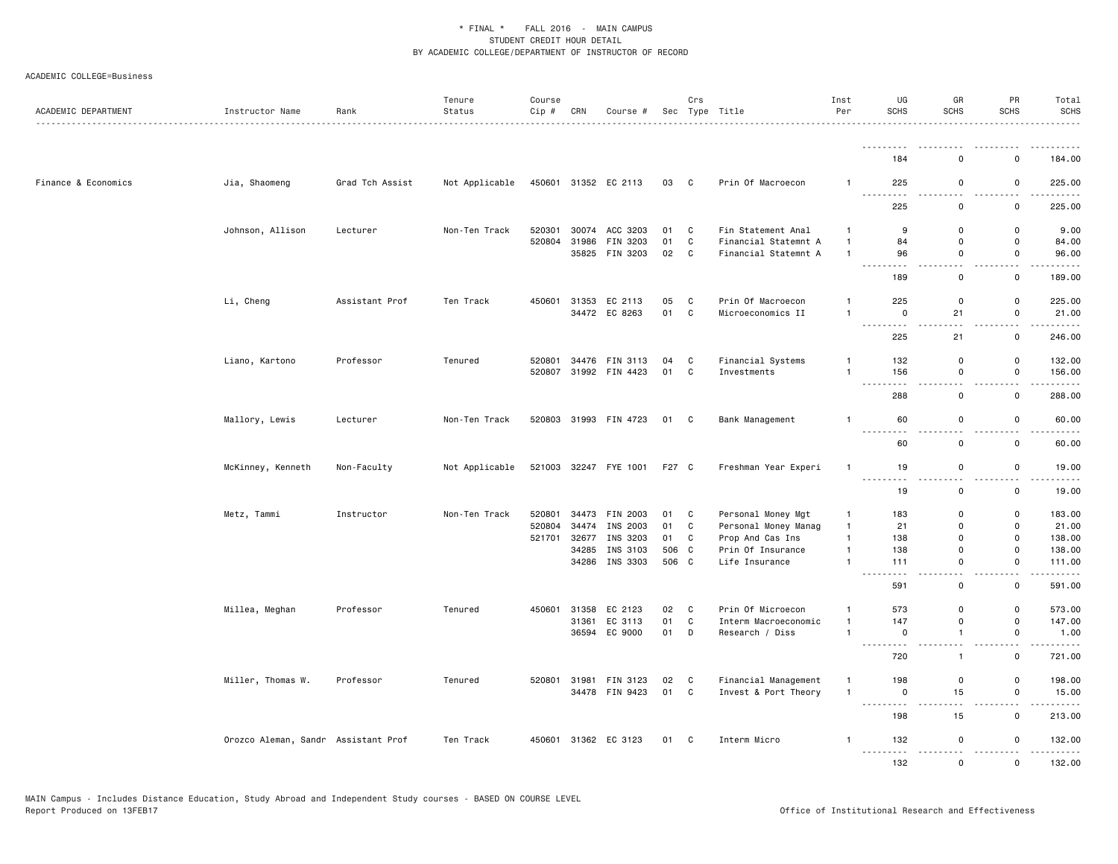| ACADEMIC DEPARTMENT | Instructor Name                     | Rank            | Tenure<br>Status | Course<br>Cip # | CRN   | Course #              |       | Crs            | Sec Type Title       | Inst<br>Per    | UG<br><b>SCHS</b>                                        | GR<br>SCHS                   | PR<br>SCHS                              | Total<br><b>SCHS</b>   |
|---------------------|-------------------------------------|-----------------|------------------|-----------------|-------|-----------------------|-------|----------------|----------------------|----------------|----------------------------------------------------------|------------------------------|-----------------------------------------|------------------------|
|                     |                                     |                 |                  |                 |       |                       |       |                |                      |                | <u>.</u>                                                 |                              |                                         |                        |
|                     |                                     |                 |                  |                 |       |                       |       |                |                      |                | 184                                                      | $\Omega$                     | 0                                       | 184.00                 |
| Finance & Economics | Jia, Shaomeng                       | Grad Tch Assist | Not Applicable   |                 |       | 450601 31352 EC 2113  | 03 C  |                | Prin Of Macroecon    | $\mathbf{1}$   | 225<br><u>.</u>                                          | 0<br>$\sim$ $\sim$           | 0                                       | 225.00                 |
|                     |                                     |                 |                  |                 |       |                       |       |                |                      |                | 225                                                      | $\mathsf 0$                  | $\mathbf 0$                             | 225.00                 |
|                     | Johnson, Allison                    | Lecturer        | Non-Ten Track    | 520301          |       | 30074 ACC 3203        | 01    | C.             | Fin Statement Anal   | $\mathbf{1}$   | 9                                                        | $\Omega$                     | 0                                       | 9.00                   |
|                     |                                     |                 |                  | 520804          |       | 31986 FIN 3203        | 01    | C              | Financial Statemnt A | $\overline{1}$ | 84                                                       | 0                            | $\mathsf 0$                             | 84.00                  |
|                     |                                     |                 |                  |                 |       | 35825 FIN 3203        | 02 C  |                | Financial Statemnt A | $\overline{1}$ | 96<br><u>.</u>                                           | $\mathbf 0$<br>$\sim$        | $\mathsf{o}$<br>$\sim$ $\sim$           | 96.00<br>$- - - - -$   |
|                     |                                     |                 |                  |                 |       |                       |       |                |                      |                | 189                                                      | $\mathbf 0$                  | 0                                       | 189.00                 |
|                     | Li, Cheng                           | Assistant Prof  | Ten Track        | 450601          |       | 31353 EC 2113         | 05    | C              | Prin Of Macroecon    | $\mathbf{1}$   | 225                                                      | 0                            | $\mathbf 0$                             | 225.00                 |
|                     |                                     |                 |                  |                 |       | 34472 EC 8263         | 01 C  |                | Microeconomics II    | $\overline{1}$ | 0<br>$- - - - -$<br>$\sim$ $\sim$ $\sim$                 | 21                           | $\mathsf 0$<br>$\sim$                   | 21.00<br>.             |
|                     |                                     |                 |                  |                 |       |                       |       |                |                      |                | 225                                                      | 21                           | 0                                       | 246.00                 |
|                     | Liano, Kartono                      | Professor       | Tenured          | 520801          |       | 34476 FIN 3113        | 04 C  |                | Financial Systems    | $\mathbf{1}$   | 132                                                      | 0                            | $\mathbf 0$                             | 132.00                 |
|                     |                                     |                 |                  |                 |       | 520807 31992 FIN 4423 | 01    | $\overline{c}$ | Investments          | $\mathbf{1}$   | 156                                                      | $\mathbf 0$                  | $\mathsf 0$                             | 156.00                 |
|                     |                                     |                 |                  |                 |       |                       |       |                |                      |                | $\sim$ $\sim$ $\sim$<br>288                              | 0                            | 0                                       | 288.00                 |
|                     | Mallory, Lewis                      | Lecturer        | Non-Ten Track    |                 |       | 520803 31993 FIN 4723 | 01 C  |                | Bank Management      | $\overline{1}$ | 60                                                       | $\mathsf 0$                  | $\mathsf 0$                             | 60.00                  |
|                     |                                     |                 |                  |                 |       |                       |       |                |                      |                | $\frac{1}{2}$<br>- - -<br>60                             | $\mathbf 0$                  | $\mathsf{o}$                            | 60.00                  |
|                     | McKinney, Kenneth                   | Non-Faculty     | Not Applicable   |                 |       | 521003 32247 FYE 1001 | F27 C |                | Freshman Year Experi | $\mathbf{1}$   | 19                                                       | $\mathsf 0$                  | 0                                       | 19.00                  |
|                     |                                     |                 |                  |                 |       |                       |       |                |                      |                | .<br>19                                                  | $\sim$<br>0                  | $\sim$ $\sim$<br>0                      | .<br>19.00             |
|                     | Metz, Tammi                         | Instructor      | Non-Ten Track    | 520801          |       | 34473 FIN 2003        | 01 C  |                | Personal Money Mgt   | $\mathbf{1}$   | 183                                                      | 0                            | 0                                       | 183.00                 |
|                     |                                     |                 |                  | 520804          | 34474 | INS 2003              | 01    | C              | Personal Money Manag | $\mathbf{1}$   | 21                                                       | 0                            | $\mathbf 0$                             | 21.00                  |
|                     |                                     |                 |                  | 521701          |       | 32677 INS 3203        | 01    | C              | Prop And Cas Ins     | $\mathbf{1}$   | 138                                                      | 0                            | $\mathsf 0$                             | 138.00                 |
|                     |                                     |                 |                  |                 |       | 34285 INS 3103        | 506 C |                | Prin Of Insurance    | $\mathbf{1}$   | 138                                                      | 0                            | 0                                       | 138.00                 |
|                     |                                     |                 |                  |                 |       | 34286 INS 3303        | 506 C |                | Life Insurance       | $\mathbf{1}$   | 111<br>$\sim$ $\sim$                                     | $\mathbf 0$<br>$\sim$ $\sim$ | 0                                       | 111.00                 |
|                     |                                     |                 |                  |                 |       |                       |       |                |                      |                | 591                                                      | 0                            | 0                                       | 591.00                 |
|                     | Millea, Meghan                      | Professor       | Tenured          |                 |       | 450601 31358 EC 2123  | 02    | C              | Prin Of Microecon    | $\mathbf{1}$   | 573                                                      | 0                            | 0                                       | 573.00                 |
|                     |                                     |                 |                  |                 |       | 31361 EC 3113         | 01    | $\mathbf c$    | Interm Macroeconomic | $\overline{1}$ | 147                                                      | $\mathbf 0$                  | $\mathsf 0$                             | 147.00                 |
|                     |                                     |                 |                  |                 | 36594 | EC 9000               | 01    | D              | Research / Diss      | $\overline{1}$ | $\mathbf 0$                                              | $\mathbf{1}$                 | $\mathsf 0$                             | 1.00                   |
|                     |                                     |                 |                  |                 |       |                       |       |                |                      |                | 720                                                      | $\mathbf{1}$                 | $\mathsf{o}$                            | 721.00                 |
|                     | Miller, Thomas W.                   | Professor       | Tenured          |                 |       | 520801 31981 FIN 3123 | 02    | $\mathbf{C}$   | Financial Management | $\overline{1}$ | 198                                                      | 0                            | 0                                       | 198.00                 |
|                     |                                     |                 |                  |                 |       | 34478 FIN 9423        | 01 C  |                | Invest & Port Theory | $\overline{1}$ | 0<br>$\sim$ $\sim$ $\sim$<br>$\sim$ $\sim$ $\sim$ $\sim$ | 15                           | $\mathsf 0$<br>$\overline{\phantom{a}}$ | 15.00                  |
|                     |                                     |                 |                  |                 |       |                       |       |                |                      |                | 198                                                      | 15                           | $\mathsf{o}$                            | 213.00                 |
|                     | Orozco Aleman, Sandr Assistant Prof |                 | Ten Track        |                 |       | 450601 31362 EC 3123  | 01 C  |                | Interm Micro         | $\mathbf{1}$   | 132<br>.                                                 | 0<br>.                       | 0                                       | 132.00<br>وعاعاه عامات |
|                     |                                     |                 |                  |                 |       |                       |       |                |                      |                | 132                                                      | $\mathbf{0}$                 | $\Omega$                                | 132.00                 |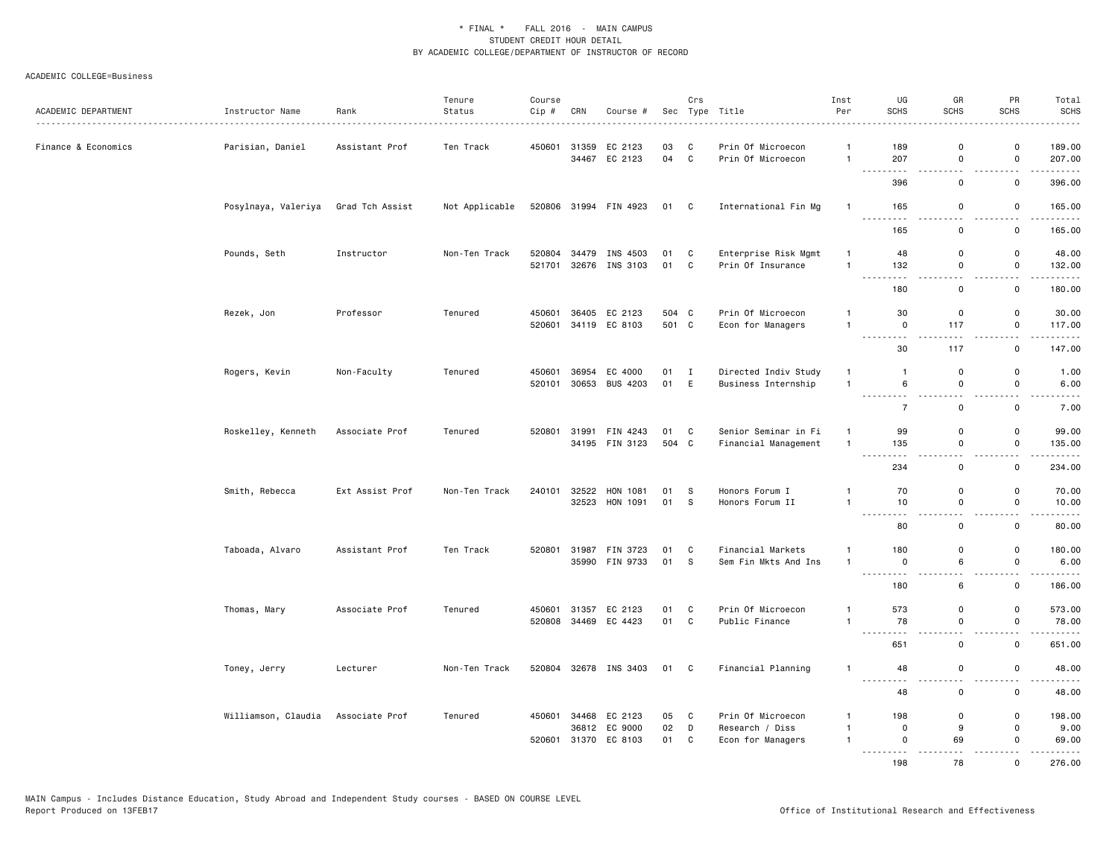| ACADEMIC DEPARTMENT | Instructor Name                    | Rank<br>.       | Tenure<br>Status | Course<br>Cip#   | CRN   | Course #                         |            | Crs                            | Sec Type Title                            | Inst<br>Per                    | UG<br><b>SCHS</b>                   | GR<br><b>SCHS</b>            | PR<br><b>SCHS</b>            | Total<br><b>SCHS</b><br>$- - - - -$   |
|---------------------|------------------------------------|-----------------|------------------|------------------|-------|----------------------------------|------------|--------------------------------|-------------------------------------------|--------------------------------|-------------------------------------|------------------------------|------------------------------|---------------------------------------|
| Finance & Economics | Parisian, Daniel                   | Assistant Prof  | Ten Track        | 450601           |       | 31359 EC 2123<br>34467 EC 2123   | 03<br>04 C | C                              | Prin Of Microecon<br>Prin Of Microecon    | $\mathbf{1}$<br>$\overline{1}$ | 189<br>207                          | $\Omega$<br>0                | $\Omega$<br>0                | 189.00<br>207.00                      |
|                     |                                    |                 |                  |                  |       |                                  |            |                                |                                           |                                | 396                                 | - -<br>$\mathbf 0$           | 0                            | .<br>396.00                           |
|                     | Posylnaya, Valeriya                | Grad Tch Assist | Not Applicable   |                  |       | 520806 31994 FIN 4923            | 01 C       |                                | International Fin Mg                      | $\overline{1}$                 | 165                                 | 0                            | 0                            | 165.00                                |
|                     |                                    |                 |                  |                  |       |                                  |            |                                |                                           |                                | <u>.</u><br>165                     | $ -$<br>0                    | $\sim$ $\sim$<br>0           | .<br>165.00                           |
|                     | Pounds, Seth                       | Instructor      | Non-Ten Track    | 520804<br>521701 |       | 34479 INS 4503<br>32676 INS 3103 | 01<br>01   | $\overline{c}$<br>$\mathbf{C}$ | Enterprise Risk Mgmt<br>Prin Of Insurance | $\mathbf{1}$<br>$\mathbf{1}$   | 48<br>132                           | $\mathbf 0$<br>0             | $\mathsf{o}$<br>$\mathsf 0$  | 48.00<br>132.00                       |
|                     |                                    |                 |                  |                  |       |                                  |            |                                |                                           |                                | $\sim$ $\sim$<br>180                | 0                            | 0                            | $\sim$ $\sim$ $\sim$ $\sim$<br>180.00 |
|                     | Rezek, Jon                         | Professor       | Tenured          | 450601           |       | 36405 EC 2123                    | 504 C      |                                | Prin Of Microecon                         | $\mathbf{1}$                   | 30                                  | 0                            | 0                            | 30.00                                 |
|                     |                                    |                 |                  | 520601           |       | 34119 EC 8103                    | 501 C      |                                | Econ for Managers                         | $\overline{1}$                 | 0<br>$\omega$ is a<br>$\sim$ $\sim$ | 117                          | 0                            | 117.00                                |
|                     |                                    |                 |                  |                  |       |                                  |            |                                |                                           |                                | 30                                  | 117                          | $\mathsf 0$                  | 147.00                                |
|                     | Rogers, Kevin                      | Non-Faculty     | Tenured          | 450601           |       | 36954 EC 4000                    | 01 I       |                                | Directed Indiv Study                      | $\overline{1}$                 | $\mathbf{1}$                        | 0                            | 0                            | 1.00                                  |
|                     |                                    |                 |                  |                  |       | 520101 30653 BUS 4203            | 01 E       |                                | Business Internship                       | $\overline{1}$                 | 6<br><u>.</u>                       | $\mathbf 0$<br>$\sim$ $\sim$ | $\mathbf 0$<br>$\sim$ $\sim$ | 6.00<br>$\frac{1}{2}$                 |
|                     |                                    |                 |                  |                  |       |                                  |            |                                |                                           |                                | $\overline{7}$                      | $\mathbf 0$                  | 0                            | 7.00                                  |
|                     | Roskelley, Kenneth                 | Associate Prof  | Tenured          | 520801           |       | 31991 FIN 4243                   | 01 C       |                                | Senior Seminar in Fi                      | $\mathbf{1}$                   | 99                                  | 0                            | $\mathbf 0$                  | 99.00                                 |
|                     |                                    |                 |                  |                  |       | 34195 FIN 3123                   | 504 C      |                                | Financial Management                      | $\overline{1}$                 | 135                                 | $\mathsf 0$                  | $\mathsf 0$                  | 135.00                                |
|                     |                                    |                 |                  |                  |       |                                  |            |                                |                                           |                                | 234                                 | 0                            | 0                            | 234.00                                |
|                     | Smith, Rebecca                     | Ext Assist Prof | Non-Ten Track    | 240101           | 32522 | HON 1081                         | 01         | S                              | Honors Forum I                            | $\mathbf{1}$                   | 70                                  | 0                            | 0                            | 70.00                                 |
|                     |                                    |                 |                  |                  |       | 32523 HON 1091                   | 01         | S.                             | Honors Forum II                           | $\mathbf{1}$                   | 10<br><u>.</u>                      | $\mathsf 0$<br>$\sim$ $\sim$ | $\mathsf 0$<br>$\sim$ $\sim$ | 10.00<br>$    -$                      |
|                     |                                    |                 |                  |                  |       |                                  |            |                                |                                           |                                | 80                                  | 0                            | $\mathbf 0$                  | 80.00                                 |
|                     | Taboada, Alvaro                    | Assistant Prof  | Ten Track        | 520801           |       | 31987 FIN 3723                   | 01         | C                              | Financial Markets                         | $\mathbf{1}$                   | 180                                 | $\mathbf 0$                  | $\mathsf{o}$                 | 180.00                                |
|                     |                                    |                 |                  |                  |       | 35990 FIN 9733                   | 01         | S.                             | Sem Fin Mkts And Ins                      | $\overline{1}$                 | $\mathsf 0$<br><u>.</u>             | 6<br>$\sim$ $\sim$           | 0<br>$-$                     | 6.00<br>.                             |
|                     |                                    |                 |                  |                  |       |                                  |            |                                |                                           |                                | 180                                 | 6                            | 0                            | 186.00                                |
|                     | Thomas, Mary                       | Associate Prof  | Tenured          |                  |       | 450601 31357 EC 2123             | 01         | C                              | Prin Of Microecon                         | $\mathbf{1}$                   | 573                                 | 0                            | $\mathbf 0$                  | 573.00                                |
|                     |                                    |                 |                  | 520808           |       | 34469 EC 4423                    | 01         | C                              | Public Finance                            | $\mathbf{1}$                   | 78<br>$\sim$ $\sim$ $\sim$          | $\mathsf 0$                  | $\mathsf 0$<br>- -           | 78.00<br>.                            |
|                     |                                    |                 |                  |                  |       |                                  |            |                                |                                           |                                | 651                                 | $\mathbf 0$                  | 0                            | 651.00                                |
|                     | Toney, Jerry                       | Lecturer        | Non-Ten Track    |                  |       | 520804 32678 INS 3403            | 01         | $\mathbf{C}$                   | Financial Planning                        | $\mathbf{1}$                   | 48<br><u>.</u>                      | 0                            | 0                            | 48.00                                 |
|                     |                                    |                 |                  |                  |       |                                  |            |                                |                                           |                                | 48                                  | $\mathbf 0$                  | $\mathbf 0$                  | 48.00                                 |
|                     | Williamson, Claudia Associate Prof |                 | Tenured          | 450601           |       | 34468 EC 2123                    | 05         | C                              | Prin Of Microecon                         | $\mathbf{1}$                   | 198                                 | 0                            | 0                            | 198.00                                |
|                     |                                    |                 |                  | 520601           |       | 36812 EC 9000<br>31370 EC 8103   | 02<br>01   | D<br>C                         | Research / Diss<br>Econ for Managers      | $\mathbf{1}$<br>$\overline{1}$ | $\mathbf 0$<br>$\mathbf 0$          | 9<br>69                      | 0<br>0                       | 9.00<br>69.00                         |
|                     |                                    |                 |                  |                  |       |                                  |            |                                |                                           |                                | .<br>198                            | 78                           | $\Omega$                     | 276.00                                |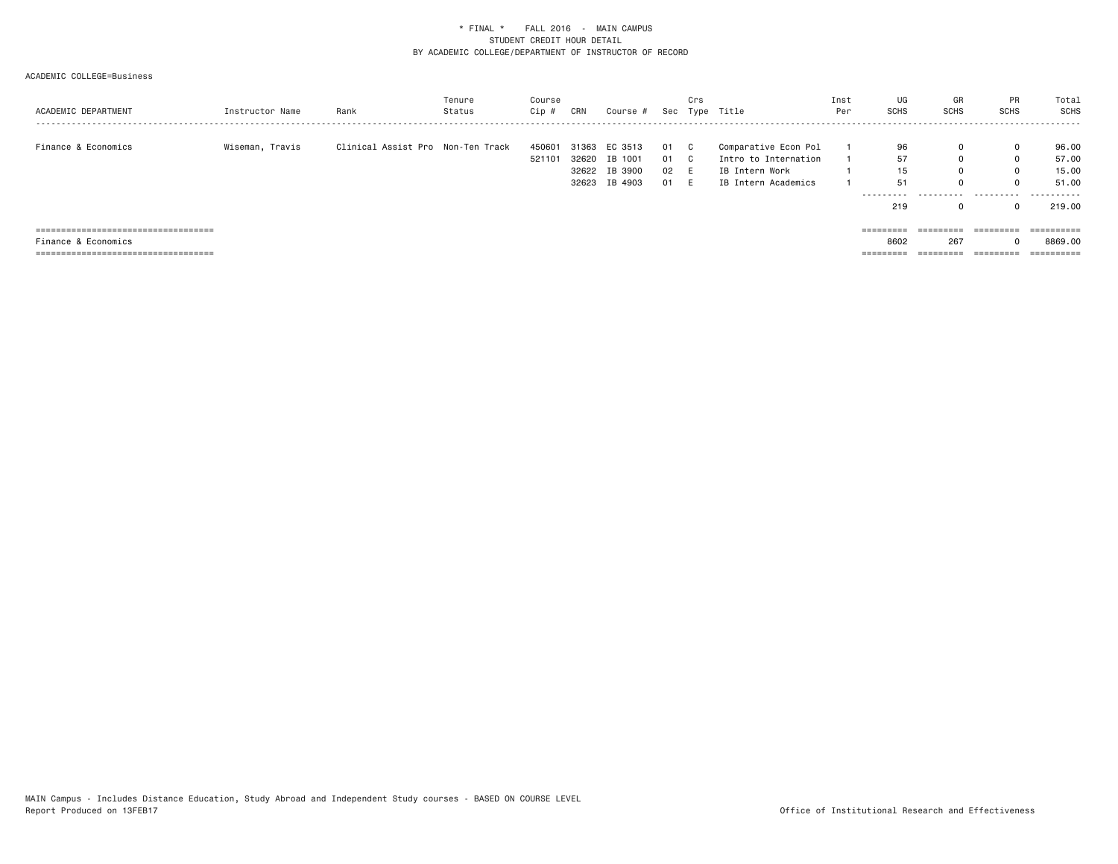| ACADEMIC DEPARTMENT                    | Instructor Name | Rank                              | Tenure<br>Status | Course<br>Cip #  | CRN | Course #                                                         |                              | Crs | Sec Type Title                                                                        | Inst<br>Per | UG<br><b>SCHS</b>             | GR<br>SCHS       | PR<br>SCHS | Total<br>SCHS                                            |
|----------------------------------------|-----------------|-----------------------------------|------------------|------------------|-----|------------------------------------------------------------------|------------------------------|-----|---------------------------------------------------------------------------------------|-------------|-------------------------------|------------------|------------|----------------------------------------------------------|
| Finance & Economics                    | Wiseman, Travis | Clinical Assist Pro Non-Ten Track |                  | 450601<br>521101 |     | 31363 EC 3513<br>32620 IB 1001<br>32622 IB 3900<br>32623 IB 4903 | 01 C<br>01 C<br>02 E<br>01 E |     | Comparative Econ Pol<br>Intro to Internation<br>IB Intern Work<br>IB Intern Academics |             | 96<br>57<br>15<br>51<br>----- | 0<br>0<br>0<br>0 | 0          | 96.00<br>57.00<br>15.00<br>51.00<br>- - - - - - <b>-</b> |
|                                        |                 |                                   |                  |                  |     |                                                                  |                              |     |                                                                                       |             | 219                           | 0                |            | 219.00                                                   |
| ====================================== |                 |                                   |                  |                  |     |                                                                  |                              |     |                                                                                       |             | =========                     | =========        |            | $=$ = = = = = = = = $=$                                  |
| Finance & Economics                    |                 |                                   |                  |                  |     |                                                                  |                              |     |                                                                                       |             | 8602                          | 267              |            | 8869.00                                                  |
| =====================================  |                 |                                   |                  |                  |     |                                                                  |                              |     |                                                                                       |             | ======                        |                  | ---------- | ==========                                               |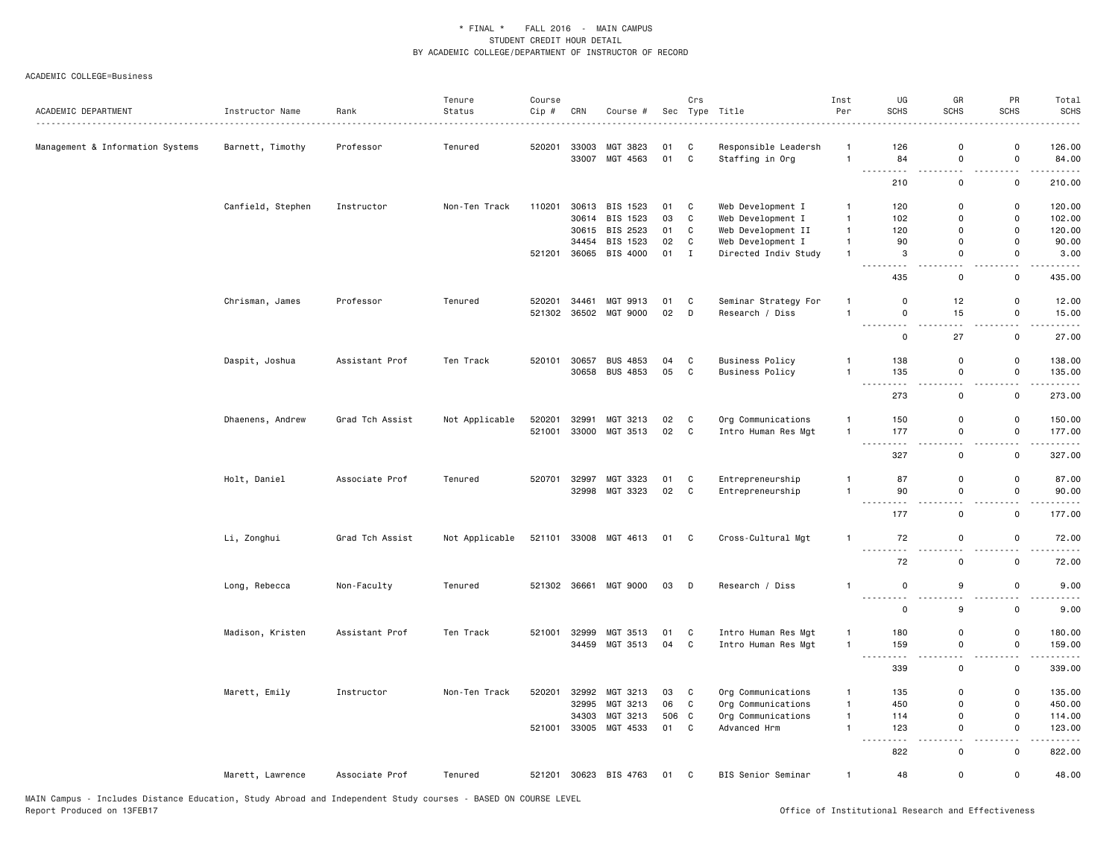| ACADEMIC DEPARTMENT              | Instructor Name   | Rank<br>. <u>.</u> . | Tenure<br>Status | Course<br>Cip # | CRN   | Course #              |        | Crs          | Sec Type Title<br>.    | Inst<br>Per    | UG<br><b>SCHS</b>                                                                                     | GR<br><b>SCHS</b>                       | PR<br><b>SCHS</b>                        | Total<br><b>SCHS</b> |
|----------------------------------|-------------------|----------------------|------------------|-----------------|-------|-----------------------|--------|--------------|------------------------|----------------|-------------------------------------------------------------------------------------------------------|-----------------------------------------|------------------------------------------|----------------------|
| Management & Information Systems | Barnett, Timothy  | Professor            | Tenured          | 520201          |       | 33003 MGT 3823        | 01     | $\mathbf{C}$ | Responsible Leadersh   | -1             | 126                                                                                                   | $\mathbf 0$                             | 0                                        | 126.00               |
|                                  |                   |                      |                  |                 | 33007 | MGT 4563              | 01 C   |              | Staffing in Org        | $\overline{1}$ | 84<br>$\sim$ $\sim$                                                                                   | $\mathbf 0$<br>$\overline{\phantom{a}}$ | $\mathsf{o}$<br>$\overline{\phantom{0}}$ | 84.00<br>.           |
|                                  |                   |                      |                  |                 |       |                       |        |              |                        |                | 210                                                                                                   | $\mathsf 0$                             | $\mathsf 0$                              | 210.00               |
|                                  | Canfield, Stephen | Instructor           | Non-Ten Track    | 110201          |       | 30613 BIS 1523        | 01     | C            | Web Development I      | $\overline{1}$ | 120                                                                                                   | $\mathbf 0$                             | $\mathsf 0$                              | 120.00               |
|                                  |                   |                      |                  |                 |       | 30614 BIS 1523        | 03     | C            | Web Development I      | $\overline{1}$ | 102                                                                                                   | $\Omega$                                | $\mathsf 0$                              | 102.00               |
|                                  |                   |                      |                  |                 |       | 30615 BIS 2523        | 01     | C            | Web Development II     | $\overline{1}$ | 120                                                                                                   | $\Omega$                                | $\mathsf 0$                              | 120.00               |
|                                  |                   |                      |                  |                 | 34454 | BIS 1523              | 02     | C            | Web Development I      | $\overline{1}$ | 90                                                                                                    | $\Omega$                                | 0                                        | 90.00                |
|                                  |                   |                      |                  |                 |       | 521201 36065 BIS 4000 | $01$ I |              | Directed Indiv Study   | $\mathbf{1}$   | 3                                                                                                     | $\mathbf 0$                             | $\mathsf 0$                              | 3.00                 |
|                                  |                   |                      |                  |                 |       |                       |        |              |                        |                | $\sim$ $\sim$<br>435                                                                                  | - -<br>$\mathsf 0$                      | $\sim$ $\sim$<br>$\mathsf 0$             | 435.00               |
|                                  | Chrisman, James   | Professor            | Tenured          | 520201          | 34461 | MGT 9913              | 01     | C            | Seminar Strategy For   | $\mathbf{1}$   | $\mathbf 0$                                                                                           | 12                                      | $\mathsf 0$                              | 12.00                |
|                                  |                   |                      |                  | 521302          | 36502 | MGT 9000              | 02     | D            | Research / Diss        | $\mathbf{1}$   | $\mathsf 0$                                                                                           | 15<br>$\sim$ $\sim$                     | 0                                        | 15.00<br>.           |
|                                  |                   |                      |                  |                 |       |                       |        |              |                        |                | .<br>$\mathbf 0$                                                                                      | 27                                      | $\overline{\phantom{a}}$<br>$\mathsf 0$  | 27.00                |
|                                  | Daspit, Joshua    | Assistant Prof       | Ten Track        | 520101          | 30657 | <b>BUS 4853</b>       | 04     | C            | <b>Business Policy</b> | $\mathbf{1}$   | 138                                                                                                   | $\mathbf 0$                             | 0                                        | 138.00               |
|                                  |                   |                      |                  |                 |       | 30658 BUS 4853        | 05     | $\mathbf{C}$ | <b>Business Policy</b> | $\overline{1}$ | 135<br>.                                                                                              | $\mathbf 0$<br>$\sim$ $\sim$            | $\mathsf 0$                              | 135.00               |
|                                  |                   |                      |                  |                 |       |                       |        |              |                        |                | 273                                                                                                   | $\mathbf 0$                             | 0                                        | 273.00               |
|                                  | Dhaenens, Andrew  | Grad Tch Assist      | Not Applicable   | 520201          | 32991 | MGT 3213              | 02     | C            | Org Communications     | $\overline{1}$ | 150                                                                                                   | $\mathbf 0$                             | $\mathsf{o}$                             | 150.00               |
|                                  |                   |                      |                  |                 |       | 521001 33000 MGT 3513 | 02 C   |              | Intro Human Res Mgt    | $\mathbf{1}$   | 177<br>$\frac{1}{2} \left( \frac{1}{2} \right) \left( \frac{1}{2} \right) \left( \frac{1}{2} \right)$ | $\mathsf 0$<br>$-$                      | $\mathsf{o}$<br>$ -$                     | 177.00<br>.          |
|                                  |                   |                      |                  |                 |       |                       |        |              |                        |                | 327                                                                                                   | $\mathsf{o}$                            | $\mathsf 0$                              | 327.00               |
|                                  | Holt, Daniel      | Associate Prof       | Tenured          | 520701          |       | 32997 MGT 3323        | 01     | C            | Entrepreneurship       | $\overline{1}$ | 87                                                                                                    | $\mathbf 0$                             | $\mathsf 0$                              | 87.00                |
|                                  |                   |                      |                  |                 |       | 32998 MGT 3323        | 02     | C            | Entrepreneurship       | $\overline{1}$ | 90                                                                                                    | $\mathbf 0$                             | 0                                        | 90.00                |
|                                  |                   |                      |                  |                 |       |                       |        |              |                        |                | 177                                                                                                   | $\mathsf 0$                             | 0                                        | 177.00               |
|                                  | Li, Zonghui       | Grad Tch Assist      | Not Applicable   |                 |       | 521101 33008 MGT 4613 | 01 C   |              | Cross-Cultural Mgt     | $\overline{1}$ | 72                                                                                                    | $\mathsf 0$                             | 0                                        | 72.00                |
|                                  |                   |                      |                  |                 |       |                       |        |              |                        |                | .<br>72                                                                                               | $\sim$ $\sim$<br>$\mathsf 0$            | $\mathsf 0$                              | 72.00                |
|                                  | Long, Rebecca     | Non-Faculty          | Tenured          |                 |       | 521302 36661 MGT 9000 | 03     | $\mathsf{D}$ | Research / Diss        | $\overline{1}$ | $\mathsf 0$                                                                                           | 9                                       | $\mathsf{o}$                             | 9.00                 |
|                                  |                   |                      |                  |                 |       |                       |        |              |                        |                | $\mathbf 0$                                                                                           | 9                                       | $\mathsf 0$                              | 9.00                 |
|                                  | Madison, Kristen  | Assistant Prof       | Ten Track        | 521001          | 32999 | MGT 3513              | 01     | C            | Intro Human Res Mgt    | $\mathbf{1}$   | 180                                                                                                   | $\mathbf 0$                             | $\mathsf 0$                              | 180.00               |
|                                  |                   |                      |                  |                 |       | 34459 MGT 3513        | 04 C   |              | Intro Human Res Mgt    | $\overline{1}$ | 159                                                                                                   | $\mathbf 0$                             | 0                                        | 159.00               |
|                                  |                   |                      |                  |                 |       |                       |        |              |                        |                | 339                                                                                                   | н.<br>$\mathsf 0$                       | н.<br>0                                  | 339.00               |
|                                  | Marett, Emily     | Instructor           | Non-Ten Track    | 520201          |       | 32992 MGT 3213        | 03     | C            | Org Communications     | $\mathbf{1}$   | 135                                                                                                   | $\mathbf 0$                             | 0                                        | 135.00               |
|                                  |                   |                      |                  |                 | 32995 | MGT 3213              | 06     | C            | Org Communications     | $\overline{1}$ | 450                                                                                                   | $\mathbf 0$                             | $\mathsf 0$                              | 450.00               |
|                                  |                   |                      |                  |                 | 34303 | MGT 3213              | 506    | C            | Org Communications     | $\overline{1}$ | 114                                                                                                   | $\mathbf 0$                             | 0                                        | 114.00               |
|                                  |                   |                      |                  | 521001          | 33005 | MGT 4533              | 01 C   |              | Advanced Hrm           | $\overline{1}$ | 123                                                                                                   | $\mathsf 0$                             | $\mathsf 0$                              | 123.00               |
|                                  |                   |                      |                  |                 |       |                       |        |              |                        |                | $\sim$ $\sim$ $\sim$<br>$- - -$<br>822                                                                | ٠.<br>$\mathsf 0$                       | $\overline{\phantom{a}}$<br>$\mathsf 0$  | $    -$<br>822.00    |
|                                  | Marett, Lawrence  | Associate Prof       | Tenured          | 521201          |       | 30623 BIS 4763        | 01 C   |              | BIS Senior Seminar     | $\mathbf{1}$   | 48                                                                                                    | $\mathbf 0$                             | $\mathsf{o}$                             | 48.00                |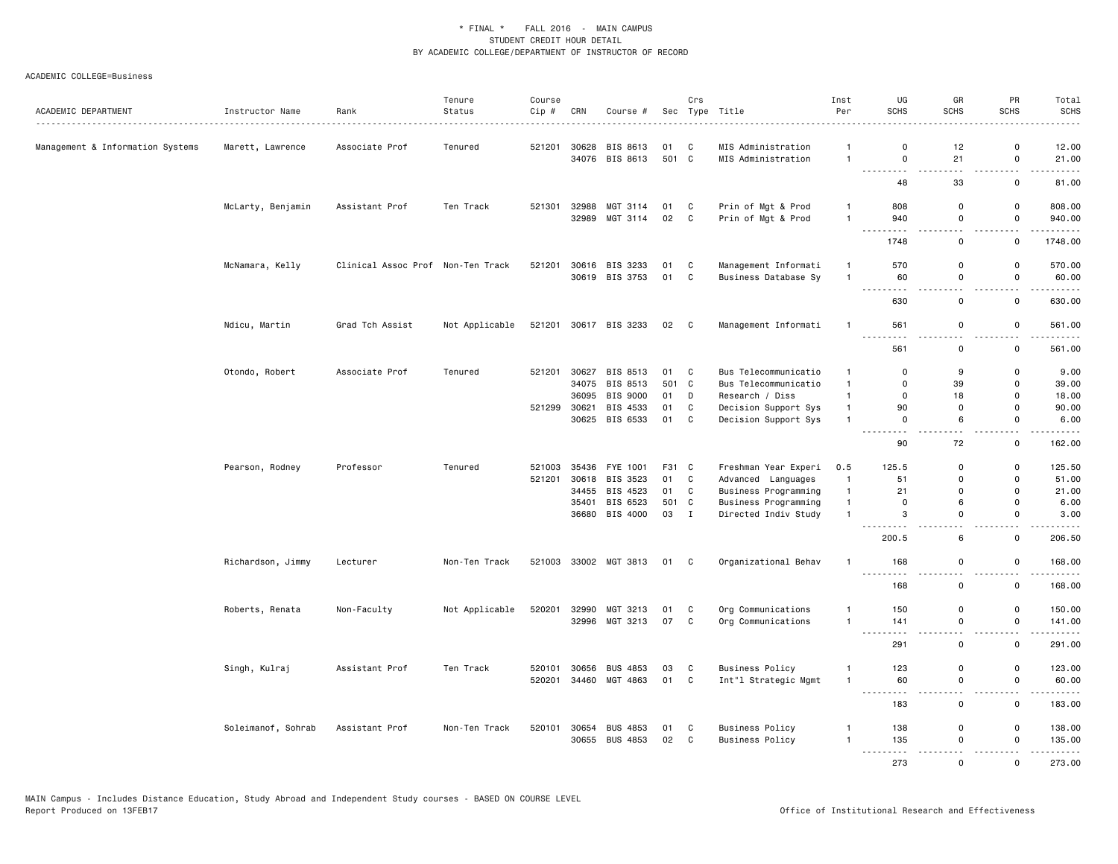| ACADEMIC DEPARTMENT              | Instructor Name    | Rank<br>.                         | Tenure<br>Status | Course<br>Cip # | CRN            | Course #                   |             | Crs         | Sec Type Title                           | Inst<br>Per                  | UG<br>SCHS                                                                                                                                                                                                                                                                                                                                                                                                | GR<br>SCHS                   | PR<br>SCHS       | Total<br><b>SCHS</b><br>$\frac{1}{2}$                                                                                                                        |
|----------------------------------|--------------------|-----------------------------------|------------------|-----------------|----------------|----------------------------|-------------|-------------|------------------------------------------|------------------------------|-----------------------------------------------------------------------------------------------------------------------------------------------------------------------------------------------------------------------------------------------------------------------------------------------------------------------------------------------------------------------------------------------------------|------------------------------|------------------|--------------------------------------------------------------------------------------------------------------------------------------------------------------|
| Management & Information Systems | Marett, Lawrence   | Associate Prof                    | Tenured          | 521201          | 30628          | BIS 8613<br>34076 BIS 8613 | 01<br>501 C | C           | MIS Administration<br>MIS Administration | $\mathbf{1}$<br>$\mathbf{1}$ | 0<br>$\mathsf 0$                                                                                                                                                                                                                                                                                                                                                                                          | 12<br>21                     | 0<br>$\mathsf 0$ | 12.00<br>21.00                                                                                                                                               |
|                                  |                    |                                   |                  |                 |                |                            |             |             |                                          |                              | ----<br>48                                                                                                                                                                                                                                                                                                                                                                                                | 33                           | .<br>0           | .<br>81.00                                                                                                                                                   |
|                                  |                    |                                   |                  |                 |                |                            |             |             |                                          |                              |                                                                                                                                                                                                                                                                                                                                                                                                           |                              |                  |                                                                                                                                                              |
|                                  | McLarty, Benjamin  | Assistant Prof                    | Ten Track        | 521301          | 32988<br>32989 | MGT 3114<br>MGT 3114       | 01<br>02    | C<br>C      | Prin of Mgt & Prod<br>Prin of Mgt & Prod | $\mathbf{1}$<br>$\mathbf{1}$ | 808<br>940                                                                                                                                                                                                                                                                                                                                                                                                | $\mathsf 0$<br>$\mathsf 0$   | 0<br>$\mathsf 0$ | 808.00<br>940.00                                                                                                                                             |
|                                  |                    |                                   |                  |                 |                |                            |             |             |                                          |                              | $\frac{1}{2} \frac{1}{2} \frac{1}{2} \frac{1}{2} \frac{1}{2} \frac{1}{2} \frac{1}{2} \frac{1}{2} \frac{1}{2} \frac{1}{2} \frac{1}{2} \frac{1}{2} \frac{1}{2} \frac{1}{2} \frac{1}{2} \frac{1}{2} \frac{1}{2} \frac{1}{2} \frac{1}{2} \frac{1}{2} \frac{1}{2} \frac{1}{2} \frac{1}{2} \frac{1}{2} \frac{1}{2} \frac{1}{2} \frac{1}{2} \frac{1}{2} \frac{1}{2} \frac{1}{2} \frac{1}{2} \frac{$<br>.<br>1748 | 0                            | 0                | $\omega$ is a set of<br>1748.00                                                                                                                              |
|                                  | McNamara, Kelly    | Clinical Assoc Prof Non-Ten Track |                  | 521201          | 30616          | BIS 3233                   | 01          | C           | Management Informati                     |                              | 570                                                                                                                                                                                                                                                                                                                                                                                                       | 0                            | 0                | 570.00                                                                                                                                                       |
|                                  |                    |                                   |                  |                 |                | 30619 BIS 3753             | 01          | C           | Business Database Sy                     | $\mathbf{1}$                 | 60<br>--------- <i>-</i>                                                                                                                                                                                                                                                                                                                                                                                  | $\mathsf 0$<br>$ -$          | 0<br>$\sim$      | 60.00<br>.                                                                                                                                                   |
|                                  |                    |                                   |                  |                 |                |                            |             |             |                                          |                              | 630                                                                                                                                                                                                                                                                                                                                                                                                       | 0                            | 0                | 630.00                                                                                                                                                       |
|                                  | Ndicu, Martin      | Grad Tch Assist                   | Not Applicable   | 521201          |                | 30617 BIS 3233             | 02 C        |             | Management Informati                     |                              | 561<br>----                                                                                                                                                                                                                                                                                                                                                                                               | 0                            | 0                | 561.00                                                                                                                                                       |
|                                  |                    |                                   |                  |                 |                |                            |             |             |                                          |                              | 561                                                                                                                                                                                                                                                                                                                                                                                                       | $\mathsf 0$                  | $\mathsf{o}\,$   | 561.00                                                                                                                                                       |
|                                  | Otondo, Robert     | Associate Prof                    | Tenured          | 521201          | 30627          | BIS 8513                   | 01          | C           | Bus Telecommunicatio                     | $\mathbf{1}$                 | $\Omega$                                                                                                                                                                                                                                                                                                                                                                                                  | 9                            | 0                | 9.00                                                                                                                                                         |
|                                  |                    |                                   |                  |                 |                | 34075 BIS 8513             | 501 C       |             | Bus Telecommunicatio                     | $\mathbf{1}$                 | $\mathsf{o}$                                                                                                                                                                                                                                                                                                                                                                                              | 39                           | $\mathsf{o}$     | 39.00                                                                                                                                                        |
|                                  |                    |                                   |                  |                 | 36095          | BIS 9000                   | 01          | D           | Research / Diss                          | $\mathbf{1}$                 | 0                                                                                                                                                                                                                                                                                                                                                                                                         | 18                           | 0                | 18.00                                                                                                                                                        |
|                                  |                    |                                   |                  | 521299          | 30621          | BIS 4533                   | 01          | $\mathbf C$ | Decision Support Sys                     | $\mathbf{1}$                 | 90                                                                                                                                                                                                                                                                                                                                                                                                        | 0                            | 0                | 90.00                                                                                                                                                        |
|                                  |                    |                                   |                  |                 |                | 30625 BIS 6533             | 01          | C           | Decision Support Sys                     | $\mathbf{1}$                 | $\mathbf 0$<br><u>.</u>                                                                                                                                                                                                                                                                                                                                                                                   | 6                            | 0<br>المناسب     | 6.00<br>.                                                                                                                                                    |
|                                  |                    |                                   |                  |                 |                |                            |             |             |                                          |                              | 90                                                                                                                                                                                                                                                                                                                                                                                                        | 72                           | 0                | 162.00                                                                                                                                                       |
|                                  | Pearson, Rodney    | Professor                         | Tenured          | 521003          | 35436          | FYE 1001                   | F31 C       |             | Freshman Year Experi                     | 0.5                          | 125.5                                                                                                                                                                                                                                                                                                                                                                                                     | 0                            | 0                | 125.50                                                                                                                                                       |
|                                  |                    |                                   |                  | 521201          | 30618          | BIS 3523                   | 01          | C           | Advanced Languages                       | $\mathbf{1}$                 | 51                                                                                                                                                                                                                                                                                                                                                                                                        | $\mathbf 0$                  | $\mathsf{o}\,$   | 51.00                                                                                                                                                        |
|                                  |                    |                                   |                  |                 | 34455          | BIS 4523                   | 01          | C           | Business Programming                     | $\mathbf{1}$                 | 21                                                                                                                                                                                                                                                                                                                                                                                                        | 0                            | 0                | 21.00                                                                                                                                                        |
|                                  |                    |                                   |                  |                 | 35401          | BIS 6523                   | 501 C       |             | Business Programming                     | $\mathbf{1}$                 | $\mathbf 0$                                                                                                                                                                                                                                                                                                                                                                                               | 6                            | 0                | 6.00                                                                                                                                                         |
|                                  |                    |                                   |                  |                 |                | 36680 BIS 4000             | 03 I        |             | Directed Indiv Study                     | $\mathbf{1}$                 | 3                                                                                                                                                                                                                                                                                                                                                                                                         | 0                            | 0                | 3.00<br>$\frac{1}{2} \left( \frac{1}{2} \right) \left( \frac{1}{2} \right) \left( \frac{1}{2} \right) \left( \frac{1}{2} \right) \left( \frac{1}{2} \right)$ |
|                                  |                    |                                   |                  |                 |                |                            |             |             |                                          |                              | 200.5                                                                                                                                                                                                                                                                                                                                                                                                     | 6                            | $\mathsf{o}$     | 206.50                                                                                                                                                       |
|                                  | Richardson, Jimmy  | Lecturer                          | Non-Ten Track    | 521003          |                | 33002 MGT 3813             | 01          | C           | Organizational Behav                     | $\mathbf{1}$                 | 168<br>$\sim 100$<br>.                                                                                                                                                                                                                                                                                                                                                                                    | 0                            | 0                | 168.00<br>.                                                                                                                                                  |
|                                  |                    |                                   |                  |                 |                |                            |             |             |                                          |                              | 168                                                                                                                                                                                                                                                                                                                                                                                                       | $\mathsf 0$                  | 0                | 168.00                                                                                                                                                       |
|                                  | Roberts, Renata    | Non-Faculty                       | Not Applicable   | 520201          | 32990          | MGT 3213                   | 01          | C           | Org Communications                       | -1                           | 150                                                                                                                                                                                                                                                                                                                                                                                                       | 0                            | 0                | 150.00                                                                                                                                                       |
|                                  |                    |                                   |                  |                 | 32996          | MGT 3213                   | 07          | C           | Org Communications                       | $\mathbf{1}$                 | 141<br>$\frac{1}{2} \left( \frac{1}{2} \right) \left( \frac{1}{2} \right) \left( \frac{1}{2} \right)$<br>.                                                                                                                                                                                                                                                                                                | $\mathsf 0$<br>$\sim$ $\sim$ | $\mathsf 0$<br>. | 141.00<br><u>.</u>                                                                                                                                           |
|                                  |                    |                                   |                  |                 |                |                            |             |             |                                          |                              | 291                                                                                                                                                                                                                                                                                                                                                                                                       | 0                            | 0                | 291.00                                                                                                                                                       |
|                                  | Singh, Kulraj      | Assistant Prof                    | Ten Track        | 520101          | 30656          | BUS 4853                   | 03          | C           | <b>Business Policy</b>                   | -1                           | 123                                                                                                                                                                                                                                                                                                                                                                                                       | $\mathbf 0$                  | 0                | 123.00                                                                                                                                                       |
|                                  |                    |                                   |                  | 520201          | 34460          | MGT 4863                   | 01          | C           | Int"l Strategic Mgmt                     | $\mathbf{1}$                 | 60<br>$\sim$ $\sim$                                                                                                                                                                                                                                                                                                                                                                                       | $\mathsf 0$                  | $\mathsf 0$      | 60.00                                                                                                                                                        |
|                                  |                    |                                   |                  |                 |                |                            |             |             |                                          |                              | 183                                                                                                                                                                                                                                                                                                                                                                                                       | 0                            | 0                | $\sim$ $\sim$ $\sim$ $\sim$<br>183.00                                                                                                                        |
|                                  | Soleimanof, Sohrab | Assistant Prof                    | Non-Ten Track    | 520101          | 30654          | <b>BUS 4853</b>            | 01          | C           | <b>Business Policy</b>                   | $\mathbf{1}$                 | 138                                                                                                                                                                                                                                                                                                                                                                                                       | 0                            | 0                | 138.00                                                                                                                                                       |
|                                  |                    |                                   |                  |                 |                | 30655 BUS 4853             | 02          | C           | <b>Business Policy</b>                   | $\mathbf{1}$                 | 135<br>.                                                                                                                                                                                                                                                                                                                                                                                                  | 0                            | 0                | 135.00                                                                                                                                                       |
|                                  |                    |                                   |                  |                 |                |                            |             |             |                                          |                              | 273                                                                                                                                                                                                                                                                                                                                                                                                       | $\Omega$                     | $\Omega$         | 273.00                                                                                                                                                       |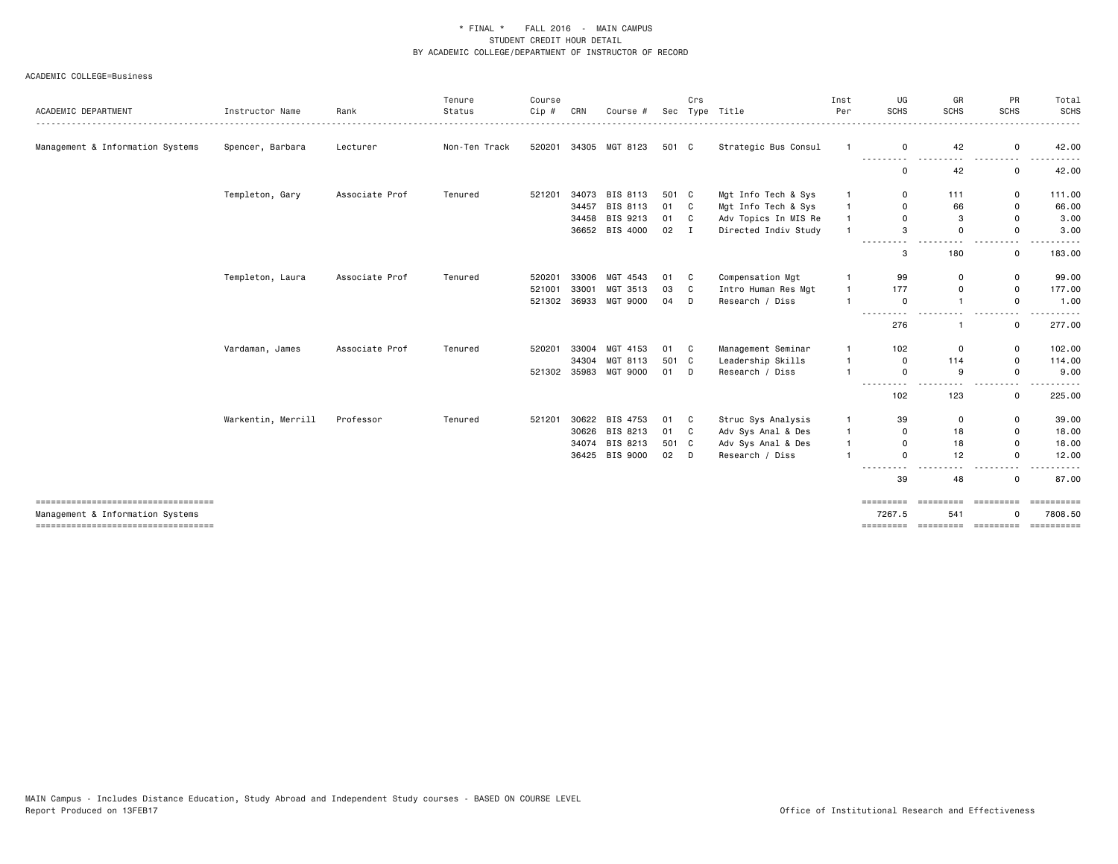|                                                                            |                    |                | Tenure        | Course  |       |                 |              | Crs |                      | Inst         | UG                  | GR               | PR              | Total                                                                                                                                                               |
|----------------------------------------------------------------------------|--------------------|----------------|---------------|---------|-------|-----------------|--------------|-----|----------------------|--------------|---------------------|------------------|-----------------|---------------------------------------------------------------------------------------------------------------------------------------------------------------------|
| ACADEMIC DEPARTMENT                                                        | Instructor Name    | Rank           | Status        | $Cip$ # | CRN   | Course #        | Sec          |     | Type Title           | Per          | <b>SCHS</b>         | SCHS             | <b>SCHS</b>     | <b>SCHS</b><br>$\frac{1}{2} \left( \frac{1}{2} \right) \left( \frac{1}{2} \right) \left( \frac{1}{2} \right) \left( \frac{1}{2} \right) \left( \frac{1}{2} \right)$ |
| Management & Information Systems                                           | Spencer, Barbara   | Lecturer       | Non-Ten Track | 520201  |       | 34305 MGT 8123  | 501 C        |     | Strategic Bus Consul | -1           | $\mathbf 0$         | 42               | 0               | 42.00                                                                                                                                                               |
|                                                                            |                    |                |               |         |       |                 |              |     |                      |              | 0                   | 42               | 0               | 42.00                                                                                                                                                               |
|                                                                            | Templeton, Gary    | Associate Prof | Tenured       | 521201  | 34073 | BIS 8113        | 501 C        |     | Mgt Info Tech & Sys  |              | 0                   | 111              | 0               | 111.00                                                                                                                                                              |
|                                                                            |                    |                |               |         | 34457 | BIS 8113        | 01 C         |     | Mgt Info Tech & Sys  | $\mathbf{1}$ | $\Omega$            | 66               | 0               | 66.00                                                                                                                                                               |
|                                                                            |                    |                |               |         | 34458 | BIS 9213        | 01 C         |     | Adv Topics In MIS Re |              | $\Omega$            | 3                | 0               | 3.00                                                                                                                                                                |
|                                                                            |                    |                |               |         |       | 36652 BIS 4000  | $02 \quad I$ |     | Directed Indiv Study |              | 3                   | $\Omega$         | 0               | 3.00                                                                                                                                                                |
|                                                                            |                    |                |               |         |       |                 |              |     |                      |              | 3                   | 180              | $\mathbf{0}$    | 183,00                                                                                                                                                              |
|                                                                            | Templeton, Laura   | Associate Prof | Tenured       | 520201  | 33006 | MGT 4543        | 01           | C   | Compensation Mgt     |              | 99                  | 0                | 0               | 99.00                                                                                                                                                               |
|                                                                            |                    |                |               | 521001  | 33001 | MGT 3513        | 03           | C   | Intro Human Res Mgt  | $\mathbf{1}$ | 177                 | $\Omega$         | 0               | 177.00                                                                                                                                                              |
|                                                                            |                    |                |               | 521302  | 36933 | <b>MGT 9000</b> | 04           | D   | Research / Diss      |              | $\mathbf 0$         | $\mathbf{1}$     | $\mathsf{o}$    | 1.00                                                                                                                                                                |
|                                                                            |                    |                |               |         |       |                 |              |     |                      |              | 276                 |                  | $\mathbf{0}$    | 277.00                                                                                                                                                              |
|                                                                            | Vardaman, James    | Associate Prof | Tenured       | 520201  | 33004 | MGT 4153        | 01           | C   | Management Seminar   | -1           | 102                 | 0                | 0               | 102.00                                                                                                                                                              |
|                                                                            |                    |                |               |         | 34304 | MGT 8113        | 501 C        |     | Leadership Skills    |              | $\mathbf 0$         | 114              | 0               | 114.00                                                                                                                                                              |
|                                                                            |                    |                |               | 521302  | 35983 | <b>MGT 9000</b> | 01           | D   | Research / Diss      |              | $\Omega$            | 9                | $\Omega$        | 9.00                                                                                                                                                                |
|                                                                            |                    |                |               |         |       |                 |              |     |                      |              | ----------<br>102   | 123              | - - -<br>0      | . <b>.</b> .<br>225.00                                                                                                                                              |
|                                                                            | Warkentin, Merrill | Professor      | Tenured       | 521201  |       | 30622 BIS 4753  | 01           | C   | Struc Sys Analysis   | -1           | 39                  | 0                | 0               | 39.00                                                                                                                                                               |
|                                                                            |                    |                |               |         | 30626 | BIS 8213        | 01           | C   | Adv Sys Anal & Des   | $\mathbf{1}$ | $\Omega$            | 18               | 0               | 18.00                                                                                                                                                               |
|                                                                            |                    |                |               |         |       | 34074 BIS 8213  | 501 C        |     | Adv Sys Anal & Des   | $\mathbf{1}$ | $\Omega$            | 18               | 0               | 18.00                                                                                                                                                               |
|                                                                            |                    |                |               |         |       | 36425 BIS 9000  | $02$ D       |     | Research / Diss      |              | $\Omega$            | 12               | $\Omega$        | 12.00                                                                                                                                                               |
|                                                                            |                    |                |               |         |       |                 |              |     |                      |              | ----------<br>39    | 48               | .<br>0          | .<br>87.00                                                                                                                                                          |
| ======================================<br>Management & Information Systems |                    |                |               |         |       |                 |              |     |                      |              | =========<br>7267.5 | =========<br>541 | ----------<br>n | <b>CONSERVER</b><br>7808.50                                                                                                                                         |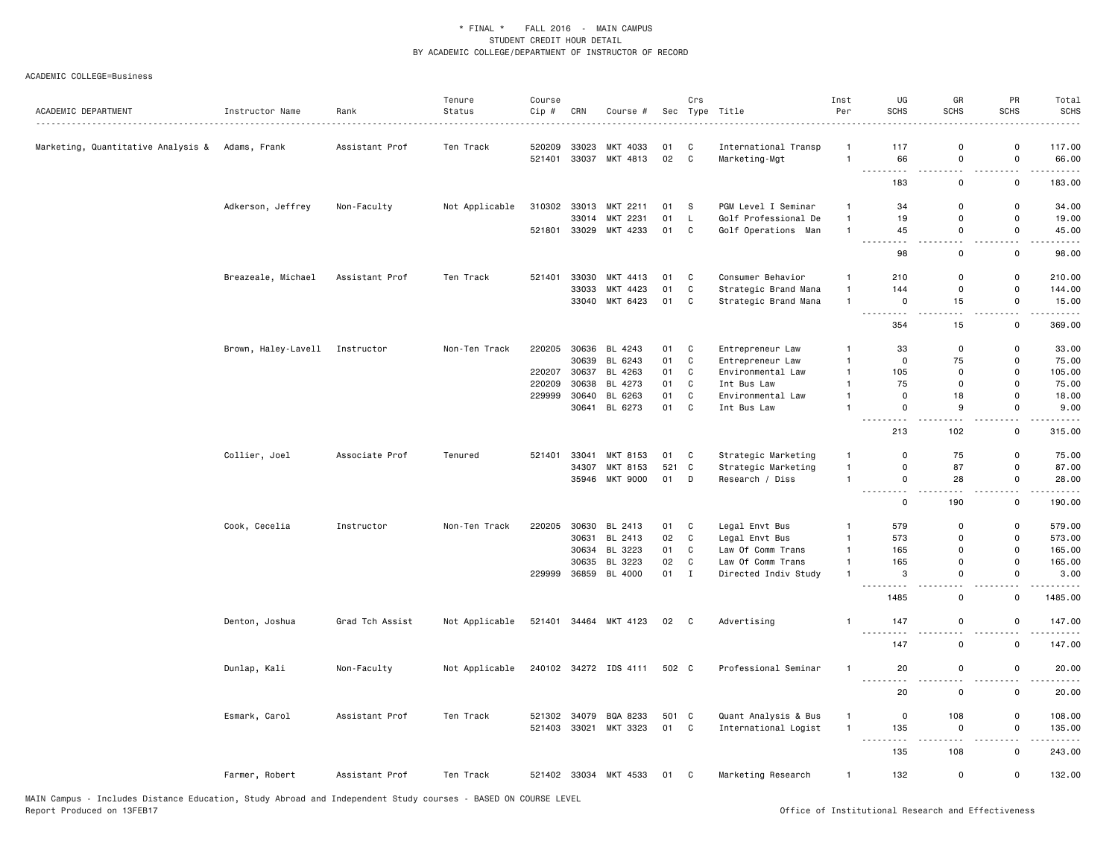| ACADEMIC DEPARTMENT                             | Instructor Name                | Rank            | Tenure<br>Status | Course<br>Cip # | CRN   | Course #              |       | Crs          | Sec Type Title       | Inst<br>Per    | UG<br>SCHS                                                                                                 | GR<br>SCHS           | PR<br><b>SCHS</b>                          | Total<br><b>SCHS</b> |
|-------------------------------------------------|--------------------------------|-----------------|------------------|-----------------|-------|-----------------------|-------|--------------|----------------------|----------------|------------------------------------------------------------------------------------------------------------|----------------------|--------------------------------------------|----------------------|
| Marketing, Quantitative Analysis & Adams, Frank |                                | Assistant Prof  | Ten Track        | 520209          | 33023 | MKT 4033              | 01    | C            | International Transp | -1             | 117                                                                                                        | 0                    | 0                                          | 117.00               |
|                                                 |                                |                 |                  | 521401          |       | 33037 MKT 4813        | 02    | $\mathbf{C}$ | Marketing-Mgt        | $\overline{1}$ | 66                                                                                                         | 0                    | $\mathsf{o}\,$                             | 66.00                |
|                                                 |                                |                 |                  |                 |       |                       |       |              |                      |                | .<br>a a<br>183                                                                                            | $\sim$ $\sim$<br>0   | $\overline{\phantom{a}}$<br>$\mathsf{o}\,$ | 183.00               |
|                                                 | Adkerson, Jeffrey              | Non-Faculty     | Not Applicable   | 310302          |       | 33013 MKT 2211        | 01    | -S           | PGM Level I Seminar  | $\mathbf{1}$   | 34                                                                                                         | 0                    | 0                                          | 34.00                |
|                                                 |                                |                 |                  |                 |       | 33014 MKT 2231        | 01    | L.           | Golf Professional De | $\mathbf{1}$   | 19                                                                                                         | 0                    | 0                                          | 19.00                |
|                                                 |                                |                 |                  | 521801          |       | 33029 MKT 4233        | 01    | $\mathbf{C}$ | Golf Operations Man  | $\mathbf{1}$   | 45                                                                                                         | 0                    | 0                                          | 45.00                |
|                                                 |                                |                 |                  |                 |       |                       |       |              |                      |                | $\frac{1}{2} \left( \frac{1}{2} \right) \frac{1}{2} \left( \frac{1}{2} \right)$<br>$\sim$ $\sim$<br>98     | $\sim$ $\sim$<br>0   | $\overline{\phantom{a}}$<br>0              | 98.00                |
|                                                 | Breazeale, Michael             | Assistant Prof  | Ten Track        | 521401          | 33030 | MKT 4413              | 01    | C            | Consumer Behavior    | $\mathbf{1}$   | 210                                                                                                        | 0                    | 0                                          | 210.00               |
|                                                 |                                |                 |                  |                 | 33033 | MKT 4423              | 01    | $\mathbf C$  | Strategic Brand Mana | $\mathbf{1}$   | 144                                                                                                        | 0                    | 0                                          | 144.00               |
|                                                 |                                |                 |                  |                 |       | 33040 MKT 6423        | 01    | $\mathtt{C}$ | Strategic Brand Mana | $\overline{1}$ | 0                                                                                                          | 15                   | 0                                          | 15.00                |
|                                                 |                                |                 |                  |                 |       |                       |       |              |                      |                | . <b>.</b><br>354                                                                                          | i a a<br>15          | $\sim$ $\sim$<br>0                         | .<br>369.00          |
|                                                 | Brown, Haley-Lavell Instructor |                 | Non-Ten Track    | 220205          |       | 30636 BL 4243         | 01    | C            | Entrepreneur Law     | $\mathbf{1}$   | 33                                                                                                         | $\Omega$             | $\Omega$                                   | 33.00                |
|                                                 |                                |                 |                  |                 | 30639 | BL 6243               | 01    | C            | Entrepreneur Law     | $\mathbf{1}$   | $\mathsf{o}$                                                                                               | 75                   | $\Omega$                                   | 75.00                |
|                                                 |                                |                 |                  | 220207          | 30637 | BL 4263               | 01    | $\mathbb{C}$ | Environmental Law    | $\mathbf{1}$   | 105                                                                                                        | $\Omega$             | 0                                          | 105.00               |
|                                                 |                                |                 |                  | 220209          | 30638 | BL 4273               | 01    | C            | Int Bus Law          | $\overline{1}$ | 75                                                                                                         | 0                    | $\Omega$                                   | 75.00                |
|                                                 |                                |                 |                  | 229999          | 30640 | BL 6263               | 01    | C            | Environmental Law    | $\mathbf{1}$   | $\mathbf 0$                                                                                                | 18                   | 0                                          | 18.00                |
|                                                 |                                |                 |                  |                 |       | 30641 BL 6273         | 01    | $\mathtt{C}$ | Int Bus Law          | $\overline{1}$ | $\mathsf 0$                                                                                                | 9                    | 0                                          | 9.00                 |
|                                                 |                                |                 |                  |                 |       |                       |       |              |                      |                | $-$<br>$\sim$ $\sim$ $\sim$<br>213                                                                         | $\sim$ $\sim$<br>102 | $\sim$ $\sim$<br>0                         | 315.00               |
|                                                 | Collier, Joel                  | Associate Prof  | Tenured          | 521401          | 33041 | MKT 8153              | 01    | C            | Strategic Marketing  | $\mathbf{1}$   | 0                                                                                                          | 75                   | 0                                          | 75.00                |
|                                                 |                                |                 |                  |                 | 34307 | MKT 8153              | 521   | C            | Strategic Marketing  | $\overline{1}$ | $\mathsf{o}$                                                                                               | 87                   | $\Omega$                                   | 87.00                |
|                                                 |                                |                 |                  |                 |       | 35946 MKT 9000        | 01    | D            | Research / Diss      | $\overline{1}$ | 0<br>.                                                                                                     | 28<br>.              | $\Omega$<br>$\sim$ $\sim$                  | 28.00<br>.           |
|                                                 |                                |                 |                  |                 |       |                       |       |              |                      |                | $\mathsf{o}$                                                                                               | 190                  | $\mathsf{o}\,$                             | 190.00               |
|                                                 | Cook, Cecelia                  | Instructor      | Non-Ten Track    | 220205          | 30630 | BL 2413               | 01    | $\mathtt{C}$ | Legal Envt Bus       | $\mathbf{1}$   | 579                                                                                                        | 0                    | $\mathsf{o}\,$                             | 579.00               |
|                                                 |                                |                 |                  |                 |       | 30631 BL 2413         | 02    | $\mathbf C$  | Legal Envt Bus       | $\overline{1}$ | 573                                                                                                        | $\Omega$             | 0                                          | 573.00               |
|                                                 |                                |                 |                  |                 |       | 30634 BL 3223         | 01    | $\mathtt{C}$ | Law Of Comm Trans    | $\overline{1}$ | 165                                                                                                        | $\Omega$             | 0                                          | 165.00               |
|                                                 |                                |                 |                  |                 |       | 30635 BL 3223         | 02    | $\mathtt{C}$ | Law Of Comm Trans    | $\overline{1}$ | 165                                                                                                        | $\Omega$             | $\Omega$                                   | 165.00               |
|                                                 |                                |                 |                  | 229999          |       | 36859 BL 4000         | 01    | $\mathbf I$  | Directed Indiv Study | $\overline{1}$ | 3<br>$\sim$ $\sim$                                                                                         | 0                    | 0                                          | 3.00                 |
|                                                 |                                |                 |                  |                 |       |                       |       |              |                      |                | 1485                                                                                                       | 0                    | 0                                          | 1485.00              |
|                                                 | Denton, Joshua                 | Grad Tch Assist | Not Applicable   |                 |       | 521401 34464 MKT 4123 | 02 C  |              | Advertising          | $\mathbf{1}$   | 147<br>$- - -$                                                                                             | 0                    | $\mathsf 0$                                | 147.00               |
|                                                 |                                |                 |                  |                 |       |                       |       |              |                      |                | 147                                                                                                        | 0                    | $\mathsf 0$                                | 147.00               |
|                                                 | Dunlap, Kali                   | Non-Faculty     | Not Applicable   |                 |       | 240102 34272 IDS 4111 | 502 C |              | Professional Seminar | $\mathbf{1}$   | 20                                                                                                         | 0                    | 0                                          | 20.00                |
|                                                 |                                |                 |                  |                 |       |                       |       |              |                      |                | $\sim$ $\sim$ $\sim$<br>20                                                                                 | 0                    | $\mathsf 0$                                | 20.00                |
|                                                 | Esmark, Carol                  | Assistant Prof  | Ten Track        |                 |       | 521302 34079 BQA 8233 | 501 C |              | Quant Analysis & Bus | $\mathbf{1}$   | 0                                                                                                          | 108                  | 0                                          | 108.00               |
|                                                 |                                |                 |                  |                 |       | 521403 33021 MKT 3323 | 01 C  |              | International Logist | $\mathbf{1}$   | 135                                                                                                        | 0                    | 0                                          | 135.00               |
|                                                 |                                |                 |                  |                 |       |                       |       |              |                      |                | $\frac{1}{2} \left( \frac{1}{2} \right) \left( \frac{1}{2} \right) \left( \frac{1}{2} \right)$<br>.<br>135 | 108                  | $\overline{\phantom{a}}$<br>0              | 243.00               |
|                                                 |                                |                 |                  |                 |       |                       |       |              |                      |                |                                                                                                            |                      |                                            |                      |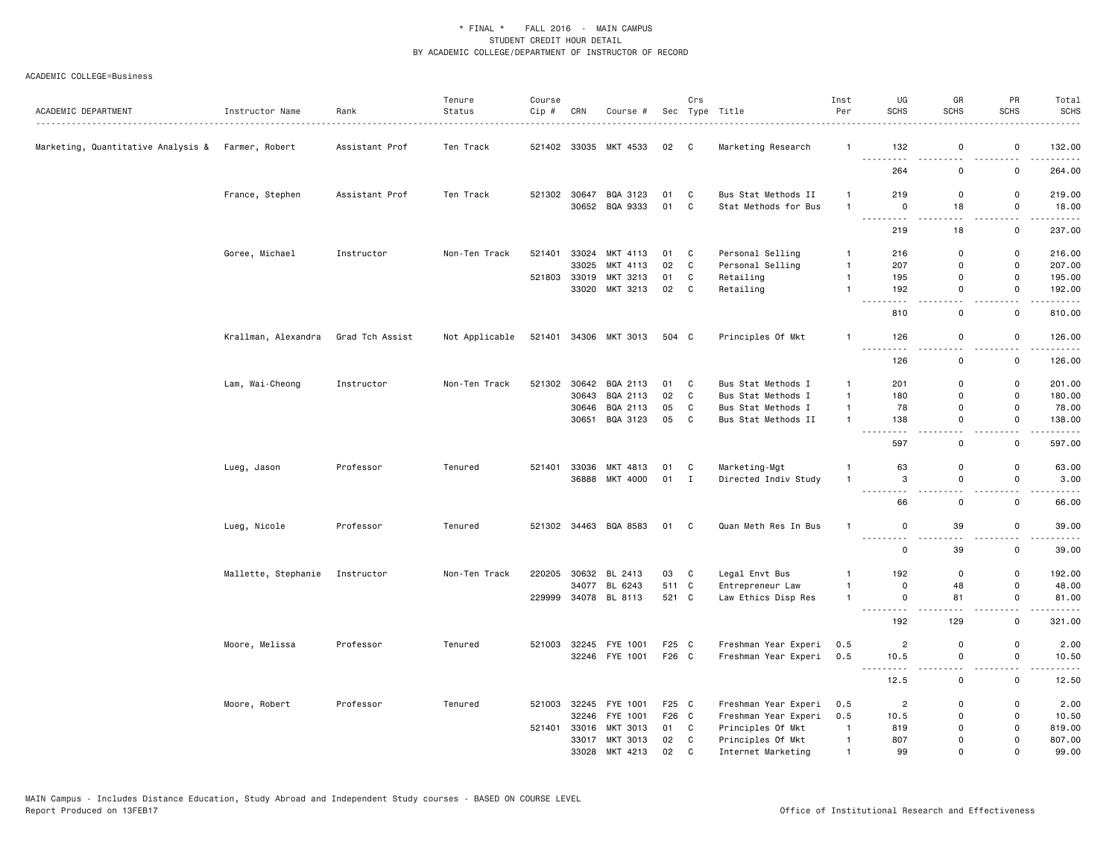| ACADEMIC DEPARTMENT                               | Instructor Name     | Rank            | Tenure<br>Status | Course<br>Cip # | CRN   | Course #                   |          | Crs            | Sec Type Title                              | Inst<br>Per                  | UG<br><b>SCHS</b>           | GR<br><b>SCHS</b>     | PR<br><b>SCHS</b>   | Total<br><b>SCHS</b>                  |
|---------------------------------------------------|---------------------|-----------------|------------------|-----------------|-------|----------------------------|----------|----------------|---------------------------------------------|------------------------------|-----------------------------|-----------------------|---------------------|---------------------------------------|
| Marketing, Quantitative Analysis & Farmer, Robert |                     | Assistant Prof  | Ten Track        |                 |       | 521402 33035 MKT 4533      | 02 C     |                | Marketing Research                          | $\mathbf{1}$                 | 132<br>$\sim$ $\sim$ $\sim$ | 0                     | 0                   | 132.00<br>$\sim$ $\sim$ $\sim$ $\sim$ |
|                                                   |                     |                 |                  |                 |       |                            |          |                |                                             |                              | 264                         | $\mathsf 0$           | 0                   | 264.00                                |
|                                                   | France, Stephen     | Assistant Prof  | Ten Track        | 521302 30647    |       | BQA 3123<br>30652 BQA 9333 | 01<br>01 | C<br>C         | Bus Stat Methods II<br>Stat Methods for Bus | $\mathbf{1}$<br>$\mathbf{1}$ | 219<br>$\mathbf 0$          | 0<br>18               | 0<br>$\mathsf{o}\,$ | 219.00<br>18.00                       |
|                                                   |                     |                 |                  |                 |       |                            |          |                |                                             |                              |                             |                       |                     |                                       |
|                                                   |                     |                 |                  |                 |       |                            |          |                |                                             |                              | 219                         | 18                    | 0                   | 237.00                                |
|                                                   | Goree, Michael      | Instructor      | Non-Ten Track    | 521401          | 33024 | MKT 4113                   | 01       | C              | Personal Selling                            | $\mathbf{1}$                 | 216                         | 0                     | 0                   | 216.00                                |
|                                                   |                     |                 |                  |                 | 33025 | MKT 4113                   | 02       | C              | Personal Selling                            | $\mathbf{1}$                 | 207                         | $\Omega$              | 0                   | 207.00                                |
|                                                   |                     |                 |                  | 521803 33019    |       | MKT 3213                   | 01       | C              | Retailing                                   | $\mathbf{1}$                 | 195                         | $\mathbf 0$           | 0                   | 195.00                                |
|                                                   |                     |                 |                  |                 | 33020 | MKT 3213                   | 02       | C              | Retailing                                   | $\mathbf{1}$                 | 192<br>$\sim$ $\sim$ $\sim$ | $\mathbf 0$           | 0                   | 192.00<br>$\sim$ $\sim$ $\sim$ $\sim$ |
|                                                   |                     |                 |                  |                 |       |                            |          |                |                                             |                              | 810                         | $\mathsf 0$           | 0                   | 810.00                                |
|                                                   | Krallman, Alexandra | Grad Tch Assist | Not Applicable   | 521401          |       | 34306 MKT 3013             | 504 C    |                | Principles Of Mkt                           | $\mathbf{1}$                 | 126                         | 0<br>$ -$             | 0<br>$-$            | 126.00<br>.                           |
|                                                   |                     |                 |                  |                 |       |                            |          |                |                                             |                              | 126                         | $\mathsf 0$           | 0                   | 126.00                                |
|                                                   | Lam, Wai-Cheong     | Instructor      | Non-Ten Track    | 521302          | 30642 | BQA 2113                   | 01       | C              | Bus Stat Methods I                          | $\mathbf{1}$                 | 201                         | 0                     | 0                   | 201.00                                |
|                                                   |                     |                 |                  |                 | 30643 | BQA 2113                   | 02       | C              | Bus Stat Methods I                          | $\mathbf{1}$                 | 180                         | $\mathsf 0$           | 0                   | 180.00                                |
|                                                   |                     |                 |                  |                 | 30646 | BQA 2113                   | 05       | C              | Bus Stat Methods I                          | $\mathbf{1}$                 | 78                          | 0                     | 0                   | 78.00                                 |
|                                                   |                     |                 |                  |                 |       | 30651 BQA 3123             | 05       | C              | Bus Stat Methods II                         | $\mathbf{1}$                 | 138                         | 0                     | 0                   | 138.00                                |
|                                                   |                     |                 |                  |                 |       |                            |          |                |                                             |                              |                             |                       |                     | .                                     |
|                                                   |                     |                 |                  |                 |       |                            |          |                |                                             |                              | 597                         | 0                     | 0                   | 597.00                                |
|                                                   | Lueg, Jason         | Professor       | Tenured          | 521401          | 33036 | MKT 4813                   | 01       | C              | Marketing-Mgt                               |                              | 63                          | 0                     | 0                   | 63.00                                 |
|                                                   |                     |                 |                  |                 | 36888 | MKT 4000                   | 01       | $\blacksquare$ | Directed Indiv Study                        | $\mathbf{1}$                 | 3<br><u>.</u>               | 0<br>$\sim$ $\sim$    | 0<br>$ -$           | 3.00<br>$- - - - -$                   |
|                                                   |                     |                 |                  |                 |       |                            |          |                |                                             |                              | 66                          | 0                     | 0                   | 66.00                                 |
|                                                   | Lueg, Nicole        | Professor       | Tenured          |                 |       | 521302 34463 BQA 8583      | 01       | $\mathbf{C}$   | Quan Meth Res In Bus                        | -1                           | 0                           | 39                    | 0                   | 39.00                                 |
|                                                   |                     |                 |                  |                 |       |                            |          |                |                                             |                              | 0                           | 39                    | 0                   | 39.00                                 |
|                                                   | Mallette, Stephanie | Instructor      | Non-Ten Track    | 220205          | 30632 | BL 2413                    | 03       | C              | Legal Envt Bus                              | $\mathbf{1}$                 | 192                         | $\mathsf 0$           | 0                   | 192.00                                |
|                                                   |                     |                 |                  |                 |       | 34077 BL 6243              | 511 C    |                | Entrepreneur Law                            | $\mathbf{1}$                 | 0                           | 48                    | 0                   | 48.00                                 |
|                                                   |                     |                 |                  |                 |       | 229999 34078 BL 8113       | 521 C    |                | Law Ethics Disp Res                         | $\mathbf{1}$                 | 0                           | 81                    | 0                   | 81.00<br>.                            |
|                                                   |                     |                 |                  |                 |       |                            |          |                |                                             |                              | 192                         | 129                   | 0                   | 321.00                                |
|                                                   | Moore, Melissa      | Professor       | Tenured          | 521003          | 32245 | FYE 1001                   | F25 C    |                | Freshman Year Experi                        | 0.5                          | $\overline{c}$              | 0                     | 0                   | 2.00                                  |
|                                                   |                     |                 |                  |                 |       | 32246 FYE 1001             | F26 C    |                | Freshman Year Experi                        | 0.5                          | 10.5<br>.<br>$\frac{1}{2}$  | $\mathsf 0$<br>$\sim$ | 0<br>$ -$           | 10.50<br>-----                        |
|                                                   |                     |                 |                  |                 |       |                            |          |                |                                             |                              | 12.5                        | $\mathsf 0$           | 0                   | 12.50                                 |
|                                                   | Moore, Robert       | Professor       | Tenured          | 521003          | 32245 | FYE 1001                   | F25 C    |                | Freshman Year Experi                        | 0.5                          | $\overline{2}$              | $\mathbf 0$           | 0                   | 2.00                                  |
|                                                   |                     |                 |                  |                 | 32246 | FYE 1001                   | F26 C    |                | Freshman Year Experi                        | 0.5                          | 10.5                        | 0                     | 0                   | 10.50                                 |
|                                                   |                     |                 |                  | 521401          | 33016 | MKT 3013                   | 01       | C              | Principles Of Mkt                           | $\overline{1}$               | 819                         | 0                     | 0                   | 819.00                                |
|                                                   |                     |                 |                  |                 |       | 33017 MKT 3013             | 02       | C              | Principles Of Mkt                           | $\mathbf{1}$                 | 807                         | $\mathbf 0$           | 0                   | 807.00                                |
|                                                   |                     |                 |                  |                 | 33028 | MKT 4213                   | 02       | C              | Internet Marketing                          | $\mathbf{1}$                 | 99                          | $\Omega$              | 0                   | 99.00                                 |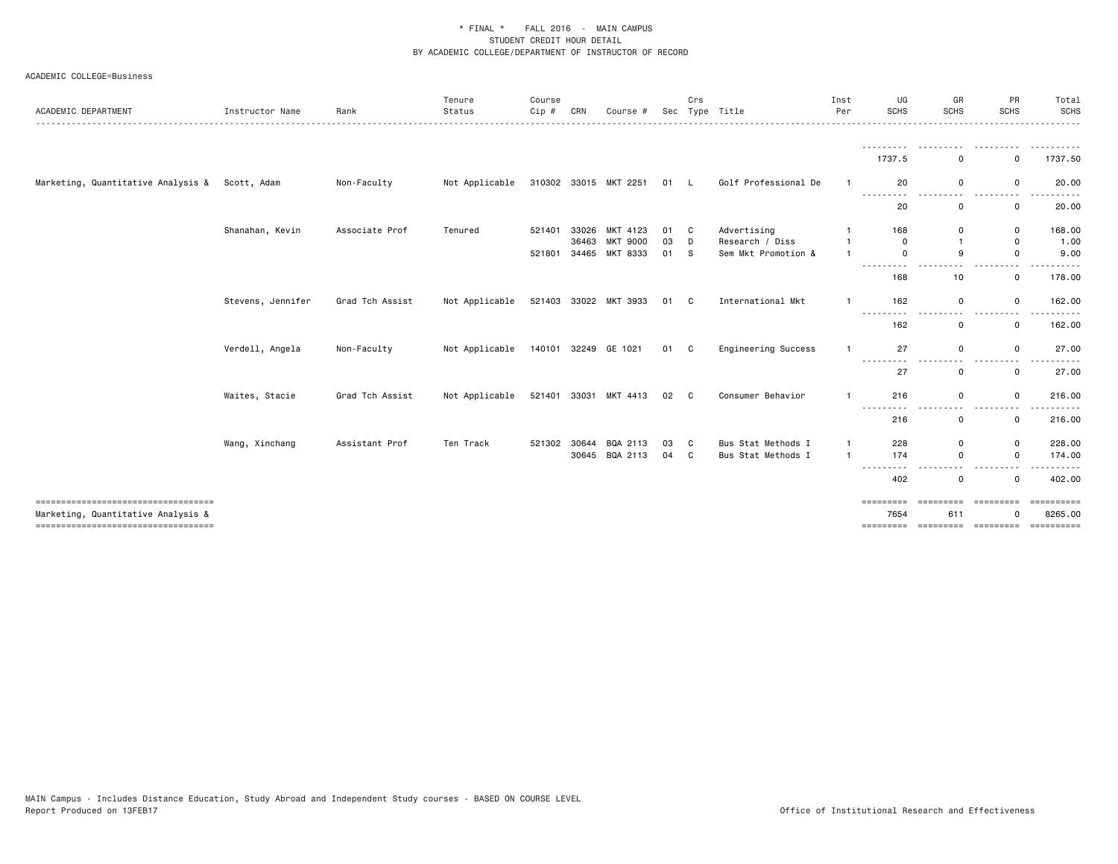| ACADEMIC DEPARTMENT                                                                                              | Instructor Name   | Rank            | Tenure<br>Status | Course<br>Cip # | CRN            | Course #                    | Sec      | Crs    | Type Title                     | Inst<br>Per    | UG<br><b>SCHS</b>              | GR<br><b>SCHS</b> | PR<br><b>SCHS</b>                             | Total<br><b>SCHS</b>                 |
|------------------------------------------------------------------------------------------------------------------|-------------------|-----------------|------------------|-----------------|----------------|-----------------------------|----------|--------|--------------------------------|----------------|--------------------------------|-------------------|-----------------------------------------------|--------------------------------------|
|                                                                                                                  |                   |                 |                  |                 |                |                             |          |        |                                |                | ---------<br>1737.5            | $\Omega$          | $\mathbf 0$                                   | 1737.50                              |
| Marketing, Quantitative Analysis &                                                                               | Scott, Adam       | Non-Faculty     | Not Applicable   |                 |                | 310302 33015 MKT 2251       | 01 L     |        | Golf Professional De           |                | 20                             | 0                 | 0                                             | 20.00                                |
|                                                                                                                  |                   |                 |                  |                 |                |                             |          |        |                                |                | .<br>20                        | . .<br>0          | 0                                             | 20.00                                |
|                                                                                                                  | Shanahan, Kevin   | Associate Prof  | Tenured          | 521401          | 33026<br>36463 | MKT 4123<br><b>MKT 9000</b> | 01<br>03 | C<br>D | Advertising<br>Research / Diss |                | 168<br>$\mathbf 0$             | 0<br>$\mathbf{1}$ | $\mathbf 0$<br>0                              | 168.00<br>1.00                       |
|                                                                                                                  |                   |                 |                  | 521801          |                | 34465 MKT 8333              | 01       | S.     | Sem Mkt Promotion &            |                | $\Omega$<br>--------- <i>-</i> | 9<br>$ -$         | $\mathbf 0$<br>$ -$                           | 9.00<br>.                            |
|                                                                                                                  |                   |                 |                  |                 |                |                             |          |        |                                |                | 168                            | 10                | $\mathsf{o}$                                  | 178.00                               |
|                                                                                                                  | Stevens, Jennifer | Grad Tch Assist | Not Applicable   |                 |                | 521403 33022 MKT 3933       | 01 C     |        | International Mkt              | $\mathbf{1}$   | 162                            | $\Omega$          | $\mathsf{o}$                                  | 162.00                               |
|                                                                                                                  |                   |                 |                  |                 |                |                             |          |        |                                |                | 162                            | $\Omega$          | 0                                             | 162.00                               |
|                                                                                                                  | Verdell, Angela   | Non-Faculty     | Not Applicable   |                 |                | 140101 32249 GE 1021        | 01 C     |        | Engineering Success            |                | 27<br>$ -$                     | $\mathbf 0$       | $\mathsf{o}$                                  | 27.00                                |
|                                                                                                                  |                   |                 |                  |                 |                |                             |          |        |                                |                | 27                             | $\mathbf 0$       | 0                                             | 27.00                                |
|                                                                                                                  | Waites, Stacie    | Grad Tch Assist | Not Applicable   |                 |                | 521401 33031 MKT 4413       | 02 C     |        | Consumer Behavior              |                | 216                            | 0                 | 0                                             | 216.00                               |
|                                                                                                                  |                   |                 |                  |                 |                |                             |          |        |                                |                | 216                            | 0                 | 0                                             | 216.00                               |
|                                                                                                                  | Wang, Xinchang    | Assistant Prof  | Ten Track        | 521302          | 30644          | BQA 2113                    | 03       | C      | Bus Stat Methods I             | -1             | 228                            | $\mathbf 0$       | 0                                             | 228.00                               |
|                                                                                                                  |                   |                 |                  |                 |                | 30645 BQA 2113              | 04 C     |        | Bus Stat Methods I             | $\overline{1}$ | 174<br>---------               | $\mathbf 0$       | $\mathbf 0$                                   | 174.00<br>.                          |
|                                                                                                                  |                   |                 |                  |                 |                |                             |          |        |                                |                | 402                            | $\Omega$          | $\mathbf 0$                                   | 402.00                               |
| ----------------------------------<br>Marketing, Quantitative Analysis &<br>==================================== |                   |                 |                  |                 |                |                             |          |        |                                |                | =========<br>7654<br>========= | ----------<br>611 | =========<br>$\Omega$<br>---------- --------- | ==========<br>8265.00<br>----------- |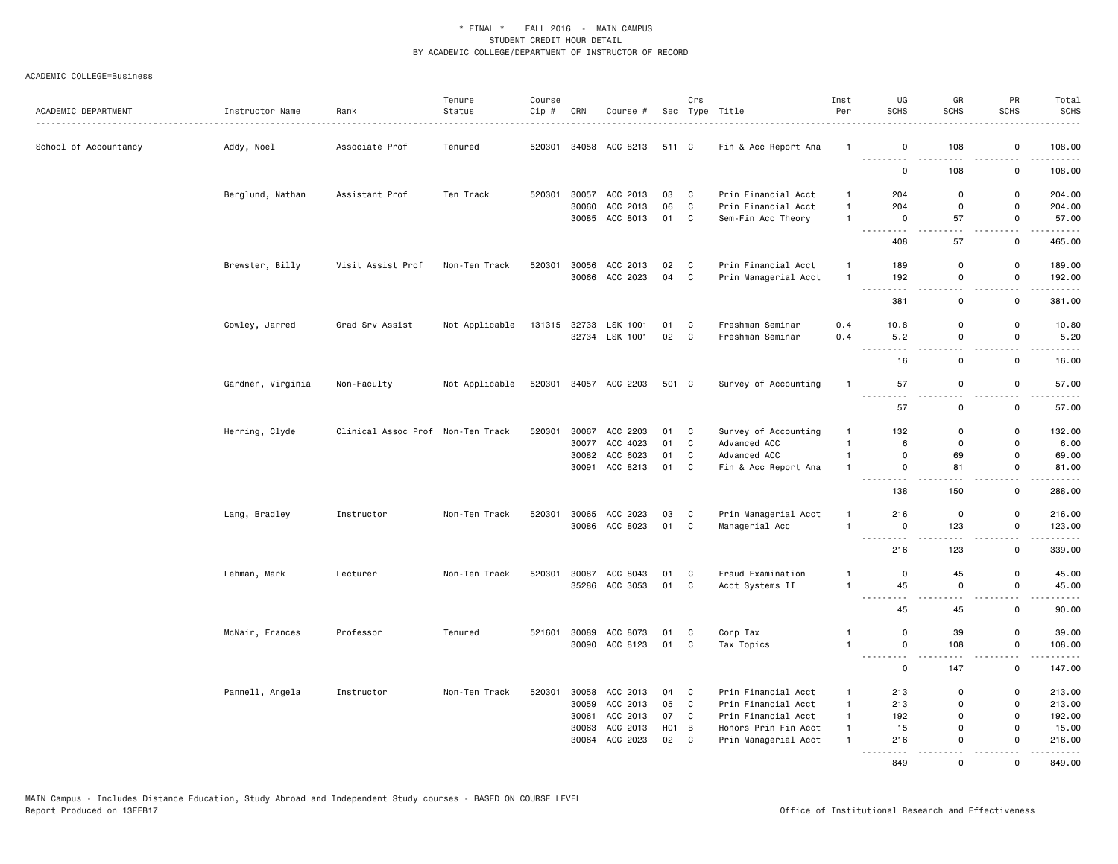| ACADEMIC DEPARTMENT   | Instructor Name   | Rank<br>.                         | Tenure<br>Status | Course<br>Cip# | CRN   | Course #                   |                   | Crs                          | Sec Type Title                            | Inst<br>Per                  | UG<br><b>SCHS</b>                                                                                     | GR<br><b>SCHS</b>          | PR<br><b>SCHS</b>          | Total<br><b>SCHS</b><br>. |
|-----------------------|-------------------|-----------------------------------|------------------|----------------|-------|----------------------------|-------------------|------------------------------|-------------------------------------------|------------------------------|-------------------------------------------------------------------------------------------------------|----------------------------|----------------------------|---------------------------|
| School of Accountancy | Addy, Noel        | Associate Prof                    | Tenured          | 520301         |       | 34058 ACC 8213             | 511 C             |                              | Fin & Acc Report Ana                      |                              | 0<br>.                                                                                                | 108                        | $\mathbf 0$                | 108.00<br>.               |
|                       |                   |                                   |                  |                |       |                            |                   |                              |                                           |                              | 0                                                                                                     | 108                        | $\mathbf 0$                | 108.00                    |
|                       | Berglund, Nathan  | Assistant Prof                    | Ten Track        | 520301         |       | 30057 ACC 2013             | 03                | $\mathbf{C}$                 | Prin Financial Acct                       | 1                            | 204                                                                                                   | $\Omega$                   | $\Omega$                   | 204.00                    |
|                       |                   |                                   |                  |                | 30060 | ACC 2013<br>30085 ACC 8013 | 06<br>01          | $\mathbf{C}$<br>$\mathbf{C}$ | Prin Financial Acct<br>Sem-Fin Acc Theory | $\mathbf{1}$<br>$\mathbf{1}$ | 204<br>$\mathbf 0$                                                                                    | $\mathbf 0$<br>57          | $\mathbf 0$<br>0           | 204.00<br>57.00           |
|                       |                   |                                   |                  |                |       |                            |                   |                              |                                           |                              | .<br>408                                                                                              | 57                         | 0                          | -----<br>465.00           |
|                       | Brewster, Billy   | Visit Assist Prof                 | Non-Ten Track    | 520301         |       | 30056 ACC 2013             | 02                | $\mathbf{C}$                 | Prin Financial Acct                       | $\mathbf{1}$                 | 189                                                                                                   | $\mathbf 0$                | 0                          | 189.00                    |
|                       |                   |                                   |                  |                |       | 30066 ACC 2023             | 04                | $\mathbf{C}$                 | Prin Managerial Acct                      | $\overline{1}$               | 192<br>$\sim$ $\sim$ $\sim$ $\sim$<br>$\cdots$                                                        | $\mathsf 0$                | $\mathbf 0$                | 192.00<br>.               |
|                       |                   |                                   |                  |                |       |                            |                   |                              |                                           |                              | 381                                                                                                   | $\Omega$                   | 0                          | 381.00                    |
|                       | Cowley, Jarred    | Grad Srv Assist                   | Not Applicable   | 131315         | 32733 | LSK 1001<br>32734 LSK 1001 | 01<br>02          | $\mathbf{C}$<br>$\mathbf{C}$ | Freshman Seminar<br>Freshman Seminar      | 0.4<br>0.4                   | 10.8<br>5.2                                                                                           | $\mathbf 0$<br>0           | $\mathbf 0$<br>$\mathbf 0$ | 10.80<br>5.20             |
|                       |                   |                                   |                  |                |       |                            |                   |                              |                                           |                              | 16                                                                                                    | $\mathsf 0$                | $\mathbf 0$                | .<br>16.00                |
|                       |                   |                                   |                  |                |       |                            |                   |                              |                                           |                              |                                                                                                       |                            |                            |                           |
|                       | Gardner, Virginia | Non-Faculty                       | Not Applicable   |                |       | 520301 34057 ACC 2203      | 501 C             |                              | Survey of Accounting                      | $\mathbf{1}$                 | 57<br>.                                                                                               | 0                          | $\mathbf 0$                | 57.00<br>.                |
|                       |                   |                                   |                  |                |       |                            |                   |                              |                                           |                              | 57                                                                                                    | $\mathsf 0$                | 0                          | 57.00                     |
|                       | Herring, Clyde    | Clinical Assoc Prof Non-Ten Track |                  | 520301         | 30077 | 30067 ACC 2203<br>ACC 4023 | 01 C<br>01        | C                            | Survey of Accounting<br>Advanced ACC      | -1<br>$\mathbf{1}$           | 132<br>6                                                                                              | $\mathbf 0$<br>$\Omega$    | $\mathbf 0$<br>$\mathbf 0$ | 132.00<br>6.00            |
|                       |                   |                                   |                  |                |       | ACC 6023                   |                   | C                            |                                           | $\mathbf{1}$                 | $\mathbf 0$                                                                                           | 69                         | $\mathbf 0$                | 69.00                     |
|                       |                   |                                   |                  |                | 30082 |                            | 01                |                              | Advanced ACC                              |                              |                                                                                                       |                            |                            |                           |
|                       |                   |                                   |                  |                |       | 30091 ACC 8213             | 01                | $\mathbf{C}$                 | Fin & Acc Report Ana                      | $\mathbf{1}$                 | $\mathbf 0$<br>$\frac{1}{2}$                                                                          | 81<br>$\sim$ $\sim$ $\sim$ | $\mathbf 0$                | 81.00<br>.                |
|                       |                   |                                   |                  |                |       |                            |                   |                              |                                           |                              | 138                                                                                                   | 150                        | $\mathbf 0$                | 288.00                    |
|                       | Lang, Bradley     | Instructor                        | Non-Ten Track    | 520301         | 30065 | ACC 2023                   | 03                | $\mathbf{C}$                 | Prin Managerial Acct                      | 1                            | 216                                                                                                   | 0                          | 0                          | 216.00                    |
|                       |                   |                                   |                  |                |       | 30086 ACC 8023             | 01 C              |                              | Managerial Acc                            | $\mathbf{1}$                 | $\overline{\mathbf{0}}$<br>$\sim$ $\sim$ $\sim$<br>$\frac{1}{2}$                                      | 123                        | $\mathbf 0$                | 123.00<br>.               |
|                       |                   |                                   |                  |                |       |                            |                   |                              |                                           |                              | 216                                                                                                   | 123                        | $\mathbf 0$                | 339.00                    |
|                       | Lehman, Mark      | Lecturer                          | Non-Ten Track    | 520301         |       | 30087 ACC 8043             | 01                | $\mathbf{C}$                 | Fraud Examination                         | -1                           | $\mathbf 0$                                                                                           | 45                         | $\mathbf 0$                | 45.00                     |
|                       |                   |                                   |                  |                |       | 35286 ACC 3053             | 01                | $\mathbf{C}$                 | Acct Systems II                           | $\mathbf{1}$                 | 45                                                                                                    | $\mathsf{O}$               | $\mathbf 0$                | 45.00<br>.                |
|                       |                   |                                   |                  |                |       |                            |                   |                              |                                           |                              | 45                                                                                                    | 45                         | $\Omega$                   | 90.00                     |
|                       | McNair, Frances   | Professor                         | Tenured          | 521601         | 30089 | ACC 8073                   | 01                | $\mathbf{C}$                 | Corp Tax                                  | $\mathbf{1}$                 | 0                                                                                                     | 39                         | $\mathbf 0$                | 39.00                     |
|                       |                   |                                   |                  |                |       | 30090 ACC 8123             | 01 C              |                              | Tax Topics                                | $\mathbf{1}$                 | $\mathsf 0$<br>.                                                                                      | 108                        | $\mathbf 0$                | 108.00<br>.               |
|                       |                   |                                   |                  |                |       |                            |                   |                              |                                           |                              | $\mathbf 0$                                                                                           | 147                        | 0                          | 147.00                    |
|                       | Pannell, Angela   | Instructor                        | Non-Ten Track    | 520301         | 30058 | ACC 2013                   | 04                | $\overline{\phantom{a}}$ C   | Prin Financial Acct                       | $\mathbf{1}$                 | 213                                                                                                   | $\Omega$                   | 0                          | 213.00                    |
|                       |                   |                                   |                  |                | 30059 | ACC 2013                   | 05                | $\mathbf{C}$                 | Prin Financial Acct                       | $\mathbf{1}$                 | 213                                                                                                   | $\Omega$                   | $\mathbf 0$                | 213.00                    |
|                       |                   |                                   |                  |                |       | 30061 ACC 2013             | 07                | $\mathbf{C}$                 | Prin Financial Acct                       | $\mathbf{1}$                 | 192                                                                                                   | 0                          | $\mathbf 0$                | 192.00                    |
|                       |                   |                                   |                  |                | 30063 | ACC 2013                   | H <sub>01</sub> B |                              | Honors Prin Fin Acct                      | $\mathbf{1}$                 | 15                                                                                                    | 0                          | $\mathbf 0$                | 15.00                     |
|                       |                   |                                   |                  |                | 30064 | ACC 2023                   | 02 C              |                              | Prin Managerial Acct                      | $\mathbf{1}$                 | 216<br>$\frac{1}{2} \left( \frac{1}{2} \right) \left( \frac{1}{2} \right) \left( \frac{1}{2} \right)$ | $\Omega$                   | $\mathbf 0$                | 216.00                    |
|                       |                   |                                   |                  |                |       |                            |                   |                              |                                           |                              | 849                                                                                                   | $\Omega$                   | $\Omega$                   | 849.00                    |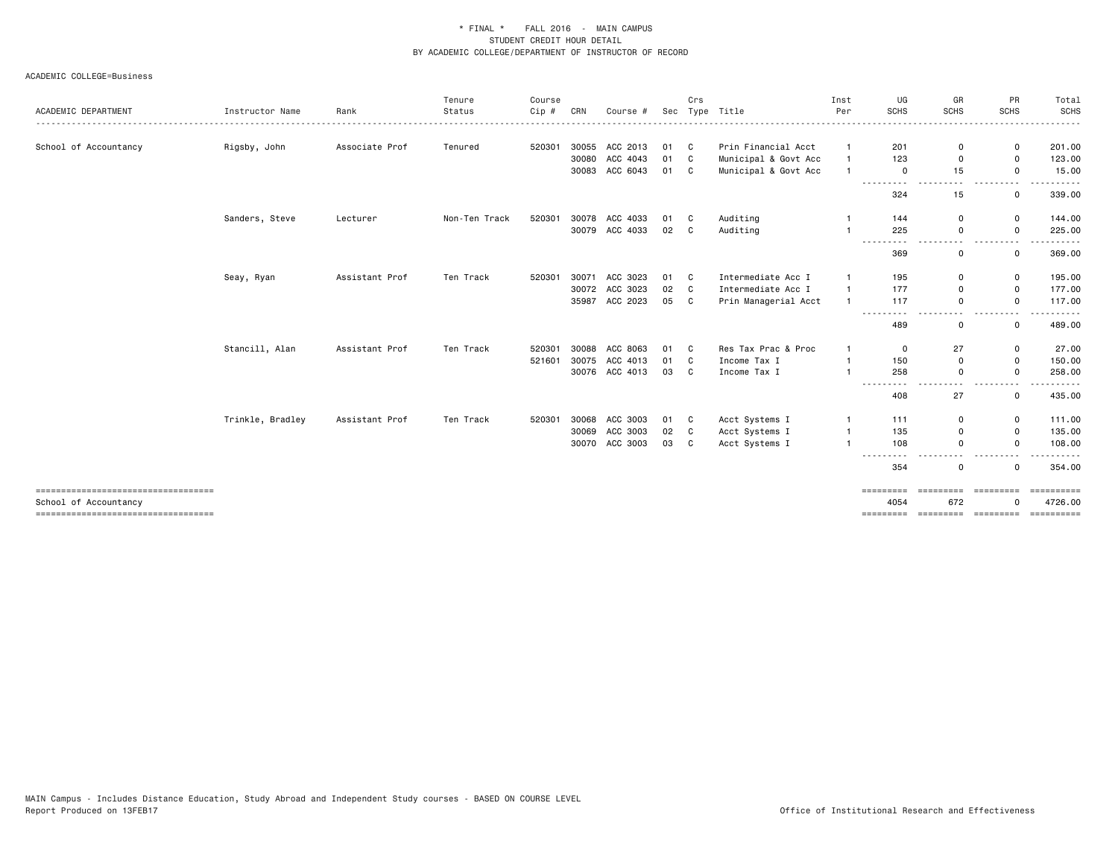### ACADEMIC COLLEGE=Business

|                                                             |                  |                | Tenure        | Course |       |                |      | Crs          |                      | Inst           | UG                                                                                                                                                                                                                                                                                                                                                                                                                                                    | GR               | PR              | Total                 |
|-------------------------------------------------------------|------------------|----------------|---------------|--------|-------|----------------|------|--------------|----------------------|----------------|-------------------------------------------------------------------------------------------------------------------------------------------------------------------------------------------------------------------------------------------------------------------------------------------------------------------------------------------------------------------------------------------------------------------------------------------------------|------------------|-----------------|-----------------------|
| ACADEMIC DEPARTMENT                                         | Instructor Name  | Rank           | Status        | Cip #  | CRN   | Course #       | Sec  |              | Type Title           | Per            | <b>SCHS</b>                                                                                                                                                                                                                                                                                                                                                                                                                                           | <b>SCHS</b>      | <b>SCHS</b>     | <b>SCHS</b><br>.      |
| School of Accountancy                                       | Rigsby, John     | Associate Prof | Tenured       | 520301 |       | 30055 ACC 2013 | 01 C |              | Prin Financial Acct  |                | 201                                                                                                                                                                                                                                                                                                                                                                                                                                                   | 0                | 0               | 201.00                |
|                                                             |                  |                |               |        |       | 30080 ACC 4043 | 01 C |              | Municipal & Govt Acc |                | 123                                                                                                                                                                                                                                                                                                                                                                                                                                                   | $\Omega$         | 0               | 123.00                |
|                                                             |                  |                |               |        |       | 30083 ACC 6043 | 01 C |              | Municipal & Govt Acc |                | $\mathbf 0$<br>.                                                                                                                                                                                                                                                                                                                                                                                                                                      | 15               | 0<br>---        | 15.00<br>$\cdots$     |
|                                                             |                  |                |               |        |       |                |      |              |                      |                | 324                                                                                                                                                                                                                                                                                                                                                                                                                                                   | 15               | 0               | 339.00                |
|                                                             | Sanders, Steve   | Lecturer       | Non-Ten Track | 520301 |       | 30078 ACC 4033 | 01 C |              | Auditing             |                | 144                                                                                                                                                                                                                                                                                                                                                                                                                                                   | 0                | $\mathsf{o}$    | 144.00                |
|                                                             |                  |                |               |        |       | 30079 ACC 4033 | 02 C |              | Auditing             |                | 225                                                                                                                                                                                                                                                                                                                                                                                                                                                   | 0                | 0               | 225.00                |
|                                                             |                  |                |               |        |       |                |      |              |                      |                | 369                                                                                                                                                                                                                                                                                                                                                                                                                                                   | 0                | 0               | 369.00                |
|                                                             | Seay, Ryan       | Assistant Prof | Ten Track     | 520301 | 30071 | ACC 3023       | 01 C |              | Intermediate Acc I   |                | 195                                                                                                                                                                                                                                                                                                                                                                                                                                                   | $\Omega$         | 0               | 195.00                |
|                                                             |                  |                |               |        |       | 30072 ACC 3023 | 02   | $\mathbf{C}$ | Intermediate Acc I   | $\overline{1}$ | 177                                                                                                                                                                                                                                                                                                                                                                                                                                                   | $\mathbf 0$      | $\mathsf{o}$    | 177.00                |
|                                                             |                  |                |               |        |       | 35987 ACC 2023 | 05 C |              | Prin Managerial Acct | $\overline{1}$ | 117                                                                                                                                                                                                                                                                                                                                                                                                                                                   | $\mathbf{0}$     | $\mathbf 0$     | 117.00<br>.           |
|                                                             |                  |                |               |        |       |                |      |              |                      |                | 489                                                                                                                                                                                                                                                                                                                                                                                                                                                   | 0                | 0               | 489.00                |
|                                                             | Stancill, Alan   | Assistant Prof | Ten Track     | 520301 | 30088 | ACC 8063       | 01   | C            | Res Tax Prac & Proc  | $\mathbf{1}$   | $\mathbf 0$                                                                                                                                                                                                                                                                                                                                                                                                                                           | 27               | 0               | 27.00                 |
|                                                             |                  |                |               | 521601 |       | 30075 ACC 4013 | 01   | C            | Income Tax I         | $\mathbf{1}$   | 150                                                                                                                                                                                                                                                                                                                                                                                                                                                   | $\Omega$         | 0               | 150.00                |
|                                                             |                  |                |               |        |       | 30076 ACC 4013 | 03 C |              | Income Tax I         |                | 258                                                                                                                                                                                                                                                                                                                                                                                                                                                   | $\Omega$         | $\Omega$        | 258.00<br>.           |
|                                                             |                  |                |               |        |       |                |      |              |                      |                | 408                                                                                                                                                                                                                                                                                                                                                                                                                                                   | 27               | $\Omega$        | 435.00                |
|                                                             | Trinkle, Bradley | Assistant Prof | Ten Track     | 520301 |       | 30068 ACC 3003 | 01   | C            | Acct Systems I       | -1             | 111                                                                                                                                                                                                                                                                                                                                                                                                                                                   | $\Omega$         | 0               | 111.00                |
|                                                             |                  |                |               |        |       | 30069 ACC 3003 | 02   | C            | Acct Systems I       | $\mathbf{1}$   | 135                                                                                                                                                                                                                                                                                                                                                                                                                                                   | $\mathbf 0$      | $\mathsf{o}$    | 135.00                |
|                                                             |                  |                |               |        |       | 30070 ACC 3003 | 03   | C            | Acct Systems I       |                | 108<br>$\frac{1}{2} \left( \frac{1}{2} \right) + \frac{1}{2} \left( \frac{1}{2} \right) + \frac{1}{2} \left( \frac{1}{2} \right) + \frac{1}{2} \left( \frac{1}{2} \right) + \frac{1}{2} \left( \frac{1}{2} \right) + \frac{1}{2} \left( \frac{1}{2} \right) + \frac{1}{2} \left( \frac{1}{2} \right) + \frac{1}{2} \left( \frac{1}{2} \right) + \frac{1}{2} \left( \frac{1}{2} \right) + \frac{1}{2} \left( \frac{1}{2} \right) + \frac{1}{2} \left($ | $\Omega$         | $\Omega$        | 108.00<br>-----       |
|                                                             |                  |                |               |        |       |                |      |              |                      |                | 354                                                                                                                                                                                                                                                                                                                                                                                                                                                   | $\Omega$         | $\Omega$        | 354.00                |
| ----------------------------------<br>School of Accountancy |                  |                |               |        |       |                |      |              |                      |                | =========<br>4054                                                                                                                                                                                                                                                                                                                                                                                                                                     | =========<br>672 | <b>ESSESSES</b> | ==========<br>4726.00 |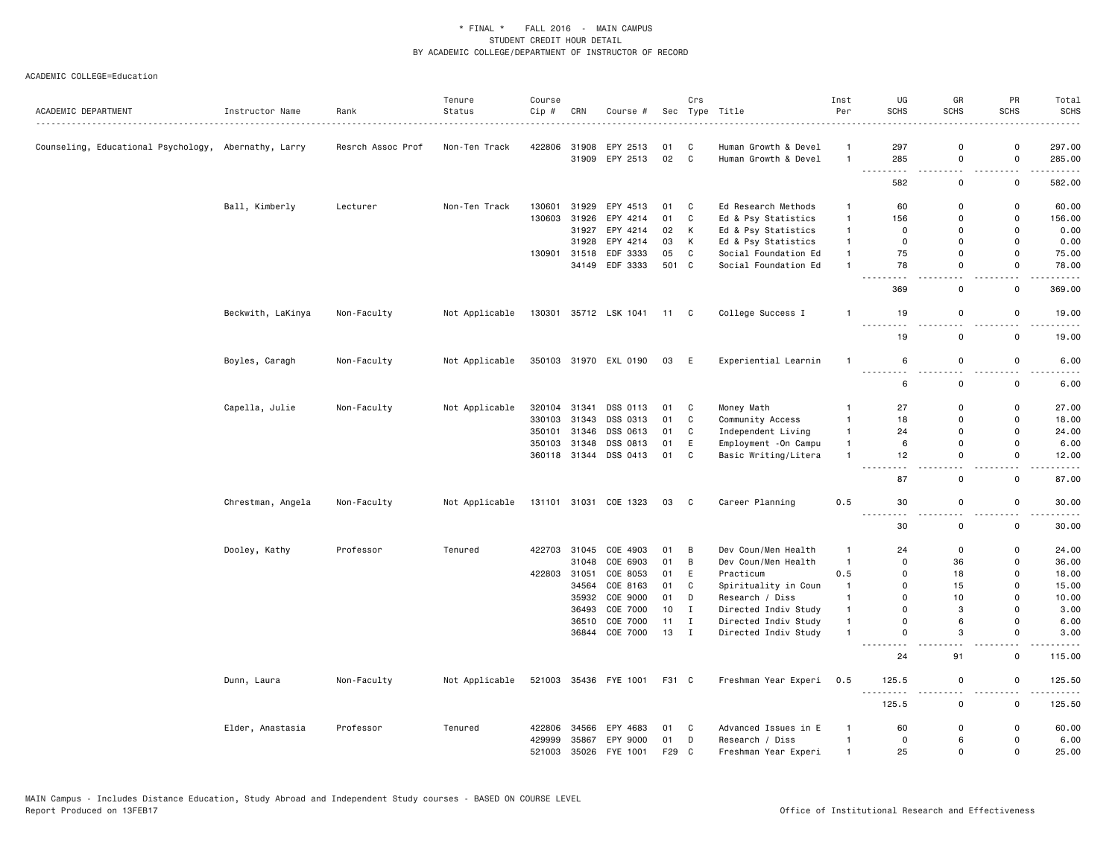|                                                      |                      |                   | Tenure         | Course |              |                       |                 | Crs                        |                       | Inst           | UG                       | GR          | PR                 | Total                                 |
|------------------------------------------------------|----------------------|-------------------|----------------|--------|--------------|-----------------------|-----------------|----------------------------|-----------------------|----------------|--------------------------|-------------|--------------------|---------------------------------------|
| ACADEMIC DEPARTMENT                                  | Instructor Name<br>. | Rank              | Status         | Cip #  | CRN          | Course #              |                 |                            | Sec Type Title        | Per            | <b>SCHS</b>              | <b>SCHS</b> | <b>SCHS</b>        | <b>SCHS</b><br>.                      |
| Counseling, Educational Psychology, Abernathy, Larry |                      | Resrch Assoc Prof | Non-Ten Track  | 422806 | 31908        | EPY 2513              | 01              | C                          | Human Growth & Devel  | $\mathbf{1}$   | 297                      | $\Omega$    | $\Omega$           | 297.00                                |
|                                                      |                      |                   |                |        |              | 31909 EPY 2513        | 02              | $\overline{c}$             | Human Growth & Devel  | $\overline{1}$ | 285                      | $\mathbf 0$ | $\mathsf{o}$       | 285.00                                |
|                                                      |                      |                   |                |        |              |                       |                 |                            |                       |                | 582                      | 0           | 0                  | .<br>582.00                           |
|                                                      | Ball, Kimberly       | Lecturer          | Non-Ten Track  | 130601 | 31929        | EPY 4513              | 01              | C                          | Ed Research Methods   | $\overline{1}$ | 60                       | $\Omega$    | $\mathsf{o}$       | 60.00                                 |
|                                                      |                      |                   |                | 130603 | 31926        | EPY 4214              | 01              | C                          | Ed & Psy Statistics   | $\overline{1}$ | 156                      | $\Omega$    | 0                  | 156.00                                |
|                                                      |                      |                   |                |        | 31927        | EPY 4214              | 02              | K                          | Ed & Psy Statistics   | $\mathbf{1}$   | $\mathbf 0$              | $\Omega$    | 0                  | 0.00                                  |
|                                                      |                      |                   |                |        | 31928        | EPY 4214              | 03              | К                          | Ed & Psy Statistics   | $\mathbf{1}$   | 0                        | $\Omega$    | $\Omega$           | 0.00                                  |
|                                                      |                      |                   |                | 130901 | 31518        | EDF 3333              | 05              | C                          | Social Foundation Ed  | $\mathbf{1}$   | 75                       | $\mathbf 0$ | $\mathsf{o}$       | 75.00                                 |
|                                                      |                      |                   |                |        |              | 34149 EDF 3333        | 501 C           |                            | Social Foundation Ed  | $\overline{1}$ | 78                       | $\Omega$    | $\mathsf{o}$       | 78.00                                 |
|                                                      |                      |                   |                |        |              |                       |                 |                            |                       |                | 369                      | $\mathbf 0$ | $\sim$ $\sim$<br>0 | $\sim$ $\sim$ $\sim$ $\sim$<br>369.00 |
|                                                      | Beckwith, LaKinya    | Non-Faculty       | Not Applicable | 130301 |              | 35712 LSK 1041        | 11 C            |                            | College Success I     | $\mathbf{1}$   | 19                       | $\mathbf 0$ | $\mathbf 0$        | 19.00                                 |
|                                                      |                      |                   |                |        |              |                       |                 |                            |                       |                | $  -$<br>19              | $\mathbf 0$ | 0                  | 19.00                                 |
|                                                      | Boyles, Caragh       | Non-Faculty       | Not Applicable |        |              | 350103 31970 EXL 0190 | 03              | E                          | Experiential Learnin  | $\overline{1}$ | 6                        | $\mathbf 0$ | $\mathsf{o}$       | 6.00                                  |
|                                                      |                      |                   |                |        |              |                       |                 |                            |                       |                | <u>.</u><br>6            | $\mathbf 0$ | 0                  | 6.00                                  |
|                                                      | Capella, Julie       | Non-Faculty       | Not Applicable |        | 320104 31341 | DSS 0113              | 01 C            |                            | Money Math            | $\mathbf{1}$   | 27                       | 0           | 0                  | 27.00                                 |
|                                                      |                      |                   |                | 330103 | 31343        | DSS 0313              | 01              | C                          | Community Access      | $\overline{1}$ | 18                       | $\Omega$    | $\Omega$           | 18.00                                 |
|                                                      |                      |                   |                | 350101 | 31346        | DSS 0613              | 01              | C                          | Independent Living    | $\mathbf{1}$   | 24                       | $\mathbf 0$ | $\mathsf{o}$       | 24.00                                 |
|                                                      |                      |                   |                | 350103 | 31348        | DSS 0813              | 01              | E                          | Employment - On Campu | $\mathbf{1}$   | 6                        | $\Omega$    | 0                  | 6.00                                  |
|                                                      |                      |                   |                |        |              | 360118 31344 DSS 0413 | 01              | C                          | Basic Writing/Litera  | $\overline{1}$ | 12                       | 0           | 0                  | 12.00                                 |
|                                                      |                      |                   |                |        |              |                       |                 |                            |                       |                | 87                       | $\mathbf 0$ | 0                  | 87.00                                 |
|                                                      | Chrestman, Angela    | Non-Faculty       | Not Applicable |        |              | 131101 31031 COE 1323 | 03              | $\overline{\phantom{a}}$ C | Career Planning       | 0.5            | 30<br>$\frac{1}{2}$      | 0           | 0                  | 30.00                                 |
|                                                      |                      |                   |                |        |              |                       |                 |                            |                       |                | 30                       | $\mathbf 0$ | $\mathsf{o}$       | 30.00                                 |
|                                                      | Dooley, Kathy        | Professor         | Tenured        | 422703 | 31045        | COE 4903              | 01              | B                          | Dev Coun/Men Health   | $\mathbf{1}$   | 24                       | $\Omega$    | 0                  | 24.00                                 |
|                                                      |                      |                   |                |        | 31048        | COE 6903              | 01              | B                          | Dev Coun/Men Health   | $\overline{1}$ | $\mathbf 0$              | 36          | 0                  | 36.00                                 |
|                                                      |                      |                   |                | 422803 | 31051        | COE 8053              | 01              | E                          | Practicum             | 0.5            | 0                        | 18          | 0                  | 18.00                                 |
|                                                      |                      |                   |                |        | 34564        | COE 8163              | 01              | C                          | Spirituality in Coun  | $\mathbf{1}$   | $\Omega$                 | 15          | $\Omega$           | 15.00                                 |
|                                                      |                      |                   |                |        |              | 35932 COE 9000        | 01              | D                          | Research / Diss       | $\overline{1}$ | $\Omega$                 | 10          | 0                  | 10.00                                 |
|                                                      |                      |                   |                |        | 36493        | COE 7000              | 10 <sub>1</sub> | I                          | Directed Indiv Study  | $\mathbf{1}$   | $\mathbf 0$              | 3           | 0                  | 3.00                                  |
|                                                      |                      |                   |                |        | 36510        | COE 7000              | 11              | $\mathbf I$                | Directed Indiv Study  | $\overline{1}$ | $\Omega$                 | 6           | $\Omega$           | 6.00                                  |
|                                                      |                      |                   |                |        |              | 36844 COE 7000        | 13 I            |                            | Directed Indiv Study  | $\overline{1}$ | $\mathbf 0$              | 3           | 0                  | 3.00                                  |
|                                                      |                      |                   |                |        |              |                       |                 |                            |                       |                | 24                       | 91          | 0                  | 115.00                                |
|                                                      | Dunn, Laura          | Non-Faculty       | Not Applicable |        |              | 521003 35436 FYE 1001 | F31 C           |                            | Freshman Year Experi  | 0.5            | 125.5<br>$\sim$ $\sim$ . | $\mathbf 0$ | 0                  | 125.50                                |
|                                                      |                      |                   |                |        |              |                       |                 |                            |                       |                | 125.5                    | $\mathbf 0$ | $\mathsf{o}$       | 125.50                                |
|                                                      | Elder, Anastasia     | Professor         | Tenured        | 422806 | 34566        | EPY 4683              | 01              | C                          | Advanced Issues in E  | $\mathbf{1}$   | 60                       | 0           | 0                  | 60.00                                 |
|                                                      |                      |                   |                | 429999 |              | 35867 EPY 9000        | 01              | D                          | Research / Diss       | $\overline{1}$ | $\mathbf 0$              | 6           | $\mathsf{o}$       | 6.00                                  |
|                                                      |                      |                   |                | 521003 |              | 35026 FYE 1001        | F29             | C                          | Freshman Year Experi  | $\overline{1}$ | 25                       | $\Omega$    | $\Omega$           | 25.00                                 |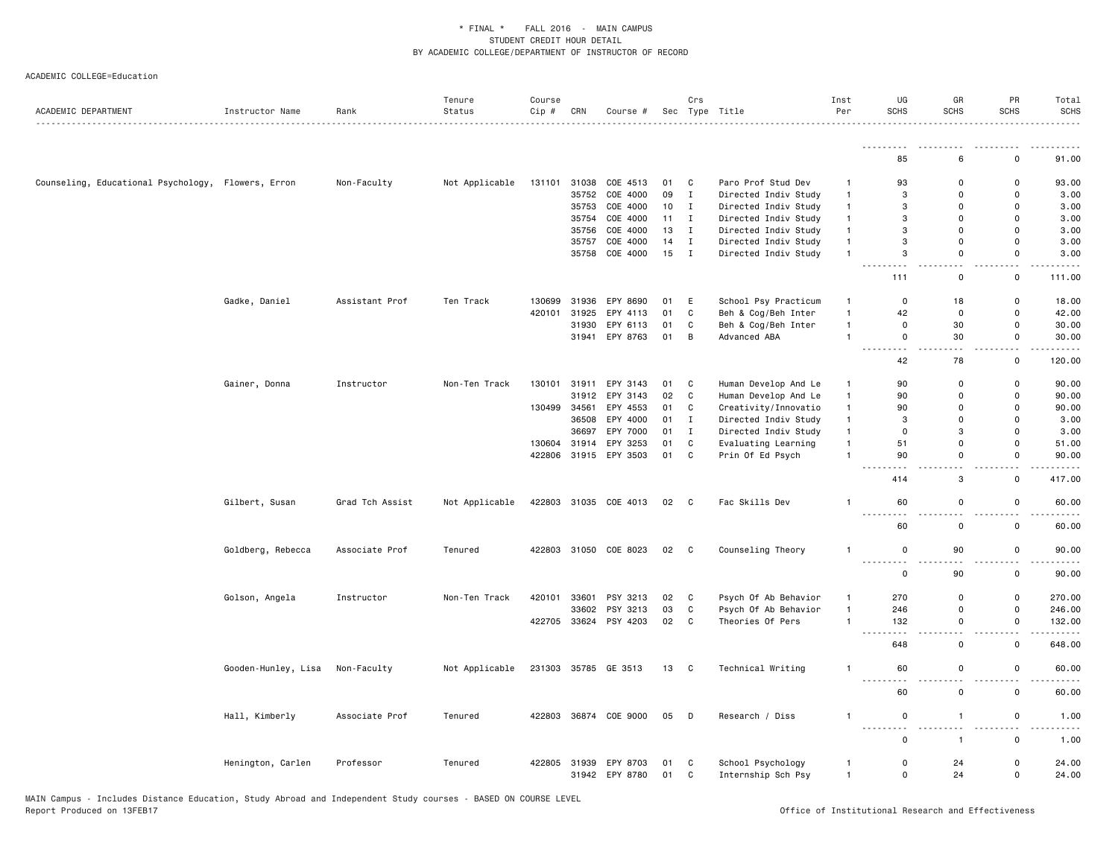| ACADEMIC DEPARTMENT                                | Instructor Name     | Rank<br>.       | Tenure<br>Status | Course<br>Cip # | CRN   | Course #              |      | Crs          | Sec Type Title       | Inst<br>Per  | UG<br><b>SCHS</b>                                                                                                                          | GR<br><b>SCHS</b>             | PR<br><b>SCHS</b>                  | Total<br><b>SCHS</b>                        |
|----------------------------------------------------|---------------------|-----------------|------------------|-----------------|-------|-----------------------|------|--------------|----------------------|--------------|--------------------------------------------------------------------------------------------------------------------------------------------|-------------------------------|------------------------------------|---------------------------------------------|
|                                                    |                     |                 |                  |                 |       |                       |      |              |                      |              | <u>.</u>                                                                                                                                   |                               |                                    |                                             |
|                                                    |                     |                 |                  |                 |       |                       |      |              |                      |              | 85                                                                                                                                         | 6                             | $\mathbf 0$                        | 91.00                                       |
| Counseling, Educational Psychology, Flowers, Erron |                     | Non-Faculty     | Not Applicable   | 131101          | 31038 | COE 4513              | 01   | C            | Paro Prof Stud Dev   | $\mathbf{1}$ | 93                                                                                                                                         | 0                             | $\mathbf 0$                        | 93.00                                       |
|                                                    |                     |                 |                  |                 | 35752 | COE 4000              | 09   | $\mathbf{I}$ | Directed Indiv Study | $\mathbf{1}$ | 3                                                                                                                                          | $\mathbf 0$                   | $\mathbf 0$                        | 3.00                                        |
|                                                    |                     |                 |                  |                 | 35753 | COE 4000              | 10   | $\mathbf{I}$ | Directed Indiv Study | $\mathbf{1}$ | 3                                                                                                                                          | 0                             | $\mathbf 0$                        | 3.00                                        |
|                                                    |                     |                 |                  |                 | 35754 | COE 4000              | 11   | $\mathbf{I}$ | Directed Indiv Study | $\mathbf{1}$ | 3                                                                                                                                          | $\Omega$                      | $\mathbf 0$                        | 3.00                                        |
|                                                    |                     |                 |                  |                 | 35756 | COE 4000              | 13   | $\mathbf{I}$ | Directed Indiv Study | $\mathbf{1}$ | 3                                                                                                                                          | $\Omega$                      | $\mathbf 0$                        | 3.00                                        |
|                                                    |                     |                 |                  |                 | 35757 | COE 4000              | 14   | $\mathbf{I}$ | Directed Indiv Study | $\mathbf{1}$ | 3                                                                                                                                          | 0                             | $\mathsf 0$                        | 3.00                                        |
|                                                    |                     |                 |                  |                 |       | 35758 COE 4000        | 15   | $\mathbf{I}$ | Directed Indiv Study | $\mathbf{1}$ | 3<br>د د د                                                                                                                                 | $\mathbf 0$<br>$\sim$ $\sim$  | $\mathbf 0$<br>$\overline{a}$      | 3.00                                        |
|                                                    |                     |                 |                  |                 |       |                       |      |              |                      |              | 111                                                                                                                                        | 0                             | $\mathsf 0$                        | 111.00                                      |
|                                                    | Gadke, Daniel       | Assistant Prof  | Ten Track        | 130699          | 31936 | EPY 8690              | 01   | E            | School Psy Practicum | $\mathbf{1}$ | 0                                                                                                                                          | 18                            | $\mathsf 0$                        | 18.00                                       |
|                                                    |                     |                 |                  | 420101          | 31925 | EPY 4113              | 01   | C            | Beh & Cog/Beh Inter  | $\mathbf{1}$ | 42                                                                                                                                         | 0                             | $\mathbf 0$                        | 42.00                                       |
|                                                    |                     |                 |                  |                 | 31930 | EPY 6113              | 01   | $\mathtt{C}$ | Beh & Cog/Beh Inter  | $\mathbf{1}$ | 0                                                                                                                                          | 30                            | $\mathsf 0$                        | 30.00                                       |
|                                                    |                     |                 |                  |                 |       | 31941 EPY 8763        | 01   | B            | Advanced ABA         | $\mathbf{1}$ | $\Omega$<br>$\frac{1}{2} \left( \frac{1}{2} \right) \left( \frac{1}{2} \right) \left( \frac{1}{2} \right) \left( \frac{1}{2} \right)$<br>. | 30<br>$\sim$                  | $\mathbf 0$<br>$\omega_{\rm{eff}}$ | 30.00<br>$\sim$ $\sim$ $\sim$ $\sim$ $\sim$ |
|                                                    |                     |                 |                  |                 |       |                       |      |              |                      |              | 42                                                                                                                                         | 78                            | 0                                  | 120.00                                      |
|                                                    | Gainer, Donna       | Instructor      | Non-Ten Track    | 130101          | 31911 | EPY 3143              | 01   | C            | Human Develop And Le | $\mathbf{1}$ | 90                                                                                                                                         | 0                             | $\mathsf 0$                        | 90.00                                       |
|                                                    |                     |                 |                  |                 |       | 31912 EPY 3143        | 02   | C            | Human Develop And Le | $\mathbf{1}$ | 90                                                                                                                                         | $\mathbf 0$                   | $\mathbf 0$                        | 90.00                                       |
|                                                    |                     |                 |                  | 130499          | 34561 | EPY 4553              | 01   | C            | Creativity/Innovatio | $\mathbf{1}$ | 90                                                                                                                                         | 0                             | $\mathbf 0$                        | 90.00                                       |
|                                                    |                     |                 |                  |                 | 36508 | EPY 4000              | 01   | $\mathbf{I}$ | Directed Indiv Study | $\mathbf{1}$ | 3                                                                                                                                          | $\Omega$                      | $\mathbf 0$                        | 3.00                                        |
|                                                    |                     |                 |                  |                 | 36697 | EPY 7000              | 01   | I            | Directed Indiv Study | $\mathbf{1}$ | 0                                                                                                                                          | 3                             | $\mathbf 0$                        | 3.00                                        |
|                                                    |                     |                 |                  | 130604          | 31914 | EPY 3253              | 01   | C            | Evaluating Learning  | $\mathbf{1}$ | 51                                                                                                                                         | 0                             | $\mathbf 0$                        | 51.00                                       |
|                                                    |                     |                 |                  |                 |       | 422806 31915 EPY 3503 | 01 C |              | Prin Of Ed Psych     | $\mathbf{1}$ | 90                                                                                                                                         | 0<br>$\sim$ $\sim$            | $\mathbf 0$<br>$\sim$ $\sim$       | 90.00<br>.                                  |
|                                                    |                     |                 |                  |                 |       |                       |      |              |                      |              | 414                                                                                                                                        | 3                             | $\mathsf 0$                        | 417.00                                      |
|                                                    | Gilbert, Susan      | Grad Tch Assist | Not Applicable   |                 |       | 422803 31035 COE 4013 | 02 C |              | Fac Skills Dev       | $\mathbf{1}$ | 60                                                                                                                                         | 0<br>$\overline{\phantom{a}}$ | $\mathbf 0$<br>22                  | 60.00                                       |
|                                                    |                     |                 |                  |                 |       |                       |      |              |                      |              | 60                                                                                                                                         | $\mathsf 0$                   | $\mathsf 0$                        | 60.00                                       |
|                                                    | Goldberg, Rebecca   | Associate Prof  | Tenured          | 422803          |       | 31050 COE 8023        | 02 C |              | Counseling Theory    | $\mathbf{1}$ | 0<br>.                                                                                                                                     | 90<br>$\sim$ $\sim$           | $\mathsf 0$<br>٠.                  | 90.00                                       |
|                                                    |                     |                 |                  |                 |       |                       |      |              |                      |              | 0                                                                                                                                          | 90                            | $\mathsf 0$                        | 90.00                                       |
|                                                    | Golson, Angela      | Instructor      | Non-Ten Track    | 420101          | 33601 | PSY 3213              | 02   | C            | Psych Of Ab Behavior | $\mathbf{1}$ | 270                                                                                                                                        | $\mathbf 0$                   | $\mathsf 0$                        | 270.00                                      |
|                                                    |                     |                 |                  |                 | 33602 | PSY 3213              | 03   | $\mathtt{C}$ | Psych Of Ab Behavior | $\mathbf{1}$ | 246                                                                                                                                        | $\mathsf 0$                   | $\mathbf 0$                        | 246.00                                      |
|                                                    |                     |                 |                  | 422705          |       | 33624 PSY 4203        | 02   | C            | Theories Of Pers     | $\mathbf{1}$ | 132<br>- - -<br>.                                                                                                                          | 0<br>$\sim$                   | $\mathsf 0$<br>i a a               | 132.00<br>.                                 |
|                                                    |                     |                 |                  |                 |       |                       |      |              |                      |              | 648                                                                                                                                        | $\mathsf 0$                   | $\mathsf 0$                        | 648.00                                      |
|                                                    | Gooden-Hunley, Lisa | Non-Faculty     | Not Applicable   |                 |       | 231303 35785 GE 3513  | 13 C |              | Technical Writing    | $\mathbf{1}$ | 60<br>-----<br>.                                                                                                                           | $\mathbf 0$<br>$ -$           | $\mathsf 0$<br>- -                 | 60.00                                       |
|                                                    |                     |                 |                  |                 |       |                       |      |              |                      |              | 60                                                                                                                                         | $\mathbf 0$                   | $\mathbf 0$                        | 60.00                                       |
|                                                    | Hall, Kimberly      | Associate Prof  | Tenured          | 422803          |       | 36874 COE 9000        | 05   | D            | Research / Diss      | $\mathbf{1}$ | 0                                                                                                                                          | $\overline{1}$                | $\mathsf 0$                        | 1.00                                        |
|                                                    |                     |                 |                  |                 |       |                       |      |              |                      |              | $\sim$ $\sim$<br>0                                                                                                                         | $\overline{1}$                | . .<br>$\mathsf 0$                 | 1.00                                        |
|                                                    | Henington, Carlen   | Professor       | Tenured          |                 |       | 422805 31939 EPY 8703 | 01   | C            | School Psychology    | $\mathbf{1}$ | $\mathbf 0$                                                                                                                                | 24                            | $\mathbf 0$                        | 24.00                                       |
|                                                    |                     |                 |                  |                 |       | 31942 EPY 8780        | 01   | $\mathsf{C}$ | Internship Sch Psy   | $\mathbf{1}$ | 0                                                                                                                                          | 24                            | $\mathbf 0$                        | 24.00                                       |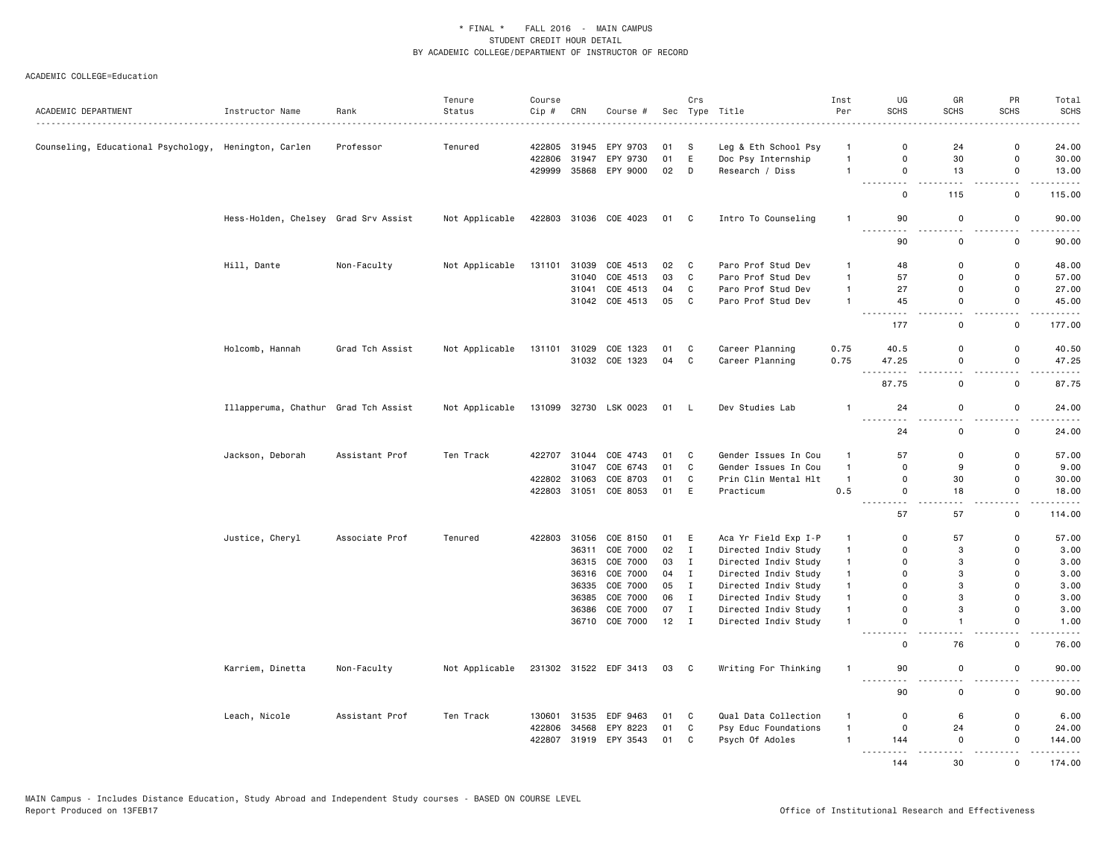|                                                       |                                      |                 | Tenure         | Course |              |                       |        | Crs          |                      | Inst           | UG                          | GR                            | PR                            | Total                                                                                                                                    |
|-------------------------------------------------------|--------------------------------------|-----------------|----------------|--------|--------------|-----------------------|--------|--------------|----------------------|----------------|-----------------------------|-------------------------------|-------------------------------|------------------------------------------------------------------------------------------------------------------------------------------|
| ACADEMIC DEPARTMENT                                   | Instructor Name                      | Rank<br>.       | Status         | Cip #  | CRN          | Course #              |        |              | Sec Type Title       | Per            | <b>SCHS</b>                 | <b>SCHS</b>                   | <b>SCHS</b>                   | <b>SCHS</b><br>$\frac{1}{2} \left( \frac{1}{2} \right) \left( \frac{1}{2} \right) \left( \frac{1}{2} \right) \left( \frac{1}{2} \right)$ |
|                                                       |                                      |                 |                |        |              |                       |        |              |                      |                |                             |                               |                               |                                                                                                                                          |
| Counseling, Educational Psychology, Henington, Carlen |                                      | Professor       | Tenured        | 422805 | 31945        | EPY 9703              | 01     | S            | Leg & Eth School Psy | $\mathbf{1}$   | $\Omega$                    | 24                            | $\Omega$                      | 24.00                                                                                                                                    |
|                                                       |                                      |                 |                | 422806 | 31947        | EPY 9730              | 01     | E            | Doc Psy Internship   | $\mathbf{1}$   | $\mathbf 0$                 | 30                            | $\mathsf{o}\,$<br>$\mathbf 0$ | 30.00                                                                                                                                    |
|                                                       |                                      |                 |                | 429999 |              | 35868 EPY 9000        | 02     | D            | Research / Diss      | $\overline{1}$ | $\mathsf 0$<br>.            | 13                            | <b></b>                       | 13.00<br>.                                                                                                                               |
|                                                       |                                      |                 |                |        |              |                       |        |              |                      |                | $\mathbf 0$                 | 115                           | 0                             | 115.00                                                                                                                                   |
|                                                       | Hess-Holden, Chelsey Grad Srv Assist |                 | Not Applicable |        |              | 422803 31036 COE 4023 | 01 C   |              | Intro To Counseling  | $\overline{1}$ | 90<br>$- - - -$<br>$- - -$  | 0                             | 0                             | 90.00                                                                                                                                    |
|                                                       |                                      |                 |                |        |              |                       |        |              |                      |                | 90                          | 0                             | 0                             | 90.00                                                                                                                                    |
|                                                       | Hill, Dante                          | Non-Faculty     | Not Applicable | 131101 |              | 31039 COE 4513        | 02     | $\mathbf{C}$ | Paro Prof Stud Dev   | $\mathbf{1}$   | 48                          | $\Omega$                      | 0                             | 48.00                                                                                                                                    |
|                                                       |                                      |                 |                |        |              | 31040 COE 4513        | 03     | $\mathbf{C}$ | Paro Prof Stud Dev   | $\mathbf{1}$   | 57                          | 0                             | $\mathbf 0$                   | 57.00                                                                                                                                    |
|                                                       |                                      |                 |                |        | 31041        | COE 4513              | 04     | $\mathbb{C}$ | Paro Prof Stud Dev   | $\overline{1}$ | 27                          | $\mathbf 0$                   | $\mathsf{o}$                  | 27.00                                                                                                                                    |
|                                                       |                                      |                 |                |        |              | 31042 COE 4513        | 05     | $\mathbf{C}$ | Paro Prof Stud Dev   | $\mathbf{1}$   | 45<br>$\frac{1}{2}$         | 0<br>$\overline{\phantom{a}}$ | 0<br>$ -$                     | 45.00<br>.                                                                                                                               |
|                                                       |                                      |                 |                |        |              |                       |        |              |                      |                | 177                         | 0                             | $\mathbf 0$                   | 177.00                                                                                                                                   |
|                                                       | Holcomb, Hannah                      | Grad Tch Assist | Not Applicable | 131101 |              | 31029 COE 1323        | 01     | C            | Career Planning      | 0.75           | 40.5                        | $\Omega$                      | $\Omega$                      | 40.50                                                                                                                                    |
|                                                       |                                      |                 |                |        |              | 31032 COE 1323        | 04     | C            | Career Planning      | 0.75           | 47.25                       | 0                             | 0                             | 47.25                                                                                                                                    |
|                                                       |                                      |                 |                |        |              |                       |        |              |                      |                | .<br>$ -$<br>87.75          | $ -$<br>0                     | $-$<br>0                      | $- - - -$<br>87.75                                                                                                                       |
|                                                       |                                      |                 |                |        |              |                       |        |              |                      |                |                             |                               |                               |                                                                                                                                          |
|                                                       | Illapperuma, Chathur Grad Tch Assist |                 | Not Applicable |        |              | 131099 32730 LSK 0023 | 01 L   |              | Dev Studies Lab      | $\mathbf{1}$   | 24<br>$- - -$               | $\mathsf 0$                   | 0                             | 24.00                                                                                                                                    |
|                                                       |                                      |                 |                |        |              |                       |        |              |                      |                | 24                          | 0                             | 0                             | 24.00                                                                                                                                    |
|                                                       | Jackson, Deborah                     | Assistant Prof  | Ten Track      |        | 422707 31044 | COE 4743              | 01     | C            | Gender Issues In Cou | $\overline{1}$ | 57                          | $\mathbf 0$                   | 0                             | 57.00                                                                                                                                    |
|                                                       |                                      |                 |                |        | 31047        | COE 6743              | 01     | $\mathbf c$  | Gender Issues In Cou | $\overline{1}$ | $\mathbf{0}$                | 9                             | $\mathbf 0$                   | 9.00                                                                                                                                     |
|                                                       |                                      |                 |                | 422802 | 31063        | COE 8703              | 01     | C            | Prin Clin Mental Hlt | $\mathbf{1}$   | $\mathbf 0$                 | 30                            | 0                             | 30.00                                                                                                                                    |
|                                                       |                                      |                 |                | 422803 | 31051        | COE 8053              | 01     | E            | Practicum            | 0.5            | $\mathbf 0$<br>$- - -$<br>. | 18                            | $\mathsf{o}$<br>$-$           | 18.00<br>.                                                                                                                               |
|                                                       |                                      |                 |                |        |              |                       |        |              |                      |                | 57                          | 57                            | 0                             | 114.00                                                                                                                                   |
|                                                       | Justice, Cheryl                      | Associate Prof  | Tenured        | 422803 |              | 31056 COE 8150        | 01     | E            | Aca Yr Field Exp I-P | $\mathbf{1}$   | $\mathbf 0$                 | 57                            | 0                             | 57.00                                                                                                                                    |
|                                                       |                                      |                 |                |        | 36311        | COE 7000              | 02     | $\mathbf{I}$ | Directed Indiv Study | $\mathbf{1}$   | $\mathbf 0$                 | 3                             | $\mathbf 0$                   | 3.00                                                                                                                                     |
|                                                       |                                      |                 |                |        |              | 36315 COE 7000        | 03     | $\mathbf{I}$ | Directed Indiv Study | $\mathbf{1}$   | $\Omega$                    | 3                             | $\Omega$                      | 3.00                                                                                                                                     |
|                                                       |                                      |                 |                |        |              | 36316 COE 7000        | 04     | $\mathbf{I}$ | Directed Indiv Study | $\mathbf{1}$   | $\mathbf 0$                 | 3                             | $\mathsf 0$                   | 3.00                                                                                                                                     |
|                                                       |                                      |                 |                |        |              | 36335 COE 7000        | 05     | $\mathbf{I}$ | Directed Indiv Study | $\overline{1}$ | $\Omega$                    | 3                             | $\Omega$                      | 3.00                                                                                                                                     |
|                                                       |                                      |                 |                |        |              | 36385 COE 7000        | 06     | $\mathbf I$  | Directed Indiv Study | $\overline{1}$ | $\mathbf 0$                 | 3                             | $\Omega$                      | 3.00                                                                                                                                     |
|                                                       |                                      |                 |                |        | 36386        | COE 7000              | 07     | $\mathbf{I}$ | Directed Indiv Study | $\mathbf{1}$   | $\mathbf 0$                 | 3                             | $\mathbf 0$                   | 3.00                                                                                                                                     |
|                                                       |                                      |                 |                |        |              | 36710 COE 7000        | $12$ I |              | Directed Indiv Study | $\mathbf{1}$   | $\mathbf 0$                 | $\mathbf{1}$                  | 0                             | 1.00<br>$\omega$ is a $\omega$                                                                                                           |
|                                                       |                                      |                 |                |        |              |                       |        |              |                      |                | $\mathbf 0$                 | 76                            | $\mathsf{o}$                  | 76.00                                                                                                                                    |
|                                                       | Karriem, Dinetta                     | Non-Faculty     | Not Applicable |        |              | 231302 31522 EDF 3413 | 03 C   |              | Writing For Thinking | $\overline{1}$ | 90                          | 0                             | 0                             | 90.00                                                                                                                                    |
|                                                       |                                      |                 |                |        |              |                       |        |              |                      |                | -----<br>90                 | 0                             | 0                             | 90.00                                                                                                                                    |
|                                                       | Leach, Nicole                        | Assistant Prof  | Ten Track      | 130601 |              | 31535 EDF 9463        | 01     | C            | Qual Data Collection | $\mathbf{1}$   | 0                           | 6                             | 0                             | 6.00                                                                                                                                     |
|                                                       |                                      |                 |                | 422806 | 34568        | EPY 8223              | 01     | $\mathtt{C}$ | Psy Educ Foundations | $\mathbf{1}$   | $\mathbf 0$                 | 24                            | $\mathsf{o}$                  | 24.00                                                                                                                                    |
|                                                       |                                      |                 |                | 422807 |              | 31919 EPY 3543        | 01     | C            | Psych Of Adoles      | $\overline{1}$ | 144<br>.                    | $\Omega$<br><u>.</u>          | 0<br>.                        | 144.00<br>.                                                                                                                              |
|                                                       |                                      |                 |                |        |              |                       |        |              |                      |                | 144                         | 30                            | $\Omega$                      | 174.00                                                                                                                                   |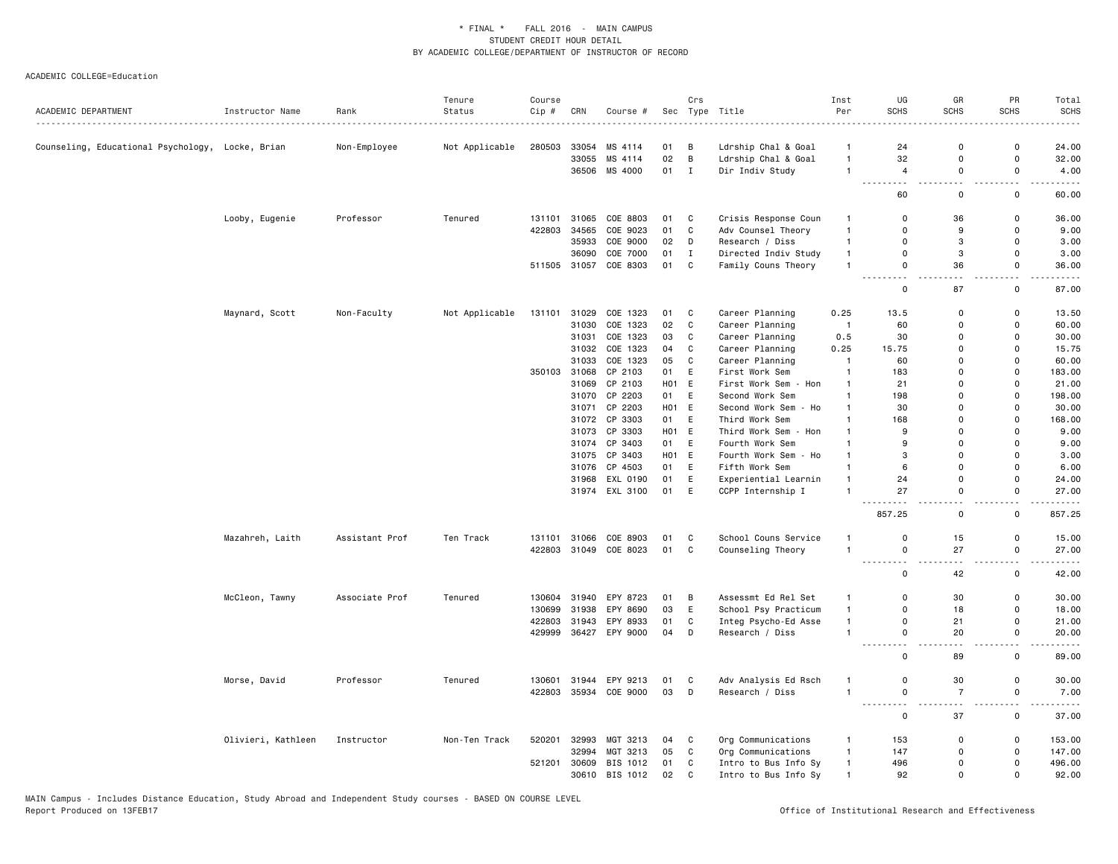| ACADEMIC DEPARTMENT                              | Instructor Name    | Rank           | Tenure<br>Status | Course<br>Cip # | CRN   | Course #                 |                  | Crs          | Sec Type Title                             | Inst<br>Per                  | UG<br><b>SCHS</b>                     | GR<br>SCHS                      | PR<br><b>SCHS</b>             | Total<br><b>SCHS</b> |
|--------------------------------------------------|--------------------|----------------|------------------|-----------------|-------|--------------------------|------------------|--------------|--------------------------------------------|------------------------------|---------------------------------------|---------------------------------|-------------------------------|----------------------|
|                                                  |                    |                | .                |                 |       |                          |                  |              |                                            |                              |                                       | $\Omega$                        | $\Omega$                      |                      |
| Counseling, Educational Psychology, Locke, Brian |                    | Non-Employee   | Not Applicable   | 280503          | 33055 | 33054 MS 4114<br>MS 4114 | 01<br>02         | В<br>B       | Ldrship Chal & Goal<br>Ldrship Chal & Goal | $\mathbf{1}$<br>$\mathbf{1}$ | 24<br>32                              | $\mathbf 0$                     | 0                             | 24.00<br>32.00       |
|                                                  |                    |                |                  |                 |       | 36506 MS 4000            | 01               | $\mathbf{I}$ | Dir Indiv Study                            | $\overline{1}$               | $\overline{4}$                        | 0                               | 0                             | 4.00                 |
|                                                  |                    |                |                  |                 |       |                          |                  |              |                                            |                              | $\sim$ $\sim$<br>$\sim$ $\sim$ $\sim$ | $\overline{a}$                  | $\overline{\phantom{a}}$      |                      |
|                                                  |                    |                |                  |                 |       |                          |                  |              |                                            |                              | 60                                    | 0                               | 0                             | 60.00                |
|                                                  | Looby, Eugenie     | Professor      | Tenured          | 131101          | 31065 | COE 8803                 | 01               | C            | Crisis Response Coun                       | $\mathbf{1}$                 | $\Omega$                              | 36                              | $\Omega$                      | 36.00                |
|                                                  |                    |                |                  | 422803          | 34565 | COE 9023                 | 01               | $\mathtt{C}$ | Adv Counsel Theory                         | $\overline{1}$               | $\Omega$                              | 9                               | $\Omega$                      | 9.00                 |
|                                                  |                    |                |                  |                 | 35933 | COE 9000                 | 02               | D            | Research / Diss                            | $\mathbf{1}$                 | 0                                     | 3                               | 0                             | 3.00                 |
|                                                  |                    |                |                  |                 | 36090 | COE 7000                 | 01               | $\mathbf I$  | Directed Indiv Study                       | $\overline{1}$               | 0                                     | 3                               | $\Omega$                      | 3.00                 |
|                                                  |                    |                |                  | 511505          | 31057 | COE 8303                 | 01               | $\mathbf C$  | Family Couns Theory                        | $\mathbf{1}$                 | 0<br>$\sim$ $\sim$                    | 36<br>٠.                        | 0<br>и.                       | 36.00                |
|                                                  |                    |                |                  |                 |       |                          |                  |              |                                            |                              | $\Omega$                              | 87                              | 0                             | 87.00                |
|                                                  | Maynard, Scott     | Non-Faculty    | Not Applicable   | 131101          | 31029 | COE 1323                 | 01               | C            | Career Planning                            | 0.25                         | 13.5                                  | 0                               | 0                             | 13.50                |
|                                                  |                    |                |                  |                 | 31030 | COE 1323                 | 02               | $\mathbf C$  | Career Planning                            | $\overline{1}$               | 60                                    | $\Omega$                        | 0                             | 60.00                |
|                                                  |                    |                |                  |                 |       | 31031 COE 1323           | 03               | $\mathtt{C}$ | Career Planning                            | 0.5                          | 30                                    | $\Omega$                        | $\Omega$                      | 30.00                |
|                                                  |                    |                |                  |                 | 31032 | COE 1323                 | 04               | $\mathbb{C}$ | Career Planning                            | 0.25                         | 15.75                                 | $\Omega$                        | $\Omega$                      | 15.75                |
|                                                  |                    |                |                  |                 | 31033 | COE 1323                 | 05               | C            | Career Planning                            | $\overline{1}$               | 60                                    | $\Omega$                        | $\Omega$                      | 60.00                |
|                                                  |                    |                |                  | 350103          | 31068 | CP 2103                  | 01               | E            | First Work Sem                             | $\mathbf{1}$                 | 183                                   | $\Omega$                        | $\Omega$                      | 183.00               |
|                                                  |                    |                |                  |                 | 31069 | CP 2103                  | <b>HO1</b>       | E            | First Work Sem<br>- Hon                    | $\mathbf{1}$                 | 21                                    | $\Omega$                        | $\Omega$                      | 21.00                |
|                                                  |                    |                |                  |                 |       | 31070 CP 2203            | 01               | E            | Second Work Sem                            | $\overline{1}$               | 198                                   | $\Omega$                        | $\Omega$                      | 198.00               |
|                                                  |                    |                |                  |                 | 31071 | CP 2203                  | H01 E            |              | Second Work Sem<br>- Ho                    | $\mathbf{1}$                 | 30                                    | $\Omega$                        | 0                             | 30.00                |
|                                                  |                    |                |                  |                 | 31072 | CP 3303                  | 01               | E            | Third Work Sem                             | -1                           | 168                                   | $\Omega$                        | $\Omega$                      | 168.00               |
|                                                  |                    |                |                  |                 | 31073 | CP 3303                  | H <sub>0</sub> 1 | E            | Third Work Sem<br>- Hon                    | $\mathbf{1}$                 | 9                                     | $\Omega$                        | 0                             | 9.00                 |
|                                                  |                    |                |                  |                 | 31074 | CP 3403                  | 01               | $\mathsf E$  | Fourth Work Sem                            | $\mathbf{1}$                 | 9                                     | $\Omega$                        | $\Omega$                      | 9.00                 |
|                                                  |                    |                |                  |                 |       | 31075 CP 3403            | H <sub>0</sub> 1 | E            | Fourth Work Sem<br>- Ho                    | $\mathbf{1}$                 | 3                                     | $\Omega$                        | $\Omega$                      | 3.00                 |
|                                                  |                    |                |                  |                 | 31076 | CP 4503                  | 01               | E            | Fifth Work Sem                             | $\mathbf{1}$                 | 6                                     | $\Omega$                        | $\Omega$                      | 6.00                 |
|                                                  |                    |                |                  |                 | 31968 | EXL 0190                 | 01               | E            | Experiential Learnin                       | $\mathbf{1}$                 | 24                                    | $\Omega$                        | $\Omega$                      | 24.00                |
|                                                  |                    |                |                  |                 |       | 31974 EXL 3100           | 01               | E            | CCPP Internship I                          | $\overline{1}$               | 27                                    | 0                               | 0<br>. .                      | 27.00                |
|                                                  |                    |                |                  |                 |       |                          |                  |              |                                            |                              | 857.25                                | 0                               | 0                             | 857.25               |
|                                                  | Mazahreh, Laith    | Assistant Prof | Ten Track        | 131101          | 31066 | COE 8903                 | 01               | C            | School Couns Service                       | $\overline{1}$               | 0                                     | 15                              | 0                             | 15.00                |
|                                                  |                    |                |                  | 422803          | 31049 | COE 8023                 | 01               | C            | Counseling Theory                          | $\overline{1}$               | 0                                     | 27                              | 0                             | 27.00                |
|                                                  |                    |                |                  |                 |       |                          |                  |              |                                            |                              | <u>.</u><br>.                         | $\sim$ $\sim$                   | $\overline{\phantom{a}}$      | -----                |
|                                                  |                    |                |                  |                 |       |                          |                  |              |                                            |                              | 0                                     | 42                              | 0                             | 42.00                |
|                                                  | McCleon, Tawny     | Associate Prof | Tenured          | 130604          | 31940 | EPY 8723                 | 01               | В            | Assessmt Ed Rel Set                        | $\mathbf{1}$                 | 0                                     | 30                              | 0                             | 30.00                |
|                                                  |                    |                |                  | 130699          | 31938 | EPY 8690                 | 03               | Ε            | School Psy Practicum                       | $\mathbf{1}$                 | $\Omega$                              | 18                              | 0                             | 18.00                |
|                                                  |                    |                |                  | 422803          | 31943 | EPY 8933                 | 01               | $\mathbf C$  | Integ Psycho-Ed Asse                       | $\mathbf{1}$                 | 0                                     | 21                              | $\Omega$                      | 21.00                |
|                                                  |                    |                |                  | 429999          |       | 36427 EPY 9000           | 04               | D            | Research / Diss                            | $\overline{1}$               | $\Omega$<br>$\sim$<br>----            | 20<br>$\sim$ $\sim$             | $\Omega$<br>$\sim$ $\sim$     | 20.00<br>.           |
|                                                  |                    |                |                  |                 |       |                          |                  |              |                                            |                              | 0                                     | 89                              | 0                             | 89.00                |
|                                                  | Morse, David       | Professor      | Tenured          | 130601          | 31944 | EPY 9213                 | 01               | C            | Adv Analysis Ed Rsch                       | $\mathbf{1}$                 | 0                                     | 30                              | 0                             | 30.00                |
|                                                  |                    |                |                  | 422803          |       | 35934 COE 9000           | 03               | D            | Research / Diss                            | $\overline{1}$               | 0<br>$  -$<br>- - -                   | $\overline{7}$<br>$\sim$ $\sim$ | 0<br>$\overline{\phantom{a}}$ | 7.00                 |
|                                                  |                    |                |                  |                 |       |                          |                  |              |                                            |                              | 0                                     | 37                              | $\mathsf{o}\,$                | 37.00                |
|                                                  | Olivieri, Kathleen | Instructor     | Non-Ten Track    | 520201          | 32993 | MGT 3213                 | 04               | C            | Org Communications                         | $\mathbf{1}$                 | 153                                   | 0                               | 0                             | 153.00               |
|                                                  |                    |                |                  |                 | 32994 | MGT 3213                 | 05               | C            | Org Communications                         | $\overline{1}$               | 147                                   | $\Omega$                        | 0                             | 147.00               |
|                                                  |                    |                |                  | 521201          |       | 30609 BIS 1012           | 01               | C            | Intro to Bus Info Sy                       | $\mathbf{1}$                 | 496                                   | $\Omega$                        | $\Omega$                      | 496.00               |
|                                                  |                    |                |                  |                 |       | 30610 BIS 1012           | 02               | C            | Intro to Bus Info Sy                       | $\mathbf{1}$                 | 92                                    | $\Omega$                        | $\Omega$                      | 92.00                |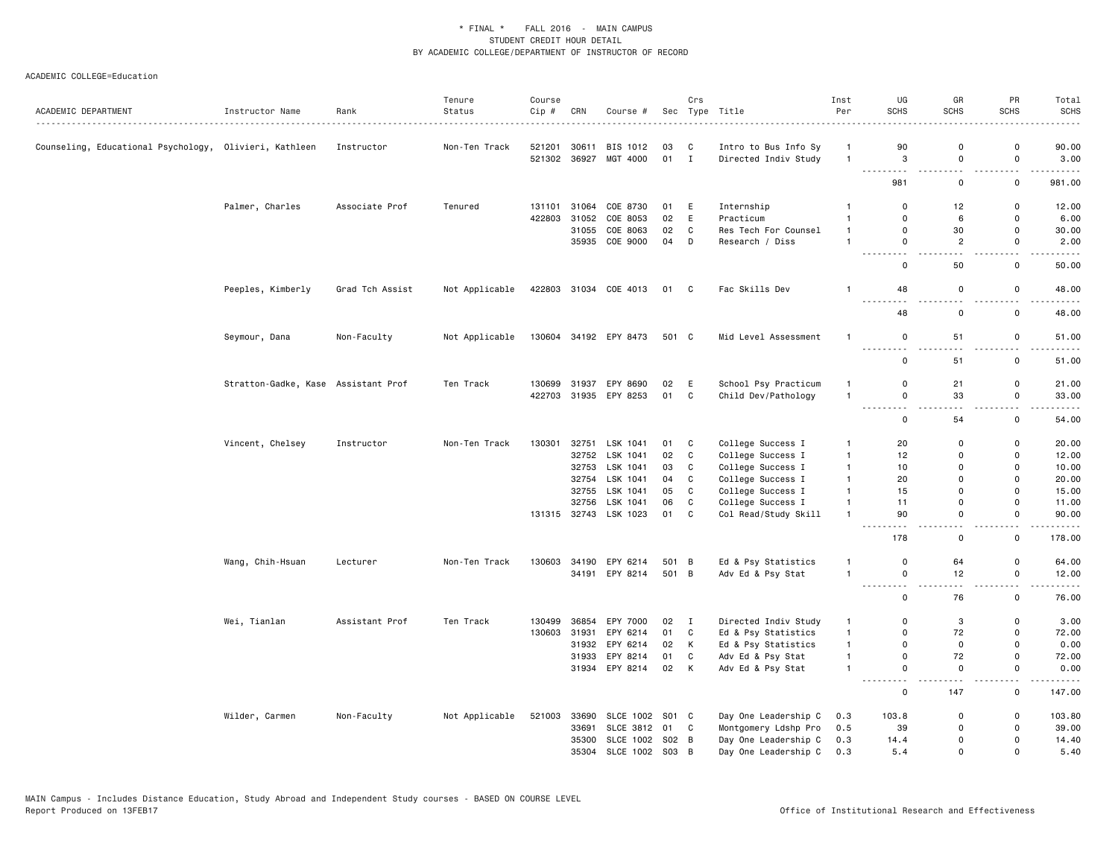|                                                        |                      |                 | Tenure         | Course |              |                       |       | Crs          |                      | Inst           | UG                                                                                                                                                                                                                                                                                                                                                                                                                                                                                                                            | GR                                      | PR                            | Total               |
|--------------------------------------------------------|----------------------|-----------------|----------------|--------|--------------|-----------------------|-------|--------------|----------------------|----------------|-------------------------------------------------------------------------------------------------------------------------------------------------------------------------------------------------------------------------------------------------------------------------------------------------------------------------------------------------------------------------------------------------------------------------------------------------------------------------------------------------------------------------------|-----------------------------------------|-------------------------------|---------------------|
| ACADEMIC DEPARTMENT                                    | Instructor Name      | Rank<br>.       | Status         | Cip #  | CRN          | Course #              |       |              | Sec Type Title       | Per            | <b>SCHS</b>                                                                                                                                                                                                                                                                                                                                                                                                                                                                                                                   | <b>SCHS</b>                             | <b>SCHS</b>                   | <b>SCHS</b><br>---- |
| Counseling, Educational Psychology, Olivieri, Kathleen |                      | Instructor      | Non-Ten Track  | 521201 | 30611        | BIS 1012              | 03    | C            | Intro to Bus Info Sy | $\overline{1}$ | 90                                                                                                                                                                                                                                                                                                                                                                                                                                                                                                                            | $\mathbf 0$                             | $\mathbf 0$                   | 90.00               |
|                                                        |                      |                 |                |        | 521302 36927 | MGT 4000              | 01 I  |              | Directed Indiv Study | $\overline{1}$ | 3                                                                                                                                                                                                                                                                                                                                                                                                                                                                                                                             | $\mathbf 0$<br>$\overline{\phantom{a}}$ | $\mathbf 0$<br>$\overline{a}$ | 3.00<br>.           |
|                                                        |                      |                 |                |        |              |                       |       |              |                      |                | 981                                                                                                                                                                                                                                                                                                                                                                                                                                                                                                                           | $\mathbf 0$                             | $\mathsf{o}$                  | 981.00              |
|                                                        | Palmer, Charles      | Associate Prof  | Tenured        | 131101 | 31064        | COE 8730              | 01    | E            | Internship           | $\overline{1}$ | $\mathbf 0$                                                                                                                                                                                                                                                                                                                                                                                                                                                                                                                   | 12                                      | 0                             | 12.00               |
|                                                        |                      |                 |                | 422803 | 31052        | COE 8053              | 02    | E            | Practicum            | $\mathbf{1}$   | $\mathbf 0$                                                                                                                                                                                                                                                                                                                                                                                                                                                                                                                   | 6                                       | $\mathbf 0$                   | 6.00                |
|                                                        |                      |                 |                |        |              | 31055 COE 8063        | 02    | $\mathbb{C}$ | Res Tech For Counsel | $\mathbf{1}$   | $\mathbf 0$                                                                                                                                                                                                                                                                                                                                                                                                                                                                                                                   | 30                                      | $\mathsf 0$                   | 30.00               |
|                                                        |                      |                 |                |        |              | 35935 COE 9000        | 04    | D            | Research / Diss      | $\mathbf{1}$   | $\mathbf 0$                                                                                                                                                                                                                                                                                                                                                                                                                                                                                                                   | $\overline{c}$                          | $\mathsf 0$                   | 2.00                |
|                                                        |                      |                 |                |        |              |                       |       |              |                      |                | $\overline{\phantom{a}}$<br>$\mathbf 0$                                                                                                                                                                                                                                                                                                                                                                                                                                                                                       | 50                                      | 0                             | 50.00               |
|                                                        | Peeples, Kimberly    | Grad Tch Assist | Not Applicable |        |              | 422803 31034 COE 4013 | 01 C  |              | Fac Skills Dev       | $\overline{1}$ | 48<br>$ -$<br>- - -                                                                                                                                                                                                                                                                                                                                                                                                                                                                                                           | $\mathsf 0$                             | $\mathbf 0$                   | 48.00               |
|                                                        |                      |                 |                |        |              |                       |       |              |                      |                | 48                                                                                                                                                                                                                                                                                                                                                                                                                                                                                                                            | 0                                       | $\mathsf 0$                   | 48.00               |
|                                                        | Seymour, Dana        | Non-Faculty     | Not Applicable |        |              | 130604 34192 EPY 8473 | 501 C |              | Mid Level Assessment | $\overline{1}$ | $\mathbf 0$<br>$ -$                                                                                                                                                                                                                                                                                                                                                                                                                                                                                                           | 51                                      | 0<br>$ -$                     | 51.00               |
|                                                        |                      |                 |                |        |              |                       |       |              |                      |                | 0                                                                                                                                                                                                                                                                                                                                                                                                                                                                                                                             | 51                                      | $\mathsf 0$                   | 51.00               |
|                                                        | Stratton-Gadke, Kase | Assistant Prof  | Ten Track      | 130699 | 31937        | EPY 8690              | 02    | E            | School Psy Practicum | $\overline{1}$ | $\mathbf 0$                                                                                                                                                                                                                                                                                                                                                                                                                                                                                                                   | 21                                      | 0                             | 21.00               |
|                                                        |                      |                 |                | 422703 |              | 31935 EPY 8253        | 01    | C            | Child Dev/Pathology  | $\mathbf{1}$   | $\mathsf 0$                                                                                                                                                                                                                                                                                                                                                                                                                                                                                                                   | 33                                      | $\mathsf 0$                   | 33.00               |
|                                                        |                      |                 |                |        |              |                       |       |              |                      |                | $\sim$ $\sim$ $\sim$<br>$\begin{array}{cccccccccccccc} \multicolumn{2}{c}{} & \multicolumn{2}{c}{} & \multicolumn{2}{c}{} & \multicolumn{2}{c}{} & \multicolumn{2}{c}{} & \multicolumn{2}{c}{} & \multicolumn{2}{c}{} & \multicolumn{2}{c}{} & \multicolumn{2}{c}{} & \multicolumn{2}{c}{} & \multicolumn{2}{c}{} & \multicolumn{2}{c}{} & \multicolumn{2}{c}{} & \multicolumn{2}{c}{} & \multicolumn{2}{c}{} & \multicolumn{2}{c}{} & \multicolumn{2}{c}{} & \multicolumn{2}{c}{} & \multicolumn{2}{c}{} & \$<br>$\mathsf 0$ | 54                                      | $\mathbf 0$                   | ----<br>54.00       |
|                                                        | Vincent, Chelsey     | Instructor      | Non-Ten Track  | 130301 |              | 32751 LSK 1041        | 01    | C            | College Success I    | $\overline{1}$ | 20                                                                                                                                                                                                                                                                                                                                                                                                                                                                                                                            | $\Omega$                                | $\Omega$                      | 20.00               |
|                                                        |                      |                 |                |        |              | 32752 LSK 1041        | 02    | C            | College Success I    | $\mathbf{1}$   | 12                                                                                                                                                                                                                                                                                                                                                                                                                                                                                                                            | $\Omega$                                | $\mathsf 0$                   | 12.00               |
|                                                        |                      |                 |                |        |              | 32753 LSK 1041        | 03    | C            | College Success I    | $\overline{1}$ | 10                                                                                                                                                                                                                                                                                                                                                                                                                                                                                                                            | $\Omega$                                | 0                             | 10.00               |
|                                                        |                      |                 |                |        |              | 32754 LSK 1041        | 04    | C            | College Success I    | $\overline{1}$ | 20                                                                                                                                                                                                                                                                                                                                                                                                                                                                                                                            | $\Omega$                                | $\Omega$                      | 20.00               |
|                                                        |                      |                 |                |        |              | 32755 LSK 1041        | 05    | C            | College Success I    | $\mathbf{1}$   | 15                                                                                                                                                                                                                                                                                                                                                                                                                                                                                                                            | $\Omega$                                | 0                             | 15.00               |
|                                                        |                      |                 |                |        | 32756        | LSK 1041              | 06    | $\mathtt{C}$ | College Success I    | $\mathbf{1}$   | 11                                                                                                                                                                                                                                                                                                                                                                                                                                                                                                                            | $\mathbf 0$                             | $\mathsf 0$                   | 11.00               |
|                                                        |                      |                 |                |        |              | 131315 32743 LSK 1023 | 01    | C            | Col Read/Study Skill | $\mathbf{1}$   | 90                                                                                                                                                                                                                                                                                                                                                                                                                                                                                                                            | $\mathbf 0$                             | $\mathsf 0$<br>$-$            | 90.00<br>.          |
|                                                        |                      |                 |                |        |              |                       |       |              |                      |                | 178                                                                                                                                                                                                                                                                                                                                                                                                                                                                                                                           | $\mathsf 0$                             | $\mathsf 0$                   | 178.00              |
|                                                        | Wang, Chih-Hsuan     | Lecturer        | Non-Ten Track  | 130603 |              | 34190 EPY 6214        | 501 B |              | Ed & Psy Statistics  | $\mathbf{1}$   | $\mathsf 0$                                                                                                                                                                                                                                                                                                                                                                                                                                                                                                                   | 64                                      | $\mathsf 0$                   | 64.00               |
|                                                        |                      |                 |                |        |              | 34191 EPY 8214        | 501 B |              | Adv Ed & Psy Stat    | $\mathbf{1}$   | $\mathbf 0$                                                                                                                                                                                                                                                                                                                                                                                                                                                                                                                   | 12                                      | 0                             | 12.00               |
|                                                        |                      |                 |                |        |              |                       |       |              |                      |                | $\mathbf 0$                                                                                                                                                                                                                                                                                                                                                                                                                                                                                                                   | 76                                      | $\mathbf 0$                   | 76.00               |
|                                                        | Wei, Tianlan         | Assistant Prof  | Ten Track      | 130499 | 36854        | EPY 7000              | 02    | I            | Directed Indiv Study | $\mathbf{1}$   | 0                                                                                                                                                                                                                                                                                                                                                                                                                                                                                                                             | 3                                       | $\mathbf 0$                   | 3.00                |
|                                                        |                      |                 |                | 130603 | 31931        | EPY 6214              | 01    | C            | Ed & Psy Statistics  | $\mathbf{1}$   | $\mathbf 0$                                                                                                                                                                                                                                                                                                                                                                                                                                                                                                                   | 72                                      | $\mathsf 0$                   | 72.00               |
|                                                        |                      |                 |                |        |              | 31932 EPY 6214        | 02    | K            | Ed & Psy Statistics  | $\mathbf{1}$   | $\mathbf 0$                                                                                                                                                                                                                                                                                                                                                                                                                                                                                                                   | $\mathbf 0$                             | $\mathsf 0$                   | 0.00                |
|                                                        |                      |                 |                |        |              | 31933 EPY 8214        | 01    | $\mathbb C$  | Adv Ed & Psy Stat    | $\mathbf{1}$   | $\mathsf 0$                                                                                                                                                                                                                                                                                                                                                                                                                                                                                                                   | 72                                      | $\mathsf 0$                   | 72.00               |
|                                                        |                      |                 |                |        |              | 31934 EPY 8214        | 02    | K            | Adv Ed & Psy Stat    | $\overline{1}$ | $\mathbf 0$<br><u>.</u>                                                                                                                                                                                                                                                                                                                                                                                                                                                                                                       | 0                                       | $\mathsf{o}$<br>$-$           | 0.00<br>.           |
|                                                        |                      |                 |                |        |              |                       |       |              |                      |                | $\mathbf 0$                                                                                                                                                                                                                                                                                                                                                                                                                                                                                                                   | 147                                     | 0                             | 147.00              |
|                                                        | Wilder, Carmen       | Non-Faculty     | Not Applicable | 521003 | 33690        | SLCE 1002 S01 C       |       |              | Day One Leadership C | 0.3            | 103.8                                                                                                                                                                                                                                                                                                                                                                                                                                                                                                                         | 0                                       | $\mathbf 0$                   | 103.80              |
|                                                        |                      |                 |                |        | 33691        | SLCE 3812 01 C        |       |              | Montgomery Ldshp Pro | 0.5            | 39                                                                                                                                                                                                                                                                                                                                                                                                                                                                                                                            | $\Omega$                                | $\mathsf 0$                   | 39.00               |
|                                                        |                      |                 |                |        | 35300        | SLCE 1002 S02 B       |       |              | Day One Leadership C | 0.3            | 14.4                                                                                                                                                                                                                                                                                                                                                                                                                                                                                                                          | $\Omega$                                | $\Omega$                      | 14.40               |
|                                                        |                      |                 |                |        |              | 35304 SLCE 1002 S03 B |       |              | Day One Leadership C | 0.3            | 5.4                                                                                                                                                                                                                                                                                                                                                                                                                                                                                                                           | $\mathbf{0}$                            | $\mathbf 0$                   | 5.40                |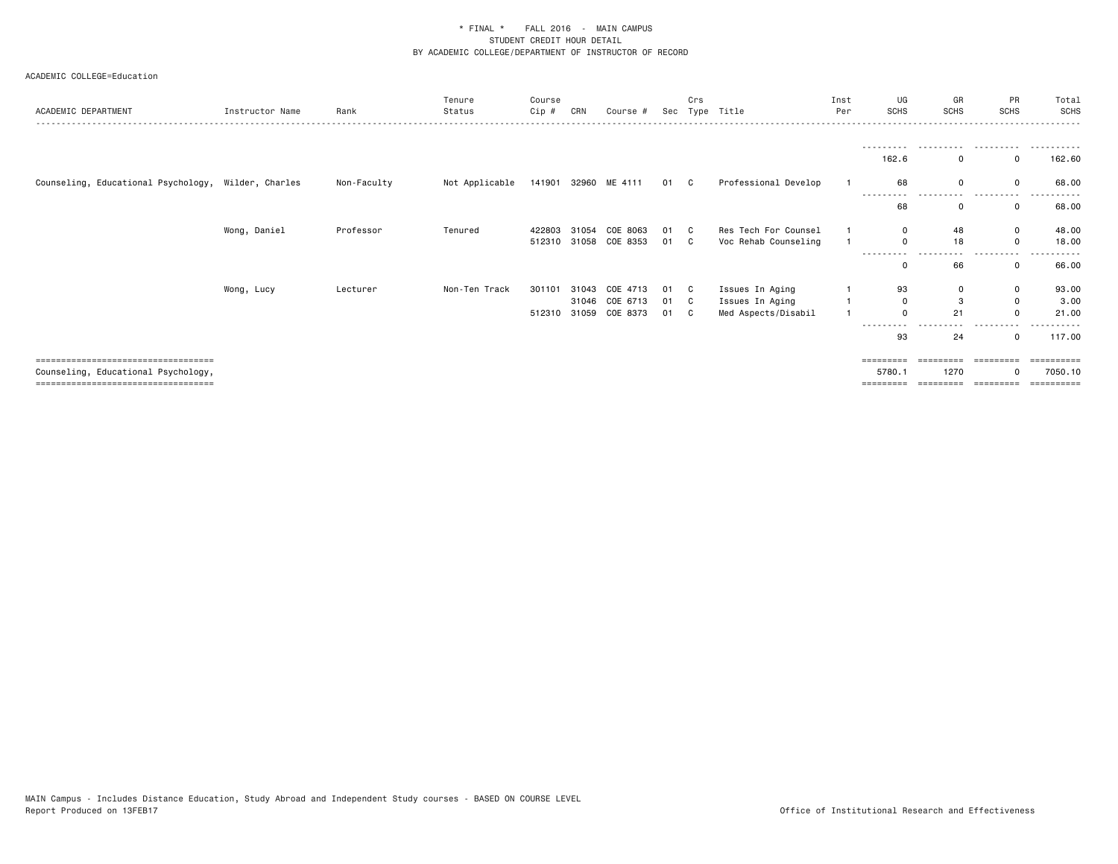| ACADEMIC DEPARTMENT                                                                                                   | Instructor Name | Rank        | Tenure<br>Status | Course<br>Cip #  | CRN                     | Course #                                | Sec                | Crs          | Type Title                                                | Inst<br>Per | UG<br><b>SCHS</b>                              | GR<br><b>SCHS</b> | PR<br><b>SCHS</b> | Total<br><b>SCHS</b>                       |
|-----------------------------------------------------------------------------------------------------------------------|-----------------|-------------|------------------|------------------|-------------------------|-----------------------------------------|--------------------|--------------|-----------------------------------------------------------|-------------|------------------------------------------------|-------------------|-------------------|--------------------------------------------|
|                                                                                                                       |                 |             |                  |                  |                         |                                         |                    |              |                                                           |             | .<br>162.6                                     | .                 | .                 | .<br>162.60                                |
| Counseling, Educational Psychology, Wilder, Charles                                                                   |                 | Non-Faculty | Not Applicable   |                  |                         | 141901 32960 ME 4111                    | 01 C               |              | Professional Develop                                      |             | 68<br>---------                                |                   |                   | 68.00                                      |
|                                                                                                                       |                 |             |                  |                  |                         |                                         |                    |              |                                                           |             | 68                                             |                   |                   | 68.00                                      |
|                                                                                                                       | Wong, Daniel    | Professor   | Tenured          | 422803           |                         | 31054 COE 8063<br>512310 31058 COE 8353 | 01 C<br>01 C       |              | Res Tech For Counsel<br>Voc Rehab Counseling              |             | $\Omega$<br>$\Omega$                           | 48<br>18          | 0<br>$\Omega$     | 48.00<br>18.00                             |
|                                                                                                                       |                 |             |                  |                  |                         |                                         |                    |              |                                                           |             | ---------<br>$\Omega$                          | 66                |                   | 66.00                                      |
|                                                                                                                       | Wong, Lucy      | Lecturer    | Non-Ten Track    | 301101<br>512310 | 31043<br>31046<br>31059 | COE 4713<br>COE 6713<br>COE 8373        | 01<br>01 C<br>01 C | $\mathbf{C}$ | Issues In Aging<br>Issues In Aging<br>Med Aspects/Disabil |             | 93<br>0<br>$\Omega$<br>----                    | 3<br>21           | 0<br>$\Omega$     | 93.00<br>3.00<br>21.00                     |
| =====================================<br>Counseling, Educational Psychology,<br>===================================== |                 |             |                  |                  |                         |                                         |                    |              |                                                           |             | 93<br>$=$ = = = = = = = =<br>5780.<br>======== | 24<br>1270        | ---------         | 117.00<br>:========<br>7050.10<br>======== |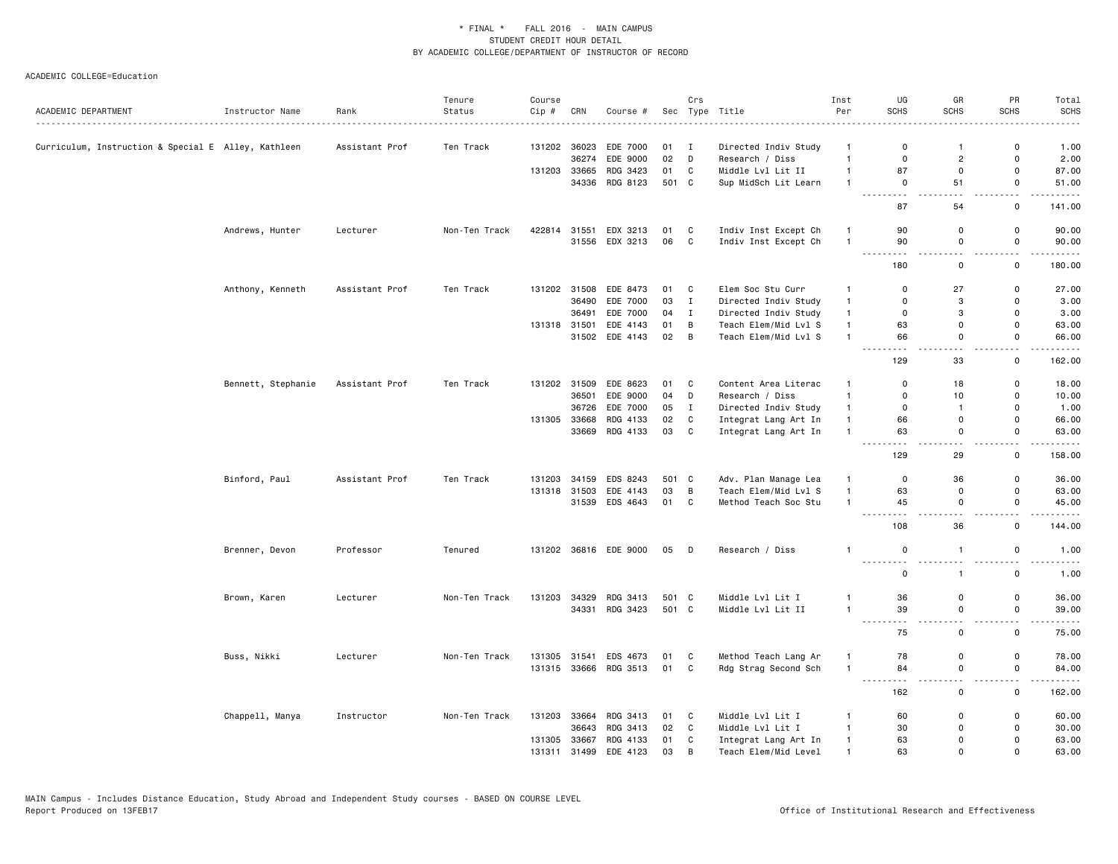|                                                     |                    |                | Tenure        | Course |              |                                         |                | Crs            |                                         | Inst                             | UG                                                                                                                                                         | GR                                      | PR                            | Total              |
|-----------------------------------------------------|--------------------|----------------|---------------|--------|--------------|-----------------------------------------|----------------|----------------|-----------------------------------------|----------------------------------|------------------------------------------------------------------------------------------------------------------------------------------------------------|-----------------------------------------|-------------------------------|--------------------|
| ACADEMIC DEPARTMENT                                 | Instructor Name    | Rank<br>.      | Status        | Cip #  | CRN          | Course #                                |                |                | Sec Type Title<br>.                     | Per                              | <b>SCHS</b>                                                                                                                                                | <b>SCHS</b>                             | <b>SCHS</b>                   | <b>SCHS</b><br>.   |
|                                                     |                    |                |               |        |              |                                         |                |                |                                         |                                  |                                                                                                                                                            | $\mathbf{1}$                            |                               |                    |
| Curriculum, Instruction & Special E Alley, Kathleen |                    | Assistant Prof | Ten Track     |        | 36274        | 131202 36023 EDE 7000<br>EDE 9000       | $01$ I<br>02 D |                | Directed Indiv Study<br>Research / Diss | $\mathbf{1}$<br>$\overline{1}$   | 0<br>$\mathbf 0$                                                                                                                                           | $\overline{2}$                          | 0<br>0                        | 1.00<br>2.00       |
|                                                     |                    |                |               | 131203 | 33665        | RDG 3423                                | 01             | C              | Middle Lvl Lit II                       | $\overline{1}$                   | 87                                                                                                                                                         | 0                                       | 0                             | 87.00              |
|                                                     |                    |                |               |        |              | 34336 RDG 8123                          | 501 C          |                | Sup MidSch Lit Learn                    | $\overline{1}$                   | $\mathbf 0$                                                                                                                                                | 51                                      | $\mathsf{o}$                  | 51.00              |
|                                                     |                    |                |               |        |              |                                         |                |                |                                         |                                  | $\sim$ $\sim$ $\sim$<br>.<br>87                                                                                                                            | 54                                      | $\sim$ $\sim$<br>$\mathsf{o}$ | $\cdots$<br>141.00 |
|                                                     |                    |                |               |        |              |                                         |                |                |                                         |                                  |                                                                                                                                                            |                                         |                               |                    |
|                                                     | Andrews, Hunter    | Lecturer       | Non-Ten Track |        |              | 422814 31551 EDX 3213<br>31556 EDX 3213 | 01 C<br>06     | $\mathbf{C}$   | Indiv Inst Except Ch                    | $\overline{1}$<br>$\overline{1}$ | 90<br>90                                                                                                                                                   | 0<br>0                                  | 0<br>0                        | 90.00<br>90.00     |
|                                                     |                    |                |               |        |              |                                         |                |                | Indiv Inst Except Ch                    |                                  | $  -$                                                                                                                                                      |                                         |                               | .                  |
|                                                     |                    |                |               |        |              |                                         |                |                |                                         |                                  | 180                                                                                                                                                        | 0                                       | 0                             | 180.00             |
|                                                     | Anthony, Kenneth   | Assistant Prof | Ten Track     |        |              | 131202 31508 EDE 8473                   | 01 C           |                | Elem Soc Stu Curr                       | $\mathbf{1}$                     | 0                                                                                                                                                          | 27                                      | 0                             | 27.00              |
|                                                     |                    |                |               |        |              | 36490 EDE 7000                          | 03             | $\mathbf{I}$   | Directed Indiv Study                    | $\mathbf{1}$                     | $\Omega$                                                                                                                                                   | 3                                       | $\Omega$                      | 3.00               |
|                                                     |                    |                |               |        |              | 36491 EDE 7000                          | 04             | $\mathbf{I}$   | Directed Indiv Study                    | $\mathbf{1}$                     | 0                                                                                                                                                          | 3                                       | 0                             | 3.00               |
|                                                     |                    |                |               |        | 131318 31501 | EDE 4143                                | 01             | B              | Teach Elem/Mid Lvl S                    | $\mathbf{1}$                     | 63                                                                                                                                                         | 0                                       | 0                             | 63.00              |
|                                                     |                    |                |               |        |              | 31502 EDE 4143                          | 02             | $\overline{B}$ | Teach Elem/Mid Lvl S                    | $\overline{1}$                   | 66<br>$\frac{1}{2} \left( \frac{1}{2} \right) \left( \frac{1}{2} \right)$                                                                                  | $\mathbf 0$<br>$\sim$ $\sim$            | $\mathsf 0$<br>$-$            | 66.00<br>.         |
|                                                     |                    |                |               |        |              |                                         |                |                |                                         |                                  | 129                                                                                                                                                        | 33                                      | $\mathsf 0$                   | 162.00             |
|                                                     | Bennett, Stephanie | Assistant Prof | Ten Track     |        |              | 131202 31509 EDE 8623                   | 01 C           |                | Content Area Literac                    | $\mathbf{1}$                     | $\Omega$                                                                                                                                                   | 18                                      | 0                             | 18.00              |
|                                                     |                    |                |               |        | 36501        | EDE 9000                                | 04             | D              | Research / Diss                         | $\mathbf{1}$                     | $\mathbf 0$                                                                                                                                                | 10                                      | $\mathsf 0$                   | 10.00              |
|                                                     |                    |                |               |        | 36726        | EDE 7000                                | 05             | $\mathbf{I}$   | Directed Indiv Study                    | $\mathbf{1}$                     | $\mathbf 0$                                                                                                                                                | $\mathbf{1}$                            | $\Omega$                      | 1.00               |
|                                                     |                    |                |               |        |              | 131305 33668 RDG 4133                   | 02             | C              | Integrat Lang Art In                    | $\mathbf{1}$                     | 66                                                                                                                                                         | 0                                       | 0                             | 66.00              |
|                                                     |                    |                |               |        |              | 33669 RDG 4133                          | 03 C           |                | Integrat Lang Art In                    | $\overline{1}$                   | 63<br>$\omega \sim \omega$                                                                                                                                 | $\mathbf 0$                             | $\mathsf 0$                   | 63.00<br>.         |
|                                                     |                    |                |               |        |              |                                         |                |                |                                         |                                  | 129                                                                                                                                                        | 29                                      | $\mathsf 0$                   | 158.00             |
|                                                     | Binford, Paul      | Assistant Prof | Ten Track     | 131203 |              | 34159 EDS 8243                          | 501 C          |                | Adv. Plan Manage Lea                    | $\mathbf{1}$                     | $\mathbf 0$                                                                                                                                                | 36                                      | 0                             | 36.00              |
|                                                     |                    |                |               |        |              | 131318 31503 EDE 4143                   | 03             | $\overline{B}$ | Teach Elem/Mid Lvl S                    | $\mathbf{1}$                     | 63                                                                                                                                                         | 0                                       | $\mathsf 0$                   | 63.00              |
|                                                     |                    |                |               |        |              | 31539 EDS 4643                          | 01 C           |                | Method Teach Soc Stu                    | $\mathbf{1}$                     | 45                                                                                                                                                         | $\mathsf 0$                             | $\mathsf 0$                   | 45.00              |
|                                                     |                    |                |               |        |              |                                         |                |                |                                         |                                  | 108                                                                                                                                                        | 36                                      | $\mathsf 0$                   | 144.00             |
|                                                     | Brenner, Devon     | Professor      | Tenured       |        |              | 131202 36816 EDE 9000                   | 05 D           |                | Research / Diss                         | $\overline{1}$                   | $\mathsf 0$<br><u>.</u>                                                                                                                                    | $\mathbf{1}$                            | $\mathbf 0$                   | 1.00               |
|                                                     |                    |                |               |        |              |                                         |                |                |                                         |                                  | $\mathbf 0$                                                                                                                                                | $\mathbf{1}$                            | $\mathsf{o}\,$                | 1.00               |
|                                                     | Brown, Karen       | Lecturer       | Non-Ten Track | 131203 |              | 34329 RDG 3413                          | 501 C          |                | Middle Lvl Lit I                        | $\mathbf{1}$                     | 36                                                                                                                                                         | 0                                       | 0                             | 36.00              |
|                                                     |                    |                |               |        |              | 34331 RDG 3423                          | 501 C          |                | Middle Lvl Lit II                       | $\mathbf{1}$                     | 39                                                                                                                                                         | $\mathsf 0$                             | $\mathsf 0$                   | 39.00              |
|                                                     |                    |                |               |        |              |                                         |                |                |                                         |                                  | $\frac{1}{2} \left( \frac{1}{2} \right) \left( \frac{1}{2} \right) \left( \frac{1}{2} \right) \left( \frac{1}{2} \right) \left( \frac{1}{2} \right)$<br>75 | $\overline{\phantom{a}}$<br>0           | $ -$<br>0                     | .<br>75.00         |
|                                                     | Buss, Nikki        | Lecturer       | Non-Ten Track | 131305 | 31541        | EDS 4673                                | 01 C           |                | Method Teach Lang Ar                    | $\mathbf{1}$                     | 78                                                                                                                                                         | $\mathsf 0$                             | $\mathbf 0$                   | 78.00              |
|                                                     |                    |                |               |        |              | 131315 33666 RDG 3513                   | 01 C           |                | Rdg Strag Second Sch                    | $\mathbf{1}$                     | 84<br>$\sim$ $\sim$ $\sim$<br>$\frac{1}{2}$                                                                                                                | $\mathsf 0$<br>$\overline{\phantom{a}}$ | $\mathsf 0$                   | 84.00<br>.         |
|                                                     |                    |                |               |        |              |                                         |                |                |                                         |                                  | 162                                                                                                                                                        | $\mathsf 0$                             | $\mathbf 0$                   | 162.00             |
|                                                     | Chappell, Manya    | Instructor     | Non-Ten Track |        |              | 131203 33664 RDG 3413                   | 01 C           |                | Middle Lvl Lit I                        | $\mathbf{1}$                     | 60                                                                                                                                                         | 0                                       | 0                             | 60.00              |
|                                                     |                    |                |               |        | 36643        | RDG 3413                                | 02             | C              | Middle Lvl Lit I                        | $\mathbf{1}$                     | 30                                                                                                                                                         | $\Omega$                                | 0                             | 30.00              |
|                                                     |                    |                |               |        |              | 131305 33667 RDG 4133                   | 01             | C              | Integrat Lang Art In                    | $\overline{1}$                   | 63                                                                                                                                                         | $\Omega$                                | $\Omega$                      | 63.00              |
|                                                     |                    |                |               | 131311 |              | 31499 EDE 4123                          | 03             | B              | Teach Elem/Mid Level                    | $\overline{1}$                   | 63                                                                                                                                                         | $\Omega$                                | $\Omega$                      | 63.00              |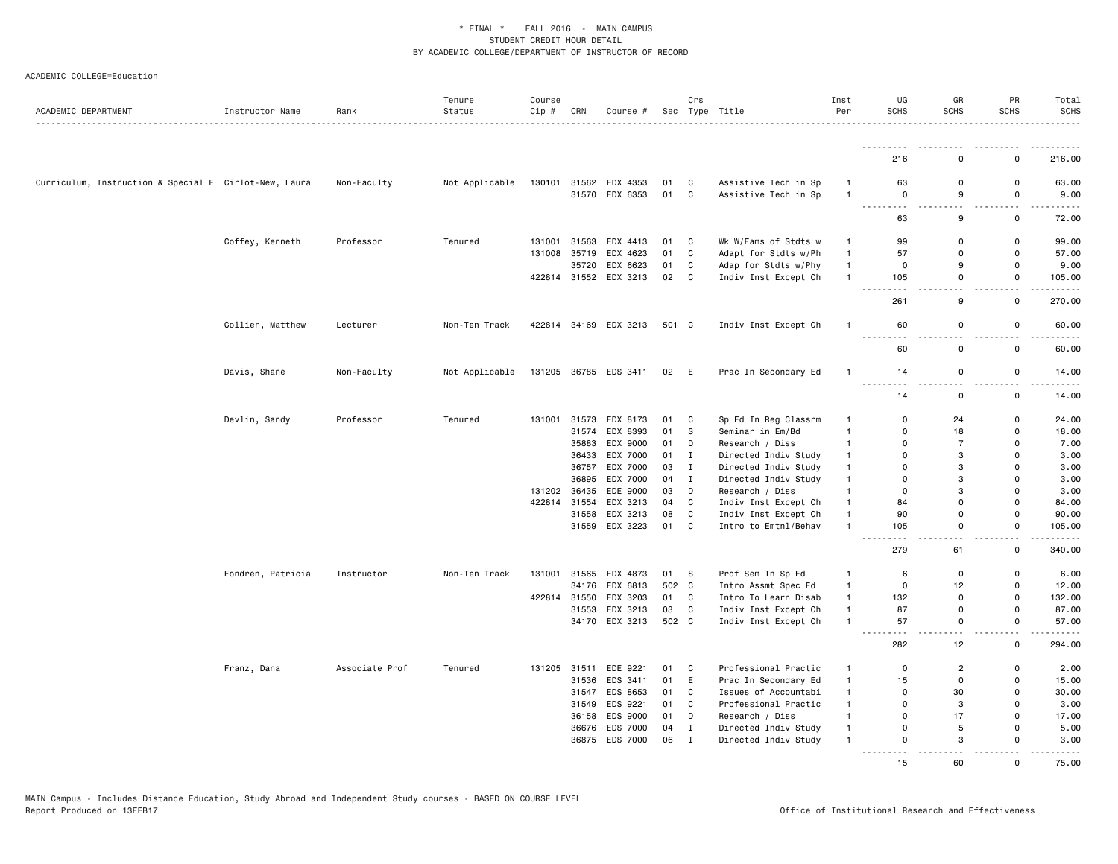| ACADEMIC DEPARTMENT                                   | Instructor Name   | Rank           | Tenure<br>Status | Course<br>Cip # | CRN          | Course #              |       | Crs          | Sec Type Title       | Inst<br>Per    | UG<br><b>SCHS</b>                                                                                                                   | GR<br><b>SCHS</b> | PR<br><b>SCHS</b>      | Total<br><b>SCHS</b><br>.                                                                                                                                    |
|-------------------------------------------------------|-------------------|----------------|------------------|-----------------|--------------|-----------------------|-------|--------------|----------------------|----------------|-------------------------------------------------------------------------------------------------------------------------------------|-------------------|------------------------|--------------------------------------------------------------------------------------------------------------------------------------------------------------|
|                                                       |                   |                |                  |                 |              |                       |       |              |                      |                |                                                                                                                                     |                   |                        |                                                                                                                                                              |
|                                                       |                   |                |                  |                 |              |                       |       |              |                      |                | 216                                                                                                                                 | $\Omega$          | $\Omega$               | 216.00                                                                                                                                                       |
| Curriculum, Instruction & Special E Cirlot-New, Laura |                   | Non-Faculty    | Not Applicable   |                 |              | 130101 31562 EDX 4353 | 01    | C            | Assistive Tech in Sp | $\overline{1}$ | 63                                                                                                                                  | 0                 | $\Omega$               | 63.00                                                                                                                                                        |
|                                                       |                   |                |                  |                 |              | 31570 EDX 6353        | 01    | <b>C</b>     | Assistive Tech in Sp | $\mathbf{1}$   | $\Omega$                                                                                                                            | 9                 | 0                      | 9.00                                                                                                                                                         |
|                                                       |                   |                |                  |                 |              |                       |       |              |                      |                | $\sim$ $\sim$ $\sim$<br>$   -$<br>63                                                                                                | .<br>9            | <b></b><br>$\mathbf 0$ | والمستمرين<br>72.00                                                                                                                                          |
|                                                       | Coffey, Kenneth   | Professor      | Tenured          | 131001          | 31563        | EDX 4413              | 01    | $\mathbf{C}$ | Wk W/Fams of Stdts w | $\overline{1}$ | 99                                                                                                                                  | $\Omega$          | $\mathbf 0$            | 99.00                                                                                                                                                        |
|                                                       |                   |                |                  | 131008          | 35719        | EDX 4623              | 01    | C            | Adapt for Stdts w/Ph | $\mathbf{1}$   | 57                                                                                                                                  | $\Omega$          | $\mathbf 0$            | 57.00                                                                                                                                                        |
|                                                       |                   |                |                  |                 | 35720        | EDX 6623              | 01    | C            | Adap for Stdts w/Phy | $\mathbf{1}$   | 0                                                                                                                                   | 9                 | 0                      | 9.00                                                                                                                                                         |
|                                                       |                   |                |                  |                 |              | 422814 31552 EDX 3213 | 02    | C            | Indiv Inst Except Ch | $\mathbf{1}$   | 105                                                                                                                                 | $\Omega$          | $\mathbf 0$            | 105.00                                                                                                                                                       |
|                                                       |                   |                |                  |                 |              |                       |       |              |                      |                | $\sim$ $\sim$ $\sim$<br>$\sim$ $\sim$ $\sim$ $\sim$<br>261                                                                          | 9                 | $\mathbf 0$            | .<br>270.00                                                                                                                                                  |
|                                                       | Collier, Matthew  | Lecturer       | Non-Ten Track    |                 |              | 422814 34169 EDX 3213 | 501 C |              | Indiv Inst Except Ch | -1             | 60                                                                                                                                  | $\mathbf 0$       | $\mathbf 0$            | 60.00                                                                                                                                                        |
|                                                       |                   |                |                  |                 |              |                       |       |              |                      |                | 60                                                                                                                                  | $\mathbf 0$       | $\mathbf 0$            | 60.00                                                                                                                                                        |
|                                                       | Davis, Shane      | Non-Faculty    | Not Applicable   |                 |              | 131205 36785 EDS 3411 | 02    | - E          | Prac In Secondary Ed | $\mathbf{1}$   | 14                                                                                                                                  | 0                 | 0                      | 14.00<br>د د د د د                                                                                                                                           |
|                                                       |                   |                |                  |                 |              |                       |       |              |                      |                | 14                                                                                                                                  | $\mathbf 0$       | 0                      | 14.00                                                                                                                                                        |
|                                                       | Devlin, Sandy     | Professor      | Tenured          | 131001          | 31573        | EDX 8173              | 01    | C            | Sp Ed In Reg Classrm | $\mathbf{1}$   | 0                                                                                                                                   | 24                | $\mathbf 0$            | 24.00                                                                                                                                                        |
|                                                       |                   |                |                  |                 | 31574        | EDX 8393              | 01    | s            | Seminar in Em/Bd     | $\mathbf{1}$   | $\Omega$                                                                                                                            | 18                | $\Omega$               | 18.00                                                                                                                                                        |
|                                                       |                   |                |                  |                 | 35883        | EDX 9000              | 01    | D            | Research / Diss      | $\mathbf{1}$   | $\Omega$                                                                                                                            | $\overline{7}$    | $\Omega$               | 7.00                                                                                                                                                         |
|                                                       |                   |                |                  |                 | 36433        | EDX 7000              | 01    | $\mathbf{I}$ | Directed Indiv Study | $\mathbf{1}$   | $\Omega$                                                                                                                            | 3                 | $\mathbf 0$            | 3.00                                                                                                                                                         |
|                                                       |                   |                |                  |                 | 36757        | EDX 7000              | 03    | I            | Directed Indiv Study | $\mathbf{1}$   | 0                                                                                                                                   | 3                 | $\Omega$               | 3.00                                                                                                                                                         |
|                                                       |                   |                |                  |                 | 36895        | EDX 7000              | 04    | I            | Directed Indiv Study | $\mathbf{1}$   | 0                                                                                                                                   | 3                 | $\mathbf 0$            | 3.00                                                                                                                                                         |
|                                                       |                   |                |                  | 131202          | 36435        | EDE 9000              | 03    | D            | Research / Diss      | $\mathbf{1}$   | $\Omega$                                                                                                                            | 3                 | $\Omega$               | 3.00                                                                                                                                                         |
|                                                       |                   |                |                  | 422814 31554    |              | EDX 3213              | 04    | C            | Indiv Inst Except Ch | $\mathbf{1}$   | 84                                                                                                                                  | $\mathbf 0$       | $\Omega$               | 84.00                                                                                                                                                        |
|                                                       |                   |                |                  |                 | 31558        | EDX 3213              | 08    | C            | Indiv Inst Except Ch | $\mathbf{1}$   | 90                                                                                                                                  | $\mathsf 0$       | $\mathsf 0$            | 90.00                                                                                                                                                        |
|                                                       |                   |                |                  |                 |              | 31559 EDX 3223        | 01    | C            | Intro to Emtnl/Behav | $\mathbf{1}$   | 105<br>$\sim$ $\sim$ $\sim$                                                                                                         | $\mathbf 0$       | 0                      | 105.00<br>$    -$                                                                                                                                            |
|                                                       |                   |                |                  |                 |              |                       |       |              |                      |                | 279                                                                                                                                 | 61                | $\mathsf{o}$           | 340.00                                                                                                                                                       |
|                                                       | Fondren, Patricia | Instructor     | Non-Ten Track    |                 | 131001 31565 | EDX 4873              | 01    | - S          | Prof Sem In Sp Ed    | -1             | 6                                                                                                                                   | 0                 | $\Omega$               | 6.00                                                                                                                                                         |
|                                                       |                   |                |                  |                 | 34176        | EDX 6813              | 502 C |              | Intro Assmt Spec Ed  | $\mathbf{1}$   | 0                                                                                                                                   | 12                | $\mathbf 0$            | 12.00                                                                                                                                                        |
|                                                       |                   |                |                  | 422814 31550    |              | EDX 3203              | 01    | $\mathbf{C}$ | Intro To Learn Disab | $\mathbf{1}$   | 132                                                                                                                                 | $\mathbf 0$       | $\Omega$               | 132.00                                                                                                                                                       |
|                                                       |                   |                |                  |                 | 31553        | EDX 3213              | 03    | C            | Indiv Inst Except Ch | $\mathbf{1}$   | 87                                                                                                                                  | 0                 | $\mathbf 0$            | 87.00                                                                                                                                                        |
|                                                       |                   |                |                  |                 |              | 34170 EDX 3213        | 502 C |              | Indiv Inst Except Ch | $\mathbf{1}$   | 57<br>$\sim$ $\sim$ $\sim$ $\sim$<br>$\frac{1}{2} \left( \frac{1}{2} \right) \left( \frac{1}{2} \right) \left( \frac{1}{2} \right)$ | $\Omega$          | $\Omega$               | 57.00<br>وبالمحامي                                                                                                                                           |
|                                                       |                   |                |                  |                 |              |                       |       |              |                      |                | 282                                                                                                                                 | 12                | 0                      | 294.00                                                                                                                                                       |
|                                                       | Franz, Dana       | Associate Prof | Tenured          | 131205          | 31511        | EDE 9221              | 01    | C            | Professional Practic | $\mathbf{1}$   | 0                                                                                                                                   | $\overline{2}$    | 0                      | 2.00                                                                                                                                                         |
|                                                       |                   |                |                  |                 | 31536        | EDS 3411              | 01    | E            | Prac In Secondary Ed | $\mathbf{1}$   | 15                                                                                                                                  | $\mathbf 0$       | $\Omega$               | 15.00                                                                                                                                                        |
|                                                       |                   |                |                  |                 |              | 31547 EDS 8653        | 01    | C            | Issues of Accountabi | $\mathbf{1}$   | 0                                                                                                                                   | 30                | $\Omega$               | 30.00                                                                                                                                                        |
|                                                       |                   |                |                  |                 | 31549        | EDS 9221              | 01    | C            | Professional Practic | $\mathbf{1}$   | 0                                                                                                                                   | 3                 | $\mathbf 0$            | 3.00                                                                                                                                                         |
|                                                       |                   |                |                  |                 | 36158        | EDS 9000              | 01    | D            | Research / Diss      | $\mathbf{1}$   | 0                                                                                                                                   | 17                | $\Omega$               | 17.00                                                                                                                                                        |
|                                                       |                   |                |                  |                 |              | 36676 EDS 7000        | 04    | $\mathbf I$  | Directed Indiv Study | $\mathbf{1}$   | $\Omega$                                                                                                                            | 5                 | $\Omega$               | 5.00                                                                                                                                                         |
|                                                       |                   |                |                  |                 | 36875        | EDS 7000              | 06    | $\mathbf{I}$ | Directed Indiv Study | -1             | 0<br><u>.</u>                                                                                                                       | 3                 | $\Omega$<br><b></b>    | 3.00<br>$\frac{1}{2} \left( \frac{1}{2} \right) \left( \frac{1}{2} \right) \left( \frac{1}{2} \right) \left( \frac{1}{2} \right) \left( \frac{1}{2} \right)$ |
|                                                       |                   |                |                  |                 |              |                       |       |              |                      |                | 15                                                                                                                                  | 60                | $\mathbf 0$            | 75.00                                                                                                                                                        |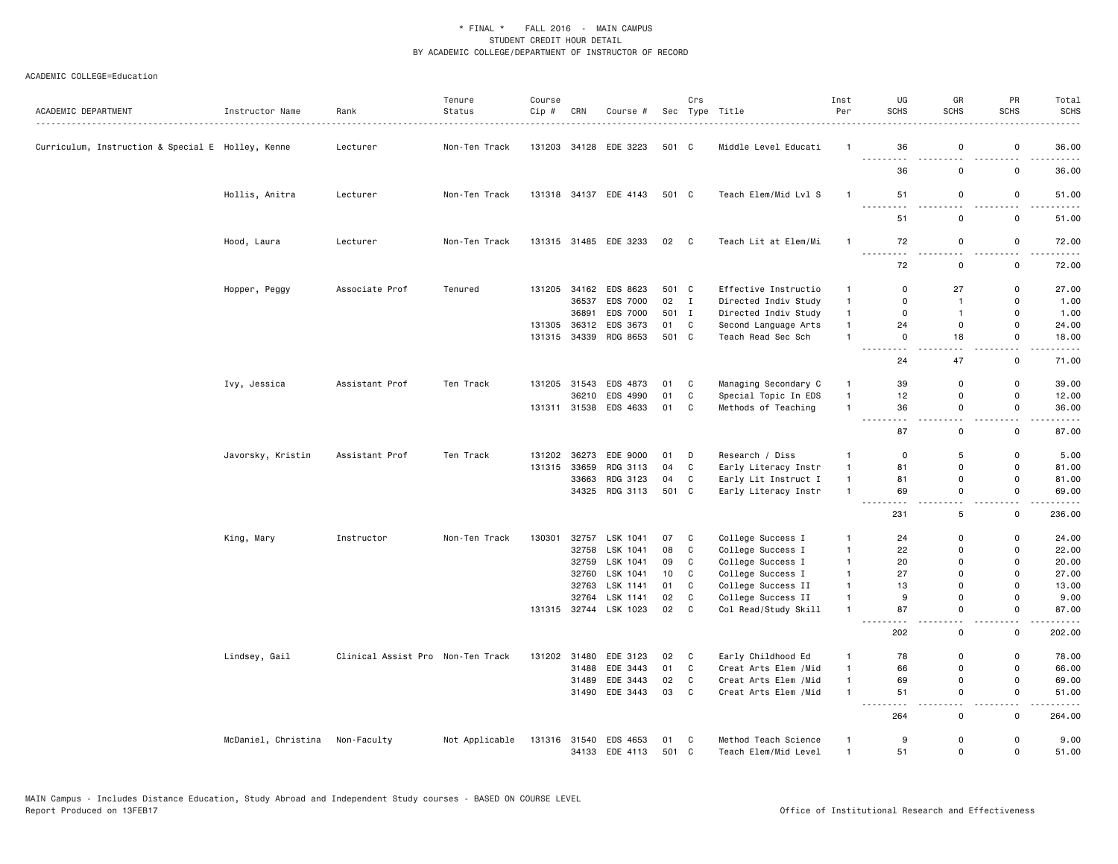| ACADEMIC DEPARTMENT                               | Instructor Name     | Rank<br>.                         | Tenure<br>Status | Course<br>Cip # | CRN            | Course #                          |               | Crs          | Sec Type Title                               | Inst<br>Per                  | UG<br><b>SCHS</b>       | GR<br>SCHS                  | PR<br><b>SCHS</b>            | Total<br><b>SCHS</b>                                                                                                               |
|---------------------------------------------------|---------------------|-----------------------------------|------------------|-----------------|----------------|-----------------------------------|---------------|--------------|----------------------------------------------|------------------------------|-------------------------|-----------------------------|------------------------------|------------------------------------------------------------------------------------------------------------------------------------|
| Curriculum, Instruction & Special E Holley, Kenne |                     | Lecturer                          | Non-Ten Track    | 131203          |                | 34128 EDE 3223                    | 501 C         |              | Middle Level Educati                         | $\mathbf{1}$                 | 36<br>.                 | 0<br>$- - - - - - -$        | $\mathsf 0$<br>2.2.2.2.2.2   | 36.00                                                                                                                              |
|                                                   |                     |                                   |                  |                 |                |                                   |               |              |                                              |                              | 36                      | $\Omega$                    | $\mathsf 0$                  | .<br>36.00                                                                                                                         |
|                                                   | Hollis, Anitra      | Lecturer                          | Non-Ten Track    |                 |                | 131318 34137 EDE 4143             | 501 C         |              | Teach Elem/Mid Lvl S                         | $\mathbf{1}$                 | 51                      | 0                           | 0<br>.                       | 51.00<br>.                                                                                                                         |
|                                                   |                     |                                   |                  |                 |                |                                   |               |              |                                              |                              | 51                      | $\mathbf 0$                 | 0                            | 51.00                                                                                                                              |
|                                                   | Hood, Laura         | Lecturer                          | Non-Ten Track    | 131315          |                | 31485 EDE 3233                    | 02            | $\mathbf{C}$ | Teach Lit at Elem/Mi                         | $\overline{1}$               | 72<br>.                 | $\mathsf 0$                 | $\mathsf 0$                  | 72.00                                                                                                                              |
|                                                   |                     |                                   |                  |                 |                |                                   |               |              |                                              |                              | 72                      | $\mathsf 0$                 | $\mathsf 0$                  | 72.00                                                                                                                              |
|                                                   | Hopper, Peggy       | Associate Prof                    | Tenured          | 131205          | 34162<br>36537 | EDS 8623<br>EDS 7000              | 501 C<br>02 I |              | Effective Instructio<br>Directed Indiv Study | $\mathbf{1}$<br>$\mathbf{1}$ | $\Omega$<br>$\mathbf 0$ | 27<br>$\mathbf{1}$          | $\mathbf 0$<br>$\mathsf 0$   | 27.00<br>1.00                                                                                                                      |
|                                                   |                     |                                   |                  |                 |                |                                   |               |              |                                              |                              |                         |                             | $\mathbf 0$                  |                                                                                                                                    |
|                                                   |                     |                                   |                  |                 | 36891<br>36312 | EDS 7000                          | 501 I<br>01   |              | Directed Indiv Study                         | $\mathbf{1}$<br>$\mathbf{1}$ | $\mathbf 0$<br>24       | $\mathbf{1}$<br>$\mathbf 0$ | $\Omega$                     | 1.00                                                                                                                               |
|                                                   |                     |                                   |                  | 131305          |                | EDS 3673<br>131315 34339 RDG 8653 | 501 C         | C            | Second Language Arts<br>Teach Read Sec Sch   | $\mathbf{1}$                 | $\Omega$                | 18                          | $\mathbf 0$                  | 24.00<br>18.00                                                                                                                     |
|                                                   |                     |                                   |                  |                 |                |                                   |               |              |                                              |                              | 24                      | 47                          | $\sim$ $\sim$<br>0           | .<br>71.00                                                                                                                         |
|                                                   | Ivy, Jessica        | Assistant Prof                    | Ten Track        | 131205          | 31543          | EDS 4873                          | 01            | C            | Managing Secondary C                         | $\mathbf{1}$                 | 39                      | 0                           | $\mathsf 0$                  | 39.00                                                                                                                              |
|                                                   |                     |                                   |                  |                 | 36210          | EDS 4990                          | 01            | $\mathtt{C}$ | Special Topic In EDS                         | $\overline{1}$               | 12                      | 0                           | $\mathsf 0$                  | 12.00                                                                                                                              |
|                                                   |                     |                                   |                  |                 |                | 131311 31538 EDS 4633             | 01            | c            | Methods of Teaching                          | $\mathbf{1}$                 | 36                      | $\mathbf 0$                 | $\mathsf 0$<br>$\sim$ $\sim$ | 36.00<br>$\frac{1}{2} \left( \frac{1}{2} \right) \left( \frac{1}{2} \right) \left( \frac{1}{2} \right) \left( \frac{1}{2} \right)$ |
|                                                   |                     |                                   |                  |                 |                |                                   |               |              |                                              |                              | 87                      | $\mathsf{o}\,$              | $\mathsf 0$                  | 87.00                                                                                                                              |
|                                                   | Javorsky, Kristin   | Assistant Prof                    | Ten Track        | 131202          | 36273          | EDE 9000                          | 01            | D            | Research / Diss                              | $\overline{1}$               | $\mathbf 0$             | $\sqrt{5}$                  | $\mathsf 0$                  | 5.00                                                                                                                               |
|                                                   |                     |                                   |                  | 131315          | 33659          | RDG 3113                          | 04            | C            | Early Literacy Instr                         | $\mathbf{1}$                 | 81                      | $\Omega$                    | $\mathbf 0$                  | 81.00                                                                                                                              |
|                                                   |                     |                                   |                  |                 | 33663          | RDG 3123                          | 04            | C            | Early Lit Instruct I                         | $\mathbf{1}$                 | 81                      | $\mathsf{o}$                | $\mathbf 0$                  | 81.00                                                                                                                              |
|                                                   |                     |                                   |                  |                 |                | 34325 RDG 3113                    | 501 C         |              | Early Literacy Instr                         | $\overline{1}$               | 69                      | $\mathbf 0$                 | $\mathbf 0$                  | 69.00                                                                                                                              |
|                                                   |                     |                                   |                  |                 |                |                                   |               |              |                                              |                              | 231                     | 5                           | 0                            | 236.00                                                                                                                             |
|                                                   | King, Mary          | Instructor                        | Non-Ten Track    | 130301          | 32757          | LSK 1041                          | 07            | C            | College Success I                            | $\overline{1}$               | 24                      | $\mathbf 0$                 | $\mathsf 0$                  | 24.00                                                                                                                              |
|                                                   |                     |                                   |                  |                 | 32758          | LSK 1041                          | 08            | C            | College Success I                            | $\mathbf{1}$                 | 22                      | 0                           | $\mathsf 0$                  | 22.00                                                                                                                              |
|                                                   |                     |                                   |                  |                 | 32759          | LSK 1041                          | 09            | $\mathtt{C}$ | College Success I                            | $\mathbf{1}$                 | 20                      | $\mathbf 0$                 | $\mathsf 0$                  | 20.00                                                                                                                              |
|                                                   |                     |                                   |                  |                 | 32760          | LSK 1041                          | 10            | C            | College Success I                            | $\mathbf{1}$                 | 27                      | $\mathbf 0$                 | $\mathsf 0$                  | 27.00                                                                                                                              |
|                                                   |                     |                                   |                  |                 | 32763          | LSK 1141                          | 01            | C            | College Success II                           | $\mathbf{1}$                 | 13                      | $\mathbf 0$                 | $\mathbf 0$                  | 13.00                                                                                                                              |
|                                                   |                     |                                   |                  |                 | 32764          | LSK 1141                          | 02            | $\mathtt{C}$ | College Success II                           | $\mathbf{1}$                 | 9                       | $\mathsf 0$                 | $\mathsf 0$                  | 9.00                                                                                                                               |
|                                                   |                     |                                   |                  |                 |                | 131315 32744 LSK 1023             | 02            | <b>C</b>     | Col Read/Study Skill                         | $\mathbf{1}$                 | 87<br>$ -$              | $\mathsf{o}$                | $\mathsf 0$                  | 87.00<br>.                                                                                                                         |
|                                                   |                     |                                   |                  |                 |                |                                   |               |              |                                              |                              | 202                     | 0                           | 0                            | 202.00                                                                                                                             |
|                                                   | Lindsey, Gail       | Clinical Assist Pro Non-Ten Track |                  |                 |                | 131202 31480 EDE 3123             | 02            | $\mathbf{C}$ | Early Childhood Ed                           | $\mathbf{1}$                 | 78                      | 0                           | $\mathsf 0$                  | 78.00                                                                                                                              |
|                                                   |                     |                                   |                  |                 | 31488          | EDE 3443                          | 01            | $\mathtt{C}$ | Creat Arts Elem /Mid                         | $\mathbf{1}$                 | 66                      | $\mathsf 0$                 | $\mathsf 0$                  | 66.00                                                                                                                              |
|                                                   |                     |                                   |                  |                 | 31489          | EDE 3443                          | 02            | $\mathtt{C}$ | Creat Arts Elem /Mid                         | $\mathbf{1}$                 | 69                      | $\mathsf 0$                 | $\mathsf 0$                  | 69.00                                                                                                                              |
|                                                   |                     |                                   |                  |                 |                | 31490 EDE 3443                    | 03            | C            | Creat Arts Elem /Mid                         | $\overline{1}$               | 51                      | $\Omega$<br>$-$             | $\mathbf 0$<br>$\sim$ $\sim$ | 51.00<br>.                                                                                                                         |
|                                                   |                     |                                   |                  |                 |                |                                   |               |              |                                              |                              | 264                     | $\mathsf 0$                 | $\mathsf 0$                  | 264.00                                                                                                                             |
|                                                   | McDaniel, Christina | Non-Faculty                       | Not Applicable   | 131316          | 31540          | EDS 4653<br>34133 EDE 4113        | 01<br>501 C   | C            | Method Teach Science<br>Teach Elem/Mid Level | $\mathbf{1}$<br>$\mathbf{1}$ | 9<br>51                 | $\mathsf 0$<br>$\mathbf 0$  | $\mathsf 0$<br>$\mathbf 0$   | 9.00<br>51.00                                                                                                                      |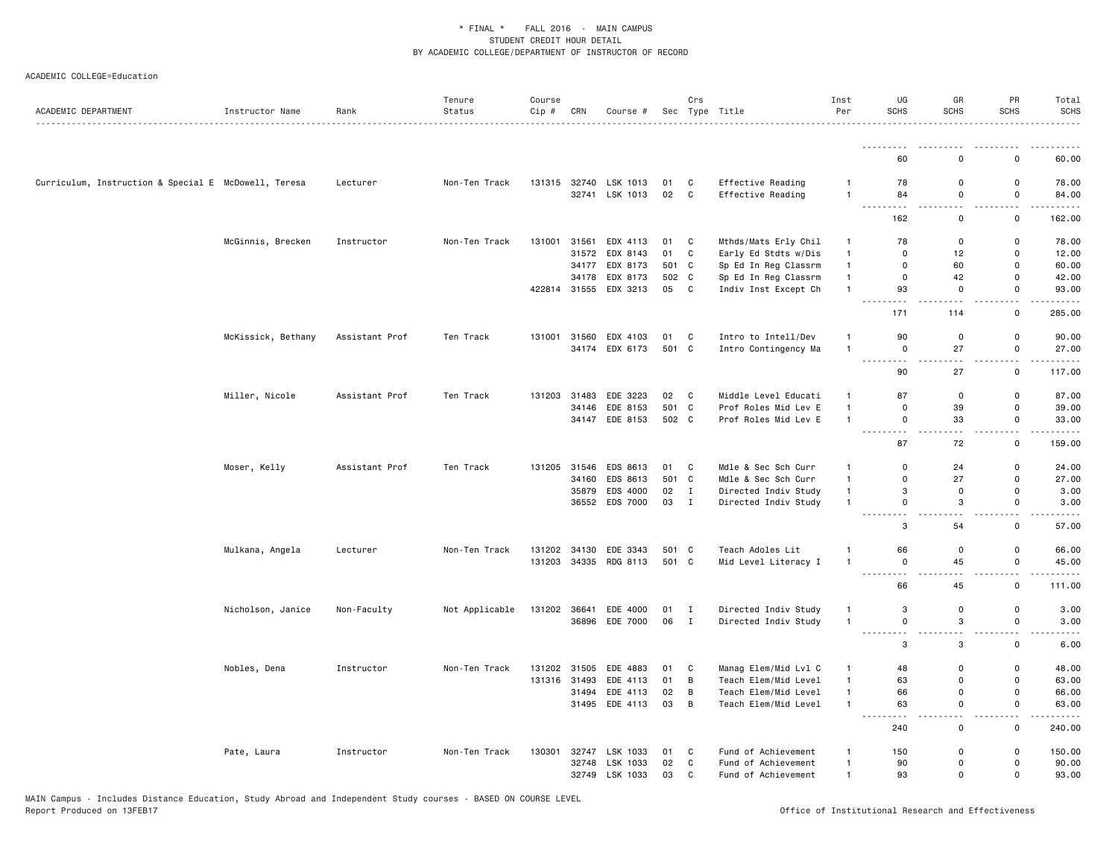| ACADEMIC DEPARTMENT                                  | Instructor Name    | Rank           | Tenure<br>Status | Course<br>Cip # | CRN   | Course #              |       | Crs            | Sec Type Title       | Inst<br>Per    | UG<br><b>SCHS</b>           | GR<br><b>SCHS</b> | PR<br><b>SCHS</b>   | Total<br><b>SCHS</b><br><u>.</u>                                                                                                  |
|------------------------------------------------------|--------------------|----------------|------------------|-----------------|-------|-----------------------|-------|----------------|----------------------|----------------|-----------------------------|-------------------|---------------------|-----------------------------------------------------------------------------------------------------------------------------------|
|                                                      |                    |                |                  |                 |       |                       |       |                |                      |                | <u>.</u>                    |                   |                     | .                                                                                                                                 |
|                                                      |                    |                |                  |                 |       |                       |       |                |                      |                | 60                          | $\Omega$          | $\mathbf 0$         | 60.00                                                                                                                             |
| Curriculum, Instruction & Special E McDowell, Teresa |                    | Lecturer       | Non-Ten Track    | 131315          |       | 32740 LSK 1013        | 01    | C              | Effective Reading    | $\mathbf{1}$   | 78                          | 0                 | 0                   | 78.00                                                                                                                             |
|                                                      |                    |                |                  |                 |       | 32741 LSK 1013        | 02    | $\mathbf{C}$   | Effective Reading    | $\overline{1}$ | 84<br>$\frac{1}{2}$         | $\mathsf 0$       | $\mathsf 0$<br>$ -$ | 84.00<br>.                                                                                                                        |
|                                                      |                    |                |                  |                 |       |                       |       |                |                      |                | 162                         | $\mathsf 0$       | $\mathsf 0$         | 162.00                                                                                                                            |
|                                                      | McGinnis, Brecken  | Instructor     | Non-Ten Track    | 131001          | 31561 | EDX 4113              | 01    | C              | Mthds/Mats Erly Chil | $\overline{1}$ | 78                          | 0                 | 0                   | 78.00                                                                                                                             |
|                                                      |                    |                |                  |                 | 31572 | EDX 8143              | 01    | C              | Early Ed Stdts w/Dis | $\mathbf{1}$   | $\Omega$                    | 12                | $\mathsf 0$         | 12.00                                                                                                                             |
|                                                      |                    |                |                  |                 | 34177 | EDX 8173              | 501   | C              | Sp Ed In Reg Classrm | $\mathbf{1}$   | $\Omega$                    | 60                | 0                   | 60.00                                                                                                                             |
|                                                      |                    |                |                  |                 | 34178 | EDX 8173              | 502 C |                | Sp Ed In Reg Classrm | $\mathbf{1}$   | $\mathbf 0$                 | 42                | $\mathbf 0$         | 42.00                                                                                                                             |
|                                                      |                    |                |                  |                 |       | 422814 31555 EDX 3213 | 05 C  |                | Indiv Inst Except Ch | $\overline{1}$ | 93                          | $\mathbf 0$       | $\mathsf 0$<br>$ -$ | 93.00<br>.                                                                                                                        |
|                                                      |                    |                |                  |                 |       |                       |       |                |                      |                | 171                         | 114               | $\mathsf 0$         | 285.00                                                                                                                            |
|                                                      | McKissick, Bethany | Assistant Prof | Ten Track        | 131001          | 31560 | EDX 4103              | 01    | C              | Intro to Intell/Dev  | $\mathbf{1}$   | 90                          | 0                 | $\mathsf 0$         | 90.00                                                                                                                             |
|                                                      |                    |                |                  |                 | 34174 | EDX 6173              | 501 C |                | Intro Contingency Ma | $\overline{1}$ | 0                           | 27                | 0                   | 27.00                                                                                                                             |
|                                                      |                    |                |                  |                 |       |                       |       |                |                      |                | $\sim$ $\sim$ $\sim$<br>90  | 27                | 0                   | 117.00                                                                                                                            |
|                                                      | Miller, Nicole     | Assistant Prof | Ten Track        | 131203          | 31483 | EDE 3223              | 02 C  |                | Middle Level Educati | $\mathbf{1}$   | 87                          | $\mathsf 0$       | $\mathsf 0$         | 87.00                                                                                                                             |
|                                                      |                    |                |                  |                 | 34146 | EDE 8153              | 501 C |                | Prof Roles Mid Lev E | $\overline{1}$ | $\mathbf 0$                 | 39                | $\mathsf 0$         | 39.00                                                                                                                             |
|                                                      |                    |                |                  |                 | 34147 | EDE 8153              | 502 C |                | Prof Roles Mid Lev E | $\overline{1}$ | $\mathbf 0$                 | 33                | $\mathbf 0$         | 33.00                                                                                                                             |
|                                                      |                    |                |                  |                 |       |                       |       |                |                      |                | .<br>87                     | 72                | <u>.</u><br>0       | .<br>159.00                                                                                                                       |
|                                                      |                    |                |                  |                 |       |                       |       |                |                      |                |                             |                   |                     |                                                                                                                                   |
|                                                      | Moser, Kelly       | Assistant Prof | Ten Track        | 131205          | 31546 | EDS 8613              | 01    | C              | Mdle & Sec Sch Curr  | $\mathbf{1}$   | $\Omega$                    | 24                | 0                   | 24.00                                                                                                                             |
|                                                      |                    |                |                  |                 | 34160 | EDS 8613              | 501 C |                | Mdle & Sec Sch Curr  | $\overline{1}$ | 0                           | 27                | $\mathbf 0$         | 27.00                                                                                                                             |
|                                                      |                    |                |                  |                 | 35879 | EDS 4000              | 02    | $\mathbf{I}$   | Directed Indiv Study | $\mathbf{1}$   | 3                           | $\mathsf{o}$      | $\mathsf 0$         | 3.00                                                                                                                              |
|                                                      |                    |                |                  |                 |       | 36552 EDS 7000        | 03    | $\mathbf{I}$   | Directed Indiv Study | $\overline{1}$ | $\mathbf{0}$<br>المناسب     | 3                 | $\mathbf 0$<br>$-1$ | 3.00<br>$\frac{1}{2} \left( \frac{1}{2} \right) \left( \frac{1}{2} \right) \left( \frac{1}{2} \right) \left( \frac{1}{2} \right)$ |
|                                                      |                    |                |                  |                 |       |                       |       |                |                      |                | 3                           | 54                | $\mathbf 0$         | 57.00                                                                                                                             |
|                                                      | Mulkana, Angela    | Lecturer       | Non-Ten Track    | 131202          | 34130 | EDE 3343              | 501 C |                | Teach Adoles Lit     | $\overline{1}$ | 66                          | 0                 | 0                   | 66.00                                                                                                                             |
|                                                      |                    |                |                  | 131203          |       | 34335 RDG 8113        | 501 C |                | Mid Level Literacy I | $\overline{1}$ | $\mathbf 0$<br>$- - -$      | 45                | 0                   | 45.00                                                                                                                             |
|                                                      |                    |                |                  |                 |       |                       |       |                |                      |                | 66                          | 45                | 0                   | 111.00                                                                                                                            |
|                                                      | Nicholson, Janice  | Non-Faculty    | Not Applicable   | 131202          | 36641 | EDE 4000              | 01    | I              | Directed Indiv Study | $\overline{1}$ | 3                           | $\mathsf{o}$      | $\mathbf 0$         | 3.00                                                                                                                              |
|                                                      |                    |                |                  |                 |       | 36896 EDE 7000        | 06    | $\blacksquare$ | Directed Indiv Study | $\overline{1}$ | $\mathbf 0$                 | 3                 | $\mathsf 0$         | 3.00                                                                                                                              |
|                                                      |                    |                |                  |                 |       |                       |       |                |                      |                | $\sim$ $\sim$ $\sim$<br>3   | 3                 | 0                   | 6.00                                                                                                                              |
|                                                      |                    | Instructor     | Non-Ten Track    | 131202          | 31505 | EDE 4883              | 01    | C              | Manag Elem/Mid Lvl C | $\mathbf{1}$   | 48                          | 0                 | 0                   | 48.00                                                                                                                             |
|                                                      | Nobles, Dena       |                |                  | 131316          | 31493 | EDE 4113              | 01    | B              | Teach Elem/Mid Level | $\mathbf{1}$   | 63                          | 0                 | $\mathsf 0$         | 63.00                                                                                                                             |
|                                                      |                    |                |                  |                 | 31494 | EDE 4113              | 02    | B              | Teach Elem/Mid Level | $\mathbf{1}$   | 66                          | $\mathsf 0$       | $\mathsf 0$         | 66.00                                                                                                                             |
|                                                      |                    |                |                  |                 |       | 31495 EDE 4113        | 03    | B              | Teach Elem/Mid Level | $\overline{1}$ | 63                          | $\mathbf 0$       | $\mathsf 0$         | 63.00                                                                                                                             |
|                                                      |                    |                |                  |                 |       |                       |       |                |                      |                | $\sim$ $\sim$ $\sim$<br>240 | $\mathbf 0$       | $\sim$<br>0         | 240.00                                                                                                                            |
|                                                      | Pate, Laura        | Instructor     | Non-Ten Track    |                 |       | 130301 32747 LSK 1033 | 01    | C              | Fund of Achievement  | $\overline{1}$ | 150                         | $\mathbf 0$       | 0                   | 150.00                                                                                                                            |
|                                                      |                    |                |                  |                 | 32748 | LSK 1033              | 02    | C              | Fund of Achievement  | $\mathbf{1}$   | 90                          | 0                 | 0                   | 90.00                                                                                                                             |
|                                                      |                    |                |                  |                 |       | 32749 LSK 1033        | 03    | C              | Fund of Achievement  | $\mathbf{1}$   | 93                          | $\mathsf{o}$      | 0                   | 93.00                                                                                                                             |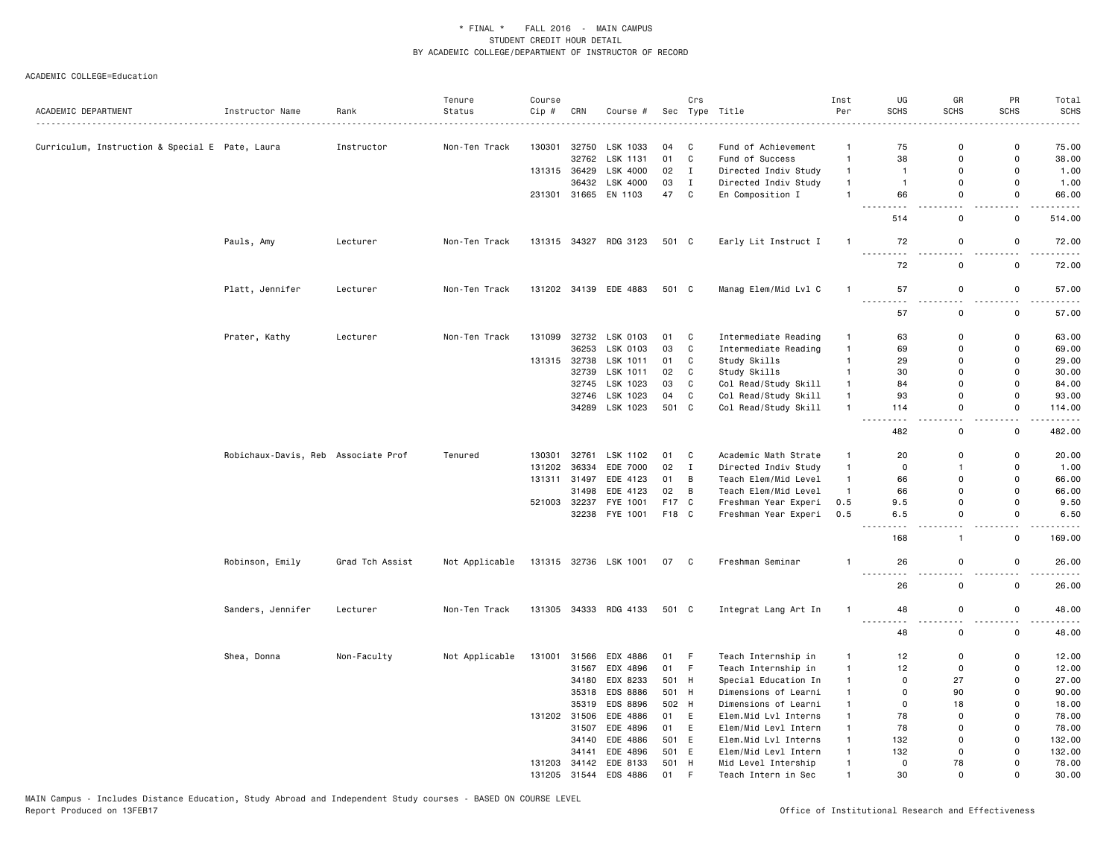|                                                 |                                     |                 | Tenure         | Course |              |                       |       | Crs          |                      | Inst           | UG                                                                                                                                                                                    | GR                 | PR                 | Total                 |
|-------------------------------------------------|-------------------------------------|-----------------|----------------|--------|--------------|-----------------------|-------|--------------|----------------------|----------------|---------------------------------------------------------------------------------------------------------------------------------------------------------------------------------------|--------------------|--------------------|-----------------------|
| ACADEMIC DEPARTMENT                             | Instructor Name                     | Rank            | Status         | Cip #  | CRN          | Course #              |       |              | Sec Type Title       | Per            | <b>SCHS</b>                                                                                                                                                                           | <b>SCHS</b>        | <b>SCHS</b>        | <b>SCHS</b>           |
| Curriculum, Instruction & Special E Pate, Laura |                                     | Instructor      | Non-Ten Track  | 130301 | 32750        | LSK 1033              | 04    | C            | Fund of Achievement  | $\overline{1}$ | 75                                                                                                                                                                                    | $\mathbf 0$        | 0                  | 75.00                 |
|                                                 |                                     |                 |                |        | 32762        | LSK 1131              | 01    | C            | Fund of Success      | $\overline{1}$ | 38                                                                                                                                                                                    | 0                  | 0                  | 38.00                 |
|                                                 |                                     |                 |                |        | 131315 36429 | LSK 4000              | 02    | $\mathbf{I}$ | Directed Indiv Study | $\overline{1}$ | $\overline{1}$                                                                                                                                                                        | $\mathsf 0$        | $\mathbf{0}$       | 1.00                  |
|                                                 |                                     |                 |                |        | 36432        | LSK 4000              | 03    | $\mathbf{I}$ | Directed Indiv Study | $\overline{1}$ | $\overline{1}$                                                                                                                                                                        | 0                  | $\mathbf 0$        | 1.00                  |
|                                                 |                                     |                 |                |        |              | 231301 31665 EN 1103  | 47    | C            | En Composition I     | $\mathbf{1}$   | 66                                                                                                                                                                                    | 0                  | $\mathbf 0$        | 66.00                 |
|                                                 |                                     |                 |                |        |              |                       |       |              |                      |                | 514                                                                                                                                                                                   | 0                  | 0                  | 514.00                |
|                                                 | Pauls, Amy                          | Lecturer        | Non-Ten Track  |        |              | 131315 34327 RDG 3123 | 501 C |              | Early Lit Instruct I | $\overline{1}$ | 72                                                                                                                                                                                    | $\mathsf 0$        | $\mathsf 0$        | 72.00                 |
|                                                 |                                     |                 |                |        |              |                       |       |              |                      |                | $   -$<br>72                                                                                                                                                                          | 0                  | 0                  | 72.00                 |
|                                                 | Platt, Jennifer                     | Lecturer        | Non-Ten Track  |        |              | 131202 34139 EDE 4883 | 501 C |              | Manag Elem/Mid Lvl C | $\mathbf{1}$   | 57                                                                                                                                                                                    | 0                  | 0                  | 57.00                 |
|                                                 |                                     |                 |                |        |              |                       |       |              |                      |                | $\frac{1}{2}$<br>57                                                                                                                                                                   | . .<br>$\mathsf 0$ | $\frac{1}{2}$<br>0 | . <b>.</b> .<br>57.00 |
|                                                 | Prater, Kathy                       | Lecturer        | Non-Ten Track  | 131099 |              | 32732 LSK 0103        | 01    | C            | Intermediate Reading | 1              | 63                                                                                                                                                                                    | 0                  | 0                  | 63.00                 |
|                                                 |                                     |                 |                |        | 36253        | LSK 0103              | 03    | C            | Intermediate Reading | $\overline{1}$ | 69                                                                                                                                                                                    | $\Omega$           | $\mathbf 0$        | 69.00                 |
|                                                 |                                     |                 |                |        | 131315 32738 | LSK 1011              | 01    | C            | Study Skills         | $\mathbf{1}$   | 29                                                                                                                                                                                    | 0                  | 0                  | 29.00                 |
|                                                 |                                     |                 |                |        | 32739        | LSK 1011              | 02    | C            | Study Skills         | $\overline{1}$ | 30                                                                                                                                                                                    | $\mathbf 0$        | $\mathbf 0$        | 30.00                 |
|                                                 |                                     |                 |                |        | 32745        | LSK 1023              | 03    | $\mathtt{C}$ | Col Read/Study Skill | $\overline{1}$ | 84                                                                                                                                                                                    | 0                  | $\mathsf 0$        | 84.00                 |
|                                                 |                                     |                 |                |        |              | 32746 LSK 1023        | 04    | $\mathtt{C}$ | Col Read/Study Skill | $\overline{1}$ | 93                                                                                                                                                                                    | $\mathbf 0$        | $\mathbf 0$        | 93.00                 |
|                                                 |                                     |                 |                |        |              | 34289 LSK 1023        | 501 C |              | Col Read/Study Skill | $\overline{1}$ | 114                                                                                                                                                                                   | 0                  | $\mathsf 0$        | 114.00                |
|                                                 |                                     |                 |                |        |              |                       |       |              |                      |                | 482                                                                                                                                                                                   | $\mathbf 0$        | $\mathbf 0$        | 482.00                |
|                                                 | Robichaux-Davis, Reb Associate Prof |                 | Tenured        | 130301 | 32761        | LSK 1102              | 01 C  |              | Academic Math Strate | $\overline{1}$ | 20                                                                                                                                                                                    | 0                  | 0                  | 20.00                 |
|                                                 |                                     |                 |                | 131202 | 36334        | EDE 7000              | 02    | $\mathbf{I}$ | Directed Indiv Study | $\overline{1}$ | $\mathsf{O}$                                                                                                                                                                          | $\overline{1}$     | 0                  | 1.00                  |
|                                                 |                                     |                 |                |        |              | 131311 31497 EDE 4123 | 01    | В            | Teach Elem/Mid Level | $\overline{1}$ | 66                                                                                                                                                                                    | $\mathbf 0$        | $\mathbf 0$        | 66.00                 |
|                                                 |                                     |                 |                |        | 31498        | EDE 4123              | 02    | В            | Teach Elem/Mid Level | $\overline{1}$ | 66                                                                                                                                                                                    | $\mathbf 0$        | $\Omega$           | 66.00                 |
|                                                 |                                     |                 |                |        |              | 521003 32237 FYE 1001 | F17 C |              | Freshman Year Experi | 0.5            | 9.5                                                                                                                                                                                   | 0                  | $\Omega$           | 9.50                  |
|                                                 |                                     |                 |                |        |              | 32238 FYE 1001        | F18 C |              | Freshman Year Experi | 0.5            | 6.5                                                                                                                                                                                   | $\mathbf 0$        | $\mathbf 0$        | 6.50                  |
|                                                 |                                     |                 |                |        |              |                       |       |              |                      |                | 168                                                                                                                                                                                   | $\mathbf{1}$       | 0                  | 169.00                |
|                                                 | Robinson, Emily                     | Grad Tch Assist | Not Applicable |        |              | 131315 32736 LSK 1001 | 07 C  |              | Freshman Seminar     | $\mathbf{1}$   | 26<br>$\sim$ $\sim$ $\sim$<br>.                                                                                                                                                       | 0                  | 0                  | 26.00<br>.            |
|                                                 |                                     |                 |                |        |              |                       |       |              |                      |                | 26                                                                                                                                                                                    | $\mathsf{o}$       | $\mathsf 0$        | 26.00                 |
|                                                 | Sanders, Jennifer                   | Lecturer        | Non-Ten Track  |        |              | 131305 34333 RDG 4133 | 501 C |              | Integrat Lang Art In | 1              | 48<br>$\frac{1}{2} \left( \frac{1}{2} \right) \left( \frac{1}{2} \right) \left( \frac{1}{2} \right) \left( \frac{1}{2} \right) \left( \frac{1}{2} \right) \left( \frac{1}{2} \right)$ | 0                  | 0                  | 48.00                 |
|                                                 |                                     |                 |                |        |              |                       |       |              |                      |                | 48                                                                                                                                                                                    | 0                  | 0                  | 48.00                 |
|                                                 | Shea, Donna                         | Non-Faculty     | Not Applicable |        |              | 131001 31566 EDX 4886 | 01 F  |              | Teach Internship in  | $\overline{1}$ | 12                                                                                                                                                                                    | 0                  | 0                  | 12.00                 |
|                                                 |                                     |                 |                |        | 31567        | EDX 4896              | 01    | F.           | Teach Internship in  | $\overline{1}$ | 12                                                                                                                                                                                    | 0                  | 0                  | 12.00                 |
|                                                 |                                     |                 |                |        | 34180        | EDX 8233              | 501 H |              | Special Education In | $\overline{1}$ | $\mathbf 0$                                                                                                                                                                           | 27                 | 0                  | 27.00                 |
|                                                 |                                     |                 |                |        |              | 35318 EDS 8886        | 501 H |              | Dimensions of Learni | $\mathbf{1}$   | $\mathbf 0$                                                                                                                                                                           | 90                 | 0                  | 90.00                 |
|                                                 |                                     |                 |                |        | 35319        | <b>EDS 8896</b>       | 502 H |              | Dimensions of Learni | $\overline{1}$ | $\Omega$                                                                                                                                                                              | 18                 | $\Omega$           | 18.00                 |
|                                                 |                                     |                 |                |        | 131202 31506 | EDE 4886              | 01    | E            | Elem.Mid Lvl Interns | $\mathbf{1}$   | 78                                                                                                                                                                                    | $\mathbf 0$        | 0                  | 78.00                 |
|                                                 |                                     |                 |                |        | 31507        | EDE 4896              | 01    | E            | Elem/Mid Levl Intern | $\overline{1}$ | 78                                                                                                                                                                                    | $\mathsf 0$        | $\mathsf 0$        | 78.00                 |
|                                                 |                                     |                 |                |        |              | 34140 EDE 4886        | 501 E |              | Elem.Mid Lvl Interns | $\overline{1}$ | 132                                                                                                                                                                                   | $\mathbf 0$        | $\mathbf{0}$       | 132.00                |
|                                                 |                                     |                 |                |        | 34141        | EDE 4896              | 501   | E            | Elem/Mid Levl Intern | $\overline{1}$ | 132                                                                                                                                                                                   | 0                  | $\Omega$           | 132.00                |
|                                                 |                                     |                 |                |        |              | 131203 34142 EDE 8133 | 501   | H            | Mid Level Intership  | $\mathbf{1}$   | $\mathbf 0$                                                                                                                                                                           | 78                 | $\mathbf 0$        | 78.00                 |
|                                                 |                                     |                 |                | 131205 | 31544        | EDS 4886              | 01    | F            | Teach Intern in Sec  | 1              | 30                                                                                                                                                                                    | $\Omega$           | $\Omega$           | 30.00                 |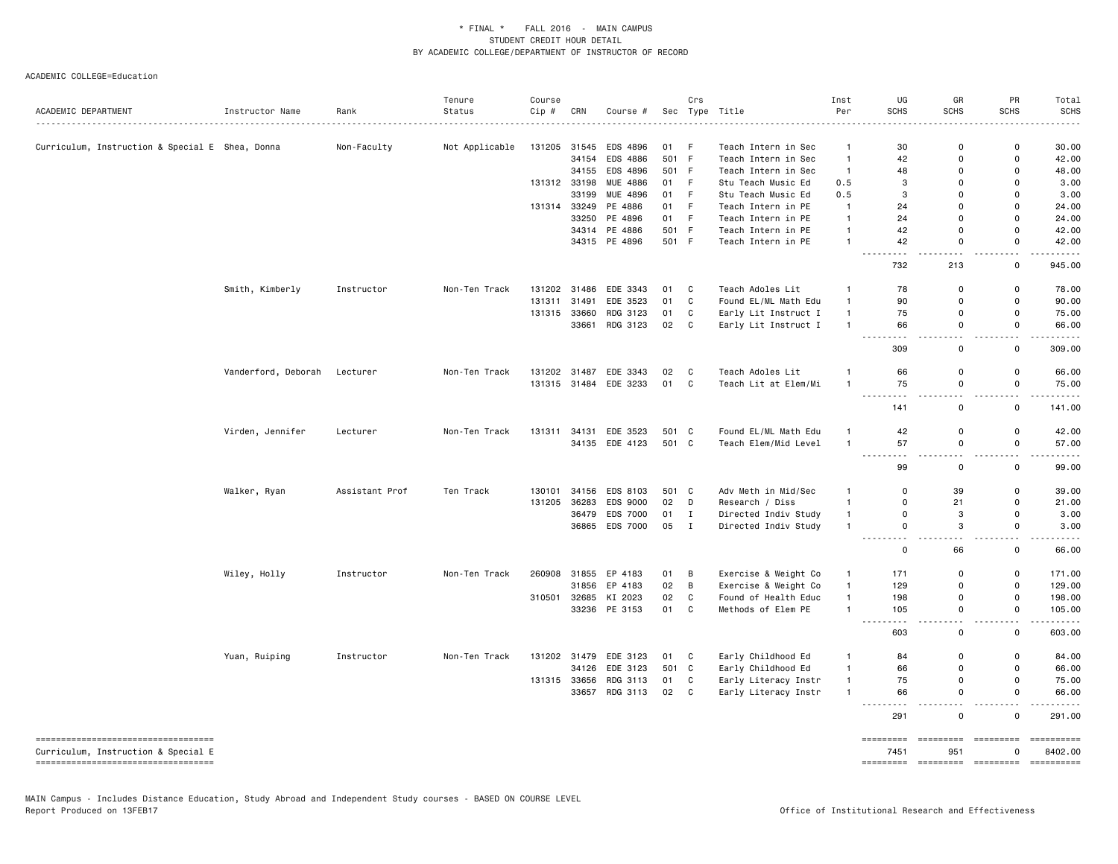|                                                                           |                     |                | Tenure         | Course |              |                       |       | Crs          |                              | Inst           | UG                              | GR                                                                                                                                                                                                                                                                                                                                                                                                                                                                                                                                                       | PR                           | Total                 |
|---------------------------------------------------------------------------|---------------------|----------------|----------------|--------|--------------|-----------------------|-------|--------------|------------------------------|----------------|---------------------------------|----------------------------------------------------------------------------------------------------------------------------------------------------------------------------------------------------------------------------------------------------------------------------------------------------------------------------------------------------------------------------------------------------------------------------------------------------------------------------------------------------------------------------------------------------------|------------------------------|-----------------------|
| ACADEMIC DEPARTMENT                                                       | Instructor Name     | Rank           | Status         | Cip #  | CRN          | Course #              |       |              | Sec Type Title<br>. <u>.</u> | Per            | <b>SCHS</b>                     | <b>SCHS</b>                                                                                                                                                                                                                                                                                                                                                                                                                                                                                                                                              | <b>SCHS</b>                  | <b>SCHS</b>           |
| Curriculum, Instruction & Special E Shea, Donna                           |                     | Non-Faculty    | Not Applicable |        |              | 131205 31545 EDS 4896 | 01 F  |              | Teach Intern in Sec          | $\mathbf{1}$   | 30                              | $\Omega$                                                                                                                                                                                                                                                                                                                                                                                                                                                                                                                                                 | $\Omega$                     | 30.00                 |
|                                                                           |                     |                |                |        | 34154        | EDS 4886              | 501 F |              | Teach Intern in Sec          | $\mathbf{1}$   | 42                              | $\Omega$                                                                                                                                                                                                                                                                                                                                                                                                                                                                                                                                                 | $\Omega$                     | 42.00                 |
|                                                                           |                     |                |                |        |              | 34155 EDS 4896        | 501 F |              | Teach Intern in Sec          | $\mathbf{1}$   | 48                              | $\Omega$                                                                                                                                                                                                                                                                                                                                                                                                                                                                                                                                                 | $\Omega$                     | 48.00                 |
|                                                                           |                     |                |                |        | 131312 33198 | MUE 4886              | 01    | F            | Stu Teach Music Ed           | 0.5            | 3                               | $\Omega$                                                                                                                                                                                                                                                                                                                                                                                                                                                                                                                                                 | $\Omega$                     | 3.00                  |
|                                                                           |                     |                |                |        | 33199        | MUE 4896              | 01    | F.           | Stu Teach Music Ed           | 0.5            | 3                               | $\Omega$                                                                                                                                                                                                                                                                                                                                                                                                                                                                                                                                                 | $\Omega$                     | 3.00                  |
|                                                                           |                     |                |                |        |              | 131314 33249 PE 4886  | 01    | F            | Teach Intern in PE           | $\mathbf{1}$   | 24                              | $\Omega$                                                                                                                                                                                                                                                                                                                                                                                                                                                                                                                                                 | $\Omega$                     | 24.00                 |
|                                                                           |                     |                |                |        |              | 33250 PE 4896         | 01    | F.           | Teach Intern in PE           | $\overline{1}$ | 24                              | $\Omega$                                                                                                                                                                                                                                                                                                                                                                                                                                                                                                                                                 | $\Omega$                     | 24.00                 |
|                                                                           |                     |                |                |        |              | 34314 PE 4886         | 501 F |              | Teach Intern in PE           | $\overline{1}$ | 42                              | $\Omega$                                                                                                                                                                                                                                                                                                                                                                                                                                                                                                                                                 | $\mathbf 0$                  | 42.00                 |
|                                                                           |                     |                |                |        |              | 34315 PE 4896         | 501 F |              | Teach Intern in PE           | $\overline{1}$ | 42<br>.<br>$\sim$ $\sim$ $\sim$ | 0                                                                                                                                                                                                                                                                                                                                                                                                                                                                                                                                                        | $\mathbf 0$                  | 42.00<br>.            |
|                                                                           |                     |                |                |        |              |                       |       |              |                              |                | 732                             | 213                                                                                                                                                                                                                                                                                                                                                                                                                                                                                                                                                      | $\mathsf{o}$                 | 945.00                |
|                                                                           | Smith, Kimberly     | Instructor     | Non-Ten Track  | 131202 | 31486        | EDE 3343              | 01    | C            | Teach Adoles Lit             | $\mathbf{1}$   | 78                              | $\Omega$                                                                                                                                                                                                                                                                                                                                                                                                                                                                                                                                                 | $\mathbf 0$                  | 78.00                 |
|                                                                           |                     |                |                | 131311 | 31491        | EDE 3523              | 01    | C            | Found EL/ML Math Edu         | $\mathbf{1}$   | 90                              | $\Omega$                                                                                                                                                                                                                                                                                                                                                                                                                                                                                                                                                 | $\Omega$                     | 90.00                 |
|                                                                           |                     |                |                |        | 131315 33660 | RDG 3123              | 01    | $\mathtt{C}$ | Early Lit Instruct I         | $\mathbf{1}$   | 75                              | 0                                                                                                                                                                                                                                                                                                                                                                                                                                                                                                                                                        | 0                            | 75.00                 |
|                                                                           |                     |                |                |        | 33661        | RDG 3123              | 02    | C            | Early Lit Instruct I         | $\overline{1}$ | 66                              | $\mathsf 0$                                                                                                                                                                                                                                                                                                                                                                                                                                                                                                                                              | $\mathsf 0$                  | 66.00                 |
|                                                                           |                     |                |                |        |              |                       |       |              |                              |                | 309                             | 0                                                                                                                                                                                                                                                                                                                                                                                                                                                                                                                                                        | $\mathsf{o}$                 | 309.00                |
|                                                                           | Vanderford, Deborah | Lecturer       | Non-Ten Track  |        |              | 131202 31487 EDE 3343 | 02    | C.           | Teach Adoles Lit             | -1             | 66                              | $\Omega$                                                                                                                                                                                                                                                                                                                                                                                                                                                                                                                                                 | 0                            | 66.00                 |
|                                                                           |                     |                |                |        |              | 131315 31484 EDE 3233 | 01 C  |              | Teach Lit at Elem/Mi         | $\overline{1}$ | 75                              | $\mathsf 0$                                                                                                                                                                                                                                                                                                                                                                                                                                                                                                                                              | $\mathsf 0$                  | 75.00                 |
|                                                                           |                     |                |                |        |              |                       |       |              |                              |                | 141                             | 0                                                                                                                                                                                                                                                                                                                                                                                                                                                                                                                                                        | $\mathsf{o}$                 | 141.00                |
|                                                                           | Virden, Jennifer    | Lecturer       | Non-Ten Track  | 131311 |              | 34131 EDE 3523        | 501 C |              | Found EL/ML Math Edu         | $\mathbf{1}$   | 42                              | 0                                                                                                                                                                                                                                                                                                                                                                                                                                                                                                                                                        | $\mathsf{o}$                 | 42.00                 |
|                                                                           |                     |                |                |        |              | 34135 EDE 4123        | 501 C |              | Teach Elem/Mid Level         | $\overline{1}$ | 57                              | 0                                                                                                                                                                                                                                                                                                                                                                                                                                                                                                                                                        | $\mathsf{o}$                 | 57.00                 |
|                                                                           |                     |                |                |        |              |                       |       |              |                              |                | $- - -$                         |                                                                                                                                                                                                                                                                                                                                                                                                                                                                                                                                                          |                              | .                     |
|                                                                           |                     |                |                |        |              |                       |       |              |                              |                | 99                              | $\mathbf 0$                                                                                                                                                                                                                                                                                                                                                                                                                                                                                                                                              | $\mathsf{o}$                 | 99.00                 |
|                                                                           | Walker, Ryan        | Assistant Prof | Ten Track      | 130101 | 34156        | EDS 8103              | 501 C |              | Adv Meth in Mid/Sec          | $\overline{1}$ | $\mathbf 0$                     | 39                                                                                                                                                                                                                                                                                                                                                                                                                                                                                                                                                       | 0                            | 39.00                 |
|                                                                           |                     |                |                | 131205 | 36283        | EDS 9000              | 02    | D            | Research / Diss              | $\mathbf{1}$   | $\mathbf{0}$                    | 21                                                                                                                                                                                                                                                                                                                                                                                                                                                                                                                                                       | $\mathsf{o}$                 | 21.00                 |
|                                                                           |                     |                |                |        | 36479        | EDS 7000              | 01    | $\mathbf{I}$ | Directed Indiv Study         | $\mathbf{1}$   | $\mathbf 0$                     | 3                                                                                                                                                                                                                                                                                                                                                                                                                                                                                                                                                        | $\mathsf{o}$                 | 3.00                  |
|                                                                           |                     |                |                |        |              | 36865 EDS 7000        | 05    | $\mathbf{I}$ | Directed Indiv Study         | $\mathbf{1}$   | $\mathbf 0$<br>.                | 3<br>$\sim$ $\sim$                                                                                                                                                                                                                                                                                                                                                                                                                                                                                                                                       | $\mathbf 0$<br>$\sim$ $\sim$ | 3.00<br>وعاديات       |
|                                                                           |                     |                |                |        |              |                       |       |              |                              |                | $\mathbf 0$                     | 66                                                                                                                                                                                                                                                                                                                                                                                                                                                                                                                                                       | $\mathsf{o}$                 | 66.00                 |
|                                                                           | Wiley, Holly        | Instructor     | Non-Ten Track  | 260908 |              | 31855 EP 4183         | 01    | B            | Exercise & Weight Co         | $\mathbf{1}$   | 171                             | $\Omega$                                                                                                                                                                                                                                                                                                                                                                                                                                                                                                                                                 | $\Omega$                     | 171.00                |
|                                                                           |                     |                |                |        |              | 31856 EP 4183         | 02    | B            | Exercise & Weight Co         | $\mathbf{1}$   | 129                             | $\Omega$                                                                                                                                                                                                                                                                                                                                                                                                                                                                                                                                                 | $\mathbf 0$                  | 129.00                |
|                                                                           |                     |                |                | 310501 | 32685        | KI 2023               | 02    | $\mathbb C$  | Found of Health Educ         | $\mathbf{1}$   | 198                             | $\Omega$                                                                                                                                                                                                                                                                                                                                                                                                                                                                                                                                                 | $\mathsf 0$                  | 198.00                |
|                                                                           |                     |                |                |        |              | 33236 PE 3153         | 01    | C            | Methods of Elem PE           | $\mathbf{1}$   | 105<br>$ -$                     | $\Omega$<br>$\overline{\phantom{a}}$                                                                                                                                                                                                                                                                                                                                                                                                                                                                                                                     | $\mathbf 0$<br>$ -$          | 105.00<br>. <b>.</b>  |
|                                                                           |                     |                |                |        |              |                       |       |              |                              |                | 603                             | $\mathbf 0$                                                                                                                                                                                                                                                                                                                                                                                                                                                                                                                                              | 0                            | 603.00                |
|                                                                           | Yuan, Ruiping       | Instructor     | Non-Ten Track  | 131202 |              | 31479 EDE 3123        | 01 C  |              | Early Childhood Ed           | $\overline{1}$ | 84                              | $\Omega$                                                                                                                                                                                                                                                                                                                                                                                                                                                                                                                                                 | 0                            | 84.00                 |
|                                                                           |                     |                |                |        |              | 34126 EDE 3123        | 501 C |              | Early Childhood Ed           | $\mathbf{1}$   | 66                              | $\mathbf 0$                                                                                                                                                                                                                                                                                                                                                                                                                                                                                                                                              | 0                            | 66.00                 |
|                                                                           |                     |                |                |        |              | 131315 33656 RDG 3113 | 01    | $\mathbb C$  | Early Literacy Instr         | $\mathbf{1}$   | 75                              | $\mathbf 0$                                                                                                                                                                                                                                                                                                                                                                                                                                                                                                                                              | $\mathsf 0$                  | 75.00                 |
|                                                                           |                     |                |                |        |              | 33657 RDG 3113        | 02    | $\mathbf{C}$ | Early Literacy Instr         | $\overline{1}$ | 66                              | $\Omega$                                                                                                                                                                                                                                                                                                                                                                                                                                                                                                                                                 | $\Omega$                     | 66.00<br>.            |
|                                                                           |                     |                |                |        |              |                       |       |              |                              |                | 291                             | $\mathbf 0$                                                                                                                                                                                                                                                                                                                                                                                                                                                                                                                                              | 0                            | 291.00                |
| ----------------------------------<br>Curriculum, Instruction & Special E |                     |                |                |        |              |                       |       |              |                              |                | 7451                            | $\begin{array}{cccccccccc} \multicolumn{3}{c}{{\color{red}\boldsymbol{1}}} & \multicolumn{3}{c}{{\color{red}\boldsymbol{2}}} & \multicolumn{3}{c}{{\color{red}\boldsymbol{3}}} & \multicolumn{3}{c}{{\color{red}\boldsymbol{4}}} & \multicolumn{3}{c}{{\color{red}\boldsymbol{5}}} & \multicolumn{3}{c}{{\color{red}\boldsymbol{5}}} & \multicolumn{3}{c}{{\color{red}\boldsymbol{6}}} & \multicolumn{3}{c}{{\color{red}\boldsymbol{6}}} & \multicolumn{3}{c}{{\color{red}\boldsymbol{6}}} & \multicolumn{3}{c}{{\color{red}\boldsymbol{6}}} & \$<br>951 | $\Omega$                     | ==========<br>8402.00 |
| -----------------------------------                                       |                     |                |                |        |              |                       |       |              |                              |                |                                 | --------- --------                                                                                                                                                                                                                                                                                                                                                                                                                                                                                                                                       | =========                    | ==========            |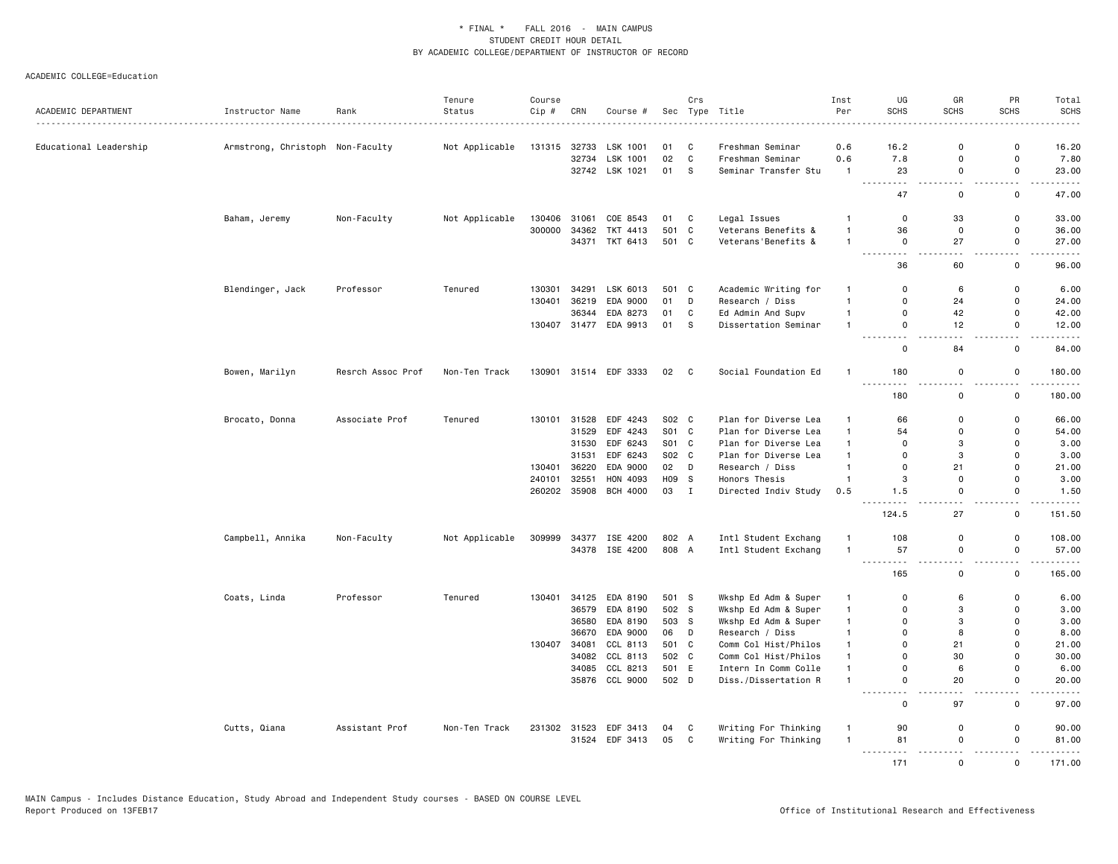| ACADEMIC DEPARTMENT    | Instructor Name                  | Rank              | Tenure<br>Status | Course<br>Cip # | CRN   | Course #                   |                | Crs          | Sec Type Title                               | Inst<br>Per                  | UG<br><b>SCHS</b>                   | GR<br><b>SCHS</b>             | PR<br><b>SCHS</b>                       | Total<br><b>SCHS</b>                                                                                                               |
|------------------------|----------------------------------|-------------------|------------------|-----------------|-------|----------------------------|----------------|--------------|----------------------------------------------|------------------------------|-------------------------------------|-------------------------------|-----------------------------------------|------------------------------------------------------------------------------------------------------------------------------------|
|                        |                                  |                   |                  |                 |       |                            |                |              |                                              |                              |                                     |                               |                                         | $\frac{1}{2} \left( \frac{1}{2} \right) \left( \frac{1}{2} \right) \left( \frac{1}{2} \right) \left( \frac{1}{2} \right)$          |
| Educational Leadership | Armstrong, Christoph Non-Faculty |                   | Not Applicable   | 131315          |       | 32733 LSK 1001             | 01             | C            | Freshman Seminar                             | 0.6                          | 16.2                                | $\mathbf 0$                   | 0                                       | 16.20                                                                                                                              |
|                        |                                  |                   |                  |                 |       | 32734 LSK 1001             | 02             | $\mathbb C$  | Freshman Seminar                             | 0.6                          | 7.8                                 | 0                             | $\mathsf 0$                             | 7.80                                                                                                                               |
|                        |                                  |                   |                  |                 |       | 32742 LSK 1021             | 01             | s.           | Seminar Transfer Stu                         | $\mathbf{1}$                 | 23<br><u>.</u>                      | $\mathbf 0$<br>$\sim$ $\sim$  | $\mathsf{o}$<br>$\sim$ $\sim$           | 23.00<br>د د د د د                                                                                                                 |
|                        |                                  |                   |                  |                 |       |                            |                |              |                                              |                              | 47                                  | $\mathbf 0$                   | 0                                       | 47.00                                                                                                                              |
|                        | Baham, Jeremy                    | Non-Faculty       | Not Applicable   | 130406          | 31061 | COE 8543                   | 01 C           |              | Legal Issues                                 | $\overline{1}$               | $\mathbf 0$                         | 33                            | $\Omega$                                | 33.00                                                                                                                              |
|                        |                                  |                   |                  | 300000          | 34362 | TKT 4413                   | 501 C          |              | Veterans Benefits &                          | $\overline{1}$               | 36                                  | 0                             | $\mathbf 0$                             | 36.00                                                                                                                              |
|                        |                                  |                   |                  |                 |       | 34371 TKT 6413             | 501 C          |              | Veterans'Benefits &                          | $\overline{1}$               | $\mathbf 0$<br>$\sim$ $\sim$ $\sim$ | 27                            | $\mathbf 0$<br>$\overline{\phantom{a}}$ | 27.00<br>$\frac{1}{2} \left( \frac{1}{2} \right) \left( \frac{1}{2} \right) \left( \frac{1}{2} \right) \left( \frac{1}{2} \right)$ |
|                        |                                  |                   |                  |                 |       |                            |                |              |                                              |                              | 36                                  | 60                            | 0                                       | 96.00                                                                                                                              |
|                        | Blendinger, Jack                 | Professor         | Tenured          | 130301          | 34291 | LSK 6013                   | 501 C          |              | Academic Writing for                         | $\mathbf{1}$                 | 0                                   | 6                             | 0                                       | 6.00                                                                                                                               |
|                        |                                  |                   |                  | 130401          | 36219 | EDA 9000                   | 01             | D            | Research / Diss                              | $\mathbf{1}$                 | $\mathbf 0$                         | 24                            | $\mathbf 0$                             | 24.00                                                                                                                              |
|                        |                                  |                   |                  |                 | 36344 | EDA 8273                   | 01             | C            | Ed Admin And Supv                            | $\overline{1}$               | $\mathbf 0$                         | 42                            | $\mathsf{o}$                            | 42.00                                                                                                                              |
|                        |                                  |                   |                  |                 |       | 130407 31477 EDA 9913      | 01             | S            | Dissertation Seminar                         | $\overline{1}$               | $\mathbf 0$<br><u>.</u>             | 12<br>$\sim$ $\sim$           | 0<br>$ -$                               | 12.00<br>$- - - - -$                                                                                                               |
|                        |                                  |                   |                  |                 |       |                            |                |              |                                              |                              | $\mathbf 0$                         | 84                            | 0                                       | 84.00                                                                                                                              |
|                        | Bowen, Marilyn                   | Resrch Assoc Prof | Non-Ten Track    |                 |       | 130901 31514 EDF 3333      | 02 C           |              | Social Foundation Ed                         | $\mathbf{1}$                 | 180<br>$  -$                        | 0                             | 0                                       | 180.00                                                                                                                             |
|                        |                                  |                   |                  |                 |       |                            |                |              |                                              |                              | 180                                 | $\mathbf 0$                   | 0                                       | 180.00                                                                                                                             |
|                        | Brocato, Donna                   | Associate Prof    | Tenured          | 130101          | 31528 | EDF 4243                   | S02 C          |              | Plan for Diverse Lea                         | $\overline{1}$               | 66                                  | $\Omega$                      | 0                                       | 66.00                                                                                                                              |
|                        |                                  |                   |                  |                 | 31529 | EDF 4243                   | S01 C          |              | Plan for Diverse Lea                         | $\mathbf{1}$                 | 54                                  | $\mathbf 0$                   | $\mathbf 0$                             | 54.00                                                                                                                              |
|                        |                                  |                   |                  |                 | 31530 | EDF 6243                   | S01 C          |              | Plan for Diverse Lea                         | $\mathbf{1}$                 | $\mathbf 0$                         | 3                             | $\Omega$                                | 3.00                                                                                                                               |
|                        |                                  |                   |                  |                 | 31531 | EDF 6243                   | S02 C          |              | Plan for Diverse Lea                         | $\overline{1}$               | $\Omega$                            | 3                             | $\Omega$                                | 3.00                                                                                                                               |
|                        |                                  |                   |                  | 130401          | 36220 | EDA 9000                   | 02 D           |              | Research / Diss                              | $\overline{1}$               | $\mathbf 0$                         | 21                            | $\mathsf{o}$                            | 21.00                                                                                                                              |
|                        |                                  |                   |                  | 240101          | 32551 | HON 4093                   | H09 S          |              | Honors Thesis                                | $\mathbf{1}$                 | 3                                   | $\mathbf 0$                   | $\mathsf 0$                             | 3.00                                                                                                                               |
|                        |                                  |                   |                  | 260202          |       | 35908 BCH 4000             | 03 I           |              | Directed Indiv Study                         | 0.5                          | 1.5                                 | 0                             | $\mathsf{o}\,$                          | 1.50                                                                                                                               |
|                        |                                  |                   |                  |                 |       |                            |                |              |                                              |                              | 124.5                               | 27                            | $\mathbf 0$                             | 151.50                                                                                                                             |
|                        | Campbell, Annika                 | Non-Faculty       | Not Applicable   | 309999          |       | 34377 ISE 4200             | 802 A          |              | Intl Student Exchang                         |                              | 108                                 | $\Omega$                      | 0                                       | 108.00                                                                                                                             |
|                        |                                  |                   |                  |                 |       | 34378 ISE 4200             | 808 A          |              | Intl Student Exchang                         | $\overline{1}$               | 57<br><u>.</u>                      | 0<br>$\overline{\phantom{a}}$ | $\mathsf 0$<br>$\sim$ $\sim$            | 57.00<br>.                                                                                                                         |
|                        |                                  |                   |                  |                 |       |                            |                |              |                                              |                              | 165                                 | 0                             | 0                                       | 165.00                                                                                                                             |
|                        | Coats, Linda                     | Professor         | Tenured          | 130401          | 34125 | EDA 8190                   | 501 S          |              | Wkshp Ed Adm & Super                         | $\mathbf{1}$                 | $\Omega$                            | 6                             | $\Omega$                                | 6.00                                                                                                                               |
|                        |                                  |                   |                  |                 |       | 36579 EDA 8190             | 502 S          |              | Wkshp Ed Adm & Super                         | $\mathbf{1}$                 | $\mathbf 0$                         | 3                             | 0                                       | 3.00                                                                                                                               |
|                        |                                  |                   |                  |                 |       | 36580 EDA 8190             | 503 S          |              | Wkshp Ed Adm & Super                         | $\mathbf{1}$                 | $\mathbf 0$                         | 3                             | $\Omega$                                | 3.00                                                                                                                               |
|                        |                                  |                   |                  |                 | 36670 | EDA 9000                   | 06             | D            | Research / Diss                              | $\mathbf{1}$                 | 0                                   | 8                             | $\mathbf 0$                             | 8.00                                                                                                                               |
|                        |                                  |                   |                  | 130407          | 34081 | CCL 8113                   | 501 C          |              | Comm Col Hist/Philos                         | $\mathbf{1}$                 | $\mathbf 0$                         | 21                            | $\Omega$                                | 21.00                                                                                                                              |
|                        |                                  |                   |                  |                 |       | 34082 CCL 8113             | 502 C          |              | Comm Col Hist/Philos                         | $\overline{1}$               | $\Omega$                            | 30                            | $\Omega$                                | 30.00                                                                                                                              |
|                        |                                  |                   |                  |                 | 34085 | CCL 8213<br>35876 CCL 9000 | 501 E<br>502 D |              | Intern In Comm Colle<br>Diss./Dissertation R | $\mathbf{1}$<br>$\mathbf{1}$ | $\mathbf 0$<br>$\mathbf 0$          | 6<br>20                       | 0<br>0                                  | 6.00<br>20.00                                                                                                                      |
|                        |                                  |                   |                  |                 |       |                            |                |              |                                              |                              | $\mathsf 0$                         | 97                            | 0                                       | 97.00                                                                                                                              |
|                        | Cutts, Qiana                     | Assistant Prof    | Non-Ten Track    |                 |       | 231302 31523 EDF 3413      | 04             | C            | Writing For Thinking                         | $\mathbf{1}$                 | 90                                  | 0                             | 0                                       | 90.00                                                                                                                              |
|                        |                                  |                   |                  |                 |       | 31524 EDF 3413             | 05             | $\mathbf{C}$ | Writing For Thinking                         | $\overline{1}$               | 81                                  | $\mathbf 0$                   | $\Omega$                                | 81.00                                                                                                                              |
|                        |                                  |                   |                  |                 |       |                            |                |              |                                              |                              | 171                                 | $\mathbf{0}$                  | $\overline{a}$<br>$\Omega$              | وعاديات<br>171.00                                                                                                                  |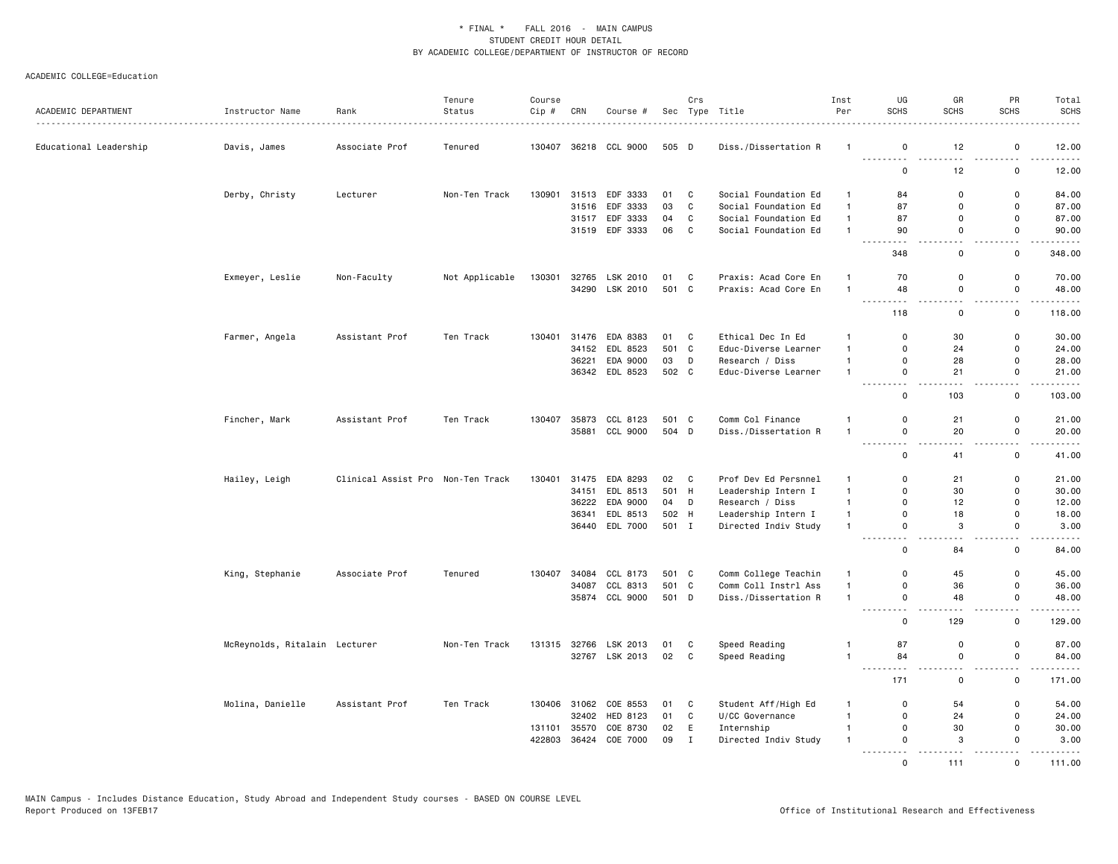|                        |                               |                                   | Tenure         | Course           |                |                       |          | Crs               |                                    | Inst                         | UG                | GR          | PR                           | Total                                                                                                                                                         |
|------------------------|-------------------------------|-----------------------------------|----------------|------------------|----------------|-----------------------|----------|-------------------|------------------------------------|------------------------------|-------------------|-------------|------------------------------|---------------------------------------------------------------------------------------------------------------------------------------------------------------|
| ACADEMIC DEPARTMENT    | Instructor Name               | Rank                              | Status         | Cip #            | CRN            | Course #              |          |                   | Sec Type Title                     | Per                          | <b>SCHS</b>       | <b>SCHS</b> | <b>SCHS</b>                  | <b>SCHS</b><br>.                                                                                                                                              |
| Educational Leadership | Davis, James                  | Associate Prof                    | Tenured        | 130407           |                | 36218 CCL 9000        | 505 D    |                   | Diss./Dissertation R               | -1                           | 0                 | 12          | $\mathbf 0$                  | 12.00                                                                                                                                                         |
|                        |                               |                                   |                |                  |                |                       |          |                   |                                    |                              | 0                 | 12          | $\mathbf 0$                  | 12.00                                                                                                                                                         |
|                        | Derby, Christy                | Lecturer                          | Non-Ten Track  | 130901           |                | 31513 EDF 3333        | 01       | $\mathbf{C}$      | Social Foundation Ed               | $\mathbf{1}$                 | 84                | $\mathbf 0$ | 0                            | 84.00                                                                                                                                                         |
|                        |                               |                                   |                |                  | 31516          | EDF 3333              | 03       | $\mathbf{C}$      | Social Foundation Ed               | $\mathbf{1}$                 | 87                | $\Omega$    | $\mathbf 0$                  | 87.00                                                                                                                                                         |
|                        |                               |                                   |                |                  | 31517          | EDF 3333              | 04       | C                 | Social Foundation Ed               | $\mathbf{1}$                 | 87                | 0           | $\mathbf 0$                  | 87.00                                                                                                                                                         |
|                        |                               |                                   |                |                  |                | 31519 EDF 3333        | 06 C     |                   | Social Foundation Ed               | $\mathbf{1}$                 | 90<br>$  -$       | 0           | $\mathbf 0$<br>$\sim$ $\sim$ | 90.00<br>.                                                                                                                                                    |
|                        |                               |                                   |                |                  |                |                       |          |                   |                                    |                              | 348               | 0           | 0                            | 348.00                                                                                                                                                        |
|                        | Exmeyer, Leslie               | Non-Faculty                       | Not Applicable | 130301           |                | 32765 LSK 2010        | 01       | $\mathbf{C}$      | Praxis: Acad Core En               | $\mathbf{1}$                 | 70                | $\Omega$    | $\mathbf 0$                  | 70.00                                                                                                                                                         |
|                        |                               |                                   |                |                  |                | 34290 LSK 2010        | 501 C    |                   | Praxis: Acad Core En               | $\mathbf{1}$                 | 48                | $\mathbf 0$ | $\mathbf 0$                  | 48.00<br>$\frac{1}{2}$                                                                                                                                        |
|                        |                               |                                   |                |                  |                |                       |          |                   |                                    |                              | 118               | $\mathbf 0$ | $\mathbf 0$                  | 118.00                                                                                                                                                        |
|                        | Farmer, Angela                | Assistant Prof                    | Ten Track      | 130401           |                | 31476 EDA 8383        | 01 C     |                   | Ethical Dec In Ed                  | 1                            | $\Omega$          | 30          | $\Omega$                     | 30.00                                                                                                                                                         |
|                        |                               |                                   |                |                  | 34152          | EDL 8523              | 501 C    |                   | Educ-Diverse Learner               | $\mathbf{1}$                 | $\mathbf 0$       | 24          | $\mathbf 0$                  | 24.00                                                                                                                                                         |
|                        |                               |                                   |                |                  | 36221          | EDA 9000              | 03 D     |                   | Research / Diss                    | $\mathbf{1}$                 | $\Omega$          | 28          | $\mathbf 0$                  | 28.00                                                                                                                                                         |
|                        |                               |                                   |                |                  |                | 36342 EDL 8523        | 502 C    |                   | Educ-Diverse Learner               | $\mathbf{1}$                 | $\mathbf 0$<br>.  | 21          | $\mathbf 0$<br>.             | 21.00<br>.                                                                                                                                                    |
|                        |                               |                                   |                |                  |                |                       |          |                   |                                    |                              | 0                 | 103         | $\mathbf 0$                  | 103.00                                                                                                                                                        |
|                        | Fincher, Mark                 | Assistant Prof                    | Ten Track      | 130407           | 35873          | CCL 8123              | 501 C    |                   | Comm Col Finance                   | $\mathbf{1}$                 | 0                 | 21          | $\mathbf 0$                  | 21.00                                                                                                                                                         |
|                        |                               |                                   |                |                  |                | 35881 CCL 9000        | 504 D    |                   | Diss./Dissertation R               | $\mathbf{1}$                 | 0<br>. <b>.</b>   | 20          | $\mathbf 0$<br>.             | 20.00<br>.                                                                                                                                                    |
|                        |                               |                                   |                |                  |                |                       |          |                   |                                    |                              | $\Omega$          | 41          | $\mathbf 0$                  | 41.00                                                                                                                                                         |
|                        | Hailey, Leigh                 | Clinical Assist Pro Non-Ten Track |                | 130401           | 31475          | EDA 8293              | 02 C     |                   | Prof Dev Ed Persnnel               | $\mathbf{1}$                 | $\mathbf 0$       | 21          | $\mathbf 0$                  | 21.00                                                                                                                                                         |
|                        |                               |                                   |                |                  | 34151          | EDL 8513              | 501 H    |                   | Leadership Intern I                | $\mathbf{1}$                 | $\Omega$          | 30          | $\Omega$                     | 30.00                                                                                                                                                         |
|                        |                               |                                   |                |                  |                | 36222 EDA 9000        | 04 D     |                   | Research / Diss                    | $\mathbf{1}$                 | $\Omega$          | 12          | $\mathbf 0$                  | 12.00                                                                                                                                                         |
|                        |                               |                                   |                |                  | 36341          | EDL 8513              | 502 H    |                   | Leadership Intern I                | $\mathbf{1}$                 | 0                 | 18          | $\mathbf 0$                  | 18.00                                                                                                                                                         |
|                        |                               |                                   |                |                  |                | 36440 EDL 7000        | 501 I    |                   | Directed Indiv Study               | $\mathbf{1}$                 | 0<br>.            | 3           | 0<br>$\sim$ $\sim$ $\sim$    | 3.00<br>$\frac{1}{2} \left( \frac{1}{2} \right) \left( \frac{1}{2} \right) \left( \frac{1}{2} \right) \left( \frac{1}{2} \right) \left( \frac{1}{2} \right)$  |
|                        |                               |                                   |                |                  |                |                       |          |                   |                                    |                              | $\mathbf 0$       | 84          | 0                            | 84.00                                                                                                                                                         |
|                        | King, Stephanie               | Associate Prof                    | Tenured        | 130407 34084     |                | CCL 8173              | 501 C    |                   | Comm College Teachin               | $\mathbf{1}$                 | $\mathbf 0$       | 45          | $\mathbf 0$                  | 45.00                                                                                                                                                         |
|                        |                               |                                   |                |                  | 34087          | CCL 8313              | 501 C    |                   | Comm Coll Instrl Ass               | $\mathbf{1}$                 | 0                 | 36          | $\mathbf 0$                  | 36.00                                                                                                                                                         |
|                        |                               |                                   |                |                  |                | 35874 CCL 9000        | 501 D    |                   | Diss./Dissertation R               | $\mathbf{1}$                 | $\mathbf 0$<br>.  | 48          | $\mathbf 0$                  | 48.00<br>$\frac{1}{2} \left( \frac{1}{2} \right) \left( \frac{1}{2} \right) \left( \frac{1}{2} \right) \left( \frac{1}{2} \right) \left( \frac{1}{2} \right)$ |
|                        |                               |                                   |                |                  |                |                       |          |                   |                                    |                              | 0                 | 129         | 0                            | 129.00                                                                                                                                                        |
|                        | McReynolds, Ritalain Lecturer |                                   | Non-Ten Track  |                  |                | 131315 32766 LSK 2013 | 01       | $\mathbf{C}$      | Speed Reading                      | -1                           | 87                | $\mathbf 0$ | 0                            | 87.00                                                                                                                                                         |
|                        |                               |                                   |                |                  |                | 32767 LSK 2013        | 02 C     |                   | Speed Reading                      | $\mathbf{1}$                 | 84<br>.           | $\mathsf 0$ | $\mathbf 0$<br><u>.</u>      | 84.00<br>.                                                                                                                                                    |
|                        |                               |                                   |                |                  |                |                       |          |                   |                                    |                              | 171               | $\mathbf 0$ | 0                            | 171.00                                                                                                                                                        |
|                        | Molina, Danielle              | Assistant Prof                    | Ten Track      |                  |                | 130406 31062 COE 8553 | 01       | $\mathbf{C}$      | Student Aff/High Ed                | -1                           | 0                 | 54          | $\mathbf 0$                  | 54.00                                                                                                                                                         |
|                        |                               |                                   |                |                  | 32402          | HED 8123              | 01       | C                 | U/CC Governance                    | $\mathbf{1}$                 | 0                 | 24          | $\mathbf 0$                  | 24.00                                                                                                                                                         |
|                        |                               |                                   |                | 131101<br>422803 | 35570<br>36424 | COE 8730<br>COE 7000  | 02<br>09 | E<br>$\mathbf{I}$ | Internship<br>Directed Indiv Study | $\mathbf{1}$<br>$\mathbf{1}$ | 0<br>$\Omega$     | 30<br>3     | $\mathbf 0$<br>$\Omega$      | 30.00<br>3.00                                                                                                                                                 |
|                        |                               |                                   |                |                  |                |                       |          |                   |                                    |                              | .<br>$\mathsf{o}$ | .<br>111    | $\Omega$                     | .<br>111.00                                                                                                                                                   |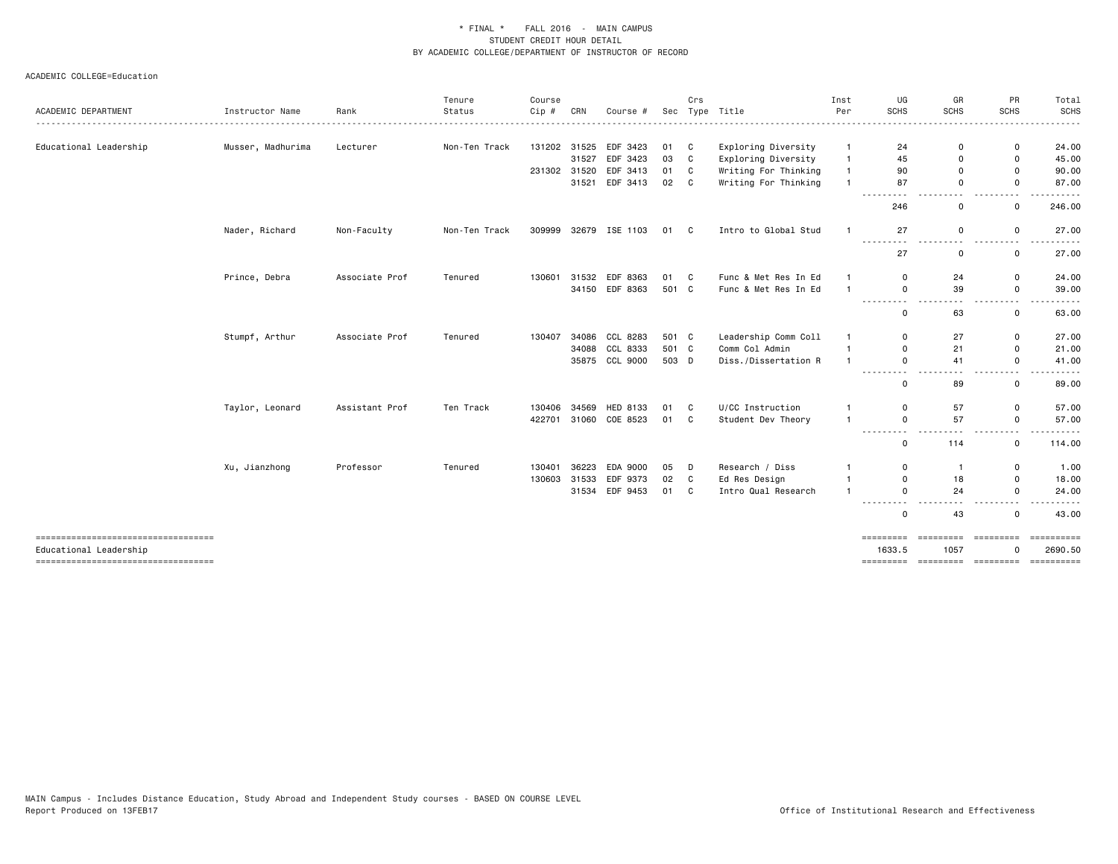|                                                                 |                   |                | Tenure        | Course       |       |                       |       | Crs                     |                      | Inst           | UG                                                                                                                 | GR                 | PR                            | Total                              |
|-----------------------------------------------------------------|-------------------|----------------|---------------|--------------|-------|-----------------------|-------|-------------------------|----------------------|----------------|--------------------------------------------------------------------------------------------------------------------|--------------------|-------------------------------|------------------------------------|
| ACADEMIC DEPARTMENT                                             | Instructor Name   | Rank           | Status        | Cip #        | CRN   | Course #              |       |                         | Sec Type Title       | Per            | <b>SCHS</b>                                                                                                        | <b>SCHS</b>        | SCHS                          | <b>SCHS</b>                        |
| Educational Leadership                                          | Musser, Madhurima | Lecturer       | Non-Ten Track |              |       | 131202 31525 EDF 3423 | 01 C  |                         | Exploring Diversity  | -1             | 24                                                                                                                 | $\Omega$           | 0                             | 24.00                              |
|                                                                 |                   |                |               |              | 31527 | EDF 3423              | 03    | C                       | Exploring Diversity  | $\overline{1}$ | 45                                                                                                                 | $\Omega$           | 0                             | 45.00                              |
|                                                                 |                   |                |               | 231302 31520 |       | EDF 3413              | 01    | C.                      | Writing For Thinking | $\mathbf{1}$   | 90                                                                                                                 | $\Omega$           | 0                             | 90.00                              |
|                                                                 |                   |                |               |              | 31521 | EDF 3413              | 02 C  |                         | Writing For Thinking |                | 87                                                                                                                 | $\Omega$           | $\mathsf{o}$                  | 87.00                              |
|                                                                 |                   |                |               |              |       |                       |       |                         |                      |                | ---------<br>246                                                                                                   | .<br>0             | .<br>0                        | .<br>246.00                        |
|                                                                 | Nader, Richard    | Non-Faculty    | Non-Ten Track | 309999       |       | 32679 ISE 1103        | 01 C  |                         | Intro to Global Stud | $\mathbf{1}$   | 27<br>$- - - -$                                                                                                    | 0                  | $\mathbf 0$                   | 27.00                              |
|                                                                 |                   |                |               |              |       |                       |       |                         |                      |                | - - -<br>27                                                                                                        | $\sim$ $\sim$<br>0 | $\mathbf 0$                   | 27.00                              |
|                                                                 | Prince, Debra     | Associate Prof | Tenured       | 130601       |       | 31532 EDF 8363        | 01 C  |                         | Func & Met Res In Ed | $\mathbf{1}$   | $\mathbf 0$                                                                                                        | 24                 | $\mathsf{o}$                  | 24.00                              |
|                                                                 |                   |                |               |              |       | 34150 EDF 8363        | 501 C |                         | Func & Met Res In Ed | $\mathbf{1}$   | $\mathsf{o}$<br>.                                                                                                  | 39                 | 0                             | 39.00<br>.                         |
|                                                                 |                   |                |               |              |       |                       |       |                         |                      |                | $\mathbf 0$                                                                                                        | 63                 | $\mathbf 0$                   | 63.00                              |
|                                                                 | Stumpf, Arthur    | Associate Prof | Tenured       | 130407       |       | 34086 CCL 8283        | 501 C |                         | Leadership Comm Coll | -1             | 0                                                                                                                  | 27                 | 0                             | 27.00                              |
|                                                                 |                   |                |               |              |       | 34088 CCL 8333        | 501 C |                         | Comm Col Admin       | $\mathbf{1}$   | $\Omega$                                                                                                           | 21                 | 0                             | 21.00                              |
|                                                                 |                   |                |               |              |       | 35875 CCL 9000        | 503 D |                         | Diss./Dissertation R | $\overline{1}$ | $\Omega$<br>-----<br>- -                                                                                           | 41                 | $\mathsf{o}$<br>$\sim$ $\sim$ | 41.00                              |
|                                                                 |                   |                |               |              |       |                       |       |                         |                      |                | $\mathbf 0$                                                                                                        | 89                 | 0                             | 89.00                              |
|                                                                 | Taylor, Leonard   | Assistant Prof | Ten Track     | 130406       |       | 34569 HED 8133        | 01 C  |                         | U/CC Instruction     | $\mathbf{1}$   | $\mathbf 0$                                                                                                        | 57                 | 0                             | 57.00                              |
|                                                                 |                   |                |               | 422701       |       | 31060 COE 8523        | 01 C  |                         | Student Dev Theory   | $\mathbf{1}$   | $\mathbf 0$<br>$\frac{1}{2} \left( \frac{1}{2} \right) \left( \frac{1}{2} \right) \left( \frac{1}{2} \right)$<br>. | 57                 | 0                             | 57.00                              |
|                                                                 |                   |                |               |              |       |                       |       |                         |                      |                | $\mathbf 0$                                                                                                        | 114                | 0                             | 114.00                             |
|                                                                 | Xu, Jianzhong     | Professor      | Tenured       | 130401       | 36223 | EDA 9000              | 05    | D                       | Research / Diss      | -1             | $\mathbf 0$                                                                                                        | $\mathbf{1}$       | 0                             | 1.00                               |
|                                                                 |                   |                |               | 130603       |       | 31533 EDF 9373        | 02    | $\overline{\mathbf{C}}$ | Ed Res Design        | $\overline{1}$ | $\Omega$                                                                                                           | 18                 | 0                             | 18.00                              |
|                                                                 |                   |                |               |              |       | 31534 EDF 9453        | 01 C  |                         | Intro Qual Research  | $\overline{1}$ | $\Omega$<br>---------                                                                                              | 24                 | $\mathsf{o}$                  | 24.00                              |
|                                                                 |                   |                |               |              |       |                       |       |                         |                      |                | $\mathbf 0$                                                                                                        | 43                 | 0                             | 43.00                              |
| _____________________________________<br>Educational Leadership |                   |                |               |              |       |                       |       |                         |                      |                | =========<br>1633.5                                                                                                | =========<br>1057  | ----------                    | $=$ = = = = = = = = = =<br>2690.50 |
| =====================================                           |                   |                |               |              |       |                       |       |                         |                      |                |                                                                                                                    |                    |                               |                                    |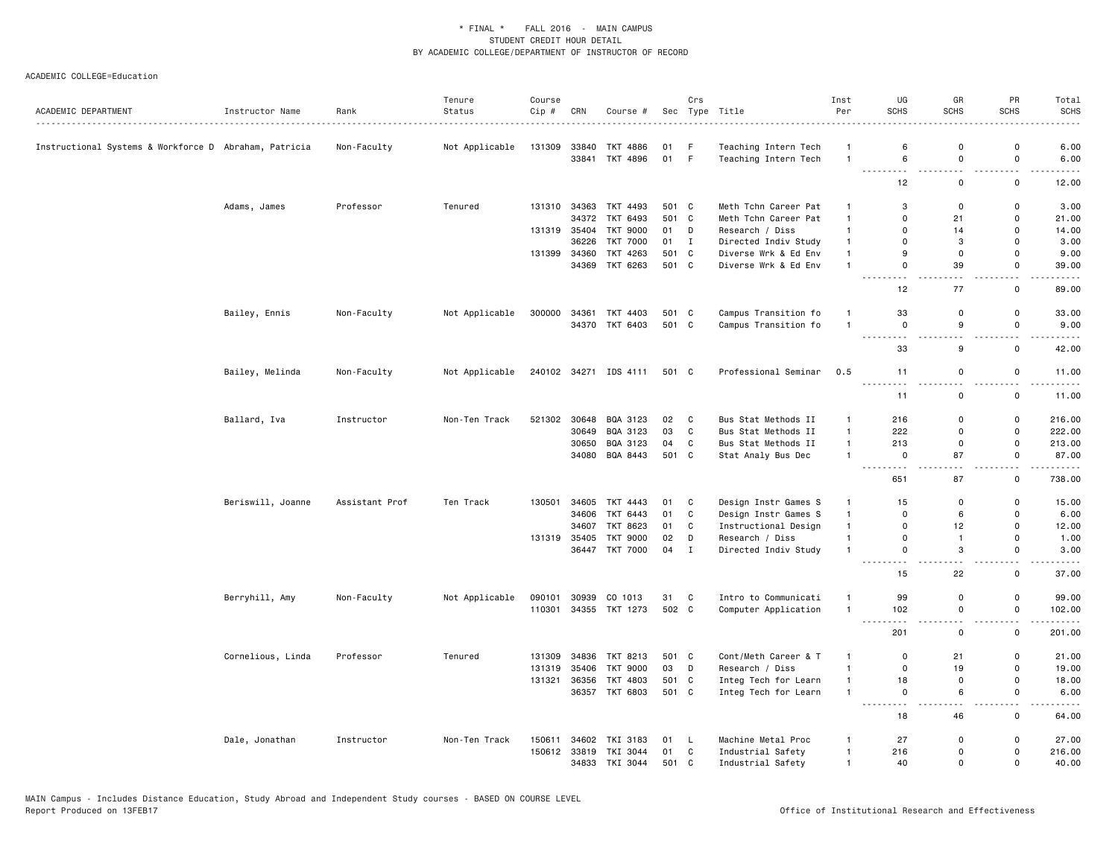|                                                       |                   |                | Tenure         | Course |              |                       |       | Crs          |                            | Inst                             | UG                             | GR                    | PR                                      | Total                                                                                                                             |
|-------------------------------------------------------|-------------------|----------------|----------------|--------|--------------|-----------------------|-------|--------------|----------------------------|----------------------------------|--------------------------------|-----------------------|-----------------------------------------|-----------------------------------------------------------------------------------------------------------------------------------|
| ACADEMIC DEPARTMENT                                   | Instructor Name   | Rank           | Status         | Cip #  | CRN          | Course #              |       |              | Sec Type Title<br><u>.</u> | Per                              | <b>SCHS</b>                    | <b>SCHS</b>           | <b>SCHS</b>                             | <b>SCHS</b>                                                                                                                       |
| Instructional Systems & Workforce D Abraham, Patricia |                   | Non-Faculty    | Not Applicable | 131309 |              | 33840 TKT 4886        | 01 F  |              | Teaching Intern Tech       | -1                               | 6                              | $\Omega$              | $\mathbf 0$                             | 6.00                                                                                                                              |
|                                                       |                   |                |                |        |              | 33841 TKT 4896        | 01 F  |              | Teaching Intern Tech       | $\overline{1}$                   | 6                              | $\mathbf 0$           | $\mathsf 0$                             | 6.00                                                                                                                              |
|                                                       |                   |                |                |        |              |                       |       |              |                            |                                  | . .<br>12                      | и.<br>$\mathbf 0$     | . .<br>$\mathbf 0$                      | 12.00                                                                                                                             |
|                                                       | Adams, James      | Professor      | Tenured        | 131310 | 34363        | TKT 4493              | 501 C |              | Meth Tchn Career Pat       | $\mathbf{1}$                     | 3                              | $\mathbf 0$           | $\mathsf 0$                             | 3.00                                                                                                                              |
|                                                       |                   |                |                |        | 34372        | TKT 6493              | 501 C |              | Meth Tchn Career Pat       | $\overline{1}$                   | $\mathbf 0$                    | 21                    | 0                                       | 21.00                                                                                                                             |
|                                                       |                   |                |                |        | 131319 35404 | TKT 9000              | 01    | D            | Research / Diss            | $\mathbf{1}$                     | $\mathbf 0$                    | 14                    | $\mathsf 0$                             | 14.00                                                                                                                             |
|                                                       |                   |                |                |        | 36226        | <b>TKT 7000</b>       | 01 I  |              | Directed Indiv Study       | $\overline{1}$                   | $\mathbf 0$                    | 3                     | $\Omega$                                | 3.00                                                                                                                              |
|                                                       |                   |                |                | 131399 | 34360        | TKT 4263              | 501   | C            | Diverse Wrk & Ed Env       | $\mathbf{1}$                     | 9                              | $\mathbf 0$           | 0                                       | 9.00                                                                                                                              |
|                                                       |                   |                |                |        | 34369        | TKT 6263              | 501 C |              | Diverse Wrk & Ed Env       | $\overline{1}$                   | $\Omega$<br>$\sim$ $\sim$      | 39<br>$ -$            | $\mathbf 0$<br>$\overline{\phantom{0}}$ | 39.00<br>.                                                                                                                        |
|                                                       |                   |                |                |        |              |                       |       |              |                            |                                  | 12                             | 77                    | $\mathsf 0$                             | 89.00                                                                                                                             |
|                                                       | Bailey, Ennis     | Non-Faculty    | Not Applicable | 300000 | 34361        | TKT 4403              | 501 C |              | Campus Transition fo       | $\mathbf{1}$                     | 33                             | $\mathbf 0$           | $\mathsf 0$                             | 33.00                                                                                                                             |
|                                                       |                   |                |                |        |              | 34370 TKT 6403        | 501 C |              | Campus Transition fo       | $\overline{1}$                   | $\mathbf 0$<br><u>.</u>        | 9<br>$\sim$ $\sim$    | $\mathsf{o}$<br>$ -$                    | 9.00<br>.                                                                                                                         |
|                                                       |                   |                |                |        |              |                       |       |              |                            |                                  | 33                             | 9                     | $\mathsf 0$                             | 42.00                                                                                                                             |
|                                                       | Bailey, Melinda   | Non-Faculty    | Not Applicable |        |              | 240102 34271 IDS 4111 | 501 C |              | Professional Seminar       | 0.5                              | 11                             | $\mathsf 0$           | $\mathbf 0$                             | 11.00                                                                                                                             |
|                                                       |                   |                |                |        |              |                       |       |              |                            |                                  | 11                             | 0                     | 0                                       | 11.00                                                                                                                             |
|                                                       | Ballard, Iva      | Instructor     | Non-Ten Track  | 521302 | 30648        | BQA 3123              | 02    | C            | Bus Stat Methods II        | $\mathbf{1}$                     | 216                            | $\mathbf 0$           | $\mathsf{o}$                            | 216.00                                                                                                                            |
|                                                       |                   |                |                |        | 30649        | BQA 3123              | 03    | $\mathbf{C}$ | Bus Stat Methods II        | $\overline{1}$                   | 222                            | $\mathbf 0$           | $\mathsf 0$                             | 222.00                                                                                                                            |
|                                                       |                   |                |                |        | 30650        | BQA 3123              | 04    | C            | Bus Stat Methods II        | $\overline{1}$<br>$\overline{1}$ | 213                            | $\mathbf 0$           | 0<br>$\mathbf 0$                        | 213.00                                                                                                                            |
|                                                       |                   |                |                |        | 34080        | BQA 8443              | 501 C |              | Stat Analy Bus Dec         |                                  | 0<br>$\sim$ $\sim$ $\sim$<br>. | 87<br>$\sim$ $\sim$   | $\overline{\phantom{a}}$                | 87.00<br>.                                                                                                                        |
|                                                       |                   |                |                |        |              |                       |       |              |                            |                                  | 651                            | 87                    | $\mathsf 0$                             | 738.00                                                                                                                            |
|                                                       | Beriswill, Joanne | Assistant Prof | Ten Track      | 130501 |              | 34605 TKT 4443        | 01    | C            | Design Instr Games S       | $\mathbf{1}$                     | 15                             | $\mathbf 0$           | 0                                       | 15.00                                                                                                                             |
|                                                       |                   |                |                |        | 34606        | TKT 6443              | 01    | C            | Design Instr Games S       | $\mathbf{1}$                     | $\mathbf 0$                    | 6                     | $\mathsf 0$                             | 6.00                                                                                                                              |
|                                                       |                   |                |                |        | 34607        | TKT 8623              | 01    | C            | Instructional Design       | $\mathbf{1}$                     | $\mathbf 0$                    | 12                    | $\mathsf 0$                             | 12.00                                                                                                                             |
|                                                       |                   |                |                |        | 131319 35405 | TKT 9000              | 02    | D            | Research / Diss            | $\overline{1}$                   | $\mathbf 0$                    | $\mathbf{1}$          | 0                                       | 1.00                                                                                                                              |
|                                                       |                   |                |                |        |              | 36447 TKT 7000        | 04    | $\mathbf{I}$ | Directed Indiv Study       | $\overline{1}$                   | $\mathbf 0$<br>---------       | 3<br>$\sim$ $\sim$    | $\mathbf 0$<br>$\overline{\phantom{a}}$ | 3.00<br>.                                                                                                                         |
|                                                       |                   |                |                |        |              |                       |       |              |                            |                                  | 15                             | 22                    | $\mathsf 0$                             | 37.00                                                                                                                             |
|                                                       | Berryhill, Amy    | Non-Faculty    | Not Applicable | 090101 | 30939        | CO 1013               | 31    | $\mathbf{C}$ | Intro to Communicati       | $\overline{1}$                   | 99                             | $\mathbf 0$           | 0                                       | 99.00                                                                                                                             |
|                                                       |                   |                |                | 110301 |              | 34355 TKT 1273        | 502 C |              | Computer Application       | $\mathbf{1}$                     | 102                            | $\mathbf 0$<br>$\sim$ | $\mathsf 0$<br>- -                      | 102.00<br>.                                                                                                                       |
|                                                       |                   |                |                |        |              |                       |       |              |                            |                                  | 201                            | $\mathsf 0$           | $\mathsf 0$                             | 201.00                                                                                                                            |
|                                                       | Cornelious, Linda | Professor      | Tenured        | 131309 |              | 34836 TKT 8213        | 501 C |              | Cont/Meth Career & T       | $\mathbf{1}$                     | $\mathbf 0$                    | 21                    | 0                                       | 21.00                                                                                                                             |
|                                                       |                   |                |                | 131319 | 35406        | <b>TKT 9000</b>       | 03    | D            | Research / Diss            | $\overline{1}$                   | $\Omega$                       | 19                    | $\mathsf 0$                             | 19.00                                                                                                                             |
|                                                       |                   |                |                | 131321 | 36356        | TKT 4803              | 501 C |              | Integ Tech for Learn       | $\overline{1}$                   | 18                             | $\mathbf 0$           | 0                                       | 18.00                                                                                                                             |
|                                                       |                   |                |                |        |              | 36357 TKT 6803        | 501 C |              | Integ Tech for Learn       | $\overline{1}$                   | $\mathbf 0$<br>.<br>.          | 6<br>$-$              | $\mathbf 0$<br>$ -$                     | 6.00<br>$\frac{1}{2} \left( \frac{1}{2} \right) \left( \frac{1}{2} \right) \left( \frac{1}{2} \right) \left( \frac{1}{2} \right)$ |
|                                                       |                   |                |                |        |              |                       |       |              |                            |                                  | 18                             | 46                    | 0                                       | 64.00                                                                                                                             |
|                                                       | Dale, Jonathan    | Instructor     | Non-Ten Track  | 150611 | 34602        | TKI 3183              | 01    | - L          | Machine Metal Proc         | $\mathbf{1}$                     | 27                             | 0                     | $\mathsf 0$                             | 27.00                                                                                                                             |
|                                                       |                   |                |                |        |              | 150612 33819 TKI 3044 | 01    | $\mathbf{C}$ | Industrial Safety          | $\overline{1}$                   | 216                            | $\mathbf 0$           | 0                                       | 216.00                                                                                                                            |
|                                                       |                   |                |                |        |              | 34833 TKI 3044        | 501 C |              | Industrial Safety          | $\mathbf{1}$                     | 40                             | $\Omega$              | $\mathbf 0$                             | 40.00                                                                                                                             |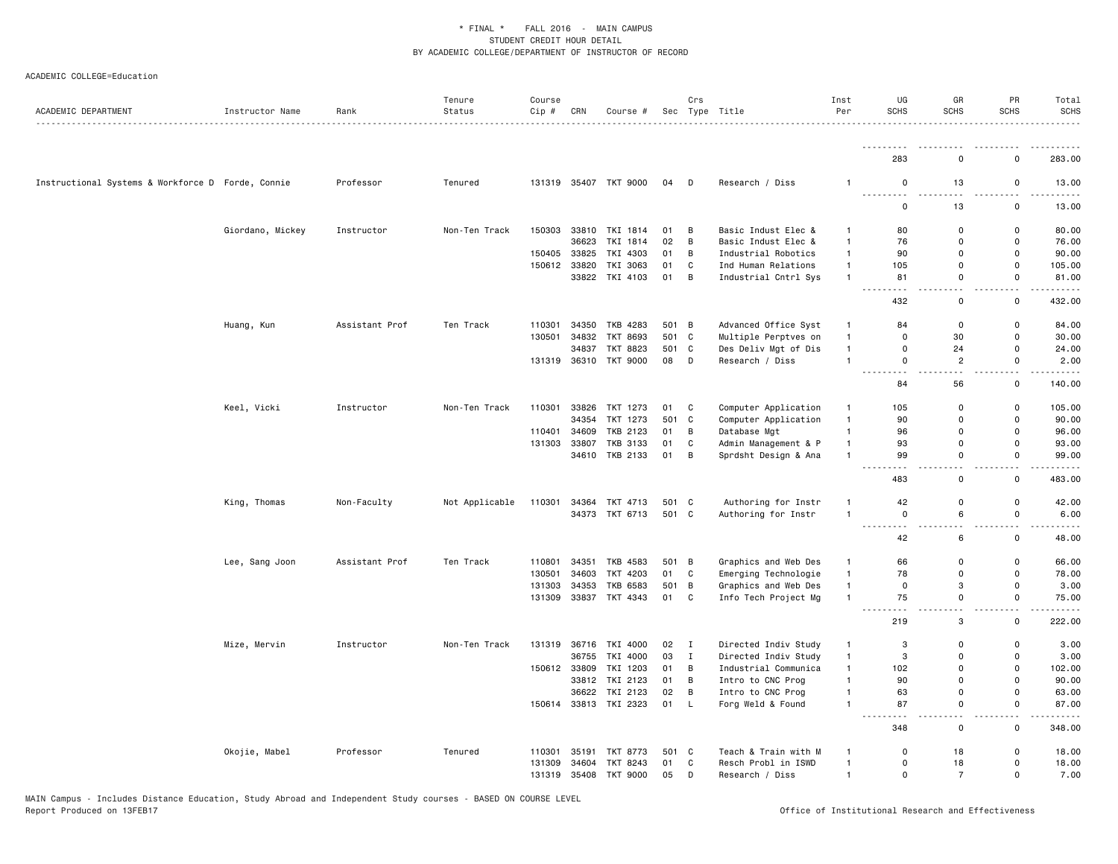| ACADEMIC DEPARTMENT                               | Instructor Name  | Rank           | Tenure<br>Status | Course<br>Cip # | CRN          | Course #              |       | Crs          | Sec Type Title       | Inst<br>Per    | UG<br>SCHS                         | GR<br><b>SCHS</b>                       | PR<br><b>SCHS</b>             | Total<br><b>SCHS</b><br>. <u>.</u> . |
|---------------------------------------------------|------------------|----------------|------------------|-----------------|--------------|-----------------------|-------|--------------|----------------------|----------------|------------------------------------|-----------------------------------------|-------------------------------|--------------------------------------|
|                                                   |                  |                |                  |                 |              |                       |       |              |                      |                |                                    |                                         |                               | .                                    |
|                                                   |                  |                |                  |                 |              |                       |       |              |                      |                | 283                                | 0                                       | $\Omega$                      | 283.00                               |
| Instructional Systems & Workforce D Forde, Connie |                  | Professor      | Tenured          |                 |              | 131319 35407 TKT 9000 | 04    | $\Box$       | Research / Diss      | $\overline{1}$ | $\mathbf 0$<br><u>.</u>            | 13                                      | $\mathsf{o}$<br>$\sim$ $\sim$ | 13.00                                |
|                                                   |                  |                |                  |                 |              |                       |       |              |                      |                | $\mathbf 0$                        | 13                                      | $\mathsf{o}$                  | 13.00                                |
|                                                   | Giordano, Mickey | Instructor     | Non-Ten Track    | 150303          |              | 33810 TKI 1814        | 01    | B            | Basic Indust Elec &  | $\mathbf{1}$   | 80                                 | $\Omega$                                | 0                             | 80.00                                |
|                                                   |                  |                |                  |                 | 36623        | TKI 1814              | 02    | B            | Basic Indust Elec &  | $\mathbf{1}$   | 76                                 | 0                                       | 0                             | 76.00                                |
|                                                   |                  |                |                  | 150405          | 33825        | TKI 4303              | 01    | B            | Industrial Robotics  | $\mathbf{1}$   | 90                                 | $\Omega$                                | $\mathbf 0$                   | 90.00                                |
|                                                   |                  |                |                  | 150612          | 33820        | TKI 3063              | 01    | C            | Ind Human Relations  | $\mathbf{1}$   | 105                                | $\mathbf 0$                             | $\mathsf{o}$                  | 105.00                               |
|                                                   |                  |                |                  |                 |              | 33822 TKI 4103        | 01    | B            | Industrial Cntrl Sys | $\mathbf{1}$   | 81<br>$ -$<br>$\sim$ $\sim$ $\sim$ | $\mathbf 0$<br>$-$                      | 0<br>$ -$                     | 81.00<br>$- - - -$                   |
|                                                   |                  |                |                  |                 |              |                       |       |              |                      |                | 432                                | 0                                       | $\mathbf 0$                   | 432.00                               |
|                                                   | Huang, Kun       | Assistant Prof | Ten Track        | 110301          | 34350        | TKB 4283              | 501 B |              | Advanced Office Syst | $\mathbf{1}$   | 84                                 | 0                                       | 0                             | 84.00                                |
|                                                   |                  |                |                  | 130501          | 34832        | <b>TKT 8693</b>       | 501 C |              | Multiple Perptves on | $\overline{1}$ | $\mathbf 0$                        | 30                                      | $\mathsf{o}$                  | 30.00                                |
|                                                   |                  |                |                  |                 | 34837        | TKT 8823              | 501 C |              | Des Deliv Mgt of Dis | $\mathbf{1}$   | $\mathbf 0$                        | 24                                      | 0                             | 24.00                                |
|                                                   |                  |                |                  |                 |              | 131319 36310 TKT 9000 | 08    | $\Box$       | Research / Diss      | $\mathbf{1}$   | $\mathbf 0$<br>i a a<br>$ -$       | $\overline{2}$<br>$\sim$ $\sim$         | $\mathsf{o}$<br>$ -$          | 2.00<br>.                            |
|                                                   |                  |                |                  |                 |              |                       |       |              |                      |                | 84                                 | 56                                      | $\mathbf 0$                   | 140.00                               |
|                                                   | Keel, Vicki      | Instructor     | Non-Ten Track    | 110301          | 33826        | TKT 1273              | 01    | C            | Computer Application | $\mathbf{1}$   | 105                                | 0                                       | 0                             | 105.00                               |
|                                                   |                  |                |                  |                 | 34354        | TKT 1273              | 501 C |              | Computer Application | $\mathbf{1}$   | 90                                 | $\Omega$                                | $\Omega$                      | 90.00                                |
|                                                   |                  |                |                  | 110401          | 34609        | TKB 2123              | 01    | B            | Database Mgt         | $\mathbf{1}$   | 96                                 | $\Omega$                                | $\Omega$                      | 96.00                                |
|                                                   |                  |                |                  | 131303          | 33807        | <b>TKB 3133</b>       | 01    | C            | Admin Management & P | $\mathbf{1}$   | 93                                 | $\mathbf 0$                             | $\mathsf{o}$                  | 93.00                                |
|                                                   |                  |                |                  |                 |              | 34610 TKB 2133        | 01    | B            | Sprdsht Design & Ana | $\overline{1}$ | 99                                 | $\mathbf 0$<br>$\overline{\phantom{a}}$ | $\mathsf{o}$<br>$\sim$ $\sim$ | 99.00<br>.                           |
|                                                   |                  |                |                  |                 |              |                       |       |              |                      |                | 483                                | 0                                       | 0                             | 483.00                               |
|                                                   | King, Thomas     | Non-Faculty    | Not Applicable   | 110301          | 34364        | TKT 4713              | 501 C |              | Authoring for Instr  | $\mathbf{1}$   | 42                                 | $\mathbf 0$                             | $\mathsf 0$                   | 42.00                                |
|                                                   |                  |                |                  |                 |              | 34373 TKT 6713        | 501 C |              | Authoring for Instr  | $\overline{1}$ | $\mathbf 0$                        | 6                                       | 0                             | 6.00                                 |
|                                                   |                  |                |                  |                 |              |                       |       |              |                      |                | $\sim$ $\sim$<br>42                | 6                                       | $\mathsf{o}$                  | 48.00                                |
|                                                   | Lee, Sang Joon   | Assistant Prof | Ten Track        | 110801          | 34351        | TKB 4583              | 501 B |              | Graphics and Web Des | $\mathbf{1}$   | 66                                 | $\mathsf 0$                             | $\mathsf 0$                   | 66.00                                |
|                                                   |                  |                |                  | 130501          | 34603        | TKT 4203              | 01    | C            | Emerging Technologie | $\mathbf{1}$   | 78                                 | $\mathsf 0$                             | $\mathsf 0$                   | 78.00                                |
|                                                   |                  |                |                  | 131303          | 34353        | TKB 6583              | 501 B |              | Graphics and Web Des | $\mathbf{1}$   | $\mathbf 0$                        | 3                                       | $\mathbf 0$                   | 3.00                                 |
|                                                   |                  |                |                  | 131309          |              | 33837 TKT 4343        | 01 C  |              | Info Tech Project Mg | $\overline{1}$ | 75                                 | 0                                       | 0                             | 75.00                                |
|                                                   |                  |                |                  |                 |              |                       |       |              |                      |                | 219                                | 3                                       | $\mathsf{o}$                  | 222.00                               |
|                                                   | Mize, Mervin     | Instructor     | Non-Ten Track    | 131319          |              | 36716 TKI 4000        | 02    | $\mathbf{I}$ | Directed Indiv Study | $\mathbf{1}$   | 3                                  | 0                                       | $\mathsf{o}\,$                | 3.00                                 |
|                                                   |                  |                |                  |                 | 36755        | TKI 4000              | 03    | $\mathbf{I}$ | Directed Indiv Study | $\mathbf{1}$   | 3                                  | $\mathbf 0$                             | $\mathsf 0$                   | 3.00                                 |
|                                                   |                  |                |                  |                 | 150612 33809 | TKI 1203              | 01    | B            | Industrial Communica | $\mathbf{1}$   | 102                                | $\Omega$                                | $\Omega$                      | 102.00                               |
|                                                   |                  |                |                  |                 |              | 33812 TKI 2123        | 01    | B            | Intro to CNC Prog    | $\overline{1}$ | 90                                 | 0                                       | $\Omega$                      | 90.00                                |
|                                                   |                  |                |                  |                 |              | 36622 TKI 2123        | 02    | B            | Intro to CNC Prog    | $\overline{1}$ | 63                                 | $\mathbf 0$                             | $\mathsf 0$                   | 63.00                                |
|                                                   |                  |                |                  |                 |              | 150614 33813 TKI 2323 | 01 L  |              | Forg Weld & Found    | $\overline{1}$ | 87                                 | $\mathbf 0$                             | $\mathsf{o}$<br>$ -$          | 87.00                                |
|                                                   |                  |                |                  |                 |              |                       |       |              |                      |                | 348                                | $\mathsf 0$                             | $\mathsf 0$                   | 348.00                               |
|                                                   | Okojie, Mabel    | Professor      | Tenured          | 110301          |              | 35191 TKT 8773        | 501 C |              | Teach & Train with M | $\mathbf{1}$   | $\mathbf 0$                        | 18                                      | 0                             | 18.00                                |
|                                                   |                  |                |                  | 131309          | 34604        | TKT 8243              | 01    | C            | Resch Probl in ISWD  | $\overline{1}$ | $\mathbf 0$                        | 18                                      | $\mathsf{o}$                  | 18.00                                |
|                                                   |                  |                |                  | 131319          |              | 35408 TKT 9000        | 05    | D            | Research / Diss      | $\mathbf{1}$   | $\mathbf 0$                        | $\overline{7}$                          | $\mathsf{o}$                  | 7.00                                 |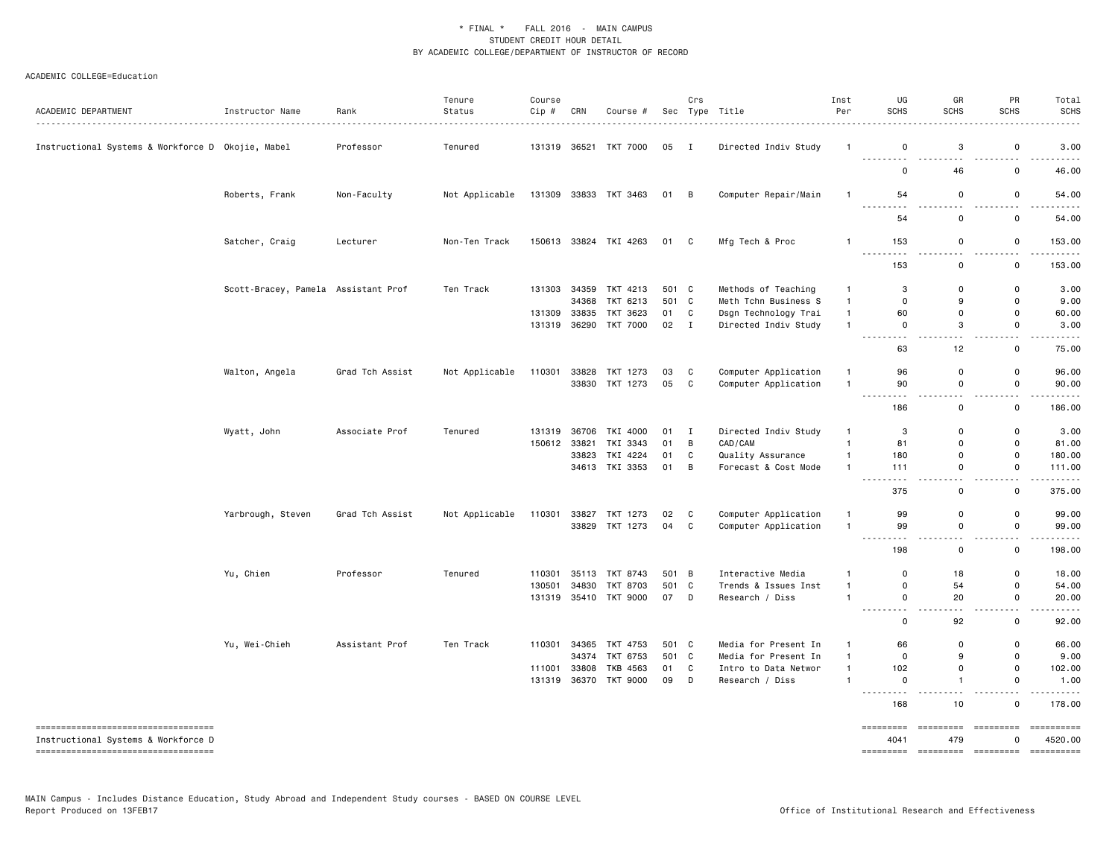| ACADEMIC DEPARTMENT                                                         | Instructor Name                     | Rank<br>.       | Tenure<br>Status | Course<br>Cip # | CRN          | Course #                         |       | Crs          | Sec Type Title                               | Inst<br>Per    | UG<br><b>SCHS</b>           | GR<br><b>SCHS</b>                       | PR<br><b>SCHS</b>            | Total<br><b>SCHS</b>      |
|-----------------------------------------------------------------------------|-------------------------------------|-----------------|------------------|-----------------|--------------|----------------------------------|-------|--------------|----------------------------------------------|----------------|-----------------------------|-----------------------------------------|------------------------------|---------------------------|
| Instructional Systems & Workforce D Okojie, Mabel                           |                                     | Professor       | Tenured          |                 |              | 131319 36521 TKT 7000            | 05 I  |              | Directed Indiv Study                         | $\overline{1}$ | $\mathbf 0$<br>.            | 3<br>$\sim$ $\sim$                      | $\mathsf 0$<br>$\sim$        | 3.00                      |
|                                                                             |                                     |                 |                  |                 |              |                                  |       |              |                                              |                | $\Omega$                    | 46                                      | $\mathbf 0$                  | 46.00                     |
|                                                                             | Roberts, Frank                      | Non-Faculty     | Not Applicable   |                 |              | 131309 33833 TKT 3463            | 01 B  |              | Computer Repair/Main                         | $\mathbf{1}$   | 54<br>.                     | $\mathbf 0$                             | $\mathbf 0$<br>$\sim$        | 54.00<br>$\frac{1}{2}$    |
|                                                                             |                                     |                 |                  |                 |              |                                  |       |              |                                              |                | 54                          | 0                                       | 0                            | 54.00                     |
|                                                                             | Satcher, Craig                      | Lecturer        | Non-Ten Track    |                 |              | 150613 33824 TKI 4263            | 01 C  |              | Mfg Tech & Proc                              | $\mathbf{1}$   | 153                         | 0                                       | 0                            | 153.00                    |
|                                                                             |                                     |                 |                  |                 |              |                                  |       |              |                                              |                | 153                         | 0                                       | 0                            | 153.00                    |
|                                                                             | Scott-Bracey, Pamela Assistant Prof |                 | Ten Track        | 131303          |              | 34359 TKT 4213                   | 501 C |              | Methods of Teaching                          | $\overline{1}$ | 3                           | $\mathbf 0$                             | $\mathbf 0$                  | 3.00                      |
|                                                                             |                                     |                 |                  |                 | 34368        | TKT 6213                         | 501 C |              | Meth Tchn Business S                         | $\overline{1}$ | $\mathbf 0$                 | 9                                       | $\mathbf{0}$                 | 9.00                      |
|                                                                             |                                     |                 |                  | 131309          | 33835        | TKT 3623                         | 01    | C            | Dsgn Technology Trai                         | $\overline{1}$ | 60                          | $\mathbf 0$                             | $\mathbf 0$                  | 60.00                     |
|                                                                             |                                     |                 |                  | 131319          |              | 36290 TKT 7000                   | 02 I  |              | Directed Indiv Study                         | $\overline{1}$ | $\mathbf 0$<br>.            | 3<br>$\sim$ $\sim$                      | $\mathsf 0$                  | 3.00<br>$\omega$ is a set |
|                                                                             |                                     |                 |                  |                 |              |                                  |       |              |                                              |                | 63                          | 12                                      | $\mathsf 0$                  | 75.00                     |
|                                                                             | Walton, Angela                      | Grad Tch Assist | Not Applicable   | 110301          |              | 33828 TKT 1273                   | 03    | C            | Computer Application                         | $\mathbf{1}$   | 96                          | $\mathbf 0$                             | $\mathbf 0$                  | 96.00                     |
|                                                                             |                                     |                 |                  |                 |              | 33830 TKT 1273                   | 05    | C            | Computer Application                         | $\overline{1}$ | 90<br>.                     | $\mathsf 0$<br>$\overline{\phantom{a}}$ | $\mathsf 0$<br>$\sim$        | 90.00<br>$\frac{1}{2}$    |
|                                                                             |                                     |                 |                  |                 |              |                                  |       |              |                                              |                | 186                         | $\mathbf 0$                             | $\mathbf 0$                  | 186.00                    |
|                                                                             | Wyatt, John                         | Associate Prof  | Tenured          | 131319          |              | 36706 TKI 4000                   | 01    | $\mathbf{I}$ | Directed Indiv Study                         | $\mathbf{1}$   | 3                           | $\mathbf 0$                             | $\mathbf 0$                  | 3.00                      |
|                                                                             |                                     |                 |                  |                 | 150612 33821 | TKI 3343                         | 01    | В            | CAD/CAM                                      | $\mathbf{1}$   | 81                          | 0                                       | $\mathsf 0$                  | 81.00                     |
|                                                                             |                                     |                 |                  |                 |              | 33823 TKI 4224                   | 01    | C            | Quality Assurance                            | $\overline{1}$ | 180                         | $\mathbf 0$                             | $\mathsf 0$                  | 180.00                    |
|                                                                             |                                     |                 |                  |                 |              | 34613 TKI 3353                   | 01    | B            | Forecast & Cost Mode                         | $\overline{1}$ | 111                         | $\mathbf 0$                             | $\mathbf 0$                  | 111.00                    |
|                                                                             |                                     |                 |                  |                 |              |                                  |       |              |                                              |                | 375                         | $\mathbf 0$                             | $\mathsf 0$                  | 375.00                    |
|                                                                             |                                     |                 |                  | 110301          |              |                                  | 02    | C            |                                              | $\mathbf{1}$   | 99                          | 0                                       | 0                            | 99.00                     |
|                                                                             | Yarbrough, Steven                   | Grad Tch Assist | Not Applicable   |                 |              | 33827 TKT 1273<br>33829 TKT 1273 | 04    | C            | Computer Application<br>Computer Application | $\overline{1}$ | 99                          | $\mathbf 0$                             | $\mathbf 0$                  | 99.00                     |
|                                                                             |                                     |                 |                  |                 |              |                                  |       |              |                                              |                | ---------<br>198            | $-$<br>$\mathbf 0$                      | $\sim$ $\sim$<br>$\mathbf 0$ | .<br>198.00               |
|                                                                             | Yu, Chien                           | Professor       | Tenured          | 110301          | 35113        | TKT 8743                         | 501 B |              | Interactive Media                            | $\mathbf{1}$   | $\Omega$                    | 18                                      | 0                            | 18.00                     |
|                                                                             |                                     |                 |                  | 130501          | 34830        | TKT 8703                         | 501 C |              | Trends & Issues Inst                         | $\overline{1}$ | $\mathsf 0$                 | 54                                      | $\mathsf 0$                  | 54.00                     |
|                                                                             |                                     |                 |                  |                 |              | 131319 35410 TKT 9000            | 07    | $\Box$       | Research / Diss                              | $\overline{1}$ | $\mathbf 0$<br>$\sim$<br>.  | 20<br>$\sim$ $\sim$                     | $\mathbf 0$<br>$\sim$ $\sim$ | 20.00<br>.                |
|                                                                             |                                     |                 |                  |                 |              |                                  |       |              |                                              |                | $\mathbf 0$                 | 92                                      | 0                            | 92.00                     |
|                                                                             | Yu, Wei-Chieh                       | Assistant Prof  | Ten Track        | 110301          | 34365        | TKT 4753                         | 501   | C            | Media for Present In                         | $\overline{1}$ | 66                          | $\mathbf 0$                             | $\mathbf 0$                  | 66.00                     |
|                                                                             |                                     |                 |                  |                 | 34374        | TKT 6753                         | 501 C |              | Media for Present In                         | $\overline{1}$ | $\mathbf 0$                 | 9                                       | 0                            | 9.00                      |
|                                                                             |                                     |                 |                  | 111001          | 33808        | TKB 4563                         | 01    | C            | Intro to Data Networ                         | $\overline{1}$ | 102                         | $\mathbf 0$                             | $\mathbf 0$                  | 102.00                    |
|                                                                             |                                     |                 |                  | 131319          |              | 36370 TKT 9000                   | 09    | D            | Research / Diss                              | 1              | 0<br>$\omega$ is a $\omega$ | $\overline{1}$                          | 0                            | 1.00                      |
|                                                                             |                                     |                 |                  |                 |              |                                  |       |              |                                              |                | 168                         | 10                                      | $\mathbf 0$                  | 178.00                    |
| ----------------------------------                                          |                                     |                 |                  |                 |              |                                  |       |              |                                              |                | $=$ ========<br>4041        | EEEEEEEE<br>479                         | $\Omega$                     | ==========<br>4520.00     |
| Instructional Systems & Workforce D<br>------------------------------------ |                                     |                 |                  |                 |              |                                  |       |              |                                              |                |                             |                                         |                              | ==========                |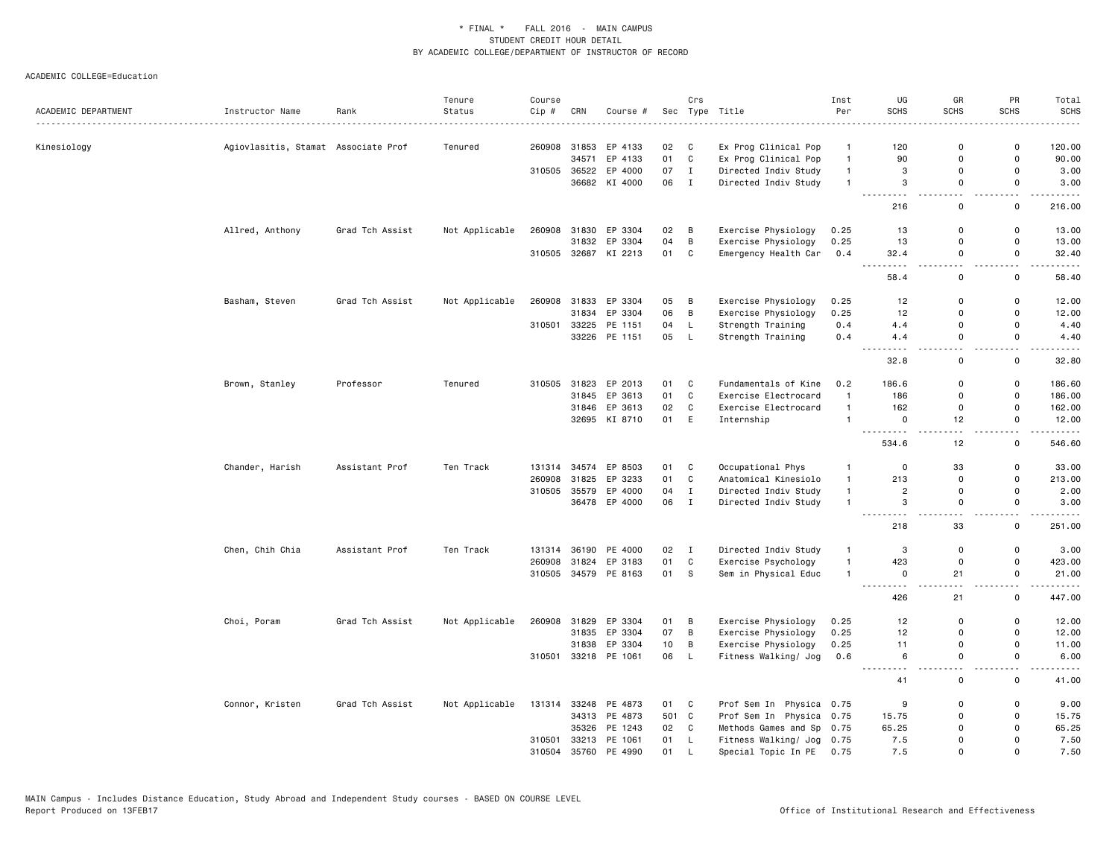|                     |                                     |                    | Tenure         | Course |              |                      |     | Crs          |                          | Inst           | UG                                                         | GR                            | PR                                      | Total       |
|---------------------|-------------------------------------|--------------------|----------------|--------|--------------|----------------------|-----|--------------|--------------------------|----------------|------------------------------------------------------------|-------------------------------|-----------------------------------------|-------------|
| ACADEMIC DEPARTMENT | Instructor Name                     | Rank<br>. <b>.</b> | Status         | Cip #  | CRN          | Course #             | Sec |              | Type Title<br>.          | Per            | <b>SCHS</b>                                                | <b>SCHS</b>                   | <b>SCHS</b>                             | SCHS        |
| Kinesiology         | Agiovlasitis, Stamat Associate Prof |                    | Tenured        |        | 260908 31853 | EP 4133              | 02  | C            | Ex Prog Clinical Pop     | $\mathbf{1}$   | 120                                                        | $\mathbf 0$                   | $\mathsf 0$                             | 120.00      |
|                     |                                     |                    |                |        | 34571        | EP 4133              | 01  | C            | Ex Prog Clinical Pop     | $\mathbf{1}$   | 90                                                         | $\mathbf 0$                   | 0                                       | 90.00       |
|                     |                                     |                    |                | 310505 | 36522        | EP 4000              | 07  | $\mathbf{I}$ | Directed Indiv Study     | $\mathbf{1}$   | 3                                                          | $\mathbf 0$                   | $\mathsf 0$                             | 3.00        |
|                     |                                     |                    |                |        |              | 36682 KI 4000        | 06  | $\mathbf{I}$ | Directed Indiv Study     | $\mathbf{1}$   | 3                                                          | $\mathsf 0$                   | $\mathsf 0$                             | 3.00        |
|                     |                                     |                    |                |        |              |                      |     |              |                          |                | $\sim$ $\sim$ $\sim$<br>$\sim$ $\sim$ $\sim$ $\sim$<br>216 | $\sim$<br>$\mathbf 0$         | $\overline{\phantom{0}}$<br>$\mathbf 0$ | .<br>216.00 |
|                     | Allred, Anthony                     | Grad Tch Assist    | Not Applicable |        |              | 260908 31830 EP 3304 | 02  | B            | Exercise Physiology      | 0.25           | 13                                                         | $\mathbf 0$                   | $\mathbf 0$                             | 13.00       |
|                     |                                     |                    |                |        | 31832        | EP 3304              | 04  | $\, {\bf B}$ | Exercise Physiology      | 0.25           | 13                                                         | $\mathbf 0$                   | $\mathsf{o}$                            | 13.00       |
|                     |                                     |                    |                |        |              | 310505 32687 KI 2213 | 01  | C            | Emergency Health Car     | 0.4            | 32.4                                                       | $\mathbf 0$                   | $\mathsf 0$                             | 32.40       |
|                     |                                     |                    |                |        |              |                      |     |              |                          |                | 58.4                                                       | и.<br>$\mathsf 0$             | $\mathsf 0$                             | 58.40       |
|                     | Basham, Steven                      | Grad Tch Assist    | Not Applicable | 260908 |              | 31833 EP 3304        | 05  | B            | Exercise Physiology      | 0.25           | 12                                                         | $\mathbf 0$                   | $\mathbf 0$                             | 12.00       |
|                     |                                     |                    |                |        | 31834        | EP 3304              | 06  | B            | Exercise Physiology      | 0.25           | 12                                                         | $\mathbf 0$                   | $\mathsf 0$                             | 12.00       |
|                     |                                     |                    |                | 310501 | 33225        | PE 1151              | 04  | L            | Strength Training        | 0.4            | 4.4                                                        | $\mathbf 0$                   | $\mathsf 0$                             | 4.40        |
|                     |                                     |                    |                |        |              | 33226 PE 1151        | 05  | $\mathsf{L}$ | Strength Training        | 0.4            | 4.4                                                        | $\mathbf 0$                   | $\mathbf 0$                             | 4.40        |
|                     |                                     |                    |                |        |              |                      |     |              |                          |                | 32.8                                                       | $\overline{\phantom{a}}$<br>0 | $\sim$ $\sim$<br>0                      | .<br>32.80  |
|                     | Brown, Stanley                      | Professor          | Tenured        | 310505 | 31823        | EP 2013              | 01  | C            | Fundamentals of Kine     | 0.2            | 186.6                                                      | $\mathbf 0$                   | 0                                       | 186.60      |
|                     |                                     |                    |                |        | 31845        | EP 3613              | 01  | C            | Exercise Electrocard     | $\overline{1}$ | 186                                                        | $\Omega$                      | $\mathsf 0$                             | 186.00      |
|                     |                                     |                    |                |        |              | 31846 EP 3613        | 02  | C            | Exercise Electrocard     | $\overline{1}$ | 162                                                        | $\Omega$                      | $\mathbf 0$                             | 162.00      |
|                     |                                     |                    |                |        | 32695        | KI 8710              | 01  | E            | Internship               | $\overline{1}$ | $\mathbf 0$                                                | 12                            | 0                                       | 12.00       |
|                     |                                     |                    |                |        |              |                      |     |              |                          |                | .<br>534.6                                                 | 12                            | н.<br>$\mathsf{o}$                      | 546.60      |
|                     | Chander, Harish                     | Assistant Prof     | Ten Track      | 131314 | 34574        | EP 8503              | 01  | C            | Occupational Phys        | $\overline{1}$ | $\Omega$                                                   | 33                            | $\mathsf 0$                             | 33.00       |
|                     |                                     |                    |                | 260908 | 31825        | EP 3233              | 01  | C            | Anatomical Kinesiolo     | $\mathbf{1}$   | 213                                                        | $\Omega$                      | $\mathbf 0$                             | 213.00      |
|                     |                                     |                    |                | 310505 | 35579        | EP 4000              | 04  | $\mathbf I$  | Directed Indiv Study     | $\mathbf{1}$   | $\overline{c}$                                             | $\mathbf 0$                   | $\mathsf 0$                             | 2.00        |
|                     |                                     |                    |                |        |              | 36478 EP 4000        | 06  | $\mathbf I$  | Directed Indiv Study     | $\overline{1}$ | 3                                                          | $\mathbf 0$                   | $\mathsf 0$                             | 3.00        |
|                     |                                     |                    |                |        |              |                      |     |              |                          |                | .<br>218                                                   | $\sim$ $\sim$<br>33           | . .<br>$\mathbf 0$                      | .<br>251.00 |
|                     | Chen, Chih Chia                     | Assistant Prof     | Ten Track      | 131314 |              | 36190 PE 4000        | 02  | $\mathbf{I}$ | Directed Indiv Study     | $\overline{1}$ | 3                                                          | $\mathbf 0$                   | $\mathsf{o}$                            | 3.00        |
|                     |                                     |                    |                | 260908 | 31824        | EP 3183              | 01  | $\mathtt{C}$ | Exercise Psychology      | $\overline{1}$ | 423                                                        | $\mathbf 0$                   | $\mathsf 0$                             | 423.00      |
|                     |                                     |                    |                |        |              | 310505 34579 PE 8163 | 01  | s            | Sem in Physical Educ     | $\overline{1}$ | $\mathbf 0$                                                | 21                            | $\mathsf 0$                             | 21.00       |
|                     |                                     |                    |                |        |              |                      |     |              |                          |                | .<br>426                                                   | 21                            | $\overline{\phantom{a}}$<br>$\mathsf 0$ | .<br>447.00 |
|                     | Choi, Poram                         | Grad Tch Assist    | Not Applicable |        |              | 260908 31829 EP 3304 | 01  | B            | Exercise Physiology      | 0.25           | 12                                                         | $\mathbf 0$                   | $\mathsf 0$                             | 12.00       |
|                     |                                     |                    |                |        | 31835        | EP 3304              | 07  | $\, {\bf B}$ | Exercise Physiology      | 0.25           | 12                                                         | $\mathbf 0$                   | $\mathsf 0$                             | 12.00       |
|                     |                                     |                    |                |        | 31838        | EP 3304              | 10  | B            | Exercise Physiology      | 0.25           | 11                                                         | $\mathbf 0$                   | $\mathsf 0$                             | 11.00       |
|                     |                                     |                    |                |        |              | 310501 33218 PE 1061 | 06  | L            | Fitness Walking/ Jog     | 0.6            | 6                                                          | $\Omega$                      | $\mathbf 0$                             | 6.00        |
|                     |                                     |                    |                |        |              |                      |     |              |                          |                | $\sim$ $\sim$<br>41                                        | L.<br>$\mathsf 0$             | $\omega_{\rm c}$<br>$\mathsf 0$         | 41.00       |
|                     | Connor, Kristen                     | Grad Tch Assist    | Not Applicable | 131314 | 33248        | PE 4873              | 01  | C            | Prof Sem In Physica 0.75 |                | 9                                                          | $\mathbf 0$                   | 0                                       | 9.00        |
|                     |                                     |                    |                |        |              | 34313 PE 4873        |     | 501 C        | Prof Sem In Physica 0.75 |                | 15.75                                                      | $\mathbf 0$                   | $\mathbf 0$                             | 15.75       |
|                     |                                     |                    |                |        | 35326        | PE 1243              | 02  | C            | Methods Games and Sp     | 0.75           | 65.25                                                      | $\Omega$                      | $\mathbf 0$                             | 65.25       |
|                     |                                     |                    |                | 310501 | 33213        | PE 1061              | 01  | L            | Fitness Walking/ Jog     | 0.75           | 7.5                                                        | $\mathbf 0$                   | $\mathbf 0$                             | 7.50        |
|                     |                                     |                    |                | 310504 | 35760        | PE 4990              | 01  | <b>L</b>     | Special Topic In PE      | 0.75           | 7.5                                                        | $\Omega$                      | $\mathbf 0$                             | 7.50        |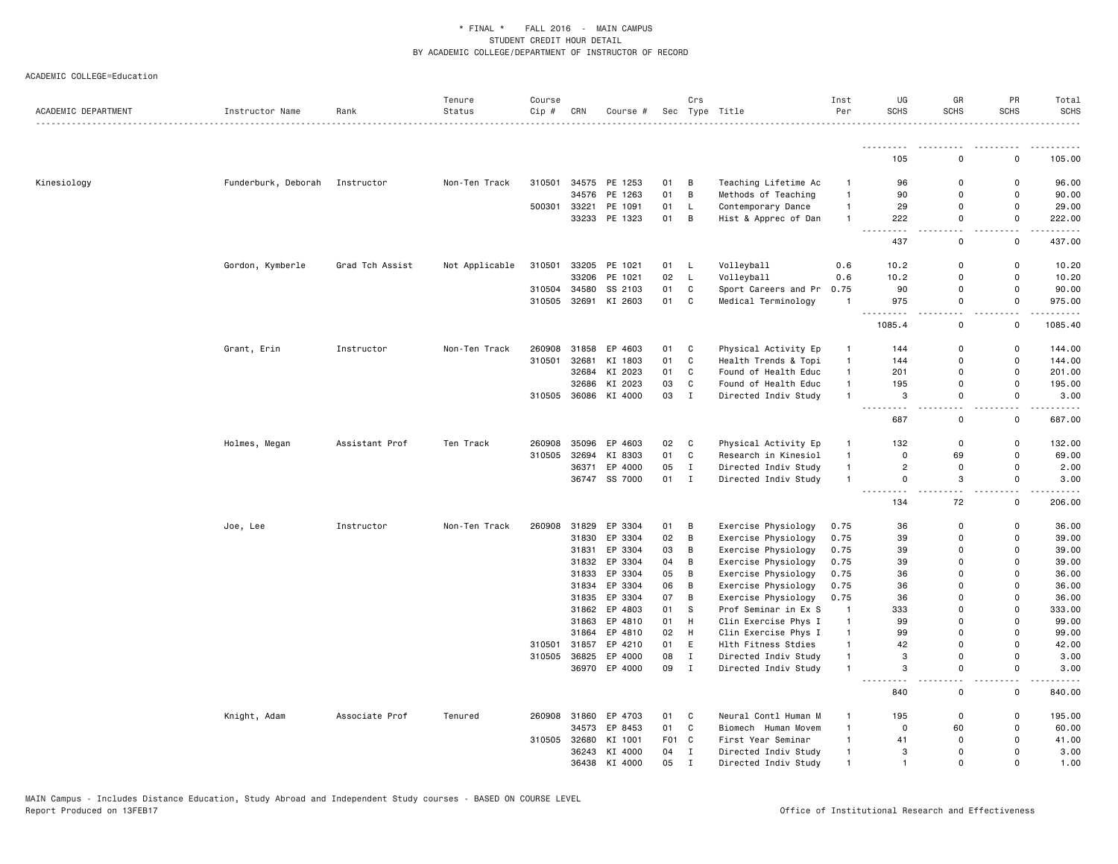| ACADEMIC DEPARTMENT | Instructor Name     | Rank            | Tenure<br>Status | Course<br>Cip # | CRN   | Course #      |                  | Crs                        | Sec Type Title       | Inst<br>Per                    | UG<br><b>SCHS</b>                     | GR<br><b>SCHS</b>         | PR<br><b>SCHS</b>             | Total<br><b>SCHS</b> |
|---------------------|---------------------|-----------------|------------------|-----------------|-------|---------------|------------------|----------------------------|----------------------|--------------------------------|---------------------------------------|---------------------------|-------------------------------|----------------------|
|                     |                     |                 |                  |                 |       |               |                  |                            |                      |                                |                                       |                           |                               |                      |
|                     |                     |                 |                  |                 |       |               |                  |                            |                      |                                | 105                                   | $\Omega$                  | 0                             | 105.00               |
| Kinesiology         | Funderburk, Deborah | Instructor      | Non-Ten Track    | 310501          |       | 34575 PE 1253 | 01               | В                          | Teaching Lifetime Ac | $\overline{1}$                 | 96                                    | $\mathbf 0$               | 0                             | 96.00                |
|                     |                     |                 |                  |                 | 34576 | PE 1263       | 01               | В                          | Methods of Teaching  | $\mathbf{1}$                   | 90                                    | $\Omega$                  | $\Omega$                      | 90.00                |
|                     |                     |                 |                  | 500301          | 33221 | PE 1091       | 01               | L                          | Contemporary Dance   | $\mathbf{1}$                   | 29                                    | 0                         | 0                             | 29.00                |
|                     |                     |                 |                  |                 |       | 33233 PE 1323 | 01               | B                          | Hist & Apprec of Dan | $\overline{1}$                 | 222<br>$\sim$ $\sim$ $\sim$           | 0                         | $\mathsf 0$                   | 222.00               |
|                     |                     |                 |                  |                 |       |               |                  |                            |                      |                                | 437                                   | 0                         | 0                             | 437.00               |
|                     | Gordon, Kymberle    | Grad Tch Assist | Not Applicable   | 310501          | 33205 | PE 1021       | 01               | L,                         | Volleyball           | 0.6                            | 10.2                                  | 0                         | 0                             | 10.20                |
|                     |                     |                 |                  |                 | 33206 | PE 1021       | 02               | $\mathsf L$                | Volleyball           | 0.6                            | 10.2                                  | 0                         | 0                             | 10.20                |
|                     |                     |                 |                  | 310504          | 34580 | SS 2103       | 01               | C                          | Sport Careers and Pr | 0.75                           | 90                                    | $\mathbf 0$               | 0                             | 90.00                |
|                     |                     |                 |                  | 310505          |       | 32691 KI 2603 | 01               | $\mathtt{C}$               | Medical Terminology  | $\overline{1}$                 | 975<br>$\overline{a}$                 | $\Omega$<br>. .           | $\mathsf 0$<br>. .            | 975.00<br>.          |
|                     |                     |                 |                  |                 |       |               |                  |                            |                      |                                | 1085.4                                | 0                         | 0                             | 1085.40              |
|                     | Grant, Erin         | Instructor      | Non-Ten Track    | 260908          | 31858 | EP 4603       | 01               | C                          | Physical Activity Ep | $\mathbf{1}$                   | 144                                   | 0                         | $\mathsf 0$                   | 144.00               |
|                     |                     |                 |                  | 310501          | 32681 | KI 1803       | 01               | $\mathbb{C}$               | Health Trends & Topi | $\mathbf{1}$                   | 144                                   | $\Omega$                  | 0                             | 144.00               |
|                     |                     |                 |                  |                 |       | 32684 KI 2023 | 01               | C                          | Found of Health Educ | $\mathbf{1}$                   | 201                                   | $\mathbf 0$               | 0                             | 201.00               |
|                     |                     |                 |                  |                 | 32686 | KI 2023       | 03               | $\mathbb{C}$               | Found of Health Educ | $\mathbf{1}$                   | 195                                   | $\Omega$                  | $\Omega$                      | 195.00               |
|                     |                     |                 |                  | 310505          | 36086 | KI 4000       | 03               | $\mathbf I$                | Directed Indiv Study | $\overline{1}$                 | 3<br>.<br>.                           | $\Omega$<br>$\sim$ $\sim$ | 0<br>$\overline{\phantom{a}}$ | 3.00                 |
|                     |                     |                 |                  |                 |       |               |                  |                            |                      |                                | 687                                   | 0                         | 0                             | 687.00               |
|                     | Holmes, Megan       | Assistant Prof  | Ten Track        | 260908          | 35096 | EP 4603       | 02               | C                          | Physical Activity Ep | $\mathbf{1}$                   | 132                                   | $\mathbf 0$               | 0                             | 132.00               |
|                     |                     |                 |                  | 310505          | 32694 | KI 8303       | 01               | C                          | Research in Kinesiol | $\mathbf{1}$                   | 0                                     | 69                        | $\mathsf 0$                   | 69.00                |
|                     |                     |                 |                  |                 |       | 36371 EP 4000 | 05               | $\mathbf I$                | Directed Indiv Study | $\mathbf{1}$                   | $\overline{2}$                        | $\mathbf 0$               | 0                             | 2.00                 |
|                     |                     |                 |                  |                 |       | 36747 SS 7000 | 01               | I                          | Directed Indiv Study | $\mathbf{1}$                   | 0<br>$\sim$ $\sim$ $\sim$<br>.        | 3<br>$\sim$ $\sim$        | 0<br>$\sim$ $\sim$            | 3.00<br>.            |
|                     |                     |                 |                  |                 |       |               |                  |                            |                      |                                | 134                                   | 72                        | 0                             | 206.00               |
|                     | Joe, Lee            | Instructor      | Non-Ten Track    | 260908          | 31829 | EP 3304       | 01               | В                          | Exercise Physiology  | 0.75                           | 36                                    | $\Omega$                  | $\Omega$                      | 36.00                |
|                     |                     |                 |                  |                 |       | 31830 EP 3304 | 02               | В                          | Exercise Physiology  | 0.75                           | 39                                    | $\Omega$                  | 0                             | 39.00                |
|                     |                     |                 |                  |                 | 31831 | EP 3304       | 03               | В                          | Exercise Physiology  | 0.75                           | 39                                    | 0                         | 0                             | 39.00                |
|                     |                     |                 |                  |                 | 31832 | EP 3304       | 04               | B                          | Exercise Physiology  | 0.75                           | 39                                    | $\Omega$                  | $\Omega$                      | 39.00                |
|                     |                     |                 |                  |                 | 31833 | EP 3304       | 05               | В                          | Exercise Physiology  | 0.75                           | 36                                    | 0                         | 0                             | 36.00                |
|                     |                     |                 |                  |                 | 31834 | EP 3304       | 06               | В                          | Exercise Physiology  | 0.75                           | 36                                    | $\Omega$                  | $\Omega$                      | 36.00                |
|                     |                     |                 |                  |                 | 31835 | EP 3304       | 07               | В                          | Exercise Physiology  | 0.75                           | 36                                    | $\Omega$                  | $\Omega$                      | 36.00                |
|                     |                     |                 |                  |                 | 31862 | EP 4803       | 01               | s                          | Prof Seminar in Ex S | $\overline{1}$                 | 333                                   | 0                         | 0                             | 333.00               |
|                     |                     |                 |                  |                 | 31863 | EP 4810       | 01               | н                          | Clin Exercise Phys I | $\mathbf{1}$                   | 99                                    | $\Omega$                  | $\Omega$<br>$\Omega$          | 99.00                |
|                     |                     |                 |                  |                 | 31864 | EP 4810       | 02               | н                          | Clin Exercise Phys I | $\mathbf{1}$                   | 99                                    | $\Omega$                  |                               | 99.00                |
|                     |                     |                 |                  | 310501          | 31857 | EP 4210       | 01               | E                          | Hlth Fitness Stdies  | $\mathbf{1}$<br>$\overline{1}$ | 42<br>3                               | $\Omega$<br>0             | 0<br>0                        | 42.00                |
|                     |                     |                 |                  | 310505          | 36825 | EP 4000       | 08<br>09         | $\mathbf I$<br>$\mathbf I$ | Directed Indiv Study | $\overline{1}$                 | 3                                     | 0                         | $\Omega$                      | 3.00<br>3.00         |
|                     |                     |                 |                  |                 |       | 36970 EP 4000 |                  |                            | Directed Indiv Study |                                | $\sim$ $\sim$ $\sim$<br>$\sim$ $\sim$ | $ -$                      | $ -$                          |                      |
|                     |                     |                 |                  |                 |       |               |                  |                            |                      |                                | 840                                   | 0                         | 0                             | 840.00               |
|                     | Knight, Adam        | Associate Prof  | Tenured          | 260908          | 31860 | EP 4703       | 01               | C                          | Neural Contl Human M | $\mathbf{1}$                   | 195                                   | 0                         | 0                             | 195.00               |
|                     |                     |                 |                  |                 | 34573 | EP 8453       | 01               | $\mathbf c$                | Biomech Human Movem  | $\overline{1}$                 | 0                                     | 60                        | 0                             | 60.00                |
|                     |                     |                 |                  | 310505          | 32680 | KI 1001       | F <sub>0</sub> 1 | C                          | First Year Seminar   | $\mathbf{1}$                   | 41                                    | $\Omega$                  | $\Omega$                      | 41.00                |
|                     |                     |                 |                  |                 |       | 36243 KI 4000 | 04               | $\mathbf I$                | Directed Indiv Study | $\overline{1}$                 | 3                                     | $\Omega$                  | $\Omega$                      | 3.00                 |
|                     |                     |                 |                  |                 | 36438 | KI 4000       | 05               | $\mathbf I$                | Directed Indiv Study | $\overline{1}$                 | -1                                    | $\Omega$                  | $\Omega$                      | 1.00                 |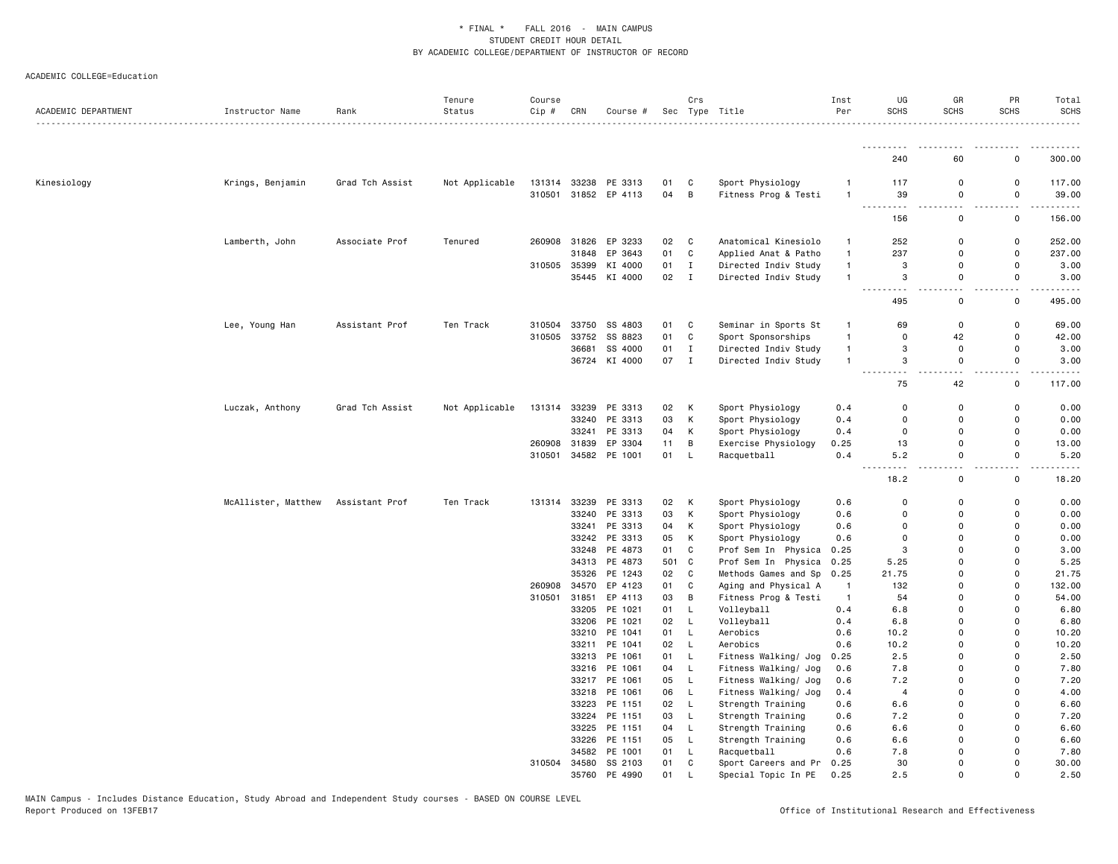| ACADEMIC DEPARTMENT | Instructor Name<br>. | Rank            | Tenure<br>Status | Course<br>Cip# | CRN   | Course #      |     | Crs          | Sec Type Title       | Inst<br>Per    | UG<br><b>SCHS</b> | GR<br><b>SCHS</b>  | PR<br><b>SCHS</b>   | Total<br><b>SCHS</b> |
|---------------------|----------------------|-----------------|------------------|----------------|-------|---------------|-----|--------------|----------------------|----------------|-------------------|--------------------|---------------------|----------------------|
|                     |                      |                 |                  |                |       |               |     |              |                      |                |                   |                    |                     |                      |
|                     |                      |                 |                  |                |       |               |     |              |                      |                | 240               | 60                 | 0                   | 300.00               |
| Kinesiology         | Krings, Benjamin     | Grad Tch Assist | Not Applicable   | 131314         |       | 33238 PE 3313 | 01  | C            | Sport Physiology     | -1             | 117               | 0                  | $\mathbf 0$         | 117.00               |
|                     |                      |                 |                  | 310501         |       | 31852 EP 4113 | 04  | B            | Fitness Prog & Testi | $\mathbf{1}$   | 39                | 0                  | 0                   | 39.00                |
|                     |                      |                 |                  |                |       |               |     |              |                      |                |                   |                    |                     |                      |
|                     |                      |                 |                  |                |       |               |     |              |                      |                | 156               | 0                  | 0                   | 156.00               |
|                     | Lamberth, John       | Associate Prof  | Tenured          | 260908         |       | 31826 EP 3233 | 02  | C            | Anatomical Kinesiolo | $\mathbf{1}$   | 252               | $\mathbf 0$        | $\mathbf 0$         | 252.00               |
|                     |                      |                 |                  |                | 31848 | EP 3643       | 01  | $\mathtt{C}$ | Applied Anat & Patho | $\mathbf{1}$   | 237               | $\Omega$           | $\Omega$            | 237.00               |
|                     |                      |                 |                  | 310505         | 35399 | KI 4000       | 01  | $\mathbf I$  | Directed Indiv Study | $\mathbf{1}$   | 3                 | 0                  | $\mathbf 0$         | 3.00                 |
|                     |                      |                 |                  |                |       | 35445 KI 4000 | 02  | $\mathbf I$  | Directed Indiv Study | $\mathbf{1}$   | 3                 | 0                  | 0                   | 3.00                 |
|                     |                      |                 |                  |                |       |               |     |              |                      |                | 495               | 0                  | 0                   | 495.00               |
|                     | Lee, Young Han       | Assistant Prof  | Ten Track        | 310504         | 33750 | SS 4803       | 01  | C            | Seminar in Sports St | $\mathbf{1}$   | 69                | 0                  | 0                   | 69.00                |
|                     |                      |                 |                  | 310505         | 33752 | SS 8823       | 01  | C            | Sport Sponsorships   | $\mathbf{1}$   | $\mathbf 0$       | 42                 | $\Omega$            | 42.00                |
|                     |                      |                 |                  |                | 36681 | SS 4000       | 01  | $\mathbf I$  | Directed Indiv Study | $\mathbf{1}$   | 3                 | 0                  | 0                   | 3.00                 |
|                     |                      |                 |                  |                |       | 36724 KI 4000 | 07  | Ι.           | Directed Indiv Study | $\mathbf{1}$   | 3                 | 0                  | 0<br>. .            | 3.00                 |
|                     |                      |                 |                  |                |       |               |     |              |                      |                | 75                | 42                 | 0                   | 117.00               |
|                     | Luczak, Anthony      | Grad Tch Assist | Not Applicable   | 131314         |       | 33239 PE 3313 | 02  | К            | Sport Physiology     | 0.4            | $\mathbf 0$       | 0                  | 0                   | 0.00                 |
|                     |                      |                 |                  |                | 33240 | PE 3313       | 03  | К            | Sport Physiology     | 0.4            | $\Omega$          | $\Omega$           | $\Omega$            | 0.00                 |
|                     |                      |                 |                  |                |       | 33241 PE 3313 | 04  | К            | Sport Physiology     | 0.4            | 0                 | 0                  | 0                   | 0.00                 |
|                     |                      |                 |                  | 260908         | 31839 | EP 3304       | 11  | B            | Exercise Physiology  | 0.25           | 13                | $\mathbf 0$        | $\Omega$            | 13.00                |
|                     |                      |                 |                  | 310501         |       | 34582 PE 1001 | 01  | L            | Racquetball          | 0.4            | 5.2               | $\mathbf 0$        | 0                   | 5.20                 |
|                     |                      |                 |                  |                |       |               |     |              |                      |                | - - -<br>18.2     | $\sim$ $\sim$<br>0 | $\overline{a}$<br>0 | 18.20                |
|                     | McAllister, Matthew  | Assistant Prof  | Ten Track        | 131314         | 33239 | PE 3313       | 02  | K            | Sport Physiology     | 0.6            | $\Omega$          | $\Omega$           | 0                   | 0.00                 |
|                     |                      |                 |                  |                | 33240 | PE 3313       | 03  | К            | Sport Physiology     | 0.6            | $\Omega$          | $\Omega$           | $\Omega$            | 0.00                 |
|                     |                      |                 |                  |                | 33241 | PE 3313       | 04  | К            | Sport Physiology     | 0.6            | 0                 | $\mathbf 0$        | $\Omega$            | 0.00                 |
|                     |                      |                 |                  |                |       | 33242 PE 3313 | 05  | К            | Sport Physiology     | 0.6            | $\Omega$          | $\Omega$           | $\Omega$            | 0.00                 |
|                     |                      |                 |                  |                | 33248 | PE 4873       | 01  | C            | Prof Sem In Physica  | 0.25           | 3                 | $\Omega$           | $\Omega$            | 3.00                 |
|                     |                      |                 |                  |                |       | 34313 PE 4873 | 501 | $\mathbf C$  | Prof Sem In Physica  | 0.25           | 5.25              | $\Omega$           | $\Omega$            | 5.25                 |
|                     |                      |                 |                  |                | 35326 | PE 1243       | 02  | C            | Methods Games and Sp | 0.25           | 21.75             | $\Omega$           | $\Omega$            | 21.75                |
|                     |                      |                 |                  | 260908         | 34570 | EP 4123       | 01  | $\mathbb{C}$ | Aging and Physical A | $\overline{1}$ | 132               | $\Omega$           | $\Omega$            | 132.00               |
|                     |                      |                 |                  | 310501         | 31851 | EP 4113       | 03  | В            | Fitness Prog & Testi | $\overline{1}$ | 54                | $\Omega$           | $\Omega$            | 54.00                |
|                     |                      |                 |                  |                | 33205 | PE 1021       | 01  | L            | Volleyball           | 0.4            | 6.8               | 0                  | $\Omega$            | 6.80                 |
|                     |                      |                 |                  |                | 33206 | PE 1021       | 02  | L            | Volleyball           | 0.4            | 6.8               | $\Omega$           | $\Omega$            | 6.80                 |
|                     |                      |                 |                  |                | 33210 | PE 1041       | 01  | L            | Aerobics             | 0.6            | 10.2              | $\Omega$           | $\Omega$            | 10.20                |
|                     |                      |                 |                  |                | 33211 | PE 1041       | 02  | L            | Aerobics             | 0.6            | 10.2              | $\mathbf 0$        | $\Omega$            | 10.20                |
|                     |                      |                 |                  |                |       | 33213 PE 1061 | 01  | L            | Fitness Walking/ Jog | 0.25           | 2.5               | $\mathbf 0$        | 0                   | 2.50                 |
|                     |                      |                 |                  |                | 33216 | PE 1061       | 04  | L            | Fitness Walking/ Jog | 0.6            | 7.8               | $\Omega$           | $\Omega$            | 7.80                 |
|                     |                      |                 |                  |                | 33217 | PE 1061       | 05  | L            | Fitness Walking/ Jog | 0.6            | 7.2               | 0                  | $\Omega$            | 7.20                 |
|                     |                      |                 |                  |                |       | 33218 PE 1061 | 06  | L            | Fitness Walking/ Jog | 0.4            | $\overline{4}$    | 0                  | $\Omega$            | 4.00                 |
|                     |                      |                 |                  |                | 33223 | PE 1151       | 02  | L            | Strength Training    | 0.6            | 6.6               | $\Omega$           | $\Omega$            | 6.60                 |
|                     |                      |                 |                  |                |       | 33224 PE 1151 | 03  | L            | Strength Training    | 0.6            | 7.2               | $\Omega$           | $\Omega$            | 7.20                 |
|                     |                      |                 |                  |                |       | 33225 PE 1151 | 04  | L            | Strength Training    | 0.6            | 6.6               | $\mathbf 0$        | $\Omega$            | 6.60                 |
|                     |                      |                 |                  |                |       | 33226 PE 1151 | 05  | L            | Strength Training    | 0.6            | 6.6               | $\mathbf 0$        | $\Omega$            | 6.60                 |
|                     |                      |                 |                  |                | 34582 | PE 1001       | 01  | L            | Racquetball          | 0.6            | 7.8               | $\Omega$           | $\Omega$            | 7.80                 |
|                     |                      |                 |                  | 310504         |       | 34580 SS 2103 | 01  | $\mathsf{C}$ | Sport Careers and Pr | 0.25           | 30                | $\mathbf 0$        | $\Omega$            | 30.00                |
|                     |                      |                 |                  |                | 35760 | PE 4990       | 01  | $\mathsf{L}$ | Special Topic In PE  | 0.25           | 2.5               | $\Omega$           | $\Omega$            | 2.50                 |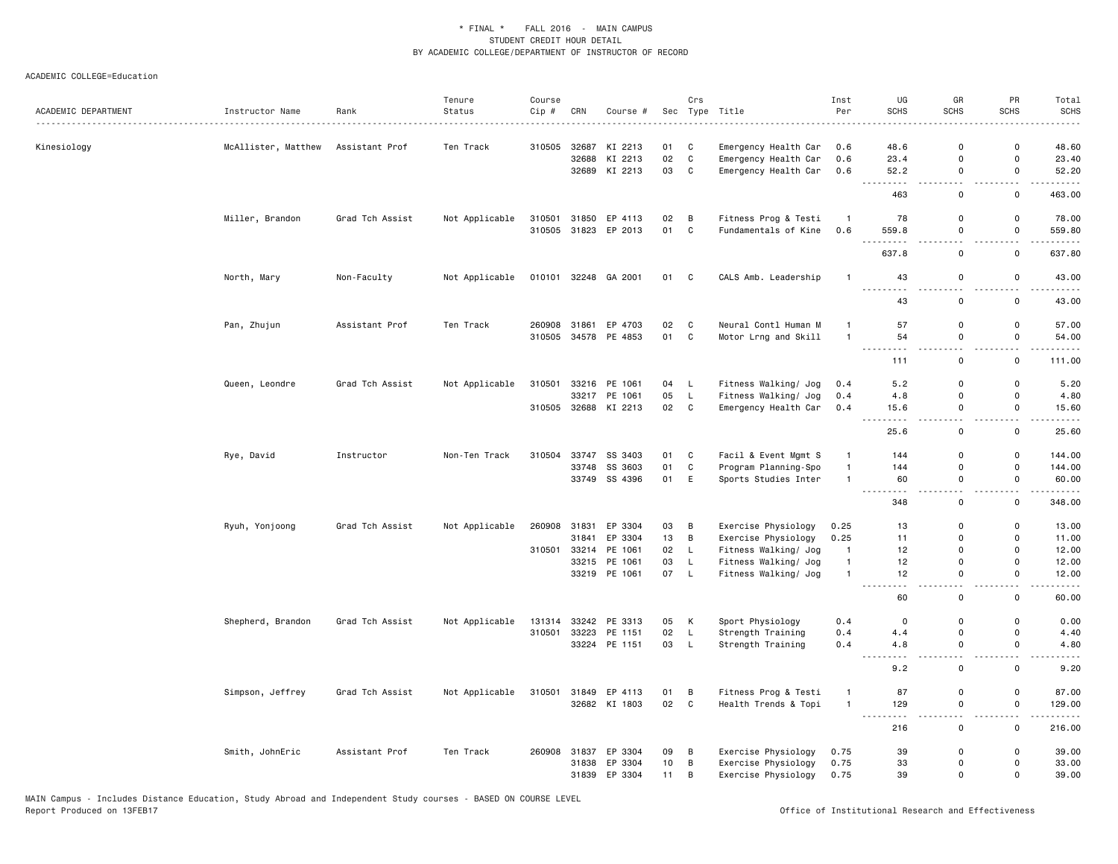| ACADEMIC DEPARTMENT | Instructor Name     | Rank            | Tenure<br>Status | Course<br>Cip # | CRN          | Course #             |      | Crs          | Sec Type Title                               | Inst<br>Per    | UG<br><b>SCHS</b>                                                                                                                                                | GR<br><b>SCHS</b>             | PR<br><b>SCHS</b>                       | Total<br><b>SCHS</b>   |
|---------------------|---------------------|-----------------|------------------|-----------------|--------------|----------------------|------|--------------|----------------------------------------------|----------------|------------------------------------------------------------------------------------------------------------------------------------------------------------------|-------------------------------|-----------------------------------------|------------------------|
|                     |                     | . <u>.</u>      | Ten Track        | 310505          | 32687        | KI 2213              | 01   | C            |                                              | 0.6            | $- - - - -$<br>48.6                                                                                                                                              | $\mathbf 0$                   | 0                                       | 48.60                  |
| Kinesiology         | McAllister, Matthew | Assistant Prof  |                  |                 | 32688        | KI 2213              | 02   | $\mathbf{C}$ | Emergency Health Car<br>Emergency Health Car | 0.6            | 23.4                                                                                                                                                             | $\mathbf 0$                   | $\mathsf 0$                             | 23.40                  |
|                     |                     |                 |                  |                 |              | 32689 KI 2213        | 03   | $\mathbf{C}$ | Emergency Health Car                         | 0.6            | 52.2                                                                                                                                                             | $\mathbf 0$                   | $\mathbf 0$                             | 52.20                  |
|                     |                     |                 |                  |                 |              |                      |      |              |                                              |                | <u>.</u><br>463                                                                                                                                                  | $\sim$<br>0                   | $\sim$<br>0                             | .<br>463.00            |
|                     |                     |                 |                  |                 |              |                      |      |              |                                              |                |                                                                                                                                                                  |                               |                                         |                        |
|                     | Miller, Brandon     | Grad Tch Assist | Not Applicable   |                 | 310501 31850 | EP 4113              | 02   | B            | Fitness Prog & Testi                         | $\overline{1}$ | 78                                                                                                                                                               | $\mathbf 0$                   | $\mathsf{o}$                            | 78.00                  |
|                     |                     |                 |                  |                 |              | 310505 31823 EP 2013 | 01   | C            | Fundamentals of Kine                         | 0.6            | 559.8                                                                                                                                                            | 0                             | 0<br>. .                                | 559.80                 |
|                     |                     |                 |                  |                 |              |                      |      |              |                                              |                | 637.8                                                                                                                                                            | $\mathbf 0$                   | $\mathsf 0$                             | 637.80                 |
|                     | North, Mary         | Non-Faculty     | Not Applicable   |                 |              | 010101 32248 GA 2001 | 01 C |              | CALS Amb. Leadership                         | $\overline{1}$ | 43                                                                                                                                                               | $\mathsf 0$                   | $\mathsf 0$                             | 43.00                  |
|                     |                     |                 |                  |                 |              |                      |      |              |                                              |                | .<br>43                                                                                                                                                          | $\mathbf 0$                   | $\mathsf{o}$                            | 43.00                  |
|                     | Pan, Zhujun         | Assistant Prof  | Ten Track        |                 | 260908 31861 | EP 4703              | 02   | C            | Neural Contl Human M                         | $\mathbf{1}$   | 57                                                                                                                                                               | $\mathbf 0$                   | $\mathsf 0$                             | 57.00                  |
|                     |                     |                 |                  |                 |              | 310505 34578 PE 4853 | 01 C |              | Motor Lrng and Skill                         | $\overline{1}$ | 54                                                                                                                                                               | $\mathbf 0$                   | $\mathsf 0$                             | 54.00                  |
|                     |                     |                 |                  |                 |              |                      |      |              |                                              |                | .<br>111                                                                                                                                                         | $\sim$ $\sim$<br>$\mathsf 0$  | $\sim$ $\sim$<br>$\mathsf 0$            | .<br>111.00            |
|                     |                     |                 |                  |                 |              |                      |      |              |                                              |                |                                                                                                                                                                  |                               |                                         |                        |
|                     | Queen, Leondre      | Grad Tch Assist | Not Applicable   | 310501          |              | 33216 PE 1061        | 04   | L.           | Fitness Walking/ Jog                         | 0.4            | 5.2                                                                                                                                                              | $\mathbf 0$                   | 0                                       | 5.20                   |
|                     |                     |                 |                  |                 |              | 33217 PE 1061        | 05   | L            | Fitness Walking/ Jog                         | 0.4            | 4.8                                                                                                                                                              | $\Omega$                      | 0                                       | 4.80                   |
|                     |                     |                 |                  | 310505          |              | 32688 KI 2213        | 02 C |              | Emergency Health Car                         | 0.4            | 15.6<br>$\sim$ $\sim$                                                                                                                                            | $\mathbf 0$<br>$\sim$         | $\mathsf 0$<br>$\overline{\phantom{a}}$ | 15.60<br>$\frac{1}{2}$ |
|                     |                     |                 |                  |                 |              |                      |      |              |                                              |                | 25.6                                                                                                                                                             | $\mathsf 0$                   | $\mathsf 0$                             | 25.60                  |
|                     | Rye, David          | Instructor      | Non-Ten Track    | 310504          | 33747        | SS 3403              | 01   | C            | Facil & Event Mgmt S                         | 1              | 144                                                                                                                                                              | $\mathbf 0$                   | $\mathsf{o}$                            | 144.00                 |
|                     |                     |                 |                  |                 | 33748        | SS 3603              | 01   | C            | Program Planning-Spo                         | $\overline{1}$ | 144                                                                                                                                                              | $\mathbf 0$                   | $\mathsf 0$                             | 144.00                 |
|                     |                     |                 |                  |                 |              | 33749 SS 4396        | 01   | E            | Sports Studies Inter                         | $\overline{1}$ | 60                                                                                                                                                               | 0                             | 0                                       | 60.00                  |
|                     |                     |                 |                  |                 |              |                      |      |              |                                              |                | .<br>348                                                                                                                                                         | . .<br>$\mathsf 0$            | . .<br>$\mathsf 0$                      | 348.00                 |
|                     | Ryuh, Yonjoong      | Grad Tch Assist | Not Applicable   | 260908          | 31831        | EP 3304              | 03   | B            | Exercise Physiology                          | 0.25           | 13                                                                                                                                                               | $\mathbf 0$                   | 0                                       | 13.00                  |
|                     |                     |                 |                  |                 | 31841        | EP 3304              | 13   | B            | Exercise Physiology                          | 0.25           | 11                                                                                                                                                               | $\mathbf 0$                   | $\mathsf{o}$                            | 11.00                  |
|                     |                     |                 |                  | 310501          |              | 33214 PE 1061        | 02   | L            | Fitness Walking/ Jog                         | $\overline{1}$ | 12                                                                                                                                                               | $\mathbf 0$                   | 0                                       | 12.00                  |
|                     |                     |                 |                  |                 |              | 33215 PE 1061        | 03   | L.           | Fitness Walking/ Jog                         | $\overline{1}$ | 12                                                                                                                                                               | $\Omega$                      | $\mathbf 0$                             | 12.00                  |
|                     |                     |                 |                  |                 |              | 33219 PE 1061        | 07 L |              | Fitness Walking/ Jog                         | $\overline{1}$ | 12                                                                                                                                                               | $\Omega$                      | $\mathbf 0$                             | 12.00                  |
|                     |                     |                 |                  |                 |              |                      |      |              |                                              |                | .<br>60                                                                                                                                                          | $\overline{a}$<br>$\mathbf 0$ | $\overline{\phantom{a}}$<br>$\mathsf 0$ | $\frac{1}{2}$<br>60.00 |
|                     | Shepherd, Brandon   | Grad Tch Assist | Not Applicable   | 131314          |              | 33242 PE 3313        | 05   | К            | Sport Physiology                             | 0.4            | 0                                                                                                                                                                | $\mathbf 0$                   | 0                                       | 0.00                   |
|                     |                     |                 |                  | 310501          | 33223        | PE 1151              | 02   | $\mathsf{L}$ | Strength Training                            | 0.4            | 4.4                                                                                                                                                              | $\Omega$                      | $\mathsf 0$                             | 4.40                   |
|                     |                     |                 |                  |                 |              | 33224 PE 1151        | 03   | L            | Strength Training                            | 0.4            | 4.8                                                                                                                                                              | $\mathbf 0$                   | $\mathbf 0$                             | 4.80                   |
|                     |                     |                 |                  |                 |              |                      |      |              |                                              |                | $\omega$ $\omega$ $\omega$<br>9.2                                                                                                                                | и.<br>$\mathsf 0$             | $\mathsf 0$                             | 9.20                   |
|                     | Simpson, Jeffrey    | Grad Tch Assist | Not Applicable   | 310501          |              | 31849 EP 4113        | 01   | B            | Fitness Prog & Testi                         | $\mathbf{1}$   | 87                                                                                                                                                               | $\mathbf 0$                   | $\mathsf 0$                             | 87.00                  |
|                     |                     |                 |                  |                 |              | 32682 KI 1803        | 02 C |              | Health Trends & Topi                         | $\mathbf{1}$   | 129                                                                                                                                                              | $\mathbf 0$                   | $\mathsf 0$                             | 129.00                 |
|                     |                     |                 |                  |                 |              |                      |      |              |                                              |                | $\frac{1}{2} \left( \frac{1}{2} \right) \left( \frac{1}{2} \right) \left( \frac{1}{2} \right) \left( \frac{1}{2} \right) \left( \frac{1}{2} \right)$<br>.<br>216 | . .<br>$\mathbf 0$            | . .<br>0                                | $\cdots$<br>216.00     |
|                     | Smith, JohnEric     | Assistant Prof  | Ten Track        |                 |              | 260908 31837 EP 3304 | 09   | B            | Exercise Physiology                          | 0.75           | 39                                                                                                                                                               | $\mathbf 0$                   | 0                                       | 39.00                  |
|                     |                     |                 |                  |                 | 31838        | EP 3304              | 10   | B            | Exercise Physiology                          | 0.75           | 33                                                                                                                                                               | $\mathbf 0$                   | 0                                       | 33.00                  |
|                     |                     |                 |                  |                 | 31839        | EP 3304              | 11   | B            | Exercise Physiology                          | 0.75           | 39                                                                                                                                                               | $\mathbf 0$                   | $\mathbf 0$                             | 39.00                  |
|                     |                     |                 |                  |                 |              |                      |      |              |                                              |                |                                                                                                                                                                  |                               |                                         |                        |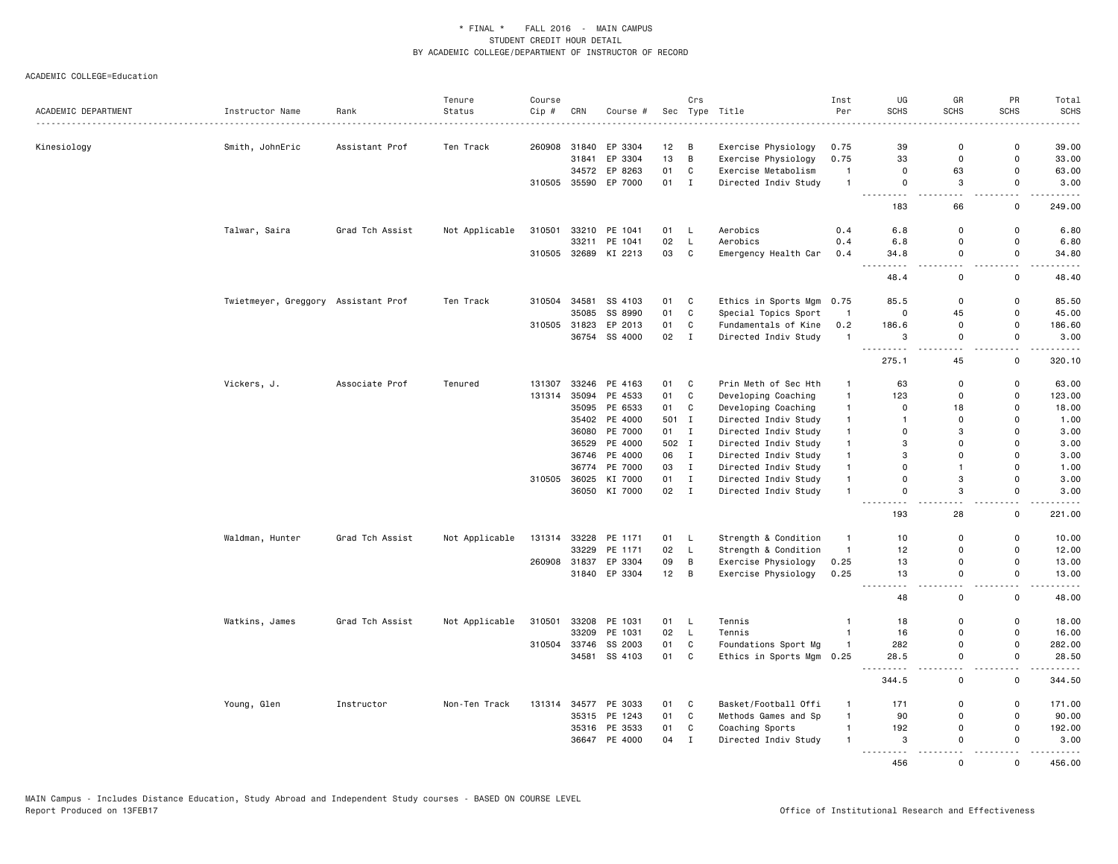|                     |                                     |                 | Tenure         | Course  |       |                      |                 | Crs          |                           | Inst           | UG                                                                                                                                 | GR                 | PR                                      | Total                    |
|---------------------|-------------------------------------|-----------------|----------------|---------|-------|----------------------|-----------------|--------------|---------------------------|----------------|------------------------------------------------------------------------------------------------------------------------------------|--------------------|-----------------------------------------|--------------------------|
| ACADEMIC DEPARTMENT | Instructor Name                     | Rank<br>.       | Status         | $Cip$ # | CRN   | Course #             |                 |              | Sec Type Title            | Per            | SCHS                                                                                                                               | <b>SCHS</b>        | <b>SCHS</b>                             | <b>SCHS</b><br>$- - - -$ |
| Kinesiology         | Smith, JohnEric                     | Assistant Prof  | Ten Track      | 260908  |       | 31840 EP 3304        | 12 <sub>2</sub> | в            | Exercise Physiology       | 0.75           | 39                                                                                                                                 | $\Omega$           | $\mathbf 0$                             | 39.00                    |
|                     |                                     |                 |                |         | 31841 | EP 3304              | 13              | B            | Exercise Physiology       | 0.75           | 33                                                                                                                                 | 0                  | $\mathbf 0$                             | 33.00                    |
|                     |                                     |                 |                |         |       | 34572 EP 8263        | 01              | C            | Exercise Metabolism       | $\mathbf{1}$   | $\mathbf 0$                                                                                                                        | 63                 | 0                                       | 63.00                    |
|                     |                                     |                 |                |         |       | 310505 35590 EP 7000 | 01              | $\mathbf{I}$ | Directed Indiv Study      | $\overline{1}$ | $\mathsf 0$                                                                                                                        | 3                  | $\mathbf 0$                             | 3.00                     |
|                     |                                     |                 |                |         |       |                      |                 |              |                           |                | .<br>183                                                                                                                           | 66                 | 0                                       | 249.00                   |
|                     | Talwar, Saira                       | Grad Tch Assist | Not Applicable | 310501  |       | 33210 PE 1041        | 01              | L.           | Aerobics                  | 0.4            | 6.8                                                                                                                                | $\mathbf 0$        | $\mathbf 0$                             | 6.80                     |
|                     |                                     |                 |                |         | 33211 | PE 1041              | 02              | $\mathsf L$  | Aerobics                  | 0.4            | 6.8                                                                                                                                | $\mathbf 0$        | $\mathbf 0$                             | 6.80                     |
|                     |                                     |                 |                |         |       | 310505 32689 KI 2213 | 03              | C            | Emergency Health Car      | 0.4            | 34.8<br>$\sim$ $\sim$ $\sim$                                                                                                       | $\mathbf 0$        | $\mathsf{o}$                            | 34.80                    |
|                     |                                     |                 |                |         |       |                      |                 |              |                           |                | 48.4                                                                                                                               | $\mathbf 0$        | $\mathsf{o}$                            | 48.40                    |
|                     | Twietmeyer, Greggory Assistant Prof |                 | Ten Track      | 310504  | 34581 | SS 4103              | 01              | C            | Ethics in Sports Mgm 0.75 |                | 85.5                                                                                                                               | 0                  | $\Omega$                                | 85.50                    |
|                     |                                     |                 |                |         | 35085 | SS 8990              | 01              | $\mathbb{C}$ | Special Topics Sport      | $\overline{1}$ | $\mathbf 0$                                                                                                                        | 45                 | $\mathbf 0$                             | 45.00                    |
|                     |                                     |                 |                | 310505  | 31823 | EP 2013              | 01              | C            | Fundamentals of Kine      | 0.2            | 186.6                                                                                                                              | 0                  | 0                                       | 186.60                   |
|                     |                                     |                 |                |         |       | 36754 SS 4000        | 02              | $\mathbf I$  | Directed Indiv Study      | $\overline{1}$ | 3                                                                                                                                  | 0                  | $\mathsf 0$                             | 3.00                     |
|                     |                                     |                 |                |         |       |                      |                 |              |                           |                | $\frac{1}{2} \left( \frac{1}{2} \right) \left( \frac{1}{2} \right) \left( \frac{1}{2} \right) \left( \frac{1}{2} \right)$<br>275.1 | $ -$<br>45         | $\overline{\phantom{a}}$<br>$\mathbf 0$ | .<br>320.10              |
|                     | Vickers, J.                         | Associate Prof  | Tenured        | 131307  |       | 33246 PE 4163        | 01              | C            | Prin Meth of Sec Hth      | $\mathbf{1}$   | 63                                                                                                                                 | $\Omega$           | $\Omega$                                | 63.00                    |
|                     |                                     |                 |                | 131314  | 35094 | PE 4533              | 01              | C            | Developing Coaching       | $\mathbf{1}$   | 123                                                                                                                                | $\Omega$           | 0                                       | 123.00                   |
|                     |                                     |                 |                |         |       | 35095 PE 6533        | 01              | C            | Developing Coaching       | $\mathbf{1}$   | $\mathbf 0$                                                                                                                        | 18                 | $\mathbf 0$                             | 18.00                    |
|                     |                                     |                 |                |         |       | 35402 PE 4000        | 501             | I            | Directed Indiv Study      | $\mathbf{1}$   | $\mathbf{1}$                                                                                                                       | $\Omega$           | $\Omega$                                | 1.00                     |
|                     |                                     |                 |                |         |       | 36080 PE 7000        | 01              | $\mathbf{I}$ | Directed Indiv Study      | $\mathbf{1}$   | $\mathbf 0$                                                                                                                        | 3                  | $\Omega$                                | 3.00                     |
|                     |                                     |                 |                |         |       | 36529 PE 4000        | 502 I           |              | Directed Indiv Study      | $\mathbf{1}$   | 3                                                                                                                                  | $\Omega$           | $\Omega$                                | 3.00                     |
|                     |                                     |                 |                |         |       | 36746 PE 4000        | 06              | $\mathbf{I}$ | Directed Indiv Study      | $\mathbf{1}$   | 3                                                                                                                                  | $\Omega$           | 0                                       | 3.00                     |
|                     |                                     |                 |                |         | 36774 | PE 7000              | 03              | $\mathbf{I}$ | Directed Indiv Study      | $\mathbf{1}$   | $\mathbf 0$                                                                                                                        | $\mathbf{1}$       | $\mathbf 0$                             | 1.00                     |
|                     |                                     |                 |                | 310505  |       | 36025 KI 7000        | 01              | $\mathbf{I}$ | Directed Indiv Study      | $\mathbf{1}$   | $\mathbf 0$                                                                                                                        | 3                  | $\Omega$                                | 3.00                     |
|                     |                                     |                 |                |         |       | 36050 KI 7000        | 02 I            |              | Directed Indiv Study      | $\mathbf{1}$   | $\mathsf 0$                                                                                                                        | 3                  | $\mathsf{o}$                            | 3.00                     |
|                     |                                     |                 |                |         |       |                      |                 |              |                           |                | $\sim$ $\sim$ $\sim$<br>$\sim$ $\sim$<br>193                                                                                       | . .<br>28          | 0                                       | .<br>221.00              |
|                     | Waldman, Hunter                     | Grad Tch Assist | Not Applicable |         |       | 131314 33228 PE 1171 | 01              | - L          | Strength & Condition      | $\mathbf{1}$   | 10                                                                                                                                 | 0                  | 0                                       | 10.00                    |
|                     |                                     |                 |                |         | 33229 | PE 1171              | 02              | $\mathsf L$  | Strength & Condition      | $\mathbf{1}$   | 12                                                                                                                                 | $\Omega$           | $\mathsf{o}$                            | 12.00                    |
|                     |                                     |                 |                | 260908  | 31837 | EP 3304              | 09              | B            | Exercise Physiology       | 0.25           | 13                                                                                                                                 | $\Omega$           | $\Omega$                                | 13.00                    |
|                     |                                     |                 |                |         |       | 31840 EP 3304        | 12              | B            | Exercise Physiology       | 0.25           | 13<br>$\sim$ $\sim$                                                                                                                | $\mathbf 0$<br>$-$ | $\mathsf{o}$<br>$ -$                    | 13.00<br>$- - - -$       |
|                     |                                     |                 |                |         |       |                      |                 |              |                           |                | 48                                                                                                                                 | 0                  | 0                                       | 48.00                    |
|                     | Watkins, James                      | Grad Tch Assist | Not Applicable | 310501  |       | 33208 PE 1031        | 01              | L.           | Tennis                    | $\mathbf{1}$   | 18                                                                                                                                 | $\mathbf 0$        | $\mathbf 0$                             | 18.00                    |
|                     |                                     |                 |                |         |       | 33209 PE 1031        | 02              | L            | Tennis                    | $\overline{1}$ | 16                                                                                                                                 | $\mathbf 0$        | 0                                       | 16.00                    |
|                     |                                     |                 |                | 310504  |       | 33746 SS 2003        | 01              | $\mathbb{C}$ | Foundations Sport Mg      | $\overline{1}$ | 282                                                                                                                                | $\mathbf 0$        | $\mathsf 0$                             | 282.00                   |
|                     |                                     |                 |                |         | 34581 | SS 4103              | 01              | $\mathtt{C}$ | Ethics in Sports Mgm 0.25 |                | 28.5                                                                                                                               | $\Omega$<br>$\sim$ | $\Omega$<br>$\sim$ $\sim$               | 28.50<br>.               |
|                     |                                     |                 |                |         |       |                      |                 |              |                           |                | 344.5                                                                                                                              | $\mathbf 0$        | $\mathsf 0$                             | 344.50                   |
|                     | Young, Glen                         | Instructor      | Non-Ten Track  | 131314  |       | 34577 PE 3033        | 01              | C            | Basket/Football Offi      | $\overline{1}$ | 171                                                                                                                                | $\Omega$           | 0                                       | 171.00                   |
|                     |                                     |                 |                |         |       | 35315 PE 1243        | 01              | $\mathtt{C}$ | Methods Games and Sp      | $\mathbf{1}$   | 90                                                                                                                                 | $\mathbf 0$        | $\mathsf 0$                             | 90.00                    |
|                     |                                     |                 |                |         |       | 35316 PE 3533        | 01              | C            | Coaching Sports           | $\mathbf{1}$   | 192                                                                                                                                | $\Omega$           | $\Omega$                                | 192.00                   |
|                     |                                     |                 |                |         |       | 36647 PE 4000        | 04              | $\mathbf I$  | Directed Indiv Study      | $\mathbf{1}$   | 3<br>2.2.2.2.2                                                                                                                     | $\Omega$           | $\Omega$                                | 3.00                     |
|                     |                                     |                 |                |         |       |                      |                 |              |                           |                | 456                                                                                                                                | $\Omega$           | $\Omega$                                | 456.00                   |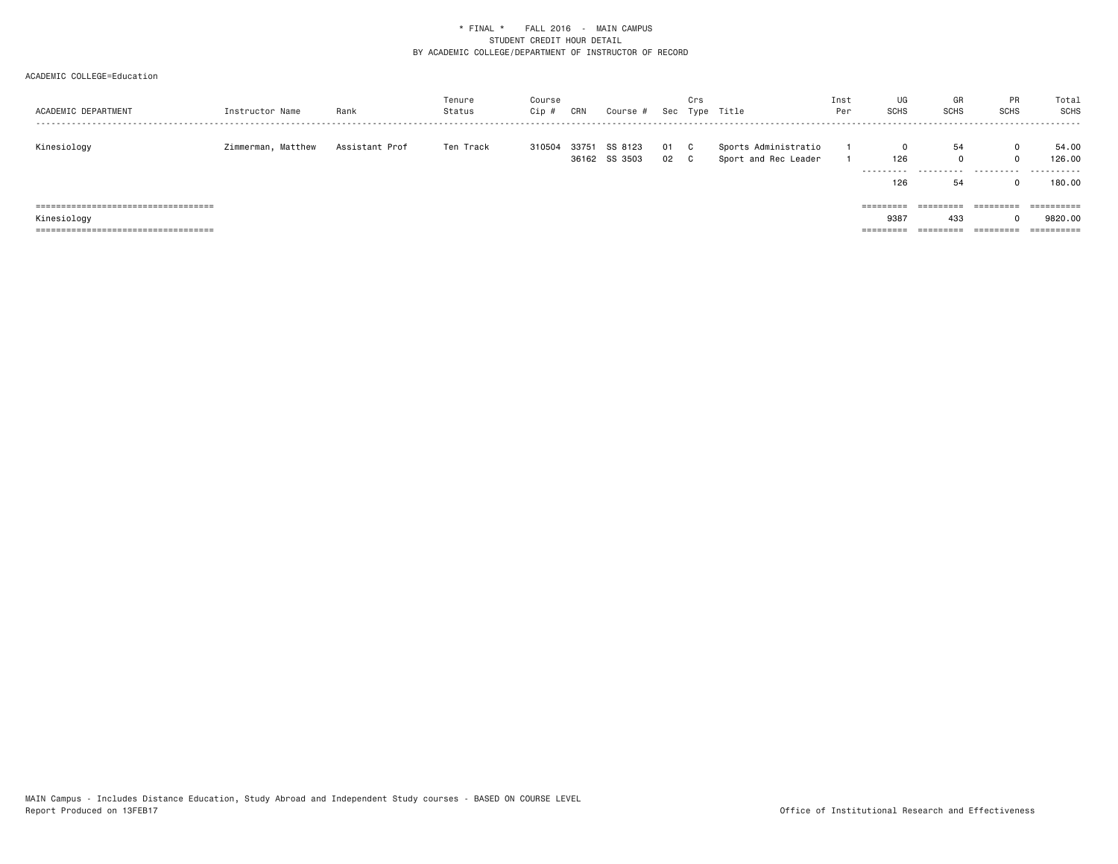| ACADEMIC DEPARTMENT                   | Instructor Name    | Rank           | Tenure<br>Status | Course<br>Cip # | CRN | Course #                       |          | Crs       | Sec Type Title                               | Inst<br>Per | UG<br><b>SCHS</b> | GR<br><b>SCHS</b>       | <b>PR</b><br>SCHS  | Total<br>SCHS<br>- - - - - - - |
|---------------------------------------|--------------------|----------------|------------------|-----------------|-----|--------------------------------|----------|-----------|----------------------------------------------|-------------|-------------------|-------------------------|--------------------|--------------------------------|
| Kinesiology                           | Zimmerman, Matthew | Assistant Prof | Ten Track        | 310504          |     | 33751 SS 8123<br>36162 SS 3503 | 01<br>02 | - C<br>C. | Sports Administratio<br>Sport and Rec Leader |             | 126<br>---------- | 54<br>.                 | $\Omega$<br>0<br>. | 54.00<br>126,00<br>.           |
|                                       |                    |                |                  |                 |     |                                |          |           |                                              |             | 126               | 54                      |                    | 180.00                         |
| ====================================  |                    |                |                  |                 |     |                                |          |           |                                              |             | =========         | ----------<br>--------- |                    |                                |
| Kinesiology                           |                    |                |                  |                 |     |                                |          |           |                                              |             | 9387              | 433                     |                    | 9820,00                        |
| ===================================== |                    |                |                  |                 |     |                                |          |           |                                              |             | ---------         | =========               | =========          |                                |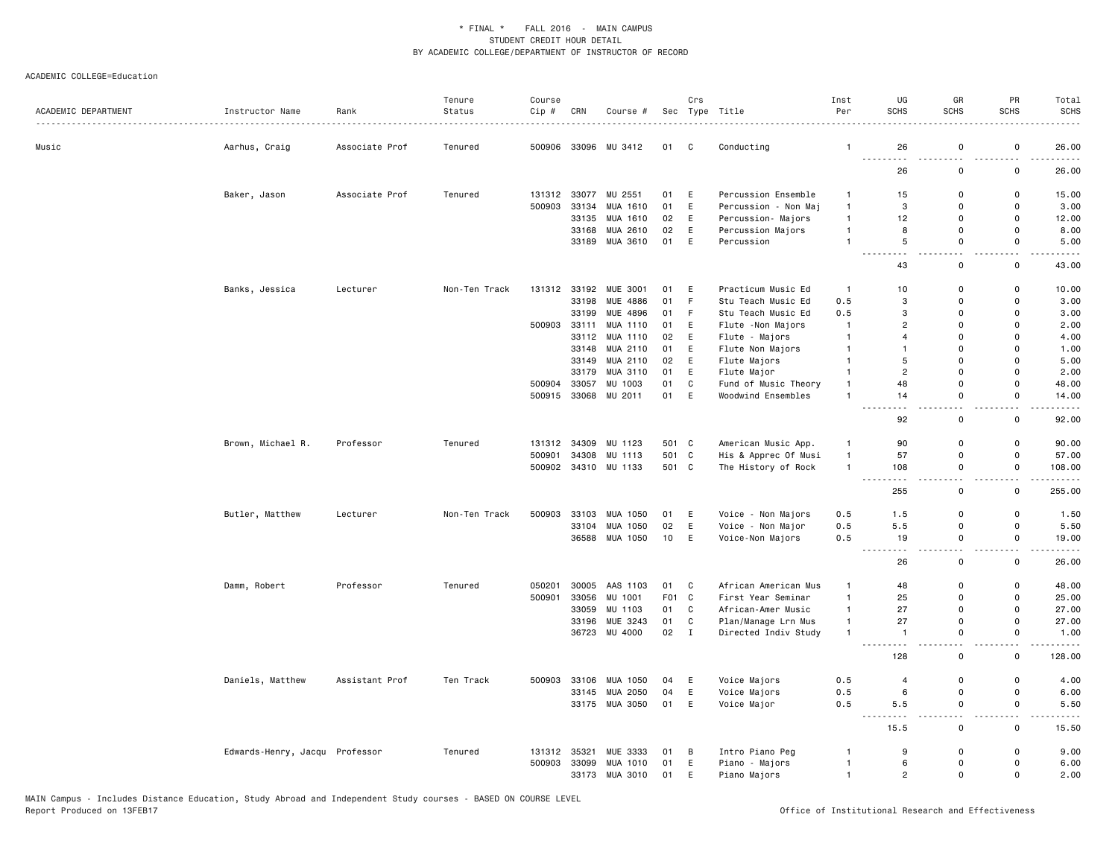|                     |                                |                | Tenure        | Course |       |                       |                  | Crs          |                      | Inst         | UG                      | GR                           | PR                        | Total                 |
|---------------------|--------------------------------|----------------|---------------|--------|-------|-----------------------|------------------|--------------|----------------------|--------------|-------------------------|------------------------------|---------------------------|-----------------------|
| ACADEMIC DEPARTMENT | Instructor Name                | Rank           | Status        | Cip #  | CRN   | Course #              | Sec              |              | Type Title           | Per          | <b>SCHS</b>             | SCHS                         | SCHS                      | <b>SCHS</b>           |
| Music               | Aarhus, Craig                  | Associate Prof | Tenured       | 500906 | 33096 | MU 3412               | 01               | C            | Conducting           | $\mathbf{1}$ | 26                      | $\mathbf 0$                  | 0                         | 26.00                 |
|                     |                                |                |               |        |       |                       |                  |              |                      |              | 26                      | 0                            | 0                         | 26.00                 |
|                     | Baker, Jason                   | Associate Prof | Tenured       | 131312 | 33077 | MU 2551               | 01               | E            | Percussion Ensemble  | -1           | 15                      | $\Omega$                     | 0                         | 15.00                 |
|                     |                                |                |               | 500903 | 33134 | MUA 1610              | 01               | E            | Percussion - Non Maj | $\mathbf{1}$ | 3                       | $\mathbf 0$                  | 0                         | 3.00                  |
|                     |                                |                |               |        | 33135 | MUA 1610              | 02               | E            | Percussion- Majors   | $\mathbf{1}$ | 12                      | $\mathbf 0$                  | 0                         | 12.00                 |
|                     |                                |                |               |        | 33168 | MUA 2610              | 02               | E            | Percussion Majors    | $\mathbf{1}$ | 8                       | $\mathbf 0$                  | 0                         | 8.00                  |
|                     |                                |                |               |        | 33189 | MUA 3610              | 01               | E            | Percussion           | $\mathbf{1}$ | $\,$ 5 $\,$<br>$-1$     | $\mathbf 0$<br>a an          | $\mathsf{o}$<br>$\sim$    | 5.00<br>.             |
|                     |                                |                |               |        |       |                       |                  |              |                      |              | 43                      | $\mathsf 0$                  | 0                         | 43.00                 |
|                     | Banks, Jessica                 | Lecturer       | Non-Ten Track |        |       | 131312 33192 MUE 3001 | 01               | Ε            | Practicum Music Ed   | $\mathbf{1}$ | 10                      | 0                            | 0                         | 10.00                 |
|                     |                                |                |               |        | 33198 | <b>MUE 4886</b>       | 01               | F            | Stu Teach Music Ed   | 0.5          | 3                       | $\Omega$                     | 0                         | 3.00                  |
|                     |                                |                |               |        | 33199 | <b>MUE 4896</b>       | 01               | F            | Stu Teach Music Ed   | 0.5          | 3                       | $\mathbf 0$                  | 0                         | 3.00                  |
|                     |                                |                |               | 500903 | 33111 | MUA 1110              | 01               | E            | Flute - Non Majors   | $\mathbf{1}$ | $\overline{2}$          | 0                            | 0                         | 2.00                  |
|                     |                                |                |               |        | 33112 | MUA 1110              | 02               | E            | Flute - Majors       | $\mathbf{1}$ | $\overline{\mathbf{A}}$ | $\mathbf{0}$                 | $\Omega$                  | 4.00                  |
|                     |                                |                |               |        | 33148 | MUA 2110              | 01               | E            | Flute Non Majors     | -1           | $\mathbf{1}$            | $\mathbf 0$                  | 0                         | 1.00                  |
|                     |                                |                |               |        | 33149 | MUA 2110              | 02               | E            | Flute Majors         | $\mathbf{1}$ | 5                       | $\mathbf 0$                  | 0                         | 5.00                  |
|                     |                                |                |               |        | 33179 | MUA 3110              | 01               | E            | Flute Major          | $\mathbf{1}$ | $\overline{2}$          | $\mathbf 0$                  | 0                         | 2.00                  |
|                     |                                |                |               | 500904 | 33057 | MU 1003               | 01               | C            | Fund of Music Theory | $\mathbf{1}$ | 48                      | $\Omega$                     | 0                         | 48.00                 |
|                     |                                |                |               |        |       | 500915 33068 MU 2011  | 01               | E            | Woodwind Ensembles   | $\mathbf{1}$ | 14                      | $\mathbf 0$                  | $\mathsf{o}$              | 14.00<br>.            |
|                     |                                |                |               |        |       |                       |                  |              |                      |              | 92                      | 0                            | 0                         | 92.00                 |
|                     | Brown, Michael R.              | Professor      | Tenured       | 131312 | 34309 | MU 1123               | 501 C            |              | American Music App.  | $\mathbf{1}$ | 90                      | 0                            | 0                         | 90.00                 |
|                     |                                |                |               | 500901 | 34308 | MU 1113               | 501 C            |              | His & Apprec Of Musi | $\mathbf{1}$ | 57                      | $\mathbf 0$                  | 0                         | 57.00                 |
|                     |                                |                |               | 500902 |       | 34310 MU 1133         | 501 C            |              | The History of Rock  | $\mathbf{1}$ | 108<br>---------        | 0<br>$-$                     | $\mathsf{o}\,$<br>.       | 108.00<br>.           |
|                     |                                |                |               |        |       |                       |                  |              |                      |              | 255                     | 0                            | 0                         | 255.00                |
|                     | Butler, Matthew                | Lecturer       | Non-Ten Track | 500903 | 33103 | MUA 1050              | 01               | Ε            | Voice - Non Majors   | 0.5          | 1.5                     | 0                            | 0                         | 1.50                  |
|                     |                                |                |               |        | 33104 | MUA 1050              | 02               | E            | Voice - Non Major    | 0.5          | 5.5                     | 0                            | 0                         | 5.50                  |
|                     |                                |                |               |        |       | 36588 MUA 1050        | 10               | E            | Voice-Non Majors     | 0.5          | 19<br><u>.</u>          | $\mathbf 0$<br>$\sim$ $\sim$ | 0<br>$\sim$ $\sim$ $\sim$ | 19.00<br>.            |
|                     |                                |                |               |        |       |                       |                  |              |                      |              | 26                      | $\mathbf 0$                  | $\mathbf 0$               | 26.00                 |
|                     | Damm, Robert                   | Professor      | Tenured       | 050201 | 30005 | AAS 1103              | 01               | C            | African American Mus | $\mathbf{1}$ | 48                      | 0                            | 0                         | 48.00                 |
|                     |                                |                |               | 500901 | 33056 | MU 1001               | F <sub>0</sub> 1 | C            | First Year Seminar   | $\mathbf{1}$ | 25                      | 0                            | 0                         | 25.00                 |
|                     |                                |                |               |        | 33059 | MU 1103               | 01               | $\mathbf C$  | African-Amer Music   | $\mathbf{1}$ | 27                      | $\mathbf 0$                  | $\mathsf{o}$              | 27.00                 |
|                     |                                |                |               |        |       | 33196 MUE 3243        | 01               | C            | Plan/Manage Lrn Mus  | $\mathbf{1}$ | 27                      | 0                            | 0                         | 27.00                 |
|                     |                                |                |               |        | 36723 | MU 4000               | 02               | $\mathbf{I}$ | Directed Indiv Study | $\mathbf{1}$ | $\mathbf{1}$            | 0                            | 0<br>$\sim$ $\sim$        | 1.00<br>.             |
|                     |                                |                |               |        |       |                       |                  |              |                      |              | 128                     | $\mathbf 0$                  | 0                         | 128.00                |
|                     | Daniels, Matthew               | Assistant Prof | Ten Track     | 500903 | 33106 | MUA 1050              | 04               | E            | Voice Majors         | 0.5          | $\overline{4}$          | 0                            | 0                         | 4.00                  |
|                     |                                |                |               |        | 33145 | MUA 2050              | 04               | E            | Voice Majors         | 0.5          | 6                       | 0                            | 0                         | 6.00                  |
|                     |                                |                |               |        |       | 33175 MUA 3050        | 01               | $\mathsf E$  | Voice Major          | 0.5          | 5.5<br>.                | $\mathsf 0$                  | $\mathsf 0$<br>.          | 5.50<br>$\frac{1}{2}$ |
|                     |                                |                |               |        |       |                       |                  |              |                      |              | 15.5                    | 0                            | 0                         | 15.50                 |
|                     | Edwards-Henry, Jacqu Professor |                | Tenured       | 131312 | 35321 | MUE 3333              | 01               | В            | Intro Piano Peg      | -1           | 9                       | 0                            | 0                         | 9.00                  |
|                     |                                |                |               | 500903 | 33099 | MUA 1010              | 01               | E            | Piano - Majors       | $\mathbf{1}$ | 6                       | $\mathbf 0$                  | $\mathsf{o}$              | 6.00                  |
|                     |                                |                |               |        | 33173 | MUA 3010              | 01               | E            | Piano Majors         | $\mathbf{1}$ | $\overline{2}$          | $\mathbf{0}$                 | $\Omega$                  | 2.00                  |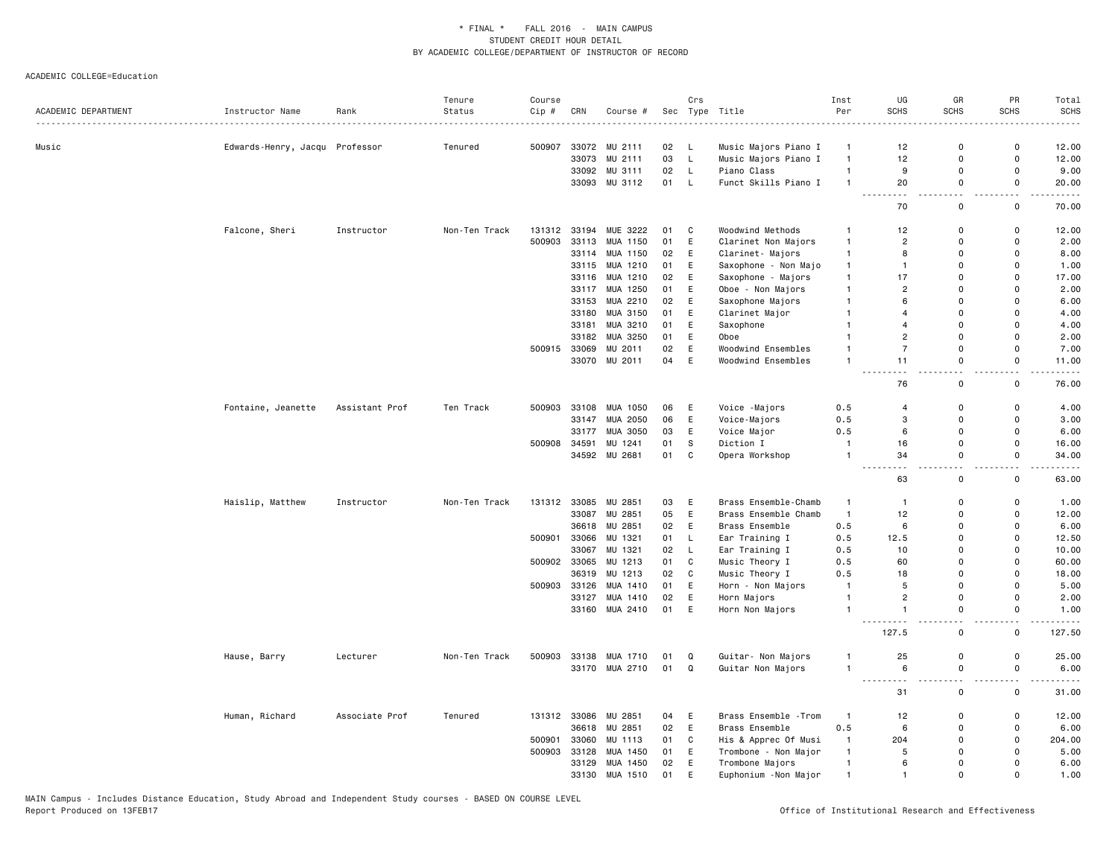| ACADEMIC DEPARTMENT | Instructor Name                | Rank           | Tenure<br>Status | Course<br>Cip # | CRN          | Course #       |    | Crs         | Sec Type Title        | Inst<br>Per    | UG<br>SCHS                         | GR<br><b>SCHS</b>     | PR<br><b>SCHS</b>  | Total<br><b>SCHS</b>                                                                                                               |
|---------------------|--------------------------------|----------------|------------------|-----------------|--------------|----------------|----|-------------|-----------------------|----------------|------------------------------------|-----------------------|--------------------|------------------------------------------------------------------------------------------------------------------------------------|
|                     |                                |                |                  |                 |              |                |    |             |                       |                |                                    |                       |                    |                                                                                                                                    |
| Music               | Edwards-Henry, Jacqu Professor |                | Tenured          | 500907          |              | 33072 MU 2111  | 02 | - L         | Music Majors Piano I  | -1             | 12                                 | $\Omega$              | 0                  | 12.00                                                                                                                              |
|                     |                                |                |                  |                 | 33073        | MU 2111        | 03 | L.          | Music Majors Piano I  | $\mathbf{1}$   | 12                                 | 0                     | $\mathsf 0$        | 12.00                                                                                                                              |
|                     |                                |                |                  |                 |              | 33092 MU 3111  | 02 | L           | Piano Class           | $\mathbf{1}$   | 9                                  | $\Omega$              | $\Omega$           | 9.00                                                                                                                               |
|                     |                                |                |                  |                 |              | 33093 MU 3112  | 01 | L           | Funct Skills Piano I  | $\overline{1}$ | 20<br>$\sim$ $\sim$                | 0                     | 0                  | 20.00                                                                                                                              |
|                     |                                |                |                  |                 |              |                |    |             |                       |                | 70                                 | $\mathbf 0$           | $\mathbf 0$        | 70.00                                                                                                                              |
|                     | Falcone, Sheri                 | Instructor     | Non-Ten Track    | 131312          | 33194        | MUE 3222       | 01 | C           | Woodwind Methods      | -1             | 12                                 | $\Omega$              | 0                  | 12.00                                                                                                                              |
|                     |                                |                |                  | 500903          | 33113        | MUA 1150       | 01 | E           | Clarinet Non Majors   | $\mathbf{1}$   | $\overline{c}$                     | $\Omega$              | 0                  | 2.00                                                                                                                               |
|                     |                                |                |                  |                 | 33114        | MUA 1150       | 02 | E           | Clarinet- Majors      | $\mathbf{1}$   | 8                                  | $\Omega$              | $\mathbf 0$        | 8.00                                                                                                                               |
|                     |                                |                |                  |                 |              | 33115 MUA 1210 | 01 | E           | Saxophone - Non Majo  | $\mathbf{1}$   | $\mathbf{1}$                       | $\Omega$              | 0                  | 1.00                                                                                                                               |
|                     |                                |                |                  |                 | 33116        | MUA 1210       | 02 | E           | Saxophone - Majors    | $\overline{1}$ | 17                                 | $\Omega$              | $\Omega$           | 17.00                                                                                                                              |
|                     |                                |                |                  |                 |              | 33117 MUA 1250 | 01 | E           | Oboe - Non Majors     | $\overline{1}$ | $\overline{2}$                     | $\Omega$              | $\Omega$           | 2.00                                                                                                                               |
|                     |                                |                |                  |                 | 33153        | MUA 2210       | 02 | E           | Saxophone Majors      | $\overline{1}$ | 6                                  | $\Omega$              | $\mathsf{o}$       | 6.00                                                                                                                               |
|                     |                                |                |                  |                 | 33180        | MUA 3150       | 01 | E           | Clarinet Major        | $\mathbf{1}$   | $\overline{4}$                     | $\Omega$              | $\Omega$           | 4.00                                                                                                                               |
|                     |                                |                |                  |                 | 33181        | MUA 3210       | 01 | E           | Saxophone             | $\mathbf{1}$   | $\overline{4}$                     | $\Omega$              | $\mathbf 0$        | 4.00                                                                                                                               |
|                     |                                |                |                  |                 | 33182        | MUA 3250       | 01 | E           | Oboe                  | $\overline{1}$ | $\overline{2}$                     | $\Omega$              | $\Omega$           | 2.00                                                                                                                               |
|                     |                                |                |                  | 500915          | 33069        | MU 2011        | 02 | E           | Woodwind Ensembles    | $\overline{1}$ | $\overline{7}$                     | $\Omega$              | $\Omega$           | 7.00                                                                                                                               |
|                     |                                |                |                  |                 |              | 33070 MU 2011  | 04 | E           | Woodwind Ensembles    | $\overline{1}$ | 11                                 | 0                     | 0                  | 11.00                                                                                                                              |
|                     |                                |                |                  |                 |              |                |    |             |                       |                | $\sim$ $\sim$<br>$ -$<br>76        | $ -$<br>0             | $-$<br>$\mathbf 0$ | والمناصبات<br>76.00                                                                                                                |
|                     | Fontaine, Jeanette             | Assistant Prof | Ten Track        | 500903          | 33108        | MUA 1050       | 06 | E           | Voice -Majors         | 0.5            | $\overline{4}$                     | $\Omega$              | $\mathbf 0$        | 4.00                                                                                                                               |
|                     |                                |                |                  |                 | 33147        | MUA 2050       | 06 | $\mathsf E$ | Voice-Majors          | 0.5            | 3                                  | $\Omega$              | $\Omega$           | 3.00                                                                                                                               |
|                     |                                |                |                  |                 | 33177        | MUA 3050       | 03 | E           | Voice Major           | 0.5            | 6                                  | 0                     | $\mathbf 0$        | 6.00                                                                                                                               |
|                     |                                |                |                  | 500908          | 34591        | MU 1241        | 01 | S           | Diction I             | $\mathbf{1}$   | 16                                 | 0                     | 0                  | 16.00                                                                                                                              |
|                     |                                |                |                  |                 |              | 34592 MU 2681  | 01 | $\mathbf C$ | Opera Workshop        | $\overline{1}$ | 34                                 | $\Omega$              | $\Omega$           | 34.00                                                                                                                              |
|                     |                                |                |                  |                 |              |                |    |             |                       |                | 63                                 | 0                     | $-$<br>0           | $\frac{1}{2} \left( \frac{1}{2} \right) \left( \frac{1}{2} \right) \left( \frac{1}{2} \right) \left( \frac{1}{2} \right)$<br>63.00 |
|                     | Haislip, Matthew               | Instructor     | Non-Ten Track    | 131312          | 33085        | MU 2851        | 03 | E           | Brass Ensemble-Chamb  | $\mathbf{1}$   | $\mathbf{1}$                       | $\mathbf 0$           | 0                  | 1.00                                                                                                                               |
|                     |                                |                |                  |                 | 33087        | MU 2851        | 05 | E           | Brass Ensemble Chamb  | $\mathbf{1}$   | 12                                 | $\Omega$              | $\Omega$           | 12.00                                                                                                                              |
|                     |                                |                |                  |                 | 36618        | MU 2851        | 02 | E           | Brass Ensemble        | 0.5            | 6                                  | $\Omega$              | $\mathsf{o}$       | 6.00                                                                                                                               |
|                     |                                |                |                  | 500901          |              | 33066 MU 1321  | 01 | L           | Ear Training I        | 0.5            | 12.5                               | $\Omega$              | $\mathsf{o}$       | 12.50                                                                                                                              |
|                     |                                |                |                  |                 | 33067        | MU 1321        | 02 | L.          | Ear Training I        | 0.5            | 10                                 | $\Omega$              | $\mathbf 0$        | 10.00                                                                                                                              |
|                     |                                |                |                  | 500902          | 33065        | MU 1213        | 01 | C           | Music Theory I        | 0.5            | 60                                 | $\Omega$              | $\mathbf 0$        | 60.00                                                                                                                              |
|                     |                                |                |                  |                 | 36319        | MU 1213        | 02 | C           | Music Theory I        | 0.5            | 18                                 | $\Omega$              | $\Omega$           | 18.00                                                                                                                              |
|                     |                                |                |                  | 500903          | 33126        | MUA 1410       | 01 | E           | Horn - Non Majors     | $\overline{1}$ | 5                                  | $\Omega$              | $\Omega$           | 5.00                                                                                                                               |
|                     |                                |                |                  |                 | 33127        | MUA 1410       | 02 | E           | Horn Majors           | $\overline{1}$ | $\overline{2}$                     | 0                     | $\mathsf{o}$       | 2.00                                                                                                                               |
|                     |                                |                |                  |                 |              | 33160 MUA 2410 | 01 | E           | Horn Non Majors       | $\overline{1}$ | $\mathbf{1}$                       | 0                     | 0                  | 1.00                                                                                                                               |
|                     |                                |                |                  |                 |              |                |    |             |                       |                | $\sim$ $\sim$ $\sim$<br>.<br>127.5 | $\sim$<br>$\mathbf 0$ | $\mathsf 0$        | $- - - -$<br>127.50                                                                                                                |
|                     | Hause, Barry                   | Lecturer       | Non-Ten Track    | 500903          |              | 33138 MUA 1710 | 01 | Q           | Guitar- Non Majors    |                | 25                                 | $\Omega$              | $\mathbf 0$        | 25.00                                                                                                                              |
|                     |                                |                |                  |                 |              | 33170 MUA 2710 | 01 | Q           | Guitar Non Majors     | $\overline{1}$ | 6                                  | 0                     | $\mathsf{o}$       | 6.00                                                                                                                               |
|                     |                                |                |                  |                 |              |                |    |             |                       |                | .                                  |                       | . .                | $\frac{1}{2}$                                                                                                                      |
|                     |                                |                |                  |                 |              |                |    |             |                       |                | 31                                 | $\mathbf 0$           | $\mathbf 0$        | 31.00                                                                                                                              |
|                     | Human, Richard                 | Associate Prof | Tenured          |                 | 131312 33086 | MU 2851        | 04 | E           | Brass Ensemble - Trom | $\mathbf{1}$   | 12                                 | 0                     | 0                  | 12.00                                                                                                                              |
|                     |                                |                |                  |                 | 36618        | MU 2851        | 02 | E           | Brass Ensemble        | 0.5            | 6                                  | $\Omega$              | $\mathbf 0$        | 6.00                                                                                                                               |
|                     |                                |                |                  | 500901          | 33060        | MU 1113        | 01 | C           | His & Apprec Of Musi  | $\mathbf{1}$   | 204                                | $\Omega$              | 0                  | 204.00                                                                                                                             |
|                     |                                |                |                  | 500903          | 33128        | MUA 1450       | 01 | E           | Trombone - Non Major  | $\mathbf{1}$   | 5                                  | $\Omega$              | $\Omega$           | 5.00                                                                                                                               |
|                     |                                |                |                  |                 |              | 33129 MUA 1450 | 02 | E           | Trombone Majors       | $\mathbf{1}$   | 6                                  | $\Omega$              | $\Omega$           | 6.00                                                                                                                               |
|                     |                                |                |                  |                 | 33130        | MUA 1510       | 01 | E           | Euphonium - Non Major | $\overline{1}$ | $\mathbf{1}$                       | $\mathbf{0}$          | $\Omega$           | 1.00                                                                                                                               |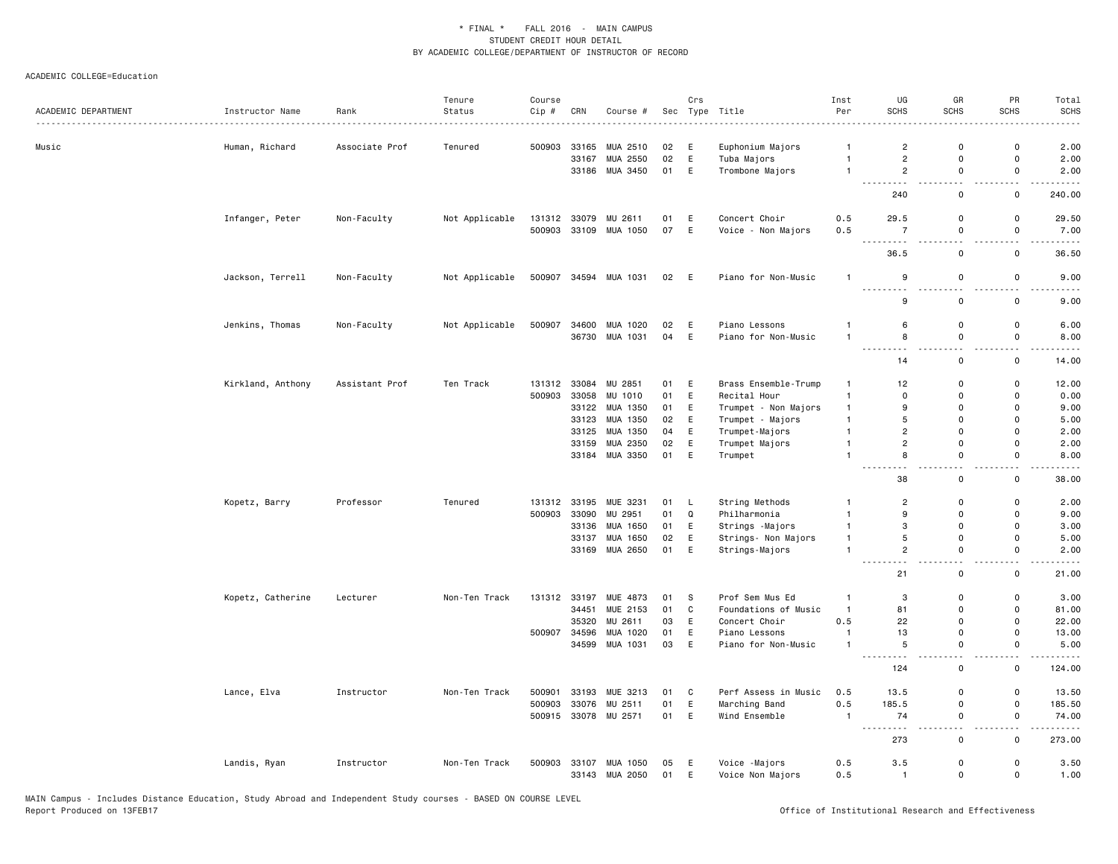| ACADEMIC DEPARTMENT | Instructor Name   | Rank           | Tenure<br>Status | Course<br>Cip # | CRN          | Course #              |      | Crs         | Sec Type Title       | Inst<br>Per    | UG<br>SCHS                                                                                                 | GR<br><b>SCHS</b>  | PR<br><b>SCHS</b>  | Total<br><b>SCHS</b>                  |
|---------------------|-------------------|----------------|------------------|-----------------|--------------|-----------------------|------|-------------|----------------------|----------------|------------------------------------------------------------------------------------------------------------|--------------------|--------------------|---------------------------------------|
|                     |                   |                |                  |                 |              |                       |      |             |                      |                |                                                                                                            |                    |                    |                                       |
| Music               | Human, Richard    | Associate Prof | Tenured          | 500903          | 33165        | MUA 2510              | 02   | Ε           | Euphonium Majors     | $\mathbf{1}$   | $\overline{2}$                                                                                             | 0                  | 0                  | 2.00                                  |
|                     |                   |                |                  |                 | 33167        | MUA 2550              | 02   | E           | Tuba Majors          | $\mathbf{1}$   | $\overline{2}$                                                                                             | $\mathsf 0$        | 0                  | 2.00                                  |
|                     |                   |                |                  |                 |              | 33186 MUA 3450        | 01   | E           | Trombone Majors      | $\mathbf{1}$   | $\overline{2}$                                                                                             | 0                  | 0                  | 2.00                                  |
|                     |                   |                |                  |                 |              |                       |      |             |                      |                | $\frac{1}{2} \left( \frac{1}{2} \right) \left( \frac{1}{2} \right) \left( \frac{1}{2} \right)$<br>.<br>240 | $\mathsf 0$        | $\sim$ $\sim$<br>0 | $\sim$ $\sim$ $\sim$ $\sim$<br>240.00 |
|                     | Infanger, Peter   | Non-Faculty    | Not Applicable   |                 | 131312 33079 | MU 2611               | 01   | E           | Concert Choir        | 0.5            | 29.5                                                                                                       | 0                  | 0                  | 29.50                                 |
|                     |                   |                |                  | 500903          | 33109        | MUA 1050              | 07   | E           | Voice - Non Majors   | 0.5            | $\overline{7}$<br>$\sim$ $\sim$ $\sim$                                                                     | $\mathsf 0$        | 0                  | 7.00<br>$\sim$ $\sim$ $\sim$ $\sim$   |
|                     |                   |                |                  |                 |              |                       |      |             |                      |                | 36.5                                                                                                       | $\mathbf 0$        | $\mathsf 0$        | 36.50                                 |
|                     | Jackson, Terrell  | Non-Faculty    | Not Applicable   |                 |              | 500907 34594 MUA 1031 | 02 E |             | Piano for Non-Music  | $\mathbf{1}$   | 9<br>.                                                                                                     | $\mathsf 0$        | $\mathsf 0$        | 9.00                                  |
|                     |                   |                |                  |                 |              |                       |      |             |                      |                | 9                                                                                                          | $\mathsf 0$        | 0                  | 9.00                                  |
|                     | Jenkins, Thomas   | Non-Faculty    | Not Applicable   | 500907          | 34600        | MUA 1020              | 02   | E           | Piano Lessons        | $\mathbf{1}$   | 6                                                                                                          | 0                  | 0                  | 6.00                                  |
|                     |                   |                |                  |                 | 36730        | MUA 1031              | 04   | E           | Piano for Non-Music  |                | 8                                                                                                          | $\mathbf 0$        | $\mathsf{o}$       | 8.00                                  |
|                     |                   |                |                  |                 |              |                       |      |             |                      |                | ---------<br>14                                                                                            | $\sim$ $\sim$<br>0 | .<br>0             | وعاديات<br>14.00                      |
|                     | Kirkland, Anthony | Assistant Prof | Ten Track        | 131312          | 33084        | MU 2851               | 01   | E           | Brass Ensemble-Trump | -1             | 12                                                                                                         | $\mathbf 0$        | 0                  | 12.00                                 |
|                     |                   |                |                  | 500903          | 33058        | MU 1010               | 01   | E           | Recital Hour         | $\mathbf{1}$   | $\mathbf 0$                                                                                                | $\mathbf 0$        | 0                  | 0.00                                  |
|                     |                   |                |                  |                 | 33122        | MUA 1350              | 01   | E           | Trumpet - Non Majors | $\mathbf{1}$   | 9                                                                                                          | $\mathbf 0$        | 0                  | 9.00                                  |
|                     |                   |                |                  |                 | 33123        | MUA 1350              | 02   | E           | Trumpet - Majors     | $\mathbf{1}$   | 5                                                                                                          | $\mathbf 0$        | 0                  | 5.00                                  |
|                     |                   |                |                  |                 | 33125        | MUA 1350              | 04   | E           | Trumpet-Majors       | $\mathbf{1}$   | $\overline{c}$                                                                                             | 0                  | 0                  | 2.00                                  |
|                     |                   |                |                  |                 | 33159        | MUA 2350              | 02   | E           | Trumpet Majors       | $\mathbf{1}$   | $\overline{2}$                                                                                             | $\mathbf 0$        | $\mathsf{o}$       | 2.00                                  |
|                     |                   |                |                  |                 |              | 33184 MUA 3350        | 01   | E           | Trumpet              | $\mathbf{1}$   | 8                                                                                                          | $\mathsf 0$        | $\mathsf{o}\,$     | 8.00                                  |
|                     |                   |                |                  |                 |              |                       |      |             |                      |                | 38                                                                                                         | 0                  | 0                  | 38.00                                 |
|                     | Kopetz, Barry     | Professor      | Tenured          | 131312          | 33195        | MUE 3231              | 01   | L           | String Methods       | -1             | $\overline{2}$                                                                                             | $\mathbf 0$        | $\mathsf{o}$       | 2.00                                  |
|                     |                   |                |                  | 500903          | 33090        | MU 2951               | 01   | Q           | Philharmonia         | $\mathbf{1}$   | 9                                                                                                          | $\mathbf 0$        | $\mathsf{o}$       | 9.00                                  |
|                     |                   |                |                  |                 | 33136        | MUA 1650              | 01   | E           | Strings - Majors     | $\mathbf{1}$   | 3                                                                                                          | $\mathbf 0$        | $\mathsf{o}$       | 3.00                                  |
|                     |                   |                |                  |                 | 33137        | MUA 1650              | 02   | E           | Strings- Non Majors  | $\mathbf{1}$   | 5                                                                                                          | $\mathsf 0$        | $\mathsf{o}\,$     | 5.00                                  |
|                     |                   |                |                  |                 | 33169        | MUA 2650              | 01   | $\mathsf E$ | Strings-Majors       | $\mathbf{1}$   | $\overline{c}$                                                                                             | 0                  | 0                  | 2.00                                  |
|                     |                   |                |                  |                 |              |                       |      |             |                      |                | 21                                                                                                         | 0                  | 0                  | $\sim 100$<br>21.00                   |
|                     | Kopetz, Catherine | Lecturer       | Non-Ten Track    | 131312          | 33197        | MUE 4873              | 01   | s           | Prof Sem Mus Ed      | $\mathbf{1}$   | 3                                                                                                          | 0                  | 0                  | 3.00                                  |
|                     |                   |                |                  |                 | 34451        | MUE 2153              | 01   | $\mathbf C$ | Foundations of Music | $\overline{1}$ | 81                                                                                                         | $\mathsf 0$        | 0                  | 81.00                                 |
|                     |                   |                |                  |                 | 35320        | MU 2611               | 03   | E           | Concert Choir        | 0.5            | 22                                                                                                         | $\mathbf 0$        | $\mathsf{o}$       | 22.00                                 |
|                     |                   |                |                  | 500907          | 34596        | MUA 1020              | 01   | E           | Piano Lessons        | $\overline{1}$ | 13                                                                                                         | $\mathbf 0$        | $\mathsf{o}$       | 13.00                                 |
|                     |                   |                |                  |                 | 34599        | MUA 1031              | 03   | E           | Piano for Non-Music  | $\mathbf{1}$   | 5                                                                                                          | 0                  | 0                  | 5.00                                  |
|                     |                   |                |                  |                 |              |                       |      |             |                      |                | $- - -$<br>124                                                                                             | 0                  | 0                  | 124.00                                |
|                     | Lance, Elva       | Instructor     | Non-Ten Track    | 500901          | 33193        | MUE 3213              | 01   | $\mathbf C$ | Perf Assess in Music | 0.5            | 13.5                                                                                                       | $\mathsf 0$        | $\mathsf{o}\,$     | 13.50                                 |
|                     |                   |                |                  | 500903          | 33076        | MU 2511               | 01   | E           | Marching Band        | 0.5            | 185.5                                                                                                      | $\mathsf 0$        | $\mathsf{o}\,$     | 185.50                                |
|                     |                   |                |                  | 500915          | 33078        | MU 2571               | 01   | E           | Wind Ensemble        | $\mathbf{1}$   | 74<br>.<br>$\frac{1}{2}$                                                                                   | 0<br>$\sim$ $\sim$ | 0<br>$\sim$        | 74.00<br>.                            |
|                     |                   |                |                  |                 |              |                       |      |             |                      |                | 273                                                                                                        | $\mathbf 0$        | $\mathsf{o}\,$     | 273.00                                |
|                     | Landis, Ryan      | Instructor     | Non-Ten Track    | 500903          | 33107        | MUA 1050              | 05   | Ε           | Voice -Majors        | 0.5            | 3.5                                                                                                        | 0                  | 0                  | 3.50                                  |
|                     |                   |                |                  |                 | 33143        | MUA 2050              | 01   | E           | Voice Non Majors     | 0.5            | $\overline{1}$                                                                                             | $\mathsf 0$        | $\mathsf{o}\,$     | 1.00                                  |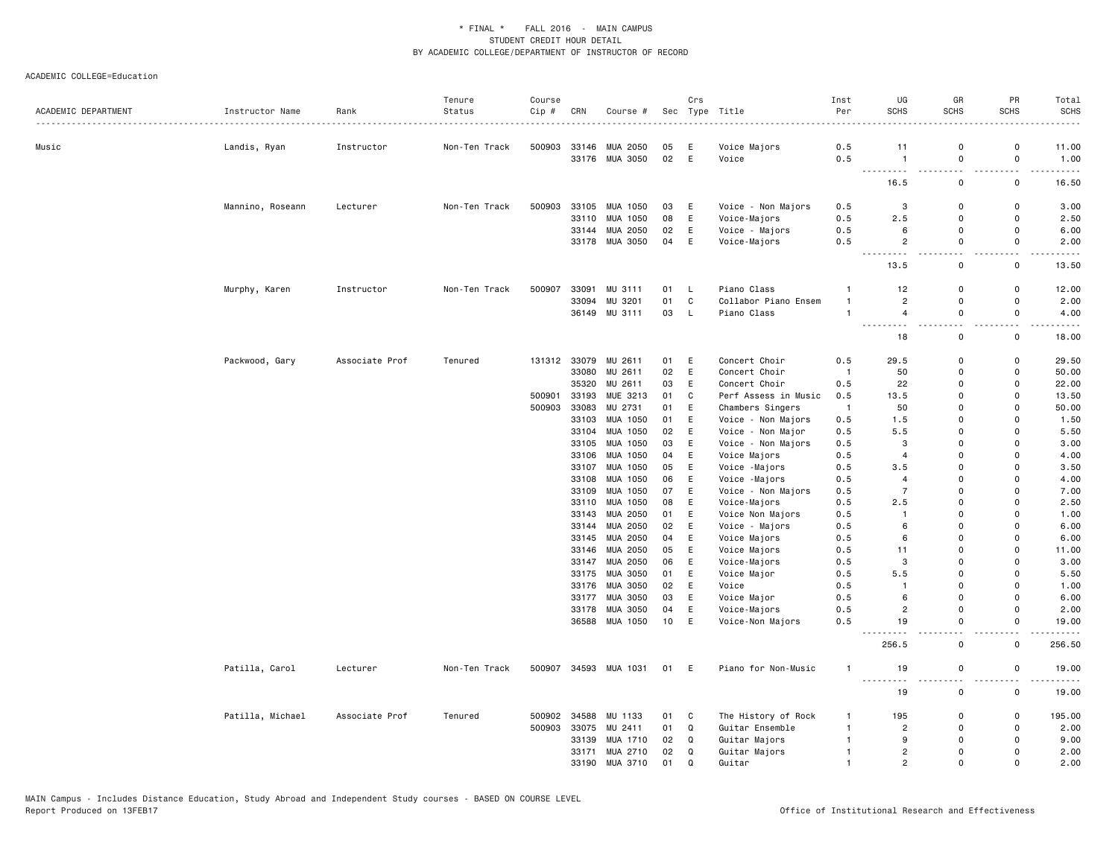|                     |                  |                | Tenure        | Course |       |                      |      | Crs         |                      | Inst           | UG                            | GR                                   | PR                           | Total                                                                                                                                                        |
|---------------------|------------------|----------------|---------------|--------|-------|----------------------|------|-------------|----------------------|----------------|-------------------------------|--------------------------------------|------------------------------|--------------------------------------------------------------------------------------------------------------------------------------------------------------|
| ACADEMIC DEPARTMENT | Instructor Name  | Rank           | Status        | Cip #  | CRN   | Course #             |      |             | Sec Type Title       | Per            | <b>SCHS</b>                   | <b>SCHS</b>                          | <b>SCHS</b>                  | <b>SCHS</b>                                                                                                                                                  |
|                     |                  |                |               |        |       |                      |      |             |                      |                |                               |                                      |                              |                                                                                                                                                              |
| Music               | Landis, Ryan     | Instructor     | Non-Ten Track | 500903 |       | 33146 MUA 2050       | 05   | E           | Voice Majors         | 0.5            | 11<br>$\overline{1}$          | $\Omega$                             | $\mathsf{o}$                 | 11.00                                                                                                                                                        |
|                     |                  |                |               |        |       | 33176 MUA 3050       | 02   | E           | Voice                | 0.5            |                               | 0                                    | $\mathsf 0$                  | 1.00<br>$\frac{1}{2} \left( \frac{1}{2} \right) \left( \frac{1}{2} \right) \left( \frac{1}{2} \right) \left( \frac{1}{2} \right)$                            |
|                     |                  |                |               |        |       |                      |      |             |                      |                | 16.5                          | $\mathbf 0$                          | $\mathsf{o}$                 | 16.50                                                                                                                                                        |
|                     | Mannino, Roseann | Lecturer       | Non-Ten Track | 500903 | 33105 | MUA 1050             | 03   | E           | Voice - Non Majors   | 0.5            | 3                             | $\Omega$                             | 0                            | 3.00                                                                                                                                                         |
|                     |                  |                |               |        | 33110 | MUA 1050             | 08   | E           | Voice-Majors         | 0.5            | 2.5                           | $\Omega$                             | $\Omega$                     | 2.50                                                                                                                                                         |
|                     |                  |                |               |        | 33144 | MUA 2050             | 02   | E           | Voice - Majors       | 0.5            | 6                             | 0                                    | 0                            | 6.00                                                                                                                                                         |
|                     |                  |                |               |        |       | 33178 MUA 3050       | 04   | E           | Voice-Majors         | 0.5            | $\overline{c}$<br>$- - - - -$ | $\mathbf{0}$                         | $\mathbf 0$<br>$\sim$ $\sim$ | 2.00<br><b>.</b>                                                                                                                                             |
|                     |                  |                |               |        |       |                      |      |             |                      |                | 13.5                          | 0                                    | 0                            | 13.50                                                                                                                                                        |
|                     | Murphy, Karen    | Instructor     | Non-Ten Track | 500907 | 33091 | MU 3111              | 01   | L           | Piano Class          | $\mathbf{1}$   | 12                            | 0                                    | 0                            | 12.00                                                                                                                                                        |
|                     |                  |                |               |        | 33094 | MU 3201              | 01   | $\mathbb C$ | Collabor Piano Ensem | $\mathbf{1}$   | $\overline{2}$                | 0                                    | 0                            | 2.00                                                                                                                                                         |
|                     |                  |                |               |        |       | 36149 MU 3111        | 03   | L.          | Piano Class          | $\overline{1}$ | $\overline{4}$<br><u>.</u>    | $\Omega$<br>$\overline{\phantom{a}}$ | $\Omega$<br>$\sim$ $\sim$    | 4.00<br>$\frac{1}{2} \left( \frac{1}{2} \right) \left( \frac{1}{2} \right) \left( \frac{1}{2} \right) \left( \frac{1}{2} \right) \left( \frac{1}{2} \right)$ |
|                     |                  |                |               |        |       |                      |      |             |                      |                | 18                            | $\mathbf 0$                          | $\mathbf 0$                  | 18.00                                                                                                                                                        |
|                     | Packwood, Gary   | Associate Prof | Tenured       |        |       | 131312 33079 MU 2611 | 01 E |             | Concert Choir        | 0.5            | 29.5                          | $\mathbf 0$                          | 0                            | 29.50                                                                                                                                                        |
|                     |                  |                |               |        | 33080 | MU 2611              | 02   | E           | Concert Choir        | $\mathbf{1}$   | 50                            | $\Omega$                             | $\mathsf{o}$                 | 50.00                                                                                                                                                        |
|                     |                  |                |               |        | 35320 | MU 2611              | 03   | E           | Concert Choir        | 0.5            | 22                            | $\Omega$                             | 0                            | 22.00                                                                                                                                                        |
|                     |                  |                |               | 500901 | 33193 | MUE 3213             | 01   | C           | Perf Assess in Music | 0.5            | 13.5                          | $\Omega$                             | $\Omega$                     | 13.50                                                                                                                                                        |
|                     |                  |                |               | 500903 | 33083 | MU 2731              | 01   | E           | Chambers Singers     | $\overline{1}$ | 50                            | $\Omega$                             | $\Omega$                     | 50.00                                                                                                                                                        |
|                     |                  |                |               |        | 33103 | MUA 1050             | 01   | E           | Voice - Non Majors   | 0.5            | 1.5                           | $\Omega$                             | 0                            | 1.50                                                                                                                                                         |
|                     |                  |                |               |        | 33104 | MUA 1050             | 02   | E           | Voice - Non Major    | 0.5            | 5.5                           | $\Omega$                             | $\Omega$                     | 5.50                                                                                                                                                         |
|                     |                  |                |               |        | 33105 | MUA 1050             | 03   | E           | Voice - Non Majors   | 0.5            | 3                             | $\Omega$                             | $\Omega$                     | 3.00                                                                                                                                                         |
|                     |                  |                |               |        | 33106 | MUA 1050             | 04   | E           | Voice Majors         | 0.5            | $\overline{4}$                | $\Omega$                             | $\Omega$                     | 4.00                                                                                                                                                         |
|                     |                  |                |               |        | 33107 | MUA 1050             | 05   | E           | Voice -Majors        | 0.5            | 3.5                           | $\Omega$                             | $\Omega$                     | 3.50                                                                                                                                                         |
|                     |                  |                |               |        | 33108 | MUA 1050             | 06   | E           | Voice -Majors        | 0.5            | 4                             | $\Omega$                             | $\Omega$                     | 4.00                                                                                                                                                         |
|                     |                  |                |               |        | 33109 | MUA 1050             | 07   | $\mathsf E$ | Voice - Non Majors   | 0.5            | $\overline{7}$                | $\Omega$                             | $\Omega$                     | 7.00                                                                                                                                                         |
|                     |                  |                |               |        |       | 33110 MUA 1050       | 08   | E           | Voice-Majors         | 0.5            | 2.5                           | $\Omega$                             | $\Omega$                     | 2.50                                                                                                                                                         |
|                     |                  |                |               |        | 33143 | MUA 2050             | 01   | E           | Voice Non Majors     | 0.5            | $\mathbf{1}$                  | $\Omega$                             | $\Omega$                     | 1.00                                                                                                                                                         |
|                     |                  |                |               |        | 33144 | MUA 2050             | 02   | E           | Voice - Majors       | 0.5            | 6                             | $\Omega$                             | $\Omega$                     | 6.00                                                                                                                                                         |
|                     |                  |                |               |        |       | 33145 MUA 2050       | 04   | E           | Voice Majors         | 0.5            | 6                             | $\Omega$                             | $\Omega$                     | 6.00                                                                                                                                                         |
|                     |                  |                |               |        | 33146 | MUA 2050             | 05   | E           | Voice Majors         | 0.5            | 11                            | $\Omega$                             | $\Omega$                     | 11.00                                                                                                                                                        |
|                     |                  |                |               |        | 33147 | MUA 2050             | 06   | E           | Voice-Majors         | 0.5            | 3                             | $\Omega$                             | $\Omega$                     | 3.00                                                                                                                                                         |
|                     |                  |                |               |        | 33175 | MUA 3050             | 01   | E           | Voice Major          | 0.5            | 5.5                           | $\Omega$                             | $\mathsf{o}$                 | 5.50                                                                                                                                                         |
|                     |                  |                |               |        | 33176 | MUA 3050             | 02   | E           | Voice                | 0.5            | $\overline{1}$                | $\Omega$                             | $\Omega$                     | 1.00                                                                                                                                                         |
|                     |                  |                |               |        | 33177 | MUA 3050             | 03   | E           | Voice Major          | 0.5            | 6                             | $\Omega$                             | $\Omega$                     | 6.00                                                                                                                                                         |
|                     |                  |                |               |        | 33178 | MUA 3050             | 04   | E           | Voice-Majors         | 0.5            | $\overline{c}$                | $\mathbf 0$                          | 0                            | 2.00                                                                                                                                                         |
|                     |                  |                |               |        |       | 36588 MUA 1050       | 10   | E           | Voice-Non Majors     | 0.5            | 19                            | $\mathbf 0$                          | $\mathsf{o}$                 | 19.00<br>$\frac{1}{2} \left( \frac{1}{2} \right) \left( \frac{1}{2} \right) \left( \frac{1}{2} \right) \left( \frac{1}{2} \right)$                           |
|                     |                  |                |               |        |       |                      |      |             |                      |                | 256.5                         | 0                                    | 0                            | 256.50                                                                                                                                                       |
|                     | Patilla, Carol   | Lecturer       | Non-Ten Track | 500907 |       | 34593 MUA 1031       | 01   | - E         | Piano for Non-Music  | $\mathbf{1}$   | 19<br><b>.</b>                | 0                                    | $\mathbf 0$                  | 19.00                                                                                                                                                        |
|                     |                  |                |               |        |       |                      |      |             |                      |                | 19                            | $\mathbf 0$                          | $\mathbf 0$                  | 19.00                                                                                                                                                        |
|                     | Patilla, Michael | Associate Prof | Tenured       | 500902 | 34588 | MU 1133              | 01   | C           | The History of Rock  | $\mathbf{1}$   | 195                           | $\Omega$                             | $\mathbf 0$                  | 195.00                                                                                                                                                       |
|                     |                  |                |               | 500903 |       | 33075 MU 2411        | 01   | $\Omega$    | Guitar Ensemble      | $\mathbf{1}$   | $\overline{2}$                | $\Omega$                             | $\mathsf{o}$                 | 2.00                                                                                                                                                         |
|                     |                  |                |               |        | 33139 | MUA 1710             | 02   | Q           | Guitar Majors        | $\mathbf{1}$   | 9                             | $\Omega$                             | 0                            | 9.00                                                                                                                                                         |
|                     |                  |                |               |        | 33171 | MUA 2710             | 02   | Q           | Guitar Majors        | $\mathbf{1}$   | $\overline{c}$                | $\mathbf{0}$                         | $\Omega$                     | 2.00                                                                                                                                                         |
|                     |                  |                |               |        |       | 33190 MUA 3710       | 01   | Q           | Guitar               | $\overline{1}$ | $\overline{2}$                | $\Omega$                             | $\Omega$                     | 2.00                                                                                                                                                         |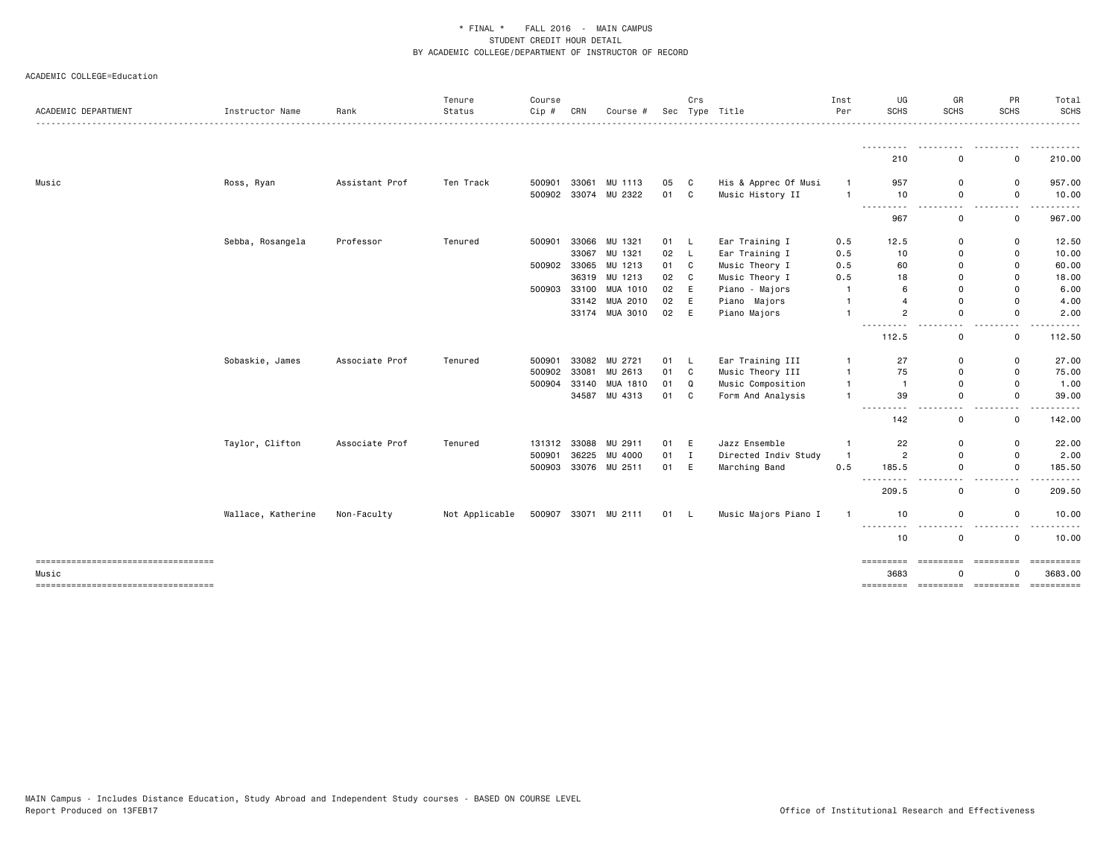| ACADEMIC DEPARTMENT                             | Instructor Name    | Rank           | Tenure<br>Status | Course<br>Cip # | CRN   | Course #             |      | Crs          | Sec Type Title       | Inst<br>Per    | UG<br><b>SCHS</b>                                                                           | GR<br>SCHS                                                                                                                                                | PR<br><b>SCHS</b>                                                        | Total<br><b>SCHS</b> |
|-------------------------------------------------|--------------------|----------------|------------------|-----------------|-------|----------------------|------|--------------|----------------------|----------------|---------------------------------------------------------------------------------------------|-----------------------------------------------------------------------------------------------------------------------------------------------------------|--------------------------------------------------------------------------|----------------------|
|                                                 |                    |                |                  |                 |       |                      |      |              |                      |                | <u>.</u><br>210                                                                             | $\frac{1}{2} \left( \frac{1}{2} \right) \left( \frac{1}{2} \right) \left( \frac{1}{2} \right) \left( \frac{1}{2} \right) \left( \frac{1}{2} \right)$<br>0 | 0                                                                        | .<br>210.00          |
|                                                 |                    |                |                  |                 |       |                      |      |              |                      |                |                                                                                             |                                                                                                                                                           |                                                                          |                      |
| Music                                           | Ross, Ryan         | Assistant Prof | Ten Track        | 500901          |       | 33061 MU 1113        | 05   | C            | His & Apprec Of Musi | $\mathbf{1}$   | 957                                                                                         | 0                                                                                                                                                         | 0                                                                        | 957.00               |
|                                                 |                    |                |                  | 500902          |       | 33074 MU 2322        | 01   | $\mathbf{C}$ | Music History II     | $\overline{1}$ | 10<br>$- - - -$<br>.                                                                        | 0<br>-----<br>$\sim$ $\sim$                                                                                                                               | 0<br>$\frac{1}{2} \left( \frac{1}{2} \right) \left( \frac{1}{2} \right)$ | 10.00<br>.           |
|                                                 |                    |                |                  |                 |       |                      |      |              |                      |                | 967                                                                                         | $\mathbf 0$                                                                                                                                               | 0                                                                        | 967.00               |
|                                                 | Sebba, Rosangela   | Professor      | Tenured          | 500901          | 33066 | MU 1321              | 01 L |              | Ear Training I       | 0.5            | 12.5                                                                                        | $\mathbf 0$                                                                                                                                               | 0                                                                        | 12.50                |
|                                                 |                    |                |                  |                 |       | 33067 MU 1321        | 02   | $\mathsf{L}$ | Ear Training I       | 0.5            | 10                                                                                          | 0                                                                                                                                                         | 0                                                                        | 10.00                |
|                                                 |                    |                |                  | 500902          | 33065 | MU 1213              | 01   | C            | Music Theory I       | 0.5            | 60                                                                                          | $\Omega$                                                                                                                                                  | 0                                                                        | 60.00                |
|                                                 |                    |                |                  |                 |       | 36319 MU 1213        | 02   | C            | Music Theory I       | 0.5            | 18                                                                                          | $\Omega$                                                                                                                                                  | 0                                                                        | 18.00                |
|                                                 |                    |                |                  | 500903          |       | 33100 MUA 1010       | 02   | E            | Piano - Majors       | -1             | 6                                                                                           | $\Omega$                                                                                                                                                  | $\Omega$                                                                 | 6.00                 |
|                                                 |                    |                |                  |                 |       | 33142 MUA 2010       | 02   | E            | Piano Majors         | $\overline{1}$ | $\overline{4}$                                                                              | $\Omega$                                                                                                                                                  | 0                                                                        | 4.00                 |
|                                                 |                    |                |                  |                 |       | 33174 MUA 3010       | 02   | E            | Piano Majors         | $\overline{1}$ | $\overline{2}$                                                                              | $\Omega$                                                                                                                                                  | $\Omega$                                                                 | 2.00                 |
|                                                 |                    |                |                  |                 |       |                      |      |              |                      |                | <u>.</u><br>112.5                                                                           | $\frac{1}{2}$<br>0                                                                                                                                        | $\sim$ $\sim$<br>0                                                       | -----<br>112.50      |
|                                                 | Sobaskie, James    | Associate Prof | Tenured          | 500901          |       | 33082 MU 2721        | 01   | - L          | Ear Training III     | $\mathbf{1}$   | 27                                                                                          | 0                                                                                                                                                         | 0                                                                        | 27.00                |
|                                                 |                    |                |                  | 500902          | 33081 | MU 2613              | 01   | C            | Music Theory III     | $\overline{1}$ | 75                                                                                          | 0                                                                                                                                                         | 0                                                                        | 75.00                |
|                                                 |                    |                |                  | 500904          | 33140 | MUA 1810             | 01   | Q            | Music Composition    | $\overline{1}$ | $\overline{1}$                                                                              | 0                                                                                                                                                         | 0                                                                        | 1.00                 |
|                                                 |                    |                |                  |                 |       | 34587 MU 4313        | 01   | C            | Form And Analysis    | $\overline{1}$ | 39                                                                                          | 0                                                                                                                                                         | $\mathsf{O}$                                                             | 39.00                |
|                                                 |                    |                |                  |                 |       |                      |      |              |                      |                | $\frac{1}{2} \left( \frac{1}{2} \right) \frac{1}{2} \left( \frac{1}{2} \right)$<br>.<br>142 | 0                                                                                                                                                         | $\overline{\phantom{a}}$<br>0                                            | 142.00               |
|                                                 | Taylor, Clifton    | Associate Prof | Tenured          | 131312          | 33088 | MU 2911              | 01   | E            | Jazz Ensemble        | $\overline{1}$ | 22                                                                                          | 0                                                                                                                                                         | 0                                                                        | 22.00                |
|                                                 |                    |                |                  | 500901          |       | 36225 MU 4000        | 01   | $\mathbf{I}$ | Directed Indiv Study | $\overline{1}$ | $\overline{2}$                                                                              | 0                                                                                                                                                         | 0                                                                        | 2.00                 |
|                                                 |                    |                |                  | 500903          |       | 33076 MU 2511        | 01   | E            | Marching Band        | 0.5            | 185.5                                                                                       | $\mathbf 0$                                                                                                                                               | 0                                                                        | 185.50               |
|                                                 |                    |                |                  |                 |       |                      |      |              |                      |                | $  -$<br>$\frac{1}{2}$<br>209.5                                                             | $ -$<br>0                                                                                                                                                 | $-$<br>0                                                                 | . <b>.</b><br>209.50 |
|                                                 | Wallace, Katherine | Non-Faculty    | Not Applicable   |                 |       | 500907 33071 MU 2111 | 01 L |              | Music Majors Piano I | -1             | 10                                                                                          | 0                                                                                                                                                         | 0                                                                        | 10.00                |
|                                                 |                    |                |                  |                 |       |                      |      |              |                      |                | .<br>10                                                                                     | .<br>0                                                                                                                                                    | $\sim$ $\sim$<br>0                                                       | 10.00                |
| =====================================           |                    |                |                  |                 |       |                      |      |              |                      |                | =========<br>3683                                                                           | =========<br>O                                                                                                                                            | =========<br>O                                                           | 3683.00              |
| Music<br>______________________________________ |                    |                |                  |                 |       |                      |      |              |                      |                | =========                                                                                   |                                                                                                                                                           | ====================                                                     | ==========           |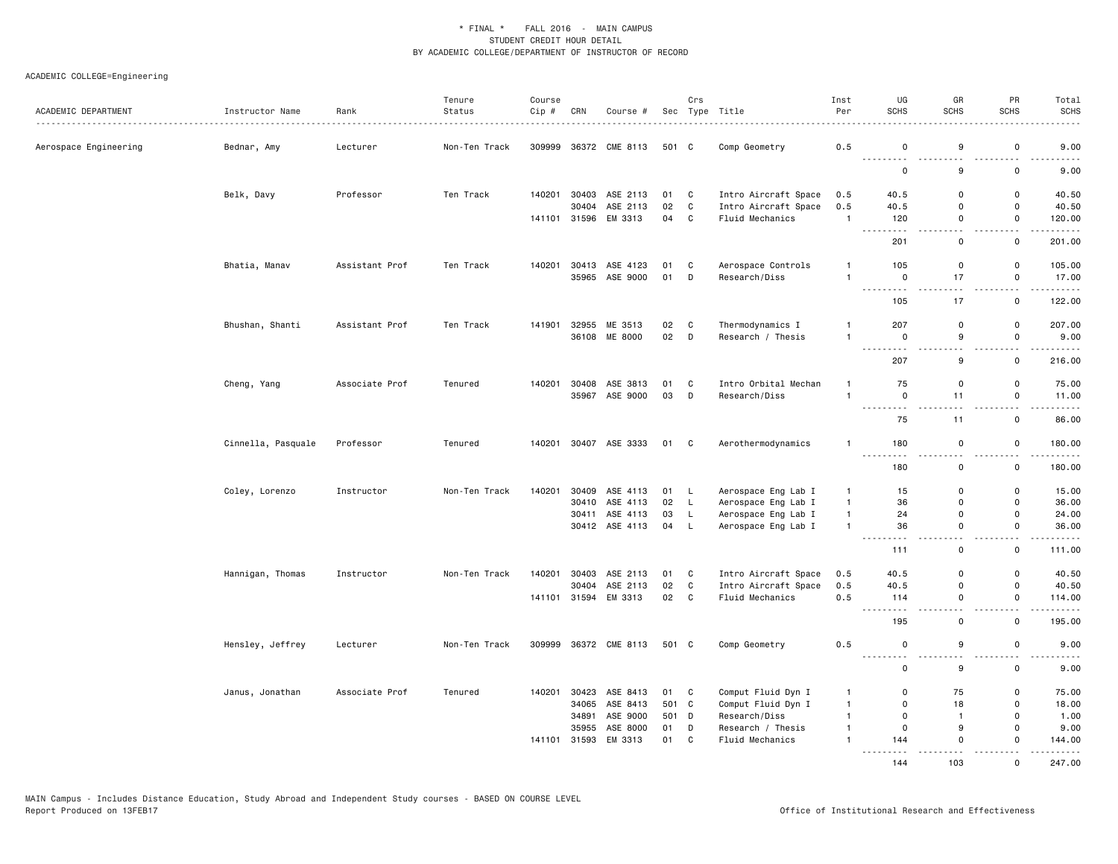| ACADEMIC DEPARTMENT   | Instructor Name    | Rank<br>.      | Tenure<br>Status | Course<br>Cip # | CRN          | Course #                         |          | Crs                 | Sec Type Title                             | Inst<br>Per                  | UG<br><b>SCHS</b>                                                                                                                                                                                                                                                                                                                                                                                   | GR<br><b>SCHS</b> | PR<br><b>SCHS</b>          | Total<br><b>SCHS</b>    |
|-----------------------|--------------------|----------------|------------------|-----------------|--------------|----------------------------------|----------|---------------------|--------------------------------------------|------------------------------|-----------------------------------------------------------------------------------------------------------------------------------------------------------------------------------------------------------------------------------------------------------------------------------------------------------------------------------------------------------------------------------------------------|-------------------|----------------------------|-------------------------|
| Aerospace Engineering | Bednar, Amy        | Lecturer       | Non-Ten Track    | 309999          |              | 36372 CME 8113                   | 501 C    |                     | Comp Geometry                              | 0.5                          | 0                                                                                                                                                                                                                                                                                                                                                                                                   | 9                 | 0                          | 9.00                    |
|                       |                    |                |                  |                 |              |                                  |          |                     |                                            |                              | .<br>$\mathsf{o}\,$                                                                                                                                                                                                                                                                                                                                                                                 | 9                 | $\mathsf 0$                | 9.00                    |
|                       | Belk, Davy         | Professor      | Ten Track        |                 |              | 140201 30403 ASE 2113            | 01       | C                   | Intro Aircraft Space                       | 0.5                          | 40.5                                                                                                                                                                                                                                                                                                                                                                                                | 0                 | $\mathbf 0$                | 40.50                   |
|                       |                    |                |                  |                 | 30404        | ASE 2113<br>141101 31596 EM 3313 | 02<br>04 | C<br>C              | Intro Aircraft Space<br>Fluid Mechanics    | 0.5<br>$\mathbf{1}$          | 40.5<br>120                                                                                                                                                                                                                                                                                                                                                                                         | $\Omega$<br>0     | 0<br>0                     | 40.50<br>120.00         |
|                       |                    |                |                  |                 |              |                                  |          |                     |                                            |                              | $\frac{1}{2} \left( \frac{1}{2} \right) \left( \frac{1}{2} \right) \left( \frac{1}{2} \right)$<br>$\frac{1}{2}$<br>201                                                                                                                                                                                                                                                                              | 0                 | $\mathbf 0$                | 201.00                  |
|                       | Bhatia, Manav      | Assistant Prof | Ten Track        |                 |              | 140201 30413 ASE 4123            | 01       | C                   | Aerospace Controls                         | $\mathbf{1}$                 | 105                                                                                                                                                                                                                                                                                                                                                                                                 | 0                 | 0                          | 105.00                  |
|                       |                    |                |                  |                 |              | 35965 ASE 9000                   | 01       | D                   | Research/Diss                              | $\mathbf{1}$                 | $\mathsf 0$<br>-----<br>$\sim$ $\sim$ $\sim$                                                                                                                                                                                                                                                                                                                                                        | 17                | $\mathsf{o}$<br>.          | 17.00<br>.              |
|                       |                    |                |                  |                 |              |                                  |          |                     |                                            |                              | 105                                                                                                                                                                                                                                                                                                                                                                                                 | 17                | $\mathbf 0$                | 122.00                  |
|                       | Bhushan, Shanti    | Assistant Prof | Ten Track        | 141901          |              | 32955 ME 3513<br>36108 ME 8000   | 02<br>02 | C<br>$\mathsf{D}$   | Thermodynamics I<br>Research / Thesis      | $\mathbf{1}$<br>$\mathbf{1}$ | 207<br>$\mathbf 0$                                                                                                                                                                                                                                                                                                                                                                                  | 0<br>9            | $\mathbf 0$<br>$\mathbf 0$ | 207.00<br>9.00          |
|                       |                    |                |                  |                 |              |                                  |          |                     |                                            |                              | $\frac{1}{2}$<br>المتمام                                                                                                                                                                                                                                                                                                                                                                            |                   |                            | .                       |
|                       |                    |                |                  |                 |              |                                  |          |                     |                                            |                              | 207                                                                                                                                                                                                                                                                                                                                                                                                 | 9                 | $\mathbf 0$                | 216.00                  |
|                       | Cheng, Yang        | Associate Prof | Tenured          | 140201          | 30408        | ASE 3813<br>35967 ASE 9000       | 01<br>03 | C<br>D              | Intro Orbital Mechan<br>Research/Diss      | 1<br>$\mathbf{1}$            | 75<br>0                                                                                                                                                                                                                                                                                                                                                                                             | 0<br>11           | $\mathbf 0$<br>0           | 75.00<br>11.00          |
|                       |                    |                |                  |                 |              |                                  |          |                     |                                            |                              | .<br>75                                                                                                                                                                                                                                                                                                                                                                                             | $  -$<br>11       | <u>.</u><br>$\mathbf 0$    | بالأبالات<br>86.00      |
|                       | Cinnella, Pasquale | Professor      | Tenured          |                 |              | 140201 30407 ASE 3333            | 01 C     |                     | Aerothermodynamics                         | $\mathbf{1}$                 | 180                                                                                                                                                                                                                                                                                                                                                                                                 | 0                 | 0                          | 180.00                  |
|                       |                    |                |                  |                 |              |                                  |          |                     |                                            |                              | $\frac{1}{2} \frac{1}{2} \frac{1}{2} \frac{1}{2} \frac{1}{2} \frac{1}{2} \frac{1}{2} \frac{1}{2} \frac{1}{2} \frac{1}{2} \frac{1}{2} \frac{1}{2} \frac{1}{2} \frac{1}{2} \frac{1}{2} \frac{1}{2} \frac{1}{2} \frac{1}{2} \frac{1}{2} \frac{1}{2} \frac{1}{2} \frac{1}{2} \frac{1}{2} \frac{1}{2} \frac{1}{2} \frac{1}{2} \frac{1}{2} \frac{1}{2} \frac{1}{2} \frac{1}{2} \frac{1}{2} \frac{$<br>180 | $\mathsf{O}$      | $\mathbf 0$                | 180.00                  |
|                       | Coley, Lorenzo     | Instructor     | Non-Ten Track    | 140201          | 30409        | ASE 4113                         | 01 L     |                     | Aerospace Eng Lab I                        | $\mathbf{1}$                 | 15                                                                                                                                                                                                                                                                                                                                                                                                  | $\Omega$          | $\mathbf 0$                | 15.00                   |
|                       |                    |                |                  |                 | 30410        | ASE 4113                         | 02 L     |                     | Aerospace Eng Lab I                        | $\mathbf{1}$                 | 36                                                                                                                                                                                                                                                                                                                                                                                                  | $\Omega$          | 0                          | 36.00                   |
|                       |                    |                |                  |                 |              | 30411 ASE 4113<br>30412 ASE 4113 | 03<br>04 | $\mathsf{L}$<br>- L | Aerospace Eng Lab I<br>Aerospace Eng Lab I | $\mathbf{1}$<br>$\mathbf{1}$ | 24<br>36                                                                                                                                                                                                                                                                                                                                                                                            | 0<br>$\mathsf{O}$ | $\mathbf 0$<br>$\mathbf 0$ | 24.00<br>36.00          |
|                       |                    |                |                  |                 |              |                                  |          |                     |                                            |                              | .<br>111                                                                                                                                                                                                                                                                                                                                                                                            | 0                 | $\mathbf 0$                | .<br>111.00             |
|                       | Hannigan, Thomas   | Instructor     | Non-Ten Track    |                 | 140201 30403 | ASE 2113                         | 01       | C                   | Intro Aircraft Space                       | 0.5                          | 40.5                                                                                                                                                                                                                                                                                                                                                                                                | 0                 | $\mathbf 0$                | 40.50                   |
|                       |                    |                |                  |                 | 30404        | ASE 2113                         | 02       | C                   | Intro Aircraft Space                       | 0.5                          | 40.5                                                                                                                                                                                                                                                                                                                                                                                                | $\Omega$          | $\mathbf 0$                | 40.50                   |
|                       |                    |                |                  |                 |              | 141101 31594 EM 3313             | 02       | $\mathbf{C}$        | Fluid Mechanics                            | 0.5                          | 114<br>$\sim$ $\sim$ $\sim$ $\sim$<br>.                                                                                                                                                                                                                                                                                                                                                             | 0                 | $\mathbf 0$                | 114.00<br>$\frac{1}{2}$ |
|                       |                    |                |                  |                 |              |                                  |          |                     |                                            |                              | 195                                                                                                                                                                                                                                                                                                                                                                                                 | 0                 | $\mathbf 0$                | 195.00                  |
|                       | Hensley, Jeffrey   | Lecturer       | Non-Ten Track    |                 |              | 309999 36372 CME 8113            | 501 C    |                     | Comp Geometry                              | 0.5                          | 0<br>$\sim$ $\sim$<br>---                                                                                                                                                                                                                                                                                                                                                                           | 9                 | $\mathbf 0$                | 9.00<br>-----           |
|                       |                    |                |                  |                 |              |                                  |          |                     |                                            |                              | 0                                                                                                                                                                                                                                                                                                                                                                                                   | 9                 | 0                          | 9.00                    |
|                       | Janus, Jonathan    | Associate Prof | Tenured          |                 | 140201 30423 | ASE 8413                         | 01 C     |                     | Comput Fluid Dyn I                         | $\mathbf{1}$                 | 0                                                                                                                                                                                                                                                                                                                                                                                                   | 75                | $\mathbf 0$                | 75.00                   |
|                       |                    |                |                  |                 | 34065        | ASE 8413                         | 501 C    |                     | Comput Fluid Dyn I                         | $\mathbf{1}$                 | $\mathsf 0$                                                                                                                                                                                                                                                                                                                                                                                         | 18                | $\mathsf 0$                | 18.00                   |
|                       |                    |                |                  |                 | 34891        | ASE 9000                         | 501 D    |                     | Research/Diss                              | $\mathbf{1}$                 | 0                                                                                                                                                                                                                                                                                                                                                                                                   | $\mathbf{1}$      | 0                          | 1.00                    |
|                       |                    |                |                  |                 | 35955        | ASE 8000                         | 01       | D                   | Research / Thesis                          | $\mathbf{1}$                 | $\mathsf{o}$                                                                                                                                                                                                                                                                                                                                                                                        | 9                 | $\mathsf{o}$               | 9.00                    |
|                       |                    |                |                  |                 | 141101 31593 | EM 3313                          | 01       | C                   | Fluid Mechanics                            | $\mathbf{1}$                 | 144<br><u>.</u>                                                                                                                                                                                                                                                                                                                                                                                     | $\Omega$<br>.     | $\Omega$                   | 144.00<br>.             |
|                       |                    |                |                  |                 |              |                                  |          |                     |                                            |                              | 144                                                                                                                                                                                                                                                                                                                                                                                                 | 103               | $\Omega$                   | 247.00                  |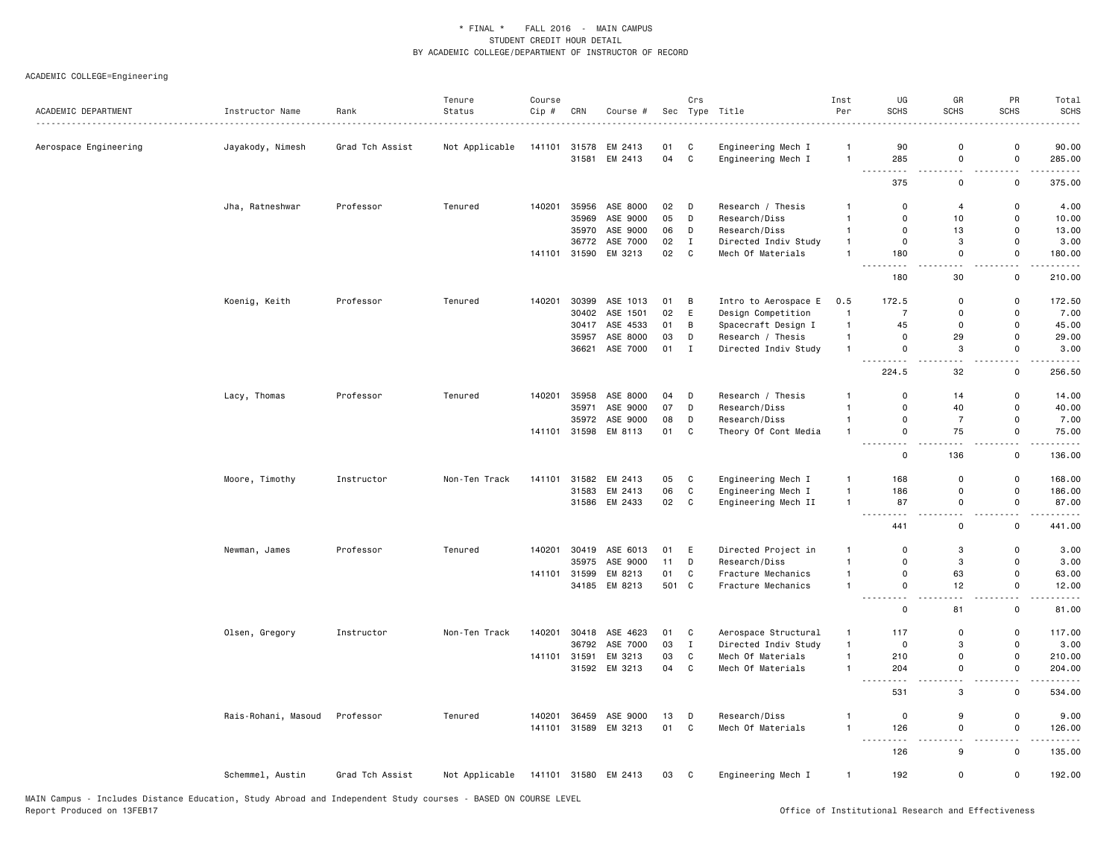| ACADEMIC DEPARTMENT   | Instructor Name     | Rank            | Tenure<br>Status | Course<br>Cip # | CRN   | Course #             |       | Crs          | Sec Type Title       | Inst<br>Per    | UG<br><b>SCHS</b>                   | GR<br><b>SCHS</b>                | PR<br>SCHS                         | Total<br><b>SCHS</b>   |
|-----------------------|---------------------|-----------------|------------------|-----------------|-------|----------------------|-------|--------------|----------------------|----------------|-------------------------------------|----------------------------------|------------------------------------|------------------------|
| Aerospace Engineering | Jayakody, Nimesh    | Grad Tch Assist | Not Applicable   |                 |       | 141101 31578 EM 2413 | 01    | C            | Engineering Mech I   | $\mathbf{1}$   | 90                                  | $\mathbf 0$                      | $\mathbf 0$                        | 90.00                  |
|                       |                     |                 |                  |                 | 31581 | EM 2413              | 04    | C            | Engineering Mech I   | $\mathbf{1}$   | 285                                 | $\mathbf 0$                      | $\mathsf 0$                        | 285.00                 |
|                       |                     |                 |                  |                 |       |                      |       |              |                      |                | .<br>375                            | $\sim$ $\sim$<br>0               | $\sim$<br>$\mathsf 0$              | .<br>375.00            |
|                       | Jha, Ratneshwar     | Professor       | Tenured          | 140201          | 35956 | ASE 8000             | 02    | D            | Research / Thesis    | 1              | 0                                   | $\overline{4}$                   | 0                                  | 4.00                   |
|                       |                     |                 |                  |                 | 35969 | ASE 9000             | 05    | D            | Research/Diss        | $\mathbf{1}$   | $\Omega$                            | 10                               | $\mathbf 0$                        | 10.00                  |
|                       |                     |                 |                  |                 |       | 35970 ASE 9000       | 06    | D            | Research/Diss        | $\mathbf{1}$   | $\Omega$                            | 13                               | $\mathbf 0$                        | 13.00                  |
|                       |                     |                 |                  |                 | 36772 | ASE 7000             | 02    | $\mathbf{I}$ | Directed Indiv Study | $\mathbf{1}$   | 0                                   | 3                                | $\mathbf 0$                        | 3.00                   |
|                       |                     |                 |                  |                 |       | 141101 31590 EM 3213 | 02    | C            | Mech Of Materials    | $\mathbf{1}$   | 180                                 | 0                                | 0                                  | 180.00                 |
|                       |                     |                 |                  |                 |       |                      |       |              |                      |                | .<br>180                            | المنابذة<br>30                   | $\sim$ $\sim$<br>$\mathbf 0$       | <u>.</u><br>210.00     |
|                       | Koenig, Keith       | Professor       | Tenured          | 140201          | 30399 | ASE 1013             | 01    | B            | Intro to Aerospace E | 0.5            | 172.5                               | 0                                | 0                                  | 172.50                 |
|                       |                     |                 |                  |                 | 30402 | ASE 1501             | 02    | E            | Design Competition   | $\mathbf{1}$   | $\overline{7}$                      | $\mathbf 0$                      | $\mathbf 0$                        | 7.00                   |
|                       |                     |                 |                  |                 |       | 30417 ASE 4533       | 01    | В            | Spacecraft Design I  | $\mathbf{1}$   | 45                                  | 0                                | $\mathbf 0$                        | 45.00                  |
|                       |                     |                 |                  |                 |       | 35957 ASE 8000       | 03    | D            | Research / Thesis    | $\mathbf{1}$   | $\mathbf 0$                         | 29                               | $\mathsf 0$                        | 29.00                  |
|                       |                     |                 |                  |                 | 36621 | ASE 7000             | 01    | $\;$ I       | Directed Indiv Study | $\mathbf{1}$   | $\mathsf 0$                         | 3                                | $\mathsf 0$                        | 3.00                   |
|                       |                     |                 |                  |                 |       |                      |       |              |                      |                | .<br>$ -$<br>224.5                  | $\sim$ $\sim$<br>32              | $\sim$ $\sim$<br>$\mathsf 0$       | .<br>256.50            |
|                       | Lacy, Thomas        | Professor       | Tenured          | 140201          | 35958 | ASE 8000             | 04    | D            | Research / Thesis    | $\mathbf{1}$   | $\mathsf 0$                         | 14                               | $\mathsf 0$                        | 14.00                  |
|                       |                     |                 |                  |                 | 35971 | ASE 9000             | 07    | D            | Research/Diss        | $\overline{1}$ | $\Omega$                            | 40                               | $\mathbf 0$                        | 40.00                  |
|                       |                     |                 |                  |                 | 35972 | ASE 9000             | 08    | D            | Research/Diss        | $\mathbf{1}$   | 0                                   | $\overline{7}$                   | $\mathsf 0$                        | 7.00                   |
|                       |                     |                 |                  |                 |       | 141101 31598 EM 8113 | 01    | $\mathtt{C}$ | Theory Of Cont Media | $\mathbf{1}$   | $\Omega$                            | 75                               | $\mathbf 0$                        | 75.00                  |
|                       |                     |                 |                  |                 |       |                      |       |              |                      |                | .<br>$\Omega$                       | $\sim$<br>136                    | $\omega_{\rm{eff}}$<br>0           | .<br>136.00            |
|                       | Moore, Timothy      | Instructor      | Non-Ten Track    | 141101          |       | 31582 EM 2413        | 05    | C            | Engineering Mech I   | $\mathbf{1}$   | 168                                 | $\overline{\mathbf{0}}$          | $\mathsf 0$                        | 168.00                 |
|                       |                     |                 |                  |                 |       | 31583 EM 2413        | 06    | C            | Engineering Mech I   | $\mathbf{1}$   | 186                                 | 0                                | $\mathsf 0$                        | 186.00                 |
|                       |                     |                 |                  |                 |       | 31586 EM 2433        | 02    | $\mathbf c$  | Engineering Mech II  | $\mathbf{1}$   | 87                                  | $\mathbf 0$                      | $\mathsf 0$                        | 87.00                  |
|                       |                     |                 |                  |                 |       |                      |       |              |                      |                | $\sim$ $\sim$<br>.                  | $\overline{a}$                   | ٠.                                 | .                      |
|                       |                     |                 |                  |                 |       |                      |       |              |                      |                | 441                                 | 0                                | $\mathbf 0$                        | 441.00                 |
|                       | Newman, James       | Professor       | Tenured          | 140201          |       | 30419 ASE 6013       | 01    | E            | Directed Project in  | $\mathbf{1}$   | 0                                   | 3                                | 0                                  | 3.00                   |
|                       |                     |                 |                  |                 | 35975 | ASE 9000             | 11    | D            | Research/Diss        | $\mathbf{1}$   | $\Omega$                            | 3                                | $\mathbf 0$                        | 3.00                   |
|                       |                     |                 |                  | 141101          | 31599 | EM 8213              | 01    | C            | Fracture Mechanics   | $\mathbf{1}$   | 0                                   | 63                               | $\mathbf 0$                        | 63.00                  |
|                       |                     |                 |                  |                 |       | 34185 EM 8213        | 501 C |              | Fracture Mechanics   | $\mathbf{1}$   | 0<br>.<br>$ -$                      | 12<br>$\overline{a}$             | 0<br>$\overline{\phantom{a}}$      | 12.00<br>.             |
|                       |                     |                 |                  |                 |       |                      |       |              |                      |                | 0                                   | 81                               | $\mathbf 0$                        | 81.00                  |
|                       | Olsen, Gregory      | Instructor      | Non-Ten Track    | 140201          | 30418 | ASE 4623             | 01    | C            | Aerospace Structural | $\mathbf{1}$   | 117                                 | 0                                | $\mathsf 0$                        | 117.00                 |
|                       |                     |                 |                  |                 | 36792 | ASE 7000             | 03    | $\mathbf{I}$ | Directed Indiv Study | $\mathbf{1}$   | 0                                   | 3                                | $\mathbf 0$                        | 3.00                   |
|                       |                     |                 |                  | 141101          | 31591 | EM 3213              | 03    | C            | Mech Of Materials    | $\mathbf{1}$   | 210                                 | 0                                | $\mathsf 0$                        | 210.00                 |
|                       |                     |                 |                  |                 |       | 31592 EM 3213        | 04    | C            | Mech Of Materials    | $\mathbf{1}$   | 204                                 | $\mathbf 0$                      | $\mathsf 0$                        | 204.00                 |
|                       |                     |                 |                  |                 |       |                      |       |              |                      |                | $\sim$ $\sim$ $\sim$<br>----<br>531 | - -<br>$\ensuremath{\mathsf{3}}$ | - -<br>$\mathsf 0$                 | . <b>.</b> .<br>534.00 |
|                       | Rais-Rohani, Masoud | Professor       | Tenured          | 140201          |       | 36459 ASE 9000       | 13    | D            | Research/Diss        | $\mathbf{1}$   | $\mathbf 0$                         | 9                                | $\mathsf 0$                        | 9.00                   |
|                       |                     |                 |                  |                 |       | 141101 31589 EM 3213 | 01    | C            | Mech Of Materials    | $\overline{1}$ | 126                                 | $\mathbf 0$                      | $\mathsf 0$                        | 126.00                 |
|                       |                     |                 |                  |                 |       |                      |       |              |                      |                | .<br>126                            | $\sim$<br>9                      | $\omega_{\rm{eff}}$<br>$\mathbf 0$ | .<br>135.00            |
|                       | Schemmel, Austin    | Grad Tch Assist | Not Applicable   |                 |       | 141101 31580 EM 2413 | 03    | C            | Engineering Mech I   | $\mathbf{1}$   | 192                                 | 0                                | $\mathsf 0$                        | 192.00                 |
|                       |                     |                 |                  |                 |       |                      |       |              |                      |                |                                     |                                  |                                    |                        |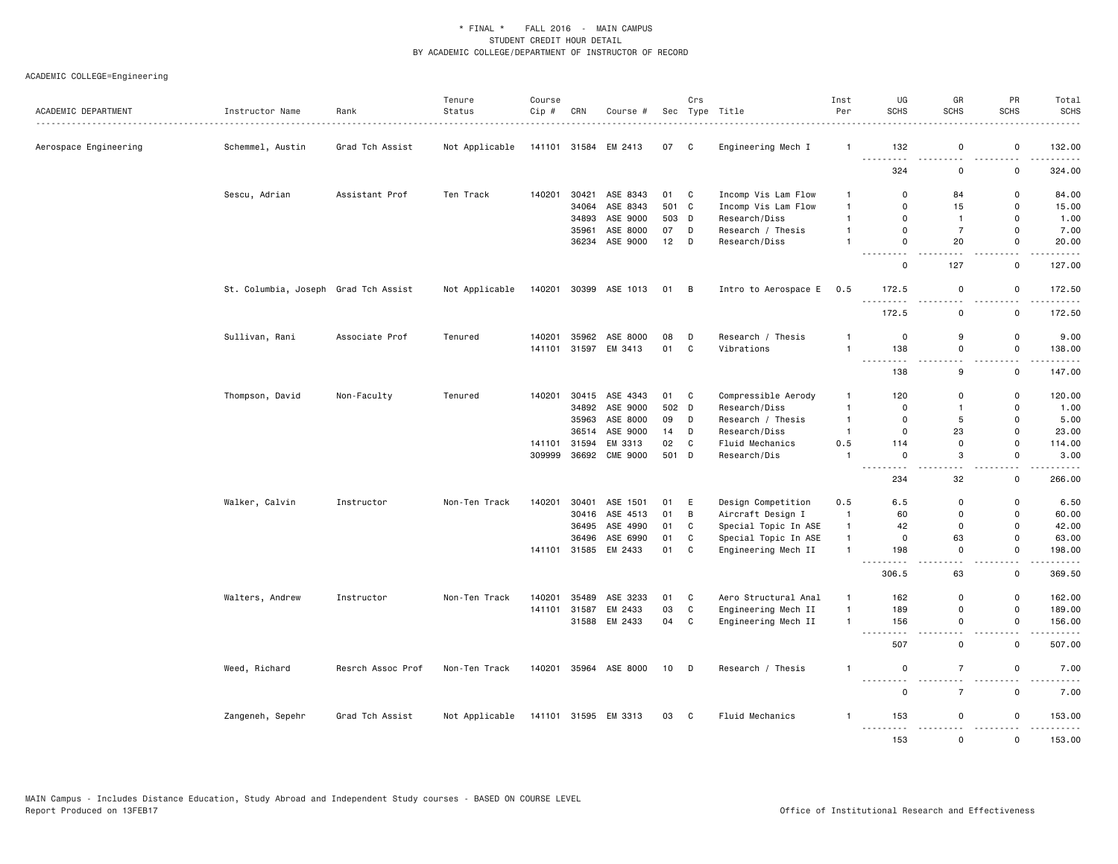| ACADEMIC DEPARTMENT   | Instructor Name<br>.                 | Rank<br>------------ | Tenure<br>Status | Course<br>Cip # | CRN   | Course #             |        | Crs          | Sec Type Title       | Inst<br>Per    | UG<br><b>SCHS</b>                        | GR<br><b>SCHS</b>                       | PR<br><b>SCHS</b>                       | Total<br><b>SCHS</b><br>$- - - - -$                                                                                                                          |
|-----------------------|--------------------------------------|----------------------|------------------|-----------------|-------|----------------------|--------|--------------|----------------------|----------------|------------------------------------------|-----------------------------------------|-----------------------------------------|--------------------------------------------------------------------------------------------------------------------------------------------------------------|
| Aerospace Engineering | Schemmel, Austin                     | Grad Tch Assist      | Not Applicable   |                 |       | 141101 31584 EM 2413 | 07 C   |              | Engineering Mech I   | $\overline{1}$ | 132                                      | 0                                       | 0                                       | 132.00                                                                                                                                                       |
|                       |                                      |                      |                  |                 |       |                      |        |              |                      |                | <u>.</u><br>324                          | $\sim$ $\sim$<br>0                      | 0                                       | .<br>324.00                                                                                                                                                  |
|                       | Sescu, Adrian                        | Assistant Prof       | Ten Track        | 140201          | 30421 | ASE 8343             | 01 C   |              | Incomp Vis Lam Flow  | $\mathbf{1}$   | 0                                        | 84                                      | 0                                       | 84.00                                                                                                                                                        |
|                       |                                      |                      |                  |                 | 34064 | ASE 8343             | 501 C  |              | Incomp Vis Lam Flow  | $\mathbf{1}$   | $\mathbf 0$                              | 15                                      | $\mathsf{o}$                            | 15.00                                                                                                                                                        |
|                       |                                      |                      |                  |                 | 34893 | ASE 9000             | 503 D  |              | Research/Diss        | $\mathbf{1}$   | $\mathbf 0$                              | $\mathbf{1}$                            | 0                                       | 1.00                                                                                                                                                         |
|                       |                                      |                      |                  |                 | 35961 | ASE 8000             | 07     | D            | Research / Thesis    | $\mathbf{1}$   | $\mathsf 0$                              | $\overline{7}$                          | $\mathsf 0$                             | 7.00                                                                                                                                                         |
|                       |                                      |                      |                  |                 |       | 36234 ASE 9000       | $12$ D |              | Research/Diss        | $\overline{1}$ | $\mathbf 0$<br>.                         | 20                                      | $\mathbf 0$<br>$\sim$ $\sim$            | 20.00<br>.                                                                                                                                                   |
|                       |                                      |                      |                  |                 |       |                      |        |              |                      |                | $\mathbf 0$                              | 127                                     | 0                                       | 127.00                                                                                                                                                       |
|                       | St. Columbia, Joseph Grad Tch Assist |                      | Not Applicable   | 140201          |       | 30399 ASE 1013       | 01 B   |              | Intro to Aerospace E | 0.5            | 172.5                                    | 0                                       | 0                                       | 172.50<br>.                                                                                                                                                  |
|                       |                                      |                      |                  |                 |       |                      |        |              |                      |                | 172.5                                    | $\mathsf 0$                             | $\mathsf{o}\,$                          | 172.50                                                                                                                                                       |
|                       | Sullivan, Rani                       | Associate Prof       | Tenured          | 140201          |       | 35962 ASE 8000       | 08     | D            | Research / Thesis    | $\mathbf{1}$   | $\mathbf 0$                              | 9                                       | $\mathsf{o}$                            | 9.00                                                                                                                                                         |
|                       |                                      |                      |                  | 141101          |       | 31597 EM 3413        | 01 C   |              | Vibrations           | $\mathbf{1}$   | 138<br>$ -$                              | $\mathsf 0$<br>$\overline{\phantom{a}}$ | $\mathsf 0$<br>$\overline{\phantom{a}}$ | 138.00<br>.                                                                                                                                                  |
|                       |                                      |                      |                  |                 |       |                      |        |              |                      |                | 138                                      | 9                                       | $\mathsf 0$                             | 147.00                                                                                                                                                       |
|                       | Thompson, David                      | Non-Faculty          | Tenured          | 140201          | 30415 | ASE 4343             | 01     | C            | Compressible Aerody  | $\mathbf{1}$   | 120                                      | 0                                       | 0                                       | 120.00                                                                                                                                                       |
|                       |                                      |                      |                  |                 |       | 34892 ASE 9000       | 502 D  |              | Research/Diss        | $\mathbf{1}$   | $\mathbf 0$                              | $\mathbf{1}$                            | $\mathsf 0$                             | 1.00                                                                                                                                                         |
|                       |                                      |                      |                  |                 | 35963 | ASE 8000             | 09     | D            | Research / Thesis    | $\mathbf{1}$   | $\mathbf 0$                              | 5                                       | $\mathsf{o}$                            | 5.00                                                                                                                                                         |
|                       |                                      |                      |                  |                 | 36514 | ASE 9000             | 14     | D            | Research/Diss        | $\mathbf{1}$   | $\mathbf 0$                              | 23                                      | $\mathsf 0$                             | 23.00                                                                                                                                                        |
|                       |                                      |                      |                  | 141101          | 31594 | EM 3313              | 02     | C            | Fluid Mechanics      | 0.5            | 114                                      | $\mathbf 0$                             | $\mathsf 0$                             | 114.00                                                                                                                                                       |
|                       |                                      |                      |                  | 309999          |       | 36692 CME 9000       | 501 D  |              | Research/Dis         | $\overline{1}$ | $\mathbf 0$<br>$\sim$ $\sim$ $\sim$<br>. | 3<br>$\sim$ $\sim$                      | $\mathsf{o}$<br>$-$                     | 3.00<br>$\frac{1}{2} \left( \frac{1}{2} \right) \left( \frac{1}{2} \right) \left( \frac{1}{2} \right) \left( \frac{1}{2} \right) \left( \frac{1}{2} \right)$ |
|                       |                                      |                      |                  |                 |       |                      |        |              |                      |                | 234                                      | 32                                      | $\mathsf{o}$                            | 266.00                                                                                                                                                       |
|                       | Walker, Calvin                       | Instructor           | Non-Ten Track    | 140201          | 30401 | ASE 1501             | 01     | E            | Design Competition   | 0.5            | 6.5                                      | $\Omega$                                | 0                                       | 6.50                                                                                                                                                         |
|                       |                                      |                      |                  |                 |       | 30416 ASE 4513       | 01     | B            | Aircraft Design I    | $\overline{1}$ | 60                                       | $\mathbf 0$                             | $\mathbf 0$                             | 60.00                                                                                                                                                        |
|                       |                                      |                      |                  |                 | 36495 | ASE 4990             | 01     | $\mathtt{C}$ | Special Topic In ASE | $\mathbf{1}$   | 42                                       | $\mathsf 0$                             | $\mathsf 0$                             | 42.00                                                                                                                                                        |
|                       |                                      |                      |                  |                 | 36496 | ASE 6990             | 01     | C            | Special Topic In ASE | $\mathbf{1}$   | $\mathbf 0$                              | 63                                      | $\mathbf 0$                             | 63.00                                                                                                                                                        |
|                       |                                      |                      |                  |                 |       | 141101 31585 EM 2433 | 01     | $\mathbf c$  | Engineering Mech II  | $\mathbf{1}$   | 198                                      | $\mathbf 0$                             | $\mathsf 0$<br>$\sim$                   | 198.00<br>.                                                                                                                                                  |
|                       |                                      |                      |                  |                 |       |                      |        |              |                      |                | 306.5                                    | 63                                      | 0                                       | 369.50                                                                                                                                                       |
|                       | Walters, Andrew                      | Instructor           | Non-Ten Track    | 140201          | 35489 | ASE 3233             | 01     | C            | Aero Structural Anal | $\overline{1}$ | 162                                      | $\mathbf 0$                             | $\mathsf{o}$                            | 162.00                                                                                                                                                       |
|                       |                                      |                      |                  | 141101          | 31587 | EM 2433              | 03     | $\mathbb C$  | Engineering Mech II  | $\mathbf{1}$   | 189                                      | $\mathsf 0$                             | $\mathsf 0$                             | 189.00                                                                                                                                                       |
|                       |                                      |                      |                  |                 |       | 31588 EM 2433        | 04     | C            | Engineering Mech II  | $\overline{1}$ | 156<br>$- - -$                           | $\mathbf 0$                             | $\mathsf{o}$<br>$ -$                    | 156.00<br>.                                                                                                                                                  |
|                       |                                      |                      |                  |                 |       |                      |        |              |                      |                | 507                                      | $\mathbf 0$                             | $\Omega$                                | 507.00                                                                                                                                                       |
|                       | Weed, Richard                        | Resrch Assoc Prof    | Non-Ten Track    | 140201          |       | 35964 ASE 8000       | 10     | $\mathsf{D}$ | Research / Thesis    | $\mathbf{1}$   | $\mathsf 0$<br>.                         | $\overline{7}$                          | $\mathsf 0$                             | 7.00<br>----                                                                                                                                                 |
|                       |                                      |                      |                  |                 |       |                      |        |              |                      |                | $\mathbf 0$                              | $\overline{7}$                          | 0                                       | 7.00                                                                                                                                                         |
|                       | Zangeneh, Sepehr                     | Grad Tch Assist      | Not Applicable   |                 |       | 141101 31595 EM 3313 | 03 C   |              | Fluid Mechanics      | $\mathbf{1}$   | 153<br><u>.</u>                          | 0<br><u>.</u>                           | 0<br>$\sim$ $\sim$                      | 153.00<br>.                                                                                                                                                  |
|                       |                                      |                      |                  |                 |       |                      |        |              |                      |                | 153                                      | $\Omega$                                | $\Omega$                                | 153.00                                                                                                                                                       |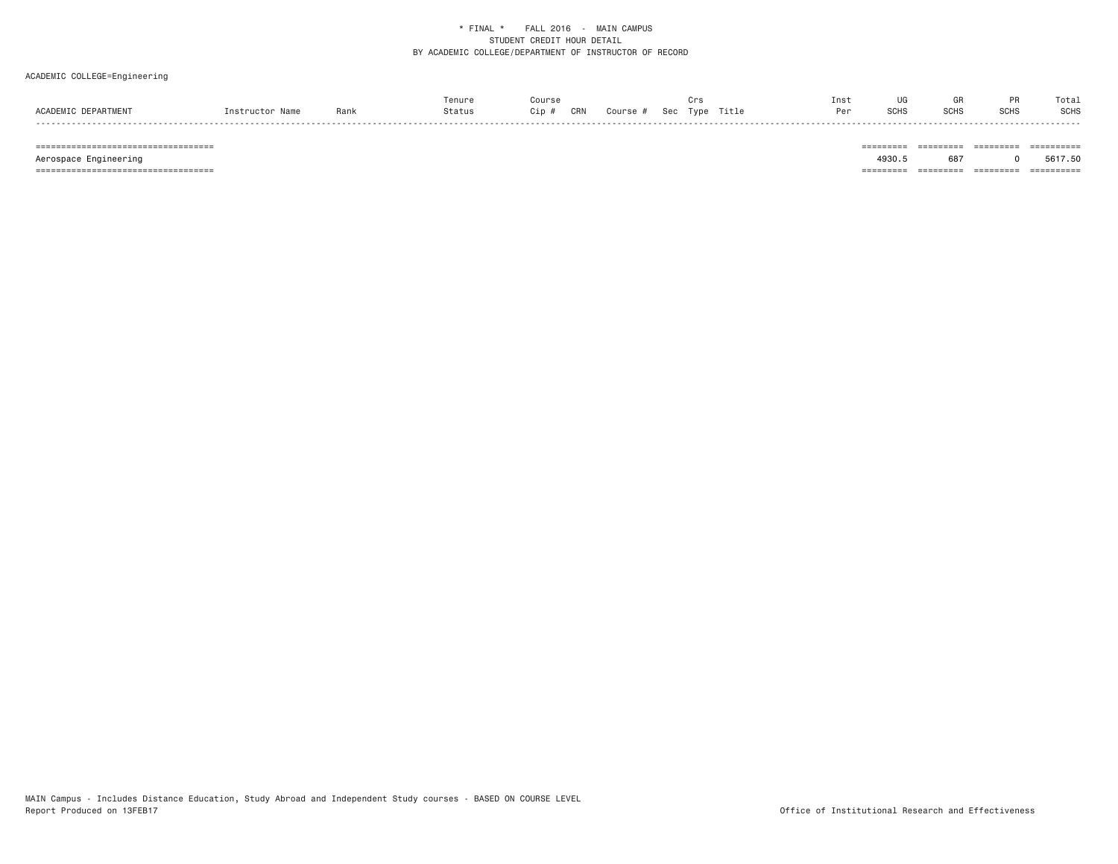# ACADEMIC COLLEGE=Engineering

|               |      | Tenure |            |        |     |               | Ins <sup>.</sup> |              | Gŀ   |             | Total       |
|---------------|------|--------|------------|--------|-----|---------------|------------------|--------------|------|-------------|-------------|
| <b>SCADEM</b> | Rank | Status | CRN<br>;ip | Course | Sec | Title<br>Type |                  | 0010<br>5UH. | SCH: | <b>SCHS</b> | <b>SCHS</b> |
| - - - - -     |      |        |            |        |     |               |                  |              |      |             |             |

 =================================== ========= ========= ========= ========== Aerospace Engineering 4930.5 687 0 5617.50 =================================== ========= ========= ========= ==========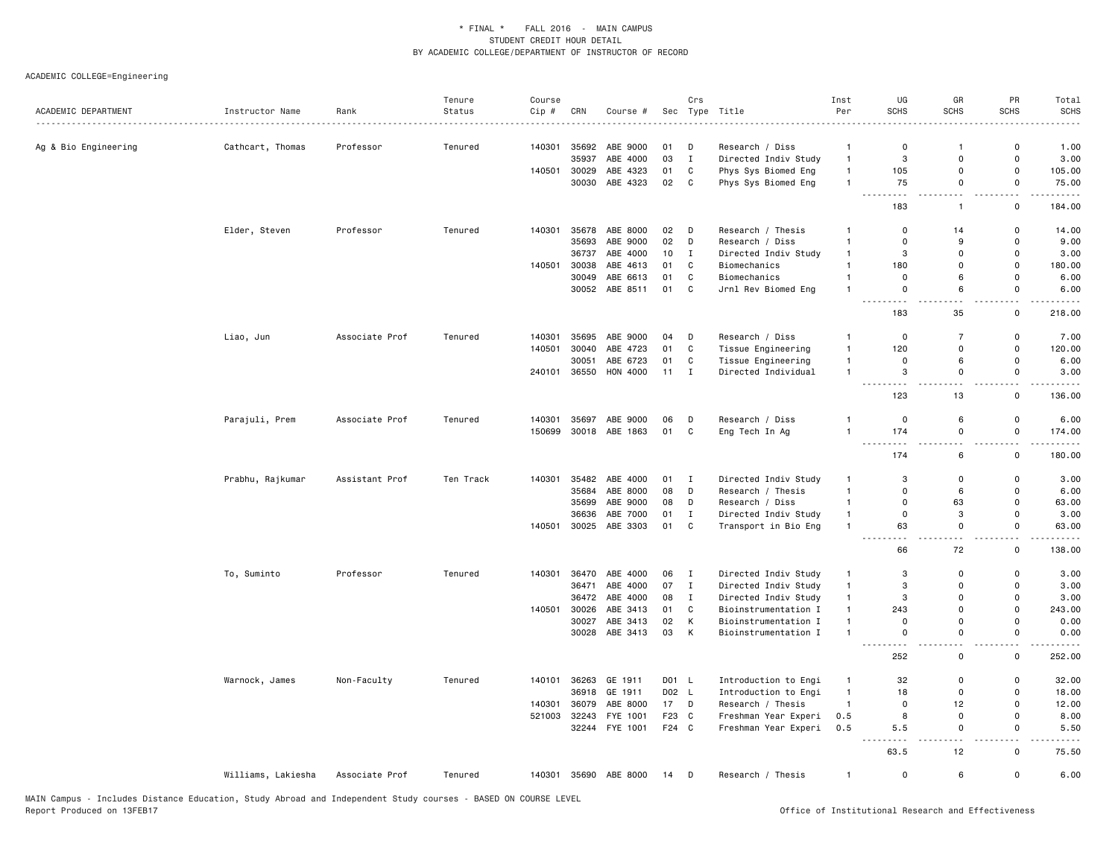|                                                              |                    |                | Tenure    | Course |       |                       |       | Crs          |                      | Inst           | UG                             | GR                            | PR                                      | Total       |
|--------------------------------------------------------------|--------------------|----------------|-----------|--------|-------|-----------------------|-------|--------------|----------------------|----------------|--------------------------------|-------------------------------|-----------------------------------------|-------------|
| ACADEMIC DEPARTMENT<br>------------------------------------- | Instructor Name    | Rank           | Status    | Cip#   | CRN   | Course #              |       |              | Sec Type Title       | Per            | <b>SCHS</b>                    | <b>SCHS</b>                   | <b>SCHS</b>                             | <b>SCHS</b> |
|                                                              |                    |                |           |        |       |                       |       |              |                      |                |                                |                               |                                         |             |
| Ag & Bio Engineering                                         | Cathcart, Thomas   | Professor      | Tenured   | 140301 | 35692 | ABE 9000              | 01    | D            | Research / Diss      | $\mathbf{1}$   | $\mathbf 0$                    | $\mathbf{1}$                  | 0                                       | 1.00        |
|                                                              |                    |                |           |        | 35937 | ABE 4000              | 03    | $\mathbf I$  | Directed Indiv Study | $\mathbf{1}$   | 3                              | $\Omega$                      | $\mathsf{o}\,$                          | 3.00        |
|                                                              |                    |                |           | 140501 | 30029 | ABE 4323              | 01    | C            | Phys Sys Biomed Eng  | $\mathbf{1}$   | 105                            | $\mathbf 0$                   | 0                                       | 105.00      |
|                                                              |                    |                |           |        |       | 30030 ABE 4323        | 02    | C            | Phys Sys Biomed Eng  | $\mathbf{1}$   | 75<br>$\sim$ $\sim$ $\sim$     | $\mathbf 0$<br>$\sim$ $\sim$  | 0<br>$\sim$ $\sim$                      | 75.00<br>.  |
|                                                              |                    |                |           |        |       |                       |       |              |                      |                | 183                            | $\mathbf{1}$                  | 0                                       | 184.00      |
|                                                              | Elder, Steven      | Professor      | Tenured   | 140301 | 35678 | ABE 8000              | 02    | D            | Research / Thesis    | $\mathbf{1}$   | $\mathbf 0$                    | 14                            | 0                                       | 14.00       |
|                                                              |                    |                |           |        | 35693 | ABE 9000              | 02    | D            | Research / Diss      | $\mathbf{1}$   | $\mathbf 0$                    | 9                             | $\mathsf{o}$                            | 9.00        |
|                                                              |                    |                |           |        | 36737 | ABE 4000              | 10    | I            | Directed Indiv Study | $\mathbf{1}$   | 3                              | $\mathbf 0$                   | $\mathsf 0$                             | 3.00        |
|                                                              |                    |                |           | 140501 | 30038 | ABE 4613              | 01    | $\mathbb C$  | Biomechanics         | $\mathbf{1}$   | 180                            | $\mathbf 0$                   | $\mathsf 0$                             | 180.00      |
|                                                              |                    |                |           |        | 30049 | ABE 6613              | 01    | C            | Biomechanics         | $\mathbf{1}$   | $\mathbf 0$                    | 6                             | 0                                       | 6.00        |
|                                                              |                    |                |           |        |       | 30052 ABE 8511        | 01    | C            | Jrnl Rev Biomed Eng  | $\overline{1}$ | $\mathbf 0$                    | 6                             | $\mathsf 0$                             | 6.00        |
|                                                              |                    |                |           |        |       |                       |       |              |                      |                | 183                            | 35                            | 0                                       | 218.00      |
|                                                              | Liao, Jun          | Associate Prof | Tenured   | 140301 | 35695 | ABE 9000              | 04    | D            | Research / Diss      | $\mathbf{1}$   | $\mathbf 0$                    | $\overline{7}$                | 0                                       | 7.00        |
|                                                              |                    |                |           | 140501 | 30040 | ABE 4723              | 01    | C            | Tissue Engineering   | $\mathbf{1}$   | 120                            | $\mathbf 0$                   | 0                                       | 120.00      |
|                                                              |                    |                |           |        | 30051 | ABE 6723              | 01    | $\mathtt{C}$ | Tissue Engineering   | $\mathbf{1}$   | $\mathsf 0$                    | 6                             | $\mathsf 0$                             | 6.00        |
|                                                              |                    |                |           | 240101 | 36550 | HON 4000              | 11    | $\mathbf{I}$ | Directed Individual  | $\mathbf{1}$   | 3<br>$\sim$ $\sim$             | $\mathsf 0$                   | $\mathsf 0$                             | 3.00        |
|                                                              |                    |                |           |        |       |                       |       |              |                      |                | 123                            | 13                            | 0                                       | 136.00      |
|                                                              | Parajuli, Prem     | Associate Prof | Tenured   | 140301 |       | 35697 ABE 9000        | 06    | D            | Research / Diss      | $\overline{1}$ | $\mathsf 0$                    | 6                             | 0                                       | 6.00        |
|                                                              |                    |                |           | 150699 |       | 30018 ABE 1863        | 01 C  |              | Eng Tech In Ag       | $\overline{1}$ | 174                            | $\mathsf 0$                   | $\mathsf 0$                             | 174.00      |
|                                                              |                    |                |           |        |       |                       |       |              |                      |                | $\sim 100$ km s $^{-1}$<br>174 | $\overline{\phantom{a}}$<br>6 | $\overline{\phantom{a}}$<br>$\mathbf 0$ | .<br>180.00 |
|                                                              | Prabhu, Rajkumar   | Assistant Prof | Ten Track | 140301 |       | 35482 ABE 4000        | 01 I  |              | Directed Indiv Study | $\mathbf{1}$   | 3                              | $\mathbf 0$                   | $\mathbf 0$                             | 3.00        |
|                                                              |                    |                |           |        | 35684 | ABE 8000              | 08    | D            | Research / Thesis    | $\mathbf{1}$   | $\mathbf 0$                    | 6                             | $\mathbf 0$                             | 6.00        |
|                                                              |                    |                |           |        | 35699 | ABE 9000              | 08    | D            | Research / Diss      | $\overline{1}$ | $\mathbf 0$                    | 63                            | $\Omega$                                | 63.00       |
|                                                              |                    |                |           |        | 36636 | ABE 7000              | 01    | $\mathbf I$  | Directed Indiv Study | $\mathbf{1}$   | $\mathbf 0$                    | 3                             | $\mathbf 0$                             | 3.00        |
|                                                              |                    |                |           | 140501 |       | 30025 ABE 3303        | 01    | C            | Transport in Bio Eng | $\mathbf{1}$   | 63                             | $\mathbf 0$                   | $\mathsf{o}$                            | 63.00       |
|                                                              |                    |                |           |        |       |                       |       |              |                      |                | 66                             | 72                            | 0                                       | 138.00      |
|                                                              | To, Suminto        | Professor      | Tenured   | 140301 |       | 36470 ABE 4000        | 06    | $\mathbf{I}$ | Directed Indiv Study | $\mathbf{1}$   | 3                              | $\mathbf 0$                   | $\mathsf{o}$                            | 3.00        |
|                                                              |                    |                |           |        | 36471 | ABE 4000              | 07    | $\mathbf{I}$ | Directed Indiv Study | $\mathbf{1}$   | 3                              | $\mathbf 0$                   | $\Omega$                                | 3.00        |
|                                                              |                    |                |           |        | 36472 | ABE 4000              | 08    | I            | Directed Indiv Study | $\mathbf{1}$   | 3                              | $\mathbf 0$                   | $\mathsf 0$                             | 3.00        |
|                                                              |                    |                |           | 140501 | 30026 | ABE 3413              | 01    | $\mathbb C$  | Bioinstrumentation I | $\mathbf{1}$   | 243                            | $\Omega$                      | $\Omega$                                | 243.00      |
|                                                              |                    |                |           |        | 30027 | ABE 3413              | 02    | К            | Bioinstrumentation I | $\mathbf{1}$   | $\mathbf 0$                    | $\mathbf 0$                   | 0                                       | 0.00        |
|                                                              |                    |                |           |        |       | 30028 ABE 3413        | 03    | K            | Bioinstrumentation I | $\overline{1}$ | $\mathbf 0$                    | $\mathbf 0$                   | $\mathsf 0$                             | 0.00        |
|                                                              |                    |                |           |        |       |                       |       |              |                      |                | $\sim$ $\sim$<br>252           | 0                             | 0                                       | 252.00      |
|                                                              | Warnock, James     | Non-Faculty    | Tenured   | 140101 | 36263 | GE 1911               | D01 L |              | Introduction to Engi | $\overline{1}$ | 32                             | 0                             | 0                                       | 32.00       |
|                                                              |                    |                |           |        | 36918 | GE 1911               | D02 L |              | Introduction to Engi | $\mathbf{1}$   | 18                             | $\mathbf 0$                   | 0                                       | 18.00       |
|                                                              |                    |                |           | 140301 | 36079 | ABE 8000              | 17    | D            | Research / Thesis    | $\mathbf{1}$   | $\mathbf 0$                    | 12                            | 0                                       | 12.00       |
|                                                              |                    |                |           | 521003 | 32243 | FYE 1001              | F23 C |              | Freshman Year Experi | 0.5            | 8                              | $\mathbf 0$                   | $\mathsf 0$                             | 8.00        |
|                                                              |                    |                |           |        |       | 32244 FYE 1001        | F24 C |              | Freshman Year Experi | 0.5            | 5.5                            | $\mathbf 0$                   | 0                                       | 5.50        |
|                                                              |                    |                |           |        |       |                       |       |              |                      |                | 63.5                           | 12                            | 0                                       | 75.50       |
|                                                              | Williams, Lakiesha | Associate Prof | Tenured   |        |       | 140301 35690 ABE 8000 | 14 D  |              | Research / Thesis    | $\overline{1}$ | $\mathbf 0$                    | 6                             | 0                                       | 6.00        |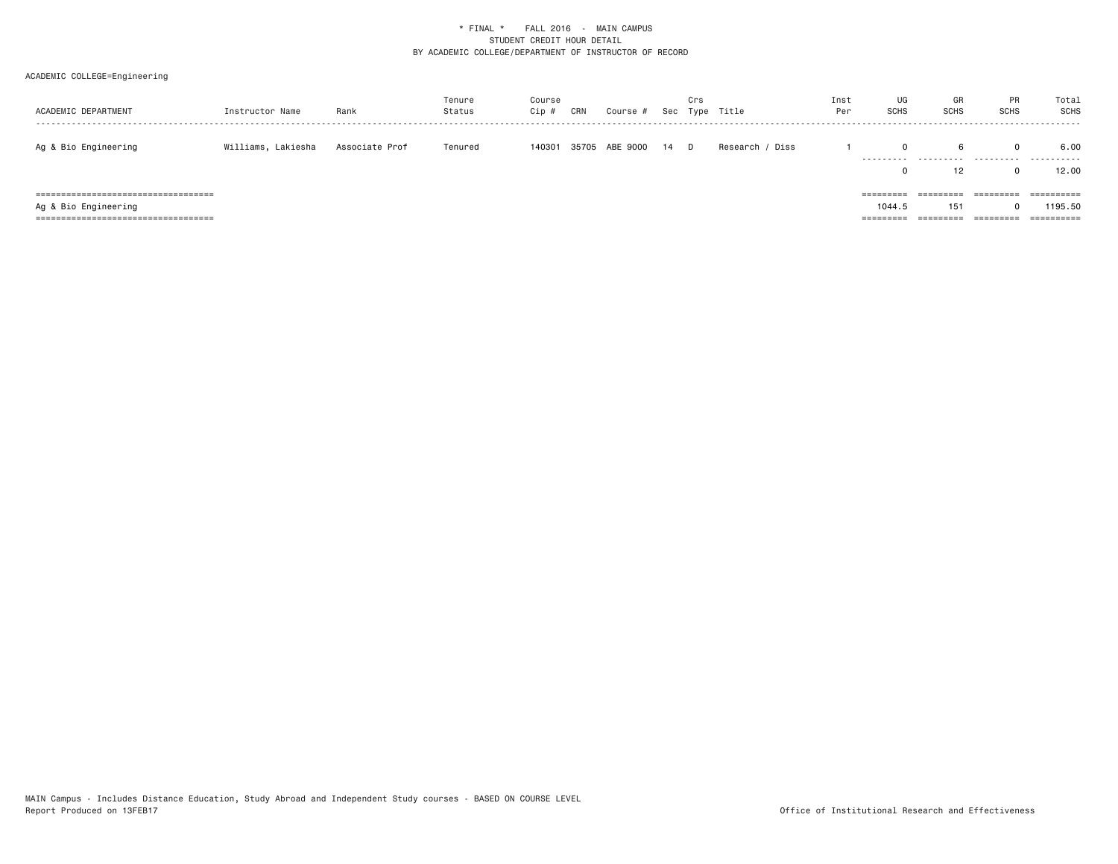| ACADEMIC DEPARTMENT                    | Instructor Name    | Rank           | Tenure<br>Status | Course<br>Cip # | CRN | Course #       |    | Crs | Sec Type Title   | Inst<br>Per | UG<br><b>SCHS</b> | GR<br><b>SCHS</b>      | <b>PR</b><br><b>SCHS</b> | Total<br>SCHS<br>. |
|----------------------------------------|--------------------|----------------|------------------|-----------------|-----|----------------|----|-----|------------------|-------------|-------------------|------------------------|--------------------------|--------------------|
| Ag & Bio Engineering                   | Williams, Lakiesha | Associate Prof | Tenured          | 140301          |     | 35705 ABE 9000 | 14 | D   | Diss<br>Research |             |                   | 6                      |                          | 6.00               |
|                                        |                    |                |                  |                 |     |                |    |     |                  |             |                   | 12                     |                          | 12.00              |
| ====================================== |                    |                |                  |                 |     |                |    |     |                  |             | =========         | =========              | =========                |                    |
| Ag & Bio Engineering                   |                    |                |                  |                 |     |                |    |     |                  |             | 1044.5            | 151                    |                          | 1195.50            |
| =====================================  |                    |                |                  |                 |     |                |    |     |                  |             | ---------         | _________<br>========= | =========                |                    |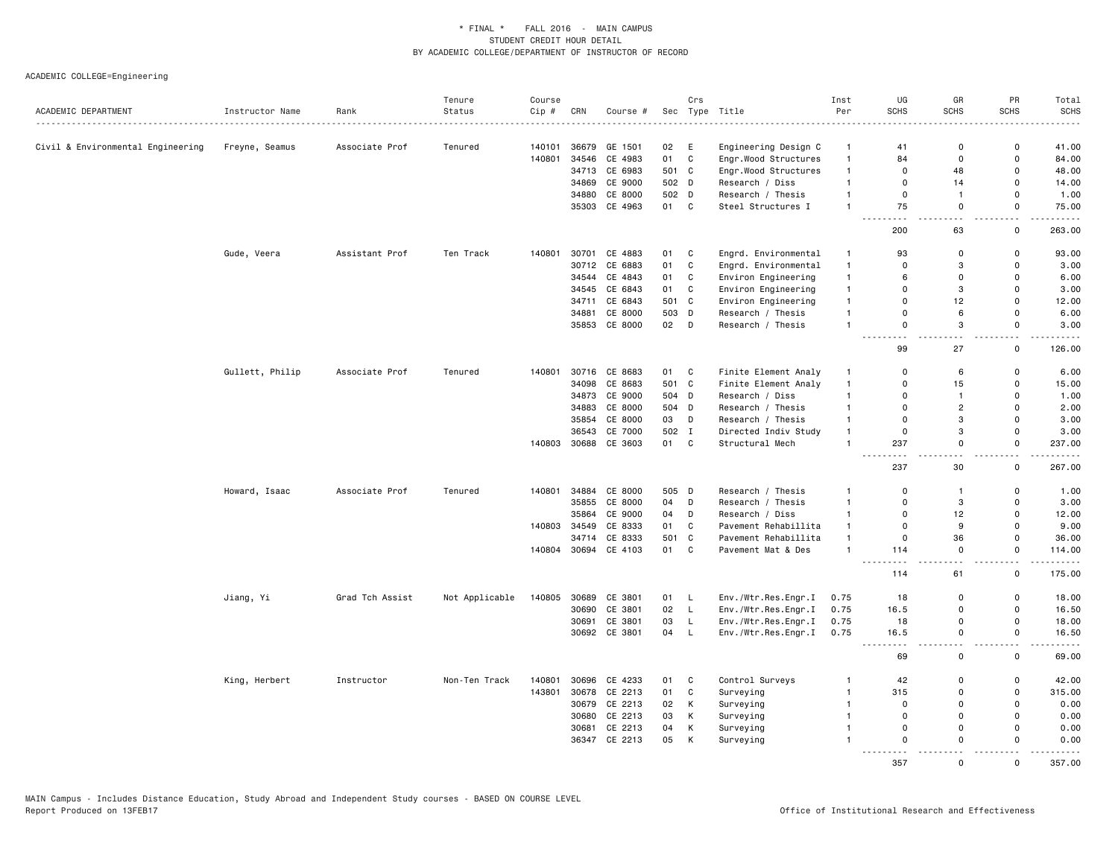|                                   |                 |                      | Tenure         | Course |       |                      |       | Crs          |                            | Inst           | UG                                                                                                                              | GR             | PR           | Total                                                                                                                              |
|-----------------------------------|-----------------|----------------------|----------------|--------|-------|----------------------|-------|--------------|----------------------------|----------------|---------------------------------------------------------------------------------------------------------------------------------|----------------|--------------|------------------------------------------------------------------------------------------------------------------------------------|
| ACADEMIC DEPARTMENT               | Instructor Name | Rank<br>------------ | Status         | Cip #  | CRN   | Course #             | Sec   |              | Type Title<br>. <u>.</u> . | Per            | <b>SCHS</b>                                                                                                                     | <b>SCHS</b>    | <b>SCHS</b>  | <b>SCHS</b>                                                                                                                        |
|                                   |                 |                      |                |        |       |                      |       |              |                            |                |                                                                                                                                 |                |              |                                                                                                                                    |
| Civil & Environmental Engineering | Freyne, Seamus  | Associate Prof       | Tenured        | 140101 | 36679 | GE 1501              | 02    | $-E$         | Engineering Design C       | $\mathbf{1}$   | 41                                                                                                                              | $\Omega$       | $\Omega$     | 41.00                                                                                                                              |
|                                   |                 |                      |                | 140801 | 34546 | CE 4983              | 01    | C            | Engr.Wood Structures       | $\mathbf{1}$   | 84                                                                                                                              | 0              | $\Omega$     | 84.00                                                                                                                              |
|                                   |                 |                      |                |        |       | 34713 CE 6983        | 501 C |              | Engr.Wood Structures       | $\mathbf{1}$   | 0                                                                                                                               | 48             | $\mathbf 0$  | 48.00                                                                                                                              |
|                                   |                 |                      |                |        | 34869 | CE 9000              | 502 D |              | Research / Diss            | $\mathbf{1}$   | 0                                                                                                                               | 14             | $\mathsf{o}$ | 14.00                                                                                                                              |
|                                   |                 |                      |                |        | 34880 | CE 8000              | 502 D |              | Research / Thesis          | $\mathbf{1}$   | 0                                                                                                                               | $\mathbf{1}$   | $\mathsf{o}$ | 1.00                                                                                                                               |
|                                   |                 |                      |                |        |       | 35303 CE 4963        | 01    | C            | Steel Structures I         | $\mathbf{1}$   | 75<br>$\frac{1}{2} \left( \frac{1}{2} \right) \left( \frac{1}{2} \right) \left( \frac{1}{2} \right) \left( \frac{1}{2} \right)$ | 0              | 0<br>$\sim$  | 75.00<br>$\sim$                                                                                                                    |
|                                   |                 |                      |                |        |       |                      |       |              |                            |                | 200                                                                                                                             | 63             | $\mathbf 0$  | 263.00                                                                                                                             |
|                                   | Gude, Veera     | Assistant Prof       | Ten Track      | 140801 | 30701 | CE 4883              | 01    | C            | Engrd. Environmental       | $\mathbf{1}$   | 93                                                                                                                              | $\Omega$       | $\Omega$     | 93.00                                                                                                                              |
|                                   |                 |                      |                |        | 30712 | CE 6883              | 01    | $\mathbb{C}$ | Engrd. Environmental       | $\mathbf{1}$   | $\Omega$                                                                                                                        | 3              | $\mathbf 0$  | 3.00                                                                                                                               |
|                                   |                 |                      |                |        |       | 34544 CE 4843        | 01    | C            | Environ Engineering        | $\mathbf{1}$   | 6                                                                                                                               | $\Omega$       | $\Omega$     | 6.00                                                                                                                               |
|                                   |                 |                      |                |        | 34545 | CE 6843              | 01    | C            | Environ Engineering        | $\mathbf{1}$   | 0                                                                                                                               | 3              | $\mathbf 0$  | 3.00                                                                                                                               |
|                                   |                 |                      |                |        |       | 34711 CE 6843        | 501   | C            | Environ Engineering        | $\mathbf{1}$   | 0                                                                                                                               | 12             | $\Omega$     | 12.00                                                                                                                              |
|                                   |                 |                      |                |        | 34881 | CE 8000              | 503   | D            | Research / Thesis          | $\mathbf{1}$   | 0                                                                                                                               | 6              | $\Omega$     | 6.00                                                                                                                               |
|                                   |                 |                      |                |        | 35853 | CE 8000              | 02    | D            | Research / Thesis          | $\mathbf{1}$   | $\mathsf 0$                                                                                                                     | 3              | $\mathsf 0$  | 3.00<br>.                                                                                                                          |
|                                   |                 |                      |                |        |       |                      |       |              |                            |                | 99                                                                                                                              | 27             | $\mathsf{o}$ | 126.00                                                                                                                             |
|                                   | Gullett, Philip | Associate Prof       | Tenured        | 140801 |       | 30716 CE 8683        | 01    | C            | Finite Element Analy       | $\mathbf{1}$   | $\mathbf 0$                                                                                                                     | 6              | $\Omega$     | 6.00                                                                                                                               |
|                                   |                 |                      |                |        | 34098 | CE 8683              | 501 C |              | Finite Element Analy       | $\mathbf{1}$   | 0                                                                                                                               | 15             | $\Omega$     | 15.00                                                                                                                              |
|                                   |                 |                      |                |        | 34873 | CE 9000              | 504 D |              | Research / Diss            | $\mathbf{1}$   | $\Omega$                                                                                                                        | $\mathbf{1}$   | $\Omega$     | 1.00                                                                                                                               |
|                                   |                 |                      |                |        |       | 34883 CE 8000        | 504 D |              | Research / Thesis          | $\mathbf{1}$   | $\mathsf{o}$                                                                                                                    | $\overline{2}$ | $\mathbf 0$  | 2.00                                                                                                                               |
|                                   |                 |                      |                |        |       | 35854 CE 8000        | 03    | D            | Research / Thesis          | $\mathbf{1}$   | 0                                                                                                                               | 3              | $\mathsf{o}$ | 3.00                                                                                                                               |
|                                   |                 |                      |                |        | 36543 | CE 7000              | 502 I |              | Directed Indiv Study       | $\mathbf{1}$   | 0                                                                                                                               | 3              | $\Omega$     | 3.00                                                                                                                               |
|                                   |                 |                      |                |        |       | 140803 30688 CE 3603 | 01 C  |              | Structural Mech            | $\blacksquare$ | 237                                                                                                                             | $\Omega$       | $\mathsf{o}$ | 237.00                                                                                                                             |
|                                   |                 |                      |                |        |       |                      |       |              |                            |                |                                                                                                                                 |                |              | .                                                                                                                                  |
|                                   |                 |                      |                |        |       |                      |       |              |                            |                | 237                                                                                                                             | 30             | 0            | 267.00                                                                                                                             |
|                                   | Howard, Isaac   | Associate Prof       | Tenured        | 140801 | 34884 | CE 8000              | 505 D |              | Research / Thesis          | $\mathbf{1}$   | 0                                                                                                                               | -1             | $\mathsf 0$  | 1.00                                                                                                                               |
|                                   |                 |                      |                |        |       | 35855 CE 8000        | 04    | D            | Research / Thesis          | $\mathbf{1}$   | 0                                                                                                                               | 3              | $\mathbf 0$  | 3.00                                                                                                                               |
|                                   |                 |                      |                |        | 35864 | CE 9000              | 04    | D            | Research / Diss            | $\mathbf{1}$   | 0                                                                                                                               | 12             | 0            | 12.00                                                                                                                              |
|                                   |                 |                      |                | 140803 | 34549 | CE 8333              | 01    | C            | Pavement Rehabillita       | $\mathbf{1}$   | $\mathsf{o}$                                                                                                                    | 9              | $\Omega$     | 9.00                                                                                                                               |
|                                   |                 |                      |                |        |       | 34714 CE 8333        | 501   | C            | Pavement Rehabillita       | $\mathbf{1}$   | 0                                                                                                                               | 36             | $\Omega$     | 36.00                                                                                                                              |
|                                   |                 |                      |                |        |       | 140804 30694 CE 4103 | 01    | C            | Pavement Mat & Des         | $\mathbf{1}$   | 114                                                                                                                             | 0              | 0            | 114.00<br>والمناصبات                                                                                                               |
|                                   |                 |                      |                |        |       |                      |       |              |                            |                | 114                                                                                                                             | 61             | $\Omega$     | 175.00                                                                                                                             |
|                                   | Jiang, Yi       | Grad Tch Assist      | Not Applicable | 140805 | 30689 | CE 3801              | 01    | L.           | Env./Wtr.Res.Engr.I        | 0.75           | 18                                                                                                                              | 0              | 0            | 18.00                                                                                                                              |
|                                   |                 |                      |                |        |       | 30690 CE 3801        | 02    | L            | Env./Wtr.Res.Engr.I        | 0.75           | 16.5                                                                                                                            | $\Omega$       | $\mathbf 0$  | 16.50                                                                                                                              |
|                                   |                 |                      |                |        | 30691 | CE 3801              | 03    | L            | Env./Wtr.Res.Engr.I        | 0.75           | 18                                                                                                                              | 0              | 0            | 18.00                                                                                                                              |
|                                   |                 |                      |                |        |       | 30692 CE 3801        | 04    | L.           | Env./Wtr.Res.Engr.I        | 0.75           | 16.5                                                                                                                            | $\mathsf{O}$   | $\mathbf 0$  | 16.50                                                                                                                              |
|                                   |                 |                      |                |        |       |                      |       |              |                            |                | $\frac{1}{2} \left( \frac{1}{2} \right) \left( \frac{1}{2} \right) \left( \frac{1}{2} \right) \left( \frac{1}{2} \right)$<br>69 | 0              | 0            | $\frac{1}{2} \left( \frac{1}{2} \right) \left( \frac{1}{2} \right) \left( \frac{1}{2} \right) \left( \frac{1}{2} \right)$<br>69.00 |
|                                   | King, Herbert   | Instructor           | Non-Ten Track  | 140801 | 30696 | CE 4233              | 01    | C            | Control Surveys            | -1             | 42                                                                                                                              | 0              | 0            | 42.00                                                                                                                              |
|                                   |                 |                      |                | 143801 | 30678 | CE 2213              | 01    | C            | Surveying                  | $\mathbf{1}$   | 315                                                                                                                             | 0              | $\mathbf 0$  | 315.00                                                                                                                             |
|                                   |                 |                      |                |        |       | 30679 CE 2213        | 02    | К            | Surveying                  | $\mathbf{1}$   | 0                                                                                                                               | $\Omega$       | $\mathbf 0$  | 0.00                                                                                                                               |
|                                   |                 |                      |                |        | 30680 | CE 2213              | 03    | К            | Surveying                  | $\mathbf{1}$   | $\mathsf 0$                                                                                                                     | $\mathsf{O}$   | $\mathbf 0$  | 0.00                                                                                                                               |
|                                   |                 |                      |                |        | 30681 | CE 2213              | 04    | К            | Surveying                  | $\mathbf{1}$   | 0                                                                                                                               | 0              | $\Omega$     | 0.00                                                                                                                               |
|                                   |                 |                      |                |        | 36347 | CE 2213              | 05    | K            | Surveying                  | $\mathbf{1}$   | 0                                                                                                                               | 0              | 0            | 0.00                                                                                                                               |
|                                   |                 |                      |                |        |       |                      |       |              |                            |                | 357                                                                                                                             | $\Omega$       | $\Omega$     | 357.00                                                                                                                             |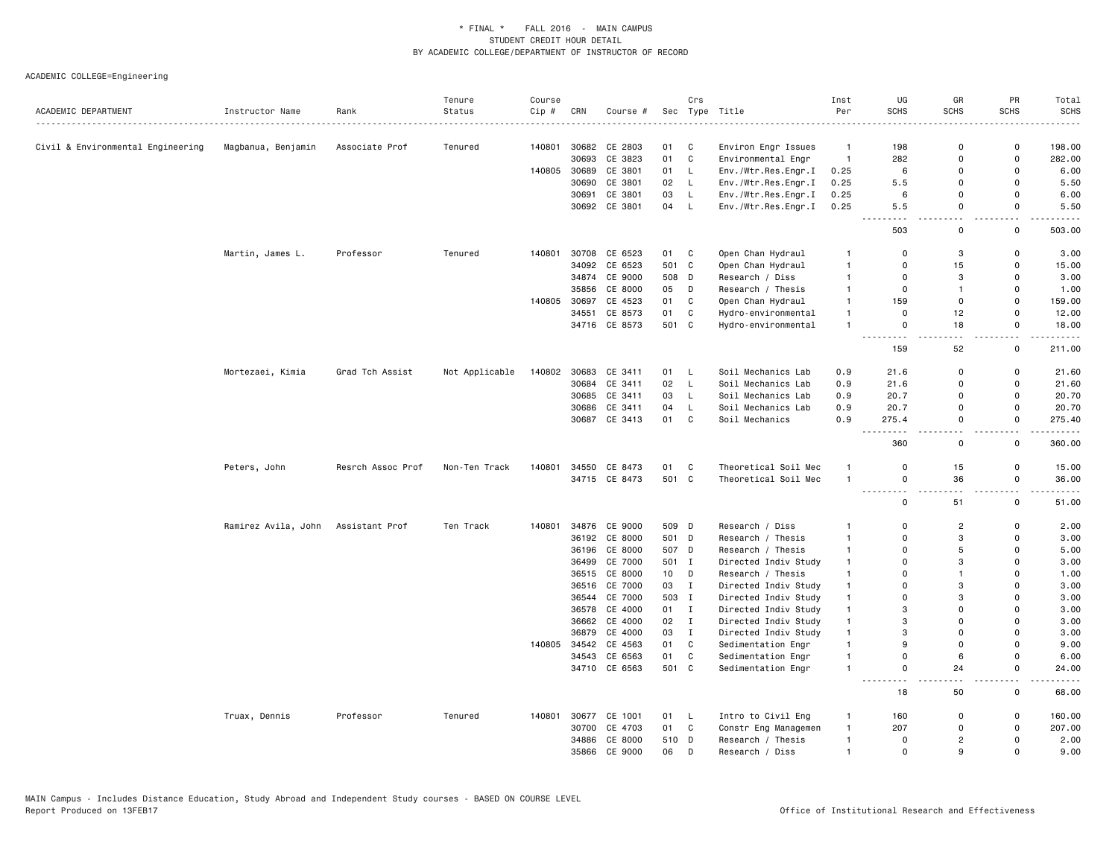|                                   |                     |                    | Tenure         | Course |       |               |       | Crs          |                                | Inst           | UG                                       | GR                   | PR                            | Total                                |
|-----------------------------------|---------------------|--------------------|----------------|--------|-------|---------------|-------|--------------|--------------------------------|----------------|------------------------------------------|----------------------|-------------------------------|--------------------------------------|
| ACADEMIC DEPARTMENT               | Instructor Name     | Rank<br>. <u>.</u> | Status         | Cip #  | CRN   | Course #      |       |              | Sec Type Title<br>. <u>.</u> . | Per            | <b>SCHS</b>                              | <b>SCHS</b>          | <b>SCHS</b>                   | <b>SCHS</b>                          |
|                                   |                     |                    |                |        |       |               |       |              |                                |                |                                          |                      |                               |                                      |
| Civil & Environmental Engineering | Magbanua, Benjamin  | Associate Prof     | Tenured        | 140801 | 30682 | CE 2803       | 01    | C            | Environ Engr Issues            | $\overline{1}$ | 198                                      | $\mathbf 0$          | $\mathsf{o}$                  | 198.00                               |
|                                   |                     |                    |                |        | 30693 | CE 3823       | 01    | $\mathbf{C}$ | Environmental Engr             | $\overline{1}$ | 282                                      | $\mathbf 0$          | $\mathsf 0$                   | 282.00                               |
|                                   |                     |                    |                | 140805 | 30689 | CE 3801       | 01    | L.           | Env./Wtr.Res.Engr.I            | 0.25           | 6                                        | $\mathbf 0$          | 0                             | 6.00                                 |
|                                   |                     |                    |                |        | 30690 | CE 3801       | 02    | L.           | Env./Wtr.Res.Engr.I            | 0.25           | 5.5                                      | $\Omega$             | $\mathbf 0$                   | 5.50                                 |
|                                   |                     |                    |                |        | 30691 | CE 3801       | 03    | $\mathsf{L}$ | Env./Wtr.Res.Engr.I            | 0.25           | 6                                        | $\Omega$             | $\mathbf 0$                   | 6.00                                 |
|                                   |                     |                    |                |        |       | 30692 CE 3801 | 04    | - L          | Env./Wtr.Res.Engr.I            | 0.25           | 5.5                                      | $\mathbf 0$          | $\mathbf 0$<br>$\overline{a}$ | 5.50                                 |
|                                   |                     |                    |                |        |       |               |       |              |                                |                | 503                                      | $\Omega$             | $\mathsf{o}$                  | 503.00                               |
|                                   | Martin, James L.    | Professor          | Tenured        | 140801 |       | 30708 CE 6523 | 01    | C            | Open Chan Hydraul              | $\mathbf{1}$   | $\Omega$                                 | 3                    | $\mathsf{o}$                  | 3.00                                 |
|                                   |                     |                    |                |        |       | 34092 CE 6523 | 501 C |              | Open Chan Hydraul              | $\overline{1}$ | $\Omega$                                 | 15                   | 0                             | 15.00                                |
|                                   |                     |                    |                |        |       | 34874 CE 9000 | 508   | D            | Research / Diss                | $\overline{1}$ | 0                                        | 3                    | 0                             | 3.00                                 |
|                                   |                     |                    |                |        | 35856 | CE 8000       | 05    | D            | Research / Thesis              | $\overline{1}$ | $\mathbf 0$                              | $\mathbf{1}$         | $\mathsf 0$                   | 1.00                                 |
|                                   |                     |                    |                | 140805 | 30697 | CE 4523       | 01    | C            | Open Chan Hydraul              | $\overline{1}$ | 159                                      | $\mathbf 0$          | $\mathbf 0$                   | 159.00                               |
|                                   |                     |                    |                |        | 34551 | CE 8573       | 01    | C            | Hydro-environmental            | $\overline{1}$ | $\mathbf 0$                              | 12                   | $\mathsf 0$                   | 12.00                                |
|                                   |                     |                    |                |        |       | 34716 CE 8573 | 501 C |              | Hydro-environmental            | $\overline{1}$ | $\mathbf 0$<br>$\sim$ $\sim$ $\sim$<br>. | 18<br>$\overline{a}$ | 0<br>$\overline{\phantom{0}}$ | 18.00<br>$\cdots$                    |
|                                   |                     |                    |                |        |       |               |       |              |                                |                | 159                                      | 52                   | 0                             | 211.00                               |
|                                   | Mortezaei, Kimia    | Grad Tch Assist    | Not Applicable | 140802 |       | 30683 CE 3411 | 01 L  |              | Soil Mechanics Lab             | 0.9            | 21.6                                     | $\mathbf 0$          | $\mathsf 0$                   | 21.60                                |
|                                   |                     |                    |                |        | 30684 | CE 3411       | 02    | - L          | Soil Mechanics Lab             | 0.9            | 21.6                                     | $\mathbf 0$          | 0                             | 21.60                                |
|                                   |                     |                    |                |        |       | 30685 CE 3411 | 03    | L.           | Soil Mechanics Lab             | 0.9            | 20.7                                     | $\Omega$             | $\mathbf 0$                   | 20.70                                |
|                                   |                     |                    |                |        |       | 30686 CE 3411 | 04    | L            | Soil Mechanics Lab             | 0.9            | 20.7                                     | $\Omega$             | $\mathbf 0$                   | 20.70                                |
|                                   |                     |                    |                |        |       | 30687 CE 3413 | 01    | C            | Soil Mechanics                 | 0.9            | 275.4<br>$\sim$ $\sim$                   | $\mathbf 0$<br>. .   | $\mathbf 0$<br>i.             | 275.40                               |
|                                   |                     |                    |                |        |       |               |       |              |                                |                | 360                                      | $\Omega$             | 0                             | 360.00                               |
|                                   | Peters, John        | Resrch Assoc Prof  | Non-Ten Track  | 140801 | 34550 | CE 8473       | 01    | C            | Theoretical Soil Mec           | $\overline{1}$ | $\mathbf 0$                              | 15                   | $\mathsf 0$                   | 15.00                                |
|                                   |                     |                    |                |        |       | 34715 CE 8473 | 501 C |              | Theoretical Soil Mec           | $\overline{1}$ | 0                                        | 36                   | 0                             | 36.00                                |
|                                   |                     |                    |                |        |       |               |       |              |                                |                | $\sim$ $\sim$<br>$\mathbf 0$             | 51                   | н.<br>$\mathbf 0$             | $\sim$ $\sim$ $\sim$ $\sim$<br>51.00 |
|                                   | Ramirez Avila, John | Assistant Prof     | Ten Track      | 140801 | 34876 | CE 9000       | 509 D |              | Research / Diss                | $\mathbf{1}$   | $\mathbf 0$                              | $\overline{2}$       | 0                             | 2.00                                 |
|                                   |                     |                    |                |        |       | 36192 CE 8000 | 501 D |              | Research / Thesis              | $\overline{1}$ | $\mathbf 0$                              | 3                    | $\mathbf 0$                   | 3.00                                 |
|                                   |                     |                    |                |        | 36196 | CE 8000       | 507 D |              | Research / Thesis              | $\mathbf{1}$   | $\Omega$                                 | 5                    | $\mathbf 0$                   | 5.00                                 |
|                                   |                     |                    |                |        | 36499 | CE 7000       | 501 I |              | Directed Indiv Study           | $\mathbf{1}$   | $\Omega$                                 | 3                    | $\mathbf 0$                   | 3.00                                 |
|                                   |                     |                    |                |        |       | 36515 CE 8000 | 10    | D            | Research / Thesis              | $\overline{1}$ | $\Omega$                                 | $\mathbf{1}$         | $\Omega$                      | 1.00                                 |
|                                   |                     |                    |                |        |       | 36516 CE 7000 | 03    | $\mathbf{I}$ | Directed Indiv Study           | $\overline{1}$ | $\Omega$                                 | 3                    | $\Omega$                      | 3.00                                 |
|                                   |                     |                    |                |        |       | 36544 CE 7000 | 503   | $\mathbf I$  | Directed Indiv Study           | $\mathbf{1}$   | $\Omega$                                 | 3                    | $\mathbf 0$                   | 3.00                                 |
|                                   |                     |                    |                |        |       | 36578 CE 4000 | 01 I  |              | Directed Indiv Study           | $\overline{1}$ | 3                                        | $\Omega$             | $\Omega$                      | 3.00                                 |
|                                   |                     |                    |                |        |       | 36662 CE 4000 | 02    | $\mathbf{I}$ | Directed Indiv Study           | $\mathbf{1}$   | 3                                        | $\Omega$             | $\Omega$                      | 3.00                                 |
|                                   |                     |                    |                |        | 36879 | CE 4000       | 03    | $\mathbf{I}$ | Directed Indiv Study           | $\overline{1}$ | 3                                        | $\mathbf 0$          | 0                             | 3.00                                 |
|                                   |                     |                    |                | 140805 |       | 34542 CE 4563 | 01    | C            | Sedimentation Engr             | $\overline{1}$ | 9                                        | $\mathbf 0$          | $\mathbf 0$                   | 9.00                                 |
|                                   |                     |                    |                |        |       | 34543 CE 6563 | 01    | $\mathbf{C}$ | Sedimentation Engr             | $\overline{1}$ | $\Omega$                                 | 6                    | $\mathbf 0$                   | 6.00                                 |
|                                   |                     |                    |                |        |       | 34710 CE 6563 | 501 C |              | Sedimentation Engr             | $\overline{1}$ | 0<br>$\sim$ $\sim$                       | 24                   | 0<br>$\overline{a}$           | 24.00                                |
|                                   |                     |                    |                |        |       |               |       |              |                                |                | 18                                       | 50                   | 0                             | 68.00                                |
|                                   | Truax, Dennis       | Professor          | Tenured        | 140801 |       | 30677 CE 1001 | 01 L  |              | Intro to Civil Eng             | $\overline{1}$ | 160                                      | $\mathbf 0$          | $\mathsf 0$                   | 160.00                               |
|                                   |                     |                    |                |        | 30700 | CE 4703       | 01 C  |              | Constr Eng Managemen           | $\overline{1}$ | 207                                      | $\Omega$             | $\mathsf 0$                   | 207.00                               |
|                                   |                     |                    |                |        | 34886 | CE 8000       | 510   | D            | Research / Thesis              | $\overline{1}$ | 0                                        | $\overline{2}$       | 0                             | 2.00                                 |
|                                   |                     |                    |                |        |       | 35866 CE 9000 | 06    | D            | Research / Diss                | $\overline{1}$ | $\mathbf 0$                              | $\mathbf{Q}$         | $\mathbf 0$                   | 9.00                                 |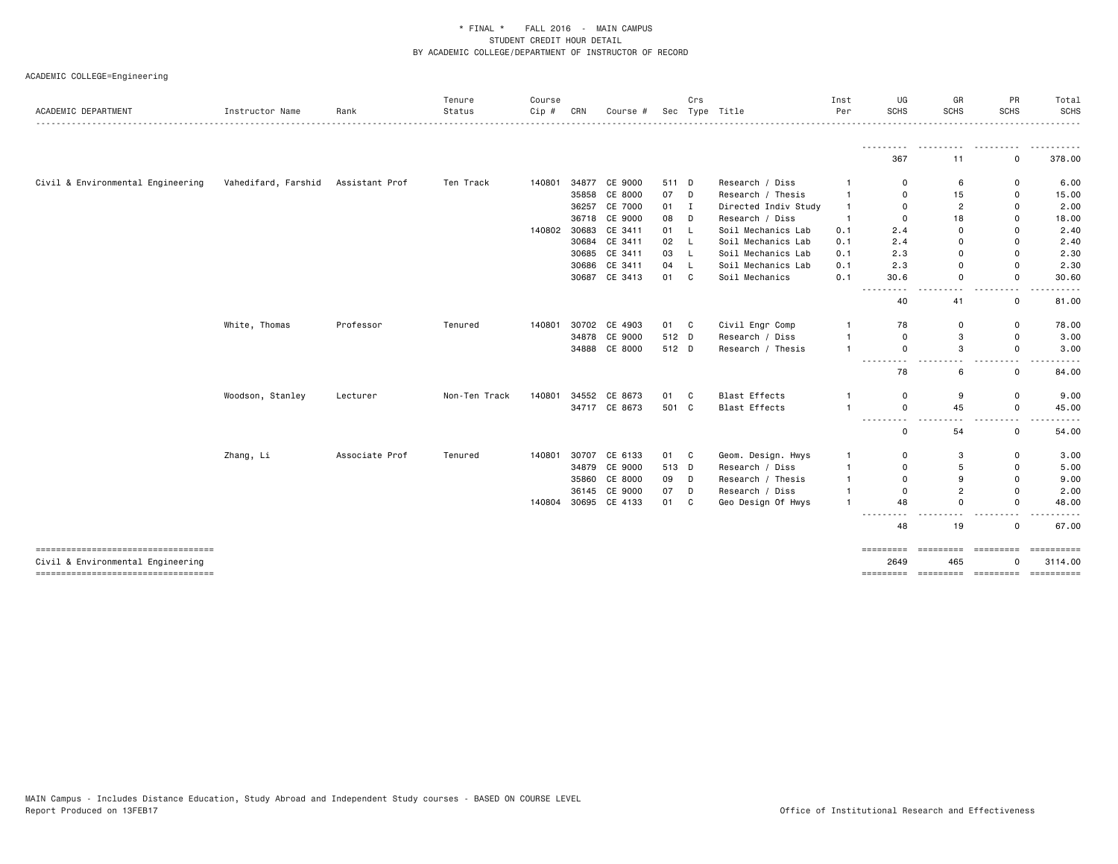| ACADEMIC DEPARTMENT                                                     | Instructor Name     | Rank           | Tenure<br>Status | Course<br>Cip # | CRN   | Course #      |       | Crs          | Sec Type Title       | Inst<br>Per  | UG<br><b>SCHS</b>                                                                                                                                | GR<br><b>SCHS</b>              | PR<br><b>SCHS</b>             | Total<br>SCHS<br>.    |
|-------------------------------------------------------------------------|---------------------|----------------|------------------|-----------------|-------|---------------|-------|--------------|----------------------|--------------|--------------------------------------------------------------------------------------------------------------------------------------------------|--------------------------------|-------------------------------|-----------------------|
|                                                                         |                     |                |                  |                 |       |               |       |              |                      |              | 367                                                                                                                                              | 11                             | 0                             | .<br>378.00           |
| Civil & Environmental Engineering                                       | Vahedifard, Farshid | Assistant Prof | Ten Track        | 140801          |       | 34877 CE 9000 | 511 D |              | Research / Diss      |              | $\Omega$                                                                                                                                         | 6                              | 0                             | 6.00                  |
|                                                                         |                     |                |                  |                 |       | 35858 CE 8000 | 07    | D            | Research / Thesis    | $\mathbf{1}$ | $\Omega$                                                                                                                                         | 15                             | 0                             | 15.00                 |
|                                                                         |                     |                |                  |                 |       | 36257 CE 7000 | 01    | $\mathbf{I}$ | Directed Indiv Study | $\mathbf{1}$ | $\Omega$                                                                                                                                         | 2                              | 0                             | 2.00                  |
|                                                                         |                     |                |                  |                 |       | 36718 CE 9000 | 08    | D            | Research / Diss      | $\mathbf{1}$ | 0                                                                                                                                                | 18                             | 0                             | 18.00                 |
|                                                                         |                     |                |                  | 140802          | 30683 | CE 3411       | 01    | L.           | Soil Mechanics Lab   | 0.1          | 2.4                                                                                                                                              | $\mathbf 0$                    | 0                             | 2.40                  |
|                                                                         |                     |                |                  |                 |       | 30684 CE 3411 | 02    | L            | Soil Mechanics Lab   | 0.1          | 2.4                                                                                                                                              | $\mathbf 0$                    | $\Omega$                      | 2.40                  |
|                                                                         |                     |                |                  |                 |       | 30685 CE 3411 | 03    | L.           | Soil Mechanics Lab   | 0.1          | 2.3                                                                                                                                              | $\mathbf 0$                    | 0                             | 2.30                  |
|                                                                         |                     |                |                  |                 |       | 30686 CE 3411 | 04    | -L           | Soil Mechanics Lab   | 0.1          | 2.3                                                                                                                                              | $\Omega$                       | $\Omega$                      | 2.30                  |
|                                                                         |                     |                |                  |                 |       | 30687 CE 3413 | 01    | C            | Soil Mechanics       | 0.1          | 30.6                                                                                                                                             | $\mathbf 0$                    | $\Omega$                      | 30.60                 |
|                                                                         |                     |                |                  |                 |       |               |       |              |                      |              | $\frac{1}{2} \left( \frac{1}{2} \right) \left( \frac{1}{2} \right) \left( \frac{1}{2} \right) \left( \frac{1}{2} \right)$<br>$\frac{1}{2}$<br>40 | $\overline{\phantom{a}}$<br>41 | $\sim$ $\sim$<br>$\mathbf 0$  | 81.00                 |
|                                                                         | White, Thomas       | Professor      | Tenured          | 140801          |       | 30702 CE 4903 | 01 C  |              | Civil Engr Comp      |              | 78                                                                                                                                               | 0                              | 0                             | 78.00                 |
|                                                                         |                     |                |                  |                 |       | 34878 CE 9000 | 512 D |              | Research / Diss      |              | 0                                                                                                                                                | 3                              | 0                             | 3.00                  |
|                                                                         |                     |                |                  |                 |       | 34888 CE 8000 | 512 D |              | Research / Thesis    |              | 0                                                                                                                                                | 3                              | $\mathbf 0$                   | 3.00                  |
|                                                                         |                     |                |                  |                 |       |               |       |              |                      |              | ---------<br>78                                                                                                                                  | .<br>6                         | $\sim$ $\sim$<br>0            | 84.00                 |
|                                                                         | Woodson, Stanley    | Lecturer       | Non-Ten Track    | 140801          |       | 34552 CE 8673 | 01    | C            | <b>Blast Effects</b> |              | 0                                                                                                                                                | 9                              | $\mathsf{o}$                  | 9.00                  |
|                                                                         |                     |                |                  |                 |       | 34717 CE 8673 | 501 C |              | <b>Blast Effects</b> | $\mathbf{1}$ | 0                                                                                                                                                | 45                             | $\mathsf{o}$                  | 45.00                 |
|                                                                         |                     |                |                  |                 |       |               |       |              |                      |              | -----<br>- - -<br>0                                                                                                                              | $\sim$ $\sim$<br>54            | $\sim$ $\sim$<br>$\mathsf{o}$ | 54.00                 |
|                                                                         | Zhang, Li           | Associate Prof | Tenured          | 140801          |       | 30707 CE 6133 | 01    | C            | Geom. Design. Hwys   | -1           | 0                                                                                                                                                | 3                              | 0                             | 3.00                  |
|                                                                         |                     |                |                  |                 |       | 34879 CE 9000 | 513 D |              | Research / Diss      |              | $\Omega$                                                                                                                                         | 5                              | 0                             | 5.00                  |
|                                                                         |                     |                |                  |                 | 35860 | CE 8000       | 09    | D            | Research / Thesis    | $\mathbf{1}$ | 0                                                                                                                                                | 9                              | 0                             | 9.00                  |
|                                                                         |                     |                |                  |                 |       | 36145 CE 9000 | 07    | D            | Research / Diss      |              | $\Omega$                                                                                                                                         | $\overline{2}$                 | $\Omega$                      | 2.00                  |
|                                                                         |                     |                |                  | 140804          |       | 30695 CE 4133 | 01    | C            | Geo Design Of Hwys   | $\mathbf{1}$ | 48                                                                                                                                               | $\mathbf 0$                    | 0                             | 48.00                 |
|                                                                         |                     |                |                  |                 |       |               |       |              |                      |              | .<br>$  -$<br>48                                                                                                                                 | $\sim$ $\sim$<br>19            | $\sim$ $\sim$<br>0            | 67.00                 |
| ----------------------------------<br>Civil & Environmental Engineering |                     |                |                  |                 |       |               |       |              |                      |              | ========== =========<br>2649                                                                                                                     | 465                            | =========                     | ==========<br>3114.00 |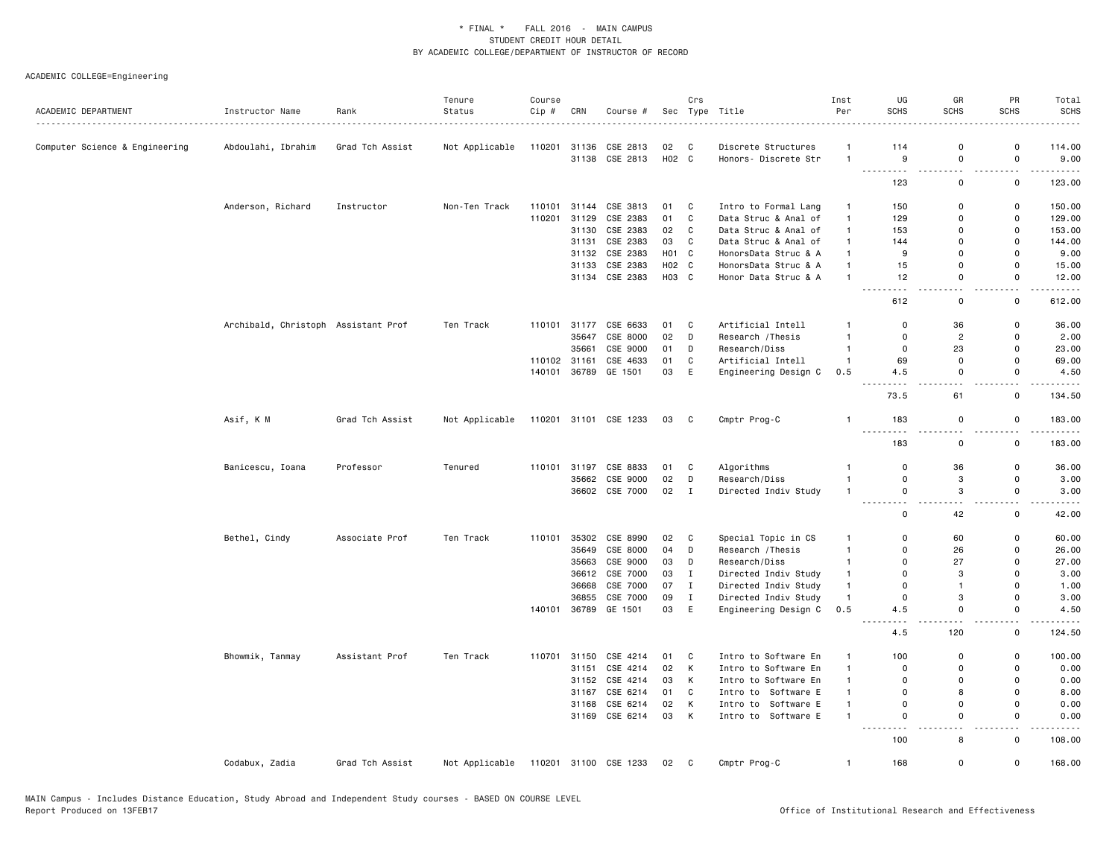| ACADEMIC DEPARTMENT            | Instructor Name                     | Rank            | Tenure<br>Status | Course<br>Cip # | CRN          | Course #                   |                   | Crs          | Sec Type Title                              | Inst<br>Per    | UG<br><b>SCHS</b>            | GR<br><b>SCHS</b>            | PR<br><b>SCHS</b>                       | Total<br><b>SCHS</b> |
|--------------------------------|-------------------------------------|-----------------|------------------|-----------------|--------------|----------------------------|-------------------|--------------|---------------------------------------------|----------------|------------------------------|------------------------------|-----------------------------------------|----------------------|
|                                |                                     | .               |                  |                 |              |                            |                   | $\mathbf{C}$ |                                             | $\mathbf{1}$   | 114                          | $\mathbf 0$                  | 0                                       |                      |
| Computer Science & Engineering | Abdoulahi, Ibrahim                  | Grad Tch Assist | Not Applicable   | 110201          | 31136        | CSE 2813<br>31138 CSE 2813 | 02<br>H02 C       |              | Discrete Structures<br>Honors- Discrete Str | $\overline{1}$ | 9                            | $\mathbf 0$                  | $\mathsf 0$                             | 114.00<br>9.00       |
|                                |                                     |                 |                  |                 |              |                            |                   |              |                                             |                | .<br>123                     | - -<br>$\mathsf{o}$          | $\sim$ $\sim$<br>$\mathsf 0$            | -----<br>123.00      |
|                                |                                     |                 |                  |                 |              |                            |                   |              |                                             |                |                              |                              |                                         |                      |
|                                | Anderson, Richard                   | Instructor      | Non-Ten Track    | 110101          | 31144        | CSE 3813                   | 01 C              |              | Intro to Formal Lang                        | $\overline{1}$ | 150                          | $\mathbf 0$                  | $\mathsf 0$                             | 150.00               |
|                                |                                     |                 |                  | 110201          | 31129        | CSE 2383                   | 01                | C            | Data Struc & Anal of                        | $\mathbf{1}$   | 129                          | $\mathbf 0$                  | 0                                       | 129.00               |
|                                |                                     |                 |                  |                 | 31130        | CSE 2383                   | 02                | C            | Data Struc & Anal of                        | $\mathbf{1}$   | 153                          | $\mathbf 0$                  | $\mathsf 0$                             | 153.00               |
|                                |                                     |                 |                  |                 | 31131        | CSE 2383                   | 03                | $\mathbf{C}$ | Data Struc & Anal of                        | $\mathbf{1}$   | 144                          | $\Omega$                     | 0                                       | 144.00               |
|                                |                                     |                 |                  |                 | 31132        | CSE 2383                   | H <sub>01</sub> C |              | HonorsData Struc & A                        | $\mathbf{1}$   | 9                            | $\Omega$                     | $\mathbf 0$                             | 9.00                 |
|                                |                                     |                 |                  |                 |              | 31133 CSE 2383             | H02 C             |              | HonorsData Struc & A                        | $\overline{1}$ | 15                           | $\Omega$                     | $\mathbf 0$                             | 15.00                |
|                                |                                     |                 |                  |                 |              | 31134 CSE 2383             | H03 C             |              | Honor Data Struc & A                        | $\overline{1}$ | 12<br>$\frac{1}{2}$<br>- - - | $\Omega$<br>$-$              | $\mathbf 0$<br>$ -$                     | 12.00<br>.           |
|                                |                                     |                 |                  |                 |              |                            |                   |              |                                             |                | 612                          | $\mathsf 0$                  | 0                                       | 612.00               |
|                                | Archibald, Christoph Assistant Prof |                 | Ten Track        |                 | 110101 31177 | CSE 6633                   | 01                | C            | Artificial Intell                           | $\overline{1}$ | $\mathbf 0$                  | 36                           | $\mathsf{o}$                            | 36.00                |
|                                |                                     |                 |                  |                 | 35647        | CSE 8000                   | 02                | D            | Research / Thesis                           | $\overline{1}$ | $\overline{0}$               | $\overline{c}$               | 0                                       | 2.00                 |
|                                |                                     |                 |                  |                 | 35661        | CSE 9000                   | 01                | D            | Research/Diss                               | $\overline{1}$ | 0                            | 23                           | 0                                       | 23.00                |
|                                |                                     |                 |                  |                 | 110102 31161 | CSE 4633                   | 01                | C            | Artificial Intell                           | $\overline{1}$ | 69                           | $\mathbf 0$                  | $\mathbf 0$                             | 69.00                |
|                                |                                     |                 |                  |                 |              | 140101 36789 GE 1501       | 03                | E            | Engineering Design C                        | 0.5            | 4.5                          | $\mathbf 0$                  | 0<br>- -                                | 4.50                 |
|                                |                                     |                 |                  |                 |              |                            |                   |              |                                             |                | 73.5                         | 61                           | 0                                       | 134.50               |
|                                | Asif, K M                           | Grad Tch Assist | Not Applicable   |                 |              | 110201 31101 CSE 1233      | 03                | C            | Cmptr Prog-C                                | $\overline{1}$ | 183<br><u>.</u>              | $\mathbf 0$<br>$\sim$ $\sim$ | 0<br>$\overline{\phantom{a}}$           | 183.00<br>------     |
|                                |                                     |                 |                  |                 |              |                            |                   |              |                                             |                | 183                          | $\mathbf 0$                  | $\mathsf{o}$                            | 183.00               |
|                                | Banicescu, Ioana                    | Professor       | Tenured          |                 |              | 110101 31197 CSE 8833      | 01                | C.           | Algorithms                                  | -1             | $\overline{0}$               | 36                           | $\mathbf 0$                             | 36.00                |
|                                |                                     |                 |                  |                 | 35662        | CSE 9000                   | 02                | D            | Research/Diss                               | $\overline{1}$ | $\mathbf 0$                  | 3                            | 0                                       | 3.00                 |
|                                |                                     |                 |                  |                 |              | 36602 CSE 7000             | 02                | $\mathbf{I}$ | Directed Indiv Study                        | $\overline{1}$ | $\mathsf 0$                  | 3                            | $\mathbf 0$                             | 3.00                 |
|                                |                                     |                 |                  |                 |              |                            |                   |              |                                             |                | $\sim$ $\sim$                |                              |                                         |                      |
|                                |                                     |                 |                  |                 |              |                            |                   |              |                                             |                | 0                            | 42                           | 0                                       | 42.00                |
|                                | Bethel, Cindy                       | Associate Prof  | Ten Track        | 110101          | 35302        | CSE 8990                   | 02                | C            | Special Topic in CS                         | $\mathbf{1}$   | $\mathbf 0$                  | 60                           | 0                                       | 60.00                |
|                                |                                     |                 |                  |                 | 35649        | CSE 8000                   | 04                | D            | Research / Thesis                           | $\overline{1}$ | $\mathbf 0$                  | 26                           | $\mathsf 0$                             | 26.00                |
|                                |                                     |                 |                  |                 | 35663        | CSE 9000                   | 03                | D            | Research/Diss                               | $\mathbf{1}$   | $\Omega$                     | 27                           | 0                                       | 27.00                |
|                                |                                     |                 |                  |                 |              | 36612 CSE 7000             | 03                | $\mathbf{I}$ | Directed Indiv Study                        | $\mathbf{1}$   | $\Omega$                     | 3                            | 0                                       | 3.00                 |
|                                |                                     |                 |                  |                 | 36668        | CSE 7000                   | 07                | $\mathbf{I}$ | Directed Indiv Study                        | $\overline{1}$ | $\overline{0}$               | $\overline{1}$               | $\mathbf 0$                             | 1.00                 |
|                                |                                     |                 |                  |                 | 36855        | CSE 7000                   | 09                | $\mathbf{I}$ | Directed Indiv Study                        | $\mathbf{1}$   | $\mathbf 0$                  | 3                            | 0                                       | 3.00                 |
|                                |                                     |                 |                  | 140101          |              | 36789 GE 1501              | 03                | E            | Engineering Design C                        | 0.5            | 4.5                          | $\mathbf 0$<br>.             | $\mathsf 0$<br>$\overline{\phantom{0}}$ | 4.50                 |
|                                |                                     |                 |                  |                 |              |                            |                   |              |                                             |                | 4.5                          | 120                          | 0                                       | 124.50               |
|                                | Bhowmik, Tanmay                     | Assistant Prof  | Ten Track        | 110701          | 31150        | CSE 4214                   | 01                | C            | Intro to Software En                        | $\mathbf{1}$   | 100                          | $\mathbf 0$                  | 0                                       | 100.00               |
|                                |                                     |                 |                  |                 | 31151        | CSE 4214                   | 02                | K            | Intro to Software En                        | $\overline{1}$ | $\Omega$                     | $\Omega$                     | $\mathbf 0$                             | 0.00                 |
|                                |                                     |                 |                  |                 |              | 31152 CSE 4214             | 03                | K            | Intro to Software En                        | $\mathbf{1}$   | $\Omega$                     | $\Omega$                     | $\mathbf 0$                             | 0.00                 |
|                                |                                     |                 |                  |                 | 31167        | CSE 6214                   | 01                | C            | Intro to Software E                         | $\mathbf{1}$   | $\Omega$                     | 8                            | $\mathbf 0$                             | 8.00                 |
|                                |                                     |                 |                  |                 | 31168        | CSE 6214                   | 02                | K            | Intro to Software E                         | $\overline{1}$ | $\mathbf 0$                  | $\mathbf 0$                  | $\mathbf 0$                             | 0.00                 |
|                                |                                     |                 |                  |                 |              | 31169 CSE 6214             | 03                | K            | Intro to Software E                         | $\mathbf{1}$   | $\mathbf 0$<br>$\sim$ $\sim$ | $\mathbf 0$                  | $\mathbf 0$<br>. .                      | 0.00                 |
|                                |                                     |                 |                  |                 |              |                            |                   |              |                                             |                | 100                          | 8                            | $\mathsf{o}$                            | 108.00               |
|                                | Codabux, Zadia                      | Grad Tch Assist | Not Applicable   |                 |              | 110201 31100 CSE 1233      | 02                | C            | Cmptr Prog-C                                | $\overline{1}$ | 168                          | $\Omega$                     | $\mathbf 0$                             | 168.00               |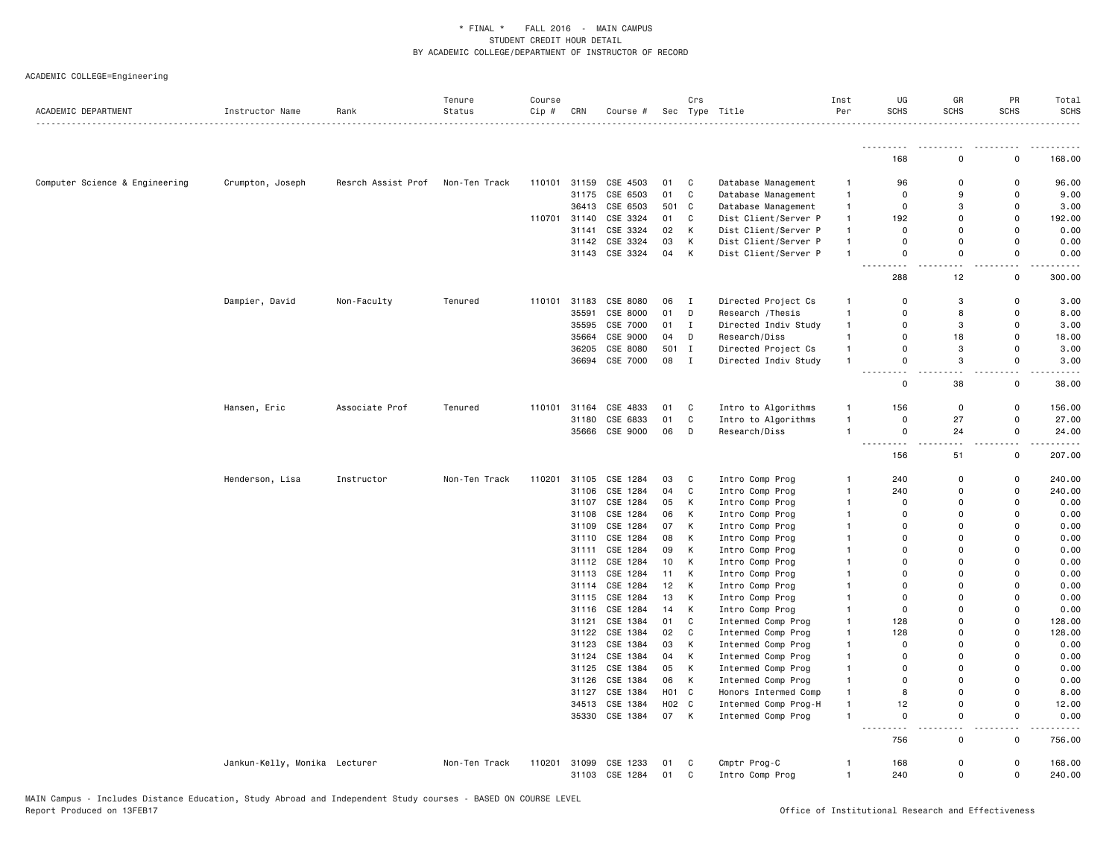| ACADEMIC DEPARTMENT            | Instructor Name               | Rank               | Tenure<br>Status | Course<br>Cip # | CRN            | Course #             |                  | Crs          | Sec Type Title                  | Inst<br>Per                  | UG<br>SCHS     | GR<br><b>SCHS</b> | PR<br><b>SCHS</b> | Total<br><b>SCHS</b>                                                                                                                                         |
|--------------------------------|-------------------------------|--------------------|------------------|-----------------|----------------|----------------------|------------------|--------------|---------------------------------|------------------------------|----------------|-------------------|-------------------|--------------------------------------------------------------------------------------------------------------------------------------------------------------|
|                                |                               |                    |                  |                 |                |                      |                  |              |                                 |                              |                |                   |                   |                                                                                                                                                              |
|                                |                               |                    |                  |                 |                |                      |                  |              |                                 |                              | 168            | $\Omega$          | 0                 | 168.00                                                                                                                                                       |
| Computer Science & Engineering | Crumpton, Joseph              | Resrch Assist Prof | Non-Ten Track    | 110101          | 31159          | CSE 4503             | 01               | C            | Database Management             | -1                           | 96             | $\Omega$          | $\Omega$          | 96.00                                                                                                                                                        |
|                                |                               |                    |                  |                 | 31175          | CSE 6503             | 01               | C            | Database Management             | $\mathbf{1}$                 | 0              | 9                 | $\mathbf 0$       | 9.00                                                                                                                                                         |
|                                |                               |                    |                  |                 | 36413          | CSE 6503             | 501              | $\mathbf c$  | Database Management             | $\mathbf{1}$                 | $\mathsf 0$    | 3                 | $\mathbf 0$       | 3.00                                                                                                                                                         |
|                                |                               |                    |                  | 110701          | 31140          | CSE 3324             | 01               | C            | Dist Client/Server P            | $\mathbf{1}$                 | 192            | $\Omega$          | $\mathsf 0$       | 192.00                                                                                                                                                       |
|                                |                               |                    |                  |                 | 31141          | CSE 3324             | 02               | К            | Dist Client/Server P            | 1                            | 0              | $\Omega$          | $\Omega$          | 0.00                                                                                                                                                         |
|                                |                               |                    |                  |                 | 31142          | CSE 3324             | 03               | K            | Dist Client/Server P            | $\mathbf{1}$                 | 0              | $\Omega$          | $\mathsf 0$       | 0.00                                                                                                                                                         |
|                                |                               |                    |                  |                 | 31143          | CSE 3324             | 04               | К            | Dist Client/Server P            | $\mathbf{1}$                 | 0              | $\Omega$          | $\Omega$          | 0.00<br>.                                                                                                                                                    |
|                                |                               |                    |                  |                 |                |                      |                  |              |                                 |                              | 288            | 12                | $\Omega$          | 300.00                                                                                                                                                       |
|                                | Dampier, David                | Non-Faculty        | Tenured          | 110101          | 31183          | CSE 8080             | 06               | $\mathbf{I}$ | Directed Project Cs             | $\mathbf{1}$                 | $\Omega$       | 3                 | $\mathbf 0$       | 3.00                                                                                                                                                         |
|                                |                               |                    |                  |                 | 35591          | CSE 8000             | 01               | D            | Research / Thesis               | $\mathbf{1}$                 | 0              | 8                 | $\Omega$          | 8.00                                                                                                                                                         |
|                                |                               |                    |                  |                 | 35595          | CSE 7000             | 01               | $\mathbf I$  | Directed Indiv Study            | $\mathbf{1}$                 | 0              | 3                 | $\mathbf 0$       | 3.00                                                                                                                                                         |
|                                |                               |                    |                  |                 | 35664          | CSE 9000             | 04               | D            | Research/Diss                   | $\mathbf{1}$                 | 0              | 18                | $\mathbf 0$       | 18.00                                                                                                                                                        |
|                                |                               |                    |                  |                 | 36205          | CSE 8080             | 501              | I            | Directed Project Cs             | $\mathbf{1}$                 | 0              | 3                 | $\mathbf 0$       | 3.00                                                                                                                                                         |
|                                |                               |                    |                  |                 |                | 36694 CSE 7000       | 08               | $\mathbf{I}$ | Directed Indiv Study            | $\mathbf{1}$                 | 0              | 3                 | 0                 | 3.00<br>.                                                                                                                                                    |
|                                |                               |                    |                  |                 |                |                      |                  |              |                                 |                              | 0              | 38                | $\mathbf 0$       | 38.00                                                                                                                                                        |
|                                | Hansen, Eric                  | Associate Prof     | Tenured          | 110101          | 31164          | CSE 4833             | 01               | C            | Intro to Algorithms             | 1                            | 156            | 0                 | $\mathbf 0$       | 156.00                                                                                                                                                       |
|                                |                               |                    |                  |                 | 31180          | CSE 6833             | 01               | C            | Intro to Algorithms             | $\mathbf{1}$                 | 0              | 27                | $\mathbf 0$       | 27.00                                                                                                                                                        |
|                                |                               |                    |                  |                 | 35666          | CSE 9000             | 06               | D            | Research/Diss                   | $\mathbf{1}$                 | $\mathsf{o}\,$ | 24                | $\mathsf 0$       | 24.00                                                                                                                                                        |
|                                |                               |                    |                  |                 |                |                      |                  |              |                                 |                              | 156            | 51                | 0                 | $\frac{1}{2}$<br>207.00                                                                                                                                      |
|                                | Henderson, Lisa               | Instructor         | Non-Ten Track    | 110201          | 31105          | CSE 1284             | 03               | C            | Intro Comp Prog                 | 1                            | 240            | 0                 | $\mathbf 0$       | 240.00                                                                                                                                                       |
|                                |                               |                    |                  |                 | 31106          | CSE 1284             | 04               | C            | Intro Comp Prog                 | $\mathbf{1}$                 | 240            | $\Omega$          | $\Omega$          | 240.00                                                                                                                                                       |
|                                |                               |                    |                  |                 | 31107          | CSE 1284             | 05               | К            | Intro Comp Prog                 | $\mathbf{1}$                 | $\Omega$       | $\Omega$          | $\Omega$          | 0.00                                                                                                                                                         |
|                                |                               |                    |                  |                 | 31108          | CSE 1284             | 06               | К            | Intro Comp Prog                 | 1                            | $\Omega$       | $\Omega$          | $\Omega$          | 0.00                                                                                                                                                         |
|                                |                               |                    |                  |                 | 31109          | CSE 1284             | 07               | K            | Intro Comp Prog                 | 1                            | 0              | $\Omega$          | $\Omega$          | 0.00                                                                                                                                                         |
|                                |                               |                    |                  |                 | 31110          | CSE 1284             | 08               | Κ            | Intro Comp Prog                 | 1                            | 0              | $\Omega$          | $\mathbf 0$       | 0.00                                                                                                                                                         |
|                                |                               |                    |                  |                 | 31111          | CSE 1284             | 09               | К            | Intro Comp Prog                 | 1                            | 0              | $\Omega$          | $\Omega$          | 0.00                                                                                                                                                         |
|                                |                               |                    |                  |                 | 31112          | CSE 1284             | 10               | К            | Intro Comp Prog                 | 1                            | 0              | 0                 | $\mathbf 0$       | 0.00                                                                                                                                                         |
|                                |                               |                    |                  |                 | 31113          | CSE 1284             | 11               | К            | Intro Comp Prog                 | 1                            | 0              | $\Omega$          | $\Omega$          | 0.00                                                                                                                                                         |
|                                |                               |                    |                  |                 | 31114          | CSE 1284             | 12               | К            | Intro Comp Prog                 | 1                            | 0              | 0                 | $\mathbf 0$       | 0.00                                                                                                                                                         |
|                                |                               |                    |                  |                 | 31115          | CSE 1284             | 13               | Κ            | Intro Comp Prog                 | 1                            | 0              | $\Omega$          | $\Omega$          | 0.00                                                                                                                                                         |
|                                |                               |                    |                  |                 | 31116          | CSE 1284             | 14               | К            | Intro Comp Prog                 | 1                            | $\Omega$       | $\Omega$          | $\Omega$          | 0.00                                                                                                                                                         |
|                                |                               |                    |                  |                 | 31121          | CSE 1384             | 01               | C            | Intermed Comp Prog              | 1                            | 128            | $\Omega$          | $\mathbf 0$       | 128.00                                                                                                                                                       |
|                                |                               |                    |                  |                 | 31122          | CSE 1384             | 02               | C            | Intermed Comp Prog              | $\mathbf{1}$                 | 128            | $\Omega$          | $\mathbf 0$       | 128.00                                                                                                                                                       |
|                                |                               |                    |                  |                 | 31123          | CSE 1384             | 03               | Κ            | Intermed Comp Prog              | $\mathbf{1}$                 | 0              | 0                 | $\mathsf 0$       | 0.00                                                                                                                                                         |
|                                |                               |                    |                  |                 | 31124          | CSE 1384             | 04               | К            | Intermed Comp Prog              | 1                            | 0              | $\Omega$          | $\Omega$          | 0.00                                                                                                                                                         |
|                                |                               |                    |                  |                 | 31125          | CSE 1384             | 05               | К            | Intermed Comp Prog              | 1                            | 0              | 0                 | $\mathbf 0$       | 0.00                                                                                                                                                         |
|                                |                               |                    |                  |                 | 31126          | CSE 1384             | 06               | К            | Intermed Comp Prog              | 1                            | 0              | $\Omega$          | $\Omega$          | 0.00                                                                                                                                                         |
|                                |                               |                    |                  |                 | 31127          | CSE 1384             | H <sub>0</sub> 1 | C            | Honors Intermed Comp            | $\mathbf{1}$                 | 8              | $\Omega$          | $\mathbf 0$       | 8.00                                                                                                                                                         |
|                                |                               |                    |                  |                 | 34513          | CSE 1384             | H <sub>02</sub>  | C            | Intermed Comp Prog-H            | $\mathbf{1}$                 | 12             | $\Omega$          | $\Omega$          | 12.00                                                                                                                                                        |
|                                |                               |                    |                  |                 |                | 35330 CSE 1384       | 07               | K            | Intermed Comp Prog              | $\mathbf{1}$                 | 0              | 0                 | 0                 | 0.00<br>$\frac{1}{2} \left( \frac{1}{2} \right) \left( \frac{1}{2} \right) \left( \frac{1}{2} \right) \left( \frac{1}{2} \right) \left( \frac{1}{2} \right)$ |
|                                |                               |                    |                  |                 |                |                      |                  |              |                                 |                              | 756            | 0                 | $\mathbf 0$       | 756.00                                                                                                                                                       |
|                                | Jankun-Kelly, Monika Lecturer |                    | Non-Ten Track    | 110201          | 31099<br>31103 | CSE 1233<br>CSE 1284 | 01<br>01         | C<br>C       | Cmptr Prog-C<br>Intro Comp Prog | $\mathbf{1}$<br>$\mathbf{1}$ | 168<br>240     | $\Omega$<br>0     | $\mathbf 0$<br>0  | 168.00<br>240.00                                                                                                                                             |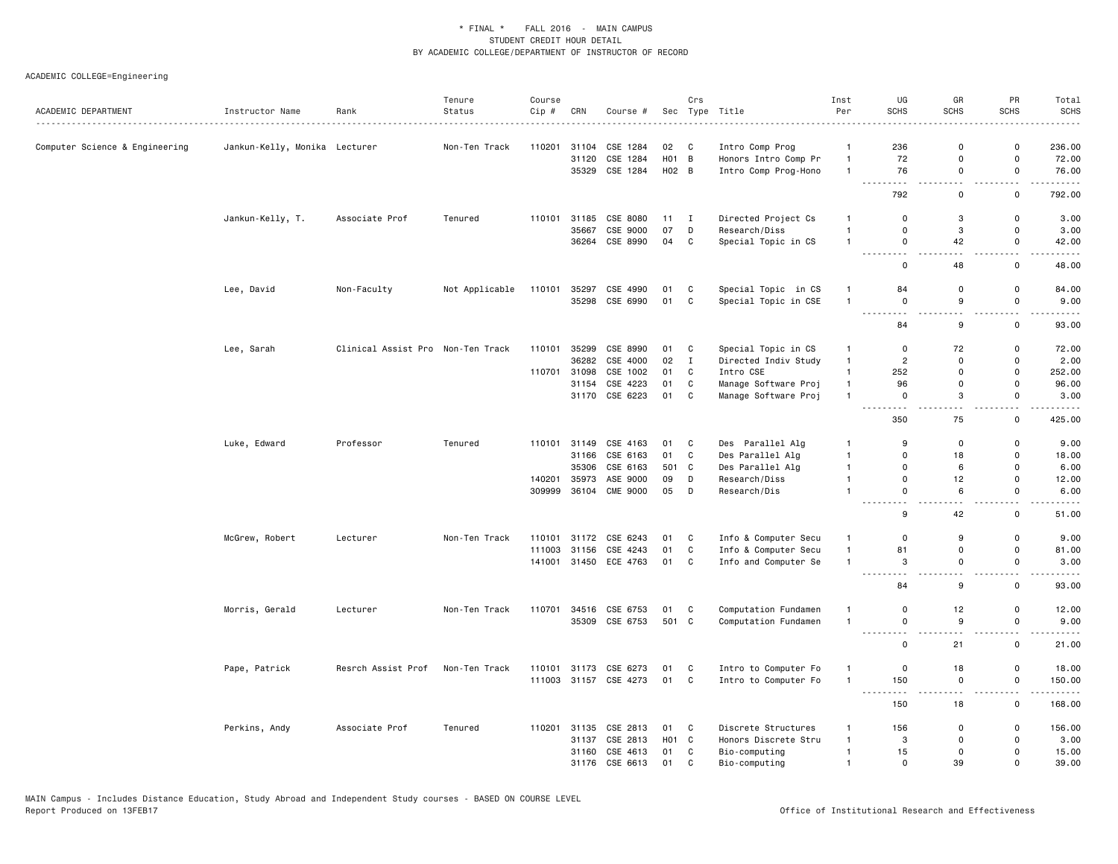| ACADEMIC DEPARTMENT            | Instructor Name               | Rank                              | Tenure<br>Status | Course<br>Cip # | CRN   | Course #              |              | Crs          | Sec Type Title       | Inst<br>Per    | UG<br><b>SCHS</b>                                                                        | GR<br><b>SCHS</b>                             | PR<br><b>SCHS</b>    | Total<br><b>SCHS</b>                                                                                                                                          |
|--------------------------------|-------------------------------|-----------------------------------|------------------|-----------------|-------|-----------------------|--------------|--------------|----------------------|----------------|------------------------------------------------------------------------------------------|-----------------------------------------------|----------------------|---------------------------------------------------------------------------------------------------------------------------------------------------------------|
|                                |                               |                                   |                  |                 |       |                       |              |              |                      |                |                                                                                          |                                               |                      |                                                                                                                                                               |
| Computer Science & Engineering | Jankun-Kelly, Monika Lecturer |                                   | Non-Ten Track    | 110201          | 31104 | CSE 1284              | 02           | C            | Intro Comp Prog      | $\mathbf{1}$   | 236                                                                                      | 0                                             | 0                    | 236.00                                                                                                                                                        |
|                                |                               |                                   |                  |                 | 31120 | CSE 1284              | HO1 B        |              | Honors Intro Comp Pr | $\mathbf{1}$   | 72                                                                                       | $\Omega$                                      | 0                    | 72.00                                                                                                                                                         |
|                                |                               |                                   |                  |                 | 35329 | CSE 1284              | H02 B        |              | Intro Comp Prog-Hono | $\mathbf{1}$   | 76<br>-----<br>$\frac{1}{2} \frac{1}{2} \frac{1}{2} \frac{1}{2} \frac{1}{2} \frac{1}{2}$ | 0<br>$\sim$ $\sim$                            | 0<br>$\sim$ $\sim$   | 76.00<br>.                                                                                                                                                    |
|                                |                               |                                   |                  |                 |       |                       |              |              |                      |                | 792                                                                                      | 0                                             | 0                    | 792.00                                                                                                                                                        |
|                                | Jankun-Kelly, T.              | Associate Prof                    | Tenured          | 110101          | 31185 | CSE 8080              | $11 \quad I$ |              | Directed Project Cs  | $\mathbf{1}$   | 0                                                                                        | 3                                             | 0                    | 3.00                                                                                                                                                          |
|                                |                               |                                   |                  |                 | 35667 | CSE 9000              | 07           | D            | Research/Diss        | $\overline{1}$ | 0                                                                                        | 3                                             | $\mathsf 0$          | 3.00                                                                                                                                                          |
|                                |                               |                                   |                  |                 |       | 36264 CSE 8990        | 04           | $\mathtt{C}$ | Special Topic in CS  | $\overline{1}$ | 0<br>.                                                                                   | 42<br>$\sim$ $\sim$                           | 0<br>$\omega$ .      | 42.00<br>$\frac{1}{2} \left( \frac{1}{2} \right) \left( \frac{1}{2} \right) \left( \frac{1}{2} \right) \left( \frac{1}{2} \right) \left( \frac{1}{2} \right)$ |
|                                |                               |                                   |                  |                 |       |                       |              |              |                      |                | 0                                                                                        | 48                                            | 0                    | 48.00                                                                                                                                                         |
|                                | Lee, David                    | Non-Faculty                       | Not Applicable   | 110101          | 35297 | CSE 4990              | 01           | C            | Special Topic in CS  | $\mathbf{1}$   | 84                                                                                       | 0                                             | 0                    | 84.00                                                                                                                                                         |
|                                |                               |                                   |                  |                 |       | 35298 CSE 6990        | 01           | $\mathtt{C}$ | Special Topic in CSE | $\overline{1}$ | 0                                                                                        | 9                                             | 0                    | 9.00                                                                                                                                                          |
|                                |                               |                                   |                  |                 |       |                       |              |              |                      |                | $\sim$ $\sim$<br>.<br>84                                                                 | $\frac{1}{2} \left( \frac{1}{2} \right)$<br>9 | $ -$<br>$\mathsf{o}$ | 93.00                                                                                                                                                         |
|                                | Lee, Sarah                    | Clinical Assist Pro Non-Ten Track |                  | 110101          | 35299 | CSE 8990              | 01           | C            | Special Topic in CS  | $\mathbf{1}$   | 0                                                                                        | 72                                            | 0                    | 72.00                                                                                                                                                         |
|                                |                               |                                   |                  |                 | 36282 | CSE 4000              | 02           | $\mathbf{I}$ | Directed Indiv Study | $\mathbf{1}$   | $\overline{2}$                                                                           | $\Omega$                                      | $\Omega$             | 2.00                                                                                                                                                          |
|                                |                               |                                   |                  | 110701          | 31098 | CSE 1002              | 01           | C            | Intro CSE            | $\mathbf{1}$   | 252                                                                                      | $\mathbf 0$                                   | 0                    | 252.00                                                                                                                                                        |
|                                |                               |                                   |                  |                 | 31154 | CSE 4223              | 01           | $\mathbb{C}$ | Manage Software Proj | $\mathbf{1}$   | 96                                                                                       | 0                                             | 0                    | 96.00                                                                                                                                                         |
|                                |                               |                                   |                  |                 | 31170 | CSE 6223              | 01           | $\mathtt{C}$ | Manage Software Proj | $\overline{1}$ | 0                                                                                        | 3                                             | 0                    | 3.00                                                                                                                                                          |
|                                |                               |                                   |                  |                 |       |                       |              |              |                      |                | $\sim$ $\sim$ $\sim$ $\sim$<br>$- - -$<br>350                                            | $-1$<br>75                                    | $\omega$ .<br>0      | .<br>425.00                                                                                                                                                   |
|                                | Luke, Edward                  | Professor                         | Tenured          | 110101          | 31149 | CSE 4163              | 01           | C            | Des Parallel Alg     | -1             | 9                                                                                        | $\Omega$                                      | 0                    | 9.00                                                                                                                                                          |
|                                |                               |                                   |                  |                 | 31166 | CSE 6163              | 01           | $\mathbb{C}$ | Des Parallel Alg     | $\mathbf{1}$   | $\mathbf 0$                                                                              | 18                                            | 0                    | 18.00                                                                                                                                                         |
|                                |                               |                                   |                  |                 | 35306 | CSE 6163              | 501 C        |              | Des Parallel Alg     | $\mathbf{1}$   | $\Omega$                                                                                 | 6                                             | $\Omega$             | 6.00                                                                                                                                                          |
|                                |                               |                                   |                  | 140201          | 35973 | ASE 9000              | 09           | D            | Research/Diss        | $\mathbf{1}$   | 0                                                                                        | 12                                            | 0                    | 12.00                                                                                                                                                         |
|                                |                               |                                   |                  | 309999          |       | 36104 CME 9000        | 05           | D            | Research/Dis         | $\mathbf{1}$   | 0                                                                                        | 6                                             | 0                    | 6.00                                                                                                                                                          |
|                                |                               |                                   |                  |                 |       |                       |              |              |                      |                | $\sim$ $\sim$<br>$\sim$ $\sim$<br>9                                                      | 42                                            | 0                    | 51.00                                                                                                                                                         |
|                                | McGrew, Robert                | Lecturer                          | Non-Ten Track    | 110101          |       | 31172 CSE 6243        | 01           | C            | Info & Computer Secu | $\overline{1}$ | 0                                                                                        | 9                                             | 0                    | 9.00                                                                                                                                                          |
|                                |                               |                                   |                  | 111003          | 31156 | CSE 4243              | 01           | $\mathbf C$  | Info & Computer Secu | $\mathbf{1}$   | 81                                                                                       | 0                                             | 0                    | 81.00                                                                                                                                                         |
|                                |                               |                                   |                  | 141001          |       | 31450 ECE 4763        | 01           | C            | Info and Computer Se | $\overline{1}$ | 3<br>.<br>$- - -$                                                                        | 0<br>$ -$                                     | 0<br>. .             | 3.00                                                                                                                                                          |
|                                |                               |                                   |                  |                 |       |                       |              |              |                      |                | 84                                                                                       | 9                                             | $\mathsf 0$          | 93.00                                                                                                                                                         |
|                                | Morris, Gerald                | Lecturer                          | Non-Ten Track    | 110701          |       | 34516 CSE 6753        | 01           | C            | Computation Fundamen | $\overline{1}$ | $\mathbf 0$                                                                              | 12                                            | 0                    | 12.00                                                                                                                                                         |
|                                |                               |                                   |                  |                 |       | 35309 CSE 6753        | 501 C        |              | Computation Fundamen | $\overline{1}$ | 0                                                                                        | 9                                             | 0                    | 9.00                                                                                                                                                          |
|                                |                               |                                   |                  |                 |       |                       |              |              |                      |                | -----<br>.<br>0                                                                          | $\sim$ $\sim$<br>21                           | $\sim$ $\sim$<br>0   | 21.00                                                                                                                                                         |
|                                | Pape, Patrick                 | Resrch Assist Prof                | Non-Ten Track    | 110101          | 31173 | CSE 6273              | 01           | C            | Intro to Computer Fo | $\mathbf{1}$   | $\mathsf 0$                                                                              | 18                                            | $\mathsf 0$          | 18.00                                                                                                                                                         |
|                                |                               |                                   |                  |                 |       | 111003 31157 CSE 4273 | 01 C         |              | Intro to Computer Fo | $\overline{1}$ | 150                                                                                      | 0                                             | 0                    | 150.00                                                                                                                                                        |
|                                |                               |                                   |                  |                 |       |                       |              |              |                      |                | $  -$<br>- - -<br>150                                                                    | $\sim$ $\sim$<br>18                           | $\sim$ $\sim$<br>0   | 168.00                                                                                                                                                        |
|                                | Perkins, Andy                 | Associate Prof                    | Tenured          | 110201          | 31135 | CSE 2813              | 01           | C            | Discrete Structures  | $\mathbf{1}$   | 156                                                                                      | 0                                             | $\mathsf 0$          | 156.00                                                                                                                                                        |
|                                |                               |                                   |                  |                 | 31137 | CSE 2813              | HO1 C        |              | Honors Discrete Stru | $\overline{1}$ | 3                                                                                        | $\Omega$                                      | $\Omega$             | 3.00                                                                                                                                                          |
|                                |                               |                                   |                  |                 | 31160 | CSE 4613              | 01           | C            | Bio-computing        | $\overline{1}$ | 15                                                                                       | 0                                             | 0                    | 15.00                                                                                                                                                         |
|                                |                               |                                   |                  |                 |       | 31176 CSE 6613        | 01           | $\mathsf{C}$ | Bio-computing        | $\mathbf{1}$   | $\mathbf 0$                                                                              | 39                                            | $\Omega$             | 39.00                                                                                                                                                         |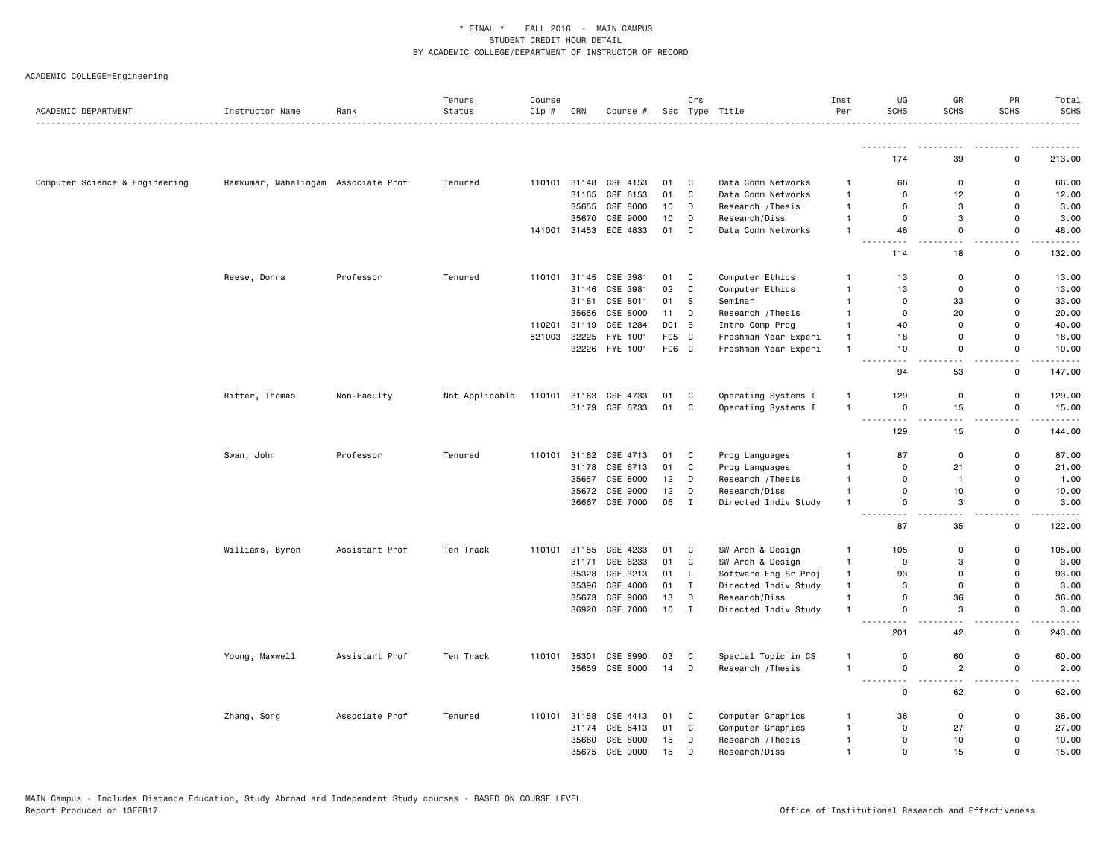| ACADEMIC DEPARTMENT            | Instructor Name                     | Rank           | Tenure<br>Status | Course<br>Cip # | CRN          | Course #                   |                | Crs          | Sec Type Title       | Inst<br>Per                  | UG<br><b>SCHS</b>                                                                                                                                                                      | GR<br><b>SCHS</b>               | PR<br><b>SCHS</b>                       | Total<br><b>SCHS</b>                                                                                                                                          |
|--------------------------------|-------------------------------------|----------------|------------------|-----------------|--------------|----------------------------|----------------|--------------|----------------------|------------------------------|----------------------------------------------------------------------------------------------------------------------------------------------------------------------------------------|---------------------------------|-----------------------------------------|---------------------------------------------------------------------------------------------------------------------------------------------------------------|
|                                |                                     |                |                  |                 |              |                            |                |              |                      |                              | .                                                                                                                                                                                      |                                 |                                         |                                                                                                                                                               |
|                                |                                     |                |                  |                 |              |                            |                |              |                      |                              | 174                                                                                                                                                                                    | 39                              | 0                                       | 213.00                                                                                                                                                        |
| Computer Science & Engineering | Ramkumar, Mahalingam Associate Prof |                | Tenured          |                 | 110101 31148 | CSE 4153                   | 01             | C            | Data Comm Networks   | $\overline{1}$               | 66                                                                                                                                                                                     | 0                               | 0                                       | 66.00                                                                                                                                                         |
|                                |                                     |                |                  |                 | 31165        | CSE 6153                   | 01             | C            | Data Comm Networks   | $\mathbf{1}$                 | $\Omega$                                                                                                                                                                               | 12                              | $\mathsf 0$                             | 12.00                                                                                                                                                         |
|                                |                                     |                |                  |                 |              | 35655 CSE 8000             | 10             | D            | Research / Thesis    | $\mathbf{1}$                 | $\mathbf 0$                                                                                                                                                                            | 3                               | $\mathbf 0$                             | 3.00                                                                                                                                                          |
|                                |                                     |                |                  |                 | 35670        | CSE 9000                   | 10             | D            | Research/Diss        | $\mathbf{1}$                 | $\mathsf 0$                                                                                                                                                                            | 3                               | $\mathsf 0$                             | 3.00                                                                                                                                                          |
|                                |                                     |                |                  |                 | 141001 31453 | ECE 4833                   | 01             | C            | Data Comm Networks   | $\mathbf{1}$                 | 48                                                                                                                                                                                     | $\mathbf 0$<br>$\sim$ $\sim$    | $\mathbf 0$<br>$\sim$ $\sim$            | 48.00<br>$\frac{1}{2} \left( \frac{1}{2} \right) \left( \frac{1}{2} \right) \left( \frac{1}{2} \right) \left( \frac{1}{2} \right) \left( \frac{1}{2} \right)$ |
|                                |                                     |                |                  |                 |              |                            |                |              |                      |                              | 114                                                                                                                                                                                    | 18                              | 0                                       | 132.00                                                                                                                                                        |
|                                | Reese, Donna                        | Professor      | Tenured          | 110101          | 31145        | CSE 3981                   | 01             | C            | Computer Ethics      | $\mathbf{1}$                 | 13                                                                                                                                                                                     | 0                               | 0                                       | 13.00                                                                                                                                                         |
|                                |                                     |                |                  |                 | 31146        | CSE 3981                   | 02             | C            | Computer Ethics      | $\overline{1}$               | 13                                                                                                                                                                                     | $\mathsf 0$                     | $\mathsf 0$                             | 13.00                                                                                                                                                         |
|                                |                                     |                |                  |                 | 31181        | CSE 8011                   | 01             | s            | Seminar              | $\mathbf{1}$                 | $\Omega$                                                                                                                                                                               | 33                              | $\mathbf 0$                             | 33.00                                                                                                                                                         |
|                                |                                     |                |                  |                 | 35656        | CSE 8000                   | 11             | D            | Research / Thesis    | $\mathbf{1}$                 | $\mathbf 0$                                                                                                                                                                            | 20                              | $\mathbf 0$                             | 20.00                                                                                                                                                         |
|                                |                                     |                |                  | 110201          | 31119        | CSE 1284                   | D01 B          |              | Intro Comp Prog      | $\mathbf{1}$                 | 40                                                                                                                                                                                     | $\mathbf 0$<br>$\mathbf 0$      | $\mathsf 0$<br>$\Omega$                 | 40.00                                                                                                                                                         |
|                                |                                     |                |                  | 521003          | 32225        | FYE 1001<br>32226 FYE 1001 | F05 C<br>F06 C |              | Freshman Year Experi | $\mathbf{1}$<br>$\mathbf{1}$ | 18<br>10                                                                                                                                                                               | $\mathsf 0$                     | $\mathbf 0$                             | 18.00<br>10.00                                                                                                                                                |
|                                |                                     |                |                  |                 |              |                            |                |              | Freshman Year Experi |                              |                                                                                                                                                                                        |                                 |                                         | المستما                                                                                                                                                       |
|                                |                                     |                |                  |                 |              |                            |                |              |                      |                              | 94                                                                                                                                                                                     | 53                              | $\mathsf{o}$                            | 147.00                                                                                                                                                        |
|                                | Ritter, Thomas                      | Non-Faculty    | Not Applicable   | 110101          | 31163        | CSE 4733                   | 01             | C            | Operating Systems I  | $\mathbf{1}$                 | 129                                                                                                                                                                                    | 0                               | 0                                       | 129.00                                                                                                                                                        |
|                                |                                     |                |                  |                 |              | 31179 CSE 6733             | 01             | $\mathbf C$  | Operating Systems I  | $\overline{1}$               | 0                                                                                                                                                                                      | 15                              | $\mathsf 0$                             | 15.00                                                                                                                                                         |
|                                |                                     |                |                  |                 |              |                            |                |              |                      |                              | $\frac{1}{2} \left( \frac{1}{2} \right) \left( \frac{1}{2} \right) \left( \frac{1}{2} \right) \left( \frac{1}{2} \right) \left( \frac{1}{2} \right) \left( \frac{1}{2} \right)$<br>129 | 15                              | $ -$<br>$\mathbf 0$                     | .<br>144.00                                                                                                                                                   |
|                                | Swan, John                          | Professor      | Tenured          | 110101          |              | 31162 CSE 4713             | 01             | C            | Prog Languages       | -1                           | 87                                                                                                                                                                                     | $\mathsf 0$                     | $\mathbf 0$                             | 87.00                                                                                                                                                         |
|                                |                                     |                |                  |                 | 31178        | CSE 6713                   | 01             | C            | Prog Languages       | $\mathbf{1}$                 | 0                                                                                                                                                                                      | 21                              | $\mathbf 0$                             | 21.00                                                                                                                                                         |
|                                |                                     |                |                  |                 | 35657        | CSE 8000                   | 12             | D            | Research / Thesis    | $\mathbf{1}$                 | $\Omega$                                                                                                                                                                               | $\overline{1}$                  | $\mathsf 0$                             | 1.00                                                                                                                                                          |
|                                |                                     |                |                  |                 | 35672        | CSE 9000                   | 12             | D            | Research/Diss        | $\mathbf{1}$                 | $\mathbf 0$                                                                                                                                                                            | 10                              | $\mathsf 0$                             | 10.00                                                                                                                                                         |
|                                |                                     |                |                  |                 |              | 36667 CSE 7000             | 06             | $\mathbf{I}$ | Directed Indiv Study | $\overline{1}$               | $\mathbf 0$<br>$- - -$                                                                                                                                                                 | 3                               | $\mathbf 0$<br>$\sim$                   | 3.00<br>$\frac{1}{2} \left( \frac{1}{2} \right) \left( \frac{1}{2} \right) \left( \frac{1}{2} \right) \left( \frac{1}{2} \right)$                             |
|                                |                                     |                |                  |                 |              |                            |                |              |                      |                              | 87                                                                                                                                                                                     | 35                              | 0                                       | 122.00                                                                                                                                                        |
|                                | Williams, Byron                     | Assistant Prof | Ten Track        | 110101          | 31155        | CSE 4233                   | 01             | C            | SW Arch & Design     | $\mathbf{1}$                 | 105                                                                                                                                                                                    | 0                               | 0                                       | 105.00                                                                                                                                                        |
|                                |                                     |                |                  |                 | 31171        | CSE 6233                   | 01             | C            | SW Arch & Design     | $\mathbf{1}$                 | $\mathbf 0$                                                                                                                                                                            | 3                               | $\mathbf 0$                             | 3.00                                                                                                                                                          |
|                                |                                     |                |                  |                 | 35328        | CSE 3213                   | 01             | L.           | Software Eng Sr Proj | $\mathbf{1}$                 | 93                                                                                                                                                                                     | $\mathbf 0$                     | $\mathbf 0$                             | 93.00                                                                                                                                                         |
|                                |                                     |                |                  |                 | 35396        | CSE 4000                   | 01             | $\mathbf{I}$ | Directed Indiv Study | $\mathbf{1}$                 | 3                                                                                                                                                                                      | $\mathsf{o}$                    | $\mathbf 0$                             | 3.00                                                                                                                                                          |
|                                |                                     |                |                  |                 | 35673        | CSE 9000                   | 13             | D            | Research/Diss        | $\mathbf{1}$                 | $\mathbf 0$                                                                                                                                                                            | 36                              | $\mathbf 0$                             | 36.00                                                                                                                                                         |
|                                |                                     |                |                  |                 |              | 36920 CSE 7000             | $10$ I         |              | Directed Indiv Study | $\mathbf{1}$                 | $\Omega$                                                                                                                                                                               | 3                               | $\mathbf 0$<br>$ -$                     | 3.00<br>$\frac{1}{2} \left( \frac{1}{2} \right) \left( \frac{1}{2} \right) \left( \frac{1}{2} \right) \left( \frac{1}{2} \right)$                             |
|                                |                                     |                |                  |                 |              |                            |                |              |                      |                              | 201                                                                                                                                                                                    | 42                              | 0                                       | 243.00                                                                                                                                                        |
|                                | Young, Maxwell                      | Assistant Prof | Ten Track        | 110101          | 35301        | CSE 8990                   | 03             | C            | Special Topic in CS  | $\mathbf{1}$                 | $\mathbf 0$                                                                                                                                                                            | 60                              | 0                                       | 60.00                                                                                                                                                         |
|                                |                                     |                |                  |                 | 35659        | CSE 8000                   | 14             | D            | Research / Thesis    | $\overline{1}$               | $\mathbf 0$<br>- - -<br>$\sim$ $\sim$ $\sim$                                                                                                                                           | $\overline{2}$<br>$\sim$ $\sim$ | $\mathsf 0$<br>$\overline{\phantom{a}}$ | 2.00<br>$\frac{1}{2} \left( \frac{1}{2} \right) \left( \frac{1}{2} \right) \left( \frac{1}{2} \right) \left( \frac{1}{2} \right) \left( \frac{1}{2} \right)$  |
|                                |                                     |                |                  |                 |              |                            |                |              |                      |                              | $\mathbf 0$                                                                                                                                                                            | 62                              | 0                                       | 62.00                                                                                                                                                         |
|                                | Zhang, Song                         | Associate Prof | Tenured          |                 | 110101 31158 | CSE 4413                   | 01 C           |              | Computer Graphics    | -1                           | 36                                                                                                                                                                                     | $\mathbf 0$                     | $\mathbf 0$                             | 36.00                                                                                                                                                         |
|                                |                                     |                |                  |                 | 31174        | CSE 6413                   | 01             | C            | Computer Graphics    | $\overline{1}$               | 0                                                                                                                                                                                      | 27                              | $\mathbf 0$                             | 27.00                                                                                                                                                         |
|                                |                                     |                |                  |                 |              | 35660 CSE 8000             | 15             | D            | Research /Thesis     | $\mathbf{1}$                 | $\Omega$                                                                                                                                                                               | 10                              | $\Omega$                                | 10.00                                                                                                                                                         |
|                                |                                     |                |                  |                 |              | 35675 CSE 9000             | 15             | D            | Research/Diss        | $\overline{1}$               | $\Omega$                                                                                                                                                                               | 15                              | $\Omega$                                | 15.00                                                                                                                                                         |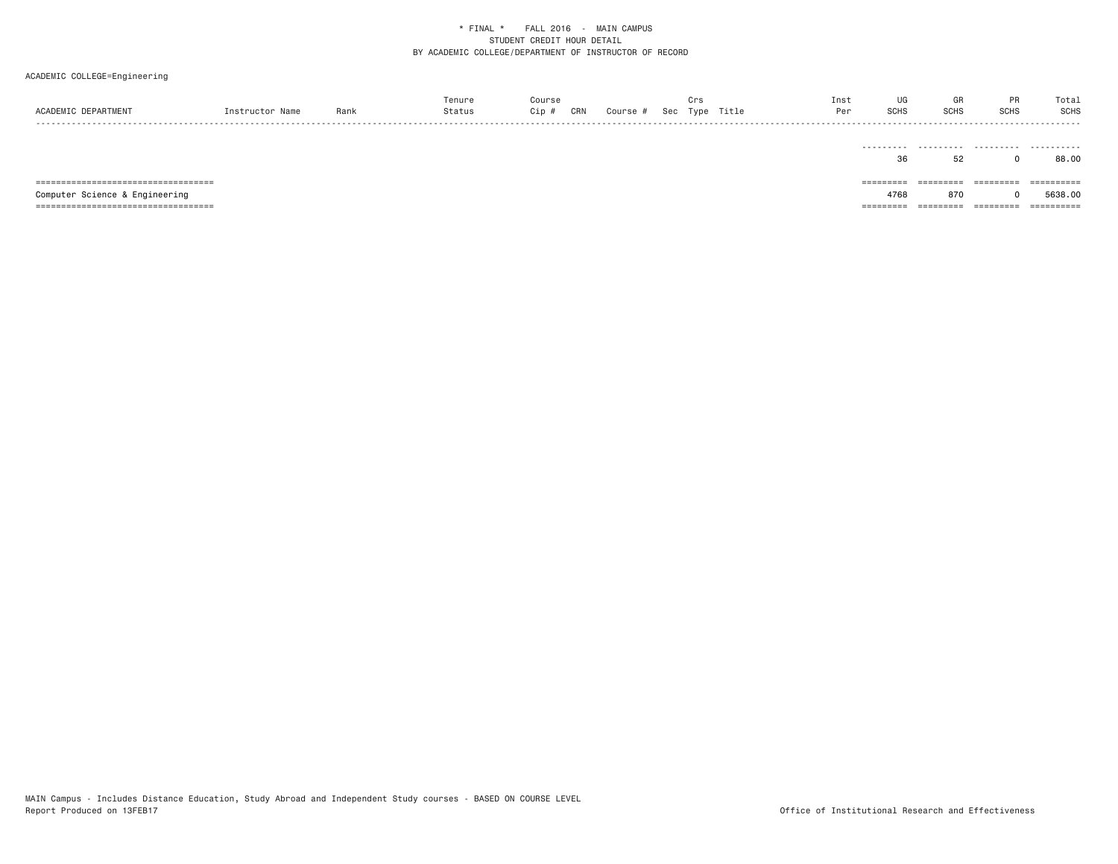| ACADEMIC DEPARTMENT                    | Instructor Name | Rank | Tenure<br>Status | Course<br>Cip # | CRN | Course # | Crs | Sec Type Title | Inst<br>Per | UG<br>SCHS | GR<br>SCHS | <b>PR</b><br>SCHS | Total<br><b>SCHS</b> |
|----------------------------------------|-----------------|------|------------------|-----------------|-----|----------|-----|----------------|-------------|------------|------------|-------------------|----------------------|
|                                        |                 |      |                  |                 |     |          |     |                |             | 36         | 52         |                   | 88.00                |
| ====================================== |                 |      |                  |                 |     |          |     |                |             | =========  | =========  | =========         | ==========           |
| Computer Science & Engineering         |                 |      |                  |                 |     |          |     |                |             | 4768       | 870        |                   | 5638,00              |
|                                        |                 |      |                  |                 |     |          |     |                |             | =========  | ---------- | ----------        | -----------          |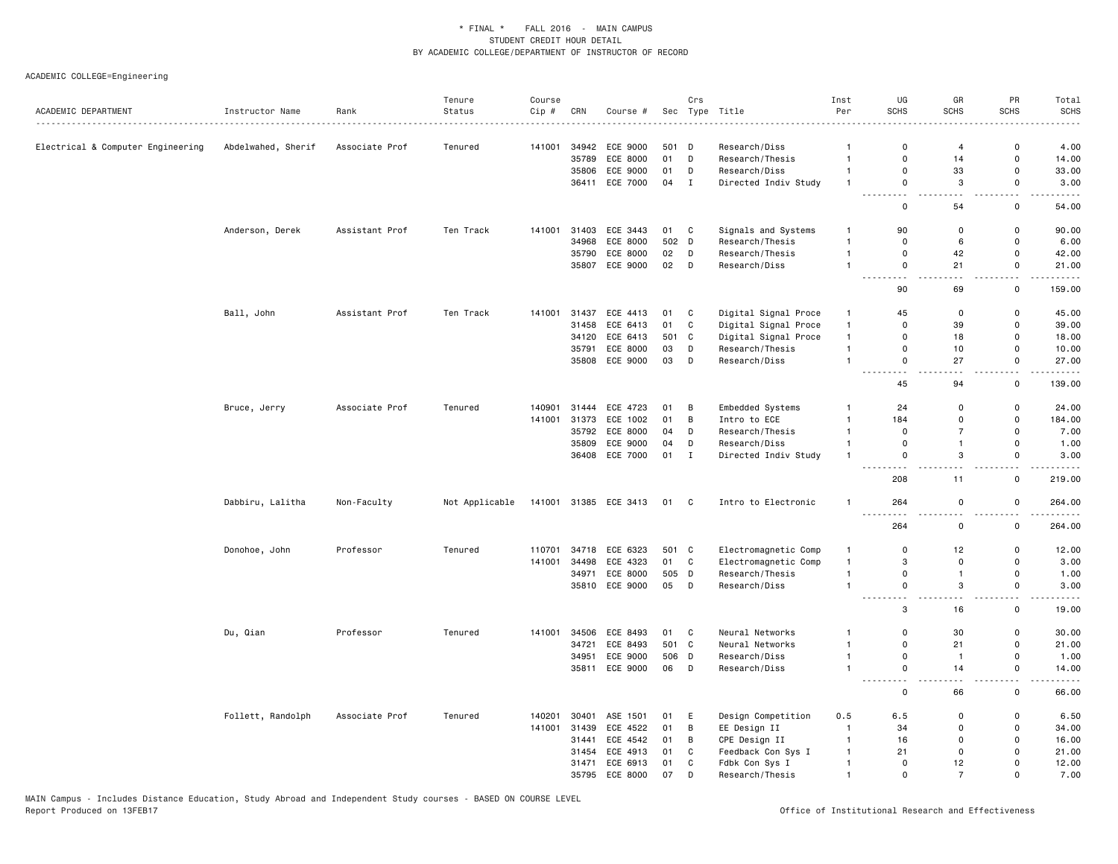| ACADEMIC DEPARTMENT               | Instructor Name    | Rank           | Tenure<br>Status | Course<br>Cip # | CRN   | Course #                   |             | Crs          | Sec Type Title                   | Inst<br>Per        | UG<br><b>SCHS</b>                        | GR<br><b>SCHS</b>    | PR<br><b>SCHS</b>                        | Total<br><b>SCHS</b>                                                                                                              |
|-----------------------------------|--------------------|----------------|------------------|-----------------|-------|----------------------------|-------------|--------------|----------------------------------|--------------------|------------------------------------------|----------------------|------------------------------------------|-----------------------------------------------------------------------------------------------------------------------------------|
|                                   |                    |                |                  |                 |       |                            |             |              |                                  |                    |                                          |                      | 0                                        | $\frac{1}{2}$                                                                                                                     |
| Electrical & Computer Engineering | Abdelwahed, Sherif | Associate Prof | Tenured          | 141001          | 35789 | 34942 ECE 9000<br>ECE 8000 | 501 D<br>01 | D            | Research/Diss<br>Research/Thesis | -1<br>$\mathbf{1}$ | 0<br>$\mathsf 0$                         | $\overline{4}$<br>14 | $\mathsf 0$                              | 4.00<br>14.00                                                                                                                     |
|                                   |                    |                |                  |                 |       | 35806 ECE 9000             | 01          | D            | Research/Diss                    | $\mathbf{1}$       | $\mathbf 0$                              | 33                   | $\Omega$                                 | 33.00                                                                                                                             |
|                                   |                    |                |                  |                 |       | 36411 ECE 7000             | 04          | $\mathbf I$  | Directed Indiv Study             | $\overline{1}$     | $\mathbf 0$                              | 3                    | $\mathsf{o}$                             | 3.00                                                                                                                              |
|                                   |                    |                |                  |                 |       |                            |             |              |                                  |                    | .<br>$\mathbf 0$                         | 54                   | $-$<br>0                                 | 54.00                                                                                                                             |
|                                   | Anderson, Derek    | Assistant Prof | Ten Track        | 141001          |       | 31403 ECE 3443             | 01 C        |              | Signals and Systems              | $\mathbf{1}$       | 90                                       | $\Omega$             | $\mathsf{o}$                             | 90.00                                                                                                                             |
|                                   |                    |                |                  |                 | 34968 | <b>ECE 8000</b>            | 502 D       |              | Research/Thesis                  | $\mathbf{1}$       | $\mathbf 0$                              | 6                    | $\mathsf 0$                              | 6.00                                                                                                                              |
|                                   |                    |                |                  |                 |       | 35790 ECE 8000             | 02          | D            | Research/Thesis                  | $\mathbf{1}$       | $\mathbf 0$                              | 42                   | $\mathsf{o}$                             | 42.00                                                                                                                             |
|                                   |                    |                |                  |                 |       | 35807 ECE 9000             | 02          | D            | Research/Diss                    | $\overline{1}$     | $\mathbf 0$                              | 21                   | 0                                        | 21.00                                                                                                                             |
|                                   |                    |                |                  |                 |       |                            |             |              |                                  |                    | $\sim$ $\sim$<br>$  -$<br>90             | 69                   | $ -$<br>$\mathsf 0$                      | 159.00                                                                                                                            |
|                                   | Ball, John         | Assistant Prof | Ten Track        | 141001          | 31437 | ECE 4413                   | 01          | C            | Digital Signal Proce             | $\mathbf{1}$       | 45                                       | 0                    | 0                                        | 45.00                                                                                                                             |
|                                   |                    |                |                  |                 | 31458 | ECE 6413                   | 01          | C            | Digital Signal Proce             | $\mathbf{1}$       | $\mathbf 0$                              | 39                   | 0                                        | 39.00                                                                                                                             |
|                                   |                    |                |                  |                 |       | 34120 ECE 6413             | 501 C       |              | Digital Signal Proce             | $\mathbf{1}$       | $\mathbf 0$                              | 18                   | $\mathbf 0$                              | 18.00                                                                                                                             |
|                                   |                    |                |                  |                 | 35791 | ECE 8000                   | 03          | D            | Research/Thesis                  | $\overline{1}$     | $\mathbf 0$                              | 10                   | $\mathsf{o}$                             | 10.00                                                                                                                             |
|                                   |                    |                |                  |                 |       | 35808 ECE 9000             | 03          | $\mathsf{D}$ | Research/Diss                    | $\overline{1}$     | $\mathbf 0$                              | 27                   | $\mathbf 0$                              | 27.00                                                                                                                             |
|                                   |                    |                |                  |                 |       |                            |             |              |                                  |                    | $\sim$ $\sim$<br>$ -$<br>45              | 94                   | $\sim$ $\sim$<br>0                       | .<br>139.00                                                                                                                       |
|                                   | Bruce, Jerry       | Associate Prof | Tenured          | 140901          | 31444 | ECE 4723                   | 01          | В            | Embedded Systems                 | $\mathbf{1}$       | 24                                       | $\mathbf 0$          | 0                                        | 24.00                                                                                                                             |
|                                   |                    |                |                  | 141001          |       | 31373 ECE 1002             | 01          | B            | Intro to ECE                     | $\mathbf{1}$       | 184                                      | $\Omega$             | $\Omega$                                 | 184.00                                                                                                                            |
|                                   |                    |                |                  |                 |       | 35792 ECE 8000             | 04          | D            | Research/Thesis                  | $\overline{1}$     | $\mathbf 0$                              | $\overline{7}$       | $\mathbf 0$                              | 7.00                                                                                                                              |
|                                   |                    |                |                  |                 |       | 35809 ECE 9000             | 04          | D            | Research/Diss                    | $\mathbf{1}$       | $\mathbf 0$                              | $\mathbf{1}$         | 0                                        | 1.00                                                                                                                              |
|                                   |                    |                |                  |                 |       | 36408 ECE 7000             | 01 I        |              | Directed Indiv Study             | $\overline{1}$     | $\mathbf 0$                              | 3                    | $\mathsf{o}$                             | 3.00                                                                                                                              |
|                                   |                    |                |                  |                 |       |                            |             |              |                                  |                    | 208                                      | 11                   | $\sim$<br>0                              | $\frac{1}{2}$<br>219.00                                                                                                           |
|                                   | Dabbiru, Lalitha   | Non-Faculty    | Not Applicable   | 141001          |       | 31385 ECE 3413             | 01 C        |              | Intro to Electronic              | $\overline{1}$     | 264<br>$\sim$ $\sim$ $\sim$              | $\mathbf 0$          | $\mathsf{o}$<br>$\overline{\phantom{a}}$ | 264.00<br>.                                                                                                                       |
|                                   |                    |                |                  |                 |       |                            |             |              |                                  |                    | 264                                      | 0                    | 0                                        | 264.00                                                                                                                            |
|                                   | Donohoe, John      | Professor      | Tenured          | 110701          | 34718 | ECE 6323                   | 501 C       |              | Electromagnetic Comp             | $\mathbf{1}$       | 0                                        | 12                   | 0                                        | 12.00                                                                                                                             |
|                                   |                    |                |                  | 141001          | 34498 | ECE 4323                   | 01          | $\mathbf c$  | Electromagnetic Comp             | $\mathbf{1}$       | 3                                        | $\mathbf 0$          | $\mathbf 0$                              | 3.00                                                                                                                              |
|                                   |                    |                |                  |                 | 34971 | ECE 8000                   | 505 D       |              | Research/Thesis                  | $\mathbf{1}$       | $\mathbf 0$                              | $\mathbf{1}$         | 0                                        | 1.00                                                                                                                              |
|                                   |                    |                |                  |                 |       | 35810 ECE 9000             | 05          | D            | Research/Diss                    | $\overline{1}$     | $\mathbf 0$<br>.<br>------               | 3<br>$\sim$ $\sim$   | $\mathsf{o}$<br>$\sim$                   | 3.00<br>$\frac{1}{2} \left( \frac{1}{2} \right) \left( \frac{1}{2} \right) \left( \frac{1}{2} \right) \left( \frac{1}{2} \right)$ |
|                                   |                    |                |                  |                 |       |                            |             |              |                                  |                    | 3                                        | 16                   | $\mathbf 0$                              | 19.00                                                                                                                             |
|                                   | Du, Qian           | Professor      | Tenured          | 141001          | 34506 | ECE 8493                   | 01          | C            | Neural Networks                  | $\overline{1}$     | $\mathbf 0$                              | 30                   | $\mathsf 0$                              | 30.00                                                                                                                             |
|                                   |                    |                |                  |                 | 34721 | ECE 8493                   | 501 C       |              | Neural Networks                  | $\overline{1}$     | $\mathbf 0$                              | 21                   | $\mathsf{o}\,$                           | 21.00                                                                                                                             |
|                                   |                    |                |                  |                 | 34951 | ECE 9000                   | 506 D       |              | Research/Diss                    | $\mathbf{1}$       | $\mathbf 0$                              | $\mathbf{1}$         | 0                                        | 1.00                                                                                                                              |
|                                   |                    |                |                  |                 |       | 35811 ECE 9000             | 06          | D            | Research/Diss                    | $\mathbf{1}$       | $\mathbf 0$<br><u>.</u><br>$\sim$ $\sim$ | 14                   | $\mathsf{o}$<br>$-$                      | 14.00<br>$    -$                                                                                                                  |
|                                   |                    |                |                  |                 |       |                            |             |              |                                  |                    | $\mathbf 0$                              | 66                   | $\mathbf 0$                              | 66.00                                                                                                                             |
|                                   | Follett, Randolph  | Associate Prof | Tenured          | 140201          | 30401 | ASE 1501                   | 01          | E            | Design Competition               | 0.5                | 6.5                                      | 0                    | 0                                        | 6.50                                                                                                                              |
|                                   |                    |                |                  | 141001          | 31439 | ECE 4522                   | 01          | B            | EE Design II                     | $\overline{1}$     | 34                                       | $\Omega$             | $\mathbf 0$                              | 34.00                                                                                                                             |
|                                   |                    |                |                  |                 | 31441 | ECE 4542                   | 01          | В            | CPE Design II                    | $\mathbf{1}$       | 16                                       | $\mathbf 0$          | 0                                        | 16.00                                                                                                                             |
|                                   |                    |                |                  |                 | 31454 | ECE 4913                   | 01          | C            | Feedback Con Sys I               | $\overline{1}$     | 21                                       | $\Omega$             | $\Omega$                                 | 21.00                                                                                                                             |
|                                   |                    |                |                  |                 | 31471 | ECE 6913                   | 01          | C            | Fdbk Con Sys I                   | $\mathbf{1}$       | $\Omega$                                 | 12                   | $\Omega$                                 | 12.00                                                                                                                             |
|                                   |                    |                |                  |                 |       | 35795 ECE 8000             | 07          | D            | Research/Thesis                  | $\overline{1}$     | $\mathbf{0}$                             | $\overline{7}$       | $\Omega$                                 | 7.00                                                                                                                              |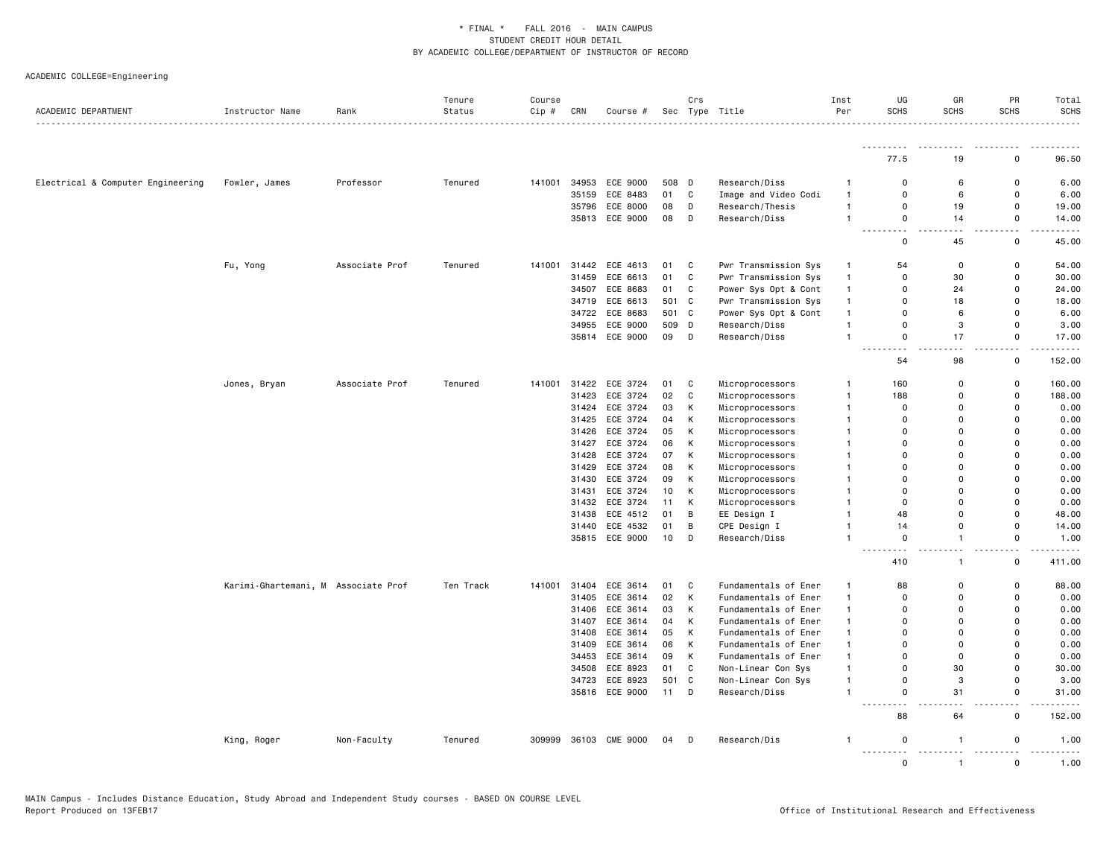|                                   |                                     |                | Tenure    | Course |       |                |                 | Crs          |                      | Inst         | UG                                                                                                                                       | GR                      | PR                | Total            |
|-----------------------------------|-------------------------------------|----------------|-----------|--------|-------|----------------|-----------------|--------------|----------------------|--------------|------------------------------------------------------------------------------------------------------------------------------------------|-------------------------|-------------------|------------------|
| ACADEMIC DEPARTMENT               | Instructor Name                     | Rank           | Status    | Cip #  | CRN   | Course #       |                 |              | Sec Type Title       | Per          | <b>SCHS</b><br>.                                                                                                                         | SCHS                    | <b>SCHS</b>       | <b>SCHS</b><br>. |
|                                   |                                     |                |           |        |       |                |                 |              |                      |              |                                                                                                                                          |                         |                   | .                |
|                                   |                                     |                |           |        |       |                |                 |              |                      |              | 77.5                                                                                                                                     | 19                      | 0                 | 96.50            |
| Electrical & Computer Engineering | Fowler, James                       | Professor      | Tenured   | 141001 | 34953 | ECE 9000       | 508 D           |              | Research/Diss        | -1           | $\mathbf 0$                                                                                                                              | 6                       | 0                 | 6.00             |
|                                   |                                     |                |           |        | 35159 | ECE 8483       | 01              | $\mathbf c$  | Image and Video Codi | $\mathbf{1}$ | $\mathbf 0$                                                                                                                              | 6                       | 0                 | 6.00             |
|                                   |                                     |                |           |        | 35796 | ECE 8000       | 08              | D            | Research/Thesis      | $\mathbf{1}$ | $\mathbf 0$                                                                                                                              | 19                      | 0                 | 19.00            |
|                                   |                                     |                |           |        |       | 35813 ECE 9000 | 08              | D            | Research/Diss        | $\mathbf{1}$ | $\mathsf{o}$<br>$- - -$                                                                                                                  | 14                      | 0                 | 14.00            |
|                                   |                                     |                |           |        |       |                |                 |              |                      |              | $\mathbf 0$                                                                                                                              | 45                      | 0                 | 45.00            |
|                                   | Fu, Yong                            | Associate Prof | Tenured   | 141001 | 31442 | ECE 4613       | 01              | C            | Pwr Transmission Sys | $\mathbf{1}$ | 54                                                                                                                                       | 0                       | 0                 | 54.00            |
|                                   |                                     |                |           |        | 31459 | ECE 6613       | 01              | C            | Pwr Transmission Sys | $\mathbf{1}$ | $\mathbf 0$                                                                                                                              | 30                      | 0                 | 30.00            |
|                                   |                                     |                |           |        | 34507 | ECE 8683       | 01              | $\mathbf C$  | Power Sys Opt & Cont | $\mathbf{1}$ | $\mathbf 0$                                                                                                                              | 24                      | $\mathsf 0$       | 24.00            |
|                                   |                                     |                |           |        | 34719 | ECE 6613       | 501 C           |              | Pwr Transmission Sys | $\mathbf{1}$ | $\Omega$                                                                                                                                 | 18                      | 0                 | 18.00            |
|                                   |                                     |                |           |        | 34722 | ECE 8683       | 501 C           |              | Power Sys Opt & Cont | $\mathbf{1}$ | $\mathbf 0$                                                                                                                              | 6                       | $\mathsf{o}$      | 6.00             |
|                                   |                                     |                |           |        | 34955 | ECE 9000       | 509             | $\mathsf{D}$ | Research/Diss        | $\mathbf{1}$ | $\mathsf 0$                                                                                                                              | 3                       | $\mathsf 0$       | 3.00             |
|                                   |                                     |                |           |        |       | 35814 ECE 9000 | 09              | D            | Research/Diss        | $\mathbf{1}$ | $\mathbf 0$                                                                                                                              | 17                      | 0<br>المنابذة     | 17.00<br>.       |
|                                   |                                     |                |           |        |       |                |                 |              |                      |              | 54                                                                                                                                       | 98                      | 0                 | 152.00           |
|                                   | Jones, Bryan                        | Associate Prof | Tenured   | 141001 | 31422 | ECE 3724       | 01              | C            | Microprocessors      |              | 160                                                                                                                                      | 0                       | 0                 | 160.00           |
|                                   |                                     |                |           |        | 31423 | ECE 3724       | 02              | C            | Microprocessors      | $\mathbf{1}$ | 188                                                                                                                                      | $\Omega$                | 0                 | 188.00           |
|                                   |                                     |                |           |        | 31424 | ECE 3724       | 03              | K            | Microprocessors      | -1           | $\mathbf 0$                                                                                                                              | $\mathbf 0$             | 0                 | 0.00             |
|                                   |                                     |                |           |        | 31425 | ECE 3724       | 04              | К            | Microprocessors      | $\mathbf{1}$ | $\mathbf 0$                                                                                                                              | 0                       | 0                 | 0.00             |
|                                   |                                     |                |           |        | 31426 | ECE 3724       | 05              | К            | Microprocessors      | $\mathbf{1}$ | $\Omega$                                                                                                                                 | $\Omega$                | $\Omega$          | 0.00             |
|                                   |                                     |                |           |        | 31427 | ECE 3724       | 06              | К            | Microprocessors      | -1           | $\Omega$                                                                                                                                 | $\Omega$                | $\Omega$          | 0.00             |
|                                   |                                     |                |           |        | 31428 | ECE 3724       | 07              | К            | Microprocessors      | $\mathbf{1}$ | $\mathbf 0$                                                                                                                              | 0                       | 0                 | 0.00             |
|                                   |                                     |                |           |        | 31429 | ECE 3724       | 08              | К            | Microprocessors      | $\mathbf{1}$ | $\mathbf 0$                                                                                                                              | $\mathbf 0$             | $\mathsf{o}$      | 0.00             |
|                                   |                                     |                |           |        | 31430 | ECE 3724       | 09              | К            | Microprocessors      | -1           | $\mathbf 0$                                                                                                                              | 0                       | 0                 | 0.00             |
|                                   |                                     |                |           |        | 31431 | ECE 3724       | 10              | К            | Microprocessors      | $\mathbf{1}$ | $\mathbf 0$                                                                                                                              | 0                       | 0                 | 0.00             |
|                                   |                                     |                |           |        |       | 31432 ECE 3724 | 11              | К            | Microprocessors      | $\mathbf{1}$ | $\mathbf 0$                                                                                                                              | $\mathbf{0}$            | $\mathsf{o}$      | 0.00             |
|                                   |                                     |                |           |        | 31438 | ECE 4512       | 01              | В            | EE Design I          | $\mathbf{1}$ | 48                                                                                                                                       | 0                       | 0                 | 48.00            |
|                                   |                                     |                |           |        | 31440 | ECE 4532       | 01              | B            | CPE Design I         | $\mathbf{1}$ | 14                                                                                                                                       | 0                       | 0                 | 14.00            |
|                                   |                                     |                |           |        |       | 35815 ECE 9000 | 10 <sup>1</sup> | D            | Research/Diss        | $\mathbf{1}$ | $\mathbf 0$                                                                                                                              | $\mathbf{1}$            | $\mathsf{o}$<br>. | 1.00<br>.        |
|                                   |                                     |                |           |        |       |                |                 |              |                      |              | 410                                                                                                                                      | 1                       | 0                 | 411.00           |
|                                   | Karimi-Ghartemani, M Associate Prof |                | Ten Track | 141001 | 31404 | ECE 3614       | 01              | C            | Fundamentals of Ener | $\mathbf{1}$ | 88                                                                                                                                       | $\mathsf 0$             | 0                 | 88.00            |
|                                   |                                     |                |           |        | 31405 | ECE 3614       | 02              | К            | Fundamentals of Ener | $\mathbf{1}$ | $\mathbf 0$                                                                                                                              | $\mathbf 0$             | $\mathsf 0$       | 0.00             |
|                                   |                                     |                |           |        | 31406 | ECE 3614       | 03              | K            | Fundamentals of Ener | $\mathbf{1}$ | $\mathbf 0$                                                                                                                              | $\mathbf 0$             | $\mathsf{o}$      | 0.00             |
|                                   |                                     |                |           |        | 31407 | ECE 3614       | 04              | K            | Fundamentals of Ener | $\mathbf{1}$ | $\Omega$                                                                                                                                 | $\Omega$                | $\Omega$          | 0.00             |
|                                   |                                     |                |           |        | 31408 | ECE 3614       | 05              | К            | Fundamentals of Ener | $\mathbf{1}$ | $\mathbf 0$                                                                                                                              | $\mathbf 0$             | 0                 | 0.00             |
|                                   |                                     |                |           |        | 31409 | ECE 3614       | 06              | К            | Fundamentals of Ener | $\mathbf{1}$ | $\mathbf 0$                                                                                                                              | $\mathbf 0$             | $\mathsf{o}$      | 0.00             |
|                                   |                                     |                |           |        | 34453 | ECE 3614       | 09              | К            | Fundamentals of Ener | $\mathbf{1}$ | $\Omega$                                                                                                                                 | $\mathbf 0$             | 0                 | 0.00             |
|                                   |                                     |                |           |        | 34508 | ECE 8923       | 01              | C            | Non-Linear Con Sys   | $\mathbf{1}$ | $\mathbf 0$                                                                                                                              | 30                      | $\mathsf{o}$      | 30.00            |
|                                   |                                     |                |           |        | 34723 | ECE 8923       | 501             | C            | Non-Linear Con Sys   | $\mathbf{1}$ | $\mathsf 0$                                                                                                                              | 3                       | $\mathsf 0$       | 3.00             |
|                                   |                                     |                |           |        |       | 35816 ECE 9000 | 11              | D            | Research/Diss        | $\mathbf{1}$ | $\mathbf 0$<br>$\frac{1}{2} \left( \frac{1}{2} \right) \left( \frac{1}{2} \right) \left( \frac{1}{2} \right) \left( \frac{1}{2} \right)$ | 31                      | 0<br>$\sim$       | 31.00<br>$    -$ |
|                                   |                                     |                |           |        |       |                |                 |              |                      |              | 88                                                                                                                                       | 64                      | 0                 | 152.00           |
|                                   | King, Roger                         | Non-Faculty    | Tenured   | 309999 |       | 36103 CME 9000 | 04              | D            | Research/Dis         |              | 0<br>.                                                                                                                                   | $\mathbf{1}$<br><b></b> | 0                 | 1.00             |
|                                   |                                     |                |           |        |       |                |                 |              |                      |              | $\Omega$                                                                                                                                 | $\mathbf{1}$            | $\Omega$          | 1.00             |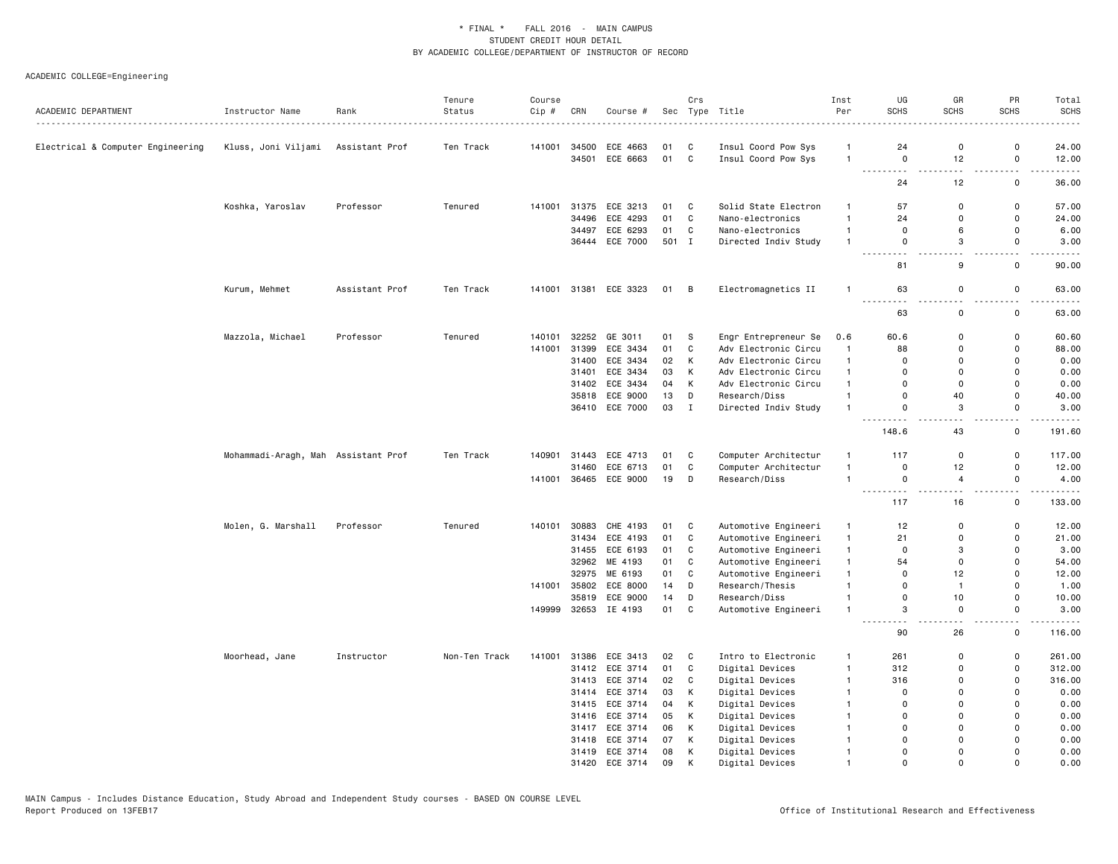|                                   |                                     |                | Tenure        | Course |       |                       |       | Crs          |                      | Inst           | UG<br>SCHS                   | GR<br><b>SCHS</b> | PR<br><b>SCHS</b>             | Total<br><b>SCHS</b> |
|-----------------------------------|-------------------------------------|----------------|---------------|--------|-------|-----------------------|-------|--------------|----------------------|----------------|------------------------------|-------------------|-------------------------------|----------------------|
| ACADEMIC DEPARTMENT               | Instructor Name                     | Rank<br>.      | Status        | Cip #  | CRN   | Course #              |       |              | Sec Type Title       | Per            |                              |                   |                               | $- - - -$            |
| Electrical & Computer Engineering | Kluss, Joni Viljami                 | Assistant Prof | Ten Track     | 141001 | 34500 | ECE 4663              | 01    | C            | Insul Coord Pow Sys  | $\mathbf{1}$   | 24                           | $\mathbf 0$       | 0                             | 24.00                |
|                                   |                                     |                |               |        |       | 34501 ECE 6663        | 01 C  |              | Insul Coord Pow Sys  | $\mathbf{1}$   | $\mathbf 0$                  | 12                | $\mathsf{o}$                  | 12.00                |
|                                   |                                     |                |               |        |       |                       |       |              |                      |                | $ -$<br>24                   | 12                | $-$<br>0                      | $- - - -$<br>36.00   |
|                                   | Koshka, Yaroslav                    | Professor      | Tenured       | 141001 |       | 31375 ECE 3213        | 01    | C            | Solid State Electron | $\mathbf{1}$   | 57                           | 0                 | 0                             | 57.00                |
|                                   |                                     |                |               |        | 34496 | ECE 4293              | 01    | C            | Nano-electronics     | $\overline{1}$ | 24                           | 0                 | 0                             | 24.00                |
|                                   |                                     |                |               |        | 34497 | ECE 6293              | 01    | C            | Nano-electronics     | $\overline{1}$ | $\mathbf 0$                  | 6                 | $\mathsf{o}$                  | 6.00                 |
|                                   |                                     |                |               |        |       | 36444 ECE 7000        | 501 I |              | Directed Indiv Study | $\overline{1}$ | $\mathbf 0$                  | 3                 | 0                             | 3.00                 |
|                                   |                                     |                |               |        |       |                       |       |              |                      |                | $- - -$<br><u>.</u><br>81    | $ -$<br>9         | $-$<br>0                      | -----<br>90.00       |
|                                   | Kurum, Mehmet                       | Assistant Prof | Ten Track     |        |       | 141001 31381 ECE 3323 | 01 B  |              | Electromagnetics II  | $\mathbf{1}$   | 63                           | 0                 | $\mathbf 0$                   | 63.00                |
|                                   |                                     |                |               |        |       |                       |       |              |                      |                | -----<br>63                  | $\mathbf 0$       | $\mathsf 0$                   | 63.00                |
|                                   | Mazzola, Michael                    | Professor      | Tenured       | 140101 |       | 32252 GE 3011         | 01    | - S          | Engr Entrepreneur Se | 0.6            | 60.6                         | $\Omega$          | $\mathbf 0$                   | 60.60                |
|                                   |                                     |                |               | 141001 | 31399 | ECE 3434              | 01    | C            | Adv Electronic Circu | $\overline{1}$ | 88                           | $\Omega$          | $\mathsf{o}$                  | 88.00                |
|                                   |                                     |                |               |        | 31400 | ECE 3434              | 02    | К            | Adv Electronic Circu | $\mathbf{1}$   | $\mathbf 0$                  | $\Omega$          | 0                             | 0.00                 |
|                                   |                                     |                |               |        | 31401 | ECE 3434              | 03    | К            | Adv Electronic Circu | $\mathbf{1}$   | $\Omega$                     | $\Omega$          | $\Omega$                      | 0.00                 |
|                                   |                                     |                |               |        |       | 31402 ECE 3434        | 04    | K            | Adv Electronic Circu | $\mathbf{1}$   | $\mathbf 0$                  | $\mathbf 0$       | $\mathbf 0$                   | 0.00                 |
|                                   |                                     |                |               |        |       | 35818 ECE 9000        | 13    | D            | Research/Diss        | $\mathbf{1}$   | $\Omega$                     | 40                | $\Omega$                      | 40.00                |
|                                   |                                     |                |               |        |       | 36410 ECE 7000        | 03    | $\mathbf{I}$ | Directed Indiv Study | $\overline{1}$ | $\mathbf 0$                  | 3                 | 0                             | 3.00                 |
|                                   |                                     |                |               |        |       |                       |       |              |                      |                | 148.6                        | 43                | 0                             | 191.60               |
|                                   | Mohammadi-Aragh, Mah Assistant Prof |                | Ten Track     | 140901 | 31443 | ECE 4713              | 01    | C            | Computer Architectur | $\mathbf{1}$   | 117                          | 0                 | $\mathbf 0$                   | 117.00               |
|                                   |                                     |                |               |        | 31460 | ECE 6713              | 01    | C            | Computer Architectur | $\overline{1}$ | $\mathbf 0$                  | 12                | $\mathsf{o}$                  | 12.00                |
|                                   |                                     |                |               | 141001 |       | 36465 ECE 9000        | 19    | D            | Research/Diss        | $\overline{1}$ | $\mathbf 0$<br>$\sim$ $\sim$ | 4                 | 0<br>$\overline{\phantom{a}}$ | 4.00                 |
|                                   |                                     |                |               |        |       |                       |       |              |                      |                | 117                          | 16                | 0                             | 133.00               |
|                                   | Molen, G. Marshall                  | Professor      | Tenured       | 140101 | 30883 | CHE 4193              | 01    | C            | Automotive Engineeri | $\mathbf{1}$   | 12                           | $\Omega$          | $\Omega$                      | 12.00                |
|                                   |                                     |                |               |        |       | 31434 ECE 4193        | 01    | C            | Automotive Engineeri | $\mathbf{1}$   | 21                           | $\mathbf 0$       | 0                             | 21.00                |
|                                   |                                     |                |               |        | 31455 | ECE 6193              | 01    | $\mathbb C$  | Automotive Engineeri | $\mathbf{1}$   | $\mathbf 0$                  | 3                 | 0                             | 3.00                 |
|                                   |                                     |                |               |        | 32962 | ME 4193               | 01    | C            | Automotive Engineeri | $\mathbf{1}$   | 54                           | 0                 | $\mathbf 0$                   | 54.00                |
|                                   |                                     |                |               |        | 32975 | ME 6193               | 01    | C            | Automotive Engineeri | $\mathbf{1}$   | 0                            | 12                | $\mathbf 0$                   | 12.00                |
|                                   |                                     |                |               | 141001 | 35802 | ECE 8000              | 14    | D            | Research/Thesis      | $\overline{1}$ | $\mathbf 0$                  | $\mathbf{1}$      | 0                             | 1.00                 |
|                                   |                                     |                |               |        |       | 35819 ECE 9000        | 14    | D            | Research/Diss        | $\overline{1}$ | $\mathbf 0$                  | 10                | 0                             | 10.00                |
|                                   |                                     |                |               | 149999 |       | 32653 IE 4193         | 01    | C            | Automotive Engineeri | $\mathbf{1}$   | 3                            | $\mathbf 0$       | $\mathbf 0$                   | 3.00                 |
|                                   |                                     |                |               |        |       |                       |       |              |                      |                | 90                           | 26                | $\mathsf{o}$                  | 116.00               |
|                                   | Moorhead, Jane                      | Instructor     | Non-Ten Track | 141001 |       | 31386 ECE 3413        | 02 C  |              | Intro to Electronic  | $\mathbf{1}$   | 261                          | 0                 | 0                             | 261.00               |
|                                   |                                     |                |               |        |       | 31412 ECE 3714        | 01    | $\mathbf c$  | Digital Devices      | $\mathbf{1}$   | 312                          | $\Omega$          | $\Omega$                      | 312.00               |
|                                   |                                     |                |               |        |       | 31413 ECE 3714        | 02    | C            | Digital Devices      | $\overline{1}$ | 316                          | $\mathbf 0$       | 0                             | 316.00               |
|                                   |                                     |                |               |        |       | 31414 ECE 3714        | 03    | K            | Digital Devices      | $\overline{1}$ | $\mathbf 0$                  | $\Omega$          | $\mathsf{o}$                  | 0.00                 |
|                                   |                                     |                |               |        |       | 31415 ECE 3714        | 04    | К            | Digital Devices      | $\mathbf{1}$   | $\Omega$                     | $\Omega$          | $\Omega$                      | 0.00                 |
|                                   |                                     |                |               |        |       | 31416 ECE 3714        | 05    | К            | Digital Devices      | $\mathbf{1}$   | $\mathbf 0$                  | $\Omega$          | $\mathbf 0$                   | 0.00                 |
|                                   |                                     |                |               |        |       | 31417 ECE 3714        | 06    | K            | Digital Devices      | $\mathbf{1}$   | $\mathbf 0$                  | $\Omega$          | $\Omega$                      | 0.00                 |
|                                   |                                     |                |               |        |       | 31418 ECE 3714        | 07    | К            | Digital Devices      | $\mathbf{1}$   | $\mathbf 0$                  | $\Omega$          | $\Omega$                      | 0.00                 |
|                                   |                                     |                |               |        |       | 31419 ECE 3714        | 08    | К            | Digital Devices      | $\mathbf{1}$   | $\mathbf 0$                  | $\mathbf{0}$      | $\Omega$                      | 0.00                 |
|                                   |                                     |                |               |        |       | 31420 ECE 3714        | 09    | K            | Digital Devices      | $\overline{1}$ | $\Omega$                     | $\Omega$          | $\Omega$                      | 0.00                 |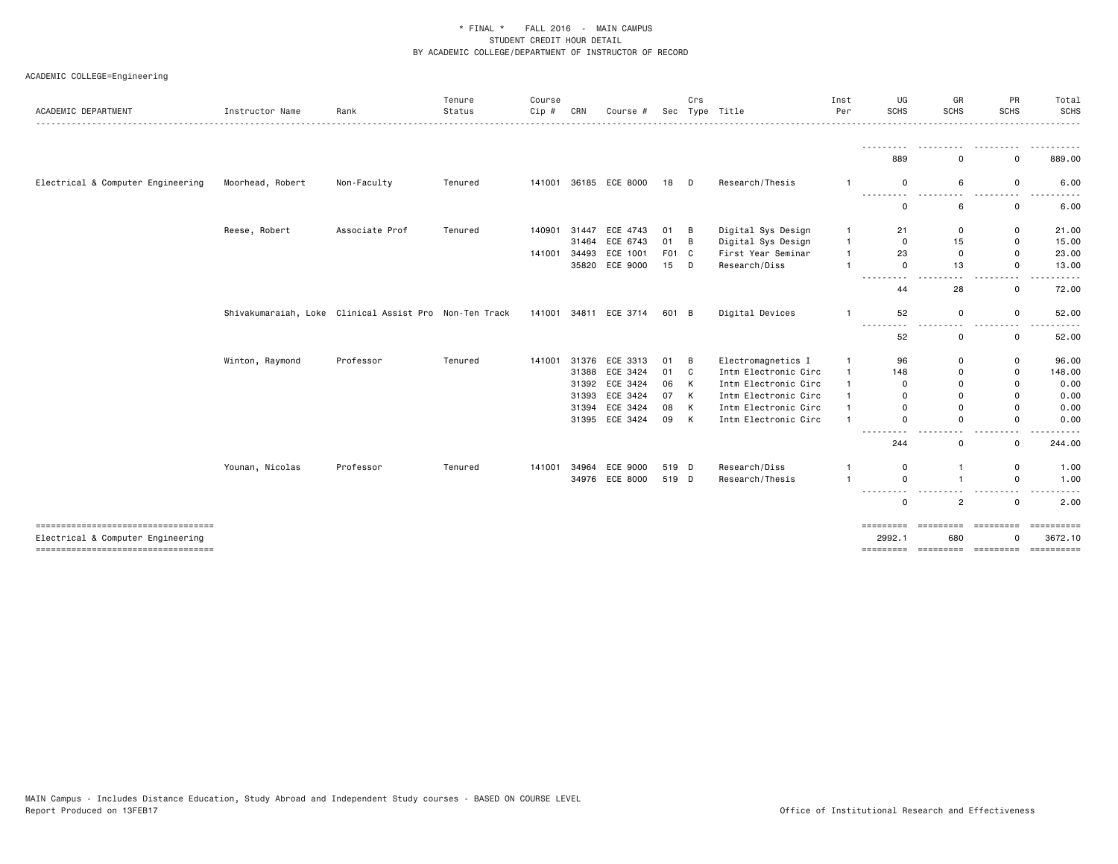| ACADEMIC DEPARTMENT                                                        | Instructor Name  | Rank                                                   | Tenure<br>Status | Course<br>$Cip$ # | CRN   | Course #              | Sec    | Crs          | Type Title           | Inst<br>Per    | UG<br><b>SCHS</b>                                                                                                                                                                      | GR<br>SCHS                              | PR<br><b>SCHS</b>              | Total<br><b>SCHS</b><br>. |
|----------------------------------------------------------------------------|------------------|--------------------------------------------------------|------------------|-------------------|-------|-----------------------|--------|--------------|----------------------|----------------|----------------------------------------------------------------------------------------------------------------------------------------------------------------------------------------|-----------------------------------------|--------------------------------|---------------------------|
|                                                                            |                  |                                                        |                  |                   |       |                       |        |              |                      |                | .<br>889                                                                                                                                                                               | .<br>$\Omega$                           | .<br>$\mathbf 0$               | .<br>889.00               |
| Electrical & Computer Engineering                                          | Moorhead, Robert | Non-Faculty                                            | Tenured          |                   |       | 141001 36185 ECE 8000 | 18 D   |              | Research/Thesis      |                | 0<br>---------                                                                                                                                                                         | 6<br>.<br>------                        | 0<br>.                         | 6.00                      |
|                                                                            |                  |                                                        |                  |                   |       |                       |        |              |                      |                | 0                                                                                                                                                                                      | 6                                       | 0                              | 6.00                      |
|                                                                            | Reese, Robert    | Associate Prof                                         | Tenured          | 140901 31447      |       | ECE 4743              | 01 B   |              | Digital Sys Design   | -1             | 21                                                                                                                                                                                     | 0                                       | 0                              | 21.00                     |
|                                                                            |                  |                                                        |                  |                   | 31464 | ECE 6743              | 01 B   |              | Digital Sys Design   | $\overline{1}$ | $\mathbf 0$                                                                                                                                                                            | 15                                      | $\mathbf 0$                    | 15.00                     |
|                                                                            |                  |                                                        |                  | 141001            | 34493 | ECE 1001              | F01 C  |              | First Year Seminar   | $\overline{1}$ | 23                                                                                                                                                                                     | $\mathbf 0$                             | $\mathbf 0$                    | 23.00                     |
|                                                                            |                  |                                                        |                  |                   | 35820 | ECE 9000              | $15$ D |              | Research/Diss        | $\overline{1}$ | $\mathbf 0$<br>$\sim$ $\sim$                                                                                                                                                           | 13                                      | $\mathbf 0$<br>. .             | 13.00                     |
|                                                                            |                  |                                                        |                  |                   |       |                       |        |              |                      |                | $\frac{1}{2} \left( \frac{1}{2} \right) \left( \frac{1}{2} \right) \left( \frac{1}{2} \right) \left( \frac{1}{2} \right)$<br>44                                                        | 28                                      | 0                              | 72.00                     |
|                                                                            |                  | Shivakumaraiah, Loke Clinical Assist Pro Non-Ten Track |                  |                   |       | 141001 34811 ECE 3714 | 601 B  |              | Digital Devices      | $\overline{1}$ | 52                                                                                                                                                                                     | $\mathbf 0$                             | 0                              | 52.00                     |
|                                                                            |                  |                                                        |                  |                   |       |                       |        |              |                      |                | $\frac{1}{2} \left( \frac{1}{2} \right) \left( \frac{1}{2} \right) \left( \frac{1}{2} \right) \left( \frac{1}{2} \right) \left( \frac{1}{2} \right)$<br>$\overline{\phantom{a}}$<br>52 | $\overline{\phantom{a}}$<br>0           | 0                              | 52.00                     |
|                                                                            | Winton, Raymond  | Professor                                              | Tenured          | 141001            | 31376 | ECE 3313              | 01 B   |              | Electromagnetics I   | $\mathbf{1}$   | 96                                                                                                                                                                                     | $\mathbf 0$                             | 0                              | 96.00                     |
|                                                                            |                  |                                                        |                  |                   | 31388 | ECE 3424              | 01 C   |              | Intm Electronic Circ | $\mathbf{1}$   | 148                                                                                                                                                                                    | $\mathbf 0$                             | 0                              | 148.00                    |
|                                                                            |                  |                                                        |                  |                   | 31392 | ECE 3424              | 06     | K            | Intm Electronic Circ | $\overline{1}$ | 0                                                                                                                                                                                      | $\Omega$                                | 0                              | 0.00                      |
|                                                                            |                  |                                                        |                  |                   |       | 31393 ECE 3424        | 07     | $\mathsf{K}$ | Intm Electronic Circ | $\mathbf{1}$   | $\Omega$                                                                                                                                                                               | $\Omega$                                | $\mathbf 0$                    | 0.00                      |
|                                                                            |                  |                                                        |                  |                   |       | 31394 ECE 3424        | 08     | K            | Intm Electronic Circ | $\mathbf{1}$   | $\Omega$                                                                                                                                                                               | $\Omega$                                | $\mathbf 0$                    | 0.00                      |
|                                                                            |                  |                                                        |                  |                   |       | 31395 ECE 3424        | 09 K   |              | Intm Electronic Circ | $\mathbf{1}$   | $\mathbf 0$                                                                                                                                                                            | $\mathbf 0$                             | $\mathbf 0$                    | 0.00                      |
|                                                                            |                  |                                                        |                  |                   |       |                       |        |              |                      |                | $\cdots \cdots \cdots$<br>- -<br>244                                                                                                                                                   | $\overline{\phantom{a}}$<br>$\mathbf 0$ | $ -$<br>0                      | .<br>244.00               |
|                                                                            | Younan, Nicolas  | Professor                                              | Tenured          | 141001            | 34964 | ECE 9000              | 519 D  |              | Research/Diss        | -1             | $\mathbf 0$                                                                                                                                                                            | $\mathbf{1}$                            | 0                              | 1.00                      |
|                                                                            |                  |                                                        |                  |                   |       | 34976 ECE 8000        | 519 D  |              | Research/Thesis      | $\overline{1}$ | $\mathbf 0$                                                                                                                                                                            | $\overline{1}$                          | $\mathbf 0$                    | 1.00                      |
|                                                                            |                  |                                                        |                  |                   |       |                       |        |              |                      |                | .<br>$\mathbf 0$                                                                                                                                                                       | .<br>$\overline{2}$                     | - - -<br>------<br>$\mathbf 0$ | - - - - -<br>2.00         |
| -------------------------------------                                      |                  |                                                        |                  |                   |       |                       |        |              |                      |                |                                                                                                                                                                                        |                                         |                                |                           |
| Electrical & Computer Engineering<br>===================================== |                  |                                                        |                  |                   |       |                       |        |              |                      |                | 2992.1                                                                                                                                                                                 | 680                                     | ŋ                              | 3672.10                   |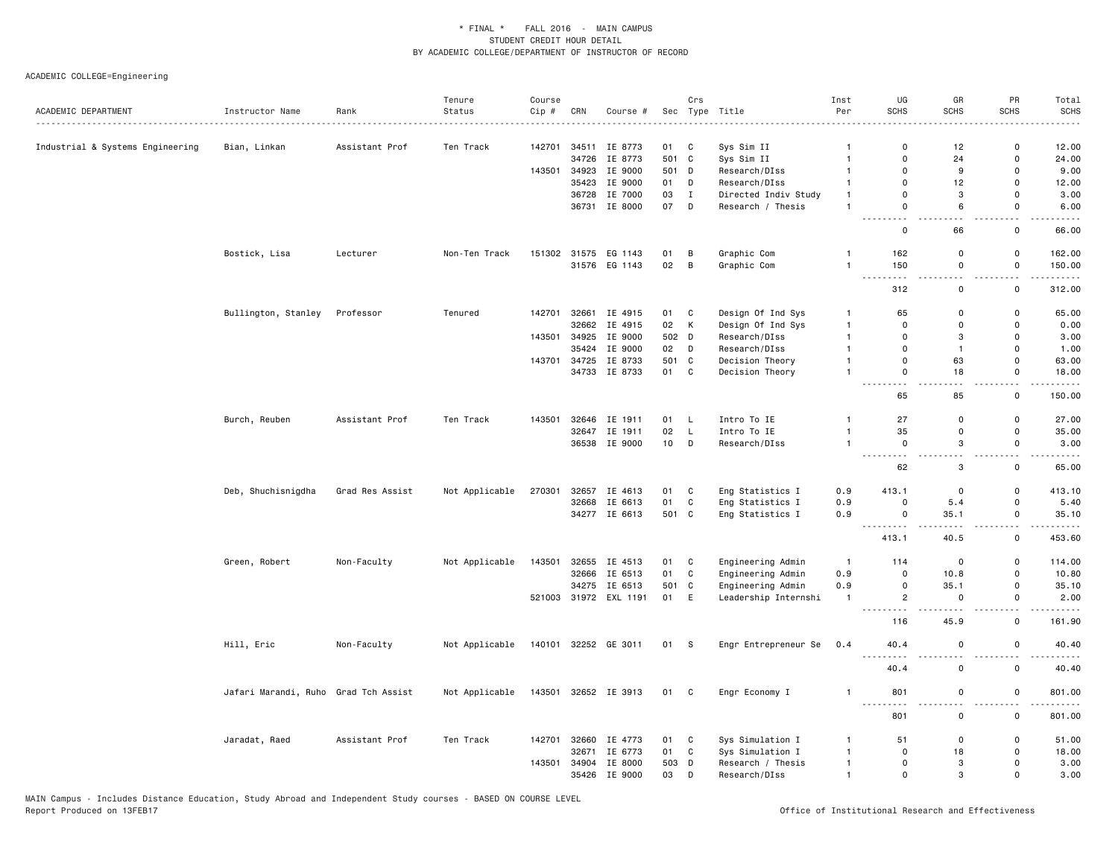|                                  |                                      |                 | Tenure         | Course  |       |                                |             | Crs               |                                       | Inst                         | UG                                                                | GR                 | PR                        | Total                                                                                                                             |
|----------------------------------|--------------------------------------|-----------------|----------------|---------|-------|--------------------------------|-------------|-------------------|---------------------------------------|------------------------------|-------------------------------------------------------------------|--------------------|---------------------------|-----------------------------------------------------------------------------------------------------------------------------------|
| ACADEMIC DEPARTMENT              | Instructor Name                      | Rank            | Status         | $Cip$ # | CRN   | Course #                       |             |                   | Sec Type Title                        | Per                          | <b>SCHS</b>                                                       | <b>SCHS</b>        | <b>SCHS</b>               | <b>SCHS</b>                                                                                                                       |
|                                  |                                      |                 |                |         |       |                                |             |                   |                                       |                              |                                                                   |                    |                           |                                                                                                                                   |
| Industrial & Systems Engineering | Bian, Linkan                         | Assistant Prof  | Ten Track      | 142701  |       | 34511 IE 8773                  | 01          | C                 | Sys Sim II                            | $\overline{1}$               | $\mathbf 0$                                                       | 12                 | $\Omega$<br>$\mathbf 0$   | 12.00                                                                                                                             |
|                                  |                                      |                 |                |         | 34726 | IE 8773                        | 501 C       |                   | Sys Sim II                            | $\overline{1}$               | $\mathbf 0$<br>$\mathbf 0$                                        | 24<br>9            | $\mathsf{o}$              | 24.00                                                                                                                             |
|                                  |                                      |                 |                | 143501  |       | 34923 IE 9000<br>35423 IE 9000 | 501 D<br>01 |                   | Research/DIss                         | $\overline{1}$               |                                                                   | 12                 | $\mathsf 0$               | 9.00<br>12.00                                                                                                                     |
|                                  |                                      |                 |                |         |       | 36728 IE 7000                  | 03          | D<br>$\mathbf{I}$ | Research/DIss<br>Directed Indiv Study | $\mathbf{1}$<br>$\mathbf{1}$ | 0<br>$\mathbf 0$                                                  | 3                  | $\mathbf 0$               | 3.00                                                                                                                              |
|                                  |                                      |                 |                |         |       | 36731 IE 8000                  | 07          | D                 | Research / Thesis                     | $\mathbf{1}$                 | $\mathbf 0$                                                       | 6                  | $\mathsf{o}$              | 6.00                                                                                                                              |
|                                  |                                      |                 |                |         |       |                                |             |                   |                                       |                              | . .<br>$\mathbf 0$                                                | 66                 | 0                         | 66.00                                                                                                                             |
|                                  | Bostick, Lisa                        | Lecturer        | Non-Ten Track  |         |       | 151302 31575 EG 1143           | 01          | B                 | Graphic Com                           | $\mathbf{1}$                 | 162                                                               | 0                  | 0                         | 162.00                                                                                                                            |
|                                  |                                      |                 |                |         |       | 31576 EG 1143                  | 02          | B                 | Graphic Com                           | $\mathbf{1}$                 | 150<br>$\sim$ $\sim$ $\sim$ $\sim$<br>.                           | $\mathsf 0$<br>- - | 0<br>$\ddot{\phantom{a}}$ | 150.00<br>$    -$                                                                                                                 |
|                                  |                                      |                 |                |         |       |                                |             |                   |                                       |                              | 312                                                               | $\mathsf 0$        | 0                         | 312.00                                                                                                                            |
|                                  | Bullington, Stanley                  | Professor       | Tenured        | 142701  |       | 32661 IE 4915                  | 01          | C                 | Design Of Ind Sys                     | -1                           | 65                                                                | 0                  | 0                         | 65.00                                                                                                                             |
|                                  |                                      |                 |                |         | 32662 | IE 4915                        | 02          | K                 | Design Of Ind Sys                     | $\mathbf{1}$                 | $\mathbf 0$                                                       | 0                  | $\mathbf 0$               | 0.00                                                                                                                              |
|                                  |                                      |                 |                | 143501  |       | 34925 IE 9000                  | 502 D       |                   | Research/DIss                         | $\mathbf{1}$                 | $\Omega$                                                          | 3                  | $\mathsf 0$               | 3.00                                                                                                                              |
|                                  |                                      |                 |                |         | 35424 | IE 9000                        | 02          | D                 | Research/DIss                         | $\overline{1}$               | $\mathbf 0$                                                       | $\mathbf{1}$       | $\mathbf 0$               | 1.00                                                                                                                              |
|                                  |                                      |                 |                | 143701  |       | 34725 IE 8733                  | 501 C       |                   | Decision Theory                       | $\mathbf{1}$                 | $\mathbf 0$                                                       | 63                 | $\mathsf 0$               | 63.00                                                                                                                             |
|                                  |                                      |                 |                |         |       | 34733 IE 8733                  | 01 C        |                   | Decision Theory                       | $\overline{1}$               | $\mathbf 0$<br>$\sim$ $\sim$<br>$\frac{1}{2}$                     | 18                 | $\mathsf{o}$<br>$ -$      | 18.00<br>.                                                                                                                        |
|                                  |                                      |                 |                |         |       |                                |             |                   |                                       |                              | 65                                                                | 85                 | $\mathbf 0$               | 150.00                                                                                                                            |
|                                  | Burch, Reuben                        | Assistant Prof  | Ten Track      | 143501  |       | 32646 IE 1911                  | 01          | - L               | Intro To IE                           | $\mathbf{1}$                 | 27                                                                | 0                  | 0                         | 27.00                                                                                                                             |
|                                  |                                      |                 |                |         |       | 32647 IE 1911                  | 02          | L                 | Intro To IE                           | $\mathbf{1}$                 | 35                                                                | 0                  | 0                         | 35.00                                                                                                                             |
|                                  |                                      |                 |                |         |       | 36538 IE 9000                  | 10          | D                 | Research/DIss                         | $\mathbf{1}$                 | $\mathsf 0$<br>$\omega \sim \omega$<br>$\omega$ $\omega$ $\omega$ | 3                  | $\mathsf{o}\,$            | 3.00<br>$\frac{1}{2} \left( \frac{1}{2} \right) \left( \frac{1}{2} \right) \left( \frac{1}{2} \right) \left( \frac{1}{2} \right)$ |
|                                  |                                      |                 |                |         |       |                                |             |                   |                                       |                              | 62                                                                | 3                  | 0                         | 65.00                                                                                                                             |
|                                  | Deb, Shuchisnigdha                   | Grad Res Assist | Not Applicable | 270301  |       | 32657 IE 4613                  | 01          | C                 | Eng Statistics I                      | 0.9                          | 413.1                                                             | $\mathbf 0$        | 0                         | 413.10                                                                                                                            |
|                                  |                                      |                 |                |         |       | 32668 IE 6613                  | 01          | $\mathbb C$       | Eng Statistics I                      | 0.9                          | $\mathbf 0$                                                       | 5.4                | $\mathsf 0$               | 5.40                                                                                                                              |
|                                  |                                      |                 |                |         |       | 34277 IE 6613                  | 501 C       |                   | Eng Statistics I                      | 0.9                          | $\mathbf 0$<br>.                                                  | 35.1               | 0                         | 35.10                                                                                                                             |
|                                  |                                      |                 |                |         |       |                                |             |                   |                                       |                              | 413.1                                                             | 40.5               | 0                         | 453.60                                                                                                                            |
|                                  | Green, Robert                        | Non-Faculty     | Not Applicable | 143501  |       | 32655 IE 4513                  | 01          | C                 | Engineering Admin                     | $\overline{1}$               | 114                                                               | 0                  | 0                         | 114.00                                                                                                                            |
|                                  |                                      |                 |                |         | 32666 | IE 6513                        | 01          | C                 | Engineering Admin                     | 0.9                          | $\mathbf 0$                                                       | 10.8               | 0                         | 10.80                                                                                                                             |
|                                  |                                      |                 |                |         |       | 34275 IE 6513                  | 501 C       |                   | Engineering Admin                     | 0.9                          | $\mathsf 0$                                                       | 35.1               | $\mathsf{o}\,$            | 35.10                                                                                                                             |
|                                  |                                      |                 |                |         |       | 521003 31972 EXL 1191          | 01 E        |                   | Leadership Internshi                  | $\mathbf{1}$                 | $\overline{c}$<br>---------                                       | $\Omega$           | 0<br>$ -$                 | 2.00<br>$\cdots$                                                                                                                  |
|                                  |                                      |                 |                |         |       |                                |             |                   |                                       |                              | 116                                                               | 45.9               | $\mathsf{o}$              | 161.90                                                                                                                            |
|                                  | Hill, Eric                           | Non-Faculty     | Not Applicable |         |       | 140101 32252 GE 3011           | 01          | $^{\circ}$ S      | Engr Entrepreneur Se                  | 0.4                          | 40.4<br>$\sim$ $\sim$ $\sim$                                      | $\mathsf 0$        | $\mathbf 0$               | 40.40                                                                                                                             |
|                                  |                                      |                 |                |         |       |                                |             |                   |                                       |                              | 40.4                                                              | 0                  | 0                         | 40.40                                                                                                                             |
|                                  | Jafari Marandi, Ruho Grad Tch Assist |                 | Not Applicable |         |       | 143501 32652 IE 3913           | 01 C        |                   | Engr Economy I                        | $\overline{1}$               | 801                                                               | 0<br>$\sim$        | 0                         | 801.00<br>.                                                                                                                       |
|                                  |                                      |                 |                |         |       |                                |             |                   |                                       |                              | 801                                                               | $\mathsf 0$        | $\mathsf 0$               | 801.00                                                                                                                            |
|                                  | Jaradat, Raed                        | Assistant Prof  | Ten Track      | 142701  |       | 32660 IE 4773                  | 01          | C                 | Sys Simulation I                      | $\mathbf{1}$                 | 51                                                                | 0                  | 0                         | 51.00                                                                                                                             |
|                                  |                                      |                 |                |         | 32671 | IE 6773                        | 01          | C                 | Sys Simulation I                      | $\mathbf{1}$                 | $\Omega$                                                          | 18                 | $\Omega$                  | 18.00                                                                                                                             |
|                                  |                                      |                 |                | 143501  |       | 34904 IE 8000                  | 503         | D                 | Research / Thesis                     | $\mathbf{1}$                 | $\mathbf 0$                                                       | 3                  | $\Omega$                  | 3.00                                                                                                                              |
|                                  |                                      |                 |                |         |       | 35426 IE 9000                  | 03          | D                 | Research/DIss                         | $\overline{1}$               | $\mathbf{0}$                                                      | 3                  | $\Omega$                  | 3.00                                                                                                                              |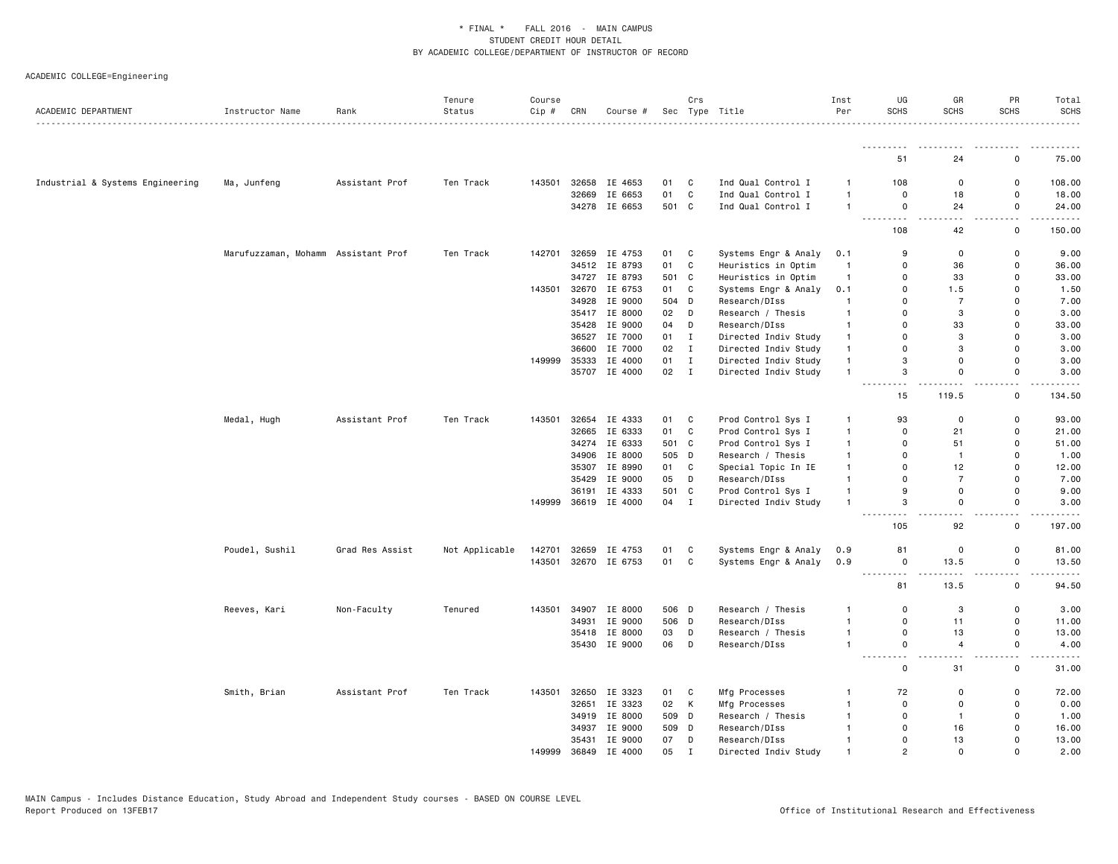| ACADEMIC DEPARTMENT              | Instructor Name                     | Rank            | Tenure<br>Status | Course<br>Cip # | CRN            | Course #           |             | Crs          | Sec Type Title       | Inst<br>Per    | UG<br><b>SCHS</b>                                                                                                                                                                     | GR<br><b>SCHS</b> | PR<br><b>SCHS</b>  | Total<br><b>SCHS</b>                                                                                                              |
|----------------------------------|-------------------------------------|-----------------|------------------|-----------------|----------------|--------------------|-------------|--------------|----------------------|----------------|---------------------------------------------------------------------------------------------------------------------------------------------------------------------------------------|-------------------|--------------------|-----------------------------------------------------------------------------------------------------------------------------------|
|                                  |                                     |                 |                  |                 |                |                    |             |              |                      |                |                                                                                                                                                                                       |                   |                    |                                                                                                                                   |
|                                  |                                     |                 |                  |                 |                |                    |             |              |                      |                | 51                                                                                                                                                                                    | 24                | 0                  | 75.00                                                                                                                             |
| Industrial & Systems Engineering | Ma, Junfeng                         | Assistant Prof  | Ten Track        | 143501          | 32658          | IE 4653            | 01          | C            | Ind Qual Control I   | -1             | 108                                                                                                                                                                                   | 0                 | 0                  | 108.00                                                                                                                            |
|                                  |                                     |                 |                  |                 | 32669          | IE 6653            | 01          | C            | Ind Qual Control I   | $\mathbf{1}$   | $\mathbf 0$                                                                                                                                                                           | 18                | 0                  | 18.00                                                                                                                             |
|                                  |                                     |                 |                  |                 |                | 34278 IE 6653      | 501 C       |              | Ind Qual Control I   | $\mathbf{1}$   | $\mathbf 0$                                                                                                                                                                           | 24                | 0                  | 24.00                                                                                                                             |
|                                  |                                     |                 |                  |                 |                |                    |             |              |                      |                | 108                                                                                                                                                                                   | 42                | .<br>0             | .<br>150.00                                                                                                                       |
|                                  | Marufuzzaman, Mohamm Assistant Prof |                 | Ten Track        | 142701          | 32659          | IE 4753            | 01          | C            | Systems Engr & Analy | 0.1            | 9                                                                                                                                                                                     | 0                 | 0                  | 9.00                                                                                                                              |
|                                  |                                     |                 |                  |                 | 34512          | IE 8793            | 01          | C            | Heuristics in Optim  | $\overline{1}$ | $\Omega$                                                                                                                                                                              | 36                | 0                  | 36.00                                                                                                                             |
|                                  |                                     |                 |                  |                 |                | 34727 IE 8793      | 501         | C            | Heuristics in Optim  | $\overline{1}$ | $\mathbf 0$                                                                                                                                                                           | 33                | 0                  | 33.00                                                                                                                             |
|                                  |                                     |                 |                  | 143501          | 32670          | IE 6753            | 01          | C            | Systems Engr & Analy | 0.1            | $\mathbf 0$                                                                                                                                                                           | 1.5               | 0                  | 1.50                                                                                                                              |
|                                  |                                     |                 |                  |                 | 34928          | IE 9000            | 504 D       |              | Research/DIss        | $\overline{1}$ | $\Omega$                                                                                                                                                                              | $\overline{7}$    | 0                  | 7.00                                                                                                                              |
|                                  |                                     |                 |                  |                 |                | 35417 IE 8000      | 02          | D            | Research / Thesis    | -1             | $\mathbf 0$                                                                                                                                                                           | 3                 | 0                  | 3.00                                                                                                                              |
|                                  |                                     |                 |                  |                 | 35428          | IE 9000            | 04          | D            | Research/DIss        | $\mathbf{1}$   | $\mathbf 0$                                                                                                                                                                           | 33                | 0                  | 33.00                                                                                                                             |
|                                  |                                     |                 |                  |                 | 36527          | IE 7000            | 01          | $\mathbf{I}$ | Directed Indiv Study | $\mathbf{1}$   | $\Omega$                                                                                                                                                                              | 3                 | 0                  | 3.00                                                                                                                              |
|                                  |                                     |                 |                  |                 | 36600          | IE 7000            | 02          | $\mathbf I$  | Directed Indiv Study | $\mathbf{1}$   | $\Omega$                                                                                                                                                                              | 3                 | 0                  | 3.00                                                                                                                              |
|                                  |                                     |                 |                  | 149999          | 35333          | IE 4000            | 01          | I            | Directed Indiv Study | $\mathbf{1}$   | 3                                                                                                                                                                                     | $\mathsf 0$       | 0                  | 3.00                                                                                                                              |
|                                  |                                     |                 |                  |                 |                |                    |             |              |                      | $\mathbf{1}$   |                                                                                                                                                                                       | 0                 | 0                  |                                                                                                                                   |
|                                  |                                     |                 |                  |                 |                | 35707 IE 4000      | $02$ I      |              | Directed Indiv Study |                | 3<br>.                                                                                                                                                                                |                   | $\sim$ $\sim$      | 3.00<br>$\frac{1}{2} \left( \frac{1}{2} \right) \left( \frac{1}{2} \right) \left( \frac{1}{2} \right) \left( \frac{1}{2} \right)$ |
|                                  |                                     |                 |                  |                 |                |                    |             |              |                      |                | 15                                                                                                                                                                                    | 119.5             | $\mathsf{o}\,$     | 134.50                                                                                                                            |
|                                  | Medal, Hugh                         | Assistant Prof  | Ten Track        | 143501          | 32654          | IE 4333            | 01          | C            | Prod Control Sys I   | $\mathbf{1}$   | 93                                                                                                                                                                                    | 0                 | 0                  | 93.00                                                                                                                             |
|                                  |                                     |                 |                  |                 | 32665          | IE 6333            | 01          | C            | Prod Control Sys I   | $\mathbf{1}$   | $\mathbf 0$                                                                                                                                                                           | 21                | $\mathsf{o}\,$     | 21.00                                                                                                                             |
|                                  |                                     |                 |                  |                 | 34274          | IE 6333            | 501 C       |              | Prod Control Sys I   | $\mathbf{1}$   | $\Omega$                                                                                                                                                                              | 51                | 0                  | 51.00                                                                                                                             |
|                                  |                                     |                 |                  |                 | 34906          | IE 8000            | 505         | D            | Research / Thesis    | $\mathbf{1}$   | $\mathbf 0$                                                                                                                                                                           | $\mathbf{1}$      | 0                  | 1.00                                                                                                                              |
|                                  |                                     |                 |                  |                 | 35307          | IE 8990            | 01          | C            | Special Topic In IE  | $\mathbf{1}$   | $\mathbf 0$                                                                                                                                                                           | 12                | 0                  | 12.00                                                                                                                             |
|                                  |                                     |                 |                  |                 | 35429          | IE 9000            | 05          | D            | Research/DIss        | $\mathbf{1}$   | $\Omega$                                                                                                                                                                              | $\overline{7}$    | 0                  | 7.00                                                                                                                              |
|                                  |                                     |                 |                  |                 |                | 36191 IE 4333      | 501         | C            | Prod Control Sys I   | $\mathbf{1}$   | 9                                                                                                                                                                                     | 0                 | 0                  | 9.00                                                                                                                              |
|                                  |                                     |                 |                  | 149999          |                | 36619 IE 4000      | 04          | I            | Directed Indiv Study | $\mathbf{1}$   | 3                                                                                                                                                                                     | $\mathsf 0$       | $\mathsf{o}\,$     | 3.00                                                                                                                              |
|                                  |                                     |                 |                  |                 |                |                    |             |              |                      |                | 105                                                                                                                                                                                   | 92                | $\mathsf{o}\,$     | 197.00                                                                                                                            |
|                                  | Poudel, Sushil                      | Grad Res Assist | Not Applicable   | 142701          | 32659          | IE 4753            | 01          | C            | Systems Engr & Analy | 0.9            | 81                                                                                                                                                                                    | 0                 | 0                  | 81.00                                                                                                                             |
|                                  |                                     |                 |                  | 143501          |                | 32670 IE 6753      | 01          | C            | Systems Engr & Analy | 0.9            | $\mathbf 0$                                                                                                                                                                           | 13.5              | $\mathsf{o}\,$     | 13.50                                                                                                                             |
|                                  |                                     |                 |                  |                 |                |                    |             |              |                      |                | $\frac{1}{2} \left( \frac{1}{2} \right) \left( \frac{1}{2} \right) \left( \frac{1}{2} \right) \left( \frac{1}{2} \right) \left( \frac{1}{2} \right) \left( \frac{1}{2} \right)$<br>81 | 13.5              | $\sim$ $\sim$<br>0 | .<br>94.50                                                                                                                        |
|                                  | Reeves, Kari                        | Non-Faculty     | Tenured          | 143501          | 34907          | IE 8000            | 506 D       |              | Research / Thesis    |                | $\mathbf 0$                                                                                                                                                                           | 3                 | 0                  | 3.00                                                                                                                              |
|                                  |                                     |                 |                  |                 | 34931          | IE 9000            | 506 D       |              | Research/DIss        | $\mathbf{1}$   | $\mathbf 0$                                                                                                                                                                           | 11                | 0                  | 11.00                                                                                                                             |
|                                  |                                     |                 |                  |                 |                | 35418 IE 8000      | 03          | D            | Research / Thesis    | $\mathbf{1}$   | $\mathsf{o}$                                                                                                                                                                          | 13                | 0                  | 13.00                                                                                                                             |
|                                  |                                     |                 |                  |                 |                | 35430 IE 9000      | 06          | D            | Research/DIss        | $\mathbf{1}$   | $\mathsf 0$                                                                                                                                                                           | $\overline{4}$    | $\mathsf{o}\,$     | 4.00                                                                                                                              |
|                                  |                                     |                 |                  |                 |                |                    |             |              |                      |                | $\sim$ $\sim$ $\sim$<br>0                                                                                                                                                             | 31                | 0                  | - - - -<br>31.00                                                                                                                  |
|                                  | Smith, Brian                        | Assistant Prof  | Ten Track        | 143501          | 32650          | IE 3323            | 01          | C            | Mfg Processes        | $\mathbf{1}$   | 72                                                                                                                                                                                    | 0                 | 0                  | 72.00                                                                                                                             |
|                                  |                                     |                 |                  |                 | 32651          | IE 3323            | 02          | К            | Mfg Processes        | $\mathbf{1}$   | $\mathbf 0$                                                                                                                                                                           | $\mathbf 0$       | 0                  | 0.00                                                                                                                              |
|                                  |                                     |                 |                  |                 | 34919          | IE 8000            | 509 D       |              | Research / Thesis    | -1             | $\mathsf 0$                                                                                                                                                                           | $\mathbf{1}$      | 0                  | 1.00                                                                                                                              |
|                                  |                                     |                 |                  |                 |                |                    |             |              |                      | $\mathbf{1}$   | $\Omega$                                                                                                                                                                              |                   | 0                  |                                                                                                                                   |
|                                  |                                     |                 |                  |                 | 34937<br>35431 | IE 9000<br>IE 9000 | 509 D<br>07 | D            | Research/DIss        | $\mathbf{1}$   | $\mathbf 0$                                                                                                                                                                           | 16<br>13          | 0                  | 16.00<br>13.00                                                                                                                    |
|                                  |                                     |                 |                  | 149999          | 36849          | IE 4000            | 05          | $\mathsf{T}$ | Research/DIss        | $\mathbf{1}$   | $\overline{2}$                                                                                                                                                                        | $\Omega$          | $\Omega$           | 2.00                                                                                                                              |
|                                  |                                     |                 |                  |                 |                |                    |             |              | Directed Indiv Study |                |                                                                                                                                                                                       |                   |                    |                                                                                                                                   |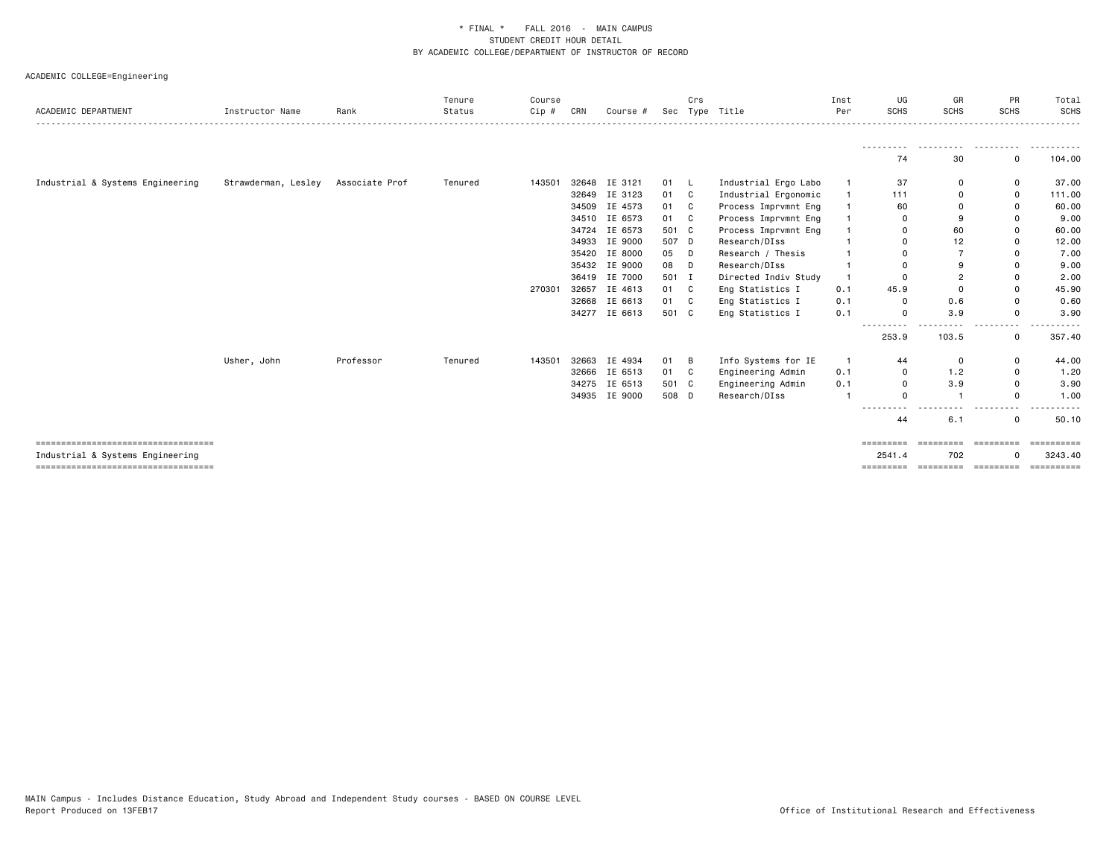| ACADEMIC DEPARTMENT                                                       | Instructor Name     | Rank           | Tenure<br>Status | Course<br>$Cip$ # | CRN   | Course #      |       | Crs | Sec Type Title       | Inst<br>Per  | UG<br><b>SCHS</b>     | GR<br><b>SCHS</b>       | PR<br><b>SCHS</b>               | Total<br><b>SCHS</b>  |
|---------------------------------------------------------------------------|---------------------|----------------|------------------|-------------------|-------|---------------|-------|-----|----------------------|--------------|-----------------------|-------------------------|---------------------------------|-----------------------|
|                                                                           |                     |                |                  |                   |       |               |       |     |                      |              | 74                    | 30                      | .<br>0                          | 104.00                |
| Industrial & Systems Engineering                                          | Strawderman, Lesley | Associate Prof | Tenured          | 143501            | 32648 | IE 3121       | 01    | L   | Industrial Ergo Labo | $\mathbf{1}$ | 37                    | 0                       | 0                               | 37.00                 |
|                                                                           |                     |                |                  |                   | 32649 | IE 3123       | 01    | C   | Industrial Ergonomic | $\mathbf{1}$ | 111                   | 0                       | 0                               | 111.00                |
|                                                                           |                     |                |                  |                   | 34509 | IE 4573       | 01    | C   | Process Imprvmnt Eng | $\mathbf{1}$ | 60                    | $\mathbf 0$             | 0                               | 60.00                 |
|                                                                           |                     |                |                  |                   |       | 34510 IE 6573 | 01    | C   | Process Imprvmnt Eng | $\mathbf{1}$ | 0                     | 9                       | 0                               | 9.00                  |
|                                                                           |                     |                |                  |                   | 34724 | IE 6573       | 501 C |     | Process Imprvmnt Eng | $\mathbf{1}$ | 0                     | 60                      | 0                               | 60.00                 |
|                                                                           |                     |                |                  |                   | 34933 | IE 9000       | 507 D |     | Research/DIss        |              | 0                     | 12                      | 0                               | 12.00                 |
|                                                                           |                     |                |                  |                   | 35420 | IE 8000       | 05    | D   | Research / Thesis    | $\mathbf{1}$ | $\Omega$              | $\overline{7}$          | 0                               | 7.00                  |
|                                                                           |                     |                |                  |                   |       | 35432 IE 9000 | 08    | D   | Research/DIss        | $\mathbf{1}$ | $\Omega$              | 9                       | 0                               | 9.00                  |
|                                                                           |                     |                |                  |                   | 36419 | IE 7000       | 501 I |     | Directed Indiv Study | $\mathbf{1}$ | 0                     | $\overline{2}$          | 0                               | 2.00                  |
|                                                                           |                     |                |                  | 270301            | 32657 | IE 4613       | 01    | C   | Eng Statistics I     | 0.1          | 45.9                  | $\Omega$                | 0                               | 45.90                 |
|                                                                           |                     |                |                  |                   |       | 32668 IE 6613 | 01    | C   | Eng Statistics I     | 0.1          | 0                     | 0.6                     | 0                               | 0.60                  |
|                                                                           |                     |                |                  |                   | 34277 | IE 6613       | 501 C |     | Eng Statistics I     | 0.1          | $\Omega$<br>--------- | 3.9                     | 0<br>$ -$                       | 3.90                  |
|                                                                           |                     |                |                  |                   |       |               |       |     |                      |              | 253.9                 | 103.5                   | 0                               | 357.40                |
|                                                                           | Usher, John         | Professor      | Tenured          | 143501            | 32663 | IE 4934       | 01    | B   | Info Systems for IE  | $\mathbf{1}$ | 44                    | 0                       | 0                               | 44.00                 |
|                                                                           |                     |                |                  |                   | 32666 | IE 6513       | 01    | C.  | Engineering Admin    | 0.1          | 0                     | 1.2                     | 0                               | 1.20                  |
|                                                                           |                     |                |                  |                   |       | 34275 IE 6513 | 501 C |     | Engineering Admin    | 0.1          | 0                     | 3.9                     | 0                               | 3.90                  |
|                                                                           |                     |                |                  |                   | 34935 | IE 9000       | 508 D |     | Research/DIss        | $\mathbf{1}$ | $\Omega$              | -1                      | 0                               | 1.00                  |
|                                                                           |                     |                |                  |                   |       |               |       |     |                      |              | $\sim$ $\sim$<br>44   | 6.1                     | 0                               | 50.10                 |
| =====================================<br>Industrial & Systems Engineering |                     |                |                  |                   |       |               |       |     |                      |              | =========<br>2541.4   | <b>ESSESSESS</b><br>702 | $=$ = = = = = = = =<br>$\Omega$ | ==========<br>3243.40 |
| =====================================                                     |                     |                |                  |                   |       |               |       |     |                      |              |                       |                         |                                 | ==========            |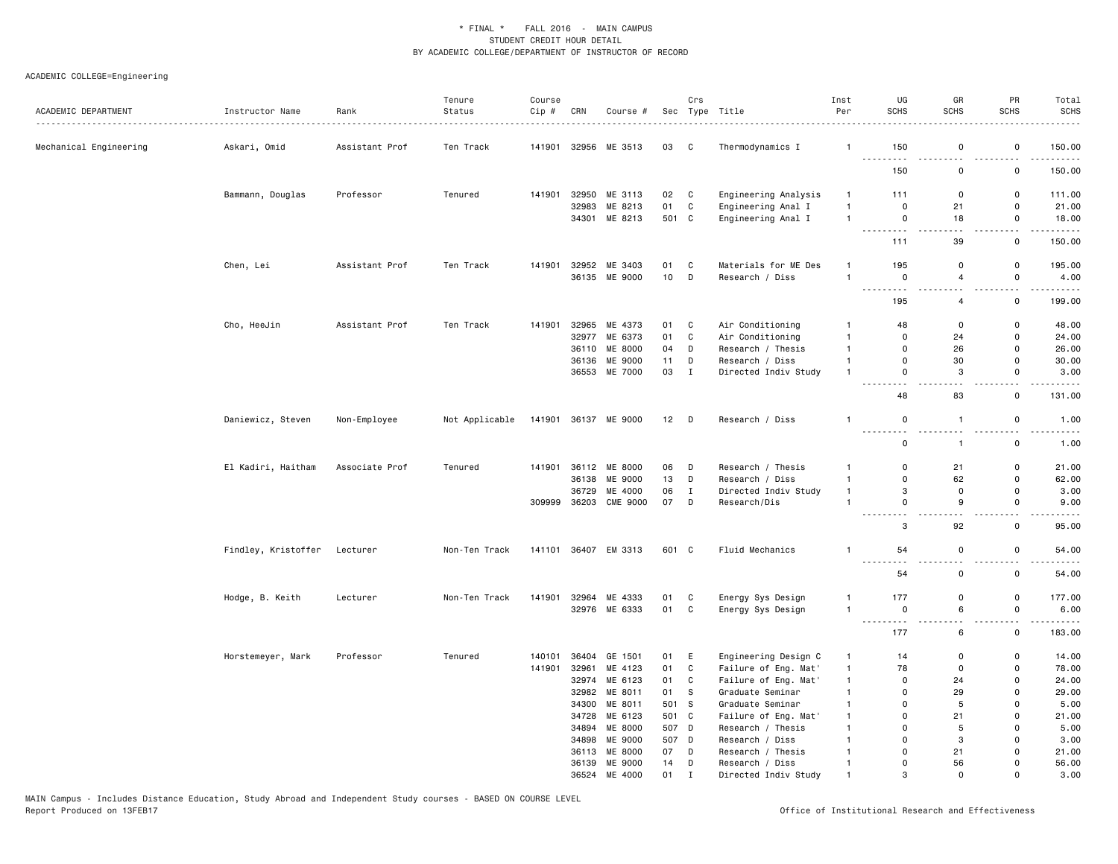| ACADEMIC DEPARTMENT    | Instructor Name     | Rank           | Tenure<br>Status | Course<br>$Cip$ # | CRN   | Course #             |        | Crs            | Sec Type Title         | Inst<br>Per    | UG<br>SCHS                                                                                                                      | GR<br><b>SCHS</b>     | PR<br><b>SCHS</b>                       | Total<br><b>SCHS</b><br>$- - - - - -$ |
|------------------------|---------------------|----------------|------------------|-------------------|-------|----------------------|--------|----------------|------------------------|----------------|---------------------------------------------------------------------------------------------------------------------------------|-----------------------|-----------------------------------------|---------------------------------------|
| Mechanical Engineering | Askari, Omid        | Assistant Prof | Ten Track        | 141901            |       | 32956 ME 3513        | 03     | $\overline{C}$ | Thermodynamics I       | $\mathbf{1}$   | 150                                                                                                                             | 0                     | 0                                       | 150.00                                |
|                        |                     |                |                  |                   |       |                      |        |                |                        |                | .<br>150                                                                                                                        | 0                     | 0                                       | 150.00                                |
|                        | Bammann, Douglas    | Professor      | Tenured          | 141901            | 32950 | ME 3113              | 02     | C              | Engineering Analysis   | $\mathbf{1}$   | 111                                                                                                                             | $\mathsf 0$           | $\mathbf 0$                             | 111.00                                |
|                        |                     |                |                  |                   | 32983 | ME 8213              | 01     | $\mathbf{C}$   | Engineering Anal I     | $\mathbf{1}$   | $\mathsf 0$                                                                                                                     | 21                    | $\mathsf 0$                             | 21.00                                 |
|                        |                     |                |                  |                   | 34301 | ME 8213              | 501 C  |                | Engineering Anal I     | $\mathbf{1}$   | $\mathsf 0$<br>.                                                                                                                | 18                    | $\mathsf 0$<br>$\overline{\phantom{a}}$ | 18.00                                 |
|                        |                     |                |                  |                   |       |                      |        |                |                        |                | 111                                                                                                                             | 39                    | 0                                       | 150.00                                |
|                        | Chen, Lei           | Assistant Prof | Ten Track        | 141901            |       | 32952 ME 3403        | 01     | $\mathbf C$    | Materials for ME Des   | $\overline{1}$ | 195                                                                                                                             | $\mathbf 0$           | $\mathbf 0$                             | 195.00                                |
|                        |                     |                |                  |                   |       | 36135 ME 9000        | 10     | D              | Research / Diss        | $\overline{1}$ | $\mathbf 0$<br>$\sim$ $\sim$ $\sim$<br>$\sim$ $\sim$                                                                            | $\overline{4}$<br>. . | $\mathsf 0$                             | 4.00                                  |
|                        |                     |                |                  |                   |       |                      |        |                |                        |                | 195                                                                                                                             | $\overline{4}$        | $\mathbf 0$                             | 199.00                                |
|                        | Cho, HeeJin         | Assistant Prof | Ten Track        | 141901            |       | 32965 ME 4373        | 01     | C              | Air Conditioning       | $\overline{1}$ | 48                                                                                                                              | $\mathbf 0$           | 0                                       | 48.00                                 |
|                        |                     |                |                  |                   | 32977 | ME 6373              | 01     | C              | Air Conditioning       | $\overline{1}$ | $\mathbf 0$                                                                                                                     | 24                    | 0                                       | 24.00                                 |
|                        |                     |                |                  |                   | 36110 | ME 8000              | 04     | D              | Research / Thesis      | $\overline{1}$ | $\mathbf 0$                                                                                                                     | 26                    | $\mathsf{o}$                            | 26.00                                 |
|                        |                     |                |                  |                   | 36136 | ME 9000              | 11     | D              | Research / Diss        | $\mathbf{1}$   | $\mathbf 0$                                                                                                                     | 30                    | 0                                       | 30.00                                 |
|                        |                     |                |                  |                   |       | 36553 ME 7000        | 03     | $\mathbf{I}$   | Directed Indiv Study   | $\overline{1}$ | $\mathsf 0$<br>$ -$                                                                                                             | 3                     | $\mathsf 0$<br>$\sim$ $\sim$            | 3.00<br>$\omega$ and $\omega$         |
|                        |                     |                |                  |                   |       |                      |        |                |                        |                | 48                                                                                                                              | 83                    | 0                                       | 131.00                                |
|                        | Daniewicz, Steven   | Non-Employee   | Not Applicable   | 141901            |       | 36137 ME 9000        | $12$ D |                | Research / Diss        | $\mathbf{1}$   | 0<br>$\sim$ $\sim$                                                                                                              | $\overline{1}$        | $\mathbf 0$<br>$ -$                     | 1.00<br>$\frac{1}{2}$                 |
|                        |                     |                |                  |                   |       |                      |        |                |                        |                | $- - - -$<br>$\mathsf 0$                                                                                                        | $\mathbf{1}$          | $\mathsf 0$                             | 1.00                                  |
|                        | El Kadiri, Haitham  | Associate Prof | Tenured          | 141901            | 36112 | ME 8000              | 06     | D              | Research / Thesis      | $\mathbf{1}$   | 0                                                                                                                               | 21                    | 0                                       | 21.00                                 |
|                        |                     |                |                  |                   | 36138 | ME 9000              | 13     | D              | Research / Diss        | $\mathbf{1}$   | 0                                                                                                                               | 62                    | $\mathsf 0$                             | 62.00                                 |
|                        |                     |                |                  |                   | 36729 | ME 4000              | 06     | $\mathbf{I}$   | Directed Indiv Study   | $\mathbf{1}$   | 3                                                                                                                               | $\mathbf 0$           | $\mathbf 0$                             | 3.00                                  |
|                        |                     |                |                  | 309999            | 36203 | <b>CME 9000</b>      | 07     | D              | Research/Dis           | $\overline{1}$ | $\mathbf 0$<br><u>.</u>                                                                                                         | 9<br>$\sim$ $\sim$    | $\mathsf{o}$<br>$-$                     | 9.00<br>$\frac{1}{2}$                 |
|                        |                     |                |                  |                   |       |                      |        |                |                        |                | 3                                                                                                                               | 92                    | 0                                       | 95.00                                 |
|                        | Findley, Kristoffer | Lecturer       | Non-Ten Track    |                   |       | 141101 36407 EM 3313 | 601 C  |                | <b>Fluid Mechanics</b> | $\overline{1}$ | 54                                                                                                                              | 0                     | 0                                       | 54.00                                 |
|                        |                     |                |                  |                   |       |                      |        |                |                        |                | $\frac{1}{2} \left( \frac{1}{2} \right) \left( \frac{1}{2} \right) \left( \frac{1}{2} \right) \left( \frac{1}{2} \right)$<br>54 | $\mathbf 0$           | $\mathsf{o}$                            | 54.00                                 |
|                        | Hodge, B. Keith     | Lecturer       | Non-Ten Track    | 141901            | 32964 | ME 4333              | 01     | C              | Energy Sys Design      | -1             | 177                                                                                                                             | $\mathsf 0$           | $\mathsf 0$                             | 177.00                                |
|                        |                     |                |                  |                   |       | 32976 ME 6333        | 01 C   |                | Energy Sys Design      | $\overline{1}$ | $\mathbf 0$<br>$\sim$ $\sim$<br>$\sim$ $\sim$                                                                                   | 6                     | $\mathsf 0$                             | 6.00                                  |
|                        |                     |                |                  |                   |       |                      |        |                |                        |                | 177                                                                                                                             | 6                     | 0                                       | 183.00                                |
|                        | Horstemeyer, Mark   | Professor      | Tenured          | 140101            |       | 36404 GE 1501        | 01     | E              | Engineering Design C   | $\mathbf{1}$   | 14                                                                                                                              | $\mathbf 0$           | 0                                       | 14.00                                 |
|                        |                     |                |                  | 141901            | 32961 | ME 4123              | 01     | $\mathbf{C}$   | Failure of Eng. Mat'   | $\mathbf{1}$   | 78                                                                                                                              | $\mathsf 0$           | $\mathsf 0$                             | 78.00                                 |
|                        |                     |                |                  |                   | 32974 | ME 6123              | 01     | C              | Failure of Eng. Mat'   | $\mathbf{1}$   | $\mathbf 0$                                                                                                                     | 24                    | 0                                       | 24.00                                 |
|                        |                     |                |                  |                   |       | 32982 ME 8011        | 01     | S              | Graduate Seminar       | $\mathbf{1}$   | 0                                                                                                                               | 29                    | 0                                       | 29.00                                 |
|                        |                     |                |                  |                   |       | 34300 ME 8011        | 501 S  |                | Graduate Seminar       | $\mathbf{1}$   | $\Omega$                                                                                                                        | 5                     | $\Omega$                                | 5.00                                  |
|                        |                     |                |                  |                   |       | 34728 ME 6123        | 501 C  |                | Failure of Eng. Mat'   | $\overline{1}$ | $\mathbf 0$                                                                                                                     | 21                    | $\Omega$                                | 21.00                                 |
|                        |                     |                |                  |                   | 34894 | ME 8000              | 507 D  |                | Research / Thesis      | $\overline{1}$ | $\mathbf 0$                                                                                                                     | 5                     | $\mathsf{o}$                            | 5.00                                  |
|                        |                     |                |                  |                   |       | 34898 ME 9000        | 507 D  |                | Research / Diss        | $\overline{1}$ | $\mathbf 0$                                                                                                                     | 3                     | $\mathsf{o}$                            | 3.00                                  |
|                        |                     |                |                  |                   | 36113 | ME 8000              | 07     | D              | Research / Thesis      | $\overline{1}$ | $\mathbf 0$                                                                                                                     | 21                    | 0                                       | 21.00                                 |
|                        |                     |                |                  |                   |       | 36139 ME 9000        | 14     | D              | Research / Diss        | $\mathbf{1}$   | $\mathbf 0$                                                                                                                     | 56                    | $\Omega$                                | 56.00                                 |
|                        |                     |                |                  |                   | 36524 | ME 4000              | 01     | $\mathbf I$    | Directed Indiv Study   | $\overline{1}$ | 3                                                                                                                               | $\Omega$              | $\Omega$                                | 3.00                                  |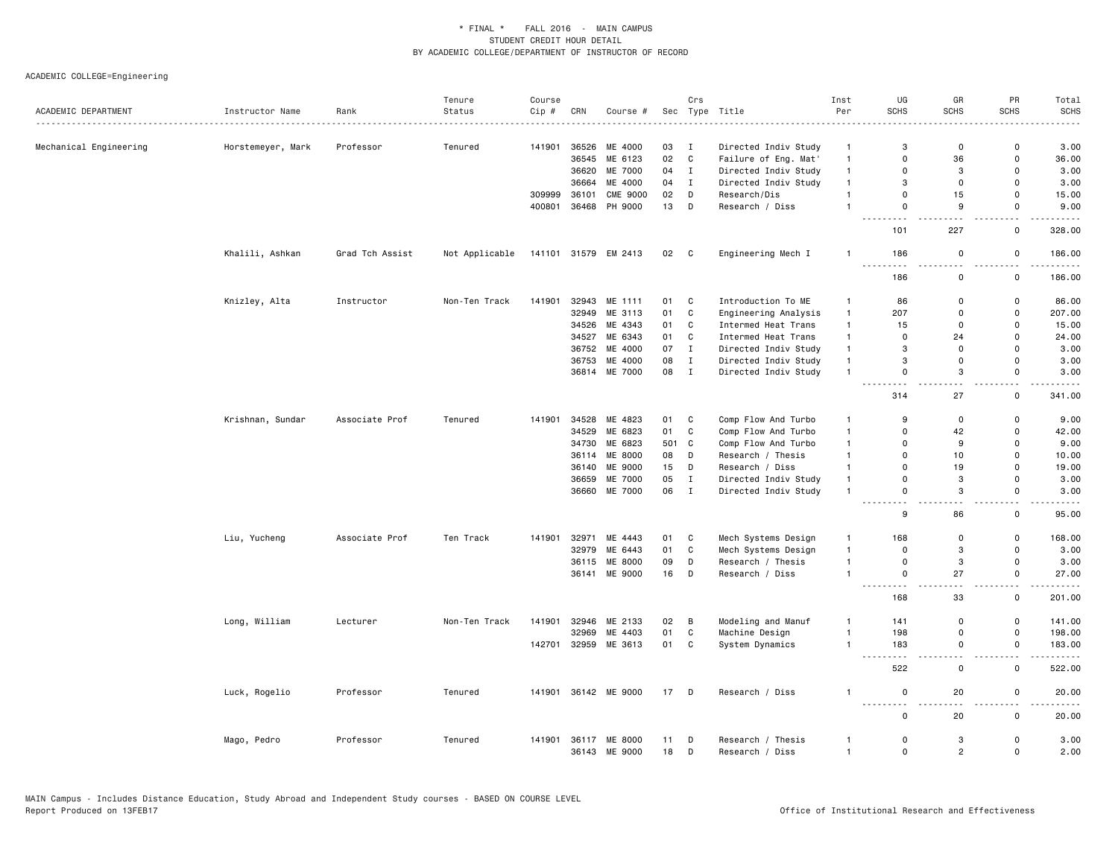|                        |                   |                 | Tenure         | Course |       |                      |        | Crs                        |                      | Inst           | UG                                       | GR             | PR                           | Total                                                                                                                              |
|------------------------|-------------------|-----------------|----------------|--------|-------|----------------------|--------|----------------------------|----------------------|----------------|------------------------------------------|----------------|------------------------------|------------------------------------------------------------------------------------------------------------------------------------|
| ACADEMIC DEPARTMENT    | Instructor Name   | Rank            | Status         | Cip #  | CRN   | Course #             | Sec    |                            | Type Title<br>.      | Per            | <b>SCHS</b>                              | <b>SCHS</b>    | <b>SCHS</b>                  | <b>SCHS</b>                                                                                                                        |
| Mechanical Engineering | Horstemeyer, Mark | Professor       | Tenured        | 141901 | 36526 | ME 4000              | 03     | $\mathbf{I}$               | Directed Indiv Study | $\mathbf{1}$   | 3                                        | $\mathbf 0$    | $\Omega$                     | 3.00                                                                                                                               |
|                        |                   |                 |                |        | 36545 | ME 6123              | 02     | C                          | Failure of Eng. Mat' | $\mathbf{1}$   | $\Omega$                                 | 36             | $\mathbf 0$                  | 36.00                                                                                                                              |
|                        |                   |                 |                |        | 36620 | ME 7000              | 04     | $\mathbf{I}$               | Directed Indiv Study | $\mathbf{1}$   | $\Omega$                                 | 3              | $\mathsf 0$                  | 3.00                                                                                                                               |
|                        |                   |                 |                |        | 36664 | ME 4000              | 04     | $\mathbf{I}$               | Directed Indiv Study | $\mathbf{1}$   | 3                                        | $\mathsf 0$    | $\mathsf 0$                  | 3.00                                                                                                                               |
|                        |                   |                 |                | 309999 | 36101 | <b>CME 9000</b>      | 02     | D                          | Research/Dis         | $\mathbf{1}$   | $\mathbf 0$                              | 15             | 0                            | 15.00                                                                                                                              |
|                        |                   |                 |                | 400801 | 36468 | PH 9000              | 13     | D                          | Research / Diss      | $\overline{1}$ | $\mathsf 0$                              | 9              | 0                            | 9.00                                                                                                                               |
|                        |                   |                 |                |        |       |                      |        |                            |                      |                | .<br>101                                 | 227            | $\sim$<br>$\mathbf 0$        | $- - - -$<br>328.00                                                                                                                |
|                        | Khalili, Ashkan   | Grad Tch Assist | Not Applicable |        |       | 141101 31579 EM 2413 | 02     | $\overline{\phantom{a}}$ C | Engineering Mech I   | $\mathbf{1}$   | 186<br>.                                 | 0              | 0                            | 186.00<br>.                                                                                                                        |
|                        |                   |                 |                |        |       |                      |        |                            |                      |                | 186                                      | 0              | $\mathsf 0$                  | 186.00                                                                                                                             |
|                        | Knizley, Alta     | Instructor      | Non-Ten Track  | 141901 |       | 32943 ME 1111        | 01     | C                          | Introduction To ME   | $\mathbf{1}$   | 86                                       | 0              | 0                            | 86.00                                                                                                                              |
|                        |                   |                 |                |        | 32949 | ME 3113              | 01     | $\mathbf C$                | Engineering Analysis | $\mathbf{1}$   | 207                                      | $\mathsf 0$    | $\mathsf 0$                  | 207.00                                                                                                                             |
|                        |                   |                 |                |        | 34526 | ME 4343              | 01     | C                          | Intermed Heat Trans  | $\mathbf{1}$   | 15                                       | 0              | $\mathsf 0$                  | 15.00                                                                                                                              |
|                        |                   |                 |                |        |       | 34527 ME 6343        | 01     | C                          | Intermed Heat Trans  | $\mathbf{1}$   | 0                                        | 24             | $\mathbf 0$                  | 24.00                                                                                                                              |
|                        |                   |                 |                |        | 36752 | ME 4000              | 07     | $\mathbf{I}$               | Directed Indiv Study | $\mathbf{1}$   | 3                                        | 0              | $\mathsf 0$                  | 3.00                                                                                                                               |
|                        |                   |                 |                |        |       | 36753 ME 4000        | 08     | $\mathbf I$                | Directed Indiv Study | $\mathbf{1}$   | 3                                        | $\mathsf 0$    | $\mathbf 0$                  | 3.00                                                                                                                               |
|                        |                   |                 |                |        |       | 36814 ME 7000        | 08 I   |                            | Directed Indiv Study | $\overline{1}$ | 0                                        | 3              | $\mathbf 0$<br>$\sim$ $\sim$ | 3.00                                                                                                                               |
|                        |                   |                 |                |        |       |                      |        |                            |                      |                | 314                                      | 27             | 0                            | 341.00                                                                                                                             |
|                        | Krishnan, Sundar  | Associate Prof  | Tenured        | 141901 | 34528 | ME 4823              | 01     | C                          | Comp Flow And Turbo  | $\overline{1}$ | 9                                        | 0              | $\mathsf 0$                  | 9.00                                                                                                                               |
|                        |                   |                 |                |        | 34529 | ME 6823              | 01     | C                          | Comp Flow And Turbo  | $\mathbf{1}$   | $\Omega$                                 | 42             | $\mathbf 0$                  | 42.00                                                                                                                              |
|                        |                   |                 |                |        |       | 34730 ME 6823        | 501    | C                          | Comp Flow And Turbo  | $\mathbf{1}$   | $\mathbf 0$                              | 9              | $\mathbf 0$                  | 9.00                                                                                                                               |
|                        |                   |                 |                |        | 36114 | ME 8000              | 08     | D                          | Research / Thesis    | $\mathbf{1}$   | $\Omega$                                 | 10             | $\mathsf 0$                  | 10.00                                                                                                                              |
|                        |                   |                 |                |        | 36140 | ME 9000              | 15     | D                          | Research / Diss      | $\mathbf{1}$   | $\Omega$                                 | 19             | $\Omega$                     | 19.00                                                                                                                              |
|                        |                   |                 |                |        | 36659 | ME 7000              | 05     | $\mathbf I$                | Directed Indiv Study | $\mathbf{1}$   | $\Omega$                                 | 3              | $\mathbf 0$                  | 3.00                                                                                                                               |
|                        |                   |                 |                |        |       | 36660 ME 7000        | 06     | $\mathbf I$                | Directed Indiv Study | $\overline{1}$ | $\mathbf 0$                              | 3              | $\mathbf 0$                  | 3.00                                                                                                                               |
|                        |                   |                 |                |        |       |                      |        |                            |                      |                | 9                                        | 86             | $\mathsf 0$                  | 95.00                                                                                                                              |
|                        | Liu, Yucheng      | Associate Prof  | Ten Track      | 141901 | 32971 | ME 4443              | 01     | C                          | Mech Systems Design  | $\overline{1}$ | 168                                      | 0              | $\mathsf 0$                  | 168.00                                                                                                                             |
|                        |                   |                 |                |        | 32979 | ME 6443              | 01     | C                          | Mech Systems Design  | $\mathbf{1}$   | $\mathbf 0$                              | 3              | $\mathsf 0$                  | 3.00                                                                                                                               |
|                        |                   |                 |                |        | 36115 | ME 8000              | 09     | D                          | Research / Thesis    | $\overline{1}$ | 0                                        | 3              | $\mathsf 0$                  | 3.00                                                                                                                               |
|                        |                   |                 |                |        | 36141 | ME 9000              | 16     | D                          | Research / Diss      | $\mathbf{1}$   | $\mathbf 0$<br>$\sim$ $\sim$ $\sim$<br>. | 27             | $\mathbf 0$<br>$\sim$        | 27.00<br>$\frac{1}{2} \left( \frac{1}{2} \right) \left( \frac{1}{2} \right) \left( \frac{1}{2} \right) \left( \frac{1}{2} \right)$ |
|                        |                   |                 |                |        |       |                      |        |                            |                      |                | 168                                      | 33             | $\mathsf 0$                  | 201.00                                                                                                                             |
|                        | Long, William     | Lecturer        | Non-Ten Track  | 141901 |       | 32946 ME 2133        | 02     | B                          | Modeling and Manuf   | -1             | 141                                      | $\mathsf 0$    | $\mathsf 0$                  | 141.00                                                                                                                             |
|                        |                   |                 |                |        | 32969 | ME 4403              | 01     | $\mathtt{C}$               | Machine Design       | $\overline{1}$ | 198                                      | $\mathsf 0$    | $\mathsf 0$                  | 198.00                                                                                                                             |
|                        |                   |                 |                | 142701 |       | 32959 ME 3613        | 01     | C                          | System Dynamics      | $\mathbf{1}$   | 183<br>$\sim$ $\sim$ $\sim$              | 0              | 0                            | 183.00<br>.                                                                                                                        |
|                        |                   |                 |                |        |       |                      |        |                            |                      |                | 522                                      | $\mathbf 0$    | 0                            | 522.00                                                                                                                             |
|                        | Luck, Rogelio     | Professor       | Tenured        |        |       | 141901 36142 ME 9000 | $17$ D |                            | Research / Diss      | -1             | 0                                        | 20             | 0                            | 20.00                                                                                                                              |
|                        |                   |                 |                |        |       |                      |        |                            |                      |                | 0                                        | 20             | 0                            | 20.00                                                                                                                              |
|                        | Mago, Pedro       | Professor       | Tenured        | 141901 |       | 36117 ME 8000        | 11     | D                          | Research / Thesis    | $\mathbf{1}$   | 0                                        | 3              | $\Omega$                     | 3.00                                                                                                                               |
|                        |                   |                 |                |        |       | 36143 ME 9000        | 18     | D                          | Research / Diss      | $\mathbf{1}$   | $\Omega$                                 | $\overline{2}$ | $\Omega$                     | 2.00                                                                                                                               |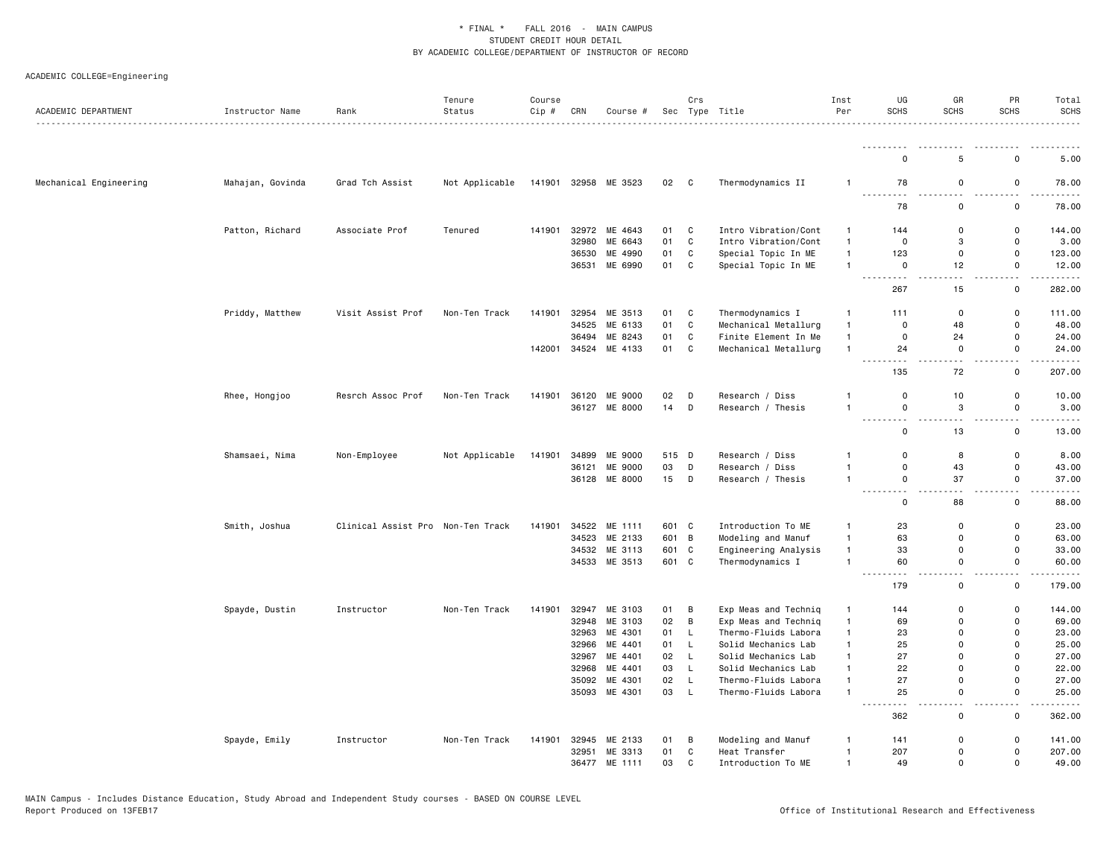| ACADEMIC DEPARTMENT    | Instructor Name  | Rank                              | Tenure<br>Status | Course<br>$Cip \#$ | CRN   | Course #                 |                | Crs            | Sec Type Title                             | Inst<br>Per                    | UG<br><b>SCHS</b>                     | GR<br><b>SCHS</b>          | PR<br><b>SCHS</b>                        | Total<br><b>SCHS</b> |
|------------------------|------------------|-----------------------------------|------------------|--------------------|-------|--------------------------|----------------|----------------|--------------------------------------------|--------------------------------|---------------------------------------|----------------------------|------------------------------------------|----------------------|
|                        |                  |                                   |                  |                    |       |                          |                |                |                                            |                                |                                       |                            |                                          |                      |
|                        |                  |                                   |                  |                    |       |                          |                |                |                                            |                                | $\Omega$                              | 5                          | 0                                        | 5.00                 |
| Mechanical Engineering | Mahajan, Govinda | Grad Tch Assist                   | Not Applicable   |                    |       | 141901 32958 ME 3523     | 02 C           |                | Thermodynamics II                          | $\overline{1}$                 | 78<br>-----<br>.                      | $\mathbf 0$<br>$ -$        | $\mathsf{o}$<br>$\overline{\phantom{a}}$ | 78.00                |
|                        |                  |                                   |                  |                    |       |                          |                |                |                                            |                                | 78                                    | $\mathsf 0$                | $\mathsf 0$                              | 78.00                |
|                        | Patton, Richard  | Associate Prof                    | Tenured          | 141901             |       | 32972 ME 4643            | 01             | C              | Intro Vibration/Cont                       | $\mathbf{1}$                   | 144                                   | $\mathbf 0$                | 0                                        | 144.00               |
|                        |                  |                                   |                  |                    | 32980 | ME 6643                  | 01             | $\mathbf{C}$   | Intro Vibration/Cont                       | $\mathbf{1}$                   | $\mathbf 0$                           | 3                          | $\mathsf 0$                              | 3.00                 |
|                        |                  |                                   |                  |                    | 36530 | ME 4990                  | 01             | C              | Special Topic In ME                        | $\mathbf{1}$                   | 123                                   | $\mathbf 0$                | $\mathsf 0$                              | 123.00               |
|                        |                  |                                   |                  |                    |       | 36531 ME 6990            | 01             | C              | Special Topic In ME                        | $\overline{1}$                 | $\mathbf 0$                           | 12                         | $\mathsf 0$                              | 12.00                |
|                        |                  |                                   |                  |                    |       |                          |                |                |                                            |                                | 267                                   | 15                         | н.<br>$\mathsf 0$                        | 282.00               |
|                        | Priddy, Matthew  | Visit Assist Prof                 | Non-Ten Track    | 141901             | 32954 | ME 3513                  | 01             | C              | Thermodynamics I                           | $\overline{1}$                 | 111                                   | $\mathbf 0$                | $\mathsf 0$                              | 111.00               |
|                        |                  |                                   |                  |                    | 34525 | ME 6133                  | 01             | C              | Mechanical Metallurg                       | $\mathbf{1}$                   | 0                                     | 48                         | 0                                        | 48.00                |
|                        |                  |                                   |                  |                    | 36494 | ME 8243                  | 01             | C              | Finite Element In Me                       | $\overline{1}$                 | $\mathbf 0$                           | 24                         | $\mathsf 0$                              | 24.00                |
|                        |                  |                                   |                  | 142001             |       | 34524 ME 4133            | 01             | C              | Mechanical Metallurg                       | $\overline{1}$                 | 24                                    | $\mathbf 0$                | 0                                        | 24.00                |
|                        |                  |                                   |                  |                    |       |                          |                |                |                                            |                                | - - -<br>135                          | $\sim$<br>72               | $\sim$ $\sim$<br>0                       | $    -$<br>207.00    |
|                        | Rhee, Hongjoo    | Resrch Assoc Prof                 | Non-Ten Track    | 141901             |       | 36120 ME 9000            | 02             | D              | Research / Diss                            | $\overline{1}$                 | $\mathbf 0$                           | 10                         | $\mathsf 0$                              | 10.00                |
|                        |                  |                                   |                  |                    |       | 36127 ME 8000            | 14             | D              | Research / Thesis                          | $\overline{1}$                 | $\mathsf 0$                           | 3                          | $\mathsf 0$                              | 3.00                 |
|                        |                  |                                   |                  |                    |       |                          |                |                |                                            |                                | $\sim$ $\sim$                         |                            |                                          |                      |
|                        |                  |                                   |                  |                    |       |                          |                |                |                                            |                                | $\mathbf 0$                           | 13                         | $\mathsf 0$                              | 13.00                |
|                        | Shamsaei, Nima   | Non-Employee                      | Not Applicable   | 141901             | 34899 | ME 9000                  | 515 D          |                | Research / Diss                            | $\mathbf{1}$                   | $\mathbf 0$                           | 8                          | $\mathsf 0$                              | 8.00                 |
|                        |                  |                                   |                  |                    | 36121 | ME 9000                  | 03             | D              | Research / Diss                            | $\overline{1}$                 | $\mathsf 0$                           | 43                         | $\mathsf 0$                              | 43.00                |
|                        |                  |                                   |                  |                    |       | 36128 ME 8000            | 15             | D              | Research / Thesis                          | $\mathbf{1}$                   | $\mathbf 0$                           | 37                         | 0                                        | 37.00                |
|                        |                  |                                   |                  |                    |       |                          |                |                |                                            |                                | $\sim$ $\sim$<br>- - -<br>$\mathbf 0$ | 88                         | $\overline{\phantom{0}}$<br>$\mathsf 0$  | 88.00                |
|                        |                  |                                   |                  |                    |       |                          |                |                |                                            |                                |                                       |                            |                                          |                      |
|                        | Smith, Joshua    | Clinical Assist Pro Non-Ten Track |                  | 141901             | 34522 | ME 1111<br>34523 ME 2133 | 601 C          |                | Introduction To ME                         | $\overline{1}$<br>$\mathbf{1}$ | 23<br>63                              | $\mathbf 0$<br>$\mathbf 0$ | 0<br>0                                   | 23.00<br>63.00       |
|                        |                  |                                   |                  |                    |       | 34532 ME 3113            | 601 B<br>601 C |                | Modeling and Manuf<br>Engineering Analysis | $\overline{1}$                 | 33                                    | $\mathbf 0$                | $\mathsf 0$                              | 33.00                |
|                        |                  |                                   |                  |                    |       | 34533 ME 3513            | 601 C          |                | Thermodynamics I                           | $\overline{1}$                 | 60                                    | 0                          | $\mathsf 0$                              | 60.00                |
|                        |                  |                                   |                  |                    |       |                          |                |                |                                            |                                | $  -$                                 | ٠.                         | ٠.                                       |                      |
|                        |                  |                                   |                  |                    |       |                          |                |                |                                            |                                | 179                                   | 0                          | $\mathbf 0$                              | 179.00               |
|                        | Spayde, Dustin   | Instructor                        | Non-Ten Track    | 141901             |       | 32947 ME 3103            | 01             | B              | Exp Meas and Techniq                       | $\mathbf{1}$                   | 144                                   | $\mathbf 0$                | $\mathsf 0$                              | 144.00               |
|                        |                  |                                   |                  |                    | 32948 | ME 3103                  | 02             | $\overline{B}$ | Exp Meas and Techniq                       | $\mathbf{1}$                   | 69                                    | $\Omega$                   | $\mathsf 0$                              | 69.00                |
|                        |                  |                                   |                  |                    | 32963 | ME 4301                  | 01             | L.             | Thermo-Fluids Labora                       | $\mathbf{1}$                   | 23                                    | $\mathbf 0$                | $\mathsf 0$                              | 23.00                |
|                        |                  |                                   |                  |                    | 32966 | ME 4401                  | 01             | $\mathsf{L}$   | Solid Mechanics Lab                        | $\mathbf{1}$                   | 25                                    | $\Omega$                   | $\mathbf 0$                              | 25.00                |
|                        |                  |                                   |                  |                    |       | 32967 ME 4401            | 02             | L.             | Solid Mechanics Lab                        | $\mathbf{1}$                   | 27                                    | $\Omega$                   | $\mathbf 0$                              | 27.00                |
|                        |                  |                                   |                  |                    | 32968 | ME 4401                  | 03             | L.             | Solid Mechanics Lab                        | $\mathbf{1}$                   | 22                                    | $\mathbf 0$                | $\mathbf 0$                              | 22.00                |
|                        |                  |                                   |                  |                    |       | 35092 ME 4301            | 02             | L              | Thermo-Fluids Labora                       | $\mathbf{1}$                   | 27                                    | $\mathbf 0$                | $\mathsf 0$                              | 27.00                |
|                        |                  |                                   |                  |                    |       | 35093 ME 4301            | 03             | $\mathsf{L}$   | Thermo-Fluids Labora                       | $\overline{1}$                 | 25<br>$\frac{1}{2}$                   | $\mathsf 0$<br>i.          | $\mathsf 0$<br>$\overline{\phantom{a}}$  | 25.00                |
|                        |                  |                                   |                  |                    |       |                          |                |                |                                            |                                | 362                                   | $\mathbf 0$                | $\mathsf 0$                              | 362.00               |
|                        | Spayde, Emily    | Instructor                        | Non-Ten Track    | 141901             | 32945 | ME 2133                  | 01             | B              | Modeling and Manuf                         | $\overline{1}$                 | 141                                   | $\mathbf 0$                | $\mathsf 0$                              | 141.00               |
|                        |                  |                                   |                  |                    | 32951 | ME 3313                  | 01             | C              | Heat Transfer                              | $\overline{1}$                 | 207                                   | $\mathbf 0$                | 0                                        | 207.00               |
|                        |                  |                                   |                  |                    |       | 36477 ME 1111            | 03             | $\mathbf{C}$   | Introduction To ME                         | $\overline{1}$                 | 49                                    | $\Omega$                   | $\Omega$                                 | 49.00                |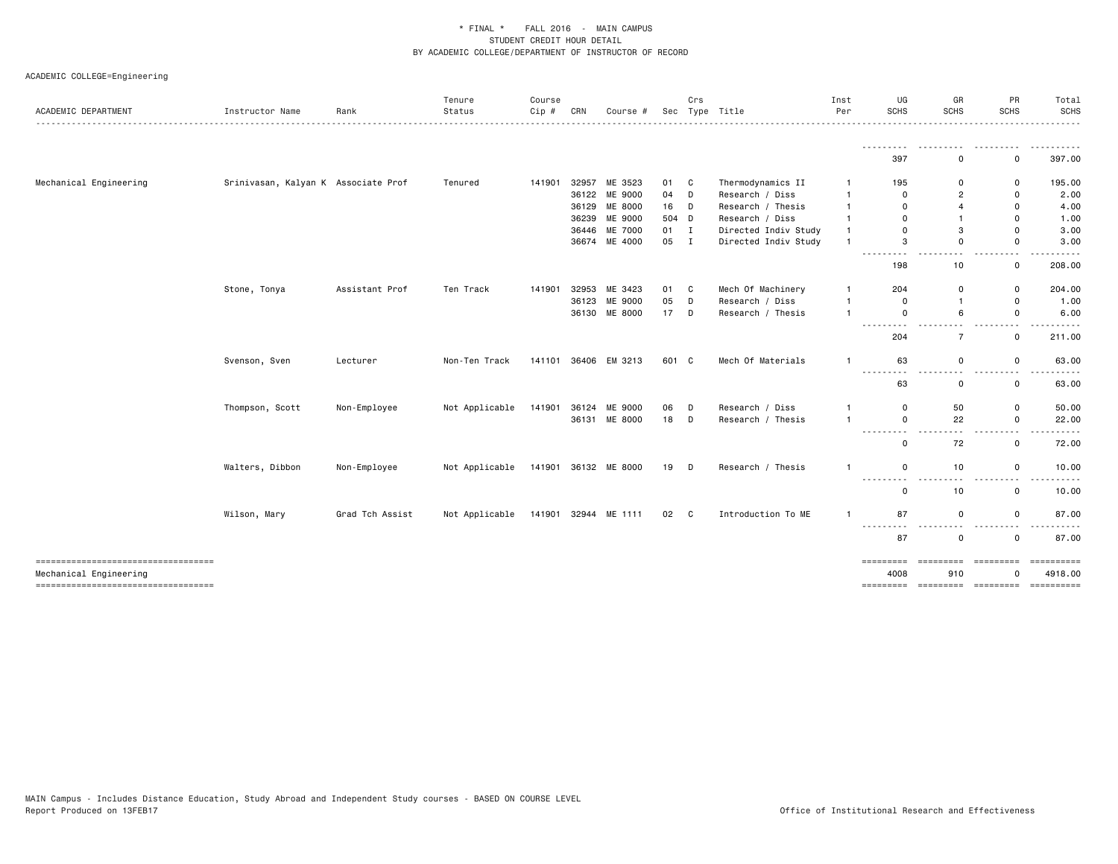| ACADEMIC DEPARTMENT                                          | Instructor Name                     | Rank            | Tenure<br>Status | Course<br>$Cip$ # | CRN | Course #                       |          | Crs          | Sec Type Title                       | Inst<br>Per       | UG<br>SCHS                                                                                                              | GR<br>SCHS                       | PR<br><b>SCHS</b>                                                        | Total<br>SCHS                          |
|--------------------------------------------------------------|-------------------------------------|-----------------|------------------|-------------------|-----|--------------------------------|----------|--------------|--------------------------------------|-------------------|-------------------------------------------------------------------------------------------------------------------------|----------------------------------|--------------------------------------------------------------------------|----------------------------------------|
|                                                              |                                     |                 |                  |                   |     |                                |          |              |                                      |                   | <u> - - - - - - - -</u><br>397                                                                                          | 0                                | 0                                                                        | .<br>397.00                            |
|                                                              |                                     |                 |                  |                   |     |                                |          |              |                                      |                   |                                                                                                                         |                                  |                                                                          |                                        |
| Mechanical Engineering                                       | Srinivasan, Kalyan K Associate Prof |                 | Tenured          | 141901            |     | 32957 ME 3523<br>36122 ME 9000 | 01 C     |              | Thermodynamics II<br>Research / Diss | $\mathbf{1}$<br>1 | 195                                                                                                                     | $\Omega$                         | 0                                                                        | 195.00                                 |
|                                                              |                                     |                 |                  |                   |     | 36129 ME 8000                  | 04<br>16 | D<br>D       | Research / Thesis                    | -1                | 0<br>$\mathbf 0$                                                                                                        | $\overline{2}$<br>$\overline{4}$ | 0<br>0                                                                   | 2.00<br>4.00                           |
|                                                              |                                     |                 |                  |                   |     | 36239 ME 9000                  | 504 D    |              | Research / Diss                      |                   | $\Omega$                                                                                                                | $\mathbf{1}$                     | $\Omega$                                                                 | 1.00                                   |
|                                                              |                                     |                 |                  |                   |     | 36446 ME 7000                  | 01       | $\mathbf{I}$ | Directed Indiv Study                 | $\mathbf{1}$      | $\Omega$                                                                                                                | 3                                | 0                                                                        | 3.00                                   |
|                                                              |                                     |                 |                  |                   |     | 36674 ME 4000                  | 05 I     |              | Directed Indiv Study                 | $\mathbf{1}$      | 3                                                                                                                       | 0                                | 0                                                                        | 3.00                                   |
|                                                              |                                     |                 |                  |                   |     |                                |          |              |                                      |                   | $\cdots$<br>198                                                                                                         | 10                               | $ -$<br>0                                                                | 208.00                                 |
|                                                              | Stone, Tonya                        | Assistant Prof  | Ten Track        | 141901            |     | 32953 ME 3423                  | 01       | $\mathbf{C}$ | Mech Of Machinery                    | $\mathbf{1}$      | 204                                                                                                                     | 0                                | 0                                                                        | 204.00                                 |
|                                                              |                                     |                 |                  |                   |     | 36123 ME 9000                  | 05       | D            | Research / Diss                      | $\mathbf{1}$      | $\mathbf 0$                                                                                                             | $\mathbf{1}$                     | 0                                                                        | 1.00                                   |
|                                                              |                                     |                 |                  |                   |     | 36130 ME 8000                  | 17       | D            | Research / Thesis                    | $\overline{1}$    | $\mathbf 0$                                                                                                             | 6                                | 0                                                                        | 6.00                                   |
|                                                              |                                     |                 |                  |                   |     |                                |          |              |                                      |                   | ---------<br>204                                                                                                        | $- -$<br>$\overline{7}$          | $\sim$ $\sim$<br>-----<br>$\mathsf 0$                                    | .<br>211.00                            |
|                                                              | Svenson, Sven                       | Lecturer        | Non-Ten Track    |                   |     | 141101 36406 EM 3213           | 601 C    |              | Mech Of Materials                    | $\overline{1}$    | 63                                                                                                                      | $\mathbf 0$                      | $\mathsf{o}$                                                             | 63.00                                  |
|                                                              |                                     |                 |                  |                   |     |                                |          |              |                                      |                   | .<br>63                                                                                                                 | $\sim$ $\sim$<br>0               | $\sim$ $\sim$<br>0                                                       | . <b>.</b> .<br>63.00                  |
|                                                              | Thompson, Scott                     | Non-Employee    | Not Applicable   | 141901            |     | 36124 ME 9000                  | 06       | D            | Research / Diss                      | -1                | 0                                                                                                                       | 50                               | 0                                                                        | 50.00                                  |
|                                                              |                                     |                 |                  |                   |     | 36131 ME 8000                  | 18       | D            | Research / Thesis                    | -1                | $\mathsf{o}$                                                                                                            | 22                               | 0                                                                        | 22.00                                  |
|                                                              |                                     |                 |                  |                   |     |                                |          |              |                                      |                   | ------<br>$\frac{1}{2} \left( \frac{1}{2} \right) \left( \frac{1}{2} \right) \left( \frac{1}{2} \right)$<br>$\mathbf 0$ | $ -$<br>72                       | $\frac{1}{2} \left( \frac{1}{2} \right) \left( \frac{1}{2} \right)$<br>0 | 72.00                                  |
|                                                              | Walters, Dibbon                     | Non-Employee    | Not Applicable   |                   |     | 141901 36132 ME 8000           | 19       | D            | Research / Thesis                    | $\mathbf{1}$      | $\mathbf 0$                                                                                                             | 10                               | 0                                                                        | 10.00                                  |
|                                                              |                                     |                 |                  |                   |     |                                |          |              |                                      |                   | ---------<br>0                                                                                                          | $ -$<br>10                       | $\frac{1}{2} \left( \frac{1}{2} \right) \left( \frac{1}{2} \right)$<br>0 | 10.00                                  |
|                                                              | Wilson, Mary                        | Grad Tch Assist | Not Applicable   |                   |     | 141901 32944 ME 1111           | 02       | C            | Introduction To ME                   | $\mathbf{1}$      | 87                                                                                                                      | $\mathbf 0$                      | 0                                                                        | 87.00                                  |
|                                                              |                                     |                 |                  |                   |     |                                |          |              |                                      |                   | $- - -$<br>-----<br>87                                                                                                  | .<br>$\mathbf 0$                 | $ -$<br>0                                                                | 87.00                                  |
| ----------------------------------<br>Mechanical Engineering |                                     |                 |                  |                   |     |                                |          |              |                                      |                   | =========<br>4008                                                                                                       | <b>BEBBEEBEE</b><br>910          | eessesses<br>0                                                           | ==========<br>4918.00                  |
| ----------------------------------                           |                                     |                 |                  |                   |     |                                |          |              |                                      |                   |                                                                                                                         |                                  |                                                                          | --------- -------- --------- --------- |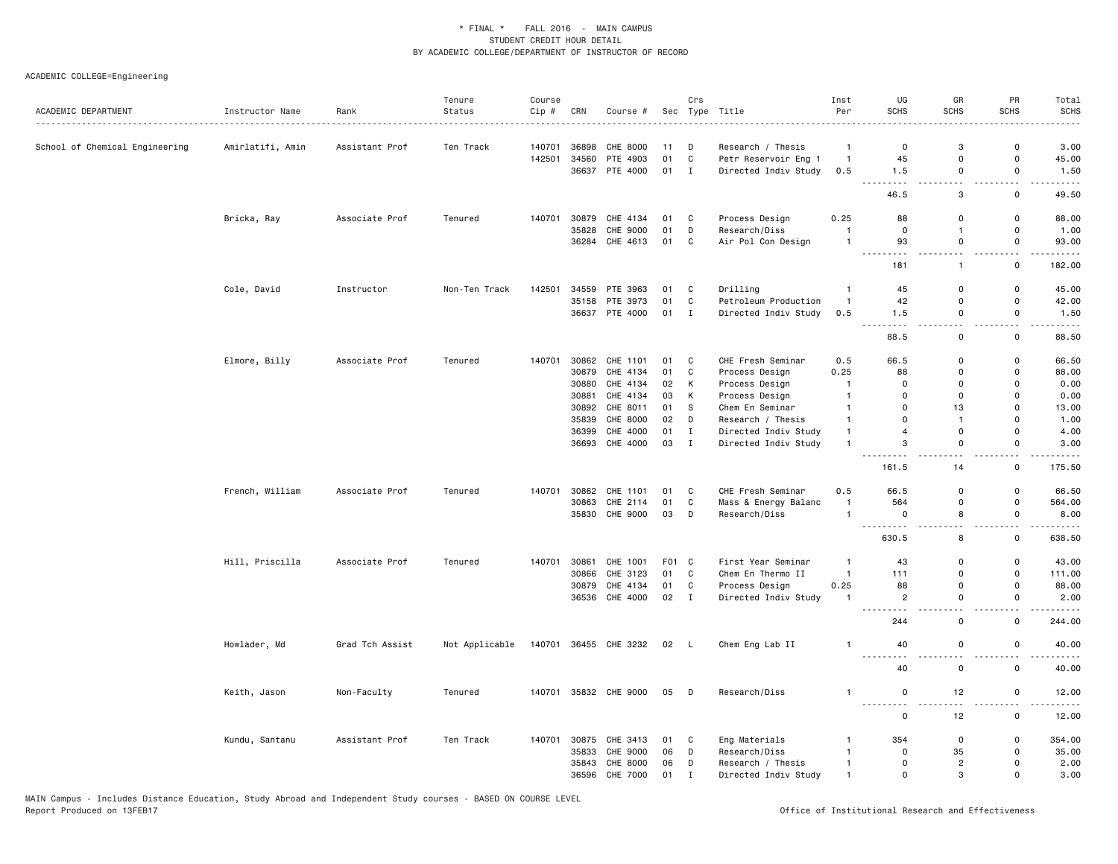| ACADEMIC DEPARTMENT            | Instructor Name  | Rank            | Tenure<br>Status | Course | CRN   |                       |       | Crs          | Sec Type Title       | Inst<br>Per    | UG<br><b>SCHS</b>              | GR<br><b>SCHS</b>            | PR<br><b>SCHS</b>             | Total<br><b>SCHS</b> |
|--------------------------------|------------------|-----------------|------------------|--------|-------|-----------------------|-------|--------------|----------------------|----------------|--------------------------------|------------------------------|-------------------------------|----------------------|
|                                |                  | . <b>.</b> .    |                  | Cip #  |       | Course #              |       |              |                      |                |                                |                              |                               |                      |
| School of Chemical Engineering | Amirlatifi, Amin | Assistant Prof  | Ten Track        | 140701 | 36898 | CHE 8000              | 11    | D            | Research / Thesis    | $\mathbf{1}$   | 0                              | 3                            | 0                             | 3.00                 |
|                                |                  |                 |                  | 142501 | 34560 | PTE 4903              | 01    | $\mathbf{C}$ | Petr Reservoir Eng 1 | $\overline{1}$ | 45                             | $\mathbf 0$                  | $\mathsf{o}$                  | 45.00                |
|                                |                  |                 |                  |        |       | 36637 PTE 4000        | 01 I  |              | Directed Indiv Study | 0.5            | 1.5<br>$- - - - -$<br>$- - -$  | $\mathbf 0$<br>$\sim$        | $\mathsf 0$<br>$\sim$ $\sim$  | 1.50<br>$- - - -$    |
|                                |                  |                 |                  |        |       |                       |       |              |                      |                | 46.5                           | 3                            | $\mathsf 0$                   | 49.50                |
|                                | Bricka, Ray      | Associate Prof  | Tenured          | 140701 | 30879 | CHE 4134              | 01 C  |              | Process Design       | 0.25           | 88                             | $\mathbf 0$                  | 0                             | 88.00                |
|                                |                  |                 |                  |        | 35828 | CHE 9000              | 01    | D            | Research/Diss        | $\overline{1}$ | $\mathbf 0$                    | $\mathbf{1}$                 | 0                             | 1.00                 |
|                                |                  |                 |                  |        |       | 36284 CHE 4613        | 01    | $\mathbf{C}$ | Air Pol Con Design   | $\overline{1}$ | 93<br>$\sim$ $\sim$<br>.       | $\mathbf 0$<br>$\sim$ $\sim$ | 0<br>$ -$                     | 93.00<br>$- - - -$   |
|                                |                  |                 |                  |        |       |                       |       |              |                      |                | 181                            | $\mathbf{1}$                 | $\mathsf 0$                   | 182.00               |
|                                | Cole, David      | Instructor      | Non-Ten Track    | 142501 | 34559 | PTE 3963              | 01    | C            | Drilling             | $\overline{1}$ | 45                             | $\mathbf 0$                  | $\mathsf 0$                   | 45.00                |
|                                |                  |                 |                  |        | 35158 | PTE 3973              | 01    | C            | Petroleum Production | $\overline{1}$ | 42                             | $\mathbf 0$                  | $\mathsf 0$                   | 42.00                |
|                                |                  |                 |                  |        |       | 36637 PTE 4000        | 01 I  |              | Directed Indiv Study | 0.5            | 1.5<br>$  -$                   | 0<br>и.                      | $\mathsf{o}$<br>. .           | 1.50                 |
|                                |                  |                 |                  |        |       |                       |       |              |                      |                | 88.5                           | $\mathsf 0$                  | $\mathsf 0$                   | 88.50                |
|                                | Elmore, Billy    | Associate Prof  | Tenured          | 140701 |       | 30862 CHE 1101        | 01    | $\mathbf{C}$ | CHE Fresh Seminar    | 0.5            | 66.5                           | $\mathbf 0$                  | $\mathsf 0$                   | 66.50                |
|                                |                  |                 |                  |        | 30879 | CHE 4134              | 01    | C            | Process Design       | 0.25           | 88                             | $\mathbf 0$                  | $\mathsf 0$                   | 88.00                |
|                                |                  |                 |                  |        | 30880 | CHE 4134              | 02    | K            | Process Design       | $\overline{1}$ | 0                              | $\mathbf 0$                  | $\mathsf 0$                   | 0.00                 |
|                                |                  |                 |                  |        | 30881 | CHE 4134              | 03    | к            | Process Design       | $\overline{1}$ | 0                              | $\mathbf 0$                  | 0                             | 0.00                 |
|                                |                  |                 |                  |        | 30892 | CHE 8011              | 01    | S            | Chem En Seminar      | $\overline{1}$ | $\Omega$                       | 13                           | 0                             | 13.00                |
|                                |                  |                 |                  |        | 35839 | CHE 8000              | 02    | D            | Research / Thesis    | $\overline{1}$ | $\Omega$                       | $\overline{1}$               | $\mathbf 0$                   | 1.00                 |
|                                |                  |                 |                  |        | 36399 | CHE 4000              | 01    | $\mathbf{I}$ | Directed Indiv Study | $\mathbf{1}$   | $\overline{4}$                 | $\mathbf 0$                  | $\mathsf 0$                   | 4.00                 |
|                                |                  |                 |                  |        |       | 36693 CHE 4000        | 03    | $\mathbf{I}$ | Directed Indiv Study | $\mathbf{1}$   | 3                              | $\mathsf 0$                  | $\mathbf 0$                   | 3.00                 |
|                                |                  |                 |                  |        |       |                       |       |              |                      |                | 161.5                          | 14                           | 0                             | 175.50               |
|                                | French, William  | Associate Prof  | Tenured          | 140701 | 30862 | CHE 1101              | 01    | C            | CHE Fresh Seminar    | 0.5            | 66.5                           | $\mathbf 0$                  | 0                             | 66.50                |
|                                |                  |                 |                  |        | 30863 | CHE 2114              | 01    | C            | Mass & Energy Balanc | $\mathbf{1}$   | 564                            | $\mathbf 0$                  | 0                             | 564.00               |
|                                |                  |                 |                  |        | 35830 | CHE 9000              | 03    | D            | Research/Diss        | $\overline{1}$ | 0<br>. <u>.</u>                | 8<br>$ -$                    | $\mathsf 0$<br>$ -$           | 8.00<br>$- - - -$    |
|                                |                  |                 |                  |        |       |                       |       |              |                      |                | 630.5                          | 8                            | $\mathsf 0$                   | 638.50               |
|                                | Hill, Priscilla  | Associate Prof  | Tenured          | 140701 | 30861 | CHE 1001              | F01 C |              | First Year Seminar   | $\overline{1}$ | 43                             | $\mathbf 0$                  | 0                             | 43.00                |
|                                |                  |                 |                  |        | 30866 | CHE 3123              | 01    | C            | Chem En Thermo II    | $\overline{1}$ | 111                            | $\mathbf 0$                  | $\mathsf{o}$                  | 111.00               |
|                                |                  |                 |                  |        | 30879 | CHE 4134              | 01    | C            | Process Design       | 0.25           | 88                             | $\Omega$                     | 0                             | 88.00                |
|                                |                  |                 |                  |        |       | 36536 CHE 4000        | 02    | $\mathbf{I}$ | Directed Indiv Study | $\overline{1}$ | $\overline{c}$<br>.<br>$- - -$ | $\mathbf 0$<br>$-$           | 0<br>$ -$                     | 2.00<br>-----        |
|                                |                  |                 |                  |        |       |                       |       |              |                      |                | 244                            | $\mathsf 0$                  | $\mathsf 0$                   | 244.00               |
|                                | Howlader, Md     | Grad Tch Assist | Not Applicable   | 140701 |       | 36455 CHE 3232        | 02 L  |              | Chem Eng Lab II      | $\overline{1}$ | 40<br>.<br>.                   | $\mathbf 0$                  | 0<br>$\overline{\phantom{0}}$ | 40.00                |
|                                |                  |                 |                  |        |       |                       |       |              |                      |                | 40                             | $\mathbf 0$                  | $\mathsf 0$                   | 40.00                |
|                                | Keith, Jason     | Non-Faculty     | Tenured          |        |       | 140701 35832 CHE 9000 | 05 D  |              | Research/Diss        | $\mathbf{1}$   | $\mathsf 0$                    | 12                           | $\mathsf 0$                   | 12.00                |
|                                |                  |                 |                  |        |       |                       |       |              |                      |                | $\mathsf 0$                    | 12                           | $\mathsf 0$                   | 12.00                |
|                                | Kundu, Santanu   | Assistant Prof  | Ten Track        | 140701 | 30875 | CHE 3413              | 01    | C            | Eng Materials        | $\overline{1}$ | 354                            | $\mathbf 0$                  | 0                             | 354.00               |
|                                |                  |                 |                  |        | 35833 | CHE 9000              | 06    | D            | Research/Diss        | $\overline{1}$ | 0                              | 35                           | 0                             | 35.00                |
|                                |                  |                 |                  |        | 35843 | CHE 8000              | 06    | D            | Research / Thesis    | $\overline{1}$ | $\mathbf 0$                    | $\overline{2}$               | 0                             | 2.00                 |
|                                |                  |                 |                  |        | 36596 | CHE 7000              | 01    | $\mathbf{I}$ | Directed Indiv Study | $\overline{1}$ | $\mathbf 0$                    | 3                            | $\mathbf 0$                   | 3.00                 |
|                                |                  |                 |                  |        |       |                       |       |              |                      |                |                                |                              |                               |                      |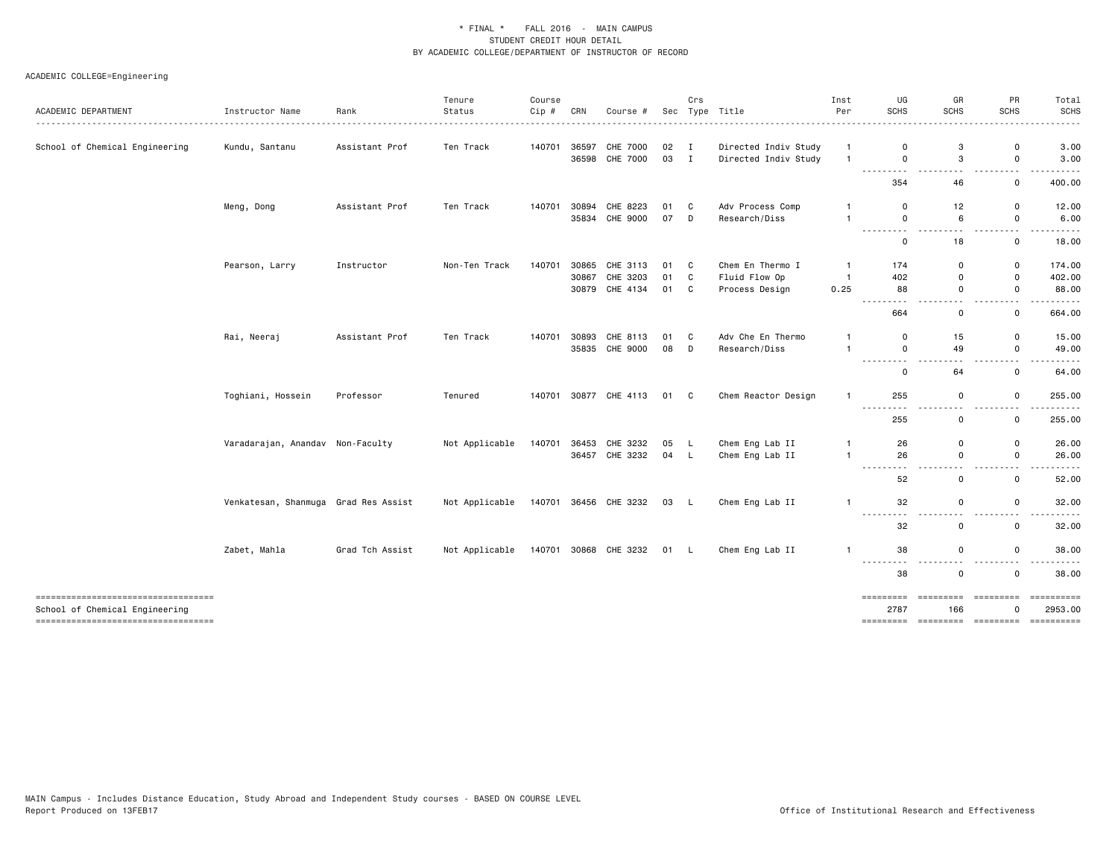| ACADEMIC DEPARTMENT                                                  | Instructor Name                      | Rank            | Tenure<br>Status | Course<br>Cip # | CRN   | Course #              |      | Crs | Sec Type Title       | Inst<br>Per    | UG<br><b>SCHS</b>         | GR<br><b>SCHS</b>                                                                                                              | PR<br><b>SCHS</b>                                                                    | Total<br><b>SCHS</b> |
|----------------------------------------------------------------------|--------------------------------------|-----------------|------------------|-----------------|-------|-----------------------|------|-----|----------------------|----------------|---------------------------|--------------------------------------------------------------------------------------------------------------------------------|--------------------------------------------------------------------------------------|----------------------|
|                                                                      |                                      |                 |                  |                 |       |                       |      |     |                      |                |                           |                                                                                                                                |                                                                                      |                      |
| School of Chemical Engineering                                       | Kundu, Santanu                       | Assistant Prof  | Ten Track        | 140701          |       | 36597 CHE 7000        | 02 I |     | Directed Indiv Study | $\overline{1}$ | 0                         | 3                                                                                                                              | 0                                                                                    | 3.00                 |
|                                                                      |                                      |                 |                  |                 |       | 36598 CHE 7000        | 03 I |     | Directed Indiv Study | $\overline{1}$ | $\mathsf{o}$<br>.         | 3<br>$\frac{1}{2} \left( \frac{1}{2} \right) \left( \frac{1}{2} \right) \left( \frac{1}{2} \right) \left( \frac{1}{2} \right)$ | 0<br>$\frac{1}{2} \left( \frac{1}{2} \right) \frac{1}{2} \left( \frac{1}{2} \right)$ | 3.00<br>.            |
|                                                                      |                                      |                 |                  |                 |       |                       |      |     |                      |                | 354                       | 46                                                                                                                             | 0                                                                                    | 400.00               |
|                                                                      | Meng, Dong                           | Assistant Prof  | Ten Track        | 140701          |       | 30894 CHE 8223        | 01 C |     | Adv Process Comp     | $\overline{1}$ | 0                         | 12                                                                                                                             | 0                                                                                    | 12.00                |
|                                                                      |                                      |                 |                  |                 |       | 35834 CHE 9000        | 07 D |     | Research/Diss        | $\overline{1}$ | $\mathsf{o}$              | 6                                                                                                                              | $\mathsf{O}$                                                                         | 6.00                 |
|                                                                      |                                      |                 |                  |                 |       |                       |      |     |                      |                | <u>.</u><br>0             | .<br>18                                                                                                                        | $\sim$ $\sim$<br>0                                                                   | 18.00                |
|                                                                      | Pearson, Larry                       | Instructor      | Non-Ten Track    | 140701          |       | 30865 CHE 3113        | 01 C |     | Chem En Thermo I     | -1             | 174                       | 0                                                                                                                              | 0                                                                                    | 174.00               |
|                                                                      |                                      |                 |                  |                 |       | 30867 CHE 3203        | 01   | C   | Fluid Flow Op        | $\overline{1}$ | 402                       | $\mathbf 0$                                                                                                                    | 0                                                                                    | 402.00               |
|                                                                      |                                      |                 |                  |                 |       | 30879 CHE 4134        | 01 C |     | Process Design       | 0.25           | 88                        | 0                                                                                                                              | 0                                                                                    | 88.00                |
|                                                                      |                                      |                 |                  |                 |       |                       |      |     |                      |                | -----<br>.                | $ -$                                                                                                                           | $\sim$ $\sim$                                                                        | . <u>.</u>           |
|                                                                      |                                      |                 |                  |                 |       |                       |      |     |                      |                | 664                       | 0                                                                                                                              | 0                                                                                    | 664.00               |
|                                                                      | Rai, Neeraj                          | Assistant Prof  | Ten Track        | 140701          | 30893 | CHE 8113              | 01   | C   | Adv Che En Thermo    | -1             | 0                         | 15                                                                                                                             | 0                                                                                    | 15.00                |
|                                                                      |                                      |                 |                  |                 |       | 35835 CHE 9000        | 08   | D   | Research/Diss        | $\overline{1}$ | $\mathsf{o}$              | 49                                                                                                                             | $\mathsf 0$                                                                          | 49.00                |
|                                                                      |                                      |                 |                  |                 |       |                       |      |     |                      |                | ---------<br>0            | $\sim$ $\sim$<br>64                                                                                                            | $\sim$ $\sim$<br>$\mathsf{o}\,$                                                      | 64.00                |
|                                                                      | Toghiani, Hossein                    | Professor       | Tenured          | 140701          |       | 30877 CHE 4113        | 01 C |     | Chem Reactor Design  | $\overline{1}$ | 255                       | 0                                                                                                                              | 0                                                                                    | 255.00               |
|                                                                      |                                      |                 |                  |                 |       |                       |      |     |                      |                | ---------                 | $\sim$ $\sim$                                                                                                                  | $\sim$ $\sim$                                                                        | .                    |
|                                                                      |                                      |                 |                  |                 |       |                       |      |     |                      |                | 255                       | $\mathbf 0$                                                                                                                    | 0                                                                                    | 255.00               |
|                                                                      | Varadarajan, Anandav Non-Faculty     |                 | Not Applicable   | 140701          |       | 36453 CHE 3232        | 05 L |     | Chem Eng Lab II      | $\mathbf{1}$   | 26                        | $\mathbf 0$                                                                                                                    | 0                                                                                    | 26.00                |
|                                                                      |                                      |                 |                  |                 |       | 36457 CHE 3232        | 04 L |     | Chem Eng Lab II      | $\mathbf{1}$   | 26                        | $\mathbf 0$                                                                                                                    | 0                                                                                    | 26.00                |
|                                                                      |                                      |                 |                  |                 |       |                       |      |     |                      |                | $\frac{1}{2}$<br>$\cdots$ | $ -$                                                                                                                           | $ -$                                                                                 |                      |
|                                                                      |                                      |                 |                  |                 |       |                       |      |     |                      |                | 52                        | 0                                                                                                                              | 0                                                                                    | 52.00                |
|                                                                      | Venkatesan, Shanmuga Grad Res Assist |                 | Not Applicable   |                 |       | 140701 36456 CHE 3232 | 03 L |     | Chem Eng Lab II      | $\overline{1}$ | 32                        | 0                                                                                                                              | 0                                                                                    | 32.00                |
|                                                                      |                                      |                 |                  |                 |       |                       |      |     |                      |                | -----<br>.                | . .                                                                                                                            |                                                                                      |                      |
|                                                                      |                                      |                 |                  |                 |       |                       |      |     |                      |                | 32                        | 0                                                                                                                              | 0                                                                                    | 32.00                |
|                                                                      | Zabet, Mahla                         | Grad Tch Assist | Not Applicable   |                 |       | 140701 30868 CHE 3232 | 01 L |     | Chem Eng Lab II      | -1             | 38                        | 0                                                                                                                              | 0                                                                                    | 38.00                |
|                                                                      |                                      |                 |                  |                 |       |                       |      |     |                      |                | .<br>38                   | $\sim$ $\sim$<br>0                                                                                                             | $\sim$ $\sim$<br>0                                                                   | 38.00                |
|                                                                      |                                      |                 |                  |                 |       |                       |      |     |                      |                |                           |                                                                                                                                |                                                                                      |                      |
| -------------------------------------                                |                                      |                 |                  |                 |       |                       |      |     |                      |                | =========                 | ----------                                                                                                                     | =========                                                                            |                      |
| School of Chemical Engineering<br>---------------------------------- |                                      |                 |                  |                 |       |                       |      |     |                      |                | 2787                      | 166                                                                                                                            | 0                                                                                    | 2953.00              |
|                                                                      |                                      |                 |                  |                 |       |                       |      |     |                      |                |                           |                                                                                                                                |                                                                                      |                      |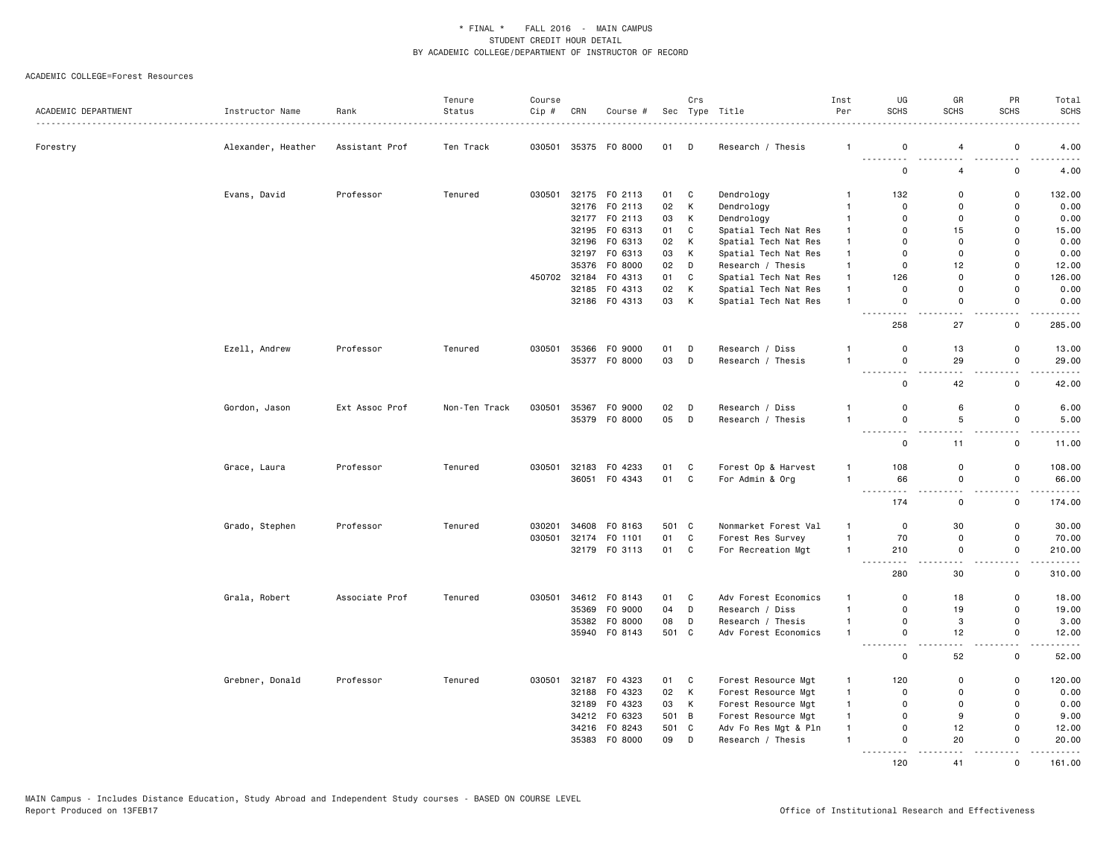| ACADEMIC DEPARTMENT | Instructor Name    | Rank           | Tenure<br>Status | Course<br>Cip # | CRN | Course #             |       | Crs         | Sec Type Title       | Inst<br>Per    | UG<br><b>SCHS</b>                                                                   | GR<br><b>SCHS</b>            | PR<br><b>SCHS</b>             | Total<br><b>SCHS</b><br>$\frac{1}{2} \left( \frac{1}{2} \right) \left( \frac{1}{2} \right) \left( \frac{1}{2} \right) \left( \frac{1}{2} \right)$ |
|---------------------|--------------------|----------------|------------------|-----------------|-----|----------------------|-------|-------------|----------------------|----------------|-------------------------------------------------------------------------------------|------------------------------|-------------------------------|---------------------------------------------------------------------------------------------------------------------------------------------------|
| Forestry            | Alexander, Heather | Assistant Prof | Ten Track        | 030501          |     | 35375 FO 8000        | 01    | $\Box$      | Research / Thesis    | $\mathbf{1}$   | 0                                                                                   | $\overline{4}$               | 0                             | 4.00                                                                                                                                              |
|                     |                    |                |                  |                 |     |                      |       |             |                      |                | .<br>$\mathsf 0$                                                                    | .<br>4                       | 0                             | 4.00                                                                                                                                              |
|                     | Evans, David       | Professor      | Tenured          | 030501          |     | 32175 FO 2113        | 01    | C           | Dendrology           | $\mathbf{1}$   | 132                                                                                 | $\Omega$                     | 0                             | 132.00                                                                                                                                            |
|                     |                    |                |                  |                 |     | 32176 FO 2113        | 02    | K           | Dendrology           | $\mathbf{1}$   | 0                                                                                   | $\Omega$                     | $\Omega$                      | 0.00                                                                                                                                              |
|                     |                    |                |                  |                 |     | 32177 FO 2113        | 03    | К           | Dendrology           | $\mathbf{1}$   | $\mathbf 0$                                                                         | 0                            | $\mathsf{o}$                  | 0.00                                                                                                                                              |
|                     |                    |                |                  |                 |     | 32195 F0 6313        | 01    | C           | Spatial Tech Nat Res | $\mathbf{1}$   | $\mathbf 0$                                                                         | 15                           | $\mathbf 0$                   | 15.00                                                                                                                                             |
|                     |                    |                |                  |                 |     | 32196 F0 6313        | 02    | К           | Spatial Tech Nat Res | $\mathbf{1}$   | $\mathbf 0$                                                                         | 0                            | 0                             | 0.00                                                                                                                                              |
|                     |                    |                |                  |                 |     | 32197 F0 6313        | 03    | K           | Spatial Tech Nat Res | $\mathbf{1}$   | $\mathbf 0$                                                                         | 0                            | $\Omega$                      | 0.00                                                                                                                                              |
|                     |                    |                |                  |                 |     | 35376 FO 8000        | 02    | D           | Research / Thesis    | $\mathbf{1}$   | $\mathbf 0$                                                                         | 12                           | 0                             | 12.00                                                                                                                                             |
|                     |                    |                |                  |                 |     | 450702 32184 F0 4313 | 01    | C           | Spatial Tech Nat Res | $\mathbf{1}$   | 126                                                                                 | $\Omega$                     | $\mathsf{o}$                  | 126.00                                                                                                                                            |
|                     |                    |                |                  |                 |     | 32185 FO 4313        | 02    | К           | Spatial Tech Nat Res | $\overline{1}$ | $\mathbf 0$                                                                         | $\mathbf 0$                  | $\mathbf 0$                   | 0.00                                                                                                                                              |
|                     |                    |                |                  |                 |     | 32186 FO 4313        | 03    | K           | Spatial Tech Nat Res | $\mathbf{1}$   | $\mathbf 0$<br>.                                                                    | 0<br>$\sim$ $\sim$           | 0<br>$\overline{\phantom{a}}$ | 0.00<br>$\cdots$                                                                                                                                  |
|                     |                    |                |                  |                 |     |                      |       |             |                      |                | 258                                                                                 | 27                           | $\mathbf 0$                   | 285.00                                                                                                                                            |
|                     | Ezell, Andrew      | Professor      | Tenured          | 030501          |     | 35366 FO 9000        | 01    | D           | Research / Diss      | $\mathbf{1}$   | $\mathbf 0$                                                                         | 13                           | $\mathbf 0$                   | 13.00                                                                                                                                             |
|                     |                    |                |                  |                 |     | 35377 F0 8000        | 03    | D           | Research / Thesis    | $\overline{1}$ | $\mathsf 0$                                                                         | 29                           | 0                             | 29.00                                                                                                                                             |
|                     |                    |                |                  |                 |     |                      |       |             |                      |                | $\sim$                                                                              | $\sim$ $\sim$                | $\ddot{\phantom{1}}$          | - - - - -                                                                                                                                         |
|                     |                    |                |                  |                 |     |                      |       |             |                      |                | $\mathbf 0$                                                                         | 42                           | 0                             | 42.00                                                                                                                                             |
|                     | Gordon, Jason      | Ext Assoc Prof | Non-Ten Track    | 030501          |     | 35367 FO 9000        | 02    | D           | Research / Diss      | $\mathbf{1}$   | $\mathbf 0$                                                                         | 6                            | $\mathbf 0$                   | 6.00                                                                                                                                              |
|                     |                    |                |                  |                 |     | 35379 F0 8000        | 05    | D           | Research / Thesis    | $\mathbf{1}$   | $\mathsf 0$<br>$\sim$ $\sim$<br>$\sim$ $\sim$ $\sim$                                | $\overline{5}$               | $\mathbf 0$                   | 5.00                                                                                                                                              |
|                     |                    |                |                  |                 |     |                      |       |             |                      |                | $\mathbf 0$                                                                         | 11                           | 0                             | 11.00                                                                                                                                             |
|                     | Grace, Laura       | Professor      | Tenured          |                 |     | 030501 32183 F0 4233 | 01    | $\mathbf c$ | Forest Op & Harvest  | -1             | 108                                                                                 | $\mathsf 0$                  | $\mathsf 0$                   | 108.00                                                                                                                                            |
|                     |                    |                |                  |                 |     | 36051 F0 4343        | 01    | C           | For Admin & Org      | $\overline{1}$ | 66                                                                                  | 0                            | $\mathsf 0$                   | 66.00                                                                                                                                             |
|                     |                    |                |                  |                 |     |                      |       |             |                      |                | $\sim$ $\sim$ $\sim$<br>---                                                         |                              |                               |                                                                                                                                                   |
|                     |                    |                |                  |                 |     |                      |       |             |                      |                | 174                                                                                 | 0                            | 0                             | 174.00                                                                                                                                            |
|                     | Grado, Stephen     | Professor      | Tenured          | 030201          |     | 34608 F0 8163        | 501 C |             | Nonmarket Forest Val | $\mathbf{1}$   | $\mathbf 0$                                                                         | 30                           | $\mathsf 0$                   | 30.00                                                                                                                                             |
|                     |                    |                |                  | 030501          |     | 32174 F0 1101        | 01    | C           | Forest Res Survey    | $\mathbf{1}$   | 70                                                                                  | 0                            | 0                             | 70.00                                                                                                                                             |
|                     |                    |                |                  |                 |     | 32179 FO 3113        | 01    | C           | For Recreation Mgt   | $\mathbf{1}$   | 210<br>$  -$<br>$\frac{1}{2} \left( \frac{1}{2} \right) \left( \frac{1}{2} \right)$ | $\mathsf 0$<br>$\sim$ $\sim$ | $\mathsf 0$<br>$\sim$ $\sim$  | 210.00<br>.                                                                                                                                       |
|                     |                    |                |                  |                 |     |                      |       |             |                      |                | 280                                                                                 | 30                           | $\mathsf 0$                   | 310.00                                                                                                                                            |
|                     | Grala, Robert      | Associate Prof | Tenured          | 030501          |     | 34612 FO 8143        | 01    | C           | Adv Forest Economics | $\mathbf{1}$   | $\mathbf 0$                                                                         | 18                           | 0                             | 18.00                                                                                                                                             |
|                     |                    |                |                  |                 |     | 35369 F0 9000        | 04    | D           | Research / Diss      | $\mathbf{1}$   | $\mathsf 0$                                                                         | 19                           | $\mathsf 0$                   | 19.00                                                                                                                                             |
|                     |                    |                |                  |                 |     | 35382 F0 8000        | 08    | D           | Research / Thesis    | $\mathbf{1}$   | $\mathbf 0$                                                                         | 3                            | $\mathsf 0$                   | 3.00                                                                                                                                              |
|                     |                    |                |                  |                 |     | 35940 FO 8143        | 501 C |             | Adv Forest Economics | $\mathbf{1}$   | $\mathbf 0$<br>$\sim$ $\sim$<br>$- - -$                                             | 12                           | 0<br>. .                      | 12.00                                                                                                                                             |
|                     |                    |                |                  |                 |     |                      |       |             |                      |                | $\mathbf 0$                                                                         | 52                           | 0                             | 52.00                                                                                                                                             |
|                     | Grebner, Donald    | Professor      | Tenured          | 030501          |     | 32187 F0 4323        | 01    | C           | Forest Resource Mgt  | $\mathbf{1}$   | 120                                                                                 | $\Omega$                     | 0                             | 120.00                                                                                                                                            |
|                     |                    |                |                  |                 |     | 32188 FO 4323        | 02    | K           | Forest Resource Mgt  | $\mathbf{1}$   | $\mathbf 0$                                                                         | $\mathbf 0$                  | 0                             | 0.00                                                                                                                                              |
|                     |                    |                |                  |                 |     | 32189 F0 4323        | 03    | К           | Forest Resource Mgt  | $\mathbf{1}$   | $\mathbf 0$                                                                         | $\mathbf 0$                  | $\mathsf 0$                   | 0.00                                                                                                                                              |
|                     |                    |                |                  |                 |     | 34212 FO 6323        | 501 B |             | Forest Resource Mgt  | $\mathbf{1}$   | $\mathbf 0$                                                                         | 9                            | 0                             | 9.00                                                                                                                                              |
|                     |                    |                |                  |                 |     | 34216 FO 8243        | 501   | C           | Adv Fo Res Mgt & Pln | $\mathbf{1}$   | $\mathbf 0$                                                                         | 12                           | $\mathsf{o}$                  | 12.00                                                                                                                                             |
|                     |                    |                |                  |                 |     | 35383 FO 8000        | 09    | D           | Research / Thesis    | $\overline{1}$ | $\mathbf 0$<br>.                                                                    | 20<br>$- - -$                | $\Omega$<br>.                 | 20.00<br>.                                                                                                                                        |
|                     |                    |                |                  |                 |     |                      |       |             |                      |                | 120                                                                                 | 41                           | 0                             | 161.00                                                                                                                                            |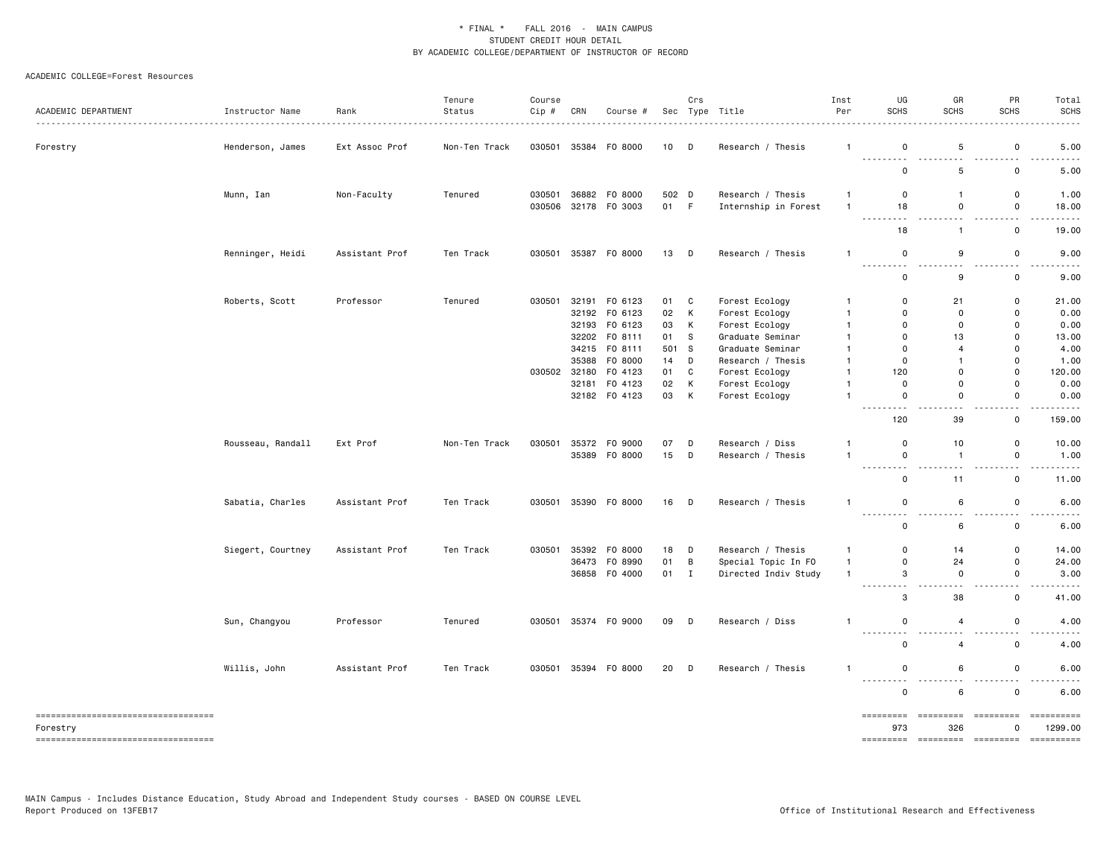| ACADEMIC DEPARTMENT                               | Instructor Name   | Rank<br><u>.</u> | Tenure<br>Status | Course<br>Cip # | CRN | Course #             |       | Crs          | Sec Type Title       | Inst<br>Per    | UG<br><b>SCHS</b>         | GR<br>SCHS          | PR<br><b>SCHS</b>                                                                  | Total<br><b>SCHS</b>                                                                                                                                          |
|---------------------------------------------------|-------------------|------------------|------------------|-----------------|-----|----------------------|-------|--------------|----------------------|----------------|---------------------------|---------------------|------------------------------------------------------------------------------------|---------------------------------------------------------------------------------------------------------------------------------------------------------------|
| Forestry                                          | Henderson, James  | Ext Assoc Prof   | Non-Ten Track    | 030501          |     | 35384 FO 8000        | 10    | D            | Research / Thesis    | $\mathbf{1}$   | 0<br>.                    | 5<br>---            | 0<br>$\sim$ $\sim$                                                                 | 5.00                                                                                                                                                          |
|                                                   |                   |                  |                  |                 |     |                      |       |              |                      |                | 0                         | 5                   | $\mathsf 0$                                                                        | 5.00                                                                                                                                                          |
|                                                   | Munn, Ian         | Non-Faculty      | Tenured          | 030501          |     | 36882 FO 8000        | 502 D |              | Research / Thesis    | $\overline{1}$ | 0                         | $\mathbf{1}$        | 0                                                                                  | 1.00                                                                                                                                                          |
|                                                   |                   |                  |                  | 030506          |     | 32178 FO 3003        | 01 F  |              | Internship in Forest | $\overline{1}$ | 18<br>$- - -$             | 0<br>$\sim$ $\sim$  | 0<br>$\sim$ $\sim$                                                                 | 18.00                                                                                                                                                         |
|                                                   |                   |                  |                  |                 |     |                      |       |              |                      |                | 18                        | $\mathbf{1}$        | 0                                                                                  | 19.00                                                                                                                                                         |
|                                                   | Renninger, Heidi  | Assistant Prof   | Ten Track        | 030501          |     | 35387 F0 8000        | 13 D  |              | Research / Thesis    | $\overline{1}$ | $\mathsf 0$<br>$ -$       | 9<br>$\sim$ $\sim$  | $\mathsf 0$<br>$\sim$ $\sim$                                                       | 9.00                                                                                                                                                          |
|                                                   |                   |                  |                  |                 |     |                      |       |              |                      |                | $\mathsf{o}$              | 9                   | 0                                                                                  | 9.00                                                                                                                                                          |
|                                                   | Roberts, Scott    | Professor        | Tenured          | 030501          |     | 32191 F0 6123        | 01    | C            | Forest Ecology       | -1             | $\mathbf 0$               | 21                  | $\mathbf 0$                                                                        | 21.00                                                                                                                                                         |
|                                                   |                   |                  |                  |                 |     | 32192 F0 6123        | 02    | К            | Forest Ecology       | $\mathbf{1}$   | $\mathbf 0$               | $\mathbf 0$         | 0                                                                                  | 0.00                                                                                                                                                          |
|                                                   |                   |                  |                  |                 |     | 32193 F0 6123        | 03    | К            | Forest Ecology       | $\mathbf{1}$   | $\Omega$                  | 0                   | 0                                                                                  | 0.00                                                                                                                                                          |
|                                                   |                   |                  |                  |                 |     | 32202 FO 8111        | 01    | S            | Graduate Seminar     | $\mathbf{1}$   | $\mathsf{o}$              | 13                  | $\mathbf 0$                                                                        | 13.00                                                                                                                                                         |
|                                                   |                   |                  |                  |                 |     | 34215 FO 8111        | 501   | <b>S</b>     | Graduate Seminar     | -1             | $\mathbf 0$               | $\overline{4}$      | 0                                                                                  | 4.00                                                                                                                                                          |
|                                                   |                   |                  |                  |                 |     | 35388 FO 8000        | 14    | D            | Research / Thesis    | $\mathbf{1}$   | $\mathbf 0$               | $\mathbf{1}$        | 0                                                                                  | 1.00                                                                                                                                                          |
|                                                   |                   |                  |                  | 030502          |     | 32180 F0 4123        | 01    | $\mathbb{C}$ | Forest Ecology       | $\mathbf{1}$   | 120                       | $\mathbf 0$         | 0                                                                                  | 120.00                                                                                                                                                        |
|                                                   |                   |                  |                  |                 |     | 32181 F0 4123        | 02    | К            | Forest Ecology       | $\mathbf{1}$   | $\mathsf{o}$              | $\mathbf 0$         | $\mathbf 0$                                                                        | 0.00                                                                                                                                                          |
|                                                   |                   |                  |                  |                 |     | 32182 F0 4123        | 03    | К            |                      | $\mathbf{1}$   | $\mathsf{o}$              | $\mathbf 0$         | $\mathbf 0$                                                                        | 0.00                                                                                                                                                          |
|                                                   |                   |                  |                  |                 |     |                      |       |              | Forest Ecology       |                |                           |                     |                                                                                    |                                                                                                                                                               |
|                                                   |                   |                  |                  |                 |     |                      |       |              |                      |                | .<br>120                  | 39                  | $\overline{\phantom{a}}$<br>$\mathsf 0$                                            | 159.00                                                                                                                                                        |
|                                                   | Rousseau, Randall | Ext Prof         | Non-Ten Track    | 030501          |     | 35372 FO 9000        | 07    | D            | Research / Diss      | -1             | $\mathbf 0$               | 10                  | 0                                                                                  | 10.00                                                                                                                                                         |
|                                                   |                   |                  |                  |                 |     | 35389 F0 8000        | 15    | D            | Research / Thesis    | -1             | $\mathsf 0$               | $\mathbf{1}$        | $\mathsf 0$                                                                        | 1.00                                                                                                                                                          |
|                                                   |                   |                  |                  |                 |     |                      |       |              |                      |                | .<br>0                    | .<br>11             | $\sim$ $\sim$<br>0                                                                 | $\frac{1}{2} \left( \frac{1}{2} \right) \left( \frac{1}{2} \right) \left( \frac{1}{2} \right) \left( \frac{1}{2} \right) \left( \frac{1}{2} \right)$<br>11.00 |
|                                                   | Sabatia, Charles  | Assistant Prof   | Ten Track        | 030501          |     | 35390 F0 8000        | 16 D  |              | Research / Thesis    | $\mathbf{1}$   | $\mathsf 0$               | 6                   | $\mathsf 0$                                                                        | 6.00                                                                                                                                                          |
|                                                   |                   |                  |                  |                 |     |                      |       |              |                      |                | .<br>$\mathsf{o}$         | 6                   | 0                                                                                  | 6.00                                                                                                                                                          |
|                                                   | Siegert, Courtney | Assistant Prof   | Ten Track        | 030501          |     | 35392 F0 8000        | 18    | D            | Research / Thesis    | $\mathbf{1}$   | $\mathbf 0$               | 14                  | 0                                                                                  | 14.00                                                                                                                                                         |
|                                                   |                   |                  |                  |                 |     | 36473 FO 8990        | 01    | В            | Special Topic In FO  | $\mathbf{1}$   | $\mathsf{o}$              | 24                  | $\mathbf 0$                                                                        | 24.00                                                                                                                                                         |
|                                                   |                   |                  |                  |                 |     | 36858 F0 4000        | 01    | $\mathbf{I}$ | Directed Indiv Study | $\overline{1}$ | 3                         | 0                   | 0                                                                                  | 3.00                                                                                                                                                          |
|                                                   |                   |                  |                  |                 |     |                      |       |              |                      |                | .<br>3                    | $\sim$ $\sim$<br>38 | $\frac{1}{2} \left( \frac{1}{2} \right) \left( \frac{1}{2} \right)$<br>$\mathsf 0$ | 41.00                                                                                                                                                         |
|                                                   | Sun, Changyou     | Professor        | Tenured          |                 |     | 030501 35374 FO 9000 | 09    | D            | Research / Diss      | -1             | 0                         | 4                   | 0                                                                                  | 4.00                                                                                                                                                          |
|                                                   |                   |                  |                  |                 |     |                      |       |              |                      |                | . <b>.</b><br>0           | $\sim$ $\sim$<br>4  | $\sim$ $\sim$<br>$\mathsf 0$                                                       | .<br>4.00                                                                                                                                                     |
|                                                   | Willis, John      | Assistant Prof   | Ten Track        |                 |     | 030501 35394 FO 8000 | 20    | D            | Research / Thesis    | -1             | 0                         | 6                   | $\mathsf{o}$                                                                       | 6.00                                                                                                                                                          |
|                                                   |                   |                  |                  |                 |     |                      |       |              |                      |                | . <b>.</b><br>$\mathbf 0$ | .<br>6              | $\mathbf 0$                                                                        | 6.00                                                                                                                                                          |
| =====================================<br>Forestry |                   |                  |                  |                 |     |                      |       |              |                      |                | =========<br>973          | =========<br>326    | =========<br>0                                                                     | ==========<br>1299.00                                                                                                                                         |
| ===================================               |                   |                  |                  |                 |     |                      |       |              |                      |                | =========                 | <b>CONSERVATI</b>   | <b>CONSESSE</b>                                                                    |                                                                                                                                                               |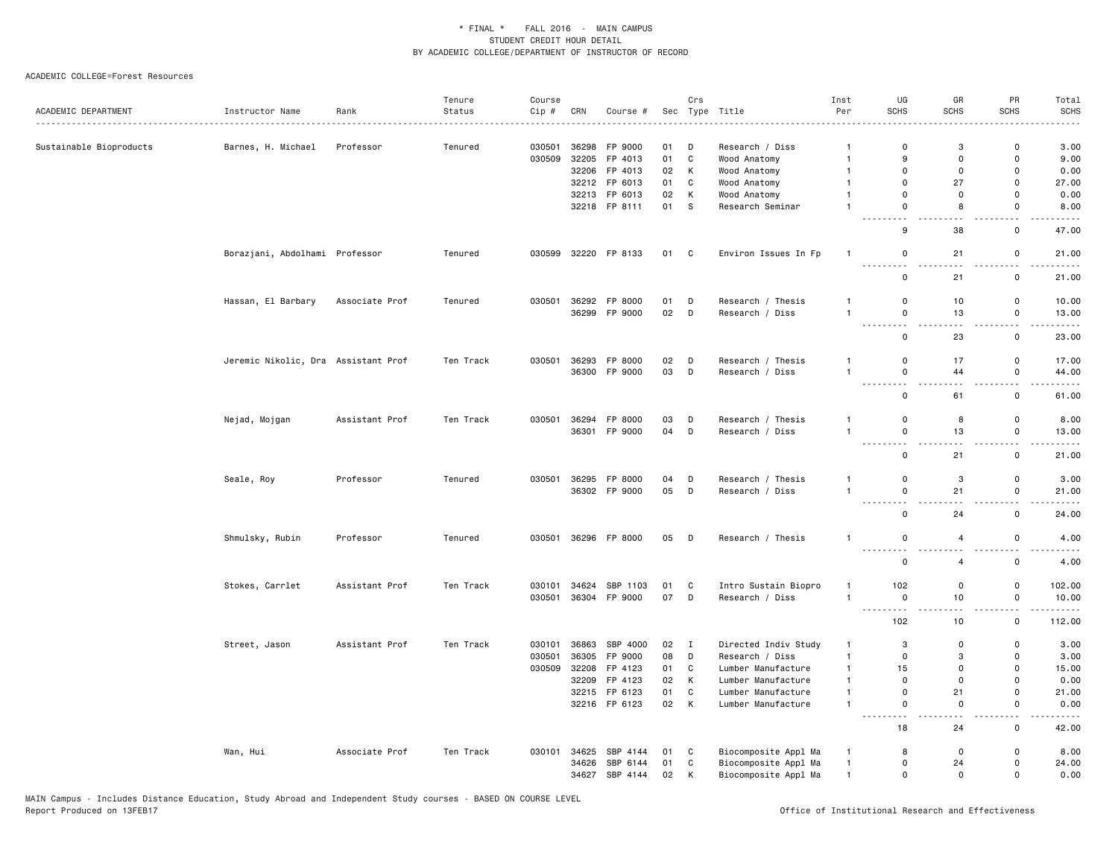|                         |                                     |                | Tenure    | Course           |                |                            |          | Crs            |                                              | Inst                         | UG                                  | GR                 | PR                            | Total                                                                                                                              |
|-------------------------|-------------------------------------|----------------|-----------|------------------|----------------|----------------------------|----------|----------------|----------------------------------------------|------------------------------|-------------------------------------|--------------------|-------------------------------|------------------------------------------------------------------------------------------------------------------------------------|
| ACADEMIC DEPARTMENT     | Instructor Name                     | Rank           | Status    | Cip#             | CRN            | Course #                   | Sec      |                | Type Title                                   | Per                          | <b>SCHS</b>                         | <b>SCHS</b>        | <b>SCHS</b>                   | <b>SCHS</b>                                                                                                                        |
|                         |                                     |                |           |                  |                |                            | 01       | D              |                                              | $\overline{1}$               | $\Omega$                            | 3                  | $\mathbf 0$                   |                                                                                                                                    |
| Sustainable Bioproducts | Barnes, H. Michael                  | Professor      | Tenured   | 030501<br>030509 | 36298<br>32205 | FP 9000<br>FP 4013         | 01       | $\mathtt{C}$   | Research / Diss<br>Wood Anatomy              | $\mathbf{1}$                 | 9                                   | $\mathbf 0$        | $\mathbf 0$                   | 3.00<br>9.00                                                                                                                       |
|                         |                                     |                |           |                  |                | 32206 FP 4013              | 02       | K              | Wood Anatomy                                 | $\mathbf{1}$                 | $\mathbf 0$                         | $\mathsf{o}$       | $\mathbf 0$                   | 0.00                                                                                                                               |
|                         |                                     |                |           |                  |                | 32212 FP 6013              | 01       | C              | Wood Anatomy                                 | $\mathbf{1}$                 | $\Omega$                            | 27                 | 0                             | 27.00                                                                                                                              |
|                         |                                     |                |           |                  |                | 32213 FP 6013              | 02       | K              | Wood Anatomy                                 | $\overline{1}$               | 0                                   | 0                  | $\mathsf 0$                   | 0.00                                                                                                                               |
|                         |                                     |                |           |                  |                | 32218 FP 8111              | 01       | S              | Research Seminar                             | $\overline{1}$               | 0                                   | 8                  | $\mathbf 0$                   | 8.00                                                                                                                               |
|                         |                                     |                |           |                  |                |                            |          |                |                                              |                              | 9                                   | 38                 | 0                             | 47.00                                                                                                                              |
|                         | Borazjani, Abdolhami Professor      |                | Tenured   | 030599           |                | 32220 FP 8133              | 01 C     |                | Environ Issues In Fp                         | -1                           | 0                                   | 21                 | 0                             | 21.00<br>.                                                                                                                         |
|                         |                                     |                |           |                  |                |                            |          |                |                                              |                              | $\sim$ $\sim$<br>0                  | 21                 | $ -$<br>$\mathsf 0$           | 21.00                                                                                                                              |
|                         | Hassan, El Barbary                  | Associate Prof | Tenured   | 030501           | 36292          | FP 8000                    | 01       | D              | Research / Thesis                            | $\mathbf{1}$                 | 0                                   | 10                 | 0                             | 10.00                                                                                                                              |
|                         |                                     |                |           |                  |                | 36299 FP 9000              | 02       | D              | Research / Diss                              | $\overline{1}$               | 0<br>---------                      | 13                 | 0<br>$ -$                     | 13.00                                                                                                                              |
|                         |                                     |                |           |                  |                |                            |          |                |                                              |                              | $\mathbf 0$                         | 23                 | $\mathbf 0$                   | 23.00                                                                                                                              |
|                         | Jeremic Nikolic, Dra Assistant Prof |                | Ten Track | 030501           | 36293          | FP 8000                    | 02       | D              | Research / Thesis                            | -1                           | 0                                   | 17                 | 0                             | 17.00                                                                                                                              |
|                         |                                     |                |           |                  |                | 36300 FP 9000              | 03       | D              | Research / Diss                              | $\overline{1}$               | 0                                   | 44                 | 0                             | 44.00                                                                                                                              |
|                         |                                     |                |           |                  |                |                            |          |                |                                              |                              | $\sim$ $\sim$ $\sim$<br>$\mathbf 0$ | 61                 | 0                             | $\frac{1}{2} \left( \frac{1}{2} \right) \left( \frac{1}{2} \right) \left( \frac{1}{2} \right) \left( \frac{1}{2} \right)$<br>61.00 |
|                         | Nejad, Mojgan                       | Assistant Prof | Ten Track |                  |                | 030501 36294 FP 8000       | 03       | D              | Research / Thesis                            | -1                           | 0                                   | 8                  | 0                             | 8.00                                                                                                                               |
|                         |                                     |                |           |                  |                | 36301 FP 9000              | 04       | D              | Research / Diss                              | $\overline{1}$               | 0                                   | 13                 | $\mathsf 0$                   | 13.00                                                                                                                              |
|                         |                                     |                |           |                  |                |                            |          |                |                                              |                              | 0                                   | 21                 | 0                             | 21.00                                                                                                                              |
|                         | Seale, Roy                          | Professor      | Tenured   | 030501           |                | 36295 FP 8000              | 04       | D              | Research / Thesis                            | $\mathbf{1}$                 | 0                                   | 3                  | $\mathbf 0$                   | 3.00                                                                                                                               |
|                         |                                     |                |           |                  |                | 36302 FP 9000              | 05       | D              | Research / Diss                              | $\mathbf{1}$                 | $\mathsf 0$                         | 21                 | $\mathsf{o}$<br>$\sim$ $\sim$ | 21.00                                                                                                                              |
|                         |                                     |                |           |                  |                |                            |          |                |                                              |                              | $\sim$ $\sim$<br>$\mathsf 0$        | 24                 | $\mathsf 0$                   | $\frac{1}{2}$<br>24.00                                                                                                             |
|                         | Shmulsky, Rubin                     | Professor      | Tenured   | 030501           |                | 36296 FP 8000              | 05 D     |                | Research / Thesis                            | $\mathbf{1}$                 | $\mathbf 0$<br><u>.</u>             | $\overline{4}$     | 0                             | 4.00<br>----                                                                                                                       |
|                         |                                     |                |           |                  |                |                            |          |                |                                              |                              | $\mathsf 0$                         | $\overline{4}$     | $\mathsf 0$                   | 4.00                                                                                                                               |
|                         | Stokes, Carrlet                     | Assistant Prof | Ten Track | 030101           | 34624          | SBP 1103                   | 01       | C              | Intro Sustain Biopro                         | $\mathbf{1}$                 | 102                                 | 0                  | $\mathsf 0$                   | 102.00                                                                                                                             |
|                         |                                     |                |           | 030501           |                | 36304 FP 9000              | 07       | D              | Research / Diss                              | $\mathbf{1}$                 | 0<br>$\sim$ $\sim$ $\sim$           | 10                 | $\mathsf 0$                   | 10.00                                                                                                                              |
|                         |                                     |                |           |                  |                |                            |          |                |                                              |                              | 102                                 | 10                 | 0                             | 112.00                                                                                                                             |
|                         | Street, Jason                       | Assistant Prof | Ten Track | 030101           | 36863          | SBP 4000                   | 02       | $\blacksquare$ | Directed Indiv Study                         | $\mathbf{1}$                 | 3                                   | 0                  | 0                             | 3.00                                                                                                                               |
|                         |                                     |                |           | 030501           | 36305          | FP 9000                    | 08       | D              | Research / Diss                              | $\mathbf{1}$                 | 0                                   | 3                  | 0                             | 3.00                                                                                                                               |
|                         |                                     |                |           | 030509           | 32208          | FP 4123                    | 01       | C              | Lumber Manufacture                           | $\mathbf{1}$                 | 15                                  | 0                  | $\mathsf 0$                   | 15.00                                                                                                                              |
|                         |                                     |                |           |                  | 32209          | FP 4123                    | 02       | К              | Lumber Manufacture                           | $\mathbf{1}$                 | 0                                   | 0                  | $\mathsf 0$                   | 0.00                                                                                                                               |
|                         |                                     |                |           |                  |                | 32215 FP 6123              | 01       | C              | Lumber Manufacture                           | $\overline{1}$               | $\mathbf 0$                         | 21                 | $\mathsf 0$                   | 21.00                                                                                                                              |
|                         |                                     |                |           |                  |                | 32216 FP 6123              | 02 K     |                | Lumber Manufacture                           | $\mathbf{1}$                 | $\mathbf 0$<br>$\sim$ $\sim$ $\sim$ | $\mathbf 0$        | $\mathbf 0$                   | 0.00                                                                                                                               |
|                         |                                     |                |           |                  |                |                            |          |                |                                              |                              | 18                                  | 24                 | 0                             | 42.00                                                                                                                              |
|                         | Wan, Hui                            | Associate Prof | Ten Track |                  |                | 030101 34625 SBP 4144      | 01       | $\mathbf{C}$   | Biocomposite Appl Ma                         | $\mathbf{1}$                 | 8                                   | 0                  | $\mathbf 0$                   | 8.00                                                                                                                               |
|                         |                                     |                |           |                  | 34626          | SBP 6144<br>34627 SBP 4144 | 01<br>02 | C<br>K         | Biocomposite Appl Ma<br>Biocomposite Appl Ma | $\mathbf{1}$<br>$\mathbf{1}$ | $\mathbf 0$<br>$\mathbf 0$          | 24<br>$\mathsf{o}$ | $\mathsf 0$<br>$\mathbf 0$    | 24.00<br>0.00                                                                                                                      |
|                         |                                     |                |           |                  |                |                            |          |                |                                              |                              |                                     |                    |                               |                                                                                                                                    |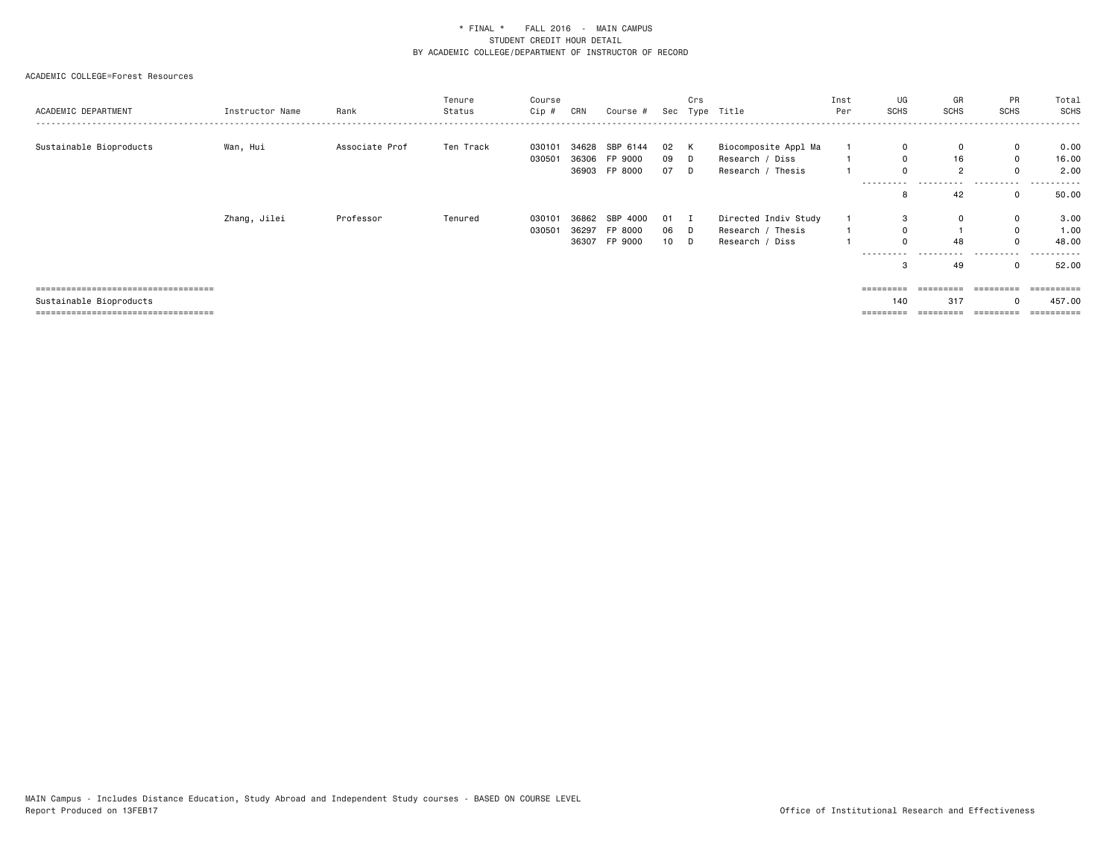| ACADEMIC DEPARTMENT                                                                                      | Instructor Name | Rank           | Tenure<br>Status | Course<br>Cip #  | CRN            | Course #                                   | Sec              | Crs<br>Type        | Title                                                        | Inst<br>Per | UG<br>SCHS                  | GR<br>SCHS                        | PR<br>SCHS                                     | Total<br>SCHS                            |
|----------------------------------------------------------------------------------------------------------|-----------------|----------------|------------------|------------------|----------------|--------------------------------------------|------------------|--------------------|--------------------------------------------------------------|-------------|-----------------------------|-----------------------------------|------------------------------------------------|------------------------------------------|
| Sustainable Bioproducts                                                                                  | Wan, Hui        | Associate Prof | Ten Track        | 030101<br>030501 | 34628          | SBP 6144<br>36306 FP 9000<br>36903 FP 8000 | 02<br>09<br>07 D | K<br>D             | Biocomposite Appl Ma<br>Research / Diss<br>Research / Thesis |             | 0<br>0<br>------            | 0<br>16<br>$\overline{2}$         | $\mathbf 0$<br>$\mathbf{0}$<br>0               | 0.00<br>16.00<br>2.00                    |
|                                                                                                          |                 |                |                  |                  |                |                                            |                  |                    |                                                              |             | 8                           | 42                                | 0                                              | 50.00                                    |
|                                                                                                          | Zhang, Jilei    | Professor      | Tenured          | 030101<br>030501 | 36862<br>36297 | SBP 4000<br>FP 8000<br>36307 FP 9000       | 01<br>06<br>10   | - 1<br>$\Box$<br>D | Directed Indiv Study<br>Research / Thesis<br>Research / Diss |             | 3<br>$\Omega$<br>---------- | $\Omega$<br>48<br>.<br>----<br>49 | 0<br>$\mathbf{0}$<br>$\Omega$<br>.<br>$\Omega$ | 3.00<br>1.00<br>48.00<br>.<br>.<br>52.00 |
| =====================================<br>Sustainable Bioproducts<br>==================================== |                 |                |                  |                  |                |                                            |                  |                    |                                                              |             | 140<br>$=$ = = = = = = = =  | 317                               | 0<br>=========                                 | =======<br>457.00                        |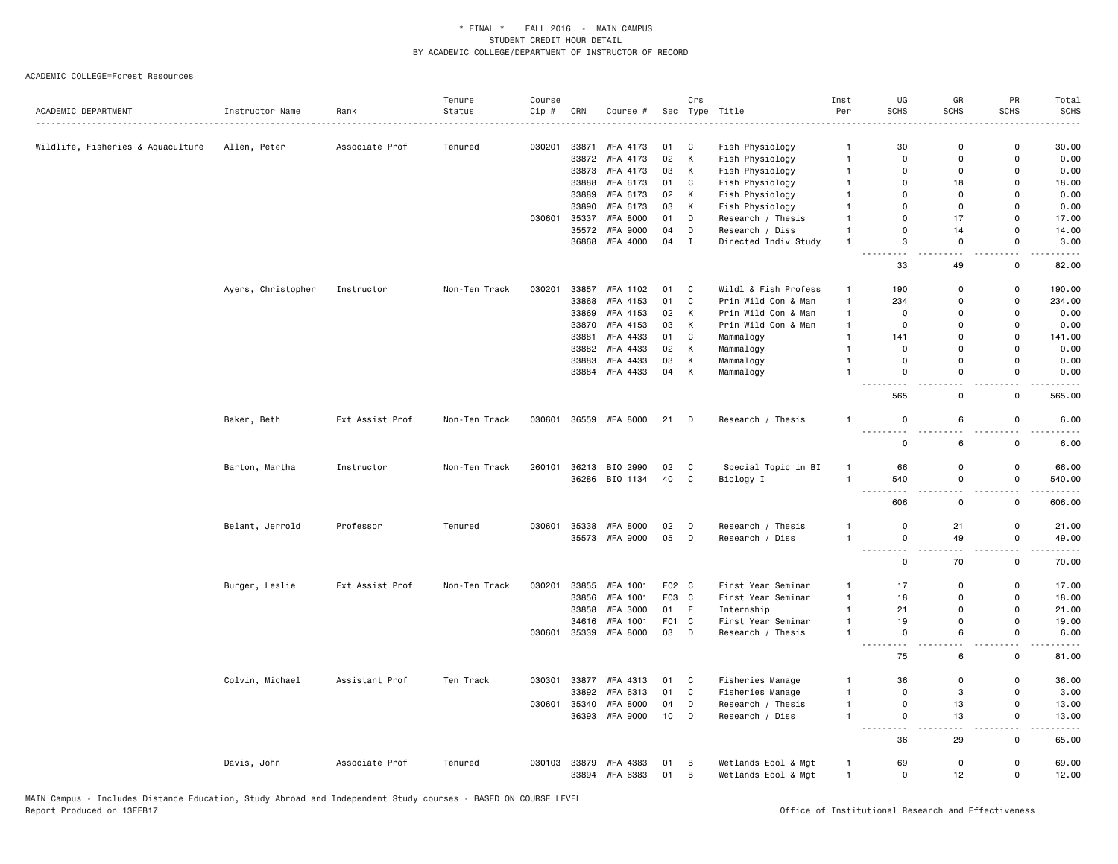|                                                              |                    |                 | Tenure        | Course |       |                       |       | Crs          |                                    | Inst           | UG                                                                                                                                                                                     | GR                            | PR                                      | Total                               |
|--------------------------------------------------------------|--------------------|-----------------|---------------|--------|-------|-----------------------|-------|--------------|------------------------------------|----------------|----------------------------------------------------------------------------------------------------------------------------------------------------------------------------------------|-------------------------------|-----------------------------------------|-------------------------------------|
| ACADEMIC DEPARTMENT<br>------------------------------------- | Instructor Name    | Rank            | Status        | Cip #  | CRN   | Course #              | Sec   |              | Type Title                         | Per            | <b>SCHS</b>                                                                                                                                                                            | <b>SCHS</b>                   | <b>SCHS</b>                             | SCHS                                |
|                                                              |                    |                 | Tenured       | 030201 | 33871 | WFA 4173              | 01    | C            |                                    | $\mathbf{1}$   | 30                                                                                                                                                                                     | $\mathbf 0$                   | 0                                       | 30.00                               |
| Wildlife, Fisheries & Aquaculture                            | Allen, Peter       | Associate Prof  |               |        | 33872 | WFA 4173              | 02    | K            | Fish Physiology<br>Fish Physiology | $\overline{1}$ | $\mathbf 0$                                                                                                                                                                            | $\Omega$                      | $\mathbf 0$                             | 0.00                                |
|                                                              |                    |                 |               |        | 33873 | WFA 4173              | 03    | K            | Fish Physiology                    | $\overline{1}$ | $\mathbf 0$                                                                                                                                                                            | $\overline{0}$                | $\mathbf 0$                             | 0.00                                |
|                                                              |                    |                 |               |        | 33888 | WFA 6173              | 01    | C            | Fish Physiology                    | $\overline{1}$ | $\mathbf 0$                                                                                                                                                                            | 18                            | 0                                       | 18.00                               |
|                                                              |                    |                 |               |        | 33889 | WFA 6173              | 02    | K            | Fish Physiology                    | $\mathbf{1}$   | $\Omega$                                                                                                                                                                               | $\mathbf 0$                   | $\mathbf 0$                             | 0.00                                |
|                                                              |                    |                 |               |        | 33890 | WFA 6173              | 03    | K            | Fish Physiology                    | $\mathbf{1}$   | $\mathbf 0$                                                                                                                                                                            | $\mathbf 0$                   | 0                                       | 0.00                                |
|                                                              |                    |                 |               | 030601 | 35337 | <b>WFA 8000</b>       | 01    | D            | Research / Thesis                  | $\mathbf{1}$   | $\Omega$                                                                                                                                                                               | 17                            | $\mathsf 0$                             | 17.00                               |
|                                                              |                    |                 |               |        |       | 35572 WFA 9000        | 04    | D            | Research / Diss                    | $\mathbf{1}$   | $\Omega$                                                                                                                                                                               | 14                            | $\mathbf 0$                             | 14.00                               |
|                                                              |                    |                 |               |        |       | 36868 WFA 4000        | 04    | $\mathbf{I}$ | Directed Indiv Study               | $\overline{1}$ | 3                                                                                                                                                                                      | $\mathbf 0$                   | $\mathbf 0$                             | 3.00                                |
|                                                              |                    |                 |               |        |       |                       |       |              |                                    |                | $ -$<br>$ -$<br>33                                                                                                                                                                     | $\overline{a}$<br>49          | $\overline{\phantom{a}}$<br>$\mathbf 0$ | -----<br>82.00                      |
|                                                              | Ayers, Christopher | Instructor      | Non-Ten Track | 030201 | 33857 | WFA 1102              | 01    | C            | Wildl & Fish Profess               | $\mathbf{1}$   | 190                                                                                                                                                                                    | 0                             | $\mathsf{o}$                            | 190.00                              |
|                                                              |                    |                 |               |        | 33868 | WFA 4153              | 01    | C            | Prin Wild Con & Man                | $\overline{1}$ | 234                                                                                                                                                                                    | $\Omega$                      | $\mathsf 0$                             | 234.00                              |
|                                                              |                    |                 |               |        | 33869 | WFA 4153              | 02    | к            | Prin Wild Con & Man                | $\mathbf{1}$   | $\overline{0}$                                                                                                                                                                         | $\Omega$                      | $\mathbf 0$                             | 0.00                                |
|                                                              |                    |                 |               |        | 33870 | WFA 4153              | 03    | K            | Prin Wild Con & Man                | $\overline{1}$ | $\mathbf 0$                                                                                                                                                                            | $\Omega$                      | $\mathbf 0$                             | 0.00                                |
|                                                              |                    |                 |               |        | 33881 | WFA 4433              | 01    | C            | Mammalogy                          | $\overline{1}$ | 141                                                                                                                                                                                    | $\Omega$                      | $\mathbf 0$                             | 141.00                              |
|                                                              |                    |                 |               |        | 33882 | WFA 4433              | 02    | К            | Mammalogy                          | $\overline{1}$ | $\mathbf 0$                                                                                                                                                                            | $\mathbf 0$                   | 0                                       | 0.00                                |
|                                                              |                    |                 |               |        | 33883 | WFA 4433              | 03    | Κ            | Mammalogy                          | $\overline{1}$ | $\mathsf 0$                                                                                                                                                                            | $\mathbf 0$                   | $\Omega$                                | 0.00                                |
|                                                              |                    |                 |               |        |       | 33884 WFA 4433        | 04    | K            | Mammalogy                          | $\overline{1}$ | $\mathbf 0$<br>$-$<br>$\sim$ $\sim$                                                                                                                                                    | $\mathbf 0$<br>a a            | $\mathbf 0$<br>٠.                       | 0.00                                |
|                                                              |                    |                 |               |        |       |                       |       |              |                                    |                | 565                                                                                                                                                                                    | $\mathsf 0$                   | $\mathsf 0$                             | 565.00                              |
|                                                              | Baker, Beth        | Ext Assist Prof | Non-Ten Track |        |       | 030601 36559 WFA 8000 | 21 D  |              | Research / Thesis                  | $\mathbf{1}$   | $\mathbf 0$<br>.                                                                                                                                                                       | 6<br>$-$                      | 0<br>$\overline{\phantom{a}}$           | 6.00                                |
|                                                              |                    |                 |               |        |       |                       |       |              |                                    |                | $\mathbf 0$                                                                                                                                                                            | 6                             | $\mathbf 0$                             | 6.00                                |
|                                                              | Barton, Martha     | Instructor      | Non-Ten Track | 260101 |       | 36213 BIO 2990        | 02    | C            | Special Topic in BI                | $\overline{1}$ | 66                                                                                                                                                                                     | $\mathbf 0$                   | $\mathsf 0$                             | 66.00                               |
|                                                              |                    |                 |               |        |       | 36286 BIO 1134        | 40    | C            | Biology I                          | $\overline{1}$ | 540<br>$\frac{1}{2} \left( \frac{1}{2} \right) \left( \frac{1}{2} \right) \left( \frac{1}{2} \right) \left( \frac{1}{2} \right) \left( \frac{1}{2} \right) \left( \frac{1}{2} \right)$ | $\mathbf 0$<br>$\overline{a}$ | 0<br>. .                                | 540.00                              |
|                                                              |                    |                 |               |        |       |                       |       |              |                                    |                | 606                                                                                                                                                                                    | $\mathbf 0$                   | $\mathsf 0$                             | 606.00                              |
|                                                              | Belant, Jerrold    | Professor       | Tenured       | 030601 |       | 35338 WFA 8000        | 02    | D            | Research / Thesis                  | $\mathbf{1}$   | $\mathsf 0$                                                                                                                                                                            | 21                            | $\mathsf 0$                             | 21.00                               |
|                                                              |                    |                 |               |        |       | 35573 WFA 9000        | 05    | D            | Research / Diss                    | $\overline{1}$ | $\mathsf 0$                                                                                                                                                                            | 49                            | $\mathsf 0$                             | 49.00                               |
|                                                              |                    |                 |               |        |       |                       |       |              |                                    |                | $\sim$ $\sim$ $\sim$ $\sim$<br>$\sim$ $\sim$<br>0                                                                                                                                      | <br>70                        | . .<br>0                                | 70.00                               |
|                                                              | Burger, Leslie     | Ext Assist Prof | Non-Ten Track | 030201 |       | 33855 WFA 1001        | F02 C |              | First Year Seminar                 | $\overline{1}$ | 17                                                                                                                                                                                     | $\overline{0}$                | $\mathbf 0$                             | 17.00                               |
|                                                              |                    |                 |               |        | 33856 | <b>WFA 1001</b>       | F03 C |              | First Year Seminar                 | $\overline{1}$ | 18                                                                                                                                                                                     | $\mathbf 0$                   | $\mathsf 0$                             | 18.00                               |
|                                                              |                    |                 |               |        | 33858 | <b>WFA 3000</b>       | 01    | E            | Internship                         | $\mathbf{1}$   | 21                                                                                                                                                                                     | $\mathbf 0$                   | $\mathbf 0$                             | 21.00                               |
|                                                              |                    |                 |               |        | 34616 | <b>WFA 1001</b>       | F01 C |              | First Year Seminar                 | $\overline{1}$ | 19                                                                                                                                                                                     | $\mathbf 0$                   | $\mathsf 0$                             | 19.00                               |
|                                                              |                    |                 |               | 030601 | 35339 | WFA 8000              | 03    | D            | Research / Thesis                  | $\overline{1}$ | $\mathbf 0$<br>$\frac{1}{2} \left( \frac{1}{2} \right) \left( \frac{1}{2} \right) \left( \frac{1}{2} \right) \left( \frac{1}{2} \right) \left( \frac{1}{2} \right)$<br>$\sim$ $\sim$   | 6<br>$\sim$                   | $\mathsf 0$<br>$\overline{\phantom{0}}$ | 6.00<br>$\sim$ $\sim$ $\sim$ $\sim$ |
|                                                              |                    |                 |               |        |       |                       |       |              |                                    |                | 75                                                                                                                                                                                     | 6                             | $\mathsf{o}$                            | 81.00                               |
|                                                              | Colvin, Michael    | Assistant Prof  | Ten Track     | 030301 | 33877 | WFA 4313              | 01    | C            | Fisheries Manage                   | $\mathbf{1}$   | 36                                                                                                                                                                                     | $\mathbf 0$                   | $\mathsf{o}$                            | 36.00                               |
|                                                              |                    |                 |               |        | 33892 | WFA 6313              | 01    | C            | Fisheries Manage                   | $\overline{1}$ | $\mathbf 0$                                                                                                                                                                            | 3                             | 0                                       | 3.00                                |
|                                                              |                    |                 |               | 030601 | 35340 | <b>WFA 8000</b>       | 04    | D            | Research / Thesis                  | $\mathbf{1}$   | $\mathbf 0$                                                                                                                                                                            | 13                            | 0                                       | 13.00                               |
|                                                              |                    |                 |               |        |       | 36393 WFA 9000        | 10    | D            | Research / Diss                    | $\mathbf{1}$   | $\mathbf 0$<br><u>.</u>                                                                                                                                                                | 13<br>i Li                    | $\mathsf 0$<br>$\omega$ .               | 13.00<br>$\omega$ is $\omega$ in .  |
|                                                              |                    |                 |               |        |       |                       |       |              |                                    |                | 36                                                                                                                                                                                     | 29                            | $\mathsf{o}$                            | 65.00                               |
|                                                              | Davis, John        | Associate Prof  | Tenured       | 030103 | 33879 | WFA 4383              | 01    | B            | Wetlands Ecol & Mgt                | $\overline{1}$ | 69                                                                                                                                                                                     | $\mathbf 0$                   | 0                                       | 69.00                               |
|                                                              |                    |                 |               |        |       | 33894 WFA 6383        | 01 B  |              | Wetlands Ecol & Mgt                | $\mathbf{1}$   | $\mathbf 0$                                                                                                                                                                            | 12                            | 0                                       | 12.00                               |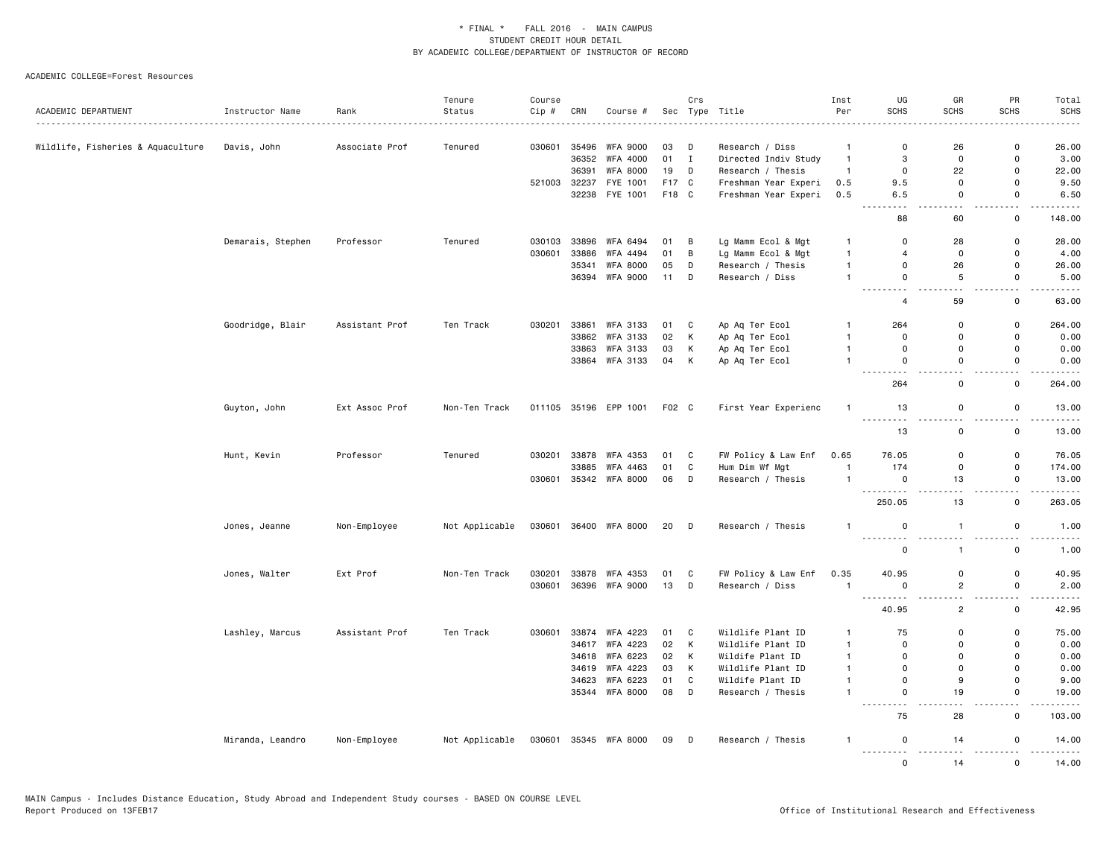| ACADEMIC DEPARTMENT               | Instructor Name   | Rank           | Tenure<br>Status | Course<br>Cip # | CRN   | Course #              |       | Crs    | Sec Type Title       | Inst<br>Per    | UG<br><b>SCHS</b>                             | GR<br><b>SCHS</b>             | PR<br><b>SCHS</b>               | Total<br><b>SCHS</b>                                                                                                                                          |
|-----------------------------------|-------------------|----------------|------------------|-----------------|-------|-----------------------|-------|--------|----------------------|----------------|-----------------------------------------------|-------------------------------|---------------------------------|---------------------------------------------------------------------------------------------------------------------------------------------------------------|
|                                   |                   | .              |                  |                 |       |                       |       |        |                      |                |                                               |                               |                                 | $- - - - -$                                                                                                                                                   |
| Wildlife, Fisheries & Aquaculture | Davis, John       | Associate Prof | Tenured          | 030601          | 35496 | <b>WFA 9000</b>       | 03    | D      | Research / Diss      | $\overline{1}$ | 0                                             | 26                            | 0                               | 26.00                                                                                                                                                         |
|                                   |                   |                |                  |                 | 36352 | WFA 4000              | 01 I  |        | Directed Indiv Study | $\overline{1}$ | 3                                             | 0                             | 0                               | 3.00                                                                                                                                                          |
|                                   |                   |                |                  |                 | 36391 | <b>WFA 8000</b>       | 19    | D      | Research / Thesis    | $\overline{1}$ | $\mathsf{O}$                                  | 22                            | 0                               | 22.00                                                                                                                                                         |
|                                   |                   |                |                  | 521003          | 32237 | FYE 1001              | F17 C |        | Freshman Year Experi | 0.5            | 9.5                                           | 0                             | 0                               | 9.50                                                                                                                                                          |
|                                   |                   |                |                  |                 |       | 32238 FYE 1001        | F18 C |        | Freshman Year Experi | 0.5            | 6.5<br>- -                                    | $\mathbf 0$<br>$\overline{a}$ | 0<br>$\overline{a}$             | 6.50                                                                                                                                                          |
|                                   |                   |                |                  |                 |       |                       |       |        |                      |                | 88                                            | 60                            | $\mathsf 0$                     | 148.00                                                                                                                                                        |
|                                   | Demarais, Stephen | Professor      | Tenured          | 030103          | 33896 | WFA 6494              | 01    | B      | Lg Mamm Ecol & Mgt   | $\overline{1}$ | $\mathbf 0$                                   | 28                            | 0                               | 28.00                                                                                                                                                         |
|                                   |                   |                |                  | 030601          | 33886 | WFA 4494              | 01    | В      | Lg Mamm Ecol & Mgt   | $\overline{1}$ | $\overline{4}$                                | 0                             | 0                               | 4.00                                                                                                                                                          |
|                                   |                   |                |                  |                 | 35341 | <b>WFA 8000</b>       | 05    | D      | Research / Thesis    | $\overline{1}$ | $\mathbf 0$                                   | 26                            | $\mathsf 0$                     | 26.00                                                                                                                                                         |
|                                   |                   |                |                  |                 |       | 36394 WFA 9000        | 11    | D      | Research / Diss      | $\overline{1}$ | $\Omega$<br>.                                 | 5<br>$\sim$ $\sim$            | $\Omega$<br>$\omega_{\rm{eff}}$ | 5.00<br>.                                                                                                                                                     |
|                                   |                   |                |                  |                 |       |                       |       |        |                      |                | $\overline{4}$                                | 59                            | 0                               | 63.00                                                                                                                                                         |
|                                   | Goodridge, Blair  | Assistant Prof | Ten Track        | 030201          | 33861 | WFA 3133              | 01    | C      | Ap Aq Ter Ecol       | $\overline{1}$ | 264                                           | 0                             | $\mathsf 0$                     | 264.00                                                                                                                                                        |
|                                   |                   |                |                  |                 | 33862 | WFA 3133              | 02    | К      | Ap Aq Ter Ecol       | $\mathbf{1}$   | $\mathbf 0$                                   | 0                             | 0                               | 0.00                                                                                                                                                          |
|                                   |                   |                |                  |                 |       | 33863 WFA 3133        | 03    | Κ      | Ap Aq Ter Ecol       | $\overline{1}$ | $\mathbf 0$                                   | $\mathbf 0$                   | $\mathbf 0$                     | 0.00                                                                                                                                                          |
|                                   |                   |                |                  |                 | 33864 | WFA 3133              | 04    | К      | Ap Aq Ter Ecol       | $\mathbf{1}$   | $\mathbf 0$<br>$\sim$ $\sim$ $\sim$           | 0<br>$-$                      | 0<br>$\sim$                     | 0.00<br>.                                                                                                                                                     |
|                                   |                   |                |                  |                 |       |                       |       |        |                      |                | 264                                           | $\mathbf 0$                   | $\mathbf 0$                     | 264.00                                                                                                                                                        |
|                                   | Guyton, John      | Ext Assoc Prof | Non-Ten Track    |                 |       | 011105 35196 EPP 1001 | F02 C |        | First Year Experienc | $\overline{1}$ | 13<br>$\sim$ $\sim$ $\sim$                    | $\mathsf 0$                   | $\mathsf 0$                     | 13.00                                                                                                                                                         |
|                                   |                   |                |                  |                 |       |                       |       |        |                      |                | 13                                            | 0                             | 0                               | 13.00                                                                                                                                                         |
|                                   | Hunt, Kevin       | Professor      | Tenured          | 030201          | 33878 | WFA 4353              | 01    | C      | FW Policy & Law Enf  | 0.65           | 76.05                                         | 0                             | 0                               | 76.05                                                                                                                                                         |
|                                   |                   |                |                  |                 | 33885 | WFA 4463              | 01    | C      | Hum Dim Wf Mgt       | $\overline{1}$ | 174                                           | 0                             | $\mathbf 0$                     | 174.00                                                                                                                                                        |
|                                   |                   |                |                  | 030601          |       | 35342 WFA 8000        | 06    | D      | Research / Thesis    | $\overline{1}$ | $\mathbf 0$<br>-----<br>$\sim$ $\sim$         | 13                            | 0<br>$\overline{\phantom{a}}$   | 13.00                                                                                                                                                         |
|                                   |                   |                |                  |                 |       |                       |       |        |                      |                | 250.05                                        | 13                            | $\mathbf 0$                     | 263.05                                                                                                                                                        |
|                                   | Jones, Jeanne     | Non-Employee   | Not Applicable   | 030601          |       | 36400 WFA 8000        | 20    | $\Box$ | Research / Thesis    | $\mathbf{1}$   | $\mathsf{O}$<br>.                             | $\overline{1}$                | 0                               | 1.00                                                                                                                                                          |
|                                   |                   |                |                  |                 |       |                       |       |        |                      |                | $\mathsf{O}$                                  | $\mathbf{1}$                  | $\mathsf 0$                     | 1.00                                                                                                                                                          |
|                                   | Jones, Walter     | Ext Prof       | Non-Ten Track    | 030201          | 33878 | WFA 4353              | 01    | C      | FW Policy & Law Enf  | 0.35           | 40.95                                         | $\mathsf 0$                   | $\mathsf 0$                     | 40.95                                                                                                                                                         |
|                                   |                   |                |                  | 030601          |       | 36396 WFA 9000        | 13    | D      | Research / Diss      | $\overline{1}$ | $\mathbf 0$                                   | $\overline{c}$                | $\mathsf 0$                     | 2.00                                                                                                                                                          |
|                                   |                   |                |                  |                 |       |                       |       |        |                      |                | 40.95                                         | Щ.<br>$\overline{c}$          | $\sim$<br>0                     | $\frac{1}{2} \left( \frac{1}{2} \right) \left( \frac{1}{2} \right) \left( \frac{1}{2} \right) \left( \frac{1}{2} \right) \left( \frac{1}{2} \right)$<br>42.95 |
|                                   | Lashley, Marcus   | Assistant Prof | Ten Track        | 030601          | 33874 | WFA 4223              | 01    | C      | Wildlife Plant ID    | $\mathbf{1}$   | 75                                            | $\mathbf 0$                   | 0                               | 75.00                                                                                                                                                         |
|                                   |                   |                |                  |                 | 34617 | WFA 4223              | 02    | K      | Wildlife Plant ID    | $\overline{1}$ | $\mathbf 0$                                   | 0                             | 0                               | 0.00                                                                                                                                                          |
|                                   |                   |                |                  |                 |       | 34618 WFA 6223        | 02    | K      | Wildife Plant ID     | $\overline{1}$ | $\mathbf 0$                                   | $\mathbf 0$                   | $\Omega$                        | 0.00                                                                                                                                                          |
|                                   |                   |                |                  |                 | 34619 | WFA 4223              | 03    | Κ      | Wildlife Plant ID    | $\overline{1}$ | $\mathbf 0$                                   | 0                             | $\mathbf 0$                     | 0.00                                                                                                                                                          |
|                                   |                   |                |                  |                 | 34623 | WFA 6223              | 01    | C      | Wildife Plant ID     | $\overline{1}$ | $\mathsf 0$                                   | 9                             | $\mathbf 0$                     | 9.00                                                                                                                                                          |
|                                   |                   |                |                  |                 |       | 35344 WFA 8000        | 08    | D      | Research / Thesis    | $\overline{1}$ | $\mathbf 0$<br>$\frac{1}{2}$<br>$\sim$ $\sim$ | 19<br>. .                     | $\mathsf 0$<br>$\sim$ $\sim$    | 19.00<br>.                                                                                                                                                    |
|                                   |                   |                |                  |                 |       |                       |       |        |                      |                | 75                                            | 28                            | $\mathbf 0$                     | 103.00                                                                                                                                                        |
|                                   | Miranda, Leandro  | Non-Employee   | Not Applicable   | 030601          |       | 35345 WFA 8000        | 09    | $\Box$ | Research / Thesis    | $\mathbf{1}$   | 0                                             | 14<br>$\sim$ $\sim$           | 0<br>$\overline{a}$             | 14.00                                                                                                                                                         |
|                                   |                   |                |                  |                 |       |                       |       |        |                      |                | $\Omega$                                      | 14                            | $\mathbf{0}$                    | 14.00                                                                                                                                                         |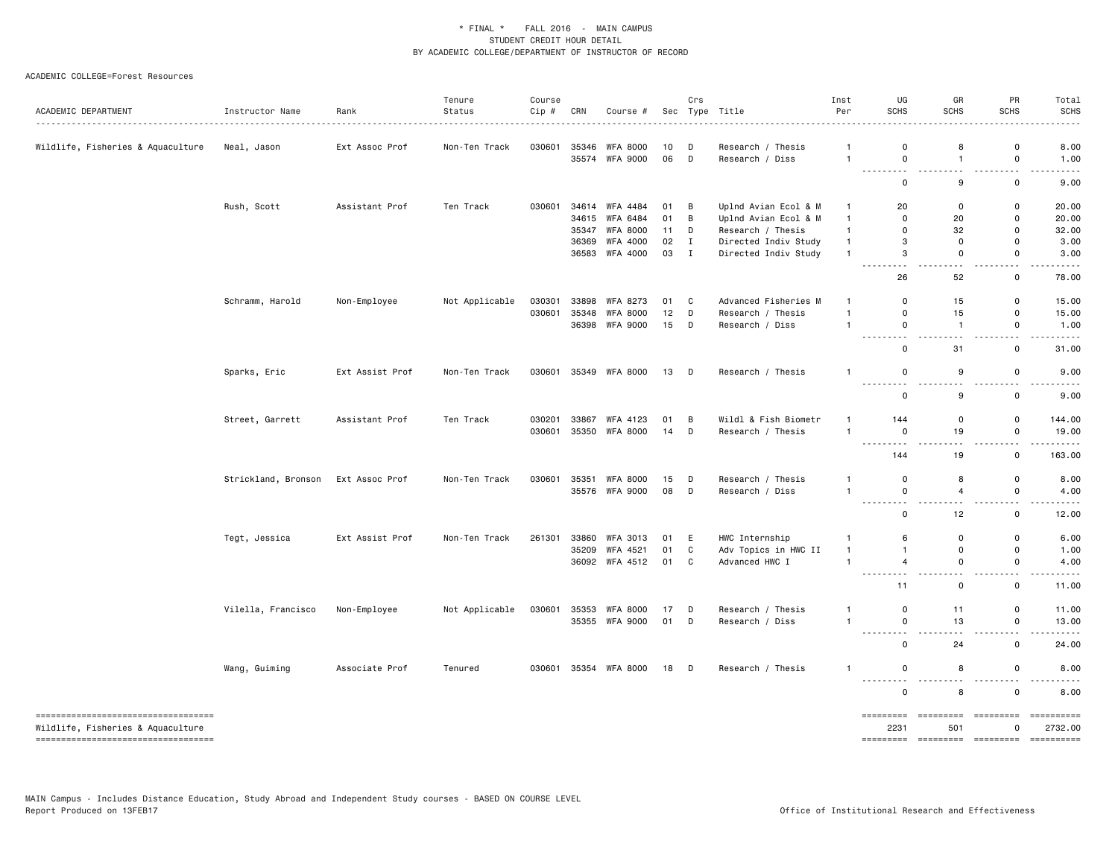| ACADEMIC DEPARTMENT                                                      | Instructor Name     | Rank            | Tenure<br>Status<br>. | Course<br>Cip # | CRN   | Course #        |    | Crs         | Sec Type Title       | Inst<br>Per  | UG<br><b>SCHS</b>                                                                                            | GR<br><b>SCHS</b>               | PR<br><b>SCHS</b>                        | Total<br><b>SCHS</b>                                                                                                                                                                                                                                                                                                                                                                                                     |
|--------------------------------------------------------------------------|---------------------|-----------------|-----------------------|-----------------|-------|-----------------|----|-------------|----------------------|--------------|--------------------------------------------------------------------------------------------------------------|---------------------------------|------------------------------------------|--------------------------------------------------------------------------------------------------------------------------------------------------------------------------------------------------------------------------------------------------------------------------------------------------------------------------------------------------------------------------------------------------------------------------|
| Wildlife, Fisheries & Aquaculture                                        | Neal, Jason         | Ext Assoc Prof  | Non-Ten Track         | 030601          | 35346 | <b>WFA 8000</b> | 10 | D           | Research / Thesis    |              | 0                                                                                                            | 8                               | 0                                        | 8.00                                                                                                                                                                                                                                                                                                                                                                                                                     |
|                                                                          |                     |                 |                       |                 |       | 35574 WFA 9000  | 06 | D           | Research / Diss      | $\mathbf{1}$ | $\mathbf 0$<br>.                                                                                             | $\overline{1}$<br>$\sim$ $\sim$ | $\mathsf{o}$<br>$\sim$ $\sim$            | 1.00<br>$\sim$ $\sim$ $\sim$ $\sim$                                                                                                                                                                                                                                                                                                                                                                                      |
|                                                                          |                     |                 |                       |                 |       |                 |    |             |                      |              | $\mathbf 0$                                                                                                  | 9                               | 0                                        | 9.00                                                                                                                                                                                                                                                                                                                                                                                                                     |
|                                                                          | Rush, Scott         | Assistant Prof  | Ten Track             | 030601          | 34614 | <b>WFA 4484</b> | 01 | в           | Uplnd Avian Ecol & M | -1           | 20                                                                                                           | $\Omega$                        | 0                                        | 20.00                                                                                                                                                                                                                                                                                                                                                                                                                    |
|                                                                          |                     |                 |                       |                 |       | 34615 WFA 6484  | 01 | B           | Uplnd Avian Ecol & M | $\mathbf{1}$ | 0                                                                                                            | 20                              | $\mathbf 0$                              | 20.00                                                                                                                                                                                                                                                                                                                                                                                                                    |
|                                                                          |                     |                 |                       |                 | 35347 | <b>WFA 8000</b> | 11 | D           | Research / Thesis    | $\mathbf{1}$ | 0                                                                                                            | 32                              | 0                                        | 32.00                                                                                                                                                                                                                                                                                                                                                                                                                    |
|                                                                          |                     |                 |                       |                 | 36369 | WFA 4000        | 02 | Ι.          | Directed Indiv Study | $\mathbf{1}$ | 3                                                                                                            | $\mathbf 0$                     | $\Omega$                                 | 3.00                                                                                                                                                                                                                                                                                                                                                                                                                     |
|                                                                          |                     |                 |                       |                 |       | 36583 WFA 4000  | 03 | $\mathbf I$ | Directed Indiv Study | $\mathbf{1}$ | 3<br>$\sim$ $\sim$ $\sim$<br>.                                                                               | 0<br>.                          | 0<br>$\sim$ $\sim$                       | 3.00<br>$\frac{1}{2} \left( \frac{1}{2} \right) \left( \frac{1}{2} \right) \left( \frac{1}{2} \right) \left( \frac{1}{2} \right) \left( \frac{1}{2} \right)$                                                                                                                                                                                                                                                             |
|                                                                          |                     |                 |                       |                 |       |                 |    |             |                      |              | 26                                                                                                           | 52                              | 0                                        | 78.00                                                                                                                                                                                                                                                                                                                                                                                                                    |
|                                                                          | Schramm, Harold     | Non-Employee    | Not Applicable        | 030301          | 33898 | WFA 8273        | 01 | C           | Advanced Fisheries M | -1           | $\Omega$                                                                                                     | 15                              | $\mathsf{o}$                             | 15.00                                                                                                                                                                                                                                                                                                                                                                                                                    |
|                                                                          |                     |                 |                       | 030601          | 35348 | <b>WFA 8000</b> | 12 | D           | Research / Thesis    | $\mathbf{1}$ | 0                                                                                                            | 15                              | 0                                        | 15.00                                                                                                                                                                                                                                                                                                                                                                                                                    |
|                                                                          |                     |                 |                       |                 |       | 36398 WFA 9000  | 15 | D           | Research / Diss      | $\mathbf{1}$ | $\mathbf 0$<br><u>.</u>                                                                                      | $\overline{1}$<br>.             | 0<br>$\sim$ $\sim$                       | 1.00<br>$\frac{1}{2}$                                                                                                                                                                                                                                                                                                                                                                                                    |
|                                                                          |                     |                 |                       |                 |       |                 |    |             |                      |              | $\mathbf 0$                                                                                                  | 31                              | $\mathsf{o}$                             | 31.00                                                                                                                                                                                                                                                                                                                                                                                                                    |
|                                                                          | Sparks, Eric        | Ext Assist Prof | Non-Ten Track         | 030601          |       | 35349 WFA 8000  | 13 | D           | Research / Thesis    | $\mathbf{1}$ | 0                                                                                                            | 9                               | 0                                        | 9.00                                                                                                                                                                                                                                                                                                                                                                                                                     |
|                                                                          |                     |                 |                       |                 |       |                 |    |             |                      |              | .<br>0                                                                                                       | .<br>9                          | $\sim$ $\sim$<br>0                       | 9.00                                                                                                                                                                                                                                                                                                                                                                                                                     |
|                                                                          | Street, Garrett     | Assistant Prof  | Ten Track             | 030201          | 33867 | WFA 4123        | 01 | B           | Wildl & Fish Biometr | $\mathbf{1}$ | 144                                                                                                          | 0                               | $\mathsf 0$                              | 144.00                                                                                                                                                                                                                                                                                                                                                                                                                   |
|                                                                          |                     |                 |                       | 030601          |       | 35350 WFA 8000  | 14 | D           | Research / Thesis    | $\mathbf{1}$ | $\mathbf 0$<br>$\sim$ $\sim$ $\sim$<br>$ -$                                                                  | 19                              | 0<br>$ -$                                | 19.00                                                                                                                                                                                                                                                                                                                                                                                                                    |
|                                                                          |                     |                 |                       |                 |       |                 |    |             |                      |              | 144                                                                                                          | 19                              | 0                                        | 163.00                                                                                                                                                                                                                                                                                                                                                                                                                   |
|                                                                          | Strickland, Bronson | Ext Assoc Prof  | Non-Ten Track         | 030601          | 35351 | <b>WFA 8000</b> | 15 | D           | Research / Thesis    |              | 0                                                                                                            | 8                               | 0                                        | 8.00                                                                                                                                                                                                                                                                                                                                                                                                                     |
|                                                                          |                     |                 |                       |                 |       | 35576 WFA 9000  | 08 | D           | Research / Diss      | $\mathbf{1}$ | 0<br>.                                                                                                       | 4<br>$\sim$ $\sim$              | 0<br>$\sim$ $\sim$                       | 4.00                                                                                                                                                                                                                                                                                                                                                                                                                     |
|                                                                          |                     |                 |                       |                 |       |                 |    |             |                      |              | 0                                                                                                            | 12                              | $\mathbf 0$                              | 12.00                                                                                                                                                                                                                                                                                                                                                                                                                    |
|                                                                          | Tegt, Jessica       | Ext Assist Prof | Non-Ten Track         | 261301          | 33860 | WFA 3013        | 01 | E           | HWC Internship       | -1           | 6                                                                                                            | $\mathbf 0$                     | 0                                        | 6.00                                                                                                                                                                                                                                                                                                                                                                                                                     |
|                                                                          |                     |                 |                       |                 | 35209 | WFA 4521        | 01 | C           | Adv Topics in HWC II | $\mathbf{1}$ | $\overline{1}$                                                                                               | 0                               | 0                                        | 1.00                                                                                                                                                                                                                                                                                                                                                                                                                     |
|                                                                          |                     |                 |                       |                 |       | 36092 WFA 4512  | 01 | C           | Advanced HWC I       | $\mathbf{1}$ | 4<br>$  -$<br>$\frac{1}{2} \left( \frac{1}{2} \right) \left( \frac{1}{2} \right) \left( \frac{1}{2} \right)$ | 0<br>$\sim$ $\sim$              | 0<br>$ -$                                | 4.00                                                                                                                                                                                                                                                                                                                                                                                                                     |
|                                                                          |                     |                 |                       |                 |       |                 |    |             |                      |              | 11                                                                                                           | 0                               | 0                                        | 11.00                                                                                                                                                                                                                                                                                                                                                                                                                    |
|                                                                          | Vilella, Francisco  | Non-Employee    | Not Applicable        | 030601          |       | 35353 WFA 8000  | 17 | D           | Research / Thesis    |              | 0                                                                                                            | 11                              | 0                                        | 11.00                                                                                                                                                                                                                                                                                                                                                                                                                    |
|                                                                          |                     |                 |                       |                 |       | 35355 WFA 9000  | 01 | D           | Research / Diss      | $\mathbf{1}$ | $\mathbf 0$<br><u>.</u>                                                                                      | 13<br>.                         | $\mathsf{o}$<br>$\sim$ $\sim$            | 13.00<br>.                                                                                                                                                                                                                                                                                                                                                                                                               |
|                                                                          |                     |                 |                       |                 |       |                 |    |             |                      |              | 0                                                                                                            | 24                              | $\mathsf{o}$                             | 24.00                                                                                                                                                                                                                                                                                                                                                                                                                    |
|                                                                          | Wang, Guiming       | Associate Prof  | Tenured               | 030601          |       | 35354 WFA 8000  | 18 | D           | Research / Thesis    | $\mathbf{1}$ | 0<br>.                                                                                                       | 8<br>.                          | $\mathsf{o}$<br>$\overline{\phantom{a}}$ | 8.00                                                                                                                                                                                                                                                                                                                                                                                                                     |
|                                                                          |                     |                 |                       |                 |       |                 |    |             |                      |              | $\mathsf 0$                                                                                                  | 8                               | $\mathsf 0$                              | 8.00                                                                                                                                                                                                                                                                                                                                                                                                                     |
| -----------------------------------<br>Wildlife, Fisheries & Aquaculture |                     |                 |                       |                 |       |                 |    |             |                      |              | =========<br>2231                                                                                            | =========<br>501                | =========<br>$\Omega$                    | $\begin{minipage}{0.9\linewidth} \hspace*{-0.2cm} \textbf{if} \hspace*{0.2cm} \textbf{if} \hspace*{0.2cm} \textbf{if} \hspace*{0.2cm} \textbf{if} \hspace*{0.2cm} \textbf{if} \hspace*{0.2cm} \textbf{if} \hspace*{0.2cm} \textbf{if} \hspace*{0.2cm} \textbf{if} \hspace*{0.2cm} \textbf{if} \hspace*{0.2cm} \textbf{if} \hspace*{0.2cm} \textbf{if} \hspace*{0.2cm} \textbf{if} \hspace*{0.2cm} \textbf{if$<br>2732.00 |
| -----------------------------------                                      |                     |                 |                       |                 |       |                 |    |             |                      |              |                                                                                                              |                                 |                                          |                                                                                                                                                                                                                                                                                                                                                                                                                          |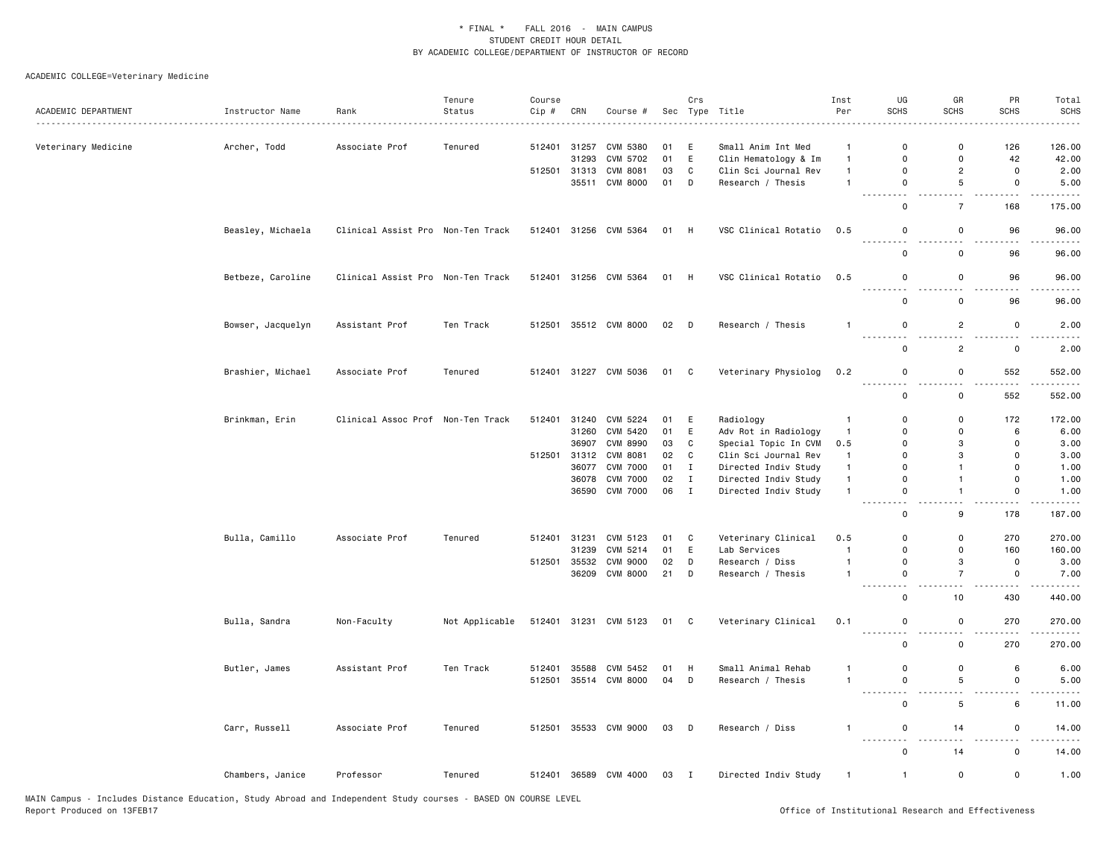|                     |                   |                                   | Tenure         | Course |              |                       |      | Crs          |                      | Inst           | UG                   | GR                                      | PR                            | Total             |
|---------------------|-------------------|-----------------------------------|----------------|--------|--------------|-----------------------|------|--------------|----------------------|----------------|----------------------|-----------------------------------------|-------------------------------|-------------------|
| ACADEMIC DEPARTMENT | Instructor Name   | Rank                              | Status         | Cip #  | CRN          | Course #              |      |              | Sec Type Title       | Per            | <b>SCHS</b>          | SCHS                                    | <b>SCHS</b>                   | <b>SCHS</b>       |
| Veterinary Medicine | Archer, Todd      | Associate Prof                    | Tenured        | 512401 | 31257        | CVM 5380              | 01   | Е            | Small Anim Int Med   | $\mathbf{1}$   | 0                    | $\mathsf{o}$                            | 126                           | 126.00            |
|                     |                   |                                   |                |        | 31293        | CVM 5702              | 01   | E            | Clin Hematology & Im | $\mathbf{1}$   | $\Omega$             | $\mathsf 0$                             | 42                            | 42.00             |
|                     |                   |                                   |                | 512501 | 31313        | <b>CVM 8081</b>       | 03   | $\mathtt{C}$ | Clin Sci Journal Rev | $\mathbf{1}$   | 0                    | $\overline{c}$                          | $\mathbf 0$                   | 2.00              |
|                     |                   |                                   |                |        | 35511        | <b>CVM 8000</b>       | 01   | D            | Research / Thesis    | $\mathbf{1}$   | 0                    | 5                                       | $\mathbf 0$                   | 5.00              |
|                     |                   |                                   |                |        |              |                       |      |              |                      |                | - - -<br>------<br>0 | $\sim$ $-$<br>$\overline{7}$            | -----<br>168                  | .<br>175.00       |
|                     | Beasley, Michaela | Clinical Assist Pro Non-Ten Track |                |        |              | 512401 31256 CVM 5364 | 01 H |              | VSC Clinical Rotatio | 0.5            | 0                    | 0                                       | 96                            | 96.00             |
|                     |                   |                                   |                |        |              |                       |      |              |                      |                | $\sim$ $\sim$<br>0   | $\sim$ $\sim$<br>0                      | $ -$<br>96                    | .<br>96.00        |
|                     | Betbeze, Caroline | Clinical Assist Pro Non-Ten Track |                |        |              | 512401 31256 CVM 5364 | 01 H |              | VSC Clinical Rotatio | 0.5            | 0                    | $\mathbf 0$                             | 96                            | 96.00             |
|                     |                   |                                   |                |        |              |                       |      |              |                      |                | .<br>0               | $\sim$ $\sim$<br>$\mathsf 0$            | $\sim$ $\sim$<br>96           | 96.00             |
|                     |                   |                                   |                |        |              |                       |      |              |                      |                |                      |                                         |                               |                   |
|                     | Bowser, Jacquelyn | Assistant Prof                    | Ten Track      | 512501 |              | 35512 CVM 8000        | 02 D |              | Research / Thesis    | $\mathbf{1}$   | 0                    | $\overline{2}$                          | $\mathbf 0$                   | 2.00              |
|                     |                   |                                   |                |        |              |                       |      |              |                      |                | $\Omega$             | $\overline{c}$                          | $\mathbf 0$                   | 2.00              |
|                     | Brashier, Michael | Associate Prof                    | Tenured        |        |              | 512401 31227 CVM 5036 | 01 C |              | Veterinary Physiolog | 0.2            | 0<br>.<br>.          | $\mathbf 0$<br>$\overline{\phantom{a}}$ | 552                           | 552.00            |
|                     |                   |                                   |                |        |              |                       |      |              |                      |                | 0                    | $\mathsf 0$                             | 552                           | 552.00            |
|                     | Brinkman, Erin    | Clinical Assoc Prof Non-Ten Track |                | 512401 | 31240        | CVM 5224              | 01   | E            | Radiology            | $\mathbf{1}$   | $\Omega$             | $\mathbf 0$                             | 172                           | 172.00            |
|                     |                   |                                   |                |        | 31260        | CVM 5420              | 01   | E            | Adv Rot in Radiology | $\mathbf{1}$   | $\Omega$             | $\mathbf 0$                             | 6                             | 6.00              |
|                     |                   |                                   |                |        | 36907        | CVM 8990              | 03   | $\mathtt{C}$ | Special Topic In CVM | 0.5            | $\Omega$             | 3                                       | $\mathbf 0$                   | 3.00              |
|                     |                   |                                   |                |        | 512501 31312 | CVM 8081              | 02   | C            | Clin Sci Journal Rev | $\mathbf{1}$   | 0                    | 3                                       | $\mathbf 0$                   | 3.00              |
|                     |                   |                                   |                |        | 36077        | <b>CVM 7000</b>       | 01   | $\;$ I       | Directed Indiv Study | $\mathbf{1}$   | $\Omega$             | $\overline{1}$                          | $\Omega$                      | 1.00              |
|                     |                   |                                   |                |        |              | 36078 CVM 7000        | 02   | $\mathbf{I}$ | Directed Indiv Study | $\mathbf{1}$   | $\Omega$             | $\overline{1}$                          | 0                             | 1.00              |
|                     |                   |                                   |                |        | 36590        | <b>CVM 7000</b>       | 06   | $\mathbf{I}$ | Directed Indiv Study | $\mathbf{1}$   | 0<br>$\sim$ $\sim$   | $\overline{1}$<br>$\sim$ $\sim$         | $\mathbf 0$<br>.              | 1.00<br>$- - - -$ |
|                     |                   |                                   |                |        |              |                       |      |              |                      |                | $\mathbf 0$          | 9                                       | 178                           | 187.00            |
|                     | Bulla, Camillo    | Associate Prof                    | Tenured        | 512401 | 31231        | CVM 5123              | 01   | C            | Veterinary Clinical  | 0.5            | 0                    | $\mathsf 0$                             | 270                           | 270.00            |
|                     |                   |                                   |                |        | 31239        | CVM 5214              | 01   | E            | Lab Services         | $\mathbf{1}$   | 0                    | $\mathbf 0$                             | 160                           | 160.00            |
|                     |                   |                                   |                | 512501 | 35532        | <b>CVM 9000</b>       | 02   | D            | Research / Diss      | $\mathbf{1}$   | 0                    | 3                                       | $\mathbf 0$                   | 3.00              |
|                     |                   |                                   |                |        | 36209        | CVM 8000              | 21   | D            | Research / Thesis    | $\mathbf{1}$   | 0<br>.               | $\overline{7}$<br>$\sim$                | $\mathsf 0$<br>.              | 7.00<br>.         |
|                     |                   |                                   |                |        |              |                       |      |              |                      |                | 0                    | 10                                      | 430                           | 440.00            |
|                     | Bulla, Sandra     | Non-Faculty                       | Not Applicable |        |              | 512401 31231 CVM 5123 | 01 C |              | Veterinary Clinical  | 0.1            | 0                    | 0                                       | 270                           | 270.00            |
|                     |                   |                                   |                |        |              |                       |      |              |                      |                | $ -$<br>0            | $\overline{a}$<br>0                     | .<br>270                      | .<br>270.00       |
|                     | Butler, James     | Assistant Prof                    | Ten Track      | 512401 | 35588        | CVM 5452              | 01   | H            | Small Animal Rehab   | $\mathbf{1}$   | 0                    | $\mathbf 0$                             | 6                             | 6.00              |
|                     |                   |                                   |                | 512501 |              | 35514 CVM 8000        | 04   | D            | Research / Thesis    | $\overline{1}$ | 0<br>$\sim$ $\sim$   | 5                                       | $\mathsf 0$                   | 5.00              |
|                     |                   |                                   |                |        |              |                       |      |              |                      |                | 0                    | 5                                       | 6                             | 11.00             |
|                     | Carr, Russell     | Associate Prof                    | Tenured        |        |              | 512501 35533 CVM 9000 | 03   | $\mathsf{D}$ | Research / Diss      | $\mathbf{1}$   | 0                    | 14                                      | 0                             | 14.00             |
|                     |                   |                                   |                |        |              |                       |      |              |                      |                | .<br>0               | 14                                      | $\overline{\phantom{a}}$<br>0 | 14.00             |
|                     | Chambers, Janice  | Professor                         | Tenured        |        |              | 512401 36589 CVM 4000 | 03 I |              | Directed Indiv Study | $\mathbf{1}$   | $\overline{1}$       | $\mathsf 0$                             | $\mathsf 0$                   | 1.00              |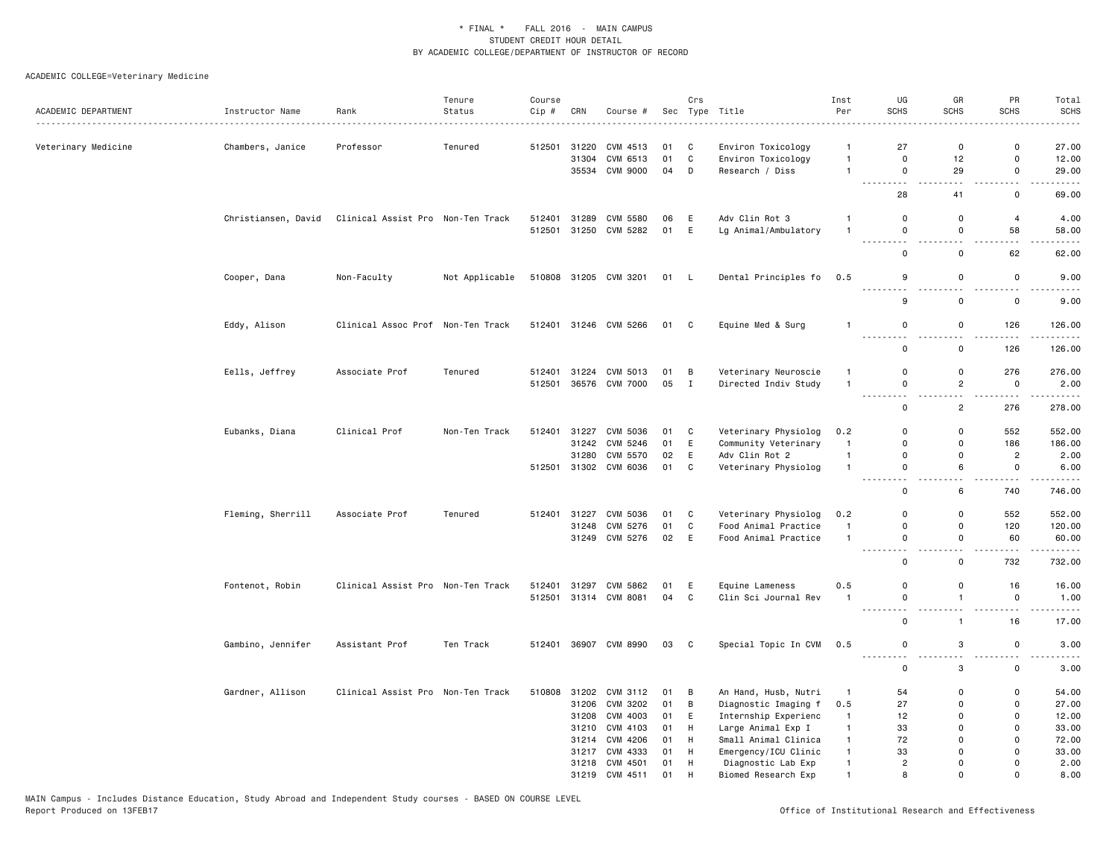|                     |                     |                                   | Tenure         | Course           |       |                                  |          | Crs               |                                              | Inst                           | UG                           | GR                  | PR                                  | Total                                                                                                                                                          |
|---------------------|---------------------|-----------------------------------|----------------|------------------|-------|----------------------------------|----------|-------------------|----------------------------------------------|--------------------------------|------------------------------|---------------------|-------------------------------------|----------------------------------------------------------------------------------------------------------------------------------------------------------------|
| ACADEMIC DEPARTMENT | Instructor Name     | Rank                              | Status         | Cip #            | CRN   | Course #                         | Sec      |                   | Type Title                                   | Per                            | <b>SCHS</b>                  | <b>SCHS</b>         | <b>SCHS</b>                         | <b>SCHS</b>                                                                                                                                                    |
| Veterinary Medicine | Chambers, Janice    | Professor                         | Tenured        | 512501           | 31220 | CVM 4513                         | 01       | C                 | Environ Toxicology                           | $\mathbf{1}$                   | 27                           | 0                   | 0                                   | 27.00                                                                                                                                                          |
|                     |                     |                                   |                |                  | 31304 | CVM 6513                         | 01       | C                 | Environ Toxicology                           | $\mathbf{1}$                   | $\mathbf 0$                  | 12                  | $\mathbf 0$                         | 12.00                                                                                                                                                          |
|                     |                     |                                   |                |                  |       | 35534 CVM 9000                   | 04       | D                 | Research / Diss                              | $\overline{1}$                 | $\mathsf 0$                  | 29                  | $\mathsf 0$                         | 29.00                                                                                                                                                          |
|                     |                     |                                   |                |                  |       |                                  |          |                   |                                              |                                | ---------<br>28              | 41                  | $\sim$ $\sim$<br>$\mathsf 0$        | $\frac{1}{2} \left( \frac{1}{2} \right) \left( \frac{1}{2} \right) \left( \frac{1}{2} \right) \left( \frac{1}{2} \right) \left( \frac{1}{2} \right)$<br>69.00  |
|                     | Christiansen, David | Clinical Assist Pro Non-Ten Track |                | 512401           | 31289 | CVM 5580                         | 06       | E                 | Adv Clin Rot 3                               | $\mathbf{1}$                   | $\Omega$                     | $\mathsf 0$         | $\overline{4}$                      | 4.00                                                                                                                                                           |
|                     |                     |                                   |                |                  |       | 512501 31250 CVM 5282            | 01 E     |                   | Lg Animal/Ambulatory                         | $\overline{1}$                 | $\mathbf 0$                  | $\mathbf 0$         | 58                                  | 58.00                                                                                                                                                          |
|                     |                     |                                   |                |                  |       |                                  |          |                   |                                              |                                | -----                        |                     |                                     |                                                                                                                                                                |
|                     |                     |                                   |                |                  |       |                                  |          |                   |                                              |                                | 0                            | 0                   | 62                                  | 62.00                                                                                                                                                          |
|                     | Cooper, Dana        | Non-Faculty                       | Not Applicable |                  |       | 510808 31205 CVM 3201            | 01 L     |                   | Dental Principles fo                         | 0.5                            | 9<br>.                       | $\mathsf 0$         | $\mathsf 0$                         | 9.00                                                                                                                                                           |
|                     |                     |                                   |                |                  |       |                                  |          |                   |                                              |                                | 9                            | 0                   | 0                                   | 9.00                                                                                                                                                           |
|                     | Eddy, Alison        | Clinical Assoc Prof Non-Ten Track |                |                  |       | 512401 31246 CVM 5266            | 01 C     |                   | Equine Med & Surg                            | $\overline{1}$                 | $\mathbf 0$                  | 0                   | 126                                 | 126.00                                                                                                                                                         |
|                     |                     |                                   |                |                  |       |                                  |          |                   |                                              |                                | 0                            | 0                   | 126                                 | $\frac{1}{2} \left( \frac{1}{2} \right) \left( \frac{1}{2} \right) \left( \frac{1}{2} \right) \left( \frac{1}{2} \right) \left( \frac{1}{2} \right)$<br>126.00 |
|                     |                     |                                   |                |                  |       |                                  |          |                   |                                              |                                | $\Omega$                     |                     |                                     |                                                                                                                                                                |
|                     | Eells, Jeffrey      | Associate Prof                    | Tenured        | 512401<br>512501 |       | 31224 CVM 5013<br>36576 CVM 7000 | 01<br>05 | B<br>$\mathbf{I}$ | Veterinary Neuroscie<br>Directed Indiv Study | $\mathbf{1}$<br>$\overline{1}$ | 0                            | 0<br>$\overline{2}$ | 276<br>0                            | 276.00<br>2.00                                                                                                                                                 |
|                     |                     |                                   |                |                  |       |                                  |          |                   |                                              |                                | .                            | $ -$                | $- - - -$                           | $\alpha$ , $\alpha$ , $\alpha$ , $\alpha$ , $\alpha$                                                                                                           |
|                     |                     |                                   |                |                  |       |                                  |          |                   |                                              |                                | $\mathbf 0$                  | $\overline{2}$      | 276                                 | 278.00                                                                                                                                                         |
|                     | Eubanks, Diana      | Clinical Prof                     | Non-Ten Track  | 512401           | 31227 | CVM 5036                         | 01       | C                 | Veterinary Physiolog                         | 0.2                            | $\Omega$                     | $\mathbf 0$         | 552                                 | 552.00                                                                                                                                                         |
|                     |                     |                                   |                |                  | 31242 | CVM 5246                         | 01       | E                 | Community Veterinary                         | $\mathbf{1}$                   | $\Omega$                     | $\Omega$            | 186                                 | 186.00                                                                                                                                                         |
|                     |                     |                                   |                |                  | 31280 | CVM 5570                         | 02       | E                 | Adv Clin Rot 2                               | $\mathbf{1}$                   | $\Omega$                     | $\mathbf 0$         | $\overline{c}$                      | 2.00                                                                                                                                                           |
|                     |                     |                                   |                |                  |       | 512501 31302 CVM 6036            | 01       | C                 | Veterinary Physiolog                         | $\mathbf{1}$                   | $\mathbf 0$<br>$\sim$ $\sim$ | 6                   | $\mathsf 0$<br>$\sim$ $\sim$ $\sim$ | 6.00<br>.                                                                                                                                                      |
|                     |                     |                                   |                |                  |       |                                  |          |                   |                                              |                                | 0                            | 6                   | 740                                 | 746.00                                                                                                                                                         |
|                     | Fleming, Sherrill   | Associate Prof                    | Tenured        | 512401           | 31227 | CVM 5036                         | 01       | C                 | Veterinary Physiolog                         | 0.2                            | $\mathbf 0$                  | 0                   | 552                                 | 552.00                                                                                                                                                         |
|                     |                     |                                   |                |                  | 31248 | CVM 5276                         | 01       | C                 | Food Animal Practice                         | $\overline{1}$                 | 0                            | 0                   | 120                                 | 120.00                                                                                                                                                         |
|                     |                     |                                   |                |                  |       | 31249 CVM 5276                   | 02 E     |                   | Food Animal Practice                         | $\overline{1}$                 | $\Omega$<br>$\sim$ $\sim$    | $\mathbf 0$         | 60<br>$- - - -$                     | 60.00<br>.                                                                                                                                                     |
|                     |                     |                                   |                |                  |       |                                  |          |                   |                                              |                                | 0                            | 0                   | 732                                 | 732.00                                                                                                                                                         |
|                     | Fontenot, Robin     | Clinical Assist Pro Non-Ten Track |                | 512401           | 31297 | CVM 5862                         | 01       | E                 | Equine Lameness                              | 0.5                            | $\Omega$                     | 0                   | 16                                  | 16.00                                                                                                                                                          |
|                     |                     |                                   |                |                  |       | 512501 31314 CVM 8081            | 04       | C                 | Clin Sci Journal Rev                         | $\mathbf{1}$                   | 0                            | $\overline{1}$      | 0                                   | 1.00                                                                                                                                                           |
|                     |                     |                                   |                |                  |       |                                  |          |                   |                                              |                                | 0                            | $\mathbf{1}$        | 16                                  | $\frac{1}{2} \left( \frac{1}{2} \right) \left( \frac{1}{2} \right) \left( \frac{1}{2} \right) \left( \frac{1}{2} \right)$<br>17.00                             |
|                     | Gambino, Jennifer   | Assistant Prof                    | Ten Track      |                  |       | 512401 36907 CVM 8990            | 03       | $\mathbf{C}$      | Special Topic In CVM                         | 0.5                            | $\mathbf 0$                  | 3                   | 0                                   | 3.00                                                                                                                                                           |
|                     |                     |                                   |                |                  |       |                                  |          |                   |                                              |                                | .<br>$\mathsf 0$             | 3                   | $\mathsf 0$                         | $\frac{1}{2} \left( \frac{1}{2} \right) \left( \frac{1}{2} \right) \left( \frac{1}{2} \right) \left( \frac{1}{2} \right)$<br>3.00                              |
|                     | Gardner, Allison    | Clinical Assist Pro Non-Ten Track |                | 510808           |       | 31202 CVM 3112                   | 01       | B                 | An Hand, Husb, Nutri                         | $\mathbf{1}$                   | 54                           | 0                   | 0                                   | 54.00                                                                                                                                                          |
|                     |                     |                                   |                |                  |       | 31206 CVM 3202                   | 01       | B                 | Diagnostic Imaging f                         | 0.5                            | 27                           | 0                   | $\mathsf 0$                         | 27.00                                                                                                                                                          |
|                     |                     |                                   |                |                  | 31208 | CVM 4003                         | 01       | E                 | Internship Experienc                         | $\mathbf{1}$                   | 12                           | $\mathbf 0$         | $\mathbf 0$                         | 12.00                                                                                                                                                          |
|                     |                     |                                   |                |                  | 31210 | CVM 4103                         | 01       | H                 | Large Animal Exp I                           | $\mathbf{1}$                   | 33                           | $\Omega$            | $\Omega$                            | 33.00                                                                                                                                                          |
|                     |                     |                                   |                |                  |       | 31214 CVM 4206                   | 01       | H                 | Small Animal Clinica                         | $\mathbf{1}$                   | 72                           | $\mathbf 0$         | 0                                   | 72.00                                                                                                                                                          |
|                     |                     |                                   |                |                  |       | 31217 CVM 4333                   | 01       | H                 | Emergency/ICU Clinic                         | $\mathbf{1}$                   | 33                           | $\Omega$            | 0                                   | 33.00                                                                                                                                                          |
|                     |                     |                                   |                |                  |       | 31218 CVM 4501                   | 01       | H                 | Diagnostic Lab Exp                           | $\mathbf{1}$                   | $\overline{2}$               | $\Omega$            | $\mathbf{0}$                        | 2.00                                                                                                                                                           |
|                     |                     |                                   |                |                  |       | 31219 CVM 4511                   | 01       | H                 | Biomed Research Exp                          | $\mathbf{1}$                   | 8                            | $\Omega$            | $\mathbf{0}$                        | 8.00                                                                                                                                                           |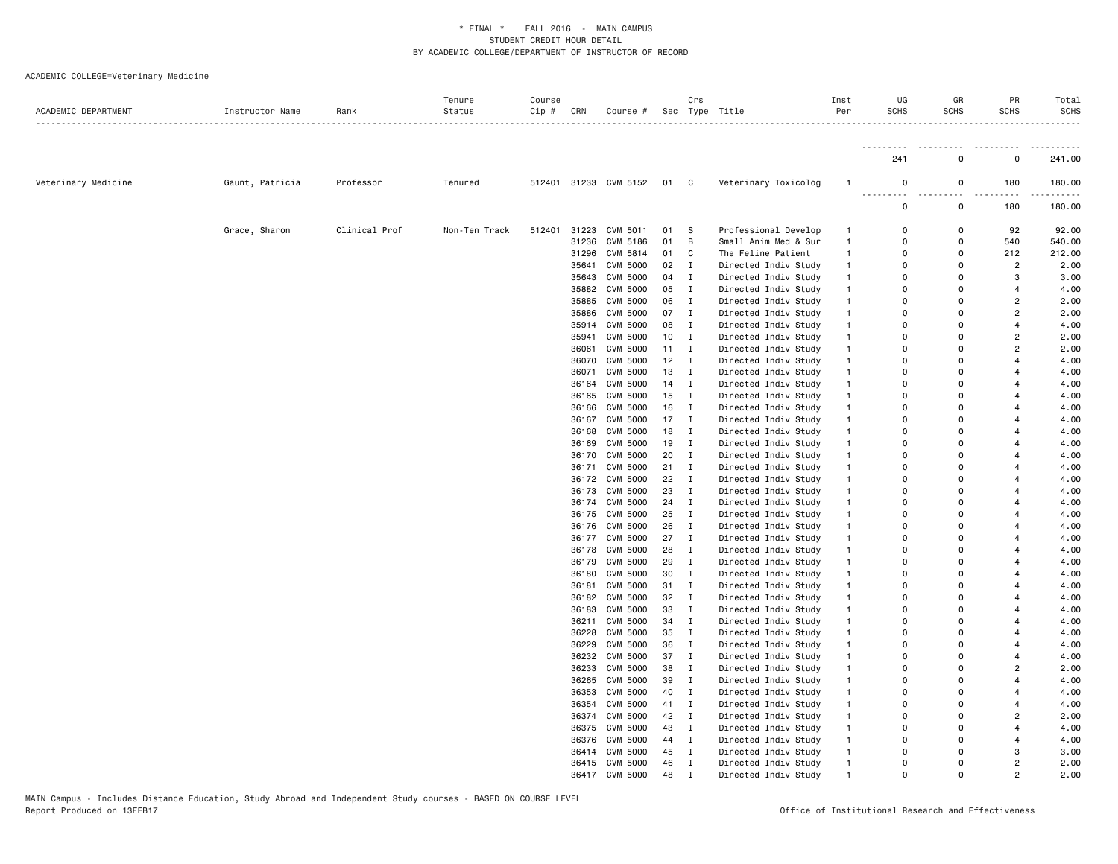| ACADEMIC DEPARTMENT | Instructor Name | Rank          | Tenure<br>Status | Course<br>Cip # | CRN   | Course #                   |    | Crs          | Sec Type Title       | Inst<br>Per  | UG<br><b>SCHS</b>    | GR<br><b>SCHS</b> | PR<br><b>SCHS</b> | Total<br><b>SCHS</b> |
|---------------------|-----------------|---------------|------------------|-----------------|-------|----------------------------|----|--------------|----------------------|--------------|----------------------|-------------------|-------------------|----------------------|
|                     |                 |               |                  |                 |       |                            |    |              |                      |              |                      |                   |                   |                      |
|                     |                 |               |                  |                 |       |                            |    |              |                      |              | 241                  | $\Omega$          | $\Omega$          | 241.00               |
| Veterinary Medicine | Gaunt, Patricia | Professor     | Tenured          |                 |       | 512401 31233 CVM 5152 01 C |    |              | Veterinary Toxicolog | $\mathbf{1}$ | $\mathbf 0$          | $\mathbf 0$       | 180               | 180.00               |
|                     |                 |               |                  |                 |       |                            |    |              |                      |              | 0                    | $\mathsf{o}\,$    | 180               | 180.00               |
|                     | Grace, Sharon   | Clinical Prof | Non-Ten Track    | 512401          | 31223 | CVM 5011                   | 01 | s            | Professional Develop | $\mathbf{1}$ | $\Omega$             | $\Omega$          | 92                | 92.00                |
|                     |                 |               |                  |                 | 31236 | CVM 5186                   | 01 | В            | Small Anim Med & Sur | $\mathbf{1}$ | $\Omega$             | 0                 | 540               | 540.00               |
|                     |                 |               |                  |                 | 31296 | CVM 5814                   | 01 | C            | The Feline Patient   | $\mathbf{1}$ | $\Omega$             | $\Omega$          | 212               | 212.00               |
|                     |                 |               |                  |                 | 35641 | <b>CVM 5000</b>            | 02 | $\mathbf{I}$ | Directed Indiv Study | $\mathbf{1}$ | $\Omega$             | $\Omega$          | $\overline{2}$    | 2.00                 |
|                     |                 |               |                  |                 | 35643 | <b>CVM 5000</b>            | 04 | $\mathbf I$  | Directed Indiv Study | $\mathbf{1}$ | 0                    | $\Omega$          | 3                 | 3.00                 |
|                     |                 |               |                  |                 |       | 35882 CVM 5000             | 05 | $\mathbf I$  | Directed Indiv Study | $\mathbf{1}$ | $\Omega$             | $\Omega$          | 4                 | 4.00                 |
|                     |                 |               |                  |                 | 35885 | CVM 5000                   | 06 | Ι.           | Directed Indiv Study | $\mathbf{1}$ | 0                    | $\Omega$          | $\overline{2}$    | 2.00                 |
|                     |                 |               |                  |                 | 35886 | CVM 5000                   | 07 | Ι.           | Directed Indiv Study | $\mathbf{1}$ | $\Omega$             | $\Omega$          | $\overline{2}$    | 2.00                 |
|                     |                 |               |                  |                 |       | 35914 CVM 5000             | 08 | $\mathbf I$  | Directed Indiv Study | $\mathbf{1}$ | $\Omega$             | $\Omega$          | $\overline{4}$    | 4.00                 |
|                     |                 |               |                  |                 | 35941 | CVM 5000                   | 10 | $\mathbf I$  | Directed Indiv Study | $\mathbf{1}$ | $\Omega$             | $\Omega$          | 2                 | 2.00                 |
|                     |                 |               |                  |                 | 36061 | CVM 5000                   | 11 | Ι.           | Directed Indiv Study | $\mathbf{1}$ | $\Omega$             | $\Omega$          | $\overline{2}$    | 2.00                 |
|                     |                 |               |                  |                 | 36070 | CVM 5000                   | 12 | Ι.           | Directed Indiv Study | $\mathbf{1}$ | $\mathbf 0$          | $\mathbf 0$       | 4                 | 4.00                 |
|                     |                 |               |                  |                 | 36071 | <b>CVM 5000</b>            | 13 | Ι.           | Directed Indiv Study | $\mathbf{1}$ | $\Omega$             | $\Omega$          |                   | 4.00                 |
|                     |                 |               |                  |                 | 36164 | <b>CVM 5000</b>            | 14 | Ι.           | Directed Indiv Study | $\mathbf{1}$ | $\Omega$             | $\Omega$          |                   | 4.00                 |
|                     |                 |               |                  |                 | 36165 | <b>CVM 5000</b>            | 15 | Ι            | Directed Indiv Study | $\mathbf{1}$ | $\Omega$             | $\Omega$          |                   | 4.00                 |
|                     |                 |               |                  |                 | 36166 | CVM 5000                   | 16 | I            | Directed Indiv Study | $\mathbf{1}$ | $\Omega$             | $\Omega$          |                   | 4.00                 |
|                     |                 |               |                  |                 |       | 36167 CVM 5000             | 17 | $\mathbf I$  | Directed Indiv Study | $\mathbf{1}$ | $\Omega$             | $\Omega$          |                   | 4.00                 |
|                     |                 |               |                  |                 | 36168 | CVM 5000                   | 18 | $\mathbf I$  | Directed Indiv Study | $\mathbf{1}$ | 0                    | $\Omega$          |                   | 4.00                 |
|                     |                 |               |                  |                 | 36169 | CVM 5000                   | 19 | $\mathbf I$  | Directed Indiv Study | $\mathbf{1}$ | $\Omega$             | $\mathbf 0$       |                   | 4.00                 |
|                     |                 |               |                  |                 | 36170 | <b>CVM 5000</b>            | 20 | $\mathbf I$  | Directed Indiv Study | $\mathbf{1}$ | $\Omega$             | $\Omega$          |                   | 4.00                 |
|                     |                 |               |                  |                 |       | 36171 CVM 5000             | 21 | Ι.           | Directed Indiv Study | $\mathbf{1}$ | $\Omega$             | $\Omega$          |                   | 4.00                 |
|                     |                 |               |                  |                 | 36172 | CVM 5000                   | 22 | Ι.           | Directed Indiv Study | $\mathbf{1}$ | 0                    | 0                 |                   | 4.00                 |
|                     |                 |               |                  |                 | 36173 | <b>CVM 5000</b>            | 23 | $\mathbf I$  | Directed Indiv Study | $\mathbf{1}$ | $\Omega$             | $\Omega$          |                   | 4.00                 |
|                     |                 |               |                  |                 | 36174 | CVM 5000                   | 24 | $\mathbf I$  | Directed Indiv Study | $\mathbf{1}$ | $\Omega$             | $\Omega$          |                   | 4.00                 |
|                     |                 |               |                  |                 | 36175 | <b>CVM 5000</b>            | 25 | Ι.           | Directed Indiv Study | $\mathbf{1}$ | $\Omega$             | $\Omega$          |                   | 4.00                 |
|                     |                 |               |                  |                 | 36176 | CVM 5000                   | 26 | Ι.           | Directed Indiv Study | $\mathbf{1}$ | 0                    | $\mathbf 0$       |                   | 4.00                 |
|                     |                 |               |                  |                 | 36177 | CVM 5000                   | 27 | $\mathbf I$  | Directed Indiv Study | $\mathbf{1}$ | $\Omega$             | $\Omega$          |                   | 4.00                 |
|                     |                 |               |                  |                 | 36178 | CVM 5000                   | 28 | $\mathbf I$  | Directed Indiv Study | $\mathbf{1}$ | $\Omega$             | $\Omega$          |                   | 4.00                 |
|                     |                 |               |                  |                 | 36179 | CVM 5000                   | 29 | $\mathbf I$  | Directed Indiv Study | $\mathbf{1}$ | $\Omega$             | $\Omega$          |                   | 4.00                 |
|                     |                 |               |                  |                 | 36180 | CVM 5000                   | 30 | Ι.           |                      | $\mathbf{1}$ | $\Omega$             | $\Omega$          |                   | 4.00                 |
|                     |                 |               |                  |                 |       |                            |    |              | Directed Indiv Study |              | $\mathbf 0$          | $\Omega$          |                   |                      |
|                     |                 |               |                  |                 | 36181 | CVM 5000<br>36182 CVM 5000 | 31 | $\mathbf I$  | Directed Indiv Study | $\mathbf{1}$ | 0                    | $\Omega$          |                   | 4.00                 |
|                     |                 |               |                  |                 |       |                            | 32 | $\mathbf I$  | Directed Indiv Study | $\mathbf{1}$ | $\Omega$             | $\Omega$          |                   | 4.00<br>4.00         |
|                     |                 |               |                  |                 | 36183 | CVM 5000                   | 33 | $\mathbf I$  | Directed Indiv Study | $\mathbf{1}$ | $\Omega$             | $\Omega$          |                   |                      |
|                     |                 |               |                  |                 | 36211 | CVM 5000                   | 34 | $\mathbf I$  | Directed Indiv Study | $\mathbf{1}$ | $\Omega$             |                   |                   | 4.00                 |
|                     |                 |               |                  |                 | 36228 | CVM 5000                   | 35 | Ι.           | Directed Indiv Study | $\mathbf{1}$ |                      | 0                 |                   | 4.00                 |
|                     |                 |               |                  |                 | 36229 | <b>CVM 5000</b>            | 36 | Ι.           | Directed Indiv Study | $\mathbf{1}$ | $\Omega$<br>$\Omega$ | $\Omega$          |                   | 4.00                 |
|                     |                 |               |                  |                 |       | 36232 CVM 5000             | 37 | $\mathbf I$  | Directed Indiv Study | $\mathbf{1}$ |                      | $\Omega$          |                   | 4.00                 |
|                     |                 |               |                  |                 | 36233 | CVM 5000                   | 38 | $\mathbf I$  | Directed Indiv Study | $\mathbf{1}$ | $\Omega$             | $\Omega$          | $\overline{2}$    | 2.00                 |
|                     |                 |               |                  |                 | 36265 | CVM 5000                   | 39 | $\mathbf I$  | Directed Indiv Study | $\mathbf{1}$ | 0                    | $\Omega$          |                   | 4.00                 |
|                     |                 |               |                  |                 | 36353 | CVM 5000                   | 40 | Ι.           | Directed Indiv Study | $\mathbf{1}$ | 0                    | 0                 | 4                 | 4.00                 |
|                     |                 |               |                  |                 |       | 36354 CVM 5000             | 41 | Ι.           | Directed Indiv Study | $\mathbf{1}$ | $\Omega$             | $\Omega$          |                   | 4.00                 |
|                     |                 |               |                  |                 |       | 36374 CVM 5000             | 42 | $\mathbf I$  | Directed Indiv Study | $\mathbf{1}$ | $\Omega$             | $\Omega$          | $\overline{2}$    | 2.00                 |
|                     |                 |               |                  |                 |       | 36375 CVM 5000             | 43 | $\mathbf I$  | Directed Indiv Study | $\mathbf{1}$ | $\Omega$             | $\Omega$          | $\overline{4}$    | 4.00                 |
|                     |                 |               |                  |                 |       | 36376 CVM 5000             | 44 | $\mathbf I$  | Directed Indiv Study | $\mathbf{1}$ | $\Omega$             | $\Omega$          | $\boldsymbol{A}$  | 4.00                 |
|                     |                 |               |                  |                 |       | 36414 CVM 5000             | 45 | Ι.           | Directed Indiv Study | $\mathbf{1}$ | 0                    | $\Omega$          | 3                 | 3.00                 |
|                     |                 |               |                  |                 |       | 36415 CVM 5000             | 46 | $\mathbf I$  | Directed Indiv Study | $\mathbf{1}$ | $\Omega$             | $\Omega$          | $\overline{2}$    | 2.00                 |
|                     |                 |               |                  |                 |       | 36417 CVM 5000             | 48 | $\mathbf{r}$ | Directed Indiv Study |              | $\Omega$             | $\Omega$          | $\mathfrak{p}$    | 2.00                 |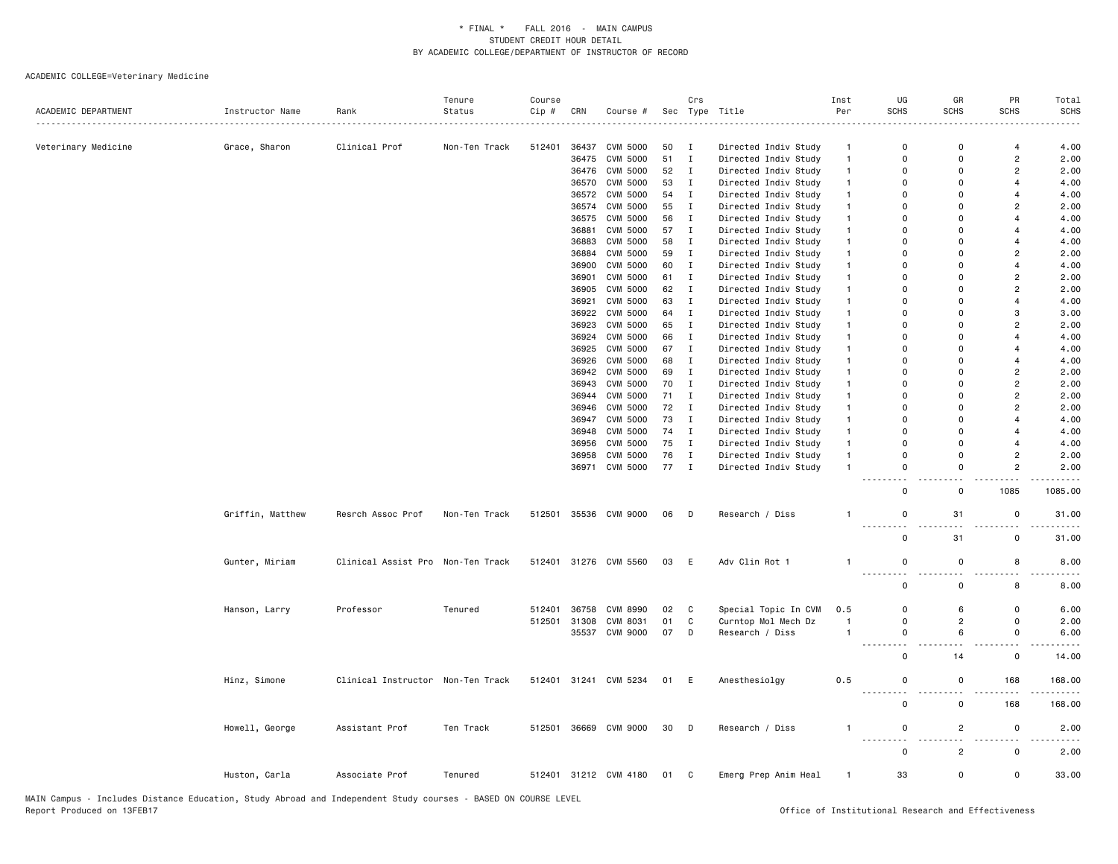|                          |                  |                                   | Tenure        | Course |                |                                    |          | Crs                         |                                              | Inst                           | UG                                    | GR                   | PR                               | Total        |
|--------------------------|------------------|-----------------------------------|---------------|--------|----------------|------------------------------------|----------|-----------------------------|----------------------------------------------|--------------------------------|---------------------------------------|----------------------|----------------------------------|--------------|
| ACADEMIC DEPARTMENT<br>. | Instructor Name  | Rank                              | Status        | Cip #  | CRN            | Course #                           |          |                             | Sec Type Title                               | Per                            | <b>SCHS</b>                           | SCHS                 | <b>SCHS</b>                      | <b>SCHS</b>  |
| . <u>.</u>               |                  |                                   |               |        |                |                                    |          |                             |                                              |                                |                                       |                      |                                  |              |
| Veterinary Medicine      | Grace, Sharon    | Clinical Prof                     | Non-Ten Track | 512401 | 36437          | <b>CVM 5000</b>                    | 50       | $\mathbf{I}$                | Directed Indiv Study                         | $\mathbf{1}$                   | $\mathsf 0$                           | $\Omega$             | 4                                | 4.00         |
|                          |                  |                                   |               |        | 36475          | <b>CVM 5000</b>                    | 51       | $\mathbf{I}$                | Directed Indiv Study                         | $\overline{1}$                 | $\Omega$                              | $\Omega$             | $\overline{c}$                   | 2.00         |
|                          |                  |                                   |               |        | 36476          | CVM 5000                           | 52       | $\mathbf{I}$                | Directed Indiv Study                         | $\mathbf{1}$                   | 0                                     | 0                    | $\overline{2}$                   | 2.00         |
|                          |                  |                                   |               |        | 36570          | <b>CVM 5000</b>                    | 53       | $\mathbf{I}$                | Directed Indiv Study                         | $\overline{1}$                 | 0                                     | 0                    | $\overline{4}$                   | 4.00         |
|                          |                  |                                   |               |        | 36572          | CVM 5000                           | 54       | $\mathbf{I}$                | Directed Indiv Study                         | $\mathbf{1}$                   | 0                                     | $\mathbf 0$          | $\overline{4}$                   | 4.00         |
|                          |                  |                                   |               |        | 36574          | CVM 5000                           | 55       | $\;$ I                      | Directed Indiv Study                         | $\mathbf{1}$                   | $\mathbf 0$                           | $\Omega$             | $\overline{c}$                   | 2.00         |
|                          |                  |                                   |               |        |                | 36575 CVM 5000                     | 56       | I                           | Directed Indiv Study                         | $\mathbf{1}$                   | 0                                     | $\Omega$             | $\overline{4}$                   | 4.00         |
|                          |                  |                                   |               |        | 36881          | CVM 5000                           | 57       | $\mathbf{I}$                | Directed Indiv Study                         | $\mathbf{1}$                   | $\Omega$                              | $\Omega$             | $\overline{4}$                   | 4.00         |
|                          |                  |                                   |               |        | 36883          | CVM 5000                           | 58       | $\mathbf{I}$                | Directed Indiv Study                         | $\mathbf{1}$                   | $\Omega$                              | $\Omega$             | $\overline{4}$                   | 4.00         |
|                          |                  |                                   |               |        | 36884          | CVM 5000                           | 59       | $\mathbf{I}$                | Directed Indiv Study                         | $\mathbf{1}$                   | $\Omega$                              | $\Omega$<br>$\Omega$ | $\overline{2}$                   | 2.00         |
|                          |                  |                                   |               |        | 36900          | CVM 5000                           | 60       | $\mathbf{I}$                | Directed Indiv Study                         | $\mathbf{1}$                   | $\Omega$                              | $\Omega$             | $\overline{4}$                   | 4.00         |
|                          |                  |                                   |               |        | 36901          | <b>CVM 5000</b>                    | 61       | $\mathbf{I}$                | Directed Indiv Study                         | $\mathbf{1}$                   | 0<br>$\Omega$                         | $\Omega$             | $\overline{c}$<br>$\overline{2}$ | 2.00         |
|                          |                  |                                   |               |        | 36905<br>36921 | <b>CVM 5000</b><br><b>CVM 5000</b> | 62<br>63 | $\mathbf I$<br>$\mathbf{I}$ | Directed Indiv Study<br>Directed Indiv Study | $\overline{1}$<br>$\mathbf{1}$ | 0                                     | 0                    | $\overline{4}$                   | 2.00<br>4.00 |
|                          |                  |                                   |               |        | 36922          | <b>CVM 5000</b>                    | 64       | $\mathbf I$                 | Directed Indiv Study                         | $\mathbf{1}$                   | $\Omega$                              | $\Omega$             | 3                                | 3.00         |
|                          |                  |                                   |               |        | 36923          | CVM 5000                           | 65       | I                           | Directed Indiv Study                         | $\mathbf{1}$                   | $\Omega$                              | $\Omega$             | $\overline{2}$                   | 2.00         |
|                          |                  |                                   |               |        | 36924          | CVM 5000                           | 66       | $\mathbf I$                 | Directed Indiv Study                         | $\mathbf{1}$                   | $\Omega$                              | $\Omega$             | $\overline{4}$                   | 4.00         |
|                          |                  |                                   |               |        | 36925          | CVM 5000                           | 67       | $\mathbf{I}$                | Directed Indiv Study                         | $\mathbf{1}$                   | $\Omega$                              | $\Omega$             | $\overline{4}$                   | 4.00         |
|                          |                  |                                   |               |        | 36926          | CVM 5000                           | 68       | $\mathbf{I}$                | Directed Indiv Study                         | $\mathbf{1}$                   | $\Omega$                              | $\Omega$             | $\overline{4}$                   | 4.00         |
|                          |                  |                                   |               |        |                | 36942 CVM 5000                     | 69       | $\mathbf{I}$                | Directed Indiv Study                         | $\mathbf{1}$                   | $\Omega$                              | $\Omega$             | $\overline{2}$                   | 2.00         |
|                          |                  |                                   |               |        | 36943          | <b>CVM 5000</b>                    | 70       | $\mathbf I$                 | Directed Indiv Study                         | $\mathbf{1}$                   | $\Omega$                              | $\Omega$             | $\overline{2}$                   | 2.00         |
|                          |                  |                                   |               |        |                | 36944 CVM 5000                     | 71       | $\mathbf{I}$                | Directed Indiv Study                         | $\mathbf{1}$                   | $\Omega$                              | $\Omega$             | $\overline{2}$                   | 2.00         |
|                          |                  |                                   |               |        | 36946          | <b>CVM 5000</b>                    | 72       | $\mathbf I$                 | Directed Indiv Study                         | $\mathbf{1}$                   | $\Omega$                              | $\Omega$             | $\overline{2}$                   | 2.00         |
|                          |                  |                                   |               |        | 36947          | CVM 5000                           | 73       | $\mathbf I$                 | Directed Indiv Study                         | $\mathbf{1}$                   | $\Omega$                              | $\Omega$             | $\overline{4}$                   | 4.00         |
|                          |                  |                                   |               |        | 36948          | CVM 5000                           | 74       | $\mathbf{I}$                | Directed Indiv Study                         | $\mathbf{1}$                   | $\Omega$                              | $\Omega$             | $\overline{4}$                   | 4.00         |
|                          |                  |                                   |               |        | 36956          | CVM 5000                           | 75       | $\;$ I                      | Directed Indiv Study                         | $\mathbf{1}$                   | $\Omega$                              | $\Omega$             | $\overline{4}$                   | 4.00         |
|                          |                  |                                   |               |        | 36958          | CVM 5000                           | 76       | $\mathbf I$                 | Directed Indiv Study                         | $\mathbf{1}$                   | 0                                     | $\Omega$             | $\overline{2}$                   | 2.00         |
|                          |                  |                                   |               |        |                | 36971 CVM 5000                     | 77       | $\mathbf{I}$                | Directed Indiv Study                         | $\overline{1}$                 | $\Omega$                              | $\Omega$             | $\overline{c}$                   | 2.00         |
|                          |                  |                                   |               |        |                |                                    |          |                             |                                              |                                | .<br>.<br>$\mathbf 0$                 | $\mathbf 0$          | 1085                             | 1085.00      |
|                          | Griffin, Matthew | Resrch Assoc Prof                 | Non-Ten Track | 512501 |                | 35536 CVM 9000                     | 06       | D                           | Research / Diss                              | $\overline{1}$                 | $\mathbf 0$                           | 31                   | $\mathsf 0$                      | 31.00        |
|                          |                  |                                   |               |        |                |                                    |          |                             |                                              |                                | $ -$<br>$\sim$ $\sim$<br>$\mathsf 0$  | 31                   | .<br>$\mathsf 0$                 | 31.00        |
|                          |                  |                                   |               |        |                |                                    |          |                             |                                              |                                |                                       |                      |                                  |              |
|                          | Gunter, Miriam   | Clinical Assist Pro Non-Ten Track |               | 512401 |                | 31276 CVM 5560                     | 03       | E                           | Adv Clin Rot 1                               | $\overline{1}$                 | 0                                     | 0                    | 8                                | 8.00         |
|                          |                  |                                   |               |        |                |                                    |          |                             |                                              |                                | $\sim$ $\sim$ $\sim$<br>$\sim$ $\sim$ |                      |                                  |              |
|                          |                  |                                   |               |        |                |                                    |          |                             |                                              |                                | 0                                     | 0                    | 8                                | 8.00         |
|                          |                  |                                   |               |        |                |                                    |          |                             |                                              |                                |                                       |                      |                                  |              |
|                          | Hanson, Larry    | Professor                         | Tenured       | 512401 | 36758          | CVM 8990                           | 02       | C                           | Special Topic In CVM                         | 0.5                            | $\Omega$                              | 6                    | $\Omega$                         | 6.00         |
|                          |                  |                                   |               | 512501 | 31308          | CVM 8031                           | 01       | C                           | Curntop Mol Mech Dz                          | $\overline{1}$                 | 0                                     | $\overline{c}$       | 0                                | 2.00         |
|                          |                  |                                   |               |        |                | 35537 CVM 9000                     | 07       | D                           | Research / Diss                              | $\overline{1}$                 | 0<br>$- - -$<br>$\sim$ $\sim$         | 6                    | 0                                | 6.00         |
|                          |                  |                                   |               |        |                |                                    |          |                             |                                              |                                | 0                                     | 14                   | 0                                | 14.00        |
|                          | Hinz, Simone     | Clinical Instructor Non-Ten Track |               | 512401 |                | 31241 CVM 5234                     | 01 E     |                             | Anesthesiolgy                                | 0.5                            | 0                                     | 0                    | 168                              | 168.00       |
|                          |                  |                                   |               |        |                |                                    |          |                             |                                              |                                |                                       |                      |                                  |              |
|                          |                  |                                   |               |        |                |                                    |          |                             |                                              |                                | 0                                     | 0                    | 168                              | 168.00       |
|                          | Howell, George   | Assistant Prof                    | Ten Track     | 512501 | 36669          | CVM 9000                           | 30       | D                           | Research / Diss                              | $\overline{1}$                 | 0                                     | $\overline{2}$       | 0                                | 2.00         |
|                          |                  |                                   |               |        |                |                                    |          |                             |                                              |                                | $\mathbf 0$                           | $\overline{2}$       | 0                                | 2.00         |
|                          | Huston, Carla    | Associate Prof                    | Tenured       |        |                | 512401 31212 CVM 4180              | 01       | $\mathbf{C}$                | Emerg Prep Anim Heal                         | $\overline{1}$                 | 33                                    | $\Omega$             | $\Omega$                         | 33.00        |
|                          |                  |                                   |               |        |                |                                    |          |                             |                                              |                                |                                       |                      |                                  |              |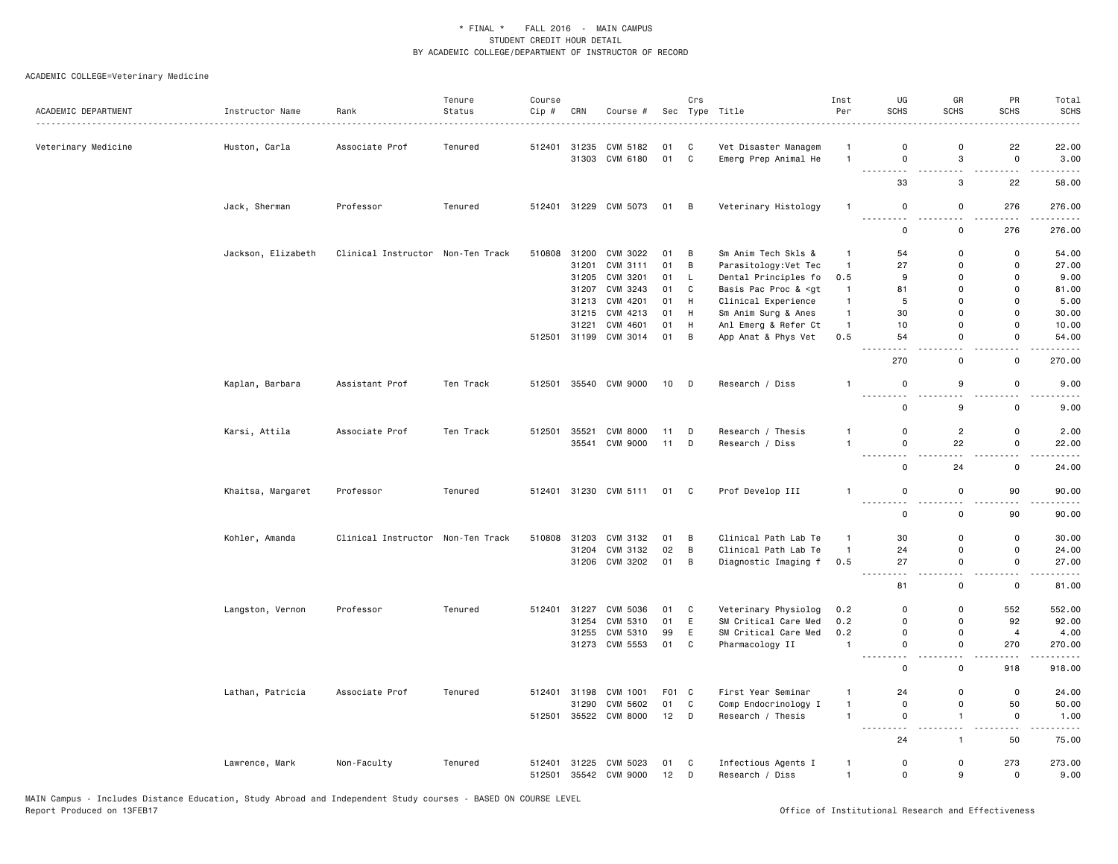| ACADEMIC DEPARTMENT | Instructor Name    | Rank                              | Tenure<br>Status | Course<br>Cip # | CRN   | Course #              | Sec    | Crs          | Type Title                                                                                                                                                                   | Inst<br>Per    | UG<br><b>SCHS</b>            | GR<br><b>SCHS</b>                       | PR<br><b>SCHS</b>                       | Total<br><b>SCHS</b> |
|---------------------|--------------------|-----------------------------------|------------------|-----------------|-------|-----------------------|--------|--------------|------------------------------------------------------------------------------------------------------------------------------------------------------------------------------|----------------|------------------------------|-----------------------------------------|-----------------------------------------|----------------------|
|                     |                    |                                   |                  |                 |       |                       |        |              |                                                                                                                                                                              |                |                              |                                         |                                         |                      |
| Veterinary Medicine | Huston, Carla      | Associate Prof                    | Tenured          | 512401          | 31235 | CVM 5182              | 01     | C            | Vet Disaster Managem                                                                                                                                                         | $\overline{1}$ | $\mathbf 0$                  | $\mathbf 0$                             | 22                                      | 22.00                |
|                     |                    |                                   |                  |                 | 31303 | CVM 6180              | 01     | $\mathbf{C}$ | Emerg Prep Animal He                                                                                                                                                         | $\overline{1}$ | 0<br>.                       | 3<br>$\sim$ $\sim$                      | $\mathsf{o}$<br>$ -$                    | 3.00<br>$\cdots$     |
|                     |                    |                                   |                  |                 |       |                       |        |              |                                                                                                                                                                              |                | 33                           | 3                                       | 22                                      | 58.00                |
|                     | Jack, Sherman      | Professor                         | Tenured          |                 |       | 512401 31229 CVM 5073 | 01 B   |              | Veterinary Histology                                                                                                                                                         | $\overline{1}$ | $\mathbf 0$<br><b>.</b><br>. | $\mathbf 0$<br>$\sim$                   | 276<br>$\sim$ $\sim$ $\sim$             | 276.00<br>.          |
|                     |                    |                                   |                  |                 |       |                       |        |              |                                                                                                                                                                              |                | 0                            | 0                                       | 276                                     | 276.00               |
|                     | Jackson, Elizabeth | Clinical Instructor Non-Ten Track |                  |                 |       | 510808 31200 CVM 3022 | 01 B   |              | Sm Anim Tech Skls &                                                                                                                                                          | $\overline{1}$ | 54                           | $\mathbf 0$                             | 0                                       | 54.00                |
|                     |                    |                                   |                  |                 | 31201 | CVM 3111              | 01     | B            | Parasitology: Vet Tec                                                                                                                                                        | $\overline{1}$ | 27                           | $\mathbf 0$                             | $\mathsf{o}$                            | 27.00                |
|                     |                    |                                   |                  |                 | 31205 | CVM 3201              | 01     | L            | Dental Principles fo                                                                                                                                                         | 0.5            | 9                            | $\Omega$                                | $\mathbf 0$                             | 9.00                 |
|                     |                    |                                   |                  |                 | 31207 | CVM 3243              | 01     | C            | Basis Pac Proc & <gt< td=""><td><math>\overline{1}</math></td><td>81</td><td><math>\mathbf 0</math></td><td><math display="inline">\mathsf 0</math></td><td>81.00</td></gt<> | $\overline{1}$ | 81                           | $\mathbf 0$                             | $\mathsf 0$                             | 81.00                |
|                     |                    |                                   |                  |                 |       | 31213 CVM 4201        | 01     | H            | Clinical Experience                                                                                                                                                          | $\mathbf{1}$   | 5                            | $\Omega$                                | $\mathbf 0$                             | 5.00                 |
|                     |                    |                                   |                  |                 | 31215 | CVM 4213              | 01     | H            | Sm Anim Surg & Anes                                                                                                                                                          | $\mathbf{1}$   | 30                           | $\mathbf 0$                             | $\mathsf 0$                             | 30.00                |
|                     |                    |                                   |                  |                 | 31221 | CVM 4601              | 01     | H            | Anl Emerg & Refer Ct                                                                                                                                                         | $\overline{1}$ | 10                           | $\mathbf 0$                             | $\mathsf 0$                             | 10.00                |
|                     |                    |                                   |                  |                 |       | 512501 31199 CVM 3014 | 01 B   |              | App Anat & Phys Vet                                                                                                                                                          | 0.5            | 54<br>$ -$                   | $\mathbf 0$<br>$\overline{\phantom{0}}$ | 0<br>$\overline{\phantom{0}}$           | 54.00                |
|                     |                    |                                   |                  |                 |       |                       |        |              |                                                                                                                                                                              |                | 270                          | $\mathsf 0$                             | $\mathsf 0$                             | 270.00               |
|                     | Kaplan, Barbara    | Assistant Prof                    | Ten Track        |                 |       | 512501 35540 CVM 9000 | 10 D   |              | Research / Diss                                                                                                                                                              | $\mathbf{1}$   | $\mathsf 0$<br>.             | 9<br>$\sim$                             | $\mathsf 0$<br>$\overline{\phantom{0}}$ | 9.00<br>.            |
|                     |                    |                                   |                  |                 |       |                       |        |              |                                                                                                                                                                              |                | 0                            | 9                                       | $\mathsf 0$                             | 9.00                 |
|                     | Karsi, Attila      | Associate Prof                    | Ten Track        | 512501          | 35521 | <b>CVM 8000</b>       | 11     | D            | Research / Thesis                                                                                                                                                            | $\mathbf{1}$   | $\mathbf 0$                  | $\overline{c}$                          | 0                                       | 2.00                 |
|                     |                    |                                   |                  |                 | 35541 | <b>CVM 9000</b>       | 11     | D            | Research / Diss                                                                                                                                                              | $\overline{1}$ | $\mathbf 0$<br>.             | 22                                      | $\mathsf{o}$<br>- -                     | 22.00                |
|                     |                    |                                   |                  |                 |       |                       |        |              |                                                                                                                                                                              |                | $\mathsf 0$                  | 24                                      | $\mathsf 0$                             | 24.00                |
|                     | Khaitsa, Margaret  | Professor                         | Tenured          |                 |       | 512401 31230 CVM 5111 | 01 C   |              | Prof Develop III                                                                                                                                                             | $\overline{1}$ | $\mathbf 0$                  | $\mathbf 0$                             | 90                                      | 90.00                |
|                     |                    |                                   |                  |                 |       |                       |        |              |                                                                                                                                                                              |                | $\mathbf 0$                  | $\mathbf 0$                             | 90                                      | 90.00                |
|                     | Kohler, Amanda     | Clinical Instructor Non-Ten Track |                  | 510808          | 31203 | CVM 3132              | 01     | B            | Clinical Path Lab Te                                                                                                                                                         | $\overline{1}$ | 30                           | $\mathbf 0$                             | $\mathsf{o}$                            | 30.00                |
|                     |                    |                                   |                  |                 |       | 31204 CVM 3132        | 02     | B            | Clinical Path Lab Te                                                                                                                                                         | $\overline{1}$ | 24                           | $\mathbf 0$                             | 0                                       | 24.00                |
|                     |                    |                                   |                  |                 |       | 31206 CVM 3202        | 01     | B            | Diagnostic Imaging f                                                                                                                                                         | 0.5            | 27                           | $\mathbf 0$                             | $\mathsf{o}$                            | 27.00                |
|                     |                    |                                   |                  |                 |       |                       |        |              |                                                                                                                                                                              |                | $\sim$ $-$<br>-----<br>81    | $-$<br>$\mathbf 0$                      | $-$<br>$\mathbf 0$                      | . <u>.</u><br>81.00  |
|                     | Langston, Vernon   | Professor                         | Tenured          | 512401          | 31227 | CVM 5036              | 01     | C            | Veterinary Physiolog                                                                                                                                                         | 0.2            | $\Omega$                     | $\Omega$                                | 552                                     | 552.00               |
|                     |                    |                                   |                  |                 | 31254 | CVM 5310              | 01     | E            | SM Critical Care Med                                                                                                                                                         | 0.2            | $\mathbf 0$                  | $\mathbf 0$                             | 92                                      | 92.00                |
|                     |                    |                                   |                  |                 |       | 31255 CVM 5310        | 99     | E            | SM Critical Care Med                                                                                                                                                         | 0.2            | $\mathbf 0$                  | $\Omega$                                | $\overline{4}$                          | 4.00                 |
|                     |                    |                                   |                  |                 | 31273 | CVM 5553              | 01     | C            | Pharmacology II                                                                                                                                                              | $\overline{1}$ | $\mathbf 0$                  | $\mathbf 0$                             | 270                                     | 270.00               |
|                     |                    |                                   |                  |                 |       |                       |        |              |                                                                                                                                                                              |                | <u>.</u><br>$\mathsf 0$      | $\sim$ $\sim$<br>$\mathsf 0$            | $  -$<br>918                            | .<br>918.00          |
|                     | Lathan, Patricia   | Associate Prof                    | Tenured          | 512401          | 31198 | CVM 1001              | F01 C  |              | First Year Seminar                                                                                                                                                           | $\mathbf{1}$   | 24                           | $\mathbf 0$                             | $\mathsf 0$                             | 24.00                |
|                     |                    |                                   |                  |                 | 31290 | CVM 5602              | 01     | C            | Comp Endocrinology I                                                                                                                                                         | $\overline{1}$ | $\mathbf 0$                  | $\mathbf 0$                             | 50                                      | 50.00                |
|                     |                    |                                   |                  |                 |       | 512501 35522 CVM 8000 | $12$ D |              | Research / Thesis                                                                                                                                                            | $\overline{1}$ | 0                            | $\mathbf{1}$                            | $\mathbf 0$                             | 1.00                 |
|                     |                    |                                   |                  |                 |       |                       |        |              |                                                                                                                                                                              |                | .<br>.<br>24                 | $\sim$ $\sim$<br>$\overline{1}$         | .<br>50                                 | .<br>75.00           |
|                     | Lawrence, Mark     | Non-Faculty                       | Tenured          | 512401          |       | 31225 CVM 5023        | 01     | C            | Infectious Agents I                                                                                                                                                          | $\overline{1}$ | 0                            | $\mathbf 0$                             | 273                                     | 273.00               |
|                     |                    |                                   |                  | 512501          |       | 35542 CVM 9000        | 12     | D            | Research / Diss                                                                                                                                                              | $\overline{1}$ | $\mathbf 0$                  | 9                                       | $\mathbf 0$                             | 9.00                 |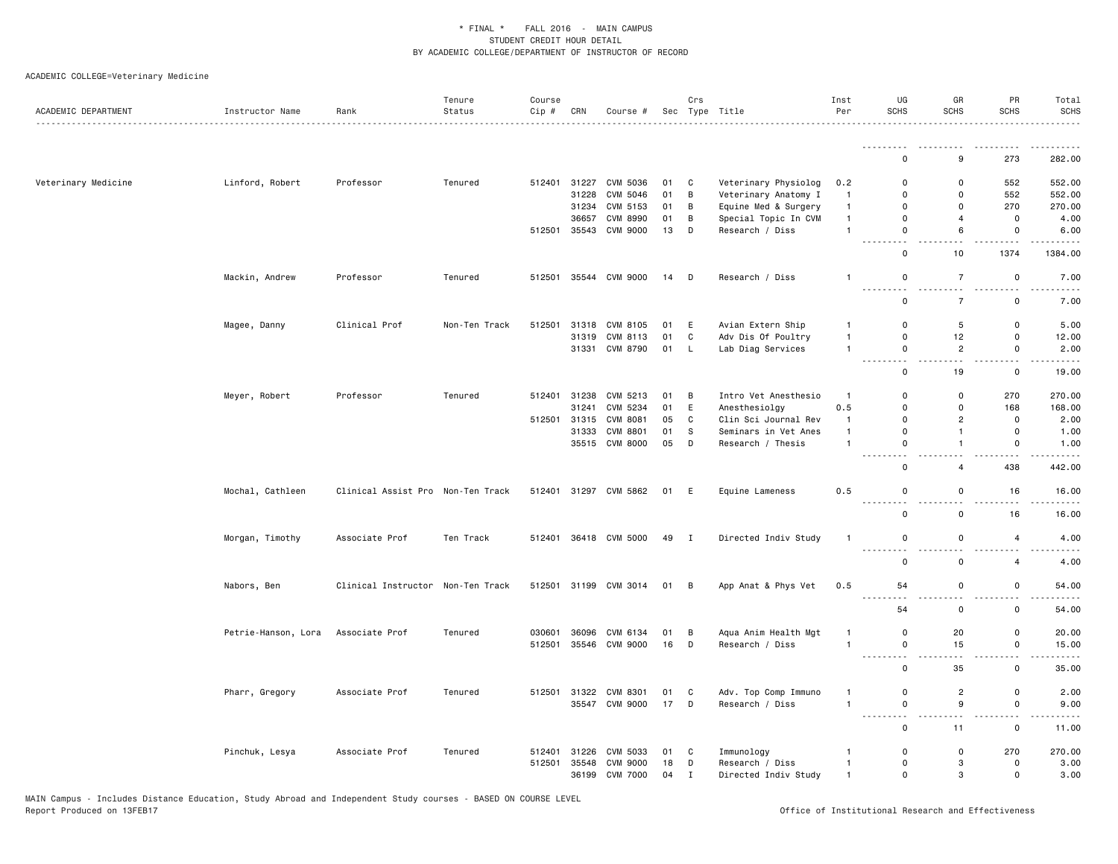| ACADEMIC DEPARTMENT | Instructor Name     | Rank                              | Tenure<br>Status | Course<br>Cip # | CRN          | Course #              |      | Crs            | Sec Type Title       | Inst<br>Per             | UG<br><b>SCHS</b>                                                                                                              | GR<br>SCHS     | PR<br><b>SCHS</b>   | Total<br><b>SCHS</b>                                                                                                                                          |
|---------------------|---------------------|-----------------------------------|------------------|-----------------|--------------|-----------------------|------|----------------|----------------------|-------------------------|--------------------------------------------------------------------------------------------------------------------------------|----------------|---------------------|---------------------------------------------------------------------------------------------------------------------------------------------------------------|
|                     |                     |                                   |                  |                 |              |                       |      |                |                      |                         |                                                                                                                                |                |                     | .                                                                                                                                                             |
|                     |                     |                                   |                  |                 |              |                       |      |                |                      |                         | $\Omega$                                                                                                                       | 9              | 273                 | 282.00                                                                                                                                                        |
| Veterinary Medicine | Linford, Robert     | Professor                         | Tenured          | 512401          | 31227        | <b>CVM 5036</b>       | 01   | C              | Veterinary Physiolog | 0.2                     | $\mathbf 0$                                                                                                                    | $\mathbf 0$    | 552                 | 552.00                                                                                                                                                        |
|                     |                     |                                   |                  |                 | 31228        | CVM 5046              | 01   | B              | Veterinary Anatomy I | $\overline{1}$          | $\Omega$                                                                                                                       | $\Omega$       | 552                 | 552.00                                                                                                                                                        |
|                     |                     |                                   |                  |                 | 31234        | CVM 5153              | 01   | B              | Equine Med & Surgery | $\overline{1}$          | $\mathbf 0$                                                                                                                    | $\mathbf 0$    | 270                 | 270.00                                                                                                                                                        |
|                     |                     |                                   |                  |                 | 36657        | <b>CVM 8990</b>       | 01   | B              | Special Topic In CVM | $\mathbf{1}$            | $\mathbf 0$                                                                                                                    | $\overline{4}$ | 0                   | 4.00                                                                                                                                                          |
|                     |                     |                                   |                  | 512501          | 35543        | <b>CVM 9000</b>       | 13   | D              | Research / Diss      | $\mathbf{1}$            | $\mathsf{o}$<br>$\sim$ $\sim$                                                                                                  | 6              | 0                   | 6.00                                                                                                                                                          |
|                     |                     |                                   |                  |                 |              |                       |      |                |                      |                         | 0                                                                                                                              | 10             | 1374                | 1384.00                                                                                                                                                       |
|                     | Mackin, Andrew      | Professor                         | Tenured          | 512501          |              | 35544 CVM 9000        | 14   | D              | Research / Diss      | $\mathbf{1}$            | 0<br>د د د .                                                                                                                   | $\overline{7}$ | $\mathsf{o}\,$      | 7.00<br>$\omega$ is a $\omega$                                                                                                                                |
|                     |                     |                                   |                  |                 |              |                       |      |                |                      |                         | $\mathsf{o}$                                                                                                                   | $\overline{7}$ | 0                   | 7.00                                                                                                                                                          |
|                     | Magee, Danny        | Clinical Prof                     | Non-Ten Track    | 512501          | 31318        | CVM 8105              | 01   | Ε              | Avian Extern Ship    | -1                      | 0                                                                                                                              | 5              | 0                   | 5.00                                                                                                                                                          |
|                     |                     |                                   |                  |                 | 31319        | CVM 8113              | 01   | C              | Adv Dis Of Poultry   | $\mathbf{1}$            | 0                                                                                                                              | 12             | 0                   | 12.00                                                                                                                                                         |
|                     |                     |                                   |                  |                 | 31331        | CVM 8790              | 01   | L              | Lab Diag Services    | $\mathbf{1}$            | $\mathsf 0$<br>$\sim$ $\sim$                                                                                                   | $\overline{2}$ | $\mathsf 0$         | 2.00<br>$\frac{1}{2}$                                                                                                                                         |
|                     |                     |                                   |                  |                 |              |                       |      |                |                      |                         | $\mathbf 0$                                                                                                                    | 19             | 0                   | 19.00                                                                                                                                                         |
|                     | Meyer, Robert       | Professor                         | Tenured          | 512401          | 31238        | CVM 5213              | 01   | B              | Intro Vet Anesthesio | $\overline{\mathbf{1}}$ | $\mathbf 0$                                                                                                                    | 0              | 270                 | 270.00                                                                                                                                                        |
|                     |                     |                                   |                  |                 | 31241        | CVM 5234              | 01   | Ε              | Anesthesiolgy        | 0.5                     | 0                                                                                                                              | 0              | 168                 | 168.00                                                                                                                                                        |
|                     |                     |                                   |                  |                 | 512501 31315 | CVM 8081              | 05   | C              | Clin Sci Journal Rev | $\mathbf{1}$            | $\mathsf{o}$                                                                                                                   | $\overline{2}$ | 0                   | 2.00                                                                                                                                                          |
|                     |                     |                                   |                  |                 | 31333        | <b>CVM 8801</b>       | 01   | s              | Seminars in Vet Anes | $\mathbf{1}$            | 0                                                                                                                              | $\mathbf{1}$   | $\mathsf{o}\,$      | 1.00                                                                                                                                                          |
|                     |                     |                                   |                  |                 |              | 35515 CVM 8000        | 05   | D              | Research / Thesis    | $\mathbf{1}$            | $\mathsf 0$                                                                                                                    | $\mathbf{1}$   | $\mathsf 0$         | 1.00                                                                                                                                                          |
|                     |                     |                                   |                  |                 |              |                       |      |                |                      |                         | $\mathbf 0$                                                                                                                    | $\overline{4}$ | 438                 | 442.00                                                                                                                                                        |
|                     | Mochal, Cathleen    | Clinical Assist Pro Non-Ten Track |                  |                 |              | 512401 31297 CVM 5862 | 01   | E              | Equine Lameness      | 0.5                     | 0                                                                                                                              | 0              | 16                  | 16.00<br>.                                                                                                                                                    |
|                     |                     |                                   |                  |                 |              |                       |      |                |                      |                         | 0                                                                                                                              | $\mathsf{o}\,$ | 16                  | 16.00                                                                                                                                                         |
|                     | Morgan, Timothy     | Associate Prof                    | Ten Track        | 512401          |              | 36418 CVM 5000        | 49 I |                | Directed Indiv Study | $\mathbf{1}$            | $\mathsf 0$                                                                                                                    | $\mathsf 0$    | $\overline{4}$      | 4.00                                                                                                                                                          |
|                     |                     |                                   |                  |                 |              |                       |      |                |                      |                         | $\mathbf 0$                                                                                                                    | $\mathbf 0$    | $\overline{4}$      | 4.00                                                                                                                                                          |
|                     | Nabors, Ben         | Clinical Instructor Non-Ten Track |                  |                 |              | 512501 31199 CVM 3014 | 01   | B              | App Anat & Phys Vet  | 0.5                     | 54                                                                                                                             | 0              | 0                   | 54.00                                                                                                                                                         |
|                     |                     |                                   |                  |                 |              |                       |      |                |                      |                         | -----<br>54                                                                                                                    | 0              | $\sim$<br>0         | $\frac{1}{2} \left( \frac{1}{2} \right) \left( \frac{1}{2} \right) \left( \frac{1}{2} \right) \left( \frac{1}{2} \right) \left( \frac{1}{2} \right)$<br>54.00 |
|                     | Petrie-Hanson, Lora | Associate Prof                    | Tenured          | 030601          | 36096        | CVM 6134              | 01   | В              | Aqua Anim Health Mgt | $\mathbf{1}$            | $\mathbf 0$                                                                                                                    | 20             | 0                   | 20.00                                                                                                                                                         |
|                     |                     |                                   |                  | 512501          | 35546        | <b>CVM 9000</b>       | 16   | D              | Research / Diss      | $\overline{1}$          | 0                                                                                                                              | 15             | 0                   | 15.00                                                                                                                                                         |
|                     |                     |                                   |                  |                 |              |                       |      |                |                      |                         | .<br>$\mathsf{o}$                                                                                                              | 35             | $\overline{a}$<br>0 | 35.00                                                                                                                                                         |
|                     | Pharr, Gregory      | Associate Prof                    | Tenured          | 512501          | 31322        | CVM 8301              | 01   | C              | Adv. Top Comp Immuno | -1                      | 0                                                                                                                              | $\overline{2}$ | 0                   | 2.00                                                                                                                                                          |
|                     |                     |                                   |                  |                 |              | 35547 CVM 9000        | 17   | $\overline{D}$ | Research / Diss      | $\mathbf{1}$            | $\mathsf 0$                                                                                                                    | 9              | $\mathsf{O}\xspace$ | 9.00                                                                                                                                                          |
|                     |                     |                                   |                  |                 |              |                       |      |                |                      |                         | $\frac{1}{2} \left( \frac{1}{2} \right) \left( \frac{1}{2} \right) \left( \frac{1}{2} \right)$<br>$\sim$ $\sim$<br>$\mathbf 0$ | 11             | 0                   | $- - - -$<br>11.00                                                                                                                                            |
|                     | Pinchuk, Lesya      | Associate Prof                    | Tenured          | 512401          | 31226        | CVM 5033              | 01   | C              | Immunology           | -1                      | $\mathbf 0$                                                                                                                    | $\mathbf 0$    | 270                 | 270.00                                                                                                                                                        |
|                     |                     |                                   |                  | 512501          | 35548        | <b>CVM 9000</b>       | 18   | D              | Research / Diss      | $\mathbf{1}$            | 0                                                                                                                              | 3              | 0                   | 3.00                                                                                                                                                          |
|                     |                     |                                   |                  |                 | 36199        | <b>CVM 7000</b>       | 04   | $\mathbf I$    | Directed Indiv Study | $\overline{1}$          | $\mathsf{o}$                                                                                                                   | 3              | 0                   | 3.00                                                                                                                                                          |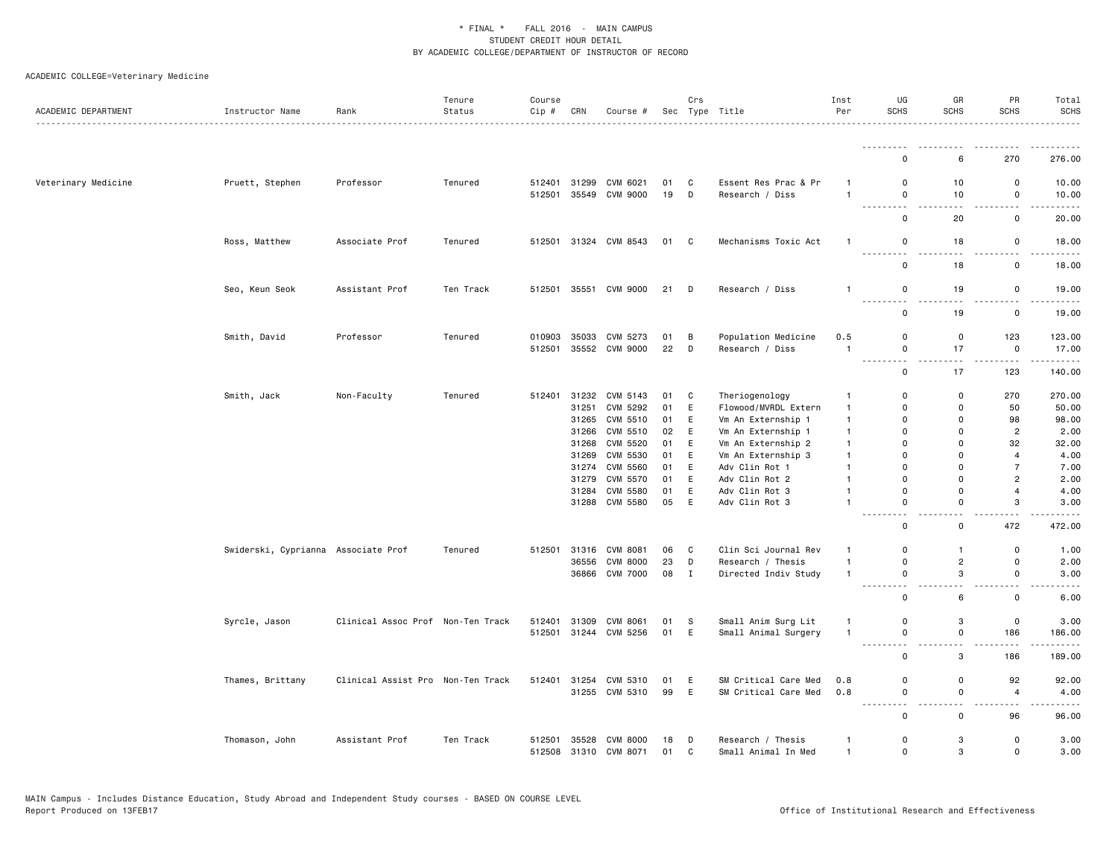| ACADEMIC DEPARTMENT | Instructor Name                     | Rank                              | Tenure<br>Status | Course<br>Cip # | CRN   | Course #                   |          | Crs          | Sec Type Title                               | Inst<br>Per  | UG<br>SCHS                                                                                                                                    | GR<br><b>SCHS</b> | PR<br><b>SCHS</b>            | Total<br><b>SCHS</b><br>.            |
|---------------------|-------------------------------------|-----------------------------------|------------------|-----------------|-------|----------------------------|----------|--------------|----------------------------------------------|--------------|-----------------------------------------------------------------------------------------------------------------------------------------------|-------------------|------------------------------|--------------------------------------|
|                     |                                     |                                   |                  |                 |       |                            |          |              |                                              |              | .                                                                                                                                             |                   |                              |                                      |
|                     |                                     |                                   |                  |                 |       |                            |          |              |                                              |              | $\Omega$                                                                                                                                      | 6                 | 270                          | 276.00                               |
| Veterinary Medicine | Pruett, Stephen                     | Professor                         | Tenured          | 512401          | 31299 | CVM 6021                   | 01       | C            | Essent Res Prac & Pr                         | -1           | $\Omega$                                                                                                                                      | 10                | 0                            | 10.00                                |
|                     |                                     |                                   |                  | 512501          | 35549 | <b>CVM 9000</b>            | 19       | D            | Research / Diss                              | $\mathbf{1}$ | $\mathsf{o}$<br>$\mathbf{1} \cdot \mathbf{1} \cdot \mathbf{1} \cdot \mathbf{1} \cdot \mathbf{1}$                                              | 10                | 0<br>.                       | 10.00<br>.                           |
|                     |                                     |                                   |                  |                 |       |                            |          |              |                                              |              | $\mathbf 0$                                                                                                                                   | 20                | 0                            | 20.00                                |
|                     | Ross, Matthew                       | Associate Prof                    | Tenured          | 512501          |       | 31324 CVM 8543             | 01       | C            | Mechanisms Toxic Act                         | $\mathbf{1}$ | 0                                                                                                                                             | 18                | 0                            | 18.00                                |
|                     |                                     |                                   |                  |                 |       |                            |          |              |                                              |              | ---------<br>0                                                                                                                                | 18                | 0                            | $\sim$ $\sim$ $\sim$ $\sim$<br>18.00 |
|                     | Seo, Keun Seok                      | Assistant Prof                    | Ten Track        | 512501          |       | 35551 CVM 9000             | 21       | D            | Research / Diss                              | $\mathbf{1}$ | $\mathbf 0$<br><u>.</u>                                                                                                                       | 19                | 0                            | 19.00<br>.                           |
|                     |                                     |                                   |                  |                 |       |                            |          |              |                                              |              | $\mathsf 0$                                                                                                                                   | 19                | 0                            | 19.00                                |
|                     | Smith, David                        | Professor                         | Tenured          | 010903          | 35033 | CVM 5273                   | 01       | В            | Population Medicine                          | 0.5          | $\mathbf 0$                                                                                                                                   | 0                 | 123                          | 123.00                               |
|                     |                                     |                                   |                  | 512501          |       | 35552 CVM 9000             | 22       | D            | Research / Diss                              | $\mathbf{1}$ | $\mathsf{o}$                                                                                                                                  | 17                | $\mathsf 0$                  | 17.00                                |
|                     |                                     |                                   |                  |                 |       |                            |          |              |                                              |              | 0                                                                                                                                             | 17                | 123                          | .<br>140.00                          |
|                     | Smith, Jack                         | Non-Faculty                       | Tenured          | 512401          | 31232 | CVM 5143                   | 01       | C            | Theriogenology                               | $\mathbf{1}$ | 0                                                                                                                                             | 0                 | 270                          | 270.00                               |
|                     |                                     |                                   |                  |                 | 31251 | CVM 5292                   | 01       | $\mathsf E$  | Flowood/MVRDL Extern                         | $\mathbf{1}$ | $\mathbf 0$                                                                                                                                   | $\mathbf 0$       | 50                           | 50.00                                |
|                     |                                     |                                   |                  |                 | 31265 | CVM 5510                   | 01       | E            | Vm An Externship 1                           | $\mathbf{1}$ | $\mathbf 0$                                                                                                                                   | 0                 | 98                           | 98.00                                |
|                     |                                     |                                   |                  |                 | 31266 | CVM 5510                   | 02       | E            | Vm An Externship 1                           | $\mathbf{1}$ | $\Omega$                                                                                                                                      | $\Omega$          | $\overline{2}$               | 2.00                                 |
|                     |                                     |                                   |                  |                 | 31268 | CVM 5520                   | 01       | E            | Vm An Externship 2                           | $\mathbf{1}$ | $\mathbf 0$                                                                                                                                   | $\Omega$          | 32                           | 32.00                                |
|                     |                                     |                                   |                  |                 | 31269 | CVM 5530                   | 01       | E            | Vm An Externship 3                           | -1           | $\mathbf 0$                                                                                                                                   | $\mathbf 0$       | $\overline{4}$               | 4.00                                 |
|                     |                                     |                                   |                  |                 | 31274 | CVM 5560                   | 01       | E            | Adv Clin Rot 1                               | $\mathbf{1}$ | $\Omega$                                                                                                                                      | 0                 | $\overline{7}$               | 7.00                                 |
|                     |                                     |                                   |                  |                 | 31279 | CVM 5570                   | 01       | E            | Adv Clin Rot 2                               | $\mathbf{1}$ | $\Omega$                                                                                                                                      | $\Omega$          | $\overline{2}$               | 2.00                                 |
|                     |                                     |                                   |                  |                 | 31284 | CVM 5580                   | 01       | E            | Adv Clin Rot 3                               | $\mathbf{1}$ | $\mathbf 0$                                                                                                                                   | $\mathbf 0$       | $\overline{4}$               | 4.00                                 |
|                     |                                     |                                   |                  |                 | 31288 | CVM 5580                   | 05       | E            | Adv Clin Rot 3                               | $\mathbf{1}$ | $\mathbf 0$<br>.<br>$\frac{1}{2} \left( \frac{1}{2} \right) \left( \frac{1}{2} \right) \left( \frac{1}{2} \right) \left( \frac{1}{2} \right)$ | $\mathbf 0$       | 3                            | 3.00<br>$- - - - -$                  |
|                     |                                     |                                   |                  |                 |       |                            |          |              |                                              |              | $\mathsf 0$                                                                                                                                   | 0                 | 472                          | 472.00                               |
|                     | Swiderski, Cyprianna Associate Prof |                                   | Tenured          | 512501          |       | 31316 CVM 8081             | 06       | C            | Clin Sci Journal Rev                         | -1           | $\mathbf 0$                                                                                                                                   | $\mathbf{1}$      | 0                            | 1.00                                 |
|                     |                                     |                                   |                  |                 | 36556 | <b>CVM 8000</b>            | 23       | D            | Research / Thesis                            | $\mathbf{1}$ | $\mathsf 0$                                                                                                                                   | $\overline{c}$    | $\mathsf 0$                  | 2.00                                 |
|                     |                                     |                                   |                  |                 |       | 36866 CVM 7000             | 08       | $\mathbf{I}$ | Directed Indiv Study                         | $\mathbf{1}$ | 0                                                                                                                                             | 3                 | 0                            | 3.00                                 |
|                     |                                     |                                   |                  |                 |       |                            |          |              |                                              |              | .<br>$\mathsf 0$                                                                                                                              | $ -$<br>6         | $\sim$ $\sim$<br>$\mathsf 0$ | .<br>6.00                            |
|                     | Syrcle, Jason                       | Clinical Assoc Prof Non-Ten Track |                  | 512401          | 31309 | CVM 8061                   | 01       | -S           | Small Anim Surg Lit                          | -1           | 0                                                                                                                                             | 3                 | 0                            | 3.00                                 |
|                     |                                     |                                   |                  | 512501          |       | 31244 CVM 5256             | 01       | E            | Small Animal Surgery                         | $\mathbf{1}$ | 0                                                                                                                                             | 0                 | 186                          | 186.00                               |
|                     |                                     |                                   |                  |                 |       |                            |          |              |                                              |              | .<br>$\mathbf 0$                                                                                                                              | 3                 | 186                          | .<br>189.00                          |
|                     |                                     |                                   |                  |                 | 31254 |                            |          |              |                                              | 0.8          | $\mathbf 0$                                                                                                                                   | 0                 | 92                           | 92.00                                |
|                     | Thames, Brittany                    | Clinical Assist Pro Non-Ten Track |                  | 512401          |       | CVM 5310<br>31255 CVM 5310 | 01<br>99 | Ε<br>E       | SM Critical Care Med<br>SM Critical Care Med | 0.8          | $\mathbf 0$                                                                                                                                   | $\mathbf 0$       | $\overline{4}$               | 4.00                                 |
|                     |                                     |                                   |                  |                 |       |                            |          |              |                                              |              | $\sim$ $\sim$ $\sim$<br>0                                                                                                                     | .<br>0            | $\sim$ $\sim$ $\sim$<br>96   | .<br>96.00                           |
|                     | Thomason, John                      | Assistant Prof                    | Ten Track        | 512501          | 35528 | <b>CVM 8000</b>            | 18       | D            | Research / Thesis                            | -1           | $\mathsf 0$                                                                                                                                   | 3                 | $\mathsf 0$                  | 3.00                                 |
|                     |                                     |                                   |                  | 512508          |       | 31310 CVM 8071             | 01       | C            | Small Animal In Med                          | $\mathbf{1}$ | $\mathbf 0$                                                                                                                                   | 3                 | $\mathsf{o}$                 | 3.00                                 |